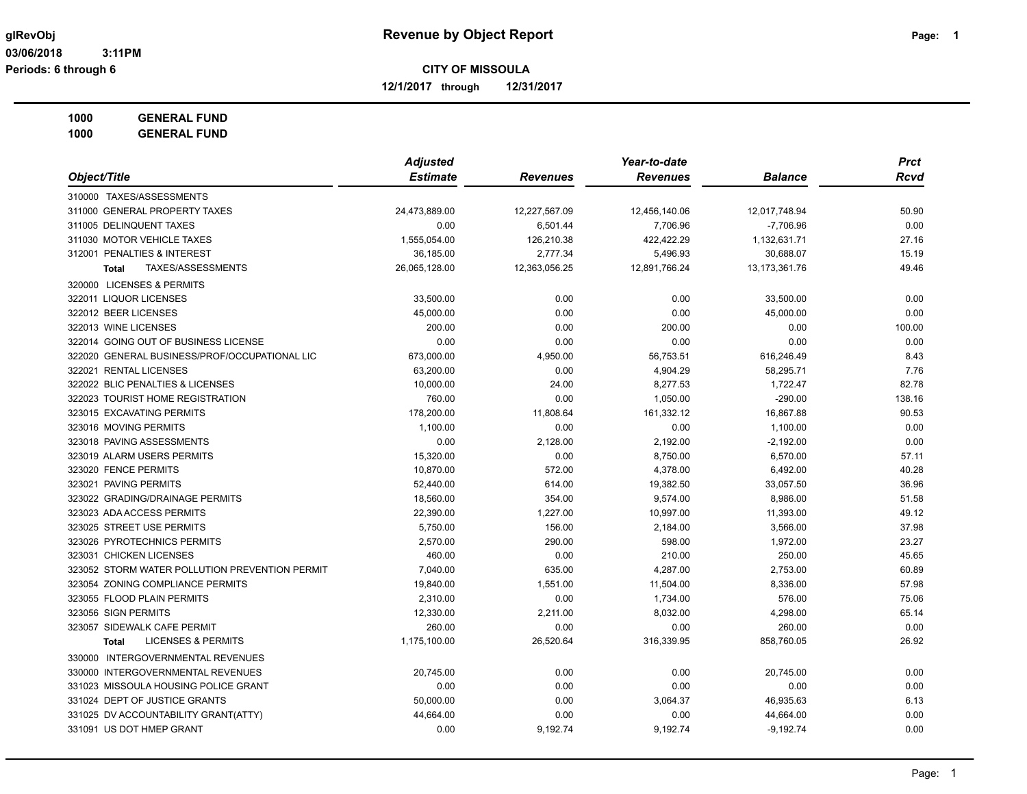**12/1/2017 through 12/31/2017**

**1000 GENERAL FUND**

|                                                | <b>Adjusted</b> |                 | Year-to-date    |                  | <b>Prct</b> |
|------------------------------------------------|-----------------|-----------------|-----------------|------------------|-------------|
| Object/Title                                   | <b>Estimate</b> | <b>Revenues</b> | <b>Revenues</b> | <b>Balance</b>   | <b>Rcvd</b> |
| 310000 TAXES/ASSESSMENTS                       |                 |                 |                 |                  |             |
| 311000 GENERAL PROPERTY TAXES                  | 24,473,889.00   | 12,227,567.09   | 12,456,140.06   | 12,017,748.94    | 50.90       |
| 311005 DELINQUENT TAXES                        | 0.00            | 6,501.44        | 7,706.96        | $-7,706.96$      | 0.00        |
| 311030 MOTOR VEHICLE TAXES                     | 1,555,054.00    | 126,210.38      | 422,422.29      | 1,132,631.71     | 27.16       |
| 312001 PENALTIES & INTEREST                    | 36,185.00       | 2,777.34        | 5,496.93        | 30,688.07        | 15.19       |
| TAXES/ASSESSMENTS<br><b>Total</b>              | 26,065,128.00   | 12,363,056.25   | 12,891,766.24   | 13, 173, 361. 76 | 49.46       |
| 320000 LICENSES & PERMITS                      |                 |                 |                 |                  |             |
| 322011 LIQUOR LICENSES                         | 33,500.00       | 0.00            | 0.00            | 33,500.00        | 0.00        |
| 322012 BEER LICENSES                           | 45,000.00       | 0.00            | 0.00            | 45,000.00        | 0.00        |
| 322013 WINE LICENSES                           | 200.00          | 0.00            | 200.00          | 0.00             | 100.00      |
| 322014 GOING OUT OF BUSINESS LICENSE           | 0.00            | 0.00            | 0.00            | 0.00             | 0.00        |
| 322020 GENERAL BUSINESS/PROF/OCCUPATIONAL LIC  | 673,000.00      | 4,950.00        | 56,753.51       | 616,246.49       | 8.43        |
| 322021 RENTAL LICENSES                         | 63,200.00       | 0.00            | 4,904.29        | 58,295.71        | 7.76        |
| 322022 BLIC PENALTIES & LICENSES               | 10,000.00       | 24.00           | 8,277.53        | 1,722.47         | 82.78       |
| 322023 TOURIST HOME REGISTRATION               | 760.00          | 0.00            | 1,050.00        | $-290.00$        | 138.16      |
| 323015 EXCAVATING PERMITS                      | 178,200.00      | 11,808.64       | 161,332.12      | 16,867.88        | 90.53       |
| 323016 MOVING PERMITS                          | 1,100.00        | 0.00            | 0.00            | 1,100.00         | 0.00        |
| 323018 PAVING ASSESSMENTS                      | 0.00            | 2,128.00        | 2,192.00        | $-2,192.00$      | 0.00        |
| 323019 ALARM USERS PERMITS                     | 15,320.00       | 0.00            | 8,750.00        | 6,570.00         | 57.11       |
| 323020 FENCE PERMITS                           | 10,870.00       | 572.00          | 4,378.00        | 6,492.00         | 40.28       |
| 323021 PAVING PERMITS                          | 52,440.00       | 614.00          | 19,382.50       | 33,057.50        | 36.96       |
| 323022 GRADING/DRAINAGE PERMITS                | 18,560.00       | 354.00          | 9,574.00        | 8,986.00         | 51.58       |
| 323023 ADA ACCESS PERMITS                      | 22,390.00       | 1,227.00        | 10,997.00       | 11,393.00        | 49.12       |
| 323025 STREET USE PERMITS                      | 5,750.00        | 156.00          | 2,184.00        | 3,566.00         | 37.98       |
| 323026 PYROTECHNICS PERMITS                    | 2,570.00        | 290.00          | 598.00          | 1,972.00         | 23.27       |
| 323031 CHICKEN LICENSES                        | 460.00          | 0.00            | 210.00          | 250.00           | 45.65       |
| 323052 STORM WATER POLLUTION PREVENTION PERMIT | 7,040.00        | 635.00          | 4,287.00        | 2,753.00         | 60.89       |
| 323054 ZONING COMPLIANCE PERMITS               | 19,840.00       | 1,551.00        | 11,504.00       | 8,336.00         | 57.98       |
| 323055 FLOOD PLAIN PERMITS                     | 2,310.00        | 0.00            | 1,734.00        | 576.00           | 75.06       |
| 323056 SIGN PERMITS                            | 12,330.00       | 2,211.00        | 8,032.00        | 4,298.00         | 65.14       |
| 323057 SIDEWALK CAFE PERMIT                    | 260.00          | 0.00            | 0.00            | 260.00           | 0.00        |
| <b>LICENSES &amp; PERMITS</b><br><b>Total</b>  | 1,175,100.00    | 26,520.64       | 316,339.95      | 858,760.05       | 26.92       |
| 330000 INTERGOVERNMENTAL REVENUES              |                 |                 |                 |                  |             |
| 330000 INTERGOVERNMENTAL REVENUES              | 20,745.00       | 0.00            | 0.00            | 20,745.00        | 0.00        |
| 331023 MISSOULA HOUSING POLICE GRANT           | 0.00            | 0.00            | 0.00            | 0.00             | 0.00        |
| 331024 DEPT OF JUSTICE GRANTS                  | 50,000.00       | 0.00            | 3,064.37        | 46,935.63        | 6.13        |
| 331025 DV ACCOUNTABILITY GRANT(ATTY)           | 44,664.00       | 0.00            | 0.00            | 44,664.00        | 0.00        |
| 331091 US DOT HMEP GRANT                       | 0.00            | 9,192.74        | 9,192.74        | $-9,192.74$      | 0.00        |
|                                                |                 |                 |                 |                  |             |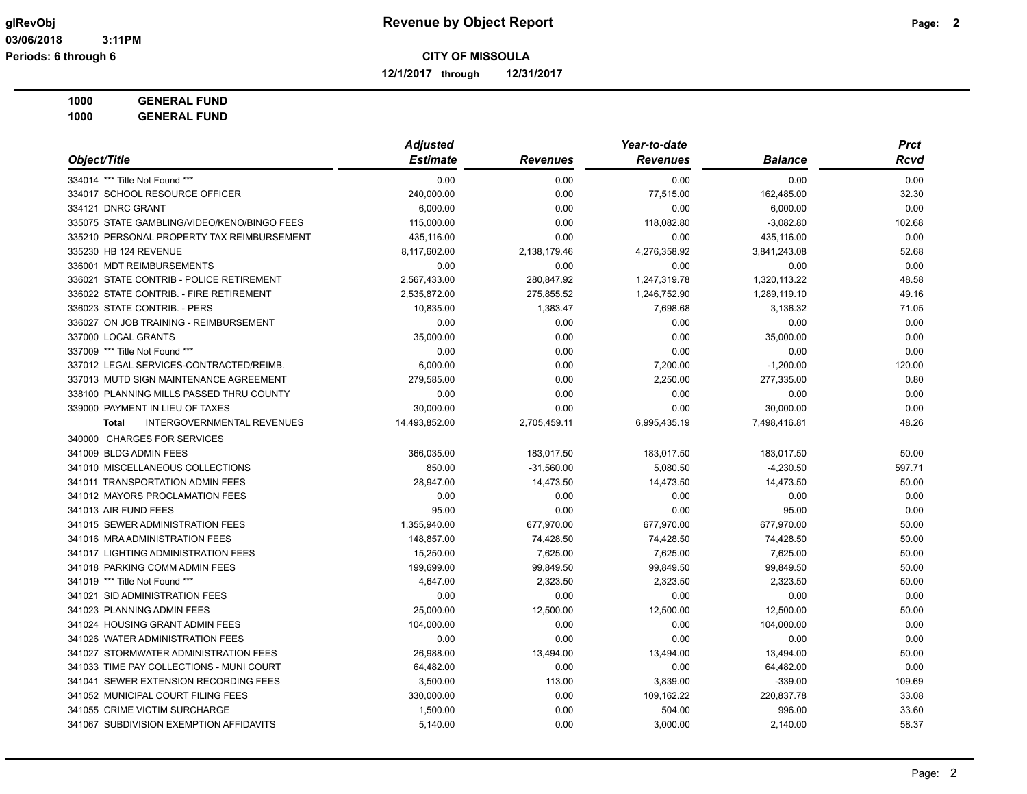**12/1/2017 through 12/31/2017**

**1000 GENERAL FUND**

|                                                   | <b>Adjusted</b> |                 | Year-to-date    |                | <b>Prct</b> |  |
|---------------------------------------------------|-----------------|-----------------|-----------------|----------------|-------------|--|
| Object/Title                                      | <b>Estimate</b> | <b>Revenues</b> | <b>Revenues</b> | <b>Balance</b> | Rcvd        |  |
| 334014 *** Title Not Found ***                    | 0.00            | 0.00            | 0.00            | 0.00           | 0.00        |  |
| 334017 SCHOOL RESOURCE OFFICER                    | 240,000.00      | 0.00            | 77,515.00       | 162,485.00     | 32.30       |  |
| 334121 DNRC GRANT                                 | 6,000.00        | 0.00            | 0.00            | 6,000.00       | 0.00        |  |
| 335075 STATE GAMBLING/VIDEO/KENO/BINGO FEES       | 115,000.00      | 0.00            | 118,082.80      | $-3,082.80$    | 102.68      |  |
| 335210 PERSONAL PROPERTY TAX REIMBURSEMENT        | 435,116.00      | 0.00            | 0.00            | 435,116.00     | 0.00        |  |
| 335230 HB 124 REVENUE                             | 8,117,602.00    | 2,138,179.46    | 4,276,358.92    | 3,841,243.08   | 52.68       |  |
| 336001 MDT REIMBURSEMENTS                         | 0.00            | 0.00            | 0.00            | 0.00           | 0.00        |  |
| 336021 STATE CONTRIB - POLICE RETIREMENT          | 2,567,433.00    | 280,847.92      | 1,247,319.78    | 1,320,113.22   | 48.58       |  |
| 336022 STATE CONTRIB. - FIRE RETIREMENT           | 2,535,872.00    | 275,855.52      | 1,246,752.90    | 1,289,119.10   | 49.16       |  |
| 336023 STATE CONTRIB. - PERS                      | 10,835.00       | 1,383.47        | 7,698.68        | 3,136.32       | 71.05       |  |
| 336027 ON JOB TRAINING - REIMBURSEMENT            | 0.00            | 0.00            | 0.00            | 0.00           | 0.00        |  |
| 337000 LOCAL GRANTS                               | 35,000.00       | 0.00            | 0.00            | 35,000.00      | 0.00        |  |
| 337009 *** Title Not Found ***                    | 0.00            | 0.00            | 0.00            | 0.00           | 0.00        |  |
| 337012 LEGAL SERVICES-CONTRACTED/REIMB.           | 6,000.00        | 0.00            | 7,200.00        | $-1,200.00$    | 120.00      |  |
| 337013 MUTD SIGN MAINTENANCE AGREEMENT            | 279,585.00      | 0.00            | 2,250.00        | 277,335.00     | 0.80        |  |
| 338100 PLANNING MILLS PASSED THRU COUNTY          | 0.00            | 0.00            | 0.00            | 0.00           | 0.00        |  |
| 339000 PAYMENT IN LIEU OF TAXES                   | 30,000.00       | 0.00            | 0.00            | 30,000.00      | 0.00        |  |
| <b>INTERGOVERNMENTAL REVENUES</b><br><b>Total</b> | 14,493,852.00   | 2,705,459.11    | 6,995,435.19    | 7,498,416.81   | 48.26       |  |
| 340000 CHARGES FOR SERVICES                       |                 |                 |                 |                |             |  |
| 341009 BLDG ADMIN FEES                            | 366,035.00      | 183,017.50      | 183,017.50      | 183,017.50     | 50.00       |  |
| 341010 MISCELLANEOUS COLLECTIONS                  | 850.00          | $-31,560.00$    | 5,080.50        | $-4,230.50$    | 597.71      |  |
| 341011 TRANSPORTATION ADMIN FEES                  | 28,947.00       | 14,473.50       | 14,473.50       | 14,473.50      | 50.00       |  |
| 341012 MAYORS PROCLAMATION FEES                   | 0.00            | 0.00            | 0.00            | 0.00           | 0.00        |  |
| 341013 AIR FUND FEES                              | 95.00           | 0.00            | 0.00            | 95.00          | 0.00        |  |
| 341015 SEWER ADMINISTRATION FEES                  | 1,355,940.00    | 677,970.00      | 677,970.00      | 677,970.00     | 50.00       |  |
| 341016 MRA ADMINISTRATION FEES                    | 148,857.00      | 74,428.50       | 74,428.50       | 74,428.50      | 50.00       |  |
| 341017 LIGHTING ADMINISTRATION FEES               | 15,250.00       | 7,625.00        | 7,625.00        | 7,625.00       | 50.00       |  |
| 341018 PARKING COMM ADMIN FEES                    | 199,699.00      | 99,849.50       | 99,849.50       | 99,849.50      | 50.00       |  |
| 341019 *** Title Not Found ***                    | 4.647.00        | 2.323.50        | 2.323.50        | 2.323.50       | 50.00       |  |
| 341021 SID ADMINISTRATION FEES                    | 0.00            | 0.00            | 0.00            | 0.00           | 0.00        |  |
| 341023 PLANNING ADMIN FEES                        | 25,000.00       | 12,500.00       | 12,500.00       | 12,500.00      | 50.00       |  |
| 341024 HOUSING GRANT ADMIN FEES                   | 104,000.00      | 0.00            | 0.00            | 104,000.00     | 0.00        |  |
| 341026 WATER ADMINISTRATION FEES                  | 0.00            | 0.00            | 0.00            | 0.00           | 0.00        |  |
| 341027 STORMWATER ADMINISTRATION FEES             | 26,988.00       | 13,494.00       | 13,494.00       | 13,494.00      | 50.00       |  |
| 341033 TIME PAY COLLECTIONS - MUNI COURT          | 64,482.00       | 0.00            | 0.00            | 64,482.00      | 0.00        |  |
| 341041 SEWER EXTENSION RECORDING FEES             | 3,500.00        | 113.00          | 3,839.00        | $-339.00$      | 109.69      |  |
| 341052 MUNICIPAL COURT FILING FEES                | 330,000.00      | 0.00            | 109,162.22      | 220,837.78     | 33.08       |  |
| 341055 CRIME VICTIM SURCHARGE                     | 1,500.00        | 0.00            | 504.00          | 996.00         | 33.60       |  |
| 341067 SUBDIVISION EXEMPTION AFFIDAVITS           | 5,140.00        | 0.00            | 3,000.00        | 2,140.00       | 58.37       |  |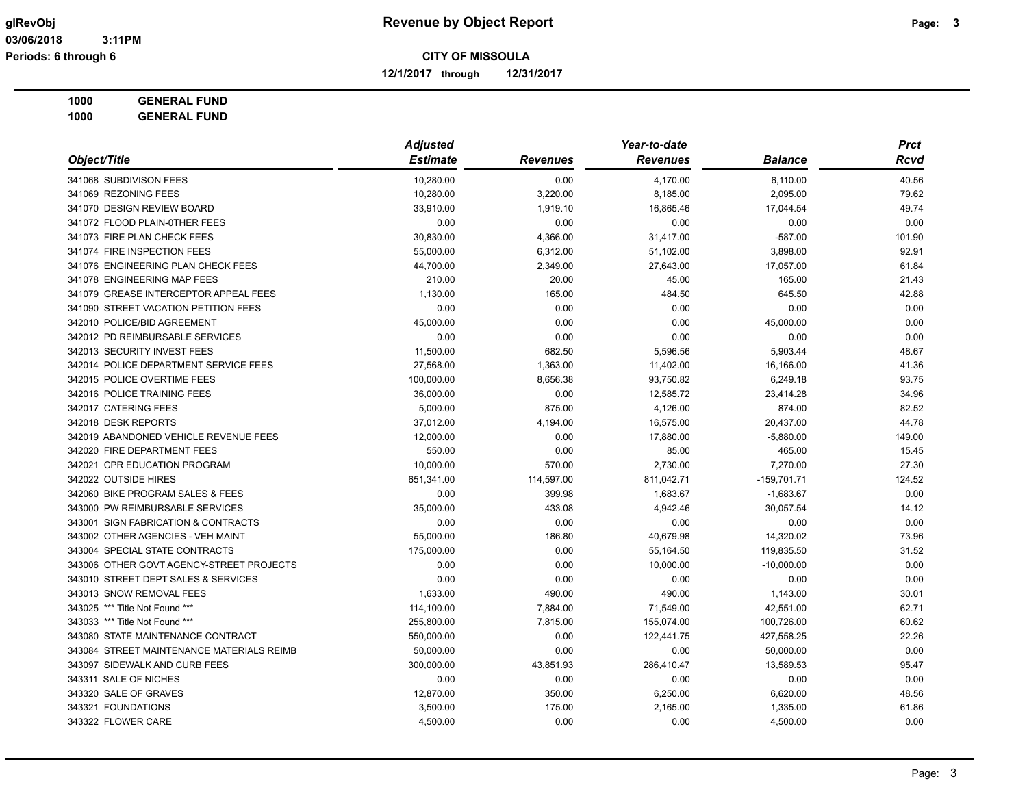**12/1/2017 through 12/31/2017**

# **1000 GENERAL FUND**

|                                           | <b>Adjusted</b> |                 | Year-to-date    |                | <b>Prct</b> |
|-------------------------------------------|-----------------|-----------------|-----------------|----------------|-------------|
| Object/Title                              | <b>Estimate</b> | <b>Revenues</b> | <b>Revenues</b> | <b>Balance</b> | <b>Rcvd</b> |
| 341068 SUBDIVISON FEES                    | 10,280.00       | 0.00            | 4,170.00        | 6,110.00       | 40.56       |
| 341069 REZONING FEES                      | 10,280.00       | 3,220.00        | 8,185.00        | 2,095.00       | 79.62       |
| 341070 DESIGN REVIEW BOARD                | 33,910.00       | 1,919.10        | 16,865.46       | 17,044.54      | 49.74       |
| 341072 FLOOD PLAIN-0THER FEES             | 0.00            | 0.00            | 0.00            | 0.00           | 0.00        |
| 341073 FIRE PLAN CHECK FEES               | 30,830.00       | 4,366.00        | 31,417.00       | $-587.00$      | 101.90      |
| 341074 FIRE INSPECTION FEES               | 55,000.00       | 6,312.00        | 51,102.00       | 3,898.00       | 92.91       |
| 341076 ENGINEERING PLAN CHECK FEES        | 44,700.00       | 2,349.00        | 27,643.00       | 17,057.00      | 61.84       |
| 341078 ENGINEERING MAP FEES               | 210.00          | 20.00           | 45.00           | 165.00         | 21.43       |
| 341079 GREASE INTERCEPTOR APPEAL FEES     | 1,130.00        | 165.00          | 484.50          | 645.50         | 42.88       |
| 341090 STREET VACATION PETITION FEES      | 0.00            | 0.00            | 0.00            | 0.00           | 0.00        |
| 342010 POLICE/BID AGREEMENT               | 45,000.00       | 0.00            | 0.00            | 45,000.00      | 0.00        |
| 342012 PD REIMBURSABLE SERVICES           | 0.00            | 0.00            | 0.00            | 0.00           | 0.00        |
| 342013 SECURITY INVEST FEES               | 11,500.00       | 682.50          | 5,596.56        | 5,903.44       | 48.67       |
| 342014 POLICE DEPARTMENT SERVICE FEES     | 27,568.00       | 1,363.00        | 11,402.00       | 16,166.00      | 41.36       |
| 342015 POLICE OVERTIME FEES               | 100,000.00      | 8,656.38        | 93,750.82       | 6,249.18       | 93.75       |
| 342016 POLICE TRAINING FEES               | 36,000.00       | 0.00            | 12,585.72       | 23,414.28      | 34.96       |
| 342017 CATERING FEES                      | 5,000.00        | 875.00          | 4,126.00        | 874.00         | 82.52       |
| 342018 DESK REPORTS                       | 37,012.00       | 4,194.00        | 16,575.00       | 20,437.00      | 44.78       |
| 342019 ABANDONED VEHICLE REVENUE FEES     | 12,000.00       | 0.00            | 17,880.00       | $-5,880.00$    | 149.00      |
| 342020 FIRE DEPARTMENT FEES               | 550.00          | 0.00            | 85.00           | 465.00         | 15.45       |
| 342021 CPR EDUCATION PROGRAM              | 10,000.00       | 570.00          | 2,730.00        | 7,270.00       | 27.30       |
| 342022 OUTSIDE HIRES                      | 651,341.00      | 114,597.00      | 811,042.71      | $-159,701.71$  | 124.52      |
| 342060 BIKE PROGRAM SALES & FEES          | 0.00            | 399.98          | 1,683.67        | $-1,683.67$    | 0.00        |
| 343000 PW REIMBURSABLE SERVICES           | 35,000.00       | 433.08          | 4,942.46        | 30,057.54      | 14.12       |
| 343001 SIGN FABRICATION & CONTRACTS       | 0.00            | 0.00            | 0.00            | 0.00           | 0.00        |
| 343002 OTHER AGENCIES - VEH MAINT         | 55,000.00       | 186.80          | 40,679.98       | 14,320.02      | 73.96       |
| 343004 SPECIAL STATE CONTRACTS            | 175,000.00      | 0.00            | 55,164.50       | 119,835.50     | 31.52       |
| 343006 OTHER GOVT AGENCY-STREET PROJECTS  | 0.00            | 0.00            | 10,000.00       | $-10,000.00$   | 0.00        |
| 343010 STREET DEPT SALES & SERVICES       | 0.00            | 0.00            | 0.00            | 0.00           | 0.00        |
| 343013 SNOW REMOVAL FEES                  | 1,633.00        | 490.00          | 490.00          | 1,143.00       | 30.01       |
| 343025 *** Title Not Found ***            | 114,100.00      | 7,884.00        | 71,549.00       | 42,551.00      | 62.71       |
| 343033 *** Title Not Found ***            | 255,800.00      | 7,815.00        | 155,074.00      | 100,726.00     | 60.62       |
| 343080 STATE MAINTENANCE CONTRACT         | 550,000.00      | 0.00            | 122,441.75      | 427,558.25     | 22.26       |
| 343084 STREET MAINTENANCE MATERIALS REIMB | 50,000.00       | 0.00            | 0.00            | 50,000.00      | 0.00        |
| 343097 SIDEWALK AND CURB FEES             | 300,000.00      | 43,851.93       | 286,410.47      | 13,589.53      | 95.47       |
| 343311 SALE OF NICHES                     | 0.00            | 0.00            | 0.00            | 0.00           | 0.00        |
| 343320 SALE OF GRAVES                     | 12,870.00       | 350.00          | 6,250.00        | 6,620.00       | 48.56       |
| 343321 FOUNDATIONS                        | 3,500.00        | 175.00          | 2,165.00        | 1,335.00       | 61.86       |
| 343322 FLOWER CARE                        | 4,500.00        | 0.00            | 0.00            | 4,500.00       | 0.00        |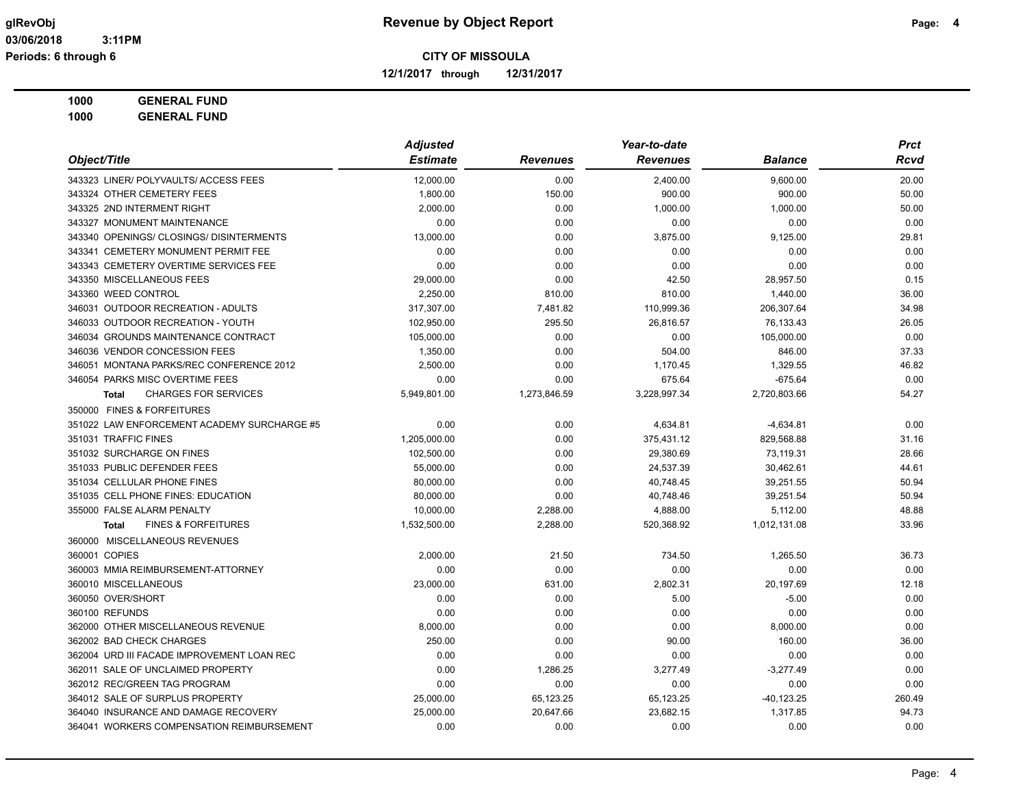**12/1/2017 through 12/31/2017**

### **1000 GENERAL FUND**

|                                                | <b>Adjusted</b> |                 | Year-to-date    |                | <b>Prct</b> |
|------------------------------------------------|-----------------|-----------------|-----------------|----------------|-------------|
| Object/Title                                   | <b>Estimate</b> | <b>Revenues</b> | <b>Revenues</b> | <b>Balance</b> | <b>Rcvd</b> |
| 343323 LINER/ POLYVAULTS/ ACCESS FEES          | 12,000.00       | 0.00            | 2,400.00        | 9,600.00       | 20.00       |
| 343324 OTHER CEMETERY FEES                     | 1,800.00        | 150.00          | 900.00          | 900.00         | 50.00       |
| 343325 2ND INTERMENT RIGHT                     | 2,000.00        | 0.00            | 1,000.00        | 1,000.00       | 50.00       |
| 343327 MONUMENT MAINTENANCE                    | 0.00            | 0.00            | 0.00            | 0.00           | 0.00        |
| 343340 OPENINGS/ CLOSINGS/ DISINTERMENTS       | 13,000.00       | 0.00            | 3,875.00        | 9,125.00       | 29.81       |
| 343341 CEMETERY MONUMENT PERMIT FEE            | 0.00            | 0.00            | 0.00            | 0.00           | 0.00        |
| 343343 CEMETERY OVERTIME SERVICES FEE          | 0.00            | 0.00            | 0.00            | 0.00           | 0.00        |
| 343350 MISCELLANEOUS FEES                      | 29,000.00       | 0.00            | 42.50           | 28,957.50      | 0.15        |
| 343360 WEED CONTROL                            | 2,250.00        | 810.00          | 810.00          | 1,440.00       | 36.00       |
| 346031 OUTDOOR RECREATION - ADULTS             | 317,307.00      | 7,481.82        | 110,999.36      | 206,307.64     | 34.98       |
| 346033 OUTDOOR RECREATION - YOUTH              | 102,950.00      | 295.50          | 26,816.57       | 76,133.43      | 26.05       |
| 346034 GROUNDS MAINTENANCE CONTRACT            | 105,000.00      | 0.00            | 0.00            | 105,000.00     | 0.00        |
| 346036 VENDOR CONCESSION FEES                  | 1,350.00        | 0.00            | 504.00          | 846.00         | 37.33       |
| 346051 MONTANA PARKS/REC CONFERENCE 2012       | 2,500.00        | 0.00            | 1,170.45        | 1,329.55       | 46.82       |
| 346054 PARKS MISC OVERTIME FEES                | 0.00            | 0.00            | 675.64          | $-675.64$      | 0.00        |
| <b>CHARGES FOR SERVICES</b><br><b>Total</b>    | 5,949,801.00    | 1,273,846.59    | 3,228,997.34    | 2,720,803.66   | 54.27       |
| 350000 FINES & FORFEITURES                     |                 |                 |                 |                |             |
| 351022 LAW ENFORCEMENT ACADEMY SURCHARGE #5    | 0.00            | 0.00            | 4,634.81        | $-4,634.81$    | 0.00        |
| 351031 TRAFFIC FINES                           | 1,205,000.00    | 0.00            | 375,431.12      | 829,568.88     | 31.16       |
| 351032 SURCHARGE ON FINES                      | 102,500.00      | 0.00            | 29,380.69       | 73,119.31      | 28.66       |
| 351033 PUBLIC DEFENDER FEES                    | 55,000.00       | 0.00            | 24,537.39       | 30,462.61      | 44.61       |
| 351034 CELLULAR PHONE FINES                    | 80,000.00       | 0.00            | 40,748.45       | 39,251.55      | 50.94       |
| 351035 CELL PHONE FINES: EDUCATION             | 80,000.00       | 0.00            | 40,748.46       | 39,251.54      | 50.94       |
| 355000 FALSE ALARM PENALTY                     | 10,000.00       | 2,288.00        | 4,888.00        | 5,112.00       | 48.88       |
| <b>FINES &amp; FORFEITURES</b><br><b>Total</b> | 1,532,500.00    | 2,288.00        | 520,368.92      | 1,012,131.08   | 33.96       |
| 360000 MISCELLANEOUS REVENUES                  |                 |                 |                 |                |             |
| 360001 COPIES                                  | 2,000.00        | 21.50           | 734.50          | 1,265.50       | 36.73       |
| 360003 MMIA REIMBURSEMENT-ATTORNEY             | 0.00            | 0.00            | 0.00            | 0.00           | 0.00        |
| 360010 MISCELLANEOUS                           | 23,000.00       | 631.00          | 2,802.31        | 20,197.69      | 12.18       |
| 360050 OVER/SHORT                              | 0.00            | 0.00            | 5.00            | $-5.00$        | 0.00        |
| 360100 REFUNDS                                 | 0.00            | 0.00            | 0.00            | 0.00           | 0.00        |
| 362000 OTHER MISCELLANEOUS REVENUE             | 8,000.00        | 0.00            | 0.00            | 8,000.00       | 0.00        |
| 362002 BAD CHECK CHARGES                       | 250.00          | 0.00            | 90.00           | 160.00         | 36.00       |
| 362004 URD III FACADE IMPROVEMENT LOAN REC     | 0.00            | 0.00            | 0.00            | 0.00           | 0.00        |
| 362011 SALE OF UNCLAIMED PROPERTY              | 0.00            | 1,286.25        | 3,277.49        | $-3,277.49$    | 0.00        |
| 362012 REC/GREEN TAG PROGRAM                   | 0.00            | 0.00            | 0.00            | 0.00           | 0.00        |
| 364012 SALE OF SURPLUS PROPERTY                | 25,000.00       | 65,123.25       | 65,123.25       | $-40, 123.25$  | 260.49      |
| 364040 INSURANCE AND DAMAGE RECOVERY           | 25,000.00       | 20,647.66       | 23,682.15       | 1,317.85       | 94.73       |
| 364041 WORKERS COMPENSATION REIMBURSEMENT      | 0.00            | 0.00            | 0.00            | 0.00           | 0.00        |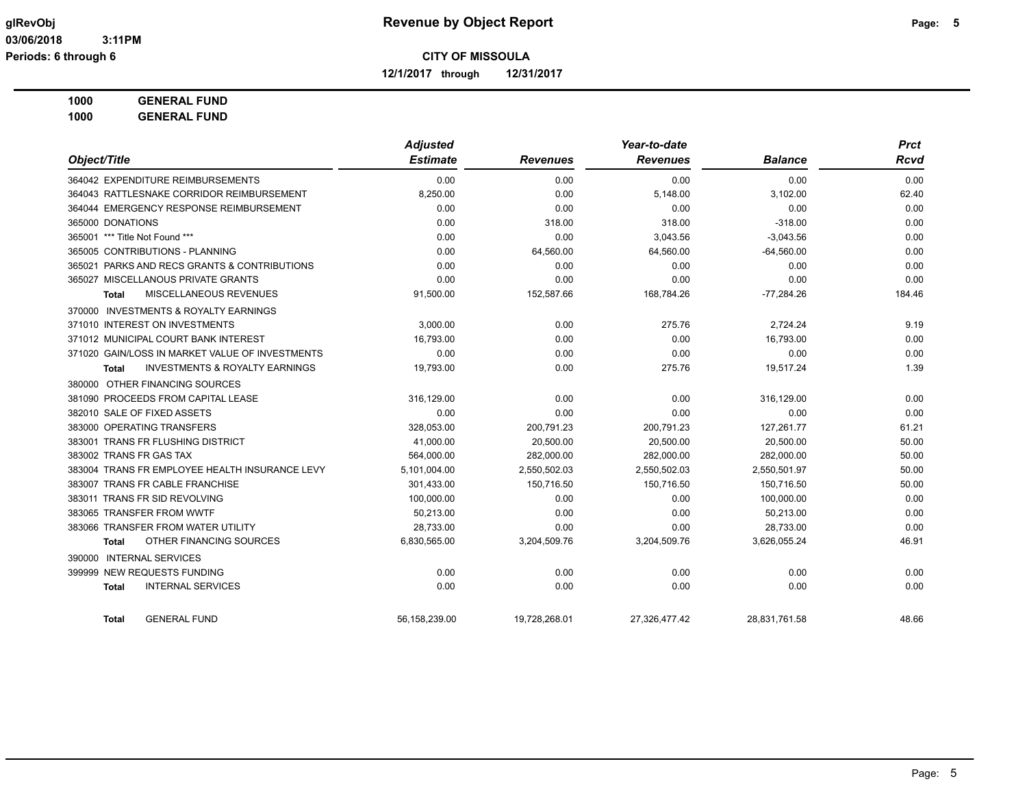**12/1/2017 through 12/31/2017**

### **1000 GENERAL FUND**

|                                                    | <b>Adjusted</b> |                 | Year-to-date    | <b>Prct</b>    |        |
|----------------------------------------------------|-----------------|-----------------|-----------------|----------------|--------|
| Object/Title                                       | <b>Estimate</b> | <b>Revenues</b> | <b>Revenues</b> | <b>Balance</b> | Rcvd   |
| 364042 EXPENDITURE REIMBURSEMENTS                  | 0.00            | 0.00            | 0.00            | 0.00           | 0.00   |
| 364043 RATTLESNAKE CORRIDOR REIMBURSEMENT          | 8,250.00        | 0.00            | 5,148.00        | 3,102.00       | 62.40  |
| 364044 EMERGENCY RESPONSE REIMBURSEMENT            | 0.00            | 0.00            | 0.00            | 0.00           | 0.00   |
| 365000 DONATIONS                                   | 0.00            | 318.00          | 318.00          | $-318.00$      | 0.00   |
| 365001 *** Title Not Found ***                     | 0.00            | 0.00            | 3,043.56        | $-3,043.56$    | 0.00   |
| 365005 CONTRIBUTIONS - PLANNING                    | 0.00            | 64,560.00       | 64,560.00       | $-64,560.00$   | 0.00   |
| 365021 PARKS AND RECS GRANTS & CONTRIBUTIONS       | 0.00            | 0.00            | 0.00            | 0.00           | 0.00   |
| 365027 MISCELLANOUS PRIVATE GRANTS                 | 0.00            | 0.00            | 0.00            | 0.00           | 0.00   |
| MISCELLANEOUS REVENUES<br>Total                    | 91,500.00       | 152,587.66      | 168,784.26      | $-77,284.26$   | 184.46 |
| 370000 INVESTMENTS & ROYALTY EARNINGS              |                 |                 |                 |                |        |
| 371010 INTEREST ON INVESTMENTS                     | 3,000.00        | 0.00            | 275.76          | 2,724.24       | 9.19   |
| 371012 MUNICIPAL COURT BANK INTEREST               | 16,793.00       | 0.00            | 0.00            | 16,793.00      | 0.00   |
| 371020 GAIN/LOSS IN MARKET VALUE OF INVESTMENTS    | 0.00            | 0.00            | 0.00            | 0.00           | 0.00   |
| <b>INVESTMENTS &amp; ROYALTY EARNINGS</b><br>Total | 19,793.00       | 0.00            | 275.76          | 19,517.24      | 1.39   |
| 380000 OTHER FINANCING SOURCES                     |                 |                 |                 |                |        |
| 381090 PROCEEDS FROM CAPITAL LEASE                 | 316,129.00      | 0.00            | 0.00            | 316,129.00     | 0.00   |
| 382010 SALE OF FIXED ASSETS                        | 0.00            | 0.00            | 0.00            | 0.00           | 0.00   |
| 383000 OPERATING TRANSFERS                         | 328,053.00      | 200,791.23      | 200,791.23      | 127,261.77     | 61.21  |
| 383001 TRANS FR FLUSHING DISTRICT                  | 41,000.00       | 20,500.00       | 20,500.00       | 20,500.00      | 50.00  |
| 383002 TRANS FR GAS TAX                            | 564,000.00      | 282,000.00      | 282,000.00      | 282,000.00     | 50.00  |
| 383004 TRANS FR EMPLOYEE HEALTH INSURANCE LEVY     | 5,101,004.00    | 2,550,502.03    | 2,550,502.03    | 2,550,501.97   | 50.00  |
| 383007 TRANS FR CABLE FRANCHISE                    | 301,433.00      | 150,716.50      | 150,716.50      | 150,716.50     | 50.00  |
| 383011 TRANS FR SID REVOLVING                      | 100,000.00      | 0.00            | 0.00            | 100.000.00     | 0.00   |
| 383065 TRANSFER FROM WWTF                          | 50,213.00       | 0.00            | 0.00            | 50,213.00      | 0.00   |
| 383066 TRANSFER FROM WATER UTILITY                 | 28,733.00       | 0.00            | 0.00            | 28,733.00      | 0.00   |
| OTHER FINANCING SOURCES<br>Total                   | 6,830,565.00    | 3,204,509.76    | 3,204,509.76    | 3,626,055.24   | 46.91  |
| <b>INTERNAL SERVICES</b><br>390000                 |                 |                 |                 |                |        |
| 399999 NEW REQUESTS FUNDING                        | 0.00            | 0.00            | 0.00            | 0.00           | 0.00   |
| <b>INTERNAL SERVICES</b><br><b>Total</b>           | 0.00            | 0.00            | 0.00            | 0.00           | 0.00   |
| <b>GENERAL FUND</b><br>Total                       | 56,158,239.00   | 19,728,268.01   | 27.326.477.42   | 28,831,761.58  | 48.66  |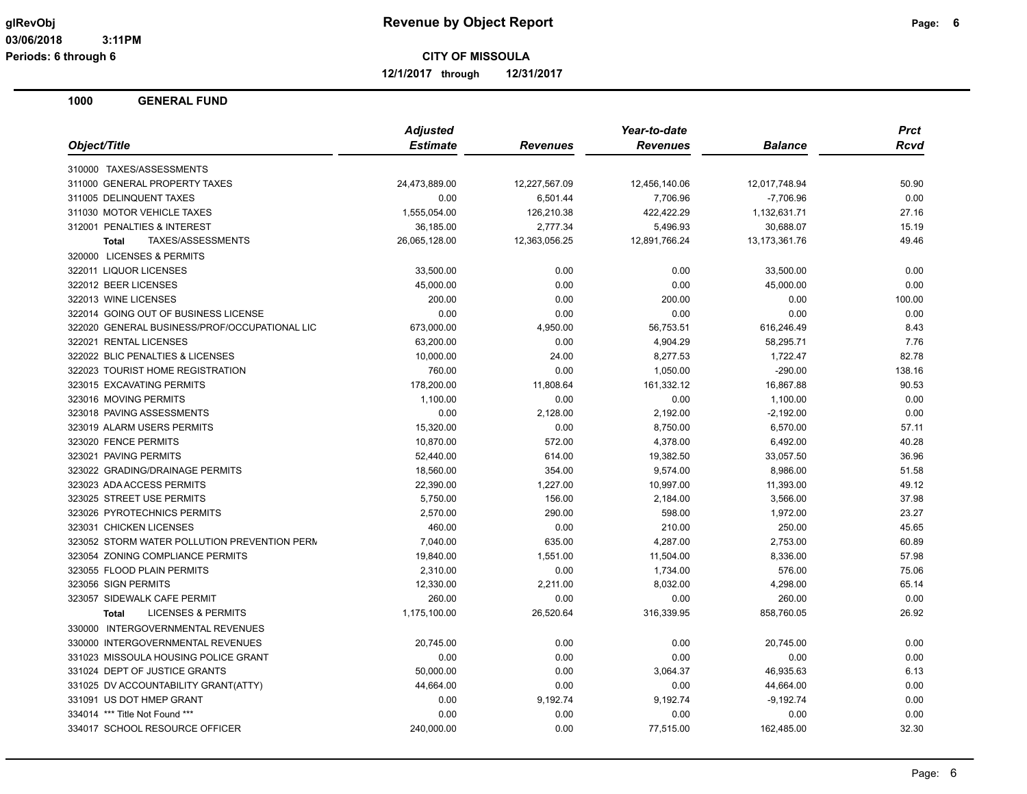**12/1/2017 through 12/31/2017**

|                                               | <b>Adjusted</b> |                 | Year-to-date    | <b>Prct</b>      |        |
|-----------------------------------------------|-----------------|-----------------|-----------------|------------------|--------|
| Object/Title                                  | <b>Estimate</b> | <b>Revenues</b> | <b>Revenues</b> | <b>Balance</b>   | Rcvd   |
| 310000 TAXES/ASSESSMENTS                      |                 |                 |                 |                  |        |
| 311000 GENERAL PROPERTY TAXES                 | 24,473,889.00   | 12,227,567.09   | 12,456,140.06   | 12,017,748.94    | 50.90  |
| 311005 DELINQUENT TAXES                       | 0.00            | 6,501.44        | 7,706.96        | $-7,706.96$      | 0.00   |
| 311030 MOTOR VEHICLE TAXES                    | 1,555,054.00    | 126,210.38      | 422,422.29      | 1,132,631.71     | 27.16  |
| 312001 PENALTIES & INTEREST                   | 36,185.00       | 2,777.34        | 5,496.93        | 30,688.07        | 15.19  |
| <b>Total</b><br>TAXES/ASSESSMENTS             | 26,065,128.00   | 12,363,056.25   | 12,891,766.24   | 13, 173, 361. 76 | 49.46  |
| 320000 LICENSES & PERMITS                     |                 |                 |                 |                  |        |
| 322011 LIQUOR LICENSES                        | 33,500.00       | 0.00            | 0.00            | 33,500.00        | 0.00   |
| 322012 BEER LICENSES                          | 45,000.00       | 0.00            | 0.00            | 45,000.00        | 0.00   |
| 322013 WINE LICENSES                          | 200.00          | 0.00            | 200.00          | 0.00             | 100.00 |
| 322014 GOING OUT OF BUSINESS LICENSE          | 0.00            | 0.00            | 0.00            | 0.00             | 0.00   |
| 322020 GENERAL BUSINESS/PROF/OCCUPATIONAL LIC | 673,000.00      | 4,950.00        | 56,753.51       | 616,246.49       | 8.43   |
| 322021 RENTAL LICENSES                        | 63,200.00       | 0.00            | 4,904.29        | 58,295.71        | 7.76   |
| 322022 BLIC PENALTIES & LICENSES              | 10,000.00       | 24.00           | 8,277.53        | 1,722.47         | 82.78  |
| 322023 TOURIST HOME REGISTRATION              | 760.00          | 0.00            | 1,050.00        | $-290.00$        | 138.16 |
| 323015 EXCAVATING PERMITS                     | 178,200.00      | 11,808.64       | 161,332.12      | 16,867.88        | 90.53  |
| 323016 MOVING PERMITS                         | 1,100.00        | 0.00            | 0.00            | 1,100.00         | 0.00   |
| 323018 PAVING ASSESSMENTS                     | 0.00            | 2,128.00        | 2,192.00        | $-2,192.00$      | 0.00   |
| 323019 ALARM USERS PERMITS                    | 15,320.00       | 0.00            | 8,750.00        | 6,570.00         | 57.11  |
| 323020 FENCE PERMITS                          | 10,870.00       | 572.00          | 4,378.00        | 6,492.00         | 40.28  |
| 323021 PAVING PERMITS                         | 52,440.00       | 614.00          | 19,382.50       | 33,057.50        | 36.96  |
| 323022 GRADING/DRAINAGE PERMITS               | 18,560.00       | 354.00          | 9,574.00        | 8,986.00         | 51.58  |
| 323023 ADA ACCESS PERMITS                     | 22,390.00       | 1,227.00        | 10,997.00       | 11,393.00        | 49.12  |
| 323025 STREET USE PERMITS                     | 5,750.00        | 156.00          | 2,184.00        | 3,566.00         | 37.98  |
| 323026 PYROTECHNICS PERMITS                   | 2,570.00        | 290.00          | 598.00          | 1,972.00         | 23.27  |
| 323031 CHICKEN LICENSES                       | 460.00          | 0.00            | 210.00          | 250.00           | 45.65  |
| 323052 STORM WATER POLLUTION PREVENTION PERM  | 7,040.00        | 635.00          | 4,287.00        | 2,753.00         | 60.89  |
| 323054 ZONING COMPLIANCE PERMITS              | 19,840.00       | 1,551.00        | 11,504.00       | 8,336.00         | 57.98  |
| 323055 FLOOD PLAIN PERMITS                    | 2,310.00        | 0.00            | 1,734.00        | 576.00           | 75.06  |
| 323056 SIGN PERMITS                           | 12,330.00       | 2,211.00        | 8,032.00        | 4,298.00         | 65.14  |
| 323057 SIDEWALK CAFE PERMIT                   | 260.00          | 0.00            | 0.00            | 260.00           | 0.00   |
| <b>LICENSES &amp; PERMITS</b><br><b>Total</b> | 1,175,100.00    | 26,520.64       | 316,339.95      | 858,760.05       | 26.92  |
| 330000 INTERGOVERNMENTAL REVENUES             |                 |                 |                 |                  |        |
| 330000 INTERGOVERNMENTAL REVENUES             | 20,745.00       | 0.00            | 0.00            | 20,745.00        | 0.00   |
| 331023 MISSOULA HOUSING POLICE GRANT          | 0.00            | 0.00            | 0.00            | 0.00             | 0.00   |
| 331024 DEPT OF JUSTICE GRANTS                 | 50,000.00       | 0.00            | 3,064.37        | 46,935.63        | 6.13   |
| 331025 DV ACCOUNTABILITY GRANT(ATTY)          | 44,664.00       | 0.00            | 0.00            | 44,664.00        | 0.00   |
| 331091 US DOT HMEP GRANT                      | 0.00            | 9,192.74        | 9,192.74        | $-9,192.74$      | 0.00   |
| 334014 *** Title Not Found ***                | 0.00            | 0.00            | 0.00            | 0.00             | 0.00   |
| 334017 SCHOOL RESOURCE OFFICER                | 240,000.00      | 0.00            | 77,515.00       | 162,485.00       | 32.30  |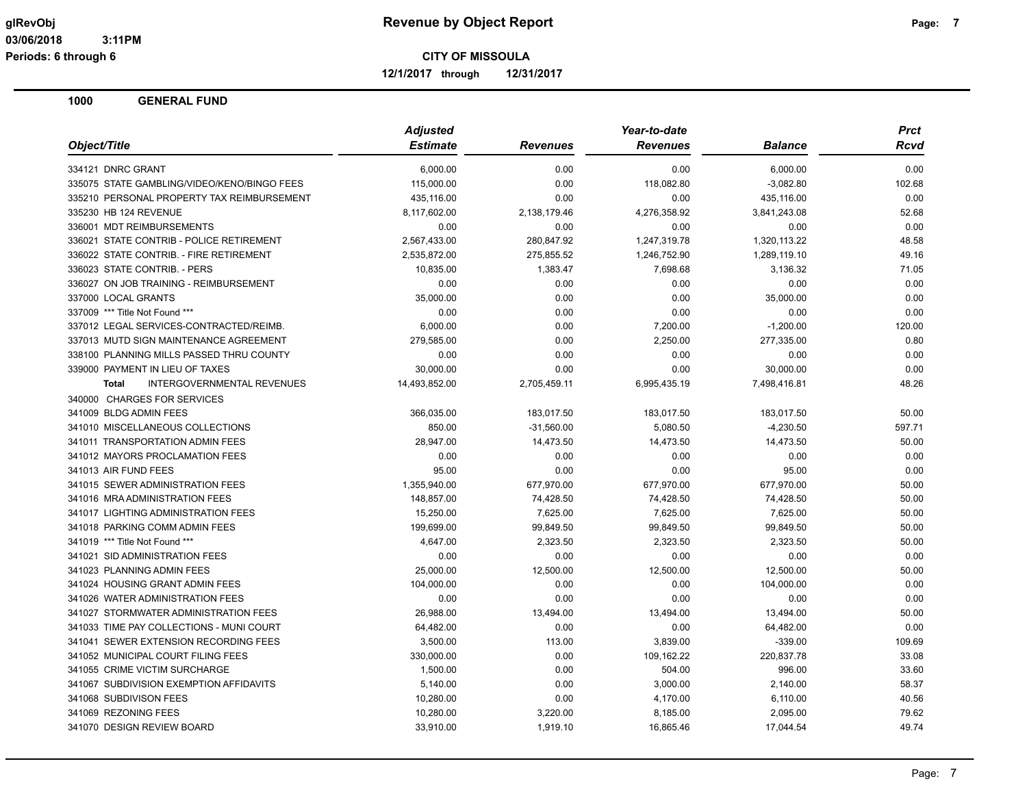**12/1/2017 through 12/31/2017**

| Object/Title                                      | <b>Adjusted</b> |                 | Year-to-date    |                | <b>Prct</b> |
|---------------------------------------------------|-----------------|-----------------|-----------------|----------------|-------------|
|                                                   | <b>Estimate</b> | <b>Revenues</b> | <b>Revenues</b> | <b>Balance</b> | Rcvd        |
| 334121 DNRC GRANT                                 | 6,000.00        | 0.00            | 0.00            | 6,000.00       | 0.00        |
| 335075 STATE GAMBLING/VIDEO/KENO/BINGO FEES       | 115,000.00      | 0.00            | 118,082.80      | $-3,082.80$    | 102.68      |
| 335210 PERSONAL PROPERTY TAX REIMBURSEMENT        | 435,116.00      | 0.00            | 0.00            | 435,116.00     | 0.00        |
| 335230 HB 124 REVENUE                             | 8,117,602.00    | 2,138,179.46    | 4,276,358.92    | 3,841,243.08   | 52.68       |
| 336001 MDT REIMBURSEMENTS                         | 0.00            | 0.00            | 0.00            | 0.00           | 0.00        |
| 336021 STATE CONTRIB - POLICE RETIREMENT          | 2,567,433.00    | 280.847.92      | 1,247,319.78    | 1.320.113.22   | 48.58       |
| 336022 STATE CONTRIB. - FIRE RETIREMENT           | 2,535,872.00    | 275,855.52      | 1,246,752.90    | 1,289,119.10   | 49.16       |
| 336023 STATE CONTRIB. - PERS                      | 10,835.00       | 1,383.47        | 7,698.68        | 3,136.32       | 71.05       |
| 336027 ON JOB TRAINING - REIMBURSEMENT            | 0.00            | 0.00            | 0.00            | 0.00           | 0.00        |
| 337000 LOCAL GRANTS                               | 35,000.00       | 0.00            | 0.00            | 35,000.00      | 0.00        |
| 337009 *** Title Not Found ***                    | 0.00            | 0.00            | 0.00            | 0.00           | 0.00        |
| 337012 LEGAL SERVICES-CONTRACTED/REIMB.           | 6,000.00        | 0.00            | 7,200.00        | $-1,200.00$    | 120.00      |
| 337013 MUTD SIGN MAINTENANCE AGREEMENT            | 279,585.00      | 0.00            | 2,250.00        | 277,335.00     | 0.80        |
| 338100 PLANNING MILLS PASSED THRU COUNTY          | 0.00            | 0.00            | 0.00            | 0.00           | 0.00        |
| 339000 PAYMENT IN LIEU OF TAXES                   | 30,000.00       | 0.00            | 0.00            | 30,000.00      | 0.00        |
| <b>INTERGOVERNMENTAL REVENUES</b><br><b>Total</b> | 14,493,852.00   | 2,705,459.11    | 6,995,435.19    | 7,498,416.81   | 48.26       |
| 340000 CHARGES FOR SERVICES                       |                 |                 |                 |                |             |
| 341009 BLDG ADMIN FEES                            | 366,035.00      | 183,017.50      | 183,017.50      | 183,017.50     | 50.00       |
| 341010 MISCELLANEOUS COLLECTIONS                  | 850.00          | $-31,560.00$    | 5,080.50        | $-4,230.50$    | 597.71      |
| 341011 TRANSPORTATION ADMIN FEES                  | 28,947.00       | 14,473.50       | 14,473.50       | 14,473.50      | 50.00       |
| 341012 MAYORS PROCLAMATION FEES                   | 0.00            | 0.00            | 0.00            | 0.00           | 0.00        |
| 341013 AIR FUND FEES                              | 95.00           | 0.00            | 0.00            | 95.00          | 0.00        |
| 341015 SEWER ADMINISTRATION FEES                  | 1,355,940.00    | 677,970.00      | 677,970.00      | 677,970.00     | 50.00       |
| 341016 MRA ADMINISTRATION FEES                    | 148,857.00      | 74,428.50       | 74,428.50       | 74,428.50      | 50.00       |
| 341017 LIGHTING ADMINISTRATION FEES               | 15,250.00       | 7,625.00        | 7,625.00        | 7,625.00       | 50.00       |
| 341018 PARKING COMM ADMIN FEES                    | 199.699.00      | 99,849.50       | 99,849.50       | 99,849.50      | 50.00       |
| 341019 *** Title Not Found ***                    | 4,647.00        | 2,323.50        | 2,323.50        | 2,323.50       | 50.00       |
| 341021 SID ADMINISTRATION FEES                    | 0.00            | 0.00            | 0.00            | 0.00           | 0.00        |
| 341023 PLANNING ADMIN FEES                        | 25,000.00       | 12,500.00       | 12,500.00       | 12,500.00      | 50.00       |
| 341024 HOUSING GRANT ADMIN FEES                   | 104,000.00      | 0.00            | 0.00            | 104,000.00     | 0.00        |
| 341026 WATER ADMINISTRATION FEES                  | 0.00            | 0.00            | 0.00            | 0.00           | 0.00        |
| 341027 STORMWATER ADMINISTRATION FEES             | 26,988.00       | 13,494.00       | 13,494.00       | 13,494.00      | 50.00       |
| 341033 TIME PAY COLLECTIONS - MUNI COURT          | 64,482.00       | 0.00            | 0.00            | 64,482.00      | 0.00        |
| 341041 SEWER EXTENSION RECORDING FEES             | 3,500.00        | 113.00          | 3,839.00        | $-339.00$      | 109.69      |
| 341052 MUNICIPAL COURT FILING FEES                | 330,000.00      | 0.00            | 109,162.22      | 220,837.78     | 33.08       |
| 341055 CRIME VICTIM SURCHARGE                     | 1,500.00        | 0.00            | 504.00          | 996.00         | 33.60       |
| 341067 SUBDIVISION EXEMPTION AFFIDAVITS           | 5,140.00        | 0.00            | 3,000.00        | 2,140.00       | 58.37       |
| 341068 SUBDIVISON FEES                            | 10,280.00       | 0.00            | 4,170.00        | 6,110.00       | 40.56       |
| 341069 REZONING FEES                              | 10,280.00       | 3,220.00        | 8,185.00        | 2,095.00       | 79.62       |
| 341070 DESIGN REVIEW BOARD                        | 33,910.00       | 1,919.10        | 16,865.46       | 17,044.54      | 49.74       |
|                                                   |                 |                 |                 |                |             |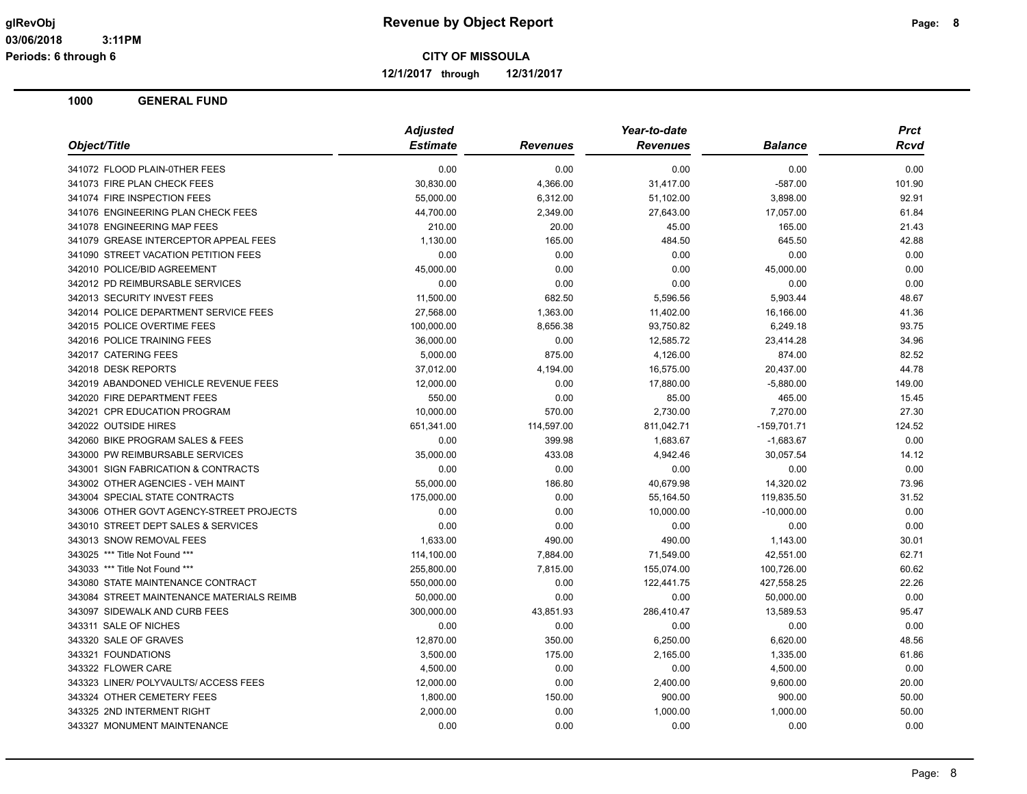**12/1/2017 through 12/31/2017**

| Object/Title                              | <b>Adjusted</b> |                 | Year-to-date    |                | <b>Prct</b> |
|-------------------------------------------|-----------------|-----------------|-----------------|----------------|-------------|
|                                           | <b>Estimate</b> | <b>Revenues</b> | <b>Revenues</b> | <b>Balance</b> | Rcvd        |
| 341072 FLOOD PLAIN-0THER FEES             | 0.00            | 0.00            | 0.00            | 0.00           | 0.00        |
| 341073 FIRE PLAN CHECK FEES               | 30,830.00       | 4,366.00        | 31,417.00       | $-587.00$      | 101.90      |
| 341074 FIRE INSPECTION FEES               | 55,000.00       | 6,312.00        | 51,102.00       | 3,898.00       | 92.91       |
| 341076 ENGINEERING PLAN CHECK FEES        | 44,700.00       | 2,349.00        | 27,643.00       | 17,057.00      | 61.84       |
| 341078 ENGINEERING MAP FEES               | 210.00          | 20.00           | 45.00           | 165.00         | 21.43       |
| 341079 GREASE INTERCEPTOR APPEAL FEES     | 1,130.00        | 165.00          | 484.50          | 645.50         | 42.88       |
| 341090 STREET VACATION PETITION FEES      | 0.00            | 0.00            | 0.00            | 0.00           | 0.00        |
| 342010 POLICE/BID AGREEMENT               | 45,000.00       | 0.00            | 0.00            | 45,000.00      | 0.00        |
| 342012 PD REIMBURSABLE SERVICES           | 0.00            | 0.00            | 0.00            | 0.00           | 0.00        |
| 342013 SECURITY INVEST FEES               | 11,500.00       | 682.50          | 5,596.56        | 5,903.44       | 48.67       |
| 342014 POLICE DEPARTMENT SERVICE FEES     | 27,568.00       | 1,363.00        | 11,402.00       | 16,166.00      | 41.36       |
| 342015 POLICE OVERTIME FEES               | 100,000.00      | 8,656.38        | 93,750.82       | 6,249.18       | 93.75       |
| 342016 POLICE TRAINING FEES               | 36,000.00       | 0.00            | 12,585.72       | 23,414.28      | 34.96       |
| 342017 CATERING FEES                      | 5,000.00        | 875.00          | 4,126.00        | 874.00         | 82.52       |
| 342018 DESK REPORTS                       | 37,012.00       | 4,194.00        | 16,575.00       | 20,437.00      | 44.78       |
| 342019 ABANDONED VEHICLE REVENUE FEES     | 12,000.00       | 0.00            | 17,880.00       | $-5,880.00$    | 149.00      |
| 342020 FIRE DEPARTMENT FEES               | 550.00          | 0.00            | 85.00           | 465.00         | 15.45       |
| 342021 CPR EDUCATION PROGRAM              | 10,000.00       | 570.00          | 2,730.00        | 7,270.00       | 27.30       |
| 342022 OUTSIDE HIRES                      | 651,341.00      | 114,597.00      | 811,042.71      | $-159,701.71$  | 124.52      |
| 342060 BIKE PROGRAM SALES & FEES          | 0.00            | 399.98          | 1,683.67        | $-1,683.67$    | 0.00        |
| 343000 PW REIMBURSABLE SERVICES           | 35,000.00       | 433.08          | 4,942.46        | 30,057.54      | 14.12       |
| 343001 SIGN FABRICATION & CONTRACTS       | 0.00            | 0.00            | 0.00            | 0.00           | 0.00        |
| 343002 OTHER AGENCIES - VEH MAINT         | 55,000.00       | 186.80          | 40,679.98       | 14,320.02      | 73.96       |
| 343004 SPECIAL STATE CONTRACTS            | 175,000.00      | 0.00            | 55,164.50       | 119,835.50     | 31.52       |
| 343006 OTHER GOVT AGENCY-STREET PROJECTS  | 0.00            | 0.00            | 10,000.00       | $-10,000.00$   | 0.00        |
| 343010 STREET DEPT SALES & SERVICES       | 0.00            | 0.00            | 0.00            | 0.00           | 0.00        |
| 343013 SNOW REMOVAL FEES                  | 1,633.00        | 490.00          | 490.00          | 1,143.00       | 30.01       |
| 343025 *** Title Not Found ***            | 114,100.00      | 7,884.00        | 71,549.00       | 42,551.00      | 62.71       |
| 343033 *** Title Not Found ***            | 255,800.00      | 7,815.00        | 155,074.00      | 100,726.00     | 60.62       |
| 343080 STATE MAINTENANCE CONTRACT         | 550,000.00      | 0.00            | 122,441.75      | 427,558.25     | 22.26       |
| 343084 STREET MAINTENANCE MATERIALS REIMB | 50,000.00       | 0.00            | 0.00            | 50,000.00      | 0.00        |
| 343097 SIDEWALK AND CURB FEES             | 300,000.00      | 43,851.93       | 286,410.47      | 13,589.53      | 95.47       |
| 343311 SALE OF NICHES                     | 0.00            | 0.00            | 0.00            | 0.00           | 0.00        |
| 343320 SALE OF GRAVES                     | 12,870.00       | 350.00          | 6,250.00        | 6,620.00       | 48.56       |
| 343321 FOUNDATIONS                        | 3,500.00        | 175.00          | 2,165.00        | 1,335.00       | 61.86       |
| 343322 FLOWER CARE                        | 4,500.00        | 0.00            | 0.00            | 4,500.00       | 0.00        |
| 343323 LINER/ POLYVAULTS/ ACCESS FEES     | 12,000.00       | 0.00            | 2,400.00        | 9,600.00       | 20.00       |
| 343324 OTHER CEMETERY FEES                | 1,800.00        | 150.00          | 900.00          | 900.00         | 50.00       |
| 343325 2ND INTERMENT RIGHT                | 2,000.00        | 0.00            | 1,000.00        | 1,000.00       | 50.00       |
| 343327 MONUMENT MAINTENANCE               | 0.00            | 0.00            | 0.00            | 0.00           | 0.00        |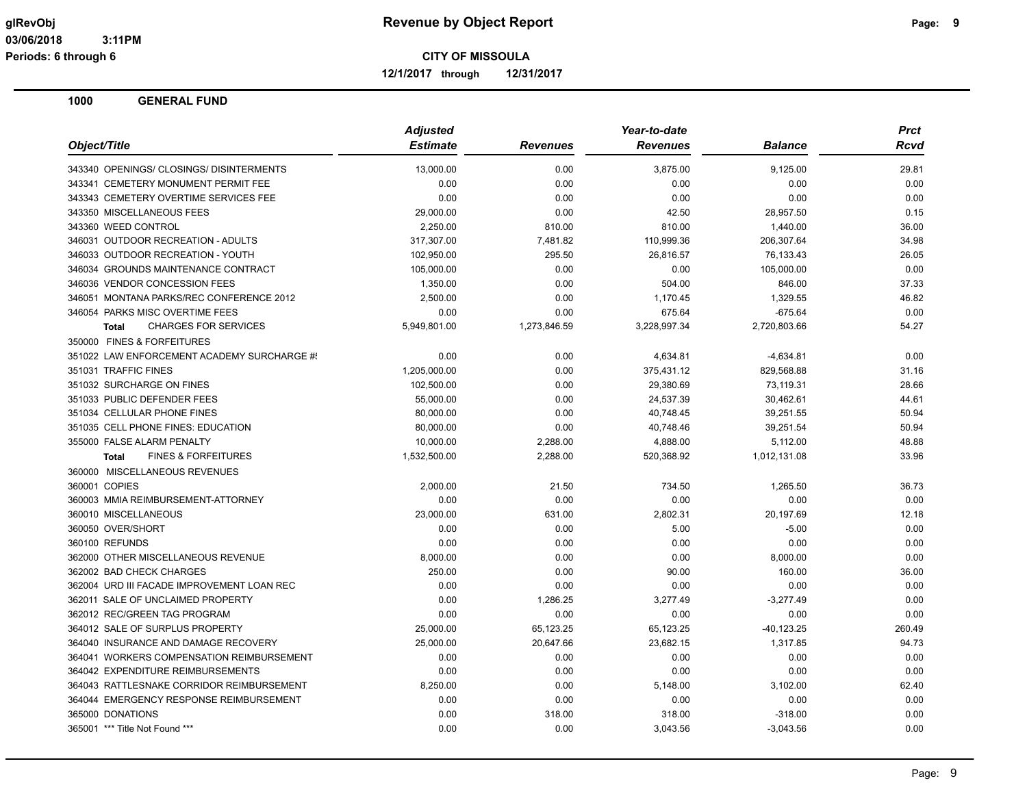**12/1/2017 through 12/31/2017**

| Object/Title                                   | <b>Adjusted</b> |                 | Year-to-date    |                | <b>Prct</b> |
|------------------------------------------------|-----------------|-----------------|-----------------|----------------|-------------|
|                                                | <b>Estimate</b> | <b>Revenues</b> | <b>Revenues</b> | <b>Balance</b> | Rcvd        |
| 343340 OPENINGS/ CLOSINGS/ DISINTERMENTS       | 13,000.00       | 0.00            | 3,875.00        | 9,125.00       | 29.81       |
| 343341 CEMETERY MONUMENT PERMIT FEE            | 0.00            | 0.00            | 0.00            | 0.00           | 0.00        |
| 343343 CEMETERY OVERTIME SERVICES FEE          | 0.00            | 0.00            | 0.00            | 0.00           | 0.00        |
| 343350 MISCELLANEOUS FEES                      | 29,000.00       | 0.00            | 42.50           | 28,957.50      | 0.15        |
| 343360 WEED CONTROL                            | 2,250.00        | 810.00          | 810.00          | 1,440.00       | 36.00       |
| 346031 OUTDOOR RECREATION - ADULTS             | 317,307.00      | 7,481.82        | 110,999.36      | 206,307.64     | 34.98       |
| 346033 OUTDOOR RECREATION - YOUTH              | 102,950.00      | 295.50          | 26,816.57       | 76.133.43      | 26.05       |
| 346034 GROUNDS MAINTENANCE CONTRACT            | 105,000.00      | 0.00            | 0.00            | 105,000.00     | 0.00        |
| 346036 VENDOR CONCESSION FEES                  | 1,350.00        | 0.00            | 504.00          | 846.00         | 37.33       |
| 346051 MONTANA PARKS/REC CONFERENCE 2012       | 2,500.00        | 0.00            | 1,170.45        | 1,329.55       | 46.82       |
| 346054 PARKS MISC OVERTIME FEES                | 0.00            | 0.00            | 675.64          | $-675.64$      | 0.00        |
| <b>CHARGES FOR SERVICES</b><br><b>Total</b>    | 5,949,801.00    | 1,273,846.59    | 3,228,997.34    | 2,720,803.66   | 54.27       |
| 350000 FINES & FORFEITURES                     |                 |                 |                 |                |             |
| 351022 LAW ENFORCEMENT ACADEMY SURCHARGE #!    | 0.00            | 0.00            | 4,634.81        | $-4,634.81$    | 0.00        |
| 351031 TRAFFIC FINES                           | 1,205,000.00    | 0.00            | 375,431.12      | 829,568.88     | 31.16       |
| 351032 SURCHARGE ON FINES                      | 102,500.00      | 0.00            | 29,380.69       | 73,119.31      | 28.66       |
| 351033 PUBLIC DEFENDER FEES                    | 55,000.00       | 0.00            | 24,537.39       | 30,462.61      | 44.61       |
| 351034 CELLULAR PHONE FINES                    | 80,000.00       | 0.00            | 40,748.45       | 39,251.55      | 50.94       |
| 351035 CELL PHONE FINES: EDUCATION             | 80,000.00       | 0.00            | 40,748.46       | 39,251.54      | 50.94       |
| 355000 FALSE ALARM PENALTY                     | 10,000.00       | 2,288.00        | 4,888.00        | 5,112.00       | 48.88       |
| <b>FINES &amp; FORFEITURES</b><br><b>Total</b> | 1,532,500.00    | 2,288.00        | 520,368.92      | 1,012,131.08   | 33.96       |
| 360000 MISCELLANEOUS REVENUES                  |                 |                 |                 |                |             |
| 360001 COPIES                                  | 2,000.00        | 21.50           | 734.50          | 1,265.50       | 36.73       |
| 360003 MMIA REIMBURSEMENT-ATTORNEY             | 0.00            | 0.00            | 0.00            | 0.00           | 0.00        |
| 360010 MISCELLANEOUS                           | 23,000.00       | 631.00          | 2,802.31        | 20,197.69      | 12.18       |
| 360050 OVER/SHORT                              | 0.00            | 0.00            | 5.00            | $-5.00$        | 0.00        |
| 360100 REFUNDS                                 | 0.00            | 0.00            | 0.00            | 0.00           | 0.00        |
| 362000 OTHER MISCELLANEOUS REVENUE             | 8,000.00        | 0.00            | 0.00            | 8,000.00       | 0.00        |
| 362002 BAD CHECK CHARGES                       | 250.00          | 0.00            | 90.00           | 160.00         | 36.00       |
| 362004 URD III FACADE IMPROVEMENT LOAN REC     | 0.00            | 0.00            | 0.00            | 0.00           | 0.00        |
| 362011 SALE OF UNCLAIMED PROPERTY              | 0.00            | 1,286.25        | 3,277.49        | $-3,277.49$    | 0.00        |
| 362012 REC/GREEN TAG PROGRAM                   | 0.00            | 0.00            | 0.00            | 0.00           | 0.00        |
| 364012 SALE OF SURPLUS PROPERTY                | 25,000.00       | 65,123.25       | 65,123.25       | $-40, 123.25$  | 260.49      |
| 364040 INSURANCE AND DAMAGE RECOVERY           | 25,000.00       | 20,647.66       | 23,682.15       | 1,317.85       | 94.73       |
| 364041 WORKERS COMPENSATION REIMBURSEMENT      | 0.00            | 0.00            | 0.00            | 0.00           | 0.00        |
| 364042 EXPENDITURE REIMBURSEMENTS              | 0.00            | 0.00            | 0.00            | 0.00           | 0.00        |
| 364043 RATTLESNAKE CORRIDOR REIMBURSEMENT      | 8,250.00        | 0.00            | 5,148.00        | 3,102.00       | 62.40       |
| 364044 EMERGENCY RESPONSE REIMBURSEMENT        | 0.00            | 0.00            | 0.00            | 0.00           | 0.00        |
| 365000 DONATIONS                               | 0.00            | 318.00          | 318.00          | $-318.00$      | 0.00        |
| 365001 *** Title Not Found ***                 | 0.00            | 0.00            | 3,043.56        | $-3,043.56$    | 0.00        |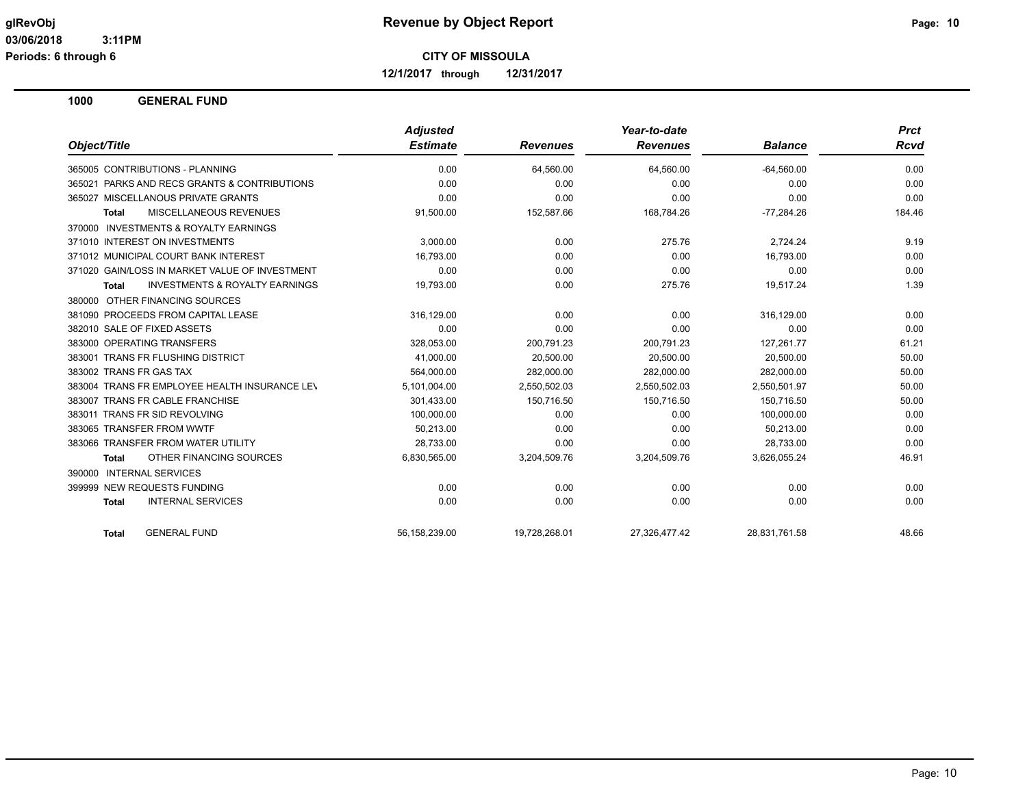**12/1/2017 through 12/31/2017**

|                                                     | <b>Adjusted</b> |                 | Year-to-date    |                | <b>Prct</b> |
|-----------------------------------------------------|-----------------|-----------------|-----------------|----------------|-------------|
| Object/Title                                        | <b>Estimate</b> | <b>Revenues</b> | <b>Revenues</b> | <b>Balance</b> | Rcvd        |
| 365005 CONTRIBUTIONS - PLANNING                     | 0.00            | 64,560.00       | 64,560.00       | $-64,560.00$   | 0.00        |
| 365021 PARKS AND RECS GRANTS & CONTRIBUTIONS        | 0.00            | 0.00            | 0.00            | 0.00           | 0.00        |
| 365027 MISCELLANOUS PRIVATE GRANTS                  | 0.00            | 0.00            | 0.00            | 0.00           | 0.00        |
| <b>MISCELLANEOUS REVENUES</b><br><b>Total</b>       | 91,500.00       | 152,587.66      | 168,784.26      | $-77,284.26$   | 184.46      |
| <b>INVESTMENTS &amp; ROYALTY EARNINGS</b><br>370000 |                 |                 |                 |                |             |
| 371010 INTEREST ON INVESTMENTS                      | 3.000.00        | 0.00            | 275.76          | 2,724.24       | 9.19        |
| 371012 MUNICIPAL COURT BANK INTEREST                | 16,793.00       | 0.00            | 0.00            | 16,793.00      | 0.00        |
| 371020 GAIN/LOSS IN MARKET VALUE OF INVESTMENT      | 0.00            | 0.00            | 0.00            | 0.00           | 0.00        |
| <b>INVESTMENTS &amp; ROYALTY EARNINGS</b><br>Total  | 19,793.00       | 0.00            | 275.76          | 19.517.24      | 1.39        |
| 380000 OTHER FINANCING SOURCES                      |                 |                 |                 |                |             |
| 381090 PROCEEDS FROM CAPITAL LEASE                  | 316,129.00      | 0.00            | 0.00            | 316,129.00     | 0.00        |
| 382010 SALE OF FIXED ASSETS                         | 0.00            | 0.00            | 0.00            | 0.00           | 0.00        |
| 383000 OPERATING TRANSFERS                          | 328.053.00      | 200,791.23      | 200,791.23      | 127,261.77     | 61.21       |
| 383001 TRANS FR FLUSHING DISTRICT                   | 41.000.00       | 20.500.00       | 20.500.00       | 20.500.00      | 50.00       |
| 383002 TRANS FR GAS TAX                             | 564,000.00      | 282,000.00      | 282,000.00      | 282,000.00     | 50.00       |
| 383004 TRANS FR EMPLOYEE HEALTH INSURANCE LEV       | 5,101,004.00    | 2,550,502.03    | 2,550,502.03    | 2,550,501.97   | 50.00       |
| 383007 TRANS FR CABLE FRANCHISE                     | 301,433.00      | 150,716.50      | 150,716.50      | 150,716.50     | 50.00       |
| 383011 TRANS FR SID REVOLVING                       | 100,000.00      | 0.00            | 0.00            | 100,000.00     | 0.00        |
| 383065 TRANSFER FROM WWTF                           | 50,213.00       | 0.00            | 0.00            | 50,213.00      | 0.00        |
| 383066 TRANSFER FROM WATER UTILITY                  | 28,733.00       | 0.00            | 0.00            | 28,733.00      | 0.00        |
| OTHER FINANCING SOURCES<br><b>Total</b>             | 6,830,565.00    | 3,204,509.76    | 3,204,509.76    | 3,626,055.24   | 46.91       |
| 390000 INTERNAL SERVICES                            |                 |                 |                 |                |             |
| 399999 NEW REQUESTS FUNDING                         | 0.00            | 0.00            | 0.00            | 0.00           | 0.00        |
| <b>INTERNAL SERVICES</b><br><b>Total</b>            | 0.00            | 0.00            | 0.00            | 0.00           | 0.00        |
| <b>GENERAL FUND</b><br><b>Total</b>                 | 56,158,239.00   | 19,728,268.01   | 27,326,477.42   | 28,831,761.58  | 48.66       |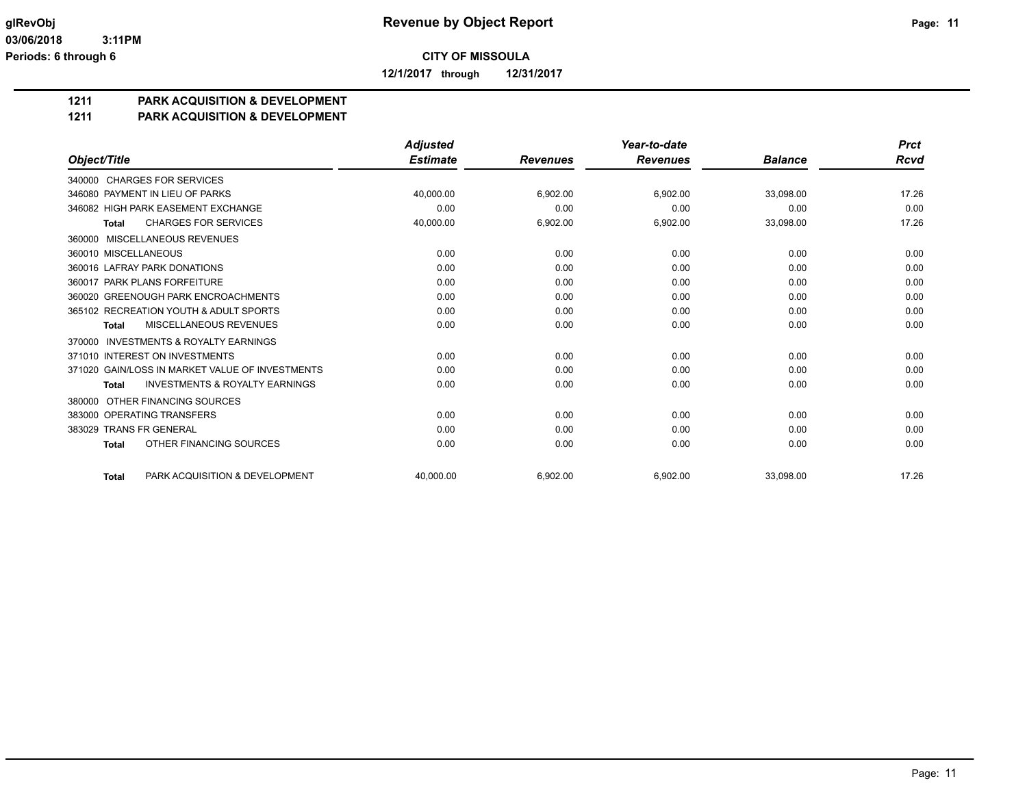**12/1/2017 through 12/31/2017**

## **1211 PARK ACQUISITION & DEVELOPMENT**

#### **1211 PARK ACQUISITION & DEVELOPMENT**

|                                                           | <b>Adjusted</b> |                 | Year-to-date    |                | <b>Prct</b> |
|-----------------------------------------------------------|-----------------|-----------------|-----------------|----------------|-------------|
| Object/Title                                              | <b>Estimate</b> | <b>Revenues</b> | <b>Revenues</b> | <b>Balance</b> | <b>Rcvd</b> |
| 340000 CHARGES FOR SERVICES                               |                 |                 |                 |                |             |
| 346080 PAYMENT IN LIEU OF PARKS                           | 40.000.00       | 6,902.00        | 6,902.00        | 33.098.00      | 17.26       |
| 346082 HIGH PARK EASEMENT EXCHANGE                        | 0.00            | 0.00            | 0.00            | 0.00           | 0.00        |
| <b>CHARGES FOR SERVICES</b><br><b>Total</b>               | 40,000.00       | 6,902.00        | 6,902.00        | 33,098.00      | 17.26       |
| MISCELLANEOUS REVENUES<br>360000                          |                 |                 |                 |                |             |
| 360010 MISCELLANEOUS                                      | 0.00            | 0.00            | 0.00            | 0.00           | 0.00        |
| 360016 LAFRAY PARK DONATIONS                              | 0.00            | 0.00            | 0.00            | 0.00           | 0.00        |
| 360017 PARK PLANS FORFEITURE                              | 0.00            | 0.00            | 0.00            | 0.00           | 0.00        |
| 360020 GREENOUGH PARK ENCROACHMENTS                       | 0.00            | 0.00            | 0.00            | 0.00           | 0.00        |
| 365102 RECREATION YOUTH & ADULT SPORTS                    | 0.00            | 0.00            | 0.00            | 0.00           | 0.00        |
| MISCELLANEOUS REVENUES<br><b>Total</b>                    | 0.00            | 0.00            | 0.00            | 0.00           | 0.00        |
| <b>INVESTMENTS &amp; ROYALTY EARNINGS</b><br>370000       |                 |                 |                 |                |             |
| 371010 INTEREST ON INVESTMENTS                            | 0.00            | 0.00            | 0.00            | 0.00           | 0.00        |
| 371020 GAIN/LOSS IN MARKET VALUE OF INVESTMENTS           | 0.00            | 0.00            | 0.00            | 0.00           | 0.00        |
| <b>INVESTMENTS &amp; ROYALTY EARNINGS</b><br><b>Total</b> | 0.00            | 0.00            | 0.00            | 0.00           | 0.00        |
| OTHER FINANCING SOURCES<br>380000                         |                 |                 |                 |                |             |
| 383000 OPERATING TRANSFERS                                | 0.00            | 0.00            | 0.00            | 0.00           | 0.00        |
| 383029 TRANS FR GENERAL                                   | 0.00            | 0.00            | 0.00            | 0.00           | 0.00        |
| OTHER FINANCING SOURCES<br><b>Total</b>                   | 0.00            | 0.00            | 0.00            | 0.00           | 0.00        |
| PARK ACQUISITION & DEVELOPMENT<br><b>Total</b>            | 40.000.00       | 6.902.00        | 6.902.00        | 33.098.00      | 17.26       |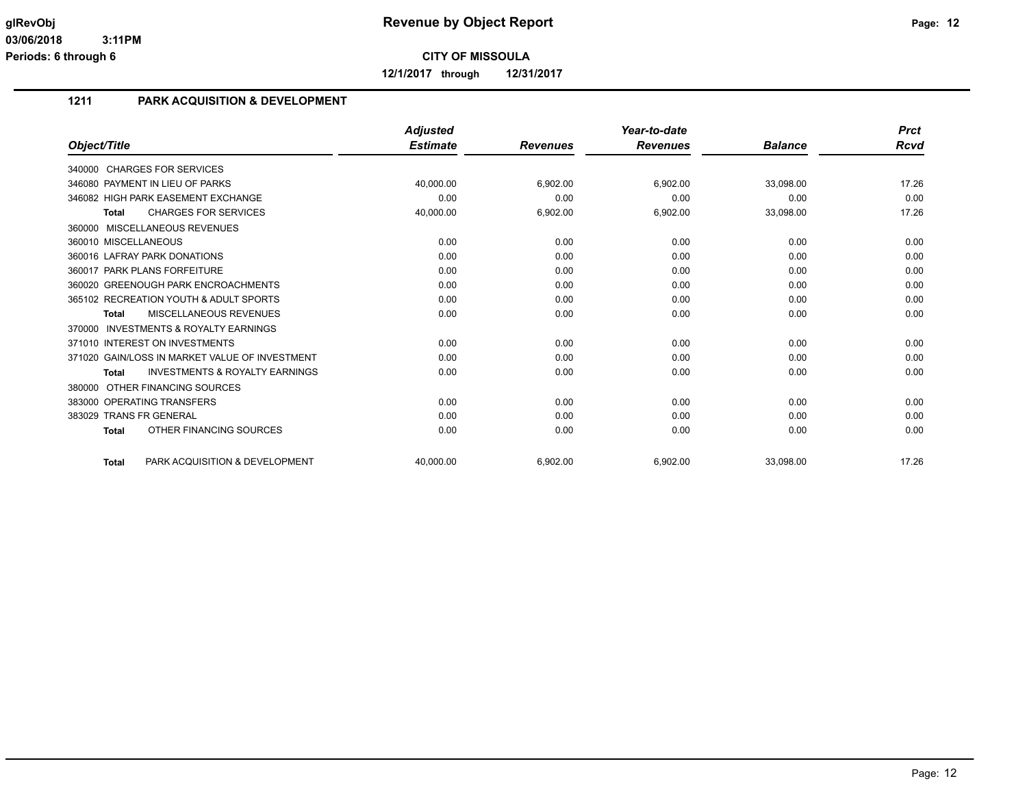**12/1/2017 through 12/31/2017**

## **1211 PARK ACQUISITION & DEVELOPMENT**

|                                                           | <b>Adjusted</b> |                 | Year-to-date    |                | <b>Prct</b> |
|-----------------------------------------------------------|-----------------|-----------------|-----------------|----------------|-------------|
| Object/Title                                              | <b>Estimate</b> | <b>Revenues</b> | <b>Revenues</b> | <b>Balance</b> | <b>Rcvd</b> |
| 340000 CHARGES FOR SERVICES                               |                 |                 |                 |                |             |
| 346080 PAYMENT IN LIEU OF PARKS                           | 40,000.00       | 6,902.00        | 6,902.00        | 33,098.00      | 17.26       |
| 346082 HIGH PARK EASEMENT EXCHANGE                        | 0.00            | 0.00            | 0.00            | 0.00           | 0.00        |
| <b>CHARGES FOR SERVICES</b><br>Total                      | 40,000.00       | 6,902.00        | 6,902.00        | 33,098.00      | 17.26       |
| 360000 MISCELLANEOUS REVENUES                             |                 |                 |                 |                |             |
| 360010 MISCELLANEOUS                                      | 0.00            | 0.00            | 0.00            | 0.00           | 0.00        |
| 360016 LAFRAY PARK DONATIONS                              | 0.00            | 0.00            | 0.00            | 0.00           | 0.00        |
| 360017 PARK PLANS FORFEITURE                              | 0.00            | 0.00            | 0.00            | 0.00           | 0.00        |
| 360020 GREENOUGH PARK ENCROACHMENTS                       | 0.00            | 0.00            | 0.00            | 0.00           | 0.00        |
| 365102 RECREATION YOUTH & ADULT SPORTS                    | 0.00            | 0.00            | 0.00            | 0.00           | 0.00        |
| MISCELLANEOUS REVENUES<br><b>Total</b>                    | 0.00            | 0.00            | 0.00            | 0.00           | 0.00        |
| <b>INVESTMENTS &amp; ROYALTY EARNINGS</b><br>370000       |                 |                 |                 |                |             |
| 371010 INTEREST ON INVESTMENTS                            | 0.00            | 0.00            | 0.00            | 0.00           | 0.00        |
| 371020 GAIN/LOSS IN MARKET VALUE OF INVESTMENT            | 0.00            | 0.00            | 0.00            | 0.00           | 0.00        |
| <b>INVESTMENTS &amp; ROYALTY EARNINGS</b><br><b>Total</b> | 0.00            | 0.00            | 0.00            | 0.00           | 0.00        |
| OTHER FINANCING SOURCES<br>380000                         |                 |                 |                 |                |             |
| 383000 OPERATING TRANSFERS                                | 0.00            | 0.00            | 0.00            | 0.00           | 0.00        |
| 383029 TRANS FR GENERAL                                   | 0.00            | 0.00            | 0.00            | 0.00           | 0.00        |
| OTHER FINANCING SOURCES<br><b>Total</b>                   | 0.00            | 0.00            | 0.00            | 0.00           | 0.00        |
| PARK ACQUISITION & DEVELOPMENT<br><b>Total</b>            | 40.000.00       | 6,902.00        | 6,902.00        | 33.098.00      | 17.26       |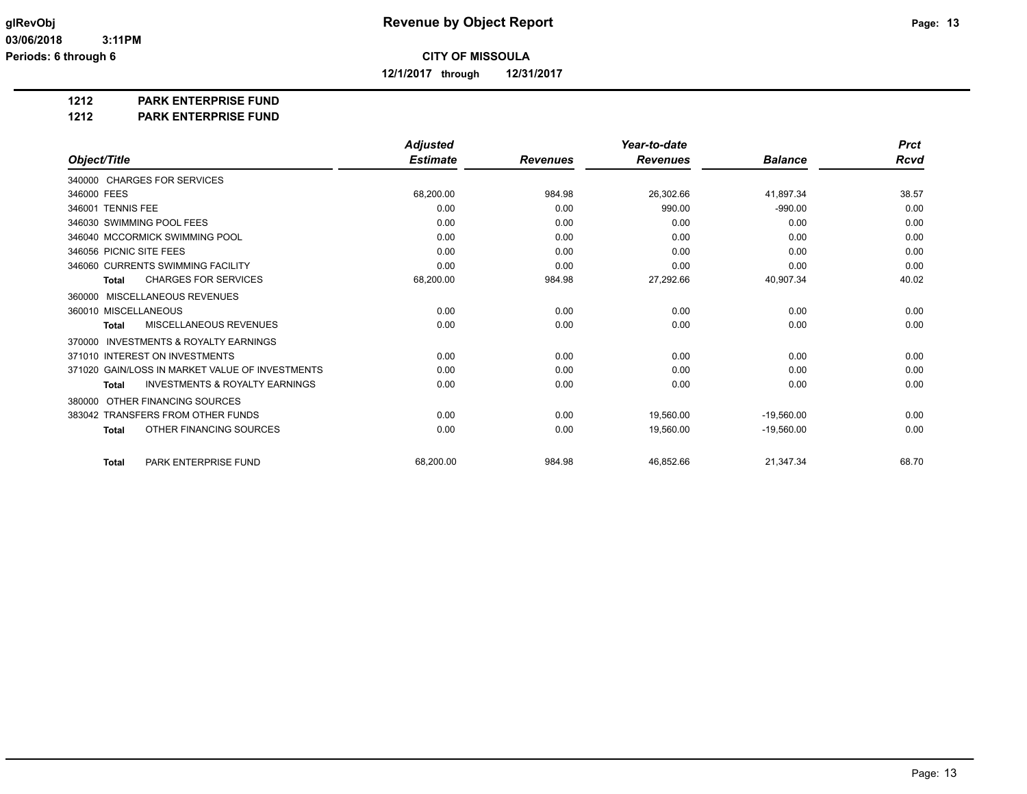**12/1/2017 through 12/31/2017**

#### **1212 PARK ENTERPRISE FUND**

#### **1212 PARK ENTERPRISE FUND**

|                                                           | <b>Adjusted</b> |                 | Year-to-date    |                | <b>Prct</b> |
|-----------------------------------------------------------|-----------------|-----------------|-----------------|----------------|-------------|
| Object/Title                                              | <b>Estimate</b> | <b>Revenues</b> | <b>Revenues</b> | <b>Balance</b> | Rcvd        |
| 340000 CHARGES FOR SERVICES                               |                 |                 |                 |                |             |
| 346000 FEES                                               | 68,200.00       | 984.98          | 26,302.66       | 41,897.34      | 38.57       |
| 346001 TENNIS FEE                                         | 0.00            | 0.00            | 990.00          | $-990.00$      | 0.00        |
| 346030 SWIMMING POOL FEES                                 | 0.00            | 0.00            | 0.00            | 0.00           | 0.00        |
| 346040 MCCORMICK SWIMMING POOL                            | 0.00            | 0.00            | 0.00            | 0.00           | 0.00        |
| 346056 PICNIC SITE FEES                                   | 0.00            | 0.00            | 0.00            | 0.00           | 0.00        |
| 346060 CURRENTS SWIMMING FACILITY                         | 0.00            | 0.00            | 0.00            | 0.00           | 0.00        |
| <b>CHARGES FOR SERVICES</b><br>Total                      | 68,200.00       | 984.98          | 27,292.66       | 40,907.34      | 40.02       |
| MISCELLANEOUS REVENUES<br>360000                          |                 |                 |                 |                |             |
| 360010 MISCELLANEOUS                                      | 0.00            | 0.00            | 0.00            | 0.00           | 0.00        |
| <b>MISCELLANEOUS REVENUES</b><br>Total                    | 0.00            | 0.00            | 0.00            | 0.00           | 0.00        |
| INVESTMENTS & ROYALTY EARNINGS<br>370000                  |                 |                 |                 |                |             |
| 371010 INTEREST ON INVESTMENTS                            | 0.00            | 0.00            | 0.00            | 0.00           | 0.00        |
| 371020 GAIN/LOSS IN MARKET VALUE OF INVESTMENTS           | 0.00            | 0.00            | 0.00            | 0.00           | 0.00        |
| <b>INVESTMENTS &amp; ROYALTY EARNINGS</b><br><b>Total</b> | 0.00            | 0.00            | 0.00            | 0.00           | 0.00        |
| OTHER FINANCING SOURCES<br>380000                         |                 |                 |                 |                |             |
| 383042 TRANSFERS FROM OTHER FUNDS                         | 0.00            | 0.00            | 19,560.00       | $-19,560.00$   | 0.00        |
| OTHER FINANCING SOURCES<br><b>Total</b>                   | 0.00            | 0.00            | 19,560.00       | $-19,560.00$   | 0.00        |
| PARK ENTERPRISE FUND<br><b>Total</b>                      | 68,200.00       | 984.98          | 46,852.66       | 21,347.34      | 68.70       |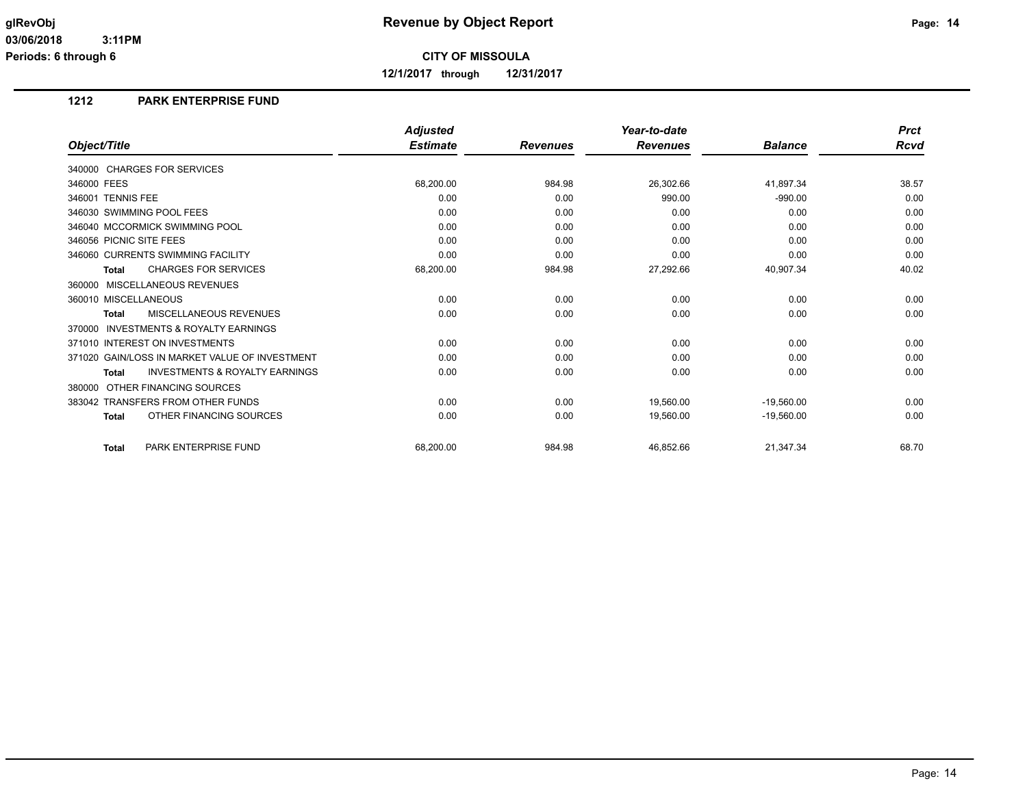**12/1/2017 through 12/31/2017**

### **1212 PARK ENTERPRISE FUND**

|                                                           | <b>Adjusted</b> |                 | Year-to-date    |                | <b>Prct</b> |
|-----------------------------------------------------------|-----------------|-----------------|-----------------|----------------|-------------|
| Object/Title                                              | <b>Estimate</b> | <b>Revenues</b> | <b>Revenues</b> | <b>Balance</b> | <b>Rcvd</b> |
| 340000 CHARGES FOR SERVICES                               |                 |                 |                 |                |             |
| 346000 FEES                                               | 68,200.00       | 984.98          | 26,302.66       | 41,897.34      | 38.57       |
| 346001 TENNIS FEE                                         | 0.00            | 0.00            | 990.00          | $-990.00$      | 0.00        |
| 346030 SWIMMING POOL FEES                                 | 0.00            | 0.00            | 0.00            | 0.00           | 0.00        |
| 346040 MCCORMICK SWIMMING POOL                            | 0.00            | 0.00            | 0.00            | 0.00           | 0.00        |
| 346056 PICNIC SITE FEES                                   | 0.00            | 0.00            | 0.00            | 0.00           | 0.00        |
| 346060 CURRENTS SWIMMING FACILITY                         | 0.00            | 0.00            | 0.00            | 0.00           | 0.00        |
| <b>CHARGES FOR SERVICES</b><br>Total                      | 68,200.00       | 984.98          | 27,292.66       | 40,907.34      | 40.02       |
| 360000 MISCELLANEOUS REVENUES                             |                 |                 |                 |                |             |
| 360010 MISCELLANEOUS                                      | 0.00            | 0.00            | 0.00            | 0.00           | 0.00        |
| <b>MISCELLANEOUS REVENUES</b><br>Total                    | 0.00            | 0.00            | 0.00            | 0.00           | 0.00        |
| <b>INVESTMENTS &amp; ROYALTY EARNINGS</b><br>370000       |                 |                 |                 |                |             |
| 371010 INTEREST ON INVESTMENTS                            | 0.00            | 0.00            | 0.00            | 0.00           | 0.00        |
| 371020 GAIN/LOSS IN MARKET VALUE OF INVESTMENT            | 0.00            | 0.00            | 0.00            | 0.00           | 0.00        |
| <b>INVESTMENTS &amp; ROYALTY EARNINGS</b><br><b>Total</b> | 0.00            | 0.00            | 0.00            | 0.00           | 0.00        |
| 380000 OTHER FINANCING SOURCES                            |                 |                 |                 |                |             |
| 383042 TRANSFERS FROM OTHER FUNDS                         | 0.00            | 0.00            | 19.560.00       | $-19,560.00$   | 0.00        |
| OTHER FINANCING SOURCES<br><b>Total</b>                   | 0.00            | 0.00            | 19,560.00       | $-19,560.00$   | 0.00        |
| PARK ENTERPRISE FUND<br><b>Total</b>                      | 68,200.00       | 984.98          | 46,852.66       | 21,347.34      | 68.70       |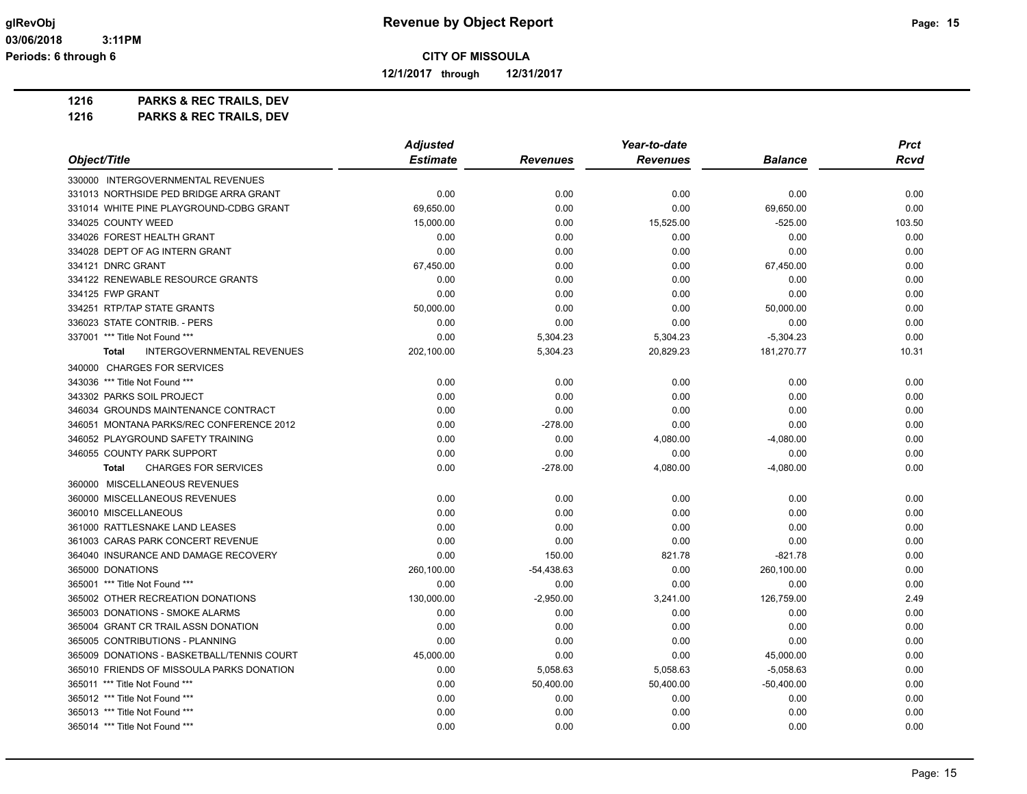**12/1/2017 through 12/31/2017**

**1216 PARKS & REC TRAILS, DEV**

|                                             | <b>Adjusted</b> |                 | Year-to-date    |                | <b>Prct</b> |
|---------------------------------------------|-----------------|-----------------|-----------------|----------------|-------------|
| Object/Title                                | <b>Estimate</b> | <b>Revenues</b> | <b>Revenues</b> | <b>Balance</b> | <b>Rcvd</b> |
| 330000 INTERGOVERNMENTAL REVENUES           |                 |                 |                 |                |             |
| 331013 NORTHSIDE PED BRIDGE ARRA GRANT      | 0.00            | 0.00            | 0.00            | 0.00           | 0.00        |
| 331014 WHITE PINE PLAYGROUND-CDBG GRANT     | 69,650.00       | 0.00            | 0.00            | 69,650.00      | 0.00        |
| 334025 COUNTY WEED                          | 15,000.00       | 0.00            | 15,525.00       | $-525.00$      | 103.50      |
| 334026 FOREST HEALTH GRANT                  | 0.00            | 0.00            | 0.00            | 0.00           | 0.00        |
| 334028 DEPT OF AG INTERN GRANT              | 0.00            | 0.00            | 0.00            | 0.00           | 0.00        |
| 334121 DNRC GRANT                           | 67,450.00       | 0.00            | 0.00            | 67,450.00      | 0.00        |
| 334122 RENEWABLE RESOURCE GRANTS            | 0.00            | 0.00            | 0.00            | 0.00           | 0.00        |
| 334125 FWP GRANT                            | 0.00            | 0.00            | 0.00            | 0.00           | 0.00        |
| 334251 RTP/TAP STATE GRANTS                 | 50,000.00       | 0.00            | 0.00            | 50,000.00      | 0.00        |
| 336023 STATE CONTRIB. - PERS                | 0.00            | 0.00            | 0.00            | 0.00           | 0.00        |
| 337001 *** Title Not Found ***              | 0.00            | 5,304.23        | 5,304.23        | $-5,304.23$    | 0.00        |
| INTERGOVERNMENTAL REVENUES<br><b>Total</b>  | 202,100.00      | 5,304.23        | 20,829.23       | 181,270.77     | 10.31       |
| 340000 CHARGES FOR SERVICES                 |                 |                 |                 |                |             |
| 343036 *** Title Not Found ***              | 0.00            | 0.00            | 0.00            | 0.00           | 0.00        |
| 343302 PARKS SOIL PROJECT                   | 0.00            | 0.00            | 0.00            | 0.00           | 0.00        |
| 346034 GROUNDS MAINTENANCE CONTRACT         | 0.00            | 0.00            | 0.00            | 0.00           | 0.00        |
| 346051 MONTANA PARKS/REC CONFERENCE 2012    | 0.00            | $-278.00$       | 0.00            | 0.00           | 0.00        |
| 346052 PLAYGROUND SAFETY TRAINING           | 0.00            | 0.00            | 4,080.00        | $-4,080.00$    | 0.00        |
| 346055 COUNTY PARK SUPPORT                  | 0.00            | 0.00            | 0.00            | 0.00           | 0.00        |
| <b>CHARGES FOR SERVICES</b><br><b>Total</b> | 0.00            | $-278.00$       | 4,080.00        | $-4,080.00$    | 0.00        |
| 360000 MISCELLANEOUS REVENUES               |                 |                 |                 |                |             |
| 360000 MISCELLANEOUS REVENUES               | 0.00            | 0.00            | 0.00            | 0.00           | 0.00        |
| 360010 MISCELLANEOUS                        | 0.00            | 0.00            | 0.00            | 0.00           | 0.00        |
| 361000 RATTLESNAKE LAND LEASES              | 0.00            | 0.00            | 0.00            | 0.00           | 0.00        |
| 361003 CARAS PARK CONCERT REVENUE           | 0.00            | 0.00            | 0.00            | 0.00           | 0.00        |
| 364040 INSURANCE AND DAMAGE RECOVERY        | 0.00            | 150.00          | 821.78          | $-821.78$      | 0.00        |
| 365000 DONATIONS                            | 260,100.00      | $-54,438.63$    | 0.00            | 260,100.00     | 0.00        |
| 365001 *** Title Not Found ***              | 0.00            | 0.00            | 0.00            | 0.00           | 0.00        |
| 365002 OTHER RECREATION DONATIONS           | 130,000.00      | $-2,950.00$     | 3,241.00        | 126,759.00     | 2.49        |
| 365003 DONATIONS - SMOKE ALARMS             | 0.00            | 0.00            | 0.00            | 0.00           | 0.00        |
| 365004 GRANT CR TRAIL ASSN DONATION         | 0.00            | 0.00            | 0.00            | 0.00           | 0.00        |
| 365005 CONTRIBUTIONS - PLANNING             | 0.00            | 0.00            | 0.00            | 0.00           | 0.00        |
| 365009 DONATIONS - BASKETBALL/TENNIS COURT  | 45,000.00       | 0.00            | 0.00            | 45,000.00      | 0.00        |
| 365010 FRIENDS OF MISSOULA PARKS DONATION   | 0.00            | 5,058.63        | 5,058.63        | $-5,058.63$    | 0.00        |
| 365011 *** Title Not Found ***              | 0.00            | 50,400.00       | 50,400.00       | $-50,400.00$   | 0.00        |
| 365012 *** Title Not Found ***              | 0.00            | 0.00            | 0.00            | 0.00           | 0.00        |
| 365013 *** Title Not Found ***              | 0.00            | 0.00            | 0.00            | 0.00           | 0.00        |
| 365014 *** Title Not Found ***              | 0.00            | 0.00            | 0.00            | 0.00           | 0.00        |
|                                             |                 |                 |                 |                |             |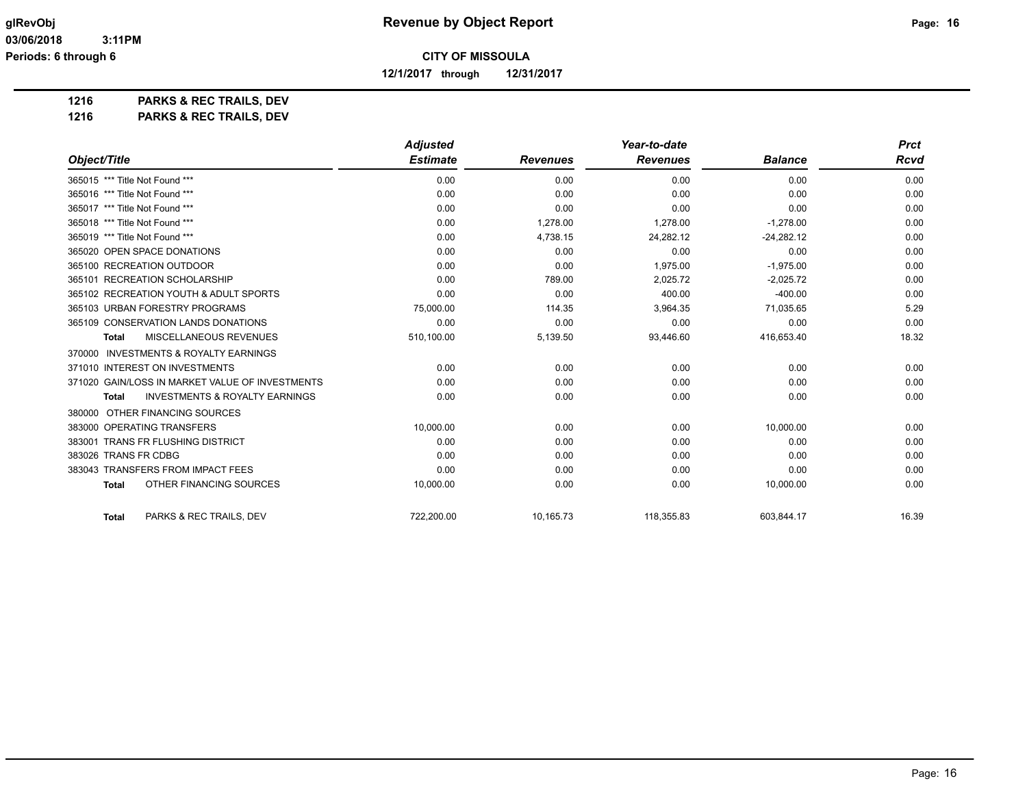**12/1/2017 through 12/31/2017**

**1216 PARKS & REC TRAILS, DEV**

|                                                           | <b>Adjusted</b> |                 | Year-to-date    |                | <b>Prct</b> |
|-----------------------------------------------------------|-----------------|-----------------|-----------------|----------------|-------------|
| Object/Title                                              | <b>Estimate</b> | <b>Revenues</b> | <b>Revenues</b> | <b>Balance</b> | Rcvd        |
| 365015 *** Title Not Found ***                            | 0.00            | 0.00            | 0.00            | 0.00           | 0.00        |
| 365016 *** Title Not Found ***                            | 0.00            | 0.00            | 0.00            | 0.00           | 0.00        |
| 365017 *** Title Not Found ***                            | 0.00            | 0.00            | 0.00            | 0.00           | 0.00        |
| 365018 *** Title Not Found ***                            | 0.00            | 1,278.00        | 1,278.00        | $-1,278.00$    | 0.00        |
| 365019 *** Title Not Found ***                            | 0.00            | 4,738.15        | 24,282.12       | $-24,282.12$   | 0.00        |
| 365020 OPEN SPACE DONATIONS                               | 0.00            | 0.00            | 0.00            | 0.00           | 0.00        |
| 365100 RECREATION OUTDOOR                                 | 0.00            | 0.00            | 1,975.00        | $-1,975.00$    | 0.00        |
| 365101 RECREATION SCHOLARSHIP                             | 0.00            | 789.00          | 2,025.72        | $-2,025.72$    | 0.00        |
| 365102 RECREATION YOUTH & ADULT SPORTS                    | 0.00            | 0.00            | 400.00          | $-400.00$      | 0.00        |
| 365103 URBAN FORESTRY PROGRAMS                            | 75,000.00       | 114.35          | 3,964.35        | 71,035.65      | 5.29        |
| 365109 CONSERVATION LANDS DONATIONS                       | 0.00            | 0.00            | 0.00            | 0.00           | 0.00        |
| MISCELLANEOUS REVENUES<br><b>Total</b>                    | 510,100.00      | 5,139.50        | 93,446.60       | 416,653.40     | 18.32       |
| 370000 INVESTMENTS & ROYALTY EARNINGS                     |                 |                 |                 |                |             |
| 371010 INTEREST ON INVESTMENTS                            | 0.00            | 0.00            | 0.00            | 0.00           | 0.00        |
| 371020 GAIN/LOSS IN MARKET VALUE OF INVESTMENTS           | 0.00            | 0.00            | 0.00            | 0.00           | 0.00        |
| <b>INVESTMENTS &amp; ROYALTY EARNINGS</b><br><b>Total</b> | 0.00            | 0.00            | 0.00            | 0.00           | 0.00        |
| 380000 OTHER FINANCING SOURCES                            |                 |                 |                 |                |             |
| 383000 OPERATING TRANSFERS                                | 10,000.00       | 0.00            | 0.00            | 10,000.00      | 0.00        |
| 383001 TRANS FR FLUSHING DISTRICT                         | 0.00            | 0.00            | 0.00            | 0.00           | 0.00        |
| 383026 TRANS FR CDBG                                      | 0.00            | 0.00            | 0.00            | 0.00           | 0.00        |
| 383043 TRANSFERS FROM IMPACT FEES                         | 0.00            | 0.00            | 0.00            | 0.00           | 0.00        |
| <b>OTHER FINANCING SOURCES</b><br><b>Total</b>            | 10,000.00       | 0.00            | 0.00            | 10,000.00      | 0.00        |
| PARKS & REC TRAILS, DEV<br><b>Total</b>                   | 722,200.00      | 10,165.73       | 118,355.83      | 603,844.17     | 16.39       |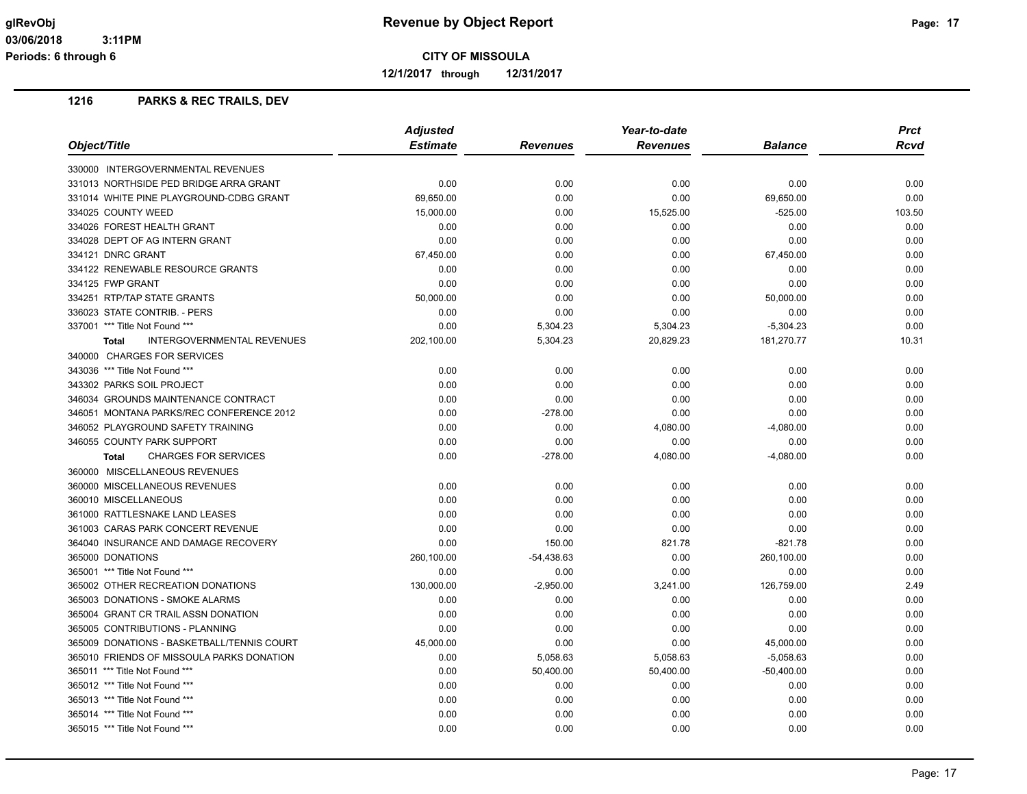**12/1/2017 through 12/31/2017**

|                                                   | <b>Adjusted</b> |                 | Year-to-date    | <b>Prct</b>    |        |
|---------------------------------------------------|-----------------|-----------------|-----------------|----------------|--------|
| Object/Title                                      | <b>Estimate</b> | <b>Revenues</b> | <b>Revenues</b> | <b>Balance</b> | Rcvd   |
| 330000 INTERGOVERNMENTAL REVENUES                 |                 |                 |                 |                |        |
| 331013 NORTHSIDE PED BRIDGE ARRA GRANT            | 0.00            | 0.00            | 0.00            | 0.00           | 0.00   |
| 331014 WHITE PINE PLAYGROUND-CDBG GRANT           | 69,650.00       | 0.00            | 0.00            | 69,650.00      | 0.00   |
| 334025 COUNTY WEED                                | 15,000.00       | 0.00            | 15,525.00       | $-525.00$      | 103.50 |
| 334026 FOREST HEALTH GRANT                        | 0.00            | 0.00            | 0.00            | 0.00           | 0.00   |
| 334028 DEPT OF AG INTERN GRANT                    | 0.00            | 0.00            | 0.00            | 0.00           | 0.00   |
| 334121 DNRC GRANT                                 | 67,450.00       | 0.00            | 0.00            | 67,450.00      | 0.00   |
| 334122 RENEWABLE RESOURCE GRANTS                  | 0.00            | 0.00            | 0.00            | 0.00           | 0.00   |
| 334125 FWP GRANT                                  | 0.00            | 0.00            | 0.00            | 0.00           | 0.00   |
| 334251 RTP/TAP STATE GRANTS                       | 50,000.00       | 0.00            | 0.00            | 50,000.00      | 0.00   |
| 336023 STATE CONTRIB. - PERS                      | 0.00            | 0.00            | 0.00            | 0.00           | 0.00   |
| 337001 *** Title Not Found ***                    | 0.00            | 5,304.23        | 5,304.23        | $-5,304.23$    | 0.00   |
| <b>INTERGOVERNMENTAL REVENUES</b><br><b>Total</b> | 202,100.00      | 5,304.23        | 20,829.23       | 181,270.77     | 10.31  |
| 340000 CHARGES FOR SERVICES                       |                 |                 |                 |                |        |
| 343036 *** Title Not Found ***                    | 0.00            | 0.00            | 0.00            | 0.00           | 0.00   |
| 343302 PARKS SOIL PROJECT                         | 0.00            | 0.00            | 0.00            | 0.00           | 0.00   |
| 346034 GROUNDS MAINTENANCE CONTRACT               | 0.00            | 0.00            | 0.00            | 0.00           | 0.00   |
| 346051 MONTANA PARKS/REC CONFERENCE 2012          | 0.00            | $-278.00$       | 0.00            | 0.00           | 0.00   |
| 346052 PLAYGROUND SAFETY TRAINING                 | 0.00            | 0.00            | 4,080.00        | $-4,080.00$    | 0.00   |
| 346055 COUNTY PARK SUPPORT                        | 0.00            | 0.00            | 0.00            | 0.00           | 0.00   |
| <b>CHARGES FOR SERVICES</b><br>Total              | 0.00            | $-278.00$       | 4,080.00        | $-4,080.00$    | 0.00   |
| 360000 MISCELLANEOUS REVENUES                     |                 |                 |                 |                |        |
| 360000 MISCELLANEOUS REVENUES                     | 0.00            | 0.00            | 0.00            | 0.00           | 0.00   |
| 360010 MISCELLANEOUS                              | 0.00            | 0.00            | 0.00            | 0.00           | 0.00   |
| 361000 RATTLESNAKE LAND LEASES                    | 0.00            | 0.00            | 0.00            | 0.00           | 0.00   |
| 361003 CARAS PARK CONCERT REVENUE                 | 0.00            | 0.00            | 0.00            | 0.00           | 0.00   |
| 364040 INSURANCE AND DAMAGE RECOVERY              | 0.00            | 150.00          | 821.78          | $-821.78$      | 0.00   |
| 365000 DONATIONS                                  | 260,100.00      | $-54,438.63$    | 0.00            | 260,100.00     | 0.00   |
| 365001 *** Title Not Found ***                    | 0.00            | 0.00            | 0.00            | 0.00           | 0.00   |
| 365002 OTHER RECREATION DONATIONS                 | 130,000.00      | $-2,950.00$     | 3,241.00        | 126,759.00     | 2.49   |
| 365003 DONATIONS - SMOKE ALARMS                   | 0.00            | 0.00            | 0.00            | 0.00           | 0.00   |
| 365004 GRANT CR TRAIL ASSN DONATION               | 0.00            | 0.00            | 0.00            | 0.00           | 0.00   |
| 365005 CONTRIBUTIONS - PLANNING                   | 0.00            | 0.00            | 0.00            | 0.00           | 0.00   |
| 365009 DONATIONS - BASKETBALL/TENNIS COURT        | 45,000.00       | 0.00            | 0.00            | 45,000.00      | 0.00   |
| 365010 FRIENDS OF MISSOULA PARKS DONATION         | 0.00            | 5,058.63        | 5,058.63        | $-5,058.63$    | 0.00   |
| 365011 *** Title Not Found ***                    | 0.00            | 50,400.00       | 50,400.00       | $-50,400.00$   | 0.00   |
| 365012 *** Title Not Found ***                    | 0.00            | 0.00            | 0.00            | 0.00           | 0.00   |
| 365013 *** Title Not Found ***                    | 0.00            | 0.00            | 0.00            | 0.00           | 0.00   |
| 365014 *** Title Not Found ***                    | 0.00            | 0.00            | 0.00            | 0.00           | 0.00   |
| 365015 *** Title Not Found ***                    | 0.00            | 0.00            | 0.00            | 0.00           | 0.00   |
|                                                   |                 |                 |                 |                |        |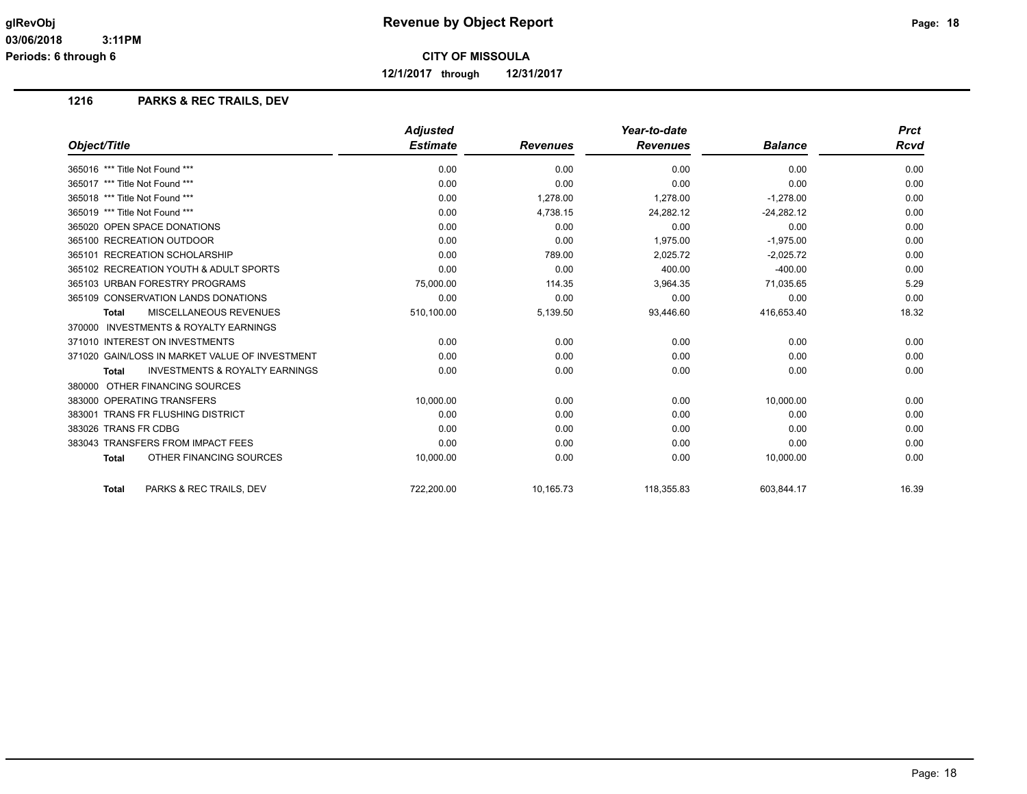**12/1/2017 through 12/31/2017**

|                                                           | <b>Adjusted</b> |                 | Year-to-date    |                | <b>Prct</b> |
|-----------------------------------------------------------|-----------------|-----------------|-----------------|----------------|-------------|
| Object/Title                                              | <b>Estimate</b> | <b>Revenues</b> | <b>Revenues</b> | <b>Balance</b> | Rcvd        |
| 365016 *** Title Not Found ***                            | 0.00            | 0.00            | 0.00            | 0.00           | 0.00        |
| 365017 *** Title Not Found ***                            | 0.00            | 0.00            | 0.00            | 0.00           | 0.00        |
| 365018 *** Title Not Found ***                            | 0.00            | 1,278.00        | 1,278.00        | $-1,278.00$    | 0.00        |
| 365019 *** Title Not Found ***                            | 0.00            | 4,738.15        | 24,282.12       | $-24,282.12$   | 0.00        |
| 365020 OPEN SPACE DONATIONS                               | 0.00            | 0.00            | 0.00            | 0.00           | 0.00        |
| 365100 RECREATION OUTDOOR                                 | 0.00            | 0.00            | 1,975.00        | $-1,975.00$    | 0.00        |
| 365101 RECREATION SCHOLARSHIP                             | 0.00            | 789.00          | 2,025.72        | $-2,025.72$    | 0.00        |
| 365102 RECREATION YOUTH & ADULT SPORTS                    | 0.00            | 0.00            | 400.00          | $-400.00$      | 0.00        |
| 365103 URBAN FORESTRY PROGRAMS                            | 75,000.00       | 114.35          | 3.964.35        | 71,035.65      | 5.29        |
| 365109 CONSERVATION LANDS DONATIONS                       | 0.00            | 0.00            | 0.00            | 0.00           | 0.00        |
| <b>MISCELLANEOUS REVENUES</b><br><b>Total</b>             | 510,100.00      | 5,139.50        | 93,446.60       | 416,653.40     | 18.32       |
| 370000 INVESTMENTS & ROYALTY EARNINGS                     |                 |                 |                 |                |             |
| 371010 INTEREST ON INVESTMENTS                            | 0.00            | 0.00            | 0.00            | 0.00           | 0.00        |
| 371020 GAIN/LOSS IN MARKET VALUE OF INVESTMENT            | 0.00            | 0.00            | 0.00            | 0.00           | 0.00        |
| <b>INVESTMENTS &amp; ROYALTY EARNINGS</b><br><b>Total</b> | 0.00            | 0.00            | 0.00            | 0.00           | 0.00        |
| 380000 OTHER FINANCING SOURCES                            |                 |                 |                 |                |             |
| 383000 OPERATING TRANSFERS                                | 10,000.00       | 0.00            | 0.00            | 10,000.00      | 0.00        |
| 383001 TRANS FR FLUSHING DISTRICT                         | 0.00            | 0.00            | 0.00            | 0.00           | 0.00        |
| 383026 TRANS FR CDBG                                      | 0.00            | 0.00            | 0.00            | 0.00           | 0.00        |
| 383043 TRANSFERS FROM IMPACT FEES                         | 0.00            | 0.00            | 0.00            | 0.00           | 0.00        |
| OTHER FINANCING SOURCES<br><b>Total</b>                   | 10,000.00       | 0.00            | 0.00            | 10,000.00      | 0.00        |
| <b>PARKS &amp; REC TRAILS, DEV</b><br><b>Total</b>        | 722,200.00      | 10,165.73       | 118,355.83      | 603,844.17     | 16.39       |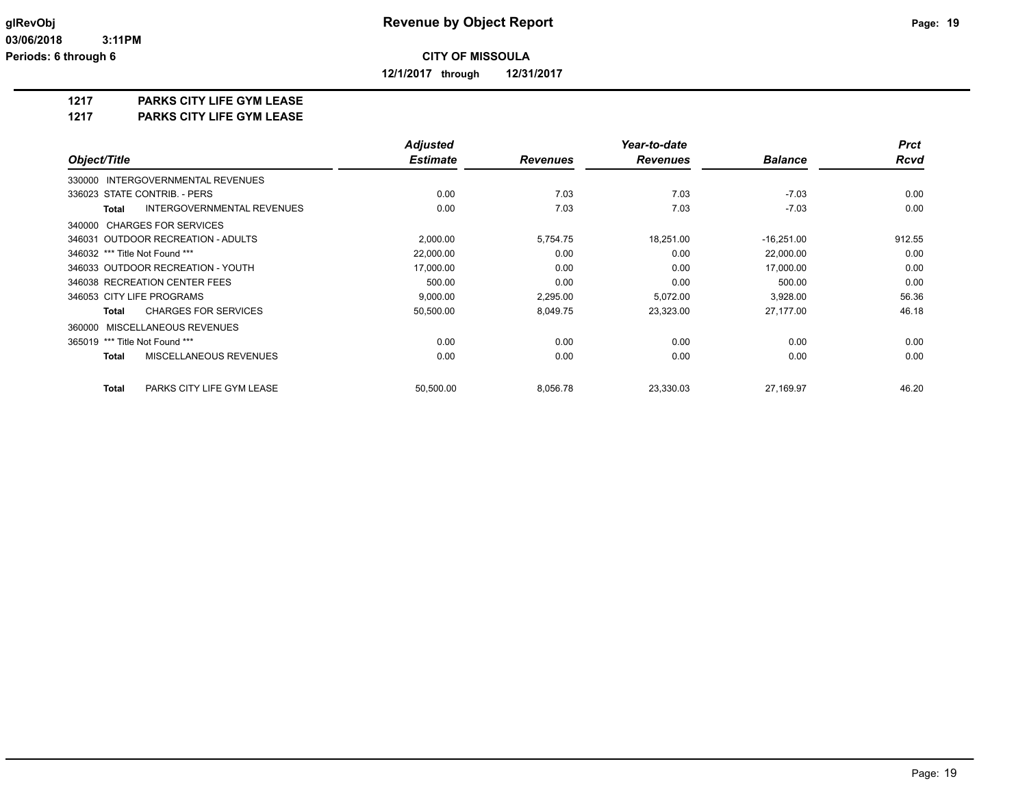**12/1/2017 through 12/31/2017**

#### **1217 PARKS CITY LIFE GYM LEASE**

**1217 PARKS CITY LIFE GYM LEASE**

|                                                   | <b>Adjusted</b> |                 | Year-to-date    |                | <b>Prct</b> |
|---------------------------------------------------|-----------------|-----------------|-----------------|----------------|-------------|
| Object/Title                                      | <b>Estimate</b> | <b>Revenues</b> | <b>Revenues</b> | <b>Balance</b> | <b>Rcvd</b> |
| <b>INTERGOVERNMENTAL REVENUES</b><br>330000       |                 |                 |                 |                |             |
| 336023 STATE CONTRIB. - PERS                      | 0.00            | 7.03            | 7.03            | $-7.03$        | 0.00        |
| <b>INTERGOVERNMENTAL REVENUES</b><br><b>Total</b> | 0.00            | 7.03            | 7.03            | $-7.03$        | 0.00        |
| 340000 CHARGES FOR SERVICES                       |                 |                 |                 |                |             |
| 346031 OUTDOOR RECREATION - ADULTS                | 2,000.00        | 5,754.75        | 18,251.00       | $-16,251.00$   | 912.55      |
| 346032 *** Title Not Found ***                    | 22,000.00       | 0.00            | 0.00            | 22,000.00      | 0.00        |
| 346033 OUTDOOR RECREATION - YOUTH                 | 17,000.00       | 0.00            | 0.00            | 17,000.00      | 0.00        |
| 346038 RECREATION CENTER FEES                     | 500.00          | 0.00            | 0.00            | 500.00         | 0.00        |
| 346053 CITY LIFE PROGRAMS                         | 9,000.00        | 2,295.00        | 5,072.00        | 3,928.00       | 56.36       |
| <b>CHARGES FOR SERVICES</b><br>Total              | 50,500.00       | 8,049.75        | 23,323.00       | 27,177.00      | 46.18       |
| 360000 MISCELLANEOUS REVENUES                     |                 |                 |                 |                |             |
| 365019 *** Title Not Found ***                    | 0.00            | 0.00            | 0.00            | 0.00           | 0.00        |
| MISCELLANEOUS REVENUES<br><b>Total</b>            | 0.00            | 0.00            | 0.00            | 0.00           | 0.00        |
| PARKS CITY LIFE GYM LEASE<br><b>Total</b>         | 50,500.00       | 8,056.78        | 23,330.03       | 27,169.97      | 46.20       |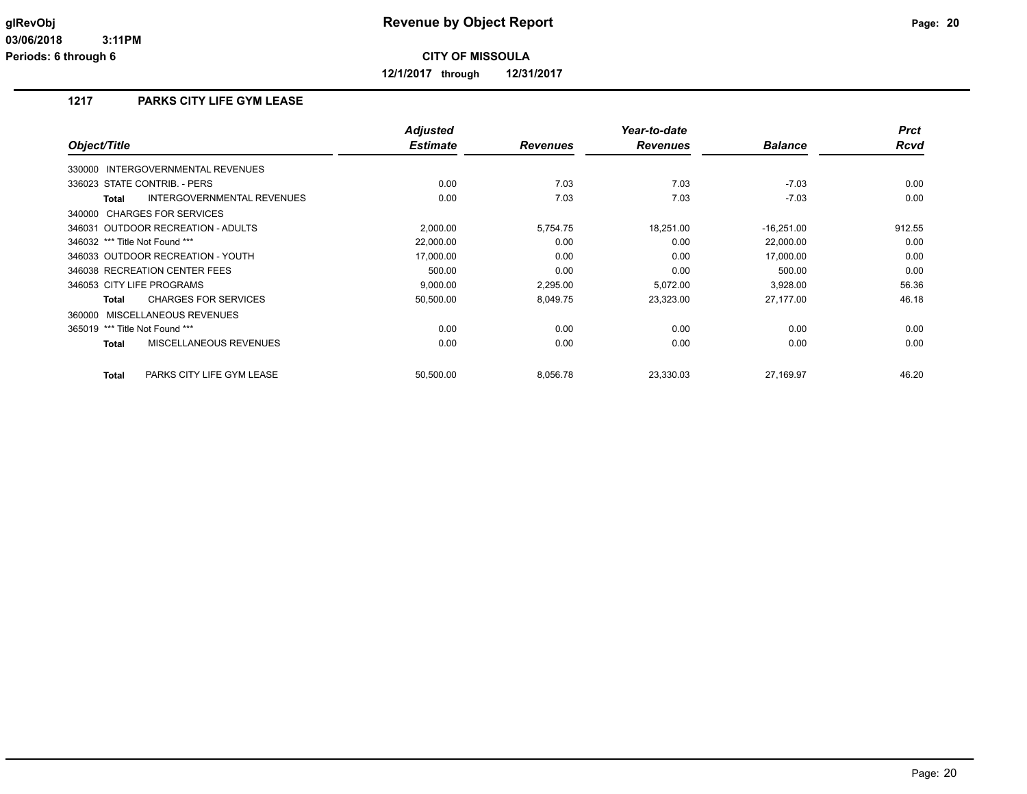**12/1/2017 through 12/31/2017**

# **1217 PARKS CITY LIFE GYM LEASE**

| Object/Title                                      | <b>Adjusted</b><br><b>Estimate</b> | <b>Revenues</b> | Year-to-date<br><b>Revenues</b> | <b>Balance</b> | <b>Prct</b><br><b>Rcvd</b> |
|---------------------------------------------------|------------------------------------|-----------------|---------------------------------|----------------|----------------------------|
| 330000 INTERGOVERNMENTAL REVENUES                 |                                    |                 |                                 |                |                            |
| 336023 STATE CONTRIB. - PERS                      | 0.00                               | 7.03            | 7.03                            | $-7.03$        | 0.00                       |
| <b>INTERGOVERNMENTAL REVENUES</b><br><b>Total</b> | 0.00                               | 7.03            | 7.03                            | $-7.03$        | 0.00                       |
| 340000 CHARGES FOR SERVICES                       |                                    |                 |                                 |                |                            |
| 346031 OUTDOOR RECREATION - ADULTS                | 2,000.00                           | 5,754.75        | 18,251.00                       | $-16,251.00$   | 912.55                     |
| 346032 *** Title Not Found ***                    | 22,000.00                          | 0.00            | 0.00                            | 22,000.00      | 0.00                       |
| 346033 OUTDOOR RECREATION - YOUTH                 | 17,000.00                          | 0.00            | 0.00                            | 17,000.00      | 0.00                       |
| 346038 RECREATION CENTER FEES                     | 500.00                             | 0.00            | 0.00                            | 500.00         | 0.00                       |
| 346053 CITY LIFE PROGRAMS                         | 9,000.00                           | 2,295.00        | 5,072.00                        | 3,928.00       | 56.36                      |
| <b>CHARGES FOR SERVICES</b><br><b>Total</b>       | 50,500.00                          | 8,049.75        | 23,323.00                       | 27,177.00      | 46.18                      |
| 360000 MISCELLANEOUS REVENUES                     |                                    |                 |                                 |                |                            |
| 365019 *** Title Not Found ***                    | 0.00                               | 0.00            | 0.00                            | 0.00           | 0.00                       |
| MISCELLANEOUS REVENUES<br><b>Total</b>            | 0.00                               | 0.00            | 0.00                            | 0.00           | 0.00                       |
| PARKS CITY LIFE GYM LEASE<br><b>Total</b>         | 50,500.00                          | 8,056.78        | 23,330.03                       | 27.169.97      | 46.20                      |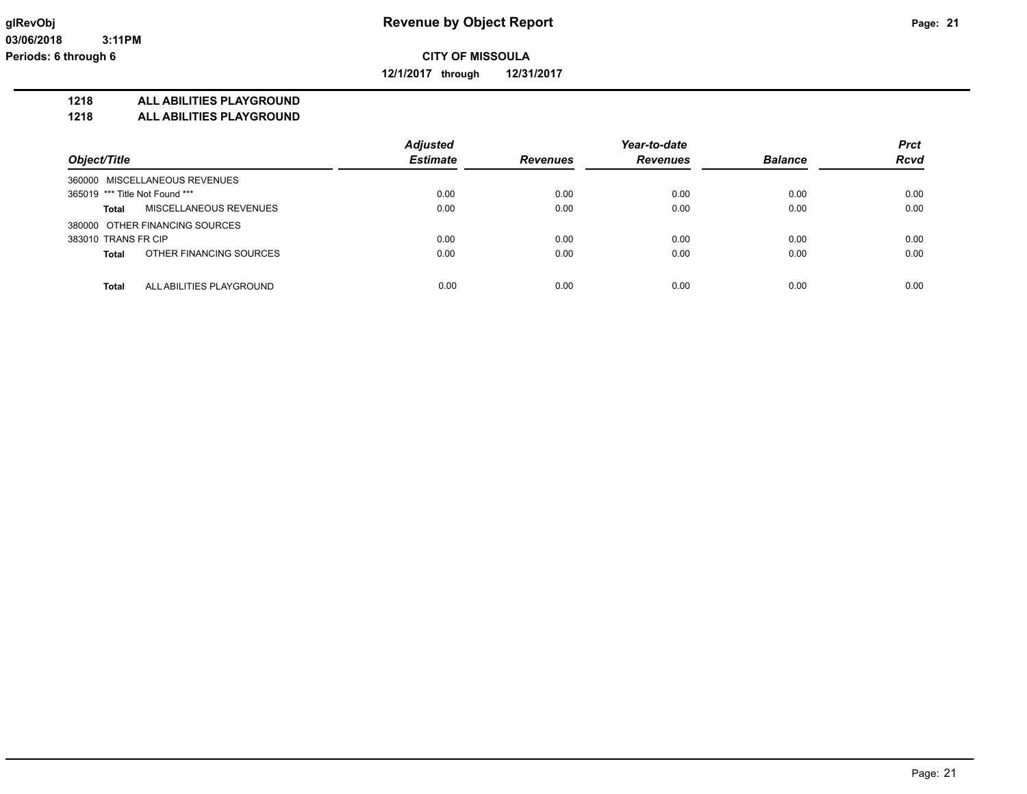**12/1/2017 through 12/31/2017**

#### **1218 ALL ABILITIES PLAYGROUND**

**1218 ALL ABILITIES PLAYGROUND**

|                                          | <b>Adjusted</b> |                 | Year-to-date    |                | <b>Prct</b> |
|------------------------------------------|-----------------|-----------------|-----------------|----------------|-------------|
| Object/Title                             | <b>Estimate</b> | <b>Revenues</b> | <b>Revenues</b> | <b>Balance</b> | <b>Rcvd</b> |
| 360000 MISCELLANEOUS REVENUES            |                 |                 |                 |                |             |
| 365019 *** Title Not Found ***           | 0.00            | 0.00            | 0.00            | 0.00           | 0.00        |
| MISCELLANEOUS REVENUES<br>Total          | 0.00            | 0.00            | 0.00            | 0.00           | 0.00        |
| 380000 OTHER FINANCING SOURCES           |                 |                 |                 |                |             |
| 383010 TRANS FR CIP                      | 0.00            | 0.00            | 0.00            | 0.00           | 0.00        |
| OTHER FINANCING SOURCES<br><b>Total</b>  | 0.00            | 0.00            | 0.00            | 0.00           | 0.00        |
|                                          |                 |                 |                 |                |             |
| <b>Total</b><br>ALL ABILITIES PLAYGROUND | 0.00            | 0.00            | 0.00            | 0.00           | 0.00        |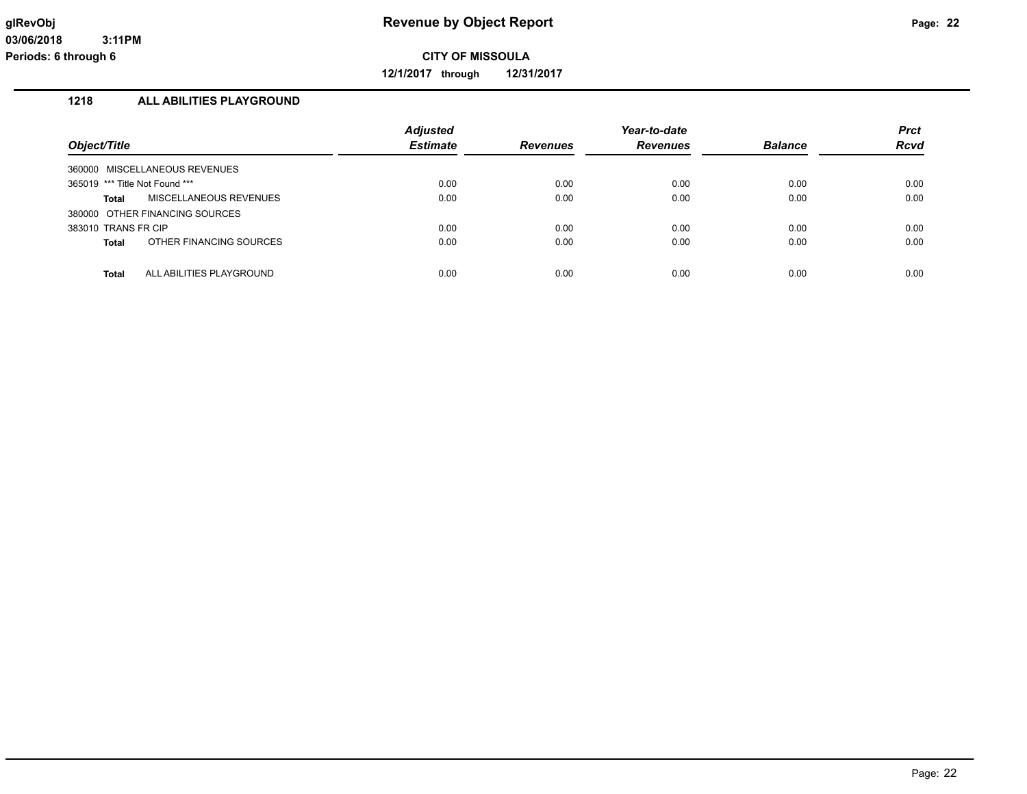**12/1/2017 through 12/31/2017**

## **1218 ALL ABILITIES PLAYGROUND**

| Object/Title                             | <b>Adjusted</b><br><b>Estimate</b> | <b>Revenues</b> | Year-to-date<br><b>Revenues</b> | <b>Balance</b> | <b>Prct</b><br>Rcvd |
|------------------------------------------|------------------------------------|-----------------|---------------------------------|----------------|---------------------|
| 360000 MISCELLANEOUS REVENUES            |                                    |                 |                                 |                |                     |
| 365019 *** Title Not Found ***           | 0.00                               | 0.00            | 0.00                            | 0.00           | 0.00                |
| <b>MISCELLANEOUS REVENUES</b><br>Total   | 0.00                               | 0.00            | 0.00                            | 0.00           | 0.00                |
| 380000 OTHER FINANCING SOURCES           |                                    |                 |                                 |                |                     |
| 383010 TRANS FR CIP                      | 0.00                               | 0.00            | 0.00                            | 0.00           | 0.00                |
| OTHER FINANCING SOURCES<br><b>Total</b>  | 0.00                               | 0.00            | 0.00                            | 0.00           | 0.00                |
|                                          |                                    |                 |                                 |                |                     |
| ALL ABILITIES PLAYGROUND<br><b>Total</b> | 0.00                               | 0.00            | 0.00                            | 0.00           | 0.00                |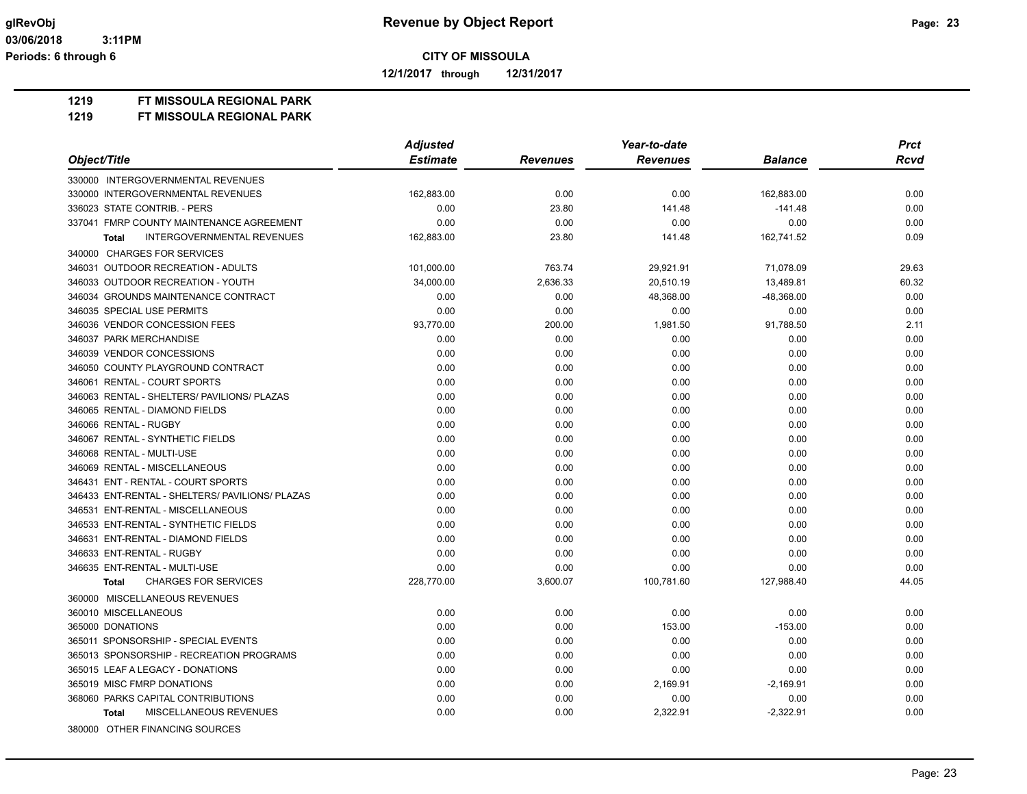**12/1/2017 through 12/31/2017**

**1219 FT MISSOULA REGIONAL PARK**

| Object/Title                                    | <b>Adjusted</b> |                 | Year-to-date    |                | <b>Prct</b> |
|-------------------------------------------------|-----------------|-----------------|-----------------|----------------|-------------|
|                                                 | <b>Estimate</b> | <b>Revenues</b> | <b>Revenues</b> | <b>Balance</b> | <b>Rcvd</b> |
| 330000 INTERGOVERNMENTAL REVENUES               |                 |                 |                 |                |             |
| 330000 INTERGOVERNMENTAL REVENUES               | 162,883.00      | 0.00            | 0.00            | 162,883.00     | 0.00        |
| 336023 STATE CONTRIB. - PERS                    | 0.00            | 23.80           | 141.48          | $-141.48$      | 0.00        |
| 337041 FMRP COUNTY MAINTENANCE AGREEMENT        | 0.00            | 0.00            | 0.00            | 0.00           | 0.00        |
| INTERGOVERNMENTAL REVENUES<br><b>Total</b>      | 162,883.00      | 23.80           | 141.48          | 162,741.52     | 0.09        |
| 340000 CHARGES FOR SERVICES                     |                 |                 |                 |                |             |
| 346031 OUTDOOR RECREATION - ADULTS              | 101,000.00      | 763.74          | 29,921.91       | 71,078.09      | 29.63       |
| 346033 OUTDOOR RECREATION - YOUTH               | 34,000.00       | 2.636.33        | 20.510.19       | 13.489.81      | 60.32       |
| 346034 GROUNDS MAINTENANCE CONTRACT             | 0.00            | 0.00            | 48,368.00       | -48,368.00     | 0.00        |
| 346035 SPECIAL USE PERMITS                      | 0.00            | 0.00            | 0.00            | 0.00           | 0.00        |
| 346036 VENDOR CONCESSION FEES                   | 93,770.00       | 200.00          | 1,981.50        | 91,788.50      | 2.11        |
| 346037 PARK MERCHANDISE                         | 0.00            | 0.00            | 0.00            | 0.00           | 0.00        |
| 346039 VENDOR CONCESSIONS                       | 0.00            | 0.00            | 0.00            | 0.00           | 0.00        |
| 346050 COUNTY PLAYGROUND CONTRACT               | 0.00            | 0.00            | 0.00            | 0.00           | 0.00        |
| 346061 RENTAL - COURT SPORTS                    | 0.00            | 0.00            | 0.00            | 0.00           | 0.00        |
| 346063 RENTAL - SHELTERS/ PAVILIONS/ PLAZAS     | 0.00            | 0.00            | 0.00            | 0.00           | 0.00        |
| 346065 RENTAL - DIAMOND FIELDS                  | 0.00            | 0.00            | 0.00            | 0.00           | 0.00        |
| 346066 RENTAL - RUGBY                           | 0.00            | 0.00            | 0.00            | 0.00           | 0.00        |
| 346067 RENTAL - SYNTHETIC FIELDS                | 0.00            | 0.00            | 0.00            | 0.00           | 0.00        |
| 346068 RENTAL - MULTI-USE                       | 0.00            | 0.00            | 0.00            | 0.00           | 0.00        |
| 346069 RENTAL - MISCELLANEOUS                   | 0.00            | 0.00            | 0.00            | 0.00           | 0.00        |
| 346431 ENT - RENTAL - COURT SPORTS              | 0.00            | 0.00            | 0.00            | 0.00           | 0.00        |
| 346433 ENT-RENTAL - SHELTERS/ PAVILIONS/ PLAZAS | 0.00            | 0.00            | 0.00            | 0.00           | 0.00        |
| 346531 ENT-RENTAL - MISCELLANEOUS               | 0.00            | 0.00            | 0.00            | 0.00           | 0.00        |
| 346533 ENT-RENTAL - SYNTHETIC FIELDS            | 0.00            | 0.00            | 0.00            | 0.00           | 0.00        |
| 346631 ENT-RENTAL - DIAMOND FIELDS              | 0.00            | 0.00            | 0.00            | 0.00           | 0.00        |
| 346633 ENT-RENTAL - RUGBY                       | 0.00            | 0.00            | 0.00            | 0.00           | 0.00        |
| 346635 ENT-RENTAL - MULTI-USE                   | 0.00            | 0.00            | 0.00            | 0.00           | 0.00        |
| <b>CHARGES FOR SERVICES</b><br>Total            | 228,770.00      | 3,600.07        | 100,781.60      | 127,988.40     | 44.05       |
| 360000 MISCELLANEOUS REVENUES                   |                 |                 |                 |                |             |
| 360010 MISCELLANEOUS                            | 0.00            | 0.00            | 0.00            | 0.00           | 0.00        |
| 365000 DONATIONS                                | 0.00            | 0.00            | 153.00          | $-153.00$      | 0.00        |
| 365011 SPONSORSHIP - SPECIAL EVENTS             | 0.00            | 0.00            | 0.00            | 0.00           | 0.00        |
| 365013 SPONSORSHIP - RECREATION PROGRAMS        | 0.00            | 0.00            | 0.00            | 0.00           | 0.00        |
| 365015 LEAF A LEGACY - DONATIONS                | 0.00            | 0.00            | 0.00            | 0.00           | 0.00        |
| 365019 MISC FMRP DONATIONS                      | 0.00            | 0.00            | 2,169.91        | $-2,169.91$    | 0.00        |
| 368060 PARKS CAPITAL CONTRIBUTIONS              | 0.00            | 0.00            | 0.00            | 0.00           | 0.00        |
| MISCELLANEOUS REVENUES<br><b>Total</b>          | 0.00            | 0.00            | 2,322.91        | $-2,322.91$    | 0.00        |
| 380000 OTHER FINANCING SOURCES                  |                 |                 |                 |                |             |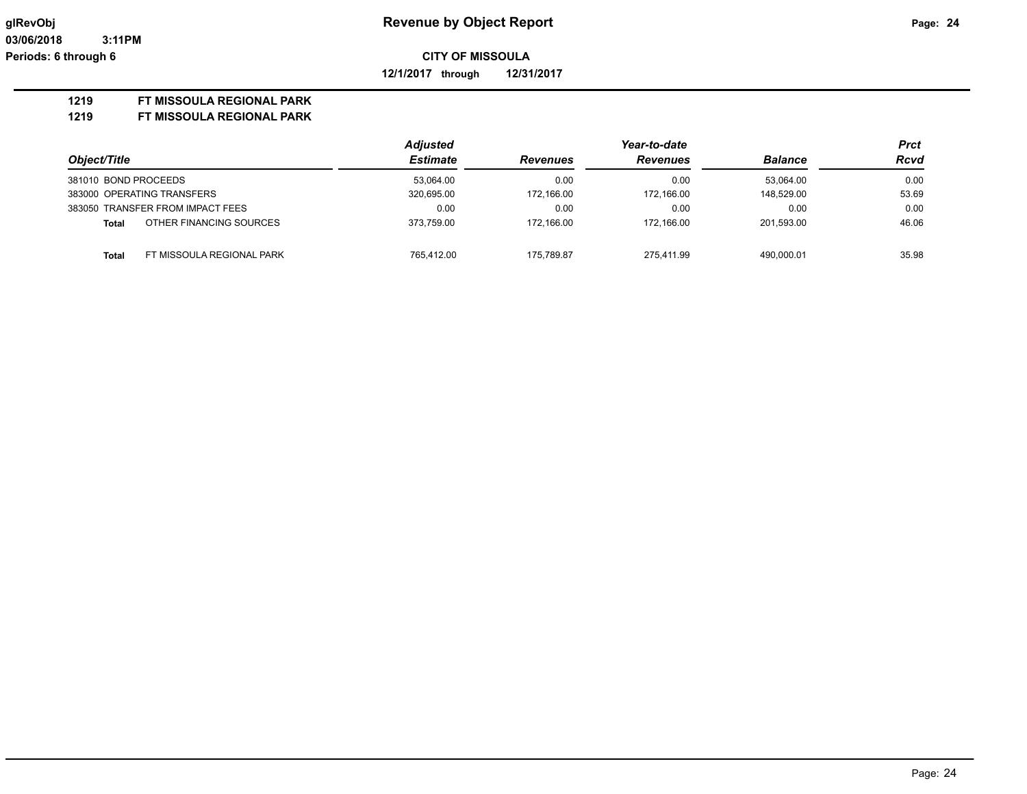**12/1/2017 through 12/31/2017**

#### **1219 FT MISSOULA REGIONAL PARK**

|                      |                                  | <b>Adjusted</b> | Year-to-date    |                 |                | Prct        |
|----------------------|----------------------------------|-----------------|-----------------|-----------------|----------------|-------------|
| Object/Title         |                                  | <b>Estimate</b> | <b>Revenues</b> | <b>Revenues</b> | <b>Balance</b> | <b>Rcvd</b> |
| 381010 BOND PROCEEDS |                                  | 53.064.00       | 0.00            | 0.00            | 53.064.00      | 0.00        |
|                      | 383000 OPERATING TRANSFERS       | 320,695.00      | 172.166.00      | 172.166.00      | 148.529.00     | 53.69       |
|                      | 383050 TRANSFER FROM IMPACT FEES | 0.00            | 0.00            | 0.00            | 0.00           | 0.00        |
| Total                | OTHER FINANCING SOURCES          | 373.759.00      | 172.166.00      | 172.166.00      | 201.593.00     | 46.06       |
| <b>Total</b>         | FT MISSOULA REGIONAL PARK        | 765.412.00      | 175.789.87      | 275.411.99      | 490.000.01     | 35.98       |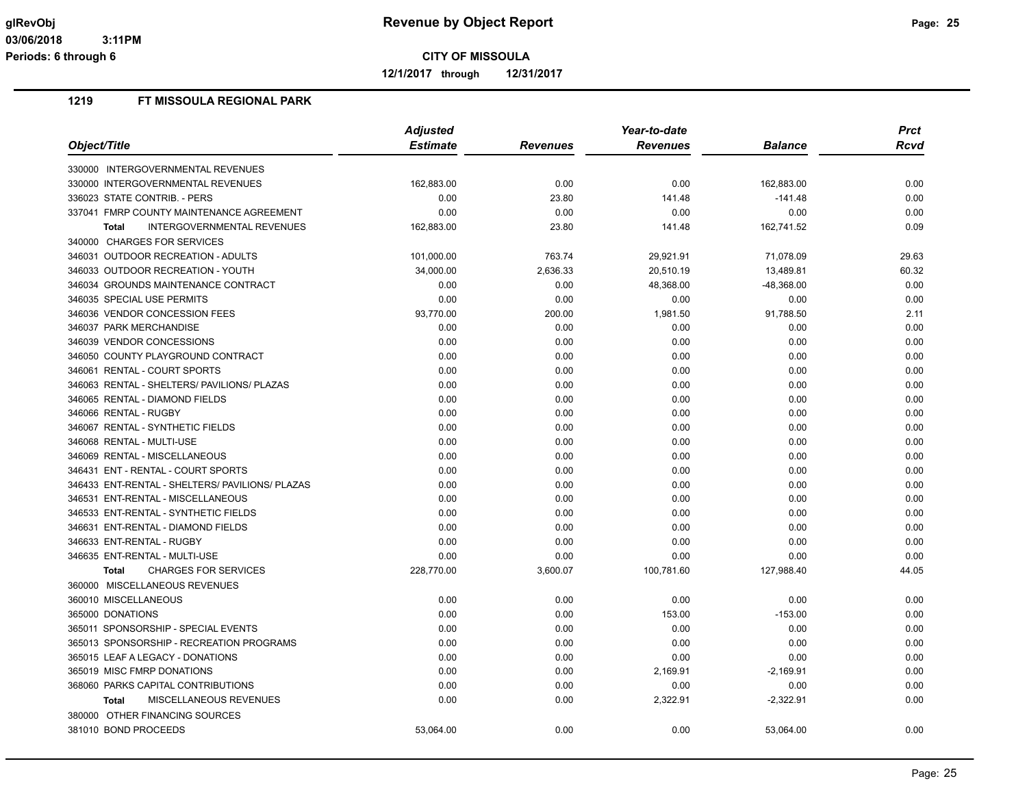**12/1/2017 through 12/31/2017**

|                                                   | <b>Adjusted</b> |                 | Year-to-date    |                | <b>Prct</b> |
|---------------------------------------------------|-----------------|-----------------|-----------------|----------------|-------------|
| Object/Title                                      | <b>Estimate</b> | <b>Revenues</b> | <b>Revenues</b> | <b>Balance</b> | Rcvd        |
| 330000 INTERGOVERNMENTAL REVENUES                 |                 |                 |                 |                |             |
| 330000 INTERGOVERNMENTAL REVENUES                 | 162,883.00      | 0.00            | 0.00            | 162,883.00     | 0.00        |
| 336023 STATE CONTRIB. - PERS                      | 0.00            | 23.80           | 141.48          | $-141.48$      | 0.00        |
| 337041 FMRP COUNTY MAINTENANCE AGREEMENT          | 0.00            | 0.00            | 0.00            | 0.00           | 0.00        |
| <b>INTERGOVERNMENTAL REVENUES</b><br><b>Total</b> | 162,883.00      | 23.80           | 141.48          | 162,741.52     | 0.09        |
| 340000 CHARGES FOR SERVICES                       |                 |                 |                 |                |             |
| 346031 OUTDOOR RECREATION - ADULTS                | 101,000.00      | 763.74          | 29,921.91       | 71,078.09      | 29.63       |
| 346033 OUTDOOR RECREATION - YOUTH                 | 34,000.00       | 2,636.33        | 20,510.19       | 13,489.81      | 60.32       |
| 346034 GROUNDS MAINTENANCE CONTRACT               | 0.00            | 0.00            | 48,368.00       | -48,368.00     | 0.00        |
| 346035 SPECIAL USE PERMITS                        | 0.00            | 0.00            | 0.00            | 0.00           | 0.00        |
| 346036 VENDOR CONCESSION FEES                     | 93,770.00       | 200.00          | 1,981.50        | 91,788.50      | 2.11        |
| 346037 PARK MERCHANDISE                           | 0.00            | 0.00            | 0.00            | 0.00           | 0.00        |
| 346039 VENDOR CONCESSIONS                         | 0.00            | 0.00            | 0.00            | 0.00           | 0.00        |
| 346050 COUNTY PLAYGROUND CONTRACT                 | 0.00            | 0.00            | 0.00            | 0.00           | 0.00        |
| 346061 RENTAL - COURT SPORTS                      | 0.00            | 0.00            | 0.00            | 0.00           | 0.00        |
| 346063 RENTAL - SHELTERS/ PAVILIONS/ PLAZAS       | 0.00            | 0.00            | 0.00            | 0.00           | 0.00        |
| 346065 RENTAL - DIAMOND FIELDS                    | 0.00            | 0.00            | 0.00            | 0.00           | 0.00        |
| 346066 RENTAL - RUGBY                             | 0.00            | 0.00            | 0.00            | 0.00           | 0.00        |
| 346067 RENTAL - SYNTHETIC FIELDS                  | 0.00            | 0.00            | 0.00            | 0.00           | 0.00        |
| 346068 RENTAL - MULTI-USE                         | 0.00            | 0.00            | 0.00            | 0.00           | 0.00        |
| 346069 RENTAL - MISCELLANEOUS                     | 0.00            | 0.00            | 0.00            | 0.00           | 0.00        |
| 346431 ENT - RENTAL - COURT SPORTS                | 0.00            | 0.00            | 0.00            | 0.00           | 0.00        |
| 346433 ENT-RENTAL - SHELTERS/ PAVILIONS/ PLAZAS   | 0.00            | 0.00            | 0.00            | 0.00           | 0.00        |
| 346531 ENT-RENTAL - MISCELLANEOUS                 | 0.00            | 0.00            | 0.00            | 0.00           | 0.00        |
| 346533 ENT-RENTAL - SYNTHETIC FIELDS              | 0.00            | 0.00            | 0.00            | 0.00           | 0.00        |
| 346631 ENT-RENTAL - DIAMOND FIELDS                | 0.00            | 0.00            | 0.00            | 0.00           | 0.00        |
| 346633 ENT-RENTAL - RUGBY                         | 0.00            | 0.00            | 0.00            | 0.00           | 0.00        |
| 346635 ENT-RENTAL - MULTI-USE                     | 0.00            | 0.00            | 0.00            | 0.00           | 0.00        |
| <b>CHARGES FOR SERVICES</b><br><b>Total</b>       | 228,770.00      | 3,600.07        | 100,781.60      | 127,988.40     | 44.05       |
| 360000 MISCELLANEOUS REVENUES                     |                 |                 |                 |                |             |
| 360010 MISCELLANEOUS                              | 0.00            | 0.00            | 0.00            | 0.00           | 0.00        |
| 365000 DONATIONS                                  | 0.00            | 0.00            | 153.00          | $-153.00$      | 0.00        |
| 365011 SPONSORSHIP - SPECIAL EVENTS               | 0.00            | 0.00            | 0.00            | 0.00           | 0.00        |
| 365013 SPONSORSHIP - RECREATION PROGRAMS          | 0.00            | 0.00            | 0.00            | 0.00           | 0.00        |
| 365015 LEAF A LEGACY - DONATIONS                  | 0.00            | 0.00            | 0.00            | 0.00           | 0.00        |
| 365019 MISC FMRP DONATIONS                        | 0.00            | 0.00            | 2,169.91        | $-2,169.91$    | 0.00        |
| 368060 PARKS CAPITAL CONTRIBUTIONS                | 0.00            | 0.00            | 0.00            | 0.00           | 0.00        |
| MISCELLANEOUS REVENUES<br><b>Total</b>            | 0.00            | 0.00            | 2,322.91        | $-2,322.91$    | 0.00        |
| 380000 OTHER FINANCING SOURCES                    |                 |                 |                 |                |             |
| 381010 BOND PROCEEDS                              | 53,064.00       | 0.00            | 0.00            | 53,064.00      | 0.00        |
|                                                   |                 |                 |                 |                |             |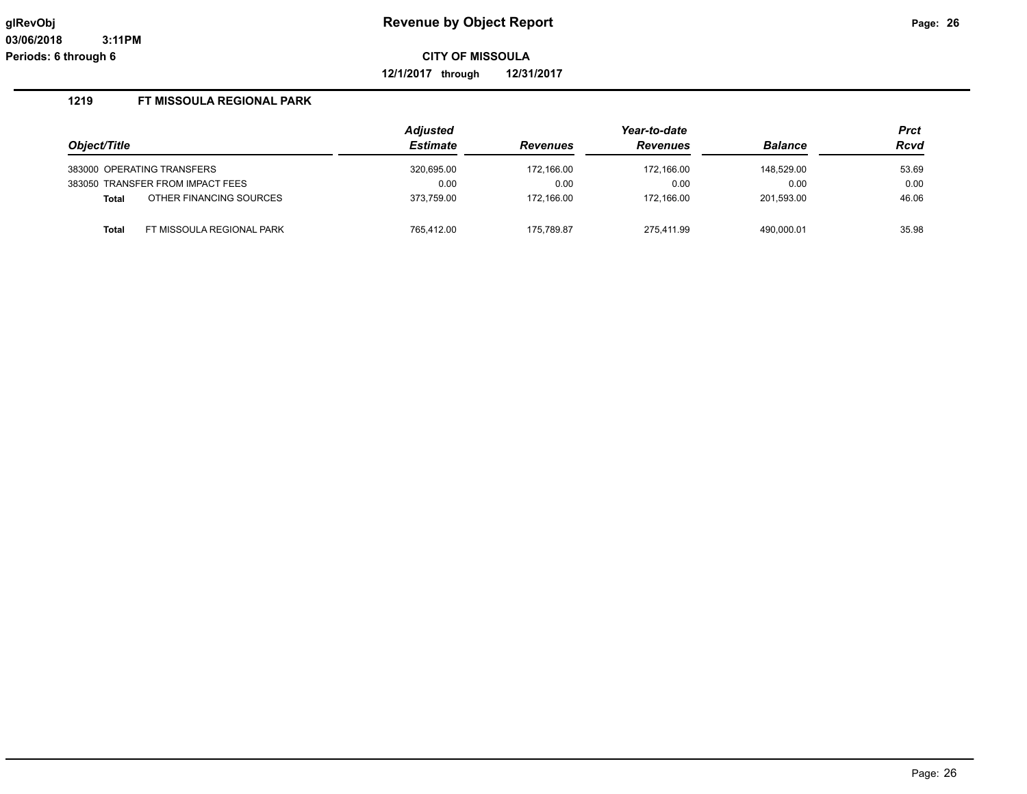**12/1/2017 through 12/31/2017**

|                                         | <b>Adjusted</b> |                 | Year-to-date    |                | <b>Prct</b> |
|-----------------------------------------|-----------------|-----------------|-----------------|----------------|-------------|
| Object/Title                            | <b>Estimate</b> | <b>Revenues</b> | <b>Revenues</b> | <b>Balance</b> | Rcvd        |
| 383000 OPERATING TRANSFERS              | 320,695.00      | 172,166.00      | 172.166.00      | 148.529.00     | 53.69       |
| 383050 TRANSFER FROM IMPACT FEES        | 0.00            | 0.00            | 0.00            | 0.00           | 0.00        |
| OTHER FINANCING SOURCES<br><b>Total</b> | 373.759.00      | 172.166.00      | 172.166.00      | 201,593.00     | 46.06       |
| FT MISSOULA REGIONAL PARK<br>Total      | 765.412.00      | 175,789.87      | 275.411.99      | 490,000.01     | 35.98       |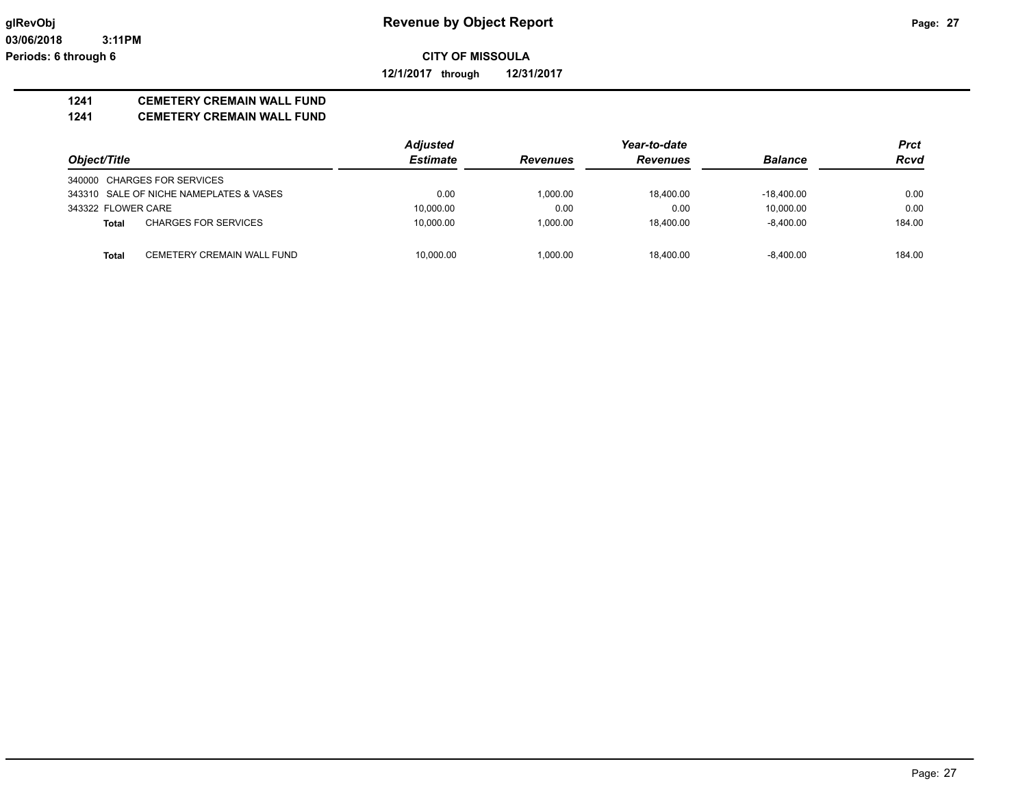**12/1/2017 through 12/31/2017**

## **1241 CEMETERY CREMAIN WALL FUND**

#### **1241 CEMETERY CREMAIN WALL FUND**

|                    |                                         | <b>Adjusted</b> |                 | Year-to-date    |                | <b>Prct</b> |
|--------------------|-----------------------------------------|-----------------|-----------------|-----------------|----------------|-------------|
| Object/Title       |                                         | <b>Estimate</b> | <b>Revenues</b> | <b>Revenues</b> | <b>Balance</b> | <b>Rcvd</b> |
|                    | 340000 CHARGES FOR SERVICES             |                 |                 |                 |                |             |
|                    | 343310 SALE OF NICHE NAMEPLATES & VASES | 0.00            | 1.000.00        | 18.400.00       | $-18.400.00$   | 0.00        |
| 343322 FLOWER CARE |                                         | 10,000.00       | 0.00            | 0.00            | 10.000.00      | 0.00        |
| Total              | <b>CHARGES FOR SERVICES</b>             | 10.000.00       | 1.000.00        | 18.400.00       | $-8.400.00$    | 184.00      |
| <b>Total</b>       | CEMETERY CREMAIN WALL FUND              | 10.000.00       | 1.000.00        | 18.400.00       | $-8.400.00$    | 184.00      |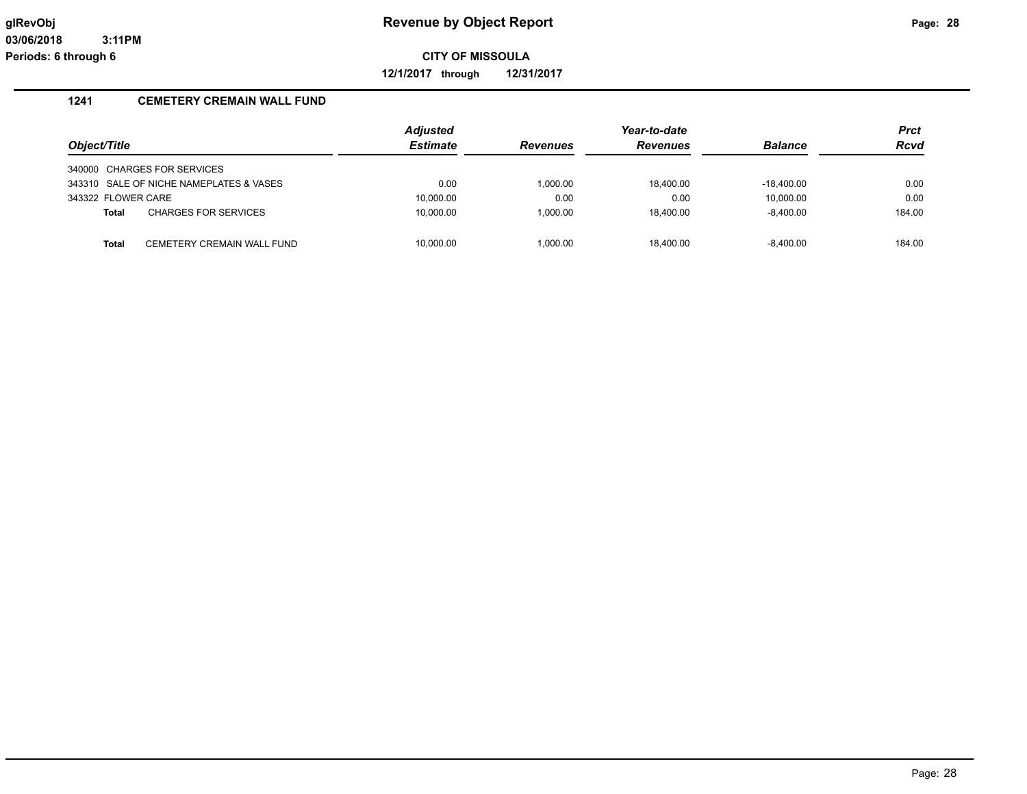**12/1/2017 through 12/31/2017**

### **1241 CEMETERY CREMAIN WALL FUND**

|                    |                                         | <b>Adjusted</b> |                 | Year-to-date    |                | <b>Prct</b> |
|--------------------|-----------------------------------------|-----------------|-----------------|-----------------|----------------|-------------|
| Object/Title       |                                         | <b>Estimate</b> | <b>Revenues</b> | <b>Revenues</b> | <b>Balance</b> | <b>Rcvd</b> |
|                    | 340000 CHARGES FOR SERVICES             |                 |                 |                 |                |             |
|                    | 343310 SALE OF NICHE NAMEPLATES & VASES | 0.00            | 1.000.00        | 18.400.00       | $-18.400.00$   | 0.00        |
| 343322 FLOWER CARE |                                         | 10,000.00       | 0.00            | 0.00            | 10.000.00      | 0.00        |
| <b>Total</b>       | <b>CHARGES FOR SERVICES</b>             | 10,000.00       | 1.000.00        | 18.400.00       | $-8.400.00$    | 184.00      |
|                    |                                         |                 |                 |                 |                |             |
| Total              | CEMETERY CREMAIN WALL FUND              | 10.000.00       | 1.000.00        | 18.400.00       | -8.400.00      | 184.00      |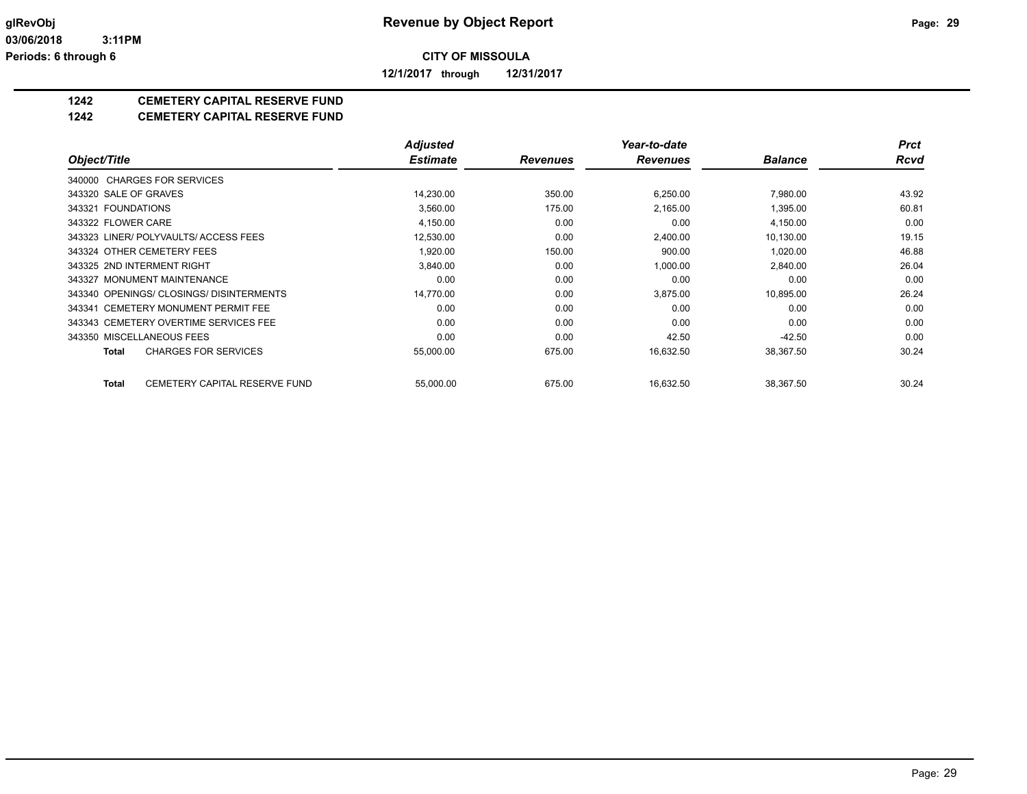**12/1/2017 through 12/31/2017**

## **1242 CEMETERY CAPITAL RESERVE FUND**

#### **1242 CEMETERY CAPITAL RESERVE FUND**

|                                               | <b>Adjusted</b> |                 | Year-to-date    |                | Prct  |
|-----------------------------------------------|-----------------|-----------------|-----------------|----------------|-------|
| Object/Title                                  | <b>Estimate</b> | <b>Revenues</b> | <b>Revenues</b> | <b>Balance</b> | Rcvd  |
| 340000 CHARGES FOR SERVICES                   |                 |                 |                 |                |       |
| 343320 SALE OF GRAVES                         | 14,230.00       | 350.00          | 6,250.00        | 7,980.00       | 43.92 |
| 343321 FOUNDATIONS                            | 3,560.00        | 175.00          | 2,165.00        | 1,395.00       | 60.81 |
| 343322 FLOWER CARE                            | 4,150.00        | 0.00            | 0.00            | 4,150.00       | 0.00  |
| 343323 LINER/ POLYVAULTS/ ACCESS FEES         | 12,530.00       | 0.00            | 2,400.00        | 10,130.00      | 19.15 |
| 343324 OTHER CEMETERY FEES                    | 1,920.00        | 150.00          | 900.00          | 1,020.00       | 46.88 |
| 343325 2ND INTERMENT RIGHT                    | 3,840.00        | 0.00            | 1,000.00        | 2,840.00       | 26.04 |
| 343327 MONUMENT MAINTENANCE                   | 0.00            | 0.00            | 0.00            | 0.00           | 0.00  |
| 343340 OPENINGS/ CLOSINGS/ DISINTERMENTS      | 14,770.00       | 0.00            | 3,875.00        | 10,895.00      | 26.24 |
| 343341 CEMETERY MONUMENT PERMIT FEE           | 0.00            | 0.00            | 0.00            | 0.00           | 0.00  |
| 343343 CEMETERY OVERTIME SERVICES FEE         | 0.00            | 0.00            | 0.00            | 0.00           | 0.00  |
| 343350 MISCELLANEOUS FEES                     | 0.00            | 0.00            | 42.50           | $-42.50$       | 0.00  |
| <b>CHARGES FOR SERVICES</b><br>Total          | 55,000.00       | 675.00          | 16,632.50       | 38,367.50      | 30.24 |
| CEMETERY CAPITAL RESERVE FUND<br><b>Total</b> | 55,000.00       | 675.00          | 16,632.50       | 38,367.50      | 30.24 |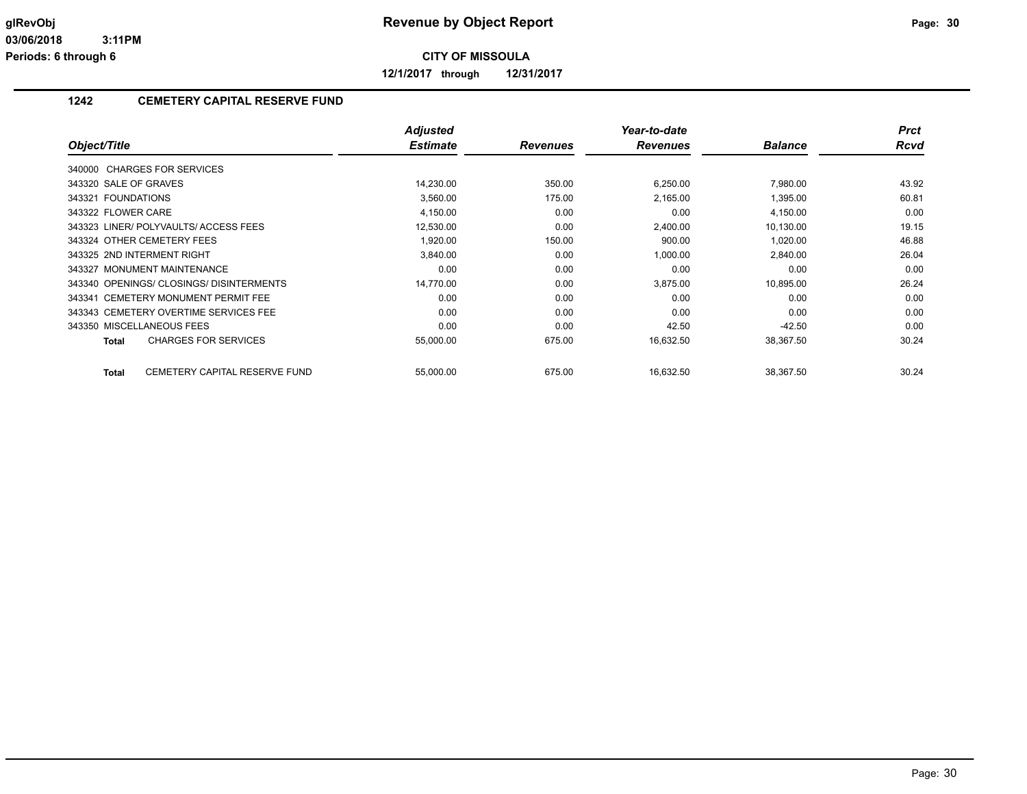**12/1/2017 through 12/31/2017**

## **1242 CEMETERY CAPITAL RESERVE FUND**

|                                          | <b>Adjusted</b> |                 | Year-to-date    |                | <b>Prct</b> |
|------------------------------------------|-----------------|-----------------|-----------------|----------------|-------------|
| Object/Title                             | <b>Estimate</b> | <b>Revenues</b> | <b>Revenues</b> | <b>Balance</b> | <b>Rcvd</b> |
| 340000 CHARGES FOR SERVICES              |                 |                 |                 |                |             |
| 343320 SALE OF GRAVES                    | 14,230.00       | 350.00          | 6,250.00        | 7,980.00       | 43.92       |
| 343321 FOUNDATIONS                       | 3,560.00        | 175.00          | 2,165.00        | 1,395.00       | 60.81       |
| 343322 FLOWER CARE                       | 4,150.00        | 0.00            | 0.00            | 4,150.00       | 0.00        |
| 343323 LINER/ POLYVAULTS/ ACCESS FEES    | 12,530.00       | 0.00            | 2.400.00        | 10,130.00      | 19.15       |
| 343324 OTHER CEMETERY FEES               | 1.920.00        | 150.00          | 900.00          | 1,020.00       | 46.88       |
| 343325 2ND INTERMENT RIGHT               | 3,840.00        | 0.00            | 1,000.00        | 2,840.00       | 26.04       |
| 343327 MONUMENT MAINTENANCE              | 0.00            | 0.00            | 0.00            | 0.00           | 0.00        |
| 343340 OPENINGS/ CLOSINGS/ DISINTERMENTS | 14,770.00       | 0.00            | 3,875.00        | 10,895.00      | 26.24       |
| 343341 CEMETERY MONUMENT PERMIT FEE      | 0.00            | 0.00            | 0.00            | 0.00           | 0.00        |
| 343343 CEMETERY OVERTIME SERVICES FEE    | 0.00            | 0.00            | 0.00            | 0.00           | 0.00        |
| 343350 MISCELLANEOUS FEES                | 0.00            | 0.00            | 42.50           | $-42.50$       | 0.00        |
| <b>CHARGES FOR SERVICES</b><br>Total     | 55,000.00       | 675.00          | 16,632.50       | 38,367.50      | 30.24       |
| CEMETERY CAPITAL RESERVE FUND<br>Total   | 55,000.00       | 675.00          | 16,632.50       | 38,367.50      | 30.24       |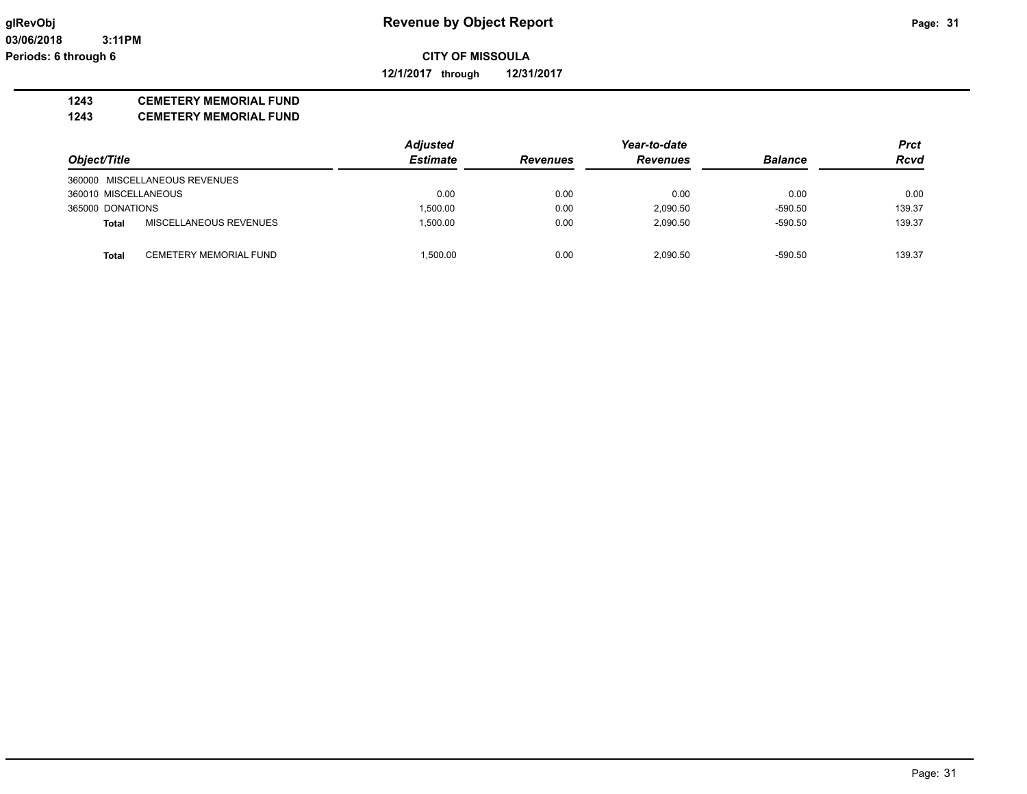**12/1/2017 through 12/31/2017**

#### **1243 CEMETERY MEMORIAL FUND**

**1243 CEMETERY MEMORIAL FUND**

|                      |                               | <b>Adjusted</b> |                 | Year-to-date    |                | <b>Prct</b> |
|----------------------|-------------------------------|-----------------|-----------------|-----------------|----------------|-------------|
| Object/Title         |                               | <b>Estimate</b> | <b>Revenues</b> | <b>Revenues</b> | <b>Balance</b> | <b>Rcvd</b> |
|                      | 360000 MISCELLANEOUS REVENUES |                 |                 |                 |                |             |
| 360010 MISCELLANEOUS |                               | 0.00            | 0.00            | 0.00            | 0.00           | 0.00        |
| 365000 DONATIONS     |                               | 1.500.00        | 0.00            | 2,090.50        | $-590.50$      | 139.37      |
| <b>Total</b>         | MISCELLANEOUS REVENUES        | 1.500.00        | 0.00            | 2,090.50        | $-590.50$      | 139.37      |
|                      | CEMETERY MEMORIAL FUND        | 1.500.00        | 0.00            | 2.090.50        | $-590.50$      | 139.37      |
| <b>Total</b>         |                               |                 |                 |                 |                |             |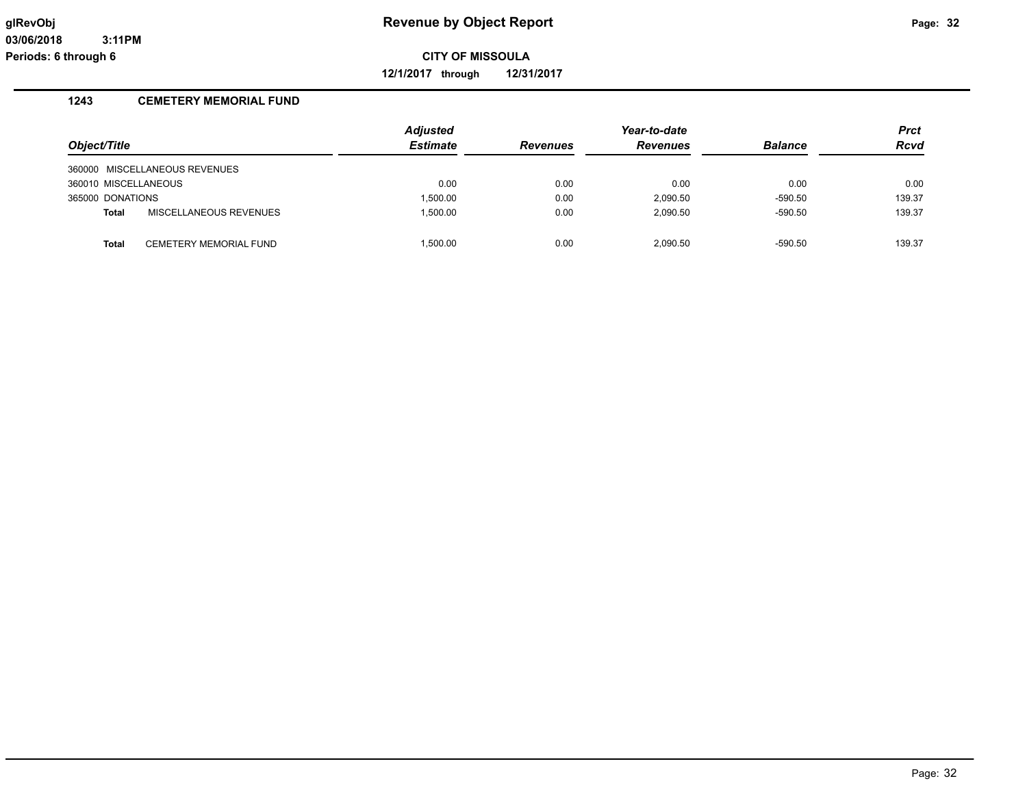**12/1/2017 through 12/31/2017**

### **1243 CEMETERY MEMORIAL FUND**

|                      |                               | <b>Adjusted</b> |                 | Year-to-date    |                | Prct        |
|----------------------|-------------------------------|-----------------|-----------------|-----------------|----------------|-------------|
| Object/Title         |                               | <b>Estimate</b> | <b>Revenues</b> | <b>Revenues</b> | <b>Balance</b> | <b>Rcvd</b> |
|                      | 360000 MISCELLANEOUS REVENUES |                 |                 |                 |                |             |
| 360010 MISCELLANEOUS |                               | 0.00            | 0.00            | 0.00            | 0.00           | 0.00        |
| 365000 DONATIONS     |                               | 1.500.00        | 0.00            | 2.090.50        | $-590.50$      | 139.37      |
| <b>Total</b>         | MISCELLANEOUS REVENUES        | 1.500.00        | 0.00            | 2.090.50        | $-590.50$      | 139.37      |
| <b>Total</b>         | <b>CEMETERY MEMORIAL FUND</b> | 1.500.00        | 0.00            | 2.090.50        | $-590.50$      | 139.37      |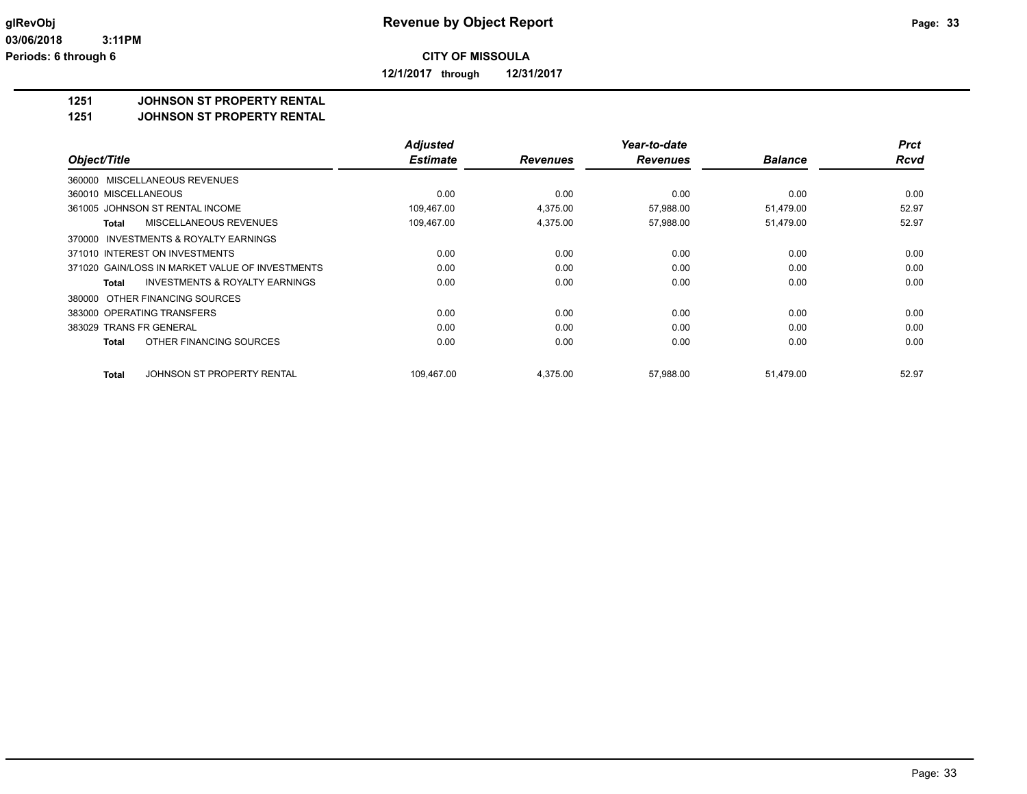**12/1/2017 through 12/31/2017**

#### **1251 JOHNSON ST PROPERTY RENTAL**

**1251 JOHNSON ST PROPERTY RENTAL**

|                                                           | <b>Adjusted</b> |                 | Year-to-date    |                | <b>Prct</b> |
|-----------------------------------------------------------|-----------------|-----------------|-----------------|----------------|-------------|
| Object/Title                                              | <b>Estimate</b> | <b>Revenues</b> | <b>Revenues</b> | <b>Balance</b> | <b>Rcvd</b> |
| 360000 MISCELLANEOUS REVENUES                             |                 |                 |                 |                |             |
| 360010 MISCELLANEOUS                                      | 0.00            | 0.00            | 0.00            | 0.00           | 0.00        |
| 361005 JOHNSON ST RENTAL INCOME                           | 109.467.00      | 4.375.00        | 57,988.00       | 51.479.00      | 52.97       |
| MISCELLANEOUS REVENUES<br>Total                           | 109,467.00      | 4,375.00        | 57,988.00       | 51,479.00      | 52.97       |
| 370000 INVESTMENTS & ROYALTY EARNINGS                     |                 |                 |                 |                |             |
| 371010 INTEREST ON INVESTMENTS                            | 0.00            | 0.00            | 0.00            | 0.00           | 0.00        |
| 371020 GAIN/LOSS IN MARKET VALUE OF INVESTMENTS           | 0.00            | 0.00            | 0.00            | 0.00           | 0.00        |
| <b>INVESTMENTS &amp; ROYALTY EARNINGS</b><br><b>Total</b> | 0.00            | 0.00            | 0.00            | 0.00           | 0.00        |
| 380000 OTHER FINANCING SOURCES                            |                 |                 |                 |                |             |
| 383000 OPERATING TRANSFERS                                | 0.00            | 0.00            | 0.00            | 0.00           | 0.00        |
| 383029 TRANS FR GENERAL                                   | 0.00            | 0.00            | 0.00            | 0.00           | 0.00        |
| OTHER FINANCING SOURCES<br>Total                          | 0.00            | 0.00            | 0.00            | 0.00           | 0.00        |
| JOHNSON ST PROPERTY RENTAL<br>Total                       | 109,467.00      | 4,375.00        | 57,988.00       | 51,479.00      | 52.97       |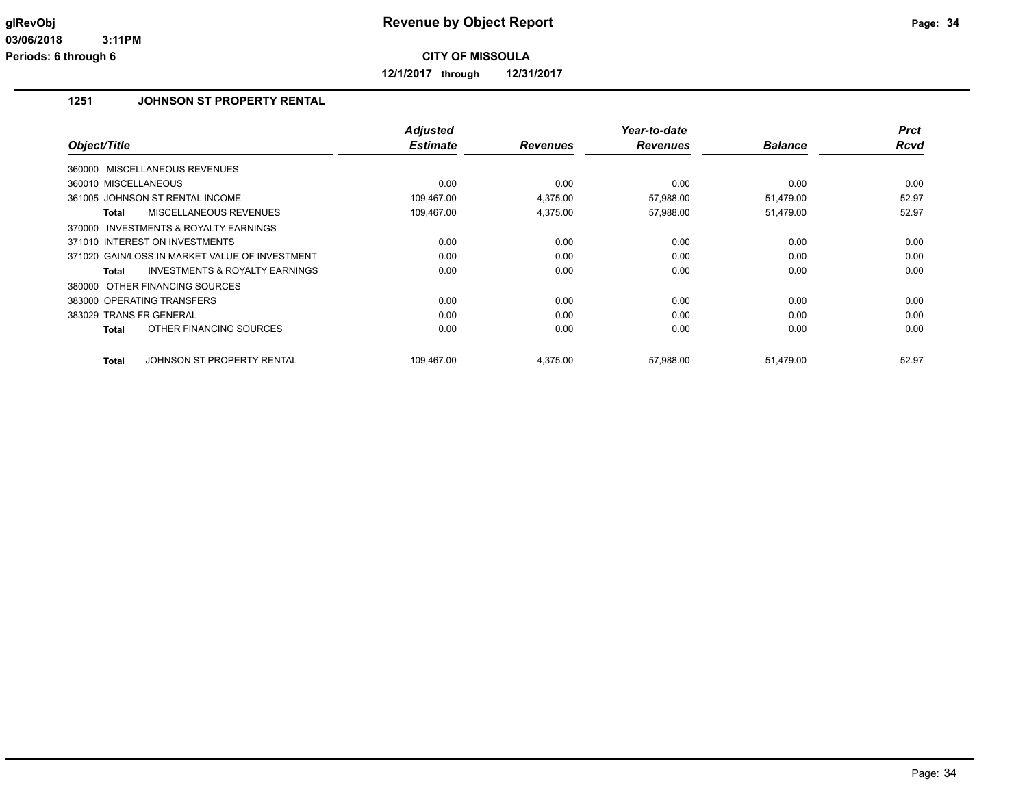**12/1/2017 through 12/31/2017**

## **1251 JOHNSON ST PROPERTY RENTAL**

| Object/Title                                        | <b>Adjusted</b><br><b>Estimate</b> | <b>Revenues</b> | Year-to-date<br><b>Revenues</b> | <b>Balance</b> | <b>Prct</b><br><b>Rcvd</b> |
|-----------------------------------------------------|------------------------------------|-----------------|---------------------------------|----------------|----------------------------|
|                                                     |                                    |                 |                                 |                |                            |
| 360000 MISCELLANEOUS REVENUES                       |                                    |                 |                                 |                |                            |
| 360010 MISCELLANEOUS                                | 0.00                               | 0.00            | 0.00                            | 0.00           | 0.00                       |
| 361005 JOHNSON ST RENTAL INCOME                     | 109,467.00                         | 4.375.00        | 57,988.00                       | 51,479.00      | 52.97                      |
| <b>MISCELLANEOUS REVENUES</b><br>Total              | 109,467.00                         | 4,375.00        | 57,988.00                       | 51,479.00      | 52.97                      |
| <b>INVESTMENTS &amp; ROYALTY EARNINGS</b><br>370000 |                                    |                 |                                 |                |                            |
| 371010 INTEREST ON INVESTMENTS                      | 0.00                               | 0.00            | 0.00                            | 0.00           | 0.00                       |
| 371020 GAIN/LOSS IN MARKET VALUE OF INVESTMENT      | 0.00                               | 0.00            | 0.00                            | 0.00           | 0.00                       |
| <b>INVESTMENTS &amp; ROYALTY EARNINGS</b><br>Total  | 0.00                               | 0.00            | 0.00                            | 0.00           | 0.00                       |
| 380000 OTHER FINANCING SOURCES                      |                                    |                 |                                 |                |                            |
| 383000 OPERATING TRANSFERS                          | 0.00                               | 0.00            | 0.00                            | 0.00           | 0.00                       |
| 383029 TRANS FR GENERAL                             | 0.00                               | 0.00            | 0.00                            | 0.00           | 0.00                       |
| OTHER FINANCING SOURCES<br><b>Total</b>             | 0.00                               | 0.00            | 0.00                            | 0.00           | 0.00                       |
| <b>Total</b><br>JOHNSON ST PROPERTY RENTAL          | 109,467.00                         | 4,375.00        | 57,988.00                       | 51,479.00      | 52.97                      |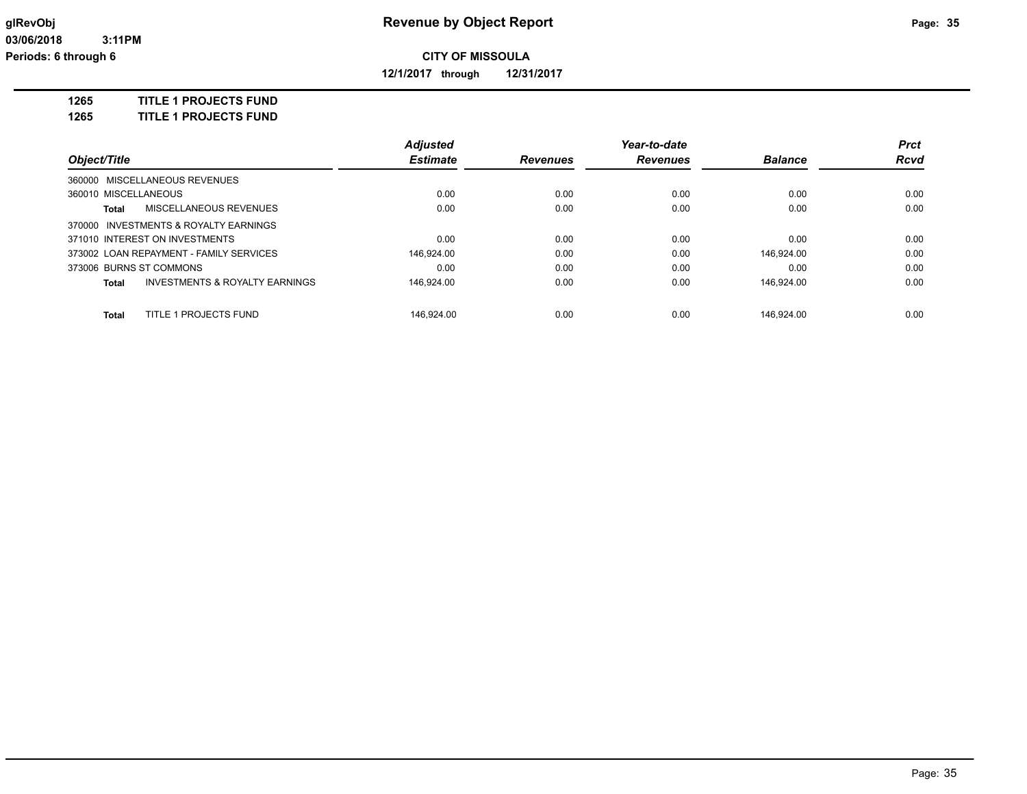**12/1/2017 through 12/31/2017**

**1265 TITLE 1 PROJECTS FUND**

**1265 TITLE 1 PROJECTS FUND**

|                      |                                           | <b>Adjusted</b> |                 | Year-to-date    |                | <b>Prct</b> |
|----------------------|-------------------------------------------|-----------------|-----------------|-----------------|----------------|-------------|
| Object/Title         |                                           | <b>Estimate</b> | <b>Revenues</b> | <b>Revenues</b> | <b>Balance</b> | <b>Rcvd</b> |
|                      | 360000 MISCELLANEOUS REVENUES             |                 |                 |                 |                |             |
| 360010 MISCELLANEOUS |                                           | 0.00            | 0.00            | 0.00            | 0.00           | 0.00        |
| Total                | MISCELLANEOUS REVENUES                    | 0.00            | 0.00            | 0.00            | 0.00           | 0.00        |
|                      | 370000 INVESTMENTS & ROYALTY EARNINGS     |                 |                 |                 |                |             |
|                      | 371010 INTEREST ON INVESTMENTS            | 0.00            | 0.00            | 0.00            | 0.00           | 0.00        |
|                      | 373002 LOAN REPAYMENT - FAMILY SERVICES   | 146.924.00      | 0.00            | 0.00            | 146.924.00     | 0.00        |
|                      | 373006 BURNS ST COMMONS                   | 0.00            | 0.00            | 0.00            | 0.00           | 0.00        |
| Total                | <b>INVESTMENTS &amp; ROYALTY EARNINGS</b> | 146.924.00      | 0.00            | 0.00            | 146.924.00     | 0.00        |
| <b>Total</b>         | TITLE 1 PROJECTS FUND                     | 146.924.00      | 0.00            | 0.00            | 146.924.00     | 0.00        |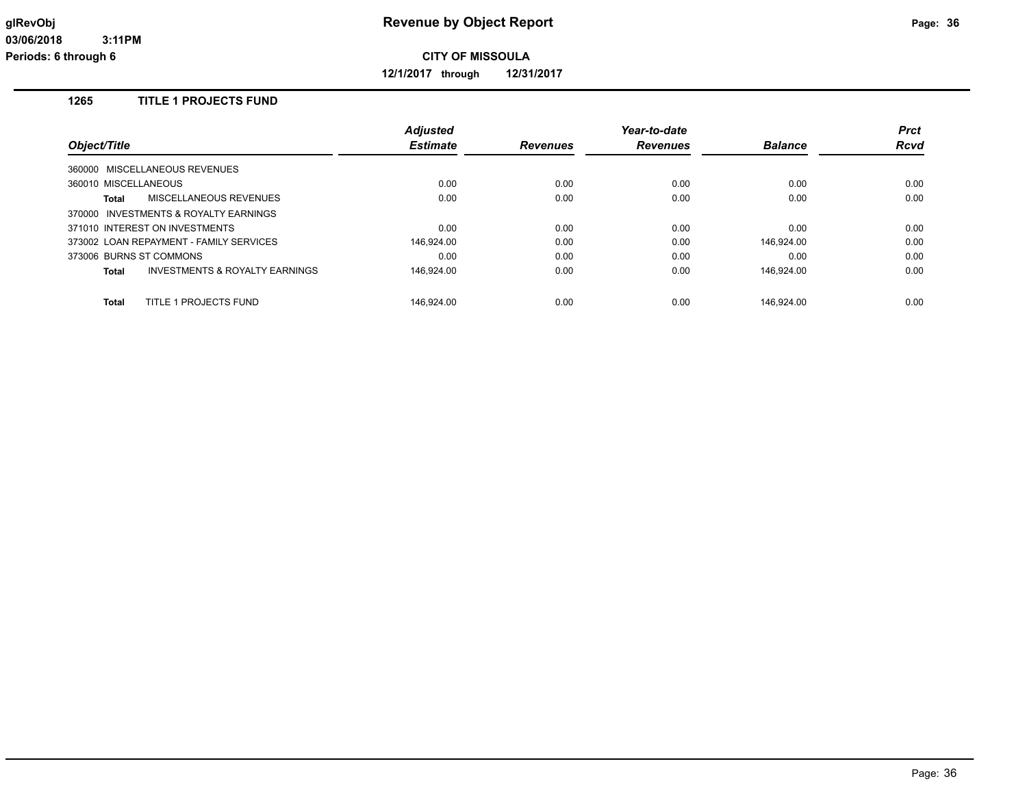**12/1/2017 through 12/31/2017**

## **1265 TITLE 1 PROJECTS FUND**

|                                                    | <b>Adjusted</b> |                 | Year-to-date    |                | <b>Prct</b> |
|----------------------------------------------------|-----------------|-----------------|-----------------|----------------|-------------|
| Object/Title                                       | <b>Estimate</b> | <b>Revenues</b> | <b>Revenues</b> | <b>Balance</b> | <b>Rcvd</b> |
| 360000 MISCELLANEOUS REVENUES                      |                 |                 |                 |                |             |
| 360010 MISCELLANEOUS                               | 0.00            | 0.00            | 0.00            | 0.00           | 0.00        |
| MISCELLANEOUS REVENUES<br>Total                    | 0.00            | 0.00            | 0.00            | 0.00           | 0.00        |
| 370000 INVESTMENTS & ROYALTY EARNINGS              |                 |                 |                 |                |             |
| 371010 INTEREST ON INVESTMENTS                     | 0.00            | 0.00            | 0.00            | 0.00           | 0.00        |
| 373002 LOAN REPAYMENT - FAMILY SERVICES            | 146.924.00      | 0.00            | 0.00            | 146.924.00     | 0.00        |
| 373006 BURNS ST COMMONS                            | 0.00            | 0.00            | 0.00            | 0.00           | 0.00        |
| <b>INVESTMENTS &amp; ROYALTY EARNINGS</b><br>Total | 146.924.00      | 0.00            | 0.00            | 146.924.00     | 0.00        |
| TITLE 1 PROJECTS FUND<br>Total                     | 146.924.00      | 0.00            | 0.00            | 146.924.00     | 0.00        |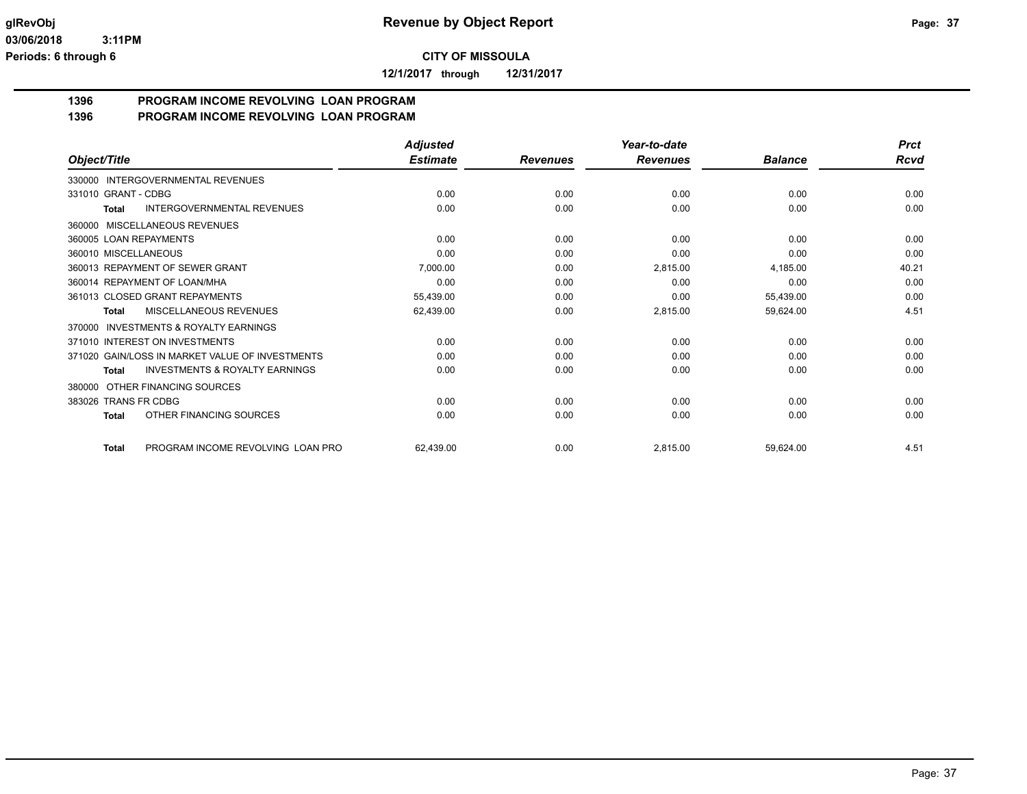**12/1/2017 through 12/31/2017**

#### **1396 PROGRAM INCOME REVOLVING LOAN PROGRAM 1396 PROGRAM INCOME REVOLVING LOAN PROGRAM**

|                                                           | <b>Adjusted</b> |                 | Year-to-date    |                | <b>Prct</b> |
|-----------------------------------------------------------|-----------------|-----------------|-----------------|----------------|-------------|
| Object/Title                                              | <b>Estimate</b> | <b>Revenues</b> | <b>Revenues</b> | <b>Balance</b> | Rcvd        |
| <b>INTERGOVERNMENTAL REVENUES</b><br>330000               |                 |                 |                 |                |             |
| 331010 GRANT - CDBG                                       | 0.00            | 0.00            | 0.00            | 0.00           | 0.00        |
| <b>INTERGOVERNMENTAL REVENUES</b><br>Total                | 0.00            | 0.00            | 0.00            | 0.00           | 0.00        |
| 360000 MISCELLANEOUS REVENUES                             |                 |                 |                 |                |             |
| 360005 LOAN REPAYMENTS                                    | 0.00            | 0.00            | 0.00            | 0.00           | 0.00        |
| 360010 MISCELLANEOUS                                      | 0.00            | 0.00            | 0.00            | 0.00           | 0.00        |
| 360013 REPAYMENT OF SEWER GRANT                           | 7,000.00        | 0.00            | 2,815.00        | 4,185.00       | 40.21       |
| 360014 REPAYMENT OF LOAN/MHA                              | 0.00            | 0.00            | 0.00            | 0.00           | 0.00        |
| 361013 CLOSED GRANT REPAYMENTS                            | 55,439.00       | 0.00            | 0.00            | 55,439.00      | 0.00        |
| MISCELLANEOUS REVENUES<br>Total                           | 62,439.00       | 0.00            | 2,815.00        | 59,624.00      | 4.51        |
| <b>INVESTMENTS &amp; ROYALTY EARNINGS</b><br>370000       |                 |                 |                 |                |             |
| 371010 INTEREST ON INVESTMENTS                            | 0.00            | 0.00            | 0.00            | 0.00           | 0.00        |
| 371020 GAIN/LOSS IN MARKET VALUE OF INVESTMENTS           | 0.00            | 0.00            | 0.00            | 0.00           | 0.00        |
| <b>INVESTMENTS &amp; ROYALTY EARNINGS</b><br><b>Total</b> | 0.00            | 0.00            | 0.00            | 0.00           | 0.00        |
| OTHER FINANCING SOURCES<br>380000                         |                 |                 |                 |                |             |
| 383026 TRANS FR CDBG                                      | 0.00            | 0.00            | 0.00            | 0.00           | 0.00        |
| OTHER FINANCING SOURCES<br>Total                          | 0.00            | 0.00            | 0.00            | 0.00           | 0.00        |
| PROGRAM INCOME REVOLVING LOAN PRO<br><b>Total</b>         | 62,439.00       | 0.00            | 2,815.00        | 59,624.00      | 4.51        |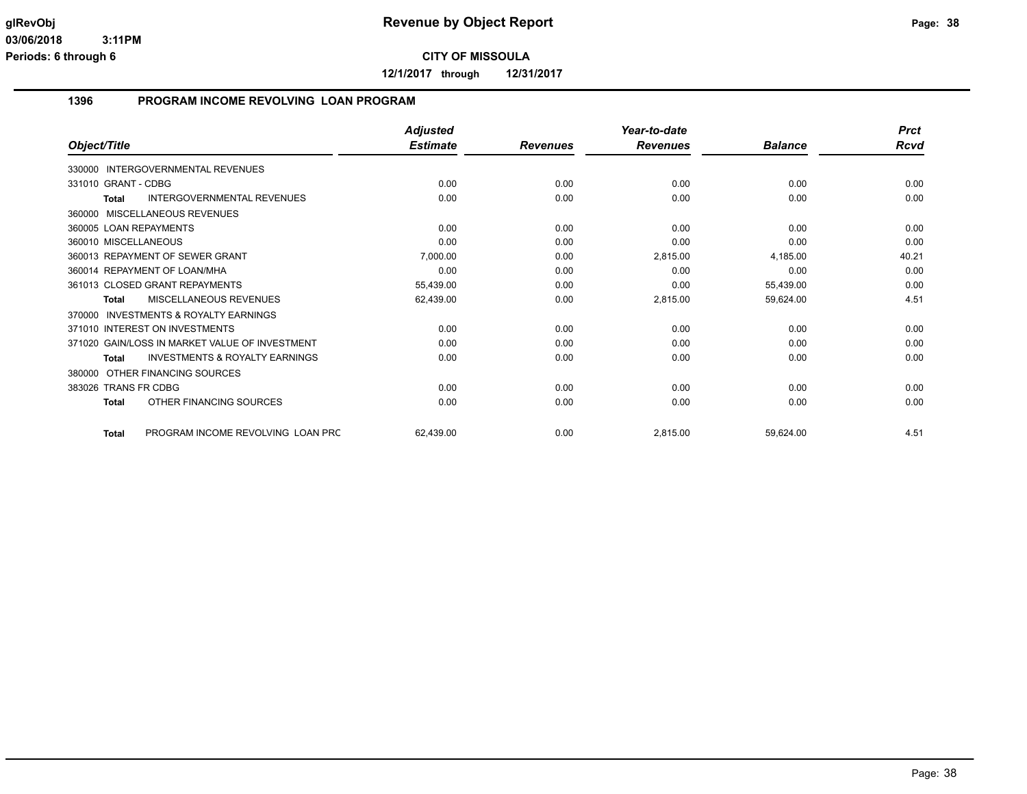**12/1/2017 through 12/31/2017**

## **1396 PROGRAM INCOME REVOLVING LOAN PROGRAM**

|                                                           | <b>Adjusted</b> |                 | Year-to-date    |                | <b>Prct</b> |
|-----------------------------------------------------------|-----------------|-----------------|-----------------|----------------|-------------|
| Object/Title                                              | <b>Estimate</b> | <b>Revenues</b> | <b>Revenues</b> | <b>Balance</b> | Rcvd        |
| INTERGOVERNMENTAL REVENUES<br>330000                      |                 |                 |                 |                |             |
| 331010 GRANT - CDBG                                       | 0.00            | 0.00            | 0.00            | 0.00           | 0.00        |
| <b>INTERGOVERNMENTAL REVENUES</b><br><b>Total</b>         | 0.00            | 0.00            | 0.00            | 0.00           | 0.00        |
| MISCELLANEOUS REVENUES<br>360000                          |                 |                 |                 |                |             |
| 360005 LOAN REPAYMENTS                                    | 0.00            | 0.00            | 0.00            | 0.00           | 0.00        |
| 360010 MISCELLANEOUS                                      | 0.00            | 0.00            | 0.00            | 0.00           | 0.00        |
| 360013 REPAYMENT OF SEWER GRANT                           | 7,000.00        | 0.00            | 2,815.00        | 4,185.00       | 40.21       |
| 360014 REPAYMENT OF LOAN/MHA                              | 0.00            | 0.00            | 0.00            | 0.00           | 0.00        |
| 361013 CLOSED GRANT REPAYMENTS                            | 55,439.00       | 0.00            | 0.00            | 55,439.00      | 0.00        |
| MISCELLANEOUS REVENUES<br><b>Total</b>                    | 62,439.00       | 0.00            | 2,815.00        | 59,624.00      | 4.51        |
| <b>INVESTMENTS &amp; ROYALTY EARNINGS</b><br>370000       |                 |                 |                 |                |             |
| 371010 INTEREST ON INVESTMENTS                            | 0.00            | 0.00            | 0.00            | 0.00           | 0.00        |
| 371020 GAIN/LOSS IN MARKET VALUE OF INVESTMENT            | 0.00            | 0.00            | 0.00            | 0.00           | 0.00        |
| <b>INVESTMENTS &amp; ROYALTY EARNINGS</b><br><b>Total</b> | 0.00            | 0.00            | 0.00            | 0.00           | 0.00        |
| OTHER FINANCING SOURCES<br>380000                         |                 |                 |                 |                |             |
| 383026 TRANS FR CDBG                                      | 0.00            | 0.00            | 0.00            | 0.00           | 0.00        |
| OTHER FINANCING SOURCES<br><b>Total</b>                   | 0.00            | 0.00            | 0.00            | 0.00           | 0.00        |
| PROGRAM INCOME REVOLVING LOAN PRC<br><b>Total</b>         | 62,439.00       | 0.00            | 2,815.00        | 59,624.00      | 4.51        |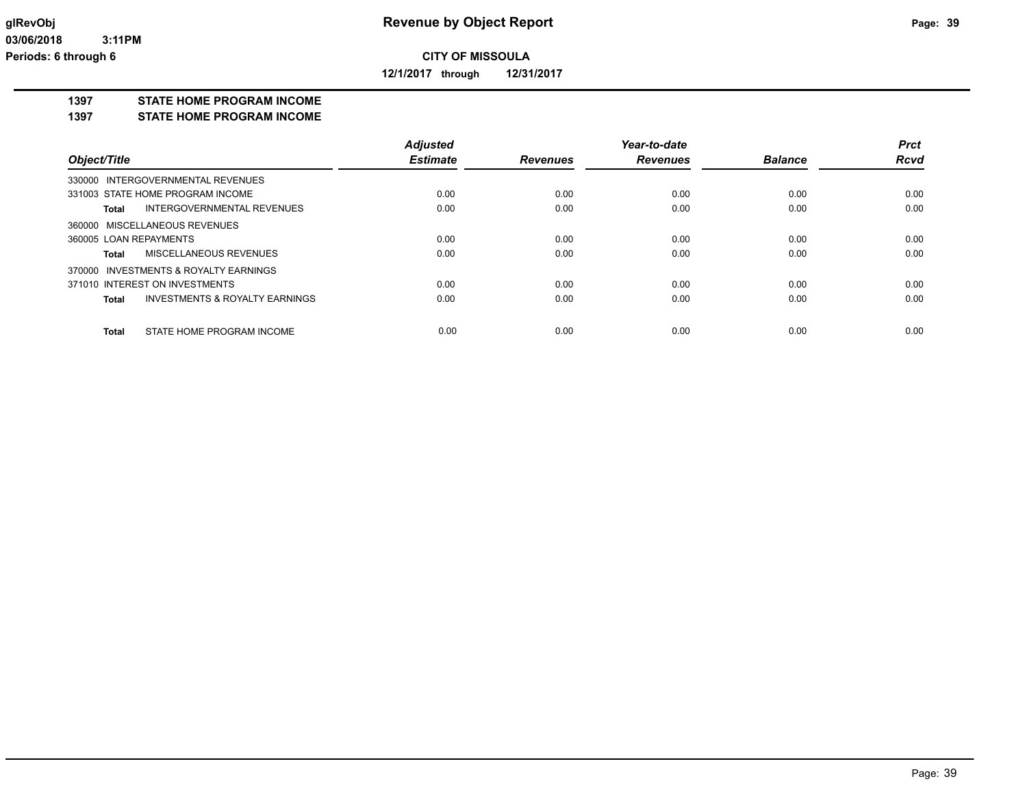**12/1/2017 through 12/31/2017**

#### **1397 STATE HOME PROGRAM INCOME**

#### **1397 STATE HOME PROGRAM INCOME**

|                                                    | <b>Adjusted</b> |                 | Year-to-date    |                | <b>Prct</b> |
|----------------------------------------------------|-----------------|-----------------|-----------------|----------------|-------------|
| Object/Title                                       | <b>Estimate</b> | <b>Revenues</b> | <b>Revenues</b> | <b>Balance</b> | <b>Rcvd</b> |
| 330000 INTERGOVERNMENTAL REVENUES                  |                 |                 |                 |                |             |
| 331003 STATE HOME PROGRAM INCOME                   | 0.00            | 0.00            | 0.00            | 0.00           | 0.00        |
| INTERGOVERNMENTAL REVENUES<br>Total                | 0.00            | 0.00            | 0.00            | 0.00           | 0.00        |
| 360000 MISCELLANEOUS REVENUES                      |                 |                 |                 |                |             |
| 360005 LOAN REPAYMENTS                             | 0.00            | 0.00            | 0.00            | 0.00           | 0.00        |
| MISCELLANEOUS REVENUES<br>Total                    | 0.00            | 0.00            | 0.00            | 0.00           | 0.00        |
| 370000 INVESTMENTS & ROYALTY EARNINGS              |                 |                 |                 |                |             |
| 371010 INTEREST ON INVESTMENTS                     | 0.00            | 0.00            | 0.00            | 0.00           | 0.00        |
| <b>INVESTMENTS &amp; ROYALTY EARNINGS</b><br>Total | 0.00            | 0.00            | 0.00            | 0.00           | 0.00        |
|                                                    |                 |                 |                 |                |             |
| STATE HOME PROGRAM INCOME<br><b>Total</b>          | 0.00            | 0.00            | 0.00            | 0.00           | 0.00        |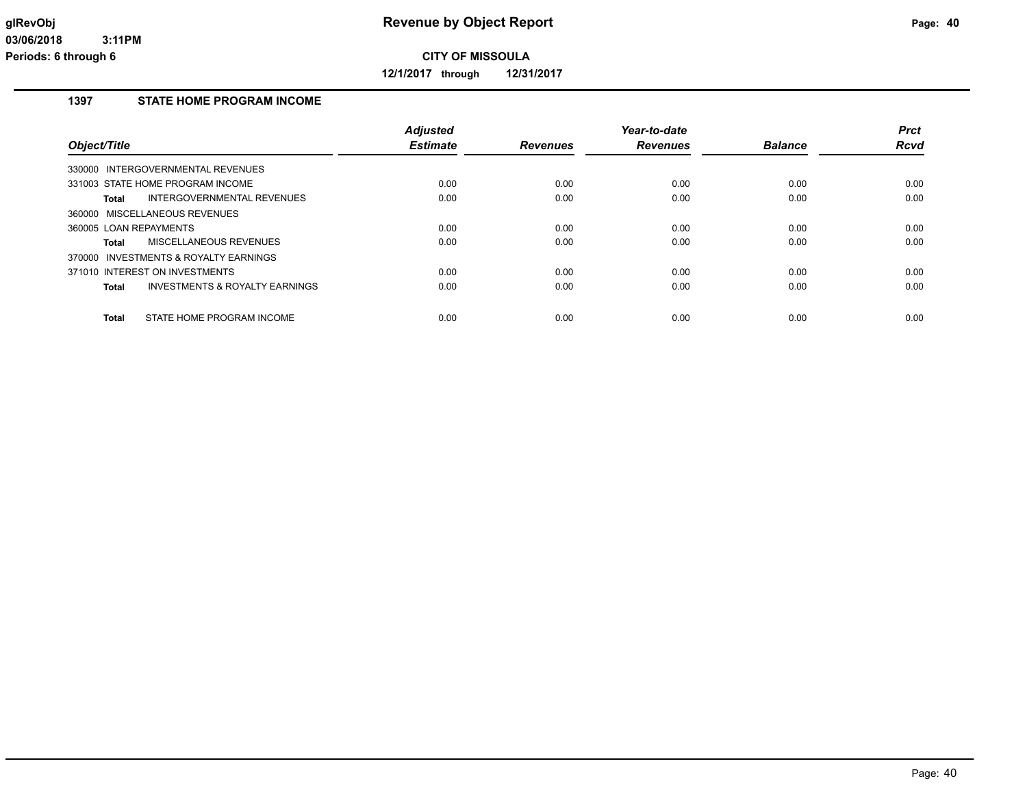**12/1/2017 through 12/31/2017**

# **1397 STATE HOME PROGRAM INCOME**

| Object/Title                                       | <b>Adjusted</b><br><b>Estimate</b> | <b>Revenues</b> | Year-to-date<br><b>Revenues</b> | <b>Balance</b> | <b>Prct</b><br><b>Rcvd</b> |
|----------------------------------------------------|------------------------------------|-----------------|---------------------------------|----------------|----------------------------|
| 330000 INTERGOVERNMENTAL REVENUES                  |                                    |                 |                                 |                |                            |
| 331003 STATE HOME PROGRAM INCOME                   | 0.00                               | 0.00            | 0.00                            | 0.00           | 0.00                       |
| INTERGOVERNMENTAL REVENUES<br>Total                | 0.00                               | 0.00            | 0.00                            | 0.00           | 0.00                       |
| 360000 MISCELLANEOUS REVENUES                      |                                    |                 |                                 |                |                            |
| 360005 LOAN REPAYMENTS                             | 0.00                               | 0.00            | 0.00                            | 0.00           | 0.00                       |
| MISCELLANEOUS REVENUES<br>Total                    | 0.00                               | 0.00            | 0.00                            | 0.00           | 0.00                       |
| 370000 INVESTMENTS & ROYALTY EARNINGS              |                                    |                 |                                 |                |                            |
| 371010 INTEREST ON INVESTMENTS                     | 0.00                               | 0.00            | 0.00                            | 0.00           | 0.00                       |
| <b>INVESTMENTS &amp; ROYALTY EARNINGS</b><br>Total | 0.00                               | 0.00            | 0.00                            | 0.00           | 0.00                       |
| STATE HOME PROGRAM INCOME<br><b>Total</b>          | 0.00                               | 0.00            | 0.00                            | 0.00           | 0.00                       |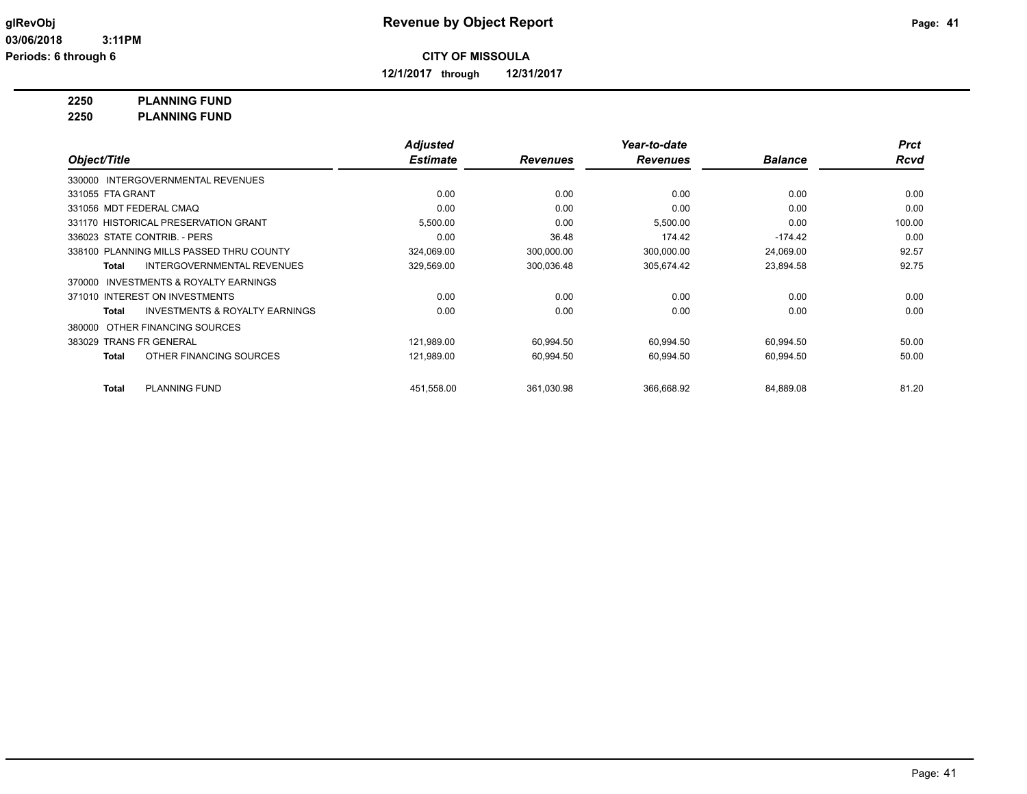**12/1/2017 through 12/31/2017**

# **2250 PLANNING FUND**

**2250 PLANNING FUND**

|                         |                                           | <b>Adjusted</b> |                 | Year-to-date    |                | <b>Prct</b> |
|-------------------------|-------------------------------------------|-----------------|-----------------|-----------------|----------------|-------------|
| Object/Title            |                                           | <b>Estimate</b> | <b>Revenues</b> | <b>Revenues</b> | <b>Balance</b> | <b>Rcvd</b> |
|                         | 330000 INTERGOVERNMENTAL REVENUES         |                 |                 |                 |                |             |
| 331055 FTA GRANT        |                                           | 0.00            | 0.00            | 0.00            | 0.00           | 0.00        |
| 331056 MDT FEDERAL CMAQ |                                           | 0.00            | 0.00            | 0.00            | 0.00           | 0.00        |
|                         | 331170 HISTORICAL PRESERVATION GRANT      | 5,500.00        | 0.00            | 5,500.00        | 0.00           | 100.00      |
|                         | 336023 STATE CONTRIB. - PERS              | 0.00            | 36.48           | 174.42          | $-174.42$      | 0.00        |
|                         | 338100 PLANNING MILLS PASSED THRU COUNTY  | 324,069.00      | 300,000.00      | 300,000.00      | 24,069.00      | 92.57       |
| <b>Total</b>            | <b>INTERGOVERNMENTAL REVENUES</b>         | 329,569.00      | 300,036.48      | 305,674.42      | 23,894.58      | 92.75       |
| 370000                  | INVESTMENTS & ROYALTY EARNINGS            |                 |                 |                 |                |             |
|                         | 371010 INTEREST ON INVESTMENTS            | 0.00            | 0.00            | 0.00            | 0.00           | 0.00        |
| <b>Total</b>            | <b>INVESTMENTS &amp; ROYALTY EARNINGS</b> | 0.00            | 0.00            | 0.00            | 0.00           | 0.00        |
| 380000                  | OTHER FINANCING SOURCES                   |                 |                 |                 |                |             |
| 383029 TRANS FR GENERAL |                                           | 121,989.00      | 60,994.50       | 60,994.50       | 60,994.50      | 50.00       |
| <b>Total</b>            | OTHER FINANCING SOURCES                   | 121,989.00      | 60,994.50       | 60,994.50       | 60,994.50      | 50.00       |
| <b>Total</b>            | <b>PLANNING FUND</b>                      | 451,558.00      | 361,030.98      | 366,668.92      | 84,889.08      | 81.20       |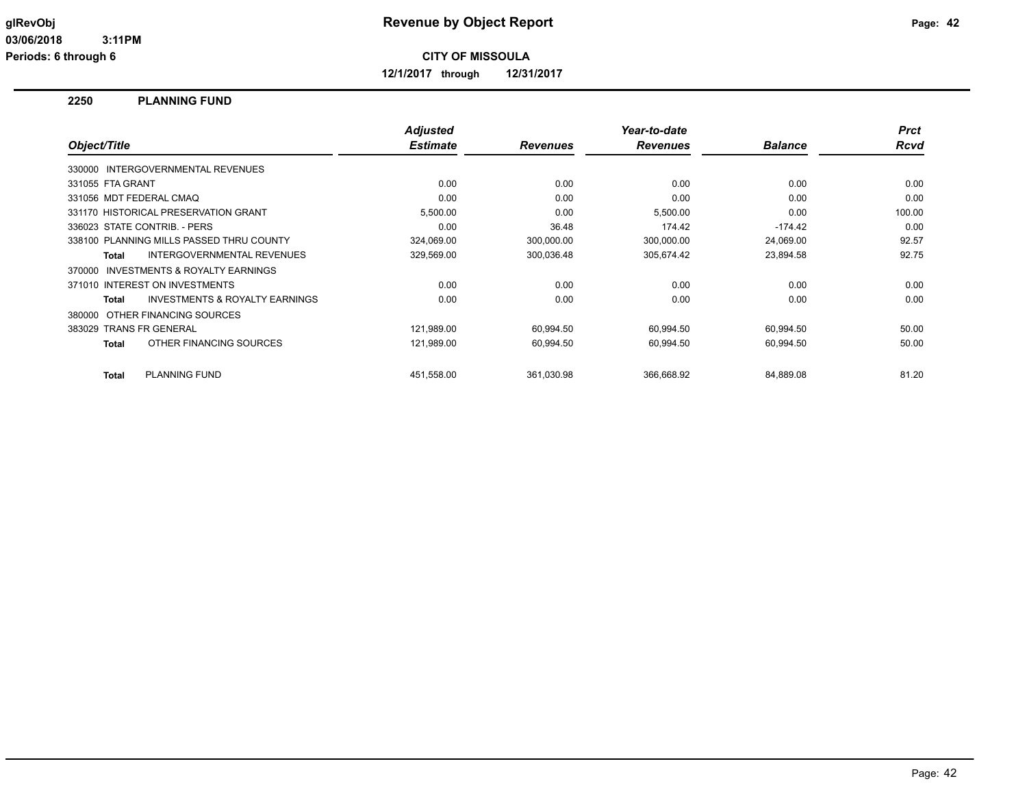**12/1/2017 through 12/31/2017**

#### **2250 PLANNING FUND**

| Object/Title     |                                          | <b>Adjusted</b><br><b>Estimate</b> | <b>Revenues</b> | Year-to-date<br><b>Revenues</b> | <b>Balance</b> | <b>Prct</b><br><b>Rcvd</b> |
|------------------|------------------------------------------|------------------------------------|-----------------|---------------------------------|----------------|----------------------------|
|                  | 330000 INTERGOVERNMENTAL REVENUES        |                                    |                 |                                 |                |                            |
| 331055 FTA GRANT |                                          | 0.00                               | 0.00            | 0.00                            | 0.00           | 0.00                       |
|                  | 331056 MDT FEDERAL CMAQ                  | 0.00                               | 0.00            | 0.00                            | 0.00           | 0.00                       |
|                  | 331170 HISTORICAL PRESERVATION GRANT     | 5,500.00                           | 0.00            | 5,500.00                        | 0.00           | 100.00                     |
|                  | 336023 STATE CONTRIB. - PERS             | 0.00                               | 36.48           | 174.42                          | $-174.42$      | 0.00                       |
|                  | 338100 PLANNING MILLS PASSED THRU COUNTY | 324,069.00                         | 300,000.00      | 300,000.00                      | 24,069.00      | 92.57                      |
| Total            | INTERGOVERNMENTAL REVENUES               | 329,569.00                         | 300,036.48      | 305,674.42                      | 23,894.58      | 92.75                      |
| 370000           | INVESTMENTS & ROYALTY EARNINGS           |                                    |                 |                                 |                |                            |
|                  | 371010 INTEREST ON INVESTMENTS           | 0.00                               | 0.00            | 0.00                            | 0.00           | 0.00                       |
| <b>Total</b>     | INVESTMENTS & ROYALTY EARNINGS           | 0.00                               | 0.00            | 0.00                            | 0.00           | 0.00                       |
| 380000           | OTHER FINANCING SOURCES                  |                                    |                 |                                 |                |                            |
|                  | 383029 TRANS FR GENERAL                  | 121,989.00                         | 60,994.50       | 60,994.50                       | 60,994.50      | 50.00                      |
| <b>Total</b>     | OTHER FINANCING SOURCES                  | 121,989.00                         | 60,994.50       | 60,994.50                       | 60,994.50      | 50.00                      |
| <b>Total</b>     | <b>PLANNING FUND</b>                     | 451.558.00                         | 361.030.98      | 366.668.92                      | 84,889.08      | 81.20                      |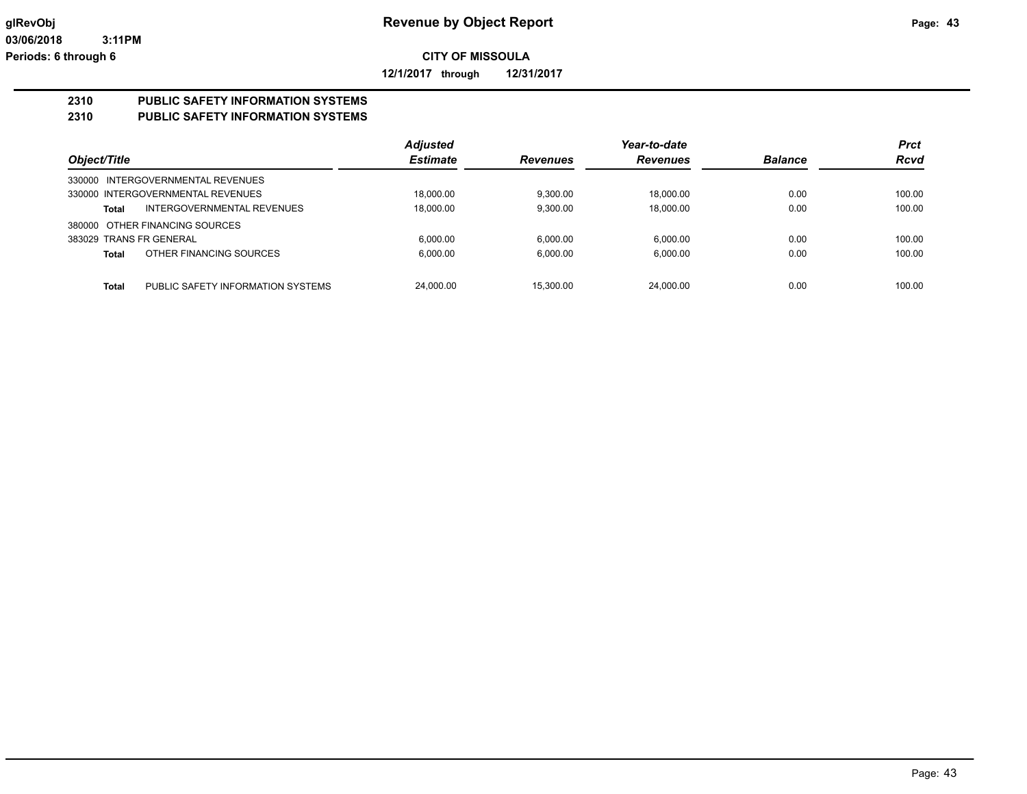**12/1/2017 through 12/31/2017**

# **2310 PUBLIC SAFETY INFORMATION SYSTEMS**

# **2310 PUBLIC SAFETY INFORMATION SYSTEMS**

|                                                   | <b>Adjusted</b> |                 | Year-to-date    |                | <b>Prct</b> |
|---------------------------------------------------|-----------------|-----------------|-----------------|----------------|-------------|
| Object/Title                                      | <b>Estimate</b> | <b>Revenues</b> | <b>Revenues</b> | <b>Balance</b> | <b>Rcvd</b> |
| 330000 INTERGOVERNMENTAL REVENUES                 |                 |                 |                 |                |             |
| 330000 INTERGOVERNMENTAL REVENUES                 | 18.000.00       | 9.300.00        | 18.000.00       | 0.00           | 100.00      |
| INTERGOVERNMENTAL REVENUES<br>Total               | 18.000.00       | 9.300.00        | 18.000.00       | 0.00           | 100.00      |
| 380000 OTHER FINANCING SOURCES                    |                 |                 |                 |                |             |
| 383029 TRANS FR GENERAL                           | 6.000.00        | 6,000.00        | 6.000.00        | 0.00           | 100.00      |
| OTHER FINANCING SOURCES<br>Total                  | 6,000.00        | 6,000.00        | 6,000.00        | 0.00           | 100.00      |
|                                                   |                 |                 |                 |                |             |
| <b>Total</b><br>PUBLIC SAFETY INFORMATION SYSTEMS | 24,000.00       | 15.300.00       | 24.000.00       | 0.00           | 100.00      |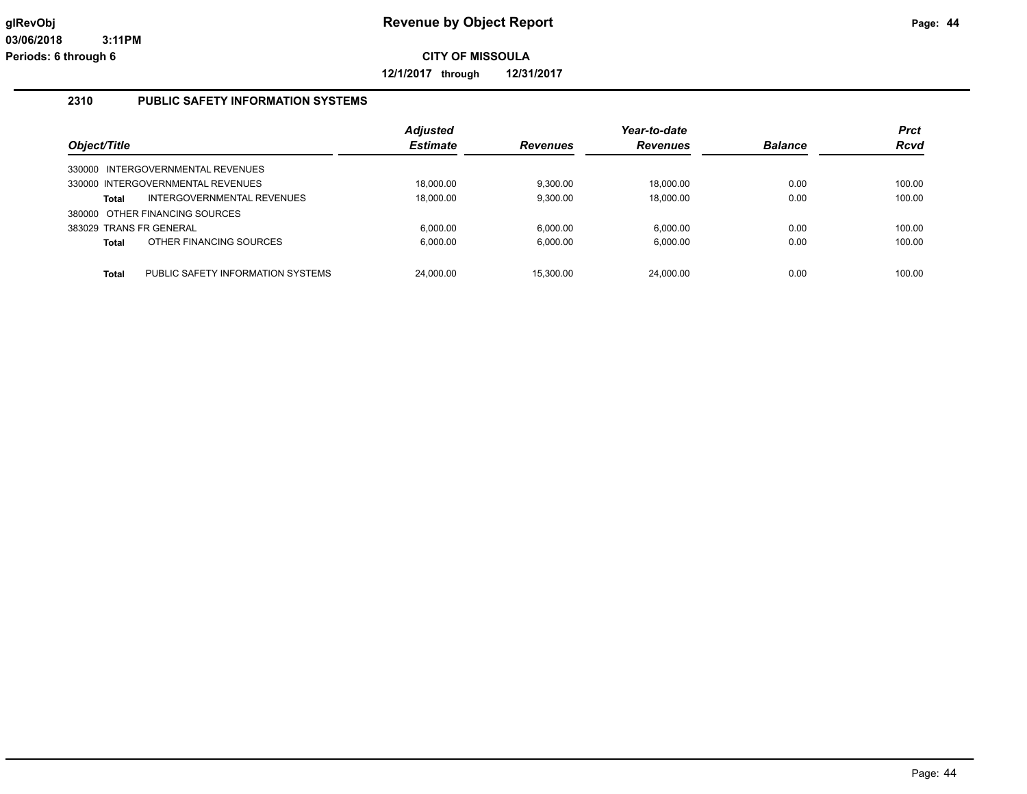**12/1/2017 through 12/31/2017**

# **2310 PUBLIC SAFETY INFORMATION SYSTEMS**

|                         |                                   | <b>Adjusted</b> |                 | Year-to-date    |                | <b>Prct</b> |
|-------------------------|-----------------------------------|-----------------|-----------------|-----------------|----------------|-------------|
| Object/Title            |                                   | <b>Estimate</b> | <b>Revenues</b> | <b>Revenues</b> | <b>Balance</b> | <b>Rcvd</b> |
|                         | 330000 INTERGOVERNMENTAL REVENUES |                 |                 |                 |                |             |
|                         | 330000 INTERGOVERNMENTAL REVENUES | 18.000.00       | 9.300.00        | 18.000.00       | 0.00           | 100.00      |
| Total                   | INTERGOVERNMENTAL REVENUES        | 18.000.00       | 9.300.00        | 18.000.00       | 0.00           | 100.00      |
|                         | 380000 OTHER FINANCING SOURCES    |                 |                 |                 |                |             |
| 383029 TRANS FR GENERAL |                                   | 6.000.00        | 6.000.00        | 6.000.00        | 0.00           | 100.00      |
| <b>Total</b>            | OTHER FINANCING SOURCES           | 6.000.00        | 6.000.00        | 6.000.00        | 0.00           | 100.00      |
| <b>Total</b>            | PUBLIC SAFETY INFORMATION SYSTEMS | 24.000.00       | 15.300.00       | 24.000.00       | 0.00           | 100.00      |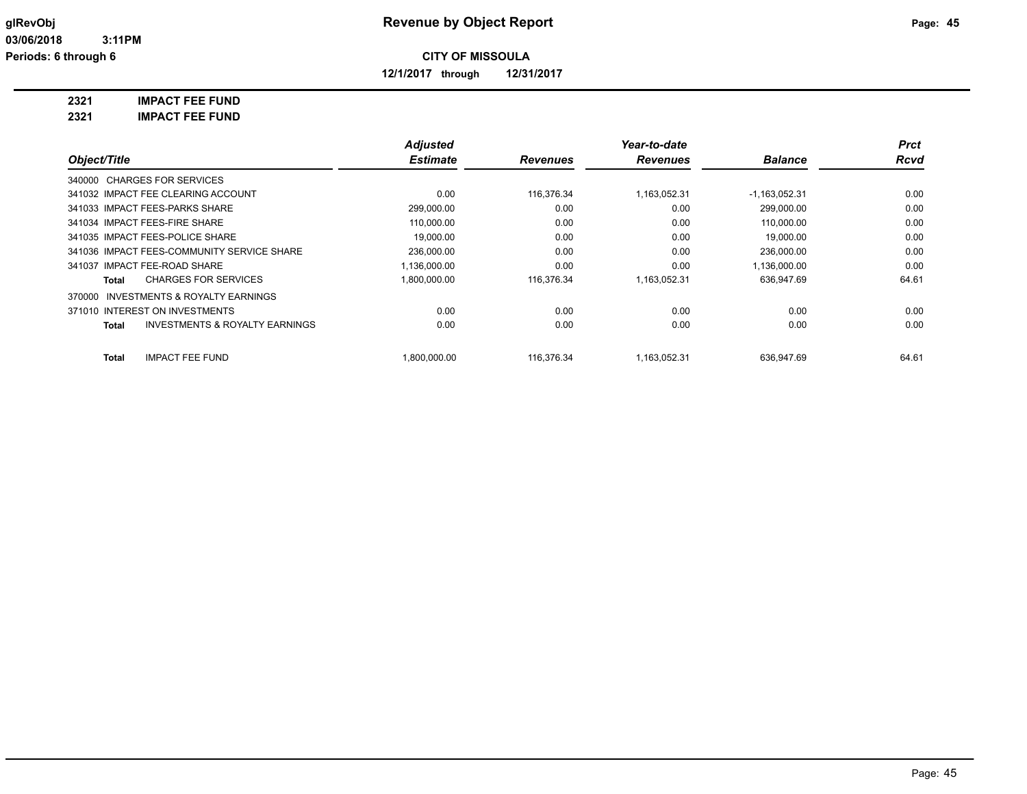**12/1/2017 through 12/31/2017**

**2321 IMPACT FEE FUND**

**2321 IMPACT FEE FUND**

|                                                     | <b>Adjusted</b> |                 | Year-to-date    |                 | <b>Prct</b> |
|-----------------------------------------------------|-----------------|-----------------|-----------------|-----------------|-------------|
| Object/Title                                        | <b>Estimate</b> | <b>Revenues</b> | <b>Revenues</b> | <b>Balance</b>  | <b>Rcvd</b> |
| 340000 CHARGES FOR SERVICES                         |                 |                 |                 |                 |             |
| 341032 IMPACT FEE CLEARING ACCOUNT                  | 0.00            | 116,376.34      | 1.163.052.31    | $-1,163,052.31$ | 0.00        |
| 341033 IMPACT FEES-PARKS SHARE                      | 299,000.00      | 0.00            | 0.00            | 299,000.00      | 0.00        |
| 341034 IMPACT FEES-FIRE SHARE                       | 110,000.00      | 0.00            | 0.00            | 110,000.00      | 0.00        |
| 341035 IMPACT FEES-POLICE SHARE                     | 19.000.00       | 0.00            | 0.00            | 19.000.00       | 0.00        |
| 341036 IMPACT FEES-COMMUNITY SERVICE SHARE          | 236,000.00      | 0.00            | 0.00            | 236,000.00      | 0.00        |
| 341037 IMPACT FEE-ROAD SHARE                        | 1,136,000.00    | 0.00            | 0.00            | 1,136,000.00    | 0.00        |
| <b>CHARGES FOR SERVICES</b><br>Total                | 1,800,000.00    | 116,376.34      | 1,163,052.31    | 636,947.69      | 64.61       |
| <b>INVESTMENTS &amp; ROYALTY EARNINGS</b><br>370000 |                 |                 |                 |                 |             |
| 371010 INTEREST ON INVESTMENTS                      | 0.00            | 0.00            | 0.00            | 0.00            | 0.00        |
| <b>INVESTMENTS &amp; ROYALTY EARNINGS</b><br>Total  | 0.00            | 0.00            | 0.00            | 0.00            | 0.00        |
| <b>IMPACT FEE FUND</b><br>Total                     | 1,800,000.00    | 116,376.34      | 1,163,052.31    | 636,947.69      | 64.61       |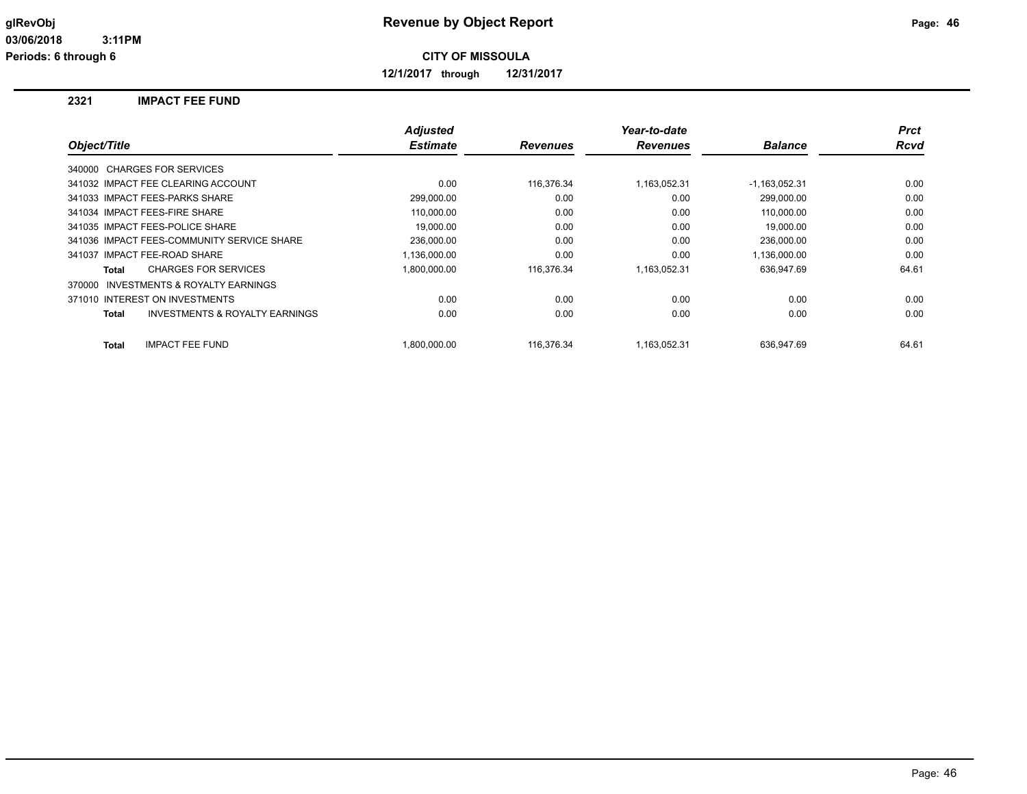**12/1/2017 through 12/31/2017**

#### **2321 IMPACT FEE FUND**

|                                                    | <b>Adjusted</b> |                 | Year-to-date    |                 | <b>Prct</b> |
|----------------------------------------------------|-----------------|-----------------|-----------------|-----------------|-------------|
| Object/Title                                       | <b>Estimate</b> | <b>Revenues</b> | <b>Revenues</b> | <b>Balance</b>  | <b>Rcvd</b> |
| 340000 CHARGES FOR SERVICES                        |                 |                 |                 |                 |             |
| 341032 IMPACT FEE CLEARING ACCOUNT                 | 0.00            | 116,376.34      | 1,163,052.31    | $-1,163,052.31$ | 0.00        |
| 341033 IMPACT FEES-PARKS SHARE                     | 299.000.00      | 0.00            | 0.00            | 299.000.00      | 0.00        |
| 341034 IMPACT FEES-FIRE SHARE                      | 110.000.00      | 0.00            | 0.00            | 110.000.00      | 0.00        |
| 341035 IMPACT FEES-POLICE SHARE                    | 19.000.00       | 0.00            | 0.00            | 19.000.00       | 0.00        |
| 341036 IMPACT FEES-COMMUNITY SERVICE SHARE         | 236,000.00      | 0.00            | 0.00            | 236,000.00      | 0.00        |
| 341037 IMPACT FEE-ROAD SHARE                       | 1,136,000.00    | 0.00            | 0.00            | 1,136,000.00    | 0.00        |
| <b>CHARGES FOR SERVICES</b><br>Total               | 1,800,000.00    | 116,376.34      | 1,163,052.31    | 636,947.69      | 64.61       |
| 370000 INVESTMENTS & ROYALTY EARNINGS              |                 |                 |                 |                 |             |
| 371010 INTEREST ON INVESTMENTS                     | 0.00            | 0.00            | 0.00            | 0.00            | 0.00        |
| <b>INVESTMENTS &amp; ROYALTY EARNINGS</b><br>Total | 0.00            | 0.00            | 0.00            | 0.00            | 0.00        |
| <b>IMPACT FEE FUND</b><br>Total                    | 1.800.000.00    | 116.376.34      | 1.163.052.31    | 636.947.69      | 64.61       |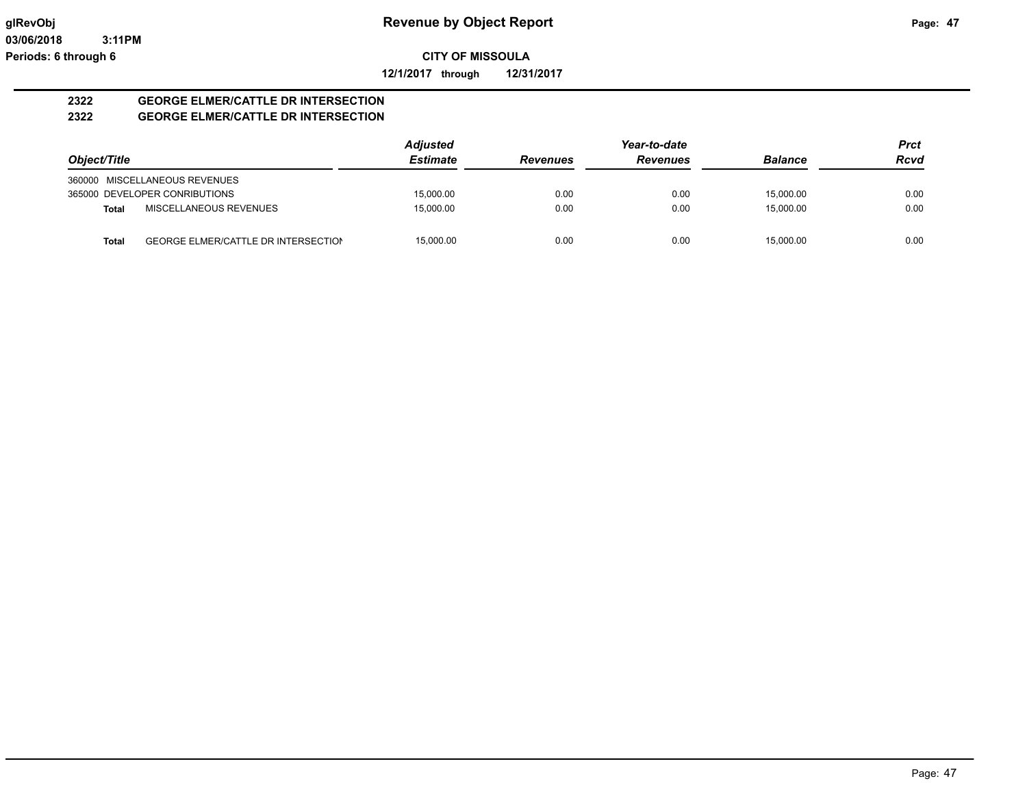**12/1/2017 through 12/31/2017**

#### **2322 GEORGE ELMER/CATTLE DR INTERSECTION 2322 GEORGE ELMER/CATTLE DR INTERSECTION**

|              |                                            | <b>Adjusted</b> |                 | Year-to-date    |                | <b>Prct</b> |
|--------------|--------------------------------------------|-----------------|-----------------|-----------------|----------------|-------------|
| Object/Title |                                            | <b>Estimate</b> | <b>Revenues</b> | <b>Revenues</b> | <b>Balance</b> | <b>Rcvd</b> |
|              | 360000 MISCELLANEOUS REVENUES              |                 |                 |                 |                |             |
|              | 365000 DEVELOPER CONRIBUTIONS              | 15,000.00       | 0.00            | 0.00            | 15.000.00      | 0.00        |
| <b>Total</b> | MISCELLANEOUS REVENUES                     | 15.000.00       | 0.00            | 0.00            | 15.000.00      | 0.00        |
| Total        | <b>GEORGE ELMER/CATTLE DR INTERSECTION</b> | 15.000.00       | 0.00            | 0.00            | 15.000.00      | 0.00        |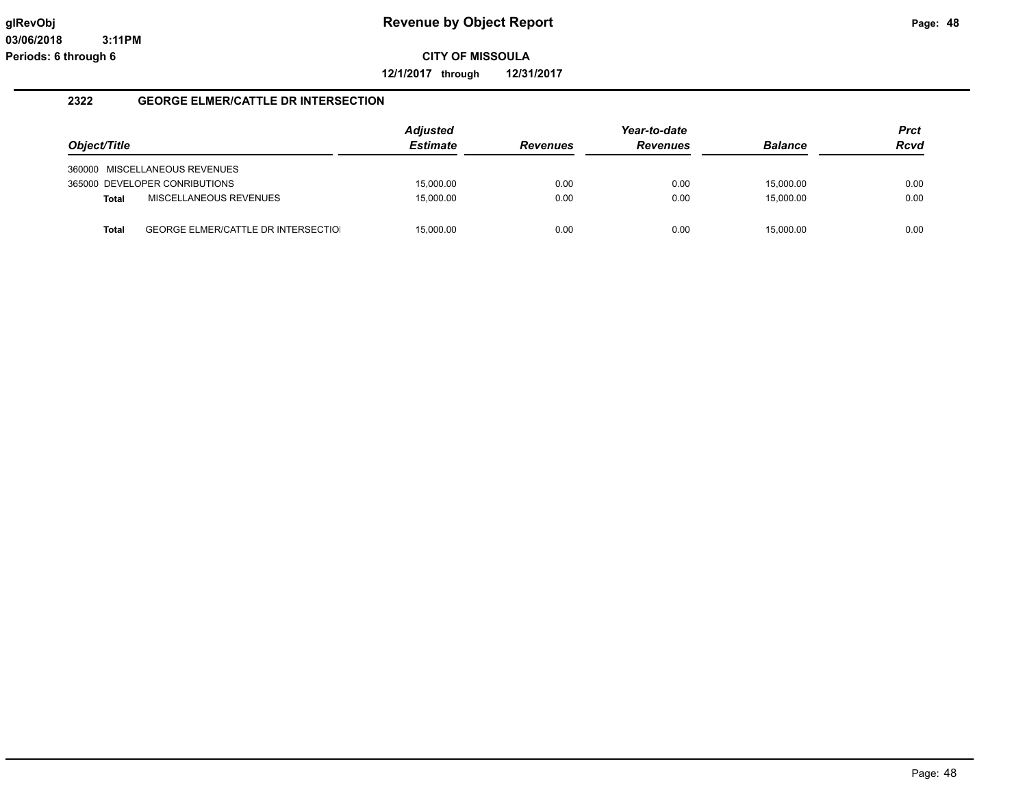**12/1/2017 through 12/31/2017**

## **2322 GEORGE ELMER/CATTLE DR INTERSECTION**

|              |                                            | <b>Adjusted</b> |                 | Year-to-date    |                | Prct |
|--------------|--------------------------------------------|-----------------|-----------------|-----------------|----------------|------|
| Object/Title |                                            | <b>Estimate</b> | <b>Revenues</b> | <b>Revenues</b> | <b>Balance</b> | Rcvd |
|              | 360000 MISCELLANEOUS REVENUES              |                 |                 |                 |                |      |
|              | 365000 DEVELOPER CONRIBUTIONS              | 15,000.00       | 0.00            | 0.00            | 15,000.00      | 0.00 |
| <b>Total</b> | MISCELLANEOUS REVENUES                     | 15,000.00       | 0.00            | 0.00            | 15,000.00      | 0.00 |
| <b>Total</b> | <b>GEORGE ELMER/CATTLE DR INTERSECTIOL</b> | 15,000.00       | 0.00            | 0.00            | 15.000.00      | 0.00 |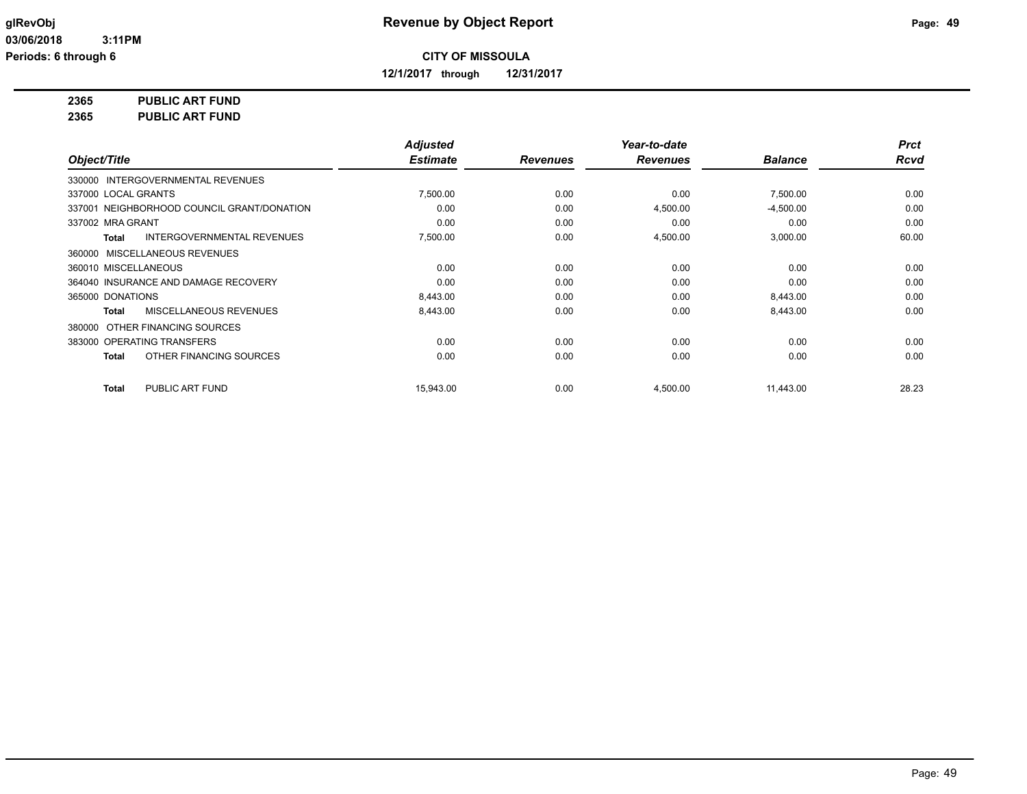**12/1/2017 through 12/31/2017**

# **2365 PUBLIC ART FUND**

**2365 PUBLIC ART FUND**

|                                                   | <b>Adjusted</b> |                 | Year-to-date    |                | <b>Prct</b> |
|---------------------------------------------------|-----------------|-----------------|-----------------|----------------|-------------|
| Object/Title                                      | <b>Estimate</b> | <b>Revenues</b> | <b>Revenues</b> | <b>Balance</b> | <b>Rcvd</b> |
| 330000 INTERGOVERNMENTAL REVENUES                 |                 |                 |                 |                |             |
| 337000 LOCAL GRANTS                               | 7,500.00        | 0.00            | 0.00            | 7,500.00       | 0.00        |
| 337001 NEIGHBORHOOD COUNCIL GRANT/DONATION        | 0.00            | 0.00            | 4,500.00        | $-4,500.00$    | 0.00        |
| 337002 MRA GRANT                                  | 0.00            | 0.00            | 0.00            | 0.00           | 0.00        |
| <b>INTERGOVERNMENTAL REVENUES</b><br><b>Total</b> | 7,500.00        | 0.00            | 4,500.00        | 3,000.00       | 60.00       |
| 360000 MISCELLANEOUS REVENUES                     |                 |                 |                 |                |             |
| 360010 MISCELLANEOUS                              | 0.00            | 0.00            | 0.00            | 0.00           | 0.00        |
| 364040 INSURANCE AND DAMAGE RECOVERY              | 0.00            | 0.00            | 0.00            | 0.00           | 0.00        |
| 365000 DONATIONS                                  | 8,443.00        | 0.00            | 0.00            | 8,443.00       | 0.00        |
| MISCELLANEOUS REVENUES<br><b>Total</b>            | 8,443.00        | 0.00            | 0.00            | 8,443.00       | 0.00        |
| 380000 OTHER FINANCING SOURCES                    |                 |                 |                 |                |             |
| 383000 OPERATING TRANSFERS                        | 0.00            | 0.00            | 0.00            | 0.00           | 0.00        |
| OTHER FINANCING SOURCES<br><b>Total</b>           | 0.00            | 0.00            | 0.00            | 0.00           | 0.00        |
| PUBLIC ART FUND<br><b>Total</b>                   | 15.943.00       | 0.00            | 4,500.00        | 11,443.00      | 28.23       |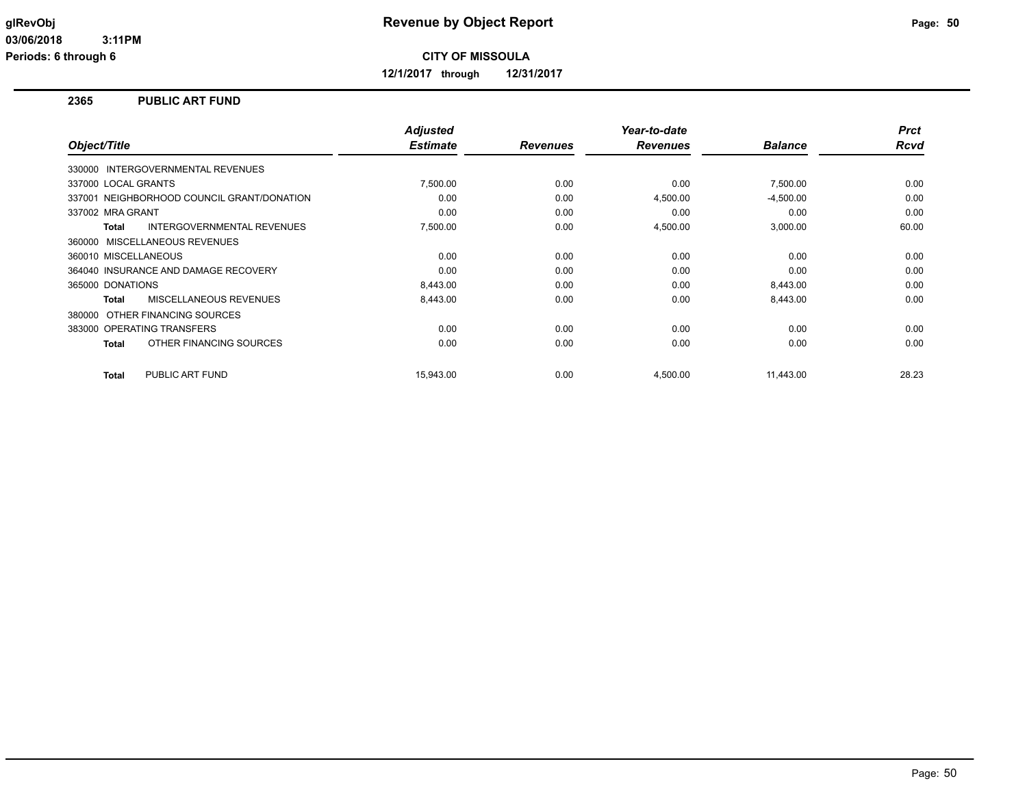**12/1/2017 through 12/31/2017**

#### **2365 PUBLIC ART FUND**

| Object/Title                               | <b>Adjusted</b><br><b>Estimate</b> | <b>Revenues</b> | Year-to-date<br><b>Revenues</b> | <b>Balance</b> | <b>Prct</b><br><b>Rcvd</b> |
|--------------------------------------------|------------------------------------|-----------------|---------------------------------|----------------|----------------------------|
| 330000 INTERGOVERNMENTAL REVENUES          |                                    |                 |                                 |                |                            |
| 337000 LOCAL GRANTS                        | 7,500.00                           | 0.00            | 0.00                            | 7,500.00       | 0.00                       |
| 337001 NEIGHBORHOOD COUNCIL GRANT/DONATION | 0.00                               | 0.00            | 4,500.00                        | $-4,500.00$    | 0.00                       |
| 337002 MRA GRANT                           | 0.00                               | 0.00            | 0.00                            | 0.00           | 0.00                       |
| <b>INTERGOVERNMENTAL REVENUES</b><br>Total | 7,500.00                           | 0.00            | 4,500.00                        | 3,000.00       | 60.00                      |
| 360000 MISCELLANEOUS REVENUES              |                                    |                 |                                 |                |                            |
| 360010 MISCELLANEOUS                       | 0.00                               | 0.00            | 0.00                            | 0.00           | 0.00                       |
| 364040 INSURANCE AND DAMAGE RECOVERY       | 0.00                               | 0.00            | 0.00                            | 0.00           | 0.00                       |
| 365000 DONATIONS                           | 8,443.00                           | 0.00            | 0.00                            | 8,443.00       | 0.00                       |
| MISCELLANEOUS REVENUES<br>Total            | 8,443.00                           | 0.00            | 0.00                            | 8,443.00       | 0.00                       |
| 380000 OTHER FINANCING SOURCES             |                                    |                 |                                 |                |                            |
| 383000 OPERATING TRANSFERS                 | 0.00                               | 0.00            | 0.00                            | 0.00           | 0.00                       |
| OTHER FINANCING SOURCES<br>Total           | 0.00                               | 0.00            | 0.00                            | 0.00           | 0.00                       |
| PUBLIC ART FUND<br>Total                   | 15.943.00                          | 0.00            | 4,500.00                        | 11,443.00      | 28.23                      |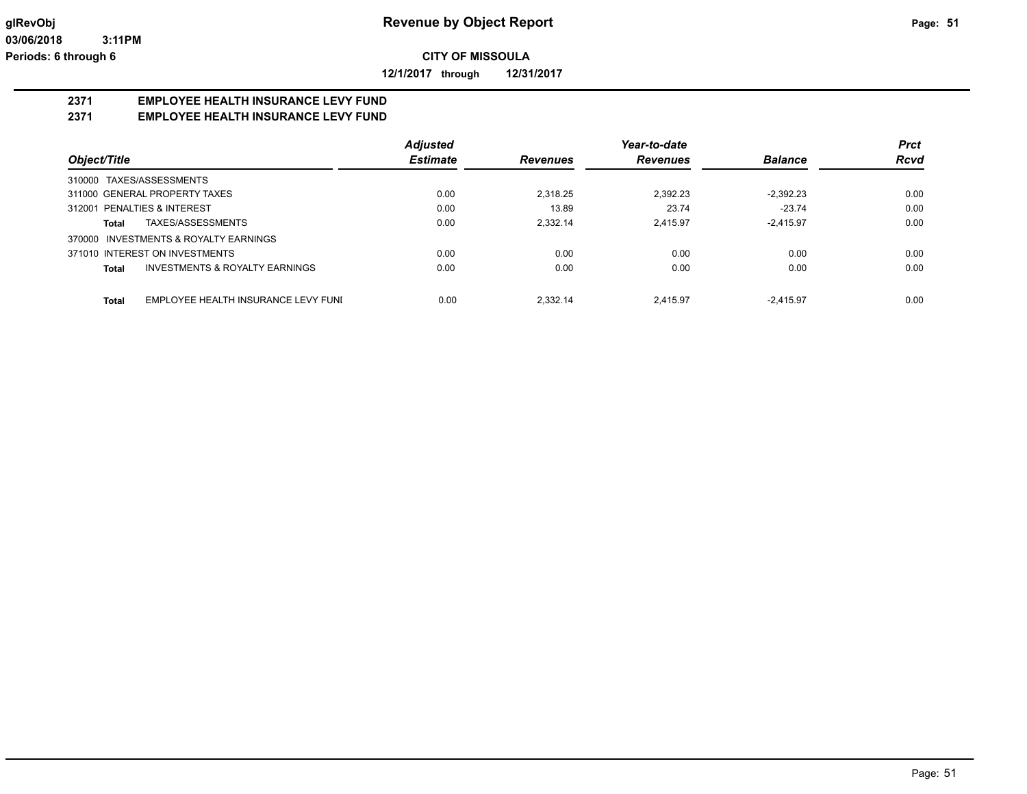**12/1/2017 through 12/31/2017**

# **2371 EMPLOYEE HEALTH INSURANCE LEVY FUND**

# **2371 EMPLOYEE HEALTH INSURANCE LEVY FUND**

|                                                    | <b>Adjusted</b> |                 | Year-to-date    |                | <b>Prct</b> |
|----------------------------------------------------|-----------------|-----------------|-----------------|----------------|-------------|
| Object/Title                                       | <b>Estimate</b> | <b>Revenues</b> | <b>Revenues</b> | <b>Balance</b> | <b>Rcvd</b> |
| 310000 TAXES/ASSESSMENTS                           |                 |                 |                 |                |             |
| 311000 GENERAL PROPERTY TAXES                      | 0.00            | 2.318.25        | 2.392.23        | $-2.392.23$    | 0.00        |
| 312001 PENALTIES & INTEREST                        | 0.00            | 13.89           | 23.74           | $-23.74$       | 0.00        |
| TAXES/ASSESSMENTS<br>Total                         | 0.00            | 2,332.14        | 2.415.97        | $-2.415.97$    | 0.00        |
| INVESTMENTS & ROYALTY EARNINGS<br>370000           |                 |                 |                 |                |             |
| 371010 INTEREST ON INVESTMENTS                     | 0.00            | 0.00            | 0.00            | 0.00           | 0.00        |
| <b>INVESTMENTS &amp; ROYALTY EARNINGS</b><br>Total | 0.00            | 0.00            | 0.00            | 0.00           | 0.00        |
| EMPLOYEE HEALTH INSURANCE LEVY FUNI<br>Total       | 0.00            | 2.332.14        | 2.415.97        | $-2.415.97$    | 0.00        |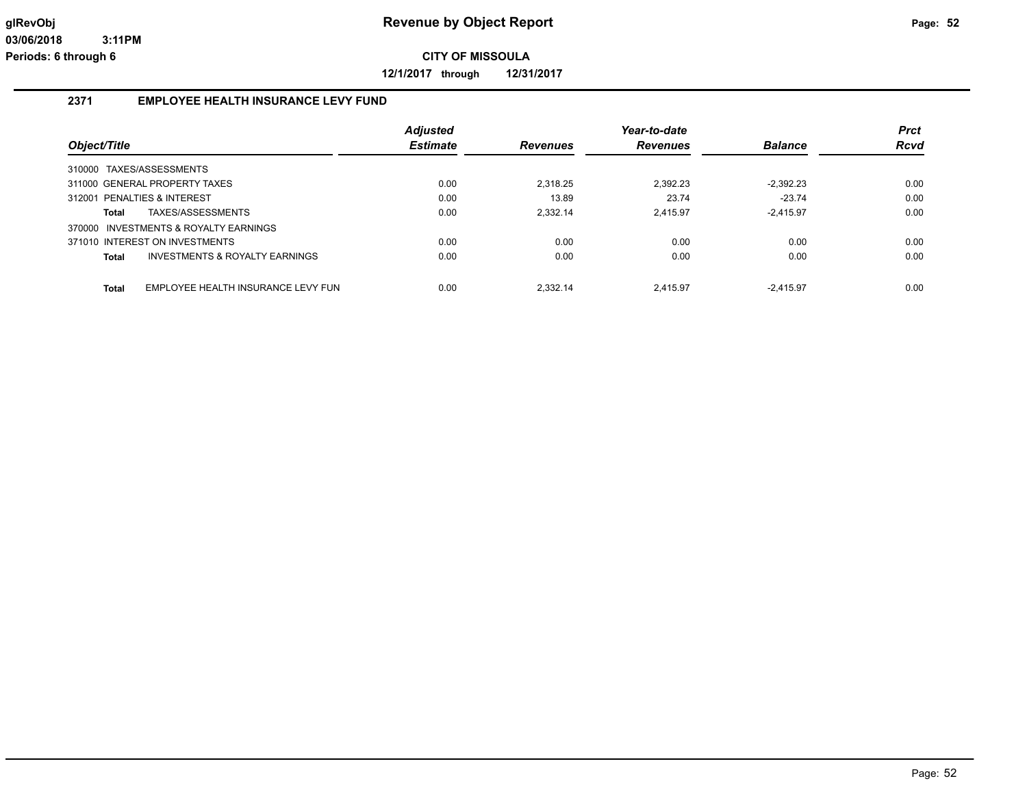**12/1/2017 through 12/31/2017**

# **2371 EMPLOYEE HEALTH INSURANCE LEVY FUND**

|                                                    | <b>Adjusted</b> |                 | Year-to-date    |                | <b>Prct</b> |
|----------------------------------------------------|-----------------|-----------------|-----------------|----------------|-------------|
| Object/Title                                       | <b>Estimate</b> | <b>Revenues</b> | <b>Revenues</b> | <b>Balance</b> | <b>Rcvd</b> |
| 310000 TAXES/ASSESSMENTS                           |                 |                 |                 |                |             |
| 311000 GENERAL PROPERTY TAXES                      | 0.00            | 2.318.25        | 2,392.23        | $-2,392.23$    | 0.00        |
| 312001 PENALTIES & INTEREST                        | 0.00            | 13.89           | 23.74           | $-23.74$       | 0.00        |
| TAXES/ASSESSMENTS<br>Total                         | 0.00            | 2.332.14        | 2.415.97        | $-2.415.97$    | 0.00        |
| 370000 INVESTMENTS & ROYALTY EARNINGS              |                 |                 |                 |                |             |
| 371010 INTEREST ON INVESTMENTS                     | 0.00            | 0.00            | 0.00            | 0.00           | 0.00        |
| <b>INVESTMENTS &amp; ROYALTY EARNINGS</b><br>Total | 0.00            | 0.00            | 0.00            | 0.00           | 0.00        |
|                                                    |                 |                 |                 |                |             |
| EMPLOYEE HEALTH INSURANCE LEVY FUN<br><b>Total</b> | 0.00            | 2.332.14        | 2.415.97        | $-2.415.97$    | 0.00        |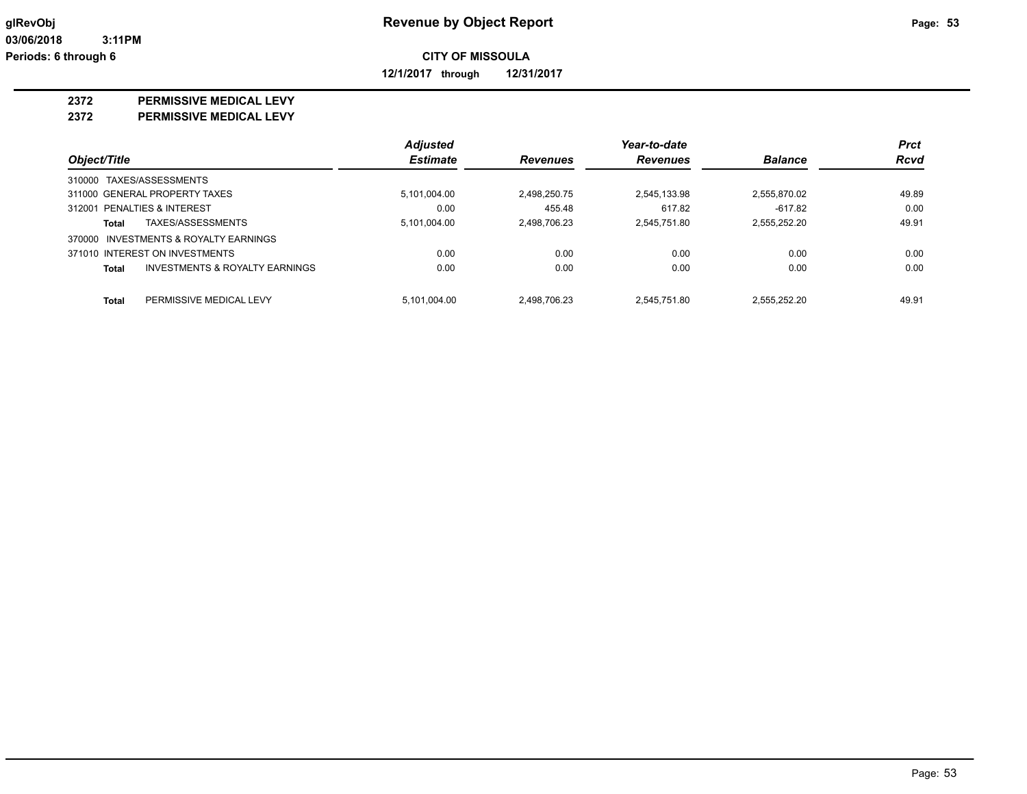**12/1/2017 through 12/31/2017**

#### **2372 PERMISSIVE MEDICAL LEVY**

**2372 PERMISSIVE MEDICAL LEVY**

|                                         | <b>Adjusted</b> |                 | Year-to-date    |                | <b>Prct</b> |
|-----------------------------------------|-----------------|-----------------|-----------------|----------------|-------------|
| Object/Title                            | <b>Estimate</b> | <b>Revenues</b> | <b>Revenues</b> | <b>Balance</b> | <b>Rcvd</b> |
| 310000 TAXES/ASSESSMENTS                |                 |                 |                 |                |             |
| 311000 GENERAL PROPERTY TAXES           | 5,101,004.00    | 2,498,250.75    | 2,545,133.98    | 2,555,870.02   | 49.89       |
| 312001 PENALTIES & INTEREST             | 0.00            | 455.48          | 617.82          | $-617.82$      | 0.00        |
| TAXES/ASSESSMENTS<br>Total              | 5,101,004.00    | 2.498.706.23    | 2.545.751.80    | 2,555,252.20   | 49.91       |
| 370000 INVESTMENTS & ROYALTY EARNINGS   |                 |                 |                 |                |             |
| 371010 INTEREST ON INVESTMENTS          | 0.00            | 0.00            | 0.00            | 0.00           | 0.00        |
| INVESTMENTS & ROYALTY EARNINGS<br>Total | 0.00            | 0.00            | 0.00            | 0.00           | 0.00        |
| PERMISSIVE MEDICAL LEVY<br><b>Total</b> | 5.101.004.00    | 2.498.706.23    | 2.545.751.80    | 2.555.252.20   | 49.91       |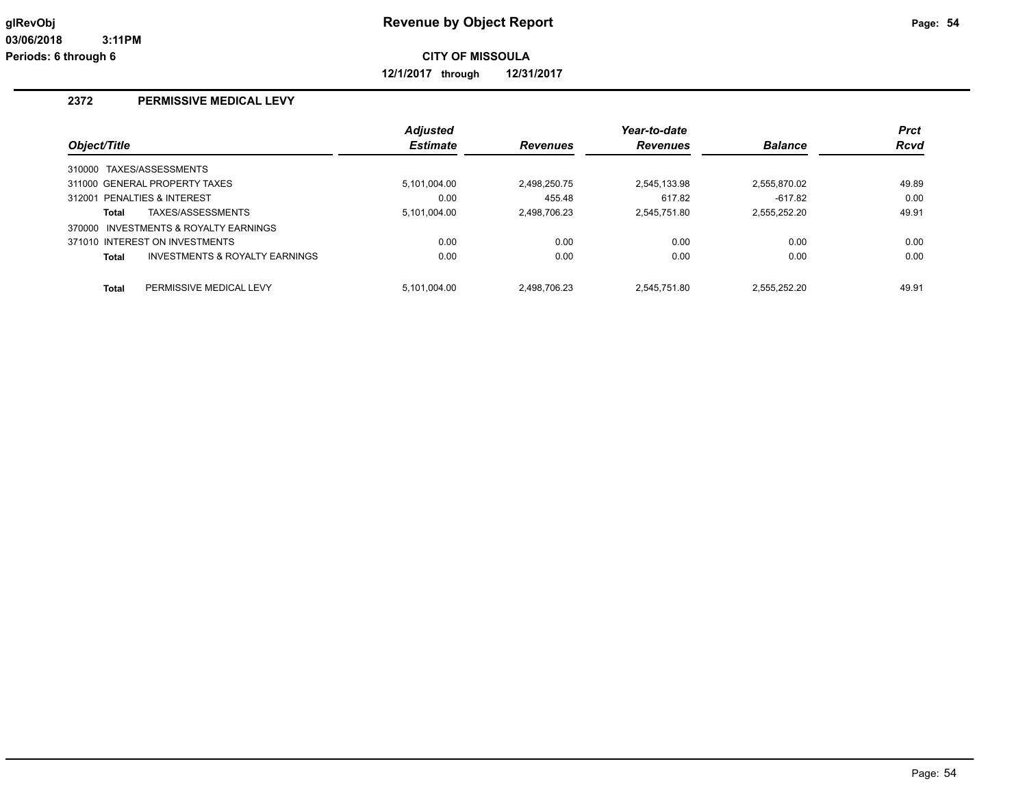**12/1/2017 through 12/31/2017**

# **2372 PERMISSIVE MEDICAL LEVY**

|              |                                       | <b>Adjusted</b> |                 | Year-to-date    |                | <b>Prct</b> |
|--------------|---------------------------------------|-----------------|-----------------|-----------------|----------------|-------------|
| Object/Title |                                       | <b>Estimate</b> | <b>Revenues</b> | <b>Revenues</b> | <b>Balance</b> | <b>Rcvd</b> |
|              | 310000 TAXES/ASSESSMENTS              |                 |                 |                 |                |             |
|              | 311000 GENERAL PROPERTY TAXES         | 5.101.004.00    | 2.498.250.75    | 2.545.133.98    | 2.555.870.02   | 49.89       |
|              | 312001 PENALTIES & INTEREST           | 0.00            | 455.48          | 617.82          | $-617.82$      | 0.00        |
| Total        | TAXES/ASSESSMENTS                     | 5,101,004.00    | 2.498.706.23    | 2,545,751.80    | 2.555.252.20   | 49.91       |
|              | 370000 INVESTMENTS & ROYALTY EARNINGS |                 |                 |                 |                |             |
|              | 371010 INTEREST ON INVESTMENTS        | 0.00            | 0.00            | 0.00            | 0.00           | 0.00        |
| <b>Total</b> | INVESTMENTS & ROYALTY EARNINGS        | 0.00            | 0.00            | 0.00            | 0.00           | 0.00        |
| Total        | PERMISSIVE MEDICAL LEVY               | 5.101.004.00    | 2.498.706.23    | 2.545.751.80    | 2.555.252.20   | 49.91       |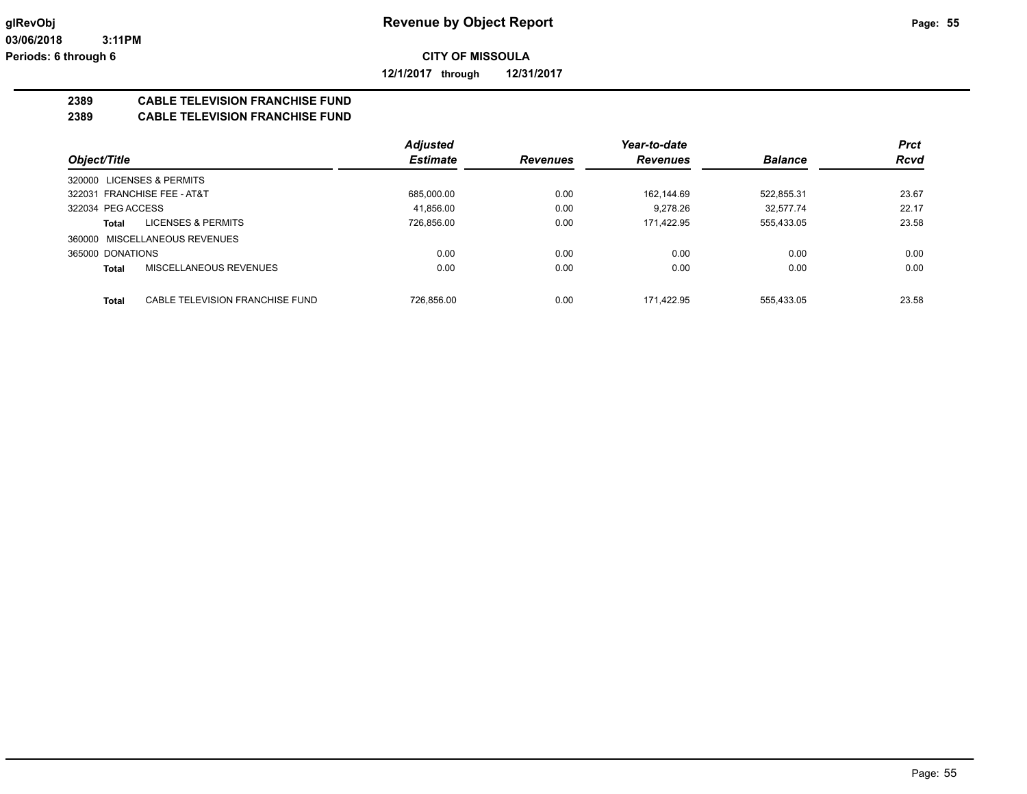**12/1/2017 through 12/31/2017**

# **2389 CABLE TELEVISION FRANCHISE FUND**

## **2389 CABLE TELEVISION FRANCHISE FUND**

|                               |                                 | <b>Adjusted</b> |                 | Year-to-date    |                | <b>Prct</b> |
|-------------------------------|---------------------------------|-----------------|-----------------|-----------------|----------------|-------------|
| Object/Title                  |                                 | <b>Estimate</b> | <b>Revenues</b> | <b>Revenues</b> | <b>Balance</b> | <b>Rcvd</b> |
| 320000 LICENSES & PERMITS     |                                 |                 |                 |                 |                |             |
| 322031 FRANCHISE FEE - AT&T   |                                 | 685,000.00      | 0.00            | 162.144.69      | 522,855.31     | 23.67       |
| 322034 PEG ACCESS             |                                 | 41.856.00       | 0.00            | 9.278.26        | 32.577.74      | 22.17       |
| <b>Total</b>                  | LICENSES & PERMITS              | 726,856.00      | 0.00            | 171.422.95      | 555,433.05     | 23.58       |
| 360000 MISCELLANEOUS REVENUES |                                 |                 |                 |                 |                |             |
| 365000 DONATIONS              |                                 | 0.00            | 0.00            | 0.00            | 0.00           | 0.00        |
| <b>Total</b>                  | MISCELLANEOUS REVENUES          | 0.00            | 0.00            | 0.00            | 0.00           | 0.00        |
| <b>Total</b>                  | CABLE TELEVISION FRANCHISE FUND | 726.856.00      | 0.00            | 171.422.95      | 555.433.05     | 23.58       |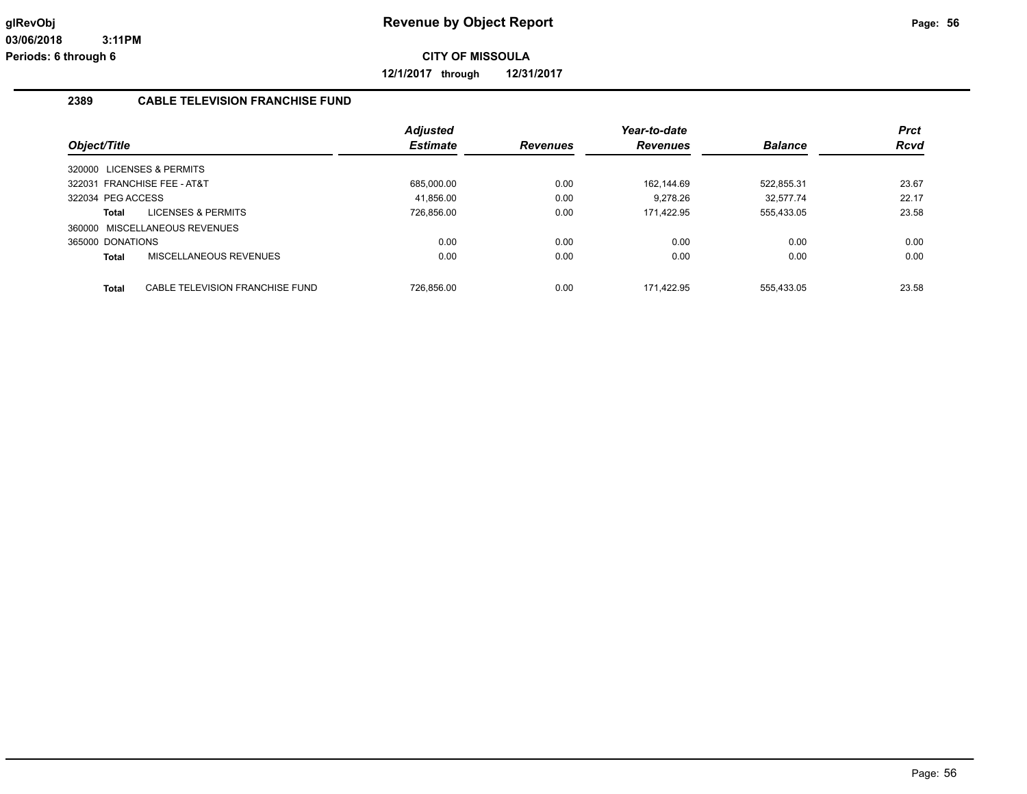**12/1/2017 through 12/31/2017**

#### **2389 CABLE TELEVISION FRANCHISE FUND**

|                   |                                 | <b>Adjusted</b> |                 | Year-to-date    |                | <b>Prct</b> |
|-------------------|---------------------------------|-----------------|-----------------|-----------------|----------------|-------------|
| Object/Title      |                                 | <b>Estimate</b> | <b>Revenues</b> | <b>Revenues</b> | <b>Balance</b> | <b>Rcvd</b> |
|                   | 320000 LICENSES & PERMITS       |                 |                 |                 |                |             |
|                   | 322031 FRANCHISE FEE - AT&T     | 685.000.00      | 0.00            | 162.144.69      | 522.855.31     | 23.67       |
| 322034 PEG ACCESS |                                 | 41.856.00       | 0.00            | 9.278.26        | 32.577.74      | 22.17       |
| Total             | <b>LICENSES &amp; PERMITS</b>   | 726,856.00      | 0.00            | 171,422.95      | 555,433.05     | 23.58       |
|                   | 360000 MISCELLANEOUS REVENUES   |                 |                 |                 |                |             |
| 365000 DONATIONS  |                                 | 0.00            | 0.00            | 0.00            | 0.00           | 0.00        |
| Total             | MISCELLANEOUS REVENUES          | 0.00            | 0.00            | 0.00            | 0.00           | 0.00        |
| Total             | CABLE TELEVISION FRANCHISE FUND | 726.856.00      | 0.00            | 171.422.95      | 555.433.05     | 23.58       |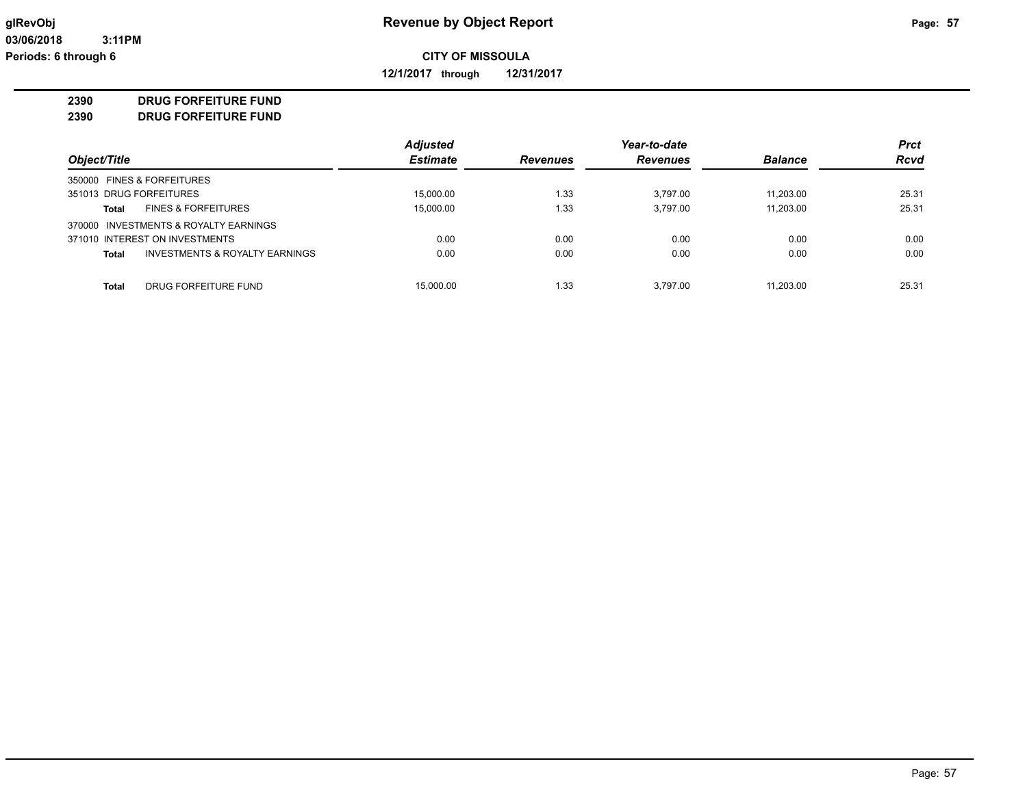**12/1/2017 through 12/31/2017**

#### **2390 DRUG FORFEITURE FUND**

**2390 DRUG FORFEITURE FUND**

|                                                | <b>Adjusted</b> |                 | Year-to-date    |                | <b>Prct</b> |
|------------------------------------------------|-----------------|-----------------|-----------------|----------------|-------------|
| Object/Title                                   | <b>Estimate</b> | <b>Revenues</b> | <b>Revenues</b> | <b>Balance</b> | <b>Rcvd</b> |
| 350000 FINES & FORFEITURES                     |                 |                 |                 |                |             |
| 351013 DRUG FORFEITURES                        | 15.000.00       | 1.33            | 3.797.00        | 11.203.00      | 25.31       |
| <b>FINES &amp; FORFEITURES</b><br>Total        | 15.000.00       | 1.33            | 3.797.00        | 11.203.00      | 25.31       |
| 370000 INVESTMENTS & ROYALTY EARNINGS          |                 |                 |                 |                |             |
| 371010 INTEREST ON INVESTMENTS                 | 0.00            | 0.00            | 0.00            | 0.00           | 0.00        |
| INVESTMENTS & ROYALTY EARNINGS<br><b>Total</b> | 0.00            | 0.00            | 0.00            | 0.00           | 0.00        |
| DRUG FORFEITURE FUND<br>Total                  | 15,000.00       | 1.33            | 3.797.00        | 11.203.00      | 25.31       |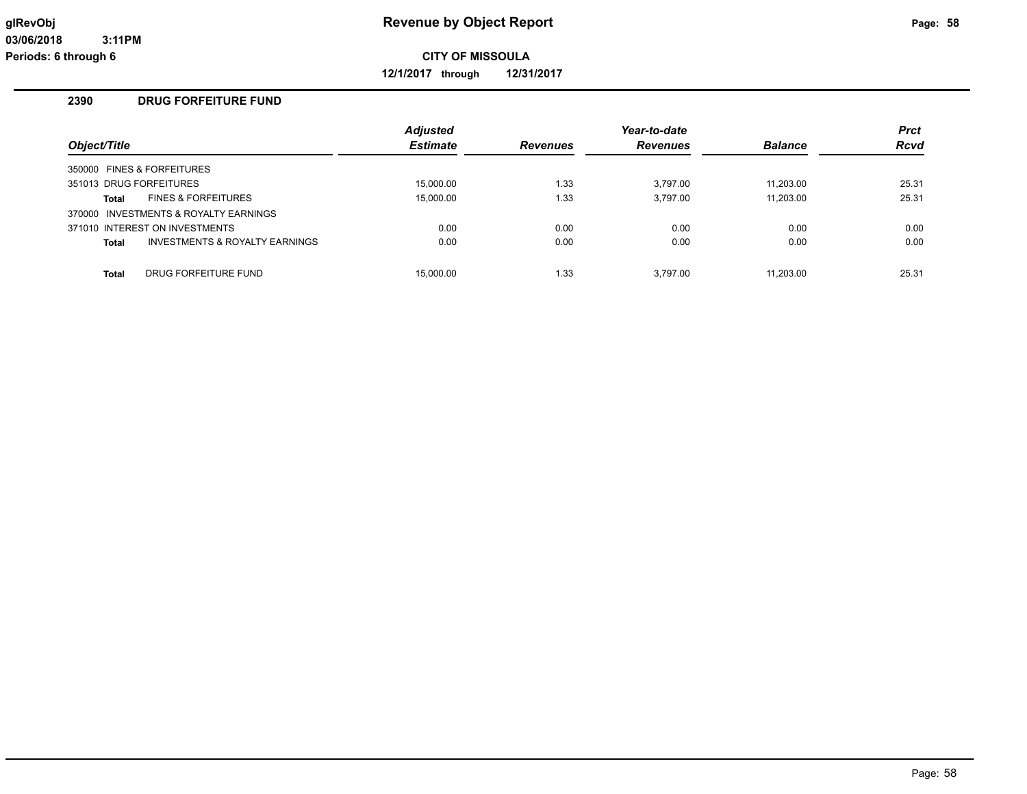**12/1/2017 through 12/31/2017**

## **2390 DRUG FORFEITURE FUND**

| Object/Title            |                                       | <b>Adjusted</b><br><b>Estimate</b> | <b>Revenues</b> | Year-to-date<br><b>Revenues</b> | <b>Balance</b> | <b>Prct</b><br><b>Rcvd</b> |
|-------------------------|---------------------------------------|------------------------------------|-----------------|---------------------------------|----------------|----------------------------|
|                         | 350000 FINES & FORFEITURES            |                                    |                 |                                 |                |                            |
| 351013 DRUG FORFEITURES |                                       | 15.000.00                          | 1.33            | 3.797.00                        | 11.203.00      | 25.31                      |
| Total                   | <b>FINES &amp; FORFEITURES</b>        | 15,000.00                          | 1.33            | 3.797.00                        | 11.203.00      | 25.31                      |
|                         | 370000 INVESTMENTS & ROYALTY EARNINGS |                                    |                 |                                 |                |                            |
|                         | 371010 INTEREST ON INVESTMENTS        | 0.00                               | 0.00            | 0.00                            | 0.00           | 0.00                       |
| <b>Total</b>            | INVESTMENTS & ROYALTY EARNINGS        | 0.00                               | 0.00            | 0.00                            | 0.00           | 0.00                       |
|                         |                                       |                                    |                 |                                 |                |                            |
| <b>Total</b>            | DRUG FORFEITURE FUND                  | 15.000.00                          | 1.33            | 3.797.00                        | 11.203.00      | 25.31                      |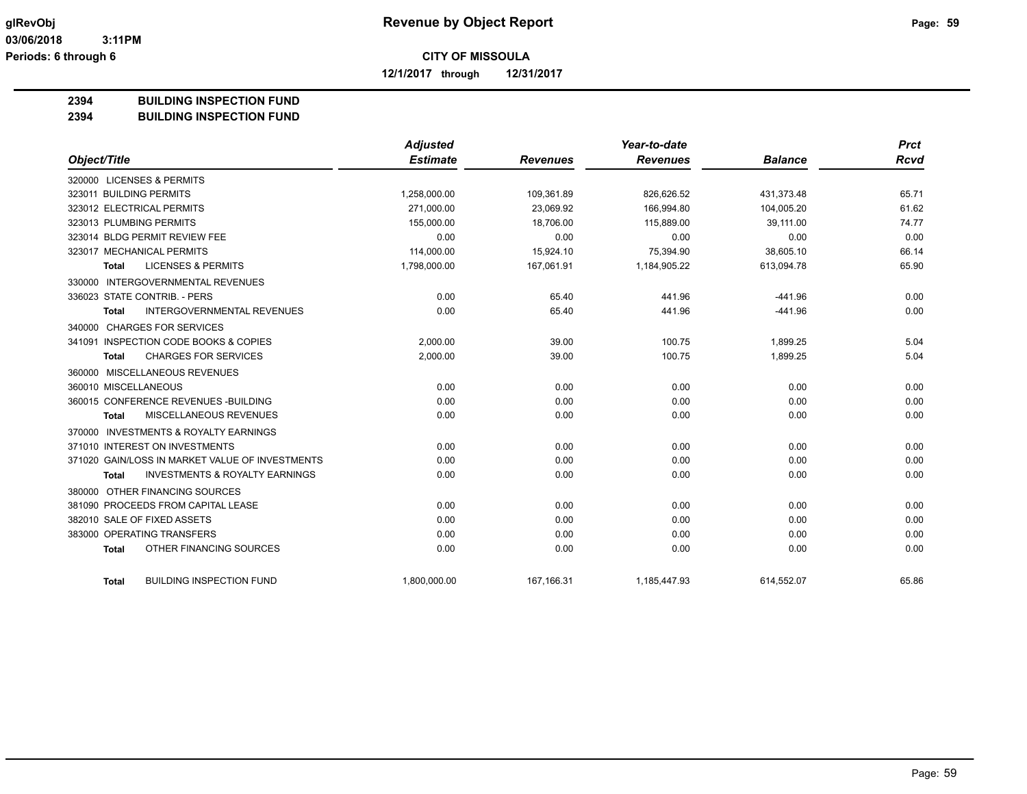**12/1/2017 through 12/31/2017**

#### **2394 BUILDING INSPECTION FUND**

#### **2394 BUILDING INSPECTION FUND**

|                                                           | <b>Adjusted</b> |                 | Year-to-date    |                | <b>Prct</b> |
|-----------------------------------------------------------|-----------------|-----------------|-----------------|----------------|-------------|
| Object/Title                                              | <b>Estimate</b> | <b>Revenues</b> | <b>Revenues</b> | <b>Balance</b> | Rcvd        |
| 320000 LICENSES & PERMITS                                 |                 |                 |                 |                |             |
| 323011 BUILDING PERMITS                                   | 1,258,000.00    | 109.361.89      | 826.626.52      | 431.373.48     | 65.71       |
| 323012 ELECTRICAL PERMITS                                 | 271,000.00      | 23,069.92       | 166.994.80      | 104,005.20     | 61.62       |
| 323013 PLUMBING PERMITS                                   | 155,000.00      | 18,706.00       | 115,889.00      | 39,111.00      | 74.77       |
| 323014 BLDG PERMIT REVIEW FEE                             | 0.00            | 0.00            | 0.00            | 0.00           | 0.00        |
| 323017 MECHANICAL PERMITS                                 | 114,000.00      | 15,924.10       | 75,394.90       | 38,605.10      | 66.14       |
| <b>LICENSES &amp; PERMITS</b><br><b>Total</b>             | 1,798,000.00    | 167,061.91      | 1,184,905.22    | 613,094.78     | 65.90       |
| 330000 INTERGOVERNMENTAL REVENUES                         |                 |                 |                 |                |             |
| 336023 STATE CONTRIB. - PERS                              | 0.00            | 65.40           | 441.96          | $-441.96$      | 0.00        |
| <b>INTERGOVERNMENTAL REVENUES</b><br><b>Total</b>         | 0.00            | 65.40           | 441.96          | $-441.96$      | 0.00        |
| 340000 CHARGES FOR SERVICES                               |                 |                 |                 |                |             |
| 341091 INSPECTION CODE BOOKS & COPIES                     | 2,000.00        | 39.00           | 100.75          | 1,899.25       | 5.04        |
| <b>CHARGES FOR SERVICES</b><br><b>Total</b>               | 2,000.00        | 39.00           | 100.75          | 1,899.25       | 5.04        |
| 360000 MISCELLANEOUS REVENUES                             |                 |                 |                 |                |             |
| 360010 MISCELLANEOUS                                      | 0.00            | 0.00            | 0.00            | 0.00           | 0.00        |
| 360015 CONFERENCE REVENUES - BUILDING                     | 0.00            | 0.00            | 0.00            | 0.00           | 0.00        |
| <b>MISCELLANEOUS REVENUES</b><br>Total                    | 0.00            | 0.00            | 0.00            | 0.00           | 0.00        |
| 370000 INVESTMENTS & ROYALTY EARNINGS                     |                 |                 |                 |                |             |
| 371010 INTEREST ON INVESTMENTS                            | 0.00            | 0.00            | 0.00            | 0.00           | 0.00        |
| 371020 GAIN/LOSS IN MARKET VALUE OF INVESTMENTS           | 0.00            | 0.00            | 0.00            | 0.00           | 0.00        |
| <b>INVESTMENTS &amp; ROYALTY EARNINGS</b><br><b>Total</b> | 0.00            | 0.00            | 0.00            | 0.00           | 0.00        |
| 380000 OTHER FINANCING SOURCES                            |                 |                 |                 |                |             |
| 381090 PROCEEDS FROM CAPITAL LEASE                        | 0.00            | 0.00            | 0.00            | 0.00           | 0.00        |
| 382010 SALE OF FIXED ASSETS                               | 0.00            | 0.00            | 0.00            | 0.00           | 0.00        |
| 383000 OPERATING TRANSFERS                                | 0.00            | 0.00            | 0.00            | 0.00           | 0.00        |
| OTHER FINANCING SOURCES<br><b>Total</b>                   | 0.00            | 0.00            | 0.00            | 0.00           | 0.00        |
| <b>BUILDING INSPECTION FUND</b><br><b>Total</b>           | 1,800,000.00    | 167,166.31      | 1,185,447.93    | 614,552.07     | 65.86       |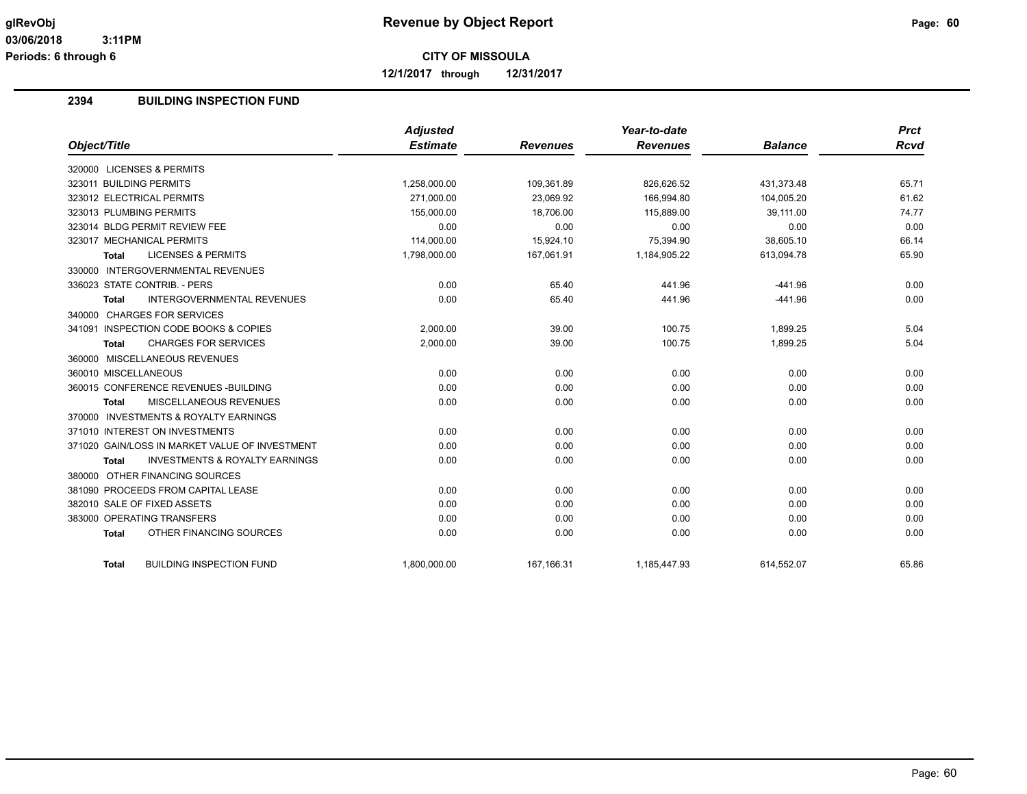**12/1/2017 through 12/31/2017**

# **2394 BUILDING INSPECTION FUND**

|                                                           | <b>Adjusted</b> |                 | Year-to-date    |                | <b>Prct</b> |
|-----------------------------------------------------------|-----------------|-----------------|-----------------|----------------|-------------|
| Object/Title                                              | <b>Estimate</b> | <b>Revenues</b> | <b>Revenues</b> | <b>Balance</b> | <b>Rcvd</b> |
| 320000 LICENSES & PERMITS                                 |                 |                 |                 |                |             |
| 323011 BUILDING PERMITS                                   | 1,258,000.00    | 109,361.89      | 826,626.52      | 431,373.48     | 65.71       |
| 323012 ELECTRICAL PERMITS                                 | 271.000.00      | 23.069.92       | 166.994.80      | 104.005.20     | 61.62       |
| 323013 PLUMBING PERMITS                                   | 155,000.00      | 18,706.00       | 115,889.00      | 39,111.00      | 74.77       |
| 323014 BLDG PERMIT REVIEW FEE                             | 0.00            | 0.00            | 0.00            | 0.00           | 0.00        |
| 323017 MECHANICAL PERMITS                                 | 114,000.00      | 15,924.10       | 75,394.90       | 38,605.10      | 66.14       |
| <b>LICENSES &amp; PERMITS</b><br><b>Total</b>             | 1,798,000.00    | 167,061.91      | 1,184,905.22    | 613,094.78     | 65.90       |
| 330000 INTERGOVERNMENTAL REVENUES                         |                 |                 |                 |                |             |
| 336023 STATE CONTRIB. - PERS                              | 0.00            | 65.40           | 441.96          | $-441.96$      | 0.00        |
| <b>INTERGOVERNMENTAL REVENUES</b><br><b>Total</b>         | 0.00            | 65.40           | 441.96          | $-441.96$      | 0.00        |
| 340000 CHARGES FOR SERVICES                               |                 |                 |                 |                |             |
| 341091 INSPECTION CODE BOOKS & COPIES                     | 2.000.00        | 39.00           | 100.75          | 1.899.25       | 5.04        |
| <b>CHARGES FOR SERVICES</b><br><b>Total</b>               | 2,000.00        | 39.00           | 100.75          | 1,899.25       | 5.04        |
| 360000 MISCELLANEOUS REVENUES                             |                 |                 |                 |                |             |
| 360010 MISCELLANEOUS                                      | 0.00            | 0.00            | 0.00            | 0.00           | 0.00        |
| 360015 CONFERENCE REVENUES - BUILDING                     | 0.00            | 0.00            | 0.00            | 0.00           | 0.00        |
| MISCELLANEOUS REVENUES<br><b>Total</b>                    | 0.00            | 0.00            | 0.00            | 0.00           | 0.00        |
| 370000 INVESTMENTS & ROYALTY EARNINGS                     |                 |                 |                 |                |             |
| 371010 INTEREST ON INVESTMENTS                            | 0.00            | 0.00            | 0.00            | 0.00           | 0.00        |
| 371020 GAIN/LOSS IN MARKET VALUE OF INVESTMENT            | 0.00            | 0.00            | 0.00            | 0.00           | 0.00        |
| <b>INVESTMENTS &amp; ROYALTY EARNINGS</b><br><b>Total</b> | 0.00            | 0.00            | 0.00            | 0.00           | 0.00        |
| 380000 OTHER FINANCING SOURCES                            |                 |                 |                 |                |             |
| 381090 PROCEEDS FROM CAPITAL LEASE                        | 0.00            | 0.00            | 0.00            | 0.00           | 0.00        |
| 382010 SALE OF FIXED ASSETS                               | 0.00            | 0.00            | 0.00            | 0.00           | 0.00        |
| 383000 OPERATING TRANSFERS                                | 0.00            | 0.00            | 0.00            | 0.00           | 0.00        |
| OTHER FINANCING SOURCES<br><b>Total</b>                   | 0.00            | 0.00            | 0.00            | 0.00           | 0.00        |
| <b>BUILDING INSPECTION FUND</b><br>Total                  | 1,800,000.00    | 167, 166. 31    | 1,185,447.93    | 614,552.07     | 65.86       |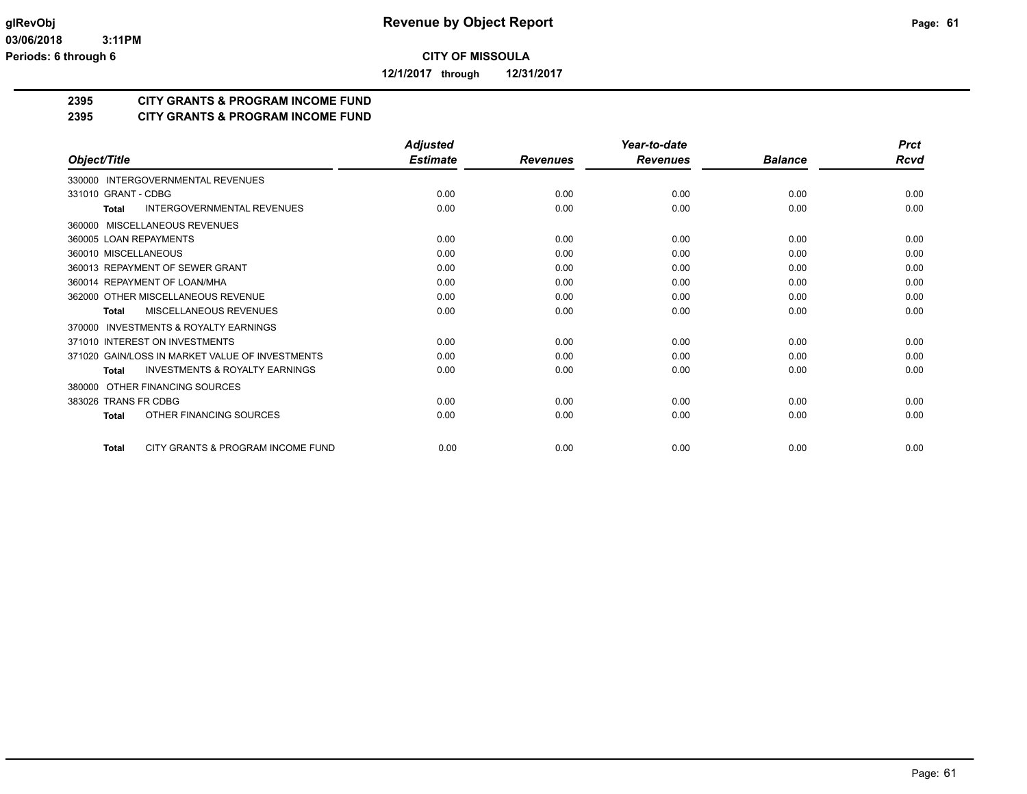**12/1/2017 through 12/31/2017**

# **2395 CITY GRANTS & PROGRAM INCOME FUND**

# **2395 CITY GRANTS & PROGRAM INCOME FUND**

|                                                     | <b>Adjusted</b> |                 | Year-to-date    |                | <b>Prct</b> |
|-----------------------------------------------------|-----------------|-----------------|-----------------|----------------|-------------|
| Object/Title                                        | <b>Estimate</b> | <b>Revenues</b> | <b>Revenues</b> | <b>Balance</b> | Rcvd        |
| 330000 INTERGOVERNMENTAL REVENUES                   |                 |                 |                 |                |             |
| 331010 GRANT - CDBG                                 | 0.00            | 0.00            | 0.00            | 0.00           | 0.00        |
| <b>INTERGOVERNMENTAL REVENUES</b><br>Total          | 0.00            | 0.00            | 0.00            | 0.00           | 0.00        |
| MISCELLANEOUS REVENUES<br>360000                    |                 |                 |                 |                |             |
| 360005 LOAN REPAYMENTS                              | 0.00            | 0.00            | 0.00            | 0.00           | 0.00        |
| 360010 MISCELLANEOUS                                | 0.00            | 0.00            | 0.00            | 0.00           | 0.00        |
| 360013 REPAYMENT OF SEWER GRANT                     | 0.00            | 0.00            | 0.00            | 0.00           | 0.00        |
| 360014 REPAYMENT OF LOAN/MHA                        | 0.00            | 0.00            | 0.00            | 0.00           | 0.00        |
| 362000 OTHER MISCELLANEOUS REVENUE                  | 0.00            | 0.00            | 0.00            | 0.00           | 0.00        |
| MISCELLANEOUS REVENUES<br><b>Total</b>              | 0.00            | 0.00            | 0.00            | 0.00           | 0.00        |
| <b>INVESTMENTS &amp; ROYALTY EARNINGS</b><br>370000 |                 |                 |                 |                |             |
| 371010 INTEREST ON INVESTMENTS                      | 0.00            | 0.00            | 0.00            | 0.00           | 0.00        |
| 371020 GAIN/LOSS IN MARKET VALUE OF INVESTMENTS     | 0.00            | 0.00            | 0.00            | 0.00           | 0.00        |
| <b>INVESTMENTS &amp; ROYALTY EARNINGS</b><br>Total  | 0.00            | 0.00            | 0.00            | 0.00           | 0.00        |
| OTHER FINANCING SOURCES<br>380000                   |                 |                 |                 |                |             |
| 383026 TRANS FR CDBG                                | 0.00            | 0.00            | 0.00            | 0.00           | 0.00        |
| OTHER FINANCING SOURCES<br><b>Total</b>             | 0.00            | 0.00            | 0.00            | 0.00           | 0.00        |
| CITY GRANTS & PROGRAM INCOME FUND<br><b>Total</b>   | 0.00            | 0.00            | 0.00            | 0.00           | 0.00        |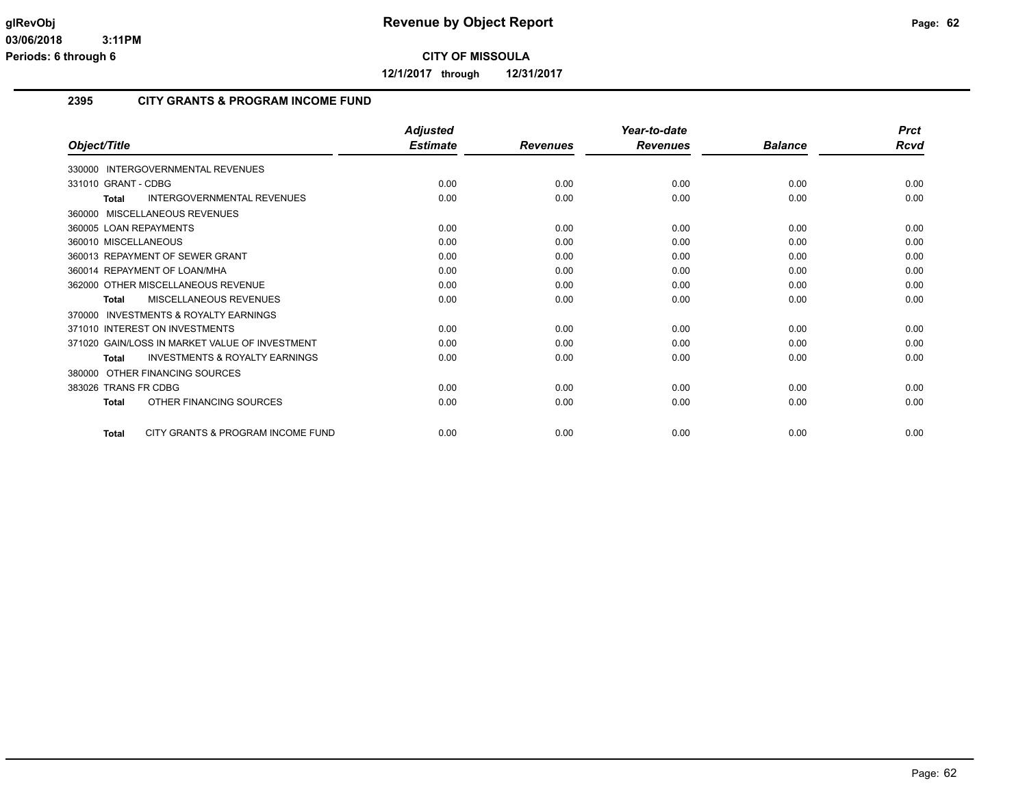**12/1/2017 through 12/31/2017**

#### **2395 CITY GRANTS & PROGRAM INCOME FUND**

|                                                           | <b>Adjusted</b> |                 | Year-to-date    |                | <b>Prct</b> |
|-----------------------------------------------------------|-----------------|-----------------|-----------------|----------------|-------------|
| Object/Title                                              | <b>Estimate</b> | <b>Revenues</b> | <b>Revenues</b> | <b>Balance</b> | Rcvd        |
| 330000 INTERGOVERNMENTAL REVENUES                         |                 |                 |                 |                |             |
| 331010 GRANT - CDBG                                       | 0.00            | 0.00            | 0.00            | 0.00           | 0.00        |
| <b>INTERGOVERNMENTAL REVENUES</b><br><b>Total</b>         | 0.00            | 0.00            | 0.00            | 0.00           | 0.00        |
| <b>MISCELLANEOUS REVENUES</b><br>360000                   |                 |                 |                 |                |             |
| 360005 LOAN REPAYMENTS                                    | 0.00            | 0.00            | 0.00            | 0.00           | 0.00        |
| 360010 MISCELLANEOUS                                      | 0.00            | 0.00            | 0.00            | 0.00           | 0.00        |
| 360013 REPAYMENT OF SEWER GRANT                           | 0.00            | 0.00            | 0.00            | 0.00           | 0.00        |
| 360014 REPAYMENT OF LOAN/MHA                              | 0.00            | 0.00            | 0.00            | 0.00           | 0.00        |
| 362000 OTHER MISCELLANEOUS REVENUE                        | 0.00            | 0.00            | 0.00            | 0.00           | 0.00        |
| MISCELLANEOUS REVENUES<br><b>Total</b>                    | 0.00            | 0.00            | 0.00            | 0.00           | 0.00        |
| <b>INVESTMENTS &amp; ROYALTY EARNINGS</b><br>370000       |                 |                 |                 |                |             |
| 371010 INTEREST ON INVESTMENTS                            | 0.00            | 0.00            | 0.00            | 0.00           | 0.00        |
| 371020 GAIN/LOSS IN MARKET VALUE OF INVESTMENT            | 0.00            | 0.00            | 0.00            | 0.00           | 0.00        |
| <b>INVESTMENTS &amp; ROYALTY EARNINGS</b><br><b>Total</b> | 0.00            | 0.00            | 0.00            | 0.00           | 0.00        |
| OTHER FINANCING SOURCES<br>380000                         |                 |                 |                 |                |             |
| 383026 TRANS FR CDBG                                      | 0.00            | 0.00            | 0.00            | 0.00           | 0.00        |
| OTHER FINANCING SOURCES<br><b>Total</b>                   | 0.00            | 0.00            | 0.00            | 0.00           | 0.00        |
| CITY GRANTS & PROGRAM INCOME FUND<br><b>Total</b>         | 0.00            | 0.00            | 0.00            | 0.00           | 0.00        |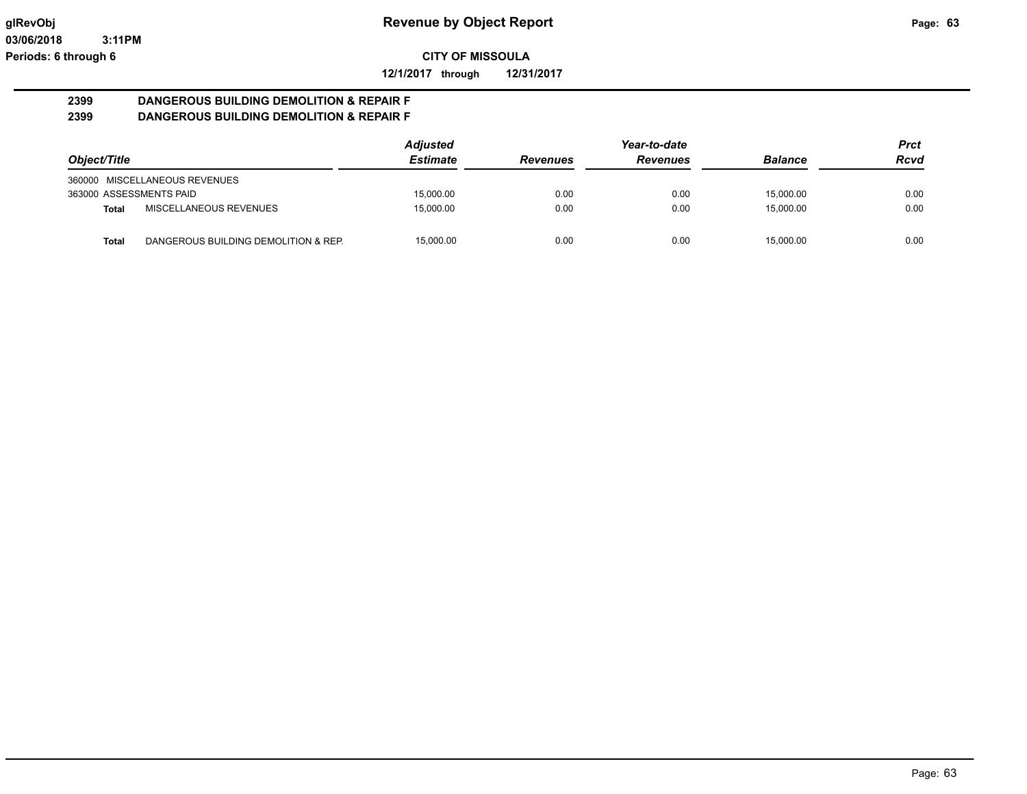**12/1/2017 through 12/31/2017**

#### **2399 DANGEROUS BUILDING DEMOLITION & REPAIR F 2399 DANGEROUS BUILDING DEMOLITION & REPAIR F**

|                         |                                      | <b>Adjusted</b> |                 | Year-to-date    |                | <b>Prct</b> |
|-------------------------|--------------------------------------|-----------------|-----------------|-----------------|----------------|-------------|
| Object/Title            |                                      | <b>Estimate</b> | <b>Revenues</b> | <b>Revenues</b> | <b>Balance</b> | <b>Rcvd</b> |
|                         | 360000 MISCELLANEOUS REVENUES        |                 |                 |                 |                |             |
| 363000 ASSESSMENTS PAID |                                      | 15,000.00       | 0.00            | 0.00            | 15.000.00      | 0.00        |
| Total                   | MISCELLANEOUS REVENUES               | 15,000.00       | 0.00            | 0.00            | 15.000.00      | 0.00        |
| Total                   | DANGEROUS BUILDING DEMOLITION & REP. | 15.000.00       | 0.00            | 0.00            | 15.000.00      | 0.00        |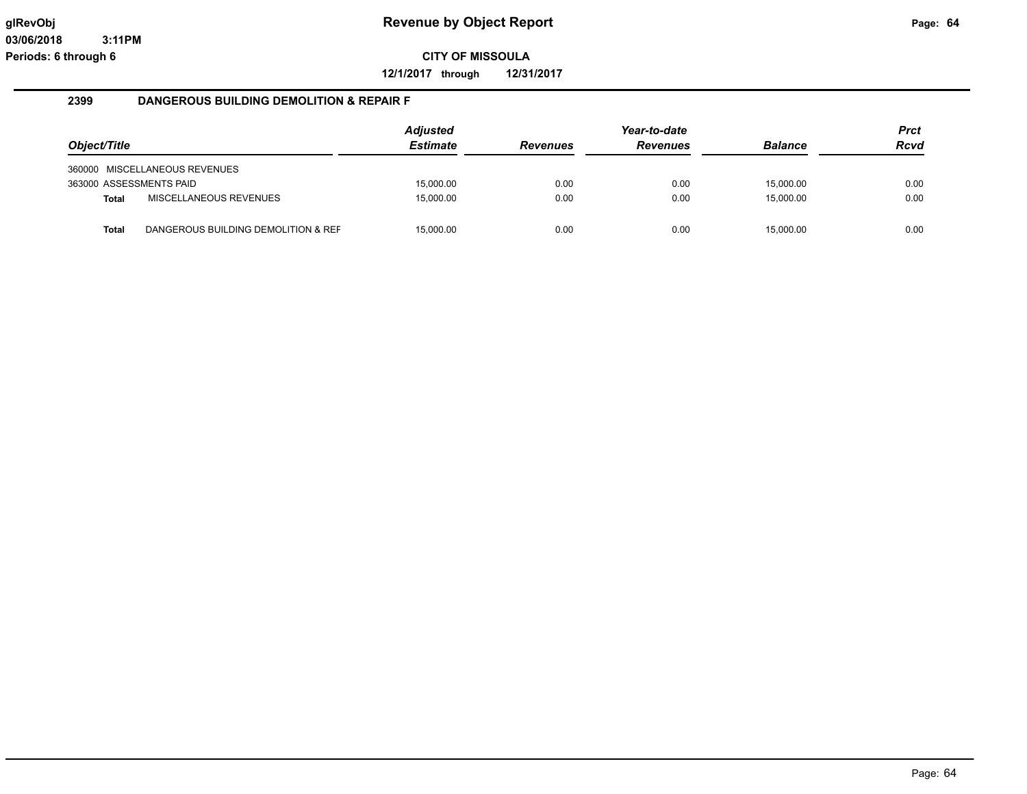**12/1/2017 through 12/31/2017**

#### **2399 DANGEROUS BUILDING DEMOLITION & REPAIR F**

|                         |                                     | <b>Adjusted</b> |                 | Year-to-date    |                | <b>Prct</b> |
|-------------------------|-------------------------------------|-----------------|-----------------|-----------------|----------------|-------------|
| Object/Title            |                                     | <b>Estimate</b> | <b>Revenues</b> | <b>Revenues</b> | <b>Balance</b> | Rcvd        |
|                         | 360000 MISCELLANEOUS REVENUES       |                 |                 |                 |                |             |
| 363000 ASSESSMENTS PAID |                                     | 15,000.00       | 0.00            | 0.00            | 15,000.00      | 0.00        |
| <b>Total</b>            | MISCELLANEOUS REVENUES              | 15,000.00       | 0.00            | 0.00            | 15,000.00      | 0.00        |
| <b>Total</b>            | DANGEROUS BUILDING DEMOLITION & REF | 15,000.00       | 0.00            | 0.00            | 15,000.00      | 0.00        |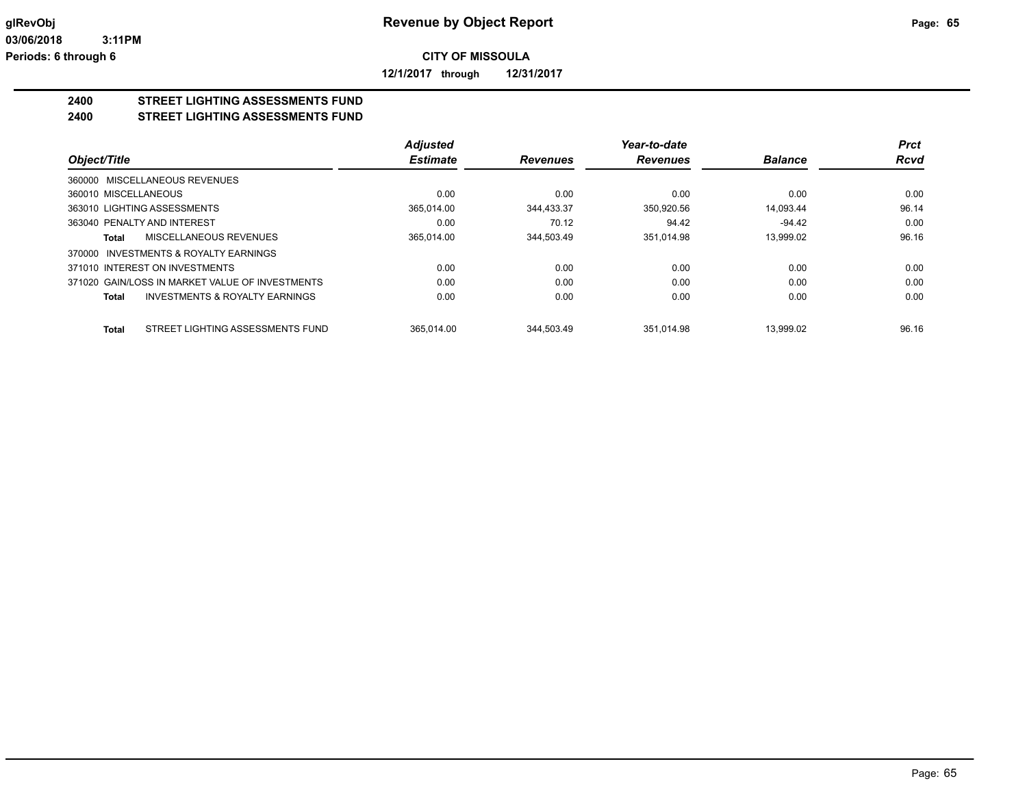**12/1/2017 through 12/31/2017**

# **2400 STREET LIGHTING ASSESSMENTS FUND**

**2400 STREET LIGHTING ASSESSMENTS FUND**

|                                                    | <b>Adjusted</b> |                 | Year-to-date    |                | <b>Prct</b> |
|----------------------------------------------------|-----------------|-----------------|-----------------|----------------|-------------|
| Object/Title                                       | <b>Estimate</b> | <b>Revenues</b> | <b>Revenues</b> | <b>Balance</b> | <b>Rcvd</b> |
| 360000 MISCELLANEOUS REVENUES                      |                 |                 |                 |                |             |
| 360010 MISCELLANEOUS                               | 0.00            | 0.00            | 0.00            | 0.00           | 0.00        |
| 363010 LIGHTING ASSESSMENTS                        | 365.014.00      | 344.433.37      | 350.920.56      | 14.093.44      | 96.14       |
| 363040 PENALTY AND INTEREST                        | 0.00            | 70.12           | 94.42           | $-94.42$       | 0.00        |
| MISCELLANEOUS REVENUES<br>Total                    | 365.014.00      | 344.503.49      | 351.014.98      | 13.999.02      | 96.16       |
| 370000 INVESTMENTS & ROYALTY EARNINGS              |                 |                 |                 |                |             |
| 371010 INTEREST ON INVESTMENTS                     | 0.00            | 0.00            | 0.00            | 0.00           | 0.00        |
| 371020 GAIN/LOSS IN MARKET VALUE OF INVESTMENTS    | 0.00            | 0.00            | 0.00            | 0.00           | 0.00        |
| <b>INVESTMENTS &amp; ROYALTY EARNINGS</b><br>Total | 0.00            | 0.00            | 0.00            | 0.00           | 0.00        |
| STREET LIGHTING ASSESSMENTS FUND<br><b>Total</b>   | 365.014.00      | 344.503.49      | 351.014.98      | 13.999.02      | 96.16       |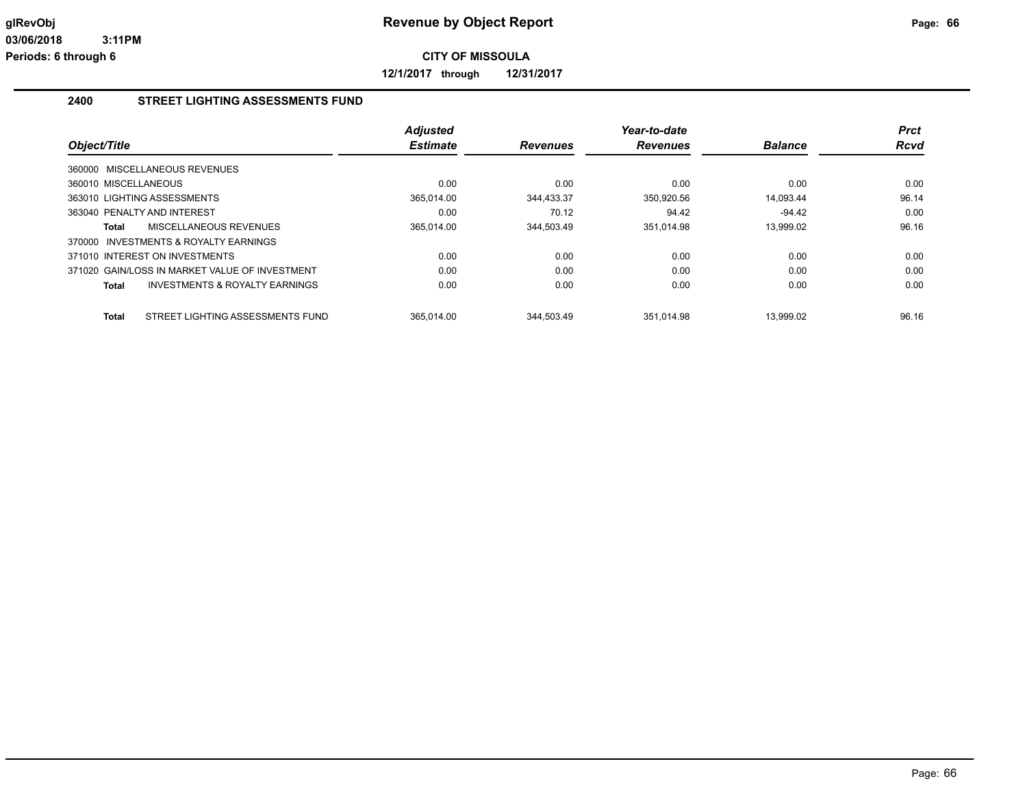**12/1/2017 through 12/31/2017**

#### **2400 STREET LIGHTING ASSESSMENTS FUND**

| Object/Title                                       | <b>Adjusted</b><br><b>Estimate</b> | <b>Revenues</b> | Year-to-date<br><b>Revenues</b> | <b>Balance</b> | <b>Prct</b><br><b>Rcvd</b> |
|----------------------------------------------------|------------------------------------|-----------------|---------------------------------|----------------|----------------------------|
| 360000 MISCELLANEOUS REVENUES                      |                                    |                 |                                 |                |                            |
| 360010 MISCELLANEOUS                               | 0.00                               | 0.00            | 0.00                            | 0.00           | 0.00                       |
| 363010 LIGHTING ASSESSMENTS                        | 365.014.00                         | 344.433.37      | 350.920.56                      | 14.093.44      | 96.14                      |
| 363040 PENALTY AND INTEREST                        | 0.00                               | 70.12           | 94.42                           | $-94.42$       | 0.00                       |
| MISCELLANEOUS REVENUES<br>Total                    | 365,014.00                         | 344,503.49      | 351,014.98                      | 13,999.02      | 96.16                      |
| 370000 INVESTMENTS & ROYALTY EARNINGS              |                                    |                 |                                 |                |                            |
| 371010 INTEREST ON INVESTMENTS                     | 0.00                               | 0.00            | 0.00                            | 0.00           | 0.00                       |
| 371020 GAIN/LOSS IN MARKET VALUE OF INVESTMENT     | 0.00                               | 0.00            | 0.00                            | 0.00           | 0.00                       |
| <b>INVESTMENTS &amp; ROYALTY EARNINGS</b><br>Total | 0.00                               | 0.00            | 0.00                            | 0.00           | 0.00                       |
|                                                    |                                    |                 |                                 |                |                            |
| STREET LIGHTING ASSESSMENTS FUND<br>Total          | 365.014.00                         | 344.503.49      | 351.014.98                      | 13.999.02      | 96.16                      |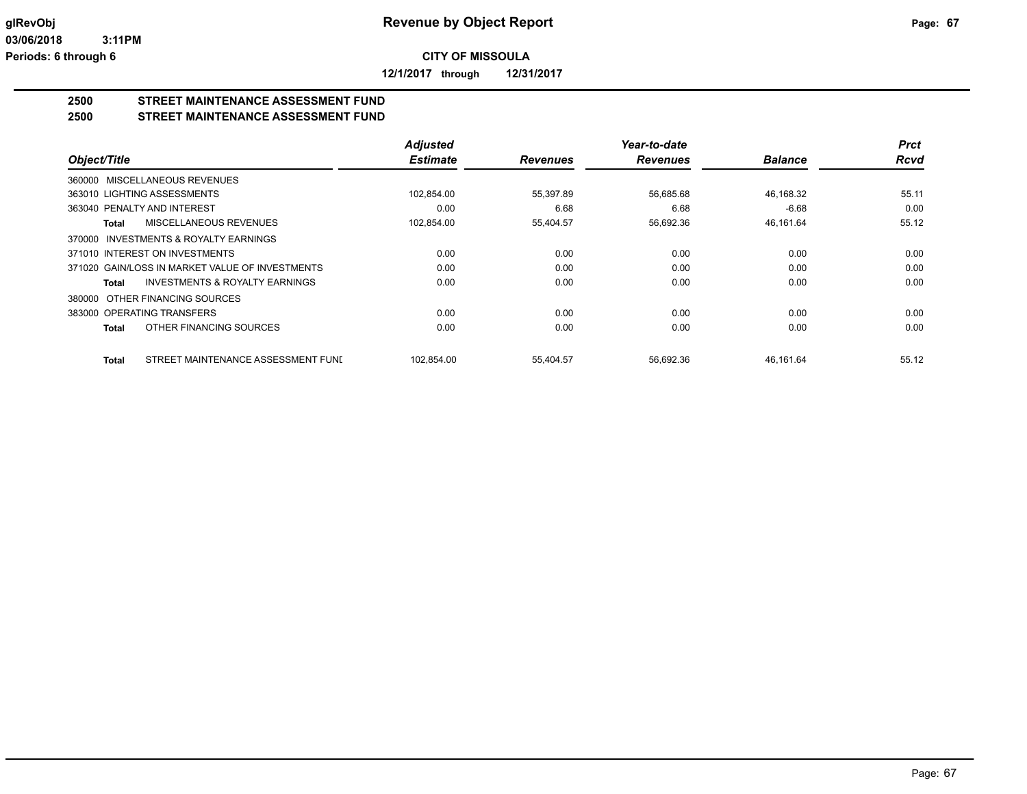**12/1/2017 through 12/31/2017**

#### **2500 STREET MAINTENANCE ASSESSMENT FUND 2500 STREET MAINTENANCE ASSESSMENT FUND**

|                                                           | <b>Adjusted</b> |                 | Year-to-date    |                | <b>Prct</b> |
|-----------------------------------------------------------|-----------------|-----------------|-----------------|----------------|-------------|
| Object/Title                                              | <b>Estimate</b> | <b>Revenues</b> | <b>Revenues</b> | <b>Balance</b> | Rcvd        |
| 360000 MISCELLANEOUS REVENUES                             |                 |                 |                 |                |             |
| 363010 LIGHTING ASSESSMENTS                               | 102,854.00      | 55,397.89       | 56,685.68       | 46,168.32      | 55.11       |
| 363040 PENALTY AND INTEREST                               | 0.00            | 6.68            | 6.68            | $-6.68$        | 0.00        |
| MISCELLANEOUS REVENUES<br>Total                           | 102,854.00      | 55,404.57       | 56,692.36       | 46,161.64      | 55.12       |
| 370000 INVESTMENTS & ROYALTY EARNINGS                     |                 |                 |                 |                |             |
| 371010 INTEREST ON INVESTMENTS                            | 0.00            | 0.00            | 0.00            | 0.00           | 0.00        |
| 371020 GAIN/LOSS IN MARKET VALUE OF INVESTMENTS           | 0.00            | 0.00            | 0.00            | 0.00           | 0.00        |
| <b>INVESTMENTS &amp; ROYALTY EARNINGS</b><br><b>Total</b> | 0.00            | 0.00            | 0.00            | 0.00           | 0.00        |
| 380000 OTHER FINANCING SOURCES                            |                 |                 |                 |                |             |
| 383000 OPERATING TRANSFERS                                | 0.00            | 0.00            | 0.00            | 0.00           | 0.00        |
| OTHER FINANCING SOURCES<br><b>Total</b>                   | 0.00            | 0.00            | 0.00            | 0.00           | 0.00        |
| STREET MAINTENANCE ASSESSMENT FUND<br><b>Total</b>        | 102,854.00      | 55,404.57       | 56,692.36       | 46,161.64      | 55.12       |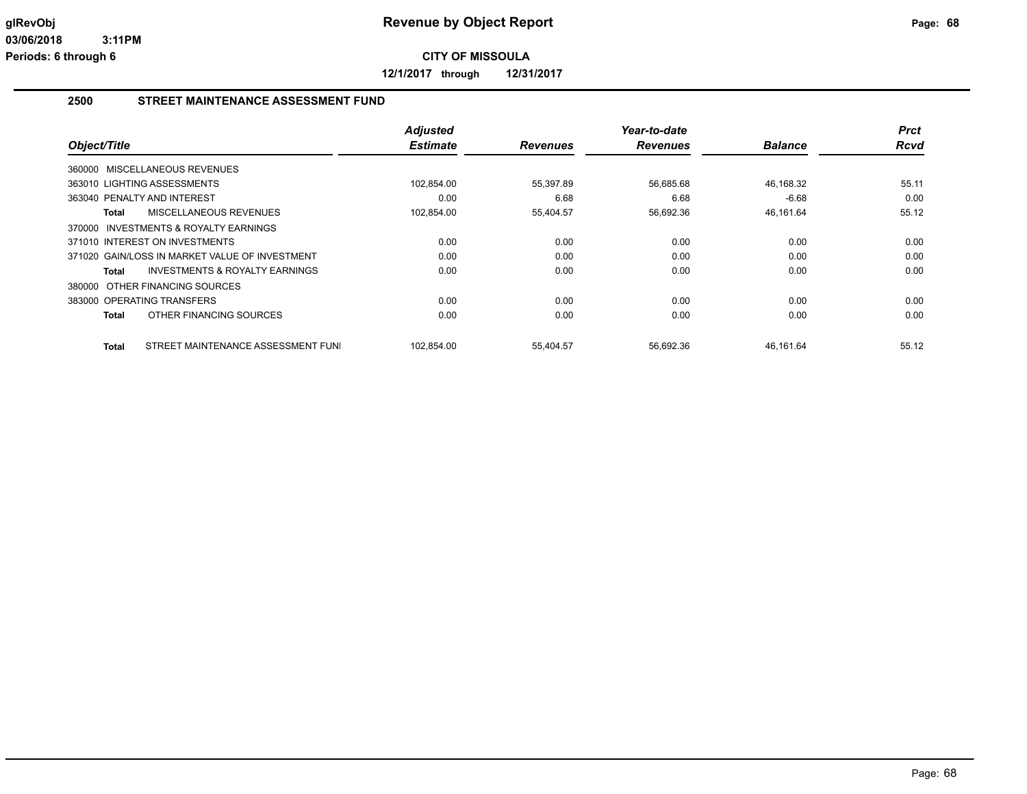**12/1/2017 through 12/31/2017**

#### **2500 STREET MAINTENANCE ASSESSMENT FUND**

|                                                     |                                           | <b>Adjusted</b> |                 | Year-to-date    |                | <b>Prct</b> |
|-----------------------------------------------------|-------------------------------------------|-----------------|-----------------|-----------------|----------------|-------------|
| Object/Title                                        |                                           | <b>Estimate</b> | <b>Revenues</b> | <b>Revenues</b> | <b>Balance</b> | <b>Rcvd</b> |
| 360000 MISCELLANEOUS REVENUES                       |                                           |                 |                 |                 |                |             |
| 363010 LIGHTING ASSESSMENTS                         |                                           | 102,854.00      | 55,397.89       | 56,685.68       | 46,168.32      | 55.11       |
| 363040 PENALTY AND INTEREST                         |                                           | 0.00            | 6.68            | 6.68            | $-6.68$        | 0.00        |
| MISCELLANEOUS REVENUES<br>Total                     |                                           | 102,854.00      | 55,404.57       | 56,692.36       | 46,161.64      | 55.12       |
| <b>INVESTMENTS &amp; ROYALTY EARNINGS</b><br>370000 |                                           |                 |                 |                 |                |             |
| 371010 INTEREST ON INVESTMENTS                      |                                           | 0.00            | 0.00            | 0.00            | 0.00           | 0.00        |
| 371020 GAIN/LOSS IN MARKET VALUE OF INVESTMENT      |                                           | 0.00            | 0.00            | 0.00            | 0.00           | 0.00        |
| Total                                               | <b>INVESTMENTS &amp; ROYALTY EARNINGS</b> | 0.00            | 0.00            | 0.00            | 0.00           | 0.00        |
| 380000 OTHER FINANCING SOURCES                      |                                           |                 |                 |                 |                |             |
| 383000 OPERATING TRANSFERS                          |                                           | 0.00            | 0.00            | 0.00            | 0.00           | 0.00        |
| OTHER FINANCING SOURCES<br>Total                    |                                           | 0.00            | 0.00            | 0.00            | 0.00           | 0.00        |
| Total                                               | STREET MAINTENANCE ASSESSMENT FUNI        | 102.854.00      | 55,404.57       | 56,692.36       | 46,161.64      | 55.12       |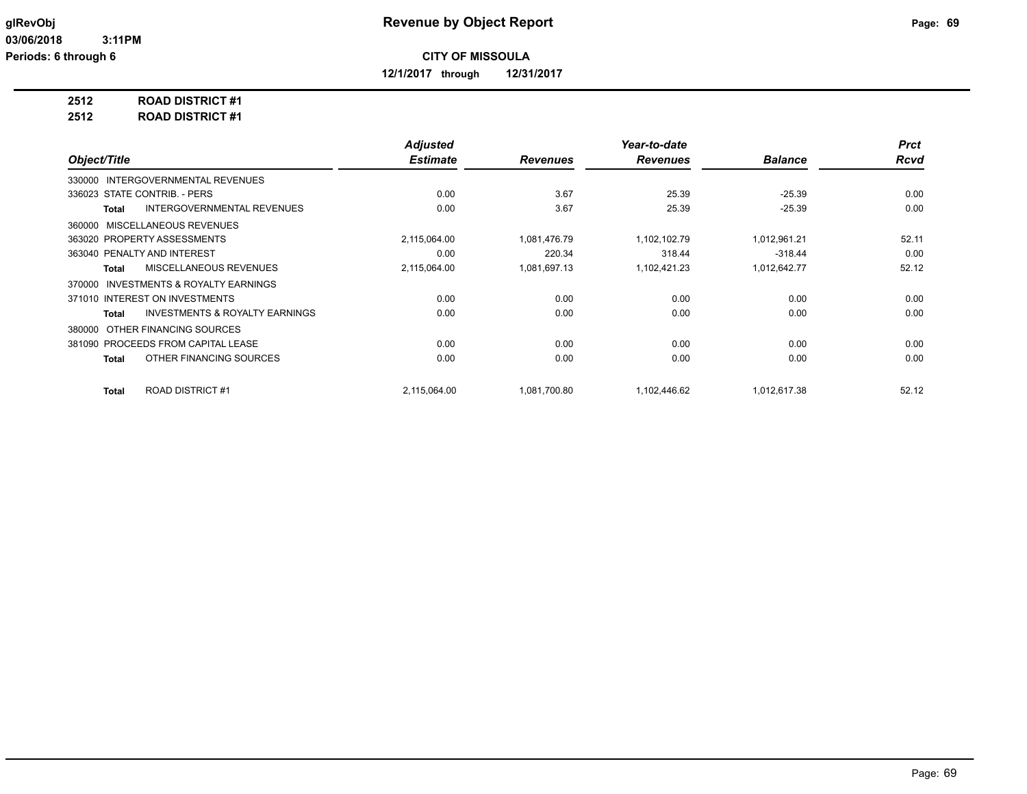**12/1/2017 through 12/31/2017**

# **2512 ROAD DISTRICT #1**

**2512 ROAD DISTRICT #1**

|                                                           | <b>Adjusted</b> |                 | Year-to-date    |                | <b>Prct</b> |
|-----------------------------------------------------------|-----------------|-----------------|-----------------|----------------|-------------|
| Object/Title                                              | <b>Estimate</b> | <b>Revenues</b> | <b>Revenues</b> | <b>Balance</b> | <b>Rcvd</b> |
| <b>INTERGOVERNMENTAL REVENUES</b><br>330000               |                 |                 |                 |                |             |
| 336023 STATE CONTRIB. - PERS                              | 0.00            | 3.67            | 25.39           | $-25.39$       | 0.00        |
| <b>INTERGOVERNMENTAL REVENUES</b><br><b>Total</b>         | 0.00            | 3.67            | 25.39           | $-25.39$       | 0.00        |
| MISCELLANEOUS REVENUES<br>360000                          |                 |                 |                 |                |             |
| 363020 PROPERTY ASSESSMENTS                               | 2,115,064.00    | 1,081,476.79    | 1,102,102.79    | 1,012,961.21   | 52.11       |
| 363040 PENALTY AND INTEREST                               | 0.00            | 220.34          | 318.44          | $-318.44$      | 0.00        |
| MISCELLANEOUS REVENUES<br><b>Total</b>                    | 2,115,064.00    | 1,081,697.13    | 1,102,421.23    | 1,012,642.77   | 52.12       |
| INVESTMENTS & ROYALTY EARNINGS<br>370000                  |                 |                 |                 |                |             |
| 371010 INTEREST ON INVESTMENTS                            | 0.00            | 0.00            | 0.00            | 0.00           | 0.00        |
| <b>INVESTMENTS &amp; ROYALTY EARNINGS</b><br><b>Total</b> | 0.00            | 0.00            | 0.00            | 0.00           | 0.00        |
| OTHER FINANCING SOURCES<br>380000                         |                 |                 |                 |                |             |
| 381090 PROCEEDS FROM CAPITAL LEASE                        | 0.00            | 0.00            | 0.00            | 0.00           | 0.00        |
| OTHER FINANCING SOURCES<br><b>Total</b>                   | 0.00            | 0.00            | 0.00            | 0.00           | 0.00        |
| <b>ROAD DISTRICT#1</b><br><b>Total</b>                    | 2,115,064.00    | 1,081,700.80    | 1,102,446.62    | 1,012,617.38   | 52.12       |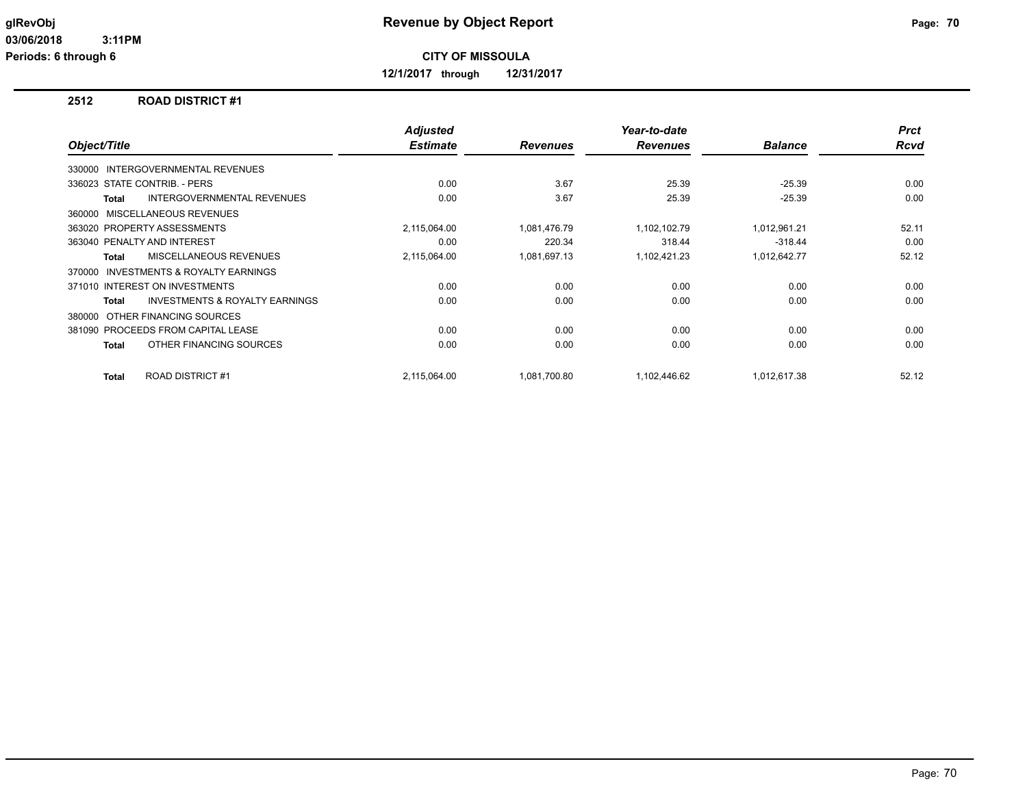**12/1/2017 through 12/31/2017**

#### **2512 ROAD DISTRICT #1**

| Object/Title |                                           | <b>Adjusted</b><br><b>Estimate</b> | <b>Revenues</b> | Year-to-date<br><b>Revenues</b> | <b>Balance</b> | <b>Prct</b><br><b>Rcvd</b> |
|--------------|-------------------------------------------|------------------------------------|-----------------|---------------------------------|----------------|----------------------------|
|              |                                           |                                    |                 |                                 |                |                            |
|              | 330000 INTERGOVERNMENTAL REVENUES         |                                    |                 |                                 |                |                            |
|              | 336023 STATE CONTRIB. - PERS              | 0.00                               | 3.67            | 25.39                           | $-25.39$       | 0.00                       |
| <b>Total</b> | <b>INTERGOVERNMENTAL REVENUES</b>         | 0.00                               | 3.67            | 25.39                           | $-25.39$       | 0.00                       |
|              | 360000 MISCELLANEOUS REVENUES             |                                    |                 |                                 |                |                            |
|              | 363020 PROPERTY ASSESSMENTS               | 2,115,064.00                       | 1.081.476.79    | 1,102,102.79                    | 1,012,961.21   | 52.11                      |
|              | 363040 PENALTY AND INTEREST               | 0.00                               | 220.34          | 318.44                          | $-318.44$      | 0.00                       |
| Total        | MISCELLANEOUS REVENUES                    | 2,115,064.00                       | 1,081,697.13    | 1,102,421.23                    | 1,012,642.77   | 52.12                      |
| 370000       | INVESTMENTS & ROYALTY EARNINGS            |                                    |                 |                                 |                |                            |
|              | 371010 INTEREST ON INVESTMENTS            | 0.00                               | 0.00            | 0.00                            | 0.00           | 0.00                       |
| <b>Total</b> | <b>INVESTMENTS &amp; ROYALTY EARNINGS</b> | 0.00                               | 0.00            | 0.00                            | 0.00           | 0.00                       |
| 380000       | OTHER FINANCING SOURCES                   |                                    |                 |                                 |                |                            |
|              | 381090 PROCEEDS FROM CAPITAL LEASE        | 0.00                               | 0.00            | 0.00                            | 0.00           | 0.00                       |
| <b>Total</b> | OTHER FINANCING SOURCES                   | 0.00                               | 0.00            | 0.00                            | 0.00           | 0.00                       |
| <b>Total</b> | <b>ROAD DISTRICT #1</b>                   | 2,115,064.00                       | 1,081,700.80    | 1,102,446.62                    | 1,012,617.38   | 52.12                      |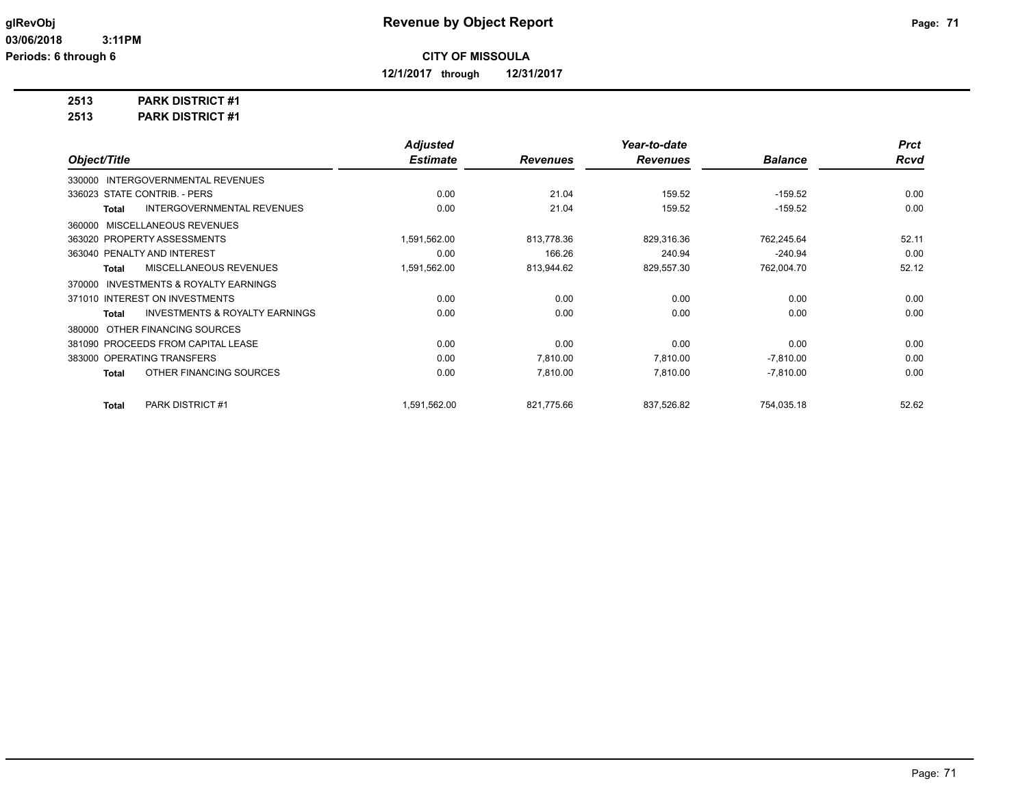**12/1/2017 through 12/31/2017**

## **2513 PARK DISTRICT #1**

**2513 PARK DISTRICT #1**

|                                                           | <b>Adjusted</b> |                 | Year-to-date    |                | <b>Prct</b> |
|-----------------------------------------------------------|-----------------|-----------------|-----------------|----------------|-------------|
| Object/Title                                              | <b>Estimate</b> | <b>Revenues</b> | <b>Revenues</b> | <b>Balance</b> | <b>Rcvd</b> |
| <b>INTERGOVERNMENTAL REVENUES</b><br>330000               |                 |                 |                 |                |             |
| 336023 STATE CONTRIB. - PERS                              | 0.00            | 21.04           | 159.52          | $-159.52$      | 0.00        |
| <b>INTERGOVERNMENTAL REVENUES</b><br><b>Total</b>         | 0.00            | 21.04           | 159.52          | $-159.52$      | 0.00        |
| MISCELLANEOUS REVENUES<br>360000                          |                 |                 |                 |                |             |
| 363020 PROPERTY ASSESSMENTS                               | 1,591,562.00    | 813,778.36      | 829,316.36      | 762,245.64     | 52.11       |
| 363040 PENALTY AND INTEREST                               | 0.00            | 166.26          | 240.94          | $-240.94$      | 0.00        |
| MISCELLANEOUS REVENUES<br><b>Total</b>                    | 1,591,562.00    | 813,944.62      | 829,557.30      | 762,004.70     | 52.12       |
| <b>INVESTMENTS &amp; ROYALTY EARNINGS</b><br>370000       |                 |                 |                 |                |             |
| 371010 INTEREST ON INVESTMENTS                            | 0.00            | 0.00            | 0.00            | 0.00           | 0.00        |
| <b>INVESTMENTS &amp; ROYALTY EARNINGS</b><br><b>Total</b> | 0.00            | 0.00            | 0.00            | 0.00           | 0.00        |
| OTHER FINANCING SOURCES<br>380000                         |                 |                 |                 |                |             |
| 381090 PROCEEDS FROM CAPITAL LEASE                        | 0.00            | 0.00            | 0.00            | 0.00           | 0.00        |
| 383000 OPERATING TRANSFERS                                | 0.00            | 7.810.00        | 7.810.00        | $-7,810.00$    | 0.00        |
| OTHER FINANCING SOURCES<br><b>Total</b>                   | 0.00            | 7,810.00        | 7,810.00        | $-7,810.00$    | 0.00        |
| <b>PARK DISTRICT #1</b><br><b>Total</b>                   | 1,591,562.00    | 821,775.66      | 837,526.82      | 754,035.18     | 52.62       |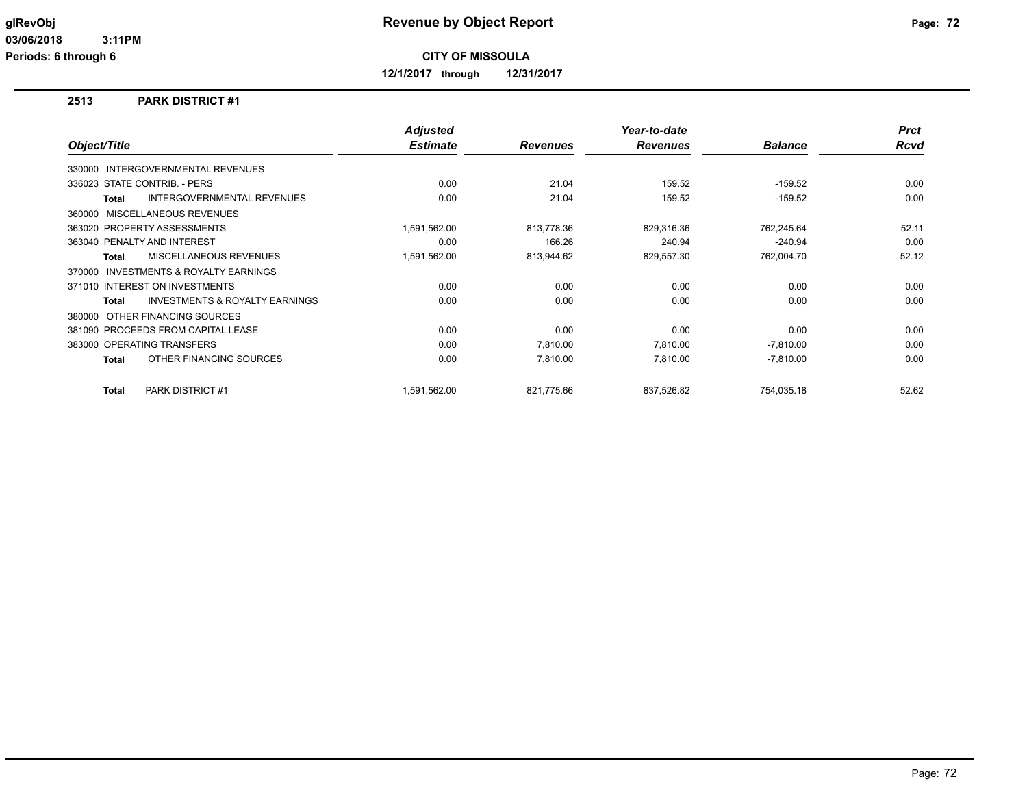**12/1/2017 through 12/31/2017**

#### **2513 PARK DISTRICT #1**

|                                                     | <b>Adjusted</b> |                 | Year-to-date    |                | <b>Prct</b> |
|-----------------------------------------------------|-----------------|-----------------|-----------------|----------------|-------------|
| Object/Title                                        | <b>Estimate</b> | <b>Revenues</b> | <b>Revenues</b> | <b>Balance</b> | <b>Rcvd</b> |
| 330000 INTERGOVERNMENTAL REVENUES                   |                 |                 |                 |                |             |
| 336023 STATE CONTRIB. - PERS                        | 0.00            | 21.04           | 159.52          | $-159.52$      | 0.00        |
| <b>INTERGOVERNMENTAL REVENUES</b><br><b>Total</b>   | 0.00            | 21.04           | 159.52          | $-159.52$      | 0.00        |
| 360000 MISCELLANEOUS REVENUES                       |                 |                 |                 |                |             |
| 363020 PROPERTY ASSESSMENTS                         | 1,591,562.00    | 813,778.36      | 829,316.36      | 762,245.64     | 52.11       |
| 363040 PENALTY AND INTEREST                         | 0.00            | 166.26          | 240.94          | $-240.94$      | 0.00        |
| MISCELLANEOUS REVENUES<br><b>Total</b>              | 1,591,562.00    | 813,944.62      | 829,557.30      | 762,004.70     | 52.12       |
| <b>INVESTMENTS &amp; ROYALTY EARNINGS</b><br>370000 |                 |                 |                 |                |             |
| 371010 INTEREST ON INVESTMENTS                      | 0.00            | 0.00            | 0.00            | 0.00           | 0.00        |
| <b>INVESTMENTS &amp; ROYALTY EARNINGS</b><br>Total  | 0.00            | 0.00            | 0.00            | 0.00           | 0.00        |
| 380000 OTHER FINANCING SOURCES                      |                 |                 |                 |                |             |
| 381090 PROCEEDS FROM CAPITAL LEASE                  | 0.00            | 0.00            | 0.00            | 0.00           | 0.00        |
| 383000 OPERATING TRANSFERS                          | 0.00            | 7,810.00        | 7,810.00        | $-7,810.00$    | 0.00        |
| OTHER FINANCING SOURCES<br><b>Total</b>             | 0.00            | 7,810.00        | 7,810.00        | $-7,810.00$    | 0.00        |
| <b>PARK DISTRICT#1</b><br><b>Total</b>              | 1,591,562.00    | 821.775.66      | 837,526.82      | 754,035.18     | 52.62       |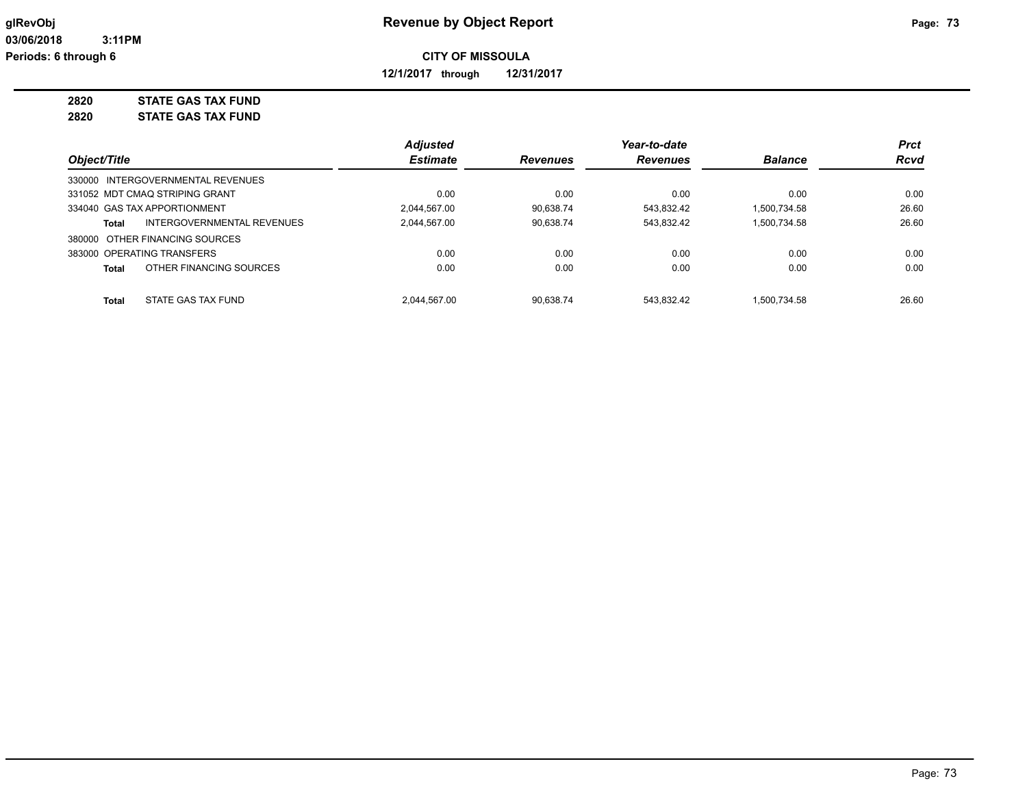**12/1/2017 through 12/31/2017**

**2820 STATE GAS TAX FUND**

**2820 STATE GAS TAX FUND**

|                                            | <b>Adjusted</b> |                 | Year-to-date    |                | <b>Prct</b> |
|--------------------------------------------|-----------------|-----------------|-----------------|----------------|-------------|
| Object/Title                               | <b>Estimate</b> | <b>Revenues</b> | <b>Revenues</b> | <b>Balance</b> | <b>Rcvd</b> |
| 330000 INTERGOVERNMENTAL REVENUES          |                 |                 |                 |                |             |
| 331052 MDT CMAO STRIPING GRANT             | 0.00            | 0.00            | 0.00            | 0.00           | 0.00        |
| 334040 GAS TAX APPORTIONMENT               | 2.044.567.00    | 90.638.74       | 543.832.42      | 1.500.734.58   | 26.60       |
| <b>INTERGOVERNMENTAL REVENUES</b><br>Total | 2.044.567.00    | 90.638.74       | 543.832.42      | 1.500.734.58   | 26.60       |
| 380000 OTHER FINANCING SOURCES             |                 |                 |                 |                |             |
| 383000 OPERATING TRANSFERS                 | 0.00            | 0.00            | 0.00            | 0.00           | 0.00        |
| OTHER FINANCING SOURCES<br>Total           | 0.00            | 0.00            | 0.00            | 0.00           | 0.00        |
| STATE GAS TAX FUND<br><b>Total</b>         | 2.044.567.00    | 90.638.74       | 543.832.42      | 1.500.734.58   | 26.60       |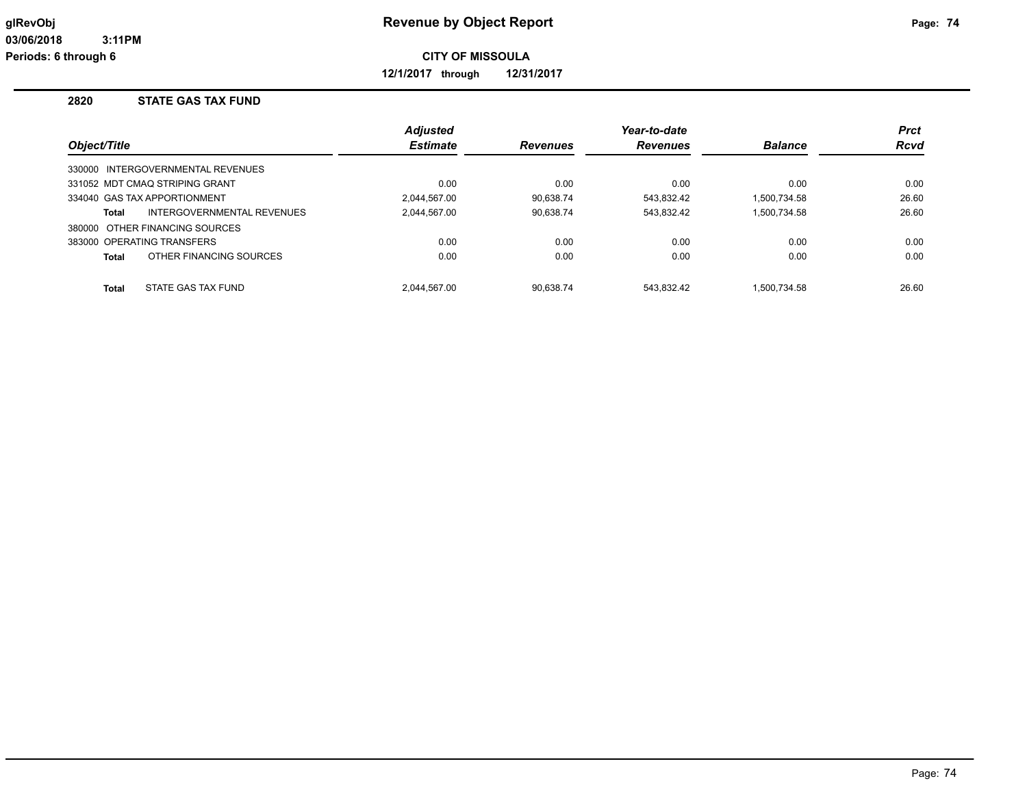**12/1/2017 through 12/31/2017**

#### **2820 STATE GAS TAX FUND**

|              |                                   | <b>Adjusted</b> |                 | Year-to-date   |              | <b>Prct</b> |
|--------------|-----------------------------------|-----------------|-----------------|----------------|--------------|-------------|
| Object/Title | <b>Estimate</b>                   | <b>Revenues</b> | <b>Revenues</b> | <b>Balance</b> | <b>Rcvd</b>  |             |
|              | 330000 INTERGOVERNMENTAL REVENUES |                 |                 |                |              |             |
|              | 331052 MDT CMAQ STRIPING GRANT    | 0.00            | 0.00            | 0.00           | 0.00         | 0.00        |
|              | 334040 GAS TAX APPORTIONMENT      | 2.044.567.00    | 90.638.74       | 543,832.42     | 1,500,734.58 | 26.60       |
| Total        | INTERGOVERNMENTAL REVENUES        | 2.044.567.00    | 90,638.74       | 543,832.42     | 1,500,734.58 | 26.60       |
|              | 380000 OTHER FINANCING SOURCES    |                 |                 |                |              |             |
|              | 383000 OPERATING TRANSFERS        | 0.00            | 0.00            | 0.00           | 0.00         | 0.00        |
| Total        | OTHER FINANCING SOURCES           | 0.00            | 0.00            | 0.00           | 0.00         | 0.00        |
| Total        | STATE GAS TAX FUND                | 2.044.567.00    | 90.638.74       | 543.832.42     | 1.500.734.58 | 26.60       |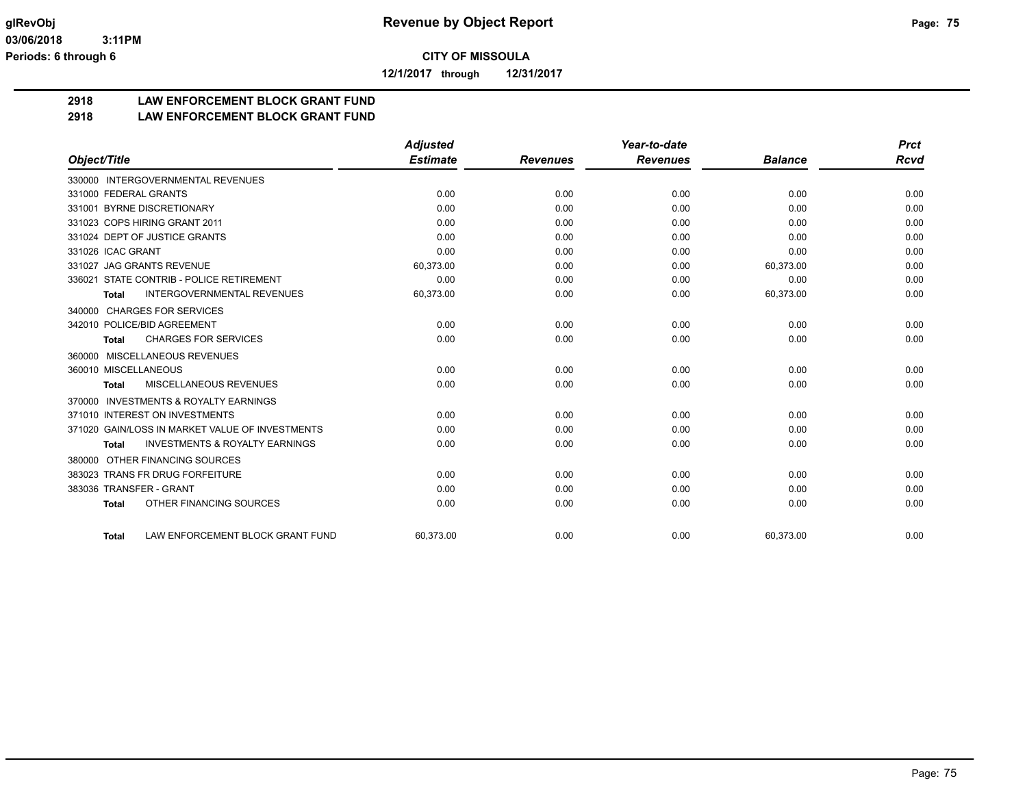**12/1/2017 through 12/31/2017**

# **2918 LAW ENFORCEMENT BLOCK GRANT FUND**

#### **2918 LAW ENFORCEMENT BLOCK GRANT FUND**

|                                                           | <b>Adjusted</b> |                 | Year-to-date    |                | <b>Prct</b> |
|-----------------------------------------------------------|-----------------|-----------------|-----------------|----------------|-------------|
| Object/Title                                              | <b>Estimate</b> | <b>Revenues</b> | <b>Revenues</b> | <b>Balance</b> | Rcvd        |
| 330000 INTERGOVERNMENTAL REVENUES                         |                 |                 |                 |                |             |
| 331000 FEDERAL GRANTS                                     | 0.00            | 0.00            | 0.00            | 0.00           | 0.00        |
| 331001 BYRNE DISCRETIONARY                                | 0.00            | 0.00            | 0.00            | 0.00           | 0.00        |
| 331023 COPS HIRING GRANT 2011                             | 0.00            | 0.00            | 0.00            | 0.00           | 0.00        |
| 331024 DEPT OF JUSTICE GRANTS                             | 0.00            | 0.00            | 0.00            | 0.00           | 0.00        |
| 331026 ICAC GRANT                                         | 0.00            | 0.00            | 0.00            | 0.00           | 0.00        |
| 331027 JAG GRANTS REVENUE                                 | 60,373.00       | 0.00            | 0.00            | 60,373.00      | 0.00        |
| 336021 STATE CONTRIB - POLICE RETIREMENT                  | 0.00            | 0.00            | 0.00            | 0.00           | 0.00        |
| <b>INTERGOVERNMENTAL REVENUES</b><br><b>Total</b>         | 60,373.00       | 0.00            | 0.00            | 60,373.00      | 0.00        |
| <b>CHARGES FOR SERVICES</b><br>340000                     |                 |                 |                 |                |             |
| 342010 POLICE/BID AGREEMENT                               | 0.00            | 0.00            | 0.00            | 0.00           | 0.00        |
| <b>CHARGES FOR SERVICES</b><br>Total                      | 0.00            | 0.00            | 0.00            | 0.00           | 0.00        |
| MISCELLANEOUS REVENUES<br>360000                          |                 |                 |                 |                |             |
| 360010 MISCELLANEOUS                                      | 0.00            | 0.00            | 0.00            | 0.00           | 0.00        |
| MISCELLANEOUS REVENUES<br><b>Total</b>                    | 0.00            | 0.00            | 0.00            | 0.00           | 0.00        |
| <b>INVESTMENTS &amp; ROYALTY EARNINGS</b><br>370000       |                 |                 |                 |                |             |
| 371010 INTEREST ON INVESTMENTS                            | 0.00            | 0.00            | 0.00            | 0.00           | 0.00        |
| 371020 GAIN/LOSS IN MARKET VALUE OF INVESTMENTS           | 0.00            | 0.00            | 0.00            | 0.00           | 0.00        |
| <b>INVESTMENTS &amp; ROYALTY EARNINGS</b><br><b>Total</b> | 0.00            | 0.00            | 0.00            | 0.00           | 0.00        |
| OTHER FINANCING SOURCES<br>380000                         |                 |                 |                 |                |             |
| 383023 TRANS FR DRUG FORFEITURE                           | 0.00            | 0.00            | 0.00            | 0.00           | 0.00        |
| 383036 TRANSFER - GRANT                                   | 0.00            | 0.00            | 0.00            | 0.00           | 0.00        |
| OTHER FINANCING SOURCES<br><b>Total</b>                   | 0.00            | 0.00            | 0.00            | 0.00           | 0.00        |
| LAW ENFORCEMENT BLOCK GRANT FUND<br><b>Total</b>          | 60,373.00       | 0.00            | 0.00            | 60,373.00      | 0.00        |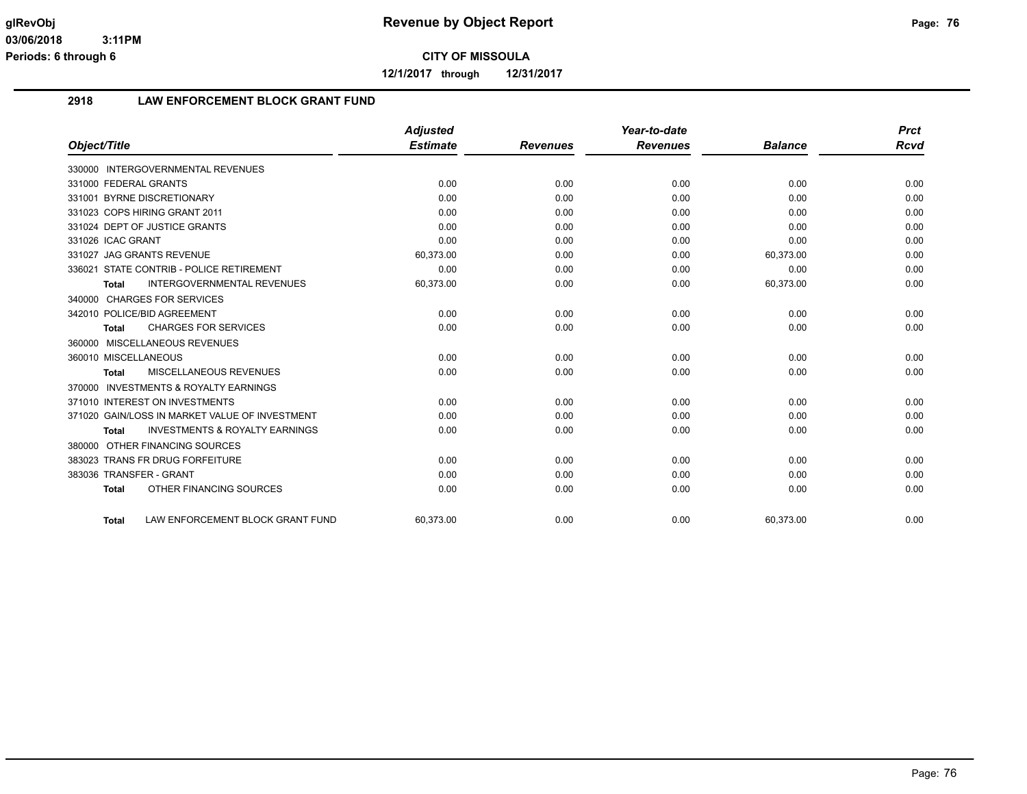**12/1/2017 through 12/31/2017**

#### **2918 LAW ENFORCEMENT BLOCK GRANT FUND**

|                                                           | <b>Adjusted</b> |                 | Year-to-date    |                | <b>Prct</b> |
|-----------------------------------------------------------|-----------------|-----------------|-----------------|----------------|-------------|
| Object/Title                                              | <b>Estimate</b> | <b>Revenues</b> | <b>Revenues</b> | <b>Balance</b> | <b>Rcvd</b> |
| 330000 INTERGOVERNMENTAL REVENUES                         |                 |                 |                 |                |             |
| 331000 FEDERAL GRANTS                                     | 0.00            | 0.00            | 0.00            | 0.00           | 0.00        |
| 331001 BYRNE DISCRETIONARY                                | 0.00            | 0.00            | 0.00            | 0.00           | 0.00        |
| 331023 COPS HIRING GRANT 2011                             | 0.00            | 0.00            | 0.00            | 0.00           | 0.00        |
| 331024 DEPT OF JUSTICE GRANTS                             | 0.00            | 0.00            | 0.00            | 0.00           | 0.00        |
| 331026 ICAC GRANT                                         | 0.00            | 0.00            | 0.00            | 0.00           | 0.00        |
| 331027 JAG GRANTS REVENUE                                 | 60,373.00       | 0.00            | 0.00            | 60,373.00      | 0.00        |
| 336021 STATE CONTRIB - POLICE RETIREMENT                  | 0.00            | 0.00            | 0.00            | 0.00           | 0.00        |
| <b>INTERGOVERNMENTAL REVENUES</b><br><b>Total</b>         | 60,373.00       | 0.00            | 0.00            | 60,373.00      | 0.00        |
| 340000 CHARGES FOR SERVICES                               |                 |                 |                 |                |             |
| 342010 POLICE/BID AGREEMENT                               | 0.00            | 0.00            | 0.00            | 0.00           | 0.00        |
| <b>CHARGES FOR SERVICES</b><br><b>Total</b>               | 0.00            | 0.00            | 0.00            | 0.00           | 0.00        |
| 360000 MISCELLANEOUS REVENUES                             |                 |                 |                 |                |             |
| 360010 MISCELLANEOUS                                      | 0.00            | 0.00            | 0.00            | 0.00           | 0.00        |
| MISCELLANEOUS REVENUES<br><b>Total</b>                    | 0.00            | 0.00            | 0.00            | 0.00           | 0.00        |
| 370000 INVESTMENTS & ROYALTY EARNINGS                     |                 |                 |                 |                |             |
| 371010 INTEREST ON INVESTMENTS                            | 0.00            | 0.00            | 0.00            | 0.00           | 0.00        |
| 371020 GAIN/LOSS IN MARKET VALUE OF INVESTMENT            | 0.00            | 0.00            | 0.00            | 0.00           | 0.00        |
| <b>INVESTMENTS &amp; ROYALTY EARNINGS</b><br><b>Total</b> | 0.00            | 0.00            | 0.00            | 0.00           | 0.00        |
| OTHER FINANCING SOURCES<br>380000                         |                 |                 |                 |                |             |
| 383023 TRANS FR DRUG FORFEITURE                           | 0.00            | 0.00            | 0.00            | 0.00           | 0.00        |
| 383036 TRANSFER - GRANT                                   | 0.00            | 0.00            | 0.00            | 0.00           | 0.00        |
| OTHER FINANCING SOURCES<br><b>Total</b>                   | 0.00            | 0.00            | 0.00            | 0.00           | 0.00        |
| LAW ENFORCEMENT BLOCK GRANT FUND<br><b>Total</b>          | 60.373.00       | 0.00            | 0.00            | 60.373.00      | 0.00        |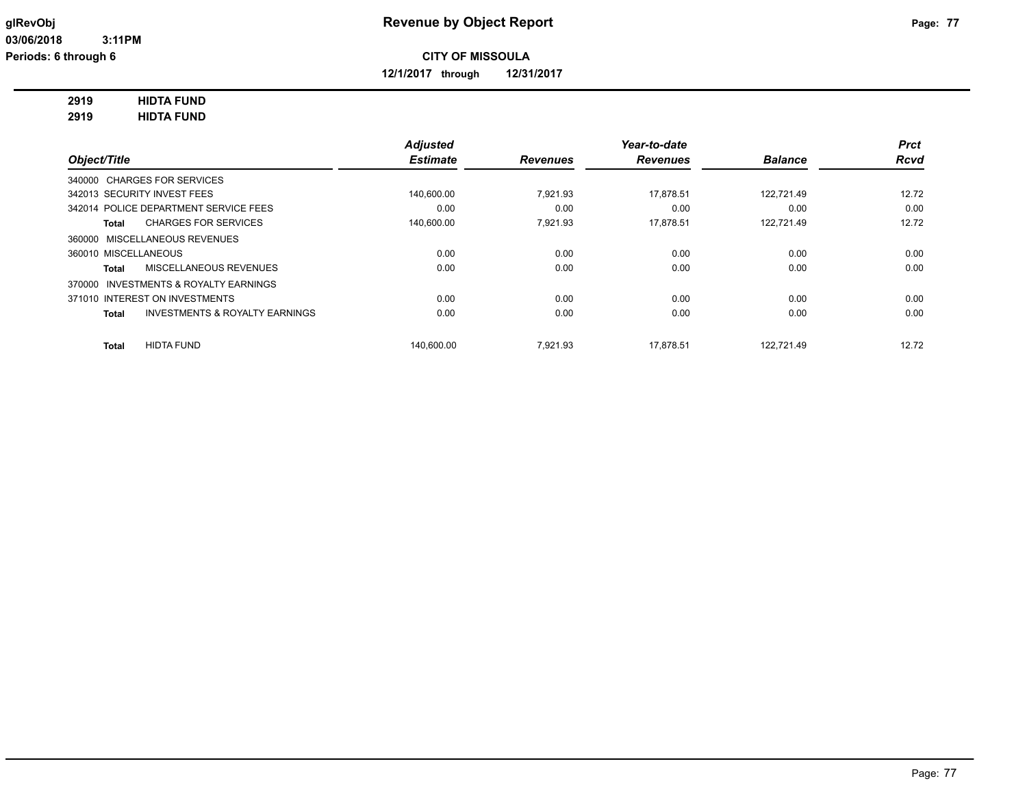**12/1/2017 through 12/31/2017**

# **2919 HIDTA FUND**

**2919 HIDTA FUND**

|                                          |                                           | <b>Adjusted</b> |                 | Year-to-date    |                | <b>Prct</b> |
|------------------------------------------|-------------------------------------------|-----------------|-----------------|-----------------|----------------|-------------|
| Object/Title                             |                                           | <b>Estimate</b> | <b>Revenues</b> | <b>Revenues</b> | <b>Balance</b> | <b>Rcvd</b> |
| 340000 CHARGES FOR SERVICES              |                                           |                 |                 |                 |                |             |
| 342013 SECURITY INVEST FEES              |                                           | 140,600.00      | 7.921.93        | 17.878.51       | 122.721.49     | 12.72       |
| 342014 POLICE DEPARTMENT SERVICE FEES    |                                           | 0.00            | 0.00            | 0.00            | 0.00           | 0.00        |
| <b>Total</b>                             | <b>CHARGES FOR SERVICES</b>               | 140,600.00      | 7.921.93        | 17,878.51       | 122,721.49     | 12.72       |
| 360000 MISCELLANEOUS REVENUES            |                                           |                 |                 |                 |                |             |
| 360010 MISCELLANEOUS                     |                                           | 0.00            | 0.00            | 0.00            | 0.00           | 0.00        |
| <b>Total</b>                             | <b>MISCELLANEOUS REVENUES</b>             | 0.00            | 0.00            | 0.00            | 0.00           | 0.00        |
| INVESTMENTS & ROYALTY EARNINGS<br>370000 |                                           |                 |                 |                 |                |             |
| 371010 INTEREST ON INVESTMENTS           |                                           | 0.00            | 0.00            | 0.00            | 0.00           | 0.00        |
| <b>Total</b>                             | <b>INVESTMENTS &amp; ROYALTY EARNINGS</b> | 0.00            | 0.00            | 0.00            | 0.00           | 0.00        |
| <b>HIDTA FUND</b><br><b>Total</b>        |                                           | 140.600.00      | 7.921.93        | 17.878.51       | 122.721.49     | 12.72       |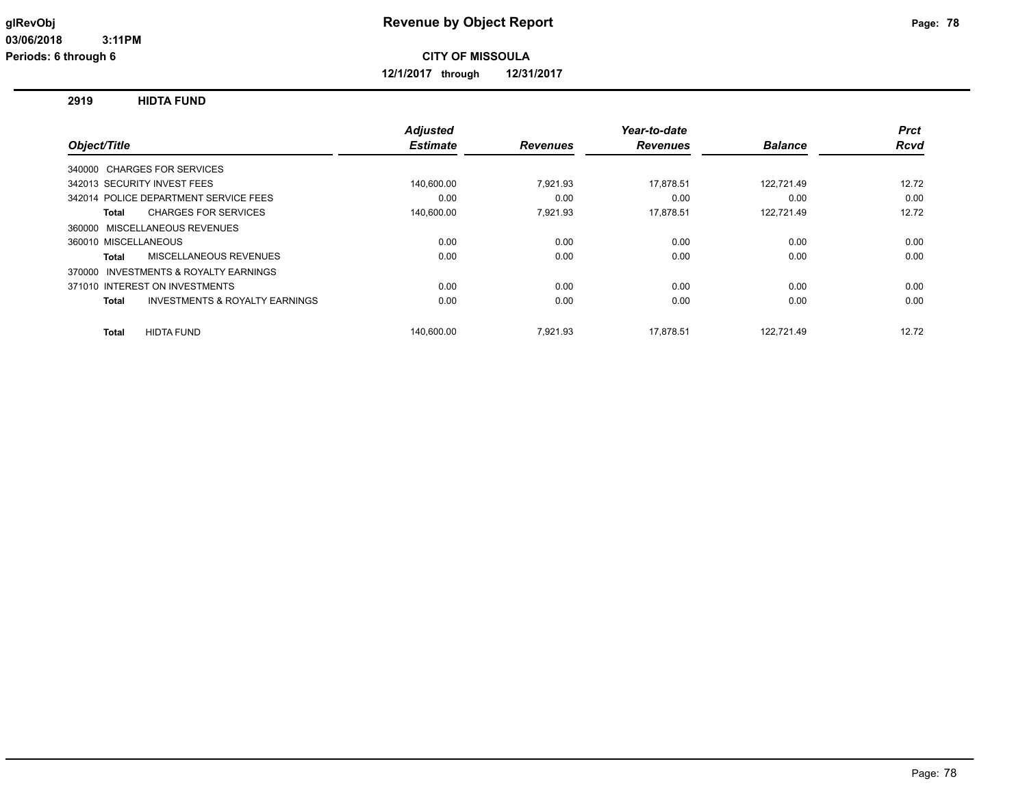**12/1/2017 through 12/31/2017**

**2919 HIDTA FUND**

|                                                    | <b>Adjusted</b> |                 | Year-to-date    |                | <b>Prct</b> |
|----------------------------------------------------|-----------------|-----------------|-----------------|----------------|-------------|
| Object/Title                                       | <b>Estimate</b> | <b>Revenues</b> | <b>Revenues</b> | <b>Balance</b> | Rcvd        |
| 340000 CHARGES FOR SERVICES                        |                 |                 |                 |                |             |
| 342013 SECURITY INVEST FEES                        | 140,600.00      | 7,921.93        | 17,878.51       | 122,721.49     | 12.72       |
| 342014 POLICE DEPARTMENT SERVICE FEES              | 0.00            | 0.00            | 0.00            | 0.00           | 0.00        |
| <b>CHARGES FOR SERVICES</b><br>Total               | 140,600.00      | 7,921.93        | 17,878.51       | 122,721.49     | 12.72       |
| 360000 MISCELLANEOUS REVENUES                      |                 |                 |                 |                |             |
| 360010 MISCELLANEOUS                               | 0.00            | 0.00            | 0.00            | 0.00           | 0.00        |
| MISCELLANEOUS REVENUES<br>Total                    | 0.00            | 0.00            | 0.00            | 0.00           | 0.00        |
| 370000 INVESTMENTS & ROYALTY EARNINGS              |                 |                 |                 |                |             |
| 371010 INTEREST ON INVESTMENTS                     | 0.00            | 0.00            | 0.00            | 0.00           | 0.00        |
| <b>INVESTMENTS &amp; ROYALTY EARNINGS</b><br>Total | 0.00            | 0.00            | 0.00            | 0.00           | 0.00        |
| <b>HIDTA FUND</b><br>Total                         | 140.600.00      | 7.921.93        | 17.878.51       | 122.721.49     | 12.72       |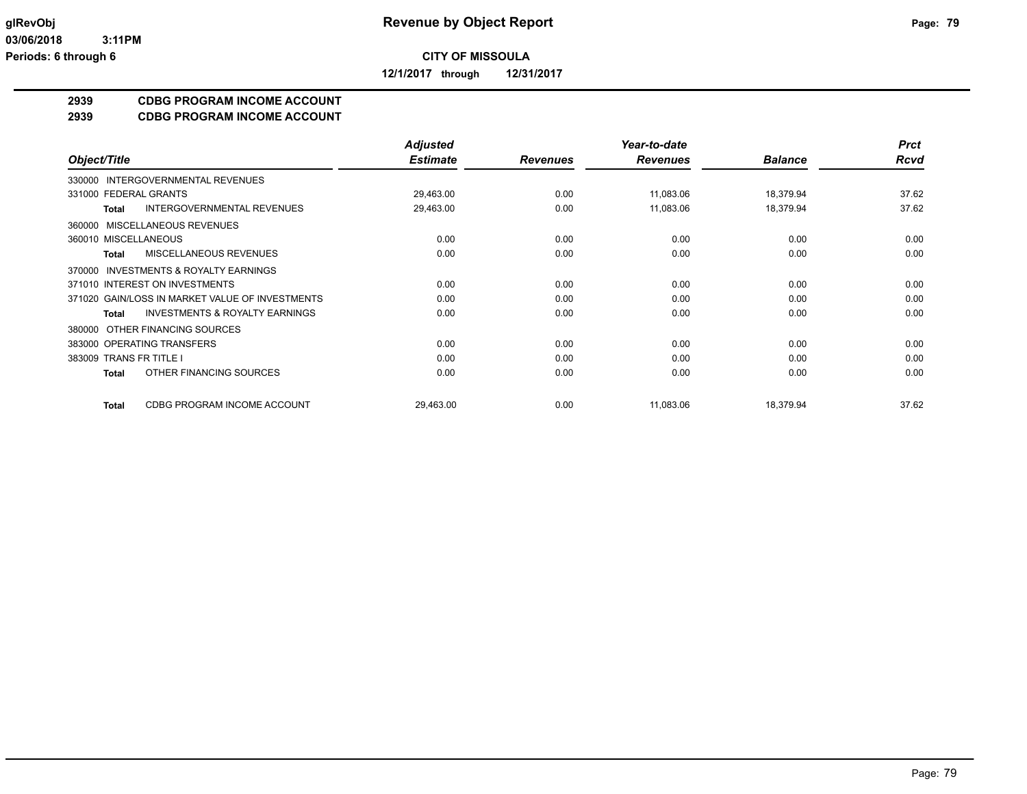**12/1/2017 through 12/31/2017**

#### **2939 CDBG PROGRAM INCOME ACCOUNT**

#### **2939 CDBG PROGRAM INCOME ACCOUNT**

|                                                           | <b>Adjusted</b> |                 | Year-to-date    |                | <b>Prct</b> |
|-----------------------------------------------------------|-----------------|-----------------|-----------------|----------------|-------------|
| Object/Title                                              | <b>Estimate</b> | <b>Revenues</b> | <b>Revenues</b> | <b>Balance</b> | Rcvd        |
| INTERGOVERNMENTAL REVENUES<br>330000                      |                 |                 |                 |                |             |
| 331000 FEDERAL GRANTS                                     | 29,463.00       | 0.00            | 11,083.06       | 18,379.94      | 37.62       |
| <b>INTERGOVERNMENTAL REVENUES</b><br><b>Total</b>         | 29,463.00       | 0.00            | 11,083.06       | 18,379.94      | 37.62       |
| 360000 MISCELLANEOUS REVENUES                             |                 |                 |                 |                |             |
| 360010 MISCELLANEOUS                                      | 0.00            | 0.00            | 0.00            | 0.00           | 0.00        |
| MISCELLANEOUS REVENUES<br><b>Total</b>                    | 0.00            | 0.00            | 0.00            | 0.00           | 0.00        |
| <b>INVESTMENTS &amp; ROYALTY EARNINGS</b><br>370000       |                 |                 |                 |                |             |
| 371010 INTEREST ON INVESTMENTS                            | 0.00            | 0.00            | 0.00            | 0.00           | 0.00        |
| 371020 GAIN/LOSS IN MARKET VALUE OF INVESTMENTS           | 0.00            | 0.00            | 0.00            | 0.00           | 0.00        |
| <b>INVESTMENTS &amp; ROYALTY EARNINGS</b><br><b>Total</b> | 0.00            | 0.00            | 0.00            | 0.00           | 0.00        |
| OTHER FINANCING SOURCES<br>380000                         |                 |                 |                 |                |             |
| 383000 OPERATING TRANSFERS                                | 0.00            | 0.00            | 0.00            | 0.00           | 0.00        |
| 383009 TRANS FR TITLE I                                   | 0.00            | 0.00            | 0.00            | 0.00           | 0.00        |
| OTHER FINANCING SOURCES<br>Total                          | 0.00            | 0.00            | 0.00            | 0.00           | 0.00        |
| CDBG PROGRAM INCOME ACCOUNT<br><b>Total</b>               | 29,463.00       | 0.00            | 11.083.06       | 18,379.94      | 37.62       |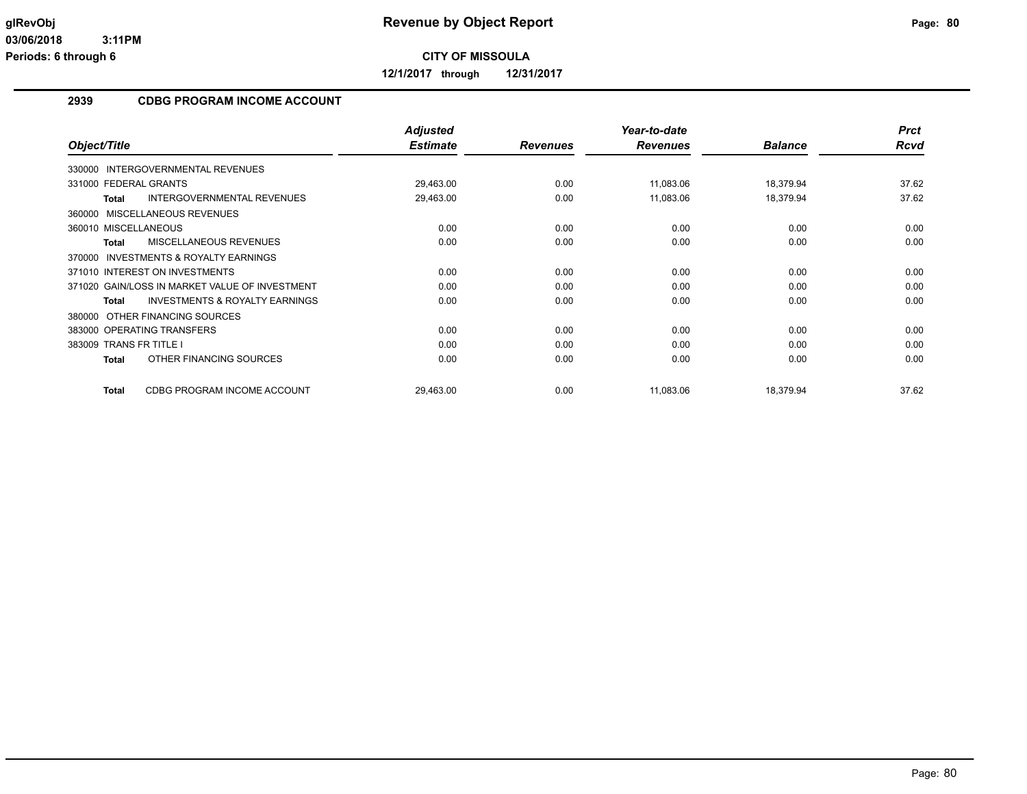**12/1/2017 through 12/31/2017**

#### **2939 CDBG PROGRAM INCOME ACCOUNT**

|                                                           | <b>Adjusted</b> |                 | Year-to-date    |                | <b>Prct</b> |
|-----------------------------------------------------------|-----------------|-----------------|-----------------|----------------|-------------|
| Object/Title                                              | <b>Estimate</b> | <b>Revenues</b> | <b>Revenues</b> | <b>Balance</b> | Rcvd        |
| 330000 INTERGOVERNMENTAL REVENUES                         |                 |                 |                 |                |             |
| 331000 FEDERAL GRANTS                                     | 29,463.00       | 0.00            | 11,083.06       | 18,379.94      | 37.62       |
| <b>Total</b><br><b>INTERGOVERNMENTAL REVENUES</b>         | 29,463.00       | 0.00            | 11,083.06       | 18,379.94      | 37.62       |
| 360000 MISCELLANEOUS REVENUES                             |                 |                 |                 |                |             |
| 360010 MISCELLANEOUS                                      | 0.00            | 0.00            | 0.00            | 0.00           | 0.00        |
| MISCELLANEOUS REVENUES<br><b>Total</b>                    | 0.00            | 0.00            | 0.00            | 0.00           | 0.00        |
| <b>INVESTMENTS &amp; ROYALTY EARNINGS</b><br>370000       |                 |                 |                 |                |             |
| 371010 INTEREST ON INVESTMENTS                            | 0.00            | 0.00            | 0.00            | 0.00           | 0.00        |
| 371020 GAIN/LOSS IN MARKET VALUE OF INVESTMENT            | 0.00            | 0.00            | 0.00            | 0.00           | 0.00        |
| <b>INVESTMENTS &amp; ROYALTY EARNINGS</b><br><b>Total</b> | 0.00            | 0.00            | 0.00            | 0.00           | 0.00        |
| OTHER FINANCING SOURCES<br>380000                         |                 |                 |                 |                |             |
| 383000 OPERATING TRANSFERS                                | 0.00            | 0.00            | 0.00            | 0.00           | 0.00        |
| 383009 TRANS FR TITLE I                                   | 0.00            | 0.00            | 0.00            | 0.00           | 0.00        |
| OTHER FINANCING SOURCES<br><b>Total</b>                   | 0.00            | 0.00            | 0.00            | 0.00           | 0.00        |
| CDBG PROGRAM INCOME ACCOUNT<br><b>Total</b>               | 29,463.00       | 0.00            | 11,083.06       | 18,379.94      | 37.62       |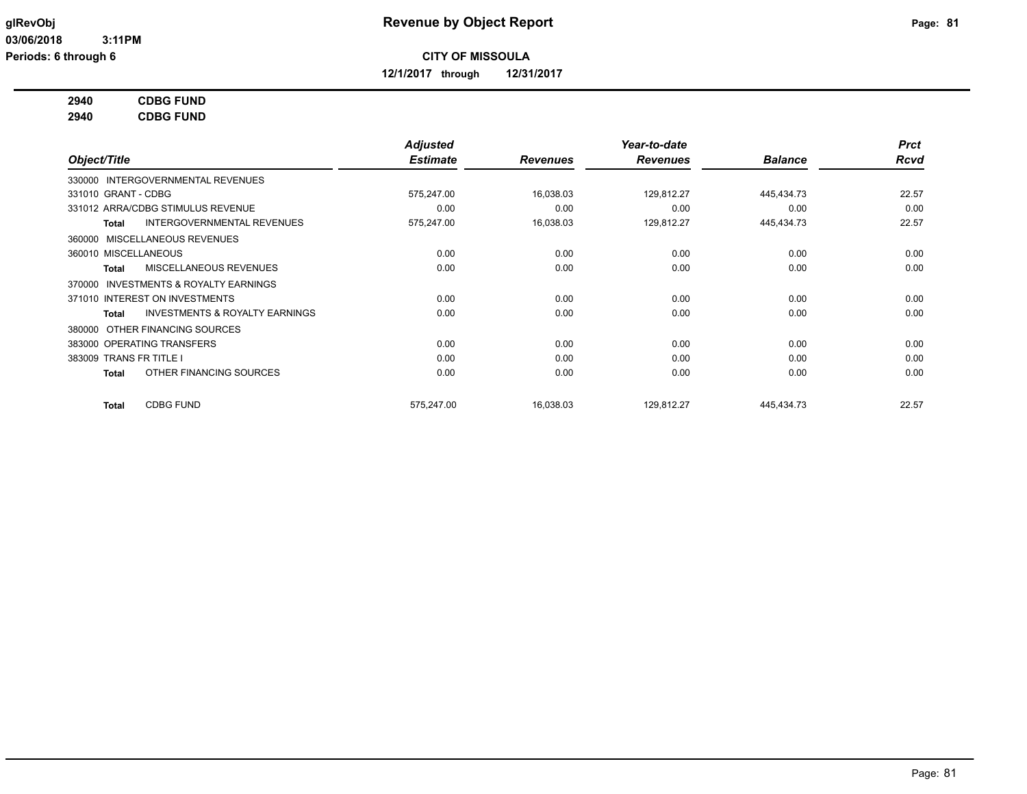**12/1/2017 through 12/31/2017**

#### **2940 CDBG FUND**

**2940 CDBG FUND**

|                                                     | <b>Adjusted</b> |                 | Year-to-date    |                | <b>Prct</b> |
|-----------------------------------------------------|-----------------|-----------------|-----------------|----------------|-------------|
| Object/Title                                        | <b>Estimate</b> | <b>Revenues</b> | <b>Revenues</b> | <b>Balance</b> | Rcvd        |
| 330000 INTERGOVERNMENTAL REVENUES                   |                 |                 |                 |                |             |
| 331010 GRANT - CDBG                                 | 575,247.00      | 16,038.03       | 129,812.27      | 445,434.73     | 22.57       |
| 331012 ARRA/CDBG STIMULUS REVENUE                   | 0.00            | 0.00            | 0.00            | 0.00           | 0.00        |
| INTERGOVERNMENTAL REVENUES<br>Total                 | 575,247.00      | 16,038.03       | 129,812.27      | 445,434.73     | 22.57       |
| 360000 MISCELLANEOUS REVENUES                       |                 |                 |                 |                |             |
| 360010 MISCELLANEOUS                                | 0.00            | 0.00            | 0.00            | 0.00           | 0.00        |
| <b>MISCELLANEOUS REVENUES</b><br>Total              | 0.00            | 0.00            | 0.00            | 0.00           | 0.00        |
| <b>INVESTMENTS &amp; ROYALTY EARNINGS</b><br>370000 |                 |                 |                 |                |             |
| 371010 INTEREST ON INVESTMENTS                      | 0.00            | 0.00            | 0.00            | 0.00           | 0.00        |
| <b>INVESTMENTS &amp; ROYALTY EARNINGS</b><br>Total  | 0.00            | 0.00            | 0.00            | 0.00           | 0.00        |
| OTHER FINANCING SOURCES<br>380000                   |                 |                 |                 |                |             |
| 383000 OPERATING TRANSFERS                          | 0.00            | 0.00            | 0.00            | 0.00           | 0.00        |
| 383009 TRANS FR TITLE I                             | 0.00            | 0.00            | 0.00            | 0.00           | 0.00        |
| OTHER FINANCING SOURCES<br>Total                    | 0.00            | 0.00            | 0.00            | 0.00           | 0.00        |
| <b>CDBG FUND</b><br>Total                           | 575,247.00      | 16,038.03       | 129,812.27      | 445,434.73     | 22.57       |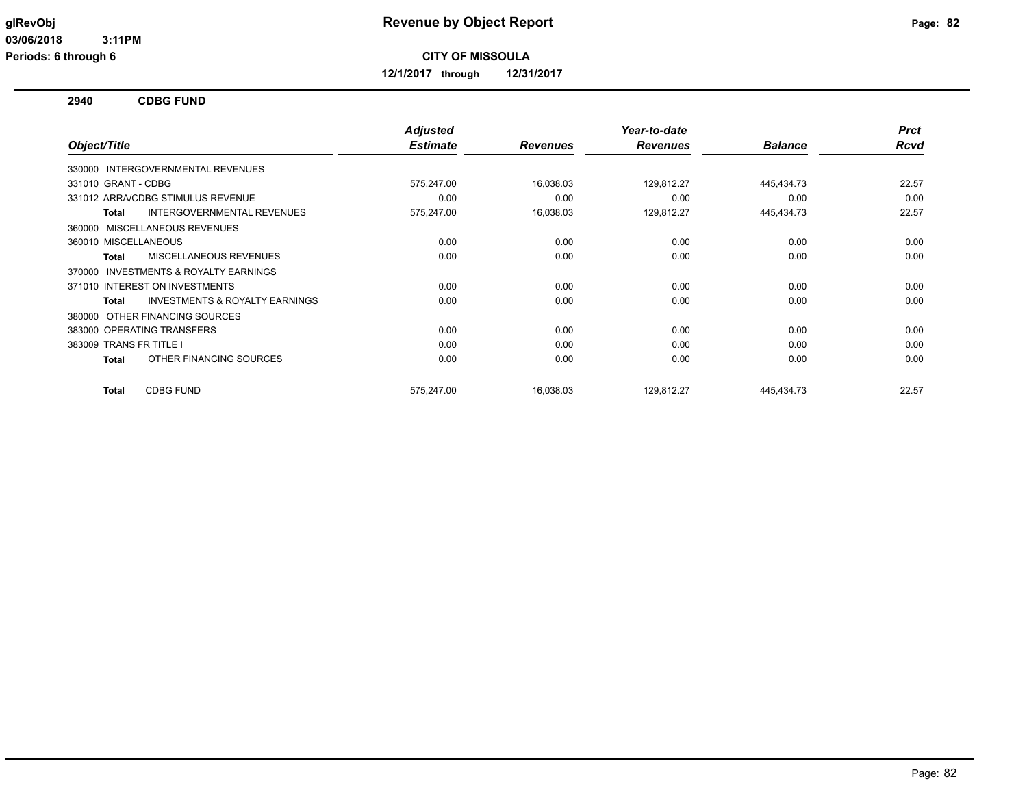**12/1/2017 through 12/31/2017**

**2940 CDBG FUND**

|                                                           | <b>Adjusted</b> |                 | Year-to-date    |                | <b>Prct</b> |
|-----------------------------------------------------------|-----------------|-----------------|-----------------|----------------|-------------|
| Object/Title                                              | <b>Estimate</b> | <b>Revenues</b> | <b>Revenues</b> | <b>Balance</b> | Rcvd        |
| 330000 INTERGOVERNMENTAL REVENUES                         |                 |                 |                 |                |             |
| 331010 GRANT - CDBG                                       | 575,247.00      | 16,038.03       | 129,812.27      | 445,434.73     | 22.57       |
| 331012 ARRA/CDBG STIMULUS REVENUE                         | 0.00            | 0.00            | 0.00            | 0.00           | 0.00        |
| <b>INTERGOVERNMENTAL REVENUES</b><br><b>Total</b>         | 575,247.00      | 16,038.03       | 129,812.27      | 445,434.73     | 22.57       |
| <b>MISCELLANEOUS REVENUES</b><br>360000                   |                 |                 |                 |                |             |
| 360010 MISCELLANEOUS                                      | 0.00            | 0.00            | 0.00            | 0.00           | 0.00        |
| MISCELLANEOUS REVENUES<br><b>Total</b>                    | 0.00            | 0.00            | 0.00            | 0.00           | 0.00        |
| <b>INVESTMENTS &amp; ROYALTY EARNINGS</b><br>370000       |                 |                 |                 |                |             |
| 371010 INTEREST ON INVESTMENTS                            | 0.00            | 0.00            | 0.00            | 0.00           | 0.00        |
| <b>INVESTMENTS &amp; ROYALTY EARNINGS</b><br><b>Total</b> | 0.00            | 0.00            | 0.00            | 0.00           | 0.00        |
| OTHER FINANCING SOURCES<br>380000                         |                 |                 |                 |                |             |
| 383000 OPERATING TRANSFERS                                | 0.00            | 0.00            | 0.00            | 0.00           | 0.00        |
| 383009 TRANS FR TITLE I                                   | 0.00            | 0.00            | 0.00            | 0.00           | 0.00        |
| OTHER FINANCING SOURCES<br><b>Total</b>                   | 0.00            | 0.00            | 0.00            | 0.00           | 0.00        |
| <b>CDBG FUND</b><br><b>Total</b>                          | 575.247.00      | 16,038.03       | 129,812.27      | 445,434.73     | 22.57       |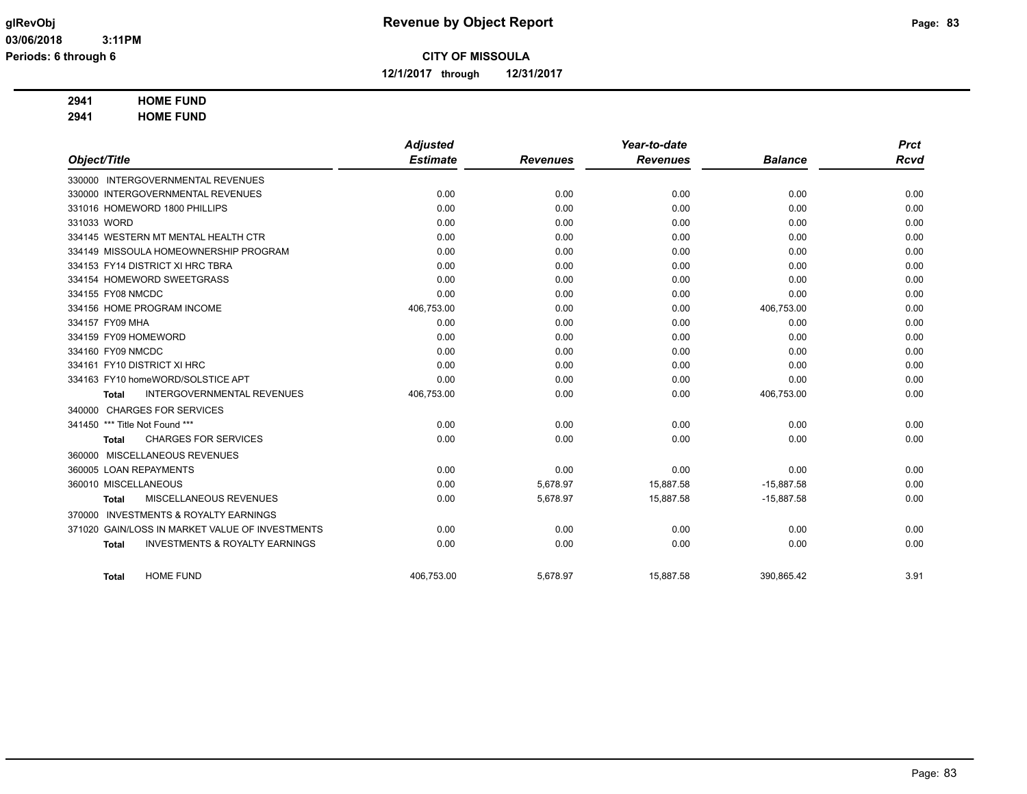**12/1/2017 through 12/31/2017**

## **2941 HOME FUND**

**2941 HOME FUND**

|                                                           | <b>Adjusted</b> |                 | Year-to-date    |                | <b>Prct</b> |
|-----------------------------------------------------------|-----------------|-----------------|-----------------|----------------|-------------|
| Object/Title                                              | <b>Estimate</b> | <b>Revenues</b> | <b>Revenues</b> | <b>Balance</b> | <b>Rcvd</b> |
| 330000 INTERGOVERNMENTAL REVENUES                         |                 |                 |                 |                |             |
| 330000 INTERGOVERNMENTAL REVENUES                         | 0.00            | 0.00            | 0.00            | 0.00           | 0.00        |
| 331016 HOMEWORD 1800 PHILLIPS                             | 0.00            | 0.00            | 0.00            | 0.00           | 0.00        |
| 331033 WORD                                               | 0.00            | 0.00            | 0.00            | 0.00           | 0.00        |
| 334145 WESTERN MT MENTAL HEALTH CTR                       | 0.00            | 0.00            | 0.00            | 0.00           | 0.00        |
| 334149 MISSOULA HOMEOWNERSHIP PROGRAM                     | 0.00            | 0.00            | 0.00            | 0.00           | 0.00        |
| 334153 FY14 DISTRICT XI HRC TBRA                          | 0.00            | 0.00            | 0.00            | 0.00           | 0.00        |
| 334154 HOMEWORD SWEETGRASS                                | 0.00            | 0.00            | 0.00            | 0.00           | 0.00        |
| 334155 FY08 NMCDC                                         | 0.00            | 0.00            | 0.00            | 0.00           | 0.00        |
| 334156 HOME PROGRAM INCOME                                | 406,753.00      | 0.00            | 0.00            | 406,753.00     | 0.00        |
| 334157 FY09 MHA                                           | 0.00            | 0.00            | 0.00            | 0.00           | 0.00        |
| 334159 FY09 HOMEWORD                                      | 0.00            | 0.00            | 0.00            | 0.00           | 0.00        |
| 334160 FY09 NMCDC                                         | 0.00            | 0.00            | 0.00            | 0.00           | 0.00        |
| 334161 FY10 DISTRICT XI HRC                               | 0.00            | 0.00            | 0.00            | 0.00           | 0.00        |
| 334163 FY10 homeWORD/SOLSTICE APT                         | 0.00            | 0.00            | 0.00            | 0.00           | 0.00        |
| <b>INTERGOVERNMENTAL REVENUES</b><br><b>Total</b>         | 406,753.00      | 0.00            | 0.00            | 406,753.00     | 0.00        |
| <b>CHARGES FOR SERVICES</b><br>340000                     |                 |                 |                 |                |             |
| 341450 *** Title Not Found ***                            | 0.00            | 0.00            | 0.00            | 0.00           | 0.00        |
| <b>CHARGES FOR SERVICES</b><br><b>Total</b>               | 0.00            | 0.00            | 0.00            | 0.00           | 0.00        |
| 360000 MISCELLANEOUS REVENUES                             |                 |                 |                 |                |             |
| 360005 LOAN REPAYMENTS                                    | 0.00            | 0.00            | 0.00            | 0.00           | 0.00        |
| 360010 MISCELLANEOUS                                      | 0.00            | 5,678.97        | 15,887.58       | $-15,887.58$   | 0.00        |
| MISCELLANEOUS REVENUES<br><b>Total</b>                    | 0.00            | 5,678.97        | 15,887.58       | $-15,887.58$   | 0.00        |
| <b>INVESTMENTS &amp; ROYALTY EARNINGS</b><br>370000       |                 |                 |                 |                |             |
| 371020 GAIN/LOSS IN MARKET VALUE OF INVESTMENTS           | 0.00            | 0.00            | 0.00            | 0.00           | 0.00        |
| <b>INVESTMENTS &amp; ROYALTY EARNINGS</b><br><b>Total</b> | 0.00            | 0.00            | 0.00            | 0.00           | 0.00        |
| <b>HOME FUND</b><br><b>Total</b>                          | 406,753.00      | 5,678.97        | 15,887.58       | 390,865.42     | 3.91        |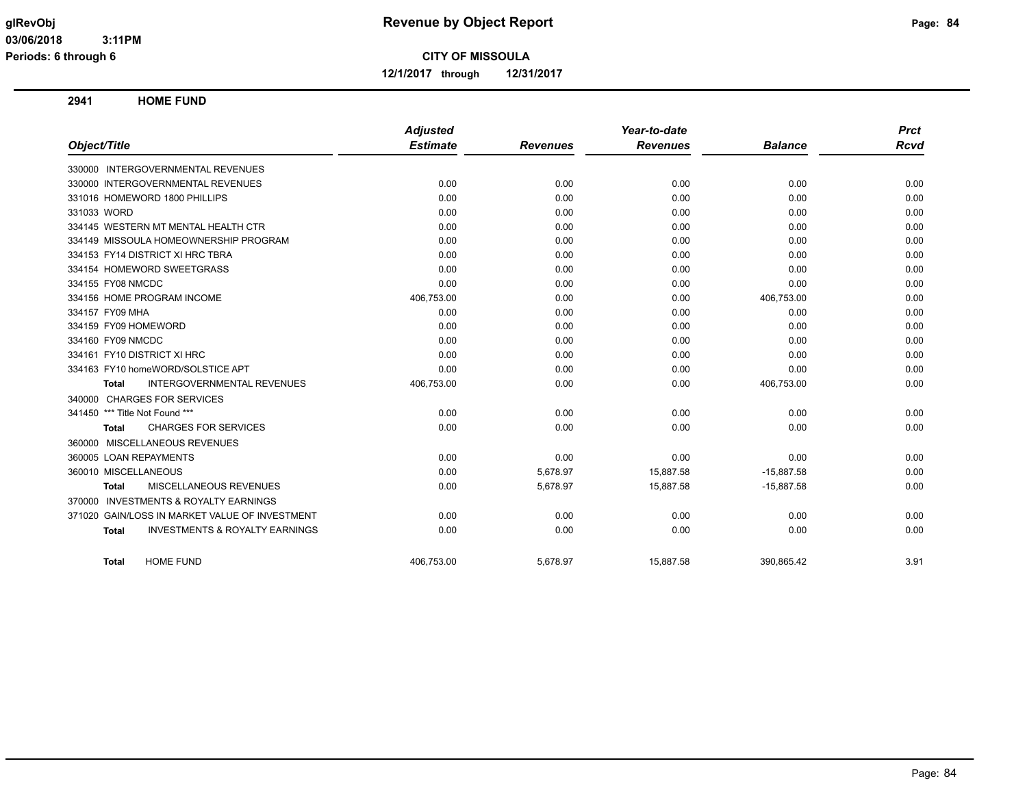**12/1/2017 through 12/31/2017**

**2941 HOME FUND**

|                                                           | <b>Adjusted</b> |                 | Year-to-date    |                | <b>Prct</b> |
|-----------------------------------------------------------|-----------------|-----------------|-----------------|----------------|-------------|
| Object/Title                                              | <b>Estimate</b> | <b>Revenues</b> | <b>Revenues</b> | <b>Balance</b> | <b>Rcvd</b> |
| 330000 INTERGOVERNMENTAL REVENUES                         |                 |                 |                 |                |             |
| 330000 INTERGOVERNMENTAL REVENUES                         | 0.00            | 0.00            | 0.00            | 0.00           | 0.00        |
| 331016 HOMEWORD 1800 PHILLIPS                             | 0.00            | 0.00            | 0.00            | 0.00           | 0.00        |
| 331033 WORD                                               | 0.00            | 0.00            | 0.00            | 0.00           | 0.00        |
| 334145 WESTERN MT MENTAL HEALTH CTR                       | 0.00            | 0.00            | 0.00            | 0.00           | 0.00        |
| 334149 MISSOULA HOMEOWNERSHIP PROGRAM                     | 0.00            | 0.00            | 0.00            | 0.00           | 0.00        |
| 334153 FY14 DISTRICT XI HRC TBRA                          | 0.00            | 0.00            | 0.00            | 0.00           | 0.00        |
| 334154 HOMEWORD SWEETGRASS                                | 0.00            | 0.00            | 0.00            | 0.00           | 0.00        |
| 334155 FY08 NMCDC                                         | 0.00            | 0.00            | 0.00            | 0.00           | 0.00        |
| 334156 HOME PROGRAM INCOME                                | 406,753.00      | 0.00            | 0.00            | 406,753.00     | 0.00        |
| 334157 FY09 MHA                                           | 0.00            | 0.00            | 0.00            | 0.00           | 0.00        |
| 334159 FY09 HOMEWORD                                      | 0.00            | 0.00            | 0.00            | 0.00           | 0.00        |
| 334160 FY09 NMCDC                                         | 0.00            | 0.00            | 0.00            | 0.00           | 0.00        |
| 334161 FY10 DISTRICT XI HRC                               | 0.00            | 0.00            | 0.00            | 0.00           | 0.00        |
| 334163 FY10 homeWORD/SOLSTICE APT                         | 0.00            | 0.00            | 0.00            | 0.00           | 0.00        |
| <b>INTERGOVERNMENTAL REVENUES</b><br><b>Total</b>         | 406,753.00      | 0.00            | 0.00            | 406,753.00     | 0.00        |
| 340000 CHARGES FOR SERVICES                               |                 |                 |                 |                |             |
| 341450 *** Title Not Found ***                            | 0.00            | 0.00            | 0.00            | 0.00           | 0.00        |
| <b>CHARGES FOR SERVICES</b><br><b>Total</b>               | 0.00            | 0.00            | 0.00            | 0.00           | 0.00        |
| MISCELLANEOUS REVENUES<br>360000                          |                 |                 |                 |                |             |
| 360005 LOAN REPAYMENTS                                    | 0.00            | 0.00            | 0.00            | 0.00           | 0.00        |
| 360010 MISCELLANEOUS                                      | 0.00            | 5,678.97        | 15,887.58       | $-15,887.58$   | 0.00        |
| <b>MISCELLANEOUS REVENUES</b><br>Total                    | 0.00            | 5,678.97        | 15,887.58       | $-15,887.58$   | 0.00        |
| <b>INVESTMENTS &amp; ROYALTY EARNINGS</b><br>370000       |                 |                 |                 |                |             |
| 371020 GAIN/LOSS IN MARKET VALUE OF INVESTMENT            | 0.00            | 0.00            | 0.00            | 0.00           | 0.00        |
| <b>INVESTMENTS &amp; ROYALTY EARNINGS</b><br><b>Total</b> | 0.00            | 0.00            | 0.00            | 0.00           | 0.00        |
| <b>HOME FUND</b><br><b>Total</b>                          | 406.753.00      | 5.678.97        | 15.887.58       | 390.865.42     | 3.91        |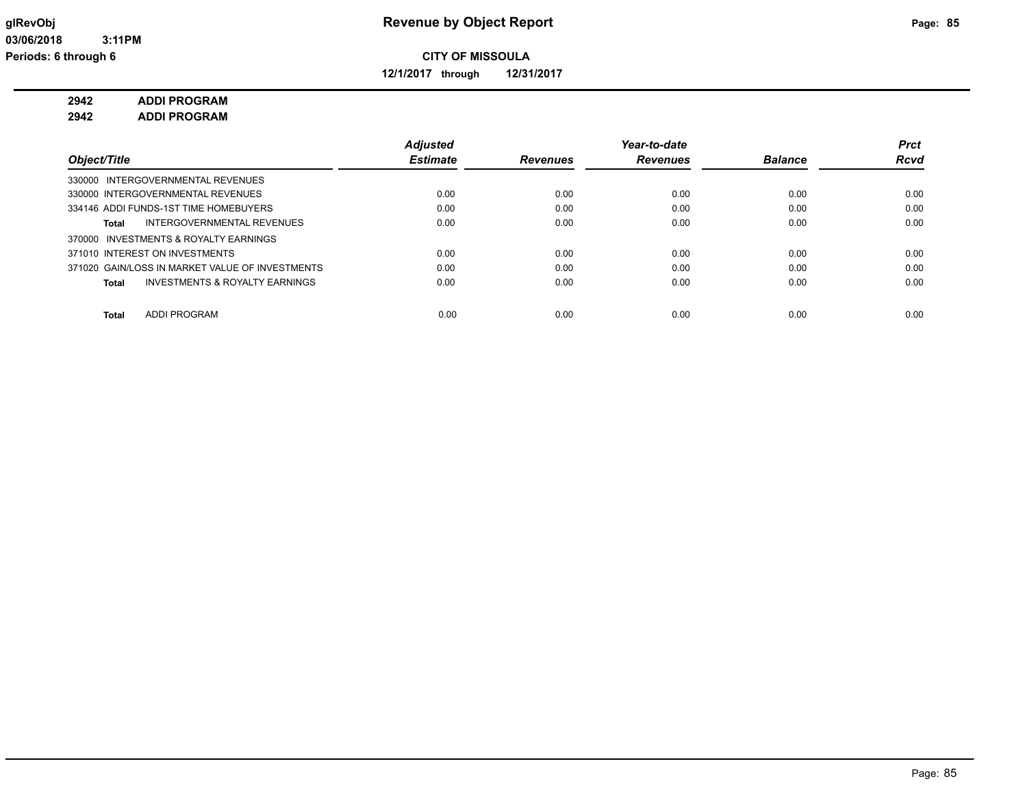**12/1/2017 through 12/31/2017**

### **2942 ADDI PROGRAM**

**2942 ADDI PROGRAM**

|                                                 | <b>Adjusted</b> |                 | Year-to-date    |                | Prct        |
|-------------------------------------------------|-----------------|-----------------|-----------------|----------------|-------------|
| Object/Title                                    | <b>Estimate</b> | <b>Revenues</b> | <b>Revenues</b> | <b>Balance</b> | <b>Rcvd</b> |
| 330000 INTERGOVERNMENTAL REVENUES               |                 |                 |                 |                |             |
| 330000 INTERGOVERNMENTAL REVENUES               | 0.00            | 0.00            | 0.00            | 0.00           | 0.00        |
| 334146 ADDI FUNDS-1ST TIME HOMEBUYERS           | 0.00            | 0.00            | 0.00            | 0.00           | 0.00        |
| INTERGOVERNMENTAL REVENUES<br>Total             | 0.00            | 0.00            | 0.00            | 0.00           | 0.00        |
| 370000 INVESTMENTS & ROYALTY EARNINGS           |                 |                 |                 |                |             |
| 371010 INTEREST ON INVESTMENTS                  | 0.00            | 0.00            | 0.00            | 0.00           | 0.00        |
| 371020 GAIN/LOSS IN MARKET VALUE OF INVESTMENTS | 0.00            | 0.00            | 0.00            | 0.00           | 0.00        |
| INVESTMENTS & ROYALTY EARNINGS<br>Total         | 0.00            | 0.00            | 0.00            | 0.00           | 0.00        |
|                                                 |                 |                 |                 |                |             |
| <b>ADDI PROGRAM</b><br><b>Total</b>             | 0.00            | 0.00            | 0.00            | 0.00           | 0.00        |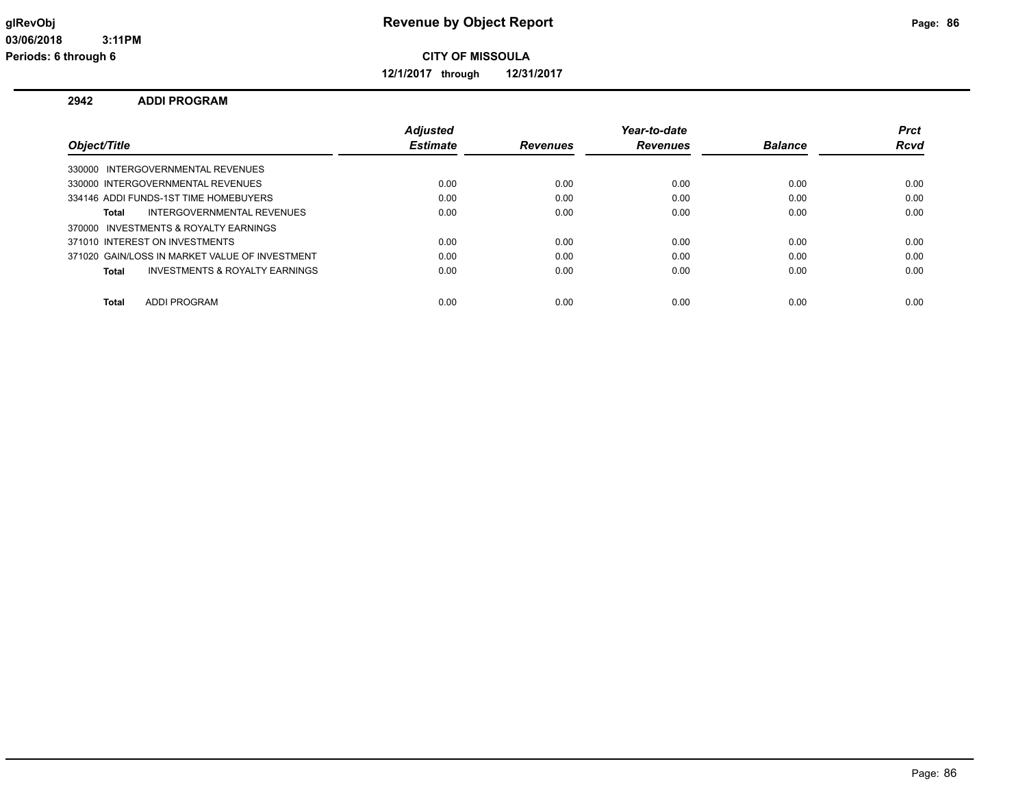**12/1/2017 through 12/31/2017**

#### **2942 ADDI PROGRAM**

|                                                | Adjusted        |                 | Year-to-date    |                | <b>Prct</b> |
|------------------------------------------------|-----------------|-----------------|-----------------|----------------|-------------|
| Object/Title                                   | <b>Estimate</b> | <b>Revenues</b> | <b>Revenues</b> | <b>Balance</b> | Rcvd        |
| 330000 INTERGOVERNMENTAL REVENUES              |                 |                 |                 |                |             |
| 330000 INTERGOVERNMENTAL REVENUES              | 0.00            | 0.00            | 0.00            | 0.00           | 0.00        |
| 334146 ADDI FUNDS-1ST TIME HOMEBUYERS          | 0.00            | 0.00            | 0.00            | 0.00           | 0.00        |
| <b>INTERGOVERNMENTAL REVENUES</b><br>Total     | 0.00            | 0.00            | 0.00            | 0.00           | 0.00        |
| 370000 INVESTMENTS & ROYALTY EARNINGS          |                 |                 |                 |                |             |
| 371010 INTEREST ON INVESTMENTS                 | 0.00            | 0.00            | 0.00            | 0.00           | 0.00        |
| 371020 GAIN/LOSS IN MARKET VALUE OF INVESTMENT | 0.00            | 0.00            | 0.00            | 0.00           | 0.00        |
| INVESTMENTS & ROYALTY EARNINGS<br>Total        | 0.00            | 0.00            | 0.00            | 0.00           | 0.00        |
|                                                |                 |                 |                 |                |             |
| ADDI PROGRAM<br>Total                          | 0.00            | 0.00            | 0.00            | 0.00           | 0.00        |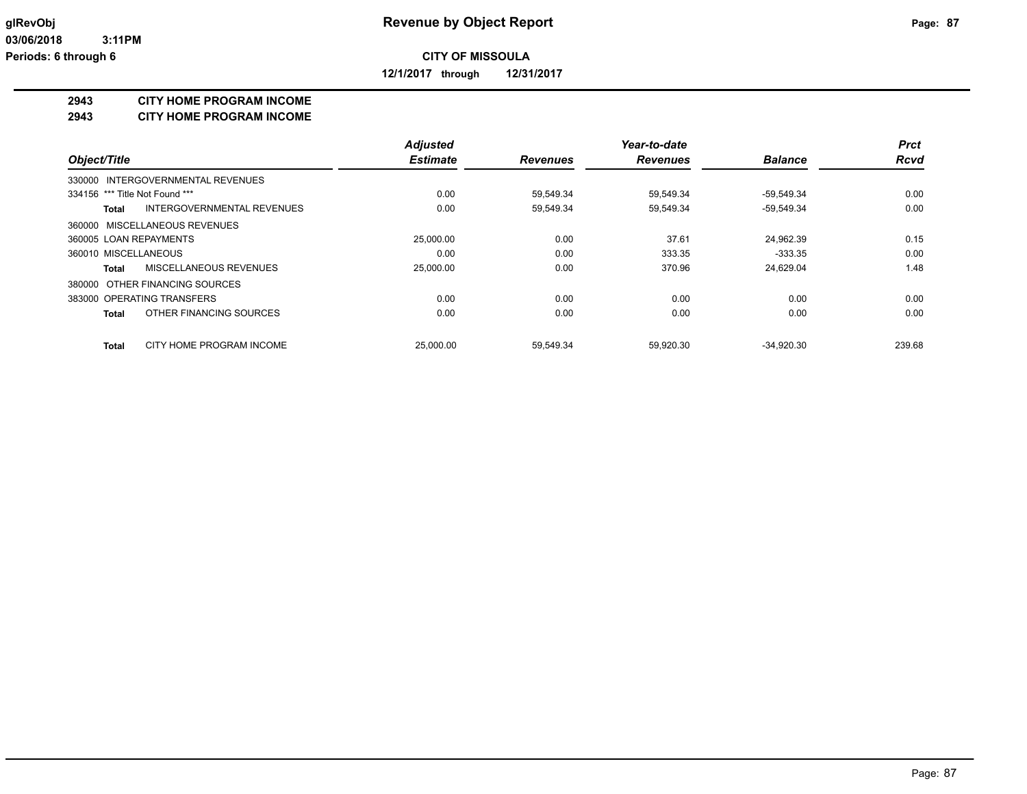**12/1/2017 through 12/31/2017**

#### **2943 CITY HOME PROGRAM INCOME**

**2943 CITY HOME PROGRAM INCOME**

|                                          | <b>Adjusted</b> |                 | Year-to-date    |                | <b>Prct</b> |
|------------------------------------------|-----------------|-----------------|-----------------|----------------|-------------|
| Object/Title                             | <b>Estimate</b> | <b>Revenues</b> | <b>Revenues</b> | <b>Balance</b> | <b>Rcvd</b> |
| 330000 INTERGOVERNMENTAL REVENUES        |                 |                 |                 |                |             |
| 334156 *** Title Not Found ***           | 0.00            | 59,549.34       | 59,549.34       | $-59,549.34$   | 0.00        |
| INTERGOVERNMENTAL REVENUES<br>Total      | 0.00            | 59,549.34       | 59,549.34       | $-59,549.34$   | 0.00        |
| 360000 MISCELLANEOUS REVENUES            |                 |                 |                 |                |             |
| 360005 LOAN REPAYMENTS                   | 25,000.00       | 0.00            | 37.61           | 24,962.39      | 0.15        |
| 360010 MISCELLANEOUS                     | 0.00            | 0.00            | 333.35          | $-333.35$      | 0.00        |
| MISCELLANEOUS REVENUES<br>Total          | 25,000.00       | 0.00            | 370.96          | 24,629.04      | 1.48        |
| 380000 OTHER FINANCING SOURCES           |                 |                 |                 |                |             |
| 383000 OPERATING TRANSFERS               | 0.00            | 0.00            | 0.00            | 0.00           | 0.00        |
| OTHER FINANCING SOURCES<br><b>Total</b>  | 0.00            | 0.00            | 0.00            | 0.00           | 0.00        |
| CITY HOME PROGRAM INCOME<br><b>Total</b> | 25.000.00       | 59.549.34       | 59.920.30       | $-34.920.30$   | 239.68      |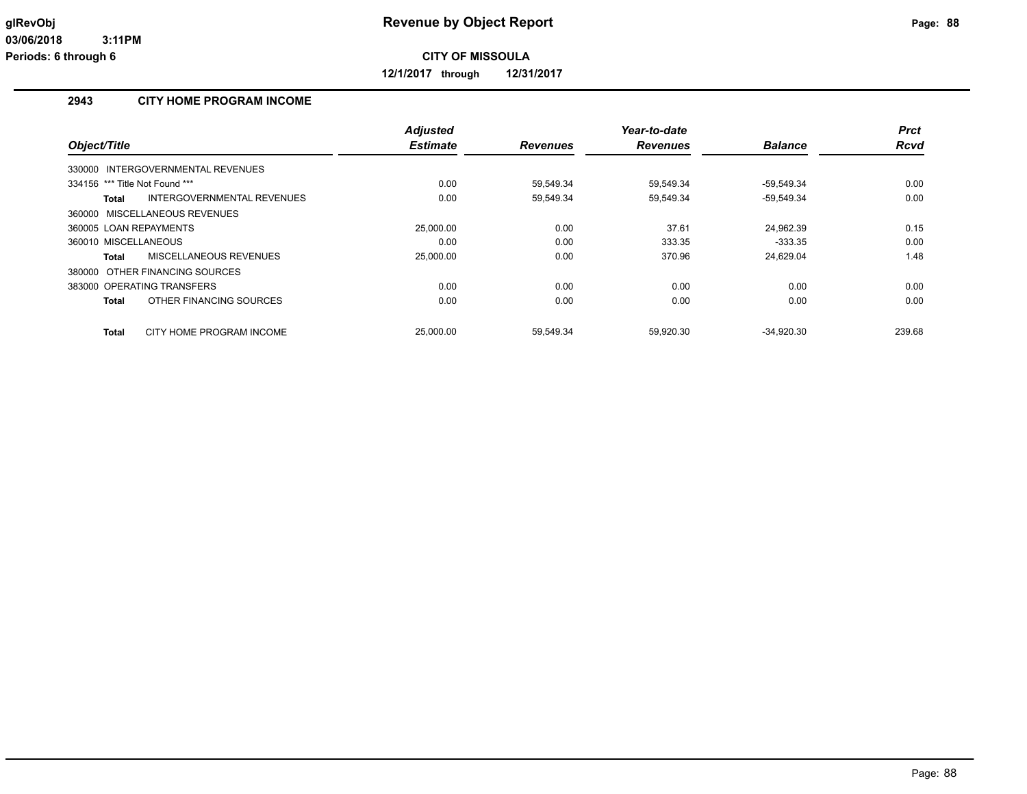**12/1/2017 through 12/31/2017**

#### **2943 CITY HOME PROGRAM INCOME**

|                                |                                   | <b>Adjusted</b> |                 | Year-to-date    |                | <b>Prct</b> |
|--------------------------------|-----------------------------------|-----------------|-----------------|-----------------|----------------|-------------|
| Object/Title                   |                                   | <b>Estimate</b> | <b>Revenues</b> | <b>Revenues</b> | <b>Balance</b> | <b>Rcvd</b> |
|                                | 330000 INTERGOVERNMENTAL REVENUES |                 |                 |                 |                |             |
| 334156 *** Title Not Found *** |                                   | 0.00            | 59.549.34       | 59.549.34       | -59.549.34     | 0.00        |
| <b>Total</b>                   | INTERGOVERNMENTAL REVENUES        | 0.00            | 59,549.34       | 59,549.34       | $-59,549.34$   | 0.00        |
| 360000 MISCELLANEOUS REVENUES  |                                   |                 |                 |                 |                |             |
| 360005 LOAN REPAYMENTS         |                                   | 25,000.00       | 0.00            | 37.61           | 24.962.39      | 0.15        |
| 360010 MISCELLANEOUS           |                                   | 0.00            | 0.00            | 333.35          | $-333.35$      | 0.00        |
| <b>Total</b>                   | MISCELLANEOUS REVENUES            | 25,000.00       | 0.00            | 370.96          | 24,629.04      | 1.48        |
| 380000 OTHER FINANCING SOURCES |                                   |                 |                 |                 |                |             |
| 383000 OPERATING TRANSFERS     |                                   | 0.00            | 0.00            | 0.00            | 0.00           | 0.00        |
| <b>Total</b>                   | OTHER FINANCING SOURCES           | 0.00            | 0.00            | 0.00            | 0.00           | 0.00        |
| <b>Total</b>                   | CITY HOME PROGRAM INCOME          | 25,000.00       | 59.549.34       | 59.920.30       | $-34.920.30$   | 239.68      |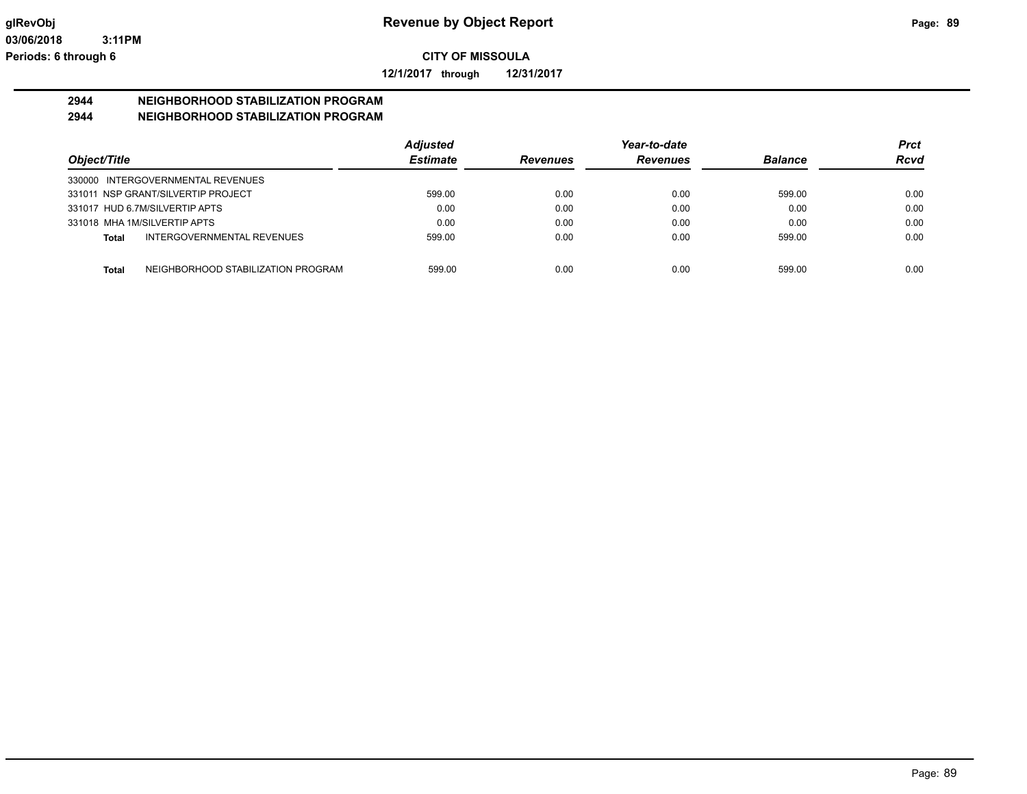**12/1/2017 through 12/31/2017**

#### **2944 NEIGHBORHOOD STABILIZATION PROGRAM 2944 NEIGHBORHOOD STABILIZATION PROGRAM**

|              |                                    | <b>Adjusted</b> |                 | Year-to-date    |                | <b>Prct</b> |
|--------------|------------------------------------|-----------------|-----------------|-----------------|----------------|-------------|
| Object/Title |                                    | <b>Estimate</b> | <b>Revenues</b> | <b>Revenues</b> | <b>Balance</b> | <b>Rcvd</b> |
|              | 330000 INTERGOVERNMENTAL REVENUES  |                 |                 |                 |                |             |
|              | 331011 NSP GRANT/SILVERTIP PROJECT | 599.00          | 0.00            | 0.00            | 599.00         | 0.00        |
|              | 331017 HUD 6.7M/SILVERTIP APTS     | 0.00            | 0.00            | 0.00            | 0.00           | 0.00        |
|              | 331018 MHA 1M/SILVERTIP APTS       | 0.00            | 0.00            | 0.00            | 0.00           | 0.00        |
| Total        | INTERGOVERNMENTAL REVENUES         | 599.00          | 0.00            | 0.00            | 599.00         | 0.00        |
|              |                                    |                 |                 |                 |                |             |
| Total        | NEIGHBORHOOD STABILIZATION PROGRAM | 599.00          | 0.00            | 0.00            | 599.00         | 0.00        |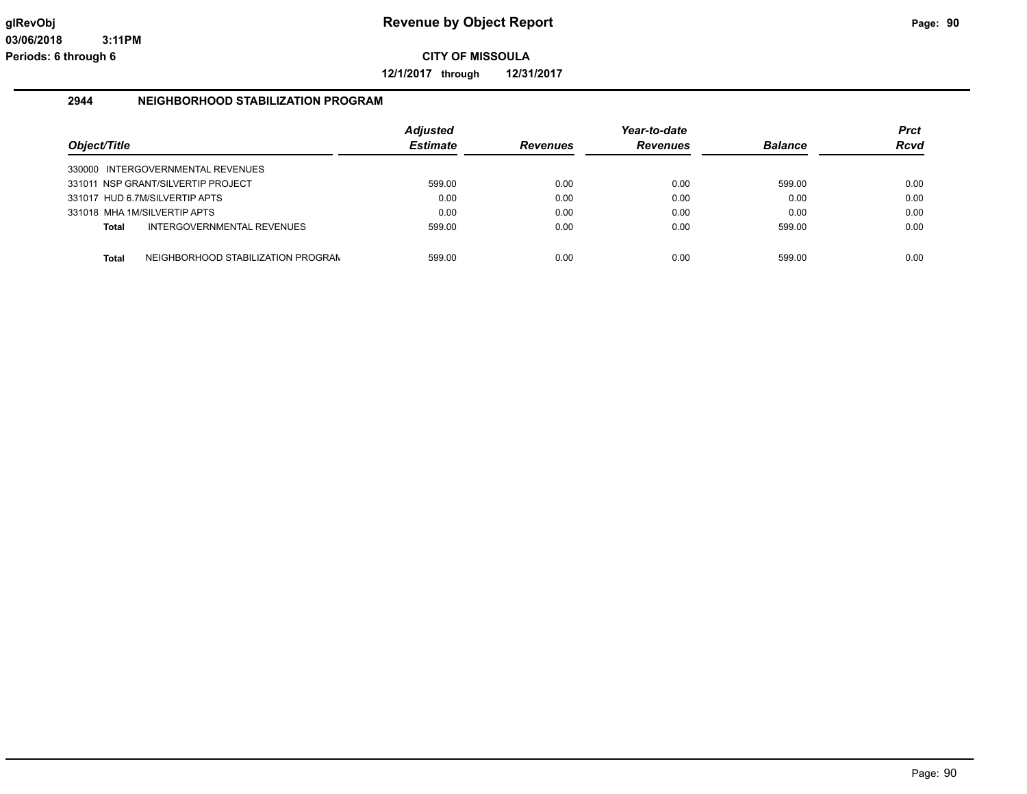**12/1/2017 through 12/31/2017**

#### **2944 NEIGHBORHOOD STABILIZATION PROGRAM**

| Object/Title |                                    | <b>Adjusted</b><br><b>Estimate</b> | <b>Revenues</b> | Year-to-date<br><b>Revenues</b> | <b>Balance</b> | <b>Prct</b><br><b>Rcvd</b> |
|--------------|------------------------------------|------------------------------------|-----------------|---------------------------------|----------------|----------------------------|
|              | 330000 INTERGOVERNMENTAL REVENUES  |                                    |                 |                                 |                |                            |
|              | 331011 NSP GRANT/SILVERTIP PROJECT | 599.00                             | 0.00            | 0.00                            | 599.00         | 0.00                       |
|              | 331017 HUD 6.7M/SILVERTIP APTS     | 0.00                               | 0.00            | 0.00                            | 0.00           | 0.00                       |
|              | 331018 MHA 1M/SILVERTIP APTS       | 0.00                               | 0.00            | 0.00                            | 0.00           | 0.00                       |
| <b>Total</b> | INTERGOVERNMENTAL REVENUES         | 599.00                             | 0.00            | 0.00                            | 599.00         | 0.00                       |
| <b>Total</b> | NEIGHBORHOOD STABILIZATION PROGRAN | 599.00                             | 0.00            | 0.00                            | 599.00         | 0.00                       |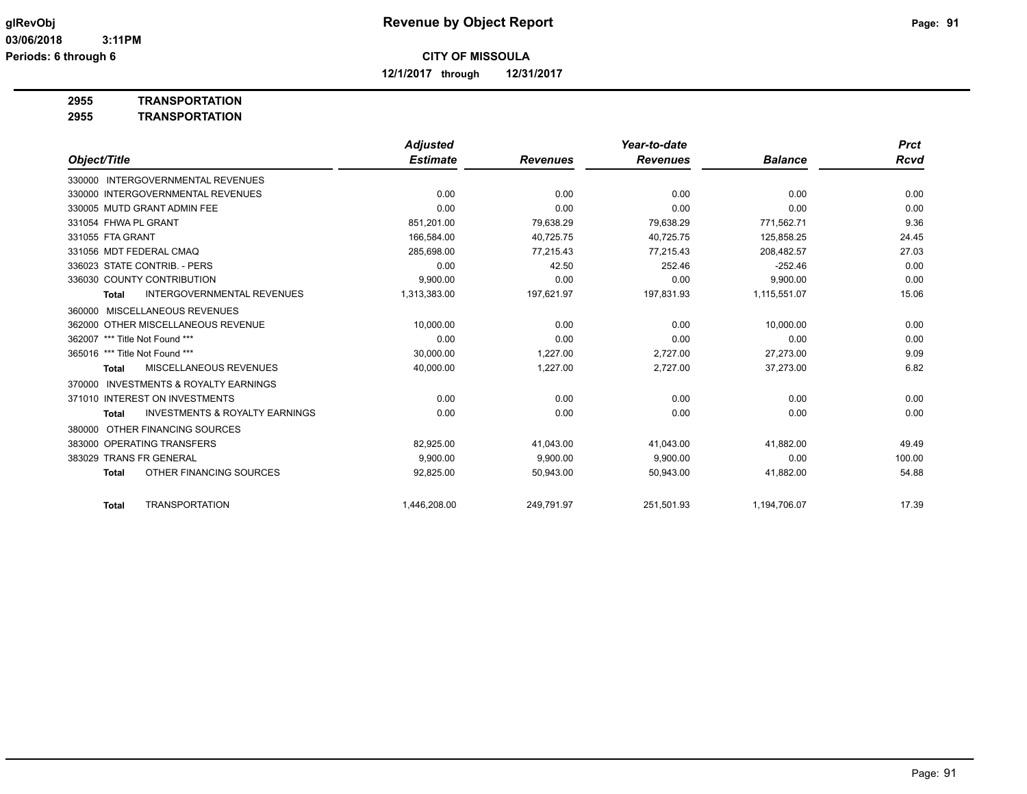**12/1/2017 through 12/31/2017**

**2955 TRANSPORTATION**

**2955 TRANSPORTATION**

|                                                           | <b>Adjusted</b> |                 | Year-to-date    |                | <b>Prct</b> |
|-----------------------------------------------------------|-----------------|-----------------|-----------------|----------------|-------------|
| Object/Title                                              | <b>Estimate</b> | <b>Revenues</b> | <b>Revenues</b> | <b>Balance</b> | <b>Rcvd</b> |
| 330000 INTERGOVERNMENTAL REVENUES                         |                 |                 |                 |                |             |
| 330000 INTERGOVERNMENTAL REVENUES                         | 0.00            | 0.00            | 0.00            | 0.00           | 0.00        |
| 330005 MUTD GRANT ADMIN FEE                               | 0.00            | 0.00            | 0.00            | 0.00           | 0.00        |
| 331054 FHWA PL GRANT                                      | 851,201.00      | 79,638.29       | 79,638.29       | 771,562.71     | 9.36        |
| 331055 FTA GRANT                                          | 166.584.00      | 40,725.75       | 40.725.75       | 125,858.25     | 24.45       |
| 331056 MDT FEDERAL CMAQ                                   | 285,698.00      | 77,215.43       | 77.215.43       | 208.482.57     | 27.03       |
| 336023 STATE CONTRIB. - PERS                              | 0.00            | 42.50           | 252.46          | $-252.46$      | 0.00        |
| 336030 COUNTY CONTRIBUTION                                | 9,900.00        | 0.00            | 0.00            | 9,900.00       | 0.00        |
| <b>INTERGOVERNMENTAL REVENUES</b><br><b>Total</b>         | 1,313,383.00    | 197,621.97      | 197,831.93      | 1,115,551.07   | 15.06       |
| MISCELLANEOUS REVENUES<br>360000                          |                 |                 |                 |                |             |
| 362000 OTHER MISCELLANEOUS REVENUE                        | 10,000.00       | 0.00            | 0.00            | 10,000.00      | 0.00        |
| 362007 *** Title Not Found ***                            | 0.00            | 0.00            | 0.00            | 0.00           | 0.00        |
| 365016 *** Title Not Found ***                            | 30,000.00       | 1,227.00        | 2,727.00        | 27,273.00      | 9.09        |
| <b>MISCELLANEOUS REVENUES</b><br><b>Total</b>             | 40,000.00       | 1,227.00        | 2,727.00        | 37,273.00      | 6.82        |
| <b>INVESTMENTS &amp; ROYALTY EARNINGS</b><br>370000       |                 |                 |                 |                |             |
| 371010 INTEREST ON INVESTMENTS                            | 0.00            | 0.00            | 0.00            | 0.00           | 0.00        |
| <b>INVESTMENTS &amp; ROYALTY EARNINGS</b><br><b>Total</b> | 0.00            | 0.00            | 0.00            | 0.00           | 0.00        |
| OTHER FINANCING SOURCES<br>380000                         |                 |                 |                 |                |             |
| 383000 OPERATING TRANSFERS                                | 82,925.00       | 41,043.00       | 41,043.00       | 41,882.00      | 49.49       |
| 383029 TRANS FR GENERAL                                   | 9.900.00        | 9,900.00        | 9,900.00        | 0.00           | 100.00      |
| OTHER FINANCING SOURCES<br><b>Total</b>                   | 92,825.00       | 50,943.00       | 50,943.00       | 41,882.00      | 54.88       |
| <b>TRANSPORTATION</b><br>Total                            | 1,446,208.00    | 249,791.97      | 251,501.93      | 1,194,706.07   | 17.39       |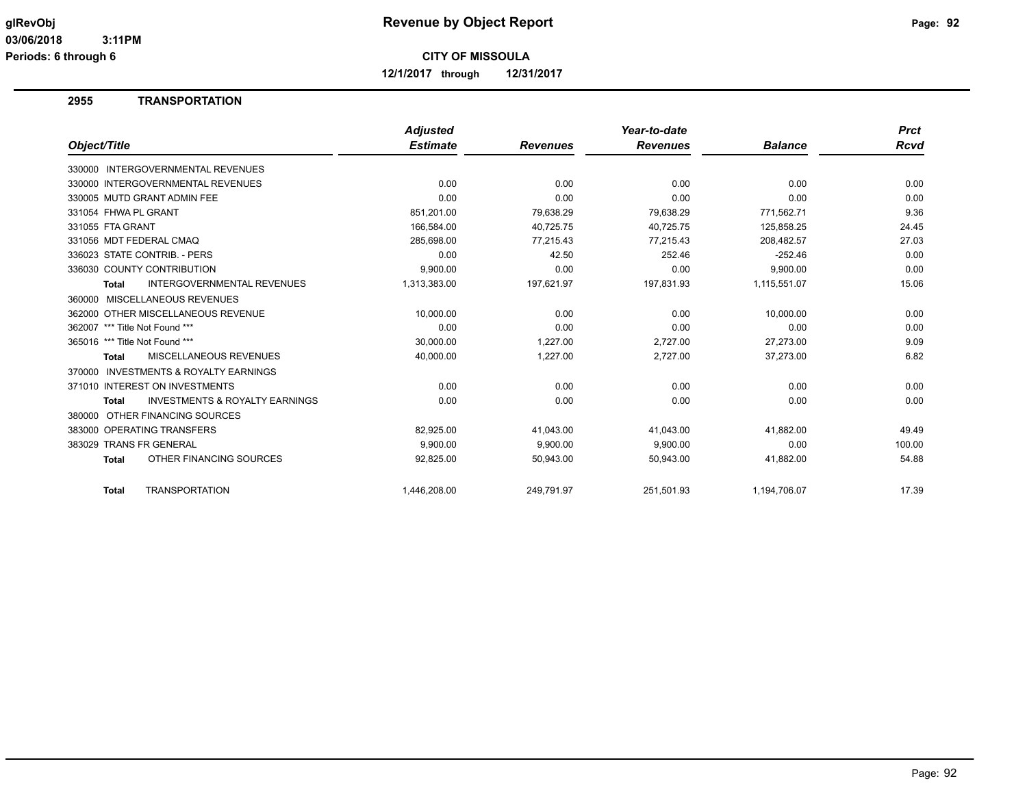**12/1/2017 through 12/31/2017**

#### **2955 TRANSPORTATION**

|                                                           | <b>Adjusted</b> |                 | Year-to-date    |                | <b>Prct</b> |
|-----------------------------------------------------------|-----------------|-----------------|-----------------|----------------|-------------|
| Object/Title                                              | <b>Estimate</b> | <b>Revenues</b> | <b>Revenues</b> | <b>Balance</b> | <b>Rcvd</b> |
| 330000 INTERGOVERNMENTAL REVENUES                         |                 |                 |                 |                |             |
| 330000 INTERGOVERNMENTAL REVENUES                         | 0.00            | 0.00            | 0.00            | 0.00           | 0.00        |
| 330005 MUTD GRANT ADMIN FEE                               | 0.00            | 0.00            | 0.00            | 0.00           | 0.00        |
| 331054 FHWA PL GRANT                                      | 851.201.00      | 79.638.29       | 79.638.29       | 771.562.71     | 9.36        |
| 331055 FTA GRANT                                          | 166,584.00      | 40,725.75       | 40,725.75       | 125,858.25     | 24.45       |
| 331056 MDT FEDERAL CMAQ                                   | 285,698.00      | 77,215.43       | 77,215.43       | 208,482.57     | 27.03       |
| 336023 STATE CONTRIB. - PERS                              | 0.00            | 42.50           | 252.46          | $-252.46$      | 0.00        |
| 336030 COUNTY CONTRIBUTION                                | 9.900.00        | 0.00            | 0.00            | 9,900.00       | 0.00        |
| <b>INTERGOVERNMENTAL REVENUES</b><br><b>Total</b>         | 1,313,383.00    | 197,621.97      | 197,831.93      | 1,115,551.07   | 15.06       |
| 360000 MISCELLANEOUS REVENUES                             |                 |                 |                 |                |             |
| 362000 OTHER MISCELLANEOUS REVENUE                        | 10,000.00       | 0.00            | 0.00            | 10,000.00      | 0.00        |
| 362007 *** Title Not Found ***                            | 0.00            | 0.00            | 0.00            | 0.00           | 0.00        |
| 365016 *** Title Not Found ***                            | 30,000.00       | 1,227.00        | 2,727.00        | 27,273.00      | 9.09        |
| <b>MISCELLANEOUS REVENUES</b><br><b>Total</b>             | 40,000.00       | 1,227.00        | 2,727.00        | 37,273.00      | 6.82        |
| INVESTMENTS & ROYALTY EARNINGS<br>370000                  |                 |                 |                 |                |             |
| 371010 INTEREST ON INVESTMENTS                            | 0.00            | 0.00            | 0.00            | 0.00           | 0.00        |
| <b>INVESTMENTS &amp; ROYALTY EARNINGS</b><br><b>Total</b> | 0.00            | 0.00            | 0.00            | 0.00           | 0.00        |
| OTHER FINANCING SOURCES<br>380000                         |                 |                 |                 |                |             |
| 383000 OPERATING TRANSFERS                                | 82,925.00       | 41,043.00       | 41,043.00       | 41,882.00      | 49.49       |
| 383029 TRANS FR GENERAL                                   | 9.900.00        | 9,900.00        | 9,900.00        | 0.00           | 100.00      |
| OTHER FINANCING SOURCES<br><b>Total</b>                   | 92,825.00       | 50,943.00       | 50,943.00       | 41,882.00      | 54.88       |
|                                                           |                 |                 |                 |                |             |
| <b>TRANSPORTATION</b><br><b>Total</b>                     | 1,446,208.00    | 249,791.97      | 251,501.93      | 1,194,706.07   | 17.39       |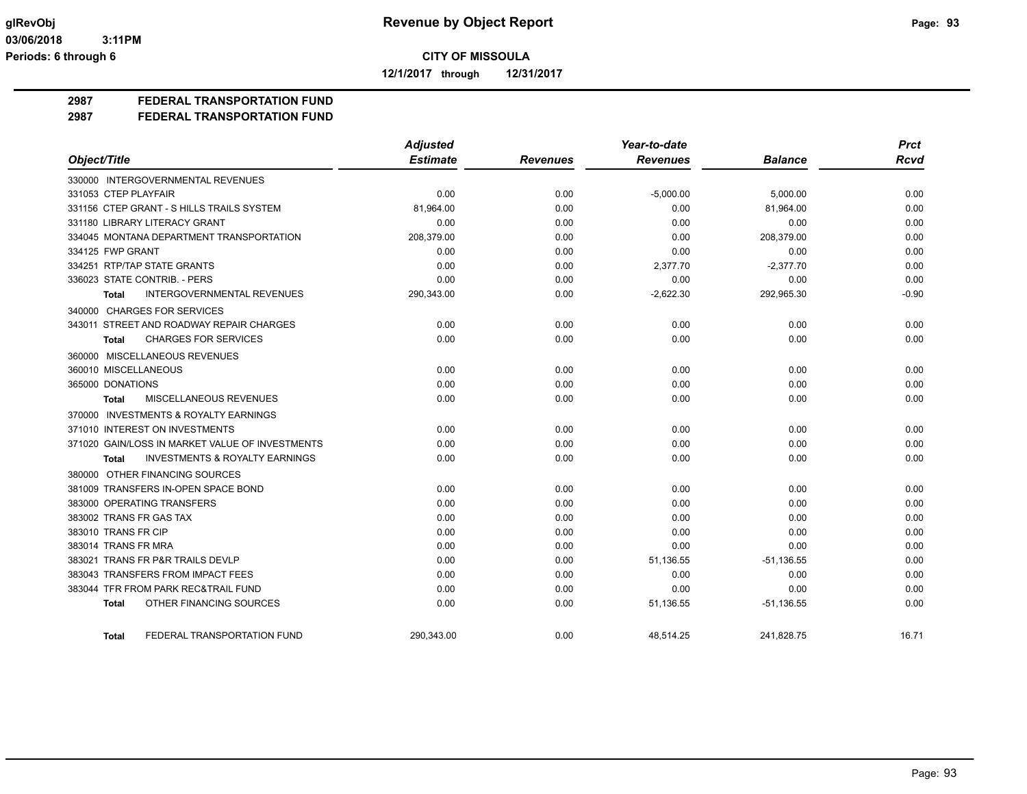**12/1/2017 through 12/31/2017**

## **2987 FEDERAL TRANSPORTATION FUND**

**2987 FEDERAL TRANSPORTATION FUND**

|                                                    | <b>Adjusted</b> |                 | Year-to-date    |                | <b>Prct</b> |
|----------------------------------------------------|-----------------|-----------------|-----------------|----------------|-------------|
| Object/Title                                       | <b>Estimate</b> | <b>Revenues</b> | <b>Revenues</b> | <b>Balance</b> | <b>Rcvd</b> |
| 330000 INTERGOVERNMENTAL REVENUES                  |                 |                 |                 |                |             |
| 331053 CTEP PLAYFAIR                               | 0.00            | 0.00            | $-5,000.00$     | 5,000.00       | 0.00        |
| 331156 CTEP GRANT - S HILLS TRAILS SYSTEM          | 81,964.00       | 0.00            | 0.00            | 81,964.00      | 0.00        |
| 331180 LIBRARY LITERACY GRANT                      | 0.00            | 0.00            | 0.00            | 0.00           | 0.00        |
| 334045 MONTANA DEPARTMENT TRANSPORTATION           | 208,379.00      | 0.00            | 0.00            | 208,379.00     | 0.00        |
| 334125 FWP GRANT                                   | 0.00            | 0.00            | 0.00            | 0.00           | 0.00        |
| 334251 RTP/TAP STATE GRANTS                        | 0.00            | 0.00            | 2,377.70        | $-2,377.70$    | 0.00        |
| 336023 STATE CONTRIB. - PERS                       | 0.00            | 0.00            | 0.00            | 0.00           | 0.00        |
| INTERGOVERNMENTAL REVENUES<br><b>Total</b>         | 290,343.00      | 0.00            | $-2,622.30$     | 292,965.30     | $-0.90$     |
| 340000 CHARGES FOR SERVICES                        |                 |                 |                 |                |             |
| 343011 STREET AND ROADWAY REPAIR CHARGES           | 0.00            | 0.00            | 0.00            | 0.00           | 0.00        |
| <b>CHARGES FOR SERVICES</b><br><b>Total</b>        | 0.00            | 0.00            | 0.00            | 0.00           | 0.00        |
| 360000 MISCELLANEOUS REVENUES                      |                 |                 |                 |                |             |
| 360010 MISCELLANEOUS                               | 0.00            | 0.00            | 0.00            | 0.00           | 0.00        |
| 365000 DONATIONS                                   | 0.00            | 0.00            | 0.00            | 0.00           | 0.00        |
| <b>MISCELLANEOUS REVENUES</b><br><b>Total</b>      | 0.00            | 0.00            | 0.00            | 0.00           | 0.00        |
| 370000 INVESTMENTS & ROYALTY EARNINGS              |                 |                 |                 |                |             |
| 371010 INTEREST ON INVESTMENTS                     | 0.00            | 0.00            | 0.00            | 0.00           | 0.00        |
| 371020 GAIN/LOSS IN MARKET VALUE OF INVESTMENTS    | 0.00            | 0.00            | 0.00            | 0.00           | 0.00        |
| <b>INVESTMENTS &amp; ROYALTY EARNINGS</b><br>Total | 0.00            | 0.00            | 0.00            | 0.00           | 0.00        |
| 380000 OTHER FINANCING SOURCES                     |                 |                 |                 |                |             |
| 381009 TRANSFERS IN-OPEN SPACE BOND                | 0.00            | 0.00            | 0.00            | 0.00           | 0.00        |
| 383000 OPERATING TRANSFERS                         | 0.00            | 0.00            | 0.00            | 0.00           | 0.00        |
| 383002 TRANS FR GAS TAX                            | 0.00            | 0.00            | 0.00            | 0.00           | 0.00        |
| 383010 TRANS FR CIP                                | 0.00            | 0.00            | 0.00            | 0.00           | 0.00        |
| 383014 TRANS FR MRA                                | 0.00            | 0.00            | 0.00            | 0.00           | 0.00        |
| 383021 TRANS FR P&R TRAILS DEVLP                   | 0.00            | 0.00            | 51,136.55       | $-51,136.55$   | 0.00        |
| 383043 TRANSFERS FROM IMPACT FEES                  | 0.00            | 0.00            | 0.00            | 0.00           | 0.00        |
| 383044 TFR FROM PARK REC&TRAIL FUND                | 0.00            | 0.00            | 0.00            | 0.00           | 0.00        |
| OTHER FINANCING SOURCES<br><b>Total</b>            | 0.00            | 0.00            | 51,136.55       | $-51,136.55$   | 0.00        |
| FEDERAL TRANSPORTATION FUND<br><b>Total</b>        | 290.343.00      | 0.00            | 48.514.25       | 241.828.75     | 16.71       |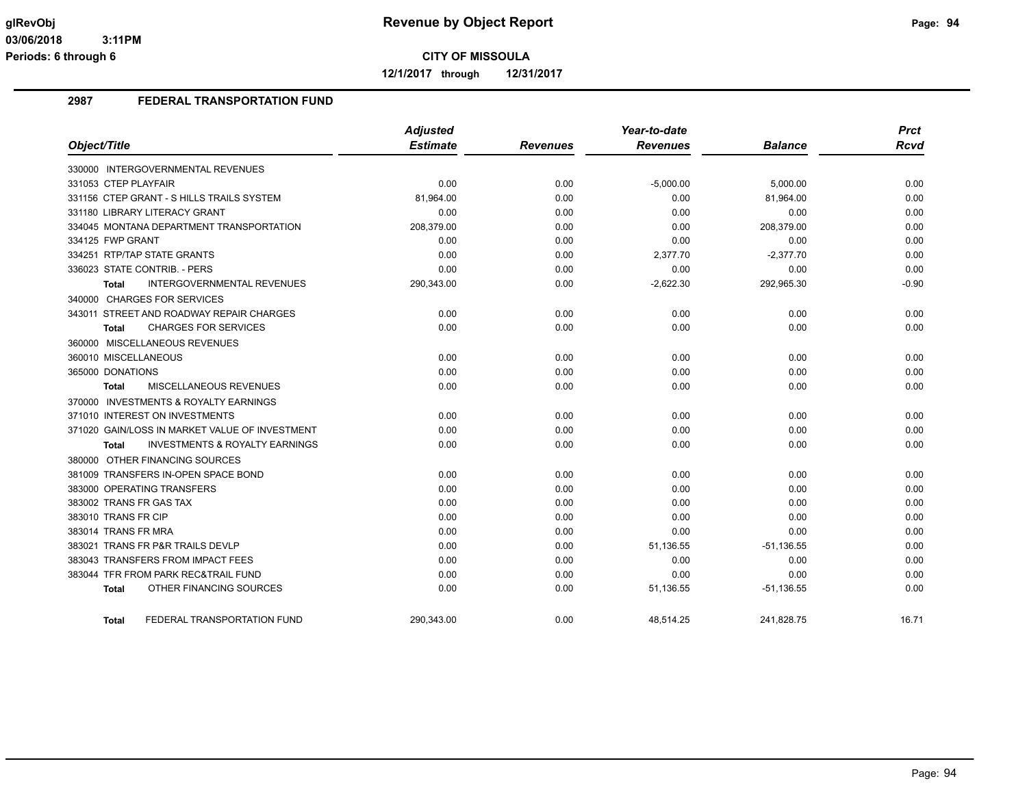**12/1/2017 through 12/31/2017**

#### **2987 FEDERAL TRANSPORTATION FUND**

|                                                           | <b>Adjusted</b><br><b>Estimate</b> |                 | Year-to-date<br><b>Revenues</b> | <b>Balance</b> | <b>Prct</b><br><b>Rcvd</b> |
|-----------------------------------------------------------|------------------------------------|-----------------|---------------------------------|----------------|----------------------------|
| Object/Title                                              |                                    | <b>Revenues</b> |                                 |                |                            |
| 330000 INTERGOVERNMENTAL REVENUES                         |                                    |                 |                                 |                |                            |
| 331053 CTEP PLAYFAIR                                      | 0.00                               | 0.00            | $-5,000.00$                     | 5,000.00       | 0.00                       |
| 331156 CTEP GRANT - S HILLS TRAILS SYSTEM                 | 81,964.00                          | 0.00            | 0.00                            | 81,964.00      | 0.00                       |
| 331180 LIBRARY LITERACY GRANT                             | 0.00                               | 0.00            | 0.00                            | 0.00           | 0.00                       |
| 334045 MONTANA DEPARTMENT TRANSPORTATION                  | 208,379.00                         | 0.00            | 0.00                            | 208,379.00     | 0.00                       |
| 334125 FWP GRANT                                          | 0.00                               | 0.00            | 0.00                            | 0.00           | 0.00                       |
| 334251 RTP/TAP STATE GRANTS                               | 0.00                               | 0.00            | 2,377.70                        | $-2,377.70$    | 0.00                       |
| 336023 STATE CONTRIB. - PERS                              | 0.00                               | 0.00            | 0.00                            | 0.00           | 0.00                       |
| INTERGOVERNMENTAL REVENUES<br><b>Total</b>                | 290,343.00                         | 0.00            | $-2,622.30$                     | 292,965.30     | $-0.90$                    |
| 340000 CHARGES FOR SERVICES                               |                                    |                 |                                 |                |                            |
| 343011 STREET AND ROADWAY REPAIR CHARGES                  | 0.00                               | 0.00            | 0.00                            | 0.00           | 0.00                       |
| <b>CHARGES FOR SERVICES</b><br><b>Total</b>               | 0.00                               | 0.00            | 0.00                            | 0.00           | 0.00                       |
| 360000 MISCELLANEOUS REVENUES                             |                                    |                 |                                 |                |                            |
| 360010 MISCELLANEOUS                                      | 0.00                               | 0.00            | 0.00                            | 0.00           | 0.00                       |
| 365000 DONATIONS                                          | 0.00                               | 0.00            | 0.00                            | 0.00           | 0.00                       |
| <b>MISCELLANEOUS REVENUES</b><br>Total                    | 0.00                               | 0.00            | 0.00                            | 0.00           | 0.00                       |
| 370000 INVESTMENTS & ROYALTY EARNINGS                     |                                    |                 |                                 |                |                            |
| 371010 INTEREST ON INVESTMENTS                            | 0.00                               | 0.00            | 0.00                            | 0.00           | 0.00                       |
| 371020 GAIN/LOSS IN MARKET VALUE OF INVESTMENT            | 0.00                               | 0.00            | 0.00                            | 0.00           | 0.00                       |
| <b>INVESTMENTS &amp; ROYALTY EARNINGS</b><br><b>Total</b> | 0.00                               | 0.00            | 0.00                            | 0.00           | 0.00                       |
| 380000 OTHER FINANCING SOURCES                            |                                    |                 |                                 |                |                            |
| 381009 TRANSFERS IN-OPEN SPACE BOND                       | 0.00                               | 0.00            | 0.00                            | 0.00           | 0.00                       |
| 383000 OPERATING TRANSFERS                                | 0.00                               | 0.00            | 0.00                            | 0.00           | 0.00                       |
| 383002 TRANS FR GAS TAX                                   | 0.00                               | 0.00            | 0.00                            | 0.00           | 0.00                       |
| 383010 TRANS FR CIP                                       | 0.00                               | 0.00            | 0.00                            | 0.00           | 0.00                       |
| 383014 TRANS FR MRA                                       | 0.00                               | 0.00            | 0.00                            | 0.00           | 0.00                       |
| 383021 TRANS FR P&R TRAILS DEVLP                          | 0.00                               | 0.00            | 51,136.55                       | $-51,136.55$   | 0.00                       |
| 383043 TRANSFERS FROM IMPACT FEES                         | 0.00                               | 0.00            | 0.00                            | 0.00           | 0.00                       |
| 383044 TFR FROM PARK REC&TRAIL FUND                       | 0.00                               | 0.00            | 0.00                            | 0.00           | 0.00                       |
| OTHER FINANCING SOURCES<br><b>Total</b>                   | 0.00                               | 0.00            | 51,136.55                       | $-51,136.55$   | 0.00                       |
| FEDERAL TRANSPORTATION FUND<br><b>Total</b>               | 290,343.00                         | 0.00            | 48,514.25                       | 241,828.75     | 16.71                      |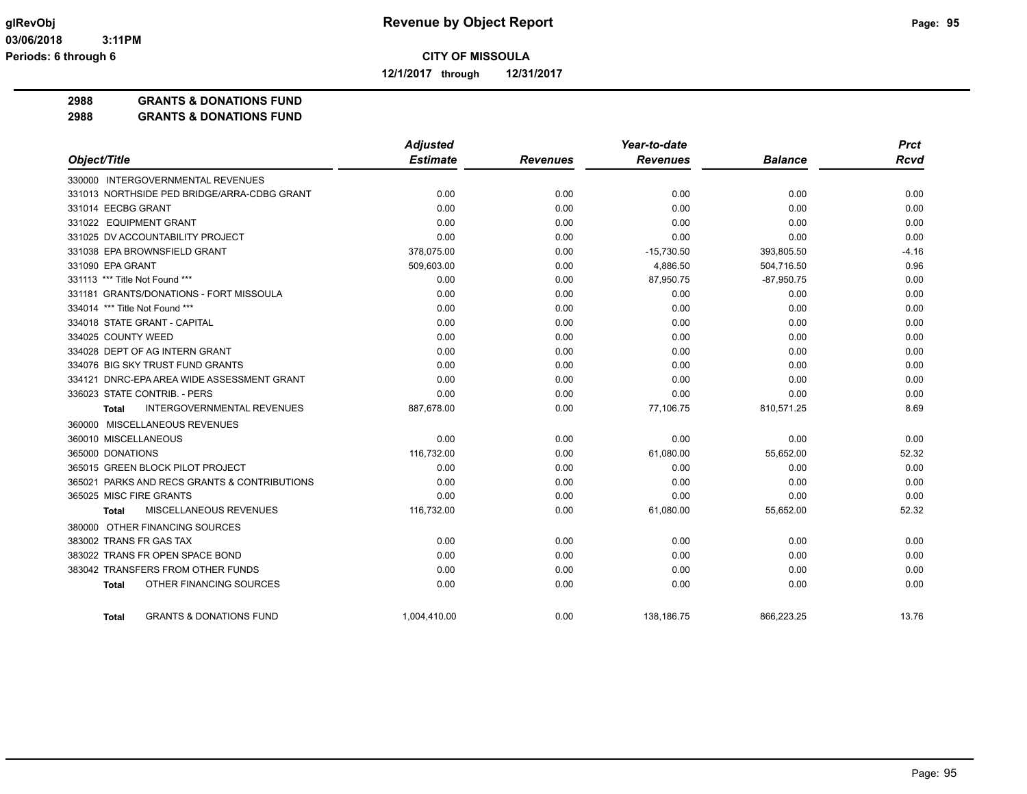**12/1/2017 through 12/31/2017**

**2988 GRANTS & DONATIONS FUND**

**2988 GRANTS & DONATIONS FUND**

|                                                    | <b>Adjusted</b> |                 | Year-to-date    |                | <b>Prct</b> |
|----------------------------------------------------|-----------------|-----------------|-----------------|----------------|-------------|
| Object/Title                                       | <b>Estimate</b> | <b>Revenues</b> | <b>Revenues</b> | <b>Balance</b> | Rcvd        |
| 330000 INTERGOVERNMENTAL REVENUES                  |                 |                 |                 |                |             |
| 331013 NORTHSIDE PED BRIDGE/ARRA-CDBG GRANT        | 0.00            | 0.00            | 0.00            | 0.00           | 0.00        |
| 331014 EECBG GRANT                                 | 0.00            | 0.00            | 0.00            | 0.00           | 0.00        |
| 331022 EQUIPMENT GRANT                             | 0.00            | 0.00            | 0.00            | 0.00           | 0.00        |
| 331025 DV ACCOUNTABILITY PROJECT                   | 0.00            | 0.00            | 0.00            | 0.00           | 0.00        |
| 331038 EPA BROWNSFIELD GRANT                       | 378,075.00      | 0.00            | $-15,730.50$    | 393,805.50     | $-4.16$     |
| 331090 EPA GRANT                                   | 509,603.00      | 0.00            | 4,886.50        | 504,716.50     | 0.96        |
| 331113 *** Title Not Found ***                     | 0.00            | 0.00            | 87,950.75       | $-87,950.75$   | 0.00        |
| 331181 GRANTS/DONATIONS - FORT MISSOULA            | 0.00            | 0.00            | 0.00            | 0.00           | 0.00        |
| 334014 *** Title Not Found ***                     | 0.00            | 0.00            | 0.00            | 0.00           | 0.00        |
| 334018 STATE GRANT - CAPITAL                       | 0.00            | 0.00            | 0.00            | 0.00           | 0.00        |
| 334025 COUNTY WEED                                 | 0.00            | 0.00            | 0.00            | 0.00           | 0.00        |
| 334028 DEPT OF AG INTERN GRANT                     | 0.00            | 0.00            | 0.00            | 0.00           | 0.00        |
| 334076 BIG SKY TRUST FUND GRANTS                   | 0.00            | 0.00            | 0.00            | 0.00           | 0.00        |
| 334121 DNRC-EPA AREA WIDE ASSESSMENT GRANT         | 0.00            | 0.00            | 0.00            | 0.00           | 0.00        |
| 336023 STATE CONTRIB. - PERS                       | 0.00            | 0.00            | 0.00            | 0.00           | 0.00        |
| <b>INTERGOVERNMENTAL REVENUES</b><br><b>Total</b>  | 887,678.00      | 0.00            | 77,106.75       | 810,571.25     | 8.69        |
| 360000 MISCELLANEOUS REVENUES                      |                 |                 |                 |                |             |
| 360010 MISCELLANEOUS                               | 0.00            | 0.00            | 0.00            | 0.00           | 0.00        |
| 365000 DONATIONS                                   | 116,732.00      | 0.00            | 61,080.00       | 55,652.00      | 52.32       |
| 365015 GREEN BLOCK PILOT PROJECT                   | 0.00            | 0.00            | 0.00            | 0.00           | 0.00        |
| 365021 PARKS AND RECS GRANTS & CONTRIBUTIONS       | 0.00            | 0.00            | 0.00            | 0.00           | 0.00        |
| 365025 MISC FIRE GRANTS                            | 0.00            | 0.00            | 0.00            | 0.00           | 0.00        |
| MISCELLANEOUS REVENUES<br><b>Total</b>             | 116,732.00      | 0.00            | 61,080.00       | 55,652.00      | 52.32       |
| 380000 OTHER FINANCING SOURCES                     |                 |                 |                 |                |             |
| 383002 TRANS FR GAS TAX                            | 0.00            | 0.00            | 0.00            | 0.00           | 0.00        |
| 383022 TRANS FR OPEN SPACE BOND                    | 0.00            | 0.00            | 0.00            | 0.00           | 0.00        |
| 383042 TRANSFERS FROM OTHER FUNDS                  | 0.00            | 0.00            | 0.00            | 0.00           | 0.00        |
| OTHER FINANCING SOURCES<br><b>Total</b>            | 0.00            | 0.00            | 0.00            | 0.00           | 0.00        |
| <b>GRANTS &amp; DONATIONS FUND</b><br><b>Total</b> | 1.004.410.00    | 0.00            | 138.186.75      | 866.223.25     | 13.76       |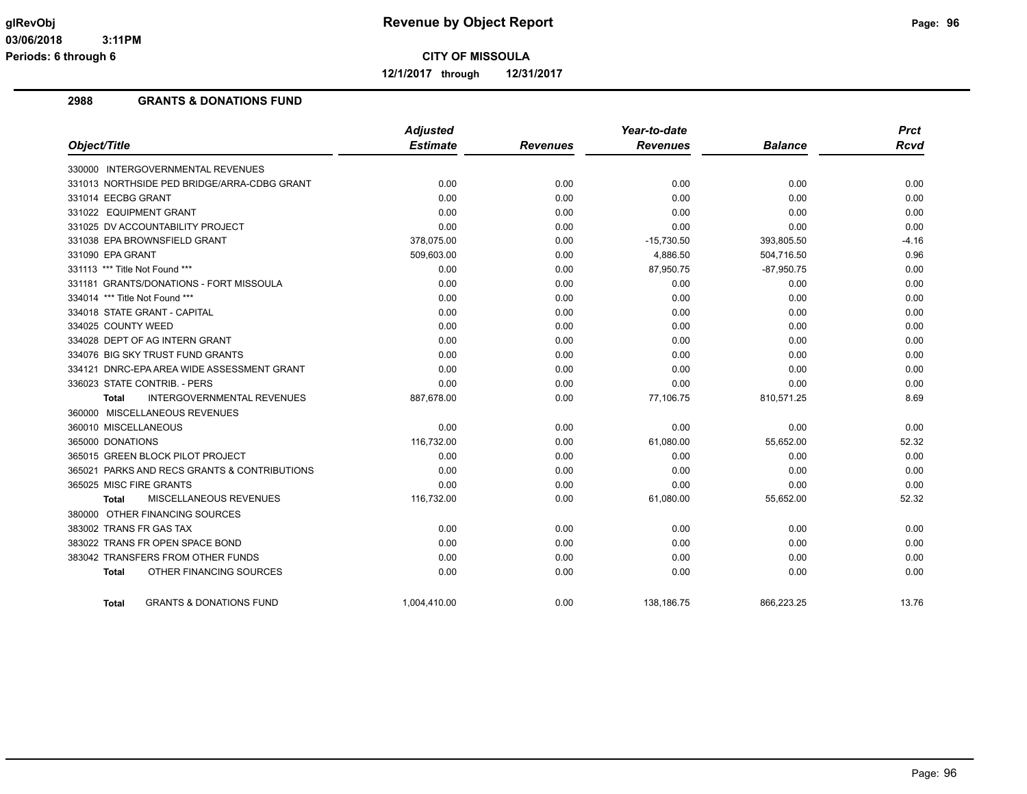**12/1/2017 through 12/31/2017**

#### **2988 GRANTS & DONATIONS FUND**

|                                                   | <b>Adjusted</b> |                 | Year-to-date    |                | <b>Prct</b> |
|---------------------------------------------------|-----------------|-----------------|-----------------|----------------|-------------|
| Object/Title                                      | <b>Estimate</b> | <b>Revenues</b> | <b>Revenues</b> | <b>Balance</b> | <b>Rcvd</b> |
| 330000 INTERGOVERNMENTAL REVENUES                 |                 |                 |                 |                |             |
| 331013 NORTHSIDE PED BRIDGE/ARRA-CDBG GRANT       | 0.00            | 0.00            | 0.00            | 0.00           | 0.00        |
| 331014 EECBG GRANT                                | 0.00            | 0.00            | 0.00            | 0.00           | 0.00        |
| 331022 EQUIPMENT GRANT                            | 0.00            | 0.00            | 0.00            | 0.00           | 0.00        |
| 331025 DV ACCOUNTABILITY PROJECT                  | 0.00            | 0.00            | 0.00            | 0.00           | 0.00        |
| 331038 EPA BROWNSFIELD GRANT                      | 378,075.00      | 0.00            | $-15,730.50$    | 393,805.50     | $-4.16$     |
| 331090 EPA GRANT                                  | 509,603.00      | 0.00            | 4,886.50        | 504,716.50     | 0.96        |
| 331113 *** Title Not Found ***                    | 0.00            | 0.00            | 87,950.75       | $-87,950.75$   | 0.00        |
| 331181 GRANTS/DONATIONS - FORT MISSOULA           | 0.00            | 0.00            | 0.00            | 0.00           | 0.00        |
| 334014 *** Title Not Found ***                    | 0.00            | 0.00            | 0.00            | 0.00           | 0.00        |
| 334018 STATE GRANT - CAPITAL                      | 0.00            | 0.00            | 0.00            | 0.00           | 0.00        |
| 334025 COUNTY WEED                                | 0.00            | 0.00            | 0.00            | 0.00           | 0.00        |
| 334028 DEPT OF AG INTERN GRANT                    | 0.00            | 0.00            | 0.00            | 0.00           | 0.00        |
| 334076 BIG SKY TRUST FUND GRANTS                  | 0.00            | 0.00            | 0.00            | 0.00           | 0.00        |
| 334121 DNRC-EPA AREA WIDE ASSESSMENT GRANT        | 0.00            | 0.00            | 0.00            | 0.00           | 0.00        |
| 336023 STATE CONTRIB. - PERS                      | 0.00            | 0.00            | 0.00            | 0.00           | 0.00        |
| <b>INTERGOVERNMENTAL REVENUES</b><br><b>Total</b> | 887,678.00      | 0.00            | 77,106.75       | 810,571.25     | 8.69        |
| 360000 MISCELLANEOUS REVENUES                     |                 |                 |                 |                |             |
| 360010 MISCELLANEOUS                              | 0.00            | 0.00            | 0.00            | 0.00           | 0.00        |
| 365000 DONATIONS                                  | 116,732.00      | 0.00            | 61,080.00       | 55,652.00      | 52.32       |
| 365015 GREEN BLOCK PILOT PROJECT                  | 0.00            | 0.00            | 0.00            | 0.00           | 0.00        |
| 365021 PARKS AND RECS GRANTS & CONTRIBUTIONS      | 0.00            | 0.00            | 0.00            | 0.00           | 0.00        |
| 365025 MISC FIRE GRANTS                           | 0.00            | 0.00            | 0.00            | 0.00           | 0.00        |
| MISCELLANEOUS REVENUES<br><b>Total</b>            | 116,732.00      | 0.00            | 61,080.00       | 55,652.00      | 52.32       |
| 380000 OTHER FINANCING SOURCES                    |                 |                 |                 |                |             |
| 383002 TRANS FR GAS TAX                           | 0.00            | 0.00            | 0.00            | 0.00           | 0.00        |
| 383022 TRANS FR OPEN SPACE BOND                   | 0.00            | 0.00            | 0.00            | 0.00           | 0.00        |
| 383042 TRANSFERS FROM OTHER FUNDS                 | 0.00            | 0.00            | 0.00            | 0.00           | 0.00        |
| OTHER FINANCING SOURCES<br>Total                  | 0.00            | 0.00            | 0.00            | 0.00           | 0.00        |
| <b>GRANTS &amp; DONATIONS FUND</b><br>Total       | 1.004.410.00    | 0.00            | 138.186.75      | 866.223.25     | 13.76       |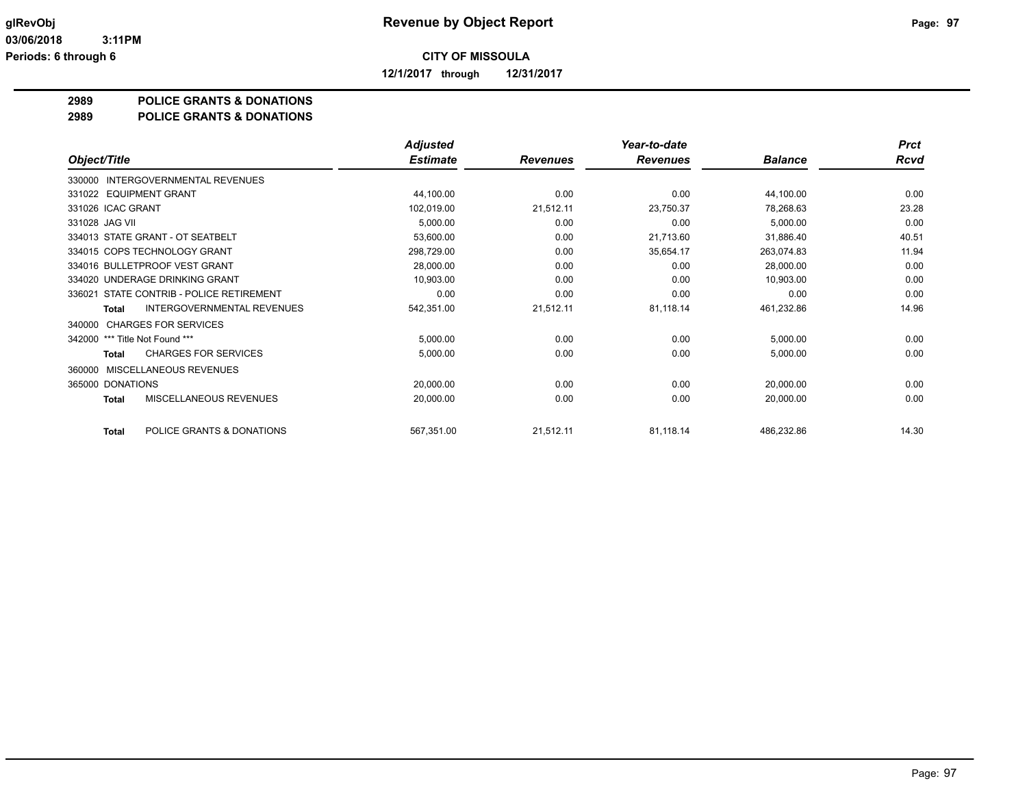**12/1/2017 through 12/31/2017**

#### **2989 POLICE GRANTS & DONATIONS**

#### **2989 POLICE GRANTS & DONATIONS**

|                                                   | <b>Adjusted</b> |                 | Year-to-date    |                | <b>Prct</b> |
|---------------------------------------------------|-----------------|-----------------|-----------------|----------------|-------------|
| Object/Title                                      | <b>Estimate</b> | <b>Revenues</b> | <b>Revenues</b> | <b>Balance</b> | <b>Rcvd</b> |
| INTERGOVERNMENTAL REVENUES<br>330000              |                 |                 |                 |                |             |
| 331022 EQUIPMENT GRANT                            | 44,100.00       | 0.00            | 0.00            | 44,100.00      | 0.00        |
| 331026 ICAC GRANT                                 | 102,019.00      | 21,512.11       | 23,750.37       | 78,268.63      | 23.28       |
| 331028 JAG VII                                    | 5,000.00        | 0.00            | 0.00            | 5,000.00       | 0.00        |
| 334013 STATE GRANT - OT SEATBELT                  | 53,600.00       | 0.00            | 21,713.60       | 31,886.40      | 40.51       |
| 334015 COPS TECHNOLOGY GRANT                      | 298,729.00      | 0.00            | 35,654.17       | 263,074.83     | 11.94       |
| 334016 BULLETPROOF VEST GRANT                     | 28,000.00       | 0.00            | 0.00            | 28,000.00      | 0.00        |
| 334020 UNDERAGE DRINKING GRANT                    | 10,903.00       | 0.00            | 0.00            | 10,903.00      | 0.00        |
| 336021 STATE CONTRIB - POLICE RETIREMENT          | 0.00            | 0.00            | 0.00            | 0.00           | 0.00        |
| <b>INTERGOVERNMENTAL REVENUES</b><br><b>Total</b> | 542,351.00      | 21,512.11       | 81,118.14       | 461,232.86     | 14.96       |
| <b>CHARGES FOR SERVICES</b><br>340000             |                 |                 |                 |                |             |
| *** Title Not Found ***<br>342000                 | 5,000.00        | 0.00            | 0.00            | 5,000.00       | 0.00        |
| <b>CHARGES FOR SERVICES</b><br>Total              | 5,000.00        | 0.00            | 0.00            | 5,000.00       | 0.00        |
| MISCELLANEOUS REVENUES<br>360000                  |                 |                 |                 |                |             |
| 365000 DONATIONS                                  | 20,000.00       | 0.00            | 0.00            | 20,000.00      | 0.00        |
| MISCELLANEOUS REVENUES<br><b>Total</b>            | 20,000.00       | 0.00            | 0.00            | 20,000.00      | 0.00        |
| POLICE GRANTS & DONATIONS<br><b>Total</b>         | 567,351.00      | 21,512.11       | 81,118.14       | 486,232.86     | 14.30       |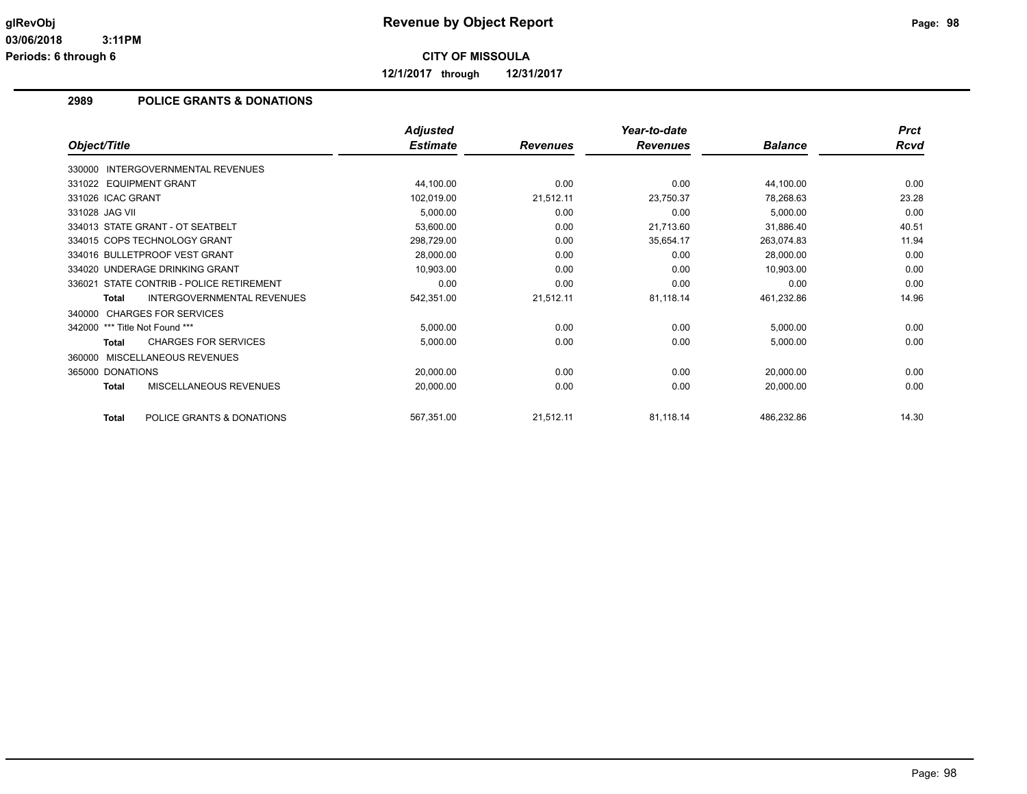**12/1/2017 through 12/31/2017**

### **2989 POLICE GRANTS & DONATIONS**

|                                                   | <b>Adjusted</b> |                 | Year-to-date    |                | <b>Prct</b> |
|---------------------------------------------------|-----------------|-----------------|-----------------|----------------|-------------|
| Object/Title                                      | <b>Estimate</b> | <b>Revenues</b> | <b>Revenues</b> | <b>Balance</b> | <b>Rcvd</b> |
| INTERGOVERNMENTAL REVENUES<br>330000              |                 |                 |                 |                |             |
| 331022 EQUIPMENT GRANT                            | 44,100.00       | 0.00            | 0.00            | 44,100.00      | 0.00        |
| 331026 ICAC GRANT                                 | 102,019.00      | 21,512.11       | 23,750.37       | 78,268.63      | 23.28       |
| 331028 JAG VII                                    | 5,000.00        | 0.00            | 0.00            | 5,000.00       | 0.00        |
| 334013 STATE GRANT - OT SEATBELT                  | 53,600.00       | 0.00            | 21,713.60       | 31,886.40      | 40.51       |
| 334015 COPS TECHNOLOGY GRANT                      | 298,729.00      | 0.00            | 35,654.17       | 263,074.83     | 11.94       |
| 334016 BULLETPROOF VEST GRANT                     | 28,000.00       | 0.00            | 0.00            | 28,000.00      | 0.00        |
| 334020 UNDERAGE DRINKING GRANT                    | 10,903.00       | 0.00            | 0.00            | 10,903.00      | 0.00        |
| 336021 STATE CONTRIB - POLICE RETIREMENT          | 0.00            | 0.00            | 0.00            | 0.00           | 0.00        |
| <b>INTERGOVERNMENTAL REVENUES</b><br><b>Total</b> | 542,351.00      | 21,512.11       | 81,118.14       | 461,232.86     | 14.96       |
| 340000 CHARGES FOR SERVICES                       |                 |                 |                 |                |             |
| 342000 *** Title Not Found ***                    | 5,000.00        | 0.00            | 0.00            | 5,000.00       | 0.00        |
| <b>CHARGES FOR SERVICES</b><br><b>Total</b>       | 5,000.00        | 0.00            | 0.00            | 5,000.00       | 0.00        |
| MISCELLANEOUS REVENUES<br>360000                  |                 |                 |                 |                |             |
| 365000 DONATIONS                                  | 20,000.00       | 0.00            | 0.00            | 20,000.00      | 0.00        |
| <b>MISCELLANEOUS REVENUES</b><br><b>Total</b>     | 20,000.00       | 0.00            | 0.00            | 20,000.00      | 0.00        |
| POLICE GRANTS & DONATIONS<br>Total                | 567,351.00      | 21,512.11       | 81,118.14       | 486,232.86     | 14.30       |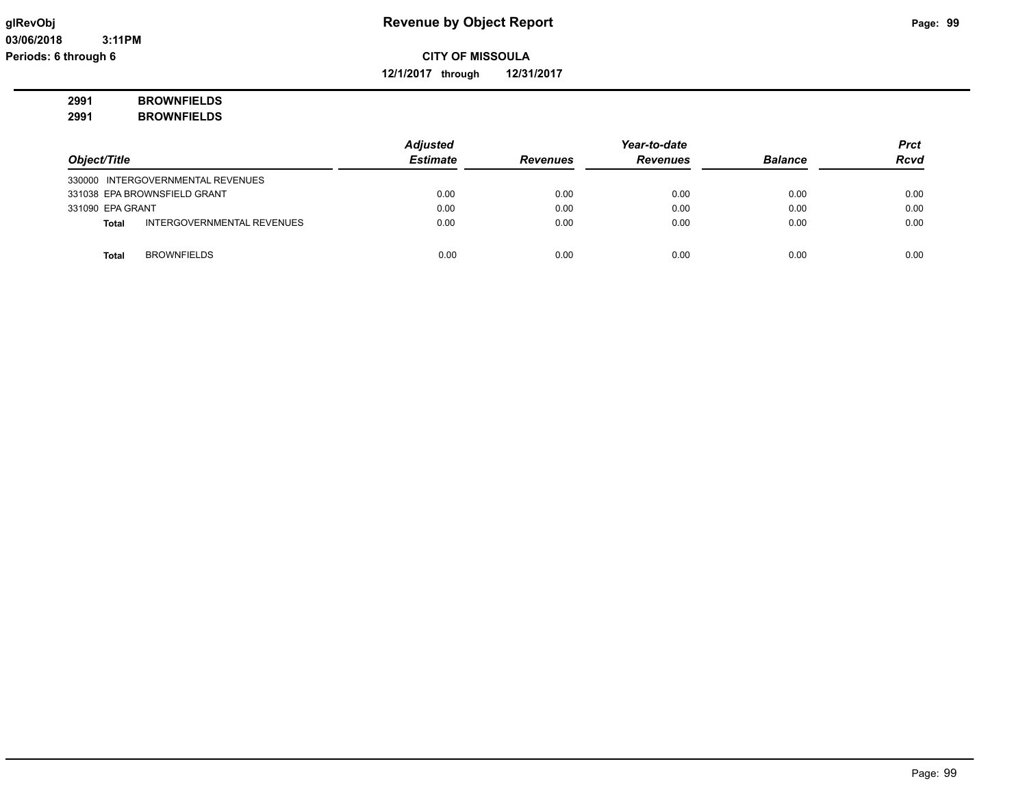**12/1/2017 through 12/31/2017**

# **2991 BROWNFIELDS**

| 2991 | <b>BROWNFIELDS</b> |
|------|--------------------|
|------|--------------------|

|                  |                                   | <b>Adjusted</b> |                 | Year-to-date    |                | <b>Prct</b> |
|------------------|-----------------------------------|-----------------|-----------------|-----------------|----------------|-------------|
| Object/Title     |                                   | <b>Estimate</b> | <b>Revenues</b> | <b>Revenues</b> | <b>Balance</b> | <b>Rcvd</b> |
|                  | 330000 INTERGOVERNMENTAL REVENUES |                 |                 |                 |                |             |
|                  | 331038 EPA BROWNSFIELD GRANT      | 0.00            | 0.00            | 0.00            | 0.00           | 0.00        |
| 331090 EPA GRANT |                                   | 0.00            | 0.00            | 0.00            | 0.00           | 0.00        |
| <b>Total</b>     | INTERGOVERNMENTAL REVENUES        | 0.00            | 0.00            | 0.00            | 0.00           | 0.00        |
|                  |                                   |                 |                 |                 |                |             |
| <b>Total</b>     | <b>BROWNFIELDS</b>                | 0.00            | 0.00            | 0.00            | 0.00           | 0.00        |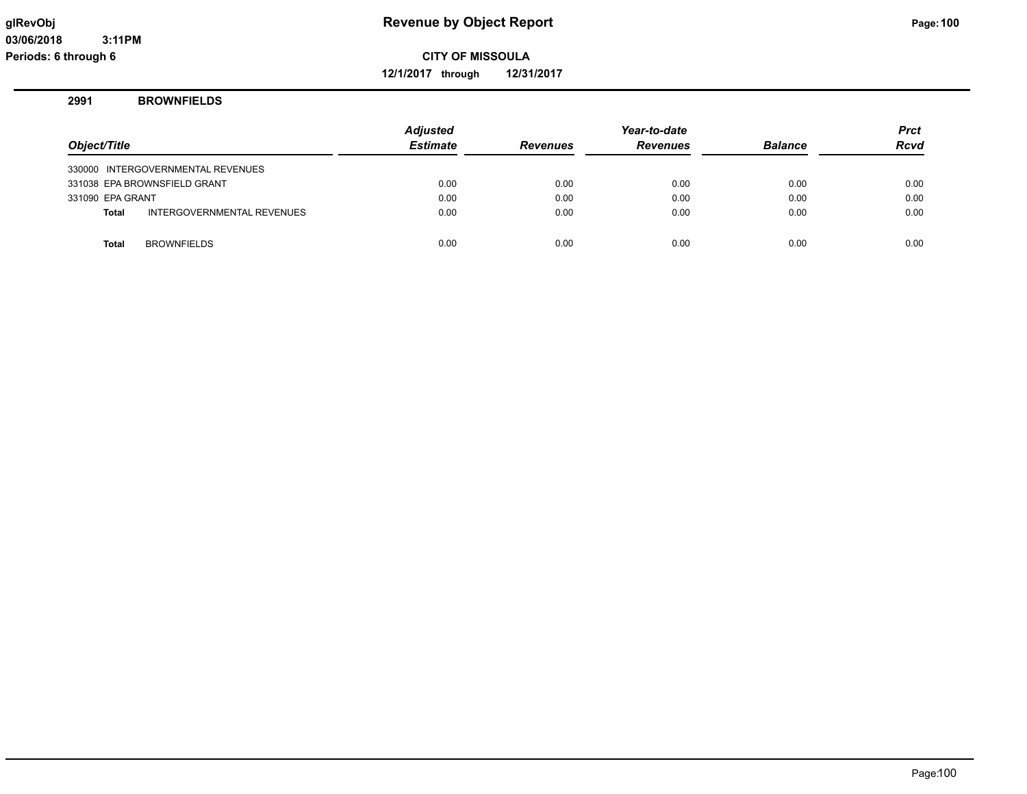**12/1/2017 through 12/31/2017**

#### **2991 BROWNFIELDS**

| Object/Title     |                                   | <b>Adjusted</b><br><b>Estimate</b> | <b>Revenues</b> | Year-to-date<br><b>Revenues</b> | <b>Balance</b> | <b>Prct</b><br><b>Rcvd</b> |
|------------------|-----------------------------------|------------------------------------|-----------------|---------------------------------|----------------|----------------------------|
|                  | 330000 INTERGOVERNMENTAL REVENUES |                                    |                 |                                 |                |                            |
|                  | 331038 EPA BROWNSFIELD GRANT      | 0.00                               | 0.00            | 0.00                            | 0.00           | 0.00                       |
| 331090 EPA GRANT |                                   | 0.00                               | 0.00            | 0.00                            | 0.00           | 0.00                       |
| <b>Total</b>     | INTERGOVERNMENTAL REVENUES        | 0.00                               | 0.00            | 0.00                            | 0.00           | 0.00                       |
|                  |                                   |                                    |                 |                                 |                |                            |
| <b>Total</b>     | <b>BROWNFIELDS</b>                | 0.00                               | 0.00            | 0.00                            | 0.00           | 0.00                       |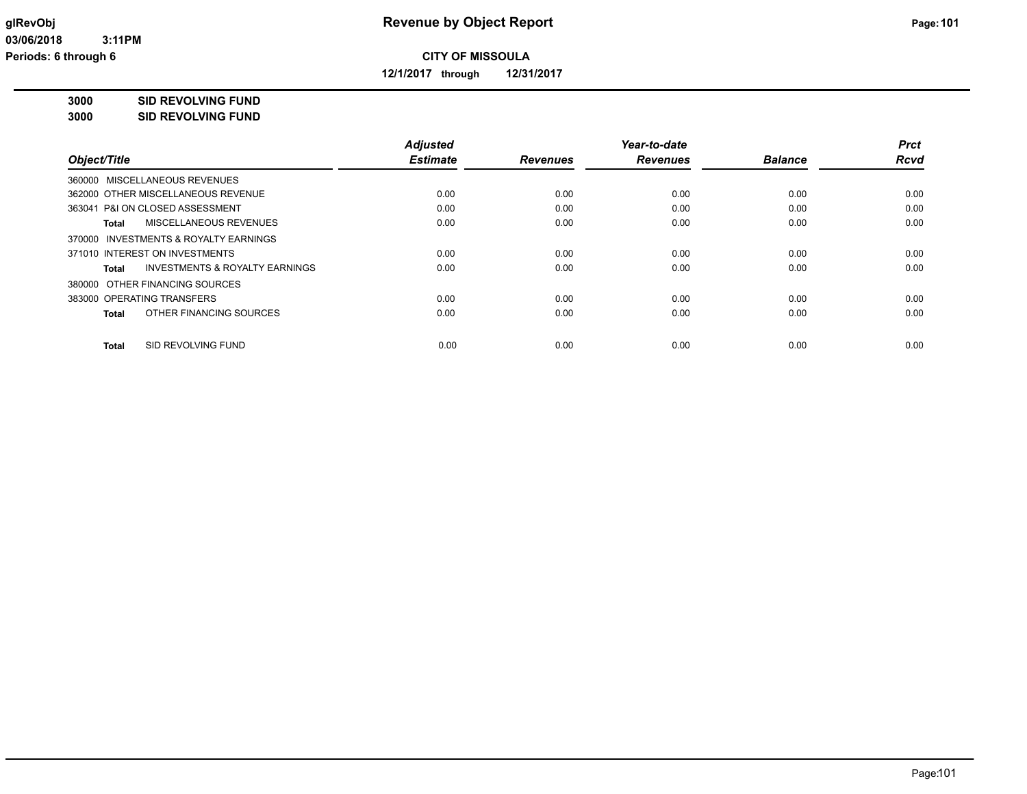**12/1/2017 through 12/31/2017**

**3000 SID REVOLVING FUND**

**3000 SID REVOLVING FUND**

|                                         | <b>Adjusted</b> |                 | Year-to-date    |                | <b>Prct</b> |
|-----------------------------------------|-----------------|-----------------|-----------------|----------------|-------------|
| Object/Title                            | <b>Estimate</b> | <b>Revenues</b> | <b>Revenues</b> | <b>Balance</b> | <b>Rcvd</b> |
| 360000 MISCELLANEOUS REVENUES           |                 |                 |                 |                |             |
| 362000 OTHER MISCELLANEOUS REVENUE      | 0.00            | 0.00            | 0.00            | 0.00           | 0.00        |
| 363041 P&I ON CLOSED ASSESSMENT         | 0.00            | 0.00            | 0.00            | 0.00           | 0.00        |
| MISCELLANEOUS REVENUES<br>Total         | 0.00            | 0.00            | 0.00            | 0.00           | 0.00        |
| 370000 INVESTMENTS & ROYALTY EARNINGS   |                 |                 |                 |                |             |
| 371010 INTEREST ON INVESTMENTS          | 0.00            | 0.00            | 0.00            | 0.00           | 0.00        |
| INVESTMENTS & ROYALTY EARNINGS<br>Total | 0.00            | 0.00            | 0.00            | 0.00           | 0.00        |
| 380000 OTHER FINANCING SOURCES          |                 |                 |                 |                |             |
| 383000 OPERATING TRANSFERS              | 0.00            | 0.00            | 0.00            | 0.00           | 0.00        |
| OTHER FINANCING SOURCES<br>Total        | 0.00            | 0.00            | 0.00            | 0.00           | 0.00        |
| SID REVOLVING FUND<br>Total             | 0.00            | 0.00            | 0.00            | 0.00           | 0.00        |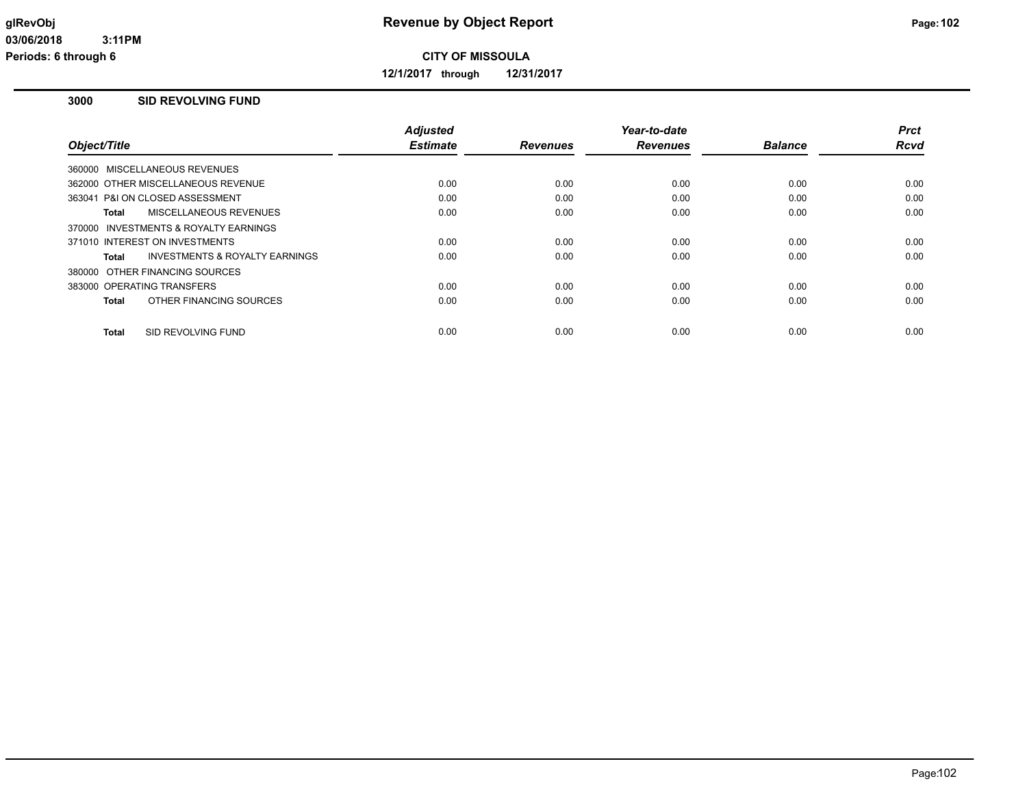**12/1/2017 through 12/31/2017**

#### **3000 SID REVOLVING FUND**

|                                                     | <b>Adjusted</b> |                 | Year-to-date    |                | <b>Prct</b> |
|-----------------------------------------------------|-----------------|-----------------|-----------------|----------------|-------------|
| Object/Title                                        | <b>Estimate</b> | <b>Revenues</b> | <b>Revenues</b> | <b>Balance</b> | <b>Rcvd</b> |
| 360000 MISCELLANEOUS REVENUES                       |                 |                 |                 |                |             |
| 362000 OTHER MISCELLANEOUS REVENUE                  | 0.00            | 0.00            | 0.00            | 0.00           | 0.00        |
| 363041 P&I ON CLOSED ASSESSMENT                     | 0.00            | 0.00            | 0.00            | 0.00           | 0.00        |
| MISCELLANEOUS REVENUES<br>Total                     | 0.00            | 0.00            | 0.00            | 0.00           | 0.00        |
| <b>INVESTMENTS &amp; ROYALTY EARNINGS</b><br>370000 |                 |                 |                 |                |             |
| 371010 INTEREST ON INVESTMENTS                      | 0.00            | 0.00            | 0.00            | 0.00           | 0.00        |
| <b>INVESTMENTS &amp; ROYALTY EARNINGS</b><br>Total  | 0.00            | 0.00            | 0.00            | 0.00           | 0.00        |
| 380000 OTHER FINANCING SOURCES                      |                 |                 |                 |                |             |
| 383000 OPERATING TRANSFERS                          | 0.00            | 0.00            | 0.00            | 0.00           | 0.00        |
| OTHER FINANCING SOURCES<br>Total                    | 0.00            | 0.00            | 0.00            | 0.00           | 0.00        |
|                                                     |                 |                 |                 |                |             |
| SID REVOLVING FUND<br><b>Total</b>                  | 0.00            | 0.00            | 0.00            | 0.00           | 0.00        |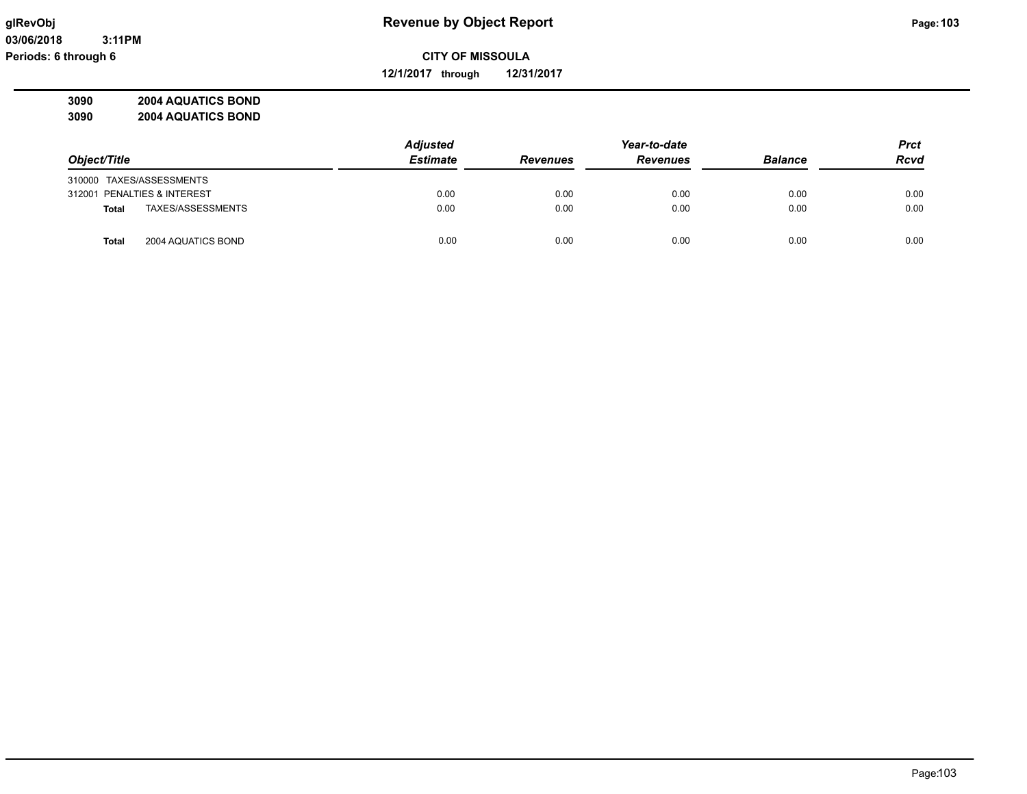**12/1/2017 through 12/31/2017**

**3090 2004 AQUATICS BOND 3090 2004 AQUATICS BOND**

|                                    | <b>Adjusted</b> | Year-to-date    |                 |                | <b>Prct</b> |
|------------------------------------|-----------------|-----------------|-----------------|----------------|-------------|
| Object/Title                       | <b>Estimate</b> | <b>Revenues</b> | <b>Revenues</b> | <b>Balance</b> | <b>Rcvd</b> |
| 310000 TAXES/ASSESSMENTS           |                 |                 |                 |                |             |
| 312001 PENALTIES & INTEREST        | 0.00            | 0.00            | 0.00            | 0.00           | 0.00        |
| TAXES/ASSESSMENTS<br><b>Total</b>  | 0.00            | 0.00            | 0.00            | 0.00           | 0.00        |
| 2004 AQUATICS BOND<br><b>Total</b> | 0.00            | 0.00            | 0.00            | 0.00           | 0.00        |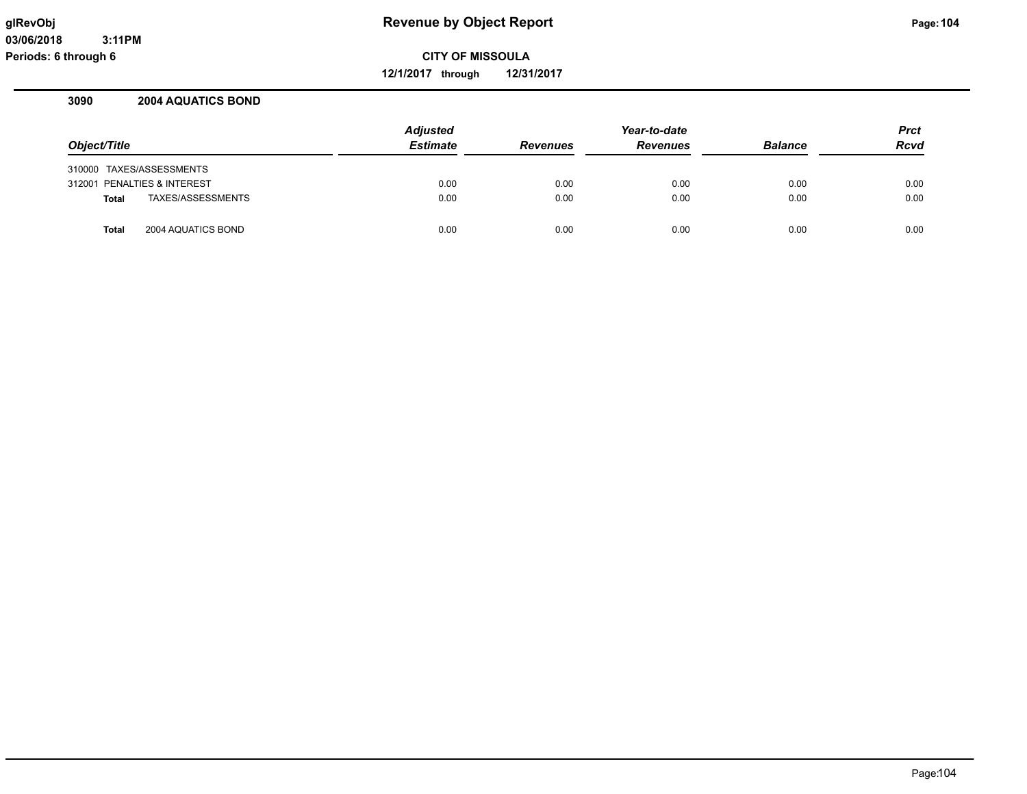**12/1/2017 through 12/31/2017**

#### **3090 2004 AQUATICS BOND**

|                                    | <b>Adjusted</b> |                 | Year-to-date    |                | <b>Prct</b> |
|------------------------------------|-----------------|-----------------|-----------------|----------------|-------------|
| Object/Title                       | <b>Estimate</b> | <b>Revenues</b> | <b>Revenues</b> | <b>Balance</b> | <b>Rcvd</b> |
| 310000 TAXES/ASSESSMENTS           |                 |                 |                 |                |             |
| 312001 PENALTIES & INTEREST        | 0.00            | 0.00            | 0.00            | 0.00           | 0.00        |
| TAXES/ASSESSMENTS<br><b>Total</b>  | 0.00            | 0.00            | 0.00            | 0.00           | 0.00        |
| 2004 AQUATICS BOND<br><b>Total</b> | 0.00            | 0.00            | 0.00            | 0.00           | 0.00        |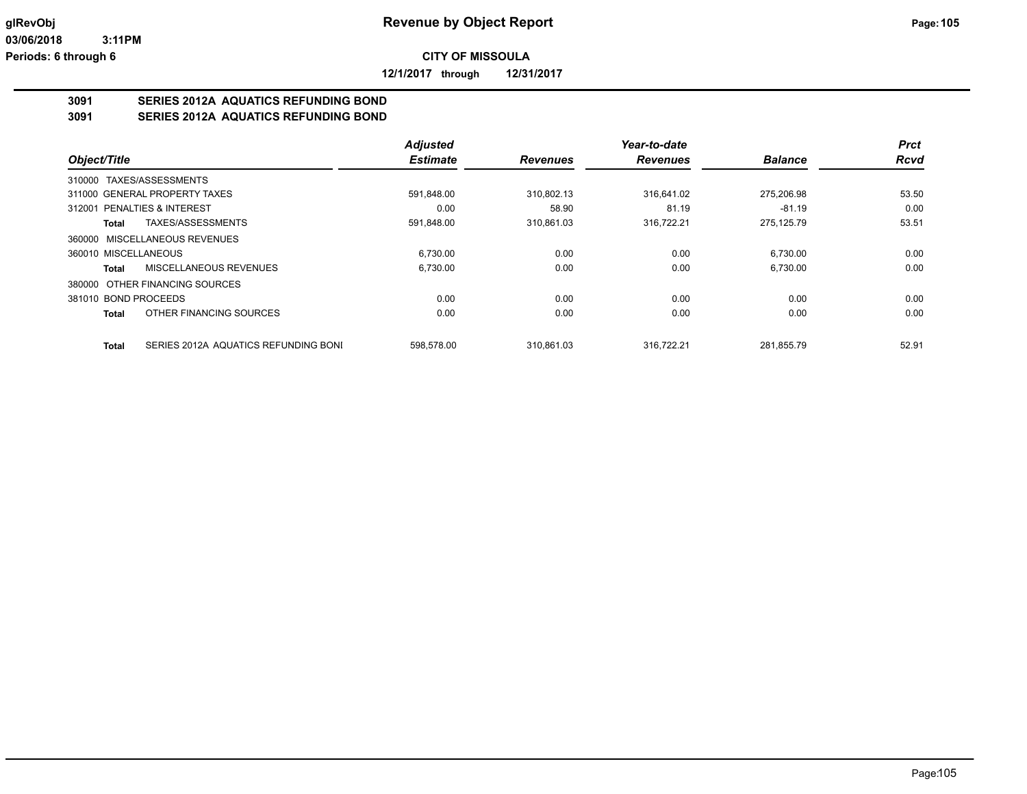**12/1/2017 through 12/31/2017**

# **3091 SERIES 2012A AQUATICS REFUNDING BOND**

**3091 SERIES 2012A AQUATICS REFUNDING BOND**

|                                                      | <b>Adjusted</b> |                 | Year-to-date    |                | <b>Prct</b> |
|------------------------------------------------------|-----------------|-----------------|-----------------|----------------|-------------|
| Object/Title                                         | <b>Estimate</b> | <b>Revenues</b> | <b>Revenues</b> | <b>Balance</b> | <b>Rcvd</b> |
| TAXES/ASSESSMENTS<br>310000                          |                 |                 |                 |                |             |
| 311000 GENERAL PROPERTY TAXES                        | 591.848.00      | 310.802.13      | 316.641.02      | 275.206.98     | 53.50       |
| 312001 PENALTIES & INTEREST                          | 0.00            | 58.90           | 81.19           | $-81.19$       | 0.00        |
| TAXES/ASSESSMENTS<br>Total                           | 591,848.00      | 310,861.03      | 316,722.21      | 275,125.79     | 53.51       |
| 360000 MISCELLANEOUS REVENUES                        |                 |                 |                 |                |             |
| 360010 MISCELLANEOUS                                 | 6,730.00        | 0.00            | 0.00            | 6,730.00       | 0.00        |
| MISCELLANEOUS REVENUES<br>Total                      | 6,730.00        | 0.00            | 0.00            | 6,730.00       | 0.00        |
| 380000 OTHER FINANCING SOURCES                       |                 |                 |                 |                |             |
| 381010 BOND PROCEEDS                                 | 0.00            | 0.00            | 0.00            | 0.00           | 0.00        |
| OTHER FINANCING SOURCES<br>Total                     | 0.00            | 0.00            | 0.00            | 0.00           | 0.00        |
| SERIES 2012A AQUATICS REFUNDING BONI<br><b>Total</b> | 598.578.00      | 310.861.03      | 316.722.21      | 281.855.79     | 52.91       |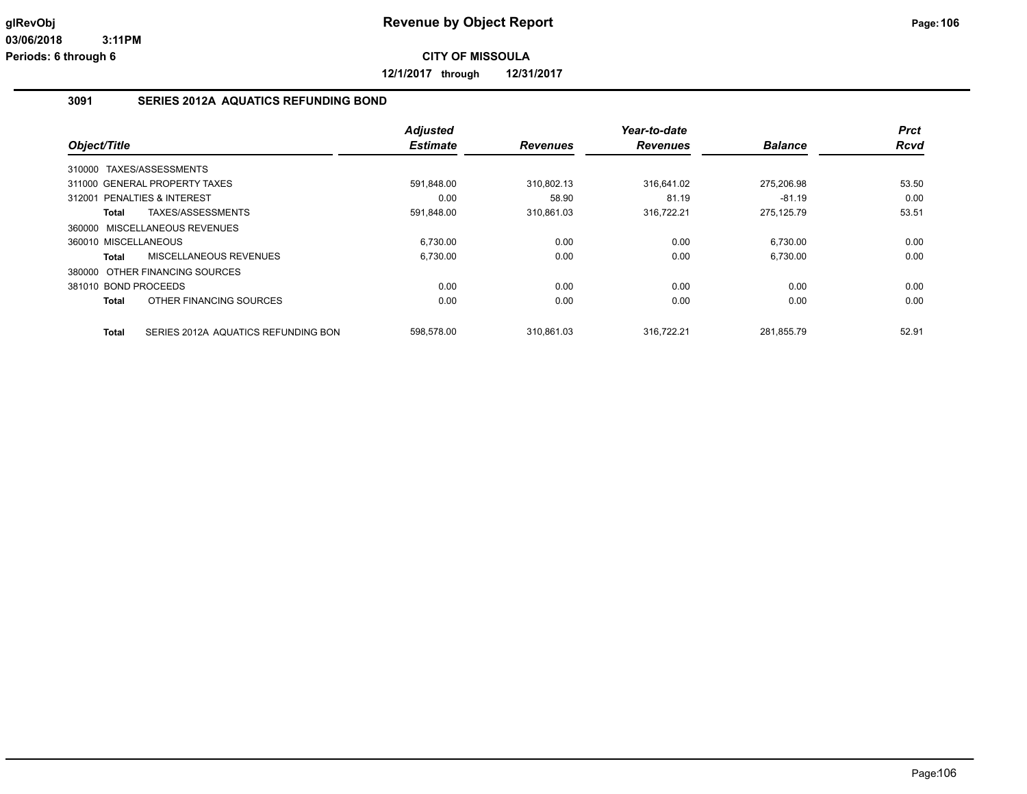**12/1/2017 through 12/31/2017**

#### **3091 SERIES 2012A AQUATICS REFUNDING BOND**

|                      |                                     | <b>Adjusted</b> |                 | Year-to-date    |                | <b>Prct</b> |
|----------------------|-------------------------------------|-----------------|-----------------|-----------------|----------------|-------------|
| Object/Title         |                                     | <b>Estimate</b> | <b>Revenues</b> | <b>Revenues</b> | <b>Balance</b> | <b>Rcvd</b> |
| 310000               | TAXES/ASSESSMENTS                   |                 |                 |                 |                |             |
|                      | 311000 GENERAL PROPERTY TAXES       | 591,848.00      | 310,802.13      | 316.641.02      | 275,206.98     | 53.50       |
|                      | 312001 PENALTIES & INTEREST         | 0.00            | 58.90           | 81.19           | $-81.19$       | 0.00        |
| Total                | TAXES/ASSESSMENTS                   | 591,848.00      | 310,861.03      | 316,722.21      | 275.125.79     | 53.51       |
|                      | 360000 MISCELLANEOUS REVENUES       |                 |                 |                 |                |             |
| 360010 MISCELLANEOUS |                                     | 6,730.00        | 0.00            | 0.00            | 6,730.00       | 0.00        |
| <b>Total</b>         | <b>MISCELLANEOUS REVENUES</b>       | 6,730.00        | 0.00            | 0.00            | 6,730.00       | 0.00        |
|                      | 380000 OTHER FINANCING SOURCES      |                 |                 |                 |                |             |
| 381010 BOND PROCEEDS |                                     | 0.00            | 0.00            | 0.00            | 0.00           | 0.00        |
| Total                | OTHER FINANCING SOURCES             | 0.00            | 0.00            | 0.00            | 0.00           | 0.00        |
| <b>Total</b>         | SERIES 2012A AQUATICS REFUNDING BON | 598.578.00      | 310.861.03      | 316.722.21      | 281.855.79     | 52.91       |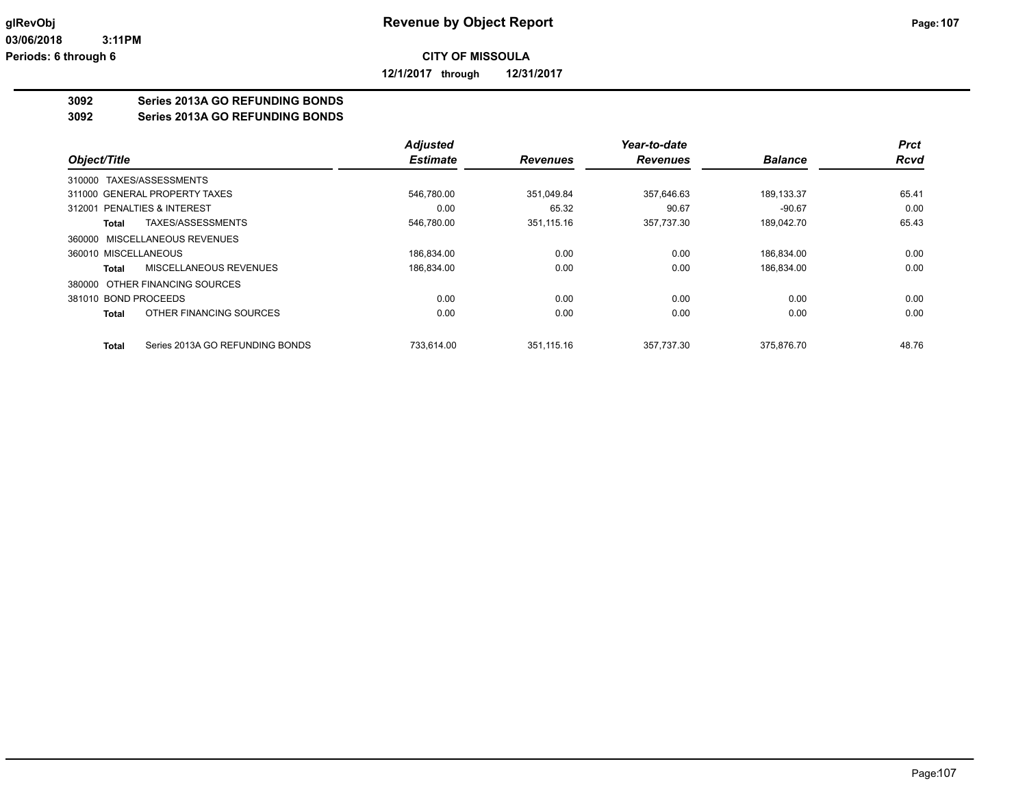**12/1/2017 through 12/31/2017**

#### **3092 Series 2013A GO REFUNDING BONDS**

**3092 Series 2013A GO REFUNDING BONDS**

|                                                 | <b>Adjusted</b> |                 | Year-to-date    |                | <b>Prct</b> |
|-------------------------------------------------|-----------------|-----------------|-----------------|----------------|-------------|
| Object/Title                                    | <b>Estimate</b> | <b>Revenues</b> | <b>Revenues</b> | <b>Balance</b> | <b>Rcvd</b> |
| 310000 TAXES/ASSESSMENTS                        |                 |                 |                 |                |             |
| 311000 GENERAL PROPERTY TAXES                   | 546.780.00      | 351.049.84      | 357.646.63      | 189.133.37     | 65.41       |
| PENALTIES & INTEREST<br>312001                  | 0.00            | 65.32           | 90.67           | $-90.67$       | 0.00        |
| TAXES/ASSESSMENTS<br>Total                      | 546,780.00      | 351,115.16      | 357,737.30      | 189.042.70     | 65.43       |
| 360000 MISCELLANEOUS REVENUES                   |                 |                 |                 |                |             |
| 360010 MISCELLANEOUS                            | 186,834.00      | 0.00            | 0.00            | 186,834.00     | 0.00        |
| MISCELLANEOUS REVENUES<br><b>Total</b>          | 186,834.00      | 0.00            | 0.00            | 186,834.00     | 0.00        |
| 380000 OTHER FINANCING SOURCES                  |                 |                 |                 |                |             |
| 381010 BOND PROCEEDS                            | 0.00            | 0.00            | 0.00            | 0.00           | 0.00        |
| OTHER FINANCING SOURCES<br><b>Total</b>         | 0.00            | 0.00            | 0.00            | 0.00           | 0.00        |
| Series 2013A GO REFUNDING BONDS<br><b>Total</b> | 733.614.00      | 351.115.16      | 357.737.30      | 375.876.70     | 48.76       |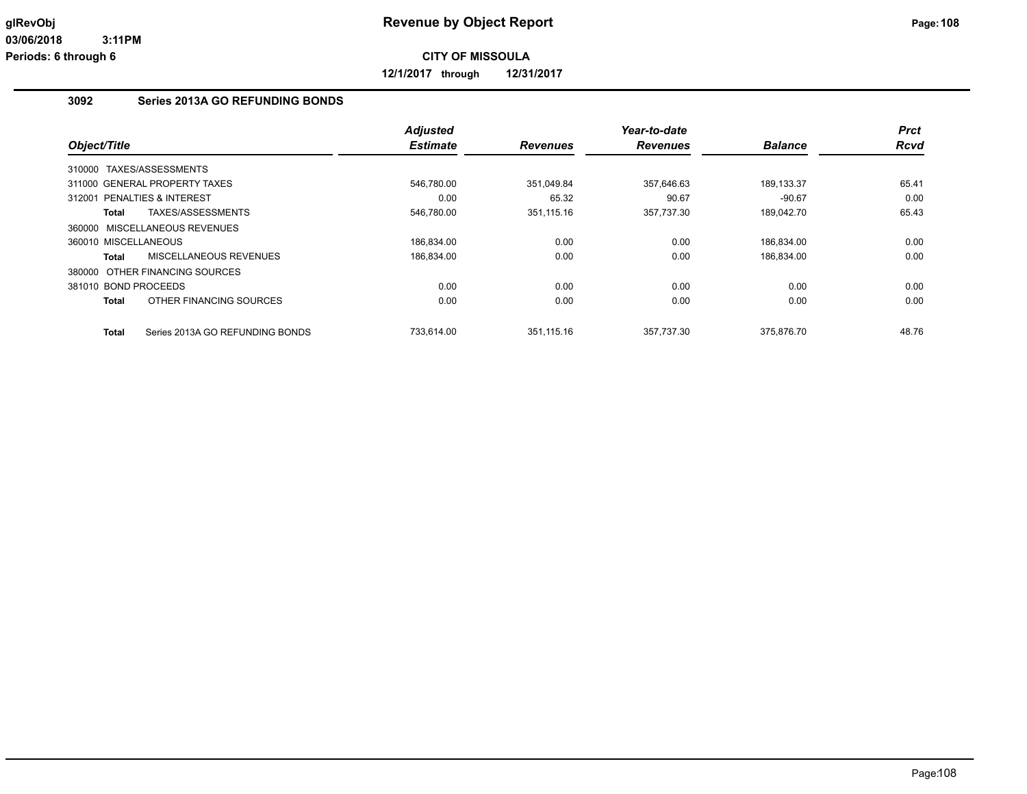**12/1/2017 through 12/31/2017**

#### **3092 Series 2013A GO REFUNDING BONDS**

|                                           | <b>Adjusted</b> |                 | Year-to-date    |                | <b>Prct</b> |
|-------------------------------------------|-----------------|-----------------|-----------------|----------------|-------------|
| Object/Title                              | <b>Estimate</b> | <b>Revenues</b> | <b>Revenues</b> | <b>Balance</b> | Rcvd        |
| 310000 TAXES/ASSESSMENTS                  |                 |                 |                 |                |             |
| 311000 GENERAL PROPERTY TAXES             | 546,780.00      | 351,049.84      | 357,646.63      | 189,133.37     | 65.41       |
| <b>PENALTIES &amp; INTEREST</b><br>312001 | 0.00            | 65.32           | 90.67           | $-90.67$       | 0.00        |
| TAXES/ASSESSMENTS<br>Total                | 546,780.00      | 351.115.16      | 357,737.30      | 189.042.70     | 65.43       |
| 360000 MISCELLANEOUS REVENUES             |                 |                 |                 |                |             |
| 360010 MISCELLANEOUS                      | 186,834.00      | 0.00            | 0.00            | 186,834.00     | 0.00        |
| MISCELLANEOUS REVENUES<br>Total           | 186,834.00      | 0.00            | 0.00            | 186.834.00     | 0.00        |
| 380000 OTHER FINANCING SOURCES            |                 |                 |                 |                |             |
| 381010 BOND PROCEEDS                      | 0.00            | 0.00            | 0.00            | 0.00           | 0.00        |
| OTHER FINANCING SOURCES<br>Total          | 0.00            | 0.00            | 0.00            | 0.00           | 0.00        |
| Series 2013A GO REFUNDING BONDS<br>Total  | 733.614.00      | 351.115.16      | 357.737.30      | 375.876.70     | 48.76       |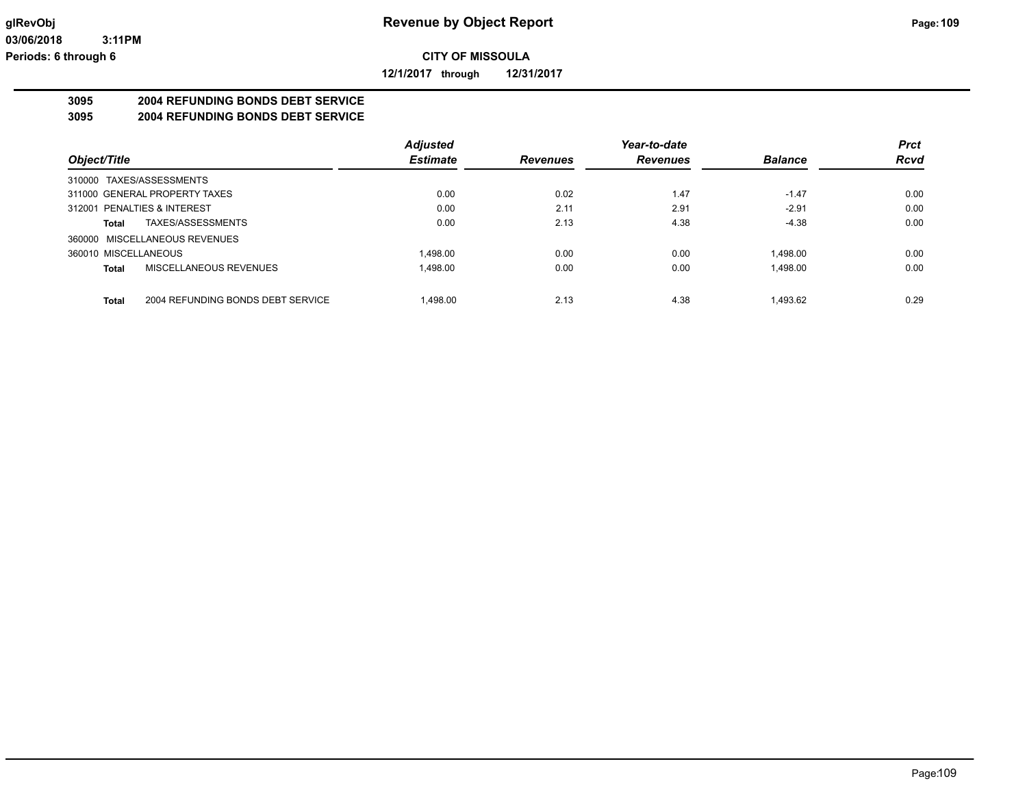**12/1/2017 through 12/31/2017**

# **3095 2004 REFUNDING BONDS DEBT SERVICE**

**3095 2004 REFUNDING BONDS DEBT SERVICE**

|                                            | <b>Adjusted</b> |                 | Year-to-date    |                | <b>Prct</b> |
|--------------------------------------------|-----------------|-----------------|-----------------|----------------|-------------|
| Object/Title                               | <b>Estimate</b> | <b>Revenues</b> | <b>Revenues</b> | <b>Balance</b> | <b>Rcvd</b> |
| 310000 TAXES/ASSESSMENTS                   |                 |                 |                 |                |             |
| 311000 GENERAL PROPERTY TAXES              | 0.00            | 0.02            | 1.47            | $-1.47$        | 0.00        |
| 312001 PENALTIES & INTEREST                | 0.00            | 2.11            | 2.91            | $-2.91$        | 0.00        |
| TAXES/ASSESSMENTS<br>Total                 | 0.00            | 2.13            | 4.38            | $-4.38$        | 0.00        |
| 360000 MISCELLANEOUS REVENUES              |                 |                 |                 |                |             |
| 360010 MISCELLANEOUS                       | 1.498.00        | 0.00            | 0.00            | 1.498.00       | 0.00        |
| MISCELLANEOUS REVENUES<br>Total            | 1,498.00        | 0.00            | 0.00            | 1.498.00       | 0.00        |
| 2004 REFUNDING BONDS DEBT SERVICE<br>Total | 1.498.00        | 2.13            | 4.38            | 1.493.62       | 0.29        |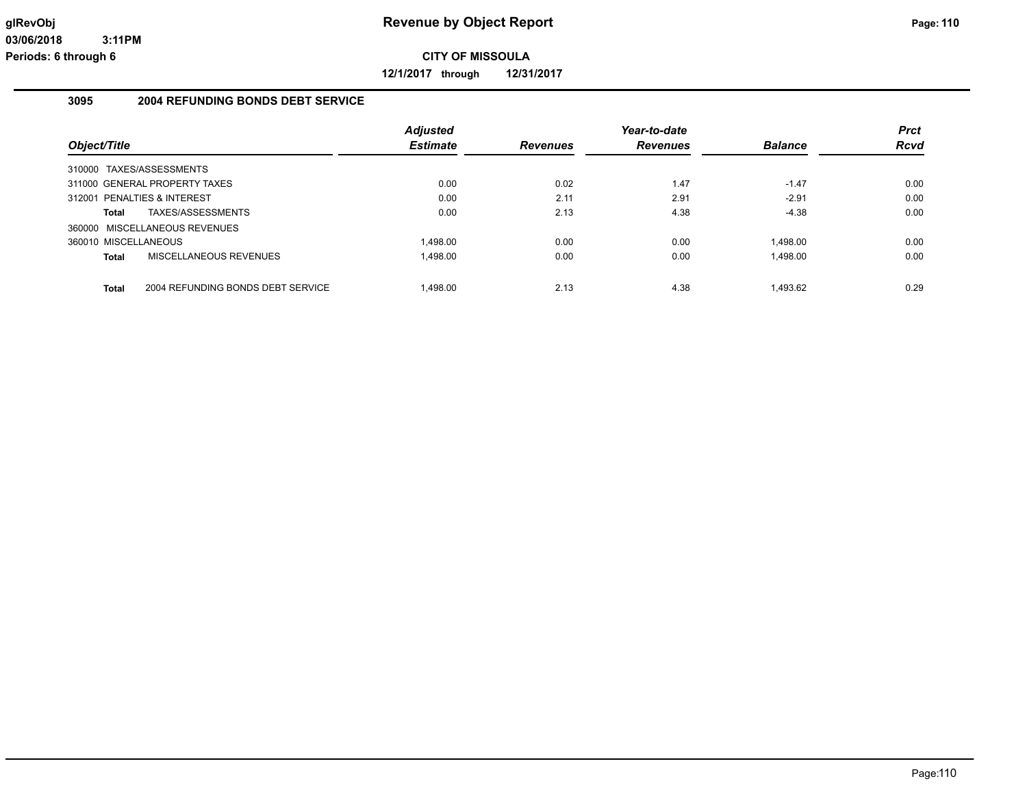**12/1/2017 through 12/31/2017**

# **3095 2004 REFUNDING BONDS DEBT SERVICE**

| Object/Title                                      | <b>Adjusted</b><br><b>Estimate</b> | <b>Revenues</b> | Year-to-date<br><b>Revenues</b> | <b>Balance</b> | <b>Prct</b><br><b>Rcvd</b> |
|---------------------------------------------------|------------------------------------|-----------------|---------------------------------|----------------|----------------------------|
|                                                   |                                    |                 |                                 |                |                            |
| 310000 TAXES/ASSESSMENTS                          |                                    |                 |                                 |                |                            |
| 311000 GENERAL PROPERTY TAXES                     | 0.00                               | 0.02            | 1.47                            | $-1.47$        | 0.00                       |
| 312001 PENALTIES & INTEREST                       | 0.00                               | 2.11            | 2.91                            | $-2.91$        | 0.00                       |
| TAXES/ASSESSMENTS<br>Total                        | 0.00                               | 2.13            | 4.38                            | $-4.38$        | 0.00                       |
| 360000 MISCELLANEOUS REVENUES                     |                                    |                 |                                 |                |                            |
| 360010 MISCELLANEOUS                              | 1.498.00                           | 0.00            | 0.00                            | 1.498.00       | 0.00                       |
| MISCELLANEOUS REVENUES<br><b>Total</b>            | 1.498.00                           | 0.00            | 0.00                            | 1.498.00       | 0.00                       |
|                                                   |                                    |                 |                                 |                |                            |
| 2004 REFUNDING BONDS DEBT SERVICE<br><b>Total</b> | 1.498.00                           | 2.13            | 4.38                            | 1.493.62       | 0.29                       |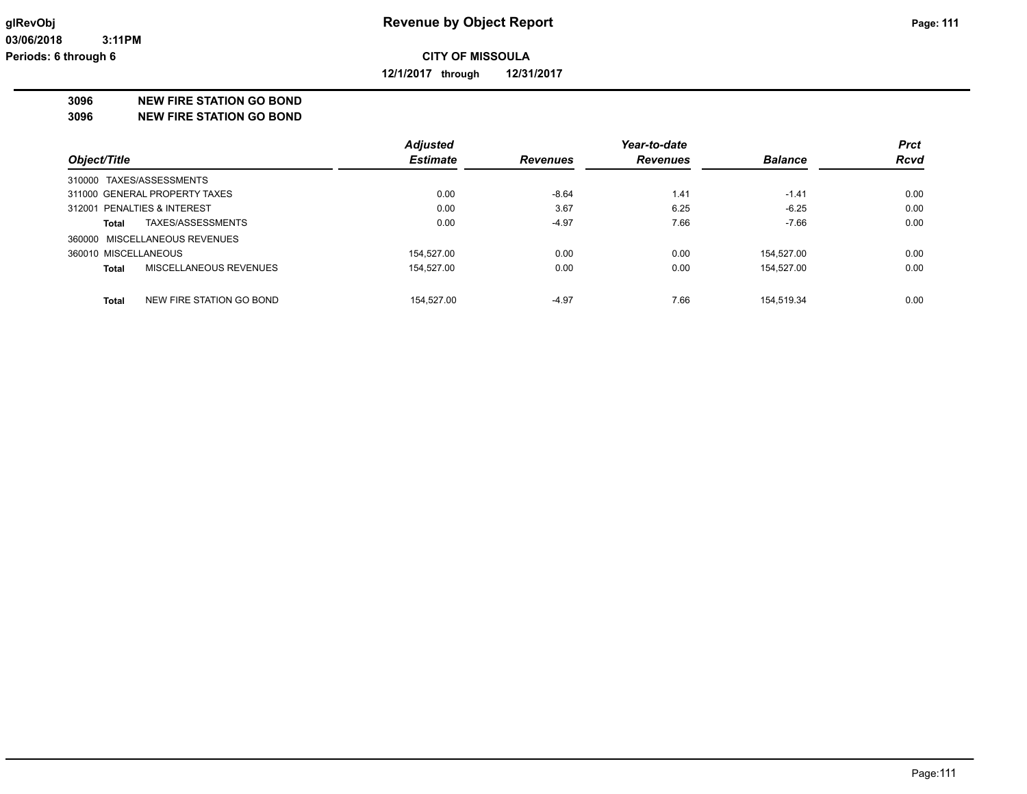**12/1/2017 through 12/31/2017**

### **3096 NEW FIRE STATION GO BOND**

**3096 NEW FIRE STATION GO BOND**

|                                   | Adjusted        |                 | Year-to-date    |                | <b>Prct</b> |
|-----------------------------------|-----------------|-----------------|-----------------|----------------|-------------|
| Object/Title                      | <b>Estimate</b> | <b>Revenues</b> | <b>Revenues</b> | <b>Balance</b> | <b>Rcvd</b> |
| 310000 TAXES/ASSESSMENTS          |                 |                 |                 |                |             |
| 311000 GENERAL PROPERTY TAXES     | 0.00            | $-8.64$         | 1.41            | $-1.41$        | 0.00        |
| 312001 PENALTIES & INTEREST       | 0.00            | 3.67            | 6.25            | $-6.25$        | 0.00        |
| TAXES/ASSESSMENTS<br>Total        | 0.00            | $-4.97$         | 7.66            | $-7.66$        | 0.00        |
| 360000 MISCELLANEOUS REVENUES     |                 |                 |                 |                |             |
| 360010 MISCELLANEOUS              | 154.527.00      | 0.00            | 0.00            | 154.527.00     | 0.00        |
| MISCELLANEOUS REVENUES<br>Total   | 154.527.00      | 0.00            | 0.00            | 154.527.00     | 0.00        |
| NEW FIRE STATION GO BOND<br>Total | 154.527.00      | $-4.97$         | 7.66            | 154.519.34     | 0.00        |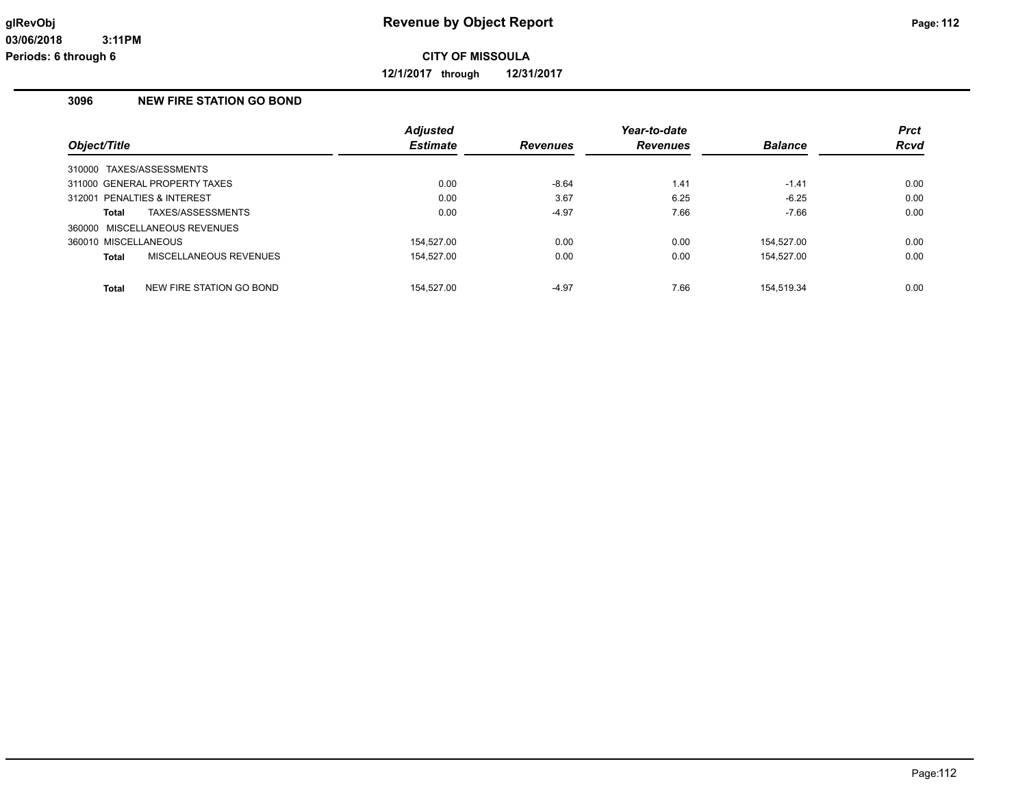**12/1/2017 through 12/31/2017**

# **3096 NEW FIRE STATION GO BOND**

|                                          | <b>Adjusted</b> |                 | Year-to-date    |                | <b>Prct</b> |
|------------------------------------------|-----------------|-----------------|-----------------|----------------|-------------|
| Object/Title                             | <b>Estimate</b> | <b>Revenues</b> | <b>Revenues</b> | <b>Balance</b> | <b>Rcvd</b> |
| 310000 TAXES/ASSESSMENTS                 |                 |                 |                 |                |             |
| 311000 GENERAL PROPERTY TAXES            | 0.00            | $-8.64$         | 1.41            | $-1.41$        | 0.00        |
| 312001 PENALTIES & INTEREST              | 0.00            | 3.67            | 6.25            | $-6.25$        | 0.00        |
| TAXES/ASSESSMENTS<br>Total               | 0.00            | $-4.97$         | 7.66            | $-7.66$        | 0.00        |
| 360000 MISCELLANEOUS REVENUES            |                 |                 |                 |                |             |
| 360010 MISCELLANEOUS                     | 154.527.00      | 0.00            | 0.00            | 154.527.00     | 0.00        |
| MISCELLANEOUS REVENUES<br><b>Total</b>   | 154.527.00      | 0.00            | 0.00            | 154.527.00     | 0.00        |
|                                          |                 |                 |                 |                |             |
| NEW FIRE STATION GO BOND<br><b>Total</b> | 154.527.00      | $-4.97$         | 7.66            | 154.519.34     | 0.00        |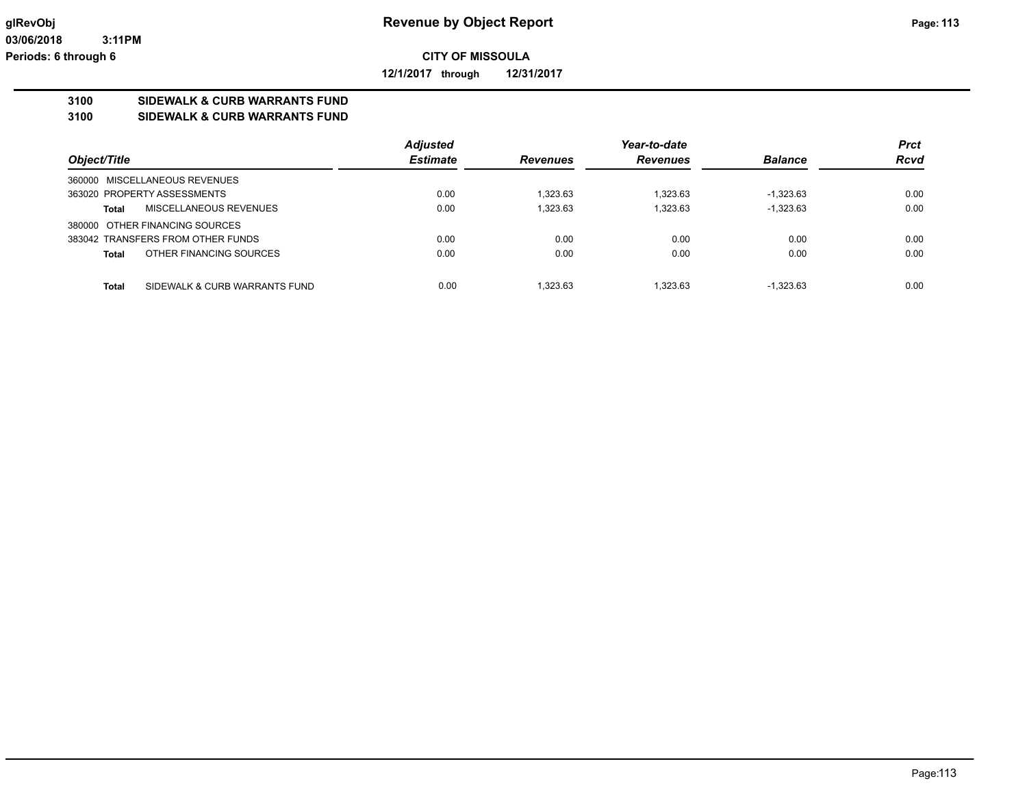**12/1/2017 through 12/31/2017**

# **3100 SIDEWALK & CURB WARRANTS FUND**

**3100 SIDEWALK & CURB WARRANTS FUND**

|                                               | <b>Adjusted</b> |                 | Year-to-date    |                | <b>Prct</b> |
|-----------------------------------------------|-----------------|-----------------|-----------------|----------------|-------------|
| Object/Title                                  | <b>Estimate</b> | <b>Revenues</b> | <b>Revenues</b> | <b>Balance</b> | <b>Rcvd</b> |
| 360000 MISCELLANEOUS REVENUES                 |                 |                 |                 |                |             |
| 363020 PROPERTY ASSESSMENTS                   | 0.00            | 1.323.63        | 1.323.63        | $-1.323.63$    | 0.00        |
| MISCELLANEOUS REVENUES<br><b>Total</b>        | 0.00            | 1.323.63        | 1.323.63        | $-1.323.63$    | 0.00        |
| 380000 OTHER FINANCING SOURCES                |                 |                 |                 |                |             |
| 383042 TRANSFERS FROM OTHER FUNDS             | 0.00            | 0.00            | 0.00            | 0.00           | 0.00        |
| OTHER FINANCING SOURCES<br><b>Total</b>       | 0.00            | 0.00            | 0.00            | 0.00           | 0.00        |
|                                               |                 |                 |                 |                |             |
| <b>Total</b><br>SIDEWALK & CURB WARRANTS FUND | 0.00            | 1.323.63        | 1.323.63        | $-1.323.63$    | 0.00        |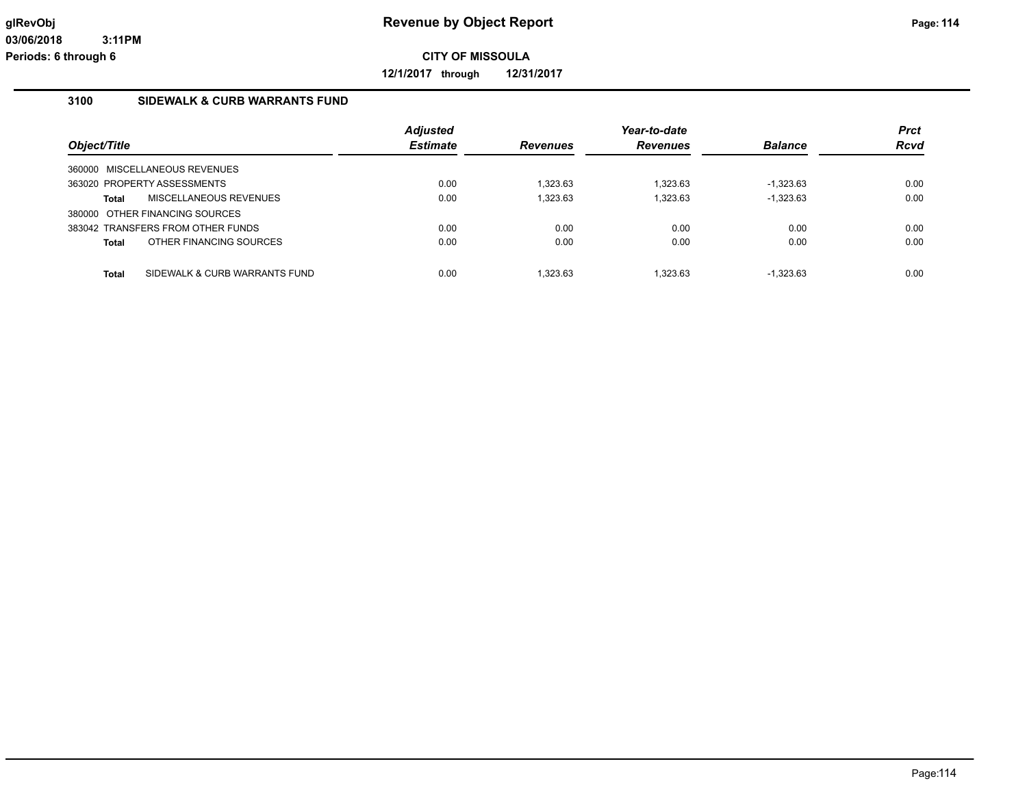**12/1/2017 through 12/31/2017**

### **3100 SIDEWALK & CURB WARRANTS FUND**

| Object/Title                                  | <b>Adjusted</b><br><b>Estimate</b> | <b>Revenues</b> | Year-to-date<br><b>Revenues</b> | <b>Balance</b> | <b>Prct</b><br>Rcvd |
|-----------------------------------------------|------------------------------------|-----------------|---------------------------------|----------------|---------------------|
| 360000 MISCELLANEOUS REVENUES                 |                                    |                 |                                 |                |                     |
| 363020 PROPERTY ASSESSMENTS                   | 0.00                               | 1.323.63        | 1.323.63                        | $-1.323.63$    | 0.00                |
| MISCELLANEOUS REVENUES<br><b>Total</b>        | 0.00                               | 1.323.63        | 1.323.63                        | $-1,323.63$    | 0.00                |
| 380000 OTHER FINANCING SOURCES                |                                    |                 |                                 |                |                     |
| 383042 TRANSFERS FROM OTHER FUNDS             | 0.00                               | 0.00            | 0.00                            | 0.00           | 0.00                |
| OTHER FINANCING SOURCES<br><b>Total</b>       | 0.00                               | 0.00            | 0.00                            | 0.00           | 0.00                |
|                                               |                                    |                 |                                 |                |                     |
| SIDEWALK & CURB WARRANTS FUND<br><b>Total</b> | 0.00                               | 1.323.63        | 1.323.63                        | $-1.323.63$    | 0.00                |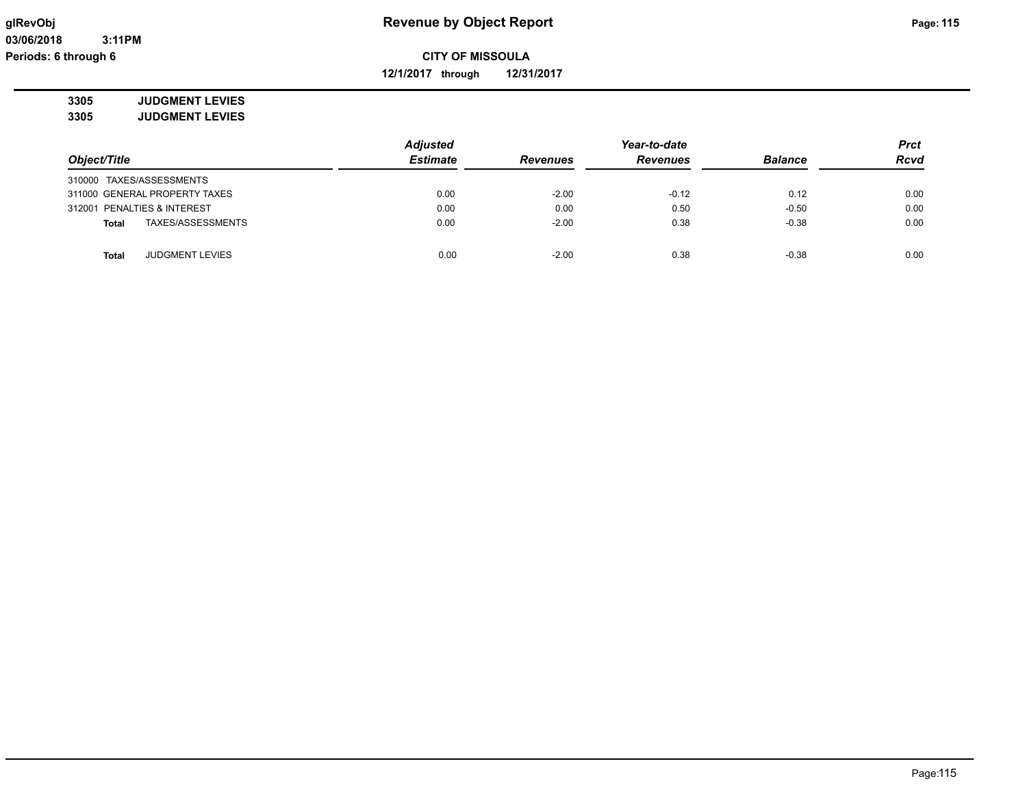**12/1/2017 through 12/31/2017**

**3305 JUDGMENT LEVIES**

| 3305 | <b>JUDGMENT LEVIES</b> |
|------|------------------------|
|      |                        |

|                                        | <b>Adjusted</b> |                 | Year-to-date    |                | <b>Prct</b> |
|----------------------------------------|-----------------|-----------------|-----------------|----------------|-------------|
| Object/Title                           | <b>Estimate</b> | <b>Revenues</b> | <b>Revenues</b> | <b>Balance</b> | <b>Rcvd</b> |
| 310000 TAXES/ASSESSMENTS               |                 |                 |                 |                |             |
| 311000 GENERAL PROPERTY TAXES          | 0.00            | $-2.00$         | $-0.12$         | 0.12           | 0.00        |
| 312001 PENALTIES & INTEREST            | 0.00            | 0.00            | 0.50            | $-0.50$        | 0.00        |
| TAXES/ASSESSMENTS<br><b>Total</b>      | 0.00            | $-2.00$         | 0.38            | $-0.38$        | 0.00        |
| <b>JUDGMENT LEVIES</b><br><b>Total</b> | 0.00            | $-2.00$         | 0.38            | $-0.38$        | 0.00        |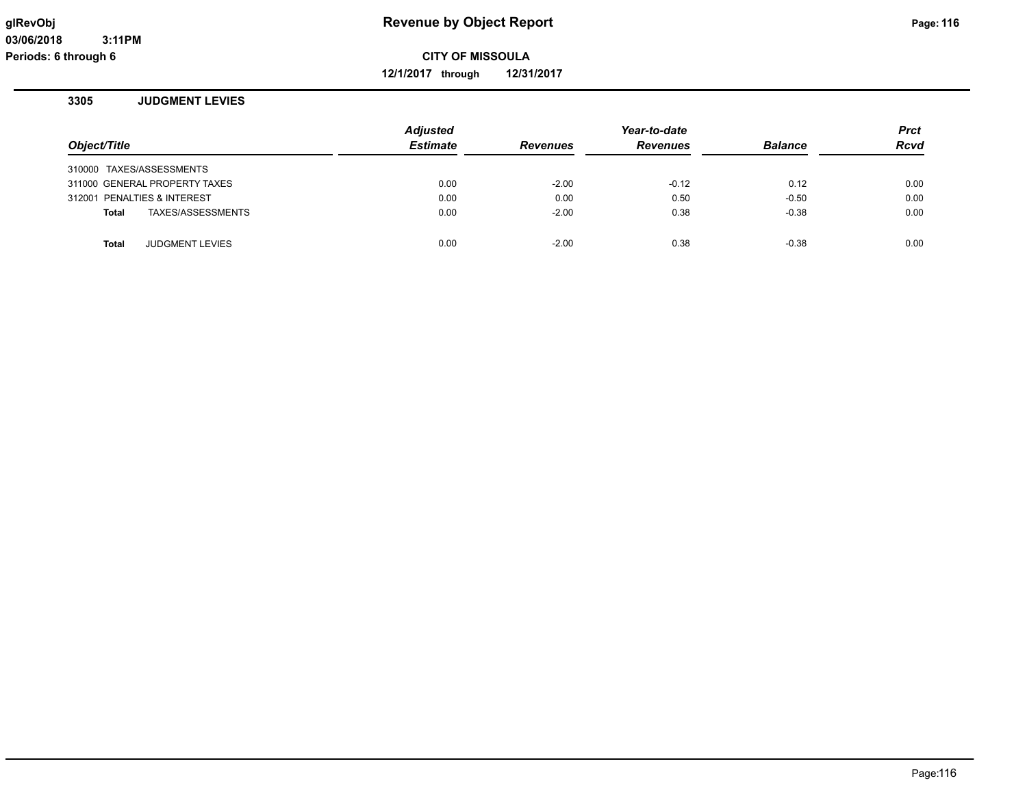**12/1/2017 through 12/31/2017**

### **3305 JUDGMENT LEVIES**

| Object/Title |                               | <b>Adjusted</b><br><b>Estimate</b> | <b>Revenues</b> | Year-to-date<br><b>Revenues</b> | <b>Balance</b> | <b>Prct</b><br><b>Rcvd</b> |
|--------------|-------------------------------|------------------------------------|-----------------|---------------------------------|----------------|----------------------------|
|              |                               |                                    |                 |                                 |                |                            |
|              | 310000 TAXES/ASSESSMENTS      |                                    |                 |                                 |                |                            |
|              | 311000 GENERAL PROPERTY TAXES | 0.00                               | $-2.00$         | $-0.12$                         | 0.12           | 0.00                       |
|              | 312001 PENALTIES & INTEREST   | 0.00                               | 0.00            | 0.50                            | $-0.50$        | 0.00                       |
| <b>Total</b> | TAXES/ASSESSMENTS             | 0.00                               | $-2.00$         | 0.38                            | $-0.38$        | 0.00                       |
|              |                               |                                    |                 |                                 |                |                            |
| <b>Total</b> | <b>JUDGMENT LEVIES</b>        | 0.00                               | $-2.00$         | 0.38                            | $-0.38$        | 0.00                       |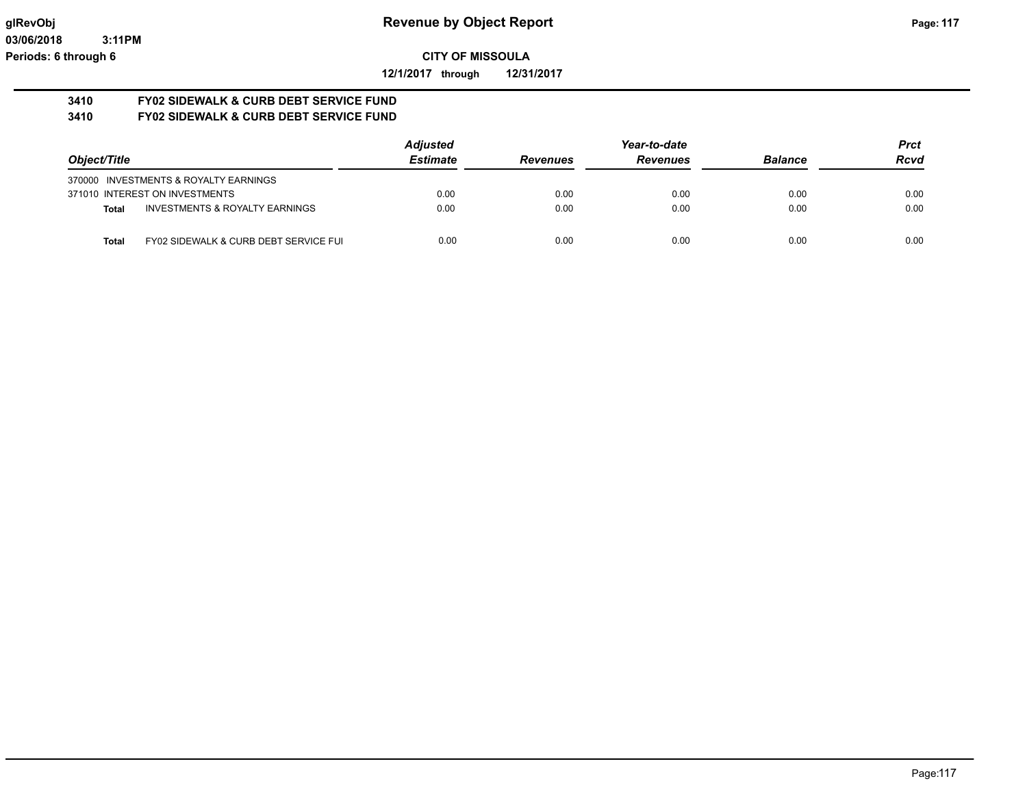**12/1/2017 through 12/31/2017**

#### **3410 FY02 SIDEWALK & CURB DEBT SERVICE FUND 3410 FY02 SIDEWALK & CURB DEBT SERVICE FUND**

|                                       |                                           | <b>Adjusted</b> |                 | Year-to-date    |                | Prct        |
|---------------------------------------|-------------------------------------------|-----------------|-----------------|-----------------|----------------|-------------|
| Object/Title                          |                                           | <b>Estimate</b> | <b>Revenues</b> | <b>Revenues</b> | <b>Balance</b> | <b>Rcvd</b> |
| 370000 INVESTMENTS & ROYALTY EARNINGS |                                           |                 |                 |                 |                |             |
| 371010 INTEREST ON INVESTMENTS        |                                           | 0.00            | 0.00            | 0.00            | 0.00           | 0.00        |
| <b>Total</b>                          | <b>INVESTMENTS &amp; ROYALTY EARNINGS</b> | 0.00            | 0.00            | 0.00            | 0.00           | 0.00        |
| <b>Total</b>                          | FY02 SIDEWALK & CURB DEBT SERVICE FUI     | 0.00            | 0.00            | 0.00            | 0.00           | 0.00        |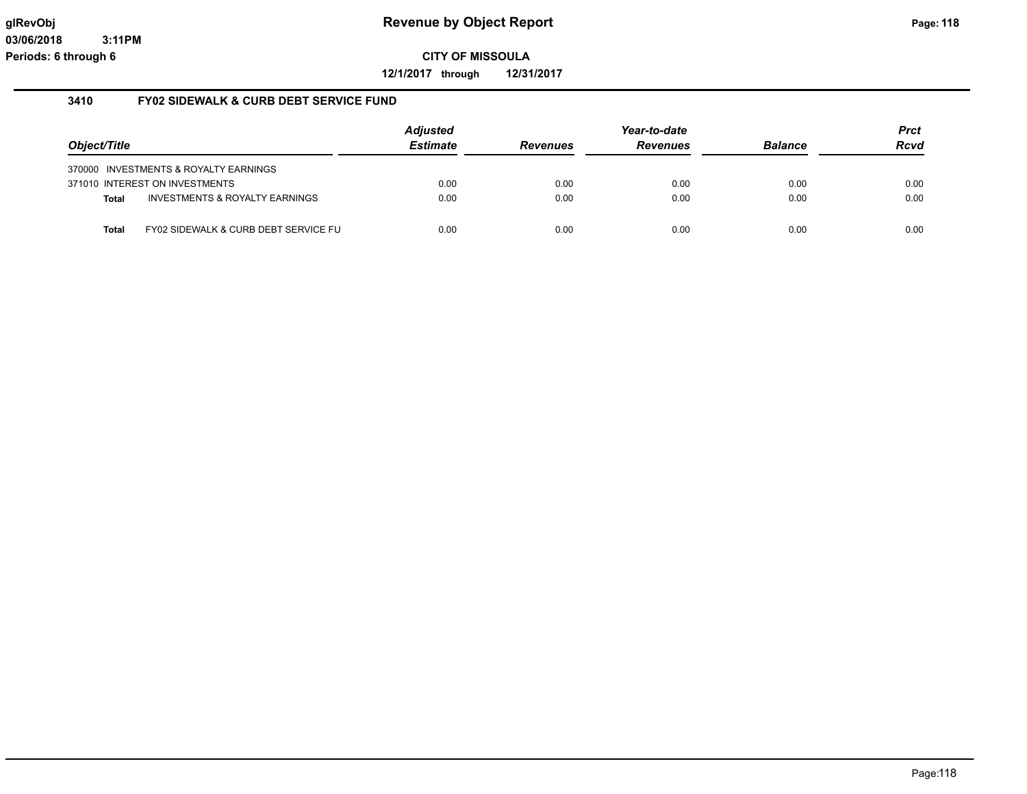**12/1/2017 through 12/31/2017**

### **3410 FY02 SIDEWALK & CURB DEBT SERVICE FUND**

|              |                                       | <b>Adjusted</b> |                 | Year-to-date    |                | Prct |
|--------------|---------------------------------------|-----------------|-----------------|-----------------|----------------|------|
| Object/Title |                                       | <b>Estimate</b> | <b>Revenues</b> | <b>Revenues</b> | <b>Balance</b> | Rcvd |
|              | 370000 INVESTMENTS & ROYALTY EARNINGS |                 |                 |                 |                |      |
|              | 371010 INTEREST ON INVESTMENTS        | 0.00            | 0.00            | 0.00            | 0.00           | 0.00 |
| <b>Total</b> | INVESTMENTS & ROYALTY EARNINGS        | 0.00            | 0.00            | 0.00            | 0.00           | 0.00 |
| Total        | FY02 SIDEWALK & CURB DEBT SERVICE FU  | 0.00            | 0.00            | 0.00            | 0.00           | 0.00 |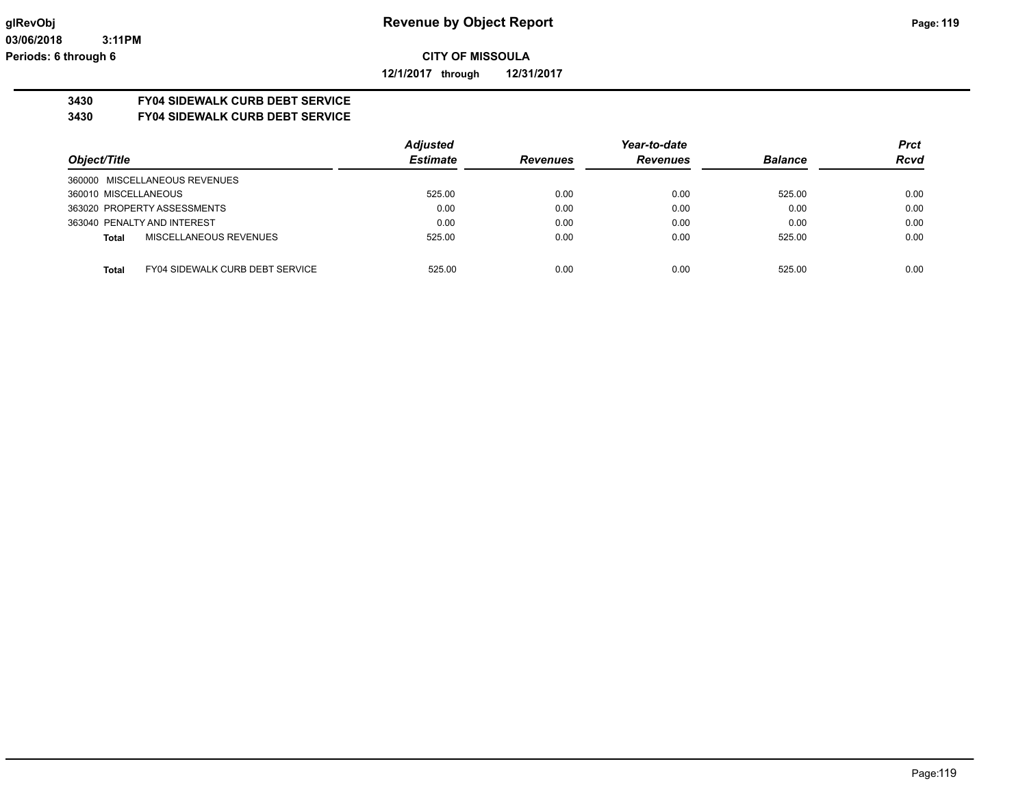**12/1/2017 through 12/31/2017**

# **3430 FY04 SIDEWALK CURB DEBT SERVICE**

**3430 FY04 SIDEWALK CURB DEBT SERVICE**

|                                                        | <b>Adjusted</b> |                 | Year-to-date    |                | <b>Prct</b> |
|--------------------------------------------------------|-----------------|-----------------|-----------------|----------------|-------------|
| Object/Title                                           | <b>Estimate</b> | <b>Revenues</b> | <b>Revenues</b> | <b>Balance</b> | <b>Rcvd</b> |
| 360000 MISCELLANEOUS REVENUES                          |                 |                 |                 |                |             |
| 360010 MISCELLANEOUS                                   | 525.00          | 0.00            | 0.00            | 525.00         | 0.00        |
| 363020 PROPERTY ASSESSMENTS                            | 0.00            | 0.00            | 0.00            | 0.00           | 0.00        |
| 363040 PENALTY AND INTEREST                            | 0.00            | 0.00            | 0.00            | 0.00           | 0.00        |
| MISCELLANEOUS REVENUES<br><b>Total</b>                 | 525.00          | 0.00            | 0.00            | 525.00         | 0.00        |
|                                                        |                 |                 |                 |                |             |
| <b>FY04 SIDEWALK CURB DEBT SERVICE</b><br><b>Total</b> | 525.00          | 0.00            | 0.00            | 525.00         | 0.00        |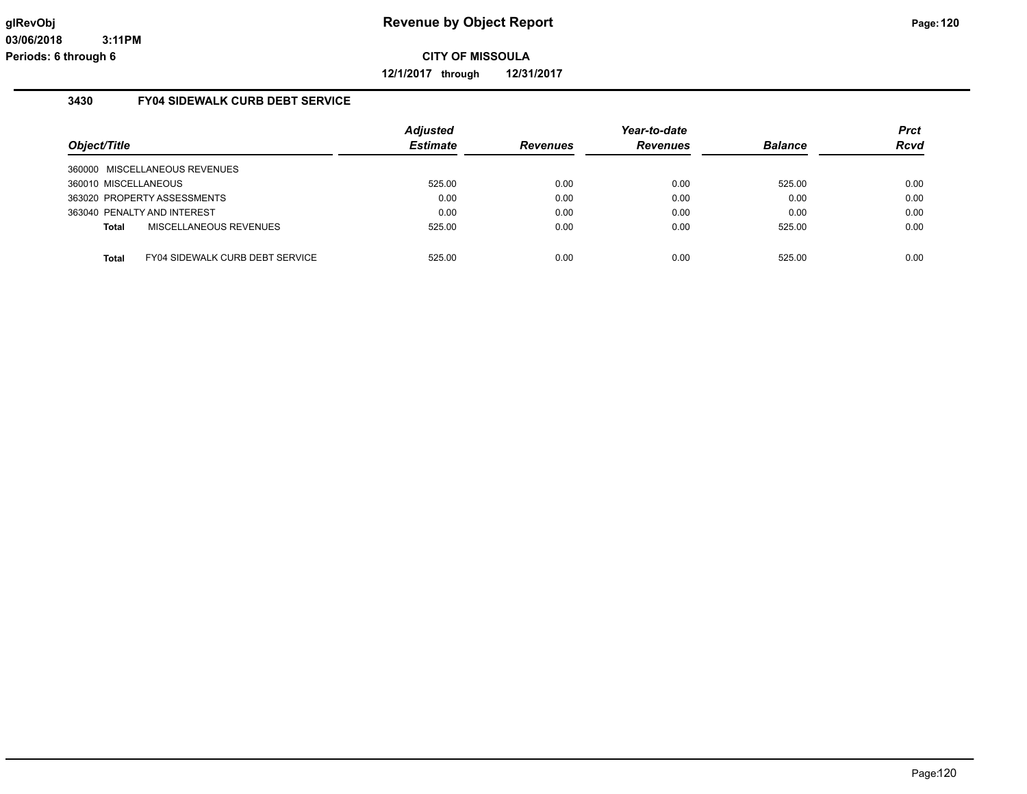**12/1/2017 through 12/31/2017**

### **3430 FY04 SIDEWALK CURB DEBT SERVICE**

| Object/Title                  |                                        | <b>Adjusted</b><br><b>Estimate</b> | <b>Revenues</b> | Year-to-date<br><b>Revenues</b> | <b>Balance</b> | Prct<br><b>Rcvd</b> |
|-------------------------------|----------------------------------------|------------------------------------|-----------------|---------------------------------|----------------|---------------------|
| 360000 MISCELLANEOUS REVENUES |                                        |                                    |                 |                                 |                |                     |
| 360010 MISCELLANEOUS          |                                        | 525.00                             | 0.00            | 0.00                            | 525.00         | 0.00                |
| 363020 PROPERTY ASSESSMENTS   |                                        | 0.00                               | 0.00            | 0.00                            | 0.00           | 0.00                |
| 363040 PENALTY AND INTEREST   |                                        | 0.00                               | 0.00            | 0.00                            | 0.00           | 0.00                |
| Total                         | MISCELLANEOUS REVENUES                 | 525.00                             | 0.00            | 0.00                            | 525.00         | 0.00                |
|                               |                                        |                                    |                 |                                 |                |                     |
| <b>Total</b>                  | <b>FY04 SIDEWALK CURB DEBT SERVICE</b> | 525.00                             | 0.00            | 0.00                            | 525.00         | 0.00                |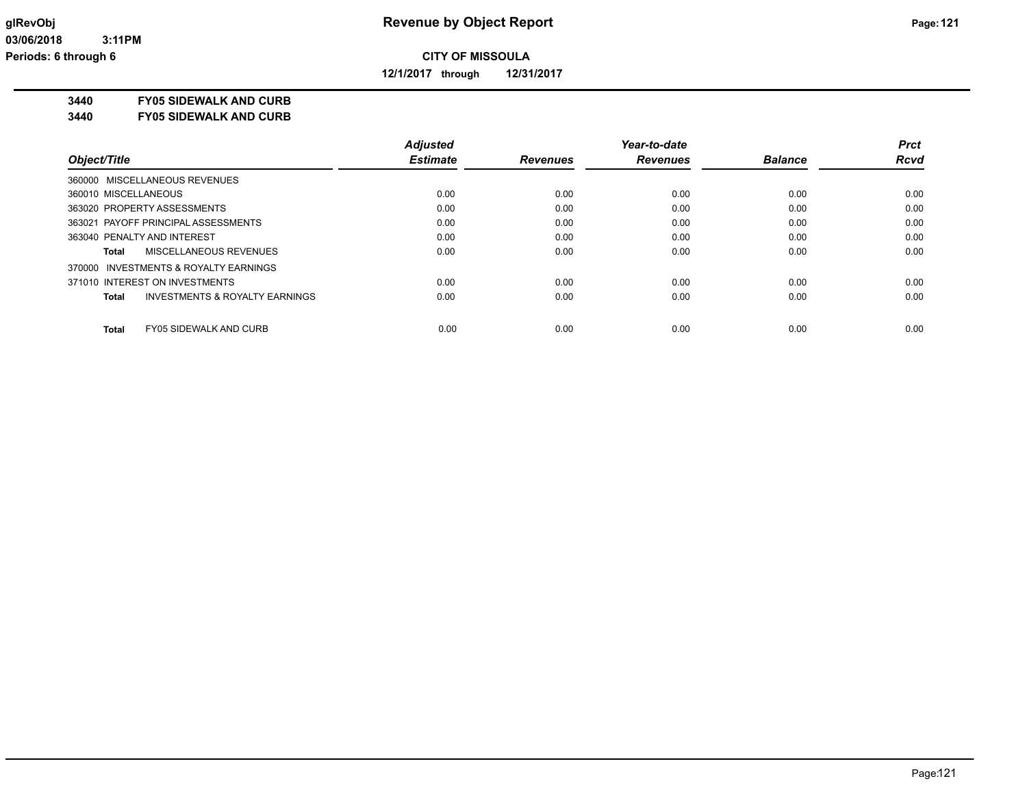**12/1/2017 through 12/31/2017**

**3440 FY05 SIDEWALK AND CURB**

**3440 FY05 SIDEWALK AND CURB**

|                                                    | <b>Adjusted</b> |                 | Year-to-date    |                | <b>Prct</b> |
|----------------------------------------------------|-----------------|-----------------|-----------------|----------------|-------------|
| Object/Title                                       | <b>Estimate</b> | <b>Revenues</b> | <b>Revenues</b> | <b>Balance</b> | <b>Rcvd</b> |
| 360000 MISCELLANEOUS REVENUES                      |                 |                 |                 |                |             |
| 360010 MISCELLANEOUS                               | 0.00            | 0.00            | 0.00            | 0.00           | 0.00        |
| 363020 PROPERTY ASSESSMENTS                        | 0.00            | 0.00            | 0.00            | 0.00           | 0.00        |
| 363021 PAYOFF PRINCIPAL ASSESSMENTS                | 0.00            | 0.00            | 0.00            | 0.00           | 0.00        |
| 363040 PENALTY AND INTEREST                        | 0.00            | 0.00            | 0.00            | 0.00           | 0.00        |
| MISCELLANEOUS REVENUES<br>Total                    | 0.00            | 0.00            | 0.00            | 0.00           | 0.00        |
| 370000 INVESTMENTS & ROYALTY EARNINGS              |                 |                 |                 |                |             |
| 371010 INTEREST ON INVESTMENTS                     | 0.00            | 0.00            | 0.00            | 0.00           | 0.00        |
| <b>INVESTMENTS &amp; ROYALTY EARNINGS</b><br>Total | 0.00            | 0.00            | 0.00            | 0.00           | 0.00        |
| <b>Total</b><br><b>FY05 SIDEWALK AND CURB</b>      | 0.00            | 0.00            | 0.00            | 0.00           | 0.00        |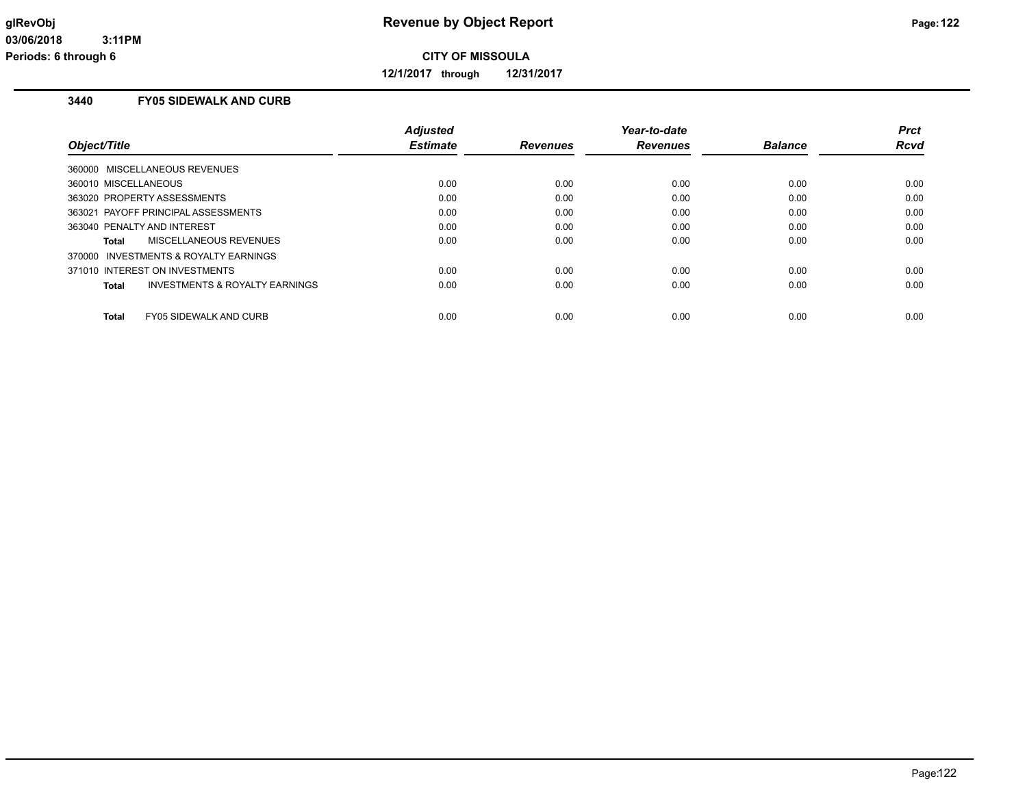**12/1/2017 through 12/31/2017**

# **3440 FY05 SIDEWALK AND CURB**

| <b>Adjusted</b><br><b>Estimate</b> | <b>Revenues</b> | Year-to-date<br><b>Revenues</b> | <b>Balance</b> | <b>Prct</b><br>Rcvd |
|------------------------------------|-----------------|---------------------------------|----------------|---------------------|
|                                    |                 |                                 |                |                     |
| 0.00                               | 0.00            | 0.00                            | 0.00           | 0.00                |
| 0.00                               | 0.00            | 0.00                            | 0.00           | 0.00                |
| 0.00                               | 0.00            | 0.00                            | 0.00           | 0.00                |
| 0.00                               | 0.00            | 0.00                            | 0.00           | 0.00                |
| 0.00                               | 0.00            | 0.00                            | 0.00           | 0.00                |
|                                    |                 |                                 |                |                     |
| 0.00                               | 0.00            | 0.00                            | 0.00           | 0.00                |
| 0.00                               | 0.00            | 0.00                            | 0.00           | 0.00                |
|                                    |                 |                                 |                | 0.00                |
|                                    | 0.00            | 0.00                            | 0.00           | 0.00                |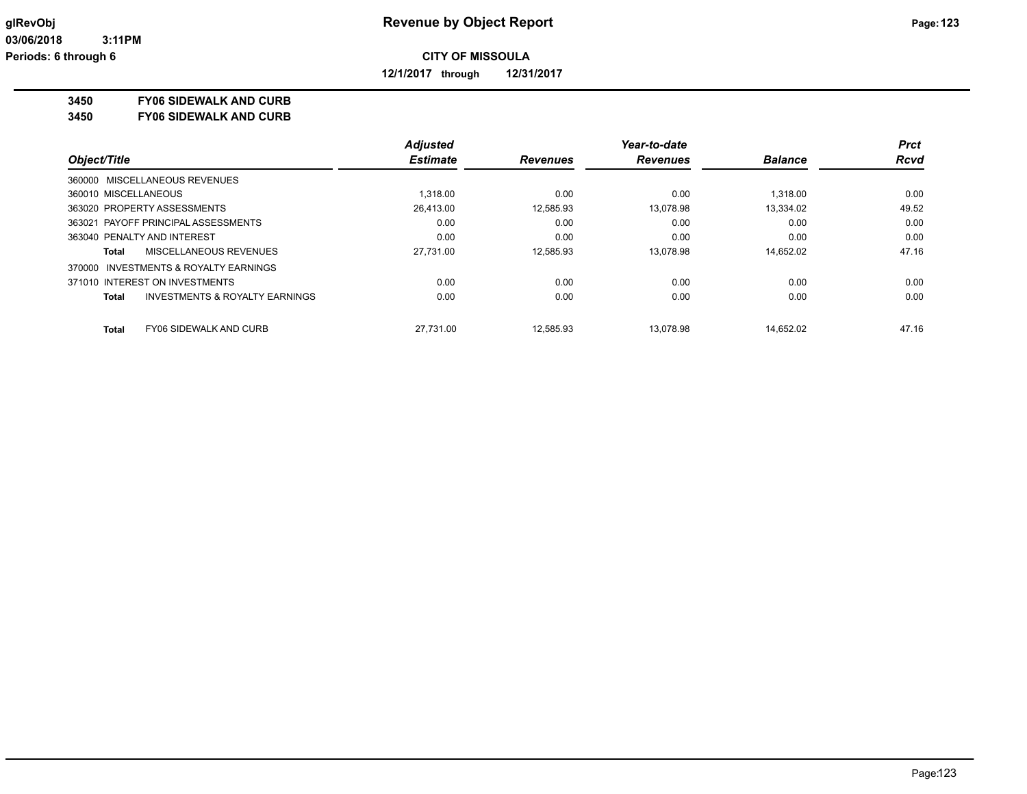**12/1/2017 through 12/31/2017**

#### **3450 FY06 SIDEWALK AND CURB**

**3450 FY06 SIDEWALK AND CURB**

|                                                           | <b>Adjusted</b> |                 | Year-to-date    |                | <b>Prct</b> |
|-----------------------------------------------------------|-----------------|-----------------|-----------------|----------------|-------------|
| Object/Title                                              | <b>Estimate</b> | <b>Revenues</b> | <b>Revenues</b> | <b>Balance</b> | <b>Rcvd</b> |
| 360000 MISCELLANEOUS REVENUES                             |                 |                 |                 |                |             |
| 360010 MISCELLANEOUS                                      | 1.318.00        | 0.00            | 0.00            | 1.318.00       | 0.00        |
| 363020 PROPERTY ASSESSMENTS                               | 26,413.00       | 12,585.93       | 13.078.98       | 13.334.02      | 49.52       |
| 363021 PAYOFF PRINCIPAL ASSESSMENTS                       | 0.00            | 0.00            | 0.00            | 0.00           | 0.00        |
| 363040 PENALTY AND INTEREST                               | 0.00            | 0.00            | 0.00            | 0.00           | 0.00        |
| MISCELLANEOUS REVENUES<br>Total                           | 27.731.00       | 12.585.93       | 13.078.98       | 14.652.02      | 47.16       |
| 370000 INVESTMENTS & ROYALTY EARNINGS                     |                 |                 |                 |                |             |
| 371010 INTEREST ON INVESTMENTS                            | 0.00            | 0.00            | 0.00            | 0.00           | 0.00        |
| <b>INVESTMENTS &amp; ROYALTY EARNINGS</b><br><b>Total</b> | 0.00            | 0.00            | 0.00            | 0.00           | 0.00        |
| <b>FY06 SIDEWALK AND CURB</b><br><b>Total</b>             | 27.731.00       | 12.585.93       | 13.078.98       | 14.652.02      | 47.16       |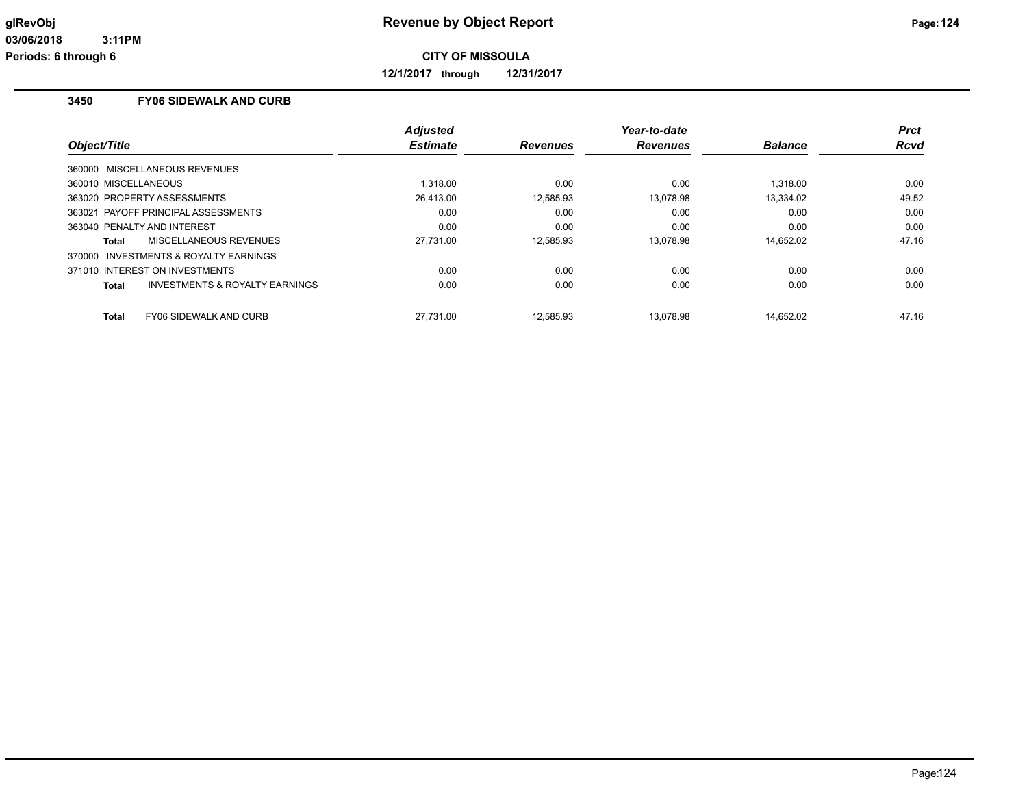**12/1/2017 through 12/31/2017**

# **3450 FY06 SIDEWALK AND CURB**

|                                         | <b>Adjusted</b> |                 | Year-to-date    |                | <b>Prct</b> |
|-----------------------------------------|-----------------|-----------------|-----------------|----------------|-------------|
| Object/Title                            | <b>Estimate</b> | <b>Revenues</b> | <b>Revenues</b> | <b>Balance</b> | <b>Rcvd</b> |
| 360000 MISCELLANEOUS REVENUES           |                 |                 |                 |                |             |
| 360010 MISCELLANEOUS                    | 1.318.00        | 0.00            | 0.00            | 1.318.00       | 0.00        |
| 363020 PROPERTY ASSESSMENTS             | 26.413.00       | 12,585.93       | 13.078.98       | 13,334.02      | 49.52       |
| 363021 PAYOFF PRINCIPAL ASSESSMENTS     | 0.00            | 0.00            | 0.00            | 0.00           | 0.00        |
| 363040 PENALTY AND INTEREST             | 0.00            | 0.00            | 0.00            | 0.00           | 0.00        |
| MISCELLANEOUS REVENUES<br>Total         | 27,731.00       | 12.585.93       | 13.078.98       | 14,652.02      | 47.16       |
| 370000 INVESTMENTS & ROYALTY EARNINGS   |                 |                 |                 |                |             |
| 371010 INTEREST ON INVESTMENTS          | 0.00            | 0.00            | 0.00            | 0.00           | 0.00        |
| INVESTMENTS & ROYALTY EARNINGS<br>Total | 0.00            | 0.00            | 0.00            | 0.00           | 0.00        |
| <b>FY06 SIDEWALK AND CURB</b><br>Total  | 27.731.00       | 12.585.93       | 13.078.98       | 14.652.02      | 47.16       |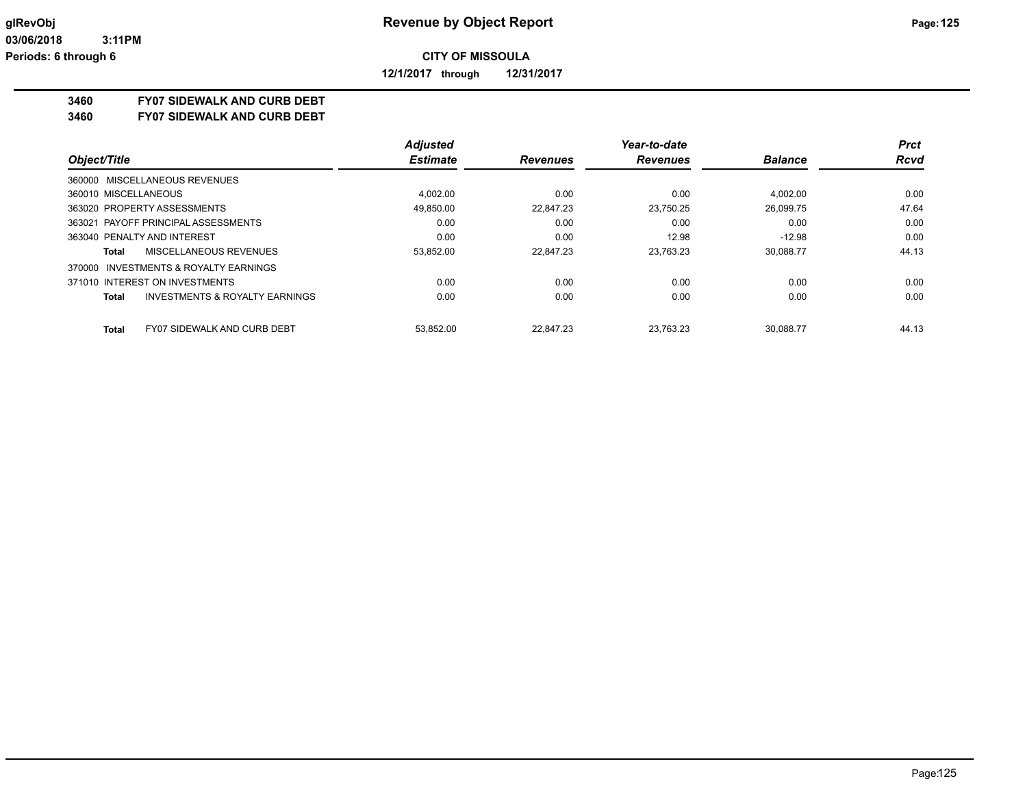**12/1/2017 through 12/31/2017**

### **3460 FY07 SIDEWALK AND CURB DEBT**

**3460 FY07 SIDEWALK AND CURB DEBT**

|                                                    | <b>Adjusted</b> |                 | Year-to-date    |                | Prct        |
|----------------------------------------------------|-----------------|-----------------|-----------------|----------------|-------------|
| Object/Title                                       | <b>Estimate</b> | <b>Revenues</b> | <b>Revenues</b> | <b>Balance</b> | <b>Rcvd</b> |
| 360000 MISCELLANEOUS REVENUES                      |                 |                 |                 |                |             |
| 360010 MISCELLANEOUS                               | 4.002.00        | 0.00            | 0.00            | 4.002.00       | 0.00        |
| 363020 PROPERTY ASSESSMENTS                        | 49.850.00       | 22.847.23       | 23.750.25       | 26.099.75      | 47.64       |
| 363021 PAYOFF PRINCIPAL ASSESSMENTS                | 0.00            | 0.00            | 0.00            | 0.00           | 0.00        |
| 363040 PENALTY AND INTEREST                        | 0.00            | 0.00            | 12.98           | $-12.98$       | 0.00        |
| MISCELLANEOUS REVENUES<br>Total                    | 53,852.00       | 22.847.23       | 23.763.23       | 30.088.77      | 44.13       |
| 370000 INVESTMENTS & ROYALTY EARNINGS              |                 |                 |                 |                |             |
| 371010 INTEREST ON INVESTMENTS                     | 0.00            | 0.00            | 0.00            | 0.00           | 0.00        |
| <b>INVESTMENTS &amp; ROYALTY EARNINGS</b><br>Total | 0.00            | 0.00            | 0.00            | 0.00           | 0.00        |
| <b>FY07 SIDEWALK AND CURB DEBT</b><br><b>Total</b> | 53.852.00       | 22.847.23       | 23.763.23       | 30.088.77      | 44.13       |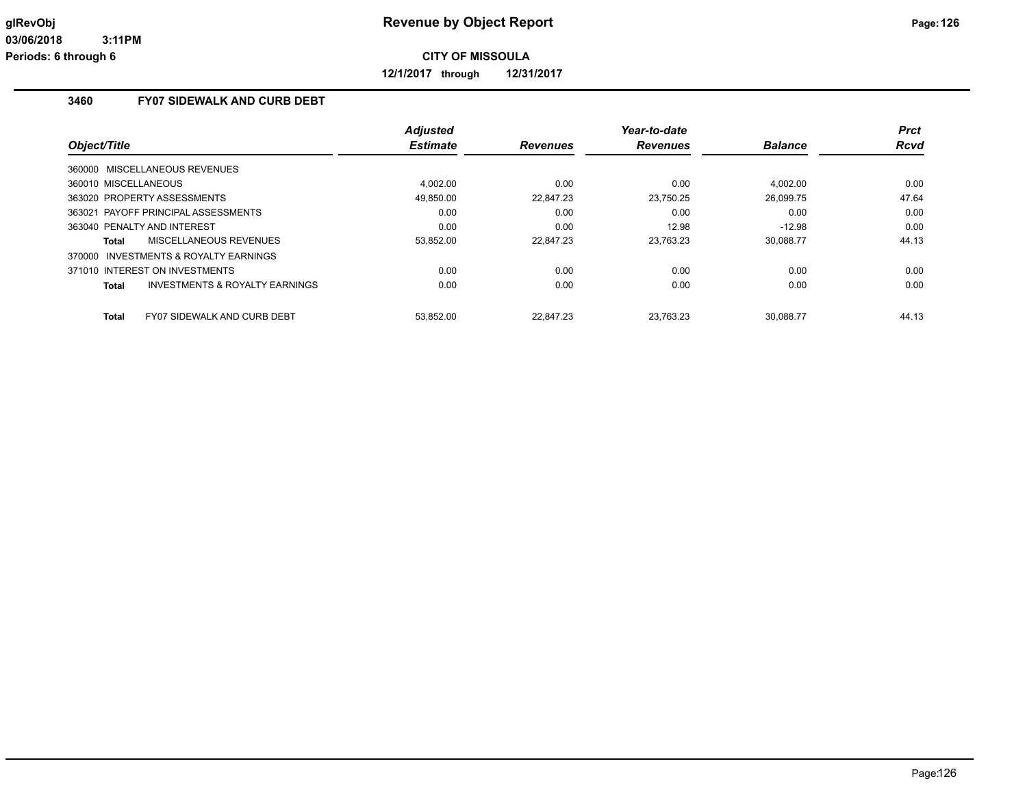**12/1/2017 through 12/31/2017**

# **3460 FY07 SIDEWALK AND CURB DEBT**

| Object/Title                                       | <b>Adjusted</b><br><b>Estimate</b> | <b>Revenues</b> | Year-to-date<br><b>Revenues</b> | <b>Balance</b> | <b>Prct</b><br><b>Rcvd</b> |
|----------------------------------------------------|------------------------------------|-----------------|---------------------------------|----------------|----------------------------|
|                                                    |                                    |                 |                                 |                |                            |
| 360000 MISCELLANEOUS REVENUES                      |                                    |                 |                                 |                |                            |
| 360010 MISCELLANEOUS                               | 4.002.00                           | 0.00            | 0.00                            | 4.002.00       | 0.00                       |
| 363020 PROPERTY ASSESSMENTS                        | 49.850.00                          | 22.847.23       | 23,750.25                       | 26,099.75      | 47.64                      |
| 363021 PAYOFF PRINCIPAL ASSESSMENTS                | 0.00                               | 0.00            | 0.00                            | 0.00           | 0.00                       |
| 363040 PENALTY AND INTEREST                        | 0.00                               | 0.00            | 12.98                           | $-12.98$       | 0.00                       |
| <b>MISCELLANEOUS REVENUES</b><br>Total             | 53,852.00                          | 22.847.23       | 23,763.23                       | 30,088.77      | 44.13                      |
| 370000 INVESTMENTS & ROYALTY EARNINGS              |                                    |                 |                                 |                |                            |
| 371010 INTEREST ON INVESTMENTS                     | 0.00                               | 0.00            | 0.00                            | 0.00           | 0.00                       |
| <b>INVESTMENTS &amp; ROYALTY EARNINGS</b><br>Total | 0.00                               | 0.00            | 0.00                            | 0.00           | 0.00                       |
|                                                    |                                    |                 |                                 |                |                            |
| <b>FY07 SIDEWALK AND CURB DEBT</b><br>Total        | 53.852.00                          | 22.847.23       | 23.763.23                       | 30.088.77      | 44.13                      |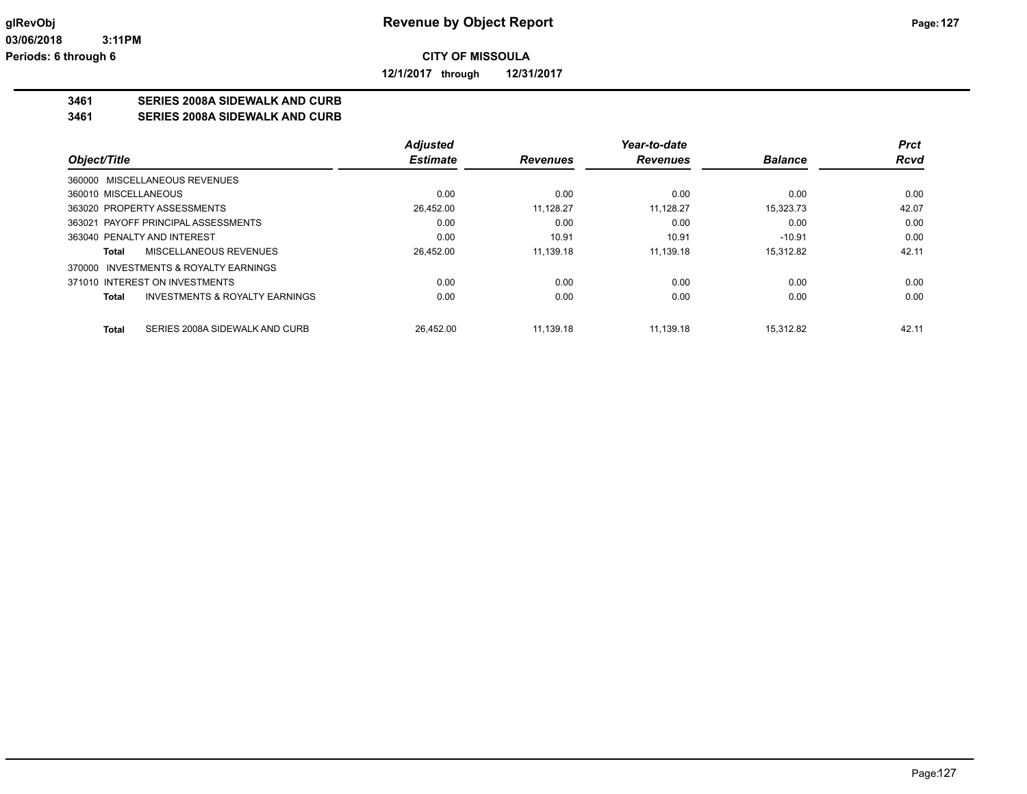**12/1/2017 through 12/31/2017**

# **3461 SERIES 2008A SIDEWALK AND CURB**

**3461 SERIES 2008A SIDEWALK AND CURB**

|                                                           | <b>Adjusted</b> |                 | Year-to-date    |                | <b>Prct</b> |
|-----------------------------------------------------------|-----------------|-----------------|-----------------|----------------|-------------|
| Object/Title                                              | <b>Estimate</b> | <b>Revenues</b> | <b>Revenues</b> | <b>Balance</b> | <b>Rcvd</b> |
| 360000 MISCELLANEOUS REVENUES                             |                 |                 |                 |                |             |
| 360010 MISCELLANEOUS                                      | 0.00            | 0.00            | 0.00            | 0.00           | 0.00        |
| 363020 PROPERTY ASSESSMENTS                               | 26,452.00       | 11.128.27       | 11.128.27       | 15,323.73      | 42.07       |
| 363021 PAYOFF PRINCIPAL ASSESSMENTS                       | 0.00            | 0.00            | 0.00            | 0.00           | 0.00        |
| 363040 PENALTY AND INTEREST                               | 0.00            | 10.91           | 10.91           | $-10.91$       | 0.00        |
| <b>MISCELLANEOUS REVENUES</b><br>Total                    | 26,452.00       | 11,139.18       | 11.139.18       | 15,312.82      | 42.11       |
| 370000 INVESTMENTS & ROYALTY EARNINGS                     |                 |                 |                 |                |             |
| 371010 INTEREST ON INVESTMENTS                            | 0.00            | 0.00            | 0.00            | 0.00           | 0.00        |
| <b>INVESTMENTS &amp; ROYALTY EARNINGS</b><br><b>Total</b> | 0.00            | 0.00            | 0.00            | 0.00           | 0.00        |
| SERIES 2008A SIDEWALK AND CURB<br><b>Total</b>            | 26.452.00       | 11.139.18       | 11.139.18       | 15.312.82      | 42.11       |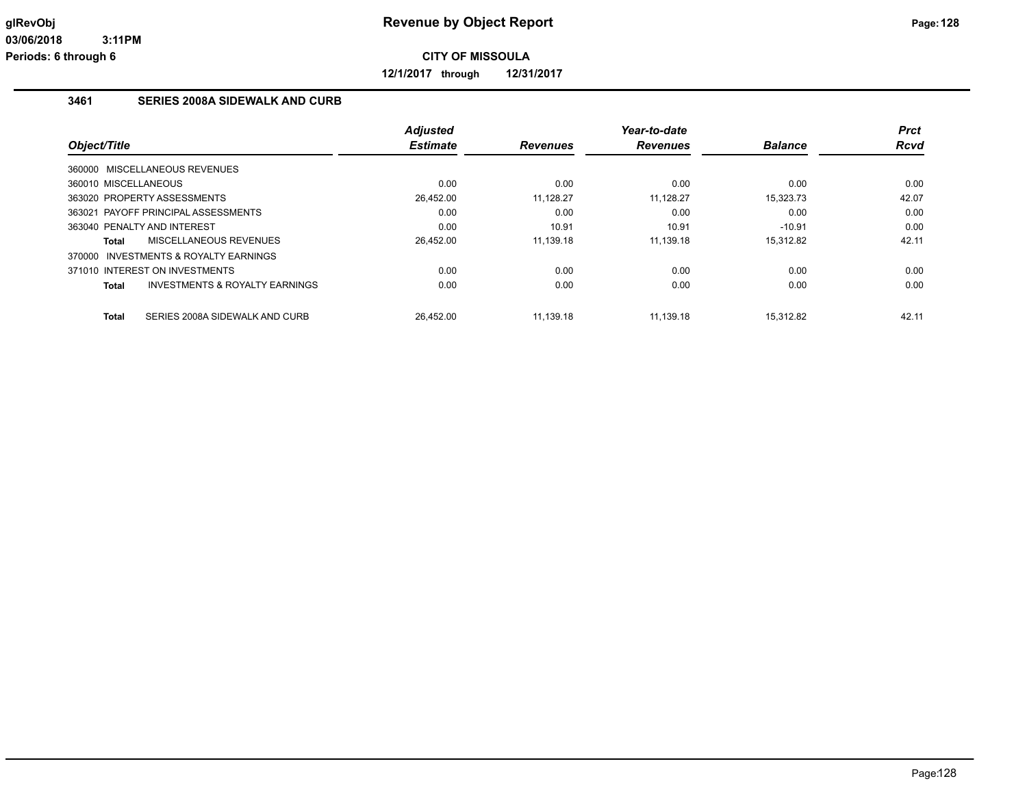**12/1/2017 through 12/31/2017**

### **3461 SERIES 2008A SIDEWALK AND CURB**

|                                                | <b>Adjusted</b> |                 | Year-to-date    |                | <b>Prct</b> |
|------------------------------------------------|-----------------|-----------------|-----------------|----------------|-------------|
| Object/Title                                   | <b>Estimate</b> | <b>Revenues</b> | <b>Revenues</b> | <b>Balance</b> | <b>Rcvd</b> |
| 360000 MISCELLANEOUS REVENUES                  |                 |                 |                 |                |             |
| 360010 MISCELLANEOUS                           | 0.00            | 0.00            | 0.00            | 0.00           | 0.00        |
| 363020 PROPERTY ASSESSMENTS                    | 26,452.00       | 11,128.27       | 11,128.27       | 15,323.73      | 42.07       |
| 363021 PAYOFF PRINCIPAL ASSESSMENTS            | 0.00            | 0.00            | 0.00            | 0.00           | 0.00        |
| 363040 PENALTY AND INTEREST                    | 0.00            | 10.91           | 10.91           | $-10.91$       | 0.00        |
| MISCELLANEOUS REVENUES<br>Total                | 26,452.00       | 11.139.18       | 11.139.18       | 15,312.82      | 42.11       |
| 370000 INVESTMENTS & ROYALTY EARNINGS          |                 |                 |                 |                |             |
| 371010 INTEREST ON INVESTMENTS                 | 0.00            | 0.00            | 0.00            | 0.00           | 0.00        |
| INVESTMENTS & ROYALTY EARNINGS<br>Total        | 0.00            | 0.00            | 0.00            | 0.00           | 0.00        |
|                                                |                 |                 |                 |                |             |
| SERIES 2008A SIDEWALK AND CURB<br><b>Total</b> | 26.452.00       | 11.139.18       | 11.139.18       | 15.312.82      | 42.11       |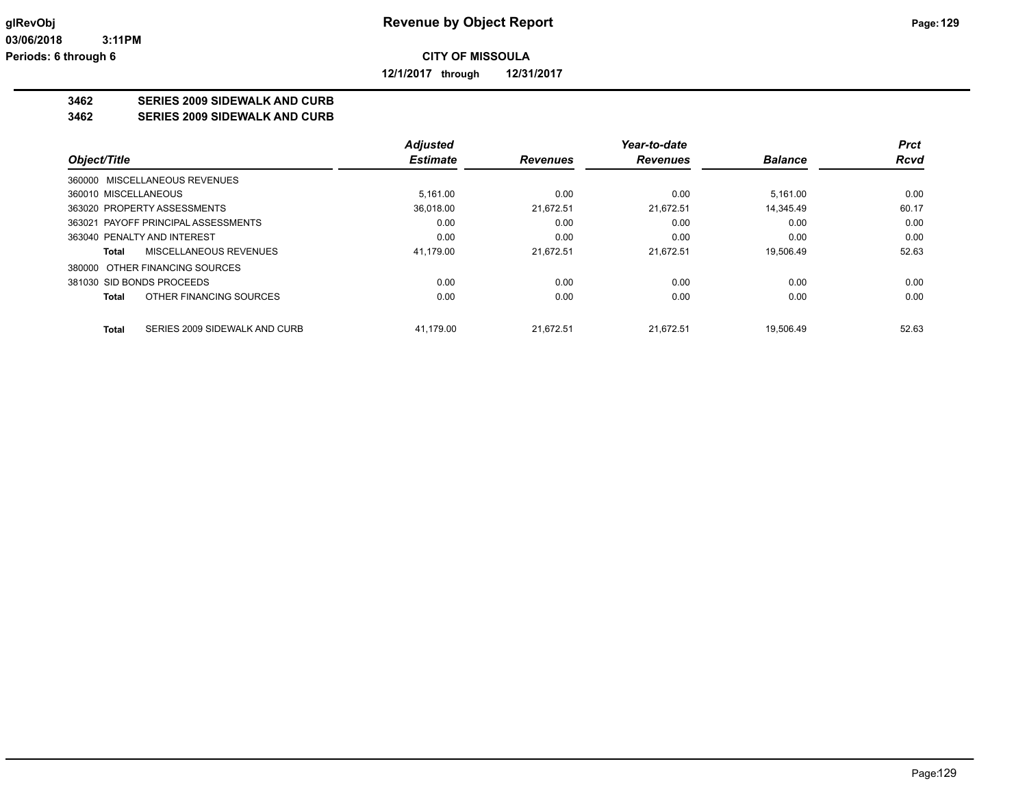**12/1/2017 through 12/31/2017**

# **3462 SERIES 2009 SIDEWALK AND CURB**

**3462 SERIES 2009 SIDEWALK AND CURB**

|                                               | <b>Adjusted</b> |                 | Year-to-date    |                | Prct        |
|-----------------------------------------------|-----------------|-----------------|-----------------|----------------|-------------|
| Object/Title                                  | <b>Estimate</b> | <b>Revenues</b> | <b>Revenues</b> | <b>Balance</b> | <b>Rcvd</b> |
| 360000 MISCELLANEOUS REVENUES                 |                 |                 |                 |                |             |
| 360010 MISCELLANEOUS                          | 5.161.00        | 0.00            | 0.00            | 5.161.00       | 0.00        |
| 363020 PROPERTY ASSESSMENTS                   | 36.018.00       | 21.672.51       | 21.672.51       | 14.345.49      | 60.17       |
| 363021 PAYOFF PRINCIPAL ASSESSMENTS           | 0.00            | 0.00            | 0.00            | 0.00           | 0.00        |
| 363040 PENALTY AND INTEREST                   | 0.00            | 0.00            | 0.00            | 0.00           | 0.00        |
| MISCELLANEOUS REVENUES<br>Total               | 41,179.00       | 21.672.51       | 21.672.51       | 19.506.49      | 52.63       |
| 380000 OTHER FINANCING SOURCES                |                 |                 |                 |                |             |
| 381030 SID BONDS PROCEEDS                     | 0.00            | 0.00            | 0.00            | 0.00           | 0.00        |
| OTHER FINANCING SOURCES<br>Total              | 0.00            | 0.00            | 0.00            | 0.00           | 0.00        |
| <b>Total</b><br>SERIES 2009 SIDEWALK AND CURB | 41.179.00       | 21.672.51       | 21.672.51       | 19.506.49      | 52.63       |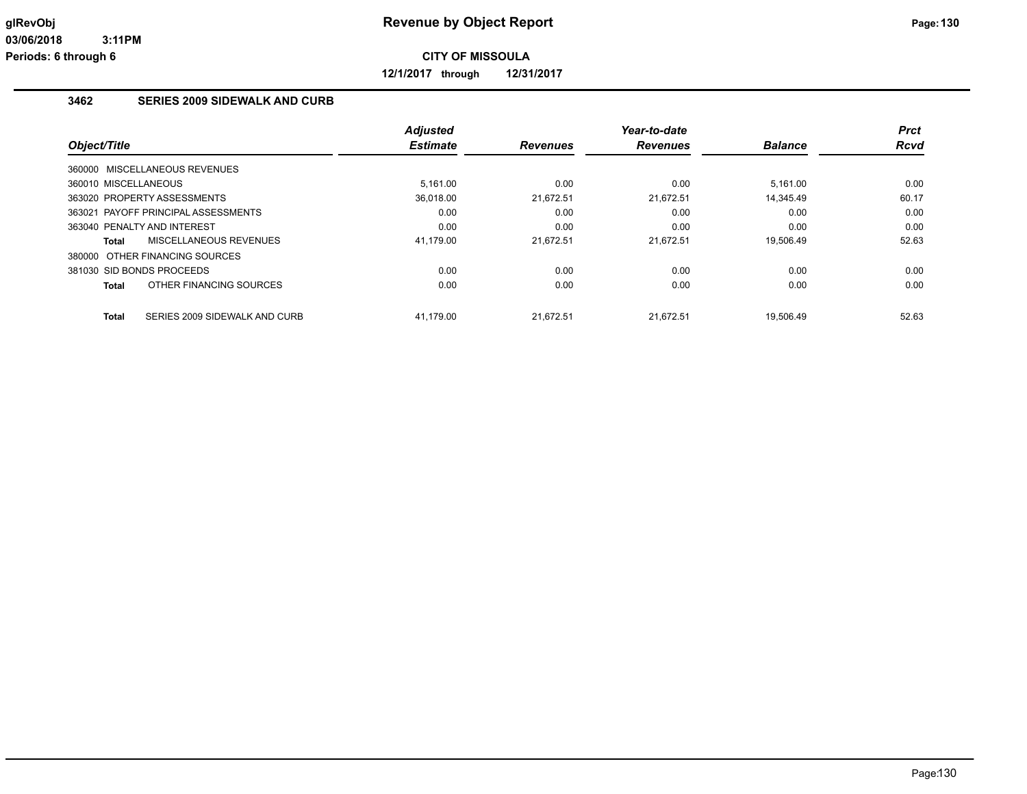**12/1/2017 through 12/31/2017**

# **3462 SERIES 2009 SIDEWALK AND CURB**

| Object/Title                   |                                     | <b>Adjusted</b><br><b>Estimate</b> | <b>Revenues</b> | Year-to-date<br><b>Revenues</b> | <b>Balance</b> | <b>Prct</b><br><b>Rcvd</b> |
|--------------------------------|-------------------------------------|------------------------------------|-----------------|---------------------------------|----------------|----------------------------|
| 360000 MISCELLANEOUS REVENUES  |                                     |                                    |                 |                                 |                |                            |
| 360010 MISCELLANEOUS           |                                     | 5.161.00                           | 0.00            | 0.00                            | 5.161.00       | 0.00                       |
| 363020 PROPERTY ASSESSMENTS    |                                     | 36.018.00                          | 21.672.51       | 21.672.51                       | 14.345.49      | 60.17                      |
|                                | 363021 PAYOFF PRINCIPAL ASSESSMENTS | 0.00                               | 0.00            | 0.00                            | 0.00           | 0.00                       |
| 363040 PENALTY AND INTEREST    |                                     | 0.00                               | 0.00            | 0.00                            | 0.00           | 0.00                       |
| Total                          | <b>MISCELLANEOUS REVENUES</b>       | 41.179.00                          | 21.672.51       | 21.672.51                       | 19.506.49      | 52.63                      |
| 380000 OTHER FINANCING SOURCES |                                     |                                    |                 |                                 |                |                            |
| 381030 SID BONDS PROCEEDS      |                                     | 0.00                               | 0.00            | 0.00                            | 0.00           | 0.00                       |
| Total                          | OTHER FINANCING SOURCES             | 0.00                               | 0.00            | 0.00                            | 0.00           | 0.00                       |
| <b>Total</b>                   | SERIES 2009 SIDEWALK AND CURB       | 41.179.00                          | 21.672.51       | 21.672.51                       | 19.506.49      | 52.63                      |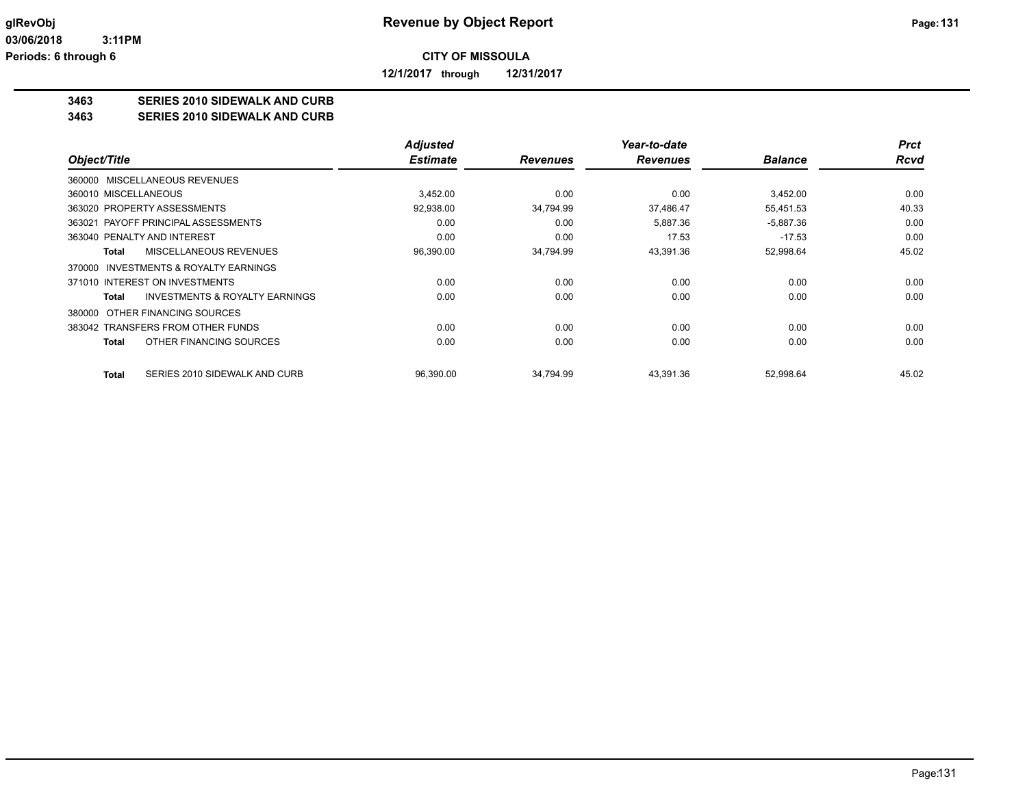**12/1/2017 through 12/31/2017**

# **3463 SERIES 2010 SIDEWALK AND CURB**

**3463 SERIES 2010 SIDEWALK AND CURB**

|                                                    | <b>Adjusted</b> |                 | Year-to-date    |                | <b>Prct</b> |
|----------------------------------------------------|-----------------|-----------------|-----------------|----------------|-------------|
| Object/Title                                       | <b>Estimate</b> | <b>Revenues</b> | <b>Revenues</b> | <b>Balance</b> | <b>Rcvd</b> |
| 360000 MISCELLANEOUS REVENUES                      |                 |                 |                 |                |             |
| 360010 MISCELLANEOUS                               | 3,452.00        | 0.00            | 0.00            | 3.452.00       | 0.00        |
| 363020 PROPERTY ASSESSMENTS                        | 92,938.00       | 34.794.99       | 37.486.47       | 55.451.53      | 40.33       |
| PAYOFF PRINCIPAL ASSESSMENTS<br>363021             | 0.00            | 0.00            | 5,887.36        | $-5,887.36$    | 0.00        |
| 363040 PENALTY AND INTEREST                        | 0.00            | 0.00            | 17.53           | $-17.53$       | 0.00        |
| MISCELLANEOUS REVENUES<br>Total                    | 96,390.00       | 34,794.99       | 43,391.36       | 52,998.64      | 45.02       |
| 370000 INVESTMENTS & ROYALTY EARNINGS              |                 |                 |                 |                |             |
| 371010 INTEREST ON INVESTMENTS                     | 0.00            | 0.00            | 0.00            | 0.00           | 0.00        |
| <b>INVESTMENTS &amp; ROYALTY EARNINGS</b><br>Total | 0.00            | 0.00            | 0.00            | 0.00           | 0.00        |
| OTHER FINANCING SOURCES<br>380000                  |                 |                 |                 |                |             |
| 383042 TRANSFERS FROM OTHER FUNDS                  | 0.00            | 0.00            | 0.00            | 0.00           | 0.00        |
| OTHER FINANCING SOURCES<br>Total                   | 0.00            | 0.00            | 0.00            | 0.00           | 0.00        |
| SERIES 2010 SIDEWALK AND CURB<br><b>Total</b>      | 96,390.00       | 34,794.99       | 43,391.36       | 52,998.64      | 45.02       |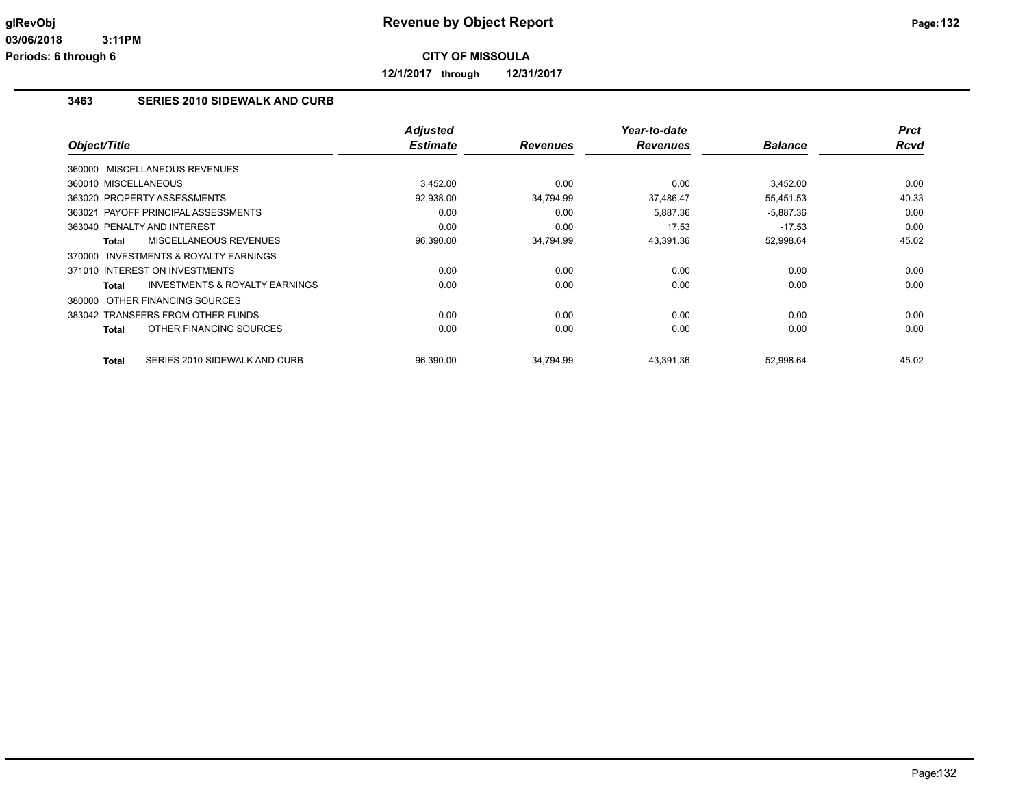**12/1/2017 through 12/31/2017**

### **3463 SERIES 2010 SIDEWALK AND CURB**

| Object/Title                                              | <b>Adjusted</b><br><b>Estimate</b> | <b>Revenues</b> | Year-to-date<br><b>Revenues</b> | <b>Balance</b> | <b>Prct</b><br>Rcvd |
|-----------------------------------------------------------|------------------------------------|-----------------|---------------------------------|----------------|---------------------|
| MISCELLANEOUS REVENUES<br>360000                          |                                    |                 |                                 |                |                     |
| 360010 MISCELLANEOUS                                      | 3,452.00                           | 0.00            | 0.00                            | 3,452.00       | 0.00                |
| 363020 PROPERTY ASSESSMENTS                               | 92,938.00                          | 34,794.99       | 37,486.47                       | 55,451.53      | 40.33               |
| 363021 PAYOFF PRINCIPAL ASSESSMENTS                       | 0.00                               | 0.00            | 5,887.36                        | $-5,887.36$    | 0.00                |
| 363040 PENALTY AND INTEREST                               | 0.00                               | 0.00            | 17.53                           | $-17.53$       | 0.00                |
| <b>MISCELLANEOUS REVENUES</b><br><b>Total</b>             | 96,390.00                          | 34,794.99       | 43,391.36                       | 52,998.64      | 45.02               |
| <b>INVESTMENTS &amp; ROYALTY EARNINGS</b><br>370000       |                                    |                 |                                 |                |                     |
| 371010 INTEREST ON INVESTMENTS                            | 0.00                               | 0.00            | 0.00                            | 0.00           | 0.00                |
| <b>INVESTMENTS &amp; ROYALTY EARNINGS</b><br><b>Total</b> | 0.00                               | 0.00            | 0.00                            | 0.00           | 0.00                |
| 380000 OTHER FINANCING SOURCES                            |                                    |                 |                                 |                |                     |
| 383042 TRANSFERS FROM OTHER FUNDS                         | 0.00                               | 0.00            | 0.00                            | 0.00           | 0.00                |
| OTHER FINANCING SOURCES<br><b>Total</b>                   | 0.00                               | 0.00            | 0.00                            | 0.00           | 0.00                |
| <b>Total</b><br>SERIES 2010 SIDEWALK AND CURB             | 96,390.00                          | 34,794.99       | 43,391.36                       | 52,998.64      | 45.02               |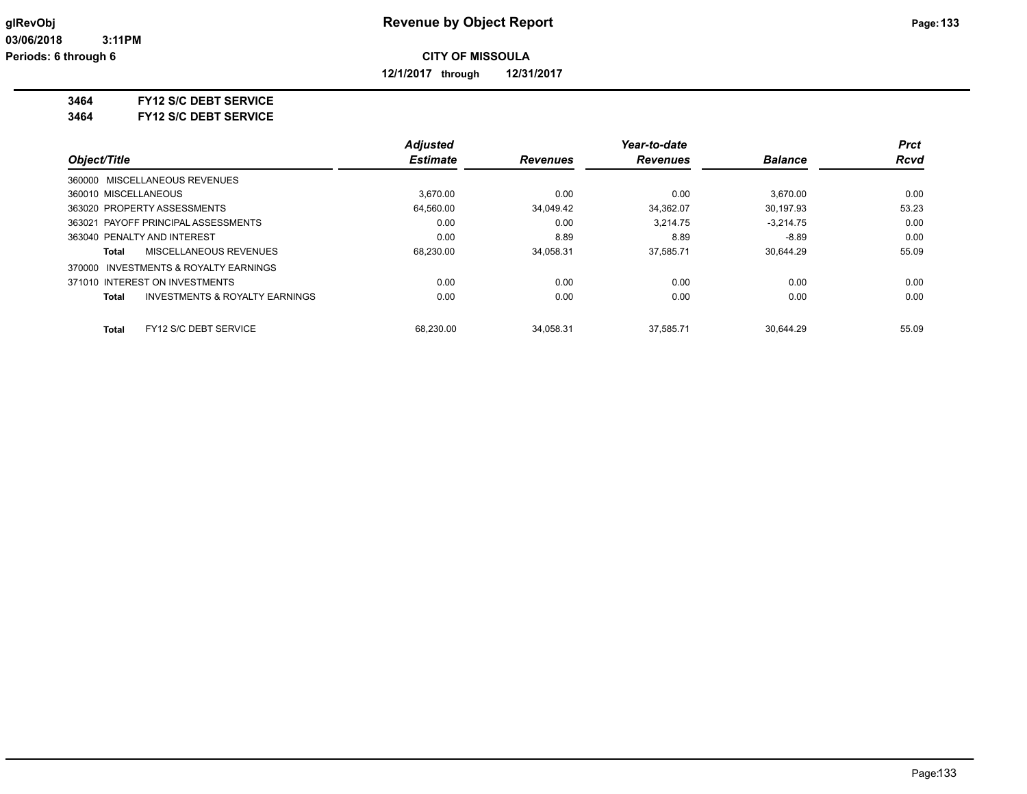**12/1/2017 through 12/31/2017**

#### **3464 FY12 S/C DEBT SERVICE**

**3464 FY12 S/C DEBT SERVICE**

|                                                           | <b>Adjusted</b> |                 | Year-to-date    |                | <b>Prct</b> |
|-----------------------------------------------------------|-----------------|-----------------|-----------------|----------------|-------------|
| Object/Title                                              | <b>Estimate</b> | <b>Revenues</b> | <b>Revenues</b> | <b>Balance</b> | <b>Rcvd</b> |
| 360000 MISCELLANEOUS REVENUES                             |                 |                 |                 |                |             |
| 360010 MISCELLANEOUS                                      | 3.670.00        | 0.00            | 0.00            | 3.670.00       | 0.00        |
| 363020 PROPERTY ASSESSMENTS                               | 64,560.00       | 34,049.42       | 34.362.07       | 30.197.93      | 53.23       |
| 363021 PAYOFF PRINCIPAL ASSESSMENTS                       | 0.00            | 0.00            | 3.214.75        | $-3.214.75$    | 0.00        |
| 363040 PENALTY AND INTEREST                               | 0.00            | 8.89            | 8.89            | $-8.89$        | 0.00        |
| MISCELLANEOUS REVENUES<br>Total                           | 68,230.00       | 34,058.31       | 37.585.71       | 30.644.29      | 55.09       |
| INVESTMENTS & ROYALTY EARNINGS<br>370000                  |                 |                 |                 |                |             |
| 371010 INTEREST ON INVESTMENTS                            | 0.00            | 0.00            | 0.00            | 0.00           | 0.00        |
| <b>INVESTMENTS &amp; ROYALTY EARNINGS</b><br><b>Total</b> | 0.00            | 0.00            | 0.00            | 0.00           | 0.00        |
| FY12 S/C DEBT SERVICE<br>Total                            | 68.230.00       | 34.058.31       | 37.585.71       | 30.644.29      | 55.09       |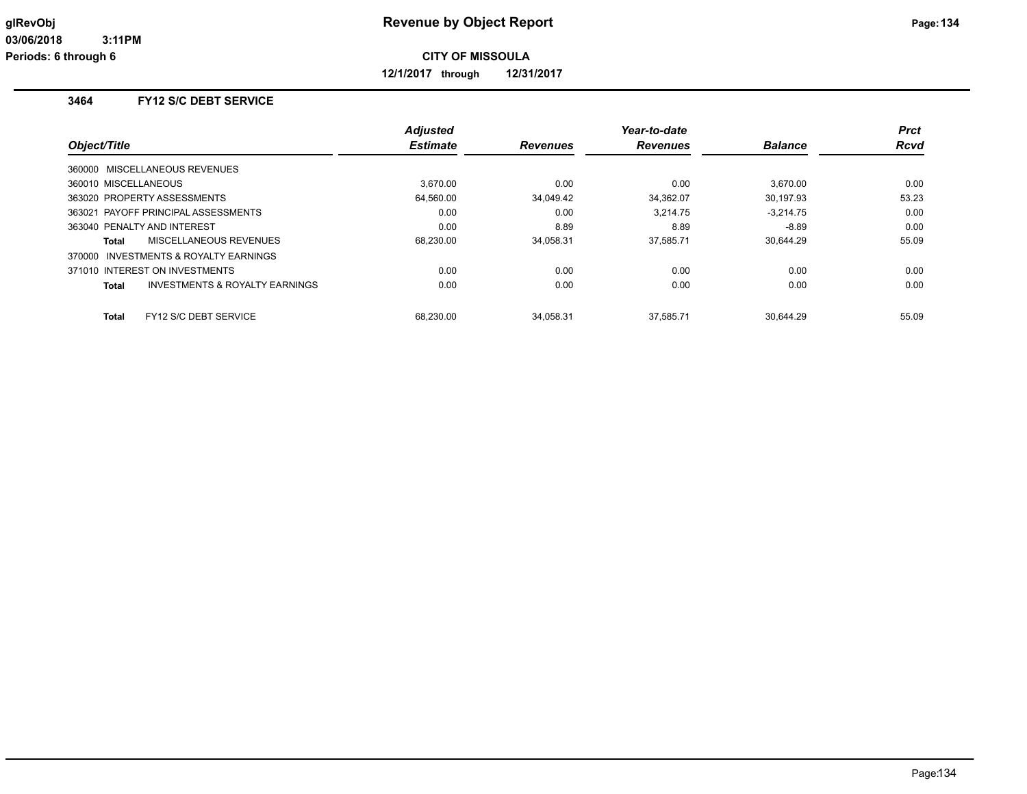**12/1/2017 through 12/31/2017**

# **3464 FY12 S/C DEBT SERVICE**

|                                                           | <b>Adjusted</b> |                 | Year-to-date    |                | <b>Prct</b> |
|-----------------------------------------------------------|-----------------|-----------------|-----------------|----------------|-------------|
| Object/Title                                              | <b>Estimate</b> | <b>Revenues</b> | <b>Revenues</b> | <b>Balance</b> | Rcvd        |
| 360000 MISCELLANEOUS REVENUES                             |                 |                 |                 |                |             |
| 360010 MISCELLANEOUS                                      | 3.670.00        | 0.00            | 0.00            | 3.670.00       | 0.00        |
| 363020 PROPERTY ASSESSMENTS                               | 64,560.00       | 34,049.42       | 34,362.07       | 30.197.93      | 53.23       |
| 363021 PAYOFF PRINCIPAL ASSESSMENTS                       | 0.00            | 0.00            | 3.214.75        | $-3.214.75$    | 0.00        |
| 363040 PENALTY AND INTEREST                               | 0.00            | 8.89            | 8.89            | $-8.89$        | 0.00        |
| MISCELLANEOUS REVENUES<br>Total                           | 68,230.00       | 34,058.31       | 37,585.71       | 30.644.29      | 55.09       |
| 370000 INVESTMENTS & ROYALTY EARNINGS                     |                 |                 |                 |                |             |
| 371010 INTEREST ON INVESTMENTS                            | 0.00            | 0.00            | 0.00            | 0.00           | 0.00        |
| <b>INVESTMENTS &amp; ROYALTY EARNINGS</b><br><b>Total</b> | 0.00            | 0.00            | 0.00            | 0.00           | 0.00        |
|                                                           |                 |                 |                 |                |             |
| FY12 S/C DEBT SERVICE<br><b>Total</b>                     | 68.230.00       | 34.058.31       | 37.585.71       | 30.644.29      | 55.09       |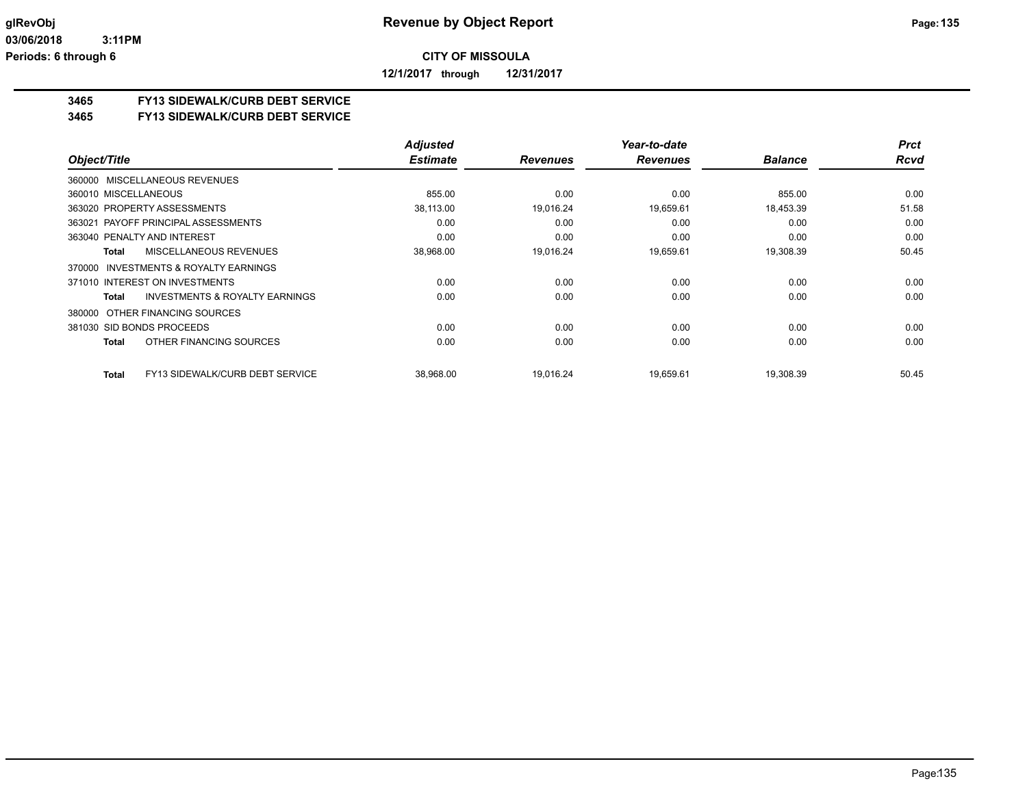**12/1/2017 through 12/31/2017**

### **3465 FY13 SIDEWALK/CURB DEBT SERVICE**

#### **3465 FY13 SIDEWALK/CURB DEBT SERVICE**

|                                                    | <b>Adjusted</b> |                 | Year-to-date    |                | <b>Prct</b> |
|----------------------------------------------------|-----------------|-----------------|-----------------|----------------|-------------|
| Object/Title                                       | <b>Estimate</b> | <b>Revenues</b> | <b>Revenues</b> | <b>Balance</b> | <b>Rcvd</b> |
| 360000 MISCELLANEOUS REVENUES                      |                 |                 |                 |                |             |
| 360010 MISCELLANEOUS                               | 855.00          | 0.00            | 0.00            | 855.00         | 0.00        |
| 363020 PROPERTY ASSESSMENTS                        | 38,113.00       | 19,016.24       | 19,659.61       | 18,453.39      | 51.58       |
| 363021 PAYOFF PRINCIPAL ASSESSMENTS                | 0.00            | 0.00            | 0.00            | 0.00           | 0.00        |
| 363040 PENALTY AND INTEREST                        | 0.00            | 0.00            | 0.00            | 0.00           | 0.00        |
| MISCELLANEOUS REVENUES<br>Total                    | 38,968.00       | 19,016.24       | 19,659.61       | 19,308.39      | 50.45       |
| INVESTMENTS & ROYALTY EARNINGS<br>370000           |                 |                 |                 |                |             |
| 371010 INTEREST ON INVESTMENTS                     | 0.00            | 0.00            | 0.00            | 0.00           | 0.00        |
| <b>INVESTMENTS &amp; ROYALTY EARNINGS</b><br>Total | 0.00            | 0.00            | 0.00            | 0.00           | 0.00        |
| 380000 OTHER FINANCING SOURCES                     |                 |                 |                 |                |             |
| 381030 SID BONDS PROCEEDS                          | 0.00            | 0.00            | 0.00            | 0.00           | 0.00        |
| OTHER FINANCING SOURCES<br>Total                   | 0.00            | 0.00            | 0.00            | 0.00           | 0.00        |
| <b>FY13 SIDEWALK/CURB DEBT SERVICE</b><br>Total    | 38,968.00       | 19.016.24       | 19,659.61       | 19,308.39      | 50.45       |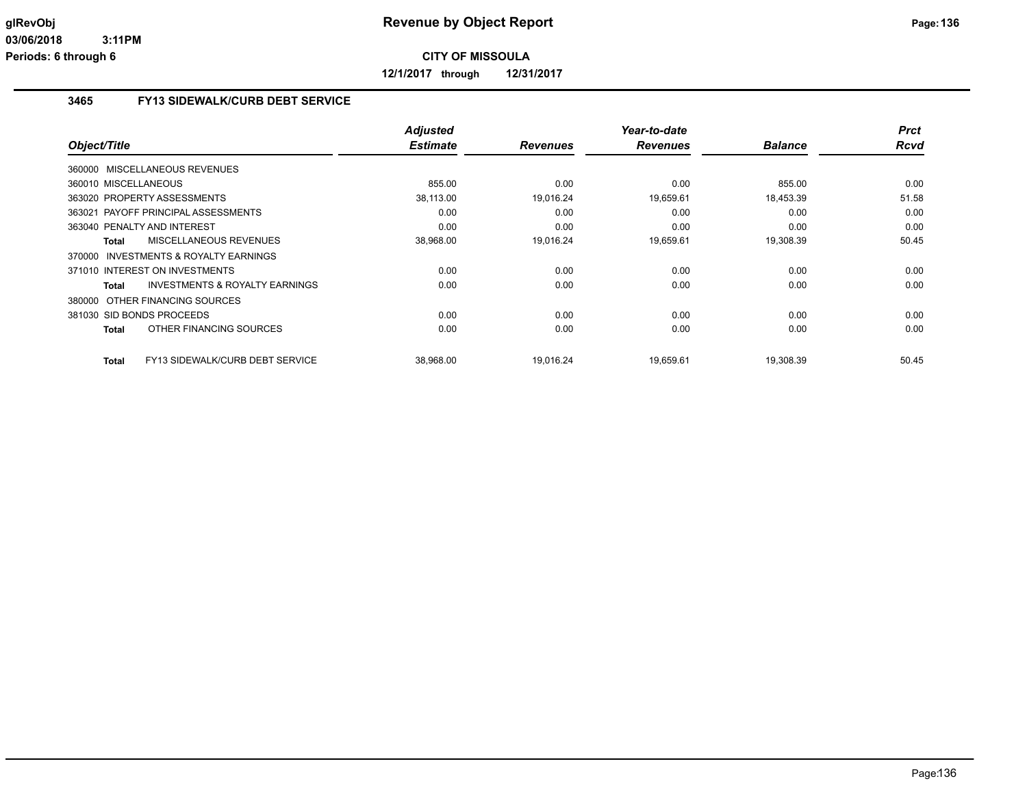**12/1/2017 through 12/31/2017**

# **3465 FY13 SIDEWALK/CURB DEBT SERVICE**

| Object/Title                                              | <b>Adjusted</b><br><b>Estimate</b> | <b>Revenues</b> | Year-to-date<br><b>Revenues</b> | <b>Balance</b> | <b>Prct</b><br>Rcvd |
|-----------------------------------------------------------|------------------------------------|-----------------|---------------------------------|----------------|---------------------|
| 360000 MISCELLANEOUS REVENUES                             |                                    |                 |                                 |                |                     |
| 360010 MISCELLANEOUS                                      | 855.00                             | 0.00            | 0.00                            | 855.00         | 0.00                |
| 363020 PROPERTY ASSESSMENTS                               | 38,113.00                          | 19,016.24       | 19,659.61                       | 18,453.39      | 51.58               |
| 363021 PAYOFF PRINCIPAL ASSESSMENTS                       | 0.00                               | 0.00            | 0.00                            | 0.00           | 0.00                |
| 363040 PENALTY AND INTEREST                               | 0.00                               | 0.00            | 0.00                            | 0.00           | 0.00                |
| MISCELLANEOUS REVENUES<br><b>Total</b>                    | 38,968.00                          | 19.016.24       | 19,659.61                       | 19,308.39      | 50.45               |
| 370000 INVESTMENTS & ROYALTY EARNINGS                     |                                    |                 |                                 |                |                     |
| 371010 INTEREST ON INVESTMENTS                            | 0.00                               | 0.00            | 0.00                            | 0.00           | 0.00                |
| <b>INVESTMENTS &amp; ROYALTY EARNINGS</b><br><b>Total</b> | 0.00                               | 0.00            | 0.00                            | 0.00           | 0.00                |
| 380000 OTHER FINANCING SOURCES                            |                                    |                 |                                 |                |                     |
| 381030 SID BONDS PROCEEDS                                 | 0.00                               | 0.00            | 0.00                            | 0.00           | 0.00                |
| OTHER FINANCING SOURCES<br><b>Total</b>                   | 0.00                               | 0.00            | 0.00                            | 0.00           | 0.00                |
|                                                           |                                    |                 |                                 |                |                     |
| FY13 SIDEWALK/CURB DEBT SERVICE<br><b>Total</b>           | 38,968.00                          | 19.016.24       | 19,659.61                       | 19,308.39      | 50.45               |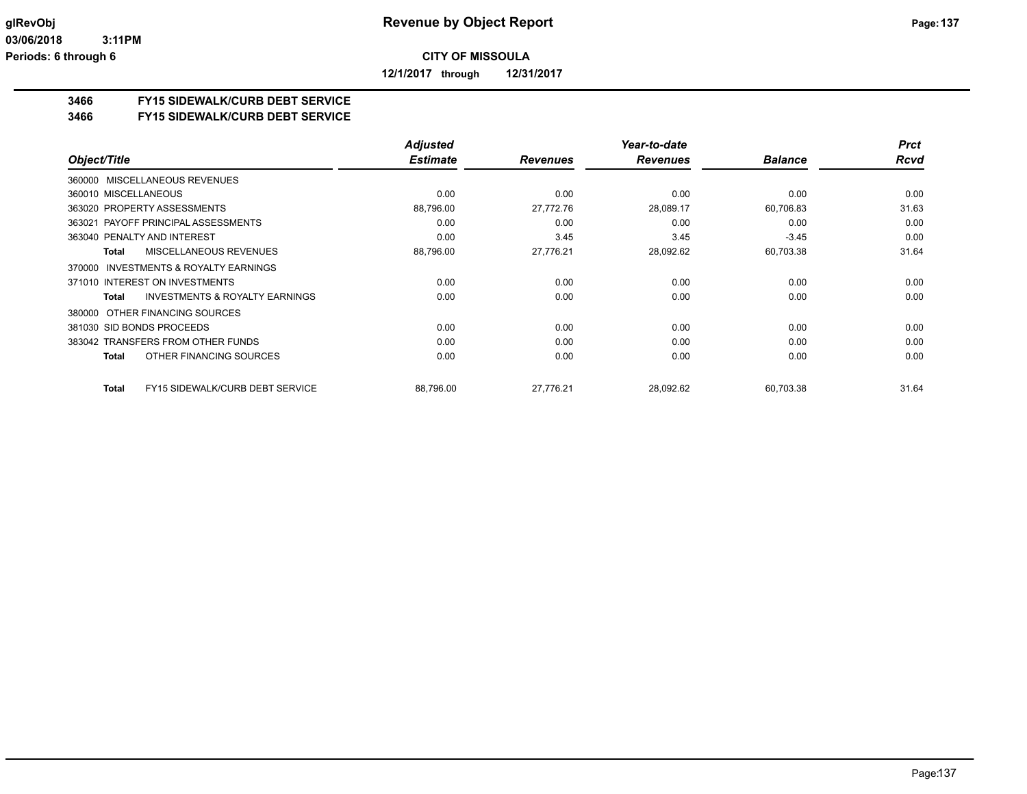**12/1/2017 through 12/31/2017**

### **3466 FY15 SIDEWALK/CURB DEBT SERVICE**

#### **3466 FY15 SIDEWALK/CURB DEBT SERVICE**

|                                                     | <b>Adjusted</b> |                 | Year-to-date    |                | <b>Prct</b> |
|-----------------------------------------------------|-----------------|-----------------|-----------------|----------------|-------------|
| Object/Title                                        | <b>Estimate</b> | <b>Revenues</b> | <b>Revenues</b> | <b>Balance</b> | <b>Rcvd</b> |
| 360000 MISCELLANEOUS REVENUES                       |                 |                 |                 |                |             |
| 360010 MISCELLANEOUS                                | 0.00            | 0.00            | 0.00            | 0.00           | 0.00        |
| 363020 PROPERTY ASSESSMENTS                         | 88,796.00       | 27.772.76       | 28,089.17       | 60,706.83      | 31.63       |
| 363021 PAYOFF PRINCIPAL ASSESSMENTS                 | 0.00            | 0.00            | 0.00            | 0.00           | 0.00        |
| 363040 PENALTY AND INTEREST                         | 0.00            | 3.45            | 3.45            | $-3.45$        | 0.00        |
| MISCELLANEOUS REVENUES<br>Total                     | 88,796.00       | 27.776.21       | 28,092.62       | 60,703.38      | 31.64       |
| <b>INVESTMENTS &amp; ROYALTY EARNINGS</b><br>370000 |                 |                 |                 |                |             |
| 371010 INTEREST ON INVESTMENTS                      | 0.00            | 0.00            | 0.00            | 0.00           | 0.00        |
| <b>INVESTMENTS &amp; ROYALTY EARNINGS</b><br>Total  | 0.00            | 0.00            | 0.00            | 0.00           | 0.00        |
| 380000 OTHER FINANCING SOURCES                      |                 |                 |                 |                |             |
| 381030 SID BONDS PROCEEDS                           | 0.00            | 0.00            | 0.00            | 0.00           | 0.00        |
| 383042 TRANSFERS FROM OTHER FUNDS                   | 0.00            | 0.00            | 0.00            | 0.00           | 0.00        |
| OTHER FINANCING SOURCES<br>Total                    | 0.00            | 0.00            | 0.00            | 0.00           | 0.00        |
| <b>FY15 SIDEWALK/CURB DEBT SERVICE</b><br>Total     | 88,796.00       | 27.776.21       | 28,092.62       | 60,703.38      | 31.64       |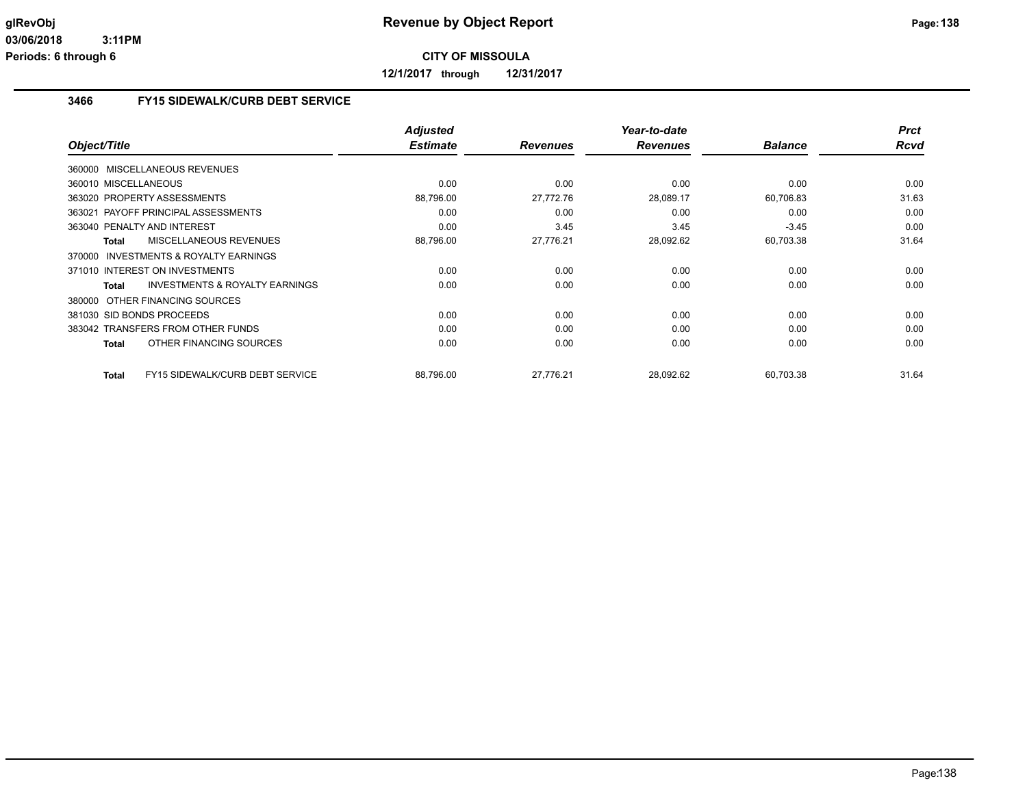**12/1/2017 through 12/31/2017**

# **3466 FY15 SIDEWALK/CURB DEBT SERVICE**

|                                                    | <b>Adjusted</b> |                 | Year-to-date    |                | <b>Prct</b> |
|----------------------------------------------------|-----------------|-----------------|-----------------|----------------|-------------|
| Object/Title                                       | <b>Estimate</b> | <b>Revenues</b> | <b>Revenues</b> | <b>Balance</b> | <b>Rcvd</b> |
| 360000 MISCELLANEOUS REVENUES                      |                 |                 |                 |                |             |
| 360010 MISCELLANEOUS                               | 0.00            | 0.00            | 0.00            | 0.00           | 0.00        |
| 363020 PROPERTY ASSESSMENTS                        | 88,796.00       | 27,772.76       | 28,089.17       | 60,706.83      | 31.63       |
| 363021 PAYOFF PRINCIPAL ASSESSMENTS                | 0.00            | 0.00            | 0.00            | 0.00           | 0.00        |
| 363040 PENALTY AND INTEREST                        | 0.00            | 3.45            | 3.45            | $-3.45$        | 0.00        |
| <b>MISCELLANEOUS REVENUES</b><br><b>Total</b>      | 88,796.00       | 27,776.21       | 28,092.62       | 60,703.38      | 31.64       |
| 370000 INVESTMENTS & ROYALTY EARNINGS              |                 |                 |                 |                |             |
| 371010 INTEREST ON INVESTMENTS                     | 0.00            | 0.00            | 0.00            | 0.00           | 0.00        |
| <b>INVESTMENTS &amp; ROYALTY EARNINGS</b><br>Total | 0.00            | 0.00            | 0.00            | 0.00           | 0.00        |
| 380000 OTHER FINANCING SOURCES                     |                 |                 |                 |                |             |
| 381030 SID BONDS PROCEEDS                          | 0.00            | 0.00            | 0.00            | 0.00           | 0.00        |
| 383042 TRANSFERS FROM OTHER FUNDS                  | 0.00            | 0.00            | 0.00            | 0.00           | 0.00        |
| OTHER FINANCING SOURCES<br><b>Total</b>            | 0.00            | 0.00            | 0.00            | 0.00           | 0.00        |
| FY15 SIDEWALK/CURB DEBT SERVICE<br><b>Total</b>    | 88,796.00       | 27,776.21       | 28,092.62       | 60,703.38      | 31.64       |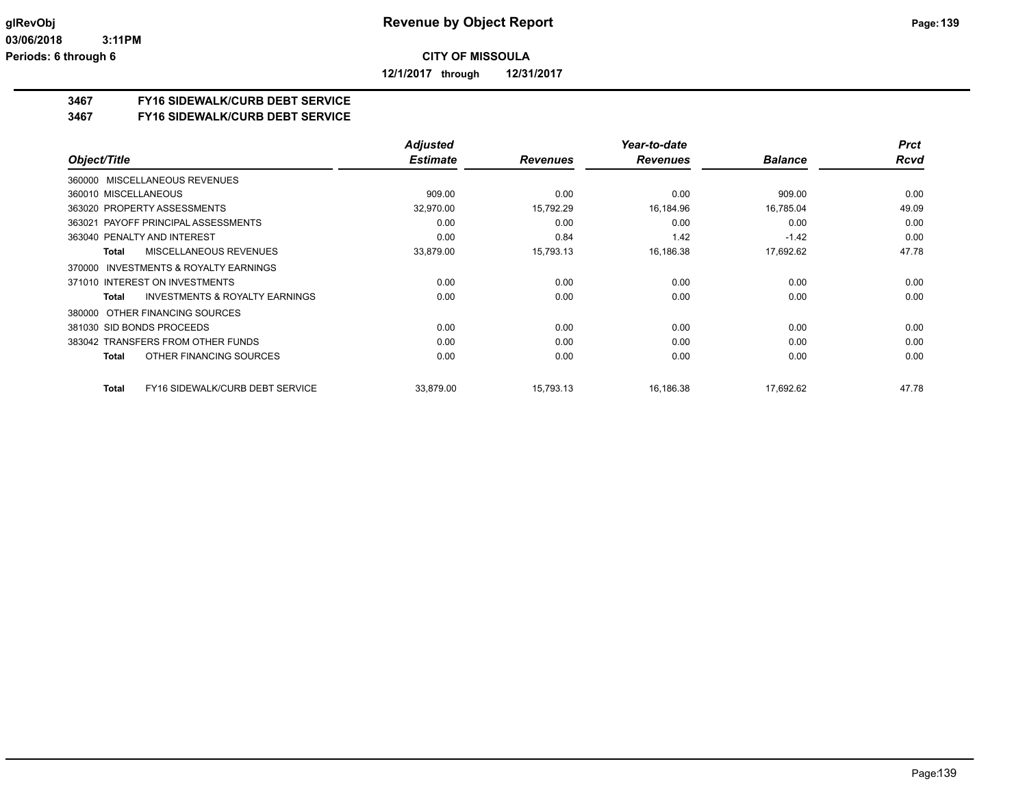**12/1/2017 through 12/31/2017**

### **3467 FY16 SIDEWALK/CURB DEBT SERVICE**

#### **3467 FY16 SIDEWALK/CURB DEBT SERVICE**

|                                                    | <b>Adjusted</b> |                 | Year-to-date    |                | <b>Prct</b> |
|----------------------------------------------------|-----------------|-----------------|-----------------|----------------|-------------|
| Object/Title                                       | <b>Estimate</b> | <b>Revenues</b> | <b>Revenues</b> | <b>Balance</b> | <b>Rcvd</b> |
| 360000 MISCELLANEOUS REVENUES                      |                 |                 |                 |                |             |
| 360010 MISCELLANEOUS                               | 909.00          | 0.00            | 0.00            | 909.00         | 0.00        |
| 363020 PROPERTY ASSESSMENTS                        | 32,970.00       | 15,792.29       | 16,184.96       | 16,785.04      | 49.09       |
| 363021 PAYOFF PRINCIPAL ASSESSMENTS                | 0.00            | 0.00            | 0.00            | 0.00           | 0.00        |
| 363040 PENALTY AND INTEREST                        | 0.00            | 0.84            | 1.42            | $-1.42$        | 0.00        |
| MISCELLANEOUS REVENUES<br><b>Total</b>             | 33,879.00       | 15,793.13       | 16,186.38       | 17,692.62      | 47.78       |
| INVESTMENTS & ROYALTY EARNINGS<br>370000           |                 |                 |                 |                |             |
| 371010 INTEREST ON INVESTMENTS                     | 0.00            | 0.00            | 0.00            | 0.00           | 0.00        |
| <b>INVESTMENTS &amp; ROYALTY EARNINGS</b><br>Total | 0.00            | 0.00            | 0.00            | 0.00           | 0.00        |
| 380000 OTHER FINANCING SOURCES                     |                 |                 |                 |                |             |
| 381030 SID BONDS PROCEEDS                          | 0.00            | 0.00            | 0.00            | 0.00           | 0.00        |
| 383042 TRANSFERS FROM OTHER FUNDS                  | 0.00            | 0.00            | 0.00            | 0.00           | 0.00        |
| OTHER FINANCING SOURCES<br>Total                   | 0.00            | 0.00            | 0.00            | 0.00           | 0.00        |
| FY16 SIDEWALK/CURB DEBT SERVICE<br><b>Total</b>    | 33,879.00       | 15,793.13       | 16,186.38       | 17,692.62      | 47.78       |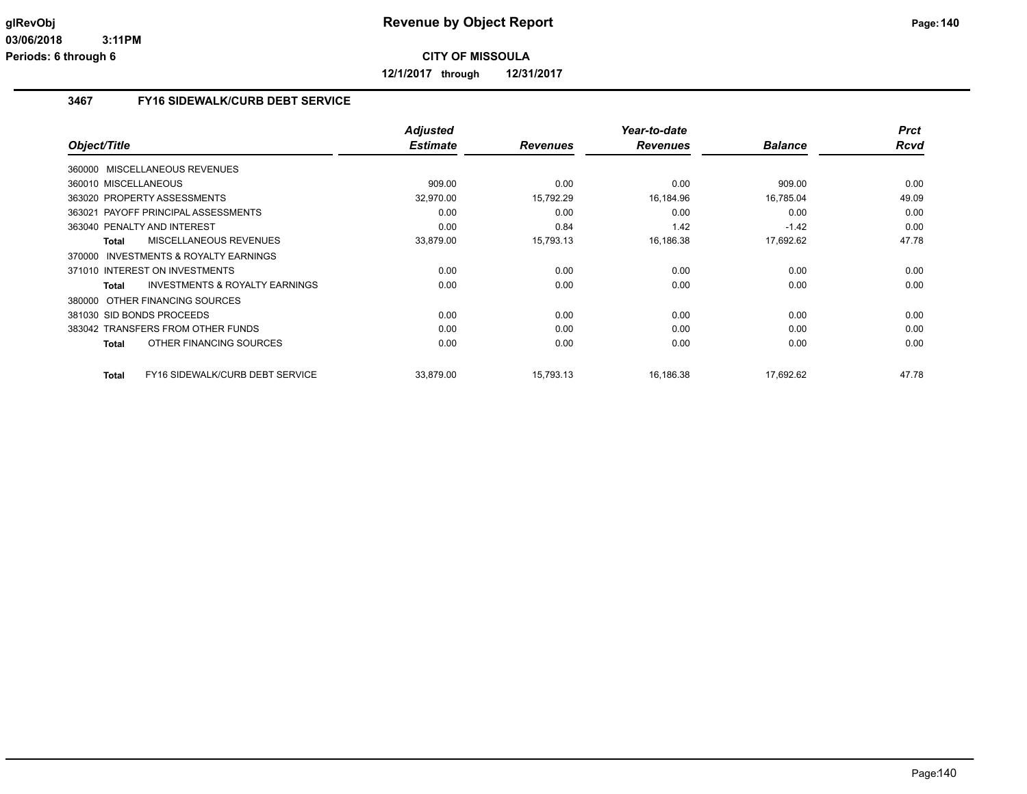**12/1/2017 through 12/31/2017**

# **3467 FY16 SIDEWALK/CURB DEBT SERVICE**

|                                                     | <b>Adjusted</b> |                 | Year-to-date    |                | <b>Prct</b> |
|-----------------------------------------------------|-----------------|-----------------|-----------------|----------------|-------------|
| Object/Title                                        | <b>Estimate</b> | <b>Revenues</b> | <b>Revenues</b> | <b>Balance</b> | <b>Rcvd</b> |
| 360000 MISCELLANEOUS REVENUES                       |                 |                 |                 |                |             |
| 360010 MISCELLANEOUS                                | 909.00          | 0.00            | 0.00            | 909.00         | 0.00        |
| 363020 PROPERTY ASSESSMENTS                         | 32,970.00       | 15,792.29       | 16,184.96       | 16,785.04      | 49.09       |
| 363021 PAYOFF PRINCIPAL ASSESSMENTS                 | 0.00            | 0.00            | 0.00            | 0.00           | 0.00        |
| 363040 PENALTY AND INTEREST                         | 0.00            | 0.84            | 1.42            | $-1.42$        | 0.00        |
| <b>MISCELLANEOUS REVENUES</b><br><b>Total</b>       | 33,879.00       | 15,793.13       | 16,186.38       | 17,692.62      | 47.78       |
| <b>INVESTMENTS &amp; ROYALTY EARNINGS</b><br>370000 |                 |                 |                 |                |             |
| 371010 INTEREST ON INVESTMENTS                      | 0.00            | 0.00            | 0.00            | 0.00           | 0.00        |
| <b>INVESTMENTS &amp; ROYALTY EARNINGS</b><br>Total  | 0.00            | 0.00            | 0.00            | 0.00           | 0.00        |
| 380000 OTHER FINANCING SOURCES                      |                 |                 |                 |                |             |
| 381030 SID BONDS PROCEEDS                           | 0.00            | 0.00            | 0.00            | 0.00           | 0.00        |
| 383042 TRANSFERS FROM OTHER FUNDS                   | 0.00            | 0.00            | 0.00            | 0.00           | 0.00        |
| OTHER FINANCING SOURCES<br><b>Total</b>             | 0.00            | 0.00            | 0.00            | 0.00           | 0.00        |
| FY16 SIDEWALK/CURB DEBT SERVICE<br><b>Total</b>     | 33.879.00       | 15,793.13       | 16,186.38       | 17.692.62      | 47.78       |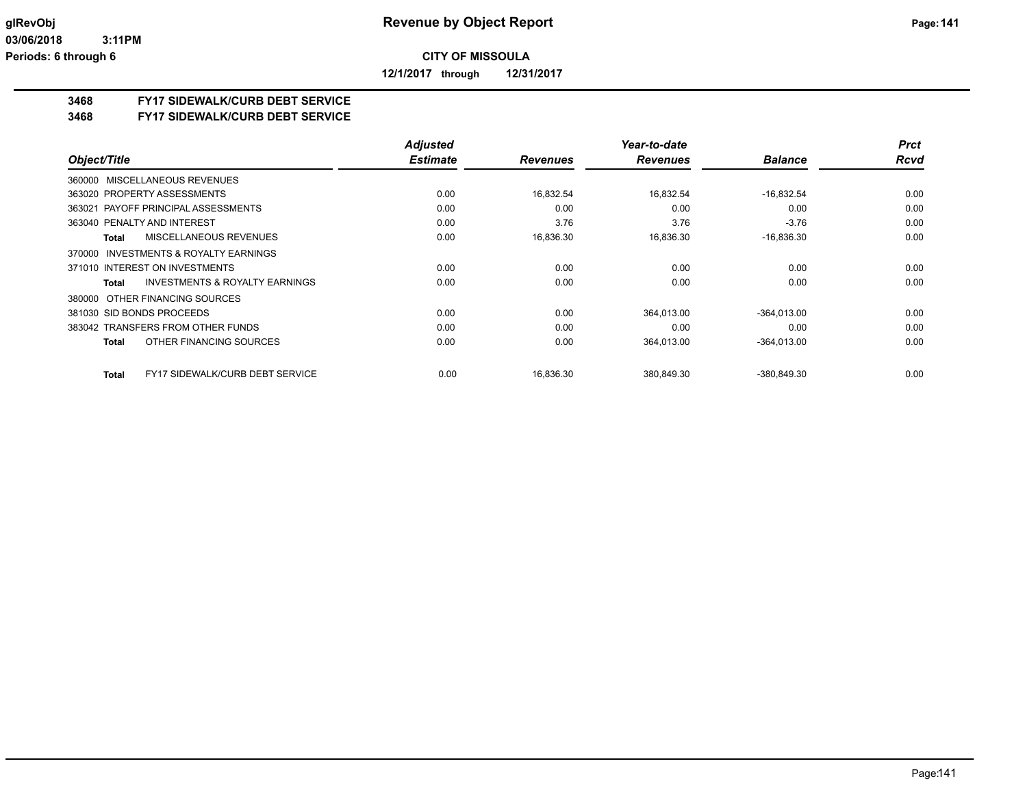**12/1/2017 through 12/31/2017**

### **3468 FY17 SIDEWALK/CURB DEBT SERVICE**

#### **3468 FY17 SIDEWALK/CURB DEBT SERVICE**

|                                                           | <b>Adjusted</b> |                 | Year-to-date    |                | <b>Prct</b> |
|-----------------------------------------------------------|-----------------|-----------------|-----------------|----------------|-------------|
| Object/Title                                              | <b>Estimate</b> | <b>Revenues</b> | <b>Revenues</b> | <b>Balance</b> | <b>Rcvd</b> |
| 360000 MISCELLANEOUS REVENUES                             |                 |                 |                 |                |             |
| 363020 PROPERTY ASSESSMENTS                               | 0.00            | 16,832.54       | 16,832.54       | $-16,832.54$   | 0.00        |
| 363021 PAYOFF PRINCIPAL ASSESSMENTS                       | 0.00            | 0.00            | 0.00            | 0.00           | 0.00        |
| 363040 PENALTY AND INTEREST                               | 0.00            | 3.76            | 3.76            | $-3.76$        | 0.00        |
| MISCELLANEOUS REVENUES<br>Total                           | 0.00            | 16,836.30       | 16,836.30       | $-16,836.30$   | 0.00        |
| <b>INVESTMENTS &amp; ROYALTY EARNINGS</b><br>370000       |                 |                 |                 |                |             |
| 371010 INTEREST ON INVESTMENTS                            | 0.00            | 0.00            | 0.00            | 0.00           | 0.00        |
| <b>INVESTMENTS &amp; ROYALTY EARNINGS</b><br><b>Total</b> | 0.00            | 0.00            | 0.00            | 0.00           | 0.00        |
| 380000 OTHER FINANCING SOURCES                            |                 |                 |                 |                |             |
| 381030 SID BONDS PROCEEDS                                 | 0.00            | 0.00            | 364,013.00      | $-364,013.00$  | 0.00        |
| 383042 TRANSFERS FROM OTHER FUNDS                         | 0.00            | 0.00            | 0.00            | 0.00           | 0.00        |
| OTHER FINANCING SOURCES<br>Total                          | 0.00            | 0.00            | 364,013.00      | $-364,013.00$  | 0.00        |
| <b>FY17 SIDEWALK/CURB DEBT SERVICE</b><br>Total           | 0.00            | 16,836.30       | 380,849.30      | $-380,849.30$  | 0.00        |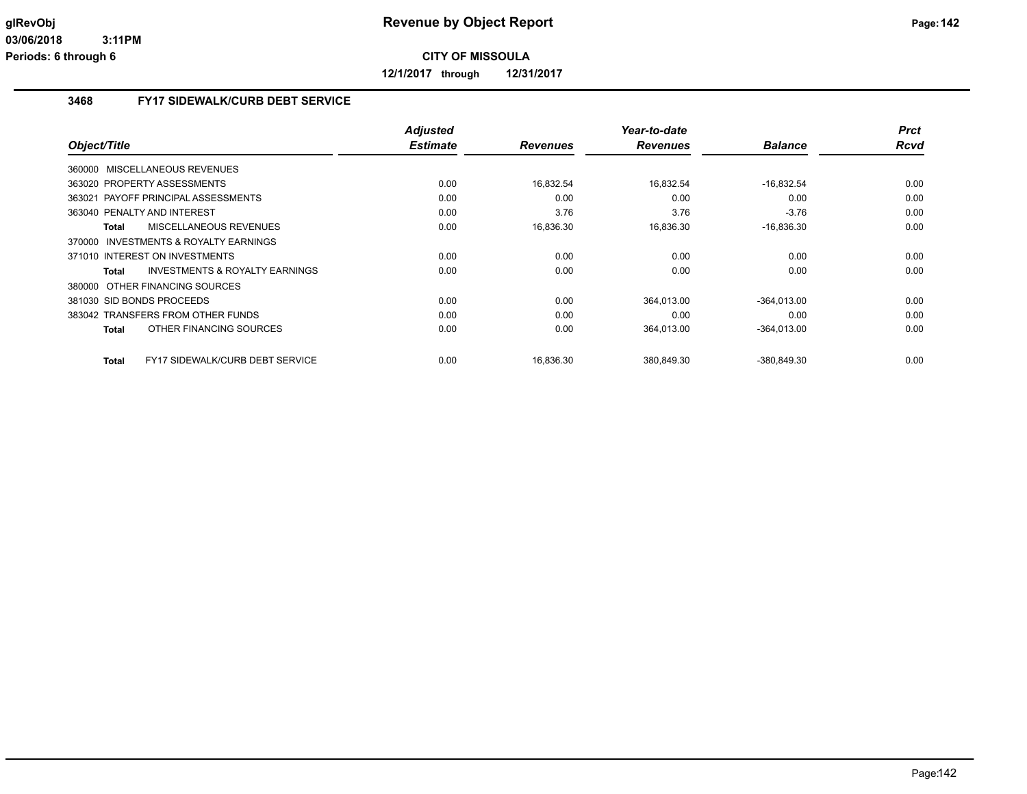**12/1/2017 through 12/31/2017**

# **3468 FY17 SIDEWALK/CURB DEBT SERVICE**

| Object/Title                                       | <b>Adjusted</b><br><b>Estimate</b> | <b>Revenues</b> | Year-to-date<br><b>Revenues</b> | <b>Balance</b> | <b>Prct</b><br>Rcvd |
|----------------------------------------------------|------------------------------------|-----------------|---------------------------------|----------------|---------------------|
| 360000 MISCELLANEOUS REVENUES                      |                                    |                 |                                 |                |                     |
|                                                    |                                    |                 |                                 |                |                     |
| 363020 PROPERTY ASSESSMENTS                        | 0.00                               | 16,832.54       | 16,832.54                       | $-16,832.54$   | 0.00                |
| 363021 PAYOFF PRINCIPAL ASSESSMENTS                | 0.00                               | 0.00            | 0.00                            | 0.00           | 0.00                |
| 363040 PENALTY AND INTEREST                        | 0.00                               | 3.76            | 3.76                            | $-3.76$        | 0.00                |
| MISCELLANEOUS REVENUES<br>Total                    | 0.00                               | 16,836.30       | 16,836.30                       | $-16,836.30$   | 0.00                |
| 370000 INVESTMENTS & ROYALTY EARNINGS              |                                    |                 |                                 |                |                     |
| 371010 INTEREST ON INVESTMENTS                     | 0.00                               | 0.00            | 0.00                            | 0.00           | 0.00                |
| <b>INVESTMENTS &amp; ROYALTY EARNINGS</b><br>Total | 0.00                               | 0.00            | 0.00                            | 0.00           | 0.00                |
| 380000 OTHER FINANCING SOURCES                     |                                    |                 |                                 |                |                     |
| 381030 SID BONDS PROCEEDS                          | 0.00                               | 0.00            | 364,013.00                      | $-364,013.00$  | 0.00                |
| 383042 TRANSFERS FROM OTHER FUNDS                  | 0.00                               | 0.00            | 0.00                            | 0.00           | 0.00                |
| OTHER FINANCING SOURCES<br>Total                   | 0.00                               | 0.00            | 364,013.00                      | $-364,013.00$  | 0.00                |
| FY17 SIDEWALK/CURB DEBT SERVICE<br>Total           | 0.00                               | 16,836.30       | 380,849.30                      | -380,849.30    | 0.00                |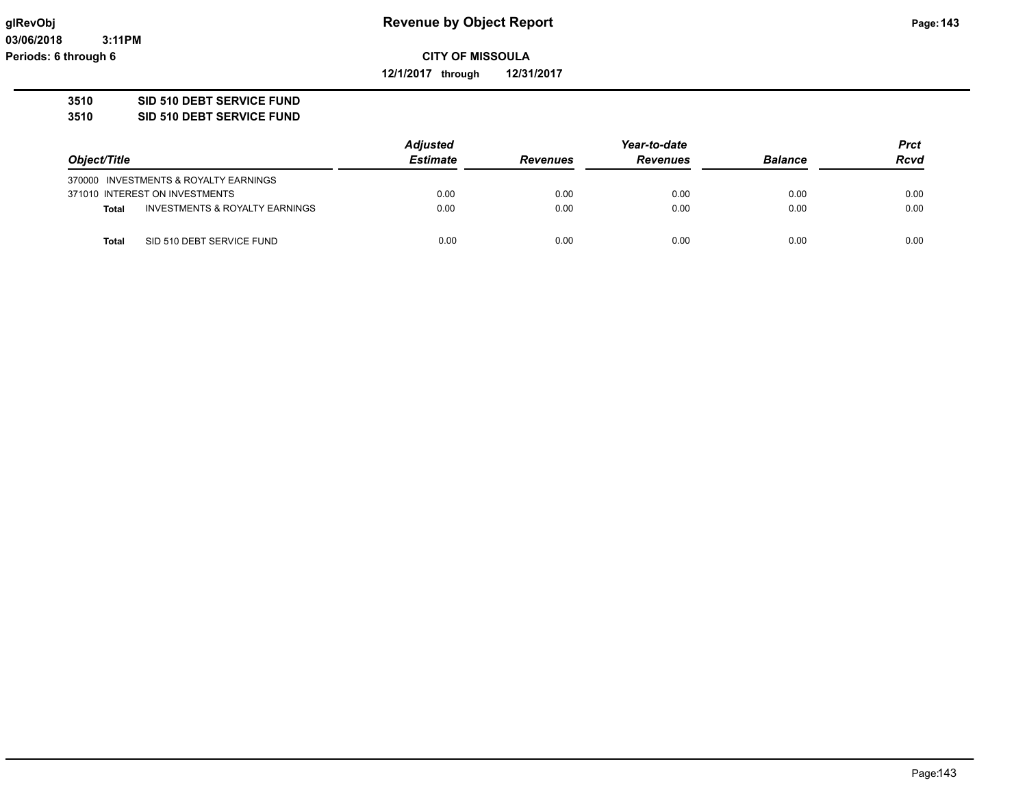**12/1/2017 through 12/31/2017**

### **3510 SID 510 DEBT SERVICE FUND**

**3510 SID 510 DEBT SERVICE FUND**

|              |                                           | <b>Adjusted</b> |                 | <b>Prct</b>     |                |             |
|--------------|-------------------------------------------|-----------------|-----------------|-----------------|----------------|-------------|
| Object/Title |                                           | <b>Estimate</b> | <b>Revenues</b> | <b>Revenues</b> | <b>Balance</b> | <b>Rcvd</b> |
|              | 370000 INVESTMENTS & ROYALTY EARNINGS     |                 |                 |                 |                |             |
|              | 371010 INTEREST ON INVESTMENTS            | 0.00            | 0.00            | 0.00            | 0.00           | 0.00        |
| <b>Total</b> | <b>INVESTMENTS &amp; ROYALTY EARNINGS</b> | 0.00            | 0.00            | 0.00            | 0.00           | 0.00        |
| Total        | SID 510 DEBT SERVICE FUND                 | 0.00            | 0.00            | 0.00            | 0.00           | 0.00        |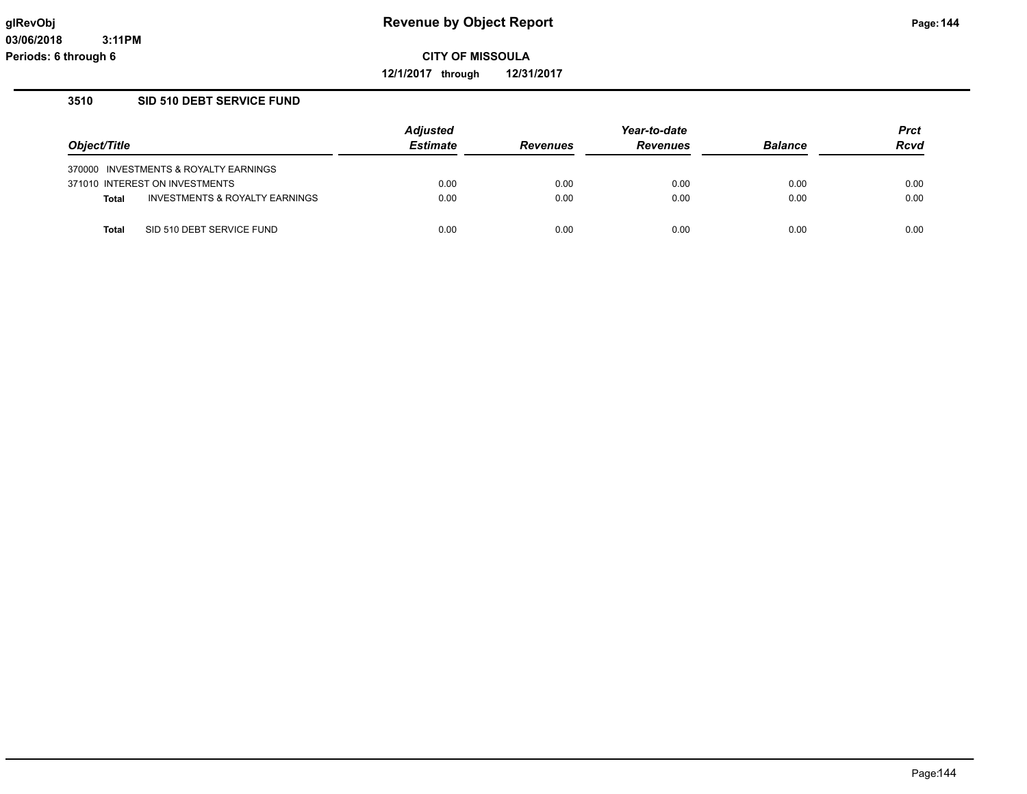**12/1/2017 through 12/31/2017**

#### **3510 SID 510 DEBT SERVICE FUND**

|                                |                                       | <b>Adjusted</b><br><b>Estimate</b> | Year-to-date    |                 |                | Prct |
|--------------------------------|---------------------------------------|------------------------------------|-----------------|-----------------|----------------|------|
| Object/Title                   |                                       |                                    | <b>Revenues</b> | <b>Revenues</b> | <b>Balance</b> | Rcvd |
|                                | 370000 INVESTMENTS & ROYALTY EARNINGS |                                    |                 |                 |                |      |
| 371010 INTEREST ON INVESTMENTS |                                       | 0.00                               | 0.00            | 0.00            | 0.00           | 0.00 |
| <b>Total</b>                   | INVESTMENTS & ROYALTY EARNINGS        | 0.00                               | 0.00            | 0.00            | 0.00           | 0.00 |
| Total                          | SID 510 DEBT SERVICE FUND             | 0.00                               | 0.00            | 0.00            | 0.00           | 0.00 |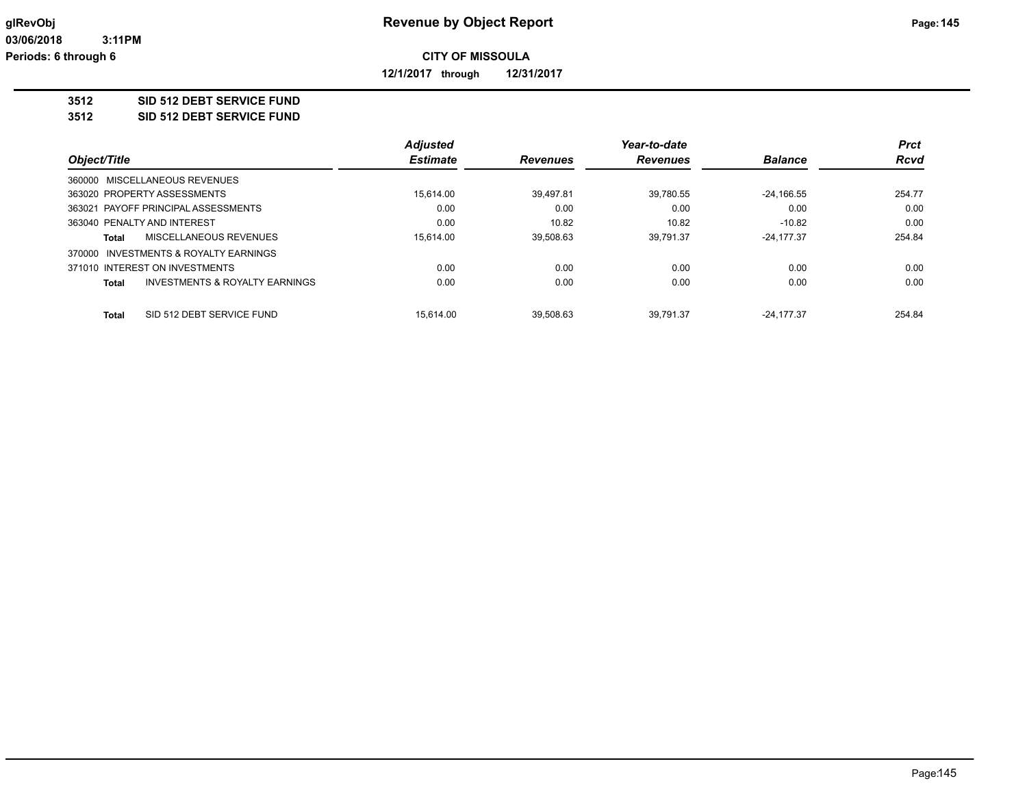**12/1/2017 through 12/31/2017**

### **3512 SID 512 DEBT SERVICE FUND**

### **3512 SID 512 DEBT SERVICE FUND**

|                             |                                       | <b>Adjusted</b> |                 | Year-to-date    |                | <b>Prct</b> |
|-----------------------------|---------------------------------------|-----------------|-----------------|-----------------|----------------|-------------|
| Object/Title                |                                       | <b>Estimate</b> | <b>Revenues</b> | <b>Revenues</b> | <b>Balance</b> | <b>Rcvd</b> |
|                             | 360000 MISCELLANEOUS REVENUES         |                 |                 |                 |                |             |
|                             | 363020 PROPERTY ASSESSMENTS           | 15.614.00       | 39.497.81       | 39.780.55       | $-24.166.55$   | 254.77      |
|                             | 363021 PAYOFF PRINCIPAL ASSESSMENTS   | 0.00            | 0.00            | 0.00            | 0.00           | 0.00        |
| 363040 PENALTY AND INTEREST |                                       | 0.00            | 10.82           | 10.82           | $-10.82$       | 0.00        |
| Total                       | MISCELLANEOUS REVENUES                | 15.614.00       | 39,508.63       | 39.791.37       | $-24.177.37$   | 254.84      |
|                             | 370000 INVESTMENTS & ROYALTY EARNINGS |                 |                 |                 |                |             |
|                             | 371010 INTEREST ON INVESTMENTS        | 0.00            | 0.00            | 0.00            | 0.00           | 0.00        |
| Total                       | INVESTMENTS & ROYALTY EARNINGS        | 0.00            | 0.00            | 0.00            | 0.00           | 0.00        |
| <b>Total</b>                | SID 512 DEBT SERVICE FUND             | 15.614.00       | 39.508.63       | 39.791.37       | $-24.177.37$   | 254.84      |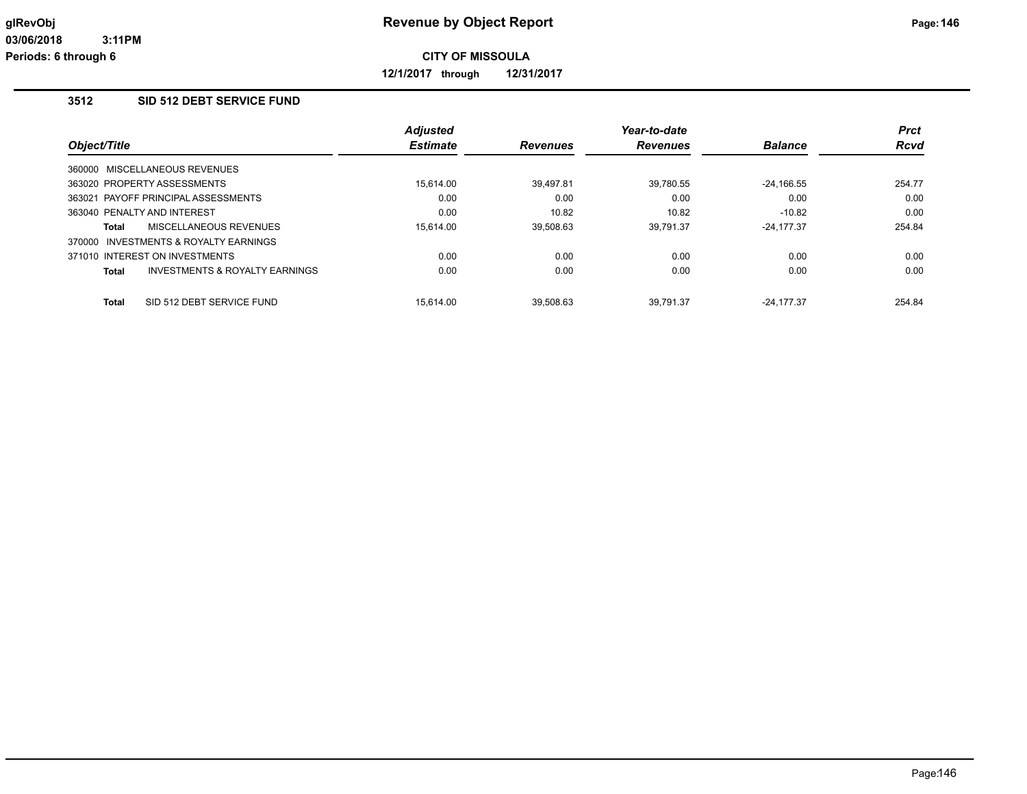**12/1/2017 through 12/31/2017**

# **3512 SID 512 DEBT SERVICE FUND**

|                                           | <b>Adjusted</b> |                 | Year-to-date    |                | <b>Prct</b> |
|-------------------------------------------|-----------------|-----------------|-----------------|----------------|-------------|
| Object/Title                              | <b>Estimate</b> | <b>Revenues</b> | <b>Revenues</b> | <b>Balance</b> | <b>Rcvd</b> |
| 360000 MISCELLANEOUS REVENUES             |                 |                 |                 |                |             |
| 363020 PROPERTY ASSESSMENTS               | 15.614.00       | 39,497.81       | 39,780.55       | $-24,166.55$   | 254.77      |
| 363021 PAYOFF PRINCIPAL ASSESSMENTS       | 0.00            | 0.00            | 0.00            | 0.00           | 0.00        |
| 363040 PENALTY AND INTEREST               | 0.00            | 10.82           | 10.82           | $-10.82$       | 0.00        |
| <b>MISCELLANEOUS REVENUES</b><br>Total    | 15.614.00       | 39.508.63       | 39.791.37       | $-24.177.37$   | 254.84      |
| INVESTMENTS & ROYALTY EARNINGS<br>370000  |                 |                 |                 |                |             |
| 371010 INTEREST ON INVESTMENTS            | 0.00            | 0.00            | 0.00            | 0.00           | 0.00        |
| INVESTMENTS & ROYALTY EARNINGS<br>Total   | 0.00            | 0.00            | 0.00            | 0.00           | 0.00        |
| <b>Total</b><br>SID 512 DEBT SERVICE FUND | 15.614.00       | 39.508.63       | 39.791.37       | $-24.177.37$   | 254.84      |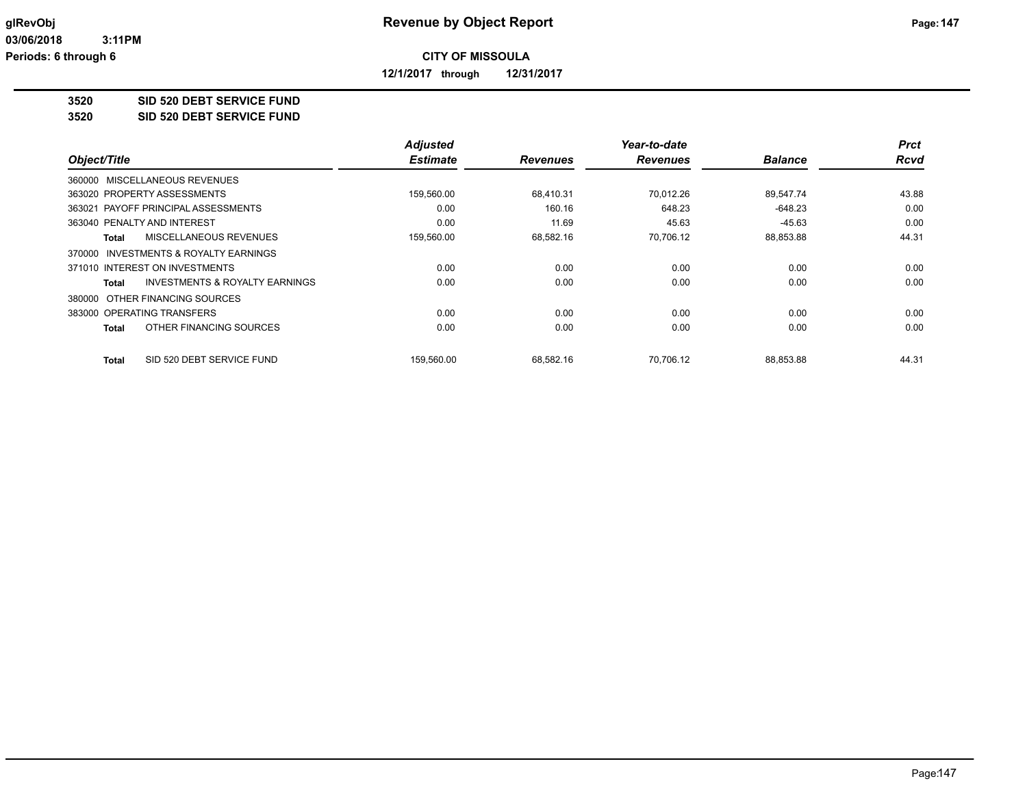**12/1/2017 through 12/31/2017**

## **3520 SID 520 DEBT SERVICE FUND**

**3520 SID 520 DEBT SERVICE FUND**

|                                                    | <b>Adjusted</b> |                 | Year-to-date    |                | <b>Prct</b> |
|----------------------------------------------------|-----------------|-----------------|-----------------|----------------|-------------|
| Object/Title                                       | <b>Estimate</b> | <b>Revenues</b> | <b>Revenues</b> | <b>Balance</b> | <b>Rcvd</b> |
| 360000 MISCELLANEOUS REVENUES                      |                 |                 |                 |                |             |
| 363020 PROPERTY ASSESSMENTS                        | 159,560.00      | 68.410.31       | 70.012.26       | 89,547.74      | 43.88       |
| PAYOFF PRINCIPAL ASSESSMENTS<br>363021             | 0.00            | 160.16          | 648.23          | $-648.23$      | 0.00        |
| 363040 PENALTY AND INTEREST                        | 0.00            | 11.69           | 45.63           | $-45.63$       | 0.00        |
| MISCELLANEOUS REVENUES<br><b>Total</b>             | 159,560.00      | 68,582.16       | 70,706.12       | 88,853.88      | 44.31       |
| 370000 INVESTMENTS & ROYALTY EARNINGS              |                 |                 |                 |                |             |
| 371010 INTEREST ON INVESTMENTS                     | 0.00            | 0.00            | 0.00            | 0.00           | 0.00        |
| <b>INVESTMENTS &amp; ROYALTY EARNINGS</b><br>Total | 0.00            | 0.00            | 0.00            | 0.00           | 0.00        |
| 380000 OTHER FINANCING SOURCES                     |                 |                 |                 |                |             |
| 383000 OPERATING TRANSFERS                         | 0.00            | 0.00            | 0.00            | 0.00           | 0.00        |
| OTHER FINANCING SOURCES<br><b>Total</b>            | 0.00            | 0.00            | 0.00            | 0.00           | 0.00        |
| SID 520 DEBT SERVICE FUND<br><b>Total</b>          | 159,560.00      | 68,582.16       | 70.706.12       | 88,853.88      | 44.31       |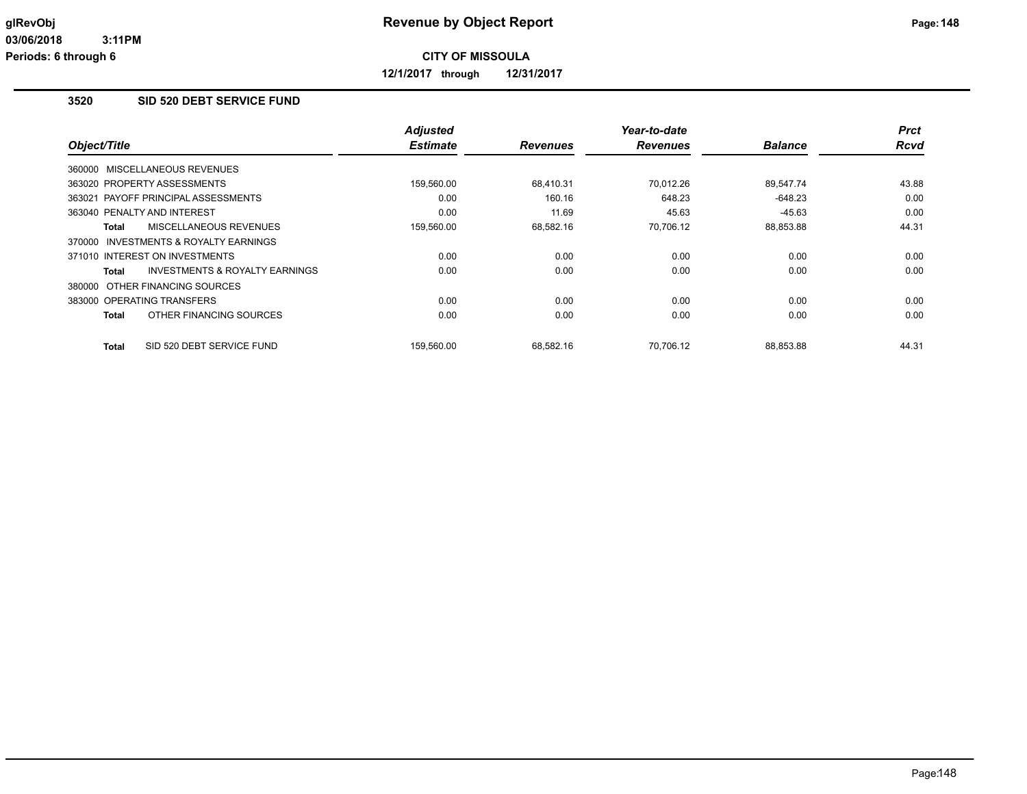**12/1/2017 through 12/31/2017**

## **3520 SID 520 DEBT SERVICE FUND**

|                                                           | <b>Adjusted</b> |                 | Year-to-date    |                | <b>Prct</b> |
|-----------------------------------------------------------|-----------------|-----------------|-----------------|----------------|-------------|
| Object/Title                                              | <b>Estimate</b> | <b>Revenues</b> | <b>Revenues</b> | <b>Balance</b> | Rcvd        |
| 360000 MISCELLANEOUS REVENUES                             |                 |                 |                 |                |             |
| 363020 PROPERTY ASSESSMENTS                               | 159,560.00      | 68,410.31       | 70.012.26       | 89.547.74      | 43.88       |
| 363021 PAYOFF PRINCIPAL ASSESSMENTS                       | 0.00            | 160.16          | 648.23          | $-648.23$      | 0.00        |
| 363040 PENALTY AND INTEREST                               | 0.00            | 11.69           | 45.63           | $-45.63$       | 0.00        |
| MISCELLANEOUS REVENUES<br><b>Total</b>                    | 159,560.00      | 68.582.16       | 70.706.12       | 88,853.88      | 44.31       |
| 370000 INVESTMENTS & ROYALTY EARNINGS                     |                 |                 |                 |                |             |
| 371010 INTEREST ON INVESTMENTS                            | 0.00            | 0.00            | 0.00            | 0.00           | 0.00        |
| <b>INVESTMENTS &amp; ROYALTY EARNINGS</b><br><b>Total</b> | 0.00            | 0.00            | 0.00            | 0.00           | 0.00        |
| 380000 OTHER FINANCING SOURCES                            |                 |                 |                 |                |             |
| 383000 OPERATING TRANSFERS                                | 0.00            | 0.00            | 0.00            | 0.00           | 0.00        |
| OTHER FINANCING SOURCES<br><b>Total</b>                   | 0.00            | 0.00            | 0.00            | 0.00           | 0.00        |
| SID 520 DEBT SERVICE FUND<br><b>Total</b>                 | 159,560.00      | 68,582.16       | 70,706.12       | 88,853.88      | 44.31       |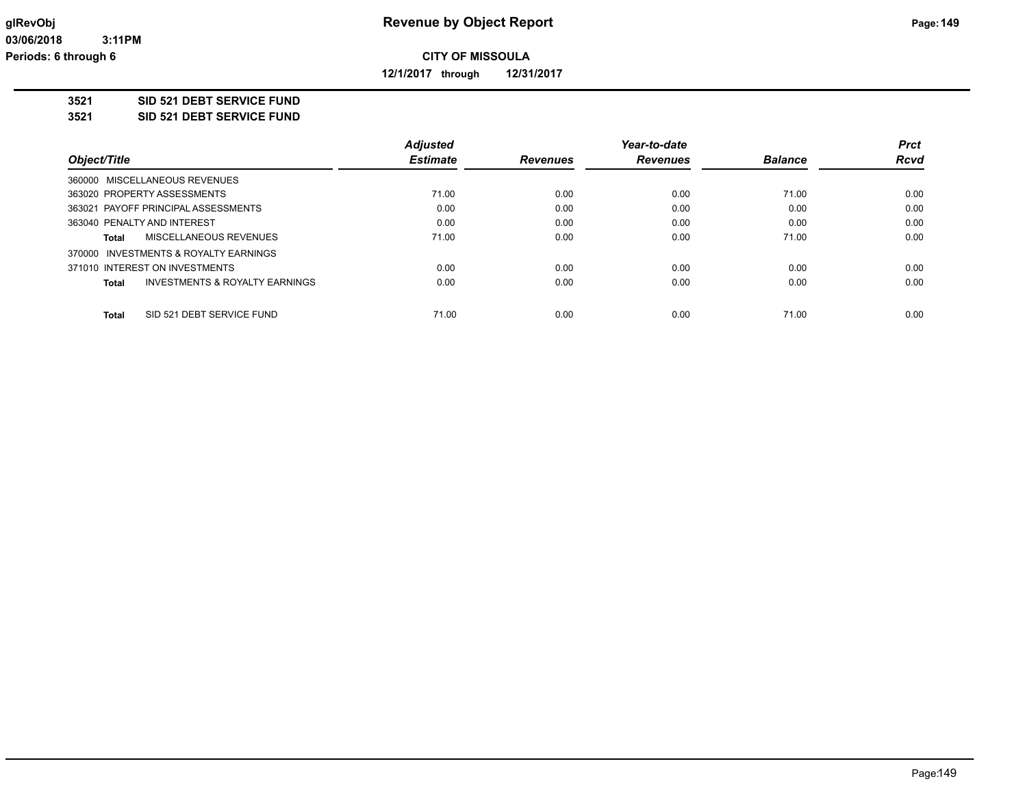**12/1/2017 through 12/31/2017**

**3521 SID 521 DEBT SERVICE FUND**

**3521 SID 521 DEBT SERVICE FUND**

|              |                                           | <b>Adjusted</b> |                 | Year-to-date    |                | <b>Prct</b> |
|--------------|-------------------------------------------|-----------------|-----------------|-----------------|----------------|-------------|
| Object/Title |                                           | <b>Estimate</b> | <b>Revenues</b> | <b>Revenues</b> | <b>Balance</b> | <b>Rcvd</b> |
|              | 360000 MISCELLANEOUS REVENUES             |                 |                 |                 |                |             |
|              | 363020 PROPERTY ASSESSMENTS               | 71.00           | 0.00            | 0.00            | 71.00          | 0.00        |
|              | 363021 PAYOFF PRINCIPAL ASSESSMENTS       | 0.00            | 0.00            | 0.00            | 0.00           | 0.00        |
|              | 363040 PENALTY AND INTEREST               | 0.00            | 0.00            | 0.00            | 0.00           | 0.00        |
| Total        | MISCELLANEOUS REVENUES                    | 71.00           | 0.00            | 0.00            | 71.00          | 0.00        |
|              | 370000 INVESTMENTS & ROYALTY EARNINGS     |                 |                 |                 |                |             |
|              | 371010 INTEREST ON INVESTMENTS            | 0.00            | 0.00            | 0.00            | 0.00           | 0.00        |
| Total        | <b>INVESTMENTS &amp; ROYALTY EARNINGS</b> | 0.00            | 0.00            | 0.00            | 0.00           | 0.00        |
| <b>Total</b> | SID 521 DEBT SERVICE FUND                 | 71.00           | 0.00            | 0.00            | 71.00          | 0.00        |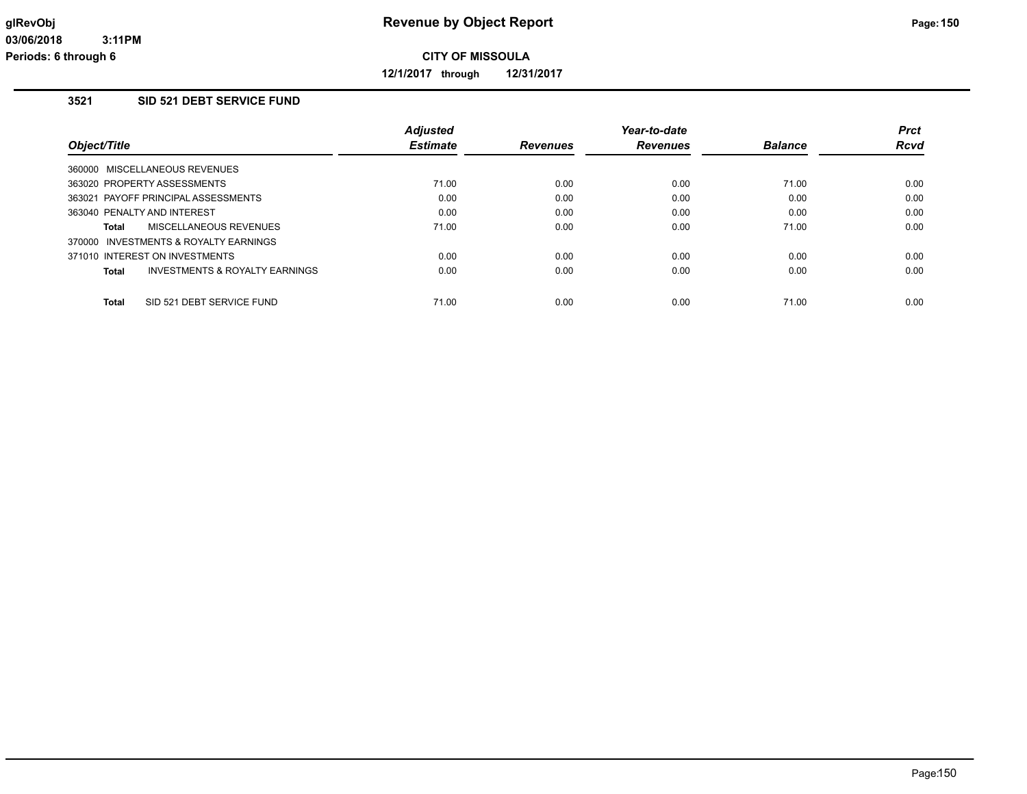**12/1/2017 through 12/31/2017**

# **3521 SID 521 DEBT SERVICE FUND**

|                                                    | <b>Adjusted</b> |                 | Year-to-date    |                | <b>Prct</b> |
|----------------------------------------------------|-----------------|-----------------|-----------------|----------------|-------------|
| Object/Title                                       | <b>Estimate</b> | <b>Revenues</b> | <b>Revenues</b> | <b>Balance</b> | <b>Rcvd</b> |
| 360000 MISCELLANEOUS REVENUES                      |                 |                 |                 |                |             |
| 363020 PROPERTY ASSESSMENTS                        | 71.00           | 0.00            | 0.00            | 71.00          | 0.00        |
| 363021 PAYOFF PRINCIPAL ASSESSMENTS                | 0.00            | 0.00            | 0.00            | 0.00           | 0.00        |
| 363040 PENALTY AND INTEREST                        | 0.00            | 0.00            | 0.00            | 0.00           | 0.00        |
| MISCELLANEOUS REVENUES<br>Total                    | 71.00           | 0.00            | 0.00            | 71.00          | 0.00        |
| 370000 INVESTMENTS & ROYALTY EARNINGS              |                 |                 |                 |                |             |
| 371010 INTEREST ON INVESTMENTS                     | 0.00            | 0.00            | 0.00            | 0.00           | 0.00        |
| <b>INVESTMENTS &amp; ROYALTY EARNINGS</b><br>Total | 0.00            | 0.00            | 0.00            | 0.00           | 0.00        |
| SID 521 DEBT SERVICE FUND<br><b>Total</b>          | 71.00           | 0.00            | 0.00            | 71.00          | 0.00        |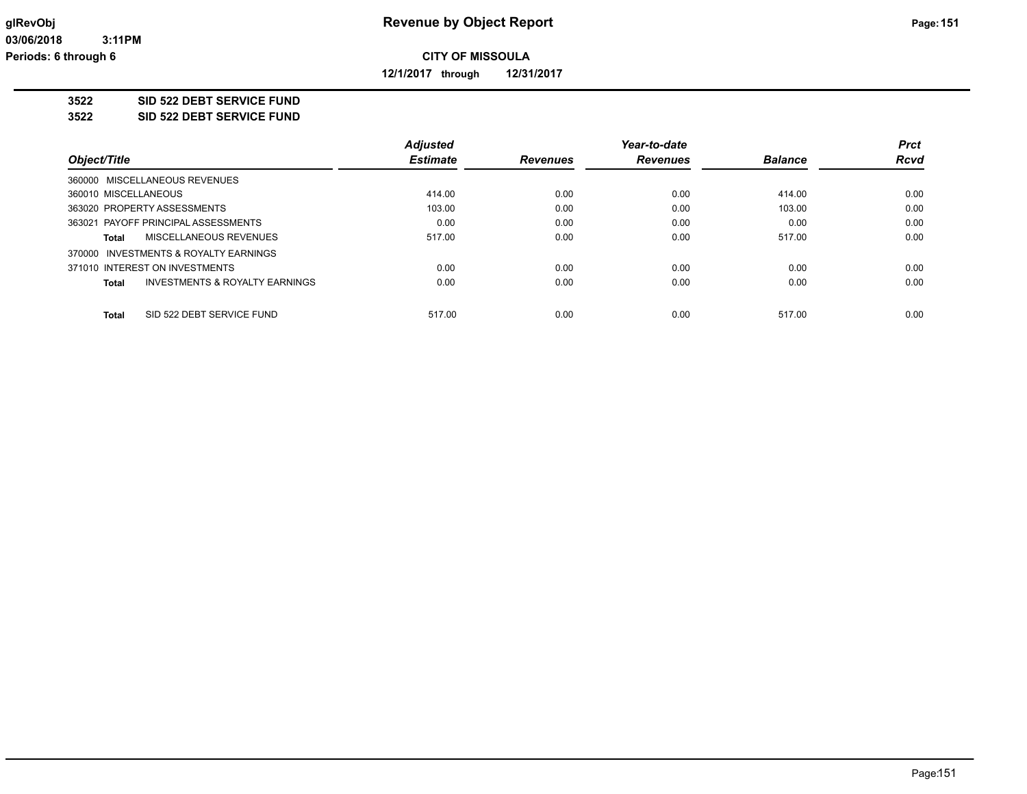**12/1/2017 through 12/31/2017**

### **3522 SID 522 DEBT SERVICE FUND**

**3522 SID 522 DEBT SERVICE FUND**

|                                                    | <b>Adjusted</b> |                 | Year-to-date    |                | <b>Prct</b> |
|----------------------------------------------------|-----------------|-----------------|-----------------|----------------|-------------|
| Object/Title                                       | <b>Estimate</b> | <b>Revenues</b> | <b>Revenues</b> | <b>Balance</b> | <b>Rcvd</b> |
| 360000 MISCELLANEOUS REVENUES                      |                 |                 |                 |                |             |
| 360010 MISCELLANEOUS                               | 414.00          | 0.00            | 0.00            | 414.00         | 0.00        |
| 363020 PROPERTY ASSESSMENTS                        | 103.00          | 0.00            | 0.00            | 103.00         | 0.00        |
| 363021 PAYOFF PRINCIPAL ASSESSMENTS                | 0.00            | 0.00            | 0.00            | 0.00           | 0.00        |
| MISCELLANEOUS REVENUES<br>Total                    | 517.00          | 0.00            | 0.00            | 517.00         | 0.00        |
| 370000 INVESTMENTS & ROYALTY EARNINGS              |                 |                 |                 |                |             |
| 371010 INTEREST ON INVESTMENTS                     | 0.00            | 0.00            | 0.00            | 0.00           | 0.00        |
| <b>INVESTMENTS &amp; ROYALTY EARNINGS</b><br>Total | 0.00            | 0.00            | 0.00            | 0.00           | 0.00        |
| SID 522 DEBT SERVICE FUND<br>Total                 | 517.00          | 0.00            | 0.00            | 517.00         | 0.00        |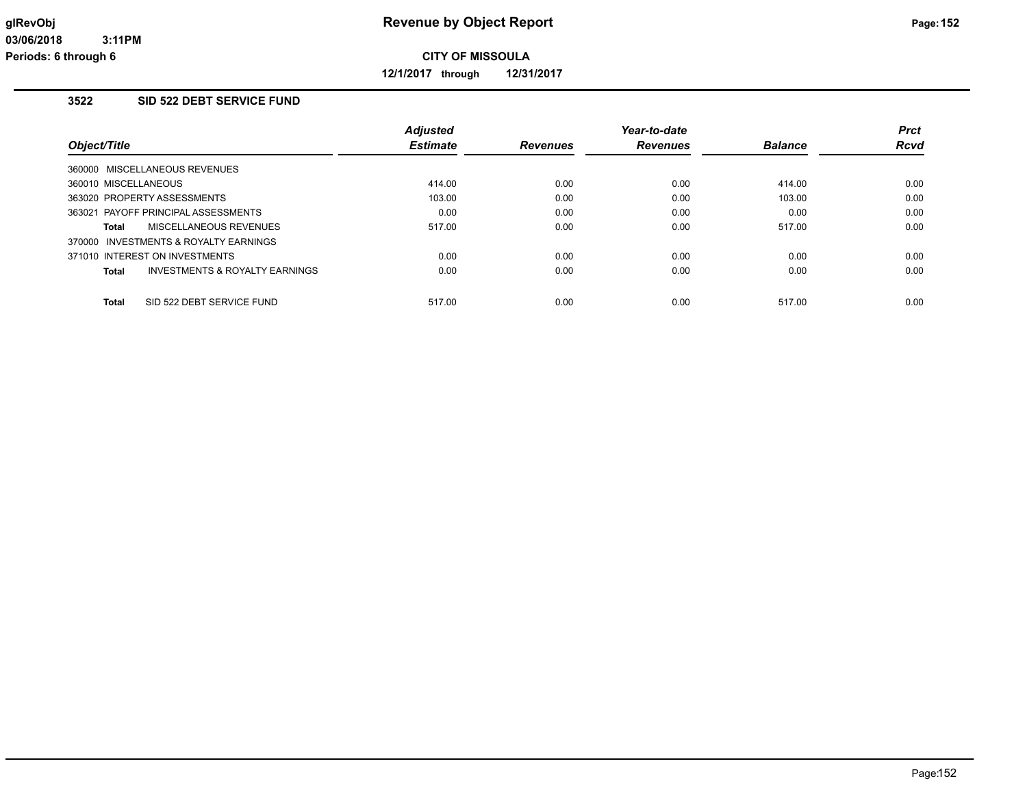**12/1/2017 through 12/31/2017**

# **3522 SID 522 DEBT SERVICE FUND**

|                                                    | <b>Adjusted</b> |                 | Year-to-date    |                | <b>Prct</b> |
|----------------------------------------------------|-----------------|-----------------|-----------------|----------------|-------------|
| Object/Title                                       | <b>Estimate</b> | <b>Revenues</b> | <b>Revenues</b> | <b>Balance</b> | <b>Rcvd</b> |
| 360000 MISCELLANEOUS REVENUES                      |                 |                 |                 |                |             |
| 360010 MISCELLANEOUS                               | 414.00          | 0.00            | 0.00            | 414.00         | 0.00        |
| 363020 PROPERTY ASSESSMENTS                        | 103.00          | 0.00            | 0.00            | 103.00         | 0.00        |
| 363021 PAYOFF PRINCIPAL ASSESSMENTS                | 0.00            | 0.00            | 0.00            | 0.00           | 0.00        |
| MISCELLANEOUS REVENUES<br>Total                    | 517.00          | 0.00            | 0.00            | 517.00         | 0.00        |
| 370000 INVESTMENTS & ROYALTY EARNINGS              |                 |                 |                 |                |             |
| 371010 INTEREST ON INVESTMENTS                     | 0.00            | 0.00            | 0.00            | 0.00           | 0.00        |
| <b>INVESTMENTS &amp; ROYALTY EARNINGS</b><br>Total | 0.00            | 0.00            | 0.00            | 0.00           | 0.00        |
| <b>Total</b><br>SID 522 DEBT SERVICE FUND          | 517.00          | 0.00            | 0.00            | 517.00         | 0.00        |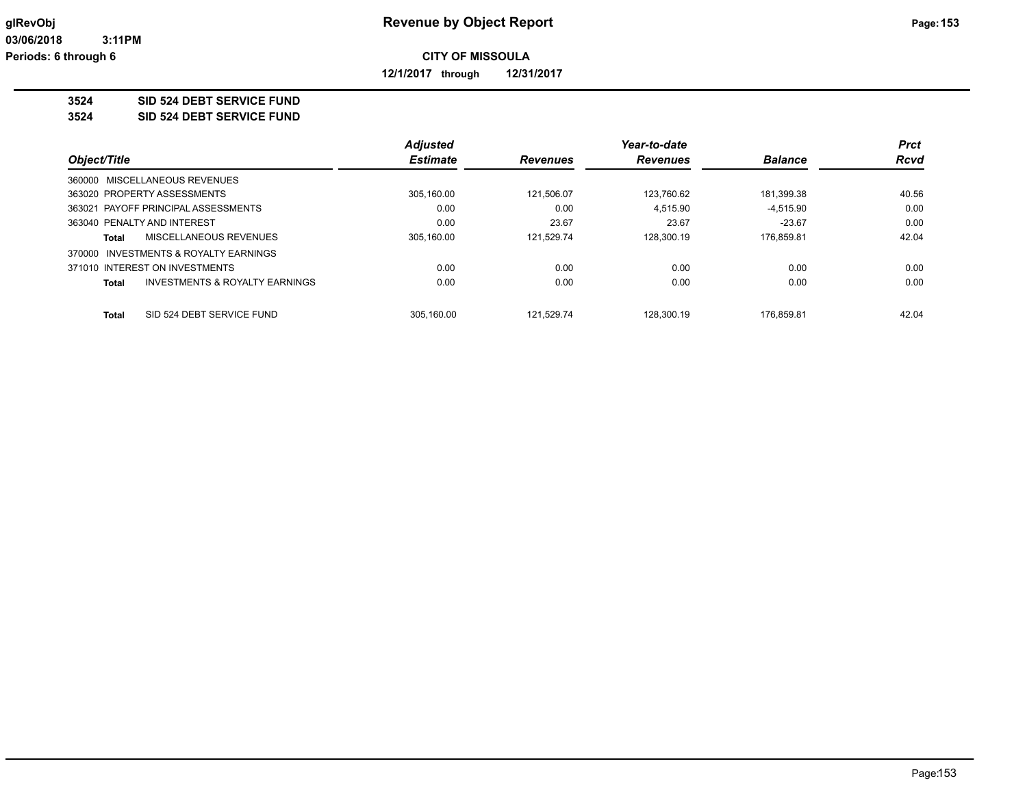**12/1/2017 through 12/31/2017**

**3524 SID 524 DEBT SERVICE FUND**

**3524 SID 524 DEBT SERVICE FUND**

|                                                    | <b>Adjusted</b> |                 | Year-to-date    |                | <b>Prct</b> |
|----------------------------------------------------|-----------------|-----------------|-----------------|----------------|-------------|
| Object/Title                                       | <b>Estimate</b> | <b>Revenues</b> | <b>Revenues</b> | <b>Balance</b> | <b>Rcvd</b> |
| 360000 MISCELLANEOUS REVENUES                      |                 |                 |                 |                |             |
| 363020 PROPERTY ASSESSMENTS                        | 305,160.00      | 121.506.07      | 123,760.62      | 181,399.38     | 40.56       |
| 363021 PAYOFF PRINCIPAL ASSESSMENTS                | 0.00            | 0.00            | 4.515.90        | $-4.515.90$    | 0.00        |
| 363040 PENALTY AND INTEREST                        | 0.00            | 23.67           | 23.67           | $-23.67$       | 0.00        |
| MISCELLANEOUS REVENUES<br>Total                    | 305.160.00      | 121.529.74      | 128.300.19      | 176.859.81     | 42.04       |
| INVESTMENTS & ROYALTY EARNINGS<br>370000           |                 |                 |                 |                |             |
| 371010 INTEREST ON INVESTMENTS                     | 0.00            | 0.00            | 0.00            | 0.00           | 0.00        |
| <b>INVESTMENTS &amp; ROYALTY EARNINGS</b><br>Total | 0.00            | 0.00            | 0.00            | 0.00           | 0.00        |
|                                                    |                 |                 |                 |                |             |
| SID 524 DEBT SERVICE FUND<br>Total                 | 305.160.00      | 121.529.74      | 128.300.19      | 176.859.81     | 42.04       |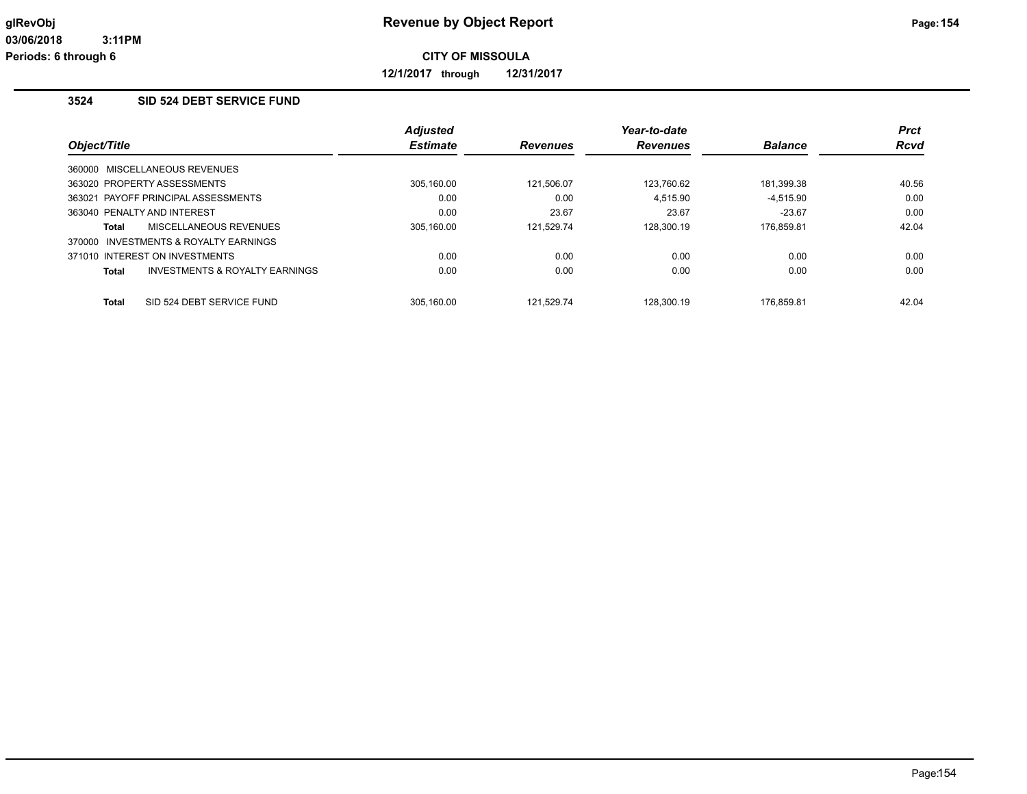**12/1/2017 through 12/31/2017**

# **3524 SID 524 DEBT SERVICE FUND**

|              |                                       | <b>Adjusted</b> |                 | Year-to-date    |                | <b>Prct</b> |
|--------------|---------------------------------------|-----------------|-----------------|-----------------|----------------|-------------|
| Object/Title |                                       | <b>Estimate</b> | <b>Revenues</b> | <b>Revenues</b> | <b>Balance</b> | <b>Rcvd</b> |
|              | 360000 MISCELLANEOUS REVENUES         |                 |                 |                 |                |             |
|              | 363020 PROPERTY ASSESSMENTS           | 305.160.00      | 121.506.07      | 123,760.62      | 181,399.38     | 40.56       |
|              | 363021 PAYOFF PRINCIPAL ASSESSMENTS   | 0.00            | 0.00            | 4.515.90        | $-4.515.90$    | 0.00        |
|              | 363040 PENALTY AND INTEREST           | 0.00            | 23.67           | 23.67           | $-23.67$       | 0.00        |
| Total        | MISCELLANEOUS REVENUES                | 305.160.00      | 121.529.74      | 128.300.19      | 176.859.81     | 42.04       |
|              | 370000 INVESTMENTS & ROYALTY EARNINGS |                 |                 |                 |                |             |
|              | 371010 INTEREST ON INVESTMENTS        | 0.00            | 0.00            | 0.00            | 0.00           | 0.00        |
| <b>Total</b> | INVESTMENTS & ROYALTY EARNINGS        | 0.00            | 0.00            | 0.00            | 0.00           | 0.00        |
| <b>Total</b> | SID 524 DEBT SERVICE FUND             | 305.160.00      | 121.529.74      | 128.300.19      | 176.859.81     | 42.04       |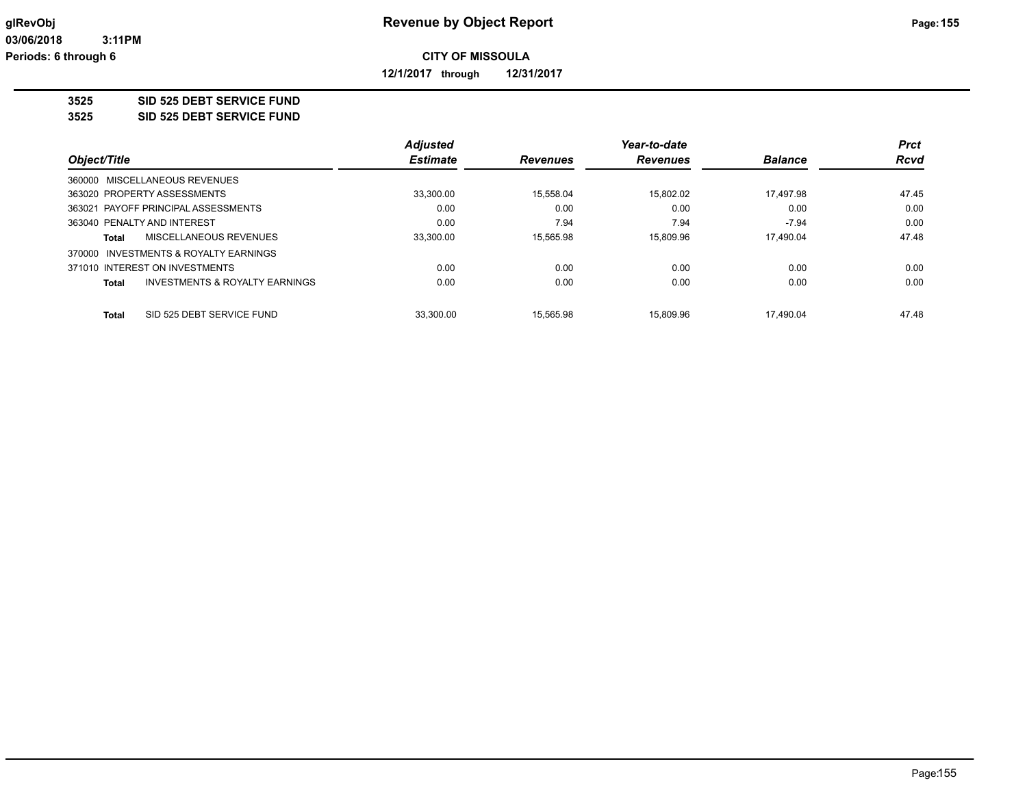**12/1/2017 through 12/31/2017**

## **3525 SID 525 DEBT SERVICE FUND**

**3525 SID 525 DEBT SERVICE FUND**

|                                          | <b>Adjusted</b> |                 | Year-to-date    |                | <b>Prct</b> |
|------------------------------------------|-----------------|-----------------|-----------------|----------------|-------------|
| Object/Title                             | <b>Estimate</b> | <b>Revenues</b> | <b>Revenues</b> | <b>Balance</b> | <b>Rcvd</b> |
| 360000 MISCELLANEOUS REVENUES            |                 |                 |                 |                |             |
| 363020 PROPERTY ASSESSMENTS              | 33,300.00       | 15.558.04       | 15.802.02       | 17.497.98      | 47.45       |
| 363021 PAYOFF PRINCIPAL ASSESSMENTS      | 0.00            | 0.00            | 0.00            | 0.00           | 0.00        |
| 363040 PENALTY AND INTEREST              | 0.00            | 7.94            | 7.94            | $-7.94$        | 0.00        |
| MISCELLANEOUS REVENUES<br>Total          | 33,300.00       | 15.565.98       | 15.809.96       | 17.490.04      | 47.48       |
| INVESTMENTS & ROYALTY EARNINGS<br>370000 |                 |                 |                 |                |             |
| 371010 INTEREST ON INVESTMENTS           | 0.00            | 0.00            | 0.00            | 0.00           | 0.00        |
| INVESTMENTS & ROYALTY EARNINGS<br>Total  | 0.00            | 0.00            | 0.00            | 0.00           | 0.00        |
| SID 525 DEBT SERVICE FUND<br>Total       | 33.300.00       | 15.565.98       | 15.809.96       | 17.490.04      | 47.48       |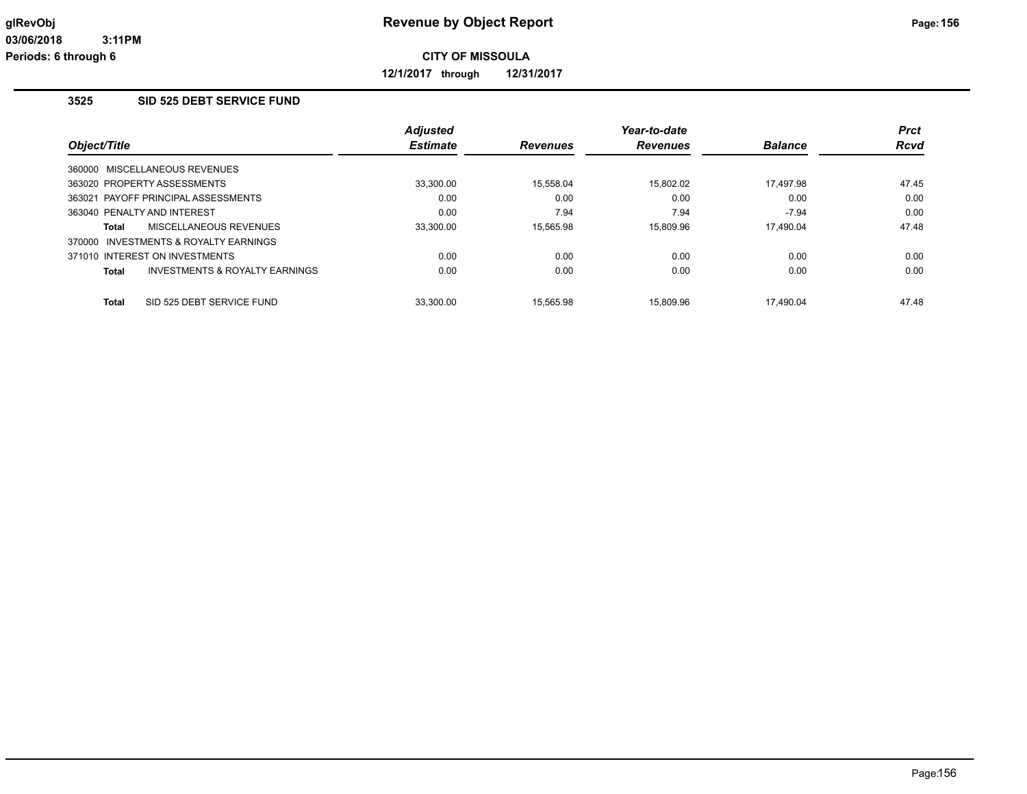**12/1/2017 through 12/31/2017**

## **3525 SID 525 DEBT SERVICE FUND**

|                                                    | <b>Adjusted</b> |                 | Year-to-date    |                | <b>Prct</b> |
|----------------------------------------------------|-----------------|-----------------|-----------------|----------------|-------------|
| Object/Title                                       | <b>Estimate</b> | <b>Revenues</b> | <b>Revenues</b> | <b>Balance</b> | <b>Rcvd</b> |
| 360000 MISCELLANEOUS REVENUES                      |                 |                 |                 |                |             |
| 363020 PROPERTY ASSESSMENTS                        | 33.300.00       | 15.558.04       | 15.802.02       | 17.497.98      | 47.45       |
| 363021 PAYOFF PRINCIPAL ASSESSMENTS                | 0.00            | 0.00            | 0.00            | 0.00           | 0.00        |
| 363040 PENALTY AND INTEREST                        | 0.00            | 7.94            | 7.94            | $-7.94$        | 0.00        |
| MISCELLANEOUS REVENUES<br>Total                    | 33,300.00       | 15.565.98       | 15.809.96       | 17.490.04      | 47.48       |
| 370000 INVESTMENTS & ROYALTY EARNINGS              |                 |                 |                 |                |             |
| 371010 INTEREST ON INVESTMENTS                     | 0.00            | 0.00            | 0.00            | 0.00           | 0.00        |
| <b>INVESTMENTS &amp; ROYALTY EARNINGS</b><br>Total | 0.00            | 0.00            | 0.00            | 0.00           | 0.00        |
| SID 525 DEBT SERVICE FUND<br><b>Total</b>          | 33.300.00       | 15.565.98       | 15.809.96       | 17.490.04      | 47.48       |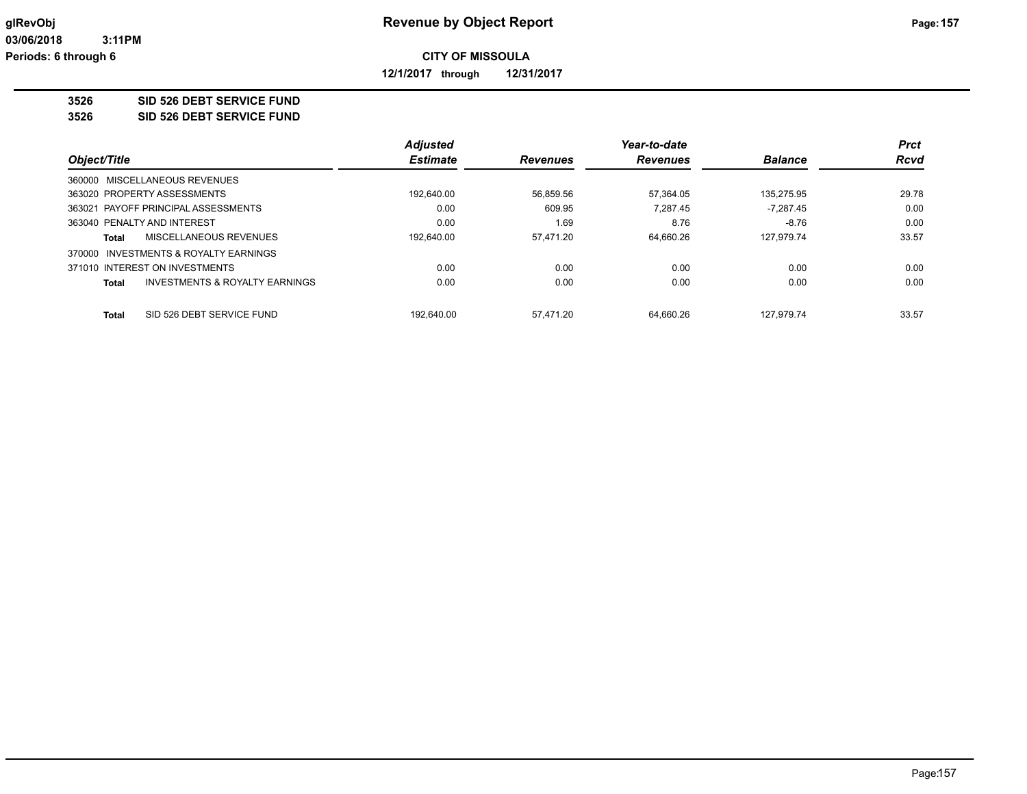**12/1/2017 through 12/31/2017**

# **3526 SID 526 DEBT SERVICE FUND**

**3526 SID 526 DEBT SERVICE FUND**

|                                                           | <b>Adjusted</b> |                 | Year-to-date    |                | <b>Prct</b> |
|-----------------------------------------------------------|-----------------|-----------------|-----------------|----------------|-------------|
| Object/Title                                              | <b>Estimate</b> | <b>Revenues</b> | <b>Revenues</b> | <b>Balance</b> | <b>Rcvd</b> |
| 360000 MISCELLANEOUS REVENUES                             |                 |                 |                 |                |             |
| 363020 PROPERTY ASSESSMENTS                               | 192.640.00      | 56,859.56       | 57.364.05       | 135.275.95     | 29.78       |
| 363021 PAYOFF PRINCIPAL ASSESSMENTS                       | 0.00            | 609.95          | 7.287.45        | $-7,287.45$    | 0.00        |
| 363040 PENALTY AND INTEREST                               | 0.00            | 1.69            | 8.76            | $-8.76$        | 0.00        |
| MISCELLANEOUS REVENUES<br>Total                           | 192.640.00      | 57.471.20       | 64.660.26       | 127.979.74     | 33.57       |
| 370000 INVESTMENTS & ROYALTY EARNINGS                     |                 |                 |                 |                |             |
| 371010 INTEREST ON INVESTMENTS                            | 0.00            | 0.00            | 0.00            | 0.00           | 0.00        |
| <b>INVESTMENTS &amp; ROYALTY EARNINGS</b><br><b>Total</b> | 0.00            | 0.00            | 0.00            | 0.00           | 0.00        |
| SID 526 DEBT SERVICE FUND<br><b>Total</b>                 | 192.640.00      | 57.471.20       | 64.660.26       | 127.979.74     | 33.57       |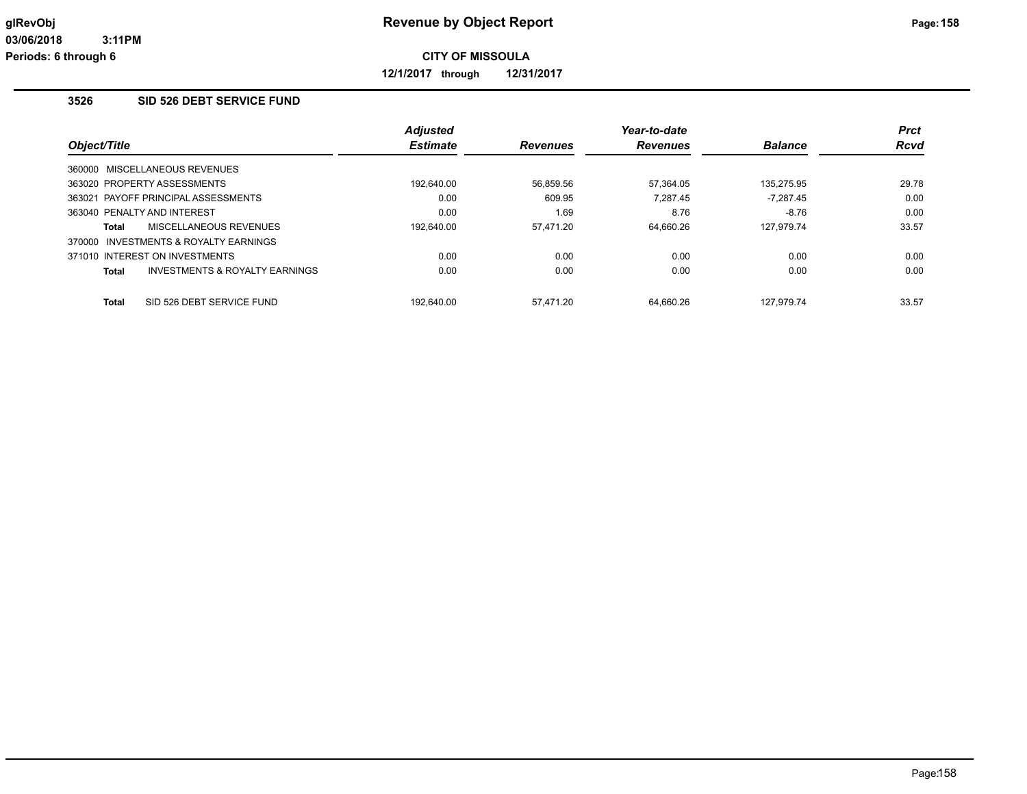**12/1/2017 through 12/31/2017**

## **3526 SID 526 DEBT SERVICE FUND**

|                             |                                       | <b>Adjusted</b> |                 | Year-to-date   |             | <b>Prct</b> |
|-----------------------------|---------------------------------------|-----------------|-----------------|----------------|-------------|-------------|
| Object/Title                | <b>Estimate</b>                       | <b>Revenues</b> | <b>Revenues</b> | <b>Balance</b> | <b>Rcvd</b> |             |
|                             | 360000 MISCELLANEOUS REVENUES         |                 |                 |                |             |             |
|                             | 363020 PROPERTY ASSESSMENTS           | 192,640.00      | 56,859.56       | 57,364.05      | 135,275.95  | 29.78       |
|                             | 363021 PAYOFF PRINCIPAL ASSESSMENTS   | 0.00            | 609.95          | 7.287.45       | $-7.287.45$ | 0.00        |
| 363040 PENALTY AND INTEREST |                                       | 0.00            | 1.69            | 8.76           | $-8.76$     | 0.00        |
| Total                       | <b>MISCELLANEOUS REVENUES</b>         | 192.640.00      | 57.471.20       | 64.660.26      | 127.979.74  | 33.57       |
|                             | 370000 INVESTMENTS & ROYALTY EARNINGS |                 |                 |                |             |             |
|                             | 371010 INTEREST ON INVESTMENTS        | 0.00            | 0.00            | 0.00           | 0.00        | 0.00        |
| Total                       | INVESTMENTS & ROYALTY EARNINGS        | 0.00            | 0.00            | 0.00           | 0.00        | 0.00        |
| <b>Total</b>                | SID 526 DEBT SERVICE FUND             | 192.640.00      | 57.471.20       | 64.660.26      | 127.979.74  | 33.57       |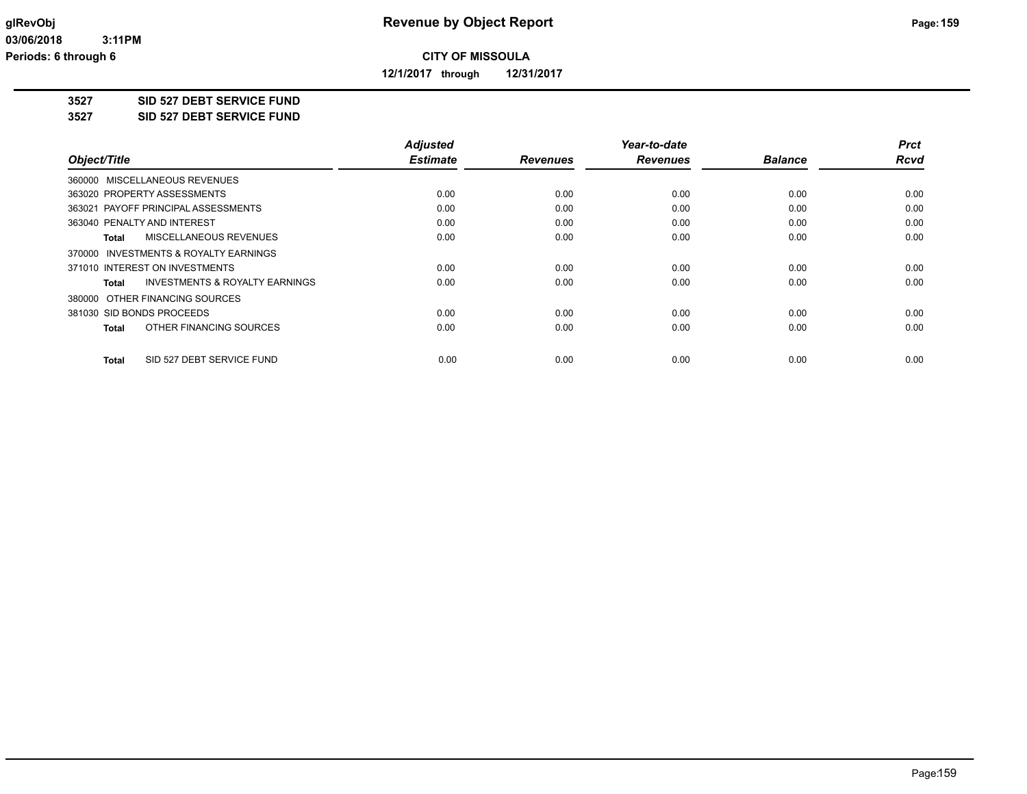**12/1/2017 through 12/31/2017**

**3527 SID 527 DEBT SERVICE FUND**

**3527 SID 527 DEBT SERVICE FUND**

|                                                    | <b>Adjusted</b> |                 | Year-to-date    |                | <b>Prct</b> |
|----------------------------------------------------|-----------------|-----------------|-----------------|----------------|-------------|
| Object/Title                                       | <b>Estimate</b> | <b>Revenues</b> | <b>Revenues</b> | <b>Balance</b> | <b>Rcvd</b> |
| 360000 MISCELLANEOUS REVENUES                      |                 |                 |                 |                |             |
| 363020 PROPERTY ASSESSMENTS                        | 0.00            | 0.00            | 0.00            | 0.00           | 0.00        |
| 363021 PAYOFF PRINCIPAL ASSESSMENTS                | 0.00            | 0.00            | 0.00            | 0.00           | 0.00        |
| 363040 PENALTY AND INTEREST                        | 0.00            | 0.00            | 0.00            | 0.00           | 0.00        |
| MISCELLANEOUS REVENUES<br><b>Total</b>             | 0.00            | 0.00            | 0.00            | 0.00           | 0.00        |
| 370000 INVESTMENTS & ROYALTY EARNINGS              |                 |                 |                 |                |             |
| 371010 INTEREST ON INVESTMENTS                     | 0.00            | 0.00            | 0.00            | 0.00           | 0.00        |
| <b>INVESTMENTS &amp; ROYALTY EARNINGS</b><br>Total | 0.00            | 0.00            | 0.00            | 0.00           | 0.00        |
| 380000 OTHER FINANCING SOURCES                     |                 |                 |                 |                |             |
| 381030 SID BONDS PROCEEDS                          | 0.00            | 0.00            | 0.00            | 0.00           | 0.00        |
| OTHER FINANCING SOURCES<br><b>Total</b>            | 0.00            | 0.00            | 0.00            | 0.00           | 0.00        |
| SID 527 DEBT SERVICE FUND<br>Total                 | 0.00            | 0.00            | 0.00            | 0.00           | 0.00        |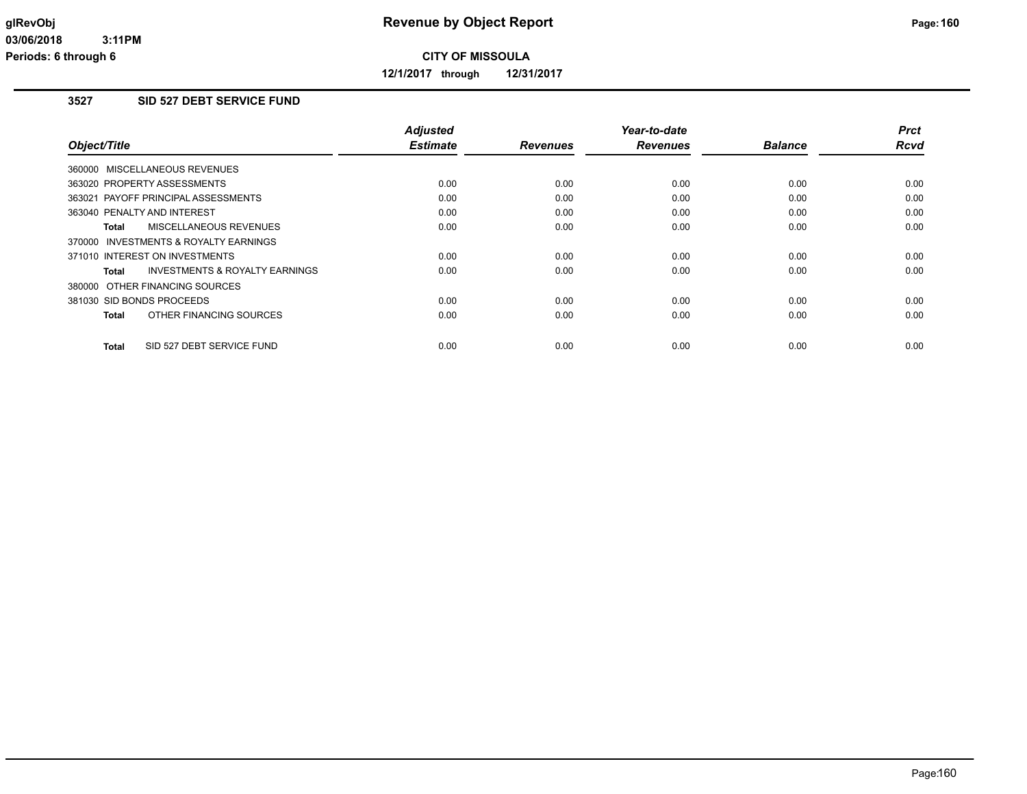**12/1/2017 through 12/31/2017**

# **3527 SID 527 DEBT SERVICE FUND**

| Object/Title                              | <b>Adjusted</b><br><b>Estimate</b> | <b>Revenues</b> | Year-to-date<br><b>Revenues</b> | <b>Balance</b> | <b>Prct</b><br>Rcvd |
|-------------------------------------------|------------------------------------|-----------------|---------------------------------|----------------|---------------------|
|                                           |                                    |                 |                                 |                |                     |
| 360000 MISCELLANEOUS REVENUES             |                                    |                 |                                 |                |                     |
| 363020 PROPERTY ASSESSMENTS               | 0.00                               | 0.00            | 0.00                            | 0.00           | 0.00                |
| 363021 PAYOFF PRINCIPAL ASSESSMENTS       | 0.00                               | 0.00            | 0.00                            | 0.00           | 0.00                |
| 363040 PENALTY AND INTEREST               | 0.00                               | 0.00            | 0.00                            | 0.00           | 0.00                |
| MISCELLANEOUS REVENUES<br>Total           | 0.00                               | 0.00            | 0.00                            | 0.00           | 0.00                |
| 370000 INVESTMENTS & ROYALTY EARNINGS     |                                    |                 |                                 |                |                     |
| 371010 INTEREST ON INVESTMENTS            | 0.00                               | 0.00            | 0.00                            | 0.00           | 0.00                |
| INVESTMENTS & ROYALTY EARNINGS<br>Total   | 0.00                               | 0.00            | 0.00                            | 0.00           | 0.00                |
| 380000 OTHER FINANCING SOURCES            |                                    |                 |                                 |                |                     |
| 381030 SID BONDS PROCEEDS                 | 0.00                               | 0.00            | 0.00                            | 0.00           | 0.00                |
| OTHER FINANCING SOURCES<br><b>Total</b>   | 0.00                               | 0.00            | 0.00                            | 0.00           | 0.00                |
| SID 527 DEBT SERVICE FUND<br><b>Total</b> | 0.00                               | 0.00            | 0.00                            | 0.00           | 0.00                |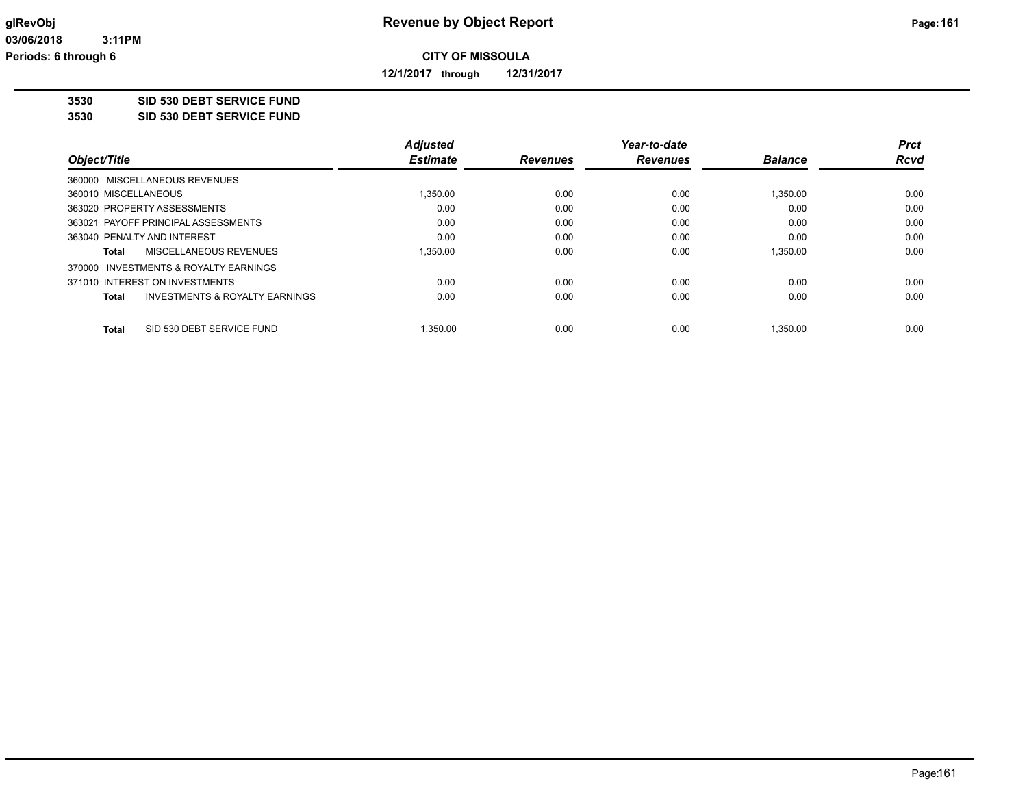**12/1/2017 through 12/31/2017**

**3530 SID 530 DEBT SERVICE FUND**

**3530 SID 530 DEBT SERVICE FUND**

|                                           | <b>Adjusted</b> |                 | Year-to-date    |                | Prct        |
|-------------------------------------------|-----------------|-----------------|-----------------|----------------|-------------|
| Object/Title                              | <b>Estimate</b> | <b>Revenues</b> | <b>Revenues</b> | <b>Balance</b> | <b>Rcvd</b> |
| 360000 MISCELLANEOUS REVENUES             |                 |                 |                 |                |             |
| 360010 MISCELLANEOUS                      | 1.350.00        | 0.00            | 0.00            | 1,350.00       | 0.00        |
| 363020 PROPERTY ASSESSMENTS               | 0.00            | 0.00            | 0.00            | 0.00           | 0.00        |
| 363021 PAYOFF PRINCIPAL ASSESSMENTS       | 0.00            | 0.00            | 0.00            | 0.00           | 0.00        |
| 363040 PENALTY AND INTEREST               | 0.00            | 0.00            | 0.00            | 0.00           | 0.00        |
| MISCELLANEOUS REVENUES<br>Total           | 1.350.00        | 0.00            | 0.00            | 1,350.00       | 0.00        |
| 370000 INVESTMENTS & ROYALTY EARNINGS     |                 |                 |                 |                |             |
| 371010 INTEREST ON INVESTMENTS            | 0.00            | 0.00            | 0.00            | 0.00           | 0.00        |
| INVESTMENTS & ROYALTY EARNINGS<br>Total   | 0.00            | 0.00            | 0.00            | 0.00           | 0.00        |
| <b>Total</b><br>SID 530 DEBT SERVICE FUND | 1.350.00        | 0.00            | 0.00            | 1.350.00       | 0.00        |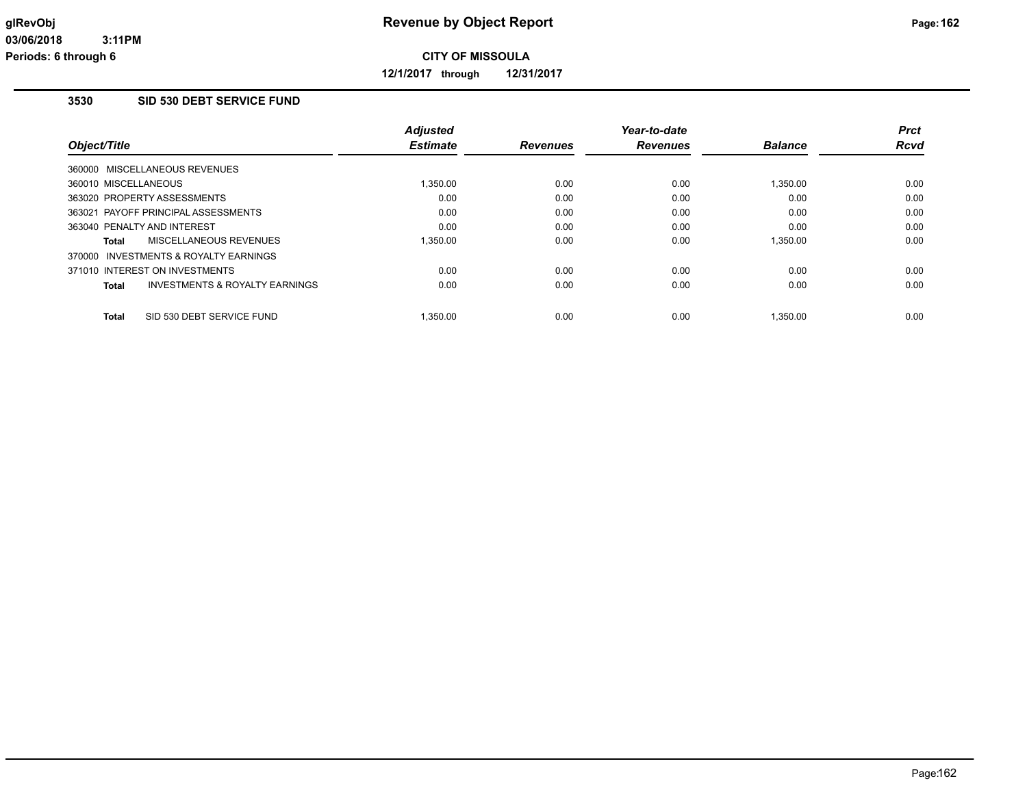**12/1/2017 through 12/31/2017**

## **3530 SID 530 DEBT SERVICE FUND**

| Object/Title                           |                                           | <b>Adjusted</b><br><b>Estimate</b> | <b>Revenues</b> | Year-to-date<br><b>Revenues</b> | <b>Balance</b> | <b>Prct</b><br><b>Rcvd</b> |
|----------------------------------------|-------------------------------------------|------------------------------------|-----------------|---------------------------------|----------------|----------------------------|
| 360000 MISCELLANEOUS REVENUES          |                                           |                                    |                 |                                 |                |                            |
| 360010 MISCELLANEOUS                   |                                           | 1.350.00                           | 0.00            | 0.00                            | 1.350.00       | 0.00                       |
| 363020 PROPERTY ASSESSMENTS            |                                           | 0.00                               | 0.00            | 0.00                            | 0.00           | 0.00                       |
| 363021 PAYOFF PRINCIPAL ASSESSMENTS    |                                           | 0.00                               | 0.00            | 0.00                            | 0.00           | 0.00                       |
| 363040 PENALTY AND INTEREST            |                                           | 0.00                               | 0.00            | 0.00                            | 0.00           | 0.00                       |
| <b>MISCELLANEOUS REVENUES</b><br>Total |                                           | 1.350.00                           | 0.00            | 0.00                            | 1.350.00       | 0.00                       |
| 370000 INVESTMENTS & ROYALTY EARNINGS  |                                           |                                    |                 |                                 |                |                            |
| 371010 INTEREST ON INVESTMENTS         |                                           | 0.00                               | 0.00            | 0.00                            | 0.00           | 0.00                       |
| Total                                  | <b>INVESTMENTS &amp; ROYALTY EARNINGS</b> | 0.00                               | 0.00            | 0.00                            | 0.00           | 0.00                       |
|                                        |                                           |                                    |                 |                                 |                |                            |
| SID 530 DEBT SERVICE FUND<br>Total     |                                           | 1.350.00                           | 0.00            | 0.00                            | 1.350.00       | 0.00                       |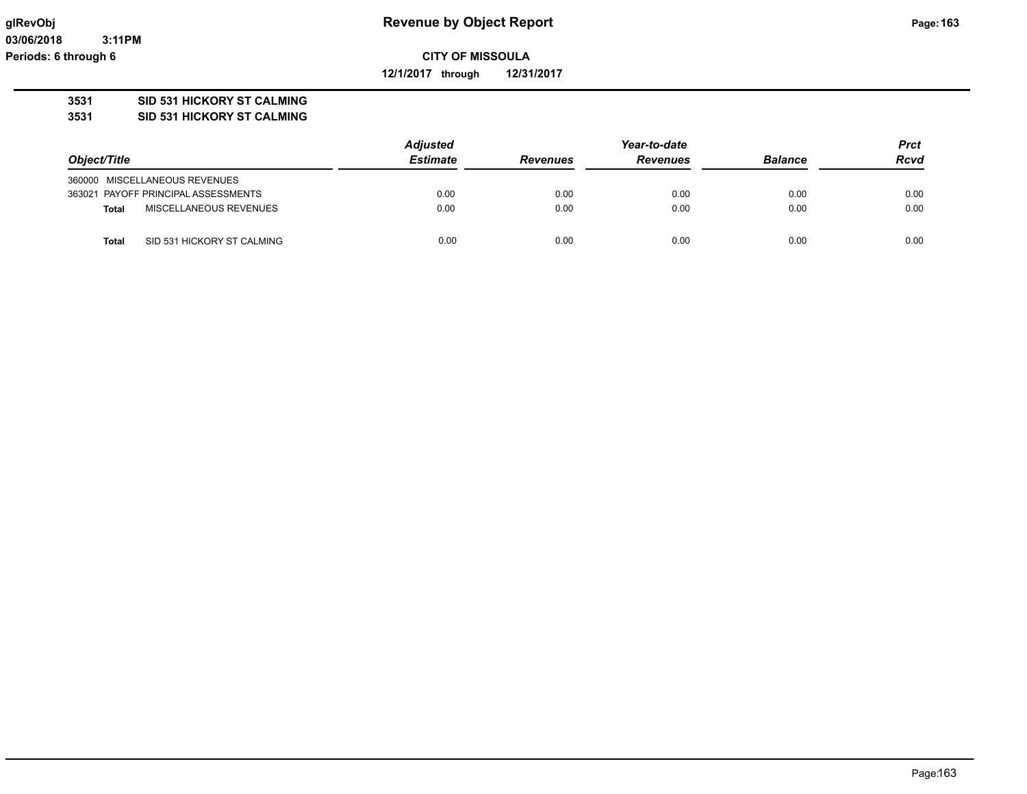**03/06/2018 3:11PM Periods: 6 through 6**

**CITY OF MISSOULA**

**12/1/2017 through 12/31/2017**

## **3531 SID 531 HICKORY ST CALMING**

**3531 SID 531 HICKORY ST CALMING**

|                                               | <b>Adjusted</b> |                 | Year-to-date    |      |             |
|-----------------------------------------------|-----------------|-----------------|-----------------|------|-------------|
| Object/Title                                  | <b>Estimate</b> | <b>Revenues</b> | <b>Revenues</b> |      | <b>Rcvd</b> |
| 360000 MISCELLANEOUS REVENUES                 |                 |                 |                 |      |             |
| 363021 PAYOFF PRINCIPAL ASSESSMENTS           | 0.00            | 0.00            | 0.00            | 0.00 | 0.00        |
| <b>MISCELLANEOUS REVENUES</b><br><b>Total</b> | 0.00            | 0.00            | 0.00            | 0.00 | 0.00        |
| SID 531 HICKORY ST CALMING<br>Total           | 0.00            | 0.00            | 0.00            | 0.00 | 0.00        |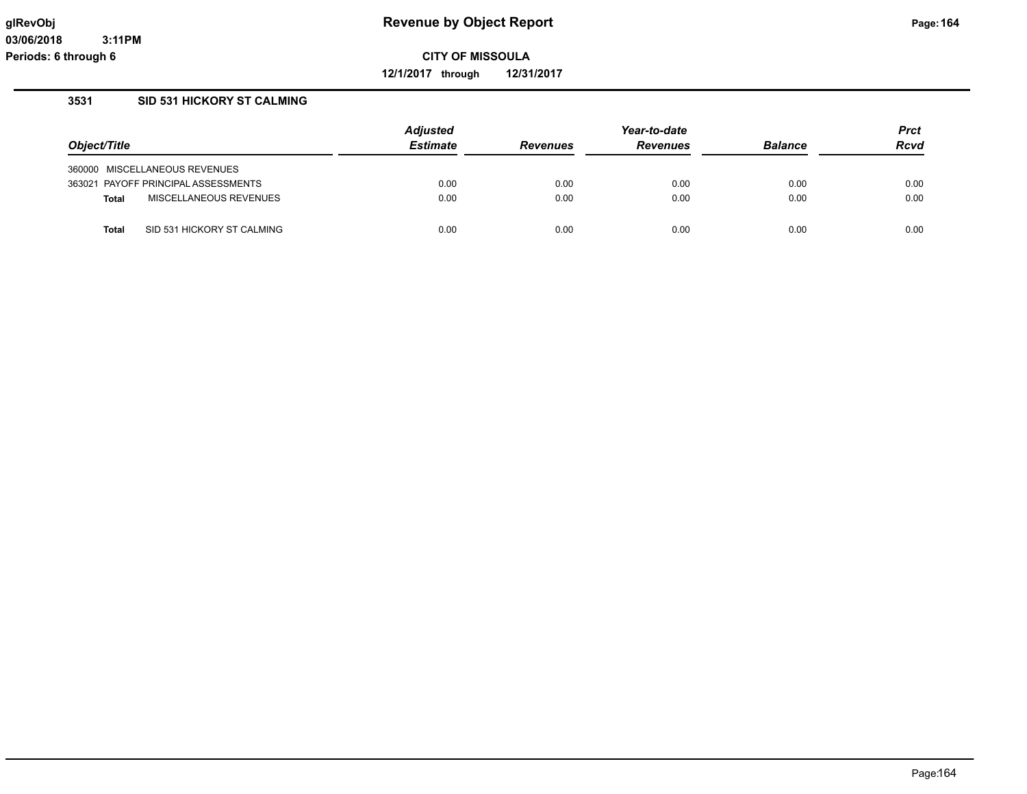**12/1/2017 through 12/31/2017**

# **3531 SID 531 HICKORY ST CALMING**

|                                            | <b>Adjusted</b> |                 |                 | <b>Prct</b>    |      |
|--------------------------------------------|-----------------|-----------------|-----------------|----------------|------|
| Object/Title                               | <b>Estimate</b> | <b>Revenues</b> | <b>Revenues</b> | <b>Balance</b> |      |
| 360000 MISCELLANEOUS REVENUES              |                 |                 |                 |                |      |
| 363021 PAYOFF PRINCIPAL ASSESSMENTS        | 0.00            | 0.00            | 0.00            | 0.00           | 0.00 |
| MISCELLANEOUS REVENUES<br><b>Total</b>     | 0.00            | 0.00            | 0.00            | 0.00           | 0.00 |
| SID 531 HICKORY ST CALMING<br><b>Total</b> | 0.00            | 0.00            | 0.00            | 0.00           | 0.00 |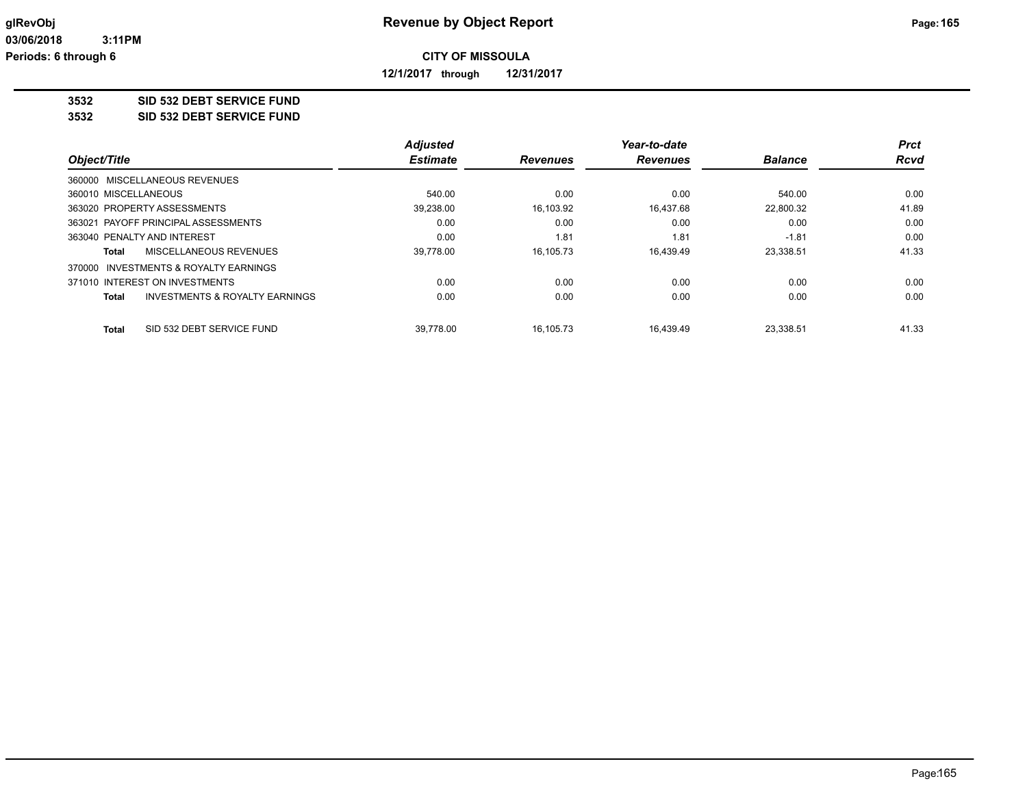**12/1/2017 through 12/31/2017**

### **3532 SID 532 DEBT SERVICE FUND**

**3532 SID 532 DEBT SERVICE FUND**

|                                                           | <b>Adjusted</b> |                 | Year-to-date    |                | <b>Prct</b> |
|-----------------------------------------------------------|-----------------|-----------------|-----------------|----------------|-------------|
| Object/Title<br>360000 MISCELLANEOUS REVENUES             | <b>Estimate</b> | <b>Revenues</b> | <b>Revenues</b> | <b>Balance</b> | <b>Rcvd</b> |
|                                                           |                 |                 |                 |                |             |
| 360010 MISCELLANEOUS                                      | 540.00          | 0.00            | 0.00            | 540.00         | 0.00        |
| 363020 PROPERTY ASSESSMENTS                               | 39,238.00       | 16,103.92       | 16.437.68       | 22,800.32      | 41.89       |
| 363021 PAYOFF PRINCIPAL ASSESSMENTS                       | 0.00            | 0.00            | 0.00            | 0.00           | 0.00        |
| 363040 PENALTY AND INTEREST                               | 0.00            | 1.81            | 1.81            | $-1.81$        | 0.00        |
| MISCELLANEOUS REVENUES<br>Total                           | 39,778.00       | 16.105.73       | 16.439.49       | 23,338.51      | 41.33       |
| 370000 INVESTMENTS & ROYALTY EARNINGS                     |                 |                 |                 |                |             |
| 371010 INTEREST ON INVESTMENTS                            | 0.00            | 0.00            | 0.00            | 0.00           | 0.00        |
| <b>INVESTMENTS &amp; ROYALTY EARNINGS</b><br><b>Total</b> | 0.00            | 0.00            | 0.00            | 0.00           | 0.00        |
| SID 532 DEBT SERVICE FUND<br>Total                        | 39.778.00       | 16.105.73       | 16.439.49       | 23.338.51      | 41.33       |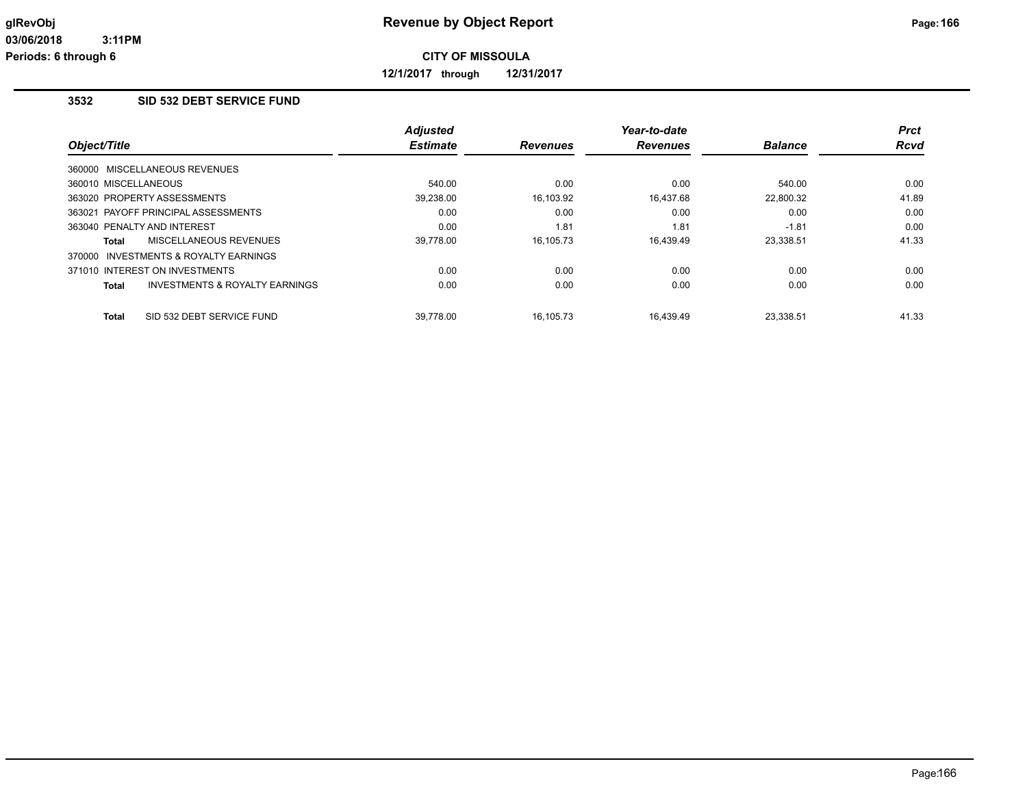**12/1/2017 through 12/31/2017**

# **3532 SID 532 DEBT SERVICE FUND**

|                                         | <b>Adjusted</b> |                 | Year-to-date    |                | <b>Prct</b> |
|-----------------------------------------|-----------------|-----------------|-----------------|----------------|-------------|
| Object/Title                            | <b>Estimate</b> | <b>Revenues</b> | <b>Revenues</b> | <b>Balance</b> | <b>Rcvd</b> |
| 360000 MISCELLANEOUS REVENUES           |                 |                 |                 |                |             |
| 360010 MISCELLANEOUS                    | 540.00          | 0.00            | 0.00            | 540.00         | 0.00        |
| 363020 PROPERTY ASSESSMENTS             | 39,238.00       | 16,103.92       | 16,437.68       | 22,800.32      | 41.89       |
| 363021 PAYOFF PRINCIPAL ASSESSMENTS     | 0.00            | 0.00            | 0.00            | 0.00           | 0.00        |
| 363040 PENALTY AND INTEREST             | 0.00            | 1.81            | 1.81            | $-1.81$        | 0.00        |
| MISCELLANEOUS REVENUES<br>Total         | 39.778.00       | 16.105.73       | 16.439.49       | 23,338.51      | 41.33       |
| 370000 INVESTMENTS & ROYALTY EARNINGS   |                 |                 |                 |                |             |
| 371010 INTEREST ON INVESTMENTS          | 0.00            | 0.00            | 0.00            | 0.00           | 0.00        |
| INVESTMENTS & ROYALTY EARNINGS<br>Total | 0.00            | 0.00            | 0.00            | 0.00           | 0.00        |
|                                         |                 |                 |                 |                |             |
| SID 532 DEBT SERVICE FUND<br>Total      | 39.778.00       | 16.105.73       | 16.439.49       | 23.338.51      | 41.33       |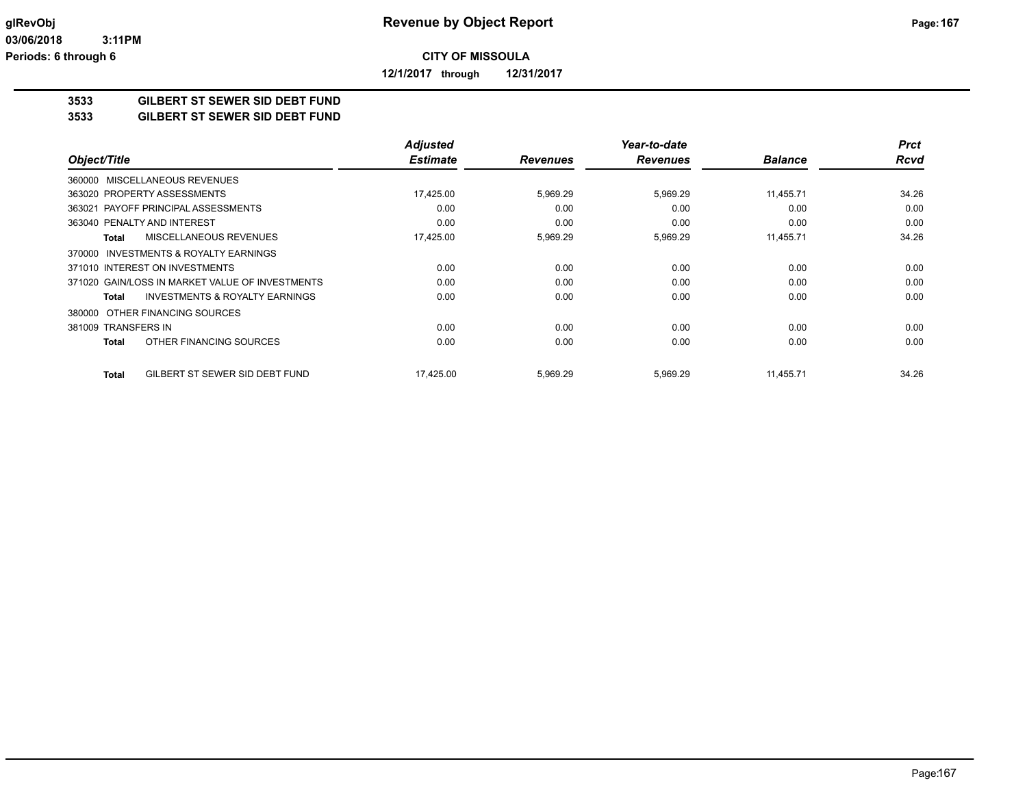**12/1/2017 through 12/31/2017**

# **3533 GILBERT ST SEWER SID DEBT FUND**

**3533 GILBERT ST SEWER SID DEBT FUND**

|                                                    | <b>Adjusted</b> |                 | Year-to-date    |                | <b>Prct</b> |
|----------------------------------------------------|-----------------|-----------------|-----------------|----------------|-------------|
| Object/Title                                       | <b>Estimate</b> | <b>Revenues</b> | <b>Revenues</b> | <b>Balance</b> | <b>Rcvd</b> |
| 360000 MISCELLANEOUS REVENUES                      |                 |                 |                 |                |             |
| 363020 PROPERTY ASSESSMENTS                        | 17,425.00       | 5,969.29        | 5,969.29        | 11,455.71      | 34.26       |
| 363021 PAYOFF PRINCIPAL ASSESSMENTS                | 0.00            | 0.00            | 0.00            | 0.00           | 0.00        |
| 363040 PENALTY AND INTEREST                        | 0.00            | 0.00            | 0.00            | 0.00           | 0.00        |
| MISCELLANEOUS REVENUES<br><b>Total</b>             | 17,425.00       | 5,969.29        | 5,969.29        | 11,455.71      | 34.26       |
| 370000 INVESTMENTS & ROYALTY EARNINGS              |                 |                 |                 |                |             |
| 371010 INTEREST ON INVESTMENTS                     | 0.00            | 0.00            | 0.00            | 0.00           | 0.00        |
| 371020 GAIN/LOSS IN MARKET VALUE OF INVESTMENTS    | 0.00            | 0.00            | 0.00            | 0.00           | 0.00        |
| <b>INVESTMENTS &amp; ROYALTY EARNINGS</b><br>Total | 0.00            | 0.00            | 0.00            | 0.00           | 0.00        |
| 380000 OTHER FINANCING SOURCES                     |                 |                 |                 |                |             |
| 381009 TRANSFERS IN                                | 0.00            | 0.00            | 0.00            | 0.00           | 0.00        |
| OTHER FINANCING SOURCES<br>Total                   | 0.00            | 0.00            | 0.00            | 0.00           | 0.00        |
| GILBERT ST SEWER SID DEBT FUND<br><b>Total</b>     | 17,425.00       | 5,969.29        | 5,969.29        | 11,455.71      | 34.26       |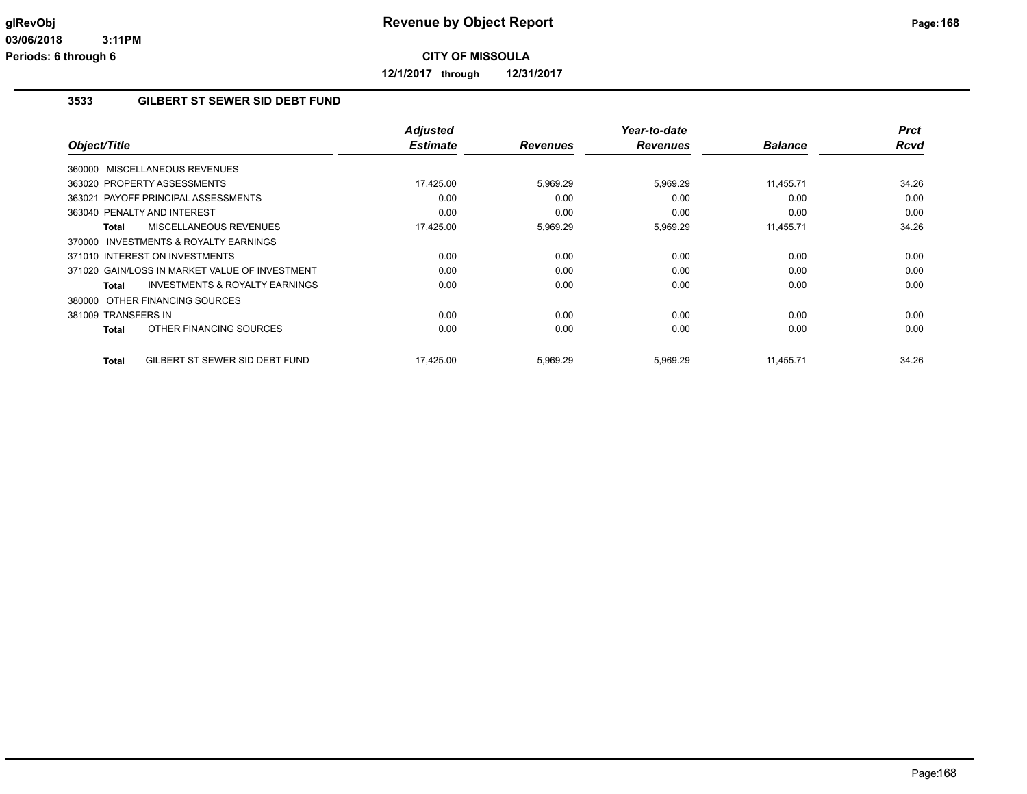**12/1/2017 through 12/31/2017**

## **3533 GILBERT ST SEWER SID DEBT FUND**

| Object/Title                                              | <b>Adjusted</b><br><b>Estimate</b> | <b>Revenues</b> | Year-to-date<br><b>Revenues</b> | <b>Balance</b> | <b>Prct</b><br><b>Rcvd</b> |
|-----------------------------------------------------------|------------------------------------|-----------------|---------------------------------|----------------|----------------------------|
| 360000 MISCELLANEOUS REVENUES                             |                                    |                 |                                 |                |                            |
| 363020 PROPERTY ASSESSMENTS                               | 17,425.00                          | 5,969.29        | 5,969.29                        | 11,455.71      | 34.26                      |
| 363021 PAYOFF PRINCIPAL ASSESSMENTS                       | 0.00                               | 0.00            | 0.00                            | 0.00           | 0.00                       |
| 363040 PENALTY AND INTEREST                               | 0.00                               | 0.00            | 0.00                            | 0.00           | 0.00                       |
| MISCELLANEOUS REVENUES<br>Total                           | 17,425.00                          | 5,969.29        | 5,969.29                        | 11,455.71      | 34.26                      |
| 370000 INVESTMENTS & ROYALTY EARNINGS                     |                                    |                 |                                 |                |                            |
| 371010 INTEREST ON INVESTMENTS                            | 0.00                               | 0.00            | 0.00                            | 0.00           | 0.00                       |
| 371020 GAIN/LOSS IN MARKET VALUE OF INVESTMENT            | 0.00                               | 0.00            | 0.00                            | 0.00           | 0.00                       |
| <b>INVESTMENTS &amp; ROYALTY EARNINGS</b><br><b>Total</b> | 0.00                               | 0.00            | 0.00                            | 0.00           | 0.00                       |
| 380000 OTHER FINANCING SOURCES                            |                                    |                 |                                 |                |                            |
| 381009 TRANSFERS IN                                       | 0.00                               | 0.00            | 0.00                            | 0.00           | 0.00                       |
| OTHER FINANCING SOURCES<br><b>Total</b>                   | 0.00                               | 0.00            | 0.00                            | 0.00           | 0.00                       |
| GILBERT ST SEWER SID DEBT FUND<br><b>Total</b>            | 17,425.00                          | 5,969.29        | 5,969.29                        | 11,455.71      | 34.26                      |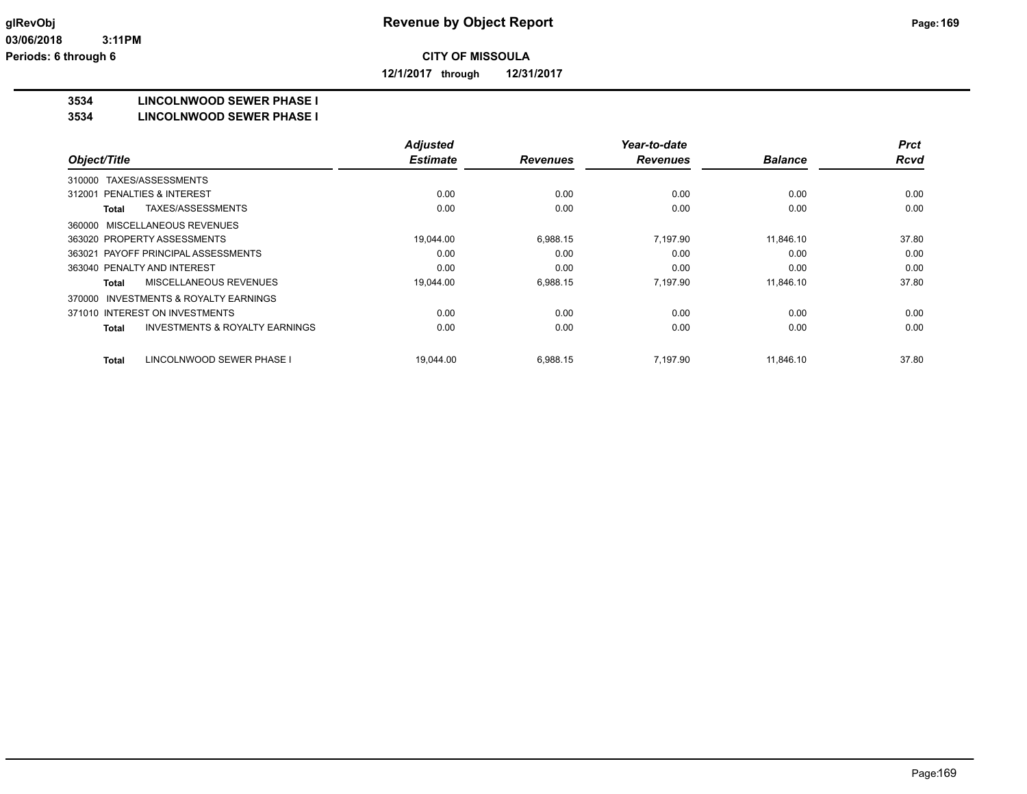**12/1/2017 through 12/31/2017**

### **3534 LINCOLNWOOD SEWER PHASE I**

### **3534 LINCOLNWOOD SEWER PHASE I**

|                                                           | <b>Adjusted</b> |                 | Year-to-date    |                | <b>Prct</b> |
|-----------------------------------------------------------|-----------------|-----------------|-----------------|----------------|-------------|
| Object/Title                                              | <b>Estimate</b> | <b>Revenues</b> | <b>Revenues</b> | <b>Balance</b> | <b>Rcvd</b> |
| TAXES/ASSESSMENTS<br>310000                               |                 |                 |                 |                |             |
| <b>PENALTIES &amp; INTEREST</b><br>312001                 | 0.00            | 0.00            | 0.00            | 0.00           | 0.00        |
| TAXES/ASSESSMENTS<br>Total                                | 0.00            | 0.00            | 0.00            | 0.00           | 0.00        |
| 360000 MISCELLANEOUS REVENUES                             |                 |                 |                 |                |             |
| 363020 PROPERTY ASSESSMENTS                               | 19,044.00       | 6,988.15        | 7.197.90        | 11.846.10      | 37.80       |
| PAYOFF PRINCIPAL ASSESSMENTS<br>363021                    | 0.00            | 0.00            | 0.00            | 0.00           | 0.00        |
| 363040 PENALTY AND INTEREST                               | 0.00            | 0.00            | 0.00            | 0.00           | 0.00        |
| MISCELLANEOUS REVENUES<br><b>Total</b>                    | 19,044.00       | 6,988.15        | 7.197.90        | 11.846.10      | 37.80       |
| 370000 INVESTMENTS & ROYALTY EARNINGS                     |                 |                 |                 |                |             |
| 371010 INTEREST ON INVESTMENTS                            | 0.00            | 0.00            | 0.00            | 0.00           | 0.00        |
| <b>INVESTMENTS &amp; ROYALTY EARNINGS</b><br><b>Total</b> | 0.00            | 0.00            | 0.00            | 0.00           | 0.00        |
| LINCOLNWOOD SEWER PHASE I<br><b>Total</b>                 | 19,044.00       | 6,988.15        | 7.197.90        | 11.846.10      | 37.80       |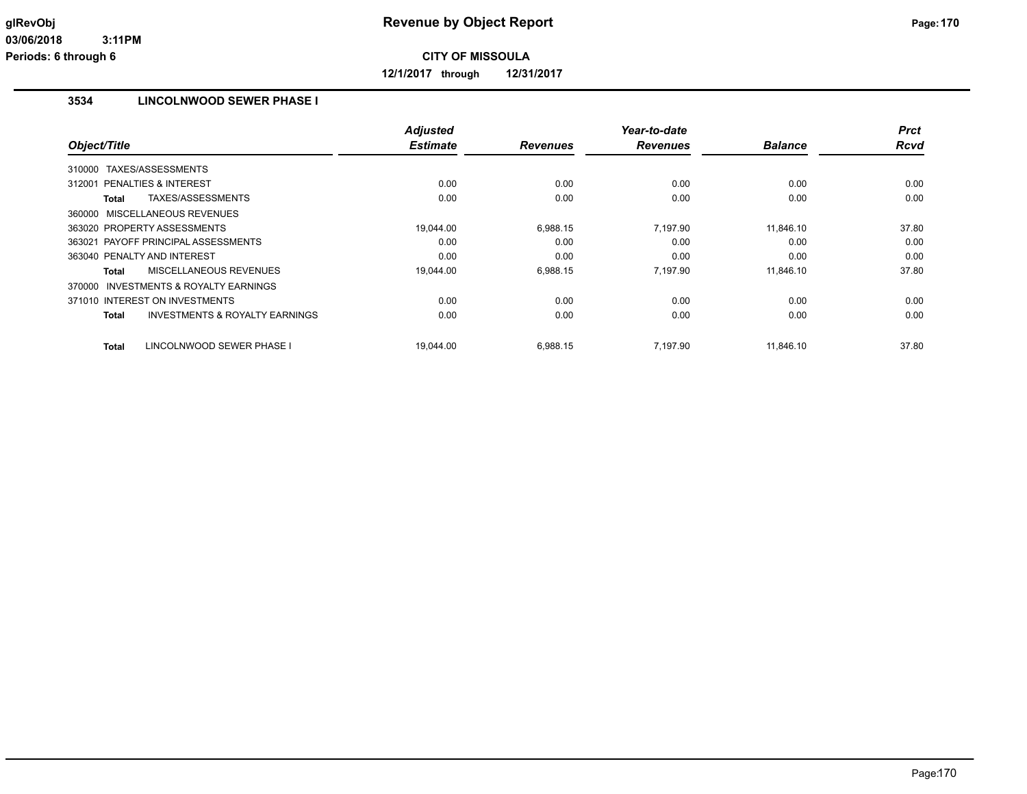**12/1/2017 through 12/31/2017**

# **3534 LINCOLNWOOD SEWER PHASE I**

|                                                           | <b>Adjusted</b> |                 | Year-to-date    |                | <b>Prct</b> |
|-----------------------------------------------------------|-----------------|-----------------|-----------------|----------------|-------------|
| Object/Title                                              | <b>Estimate</b> | <b>Revenues</b> | <b>Revenues</b> | <b>Balance</b> | <b>Rcvd</b> |
| TAXES/ASSESSMENTS<br>310000                               |                 |                 |                 |                |             |
| <b>PENALTIES &amp; INTEREST</b><br>312001                 | 0.00            | 0.00            | 0.00            | 0.00           | 0.00        |
| TAXES/ASSESSMENTS<br>Total                                | 0.00            | 0.00            | 0.00            | 0.00           | 0.00        |
| 360000 MISCELLANEOUS REVENUES                             |                 |                 |                 |                |             |
| 363020 PROPERTY ASSESSMENTS                               | 19.044.00       | 6,988.15        | 7,197.90        | 11.846.10      | 37.80       |
| 363021 PAYOFF PRINCIPAL ASSESSMENTS                       | 0.00            | 0.00            | 0.00            | 0.00           | 0.00        |
| 363040 PENALTY AND INTEREST                               | 0.00            | 0.00            | 0.00            | 0.00           | 0.00        |
| MISCELLANEOUS REVENUES<br>Total                           | 19.044.00       | 6,988.15        | 7,197.90        | 11.846.10      | 37.80       |
| <b>INVESTMENTS &amp; ROYALTY EARNINGS</b><br>370000       |                 |                 |                 |                |             |
| 371010 INTEREST ON INVESTMENTS                            | 0.00            | 0.00            | 0.00            | 0.00           | 0.00        |
| <b>INVESTMENTS &amp; ROYALTY EARNINGS</b><br><b>Total</b> | 0.00            | 0.00            | 0.00            | 0.00           | 0.00        |
| LINCOLNWOOD SEWER PHASE I<br><b>Total</b>                 | 19.044.00       | 6,988.15        | 7,197.90        | 11.846.10      | 37.80       |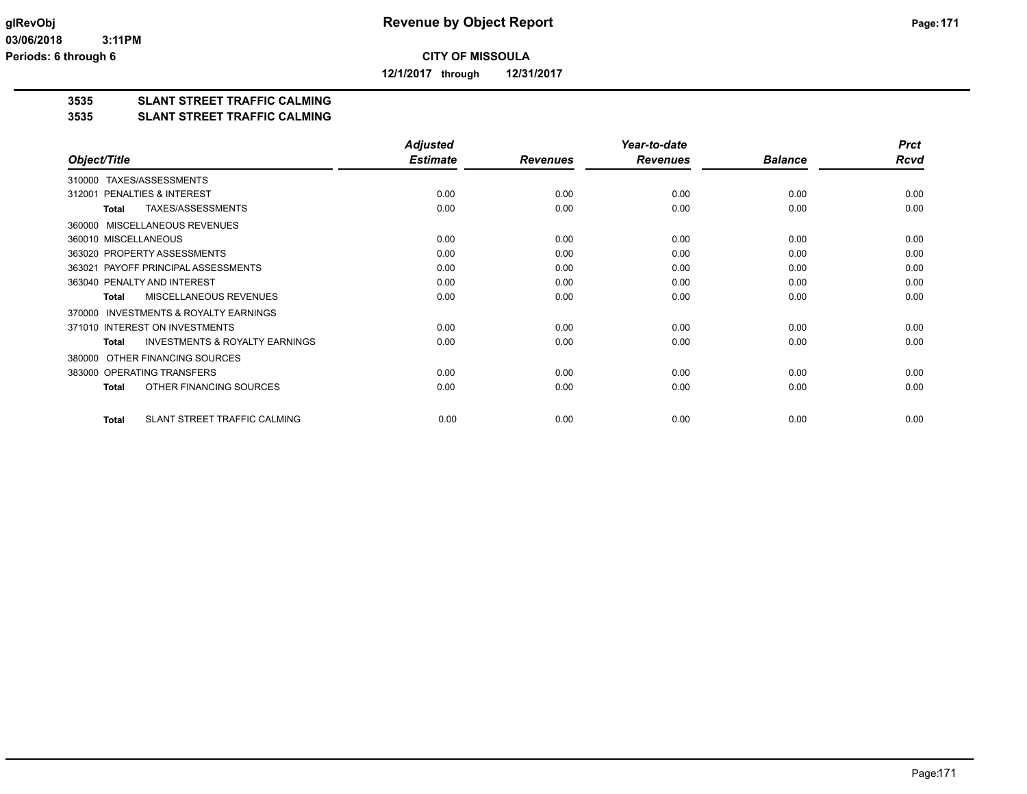**12/1/2017 through 12/31/2017**

# **3535 SLANT STREET TRAFFIC CALMING**

### **3535 SLANT STREET TRAFFIC CALMING**

|                                                           | <b>Adjusted</b> |                 | Year-to-date    |                | <b>Prct</b> |
|-----------------------------------------------------------|-----------------|-----------------|-----------------|----------------|-------------|
| Object/Title                                              | <b>Estimate</b> | <b>Revenues</b> | <b>Revenues</b> | <b>Balance</b> | <b>Rcvd</b> |
| TAXES/ASSESSMENTS<br>310000                               |                 |                 |                 |                |             |
| PENALTIES & INTEREST<br>312001                            | 0.00            | 0.00            | 0.00            | 0.00           | 0.00        |
| TAXES/ASSESSMENTS<br><b>Total</b>                         | 0.00            | 0.00            | 0.00            | 0.00           | 0.00        |
| MISCELLANEOUS REVENUES<br>360000                          |                 |                 |                 |                |             |
| 360010 MISCELLANEOUS                                      | 0.00            | 0.00            | 0.00            | 0.00           | 0.00        |
| 363020 PROPERTY ASSESSMENTS                               | 0.00            | 0.00            | 0.00            | 0.00           | 0.00        |
| 363021 PAYOFF PRINCIPAL ASSESSMENTS                       | 0.00            | 0.00            | 0.00            | 0.00           | 0.00        |
| 363040 PENALTY AND INTEREST                               | 0.00            | 0.00            | 0.00            | 0.00           | 0.00        |
| <b>MISCELLANEOUS REVENUES</b><br>Total                    | 0.00            | 0.00            | 0.00            | 0.00           | 0.00        |
| <b>INVESTMENTS &amp; ROYALTY EARNINGS</b><br>370000       |                 |                 |                 |                |             |
| 371010 INTEREST ON INVESTMENTS                            | 0.00            | 0.00            | 0.00            | 0.00           | 0.00        |
| <b>INVESTMENTS &amp; ROYALTY EARNINGS</b><br><b>Total</b> | 0.00            | 0.00            | 0.00            | 0.00           | 0.00        |
| OTHER FINANCING SOURCES<br>380000                         |                 |                 |                 |                |             |
| 383000 OPERATING TRANSFERS                                | 0.00            | 0.00            | 0.00            | 0.00           | 0.00        |
| OTHER FINANCING SOURCES<br>Total                          | 0.00            | 0.00            | 0.00            | 0.00           | 0.00        |
| SLANT STREET TRAFFIC CALMING<br><b>Total</b>              | 0.00            | 0.00            | 0.00            | 0.00           | 0.00        |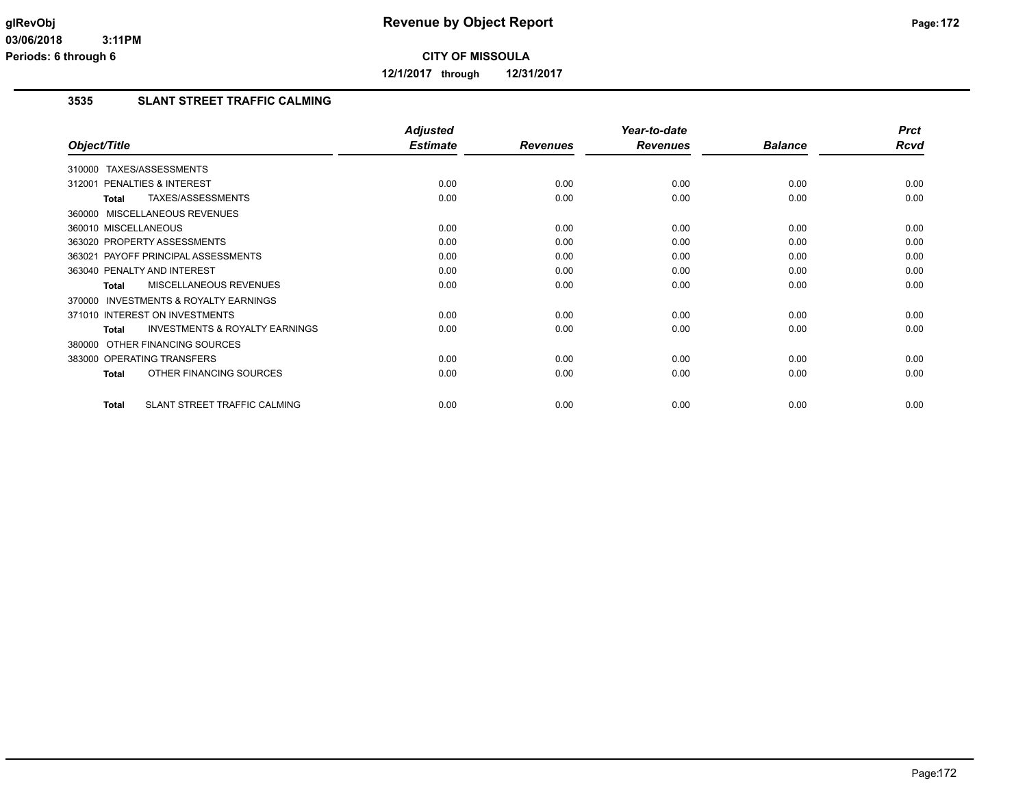**12/1/2017 through 12/31/2017**

## **3535 SLANT STREET TRAFFIC CALMING**

|                                                           | <b>Adjusted</b> |                 | Year-to-date    |                | <b>Prct</b> |
|-----------------------------------------------------------|-----------------|-----------------|-----------------|----------------|-------------|
| Object/Title                                              | <b>Estimate</b> | <b>Revenues</b> | <b>Revenues</b> | <b>Balance</b> | Rcvd        |
| TAXES/ASSESSMENTS<br>310000                               |                 |                 |                 |                |             |
| PENALTIES & INTEREST<br>312001                            | 0.00            | 0.00            | 0.00            | 0.00           | 0.00        |
| TAXES/ASSESSMENTS<br>Total                                | 0.00            | 0.00            | 0.00            | 0.00           | 0.00        |
| 360000 MISCELLANEOUS REVENUES                             |                 |                 |                 |                |             |
| 360010 MISCELLANEOUS                                      | 0.00            | 0.00            | 0.00            | 0.00           | 0.00        |
| 363020 PROPERTY ASSESSMENTS                               | 0.00            | 0.00            | 0.00            | 0.00           | 0.00        |
| 363021 PAYOFF PRINCIPAL ASSESSMENTS                       | 0.00            | 0.00            | 0.00            | 0.00           | 0.00        |
| 363040 PENALTY AND INTEREST                               | 0.00            | 0.00            | 0.00            | 0.00           | 0.00        |
| <b>MISCELLANEOUS REVENUES</b><br>Total                    | 0.00            | 0.00            | 0.00            | 0.00           | 0.00        |
| <b>INVESTMENTS &amp; ROYALTY EARNINGS</b><br>370000       |                 |                 |                 |                |             |
| 371010 INTEREST ON INVESTMENTS                            | 0.00            | 0.00            | 0.00            | 0.00           | 0.00        |
| <b>INVESTMENTS &amp; ROYALTY EARNINGS</b><br><b>Total</b> | 0.00            | 0.00            | 0.00            | 0.00           | 0.00        |
| 380000 OTHER FINANCING SOURCES                            |                 |                 |                 |                |             |
| 383000 OPERATING TRANSFERS                                | 0.00            | 0.00            | 0.00            | 0.00           | 0.00        |
| OTHER FINANCING SOURCES<br><b>Total</b>                   | 0.00            | 0.00            | 0.00            | 0.00           | 0.00        |
| SLANT STREET TRAFFIC CALMING<br><b>Total</b>              | 0.00            | 0.00            | 0.00            | 0.00           | 0.00        |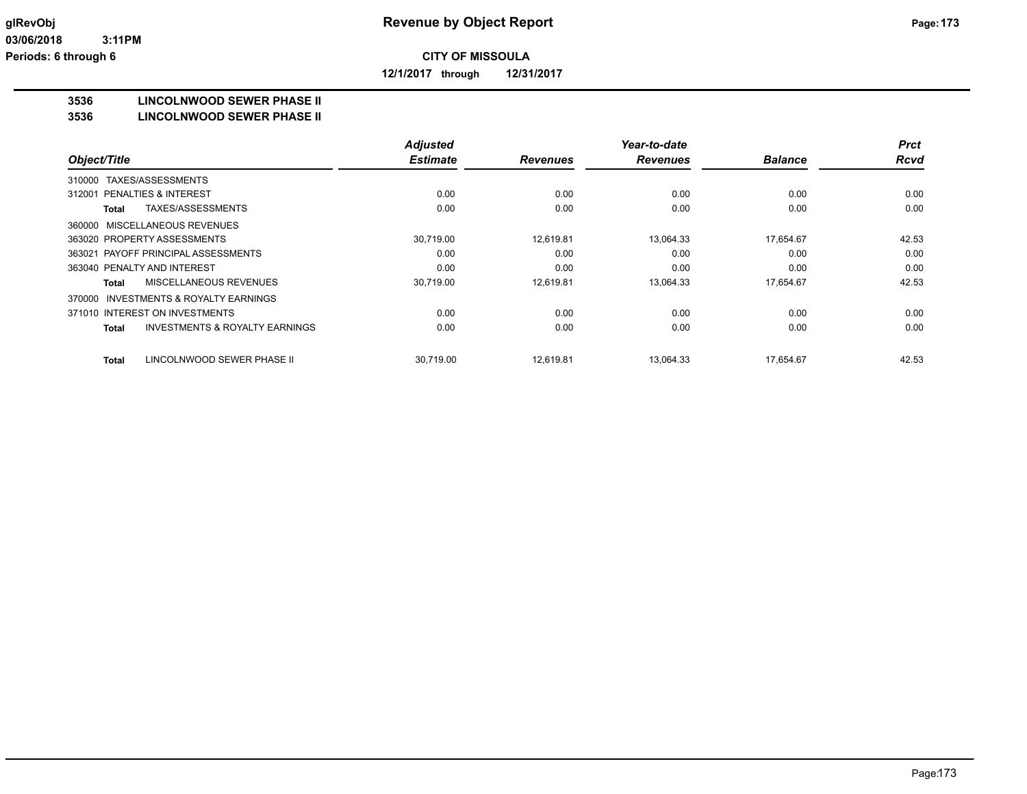**12/1/2017 through 12/31/2017**

### **3536 LINCOLNWOOD SEWER PHASE II**

### **3536 LINCOLNWOOD SEWER PHASE II**

|                                                           | <b>Adjusted</b> |                 | Year-to-date    |                | <b>Prct</b> |
|-----------------------------------------------------------|-----------------|-----------------|-----------------|----------------|-------------|
| Object/Title                                              | <b>Estimate</b> | <b>Revenues</b> | <b>Revenues</b> | <b>Balance</b> | <b>Rcvd</b> |
| TAXES/ASSESSMENTS<br>310000                               |                 |                 |                 |                |             |
| PENALTIES & INTEREST<br>312001                            | 0.00            | 0.00            | 0.00            | 0.00           | 0.00        |
| TAXES/ASSESSMENTS<br>Total                                | 0.00            | 0.00            | 0.00            | 0.00           | 0.00        |
| 360000 MISCELLANEOUS REVENUES                             |                 |                 |                 |                |             |
| 363020 PROPERTY ASSESSMENTS                               | 30,719.00       | 12,619.81       | 13.064.33       | 17,654.67      | 42.53       |
| 363021 PAYOFF PRINCIPAL ASSESSMENTS                       | 0.00            | 0.00            | 0.00            | 0.00           | 0.00        |
| 363040 PENALTY AND INTEREST                               | 0.00            | 0.00            | 0.00            | 0.00           | 0.00        |
| MISCELLANEOUS REVENUES<br>Total                           | 30,719.00       | 12,619.81       | 13,064.33       | 17,654.67      | 42.53       |
| INVESTMENTS & ROYALTY EARNINGS<br>370000                  |                 |                 |                 |                |             |
| 371010 INTEREST ON INVESTMENTS                            | 0.00            | 0.00            | 0.00            | 0.00           | 0.00        |
| <b>INVESTMENTS &amp; ROYALTY EARNINGS</b><br><b>Total</b> | 0.00            | 0.00            | 0.00            | 0.00           | 0.00        |
| LINCOLNWOOD SEWER PHASE II<br>Total                       | 30,719.00       | 12,619.81       | 13,064.33       | 17,654.67      | 42.53       |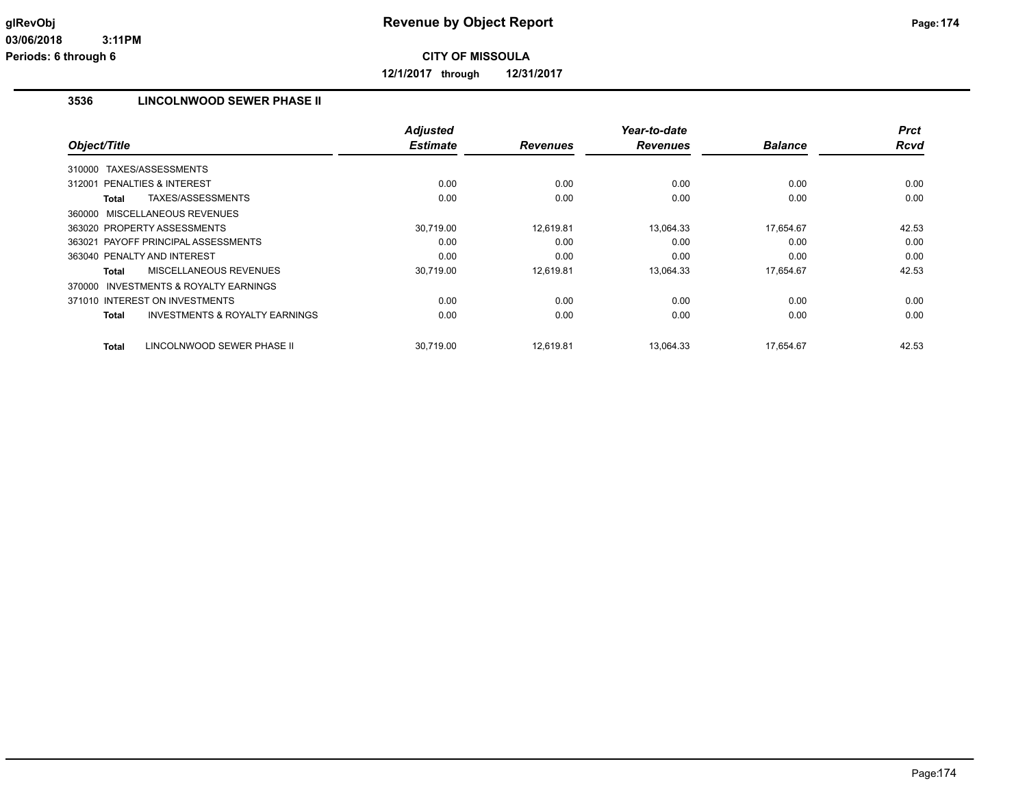**12/1/2017 through 12/31/2017**

# **3536 LINCOLNWOOD SEWER PHASE II**

|                                                    | <b>Adjusted</b> |                 | Year-to-date    |                | <b>Prct</b> |
|----------------------------------------------------|-----------------|-----------------|-----------------|----------------|-------------|
| Object/Title                                       | <b>Estimate</b> | <b>Revenues</b> | <b>Revenues</b> | <b>Balance</b> | Rcvd        |
| TAXES/ASSESSMENTS<br>310000                        |                 |                 |                 |                |             |
| 312001 PENALTIES & INTEREST                        | 0.00            | 0.00            | 0.00            | 0.00           | 0.00        |
| TAXES/ASSESSMENTS<br>Total                         | 0.00            | 0.00            | 0.00            | 0.00           | 0.00        |
| 360000 MISCELLANEOUS REVENUES                      |                 |                 |                 |                |             |
| 363020 PROPERTY ASSESSMENTS                        | 30,719.00       | 12,619.81       | 13,064.33       | 17,654.67      | 42.53       |
| 363021 PAYOFF PRINCIPAL ASSESSMENTS                | 0.00            | 0.00            | 0.00            | 0.00           | 0.00        |
| 363040 PENALTY AND INTEREST                        | 0.00            | 0.00            | 0.00            | 0.00           | 0.00        |
| MISCELLANEOUS REVENUES<br>Total                    | 30,719.00       | 12,619.81       | 13,064.33       | 17,654.67      | 42.53       |
| INVESTMENTS & ROYALTY EARNINGS<br>370000           |                 |                 |                 |                |             |
| 371010 INTEREST ON INVESTMENTS                     | 0.00            | 0.00            | 0.00            | 0.00           | 0.00        |
| <b>INVESTMENTS &amp; ROYALTY EARNINGS</b><br>Total | 0.00            | 0.00            | 0.00            | 0.00           | 0.00        |
| INCOLNWOOD SEWER PHASE II<br><b>Total</b>          | 30,719.00       | 12,619.81       | 13,064.33       | 17.654.67      | 42.53       |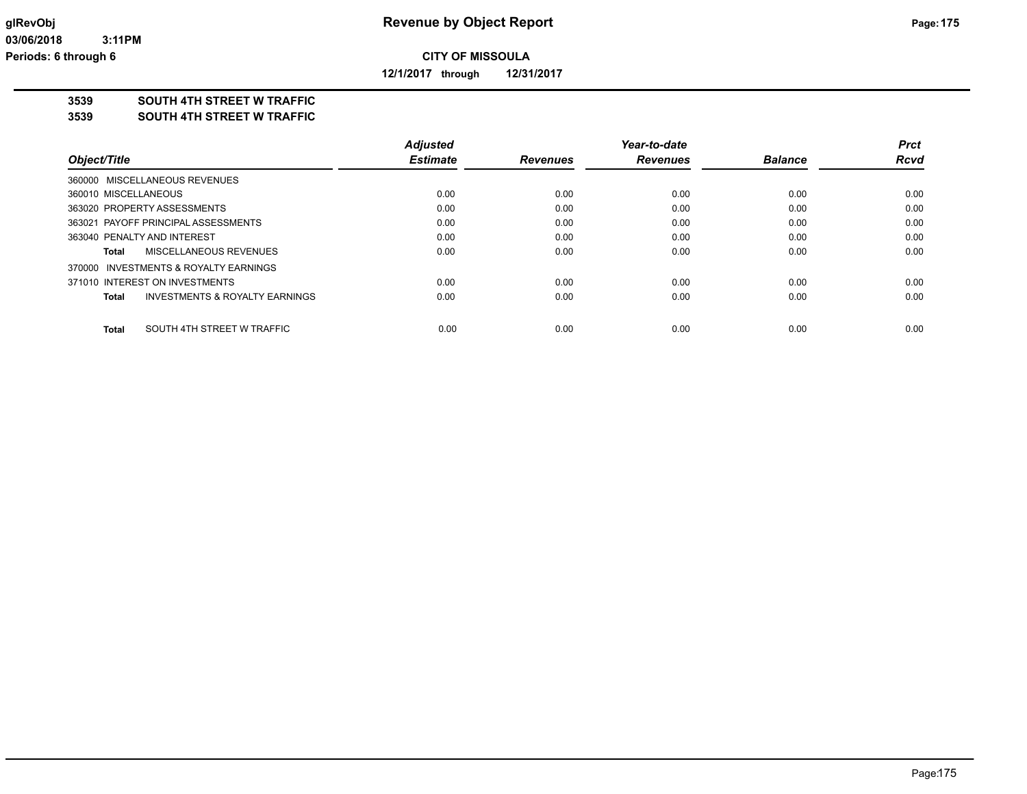**12/1/2017 through 12/31/2017**

## **3539 SOUTH 4TH STREET W TRAFFIC**

### **3539 SOUTH 4TH STREET W TRAFFIC**

|                                            | <b>Adjusted</b> |                 | Year-to-date    |                | Prct        |
|--------------------------------------------|-----------------|-----------------|-----------------|----------------|-------------|
| Object/Title                               | <b>Estimate</b> | <b>Revenues</b> | <b>Revenues</b> | <b>Balance</b> | <b>Rcvd</b> |
| 360000 MISCELLANEOUS REVENUES              |                 |                 |                 |                |             |
| 360010 MISCELLANEOUS                       | 0.00            | 0.00            | 0.00            | 0.00           | 0.00        |
| 363020 PROPERTY ASSESSMENTS                | 0.00            | 0.00            | 0.00            | 0.00           | 0.00        |
| 363021 PAYOFF PRINCIPAL ASSESSMENTS        | 0.00            | 0.00            | 0.00            | 0.00           | 0.00        |
| 363040 PENALTY AND INTEREST                | 0.00            | 0.00            | 0.00            | 0.00           | 0.00        |
| MISCELLANEOUS REVENUES<br>Total            | 0.00            | 0.00            | 0.00            | 0.00           | 0.00        |
| 370000 INVESTMENTS & ROYALTY EARNINGS      |                 |                 |                 |                |             |
| 371010 INTEREST ON INVESTMENTS             | 0.00            | 0.00            | 0.00            | 0.00           | 0.00        |
| INVESTMENTS & ROYALTY EARNINGS<br>Total    | 0.00            | 0.00            | 0.00            | 0.00           | 0.00        |
| SOUTH 4TH STREET W TRAFFIC<br><b>Total</b> | 0.00            | 0.00            | 0.00            | 0.00           | 0.00        |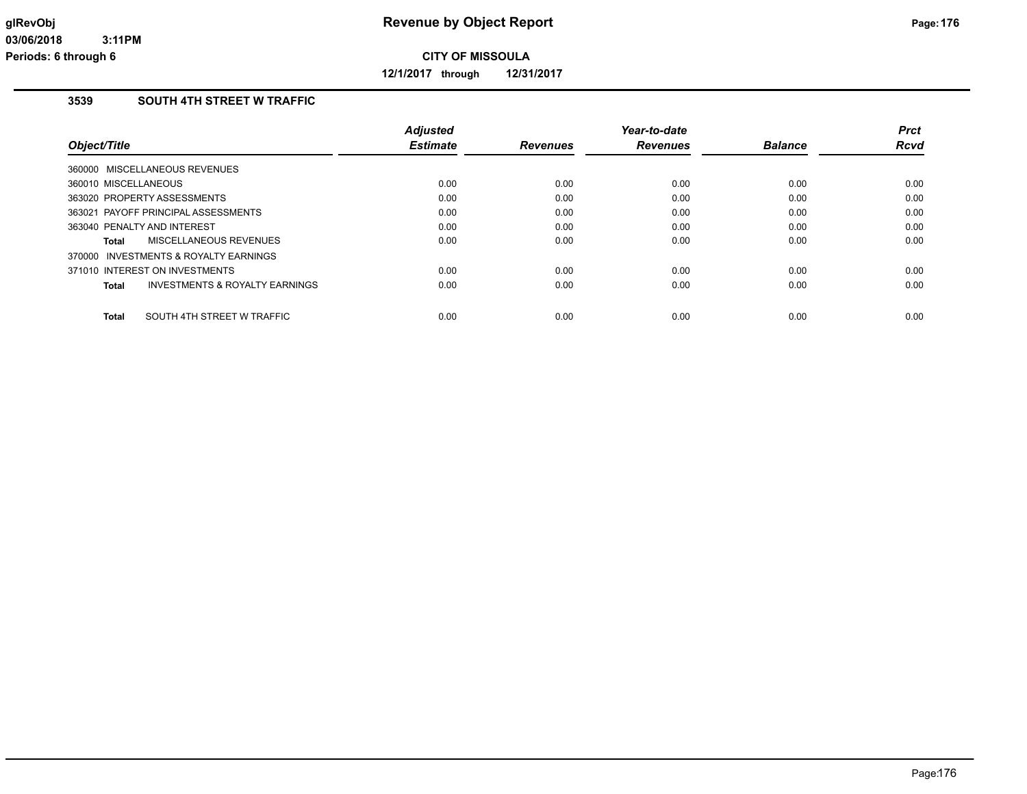**12/1/2017 through 12/31/2017**

## **3539 SOUTH 4TH STREET W TRAFFIC**

| Object/Title                            | <b>Adjusted</b><br><b>Estimate</b> | <b>Revenues</b> | Year-to-date<br><b>Revenues</b> | <b>Balance</b> | <b>Prct</b><br><b>Rcvd</b> |
|-----------------------------------------|------------------------------------|-----------------|---------------------------------|----------------|----------------------------|
| 360000 MISCELLANEOUS REVENUES           |                                    |                 |                                 |                |                            |
| 360010 MISCELLANEOUS                    | 0.00                               | 0.00            | 0.00                            | 0.00           | 0.00                       |
| 363020 PROPERTY ASSESSMENTS             | 0.00                               | 0.00            | 0.00                            | 0.00           | 0.00                       |
| 363021 PAYOFF PRINCIPAL ASSESSMENTS     | 0.00                               | 0.00            | 0.00                            | 0.00           | 0.00                       |
| 363040 PENALTY AND INTEREST             | 0.00                               | 0.00            | 0.00                            | 0.00           | 0.00                       |
| MISCELLANEOUS REVENUES<br>Total         | 0.00                               | 0.00            | 0.00                            | 0.00           | 0.00                       |
| 370000 INVESTMENTS & ROYALTY EARNINGS   |                                    |                 |                                 |                |                            |
| 371010 INTEREST ON INVESTMENTS          | 0.00                               | 0.00            | 0.00                            | 0.00           | 0.00                       |
| INVESTMENTS & ROYALTY EARNINGS<br>Total | 0.00                               | 0.00            | 0.00                            | 0.00           | 0.00                       |
|                                         |                                    |                 |                                 |                |                            |
| SOUTH 4TH STREET W TRAFFIC<br>Total     | 0.00                               | 0.00            | 0.00                            | 0.00           | 0.00                       |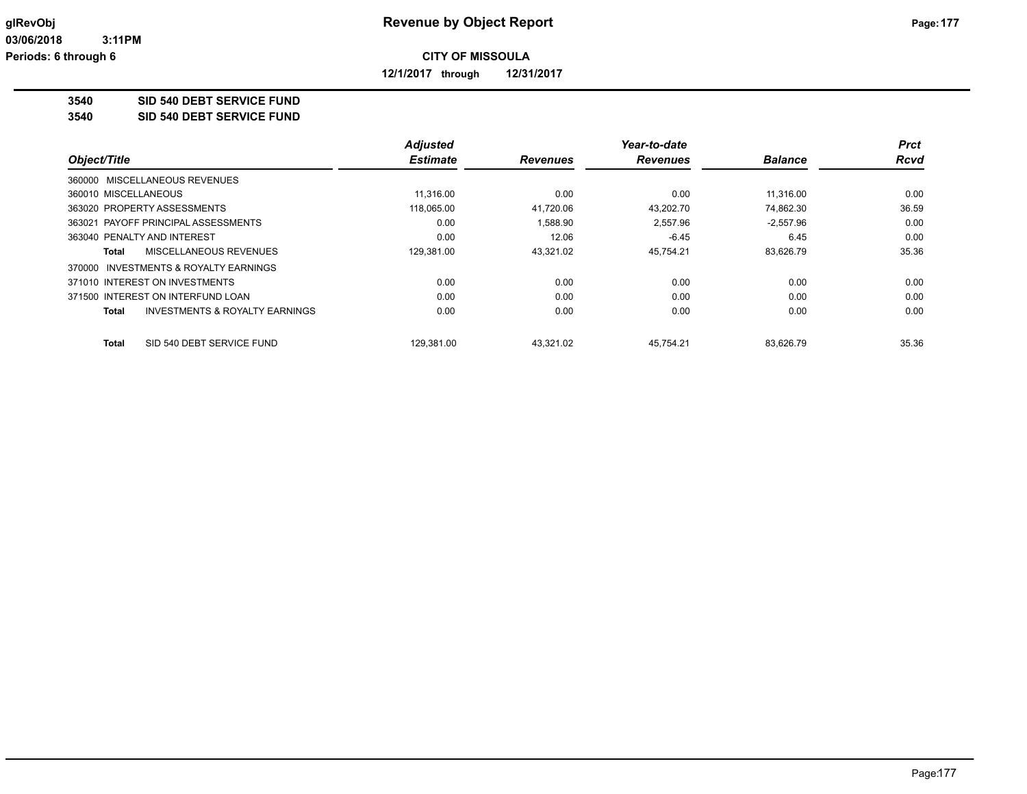**12/1/2017 through 12/31/2017**

### **3540 SID 540 DEBT SERVICE FUND**

**3540 SID 540 DEBT SERVICE FUND**

|                                                           | <b>Adjusted</b> |                 | Year-to-date    |                | Prct        |
|-----------------------------------------------------------|-----------------|-----------------|-----------------|----------------|-------------|
| Object/Title                                              | <b>Estimate</b> | <b>Revenues</b> | <b>Revenues</b> | <b>Balance</b> | <b>Rcvd</b> |
| 360000 MISCELLANEOUS REVENUES                             |                 |                 |                 |                |             |
| 360010 MISCELLANEOUS                                      | 11.316.00       | 0.00            | 0.00            | 11.316.00      | 0.00        |
| 363020 PROPERTY ASSESSMENTS                               | 118,065.00      | 41.720.06       | 43.202.70       | 74.862.30      | 36.59       |
| 363021 PAYOFF PRINCIPAL ASSESSMENTS                       | 0.00            | 1.588.90        | 2.557.96        | $-2,557.96$    | 0.00        |
| 363040 PENALTY AND INTEREST                               | 0.00            | 12.06           | $-6.45$         | 6.45           | 0.00        |
| MISCELLANEOUS REVENUES<br>Total                           | 129.381.00      | 43.321.02       | 45.754.21       | 83.626.79      | 35.36       |
| INVESTMENTS & ROYALTY EARNINGS<br>370000                  |                 |                 |                 |                |             |
| 371010 INTEREST ON INVESTMENTS                            | 0.00            | 0.00            | 0.00            | 0.00           | 0.00        |
| 371500 INTEREST ON INTERFUND LOAN                         | 0.00            | 0.00            | 0.00            | 0.00           | 0.00        |
| <b>INVESTMENTS &amp; ROYALTY EARNINGS</b><br><b>Total</b> | 0.00            | 0.00            | 0.00            | 0.00           | 0.00        |
| SID 540 DEBT SERVICE FUND<br>Total                        | 129.381.00      | 43.321.02       | 45.754.21       | 83.626.79      | 35.36       |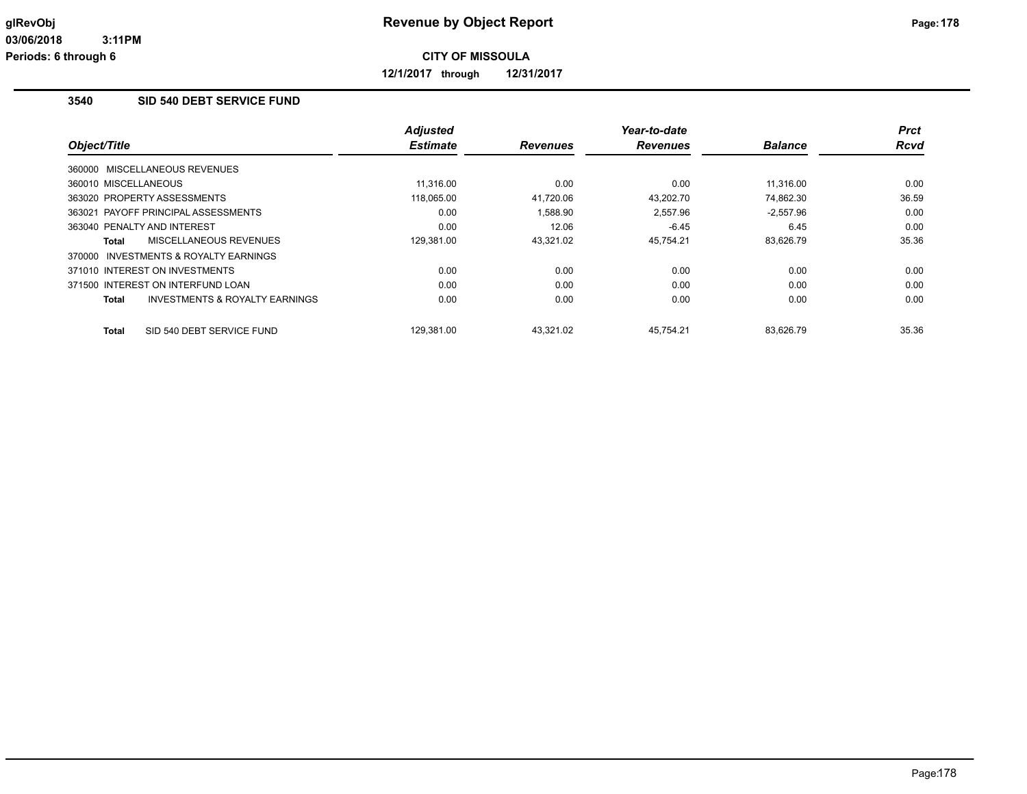**12/1/2017 through 12/31/2017**

## **3540 SID 540 DEBT SERVICE FUND**

|                                         | <b>Adjusted</b> |                 | Year-to-date    |                | <b>Prct</b> |
|-----------------------------------------|-----------------|-----------------|-----------------|----------------|-------------|
| Object/Title                            | <b>Estimate</b> | <b>Revenues</b> | <b>Revenues</b> | <b>Balance</b> | <b>Rcvd</b> |
| 360000 MISCELLANEOUS REVENUES           |                 |                 |                 |                |             |
| 360010 MISCELLANEOUS                    | 11.316.00       | 0.00            | 0.00            | 11.316.00      | 0.00        |
| 363020 PROPERTY ASSESSMENTS             | 118,065.00      | 41,720.06       | 43,202.70       | 74.862.30      | 36.59       |
| 363021 PAYOFF PRINCIPAL ASSESSMENTS     | 0.00            | 1,588.90        | 2,557.96        | $-2,557.96$    | 0.00        |
| 363040 PENALTY AND INTEREST             | 0.00            | 12.06           | $-6.45$         | 6.45           | 0.00        |
| MISCELLANEOUS REVENUES<br>Total         | 129,381.00      | 43,321.02       | 45,754.21       | 83,626.79      | 35.36       |
| 370000 INVESTMENTS & ROYALTY EARNINGS   |                 |                 |                 |                |             |
| 371010 INTEREST ON INVESTMENTS          | 0.00            | 0.00            | 0.00            | 0.00           | 0.00        |
| 371500 INTEREST ON INTERFUND LOAN       | 0.00            | 0.00            | 0.00            | 0.00           | 0.00        |
| INVESTMENTS & ROYALTY EARNINGS<br>Total | 0.00            | 0.00            | 0.00            | 0.00           | 0.00        |
| SID 540 DEBT SERVICE FUND<br>Total      | 129.381.00      | 43.321.02       | 45.754.21       | 83.626.79      | 35.36       |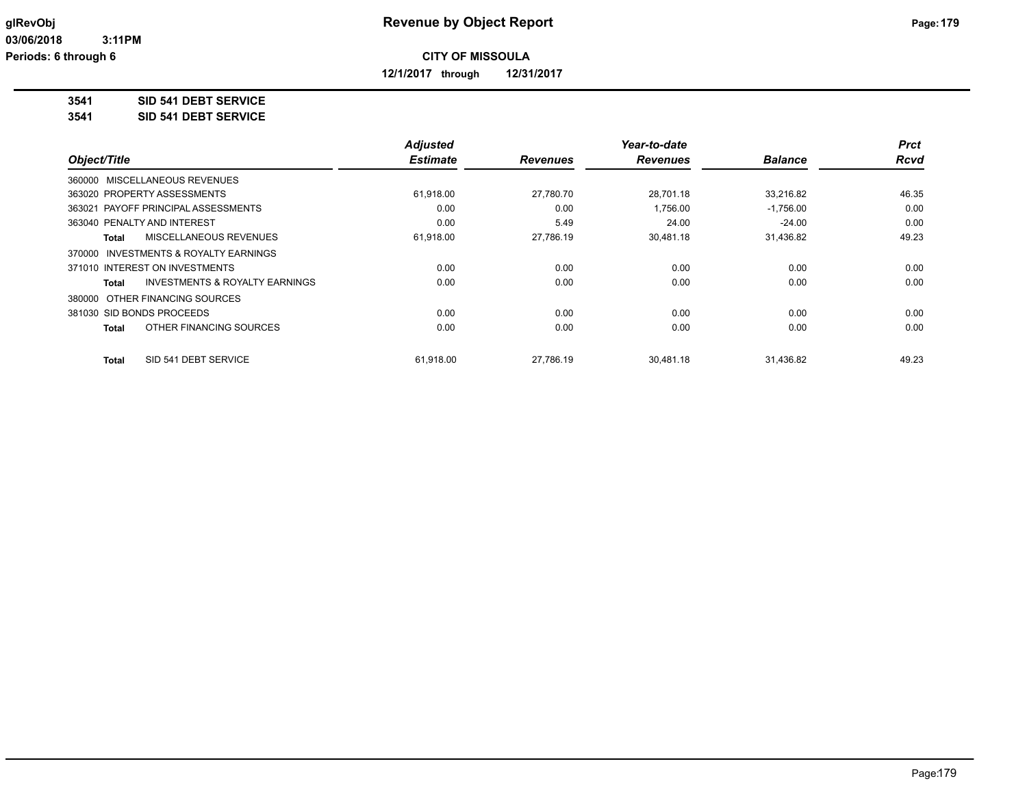**12/1/2017 through 12/31/2017**

**3541 SID 541 DEBT SERVICE**

**3541 SID 541 DEBT SERVICE**

|                                                    | <b>Adjusted</b> |                 | Year-to-date    |                | <b>Prct</b> |
|----------------------------------------------------|-----------------|-----------------|-----------------|----------------|-------------|
| Object/Title                                       | <b>Estimate</b> | <b>Revenues</b> | <b>Revenues</b> | <b>Balance</b> | <b>Rcvd</b> |
| 360000 MISCELLANEOUS REVENUES                      |                 |                 |                 |                |             |
| 363020 PROPERTY ASSESSMENTS                        | 61,918.00       | 27,780.70       | 28.701.18       | 33,216.82      | 46.35       |
| 363021 PAYOFF PRINCIPAL ASSESSMENTS                | 0.00            | 0.00            | 1,756.00        | $-1,756.00$    | 0.00        |
| 363040 PENALTY AND INTEREST                        | 0.00            | 5.49            | 24.00           | $-24.00$       | 0.00        |
| MISCELLANEOUS REVENUES<br>Total                    | 61,918.00       | 27,786.19       | 30,481.18       | 31,436.82      | 49.23       |
| INVESTMENTS & ROYALTY EARNINGS<br>370000           |                 |                 |                 |                |             |
| 371010 INTEREST ON INVESTMENTS                     | 0.00            | 0.00            | 0.00            | 0.00           | 0.00        |
| <b>INVESTMENTS &amp; ROYALTY EARNINGS</b><br>Total | 0.00            | 0.00            | 0.00            | 0.00           | 0.00        |
| 380000 OTHER FINANCING SOURCES                     |                 |                 |                 |                |             |
| 381030 SID BONDS PROCEEDS                          | 0.00            | 0.00            | 0.00            | 0.00           | 0.00        |
| OTHER FINANCING SOURCES<br><b>Total</b>            | 0.00            | 0.00            | 0.00            | 0.00           | 0.00        |
| SID 541 DEBT SERVICE<br><b>Total</b>               | 61,918.00       | 27.786.19       | 30,481.18       | 31,436.82      | 49.23       |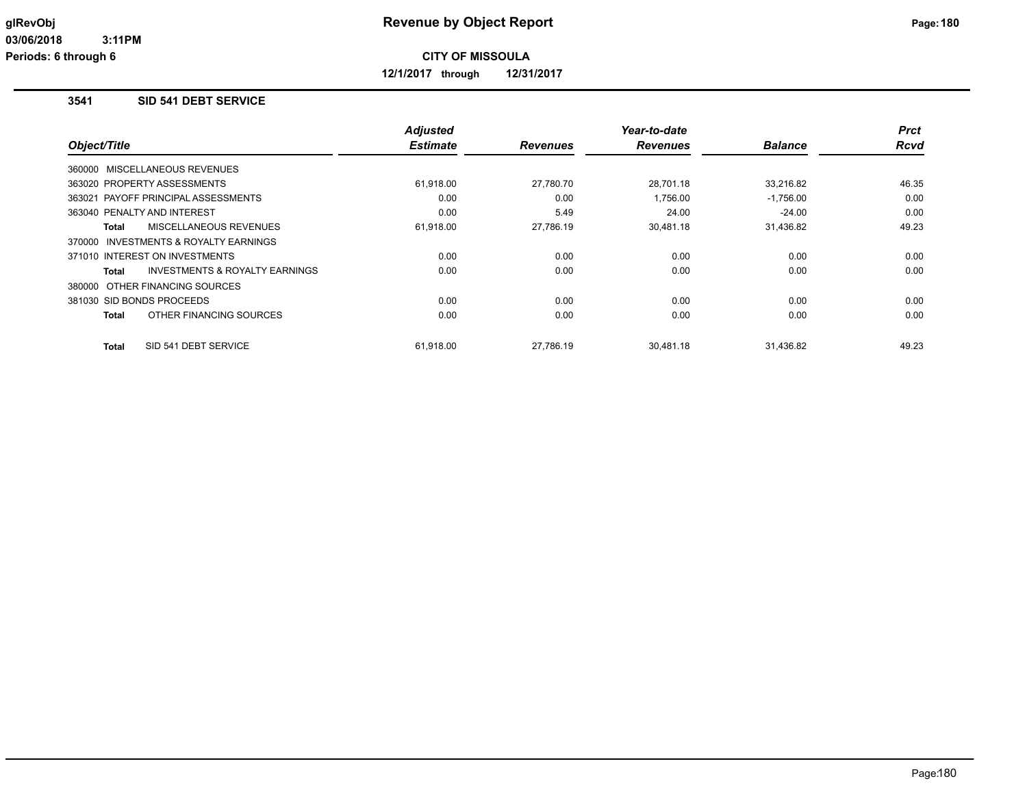**12/1/2017 through 12/31/2017**

# **3541 SID 541 DEBT SERVICE**

|                                                | <b>Adjusted</b> |                 | Year-to-date    |                | <b>Prct</b> |
|------------------------------------------------|-----------------|-----------------|-----------------|----------------|-------------|
| Object/Title                                   | <b>Estimate</b> | <b>Revenues</b> | <b>Revenues</b> | <b>Balance</b> | Rcvd        |
| 360000 MISCELLANEOUS REVENUES                  |                 |                 |                 |                |             |
| 363020 PROPERTY ASSESSMENTS                    | 61,918.00       | 27,780.70       | 28.701.18       | 33,216.82      | 46.35       |
| 363021 PAYOFF PRINCIPAL ASSESSMENTS            | 0.00            | 0.00            | 1,756.00        | $-1,756.00$    | 0.00        |
| 363040 PENALTY AND INTEREST                    | 0.00            | 5.49            | 24.00           | $-24.00$       | 0.00        |
| MISCELLANEOUS REVENUES<br>Total                | 61,918.00       | 27,786.19       | 30,481.18       | 31,436.82      | 49.23       |
| 370000 INVESTMENTS & ROYALTY EARNINGS          |                 |                 |                 |                |             |
| 371010 INTEREST ON INVESTMENTS                 | 0.00            | 0.00            | 0.00            | 0.00           | 0.00        |
| INVESTMENTS & ROYALTY EARNINGS<br><b>Total</b> | 0.00            | 0.00            | 0.00            | 0.00           | 0.00        |
| 380000 OTHER FINANCING SOURCES                 |                 |                 |                 |                |             |
| 381030 SID BONDS PROCEEDS                      | 0.00            | 0.00            | 0.00            | 0.00           | 0.00        |
| OTHER FINANCING SOURCES<br><b>Total</b>        | 0.00            | 0.00            | 0.00            | 0.00           | 0.00        |
| SID 541 DEBT SERVICE<br><b>Total</b>           | 61,918.00       | 27,786.19       | 30.481.18       | 31,436.82      | 49.23       |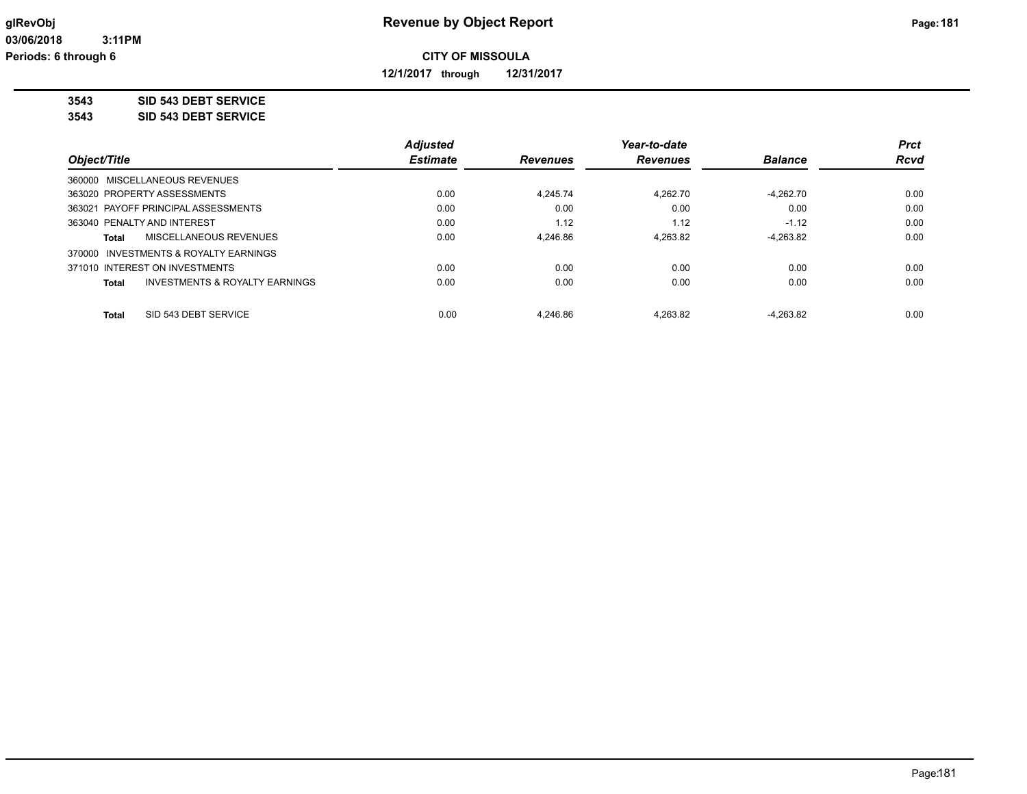**12/1/2017 through 12/31/2017**

**3543 SID 543 DEBT SERVICE**

**3543 SID 543 DEBT SERVICE**

|                                          | <b>Adjusted</b> |                 | Year-to-date    |                | <b>Prct</b> |
|------------------------------------------|-----------------|-----------------|-----------------|----------------|-------------|
| Object/Title                             | <b>Estimate</b> | <b>Revenues</b> | <b>Revenues</b> | <b>Balance</b> | <b>Rcvd</b> |
| 360000 MISCELLANEOUS REVENUES            |                 |                 |                 |                |             |
| 363020 PROPERTY ASSESSMENTS              | 0.00            | 4.245.74        | 4.262.70        | -4.262.70      | 0.00        |
| 363021 PAYOFF PRINCIPAL ASSESSMENTS      | 0.00            | 0.00            | 0.00            | 0.00           | 0.00        |
| 363040 PENALTY AND INTEREST              | 0.00            | 1.12            | 1.12            | $-1.12$        | 0.00        |
| MISCELLANEOUS REVENUES<br>Total          | 0.00            | 4.246.86        | 4.263.82        | $-4,263.82$    | 0.00        |
| INVESTMENTS & ROYALTY EARNINGS<br>370000 |                 |                 |                 |                |             |
| 371010 INTEREST ON INVESTMENTS           | 0.00            | 0.00            | 0.00            | 0.00           | 0.00        |
| INVESTMENTS & ROYALTY EARNINGS<br>Total  | 0.00            | 0.00            | 0.00            | 0.00           | 0.00        |
| SID 543 DEBT SERVICE<br>Total            | 0.00            | 4.246.86        | 4.263.82        | $-4.263.82$    | 0.00        |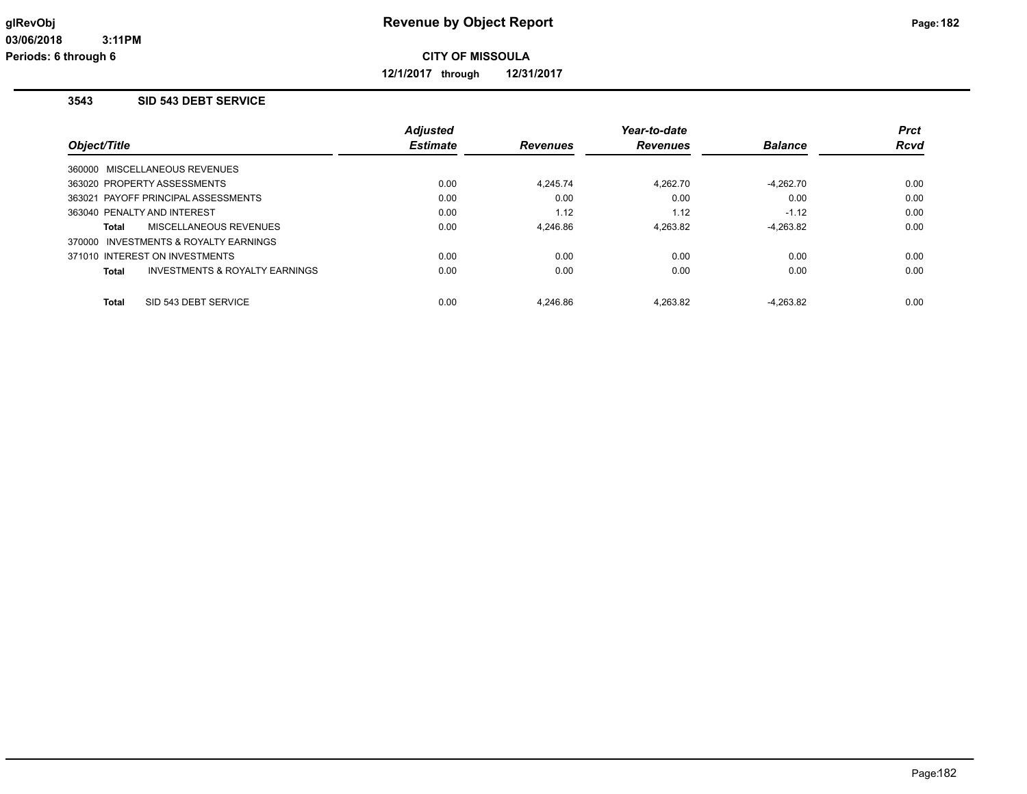**12/1/2017 through 12/31/2017**

#### **3543 SID 543 DEBT SERVICE**

|                                                    | <b>Adjusted</b> |                 | Year-to-date    |                | <b>Prct</b> |
|----------------------------------------------------|-----------------|-----------------|-----------------|----------------|-------------|
| Object/Title                                       | <b>Estimate</b> | <b>Revenues</b> | <b>Revenues</b> | <b>Balance</b> | <b>Rcvd</b> |
| 360000 MISCELLANEOUS REVENUES                      |                 |                 |                 |                |             |
| 363020 PROPERTY ASSESSMENTS                        | 0.00            | 4.245.74        | 4.262.70        | $-4.262.70$    | 0.00        |
| 363021 PAYOFF PRINCIPAL ASSESSMENTS                | 0.00            | 0.00            | 0.00            | 0.00           | 0.00        |
| 363040 PENALTY AND INTEREST                        | 0.00            | 1.12            | 1.12            | $-1.12$        | 0.00        |
| MISCELLANEOUS REVENUES<br>Total                    | 0.00            | 4.246.86        | 4.263.82        | $-4.263.82$    | 0.00        |
| 370000 INVESTMENTS & ROYALTY EARNINGS              |                 |                 |                 |                |             |
| 371010 INTEREST ON INVESTMENTS                     | 0.00            | 0.00            | 0.00            | 0.00           | 0.00        |
| <b>INVESTMENTS &amp; ROYALTY EARNINGS</b><br>Total | 0.00            | 0.00            | 0.00            | 0.00           | 0.00        |
| SID 543 DEBT SERVICE<br>Total                      | 0.00            | 4.246.86        | 4.263.82        | $-4.263.82$    | 0.00        |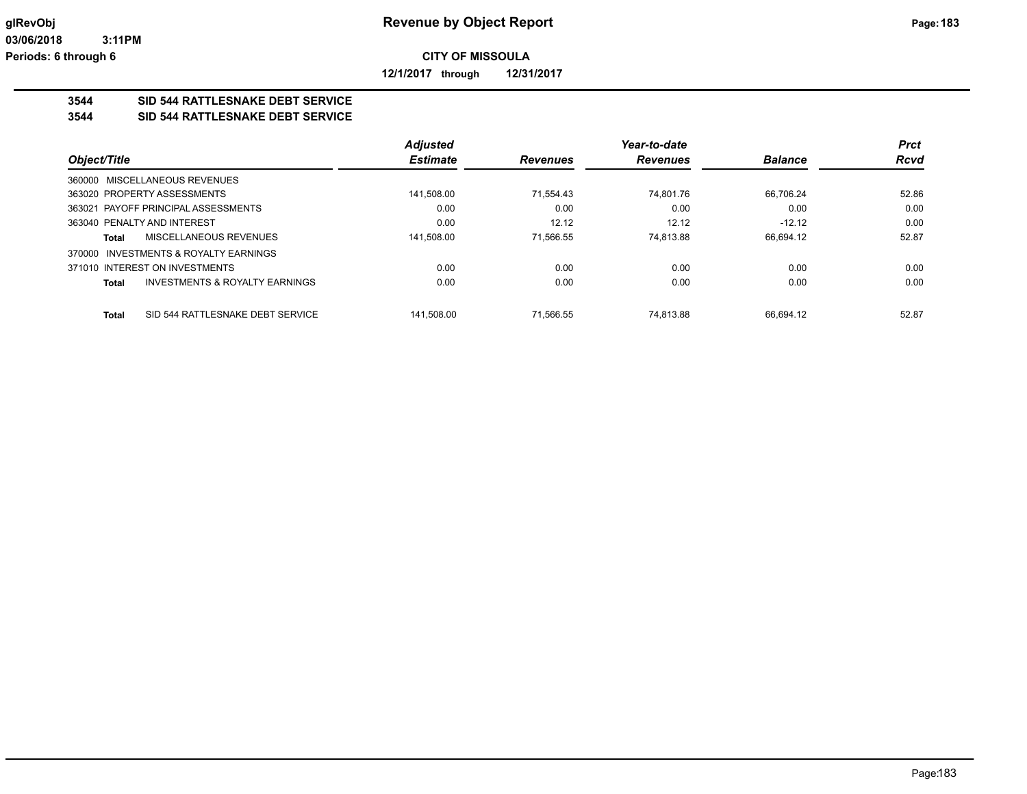**12/1/2017 through 12/31/2017**

## **3544 SID 544 RATTLESNAKE DEBT SERVICE**

#### **3544 SID 544 RATTLESNAKE DEBT SERVICE**

|                                                           | <b>Adjusted</b> |                 | Year-to-date    |                | <b>Prct</b> |
|-----------------------------------------------------------|-----------------|-----------------|-----------------|----------------|-------------|
| Object/Title                                              | <b>Estimate</b> | <b>Revenues</b> | <b>Revenues</b> | <b>Balance</b> | <b>Rcvd</b> |
| 360000 MISCELLANEOUS REVENUES                             |                 |                 |                 |                |             |
| 363020 PROPERTY ASSESSMENTS                               | 141,508.00      | 71.554.43       | 74.801.76       | 66.706.24      | 52.86       |
| 363021 PAYOFF PRINCIPAL ASSESSMENTS                       | 0.00            | 0.00            | 0.00            | 0.00           | 0.00        |
| 363040 PENALTY AND INTEREST                               | 0.00            | 12.12           | 12.12           | $-12.12$       | 0.00        |
| MISCELLANEOUS REVENUES<br>Total                           | 141,508.00      | 71.566.55       | 74.813.88       | 66.694.12      | 52.87       |
| INVESTMENTS & ROYALTY EARNINGS<br>370000                  |                 |                 |                 |                |             |
| 371010 INTEREST ON INVESTMENTS                            | 0.00            | 0.00            | 0.00            | 0.00           | 0.00        |
| <b>INVESTMENTS &amp; ROYALTY EARNINGS</b><br><b>Total</b> | 0.00            | 0.00            | 0.00            | 0.00           | 0.00        |
|                                                           |                 |                 |                 |                |             |
| SID 544 RATTLESNAKE DEBT SERVICE<br><b>Total</b>          | 141.508.00      | 71.566.55       | 74.813.88       | 66.694.12      | 52.87       |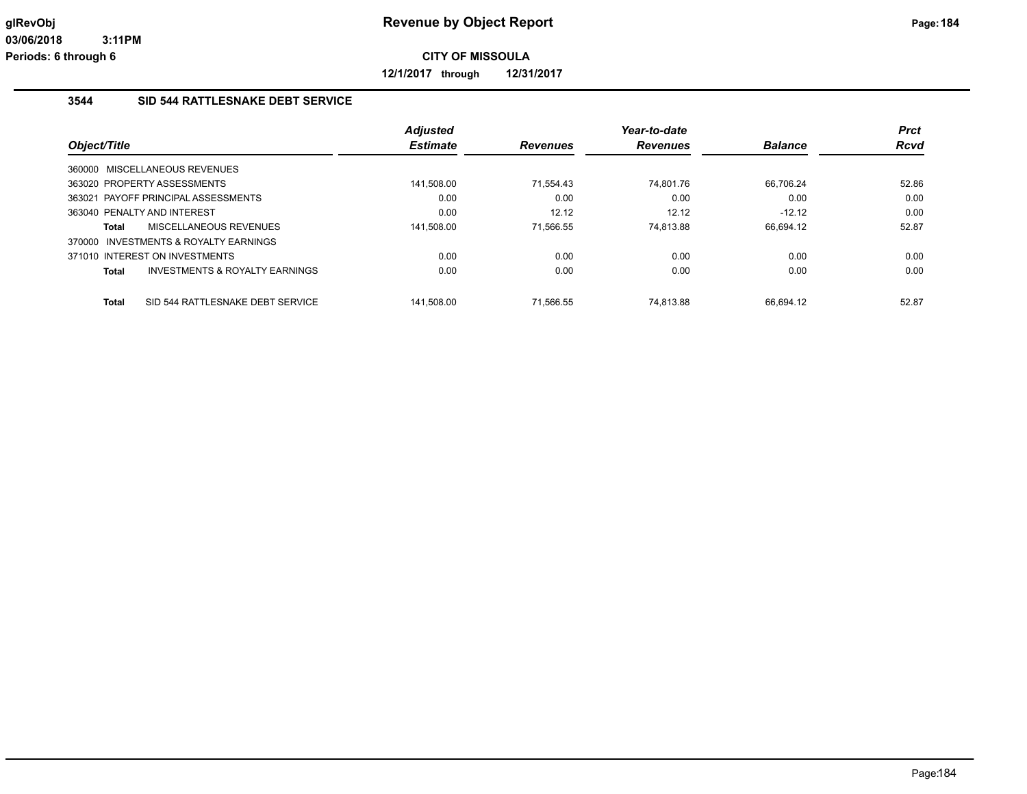**12/1/2017 through 12/31/2017**

#### **3544 SID 544 RATTLESNAKE DEBT SERVICE**

|              |                                           | <b>Adjusted</b> |                 | Year-to-date    |                | <b>Prct</b> |
|--------------|-------------------------------------------|-----------------|-----------------|-----------------|----------------|-------------|
| Object/Title |                                           | <b>Estimate</b> | <b>Revenues</b> | <b>Revenues</b> | <b>Balance</b> | <b>Rcvd</b> |
|              | 360000 MISCELLANEOUS REVENUES             |                 |                 |                 |                |             |
|              | 363020 PROPERTY ASSESSMENTS               | 141.508.00      | 71.554.43       | 74.801.76       | 66,706.24      | 52.86       |
|              | 363021 PAYOFF PRINCIPAL ASSESSMENTS       | 0.00            | 0.00            | 0.00            | 0.00           | 0.00        |
|              | 363040 PENALTY AND INTEREST               | 0.00            | 12.12           | 12.12           | $-12.12$       | 0.00        |
| Total        | MISCELLANEOUS REVENUES                    | 141,508.00      | 71.566.55       | 74.813.88       | 66.694.12      | 52.87       |
|              | 370000 INVESTMENTS & ROYALTY EARNINGS     |                 |                 |                 |                |             |
|              | 371010 INTEREST ON INVESTMENTS            | 0.00            | 0.00            | 0.00            | 0.00           | 0.00        |
| Total        | <b>INVESTMENTS &amp; ROYALTY EARNINGS</b> | 0.00            | 0.00            | 0.00            | 0.00           | 0.00        |
| Total        | SID 544 RATTLESNAKE DEBT SERVICE          | 141.508.00      | 71.566.55       | 74.813.88       | 66.694.12      | 52.87       |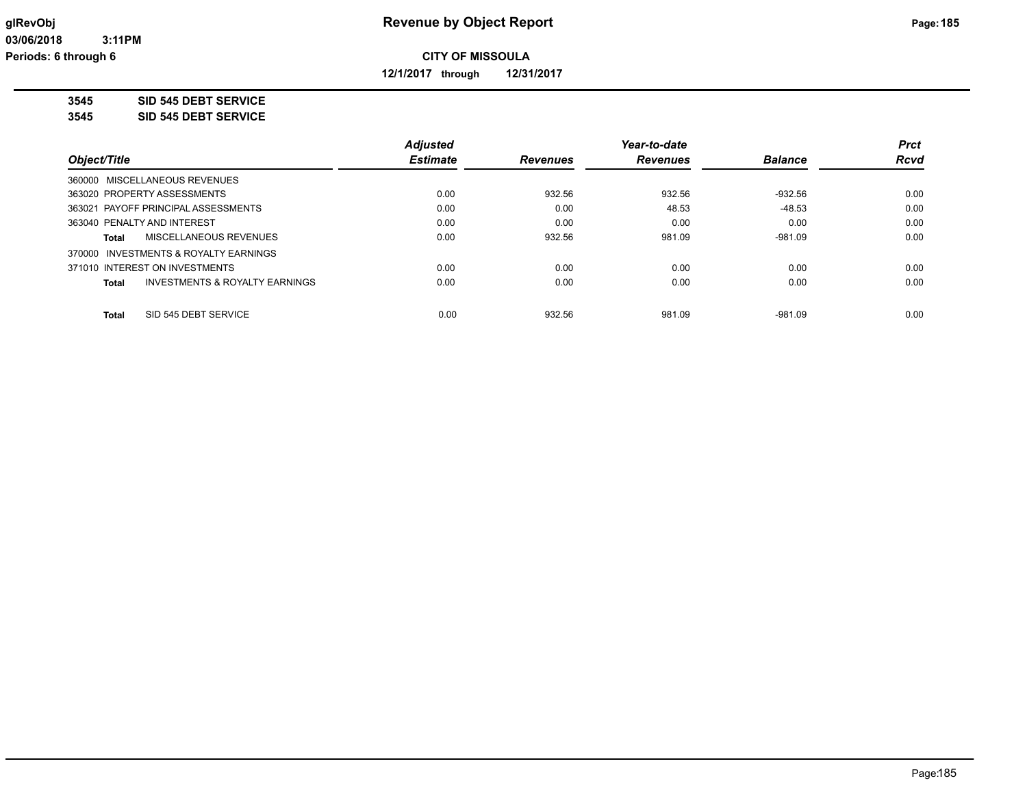**12/1/2017 through 12/31/2017**

**3545 SID 545 DEBT SERVICE**

**3545 SID 545 DEBT SERVICE**

|                                                           | <b>Adjusted</b> |                 | Year-to-date    |                | <b>Prct</b> |
|-----------------------------------------------------------|-----------------|-----------------|-----------------|----------------|-------------|
| Object/Title                                              | <b>Estimate</b> | <b>Revenues</b> | <b>Revenues</b> | <b>Balance</b> | <b>Rcvd</b> |
| 360000 MISCELLANEOUS REVENUES                             |                 |                 |                 |                |             |
| 363020 PROPERTY ASSESSMENTS                               | 0.00            | 932.56          | 932.56          | -932.56        | 0.00        |
| 363021 PAYOFF PRINCIPAL ASSESSMENTS                       | 0.00            | 0.00            | 48.53           | $-48.53$       | 0.00        |
| 363040 PENALTY AND INTEREST                               | 0.00            | 0.00            | 0.00            | 0.00           | 0.00        |
| MISCELLANEOUS REVENUES<br>Total                           | 0.00            | 932.56          | 981.09          | $-981.09$      | 0.00        |
| 370000 INVESTMENTS & ROYALTY EARNINGS                     |                 |                 |                 |                |             |
| 371010 INTEREST ON INVESTMENTS                            | 0.00            | 0.00            | 0.00            | 0.00           | 0.00        |
| <b>INVESTMENTS &amp; ROYALTY EARNINGS</b><br><b>Total</b> | 0.00            | 0.00            | 0.00            | 0.00           | 0.00        |
| SID 545 DEBT SERVICE<br><b>Total</b>                      | 0.00            | 932.56          | 981.09          | $-981.09$      | 0.00        |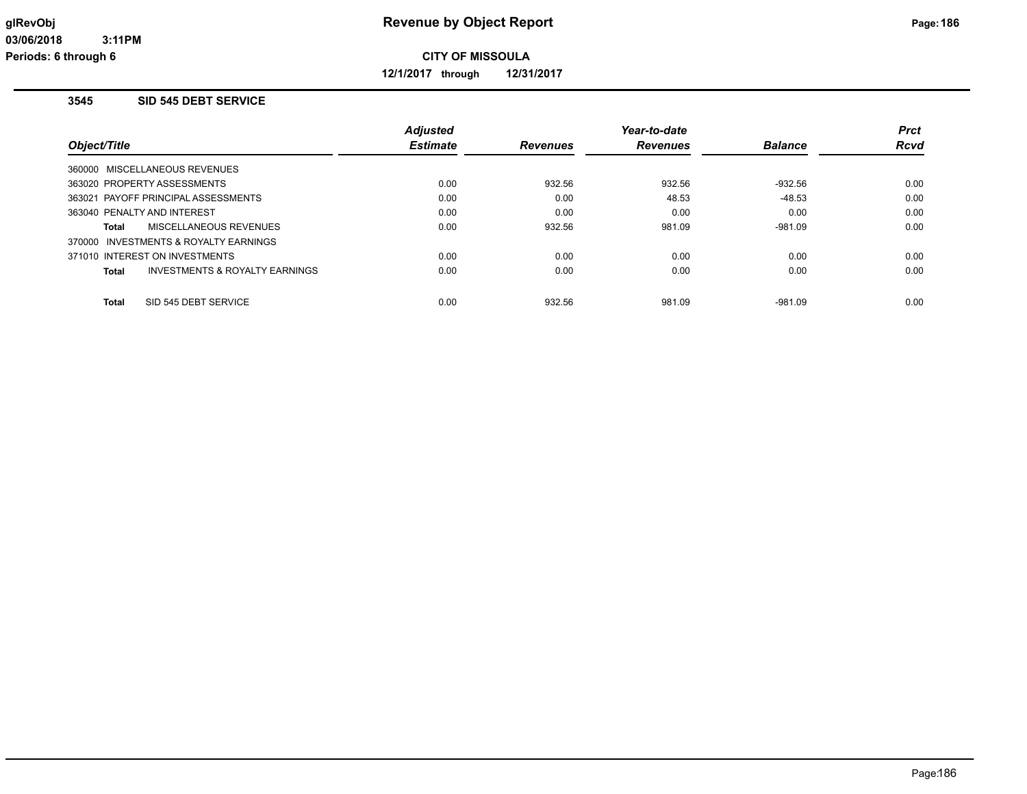**12/1/2017 through 12/31/2017**

### **3545 SID 545 DEBT SERVICE**

|              |                                       | <b>Adjusted</b> |                 | Year-to-date    |                | <b>Prct</b> |
|--------------|---------------------------------------|-----------------|-----------------|-----------------|----------------|-------------|
| Object/Title |                                       | <b>Estimate</b> | <b>Revenues</b> | <b>Revenues</b> | <b>Balance</b> | <b>Rcvd</b> |
|              | 360000 MISCELLANEOUS REVENUES         |                 |                 |                 |                |             |
|              | 363020 PROPERTY ASSESSMENTS           | 0.00            | 932.56          | 932.56          | $-932.56$      | 0.00        |
|              | 363021 PAYOFF PRINCIPAL ASSESSMENTS   | 0.00            | 0.00            | 48.53           | $-48.53$       | 0.00        |
|              | 363040 PENALTY AND INTEREST           | 0.00            | 0.00            | 0.00            | 0.00           | 0.00        |
| Total        | MISCELLANEOUS REVENUES                | 0.00            | 932.56          | 981.09          | $-981.09$      | 0.00        |
|              | 370000 INVESTMENTS & ROYALTY EARNINGS |                 |                 |                 |                |             |
|              | 371010 INTEREST ON INVESTMENTS        | 0.00            | 0.00            | 0.00            | 0.00           | 0.00        |
| Total        | INVESTMENTS & ROYALTY EARNINGS        | 0.00            | 0.00            | 0.00            | 0.00           | 0.00        |
| Total        | SID 545 DEBT SERVICE                  | 0.00            | 932.56          | 981.09          | $-981.09$      | 0.00        |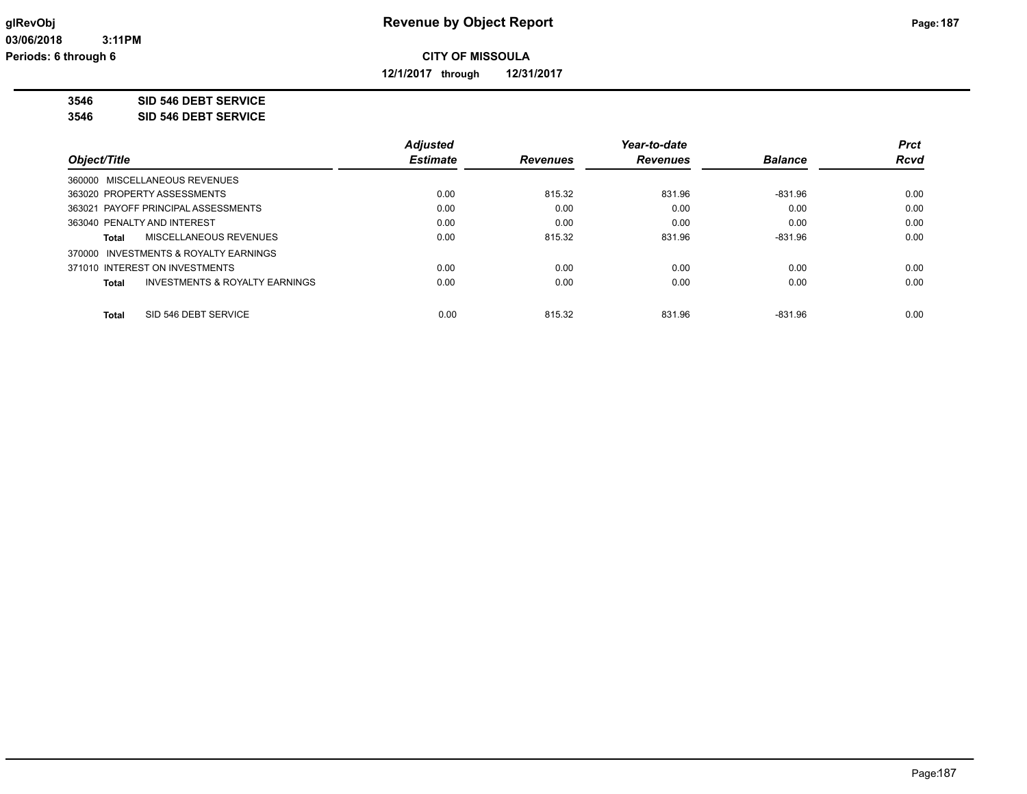**12/1/2017 through 12/31/2017**

**3546 SID 546 DEBT SERVICE**

**3546 SID 546 DEBT SERVICE**

|                                                           | <b>Adjusted</b> |                 | Year-to-date    |                | <b>Prct</b> |
|-----------------------------------------------------------|-----------------|-----------------|-----------------|----------------|-------------|
| Object/Title                                              | <b>Estimate</b> | <b>Revenues</b> | <b>Revenues</b> | <b>Balance</b> | <b>Rcvd</b> |
| 360000 MISCELLANEOUS REVENUES                             |                 |                 |                 |                |             |
| 363020 PROPERTY ASSESSMENTS                               | 0.00            | 815.32          | 831.96          | $-831.96$      | 0.00        |
| 363021 PAYOFF PRINCIPAL ASSESSMENTS                       | 0.00            | 0.00            | 0.00            | 0.00           | 0.00        |
| 363040 PENALTY AND INTEREST                               | 0.00            | 0.00            | 0.00            | 0.00           | 0.00        |
| MISCELLANEOUS REVENUES<br>Total                           | 0.00            | 815.32          | 831.96          | $-831.96$      | 0.00        |
| 370000 INVESTMENTS & ROYALTY EARNINGS                     |                 |                 |                 |                |             |
| 371010 INTEREST ON INVESTMENTS                            | 0.00            | 0.00            | 0.00            | 0.00           | 0.00        |
| <b>INVESTMENTS &amp; ROYALTY EARNINGS</b><br><b>Total</b> | 0.00            | 0.00            | 0.00            | 0.00           | 0.00        |
| SID 546 DEBT SERVICE<br><b>Total</b>                      | 0.00            | 815.32          | 831.96          | $-831.96$      | 0.00        |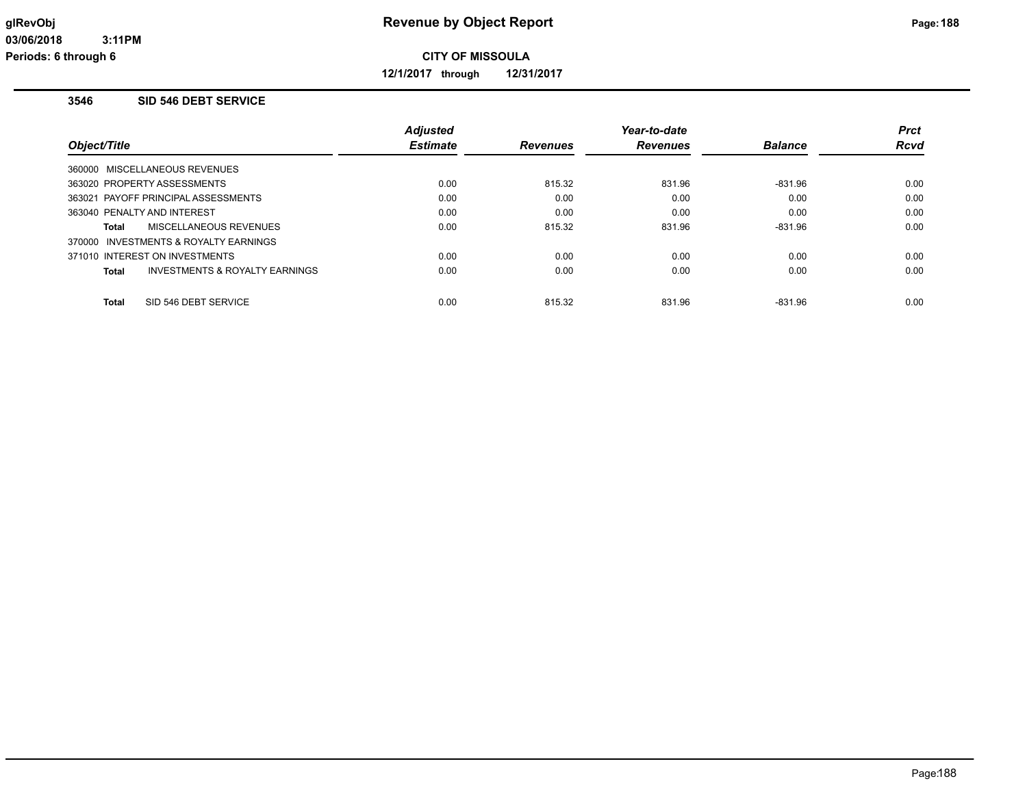**12/1/2017 through 12/31/2017**

#### **3546 SID 546 DEBT SERVICE**

|                             |                                       | <b>Adjusted</b> |                 | Year-to-date    |                | <b>Prct</b> |
|-----------------------------|---------------------------------------|-----------------|-----------------|-----------------|----------------|-------------|
| Object/Title                |                                       | <b>Estimate</b> | <b>Revenues</b> | <b>Revenues</b> | <b>Balance</b> | Rcvd        |
|                             | 360000 MISCELLANEOUS REVENUES         |                 |                 |                 |                |             |
|                             | 363020 PROPERTY ASSESSMENTS           | 0.00            | 815.32          | 831.96          | $-831.96$      | 0.00        |
|                             | 363021 PAYOFF PRINCIPAL ASSESSMENTS   | 0.00            | 0.00            | 0.00            | 0.00           | 0.00        |
| 363040 PENALTY AND INTEREST |                                       | 0.00            | 0.00            | 0.00            | 0.00           | 0.00        |
| Total                       | MISCELLANEOUS REVENUES                | 0.00            | 815.32          | 831.96          | $-831.96$      | 0.00        |
|                             | 370000 INVESTMENTS & ROYALTY EARNINGS |                 |                 |                 |                |             |
|                             | 371010 INTEREST ON INVESTMENTS        | 0.00            | 0.00            | 0.00            | 0.00           | 0.00        |
| Total                       | INVESTMENTS & ROYALTY EARNINGS        | 0.00            | 0.00            | 0.00            | 0.00           | 0.00        |
| Total                       | SID 546 DEBT SERVICE                  | 0.00            | 815.32          | 831.96          | $-831.96$      | 0.00        |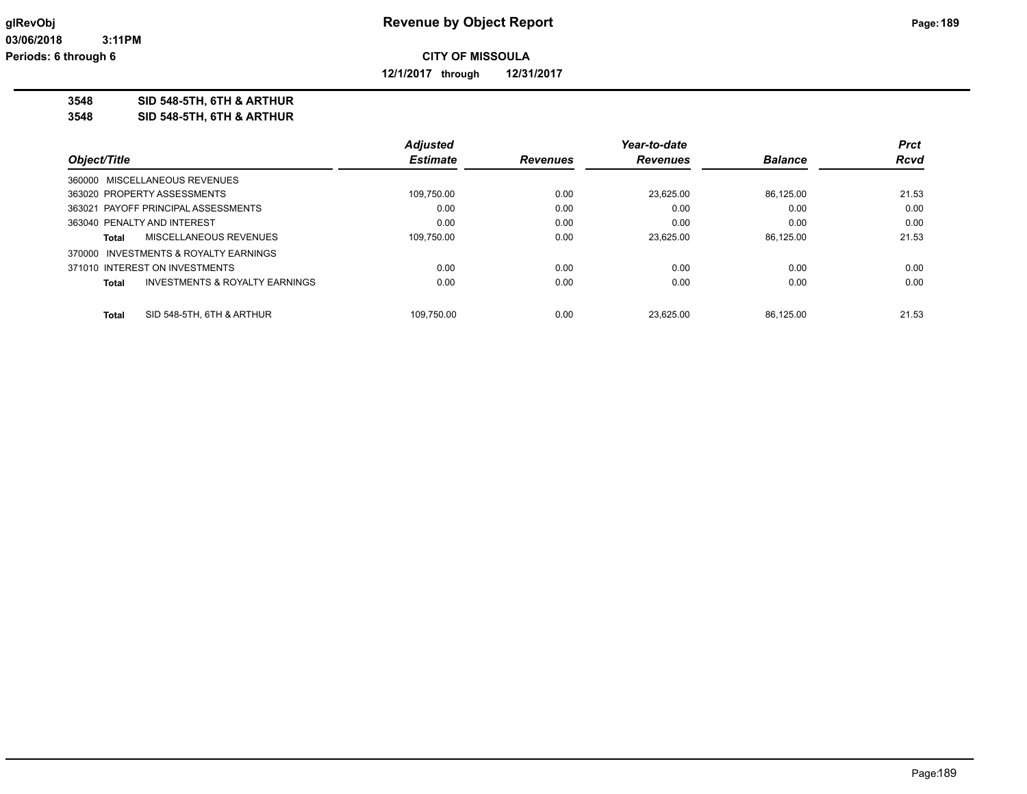**12/1/2017 through 12/31/2017**

**3548 SID 548-5TH, 6TH & ARTHUR**

**3548 SID 548-5TH, 6TH & ARTHUR**

|              |                                       | <b>Adjusted</b> |                 | Year-to-date    |                | <b>Prct</b> |
|--------------|---------------------------------------|-----------------|-----------------|-----------------|----------------|-------------|
| Object/Title |                                       | <b>Estimate</b> | <b>Revenues</b> | <b>Revenues</b> | <b>Balance</b> | <b>Rcvd</b> |
|              | 360000 MISCELLANEOUS REVENUES         |                 |                 |                 |                |             |
|              | 363020 PROPERTY ASSESSMENTS           | 109.750.00      | 0.00            | 23.625.00       | 86.125.00      | 21.53       |
|              | 363021 PAYOFF PRINCIPAL ASSESSMENTS   | 0.00            | 0.00            | 0.00            | 0.00           | 0.00        |
|              | 363040 PENALTY AND INTEREST           | 0.00            | 0.00            | 0.00            | 0.00           | 0.00        |
| Total        | MISCELLANEOUS REVENUES                | 109,750.00      | 0.00            | 23.625.00       | 86.125.00      | 21.53       |
|              | 370000 INVESTMENTS & ROYALTY EARNINGS |                 |                 |                 |                |             |
|              | 371010 INTEREST ON INVESTMENTS        | 0.00            | 0.00            | 0.00            | 0.00           | 0.00        |
| Total        | INVESTMENTS & ROYALTY EARNINGS        | 0.00            | 0.00            | 0.00            | 0.00           | 0.00        |
| <b>Total</b> | SID 548-5TH, 6TH & ARTHUR             | 109.750.00      | 0.00            | 23.625.00       | 86.125.00      | 21.53       |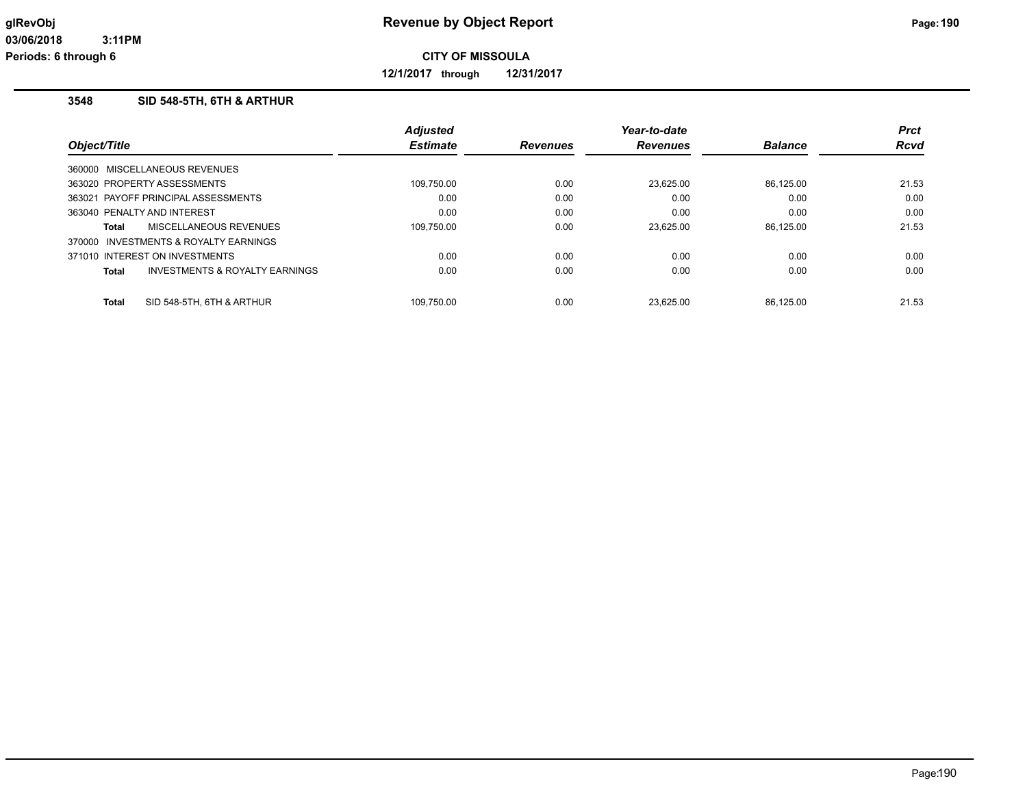**12/1/2017 through 12/31/2017**

#### **3548 SID 548-5TH, 6TH & ARTHUR**

|                                       |                                | <b>Adjusted</b> |                 | Year-to-date    |                | <b>Prct</b> |
|---------------------------------------|--------------------------------|-----------------|-----------------|-----------------|----------------|-------------|
| Object/Title                          |                                | <b>Estimate</b> | <b>Revenues</b> | <b>Revenues</b> | <b>Balance</b> | <b>Rcvd</b> |
| 360000 MISCELLANEOUS REVENUES         |                                |                 |                 |                 |                |             |
| 363020 PROPERTY ASSESSMENTS           |                                | 109,750.00      | 0.00            | 23.625.00       | 86.125.00      | 21.53       |
| 363021 PAYOFF PRINCIPAL ASSESSMENTS   |                                | 0.00            | 0.00            | 0.00            | 0.00           | 0.00        |
| 363040 PENALTY AND INTEREST           |                                | 0.00            | 0.00            | 0.00            | 0.00           | 0.00        |
| Total                                 | <b>MISCELLANEOUS REVENUES</b>  | 109.750.00      | 0.00            | 23.625.00       | 86.125.00      | 21.53       |
| 370000 INVESTMENTS & ROYALTY EARNINGS |                                |                 |                 |                 |                |             |
| 371010 INTEREST ON INVESTMENTS        |                                | 0.00            | 0.00            | 0.00            | 0.00           | 0.00        |
| <b>Total</b>                          | INVESTMENTS & ROYALTY EARNINGS | 0.00            | 0.00            | 0.00            | 0.00           | 0.00        |
| <b>Total</b>                          | SID 548-5TH, 6TH & ARTHUR      | 109.750.00      | 0.00            | 23.625.00       | 86.125.00      | 21.53       |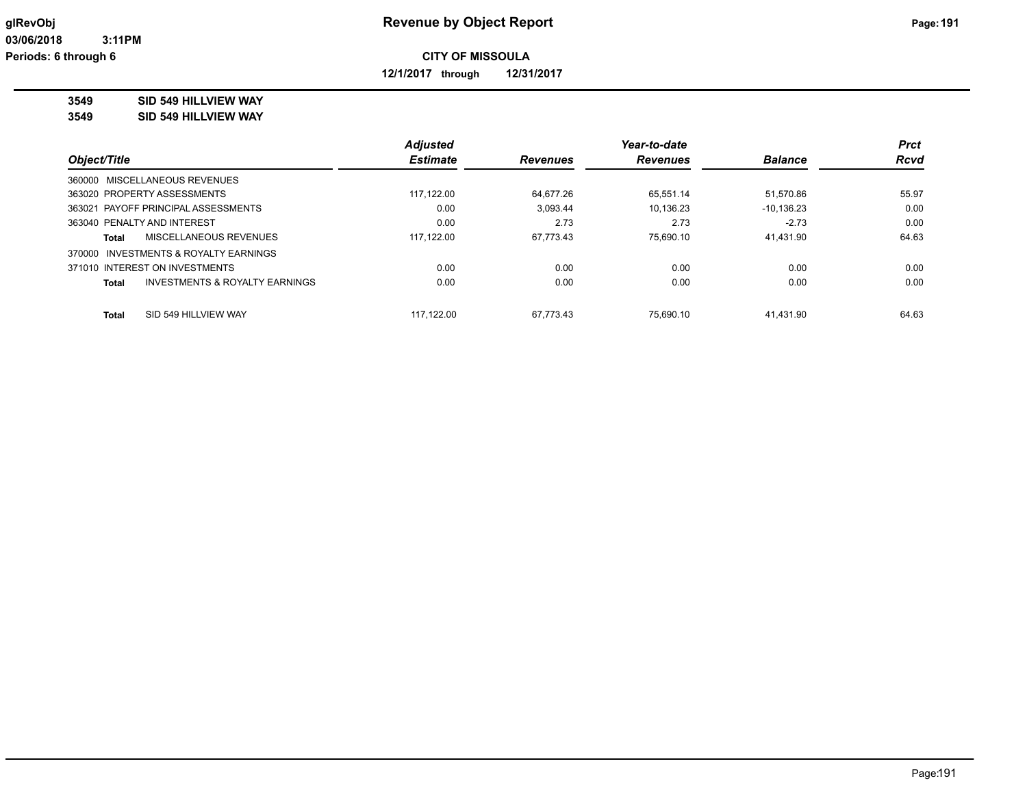**12/1/2017 through 12/31/2017**

#### **3549 SID 549 HILLVIEW WAY**

**3549 SID 549 HILLVIEW WAY**

|              |                                     | <b>Adjusted</b> |                 | Year-to-date    |                | <b>Prct</b> |
|--------------|-------------------------------------|-----------------|-----------------|-----------------|----------------|-------------|
| Object/Title |                                     | <b>Estimate</b> | <b>Revenues</b> | <b>Revenues</b> | <b>Balance</b> | <b>Rcvd</b> |
|              | 360000 MISCELLANEOUS REVENUES       |                 |                 |                 |                |             |
|              | 363020 PROPERTY ASSESSMENTS         | 117.122.00      | 64.677.26       | 65.551.14       | 51.570.86      | 55.97       |
|              | 363021 PAYOFF PRINCIPAL ASSESSMENTS | 0.00            | 3,093.44        | 10.136.23       | $-10, 136.23$  | 0.00        |
|              | 363040 PENALTY AND INTEREST         | 0.00            | 2.73            | 2.73            | $-2.73$        | 0.00        |
| Total        | <b>MISCELLANEOUS REVENUES</b>       | 117,122.00      | 67.773.43       | 75.690.10       | 41,431.90      | 64.63       |
| 370000       | INVESTMENTS & ROYALTY EARNINGS      |                 |                 |                 |                |             |
|              | 371010 INTEREST ON INVESTMENTS      | 0.00            | 0.00            | 0.00            | 0.00           | 0.00        |
| Total        | INVESTMENTS & ROYALTY EARNINGS      | 0.00            | 0.00            | 0.00            | 0.00           | 0.00        |
| Total        | SID 549 HILLVIEW WAY                | 117.122.00      | 67.773.43       | 75.690.10       | 41.431.90      | 64.63       |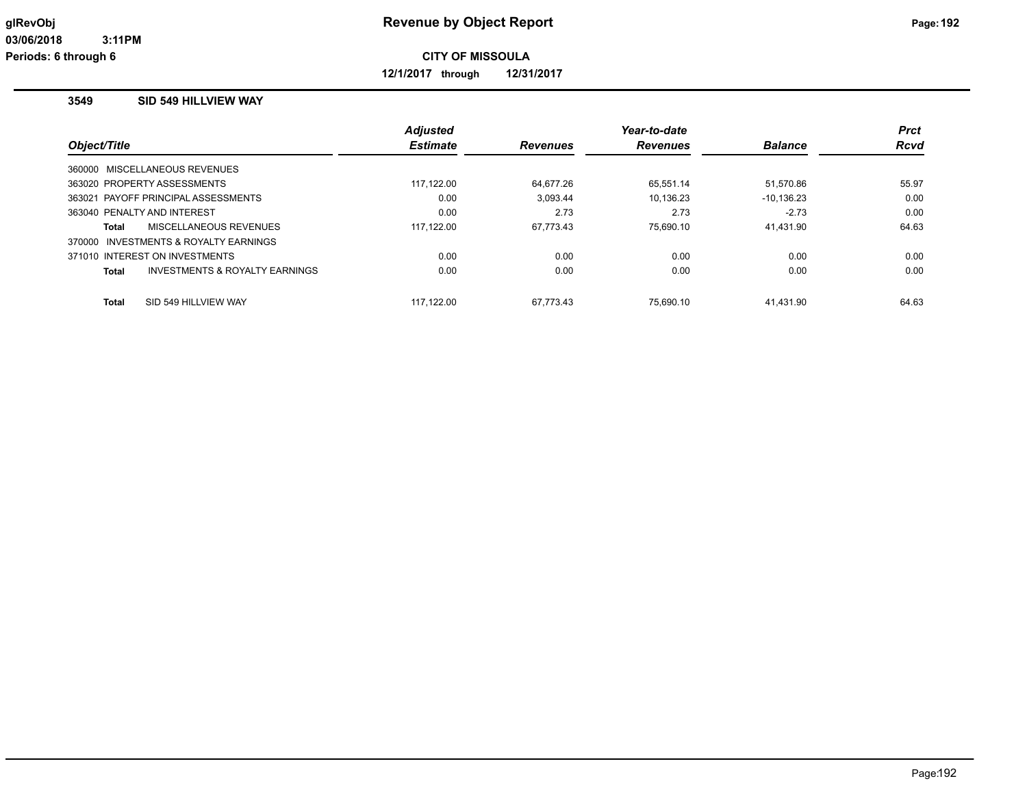**12/1/2017 through 12/31/2017**

### **3549 SID 549 HILLVIEW WAY**

|                                                    | <b>Adjusted</b> |                 | Year-to-date    |                | <b>Prct</b> |
|----------------------------------------------------|-----------------|-----------------|-----------------|----------------|-------------|
| Object/Title                                       | <b>Estimate</b> | <b>Revenues</b> | <b>Revenues</b> | <b>Balance</b> | <b>Rcvd</b> |
| 360000 MISCELLANEOUS REVENUES                      |                 |                 |                 |                |             |
| 363020 PROPERTY ASSESSMENTS                        | 117,122.00      | 64.677.26       | 65,551.14       | 51,570.86      | 55.97       |
| 363021 PAYOFF PRINCIPAL ASSESSMENTS                | 0.00            | 3.093.44        | 10.136.23       | $-10, 136.23$  | 0.00        |
| 363040 PENALTY AND INTEREST                        | 0.00            | 2.73            | 2.73            | $-2.73$        | 0.00        |
| MISCELLANEOUS REVENUES<br>Total                    | 117.122.00      | 67.773.43       | 75.690.10       | 41.431.90      | 64.63       |
| 370000 INVESTMENTS & ROYALTY EARNINGS              |                 |                 |                 |                |             |
| 371010 INTEREST ON INVESTMENTS                     | 0.00            | 0.00            | 0.00            | 0.00           | 0.00        |
| <b>INVESTMENTS &amp; ROYALTY EARNINGS</b><br>Total | 0.00            | 0.00            | 0.00            | 0.00           | 0.00        |
| SID 549 HILLVIEW WAY<br>Total                      | 117.122.00      | 67.773.43       | 75.690.10       | 41.431.90      | 64.63       |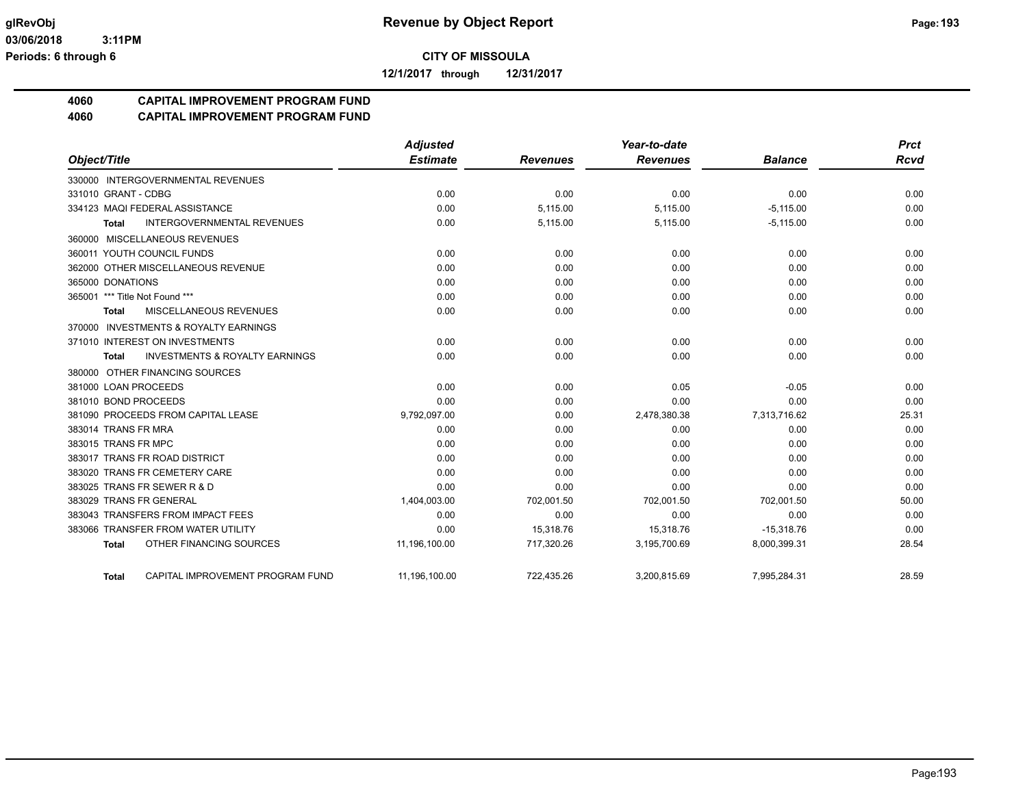**12/1/2017 through 12/31/2017**

# **4060 CAPITAL IMPROVEMENT PROGRAM FUND**

**4060 CAPITAL IMPROVEMENT PROGRAM FUND**

|                                                           | <b>Adjusted</b> |                 | Year-to-date    |                | <b>Prct</b> |
|-----------------------------------------------------------|-----------------|-----------------|-----------------|----------------|-------------|
| Object/Title                                              | <b>Estimate</b> | <b>Revenues</b> | <b>Revenues</b> | <b>Balance</b> | <b>Rcvd</b> |
| 330000 INTERGOVERNMENTAL REVENUES                         |                 |                 |                 |                |             |
| 331010 GRANT - CDBG                                       | 0.00            | 0.00            | 0.00            | 0.00           | 0.00        |
| 334123 MAQI FEDERAL ASSISTANCE                            | 0.00            | 5,115.00        | 5,115.00        | $-5,115.00$    | 0.00        |
| <b>INTERGOVERNMENTAL REVENUES</b><br><b>Total</b>         | 0.00            | 5,115.00        | 5,115.00        | $-5,115.00$    | 0.00        |
| 360000 MISCELLANEOUS REVENUES                             |                 |                 |                 |                |             |
| 360011 YOUTH COUNCIL FUNDS                                | 0.00            | 0.00            | 0.00            | 0.00           | 0.00        |
| 362000 OTHER MISCELLANEOUS REVENUE                        | 0.00            | 0.00            | 0.00            | 0.00           | 0.00        |
| 365000 DONATIONS                                          | 0.00            | 0.00            | 0.00            | 0.00           | 0.00        |
| 365001 *** Title Not Found ***                            | 0.00            | 0.00            | 0.00            | 0.00           | 0.00        |
| <b>MISCELLANEOUS REVENUES</b><br><b>Total</b>             | 0.00            | 0.00            | 0.00            | 0.00           | 0.00        |
| <b>INVESTMENTS &amp; ROYALTY EARNINGS</b><br>370000       |                 |                 |                 |                |             |
| 371010 INTEREST ON INVESTMENTS                            | 0.00            | 0.00            | 0.00            | 0.00           | 0.00        |
| <b>INVESTMENTS &amp; ROYALTY EARNINGS</b><br><b>Total</b> | 0.00            | 0.00            | 0.00            | 0.00           | 0.00        |
| 380000 OTHER FINANCING SOURCES                            |                 |                 |                 |                |             |
| 381000 LOAN PROCEEDS                                      | 0.00            | 0.00            | 0.05            | $-0.05$        | 0.00        |
| 381010 BOND PROCEEDS                                      | 0.00            | 0.00            | 0.00            | 0.00           | 0.00        |
| 381090 PROCEEDS FROM CAPITAL LEASE                        | 9,792,097.00    | 0.00            | 2,478,380.38    | 7,313,716.62   | 25.31       |
| 383014 TRANS FR MRA                                       | 0.00            | 0.00            | 0.00            | 0.00           | 0.00        |
| 383015 TRANS FR MPC                                       | 0.00            | 0.00            | 0.00            | 0.00           | 0.00        |
| 383017 TRANS FR ROAD DISTRICT                             | 0.00            | 0.00            | 0.00            | 0.00           | 0.00        |
| 383020 TRANS FR CEMETERY CARE                             | 0.00            | 0.00            | 0.00            | 0.00           | 0.00        |
| 383025 TRANS FR SEWER R & D                               | 0.00            | 0.00            | 0.00            | 0.00           | 0.00        |
| 383029 TRANS FR GENERAL                                   | 1,404,003.00    | 702,001.50      | 702,001.50      | 702,001.50     | 50.00       |
| 383043 TRANSFERS FROM IMPACT FEES                         | 0.00            | 0.00            | 0.00            | 0.00           | 0.00        |
| 383066 TRANSFER FROM WATER UTILITY                        | 0.00            | 15,318.76       | 15,318.76       | $-15,318.76$   | 0.00        |
| OTHER FINANCING SOURCES<br>Total                          | 11,196,100.00   | 717,320.26      | 3,195,700.69    | 8,000,399.31   | 28.54       |
| CAPITAL IMPROVEMENT PROGRAM FUND<br><b>Total</b>          | 11,196,100.00   | 722.435.26      | 3,200,815.69    | 7,995,284.31   | 28.59       |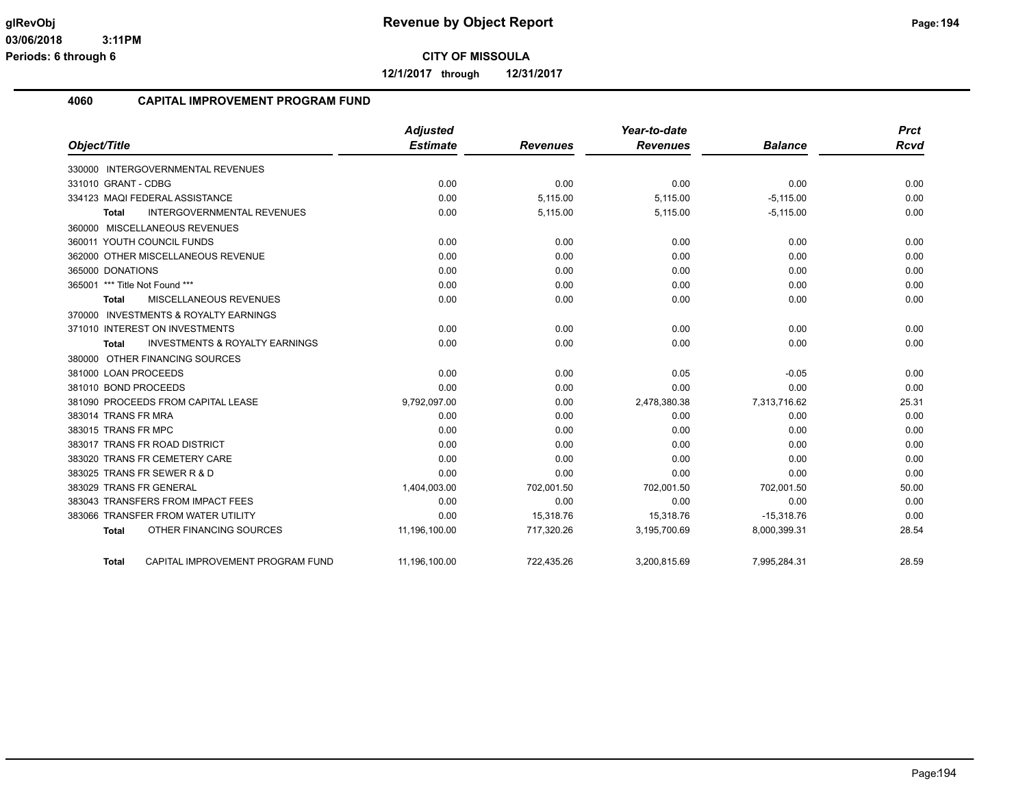**12/1/2017 through 12/31/2017**

#### **4060 CAPITAL IMPROVEMENT PROGRAM FUND**

|                                                           | <b>Adjusted</b> |                 | Year-to-date    |                | <b>Prct</b> |
|-----------------------------------------------------------|-----------------|-----------------|-----------------|----------------|-------------|
| Object/Title                                              | <b>Estimate</b> | <b>Revenues</b> | <b>Revenues</b> | <b>Balance</b> | <b>Rcvd</b> |
| 330000 INTERGOVERNMENTAL REVENUES                         |                 |                 |                 |                |             |
| 331010 GRANT - CDBG                                       | 0.00            | 0.00            | 0.00            | 0.00           | 0.00        |
| 334123 MAQI FEDERAL ASSISTANCE                            | 0.00            | 5,115.00        | 5,115.00        | $-5,115.00$    | 0.00        |
| <b>INTERGOVERNMENTAL REVENUES</b><br><b>Total</b>         | 0.00            | 5,115.00        | 5,115.00        | $-5,115.00$    | 0.00        |
| 360000 MISCELLANEOUS REVENUES                             |                 |                 |                 |                |             |
| 360011 YOUTH COUNCIL FUNDS                                | 0.00            | 0.00            | 0.00            | 0.00           | 0.00        |
| 362000 OTHER MISCELLANEOUS REVENUE                        | 0.00            | 0.00            | 0.00            | 0.00           | 0.00        |
| 365000 DONATIONS                                          | 0.00            | 0.00            | 0.00            | 0.00           | 0.00        |
| 365001 *** Title Not Found ***                            | 0.00            | 0.00            | 0.00            | 0.00           | 0.00        |
| MISCELLANEOUS REVENUES<br><b>Total</b>                    | 0.00            | 0.00            | 0.00            | 0.00           | 0.00        |
| 370000 INVESTMENTS & ROYALTY EARNINGS                     |                 |                 |                 |                |             |
| 371010 INTEREST ON INVESTMENTS                            | 0.00            | 0.00            | 0.00            | 0.00           | 0.00        |
| <b>INVESTMENTS &amp; ROYALTY EARNINGS</b><br><b>Total</b> | 0.00            | 0.00            | 0.00            | 0.00           | 0.00        |
| 380000 OTHER FINANCING SOURCES                            |                 |                 |                 |                |             |
| 381000 LOAN PROCEEDS                                      | 0.00            | 0.00            | 0.05            | $-0.05$        | 0.00        |
| 381010 BOND PROCEEDS                                      | 0.00            | 0.00            | 0.00            | 0.00           | 0.00        |
| 381090 PROCEEDS FROM CAPITAL LEASE                        | 9,792,097.00    | 0.00            | 2,478,380.38    | 7,313,716.62   | 25.31       |
| 383014 TRANS FR MRA                                       | 0.00            | 0.00            | 0.00            | 0.00           | 0.00        |
| 383015 TRANS FR MPC                                       | 0.00            | 0.00            | 0.00            | 0.00           | 0.00        |
| 383017 TRANS FR ROAD DISTRICT                             | 0.00            | 0.00            | 0.00            | 0.00           | 0.00        |
| 383020 TRANS FR CEMETERY CARE                             | 0.00            | 0.00            | 0.00            | 0.00           | 0.00        |
| 383025 TRANS FR SEWER R & D                               | 0.00            | 0.00            | 0.00            | 0.00           | 0.00        |
| 383029 TRANS FR GENERAL                                   | 1,404,003.00    | 702,001.50      | 702,001.50      | 702,001.50     | 50.00       |
| 383043 TRANSFERS FROM IMPACT FEES                         | 0.00            | 0.00            | 0.00            | 0.00           | 0.00        |
| 383066 TRANSFER FROM WATER UTILITY                        | 0.00            | 15,318.76       | 15,318.76       | $-15,318.76$   | 0.00        |
| OTHER FINANCING SOURCES<br><b>Total</b>                   | 11,196,100.00   | 717,320.26      | 3,195,700.69    | 8,000,399.31   | 28.54       |
| CAPITAL IMPROVEMENT PROGRAM FUND<br><b>Total</b>          | 11,196,100.00   | 722.435.26      | 3,200,815.69    | 7,995,284.31   | 28.59       |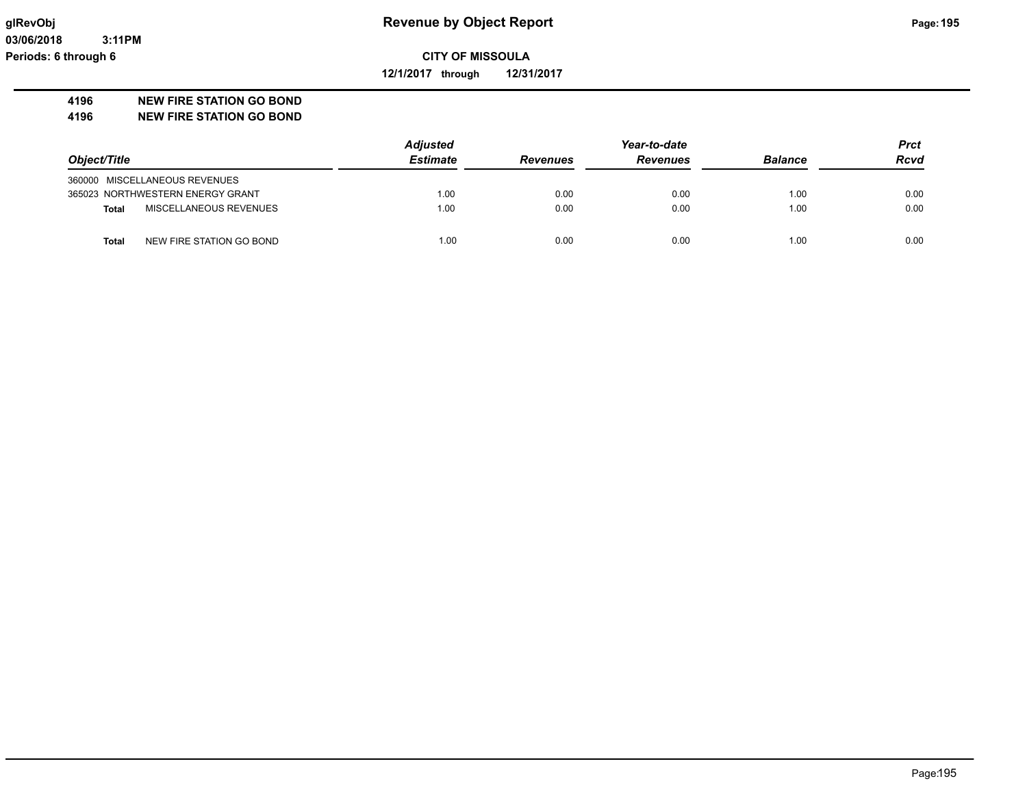**03/06/2018 3:11PM Periods: 6 through 6**

**CITY OF MISSOULA**

**12/1/2017 through 12/31/2017**

#### **4196 NEW FIRE STATION GO BOND**

**4196 NEW FIRE STATION GO BOND**

|                                          | <b>Adjusted</b> |                 | Year-to-date    |                |             |
|------------------------------------------|-----------------|-----------------|-----------------|----------------|-------------|
| Object/Title                             | <b>Estimate</b> | <b>Revenues</b> | <b>Revenues</b> | <b>Balance</b> | <b>Rcvd</b> |
| 360000 MISCELLANEOUS REVENUES            |                 |                 |                 |                |             |
| 365023 NORTHWESTERN ENERGY GRANT         | 1.00            | 0.00            | 0.00            | 1.00           | 0.00        |
| MISCELLANEOUS REVENUES<br><b>Total</b>   | 1.00            | 0.00            | 0.00            | 1.00           | 0.00        |
| NEW FIRE STATION GO BOND<br><b>Total</b> | 1.00            | 0.00            | 0.00            | 1.00           | 0.00        |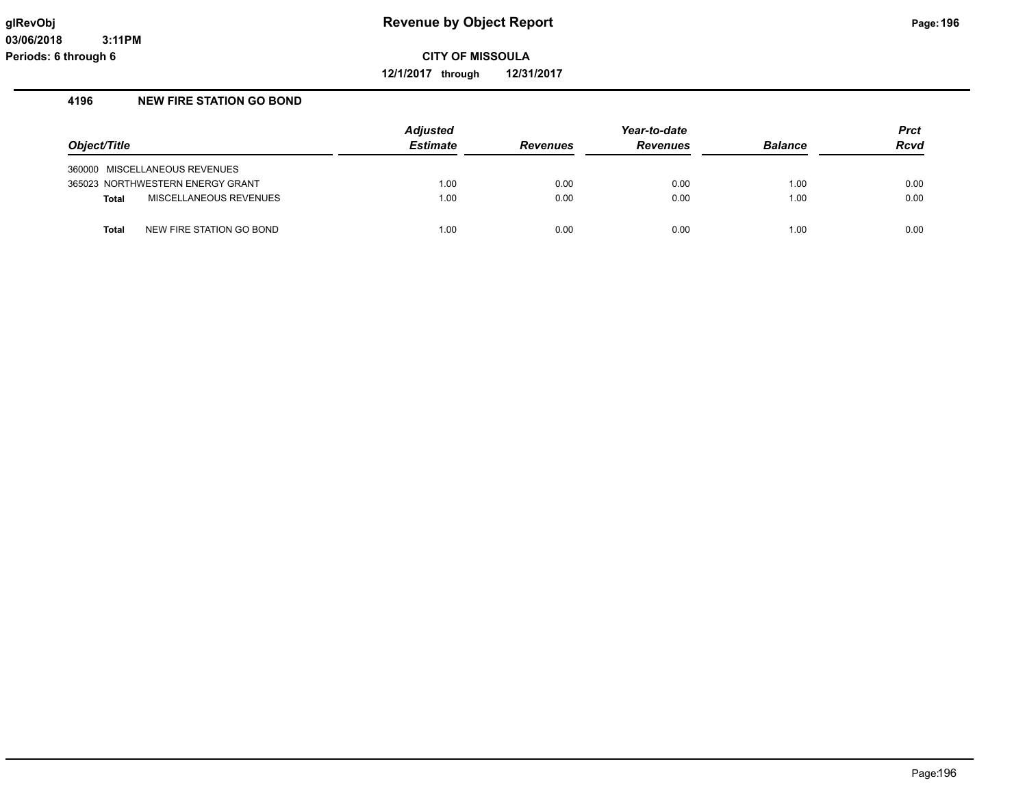**12/1/2017 through 12/31/2017**

#### **4196 NEW FIRE STATION GO BOND**

|                                        | <b>Adjusted</b> |                 | <b>Prct</b>     |                |             |
|----------------------------------------|-----------------|-----------------|-----------------|----------------|-------------|
| Object/Title                           | <b>Estimate</b> | <b>Revenues</b> | <b>Revenues</b> | <b>Balance</b> | <b>Rcvd</b> |
| 360000 MISCELLANEOUS REVENUES          |                 |                 |                 |                |             |
| 365023 NORTHWESTERN ENERGY GRANT       | 1.00            | 0.00            | 0.00            | 1.00           | 0.00        |
| MISCELLANEOUS REVENUES<br><b>Total</b> | 1.00            | 0.00            | 0.00            | 1.00           | 0.00        |
| NEW FIRE STATION GO BOND<br>Total      | 1.00            | 0.00            | 0.00            | 1.00           | 0.00        |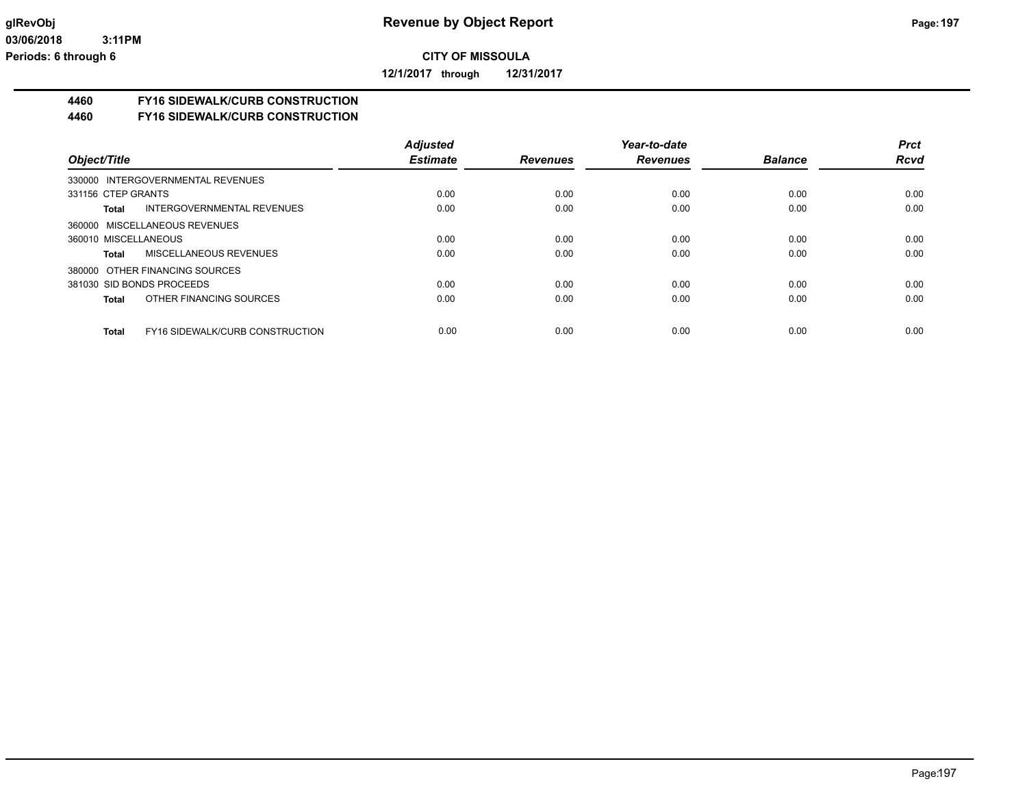**12/1/2017 through 12/31/2017**

## **4460 FY16 SIDEWALK/CURB CONSTRUCTION**

#### **4460 FY16 SIDEWALK/CURB CONSTRUCTION**

|                                                 | <b>Adjusted</b> |                 | Year-to-date    |                | <b>Prct</b> |
|-------------------------------------------------|-----------------|-----------------|-----------------|----------------|-------------|
| Object/Title                                    | <b>Estimate</b> | <b>Revenues</b> | <b>Revenues</b> | <b>Balance</b> | <b>Rcvd</b> |
| 330000 INTERGOVERNMENTAL REVENUES               |                 |                 |                 |                |             |
| 331156 CTEP GRANTS                              | 0.00            | 0.00            | 0.00            | 0.00           | 0.00        |
| INTERGOVERNMENTAL REVENUES<br>Total             | 0.00            | 0.00            | 0.00            | 0.00           | 0.00        |
| 360000 MISCELLANEOUS REVENUES                   |                 |                 |                 |                |             |
| 360010 MISCELLANEOUS                            | 0.00            | 0.00            | 0.00            | 0.00           | 0.00        |
| <b>MISCELLANEOUS REVENUES</b><br>Total          | 0.00            | 0.00            | 0.00            | 0.00           | 0.00        |
| 380000 OTHER FINANCING SOURCES                  |                 |                 |                 |                |             |
| 381030 SID BONDS PROCEEDS                       | 0.00            | 0.00            | 0.00            | 0.00           | 0.00        |
| OTHER FINANCING SOURCES<br>Total                | 0.00            | 0.00            | 0.00            | 0.00           | 0.00        |
|                                                 |                 |                 |                 |                |             |
| <b>FY16 SIDEWALK/CURB CONSTRUCTION</b><br>Total | 0.00            | 0.00            | 0.00            | 0.00           | 0.00        |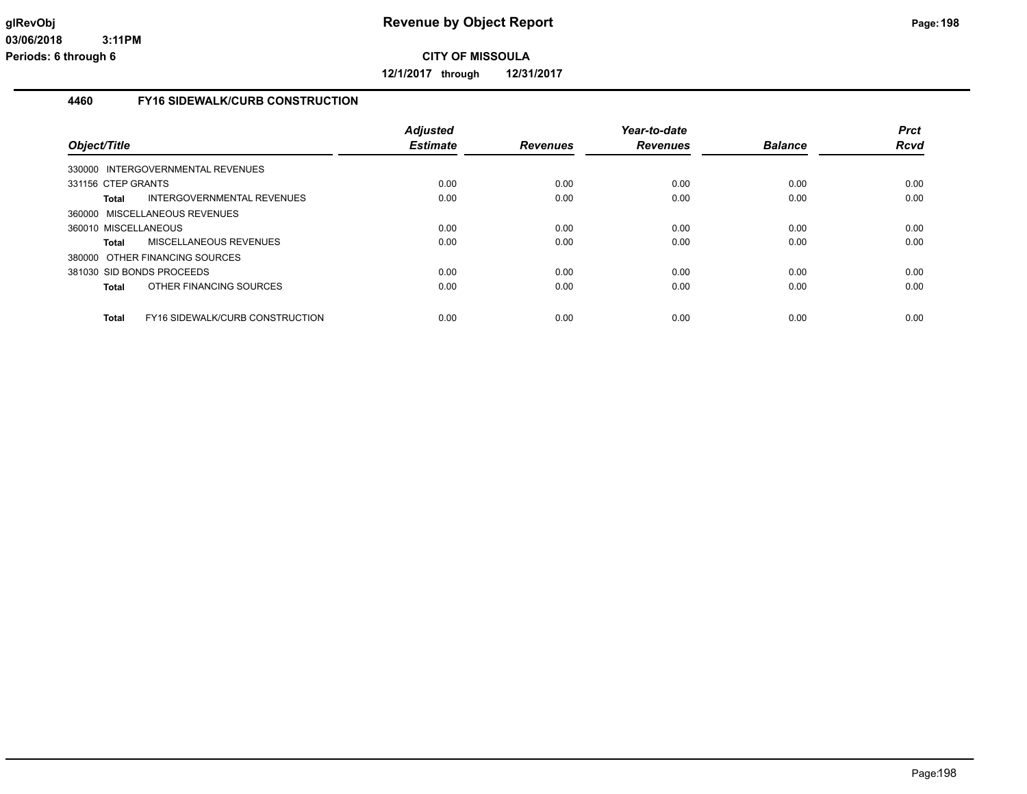**12/1/2017 through 12/31/2017**

#### **4460 FY16 SIDEWALK/CURB CONSTRUCTION**

| Object/Title                                           | <b>Adjusted</b><br><b>Estimate</b> | <b>Revenues</b> | Year-to-date<br><b>Revenues</b> | <b>Balance</b> | <b>Prct</b><br><b>Rcvd</b> |
|--------------------------------------------------------|------------------------------------|-----------------|---------------------------------|----------------|----------------------------|
| 330000 INTERGOVERNMENTAL REVENUES                      |                                    |                 |                                 |                |                            |
| 331156 CTEP GRANTS                                     | 0.00                               | 0.00            | 0.00                            | 0.00           | 0.00                       |
| INTERGOVERNMENTAL REVENUES<br>Total                    | 0.00                               | 0.00            | 0.00                            | 0.00           | 0.00                       |
| 360000 MISCELLANEOUS REVENUES                          |                                    |                 |                                 |                |                            |
| 360010 MISCELLANEOUS                                   | 0.00                               | 0.00            | 0.00                            | 0.00           | 0.00                       |
| MISCELLANEOUS REVENUES<br><b>Total</b>                 | 0.00                               | 0.00            | 0.00                            | 0.00           | 0.00                       |
| 380000 OTHER FINANCING SOURCES                         |                                    |                 |                                 |                |                            |
| 381030 SID BONDS PROCEEDS                              | 0.00                               | 0.00            | 0.00                            | 0.00           | 0.00                       |
| OTHER FINANCING SOURCES<br><b>Total</b>                | 0.00                               | 0.00            | 0.00                            | 0.00           | 0.00                       |
| <b>Total</b><br><b>FY16 SIDEWALK/CURB CONSTRUCTION</b> | 0.00                               | 0.00            | 0.00                            | 0.00           | 0.00                       |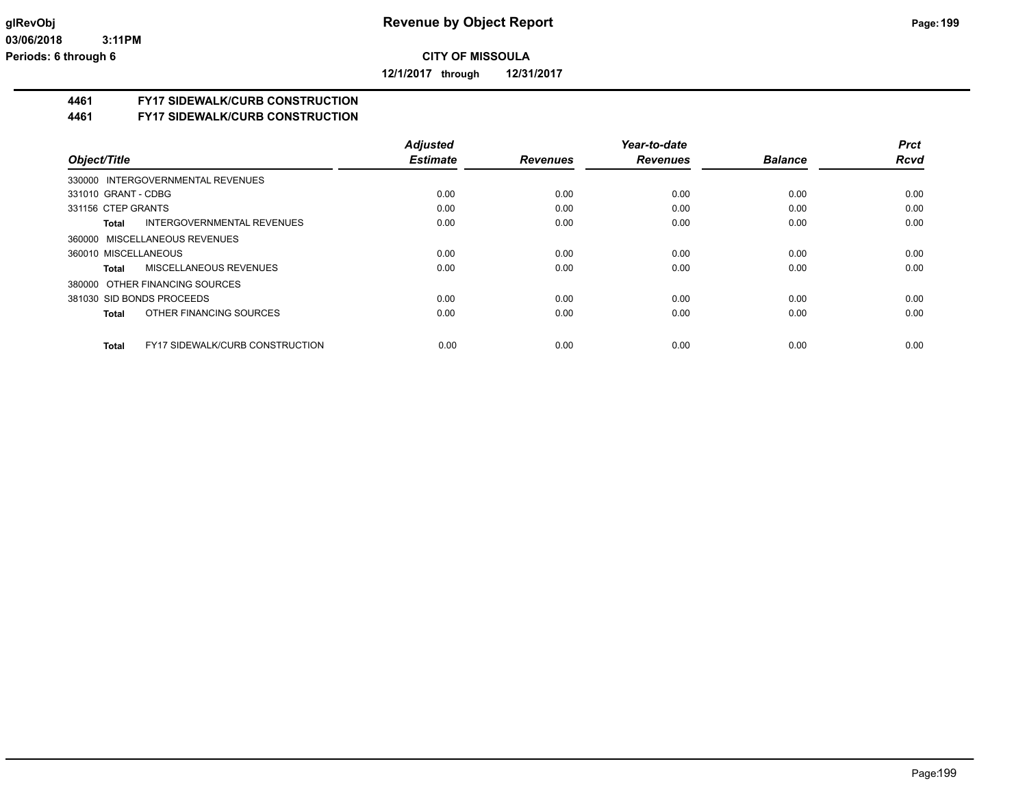**12/1/2017 through 12/31/2017**

## **4461 FY17 SIDEWALK/CURB CONSTRUCTION**

**4461 FY17 SIDEWALK/CURB CONSTRUCTION**

|                                                        | <b>Adjusted</b> |                 | Year-to-date    |                | <b>Prct</b> |
|--------------------------------------------------------|-----------------|-----------------|-----------------|----------------|-------------|
| Object/Title                                           | <b>Estimate</b> | <b>Revenues</b> | <b>Revenues</b> | <b>Balance</b> | <b>Rcvd</b> |
| 330000 INTERGOVERNMENTAL REVENUES                      |                 |                 |                 |                |             |
| 331010 GRANT - CDBG                                    | 0.00            | 0.00            | 0.00            | 0.00           | 0.00        |
| 331156 CTEP GRANTS                                     | 0.00            | 0.00            | 0.00            | 0.00           | 0.00        |
| INTERGOVERNMENTAL REVENUES<br>Total                    | 0.00            | 0.00            | 0.00            | 0.00           | 0.00        |
| 360000 MISCELLANEOUS REVENUES                          |                 |                 |                 |                |             |
| 360010 MISCELLANEOUS                                   | 0.00            | 0.00            | 0.00            | 0.00           | 0.00        |
| MISCELLANEOUS REVENUES<br>Total                        | 0.00            | 0.00            | 0.00            | 0.00           | 0.00        |
| 380000 OTHER FINANCING SOURCES                         |                 |                 |                 |                |             |
| 381030 SID BONDS PROCEEDS                              | 0.00            | 0.00            | 0.00            | 0.00           | 0.00        |
| OTHER FINANCING SOURCES<br><b>Total</b>                | 0.00            | 0.00            | 0.00            | 0.00           | 0.00        |
| <b>FY17 SIDEWALK/CURB CONSTRUCTION</b><br><b>Total</b> | 0.00            | 0.00            | 0.00            | 0.00           | 0.00        |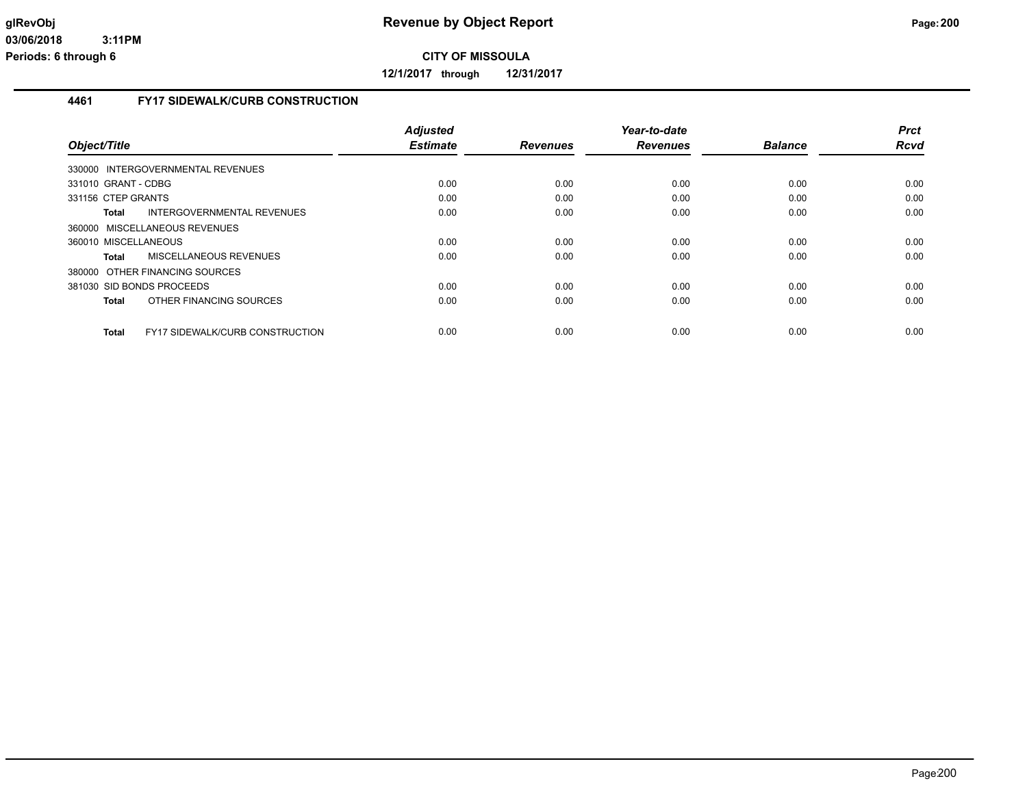**12/1/2017 through 12/31/2017**

#### **4461 FY17 SIDEWALK/CURB CONSTRUCTION**

|                                                        | <b>Adjusted</b> |                 | Year-to-date    |                | <b>Prct</b> |
|--------------------------------------------------------|-----------------|-----------------|-----------------|----------------|-------------|
| Object/Title                                           | <b>Estimate</b> | <b>Revenues</b> | <b>Revenues</b> | <b>Balance</b> | <b>Rcvd</b> |
| 330000 INTERGOVERNMENTAL REVENUES                      |                 |                 |                 |                |             |
| 331010 GRANT - CDBG                                    | 0.00            | 0.00            | 0.00            | 0.00           | 0.00        |
| 331156 CTEP GRANTS                                     | 0.00            | 0.00            | 0.00            | 0.00           | 0.00        |
| INTERGOVERNMENTAL REVENUES<br>Total                    | 0.00            | 0.00            | 0.00            | 0.00           | 0.00        |
| 360000 MISCELLANEOUS REVENUES                          |                 |                 |                 |                |             |
| 360010 MISCELLANEOUS                                   | 0.00            | 0.00            | 0.00            | 0.00           | 0.00        |
| MISCELLANEOUS REVENUES<br>Total                        | 0.00            | 0.00            | 0.00            | 0.00           | 0.00        |
| 380000 OTHER FINANCING SOURCES                         |                 |                 |                 |                |             |
| 381030 SID BONDS PROCEEDS                              | 0.00            | 0.00            | 0.00            | 0.00           | 0.00        |
| OTHER FINANCING SOURCES<br>Total                       | 0.00            | 0.00            | 0.00            | 0.00           | 0.00        |
|                                                        |                 |                 |                 |                |             |
| <b>FY17 SIDEWALK/CURB CONSTRUCTION</b><br><b>Total</b> | 0.00            | 0.00            | 0.00            | 0.00           | 0.00        |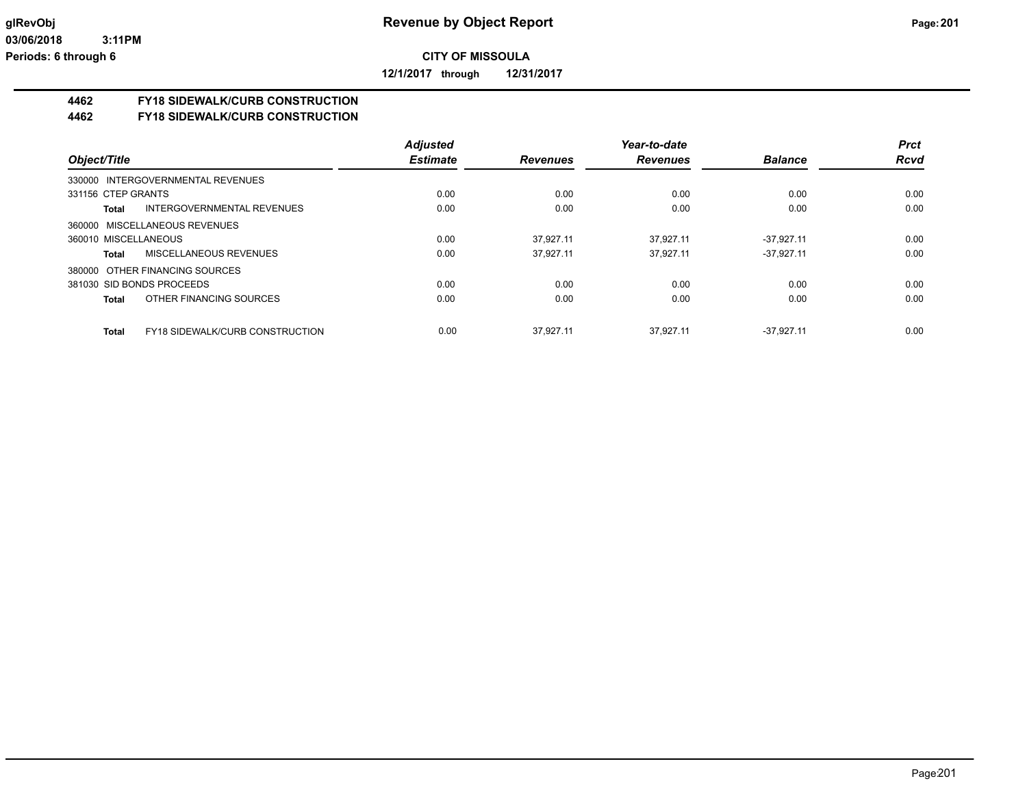**12/1/2017 through 12/31/2017**

## **4462 FY18 SIDEWALK/CURB CONSTRUCTION**

#### **4462 FY18 SIDEWALK/CURB CONSTRUCTION**

|                                                        | <b>Adjusted</b> |                 | Year-to-date    |                | <b>Prct</b> |
|--------------------------------------------------------|-----------------|-----------------|-----------------|----------------|-------------|
| Object/Title                                           | <b>Estimate</b> | <b>Revenues</b> | <b>Revenues</b> | <b>Balance</b> | <b>Rcvd</b> |
| 330000 INTERGOVERNMENTAL REVENUES                      |                 |                 |                 |                |             |
| 331156 CTEP GRANTS                                     | 0.00            | 0.00            | 0.00            | 0.00           | 0.00        |
| INTERGOVERNMENTAL REVENUES<br>Total                    | 0.00            | 0.00            | 0.00            | 0.00           | 0.00        |
| 360000 MISCELLANEOUS REVENUES                          |                 |                 |                 |                |             |
| 360010 MISCELLANEOUS                                   | 0.00            | 37.927.11       | 37.927.11       | $-37.927.11$   | 0.00        |
| MISCELLANEOUS REVENUES<br>Total                        | 0.00            | 37.927.11       | 37.927.11       | $-37,927.11$   | 0.00        |
| 380000 OTHER FINANCING SOURCES                         |                 |                 |                 |                |             |
| 381030 SID BONDS PROCEEDS                              | 0.00            | 0.00            | 0.00            | 0.00           | 0.00        |
| OTHER FINANCING SOURCES<br>Total                       | 0.00            | 0.00            | 0.00            | 0.00           | 0.00        |
| <b>FY18 SIDEWALK/CURB CONSTRUCTION</b><br><b>Total</b> | 0.00            | 37.927.11       | 37.927.11       | $-37.927.11$   | 0.00        |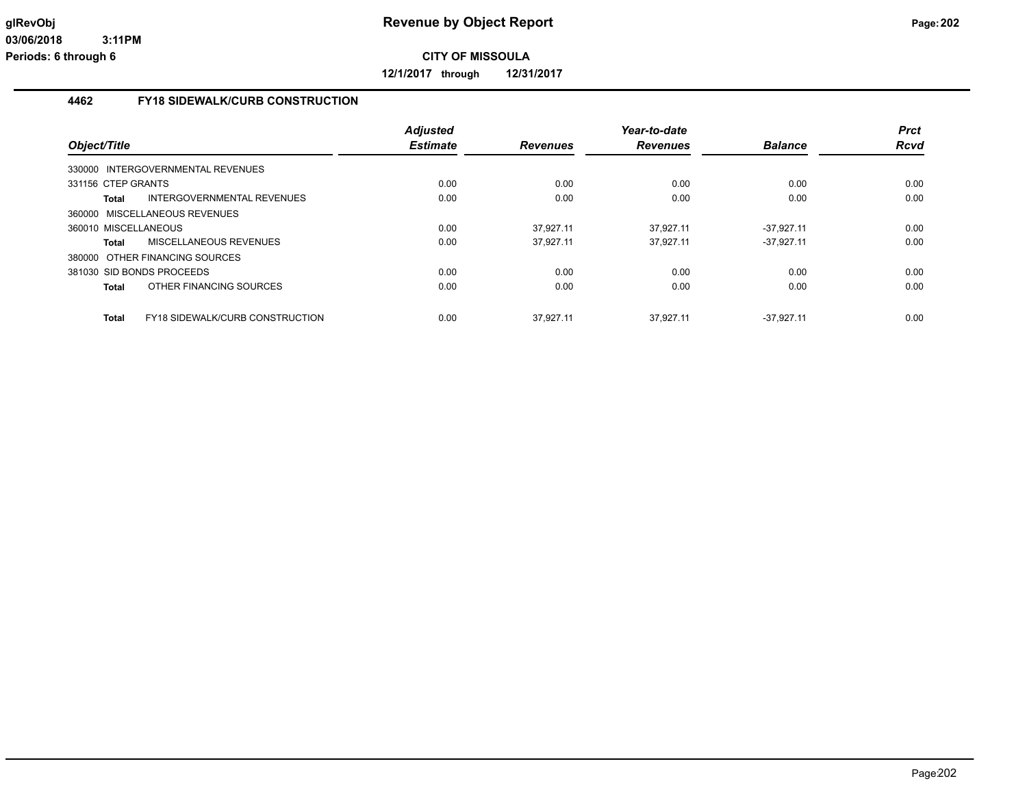**12/1/2017 through 12/31/2017**

#### **4462 FY18 SIDEWALK/CURB CONSTRUCTION**

| Object/Title         |                                        | <b>Adjusted</b><br><b>Estimate</b> | <b>Revenues</b> | Year-to-date<br><b>Revenues</b> | <b>Balance</b> | <b>Prct</b><br>Rcvd |
|----------------------|----------------------------------------|------------------------------------|-----------------|---------------------------------|----------------|---------------------|
|                      | 330000 INTERGOVERNMENTAL REVENUES      |                                    |                 |                                 |                |                     |
| 331156 CTEP GRANTS   |                                        | 0.00                               | 0.00            | 0.00                            | 0.00           | 0.00                |
| Total                | INTERGOVERNMENTAL REVENUES             | 0.00                               | 0.00            | 0.00                            | 0.00           | 0.00                |
|                      | 360000 MISCELLANEOUS REVENUES          |                                    |                 |                                 |                |                     |
| 360010 MISCELLANEOUS |                                        | 0.00                               | 37.927.11       | 37.927.11                       | $-37.927.11$   | 0.00                |
| Total                | <b>MISCELLANEOUS REVENUES</b>          | 0.00                               | 37.927.11       | 37.927.11                       | $-37.927.11$   | 0.00                |
|                      | 380000 OTHER FINANCING SOURCES         |                                    |                 |                                 |                |                     |
|                      | 381030 SID BONDS PROCEEDS              | 0.00                               | 0.00            | 0.00                            | 0.00           | 0.00                |
| Total                | OTHER FINANCING SOURCES                | 0.00                               | 0.00            | 0.00                            | 0.00           | 0.00                |
| <b>Total</b>         | <b>FY18 SIDEWALK/CURB CONSTRUCTION</b> | 0.00                               | 37.927.11       | 37.927.11                       | $-37.927.11$   | 0.00                |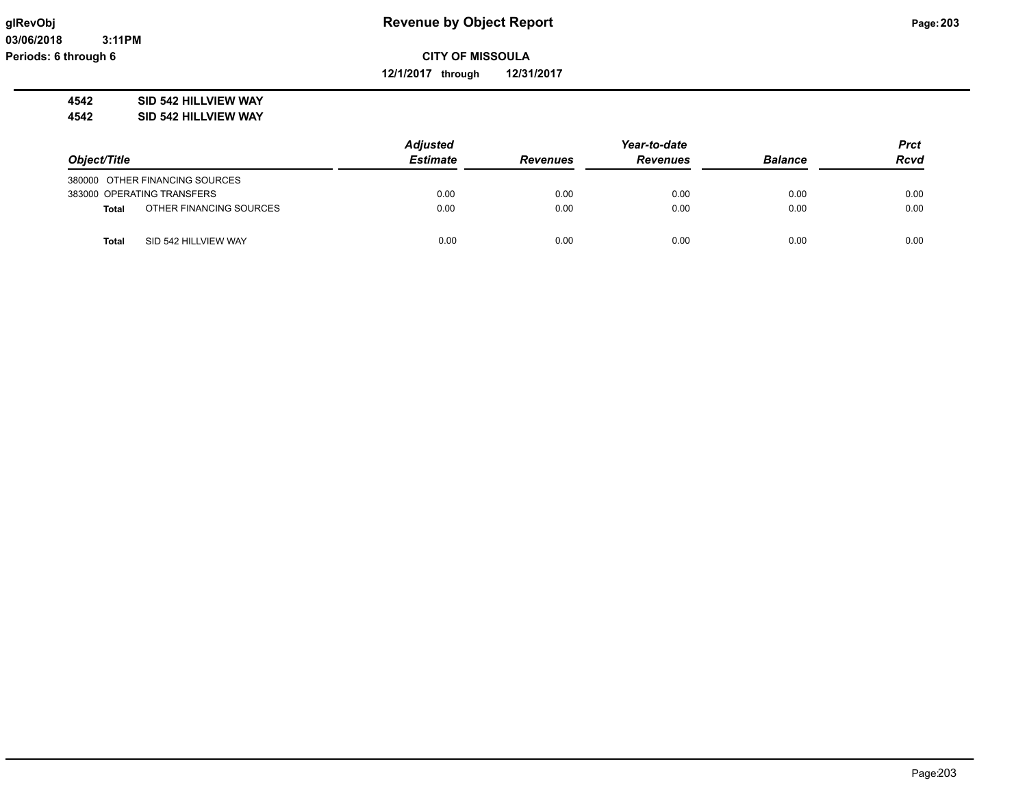**12/1/2017 through 12/31/2017**

### **4542 SID 542 HILLVIEW WAY**

**4542 SID 542 HILLVIEW WAY**

|              |                                | <b>Adjusted</b> |                 | Year-to-date    | <b>Prct</b>    |             |
|--------------|--------------------------------|-----------------|-----------------|-----------------|----------------|-------------|
| Object/Title |                                | <b>Estimate</b> | <b>Revenues</b> | <b>Revenues</b> | <b>Balance</b> | <b>Rcvd</b> |
|              | 380000 OTHER FINANCING SOURCES |                 |                 |                 |                |             |
|              | 383000 OPERATING TRANSFERS     | 0.00            | 0.00            | 0.00            | 0.00           | 0.00        |
| <b>Total</b> | OTHER FINANCING SOURCES        | 0.00            | 0.00            | 0.00            | 0.00           | 0.00        |
| Total        | SID 542 HILLVIEW WAY           | 0.00            | 0.00            | 0.00            | 0.00           | 0.00        |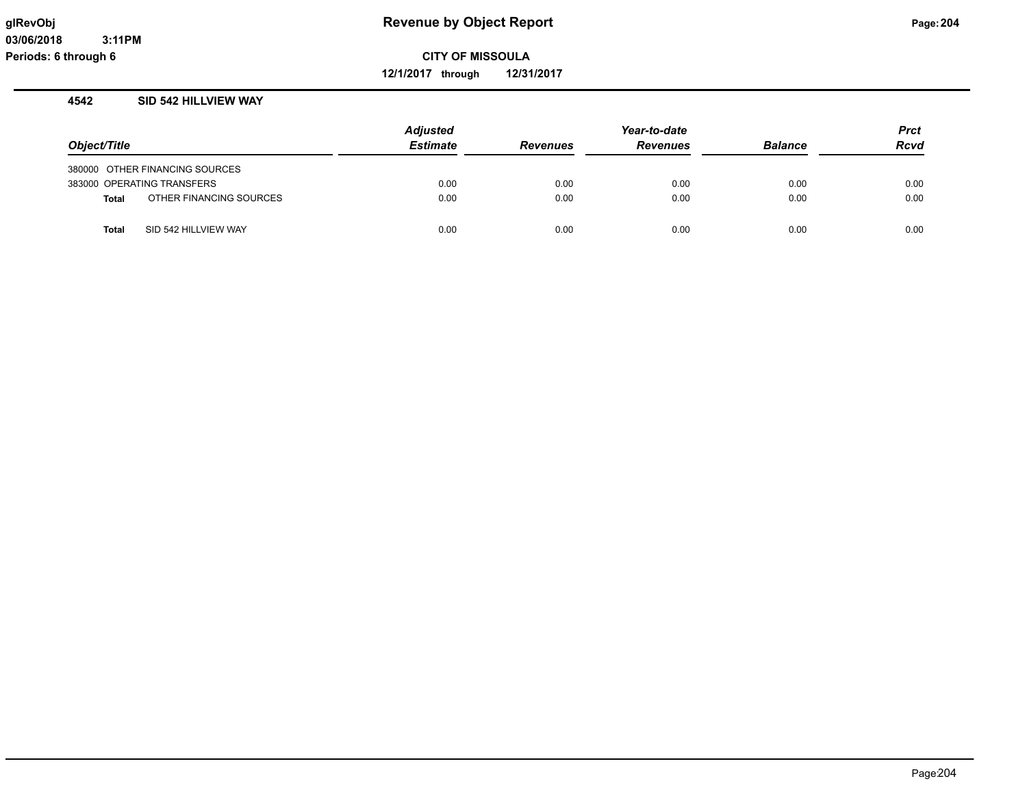**12/1/2017 through 12/31/2017**

#### **4542 SID 542 HILLVIEW WAY**

|              |                                | <b>Adjusted</b> |                 | <b>Prct</b>     |                |             |
|--------------|--------------------------------|-----------------|-----------------|-----------------|----------------|-------------|
| Object/Title |                                | <b>Estimate</b> | <b>Revenues</b> | <b>Revenues</b> | <b>Balance</b> | <b>Rcvd</b> |
|              | 380000 OTHER FINANCING SOURCES |                 |                 |                 |                |             |
|              | 383000 OPERATING TRANSFERS     | 0.00            | 0.00            | 0.00            | 0.00           | 0.00        |
| <b>Total</b> | OTHER FINANCING SOURCES        | 0.00            | 0.00            | 0.00            | 0.00           | 0.00        |
| <b>Total</b> | SID 542 HILLVIEW WAY           | 0.00            | 0.00            | 0.00            | 0.00           | 0.00        |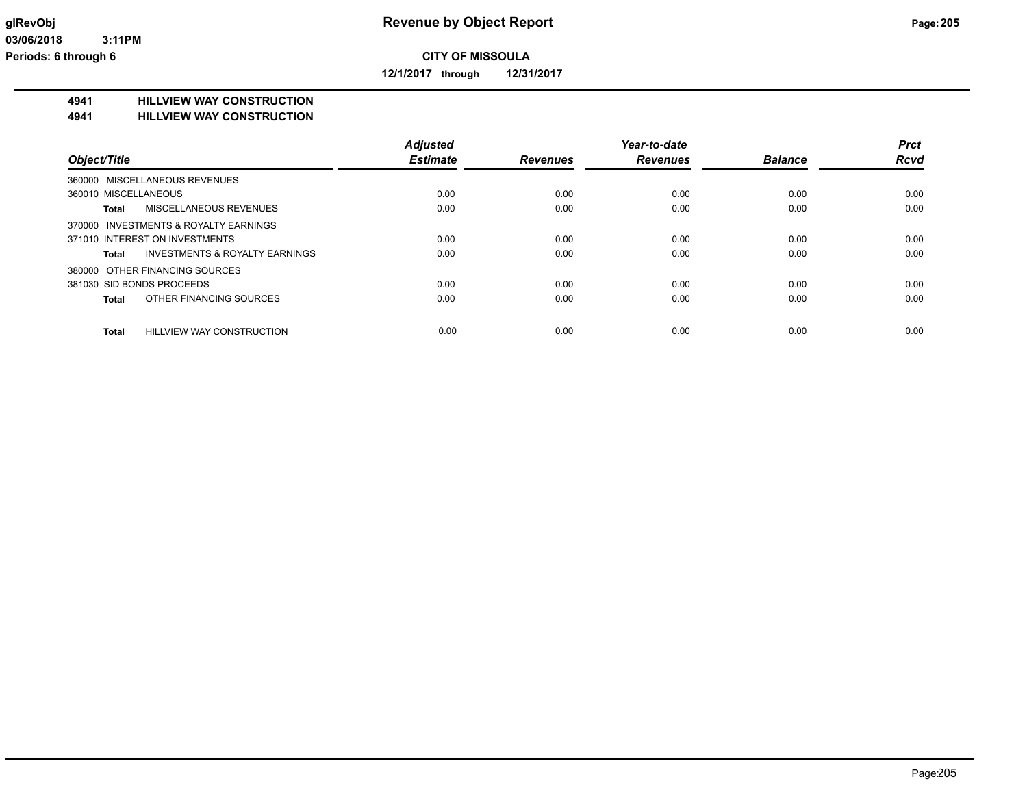**12/1/2017 through 12/31/2017**

#### **4941 HILLVIEW WAY CONSTRUCTION**

#### **4941 HILLVIEW WAY CONSTRUCTION**

|                                               | <b>Adjusted</b> |                 | Year-to-date    |                | <b>Prct</b> |
|-----------------------------------------------|-----------------|-----------------|-----------------|----------------|-------------|
| Object/Title                                  | <b>Estimate</b> | <b>Revenues</b> | <b>Revenues</b> | <b>Balance</b> | <b>Rcvd</b> |
| 360000 MISCELLANEOUS REVENUES                 |                 |                 |                 |                |             |
| 360010 MISCELLANEOUS                          | 0.00            | 0.00            | 0.00            | 0.00           | 0.00        |
| <b>MISCELLANEOUS REVENUES</b><br><b>Total</b> | 0.00            | 0.00            | 0.00            | 0.00           | 0.00        |
| 370000 INVESTMENTS & ROYALTY EARNINGS         |                 |                 |                 |                |             |
| 371010 INTEREST ON INVESTMENTS                | 0.00            | 0.00            | 0.00            | 0.00           | 0.00        |
| INVESTMENTS & ROYALTY EARNINGS<br>Total       | 0.00            | 0.00            | 0.00            | 0.00           | 0.00        |
| 380000 OTHER FINANCING SOURCES                |                 |                 |                 |                |             |
| 381030 SID BONDS PROCEEDS                     | 0.00            | 0.00            | 0.00            | 0.00           | 0.00        |
| OTHER FINANCING SOURCES<br>Total              | 0.00            | 0.00            | 0.00            | 0.00           | 0.00        |
| HILLVIEW WAY CONSTRUCTION<br><b>Total</b>     | 0.00            | 0.00            | 0.00            | 0.00           | 0.00        |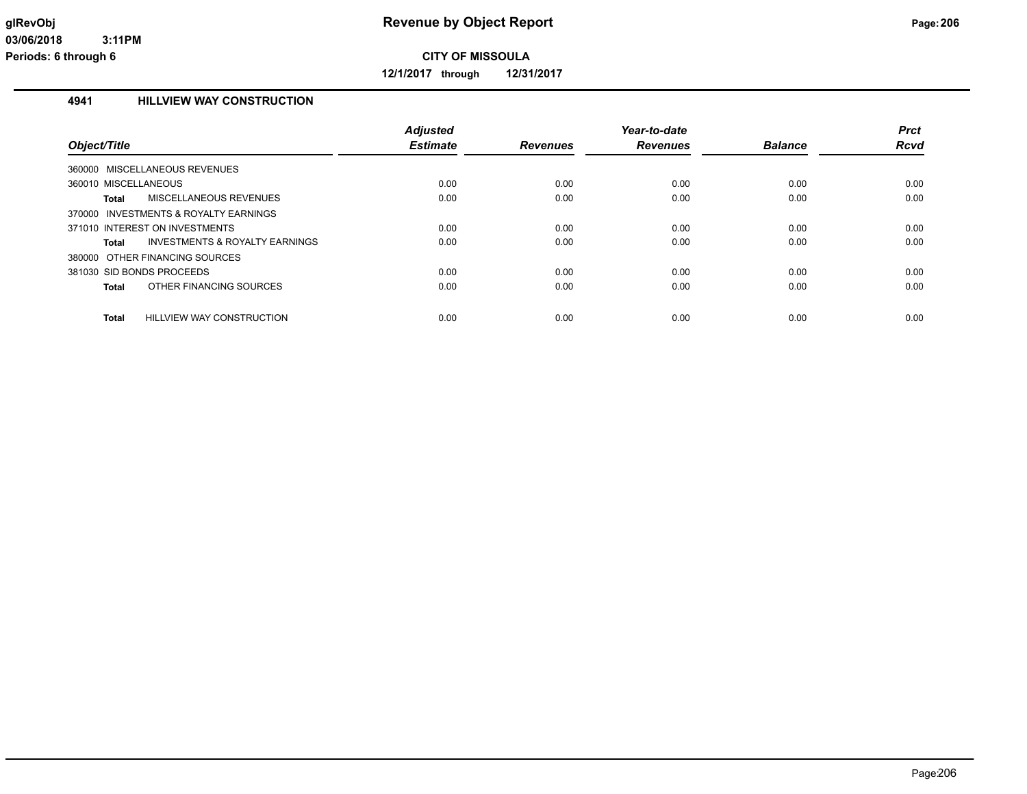**12/1/2017 through 12/31/2017**

#### **4941 HILLVIEW WAY CONSTRUCTION**

| Object/Title              |                                       | <b>Adjusted</b><br><b>Estimate</b> | <b>Revenues</b> | Year-to-date<br><b>Revenues</b> | <b>Balance</b> | <b>Prct</b><br>Rcvd |
|---------------------------|---------------------------------------|------------------------------------|-----------------|---------------------------------|----------------|---------------------|
|                           | 360000 MISCELLANEOUS REVENUES         |                                    |                 |                                 |                |                     |
| 360010 MISCELLANEOUS      |                                       | 0.00                               | 0.00            | 0.00                            | 0.00           | 0.00                |
| Total                     | MISCELLANEOUS REVENUES                | 0.00                               | 0.00            | 0.00                            | 0.00           | 0.00                |
|                           | 370000 INVESTMENTS & ROYALTY EARNINGS |                                    |                 |                                 |                |                     |
|                           | 371010 INTEREST ON INVESTMENTS        | 0.00                               | 0.00            | 0.00                            | 0.00           | 0.00                |
| <b>Total</b>              | INVESTMENTS & ROYALTY EARNINGS        | 0.00                               | 0.00            | 0.00                            | 0.00           | 0.00                |
|                           | 380000 OTHER FINANCING SOURCES        |                                    |                 |                                 |                |                     |
| 381030 SID BONDS PROCEEDS |                                       | 0.00                               | 0.00            | 0.00                            | 0.00           | 0.00                |
| Total                     | OTHER FINANCING SOURCES               | 0.00                               | 0.00            | 0.00                            | 0.00           | 0.00                |
| <b>Total</b>              | HILLVIEW WAY CONSTRUCTION             | 0.00                               | 0.00            | 0.00                            | 0.00           | 0.00                |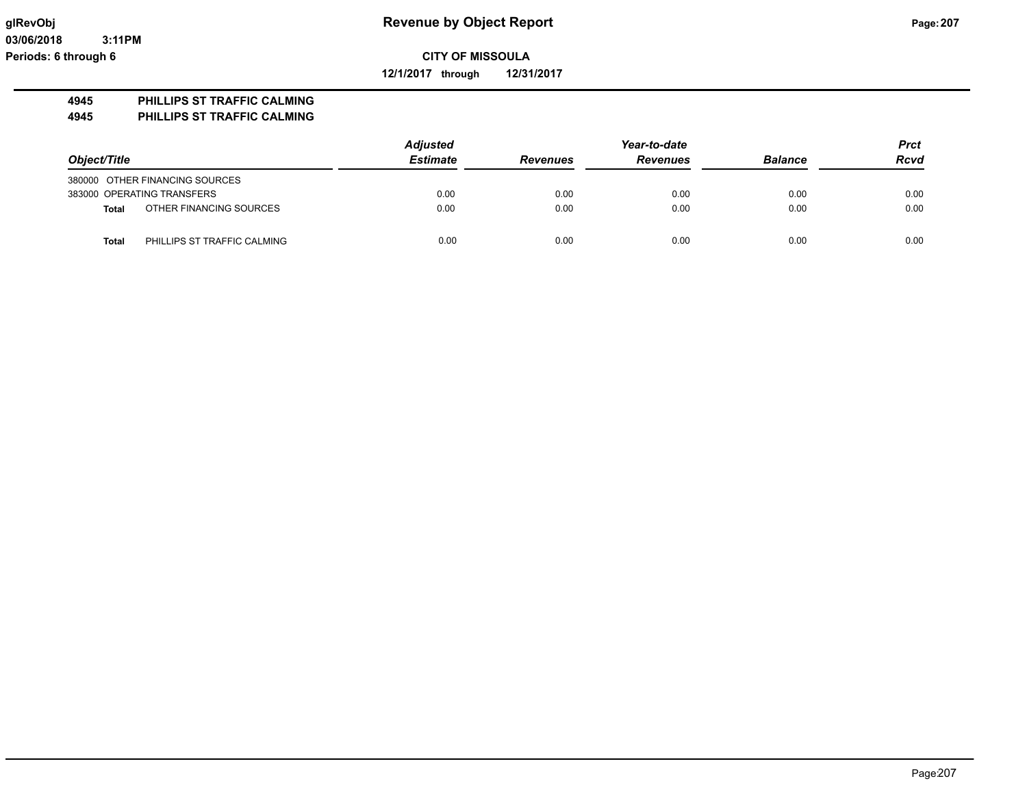**12/1/2017 through 12/31/2017**

### **4945 PHILLIPS ST TRAFFIC CALMING**

**4945 PHILLIPS ST TRAFFIC CALMING**

|                                |                             | <b>Adjusted</b> |                 | Year-to-date    |                |             |  |
|--------------------------------|-----------------------------|-----------------|-----------------|-----------------|----------------|-------------|--|
| Object/Title                   |                             | <b>Estimate</b> | <b>Revenues</b> | <b>Revenues</b> | <b>Balance</b> | <b>Rcvd</b> |  |
| 380000 OTHER FINANCING SOURCES |                             |                 |                 |                 |                |             |  |
| 383000 OPERATING TRANSFERS     |                             | 0.00            | 0.00            | 0.00            | 0.00           | 0.00        |  |
| <b>Total</b>                   | OTHER FINANCING SOURCES     | 0.00            | 0.00            | 0.00            | 0.00           | 0.00        |  |
| Total                          | PHILLIPS ST TRAFFIC CALMING | 0.00            | 0.00            | 0.00            | 0.00           | 0.00        |  |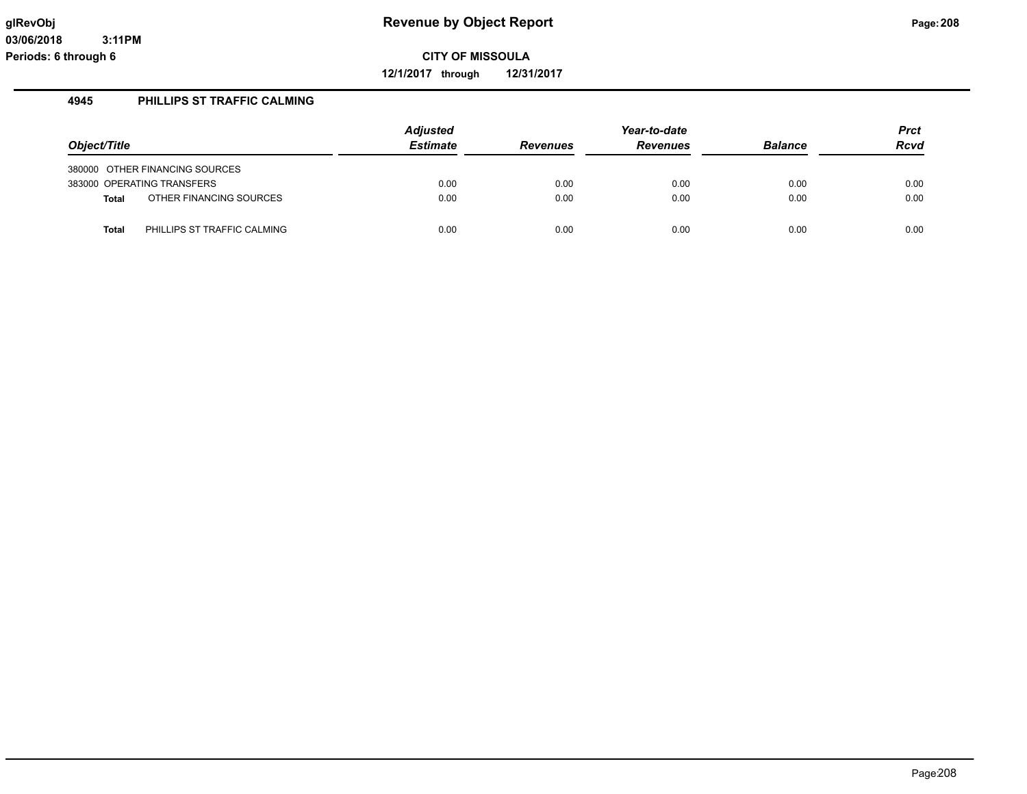**12/1/2017 through 12/31/2017**

#### **4945 PHILLIPS ST TRAFFIC CALMING**

| Object/Title |                                | <b>Adjusted</b><br><b>Estimate</b> | <b>Revenues</b> | Year-to-date<br><b>Revenues</b> | <b>Balance</b> | <b>Prct</b><br><b>Rcvd</b> |
|--------------|--------------------------------|------------------------------------|-----------------|---------------------------------|----------------|----------------------------|
|              |                                |                                    |                 |                                 |                |                            |
|              | 380000 OTHER FINANCING SOURCES |                                    |                 |                                 |                |                            |
|              | 383000 OPERATING TRANSFERS     | 0.00                               | 0.00            | 0.00                            | 0.00           | 0.00                       |
| <b>Total</b> | OTHER FINANCING SOURCES        | 0.00                               | 0.00            | 0.00                            | 0.00           | 0.00                       |
|              |                                |                                    |                 |                                 |                |                            |
| <b>Total</b> | PHILLIPS ST TRAFFIC CALMING    | 0.00                               | 0.00            | 0.00                            | 0.00           | 0.00                       |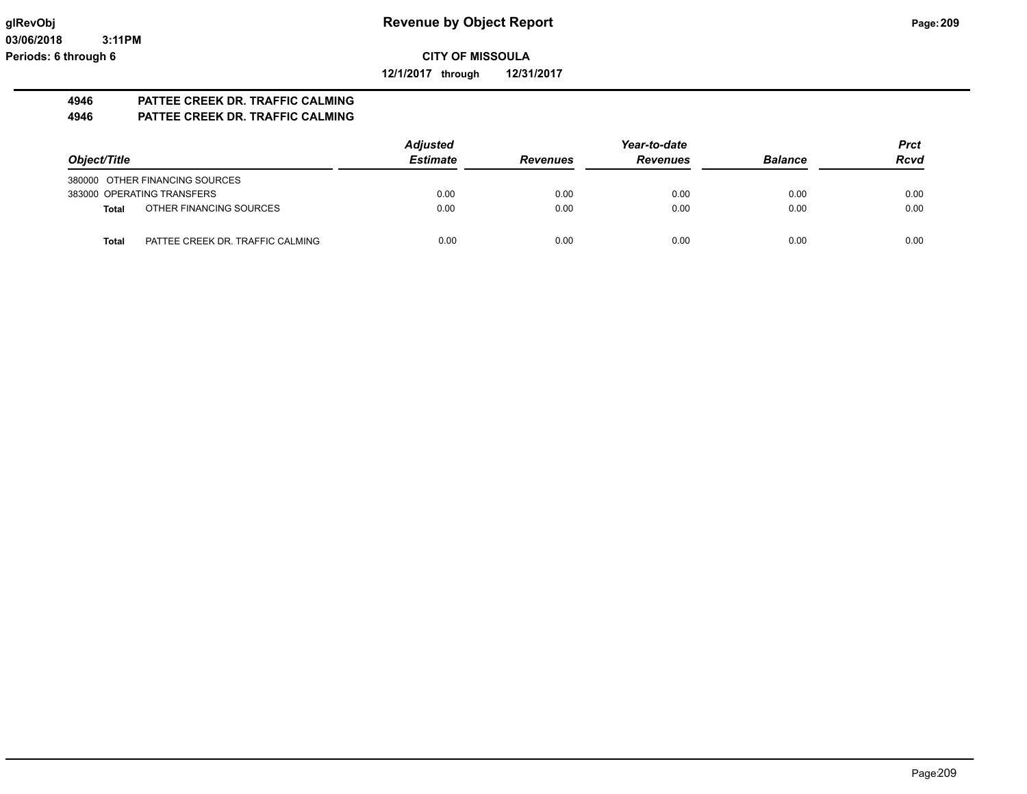**12/1/2017 through 12/31/2017**

#### **4946 PATTEE CREEK DR. TRAFFIC CALMING 4946 PATTEE CREEK DR. TRAFFIC CALMING**

|                                                  | <b>Adjusted</b><br>Year-to-date |                 |                 |                | <b>Prct</b> |
|--------------------------------------------------|---------------------------------|-----------------|-----------------|----------------|-------------|
| Object/Title                                     | <b>Estimate</b>                 | <b>Revenues</b> | <b>Revenues</b> | <b>Balance</b> | <b>Rcvd</b> |
| 380000 OTHER FINANCING SOURCES                   |                                 |                 |                 |                |             |
| 383000 OPERATING TRANSFERS                       | 0.00                            | 0.00            | 0.00            | 0.00           | 0.00        |
| OTHER FINANCING SOURCES<br>Total                 | 0.00                            | 0.00            | 0.00            | 0.00           | 0.00        |
| PATTEE CREEK DR. TRAFFIC CALMING<br><b>Total</b> | 0.00                            | 0.00            | 0.00            | 0.00           | 0.00        |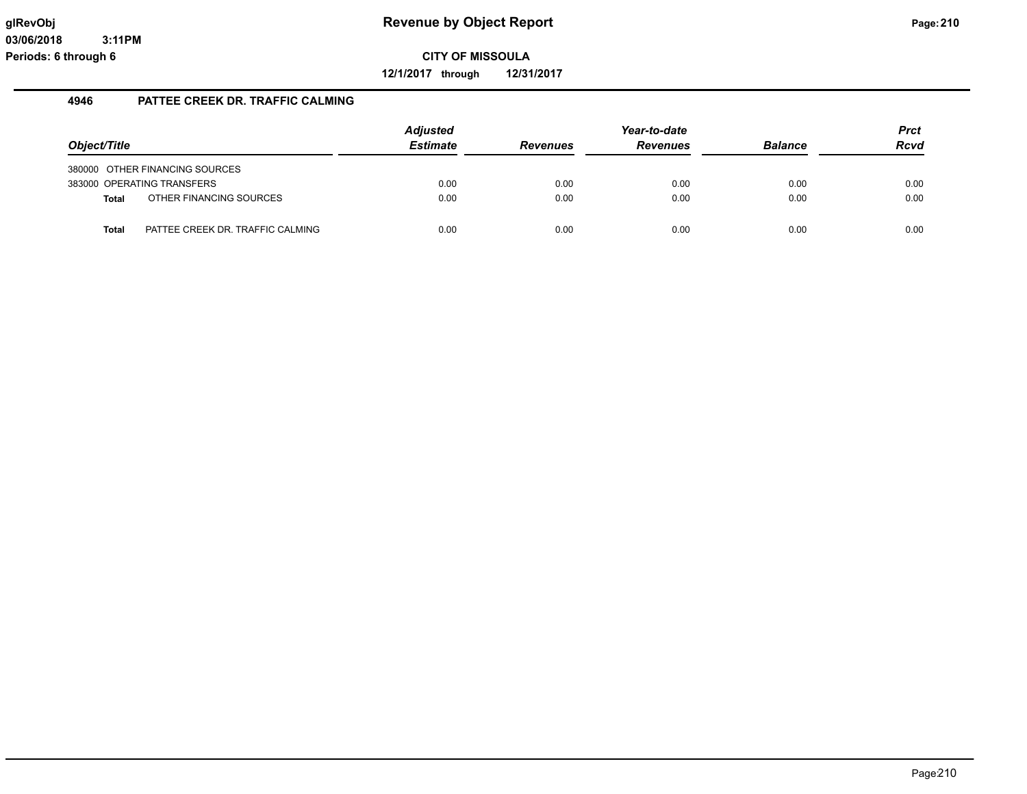**12/1/2017 through 12/31/2017**

### **4946 PATTEE CREEK DR. TRAFFIC CALMING**

| Object/Title |                                                              | <b>Adjusted</b><br><b>Estimate</b> | <b>Revenues</b> | Year-to-date<br><b>Revenues</b> | <b>Balance</b> | <b>Prct</b><br><b>Rcvd</b> |
|--------------|--------------------------------------------------------------|------------------------------------|-----------------|---------------------------------|----------------|----------------------------|
|              | 380000 OTHER FINANCING SOURCES<br>383000 OPERATING TRANSFERS | 0.00                               | 0.00            | 0.00                            | 0.00           | 0.00                       |
| Total        | OTHER FINANCING SOURCES                                      | 0.00                               | 0.00            | 0.00                            | 0.00           | 0.00                       |
| <b>Total</b> | PATTEE CREEK DR. TRAFFIC CALMING                             | 0.00                               | 0.00            | 0.00                            | 0.00           | 0.00                       |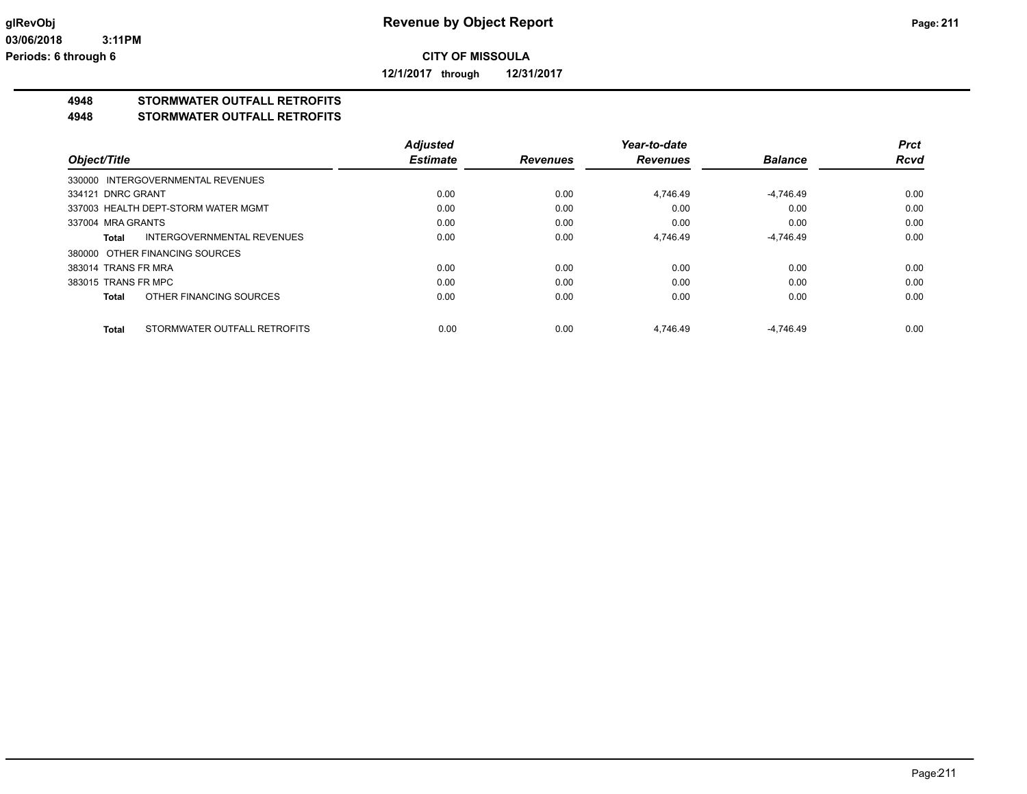**12/1/2017 through 12/31/2017**

## **4948 STORMWATER OUTFALL RETROFITS**

#### **4948 STORMWATER OUTFALL RETROFITS**

|                     |                                     | <b>Adjusted</b> |                 | Year-to-date    |                | <b>Prct</b> |
|---------------------|-------------------------------------|-----------------|-----------------|-----------------|----------------|-------------|
| Object/Title        |                                     | <b>Estimate</b> | <b>Revenues</b> | <b>Revenues</b> | <b>Balance</b> | <b>Rcvd</b> |
|                     | 330000 INTERGOVERNMENTAL REVENUES   |                 |                 |                 |                |             |
| 334121 DNRC GRANT   |                                     | 0.00            | 0.00            | 4.746.49        | $-4,746.49$    | 0.00        |
|                     | 337003 HEALTH DEPT-STORM WATER MGMT | 0.00            | 0.00            | 0.00            | 0.00           | 0.00        |
| 337004 MRA GRANTS   |                                     | 0.00            | 0.00            | 0.00            | 0.00           | 0.00        |
| Total               | INTERGOVERNMENTAL REVENUES          | 0.00            | 0.00            | 4,746.49        | $-4,746.49$    | 0.00        |
|                     | 380000 OTHER FINANCING SOURCES      |                 |                 |                 |                |             |
| 383014 TRANS FR MRA |                                     | 0.00            | 0.00            | 0.00            | 0.00           | 0.00        |
| 383015 TRANS FR MPC |                                     | 0.00            | 0.00            | 0.00            | 0.00           | 0.00        |
| <b>Total</b>        | OTHER FINANCING SOURCES             | 0.00            | 0.00            | 0.00            | 0.00           | 0.00        |
| <b>Total</b>        | STORMWATER OUTFALL RETROFITS        | 0.00            | 0.00            | 4.746.49        | $-4.746.49$    | 0.00        |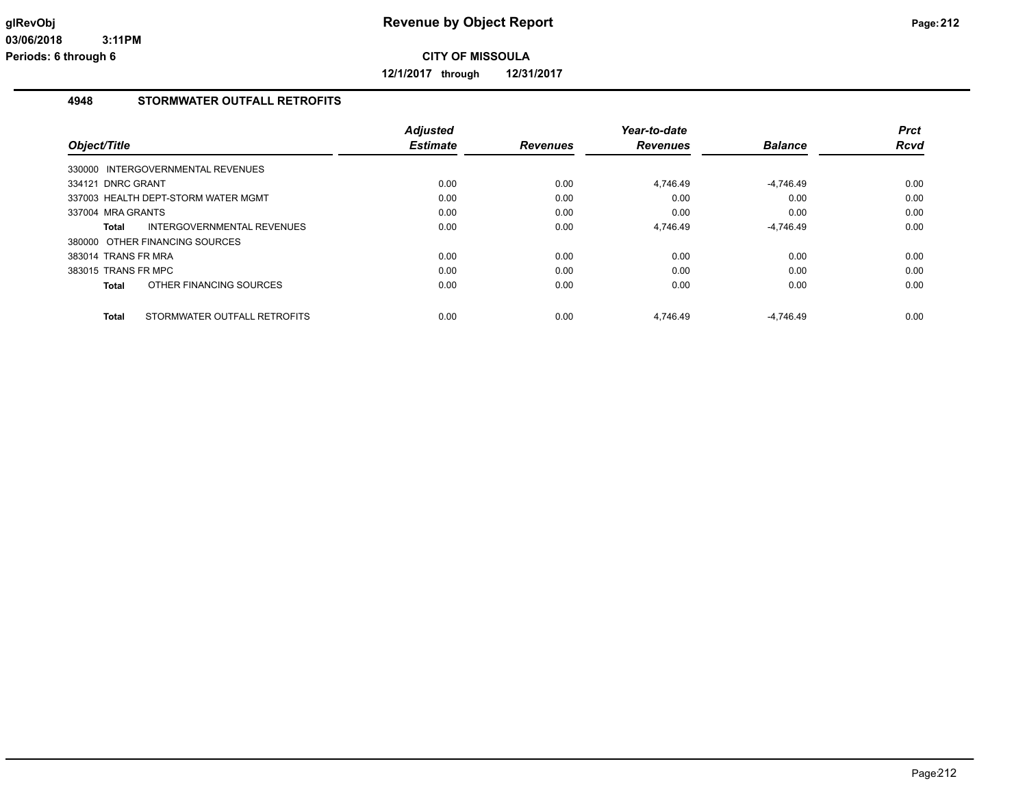**12/1/2017 through 12/31/2017**

### **4948 STORMWATER OUTFALL RETROFITS**

| Object/Title        |                                     | <b>Adjusted</b><br><b>Estimate</b> | <b>Revenues</b> | Year-to-date<br><b>Revenues</b> | <b>Balance</b> | <b>Prct</b><br>Rcvd |
|---------------------|-------------------------------------|------------------------------------|-----------------|---------------------------------|----------------|---------------------|
|                     | 330000 INTERGOVERNMENTAL REVENUES   |                                    |                 |                                 |                |                     |
| 334121 DNRC GRANT   |                                     | 0.00                               | 0.00            | 4.746.49                        | $-4.746.49$    | 0.00                |
|                     | 337003 HEALTH DEPT-STORM WATER MGMT | 0.00                               | 0.00            | 0.00                            | 0.00           | 0.00                |
| 337004 MRA GRANTS   |                                     | 0.00                               | 0.00            | 0.00                            | 0.00           | 0.00                |
| Total               | INTERGOVERNMENTAL REVENUES          | 0.00                               | 0.00            | 4,746.49                        | $-4,746.49$    | 0.00                |
|                     | 380000 OTHER FINANCING SOURCES      |                                    |                 |                                 |                |                     |
| 383014 TRANS FR MRA |                                     | 0.00                               | 0.00            | 0.00                            | 0.00           | 0.00                |
| 383015 TRANS FR MPC |                                     | 0.00                               | 0.00            | 0.00                            | 0.00           | 0.00                |
| Total               | OTHER FINANCING SOURCES             | 0.00                               | 0.00            | 0.00                            | 0.00           | 0.00                |
| Total               | STORMWATER OUTFALL RETROFITS        | 0.00                               | 0.00            | 4.746.49                        | $-4.746.49$    | 0.00                |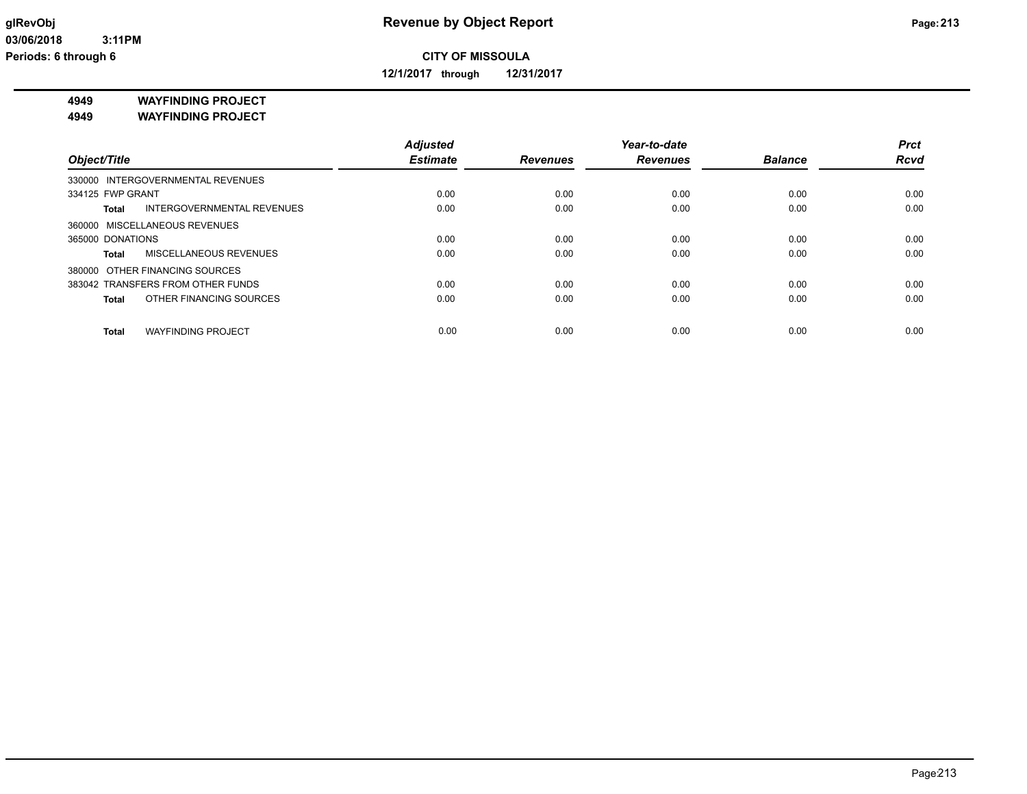**12/1/2017 through 12/31/2017**

**4949 WAYFINDING PROJECT**

**4949 WAYFINDING PROJECT**

|                                               | <b>Adjusted</b> |                 | Year-to-date    |                | <b>Prct</b> |
|-----------------------------------------------|-----------------|-----------------|-----------------|----------------|-------------|
| Object/Title                                  | <b>Estimate</b> | <b>Revenues</b> | <b>Revenues</b> | <b>Balance</b> | <b>Rcvd</b> |
| 330000 INTERGOVERNMENTAL REVENUES             |                 |                 |                 |                |             |
| 334125 FWP GRANT                              | 0.00            | 0.00            | 0.00            | 0.00           | 0.00        |
| <b>INTERGOVERNMENTAL REVENUES</b><br>Total    | 0.00            | 0.00            | 0.00            | 0.00           | 0.00        |
| 360000 MISCELLANEOUS REVENUES                 |                 |                 |                 |                |             |
| 365000 DONATIONS                              | 0.00            | 0.00            | 0.00            | 0.00           | 0.00        |
| <b>MISCELLANEOUS REVENUES</b><br><b>Total</b> | 0.00            | 0.00            | 0.00            | 0.00           | 0.00        |
| 380000 OTHER FINANCING SOURCES                |                 |                 |                 |                |             |
| 383042 TRANSFERS FROM OTHER FUNDS             | 0.00            | 0.00            | 0.00            | 0.00           | 0.00        |
| OTHER FINANCING SOURCES<br>Total              | 0.00            | 0.00            | 0.00            | 0.00           | 0.00        |
| <b>WAYFINDING PROJECT</b><br>Total            | 0.00            | 0.00            | 0.00            | 0.00           | 0.00        |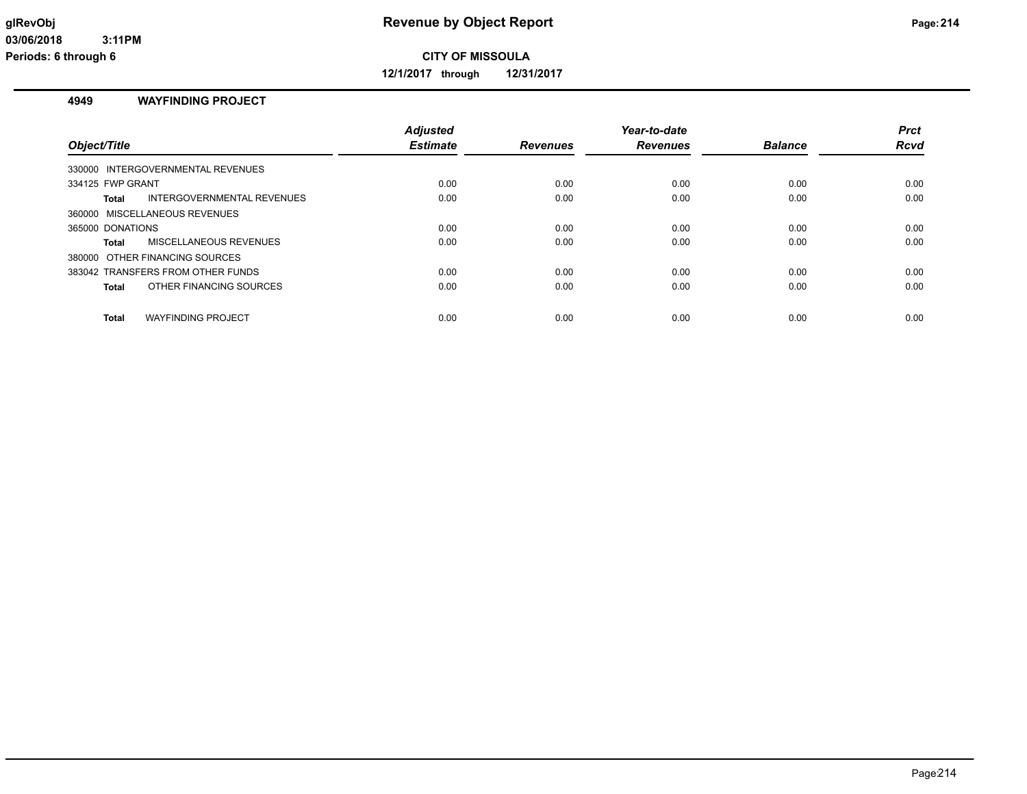**12/1/2017 through 12/31/2017**

#### **4949 WAYFINDING PROJECT**

| Object/Title                              | <b>Adjusted</b><br><b>Estimate</b> | <b>Revenues</b> | Year-to-date<br><b>Revenues</b> | <b>Balance</b> | <b>Prct</b><br>Rcvd |
|-------------------------------------------|------------------------------------|-----------------|---------------------------------|----------------|---------------------|
| 330000 INTERGOVERNMENTAL REVENUES         |                                    |                 |                                 |                |                     |
| 334125 FWP GRANT                          | 0.00                               | 0.00            | 0.00                            | 0.00           | 0.00                |
| INTERGOVERNMENTAL REVENUES<br>Total       | 0.00                               | 0.00            | 0.00                            | 0.00           | 0.00                |
| 360000 MISCELLANEOUS REVENUES             |                                    |                 |                                 |                |                     |
| 365000 DONATIONS                          | 0.00                               | 0.00            | 0.00                            | 0.00           | 0.00                |
| MISCELLANEOUS REVENUES<br>Total           | 0.00                               | 0.00            | 0.00                            | 0.00           | 0.00                |
| 380000 OTHER FINANCING SOURCES            |                                    |                 |                                 |                |                     |
| 383042 TRANSFERS FROM OTHER FUNDS         | 0.00                               | 0.00            | 0.00                            | 0.00           | 0.00                |
| OTHER FINANCING SOURCES<br><b>Total</b>   | 0.00                               | 0.00            | 0.00                            | 0.00           | 0.00                |
| <b>WAYFINDING PROJECT</b><br><b>Total</b> | 0.00                               | 0.00            | 0.00                            | 0.00           | 0.00                |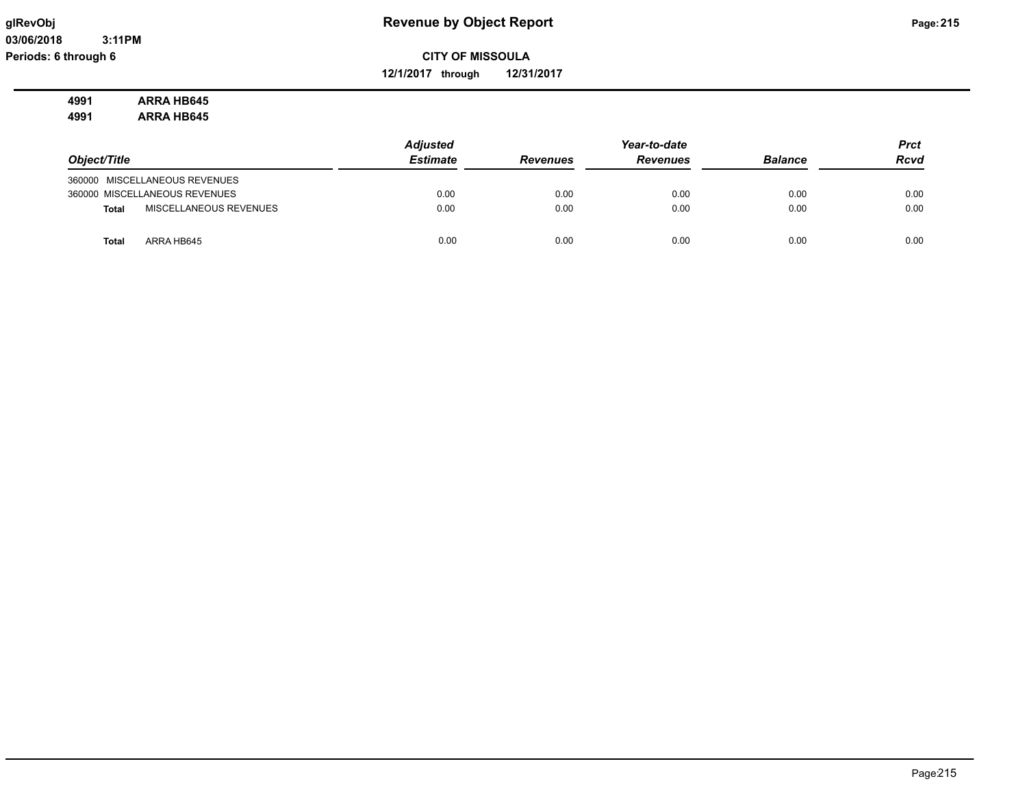## **glRevObj Revenue by Object Report Page:215**

**CITY OF MISSOULA**

**12/1/2017 through 12/31/2017**

#### **4991 ARRA HB645 4991 ARRA HB645**

|                                 | <b>Adjusted</b> |                 | Year-to-date    |                | <b>Prct</b> |
|---------------------------------|-----------------|-----------------|-----------------|----------------|-------------|
| Object/Title                    | <b>Estimate</b> | <b>Revenues</b> | <b>Revenues</b> | <b>Balance</b> | <b>Rcvd</b> |
| 360000 MISCELLANEOUS REVENUES   |                 |                 |                 |                |             |
| 360000 MISCELLANEOUS REVENUES   | 0.00            | 0.00            | 0.00            | 0.00           | 0.00        |
| MISCELLANEOUS REVENUES<br>Total | 0.00            | 0.00            | 0.00            | 0.00           | 0.00        |
| ARRA HB645<br><b>Total</b>      | 0.00            | 0.00            | 0.00            | 0.00           | 0.00        |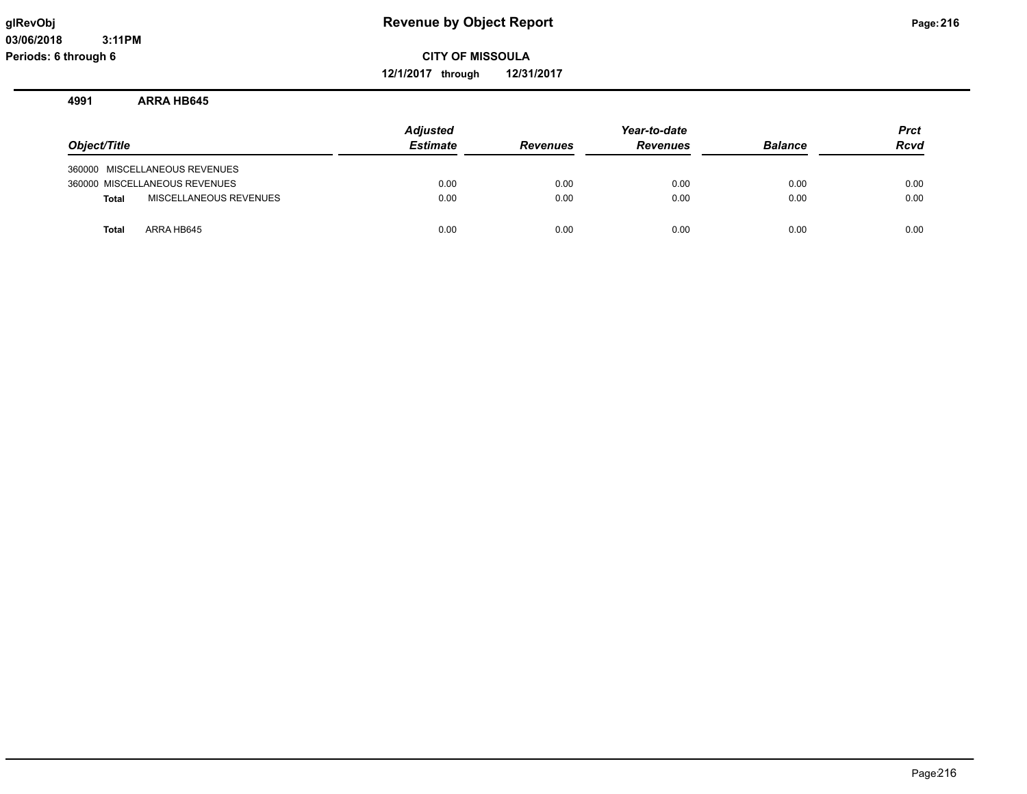**12/1/2017 through 12/31/2017**

#### **4991 ARRA HB645**

| Object/Title |                               | <b>Adjusted</b><br><b>Estimate</b> | <b>Revenues</b> | Year-to-date<br><b>Revenues</b> | <b>Balance</b> | <b>Prct</b><br><b>Rcvd</b> |
|--------------|-------------------------------|------------------------------------|-----------------|---------------------------------|----------------|----------------------------|
|              | 360000 MISCELLANEOUS REVENUES |                                    |                 |                                 |                |                            |
|              | 360000 MISCELLANEOUS REVENUES | 0.00                               | 0.00            | 0.00                            | 0.00           | 0.00                       |
| Total        | MISCELLANEOUS REVENUES        | 0.00                               | 0.00            | 0.00                            | 0.00           | 0.00                       |
| <b>Total</b> | ARRA HB645                    | 0.00                               | 0.00            | 0.00                            | 0.00           | 0.00                       |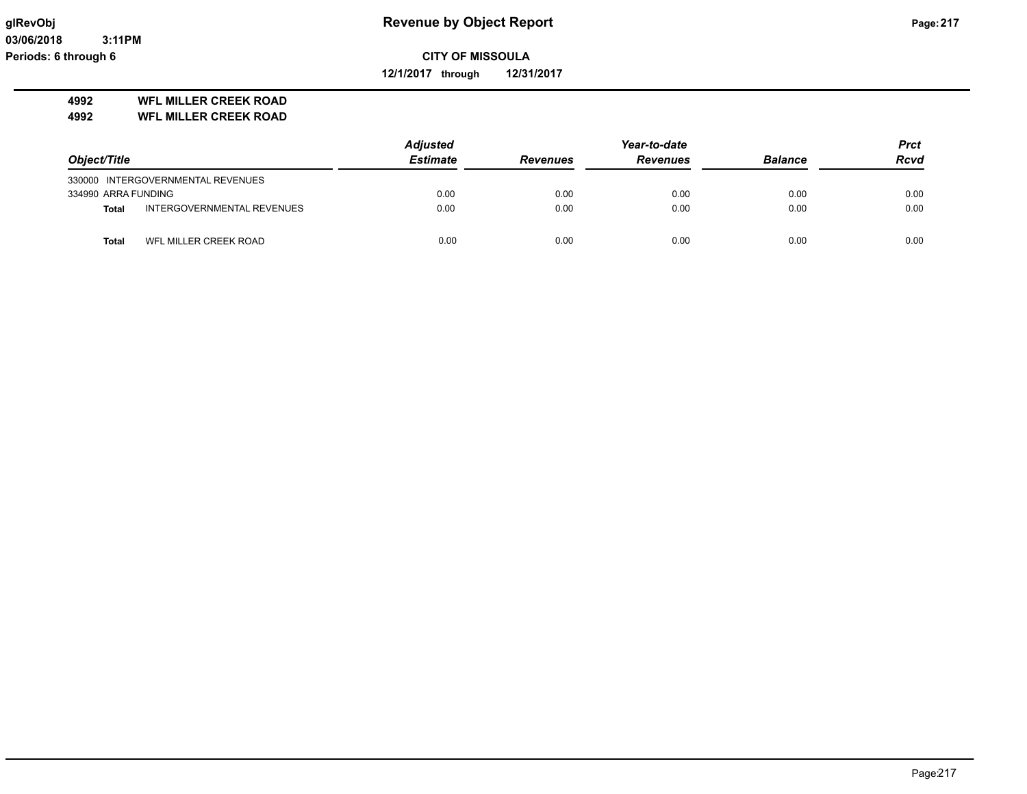**12/1/2017 through 12/31/2017**

## **4992 WFL MILLER CREEK ROAD**

**4992 WFL MILLER CREEK ROAD**

|                     |                                   | <b>Adjusted</b> |                 | Year-to-date    |                | <b>Prct</b> |
|---------------------|-----------------------------------|-----------------|-----------------|-----------------|----------------|-------------|
| Object/Title        |                                   | <b>Estimate</b> | <b>Revenues</b> | <b>Revenues</b> | <b>Balance</b> | <b>Rcvd</b> |
|                     | 330000 INTERGOVERNMENTAL REVENUES |                 |                 |                 |                |             |
| 334990 ARRA FUNDING |                                   | 0.00            | 0.00            | 0.00            | 0.00           | 0.00        |
| <b>Total</b>        | INTERGOVERNMENTAL REVENUES        | 0.00            | 0.00            | 0.00            | 0.00           | 0.00        |
| Total               | WFL MILLER CREEK ROAD             | 0.00            | 0.00            | 0.00            | 0.00           | 0.00        |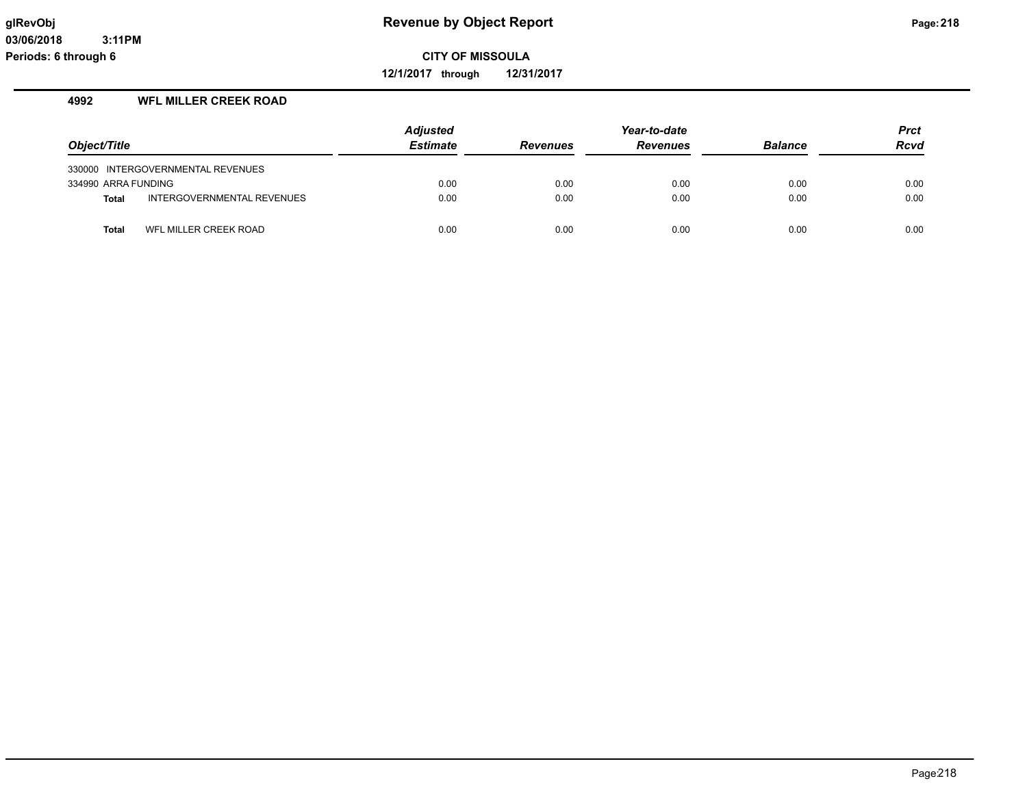**12/1/2017 through 12/31/2017**

## **4992 WFL MILLER CREEK ROAD**

|                     |                                   | <b>Adjusted</b> |                 | Year-to-date    |                | <b>Prct</b> |
|---------------------|-----------------------------------|-----------------|-----------------|-----------------|----------------|-------------|
| Object/Title        |                                   | <b>Estimate</b> | <b>Revenues</b> | <b>Revenues</b> | <b>Balance</b> | <b>Rcvd</b> |
|                     | 330000 INTERGOVERNMENTAL REVENUES |                 |                 |                 |                |             |
| 334990 ARRA FUNDING |                                   | 0.00            | 0.00            | 0.00            | 0.00           | 0.00        |
| <b>Total</b>        | INTERGOVERNMENTAL REVENUES        | 0.00            | 0.00            | 0.00            | 0.00           | 0.00        |
| <b>Total</b>        | WFL MILLER CREEK ROAD             | 0.00            | 0.00            | 0.00            | 0.00           | 0.00        |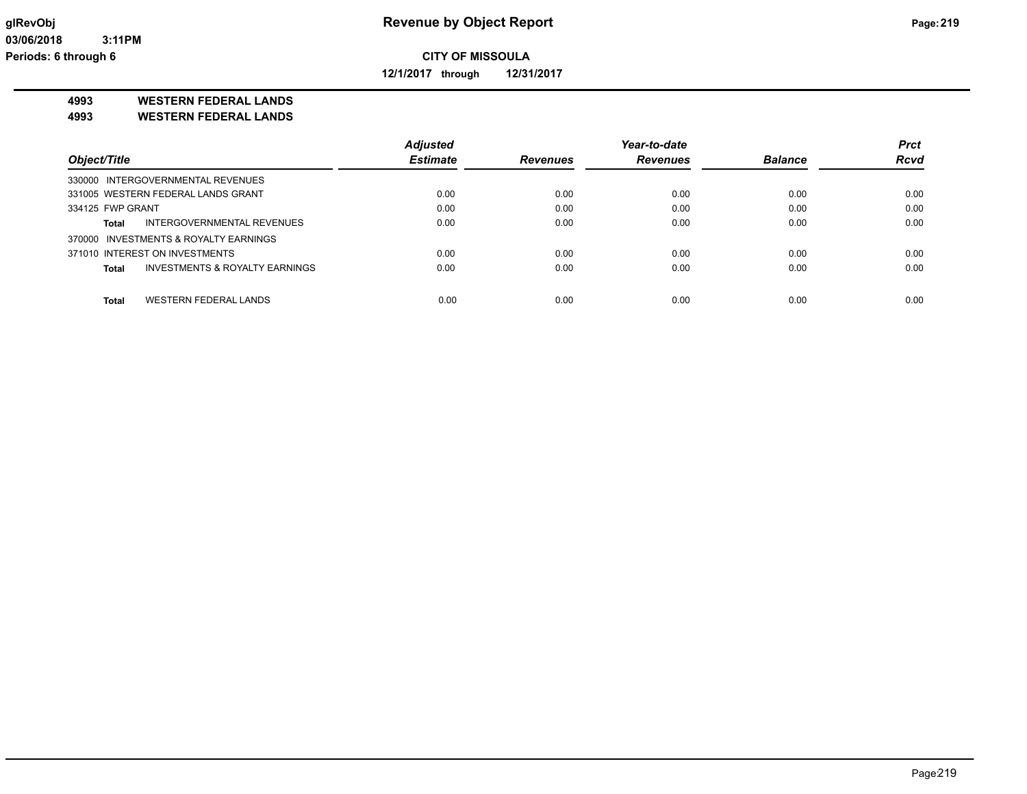**12/1/2017 through 12/31/2017**

**4993 WESTERN FEDERAL LANDS**

**4993 WESTERN FEDERAL LANDS**

|                                         | <b>Adjusted</b> |                 | Year-to-date    |                | <b>Prct</b> |
|-----------------------------------------|-----------------|-----------------|-----------------|----------------|-------------|
| Object/Title                            | <b>Estimate</b> | <b>Revenues</b> | <b>Revenues</b> | <b>Balance</b> | <b>Rcvd</b> |
| 330000 INTERGOVERNMENTAL REVENUES       |                 |                 |                 |                |             |
| 331005 WESTERN FEDERAL LANDS GRANT      | 0.00            | 0.00            | 0.00            | 0.00           | 0.00        |
| 334125 FWP GRANT                        | 0.00            | 0.00            | 0.00            | 0.00           | 0.00        |
| INTERGOVERNMENTAL REVENUES<br>Total     | 0.00            | 0.00            | 0.00            | 0.00           | 0.00        |
| 370000 INVESTMENTS & ROYALTY EARNINGS   |                 |                 |                 |                |             |
| 371010 INTEREST ON INVESTMENTS          | 0.00            | 0.00            | 0.00            | 0.00           | 0.00        |
| INVESTMENTS & ROYALTY EARNINGS<br>Total | 0.00            | 0.00            | 0.00            | 0.00           | 0.00        |
| WESTERN FEDERAL LANDS<br><b>Total</b>   | 0.00            | 0.00            | 0.00            | 0.00           | 0.00        |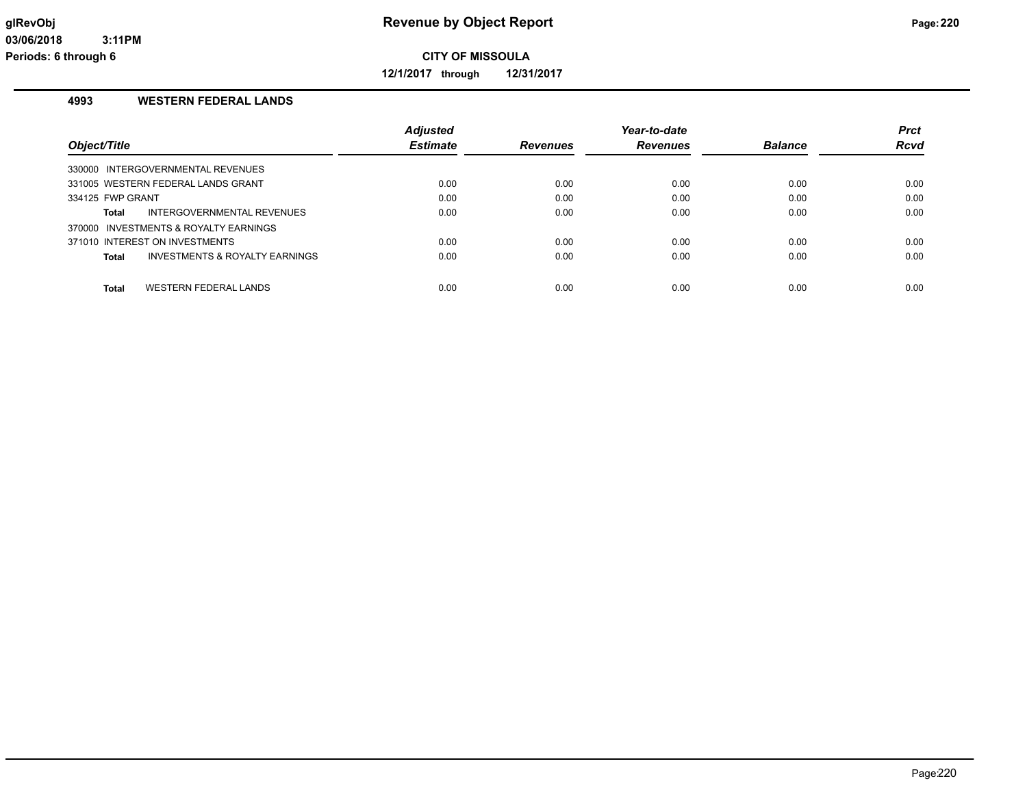**12/1/2017 through 12/31/2017**

# **4993 WESTERN FEDERAL LANDS**

|                                         | <b>Adiusted</b> |                 | Year-to-date    |                | <b>Prct</b> |
|-----------------------------------------|-----------------|-----------------|-----------------|----------------|-------------|
| Object/Title                            | <b>Estimate</b> | <b>Revenues</b> | <b>Revenues</b> | <b>Balance</b> | <b>Rcvd</b> |
| 330000 INTERGOVERNMENTAL REVENUES       |                 |                 |                 |                |             |
| 331005 WESTERN FEDERAL LANDS GRANT      | 0.00            | 0.00            | 0.00            | 0.00           | 0.00        |
| 334125 FWP GRANT                        | 0.00            | 0.00            | 0.00            | 0.00           | 0.00        |
| INTERGOVERNMENTAL REVENUES<br>Total     | 0.00            | 0.00            | 0.00            | 0.00           | 0.00        |
| 370000 INVESTMENTS & ROYALTY EARNINGS   |                 |                 |                 |                |             |
| 371010 INTEREST ON INVESTMENTS          | 0.00            | 0.00            | 0.00            | 0.00           | 0.00        |
| INVESTMENTS & ROYALTY EARNINGS<br>Total | 0.00            | 0.00            | 0.00            | 0.00           | 0.00        |
|                                         |                 |                 |                 |                |             |
| WESTERN FEDERAL LANDS<br><b>Total</b>   | 0.00            | 0.00            | 0.00            | 0.00           | 0.00        |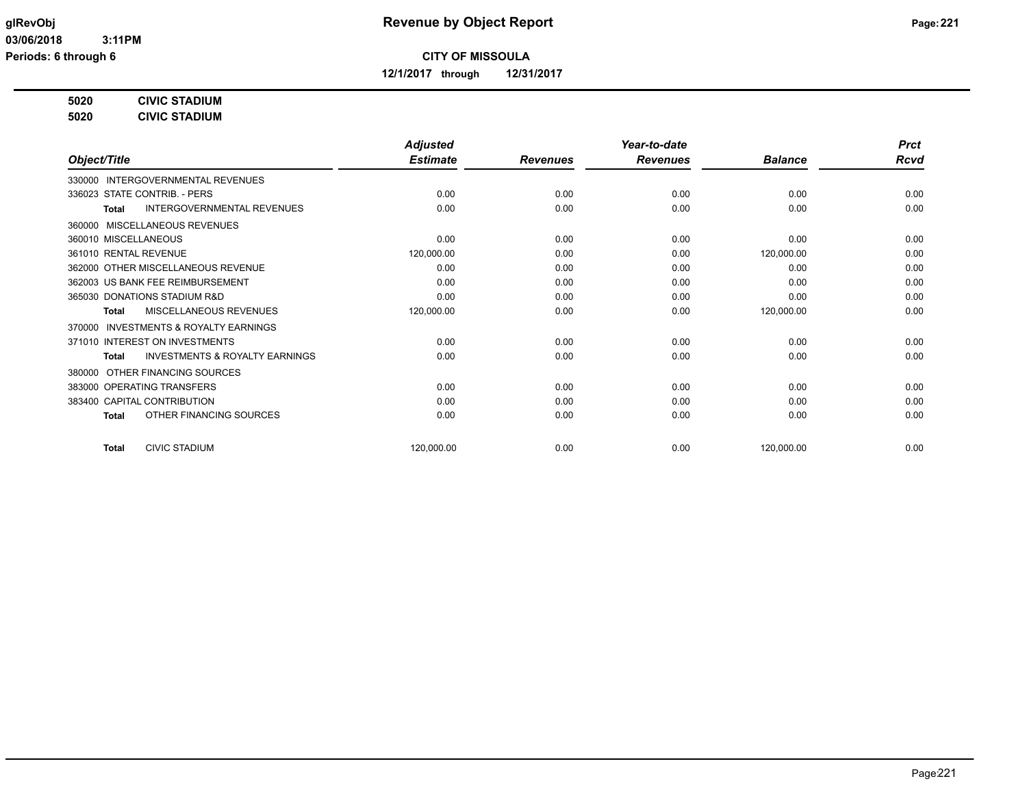**12/1/2017 through 12/31/2017**

# **5020 CIVIC STADIUM**

**5020 CIVIC STADIUM**

|                                                           | <b>Adjusted</b> |                 | Year-to-date    |                | <b>Prct</b> |
|-----------------------------------------------------------|-----------------|-----------------|-----------------|----------------|-------------|
| Object/Title                                              | <b>Estimate</b> | <b>Revenues</b> | <b>Revenues</b> | <b>Balance</b> | <b>Rcvd</b> |
| 330000 INTERGOVERNMENTAL REVENUES                         |                 |                 |                 |                |             |
| 336023 STATE CONTRIB. - PERS                              | 0.00            | 0.00            | 0.00            | 0.00           | 0.00        |
| <b>INTERGOVERNMENTAL REVENUES</b><br>Total                | 0.00            | 0.00            | 0.00            | 0.00           | 0.00        |
| 360000 MISCELLANEOUS REVENUES                             |                 |                 |                 |                |             |
| 360010 MISCELLANEOUS                                      | 0.00            | 0.00            | 0.00            | 0.00           | 0.00        |
| 361010 RENTAL REVENUE                                     | 120,000.00      | 0.00            | 0.00            | 120,000.00     | 0.00        |
| 362000 OTHER MISCELLANEOUS REVENUE                        | 0.00            | 0.00            | 0.00            | 0.00           | 0.00        |
| 362003 US BANK FEE REIMBURSEMENT                          | 0.00            | 0.00            | 0.00            | 0.00           | 0.00        |
| 365030 DONATIONS STADIUM R&D                              | 0.00            | 0.00            | 0.00            | 0.00           | 0.00        |
| MISCELLANEOUS REVENUES<br>Total                           | 120,000.00      | 0.00            | 0.00            | 120,000.00     | 0.00        |
| INVESTMENTS & ROYALTY EARNINGS<br>370000                  |                 |                 |                 |                |             |
| 371010 INTEREST ON INVESTMENTS                            | 0.00            | 0.00            | 0.00            | 0.00           | 0.00        |
| <b>INVESTMENTS &amp; ROYALTY EARNINGS</b><br><b>Total</b> | 0.00            | 0.00            | 0.00            | 0.00           | 0.00        |
| OTHER FINANCING SOURCES<br>380000                         |                 |                 |                 |                |             |
| 383000 OPERATING TRANSFERS                                | 0.00            | 0.00            | 0.00            | 0.00           | 0.00        |
| 383400 CAPITAL CONTRIBUTION                               | 0.00            | 0.00            | 0.00            | 0.00           | 0.00        |
| OTHER FINANCING SOURCES<br>Total                          | 0.00            | 0.00            | 0.00            | 0.00           | 0.00        |
| <b>CIVIC STADIUM</b><br><b>Total</b>                      | 120,000.00      | 0.00            | 0.00            | 120,000.00     | 0.00        |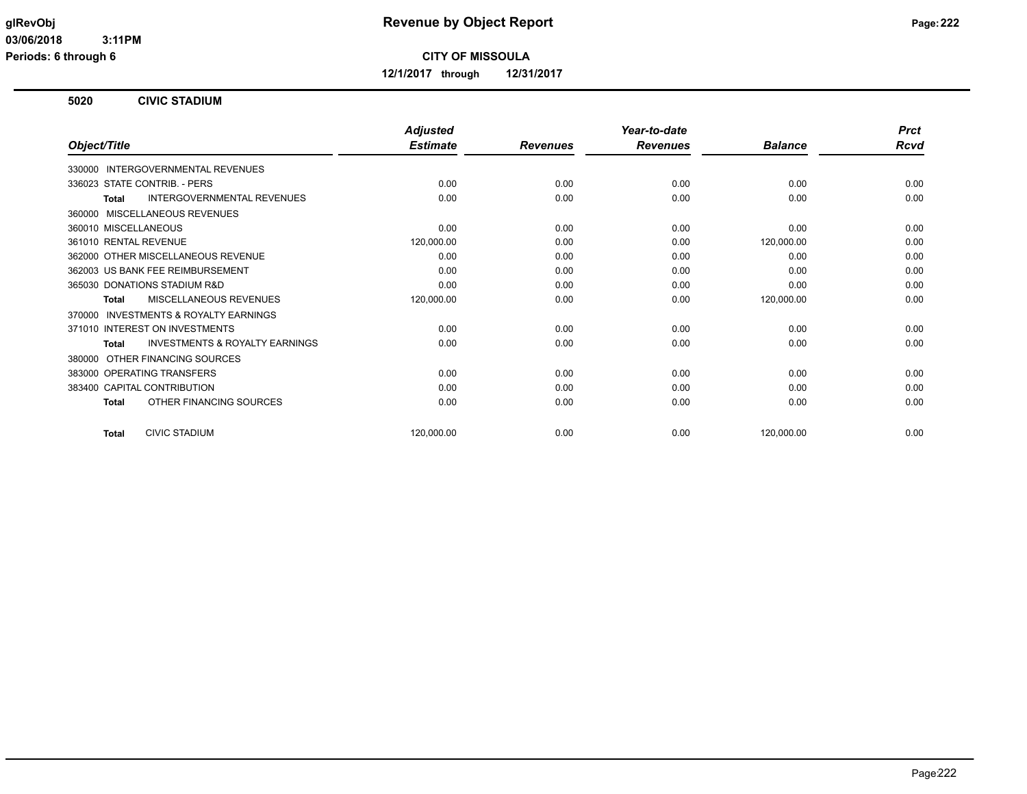**12/1/2017 through 12/31/2017**

## **5020 CIVIC STADIUM**

|                                                           | <b>Adjusted</b> |                 | Year-to-date    |                | <b>Prct</b> |
|-----------------------------------------------------------|-----------------|-----------------|-----------------|----------------|-------------|
| Object/Title                                              | <b>Estimate</b> | <b>Revenues</b> | <b>Revenues</b> | <b>Balance</b> | <b>Rcvd</b> |
| 330000 INTERGOVERNMENTAL REVENUES                         |                 |                 |                 |                |             |
| 336023 STATE CONTRIB. - PERS                              | 0.00            | 0.00            | 0.00            | 0.00           | 0.00        |
| <b>INTERGOVERNMENTAL REVENUES</b><br>Total                | 0.00            | 0.00            | 0.00            | 0.00           | 0.00        |
| 360000 MISCELLANEOUS REVENUES                             |                 |                 |                 |                |             |
| 360010 MISCELLANEOUS                                      | 0.00            | 0.00            | 0.00            | 0.00           | 0.00        |
| 361010 RENTAL REVENUE                                     | 120,000.00      | 0.00            | 0.00            | 120,000.00     | 0.00        |
| 362000 OTHER MISCELLANEOUS REVENUE                        | 0.00            | 0.00            | 0.00            | 0.00           | 0.00        |
| 362003 US BANK FEE REIMBURSEMENT                          | 0.00            | 0.00            | 0.00            | 0.00           | 0.00        |
| 365030 DONATIONS STADIUM R&D                              | 0.00            | 0.00            | 0.00            | 0.00           | 0.00        |
| MISCELLANEOUS REVENUES<br>Total                           | 120,000.00      | 0.00            | 0.00            | 120,000.00     | 0.00        |
| INVESTMENTS & ROYALTY EARNINGS<br>370000                  |                 |                 |                 |                |             |
| 371010 INTEREST ON INVESTMENTS                            | 0.00            | 0.00            | 0.00            | 0.00           | 0.00        |
| <b>INVESTMENTS &amp; ROYALTY EARNINGS</b><br><b>Total</b> | 0.00            | 0.00            | 0.00            | 0.00           | 0.00        |
| OTHER FINANCING SOURCES<br>380000                         |                 |                 |                 |                |             |
| 383000 OPERATING TRANSFERS                                | 0.00            | 0.00            | 0.00            | 0.00           | 0.00        |
| 383400 CAPITAL CONTRIBUTION                               | 0.00            | 0.00            | 0.00            | 0.00           | 0.00        |
| OTHER FINANCING SOURCES<br><b>Total</b>                   | 0.00            | 0.00            | 0.00            | 0.00           | 0.00        |
| <b>CIVIC STADIUM</b><br><b>Total</b>                      | 120,000.00      | 0.00            | 0.00            | 120,000.00     | 0.00        |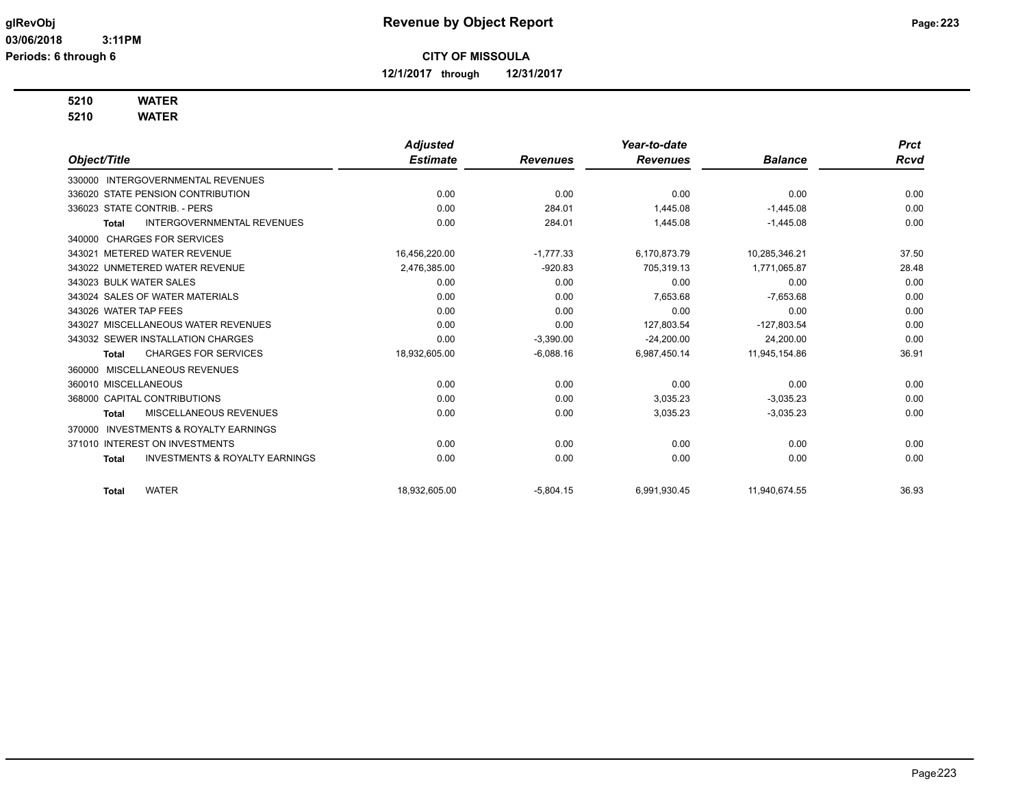**12/1/2017 through 12/31/2017**

# **5210 WATER**

**5210 WATER**

|                                                     |                                           | <b>Adjusted</b> |                 | Year-to-date    |                | <b>Prct</b> |
|-----------------------------------------------------|-------------------------------------------|-----------------|-----------------|-----------------|----------------|-------------|
| Object/Title                                        |                                           | <b>Estimate</b> | <b>Revenues</b> | <b>Revenues</b> | <b>Balance</b> | <b>Rcvd</b> |
| INTERGOVERNMENTAL REVENUES<br>330000                |                                           |                 |                 |                 |                |             |
| 336020 STATE PENSION CONTRIBUTION                   |                                           | 0.00            | 0.00            | 0.00            | 0.00           | 0.00        |
| 336023 STATE CONTRIB. - PERS                        |                                           | 0.00            | 284.01          | 1,445.08        | $-1,445.08$    | 0.00        |
| <b>Total</b>                                        | INTERGOVERNMENTAL REVENUES                | 0.00            | 284.01          | 1,445.08        | $-1,445.08$    | 0.00        |
| 340000 CHARGES FOR SERVICES                         |                                           |                 |                 |                 |                |             |
| 343021 METERED WATER REVENUE                        |                                           | 16,456,220.00   | $-1,777.33$     | 6,170,873.79    | 10,285,346.21  | 37.50       |
| 343022 UNMETERED WATER REVENUE                      |                                           | 2,476,385.00    | $-920.83$       | 705,319.13      | 1,771,065.87   | 28.48       |
| 343023 BULK WATER SALES                             |                                           | 0.00            | 0.00            | 0.00            | 0.00           | 0.00        |
| 343024 SALES OF WATER MATERIALS                     |                                           | 0.00            | 0.00            | 7,653.68        | $-7,653.68$    | 0.00        |
| 343026 WATER TAP FEES                               |                                           | 0.00            | 0.00            | 0.00            | 0.00           | 0.00        |
| 343027 MISCELLANEOUS WATER REVENUES                 |                                           | 0.00            | 0.00            | 127,803.54      | $-127,803.54$  | 0.00        |
| 343032 SEWER INSTALLATION CHARGES                   |                                           | 0.00            | $-3,390.00$     | $-24,200.00$    | 24,200.00      | 0.00        |
| <b>CHARGES FOR SERVICES</b><br><b>Total</b>         |                                           | 18,932,605.00   | $-6,088.16$     | 6,987,450.14    | 11,945,154.86  | 36.91       |
| <b>MISCELLANEOUS REVENUES</b><br>360000             |                                           |                 |                 |                 |                |             |
| 360010 MISCELLANEOUS                                |                                           | 0.00            | 0.00            | 0.00            | 0.00           | 0.00        |
| 368000 CAPITAL CONTRIBUTIONS                        |                                           | 0.00            | 0.00            | 3,035.23        | $-3,035.23$    | 0.00        |
| MISCELLANEOUS REVENUES<br>Total                     |                                           | 0.00            | 0.00            | 3,035.23        | $-3,035.23$    | 0.00        |
| <b>INVESTMENTS &amp; ROYALTY EARNINGS</b><br>370000 |                                           |                 |                 |                 |                |             |
| 371010 INTEREST ON INVESTMENTS                      |                                           | 0.00            | 0.00            | 0.00            | 0.00           | 0.00        |
| <b>Total</b>                                        | <b>INVESTMENTS &amp; ROYALTY EARNINGS</b> | 0.00            | 0.00            | 0.00            | 0.00           | 0.00        |
| <b>WATER</b><br><b>Total</b>                        |                                           | 18.932.605.00   | $-5,804.15$     | 6,991,930.45    | 11,940,674.55  | 36.93       |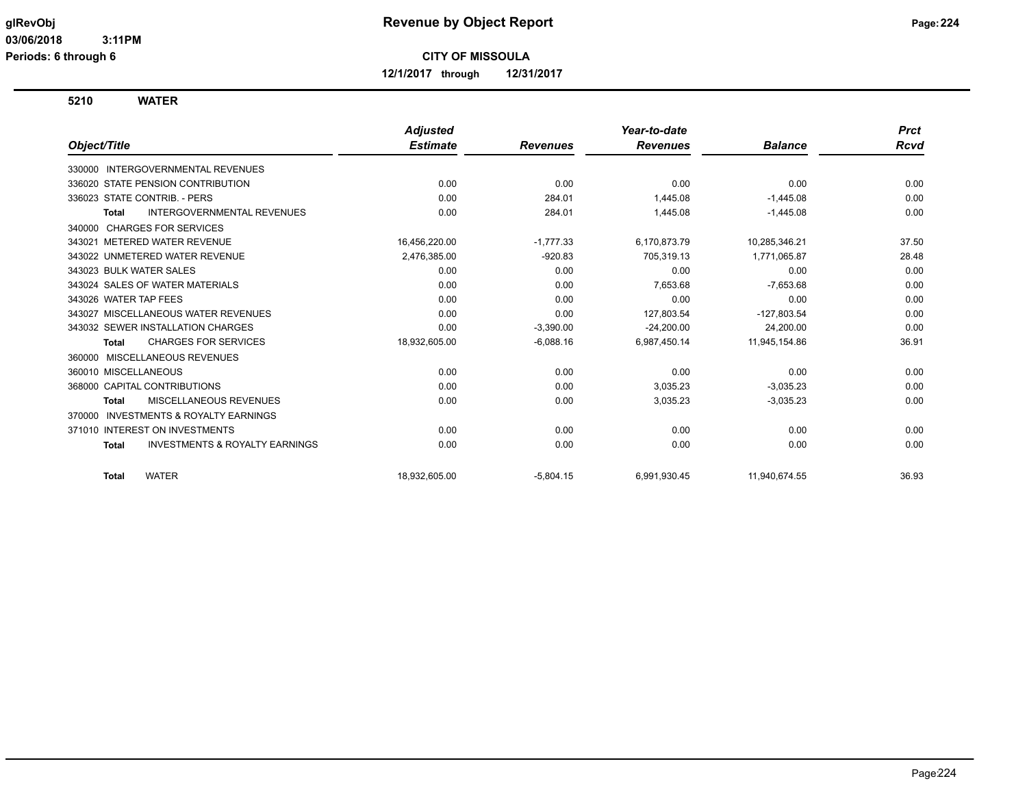**12/1/2017 through 12/31/2017**

**5210 WATER**

|                                                           | <b>Adjusted</b> |                 | Year-to-date    |                | <b>Prct</b> |
|-----------------------------------------------------------|-----------------|-----------------|-----------------|----------------|-------------|
| Object/Title                                              | <b>Estimate</b> | <b>Revenues</b> | <b>Revenues</b> | <b>Balance</b> | <b>Rcvd</b> |
| <b>INTERGOVERNMENTAL REVENUES</b><br>330000               |                 |                 |                 |                |             |
| 336020 STATE PENSION CONTRIBUTION                         | 0.00            | 0.00            | 0.00            | 0.00           | 0.00        |
| 336023 STATE CONTRIB. - PERS                              | 0.00            | 284.01          | 1,445.08        | $-1,445.08$    | 0.00        |
| <b>INTERGOVERNMENTAL REVENUES</b><br><b>Total</b>         | 0.00            | 284.01          | 1,445.08        | $-1,445.08$    | 0.00        |
| <b>CHARGES FOR SERVICES</b><br>340000                     |                 |                 |                 |                |             |
| 343021 METERED WATER REVENUE                              | 16,456,220.00   | $-1,777.33$     | 6,170,873.79    | 10,285,346.21  | 37.50       |
| 343022 UNMETERED WATER REVENUE                            | 2,476,385.00    | $-920.83$       | 705,319.13      | 1,771,065.87   | 28.48       |
| 343023 BULK WATER SALES                                   | 0.00            | 0.00            | 0.00            | 0.00           | 0.00        |
| 343024 SALES OF WATER MATERIALS                           | 0.00            | 0.00            | 7,653.68        | $-7,653.68$    | 0.00        |
| 343026 WATER TAP FEES                                     | 0.00            | 0.00            | 0.00            | 0.00           | 0.00        |
| 343027 MISCELLANEOUS WATER REVENUES                       | 0.00            | 0.00            | 127,803.54      | -127,803.54    | 0.00        |
| 343032 SEWER INSTALLATION CHARGES                         | 0.00            | $-3,390.00$     | $-24,200.00$    | 24,200.00      | 0.00        |
| <b>CHARGES FOR SERVICES</b><br><b>Total</b>               | 18,932,605.00   | $-6,088.16$     | 6,987,450.14    | 11,945,154.86  | 36.91       |
| 360000 MISCELLANEOUS REVENUES                             |                 |                 |                 |                |             |
| 360010 MISCELLANEOUS                                      | 0.00            | 0.00            | 0.00            | 0.00           | 0.00        |
| 368000 CAPITAL CONTRIBUTIONS                              | 0.00            | 0.00            | 3,035.23        | $-3,035.23$    | 0.00        |
| MISCELLANEOUS REVENUES<br><b>Total</b>                    | 0.00            | 0.00            | 3,035.23        | $-3,035.23$    | 0.00        |
| <b>INVESTMENTS &amp; ROYALTY EARNINGS</b><br>370000       |                 |                 |                 |                |             |
| 371010 INTEREST ON INVESTMENTS                            | 0.00            | 0.00            | 0.00            | 0.00           | 0.00        |
| <b>INVESTMENTS &amp; ROYALTY EARNINGS</b><br><b>Total</b> | 0.00            | 0.00            | 0.00            | 0.00           | 0.00        |
| <b>WATER</b><br><b>Total</b>                              | 18,932,605.00   | $-5,804.15$     | 6,991,930.45    | 11,940,674.55  | 36.93       |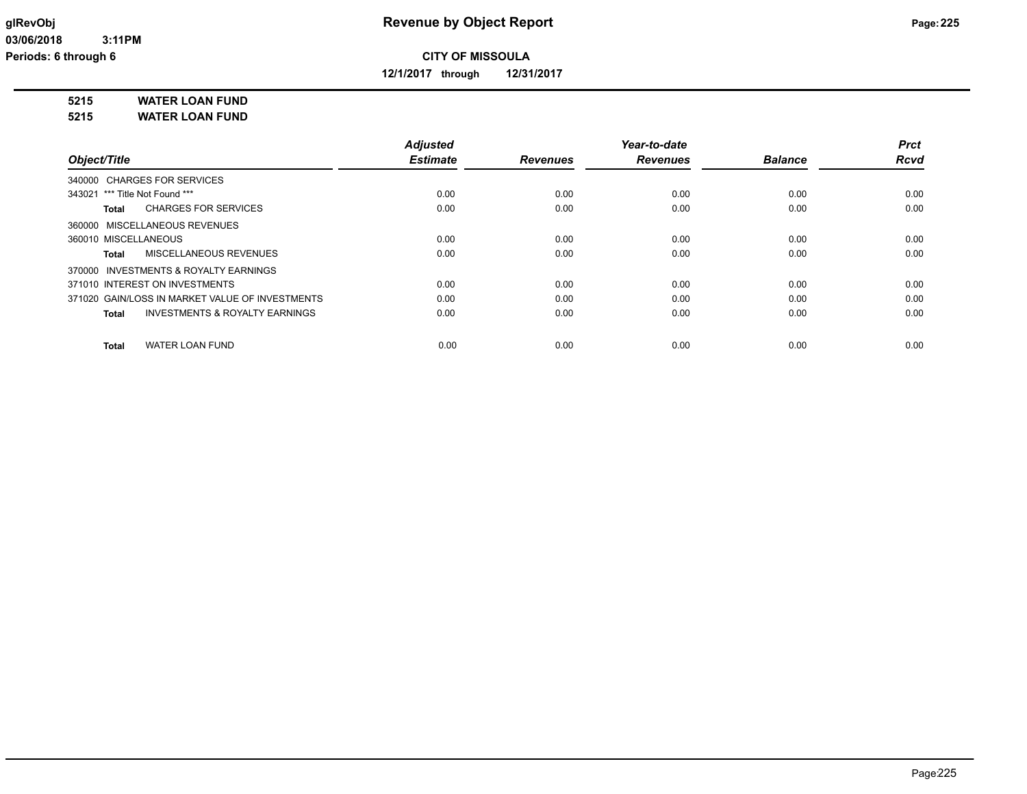**12/1/2017 through 12/31/2017**

**5215 WATER LOAN FUND**

**5215 WATER LOAN FUND**

|                                                           | <b>Adjusted</b> |                 | Year-to-date    |                | <b>Prct</b> |
|-----------------------------------------------------------|-----------------|-----------------|-----------------|----------------|-------------|
| Object/Title                                              | <b>Estimate</b> | <b>Revenues</b> | <b>Revenues</b> | <b>Balance</b> | <b>Rcvd</b> |
| 340000 CHARGES FOR SERVICES                               |                 |                 |                 |                |             |
| 343021 *** Title Not Found ***                            | 0.00            | 0.00            | 0.00            | 0.00           | 0.00        |
| <b>CHARGES FOR SERVICES</b><br>Total                      | 0.00            | 0.00            | 0.00            | 0.00           | 0.00        |
| 360000 MISCELLANEOUS REVENUES                             |                 |                 |                 |                |             |
| 360010 MISCELLANEOUS                                      | 0.00            | 0.00            | 0.00            | 0.00           | 0.00        |
| <b>MISCELLANEOUS REVENUES</b><br>Total                    | 0.00            | 0.00            | 0.00            | 0.00           | 0.00        |
| 370000 INVESTMENTS & ROYALTY EARNINGS                     |                 |                 |                 |                |             |
| 371010 INTEREST ON INVESTMENTS                            | 0.00            | 0.00            | 0.00            | 0.00           | 0.00        |
| 371020 GAIN/LOSS IN MARKET VALUE OF INVESTMENTS           | 0.00            | 0.00            | 0.00            | 0.00           | 0.00        |
| <b>INVESTMENTS &amp; ROYALTY EARNINGS</b><br><b>Total</b> | 0.00            | 0.00            | 0.00            | 0.00           | 0.00        |
| <b>WATER LOAN FUND</b><br><b>Total</b>                    | 0.00            | 0.00            | 0.00            | 0.00           | 0.00        |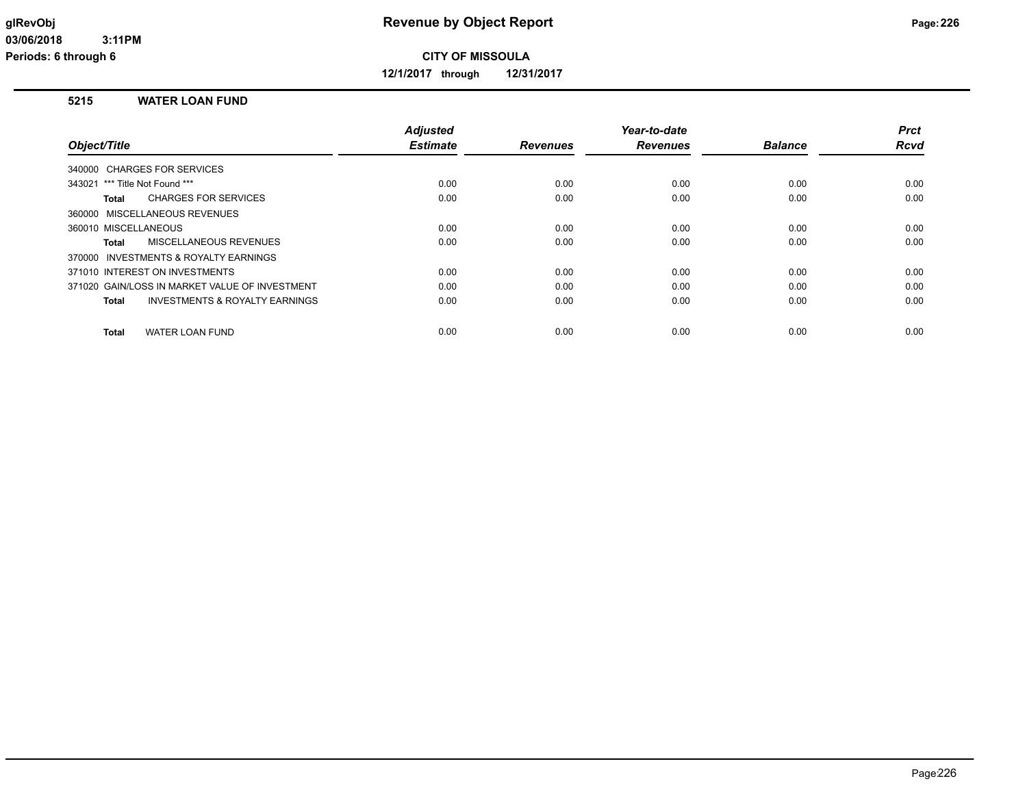**12/1/2017 through 12/31/2017**

## **5215 WATER LOAN FUND**

|                                                           | <b>Adjusted</b> |                 | Year-to-date    |                | <b>Prct</b> |
|-----------------------------------------------------------|-----------------|-----------------|-----------------|----------------|-------------|
| Object/Title                                              | <b>Estimate</b> | <b>Revenues</b> | <b>Revenues</b> | <b>Balance</b> | <b>Rcvd</b> |
| 340000 CHARGES FOR SERVICES                               |                 |                 |                 |                |             |
| 343021 *** Title Not Found ***                            | 0.00            | 0.00            | 0.00            | 0.00           | 0.00        |
| <b>CHARGES FOR SERVICES</b><br>Total                      | 0.00            | 0.00            | 0.00            | 0.00           | 0.00        |
| 360000 MISCELLANEOUS REVENUES                             |                 |                 |                 |                |             |
| 360010 MISCELLANEOUS                                      | 0.00            | 0.00            | 0.00            | 0.00           | 0.00        |
| MISCELLANEOUS REVENUES<br>Total                           | 0.00            | 0.00            | 0.00            | 0.00           | 0.00        |
| 370000 INVESTMENTS & ROYALTY EARNINGS                     |                 |                 |                 |                |             |
| 371010 INTEREST ON INVESTMENTS                            | 0.00            | 0.00            | 0.00            | 0.00           | 0.00        |
| 371020 GAIN/LOSS IN MARKET VALUE OF INVESTMENT            | 0.00            | 0.00            | 0.00            | 0.00           | 0.00        |
| <b>INVESTMENTS &amp; ROYALTY EARNINGS</b><br><b>Total</b> | 0.00            | 0.00            | 0.00            | 0.00           | 0.00        |
| <b>WATER LOAN FUND</b><br><b>Total</b>                    | 0.00            | 0.00            | 0.00            | 0.00           | 0.00        |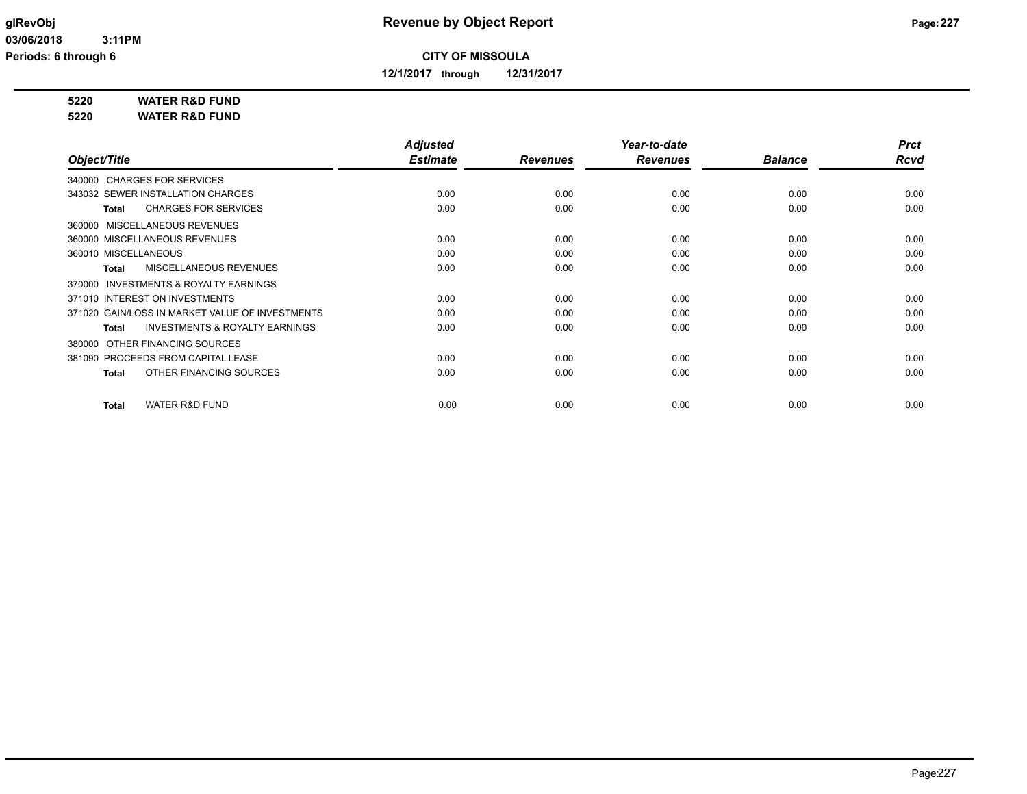**12/1/2017 through 12/31/2017**

**5220 WATER R&D FUND**

**5220 WATER R&D FUND**

|                                                           | <b>Adjusted</b> |                 | Year-to-date    |                | <b>Prct</b> |
|-----------------------------------------------------------|-----------------|-----------------|-----------------|----------------|-------------|
| Object/Title                                              | <b>Estimate</b> | <b>Revenues</b> | <b>Revenues</b> | <b>Balance</b> | <b>Rcvd</b> |
| 340000 CHARGES FOR SERVICES                               |                 |                 |                 |                |             |
| 343032 SEWER INSTALLATION CHARGES                         | 0.00            | 0.00            | 0.00            | 0.00           | 0.00        |
| <b>CHARGES FOR SERVICES</b><br><b>Total</b>               | 0.00            | 0.00            | 0.00            | 0.00           | 0.00        |
| 360000 MISCELLANEOUS REVENUES                             |                 |                 |                 |                |             |
| 360000 MISCELLANEOUS REVENUES                             | 0.00            | 0.00            | 0.00            | 0.00           | 0.00        |
| 360010 MISCELLANEOUS                                      | 0.00            | 0.00            | 0.00            | 0.00           | 0.00        |
| MISCELLANEOUS REVENUES<br><b>Total</b>                    | 0.00            | 0.00            | 0.00            | 0.00           | 0.00        |
| 370000 INVESTMENTS & ROYALTY EARNINGS                     |                 |                 |                 |                |             |
| 371010 INTEREST ON INVESTMENTS                            | 0.00            | 0.00            | 0.00            | 0.00           | 0.00        |
| 371020 GAIN/LOSS IN MARKET VALUE OF INVESTMENTS           | 0.00            | 0.00            | 0.00            | 0.00           | 0.00        |
| <b>INVESTMENTS &amp; ROYALTY EARNINGS</b><br><b>Total</b> | 0.00            | 0.00            | 0.00            | 0.00           | 0.00        |
| OTHER FINANCING SOURCES<br>380000                         |                 |                 |                 |                |             |
| 381090 PROCEEDS FROM CAPITAL LEASE                        | 0.00            | 0.00            | 0.00            | 0.00           | 0.00        |
| OTHER FINANCING SOURCES<br><b>Total</b>                   | 0.00            | 0.00            | 0.00            | 0.00           | 0.00        |
| <b>WATER R&amp;D FUND</b><br><b>Total</b>                 | 0.00            | 0.00            | 0.00            | 0.00           | 0.00        |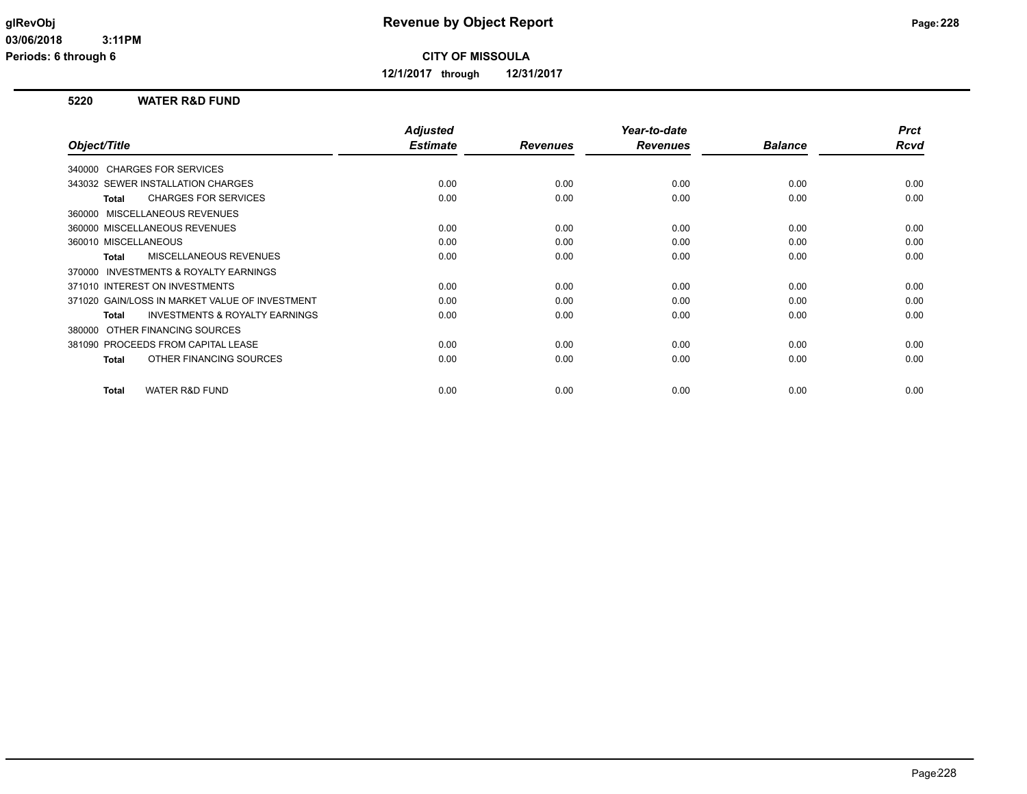**12/1/2017 through 12/31/2017**

## **5220 WATER R&D FUND**

|                                                           | <b>Adjusted</b> |                 | Year-to-date    |                | <b>Prct</b> |
|-----------------------------------------------------------|-----------------|-----------------|-----------------|----------------|-------------|
| Object/Title                                              | <b>Estimate</b> | <b>Revenues</b> | <b>Revenues</b> | <b>Balance</b> | Rcvd        |
| 340000 CHARGES FOR SERVICES                               |                 |                 |                 |                |             |
| 343032 SEWER INSTALLATION CHARGES                         | 0.00            | 0.00            | 0.00            | 0.00           | 0.00        |
| <b>CHARGES FOR SERVICES</b><br><b>Total</b>               | 0.00            | 0.00            | 0.00            | 0.00           | 0.00        |
| 360000 MISCELLANEOUS REVENUES                             |                 |                 |                 |                |             |
| 360000 MISCELLANEOUS REVENUES                             | 0.00            | 0.00            | 0.00            | 0.00           | 0.00        |
| 360010 MISCELLANEOUS                                      | 0.00            | 0.00            | 0.00            | 0.00           | 0.00        |
| MISCELLANEOUS REVENUES<br><b>Total</b>                    | 0.00            | 0.00            | 0.00            | 0.00           | 0.00        |
| INVESTMENTS & ROYALTY EARNINGS<br>370000                  |                 |                 |                 |                |             |
| 371010 INTEREST ON INVESTMENTS                            | 0.00            | 0.00            | 0.00            | 0.00           | 0.00        |
| 371020 GAIN/LOSS IN MARKET VALUE OF INVESTMENT            | 0.00            | 0.00            | 0.00            | 0.00           | 0.00        |
| <b>INVESTMENTS &amp; ROYALTY EARNINGS</b><br><b>Total</b> | 0.00            | 0.00            | 0.00            | 0.00           | 0.00        |
| OTHER FINANCING SOURCES<br>380000                         |                 |                 |                 |                |             |
| 381090 PROCEEDS FROM CAPITAL LEASE                        | 0.00            | 0.00            | 0.00            | 0.00           | 0.00        |
| OTHER FINANCING SOURCES<br><b>Total</b>                   | 0.00            | 0.00            | 0.00            | 0.00           | 0.00        |
|                                                           |                 |                 |                 |                |             |
| <b>WATER R&amp;D FUND</b><br><b>Total</b>                 | 0.00            | 0.00            | 0.00            | 0.00           | 0.00        |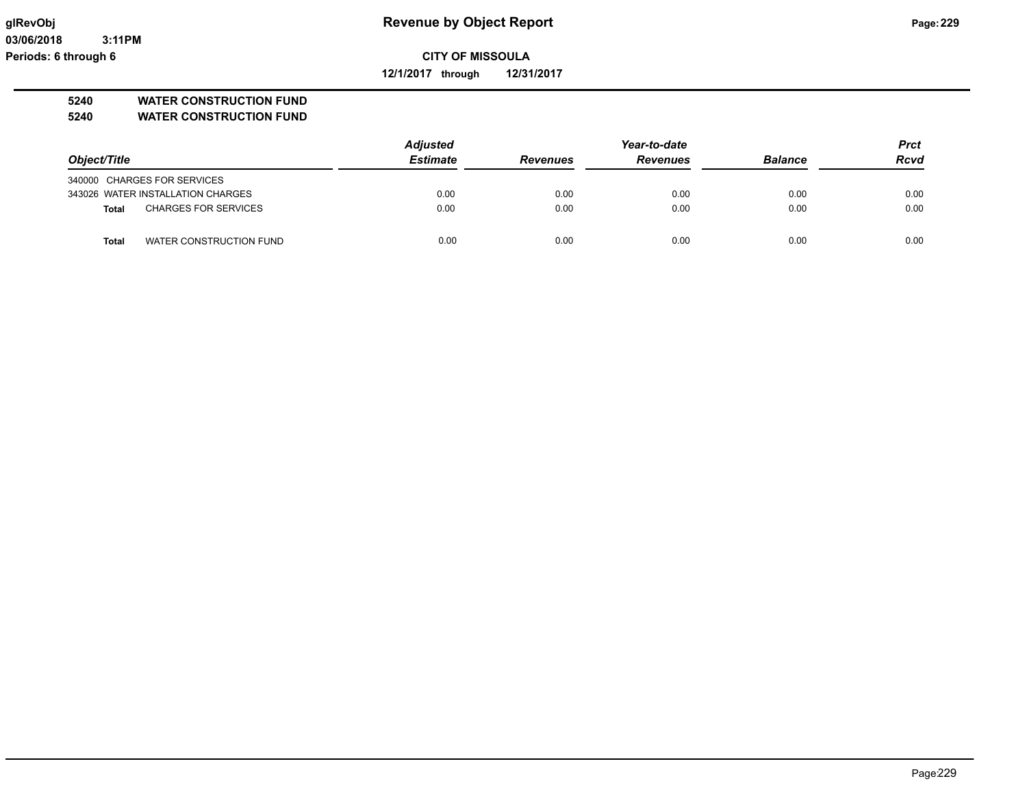**03/06/2018 3:11PM Periods: 6 through 6**

# **glRevObj Revenue by Object Report Page:229**

**CITY OF MISSOULA**

**12/1/2017 through 12/31/2017**

## **5240 WATER CONSTRUCTION FUND**

**5240 WATER CONSTRUCTION FUND**

|                                             | <b>Adjusted</b> |                 | Year-to-date    |                |             |  |
|---------------------------------------------|-----------------|-----------------|-----------------|----------------|-------------|--|
| Object/Title                                | <b>Estimate</b> | <b>Revenues</b> | <b>Revenues</b> | <b>Balance</b> | <b>Rcvd</b> |  |
| 340000 CHARGES FOR SERVICES                 |                 |                 |                 |                |             |  |
| 343026 WATER INSTALLATION CHARGES           | 0.00            | 0.00            | 0.00            | 0.00           | 0.00        |  |
| <b>CHARGES FOR SERVICES</b><br><b>Total</b> | 0.00            | 0.00            | 0.00            | 0.00           | 0.00        |  |
| WATER CONSTRUCTION FUND<br>Total            | 0.00            | 0.00            | 0.00            | 0.00           | 0.00        |  |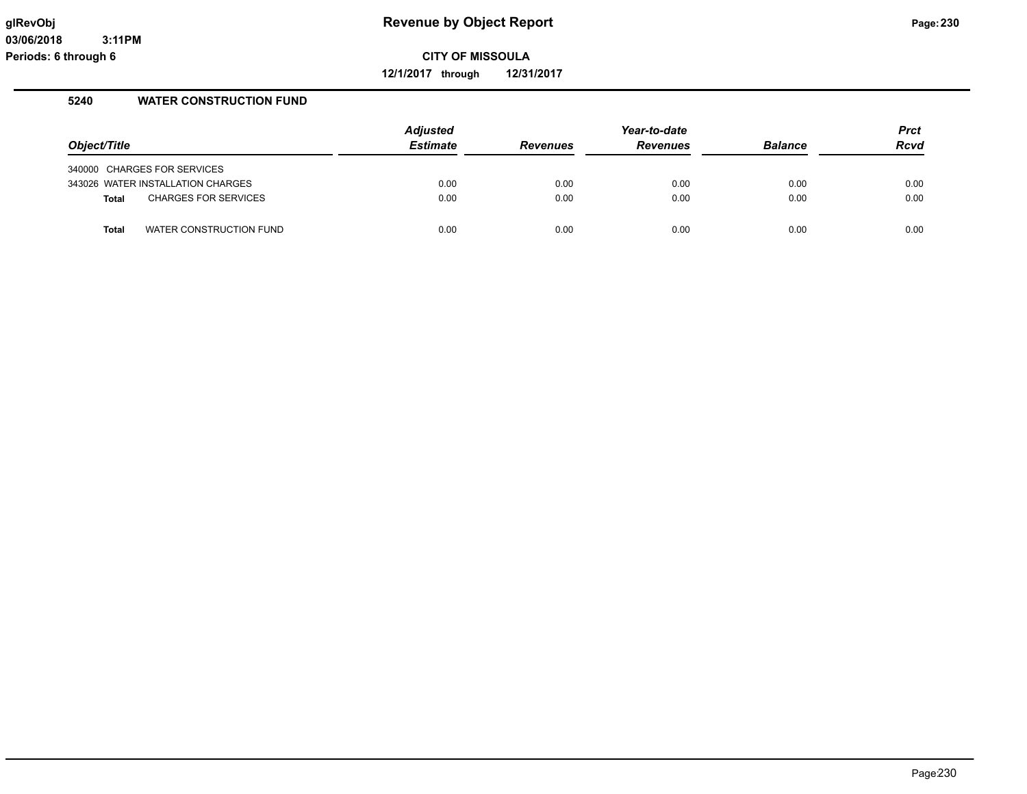**12/1/2017 through 12/31/2017**

## **5240 WATER CONSTRUCTION FUND**

| Object/Title |                                   | <b>Adjusted</b><br>Estimate | <b>Revenues</b> | Year-to-date<br><b>Revenues</b> | <b>Balance</b> | <b>Prct</b><br><b>Rcvd</b> |
|--------------|-----------------------------------|-----------------------------|-----------------|---------------------------------|----------------|----------------------------|
|              | 340000 CHARGES FOR SERVICES       |                             |                 |                                 |                |                            |
|              | 343026 WATER INSTALLATION CHARGES | 0.00                        | 0.00            | 0.00                            | 0.00           | 0.00                       |
| Total        | <b>CHARGES FOR SERVICES</b>       | 0.00                        | 0.00            | 0.00                            | 0.00           | 0.00                       |
| <b>Total</b> | WATER CONSTRUCTION FUND           | 0.00                        | 0.00            | 0.00                            | 0.00           | 0.00                       |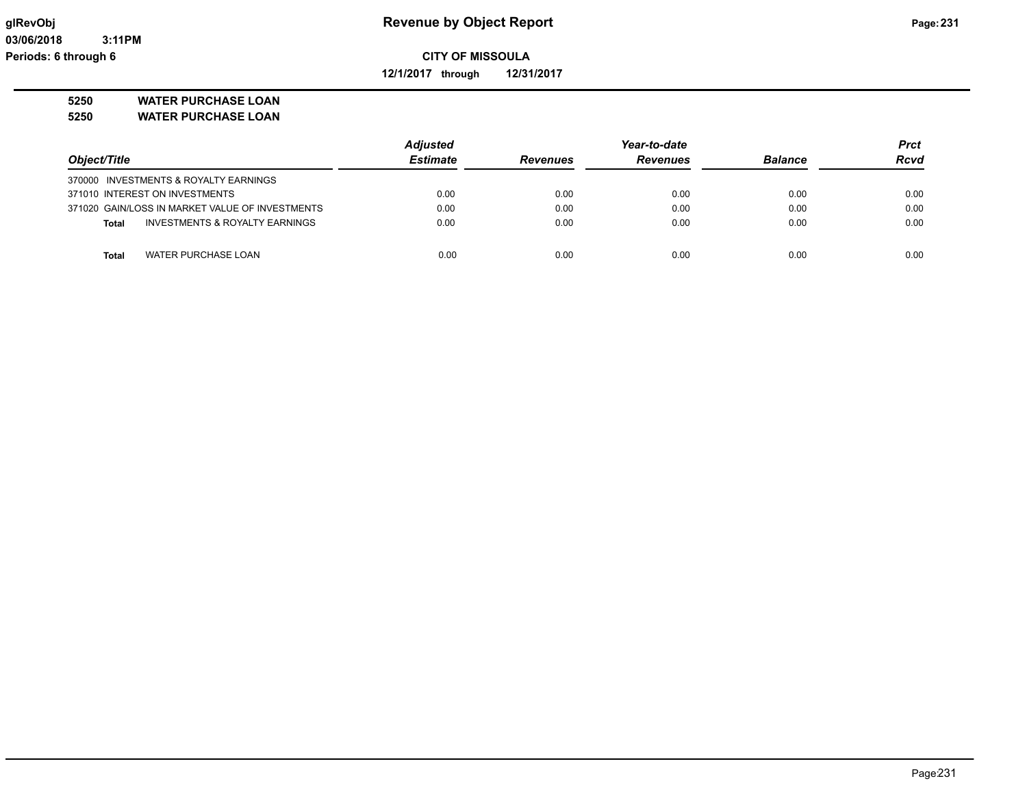**12/1/2017 through 12/31/2017**

# **5250 WATER PURCHASE LOAN**

**5250 WATER PURCHASE LOAN**

|                                                 | <b>Adjusted</b> | Year-to-date    |                 |                | <b>Prct</b> |
|-------------------------------------------------|-----------------|-----------------|-----------------|----------------|-------------|
| Object/Title                                    | <b>Estimate</b> | <b>Revenues</b> | <b>Revenues</b> | <b>Balance</b> | <b>Rcvd</b> |
| 370000 INVESTMENTS & ROYALTY EARNINGS           |                 |                 |                 |                |             |
| 371010 INTEREST ON INVESTMENTS                  | 0.00            | 0.00            | 0.00            | 0.00           | 0.00        |
| 371020 GAIN/LOSS IN MARKET VALUE OF INVESTMENTS | 0.00            | 0.00            | 0.00            | 0.00           | 0.00        |
| INVESTMENTS & ROYALTY EARNINGS<br>Total         | 0.00            | 0.00            | 0.00            | 0.00           | 0.00        |
|                                                 |                 |                 |                 |                |             |
| WATER PURCHASE LOAN<br><b>Total</b>             | 0.00            | 0.00            | 0.00            | 0.00           | 0.00        |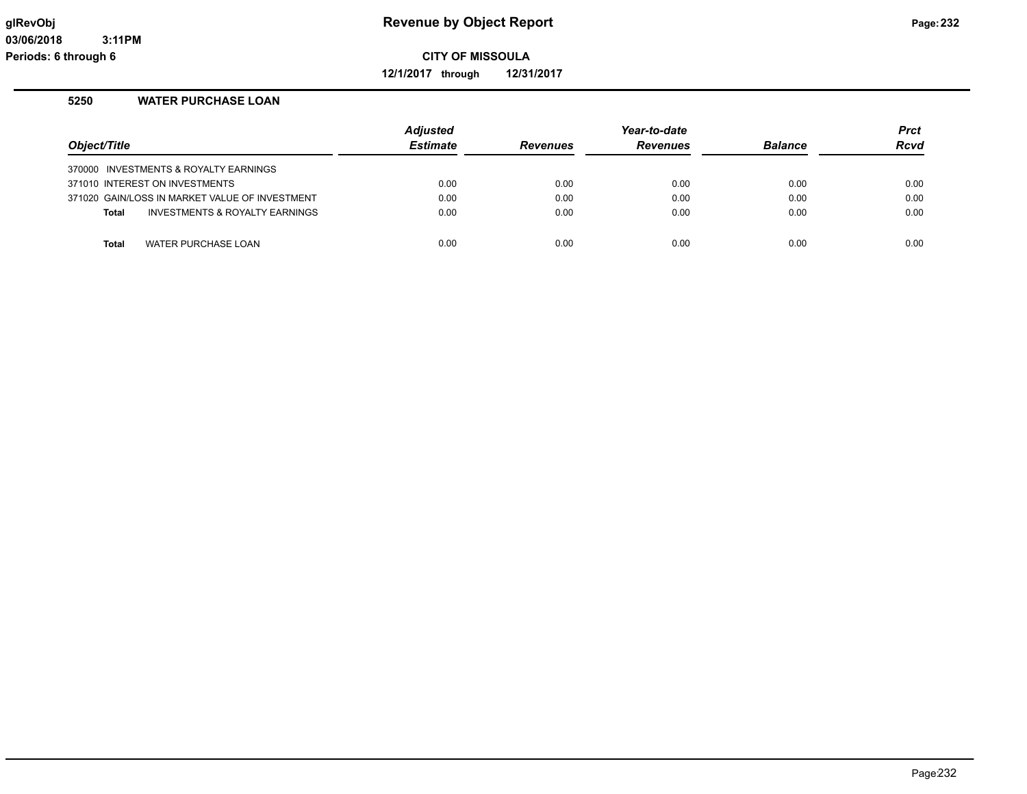**12/1/2017 through 12/31/2017**

## **5250 WATER PURCHASE LOAN**

| Object/Title                                   | <b>Adjusted</b><br><b>Estimate</b> | <b>Revenues</b> | Year-to-date<br><b>Revenues</b> | <b>Balance</b> | <b>Prct</b><br><b>Rcvd</b> |
|------------------------------------------------|------------------------------------|-----------------|---------------------------------|----------------|----------------------------|
| 370000 INVESTMENTS & ROYALTY EARNINGS          |                                    |                 |                                 |                |                            |
| 371010 INTEREST ON INVESTMENTS                 | 0.00                               | 0.00            | 0.00                            | 0.00           | 0.00                       |
| 371020 GAIN/LOSS IN MARKET VALUE OF INVESTMENT | 0.00                               | 0.00            | 0.00                            | 0.00           | 0.00                       |
| INVESTMENTS & ROYALTY EARNINGS<br><b>Total</b> | 0.00                               | 0.00            | 0.00                            | 0.00           | 0.00                       |
|                                                |                                    |                 |                                 |                |                            |
| WATER PURCHASE LOAN<br><b>Total</b>            | 0.00                               | 0.00            | 0.00                            | 0.00           | 0.00                       |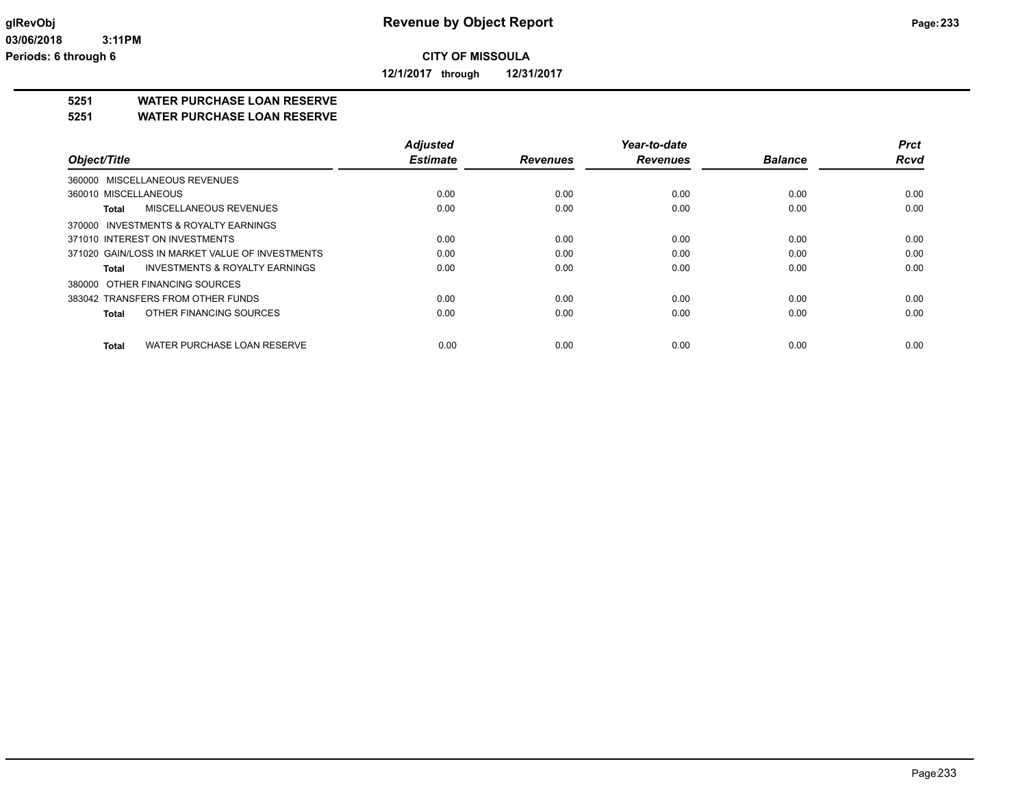**12/1/2017 through 12/31/2017**

## **5251 WATER PURCHASE LOAN RESERVE**

**5251 WATER PURCHASE LOAN RESERVE**

|                                                    | <b>Adjusted</b> |                 | Year-to-date    |                | <b>Prct</b> |
|----------------------------------------------------|-----------------|-----------------|-----------------|----------------|-------------|
| Object/Title                                       | <b>Estimate</b> | <b>Revenues</b> | <b>Revenues</b> | <b>Balance</b> | <b>Rcvd</b> |
| 360000 MISCELLANEOUS REVENUES                      |                 |                 |                 |                |             |
| 360010 MISCELLANEOUS                               | 0.00            | 0.00            | 0.00            | 0.00           | 0.00        |
| MISCELLANEOUS REVENUES<br>Total                    | 0.00            | 0.00            | 0.00            | 0.00           | 0.00        |
| 370000 INVESTMENTS & ROYALTY EARNINGS              |                 |                 |                 |                |             |
| 371010 INTEREST ON INVESTMENTS                     | 0.00            | 0.00            | 0.00            | 0.00           | 0.00        |
| 371020 GAIN/LOSS IN MARKET VALUE OF INVESTMENTS    | 0.00            | 0.00            | 0.00            | 0.00           | 0.00        |
| <b>INVESTMENTS &amp; ROYALTY EARNINGS</b><br>Total | 0.00            | 0.00            | 0.00            | 0.00           | 0.00        |
| 380000 OTHER FINANCING SOURCES                     |                 |                 |                 |                |             |
| 383042 TRANSFERS FROM OTHER FUNDS                  | 0.00            | 0.00            | 0.00            | 0.00           | 0.00        |
| OTHER FINANCING SOURCES<br><b>Total</b>            | 0.00            | 0.00            | 0.00            | 0.00           | 0.00        |
| WATER PURCHASE LOAN RESERVE<br><b>Total</b>        | 0.00            | 0.00            | 0.00            | 0.00           | 0.00        |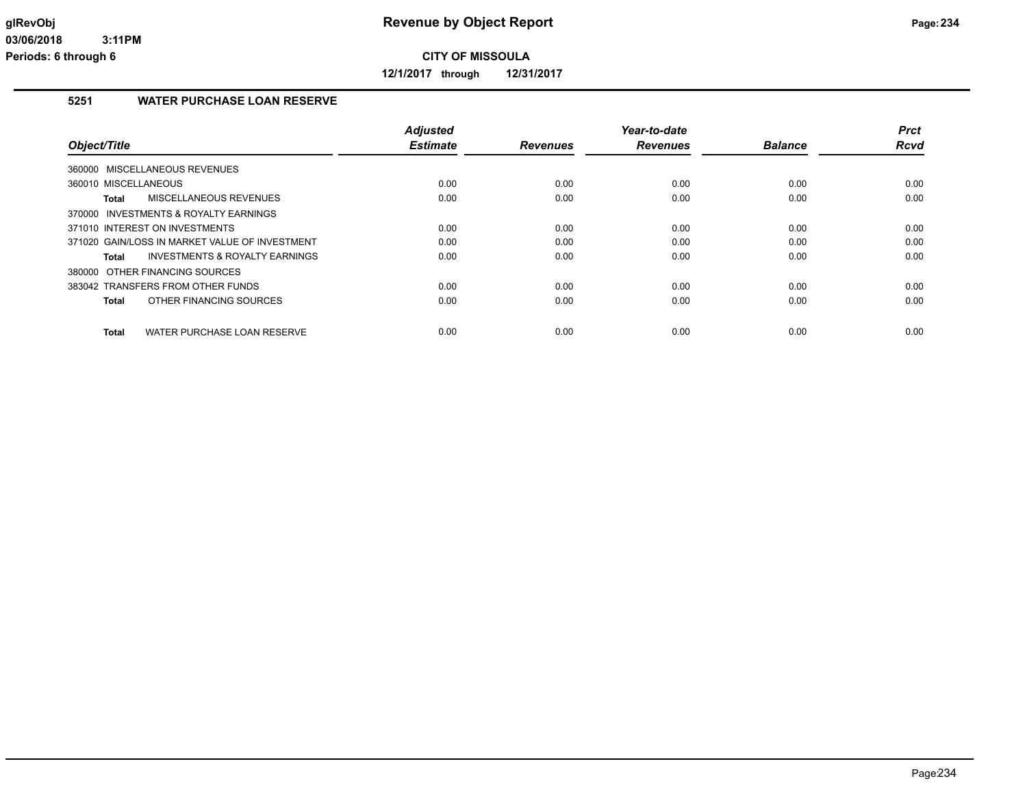**12/1/2017 through 12/31/2017**

# **5251 WATER PURCHASE LOAN RESERVE**

| <b>Adjusted</b> |                         | Year-to-date |                         | <b>Prct</b>            |
|-----------------|-------------------------|--------------|-------------------------|------------------------|
|                 | <b>Revenues</b>         |              |                         | <b>Rcvd</b>            |
|                 |                         |              |                         |                        |
| 0.00            | 0.00                    | 0.00         | 0.00                    | 0.00                   |
| 0.00            | 0.00                    | 0.00         | 0.00                    | 0.00                   |
|                 |                         |              |                         |                        |
| 0.00            | 0.00                    | 0.00         | 0.00                    | 0.00                   |
| 0.00            | 0.00                    | 0.00         | 0.00                    | 0.00                   |
| 0.00            | 0.00                    | 0.00         | 0.00                    | 0.00                   |
|                 |                         |              |                         |                        |
| 0.00            | 0.00                    | 0.00         | 0.00                    | 0.00                   |
| 0.00            | 0.00                    | 0.00         | 0.00                    | 0.00                   |
|                 |                         |              |                         | 0.00                   |
|                 | <b>Estimate</b><br>0.00 | 0.00         | <b>Revenues</b><br>0.00 | <b>Balance</b><br>0.00 |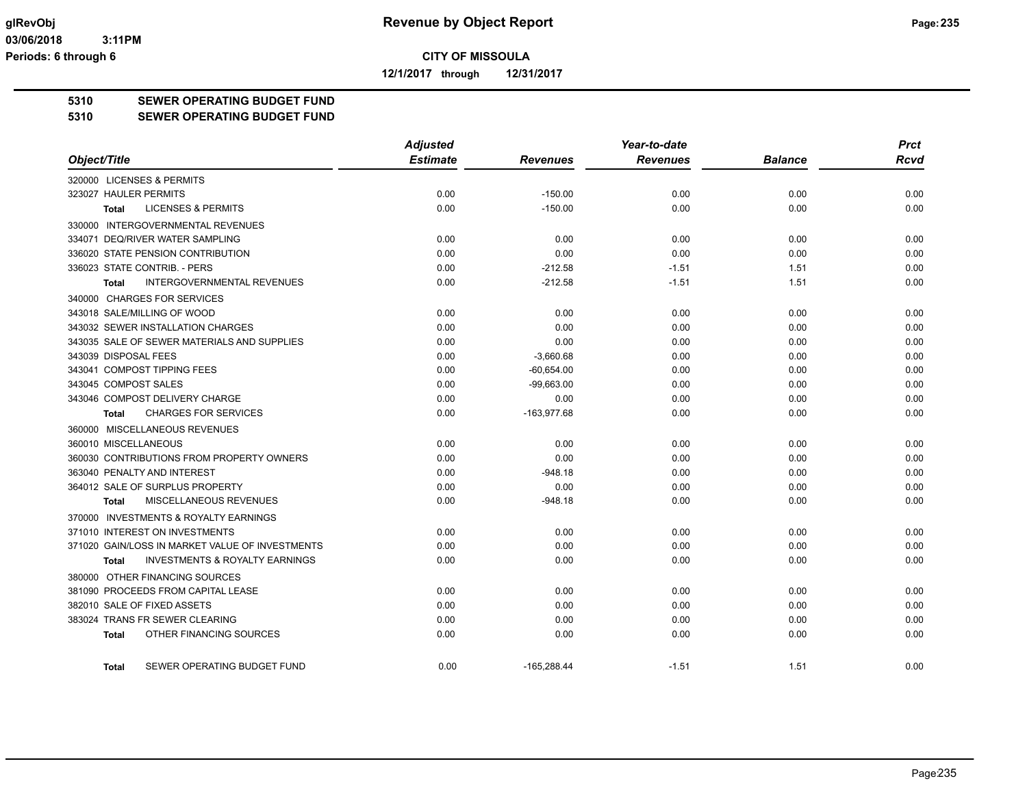**12/1/2017 through 12/31/2017**

# **5310 SEWER OPERATING BUDGET FUND**

#### **5310 SEWER OPERATING BUDGET FUND**

|                                                    | <b>Adjusted</b> |                 | Year-to-date    |                | <b>Prct</b> |
|----------------------------------------------------|-----------------|-----------------|-----------------|----------------|-------------|
| Object/Title                                       | <b>Estimate</b> | <b>Revenues</b> | <b>Revenues</b> | <b>Balance</b> | <b>Rcvd</b> |
| 320000 LICENSES & PERMITS                          |                 |                 |                 |                |             |
| 323027 HAULER PERMITS                              | 0.00            | $-150.00$       | 0.00            | 0.00           | 0.00        |
| <b>LICENSES &amp; PERMITS</b><br>Total             | 0.00            | $-150.00$       | 0.00            | 0.00           | 0.00        |
| 330000 INTERGOVERNMENTAL REVENUES                  |                 |                 |                 |                |             |
| 334071 DEQ/RIVER WATER SAMPLING                    | 0.00            | 0.00            | 0.00            | 0.00           | 0.00        |
| 336020 STATE PENSION CONTRIBUTION                  | 0.00            | 0.00            | 0.00            | 0.00           | 0.00        |
| 336023 STATE CONTRIB. - PERS                       | 0.00            | $-212.58$       | $-1.51$         | 1.51           | 0.00        |
| <b>INTERGOVERNMENTAL REVENUES</b><br><b>Total</b>  | 0.00            | $-212.58$       | $-1.51$         | 1.51           | 0.00        |
| 340000 CHARGES FOR SERVICES                        |                 |                 |                 |                |             |
| 343018 SALE/MILLING OF WOOD                        | 0.00            | 0.00            | 0.00            | 0.00           | 0.00        |
| 343032 SEWER INSTALLATION CHARGES                  | 0.00            | 0.00            | 0.00            | 0.00           | 0.00        |
| 343035 SALE OF SEWER MATERIALS AND SUPPLIES        | 0.00            | 0.00            | 0.00            | 0.00           | 0.00        |
| 343039 DISPOSAL FEES                               | 0.00            | $-3,660.68$     | 0.00            | 0.00           | 0.00        |
| 343041 COMPOST TIPPING FEES                        | 0.00            | $-60,654.00$    | 0.00            | 0.00           | 0.00        |
| 343045 COMPOST SALES                               | 0.00            | $-99,663.00$    | 0.00            | 0.00           | 0.00        |
| 343046 COMPOST DELIVERY CHARGE                     | 0.00            | 0.00            | 0.00            | 0.00           | 0.00        |
| <b>CHARGES FOR SERVICES</b><br><b>Total</b>        | 0.00            | $-163,977.68$   | 0.00            | 0.00           | 0.00        |
| 360000 MISCELLANEOUS REVENUES                      |                 |                 |                 |                |             |
| 360010 MISCELLANEOUS                               | 0.00            | 0.00            | 0.00            | 0.00           | 0.00        |
| 360030 CONTRIBUTIONS FROM PROPERTY OWNERS          | 0.00            | 0.00            | 0.00            | 0.00           | 0.00        |
| 363040 PENALTY AND INTEREST                        | 0.00            | $-948.18$       | 0.00            | 0.00           | 0.00        |
| 364012 SALE OF SURPLUS PROPERTY                    | 0.00            | 0.00            | 0.00            | 0.00           | 0.00        |
| MISCELLANEOUS REVENUES<br><b>Total</b>             | 0.00            | $-948.18$       | 0.00            | 0.00           | 0.00        |
| 370000 INVESTMENTS & ROYALTY EARNINGS              |                 |                 |                 |                |             |
| 371010 INTEREST ON INVESTMENTS                     | 0.00            | 0.00            | 0.00            | 0.00           | 0.00        |
| 371020 GAIN/LOSS IN MARKET VALUE OF INVESTMENTS    | 0.00            | 0.00            | 0.00            | 0.00           | 0.00        |
| <b>INVESTMENTS &amp; ROYALTY EARNINGS</b><br>Total | 0.00            | 0.00            | 0.00            | 0.00           | 0.00        |
| 380000 OTHER FINANCING SOURCES                     |                 |                 |                 |                |             |
| 381090 PROCEEDS FROM CAPITAL LEASE                 | 0.00            | 0.00            | 0.00            | 0.00           | 0.00        |
| 382010 SALE OF FIXED ASSETS                        | 0.00            | 0.00            | 0.00            | 0.00           | 0.00        |
| 383024 TRANS FR SEWER CLEARING                     | 0.00            | 0.00            | 0.00            | 0.00           | 0.00        |
| OTHER FINANCING SOURCES<br><b>Total</b>            | 0.00            | 0.00            | 0.00            | 0.00           | 0.00        |
| SEWER OPERATING BUDGET FUND<br>Total               | 0.00            | $-165.288.44$   | $-1.51$         | 1.51           | 0.00        |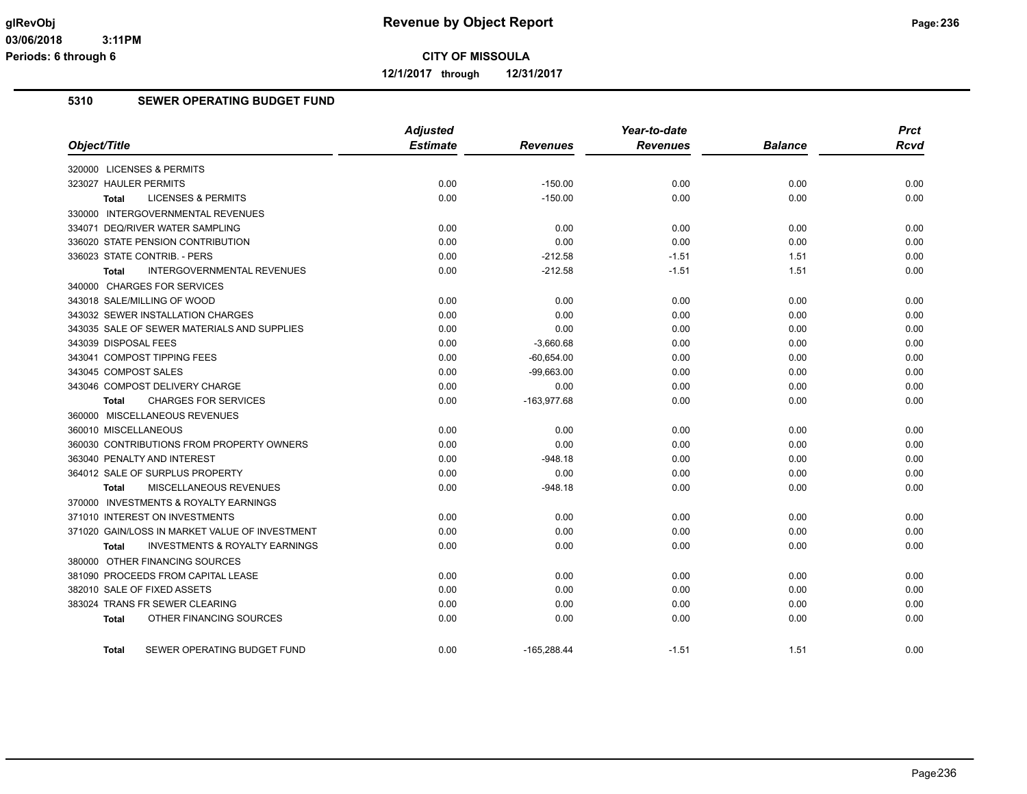**12/1/2017 through 12/31/2017**

## **5310 SEWER OPERATING BUDGET FUND**

|                                                           | <b>Adjusted</b> |                 | Year-to-date    |                | <b>Prct</b> |
|-----------------------------------------------------------|-----------------|-----------------|-----------------|----------------|-------------|
| Object/Title                                              | <b>Estimate</b> | <b>Revenues</b> | <b>Revenues</b> | <b>Balance</b> | <b>Rcvd</b> |
| 320000 LICENSES & PERMITS                                 |                 |                 |                 |                |             |
| 323027 HAULER PERMITS                                     | 0.00            | $-150.00$       | 0.00            | 0.00           | 0.00        |
| <b>LICENSES &amp; PERMITS</b><br><b>Total</b>             | 0.00            | $-150.00$       | 0.00            | 0.00           | 0.00        |
| 330000 INTERGOVERNMENTAL REVENUES                         |                 |                 |                 |                |             |
| 334071 DEQ/RIVER WATER SAMPLING                           | 0.00            | 0.00            | 0.00            | 0.00           | 0.00        |
| 336020 STATE PENSION CONTRIBUTION                         | 0.00            | 0.00            | 0.00            | 0.00           | 0.00        |
| 336023 STATE CONTRIB. - PERS                              | 0.00            | $-212.58$       | $-1.51$         | 1.51           | 0.00        |
| <b>INTERGOVERNMENTAL REVENUES</b><br><b>Total</b>         | 0.00            | $-212.58$       | $-1.51$         | 1.51           | 0.00        |
| 340000 CHARGES FOR SERVICES                               |                 |                 |                 |                |             |
| 343018 SALE/MILLING OF WOOD                               | 0.00            | 0.00            | 0.00            | 0.00           | 0.00        |
| 343032 SEWER INSTALLATION CHARGES                         | 0.00            | 0.00            | 0.00            | 0.00           | 0.00        |
| 343035 SALE OF SEWER MATERIALS AND SUPPLIES               | 0.00            | 0.00            | 0.00            | 0.00           | 0.00        |
| 343039 DISPOSAL FEES                                      | 0.00            | $-3,660.68$     | 0.00            | 0.00           | 0.00        |
| 343041 COMPOST TIPPING FEES                               | 0.00            | $-60,654.00$    | 0.00            | 0.00           | 0.00        |
| 343045 COMPOST SALES                                      | 0.00            | $-99,663.00$    | 0.00            | 0.00           | 0.00        |
| 343046 COMPOST DELIVERY CHARGE                            | 0.00            | 0.00            | 0.00            | 0.00           | 0.00        |
| <b>CHARGES FOR SERVICES</b><br><b>Total</b>               | 0.00            | $-163,977.68$   | 0.00            | 0.00           | 0.00        |
| 360000 MISCELLANEOUS REVENUES                             |                 |                 |                 |                |             |
| 360010 MISCELLANEOUS                                      | 0.00            | 0.00            | 0.00            | 0.00           | 0.00        |
| 360030 CONTRIBUTIONS FROM PROPERTY OWNERS                 | 0.00            | 0.00            | 0.00            | 0.00           | 0.00        |
| 363040 PENALTY AND INTEREST                               | 0.00            | $-948.18$       | 0.00            | 0.00           | 0.00        |
| 364012 SALE OF SURPLUS PROPERTY                           | 0.00            | 0.00            | 0.00            | 0.00           | 0.00        |
| MISCELLANEOUS REVENUES<br><b>Total</b>                    | 0.00            | $-948.18$       | 0.00            | 0.00           | 0.00        |
| 370000 INVESTMENTS & ROYALTY EARNINGS                     |                 |                 |                 |                |             |
| 371010 INTEREST ON INVESTMENTS                            | 0.00            | 0.00            | 0.00            | 0.00           | 0.00        |
| 371020 GAIN/LOSS IN MARKET VALUE OF INVESTMENT            | 0.00            | 0.00            | 0.00            | 0.00           | 0.00        |
| <b>INVESTMENTS &amp; ROYALTY EARNINGS</b><br><b>Total</b> | 0.00            | 0.00            | 0.00            | 0.00           | 0.00        |
| 380000 OTHER FINANCING SOURCES                            |                 |                 |                 |                |             |
| 381090 PROCEEDS FROM CAPITAL LEASE                        | 0.00            | 0.00            | 0.00            | 0.00           | 0.00        |
| 382010 SALE OF FIXED ASSETS                               | 0.00            | 0.00            | 0.00            | 0.00           | 0.00        |
| 383024 TRANS FR SEWER CLEARING                            | 0.00            | 0.00            | 0.00            | 0.00           | 0.00        |
| OTHER FINANCING SOURCES<br><b>Total</b>                   | 0.00            | 0.00            | 0.00            | 0.00           | 0.00        |
| SEWER OPERATING BUDGET FUND<br>Total                      | 0.00            | $-165,288.44$   | $-1.51$         | 1.51           | 0.00        |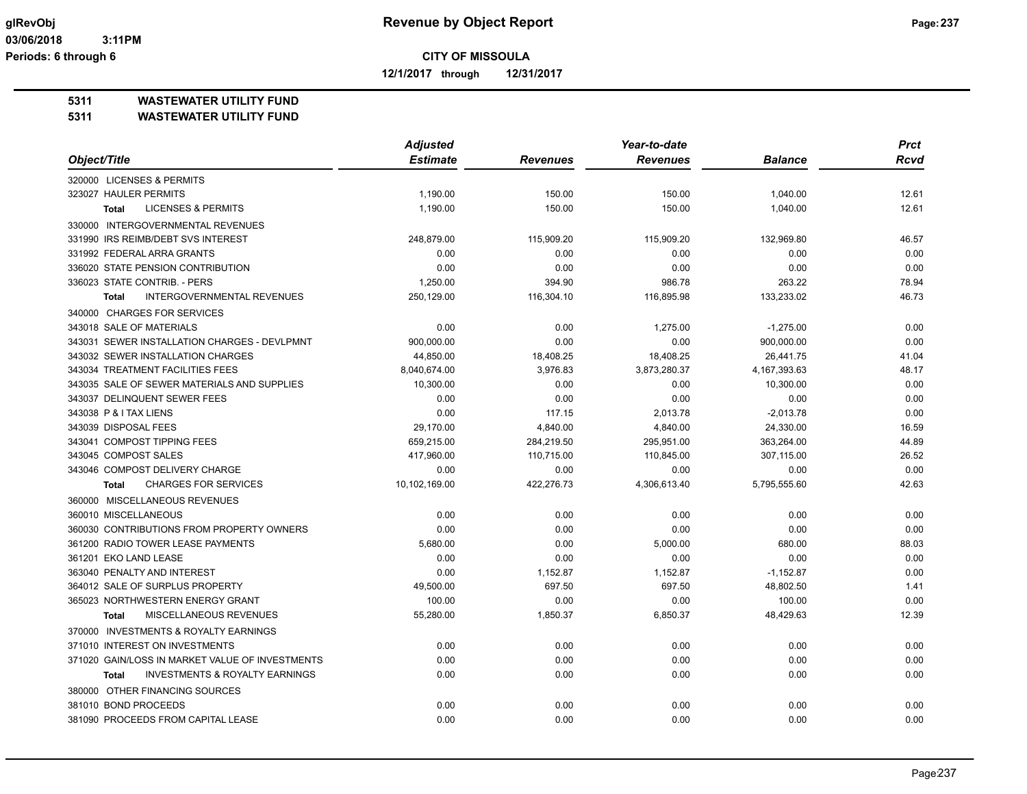**12/1/2017 through 12/31/2017**

#### **5311 WASTEWATER UTILITY FUND**

|                                                           | <b>Adjusted</b> | Year-to-date    |                 |                 | <b>Prct</b> |
|-----------------------------------------------------------|-----------------|-----------------|-----------------|-----------------|-------------|
| Object/Title                                              | <b>Estimate</b> | <b>Revenues</b> | <b>Revenues</b> | <b>Balance</b>  | <b>Rcvd</b> |
| 320000 LICENSES & PERMITS                                 |                 |                 |                 |                 |             |
| 323027 HAULER PERMITS                                     | 1,190.00        | 150.00          | 150.00          | 1,040.00        | 12.61       |
| <b>LICENSES &amp; PERMITS</b><br><b>Total</b>             | 1,190.00        | 150.00          | 150.00          | 1,040.00        | 12.61       |
| 330000 INTERGOVERNMENTAL REVENUES                         |                 |                 |                 |                 |             |
| 331990 IRS REIMB/DEBT SVS INTEREST                        | 248,879.00      | 115,909.20      | 115,909.20      | 132,969.80      | 46.57       |
| 331992 FEDERAL ARRA GRANTS                                | 0.00            | 0.00            | 0.00            | 0.00            | 0.00        |
| 336020 STATE PENSION CONTRIBUTION                         | 0.00            | 0.00            | 0.00            | 0.00            | 0.00        |
| 336023 STATE CONTRIB. - PERS                              | 1,250.00        | 394.90          | 986.78          | 263.22          | 78.94       |
| <b>INTERGOVERNMENTAL REVENUES</b><br><b>Total</b>         | 250,129.00      | 116,304.10      | 116,895.98      | 133,233.02      | 46.73       |
| 340000 CHARGES FOR SERVICES                               |                 |                 |                 |                 |             |
| 343018 SALE OF MATERIALS                                  | 0.00            | 0.00            | 1,275.00        | $-1,275.00$     | 0.00        |
| 343031 SEWER INSTALLATION CHARGES - DEVLPMNT              | 900,000.00      | 0.00            | 0.00            | 900,000.00      | 0.00        |
| 343032 SEWER INSTALLATION CHARGES                         | 44,850.00       | 18,408.25       | 18,408.25       | 26,441.75       | 41.04       |
| 343034 TREATMENT FACILITIES FEES                          | 8,040,674.00    | 3,976.83        | 3,873,280.37    | 4, 167, 393. 63 | 48.17       |
| 343035 SALE OF SEWER MATERIALS AND SUPPLIES               | 10,300.00       | 0.00            | 0.00            | 10,300.00       | 0.00        |
| 343037 DELINQUENT SEWER FEES                              | 0.00            | 0.00            | 0.00            | 0.00            | 0.00        |
| 343038 P & I TAX LIENS                                    | 0.00            | 117.15          | 2,013.78        | $-2,013.78$     | 0.00        |
| 343039 DISPOSAL FEES                                      | 29.170.00       | 4,840.00        | 4,840.00        | 24,330.00       | 16.59       |
| 343041 COMPOST TIPPING FEES                               | 659,215.00      | 284,219.50      | 295,951.00      | 363,264.00      | 44.89       |
| 343045 COMPOST SALES                                      | 417,960.00      | 110,715.00      | 110,845.00      | 307,115.00      | 26.52       |
| 343046 COMPOST DELIVERY CHARGE                            | 0.00            | 0.00            | 0.00            | 0.00            | 0.00        |
| <b>CHARGES FOR SERVICES</b><br><b>Total</b>               | 10,102,169.00   | 422,276.73      | 4,306,613.40    | 5,795,555.60    | 42.63       |
| 360000 MISCELLANEOUS REVENUES                             |                 |                 |                 |                 |             |
| 360010 MISCELLANEOUS                                      | 0.00            | 0.00            | 0.00            | 0.00            | 0.00        |
| 360030 CONTRIBUTIONS FROM PROPERTY OWNERS                 | 0.00            | 0.00            | 0.00            | 0.00            | 0.00        |
| 361200 RADIO TOWER LEASE PAYMENTS                         | 5,680.00        | 0.00            | 5,000.00        | 680.00          | 88.03       |
| 361201 EKO LAND LEASE                                     | 0.00            | 0.00            | 0.00            | 0.00            | 0.00        |
| 363040 PENALTY AND INTEREST                               | 0.00            | 1,152.87        | 1,152.87        | $-1,152.87$     | 0.00        |
| 364012 SALE OF SURPLUS PROPERTY                           | 49,500.00       | 697.50          | 697.50          | 48,802.50       | 1.41        |
| 365023 NORTHWESTERN ENERGY GRANT                          | 100.00          | 0.00            | 0.00            | 100.00          | 0.00        |
| MISCELLANEOUS REVENUES<br><b>Total</b>                    | 55,280.00       | 1,850.37        | 6,850.37        | 48,429.63       | 12.39       |
| 370000 INVESTMENTS & ROYALTY EARNINGS                     |                 |                 |                 |                 |             |
| 371010 INTEREST ON INVESTMENTS                            | 0.00            | 0.00            | 0.00            | 0.00            | 0.00        |
| 371020 GAIN/LOSS IN MARKET VALUE OF INVESTMENTS           | 0.00            | 0.00            | 0.00            | 0.00            | 0.00        |
| <b>INVESTMENTS &amp; ROYALTY EARNINGS</b><br><b>Total</b> | 0.00            | 0.00            | 0.00            | 0.00            | 0.00        |
| 380000 OTHER FINANCING SOURCES                            |                 |                 |                 |                 |             |
| 381010 BOND PROCEEDS                                      | 0.00            | 0.00            | 0.00            | 0.00            | 0.00        |
| 381090 PROCEEDS FROM CAPITAL LEASE                        | 0.00            | 0.00            | 0.00            | 0.00            | 0.00        |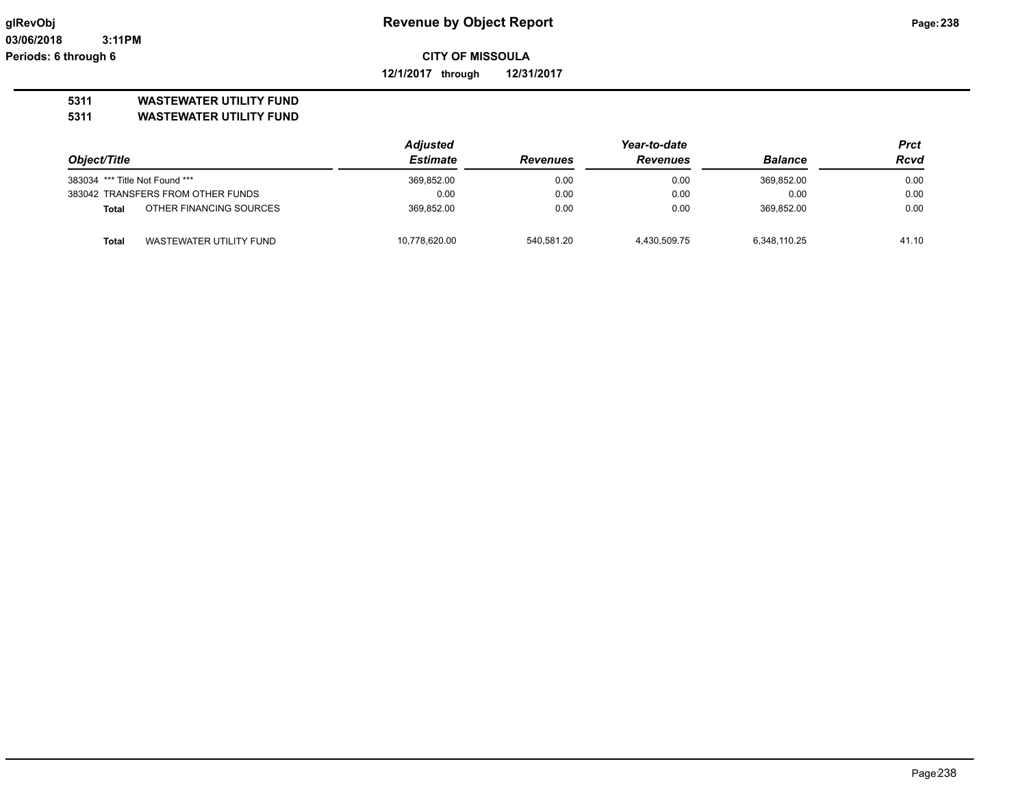**12/1/2017 through 12/31/2017**

# **5311 WASTEWATER UTILITY FUND**

|                                |                                   | <b>Adjusted</b> |                 | Prct            |                |             |
|--------------------------------|-----------------------------------|-----------------|-----------------|-----------------|----------------|-------------|
| Object/Title                   |                                   | Estimate        | <b>Revenues</b> | <b>Revenues</b> | <b>Balance</b> | <b>Rcvd</b> |
| 383034 *** Title Not Found *** |                                   | 369,852.00      | 0.00            | 0.00            | 369,852.00     | 0.00        |
|                                | 383042 TRANSFERS FROM OTHER FUNDS | 0.00            | 0.00            | 0.00            | 0.00           | 0.00        |
| Total                          | OTHER FINANCING SOURCES           | 369.852.00      | 0.00            | 0.00            | 369.852.00     | 0.00        |
| <b>Total</b>                   | WASTEWATER UTILITY FUND           | 10,778,620.00   | 540.581.20      | 4,430,509.75    | 6.348.110.25   | 41.10       |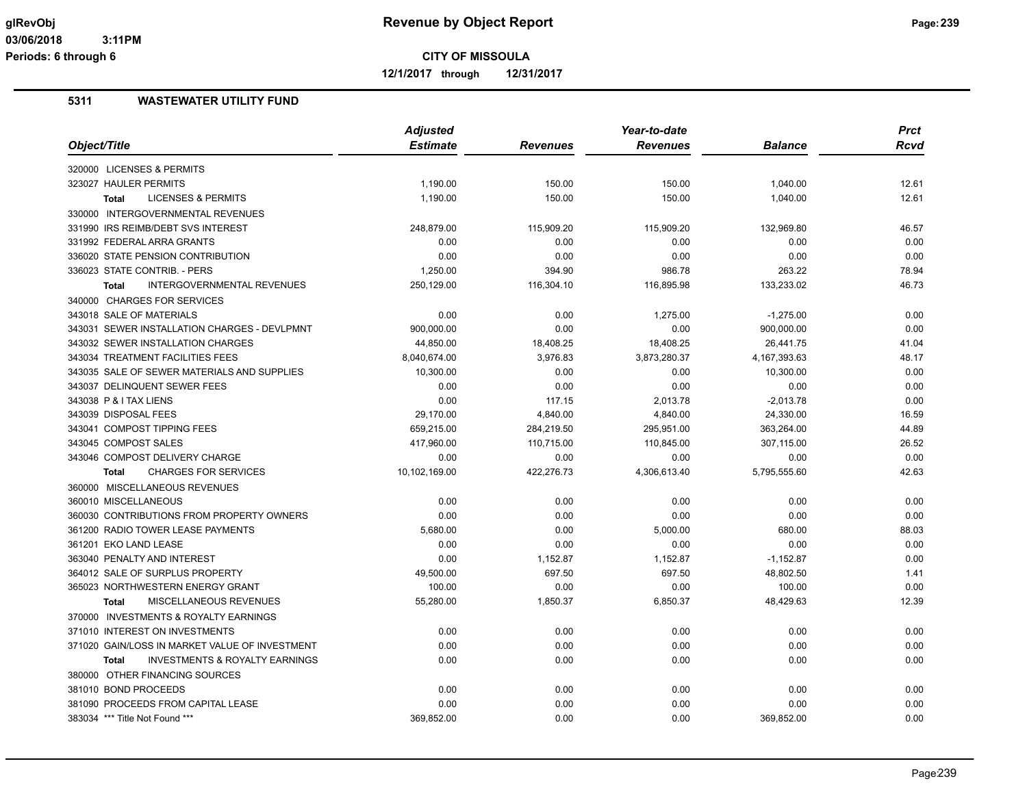**12/1/2017 through 12/31/2017**

|                                                           | <b>Adjusted</b> |                 | Year-to-date |                 | <b>Prct</b> |
|-----------------------------------------------------------|-----------------|-----------------|--------------|-----------------|-------------|
| Object/Title                                              | <b>Estimate</b> | <b>Revenues</b> | Revenues     | <b>Balance</b>  | <b>Rcvd</b> |
| 320000 LICENSES & PERMITS                                 |                 |                 |              |                 |             |
| 323027 HAULER PERMITS                                     | 1,190.00        | 150.00          | 150.00       | 1,040.00        | 12.61       |
| <b>LICENSES &amp; PERMITS</b><br><b>Total</b>             | 1,190.00        | 150.00          | 150.00       | 1,040.00        | 12.61       |
| 330000 INTERGOVERNMENTAL REVENUES                         |                 |                 |              |                 |             |
| 331990 IRS REIMB/DEBT SVS INTEREST                        | 248,879.00      | 115,909.20      | 115,909.20   | 132,969.80      | 46.57       |
| 331992 FEDERAL ARRA GRANTS                                | 0.00            | 0.00            | 0.00         | 0.00            | 0.00        |
| 336020 STATE PENSION CONTRIBUTION                         | 0.00            | 0.00            | 0.00         | 0.00            | 0.00        |
| 336023 STATE CONTRIB. - PERS                              | 1,250.00        | 394.90          | 986.78       | 263.22          | 78.94       |
| <b>INTERGOVERNMENTAL REVENUES</b><br><b>Total</b>         | 250,129.00      | 116,304.10      | 116,895.98   | 133,233.02      | 46.73       |
| 340000 CHARGES FOR SERVICES                               |                 |                 |              |                 |             |
| 343018 SALE OF MATERIALS                                  | 0.00            | 0.00            | 1,275.00     | $-1,275.00$     | 0.00        |
| 343031 SEWER INSTALLATION CHARGES - DEVLPMNT              | 900,000.00      | 0.00            | 0.00         | 900,000.00      | 0.00        |
| 343032 SEWER INSTALLATION CHARGES                         | 44,850.00       | 18,408.25       | 18,408.25    | 26,441.75       | 41.04       |
| 343034 TREATMENT FACILITIES FEES                          | 8,040,674.00    | 3,976.83        | 3,873,280.37 | 4, 167, 393. 63 | 48.17       |
| 343035 SALE OF SEWER MATERIALS AND SUPPLIES               | 10,300.00       | 0.00            | 0.00         | 10,300.00       | 0.00        |
| 343037 DELINQUENT SEWER FEES                              | 0.00            | 0.00            | 0.00         | 0.00            | 0.00        |
| 343038 P & I TAX LIENS                                    | 0.00            | 117.15          | 2,013.78     | $-2,013.78$     | 0.00        |
| 343039 DISPOSAL FEES                                      | 29,170.00       | 4,840.00        | 4,840.00     | 24,330.00       | 16.59       |
| 343041 COMPOST TIPPING FEES                               | 659,215.00      | 284,219.50      | 295,951.00   | 363,264.00      | 44.89       |
| 343045 COMPOST SALES                                      | 417,960.00      | 110,715.00      | 110,845.00   | 307,115.00      | 26.52       |
| 343046 COMPOST DELIVERY CHARGE                            | 0.00            | 0.00            | 0.00         | 0.00            | 0.00        |
| <b>CHARGES FOR SERVICES</b><br><b>Total</b>               | 10,102,169.00   | 422,276.73      | 4,306,613.40 | 5,795,555.60    | 42.63       |
| 360000 MISCELLANEOUS REVENUES                             |                 |                 |              |                 |             |
| 360010 MISCELLANEOUS                                      | 0.00            | 0.00            | 0.00         | 0.00            | 0.00        |
| 360030 CONTRIBUTIONS FROM PROPERTY OWNERS                 | 0.00            | 0.00            | 0.00         | 0.00            | 0.00        |
| 361200 RADIO TOWER LEASE PAYMENTS                         | 5,680.00        | 0.00            | 5,000.00     | 680.00          | 88.03       |
| 361201 EKO LAND LEASE                                     | 0.00            | 0.00            | 0.00         | 0.00            | 0.00        |
| 363040 PENALTY AND INTEREST                               | 0.00            | 1,152.87        | 1,152.87     | $-1,152.87$     | 0.00        |
| 364012 SALE OF SURPLUS PROPERTY                           | 49,500.00       | 697.50          | 697.50       | 48,802.50       | 1.41        |
| 365023 NORTHWESTERN ENERGY GRANT                          | 100.00          | 0.00            | 0.00         | 100.00          | 0.00        |
| MISCELLANEOUS REVENUES<br><b>Total</b>                    | 55,280.00       | 1,850.37        | 6,850.37     | 48,429.63       | 12.39       |
| 370000 INVESTMENTS & ROYALTY EARNINGS                     |                 |                 |              |                 |             |
| 371010 INTEREST ON INVESTMENTS                            | 0.00            | 0.00            | 0.00         | 0.00            | 0.00        |
| 371020 GAIN/LOSS IN MARKET VALUE OF INVESTMENT            | 0.00            | 0.00            | 0.00         | 0.00            | 0.00        |
| <b>INVESTMENTS &amp; ROYALTY EARNINGS</b><br><b>Total</b> | 0.00            | 0.00            | 0.00         | 0.00            | 0.00        |
|                                                           |                 |                 |              |                 |             |
| 380000 OTHER FINANCING SOURCES                            |                 |                 |              |                 |             |
| 381010 BOND PROCEEDS                                      | 0.00            | 0.00            | 0.00         | 0.00            | 0.00        |
| 381090 PROCEEDS FROM CAPITAL LEASE                        | 0.00            | 0.00            | 0.00         | 0.00            | 0.00        |
| 383034 *** Title Not Found ***                            | 369,852.00      | 0.00            | 0.00         | 369,852.00      | 0.00        |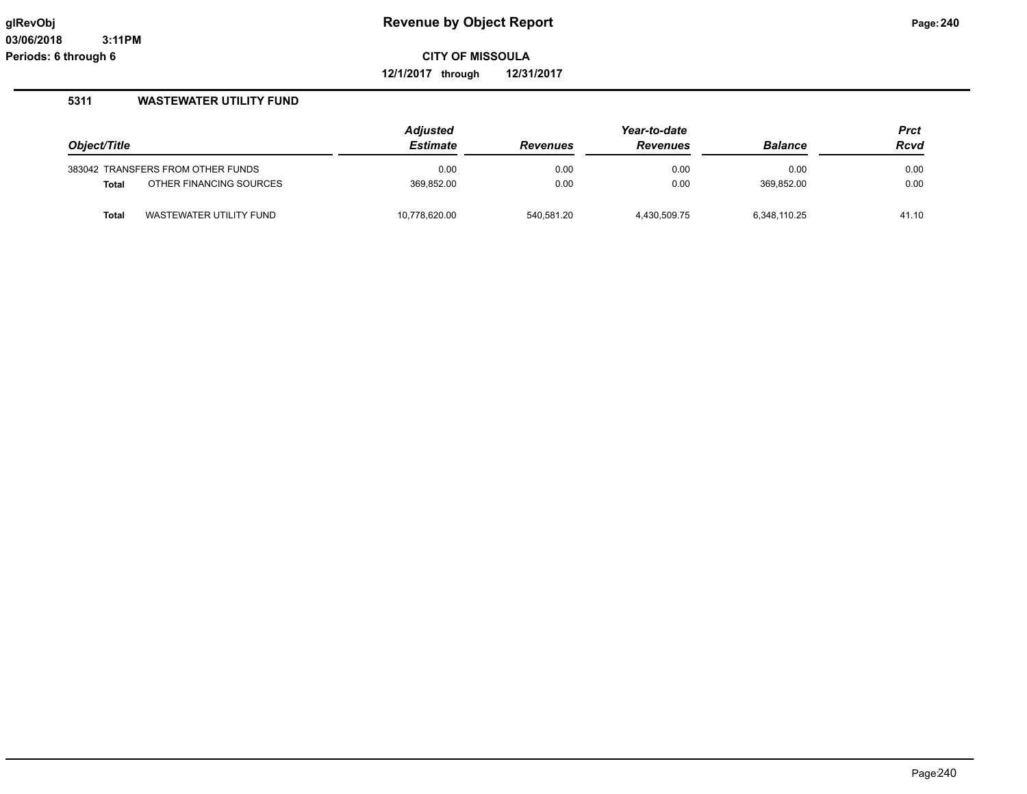**12/1/2017 through 12/31/2017**

|              |                                   | <b>Adjusted</b> | Year-to-date    |                 |                | <b>Prct</b> |
|--------------|-----------------------------------|-----------------|-----------------|-----------------|----------------|-------------|
| Object/Title |                                   | <b>Estimate</b> | <b>Revenues</b> | <b>Revenues</b> | <b>Balance</b> | <b>Rcvd</b> |
|              | 383042 TRANSFERS FROM OTHER FUNDS | 0.00            | 0.00            | 0.00            | 0.00           | 0.00        |
| <b>Total</b> | OTHER FINANCING SOURCES           | 369,852.00      | 0.00            | 0.00            | 369.852.00     | 0.00        |
| <b>Total</b> | WASTEWATER UTILITY FUND           | 10,778,620.00   | 540.581.20      | 4.430.509.75    | 6.348.110.25   | 41.10       |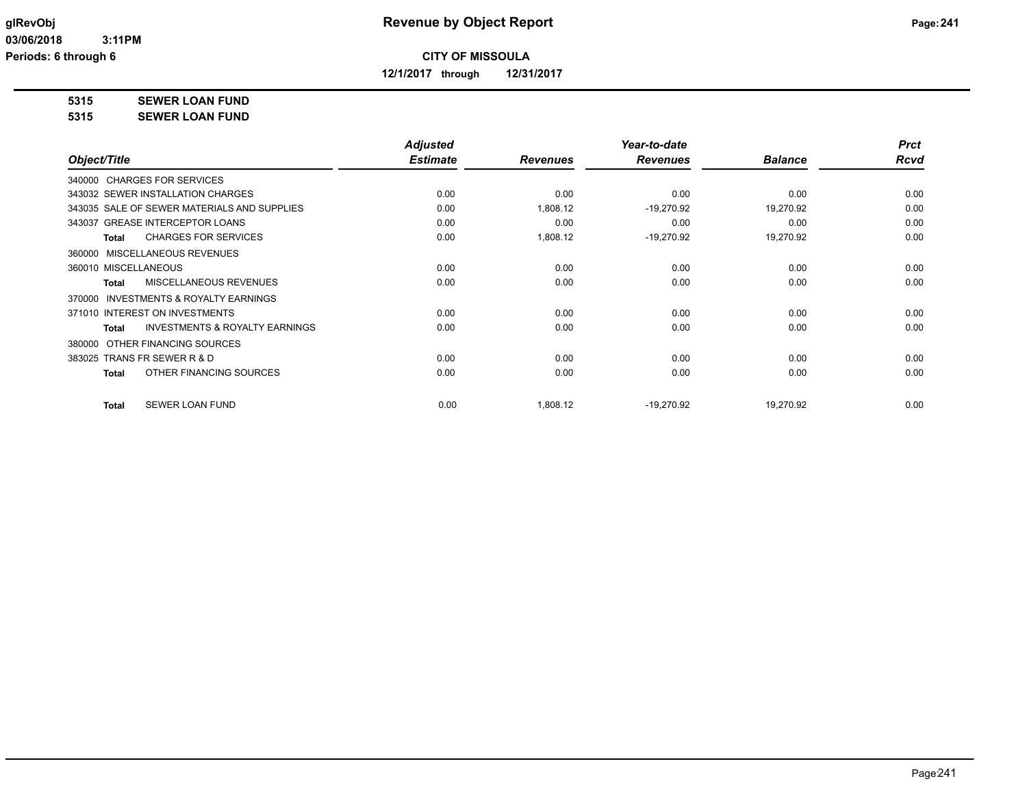**12/1/2017 through 12/31/2017**

**5315 SEWER LOAN FUND**

**5315 SEWER LOAN FUND**

|                                                     | <b>Adjusted</b> |                 | Year-to-date    |                | <b>Prct</b> |
|-----------------------------------------------------|-----------------|-----------------|-----------------|----------------|-------------|
| Object/Title                                        | <b>Estimate</b> | <b>Revenues</b> | <b>Revenues</b> | <b>Balance</b> | <b>Rcvd</b> |
| 340000 CHARGES FOR SERVICES                         |                 |                 |                 |                |             |
| 343032 SEWER INSTALLATION CHARGES                   | 0.00            | 0.00            | 0.00            | 0.00           | 0.00        |
| 343035 SALE OF SEWER MATERIALS AND SUPPLIES         | 0.00            | 1,808.12        | $-19,270.92$    | 19,270.92      | 0.00        |
| 343037 GREASE INTERCEPTOR LOANS                     | 0.00            | 0.00            | 0.00            | 0.00           | 0.00        |
| <b>CHARGES FOR SERVICES</b><br>Total                | 0.00            | 1,808.12        | $-19,270.92$    | 19,270.92      | 0.00        |
| 360000 MISCELLANEOUS REVENUES                       |                 |                 |                 |                |             |
| 360010 MISCELLANEOUS                                | 0.00            | 0.00            | 0.00            | 0.00           | 0.00        |
| MISCELLANEOUS REVENUES<br>Total                     | 0.00            | 0.00            | 0.00            | 0.00           | 0.00        |
| <b>INVESTMENTS &amp; ROYALTY EARNINGS</b><br>370000 |                 |                 |                 |                |             |
| 371010 INTEREST ON INVESTMENTS                      | 0.00            | 0.00            | 0.00            | 0.00           | 0.00        |
| <b>INVESTMENTS &amp; ROYALTY EARNINGS</b><br>Total  | 0.00            | 0.00            | 0.00            | 0.00           | 0.00        |
| OTHER FINANCING SOURCES<br>380000                   |                 |                 |                 |                |             |
| 383025 TRANS FR SEWER R & D                         | 0.00            | 0.00            | 0.00            | 0.00           | 0.00        |
| OTHER FINANCING SOURCES<br>Total                    | 0.00            | 0.00            | 0.00            | 0.00           | 0.00        |
| <b>SEWER LOAN FUND</b><br><b>Total</b>              | 0.00            | 1,808.12        | $-19,270.92$    | 19,270.92      | 0.00        |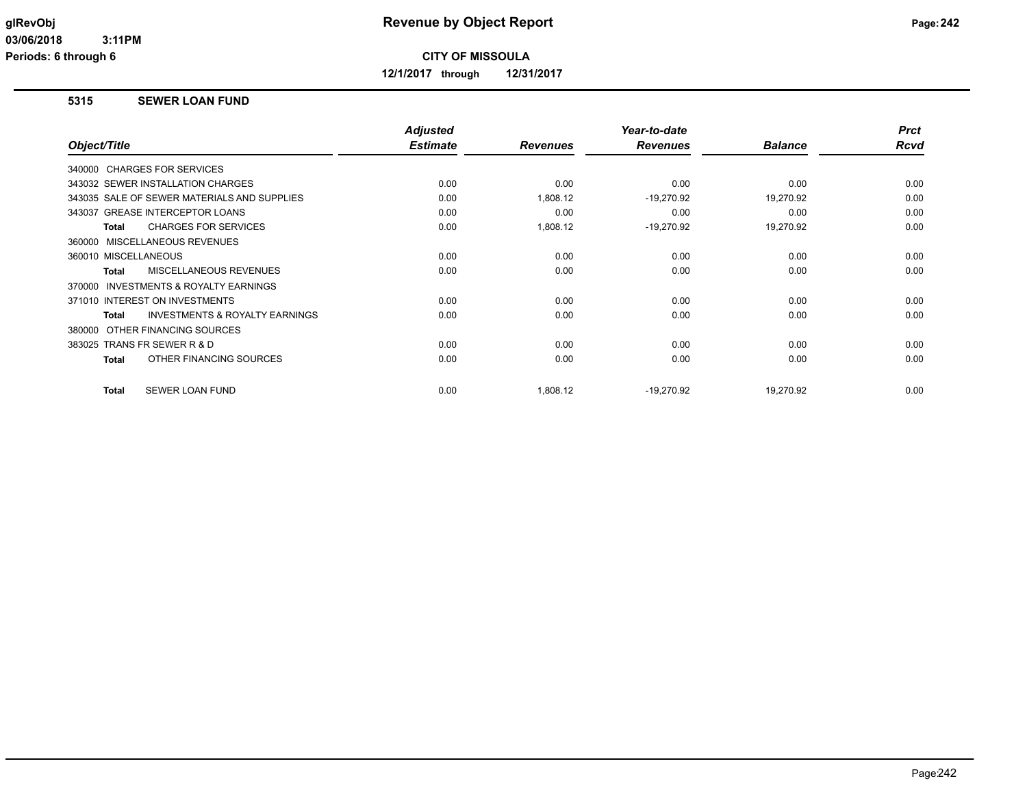**12/1/2017 through 12/31/2017**

## **5315 SEWER LOAN FUND**

|                                                           | <b>Adjusted</b> |                 | Year-to-date    |                | <b>Prct</b> |
|-----------------------------------------------------------|-----------------|-----------------|-----------------|----------------|-------------|
| Object/Title                                              | <b>Estimate</b> | <b>Revenues</b> | <b>Revenues</b> | <b>Balance</b> | <b>Rcvd</b> |
| 340000 CHARGES FOR SERVICES                               |                 |                 |                 |                |             |
| 343032 SEWER INSTALLATION CHARGES                         | 0.00            | 0.00            | 0.00            | 0.00           | 0.00        |
| 343035 SALE OF SEWER MATERIALS AND SUPPLIES               | 0.00            | 1,808.12        | $-19,270.92$    | 19,270.92      | 0.00        |
| 343037 GREASE INTERCEPTOR LOANS                           | 0.00            | 0.00            | 0.00            | 0.00           | 0.00        |
| <b>CHARGES FOR SERVICES</b><br><b>Total</b>               | 0.00            | 1,808.12        | $-19,270.92$    | 19,270.92      | 0.00        |
| 360000 MISCELLANEOUS REVENUES                             |                 |                 |                 |                |             |
| 360010 MISCELLANEOUS                                      | 0.00            | 0.00            | 0.00            | 0.00           | 0.00        |
| MISCELLANEOUS REVENUES<br><b>Total</b>                    | 0.00            | 0.00            | 0.00            | 0.00           | 0.00        |
| <b>INVESTMENTS &amp; ROYALTY EARNINGS</b><br>370000       |                 |                 |                 |                |             |
| 371010 INTEREST ON INVESTMENTS                            | 0.00            | 0.00            | 0.00            | 0.00           | 0.00        |
| <b>INVESTMENTS &amp; ROYALTY EARNINGS</b><br><b>Total</b> | 0.00            | 0.00            | 0.00            | 0.00           | 0.00        |
| OTHER FINANCING SOURCES<br>380000                         |                 |                 |                 |                |             |
| 383025 TRANS FR SEWER R & D                               | 0.00            | 0.00            | 0.00            | 0.00           | 0.00        |
| OTHER FINANCING SOURCES<br><b>Total</b>                   | 0.00            | 0.00            | 0.00            | 0.00           | 0.00        |
|                                                           |                 |                 |                 |                |             |
| <b>SEWER LOAN FUND</b><br><b>Total</b>                    | 0.00            | 1,808.12        | $-19.270.92$    | 19.270.92      | 0.00        |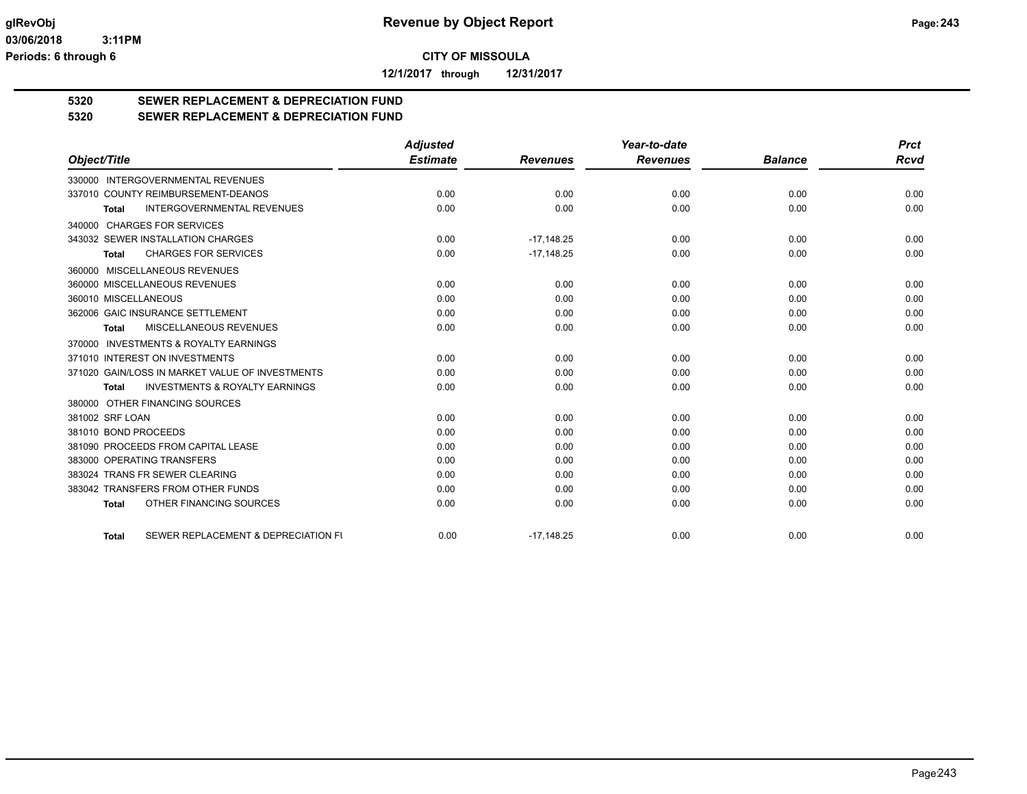**12/1/2017 through 12/31/2017**

# **5320 SEWER REPLACEMENT & DEPRECIATION FUND**

# **5320 SEWER REPLACEMENT & DEPRECIATION FUND**

|                                                           | <b>Adjusted</b> |                 | Year-to-date    |                | <b>Prct</b> |
|-----------------------------------------------------------|-----------------|-----------------|-----------------|----------------|-------------|
| Object/Title                                              | <b>Estimate</b> | <b>Revenues</b> | <b>Revenues</b> | <b>Balance</b> | <b>Rcvd</b> |
| 330000 INTERGOVERNMENTAL REVENUES                         |                 |                 |                 |                |             |
| 337010 COUNTY REIMBURSEMENT-DEANOS                        | 0.00            | 0.00            | 0.00            | 0.00           | 0.00        |
| <b>INTERGOVERNMENTAL REVENUES</b><br><b>Total</b>         | 0.00            | 0.00            | 0.00            | 0.00           | 0.00        |
| 340000 CHARGES FOR SERVICES                               |                 |                 |                 |                |             |
| 343032 SEWER INSTALLATION CHARGES                         | 0.00            | $-17,148.25$    | 0.00            | 0.00           | 0.00        |
| <b>CHARGES FOR SERVICES</b><br>Total                      | 0.00            | $-17,148.25$    | 0.00            | 0.00           | 0.00        |
| 360000 MISCELLANEOUS REVENUES                             |                 |                 |                 |                |             |
| 360000 MISCELLANEOUS REVENUES                             | 0.00            | 0.00            | 0.00            | 0.00           | 0.00        |
| 360010 MISCELLANEOUS                                      | 0.00            | 0.00            | 0.00            | 0.00           | 0.00        |
| 362006 GAIC INSURANCE SETTLEMENT                          | 0.00            | 0.00            | 0.00            | 0.00           | 0.00        |
| MISCELLANEOUS REVENUES<br>Total                           | 0.00            | 0.00            | 0.00            | 0.00           | 0.00        |
| <b>INVESTMENTS &amp; ROYALTY EARNINGS</b><br>370000       |                 |                 |                 |                |             |
| 371010 INTEREST ON INVESTMENTS                            | 0.00            | 0.00            | 0.00            | 0.00           | 0.00        |
| 371020 GAIN/LOSS IN MARKET VALUE OF INVESTMENTS           | 0.00            | 0.00            | 0.00            | 0.00           | 0.00        |
| <b>INVESTMENTS &amp; ROYALTY EARNINGS</b><br><b>Total</b> | 0.00            | 0.00            | 0.00            | 0.00           | 0.00        |
| 380000 OTHER FINANCING SOURCES                            |                 |                 |                 |                |             |
| 381002 SRF LOAN                                           | 0.00            | 0.00            | 0.00            | 0.00           | 0.00        |
| 381010 BOND PROCEEDS                                      | 0.00            | 0.00            | 0.00            | 0.00           | 0.00        |
| 381090 PROCEEDS FROM CAPITAL LEASE                        | 0.00            | 0.00            | 0.00            | 0.00           | 0.00        |
| 383000 OPERATING TRANSFERS                                | 0.00            | 0.00            | 0.00            | 0.00           | 0.00        |
| 383024 TRANS FR SEWER CLEARING                            | 0.00            | 0.00            | 0.00            | 0.00           | 0.00        |
| 383042 TRANSFERS FROM OTHER FUNDS                         | 0.00            | 0.00            | 0.00            | 0.00           | 0.00        |
| OTHER FINANCING SOURCES<br><b>Total</b>                   | 0.00            | 0.00            | 0.00            | 0.00           | 0.00        |
| SEWER REPLACEMENT & DEPRECIATION FI<br><b>Total</b>       | 0.00            | $-17,148.25$    | 0.00            | 0.00           | 0.00        |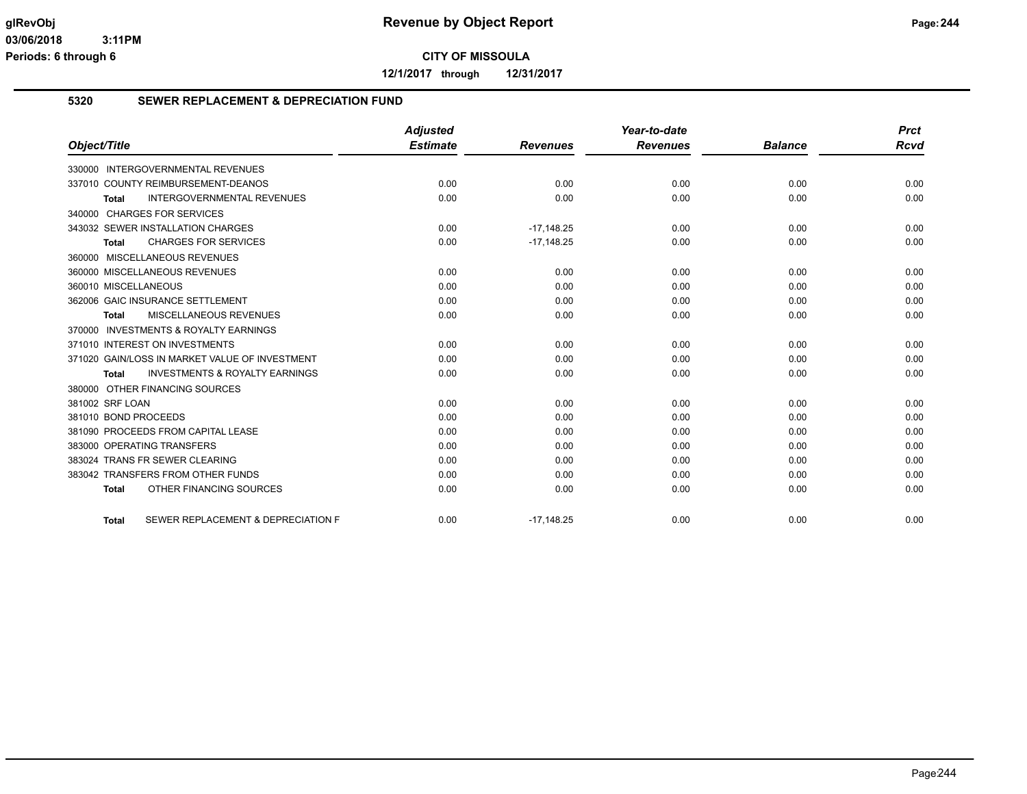**12/1/2017 through 12/31/2017**

## **5320 SEWER REPLACEMENT & DEPRECIATION FUND**

|                                                           | <b>Adjusted</b> |                 | Year-to-date    |                | <b>Prct</b> |
|-----------------------------------------------------------|-----------------|-----------------|-----------------|----------------|-------------|
| Object/Title                                              | <b>Estimate</b> | <b>Revenues</b> | <b>Revenues</b> | <b>Balance</b> | Rcvd        |
| 330000 INTERGOVERNMENTAL REVENUES                         |                 |                 |                 |                |             |
| 337010 COUNTY REIMBURSEMENT-DEANOS                        | 0.00            | 0.00            | 0.00            | 0.00           | 0.00        |
| <b>INTERGOVERNMENTAL REVENUES</b><br><b>Total</b>         | 0.00            | 0.00            | 0.00            | 0.00           | 0.00        |
| 340000 CHARGES FOR SERVICES                               |                 |                 |                 |                |             |
| 343032 SEWER INSTALLATION CHARGES                         | 0.00            | $-17,148.25$    | 0.00            | 0.00           | 0.00        |
| <b>CHARGES FOR SERVICES</b><br><b>Total</b>               | 0.00            | $-17,148.25$    | 0.00            | 0.00           | 0.00        |
| 360000 MISCELLANEOUS REVENUES                             |                 |                 |                 |                |             |
| 360000 MISCELLANEOUS REVENUES                             | 0.00            | 0.00            | 0.00            | 0.00           | 0.00        |
| 360010 MISCELLANEOUS                                      | 0.00            | 0.00            | 0.00            | 0.00           | 0.00        |
| 362006 GAIC INSURANCE SETTLEMENT                          | 0.00            | 0.00            | 0.00            | 0.00           | 0.00        |
| MISCELLANEOUS REVENUES<br><b>Total</b>                    | 0.00            | 0.00            | 0.00            | 0.00           | 0.00        |
| 370000 INVESTMENTS & ROYALTY EARNINGS                     |                 |                 |                 |                |             |
| 371010 INTEREST ON INVESTMENTS                            | 0.00            | 0.00            | 0.00            | 0.00           | 0.00        |
| 371020 GAIN/LOSS IN MARKET VALUE OF INVESTMENT            | 0.00            | 0.00            | 0.00            | 0.00           | 0.00        |
| <b>INVESTMENTS &amp; ROYALTY EARNINGS</b><br><b>Total</b> | 0.00            | 0.00            | 0.00            | 0.00           | 0.00        |
| 380000 OTHER FINANCING SOURCES                            |                 |                 |                 |                |             |
| 381002 SRF LOAN                                           | 0.00            | 0.00            | 0.00            | 0.00           | 0.00        |
| 381010 BOND PROCEEDS                                      | 0.00            | 0.00            | 0.00            | 0.00           | 0.00        |
| 381090 PROCEEDS FROM CAPITAL LEASE                        | 0.00            | 0.00            | 0.00            | 0.00           | 0.00        |
| 383000 OPERATING TRANSFERS                                | 0.00            | 0.00            | 0.00            | 0.00           | 0.00        |
| 383024 TRANS FR SEWER CLEARING                            | 0.00            | 0.00            | 0.00            | 0.00           | 0.00        |
| 383042 TRANSFERS FROM OTHER FUNDS                         | 0.00            | 0.00            | 0.00            | 0.00           | 0.00        |
| OTHER FINANCING SOURCES<br><b>Total</b>                   | 0.00            | 0.00            | 0.00            | 0.00           | 0.00        |
| SEWER REPLACEMENT & DEPRECIATION F<br><b>Total</b>        | 0.00            | $-17,148.25$    | 0.00            | 0.00           | 0.00        |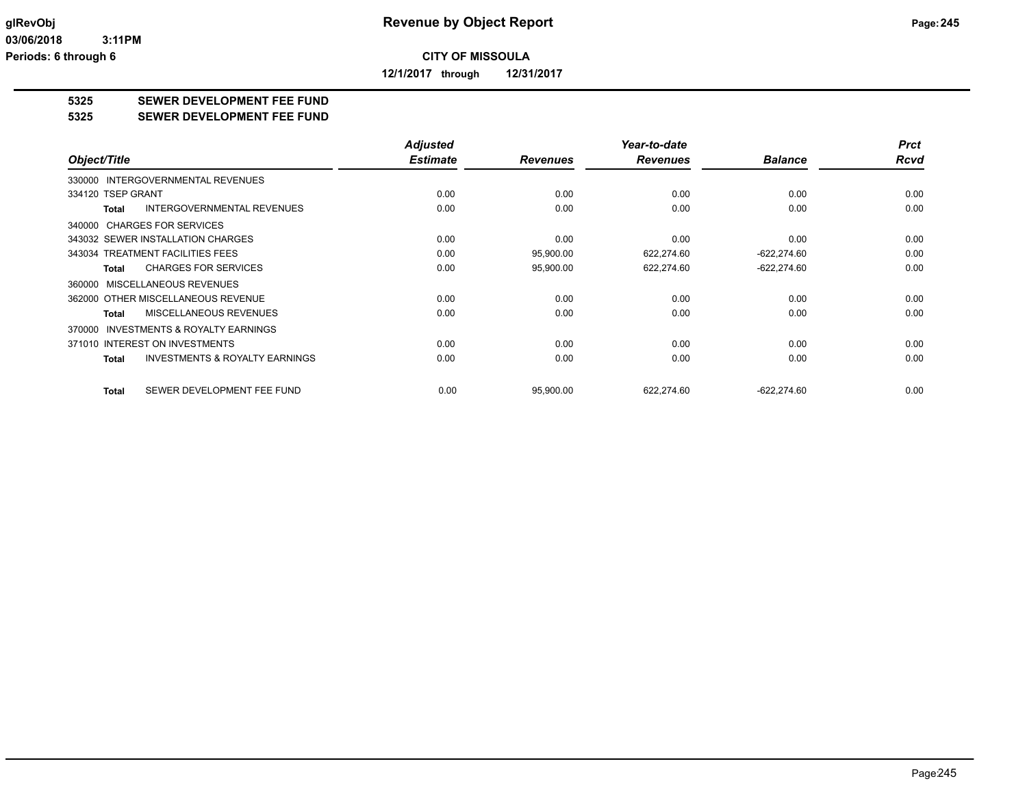**12/1/2017 through 12/31/2017**

# **5325 SEWER DEVELOPMENT FEE FUND**

#### **5325 SEWER DEVELOPMENT FEE FUND**

|                                                           | <b>Adjusted</b> |                 | Year-to-date    |                | <b>Prct</b> |
|-----------------------------------------------------------|-----------------|-----------------|-----------------|----------------|-------------|
| Object/Title                                              | <b>Estimate</b> | <b>Revenues</b> | <b>Revenues</b> | <b>Balance</b> | <b>Rcvd</b> |
| <b>INTERGOVERNMENTAL REVENUES</b><br>330000               |                 |                 |                 |                |             |
| 334120 TSEP GRANT                                         | 0.00            | 0.00            | 0.00            | 0.00           | 0.00        |
| <b>INTERGOVERNMENTAL REVENUES</b><br><b>Total</b>         | 0.00            | 0.00            | 0.00            | 0.00           | 0.00        |
| 340000 CHARGES FOR SERVICES                               |                 |                 |                 |                |             |
| 343032 SEWER INSTALLATION CHARGES                         | 0.00            | 0.00            | 0.00            | 0.00           | 0.00        |
| 343034 TREATMENT FACILITIES FEES                          | 0.00            | 95,900.00       | 622,274.60      | $-622,274.60$  | 0.00        |
| <b>CHARGES FOR SERVICES</b><br><b>Total</b>               | 0.00            | 95,900.00       | 622,274.60      | $-622,274.60$  | 0.00        |
| MISCELLANEOUS REVENUES<br>360000                          |                 |                 |                 |                |             |
| 362000 OTHER MISCELLANEOUS REVENUE                        | 0.00            | 0.00            | 0.00            | 0.00           | 0.00        |
| MISCELLANEOUS REVENUES<br><b>Total</b>                    | 0.00            | 0.00            | 0.00            | 0.00           | 0.00        |
| <b>INVESTMENTS &amp; ROYALTY EARNINGS</b><br>370000       |                 |                 |                 |                |             |
| 371010 INTEREST ON INVESTMENTS                            | 0.00            | 0.00            | 0.00            | 0.00           | 0.00        |
| <b>INVESTMENTS &amp; ROYALTY EARNINGS</b><br><b>Total</b> | 0.00            | 0.00            | 0.00            | 0.00           | 0.00        |
|                                                           |                 |                 |                 |                |             |
| SEWER DEVELOPMENT FEE FUND<br><b>Total</b>                | 0.00            | 95,900.00       | 622,274.60      | $-622,274.60$  | 0.00        |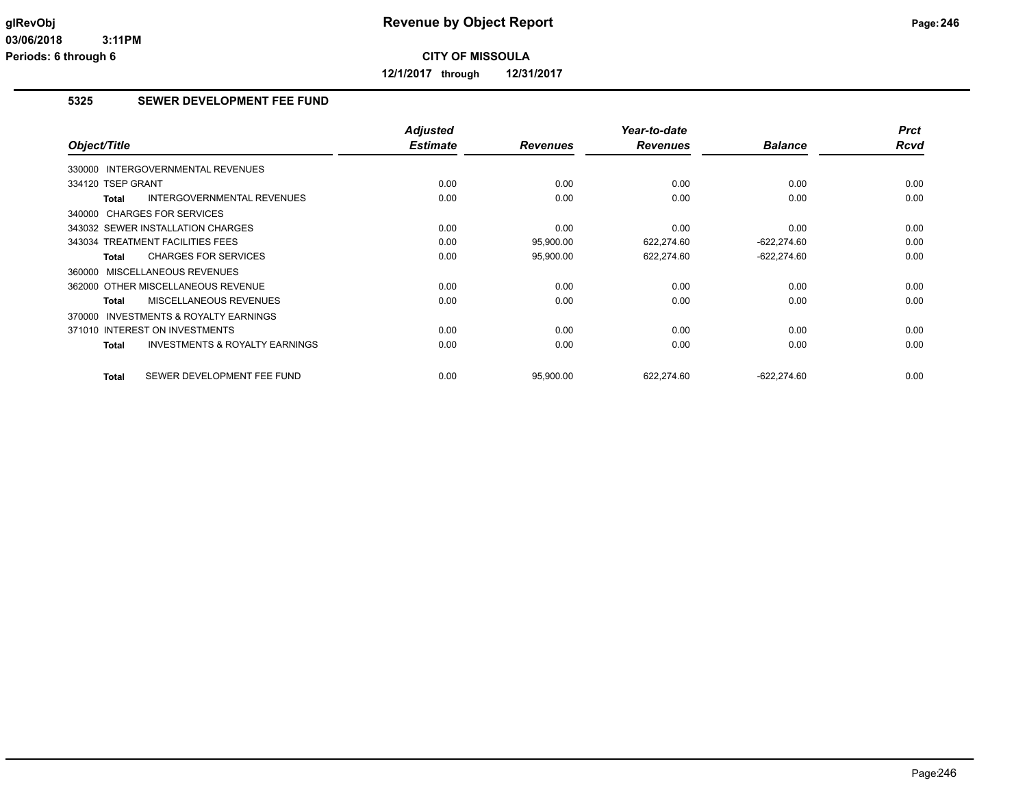**12/1/2017 through 12/31/2017**

# **5325 SEWER DEVELOPMENT FEE FUND**

| Object/Title                                        | <b>Adjusted</b><br><b>Estimate</b> | <b>Revenues</b> | Year-to-date<br><b>Revenues</b> | <b>Balance</b> | <b>Prct</b><br><b>Rcvd</b> |
|-----------------------------------------------------|------------------------------------|-----------------|---------------------------------|----------------|----------------------------|
| 330000 INTERGOVERNMENTAL REVENUES                   |                                    |                 |                                 |                |                            |
| 334120 TSEP GRANT                                   | 0.00                               | 0.00            | 0.00                            | 0.00           | 0.00                       |
| <b>INTERGOVERNMENTAL REVENUES</b><br>Total          | 0.00                               | 0.00            | 0.00                            | 0.00           | 0.00                       |
| 340000 CHARGES FOR SERVICES                         |                                    |                 |                                 |                |                            |
| 343032 SEWER INSTALLATION CHARGES                   | 0.00                               | 0.00            | 0.00                            | 0.00           | 0.00                       |
| 343034 TREATMENT FACILITIES FEES                    | 0.00                               | 95,900.00       | 622,274.60                      | $-622,274.60$  | 0.00                       |
| <b>CHARGES FOR SERVICES</b><br><b>Total</b>         | 0.00                               | 95,900.00       | 622,274.60                      | $-622,274.60$  | 0.00                       |
| MISCELLANEOUS REVENUES<br>360000                    |                                    |                 |                                 |                |                            |
| 362000 OTHER MISCELLANEOUS REVENUE                  | 0.00                               | 0.00            | 0.00                            | 0.00           | 0.00                       |
| <b>MISCELLANEOUS REVENUES</b><br>Total              | 0.00                               | 0.00            | 0.00                            | 0.00           | 0.00                       |
| <b>INVESTMENTS &amp; ROYALTY EARNINGS</b><br>370000 |                                    |                 |                                 |                |                            |
| 371010 INTEREST ON INVESTMENTS                      | 0.00                               | 0.00            | 0.00                            | 0.00           | 0.00                       |
| <b>INVESTMENTS &amp; ROYALTY EARNINGS</b><br>Total  | 0.00                               | 0.00            | 0.00                            | 0.00           | 0.00                       |
| SEWER DEVELOPMENT FEE FUND<br><b>Total</b>          | 0.00                               | 95.900.00       | 622.274.60                      | $-622.274.60$  | 0.00                       |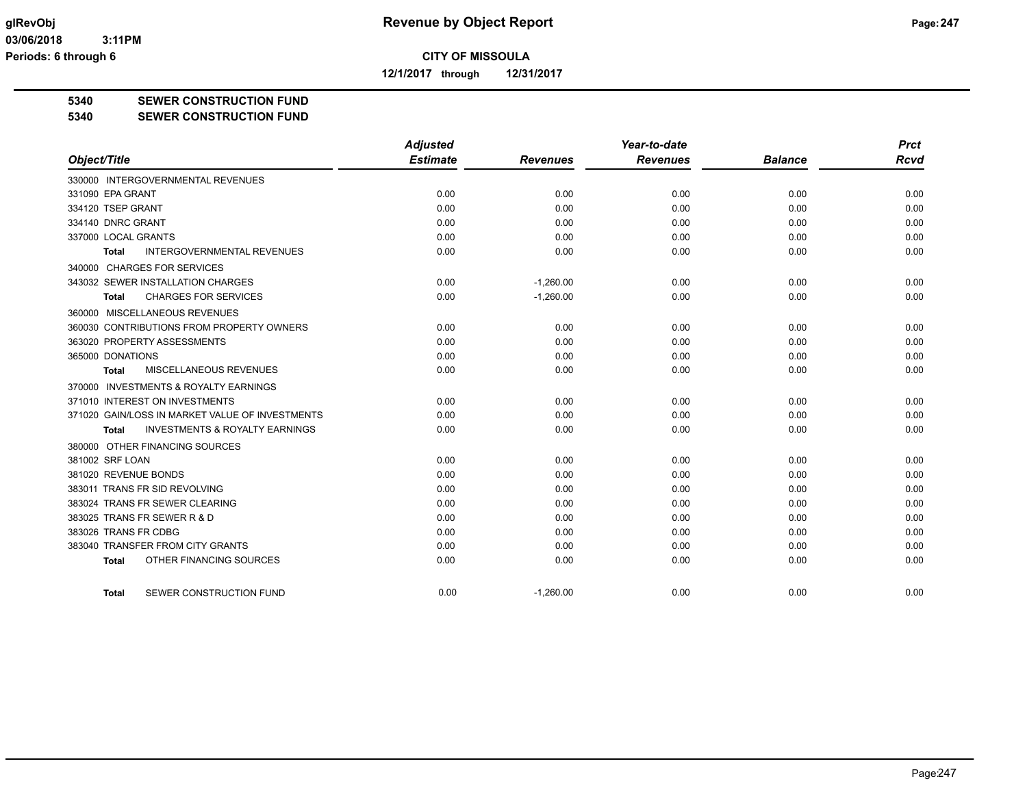**12/1/2017 through 12/31/2017**

**5340 SEWER CONSTRUCTION FUND**

**5340 SEWER CONSTRUCTION FUND**

|                                                    | <b>Adjusted</b> |                 | Year-to-date    |                | <b>Prct</b> |
|----------------------------------------------------|-----------------|-----------------|-----------------|----------------|-------------|
| Object/Title                                       | <b>Estimate</b> | <b>Revenues</b> | <b>Revenues</b> | <b>Balance</b> | <b>Rcvd</b> |
| 330000 INTERGOVERNMENTAL REVENUES                  |                 |                 |                 |                |             |
| 331090 EPA GRANT                                   | 0.00            | 0.00            | 0.00            | 0.00           | 0.00        |
| 334120 TSEP GRANT                                  | 0.00            | 0.00            | 0.00            | 0.00           | 0.00        |
| 334140 DNRC GRANT                                  | 0.00            | 0.00            | 0.00            | 0.00           | 0.00        |
| 337000 LOCAL GRANTS                                | 0.00            | 0.00            | 0.00            | 0.00           | 0.00        |
| <b>INTERGOVERNMENTAL REVENUES</b><br><b>Total</b>  | 0.00            | 0.00            | 0.00            | 0.00           | 0.00        |
| 340000 CHARGES FOR SERVICES                        |                 |                 |                 |                |             |
| 343032 SEWER INSTALLATION CHARGES                  | 0.00            | $-1,260.00$     | 0.00            | 0.00           | 0.00        |
| <b>CHARGES FOR SERVICES</b><br>Total               | 0.00            | $-1,260.00$     | 0.00            | 0.00           | 0.00        |
| 360000 MISCELLANEOUS REVENUES                      |                 |                 |                 |                |             |
| 360030 CONTRIBUTIONS FROM PROPERTY OWNERS          | 0.00            | 0.00            | 0.00            | 0.00           | 0.00        |
| 363020 PROPERTY ASSESSMENTS                        | 0.00            | 0.00            | 0.00            | 0.00           | 0.00        |
| 365000 DONATIONS                                   | 0.00            | 0.00            | 0.00            | 0.00           | 0.00        |
| MISCELLANEOUS REVENUES<br>Total                    | 0.00            | 0.00            | 0.00            | 0.00           | 0.00        |
| 370000 INVESTMENTS & ROYALTY EARNINGS              |                 |                 |                 |                |             |
| 371010 INTEREST ON INVESTMENTS                     | 0.00            | 0.00            | 0.00            | 0.00           | 0.00        |
| 371020 GAIN/LOSS IN MARKET VALUE OF INVESTMENTS    | 0.00            | 0.00            | 0.00            | 0.00           | 0.00        |
| <b>INVESTMENTS &amp; ROYALTY EARNINGS</b><br>Total | 0.00            | 0.00            | 0.00            | 0.00           | 0.00        |
| 380000 OTHER FINANCING SOURCES                     |                 |                 |                 |                |             |
| 381002 SRF LOAN                                    | 0.00            | 0.00            | 0.00            | 0.00           | 0.00        |
| 381020 REVENUE BONDS                               | 0.00            | 0.00            | 0.00            | 0.00           | 0.00        |
| 383011 TRANS FR SID REVOLVING                      | 0.00            | 0.00            | 0.00            | 0.00           | 0.00        |
| 383024 TRANS FR SEWER CLEARING                     | 0.00            | 0.00            | 0.00            | 0.00           | 0.00        |
| 383025 TRANS FR SEWER R & D                        | 0.00            | 0.00            | 0.00            | 0.00           | 0.00        |
| 383026 TRANS FR CDBG                               | 0.00            | 0.00            | 0.00            | 0.00           | 0.00        |
| 383040 TRANSFER FROM CITY GRANTS                   | 0.00            | 0.00            | 0.00            | 0.00           | 0.00        |
| OTHER FINANCING SOURCES<br><b>Total</b>            | 0.00            | 0.00            | 0.00            | 0.00           | 0.00        |
| SEWER CONSTRUCTION FUND<br>Total                   | 0.00            | $-1,260.00$     | 0.00            | 0.00           | 0.00        |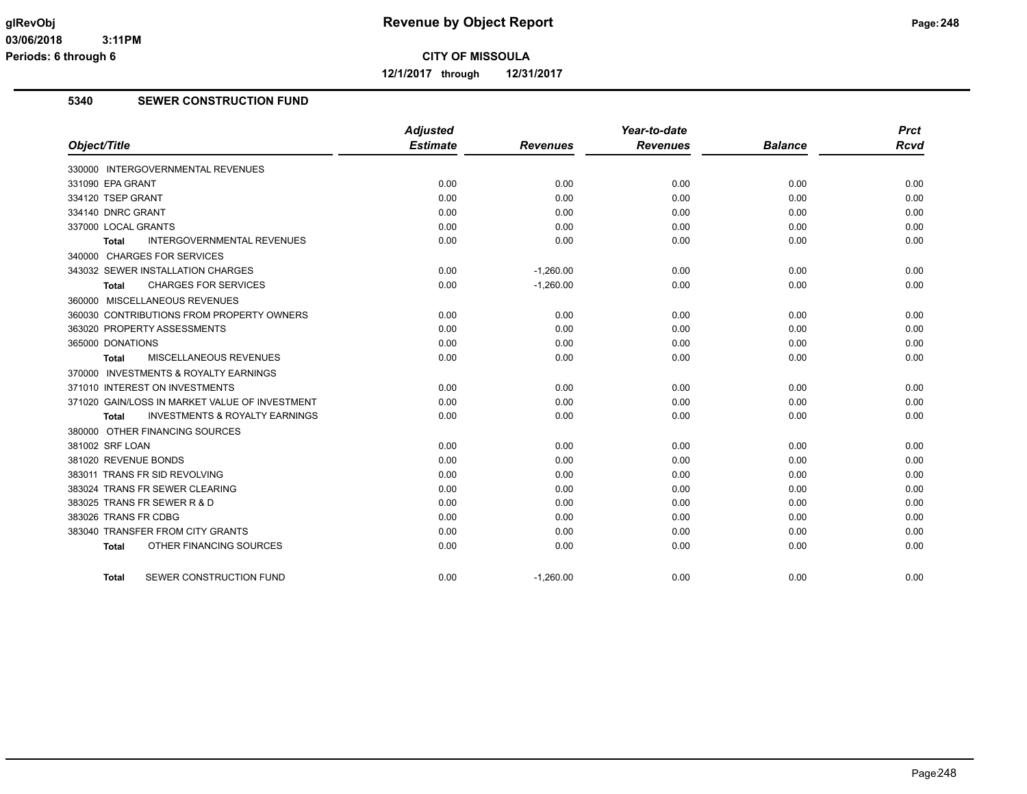**12/1/2017 through 12/31/2017**

# **5340 SEWER CONSTRUCTION FUND**

| Object/Title                                       | <b>Adjusted</b><br><b>Estimate</b> | <b>Revenues</b> | Year-to-date<br><b>Revenues</b> | <b>Balance</b> | <b>Prct</b><br>Rcvd |
|----------------------------------------------------|------------------------------------|-----------------|---------------------------------|----------------|---------------------|
|                                                    |                                    |                 |                                 |                |                     |
| 330000 INTERGOVERNMENTAL REVENUES                  |                                    |                 |                                 |                |                     |
| 331090 EPA GRANT                                   | 0.00                               | 0.00            | 0.00                            | 0.00           | 0.00                |
| 334120 TSEP GRANT                                  | 0.00                               | 0.00            | 0.00                            | 0.00           | 0.00                |
| 334140 DNRC GRANT                                  | 0.00                               | 0.00            | 0.00                            | 0.00           | 0.00                |
| 337000 LOCAL GRANTS                                | 0.00                               | 0.00            | 0.00                            | 0.00           | 0.00                |
| <b>INTERGOVERNMENTAL REVENUES</b><br>Total         | 0.00                               | 0.00            | 0.00                            | 0.00           | 0.00                |
| 340000 CHARGES FOR SERVICES                        |                                    |                 |                                 |                |                     |
| 343032 SEWER INSTALLATION CHARGES                  | 0.00                               | $-1,260.00$     | 0.00                            | 0.00           | 0.00                |
| <b>CHARGES FOR SERVICES</b><br>Total               | 0.00                               | $-1,260.00$     | 0.00                            | 0.00           | 0.00                |
| 360000 MISCELLANEOUS REVENUES                      |                                    |                 |                                 |                |                     |
| 360030 CONTRIBUTIONS FROM PROPERTY OWNERS          | 0.00                               | 0.00            | 0.00                            | 0.00           | 0.00                |
| 363020 PROPERTY ASSESSMENTS                        | 0.00                               | 0.00            | 0.00                            | 0.00           | 0.00                |
| 365000 DONATIONS                                   | 0.00                               | 0.00            | 0.00                            | 0.00           | 0.00                |
| MISCELLANEOUS REVENUES<br><b>Total</b>             | 0.00                               | 0.00            | 0.00                            | 0.00           | 0.00                |
| 370000 INVESTMENTS & ROYALTY EARNINGS              |                                    |                 |                                 |                |                     |
| 371010 INTEREST ON INVESTMENTS                     | 0.00                               | 0.00            | 0.00                            | 0.00           | 0.00                |
| 371020 GAIN/LOSS IN MARKET VALUE OF INVESTMENT     | 0.00                               | 0.00            | 0.00                            | 0.00           | 0.00                |
| <b>INVESTMENTS &amp; ROYALTY EARNINGS</b><br>Total | 0.00                               | 0.00            | 0.00                            | 0.00           | 0.00                |
| 380000 OTHER FINANCING SOURCES                     |                                    |                 |                                 |                |                     |
| 381002 SRF LOAN                                    | 0.00                               | 0.00            | 0.00                            | 0.00           | 0.00                |
| 381020 REVENUE BONDS                               | 0.00                               | 0.00            | 0.00                            | 0.00           | 0.00                |
| 383011 TRANS FR SID REVOLVING                      | 0.00                               | 0.00            | 0.00                            | 0.00           | 0.00                |
| 383024 TRANS FR SEWER CLEARING                     | 0.00                               | 0.00            | 0.00                            | 0.00           | 0.00                |
| 383025 TRANS FR SEWER R & D                        | 0.00                               | 0.00            | 0.00                            | 0.00           | 0.00                |
| 383026 TRANS FR CDBG                               | 0.00                               | 0.00            | 0.00                            | 0.00           | 0.00                |
| 383040 TRANSFER FROM CITY GRANTS                   | 0.00                               | 0.00            | 0.00                            | 0.00           | 0.00                |
| OTHER FINANCING SOURCES<br><b>Total</b>            | 0.00                               | 0.00            | 0.00                            | 0.00           | 0.00                |
| SEWER CONSTRUCTION FUND<br>Total                   | 0.00                               | $-1,260.00$     | 0.00                            | 0.00           | 0.00                |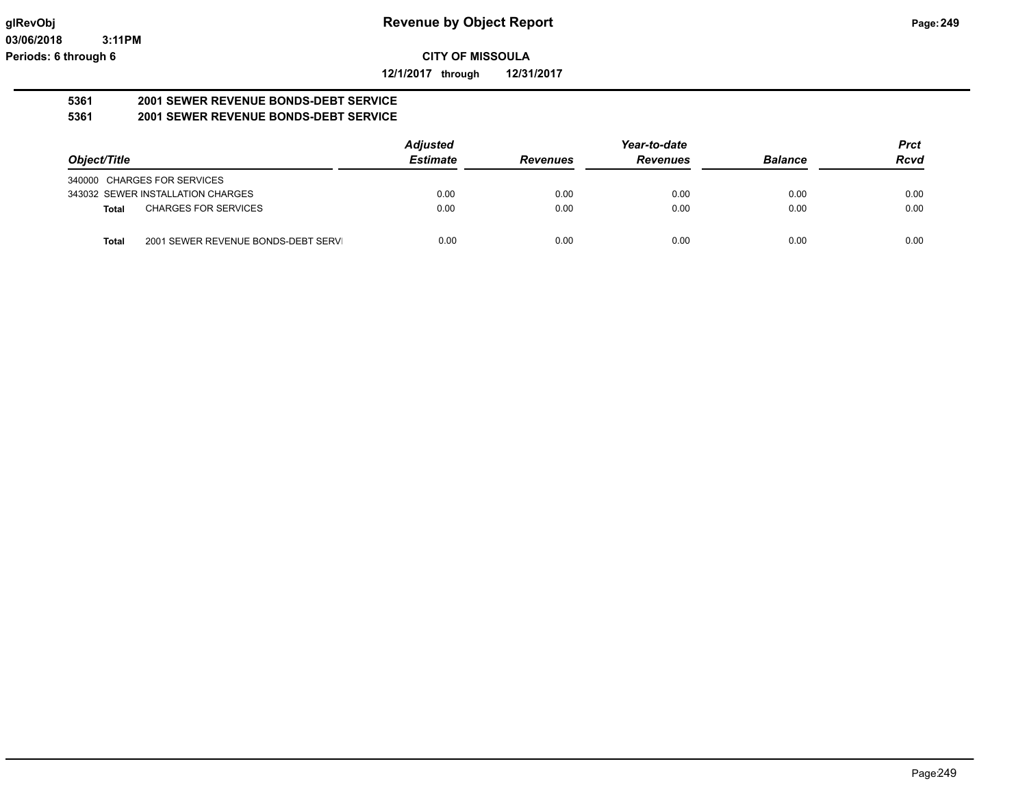**12/1/2017 through 12/31/2017**

#### **5361 2001 SEWER REVENUE BONDS-DEBT SERVICE 5361 2001 SEWER REVENUE BONDS-DEBT SERVICE**

|                                                     | <b>Adjusted</b> |                 | Year-to-date    |                | <b>Prct</b> |
|-----------------------------------------------------|-----------------|-----------------|-----------------|----------------|-------------|
| Object/Title                                        | <b>Estimate</b> | <b>Revenues</b> | <b>Revenues</b> | <b>Balance</b> | <b>Rcvd</b> |
| 340000 CHARGES FOR SERVICES                         |                 |                 |                 |                |             |
| 343032 SEWER INSTALLATION CHARGES                   | 0.00            | 0.00            | 0.00            | 0.00           | 0.00        |
| <b>CHARGES FOR SERVICES</b><br><b>Total</b>         | 0.00            | 0.00            | 0.00            | 0.00           | 0.00        |
| 2001 SEWER REVENUE BONDS-DEBT SERVI<br><b>Total</b> | 0.00            | 0.00            | 0.00            | 0.00           | 0.00        |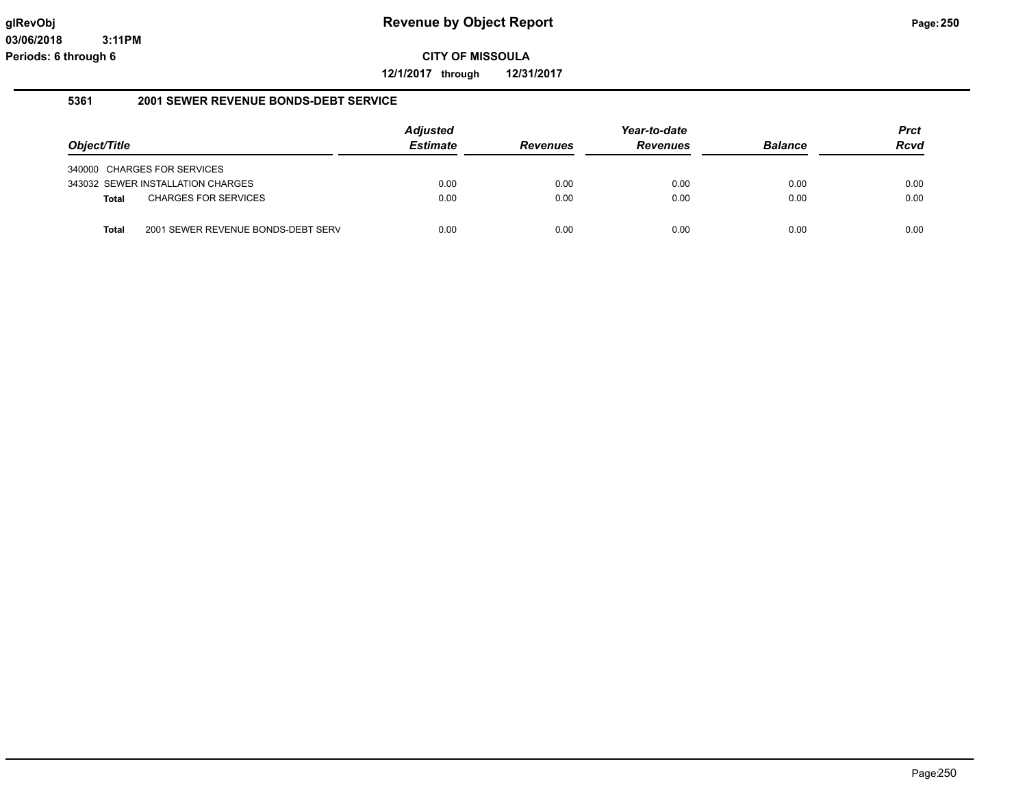**12/1/2017 through 12/31/2017**

#### **5361 2001 SEWER REVENUE BONDS-DEBT SERVICE**

|                             |                                    | <b>Adjusted</b> |                 | Year-to-date    |                | <b>Prct</b> |
|-----------------------------|------------------------------------|-----------------|-----------------|-----------------|----------------|-------------|
| Object/Title                |                                    | <b>Estimate</b> | <b>Revenues</b> | <b>Revenues</b> | <b>Balance</b> | <b>Rcvd</b> |
| 340000 CHARGES FOR SERVICES |                                    |                 |                 |                 |                |             |
|                             | 343032 SEWER INSTALLATION CHARGES  | 0.00            | 0.00            | 0.00            | 0.00           | 0.00        |
| Total                       | <b>CHARGES FOR SERVICES</b>        | 0.00            | 0.00            | 0.00            | 0.00           | 0.00        |
|                             |                                    |                 |                 |                 |                |             |
| Total                       | 2001 SEWER REVENUE BONDS-DEBT SERV | 0.00            | 0.00            | 0.00            | 0.00           | 0.00        |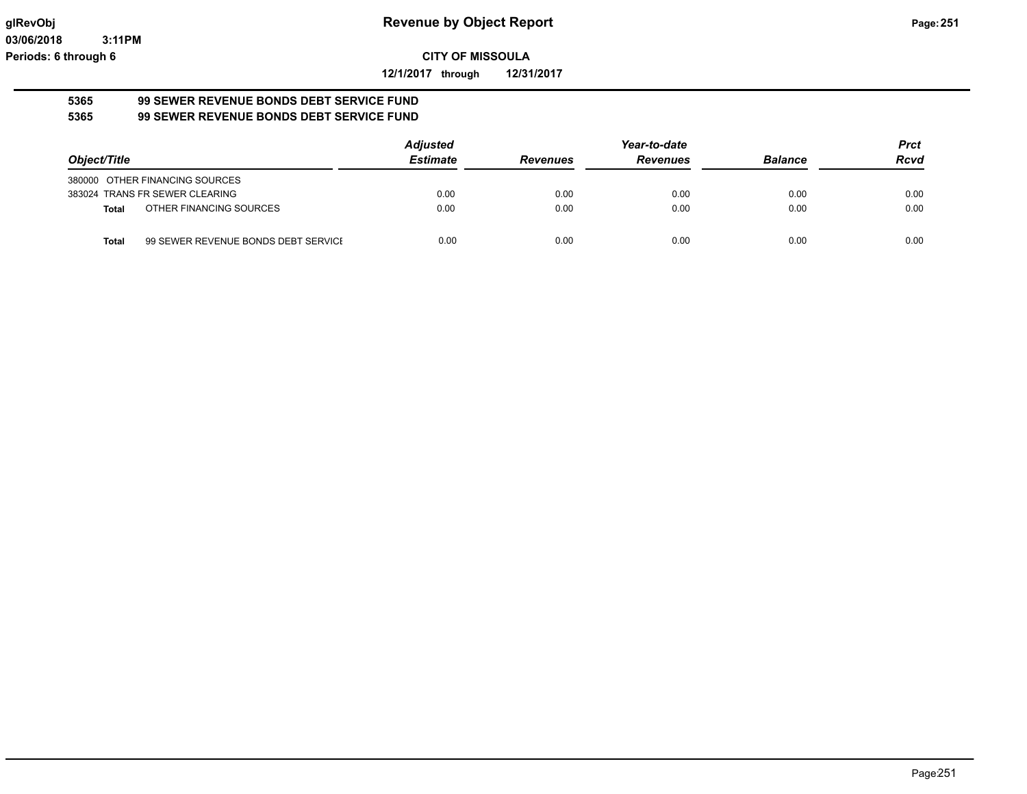**12/1/2017 through 12/31/2017**

#### **5365 99 SEWER REVENUE BONDS DEBT SERVICE FUND 5365 99 SEWER REVENUE BONDS DEBT SERVICE FUND**

|                                                     | <b>Adjusted</b> |                 | Year-to-date    |                | <b>Prct</b> |
|-----------------------------------------------------|-----------------|-----------------|-----------------|----------------|-------------|
| Object/Title                                        | <b>Estimate</b> | <b>Revenues</b> | <b>Revenues</b> | <b>Balance</b> | <b>Rcvd</b> |
| 380000 OTHER FINANCING SOURCES                      |                 |                 |                 |                |             |
| 383024 TRANS FR SEWER CLEARING                      | 0.00            | 0.00            | 0.00            | 0.00           | 0.00        |
| OTHER FINANCING SOURCES<br>Total                    | 0.00            | 0.00            | 0.00            | 0.00           | 0.00        |
| 99 SEWER REVENUE BONDS DEBT SERVICE<br><b>Total</b> | 0.00            | 0.00            | 0.00            | 0.00           | 0.00        |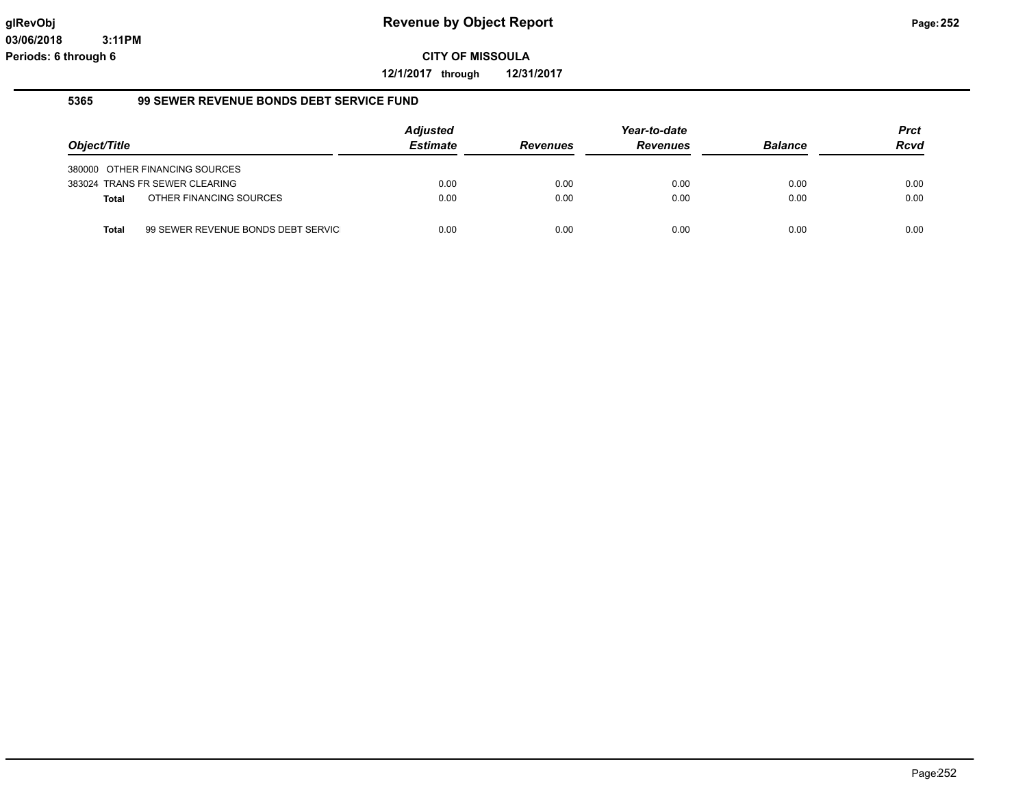**12/1/2017 through 12/31/2017**

#### **5365 99 SEWER REVENUE BONDS DEBT SERVICE FUND**

|              |                                    |                 |                 | Year-to-date    |                | <b>Prct</b> |
|--------------|------------------------------------|-----------------|-----------------|-----------------|----------------|-------------|
| Object/Title |                                    | <b>Estimate</b> | <b>Revenues</b> | <b>Revenues</b> | <b>Balance</b> | <b>Rcvd</b> |
|              | 380000 OTHER FINANCING SOURCES     |                 |                 |                 |                |             |
|              | 383024 TRANS FR SEWER CLEARING     | 0.00            | 0.00            | 0.00            | 0.00           | 0.00        |
| Total        | OTHER FINANCING SOURCES            | 0.00            | 0.00            | 0.00            | 0.00           | 0.00        |
| Total        | 99 SEWER REVENUE BONDS DEBT SERVIC | 0.00            | 0.00            | 0.00            | 0.00           | 0.00        |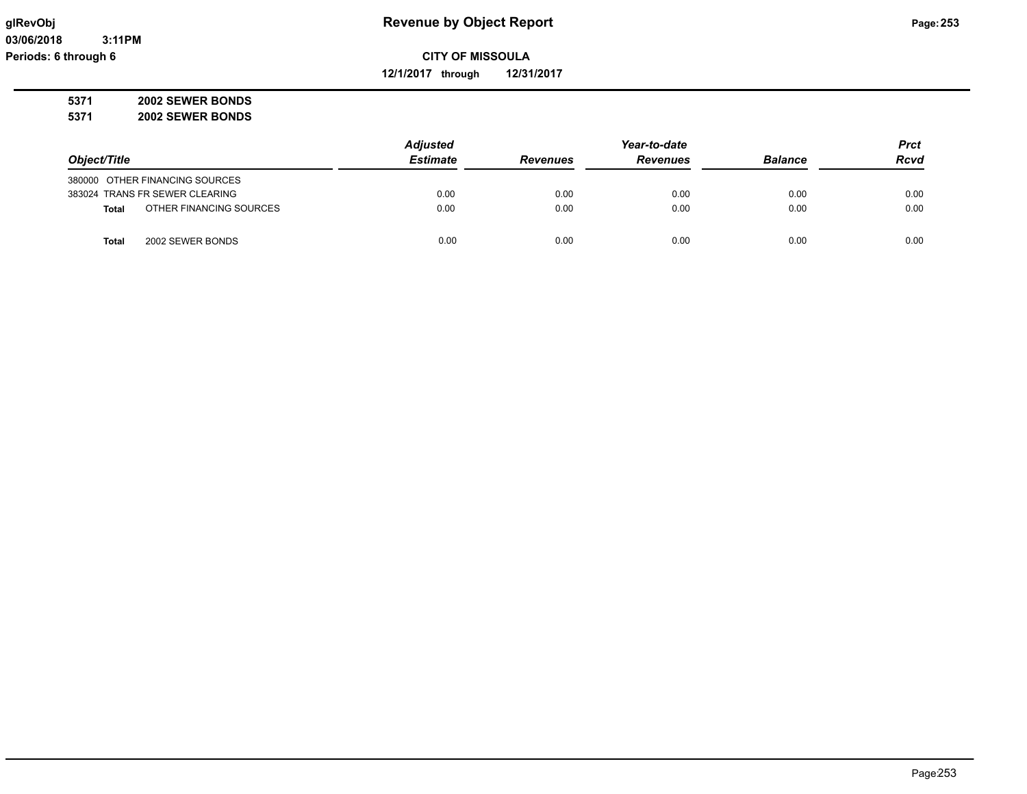**12/1/2017 through 12/31/2017**

**5371 2002 SEWER BONDS**

**5371 2002 SEWER BONDS**

|                                         | <b>Adjusted</b> |                 | Year-to-date    |                | <b>Prct</b> |
|-----------------------------------------|-----------------|-----------------|-----------------|----------------|-------------|
| Object/Title                            | <b>Estimate</b> | <b>Revenues</b> | <b>Revenues</b> | <b>Balance</b> | <b>Rcvd</b> |
| 380000 OTHER FINANCING SOURCES          |                 |                 |                 |                |             |
| 383024 TRANS FR SEWER CLEARING          | 0.00            | 0.00            | 0.00            | 0.00           | 0.00        |
| OTHER FINANCING SOURCES<br><b>Total</b> | 0.00            | 0.00            | 0.00            | 0.00           | 0.00        |
| 2002 SEWER BONDS<br>Total               | 0.00            | 0.00            | 0.00            | 0.00           | 0.00        |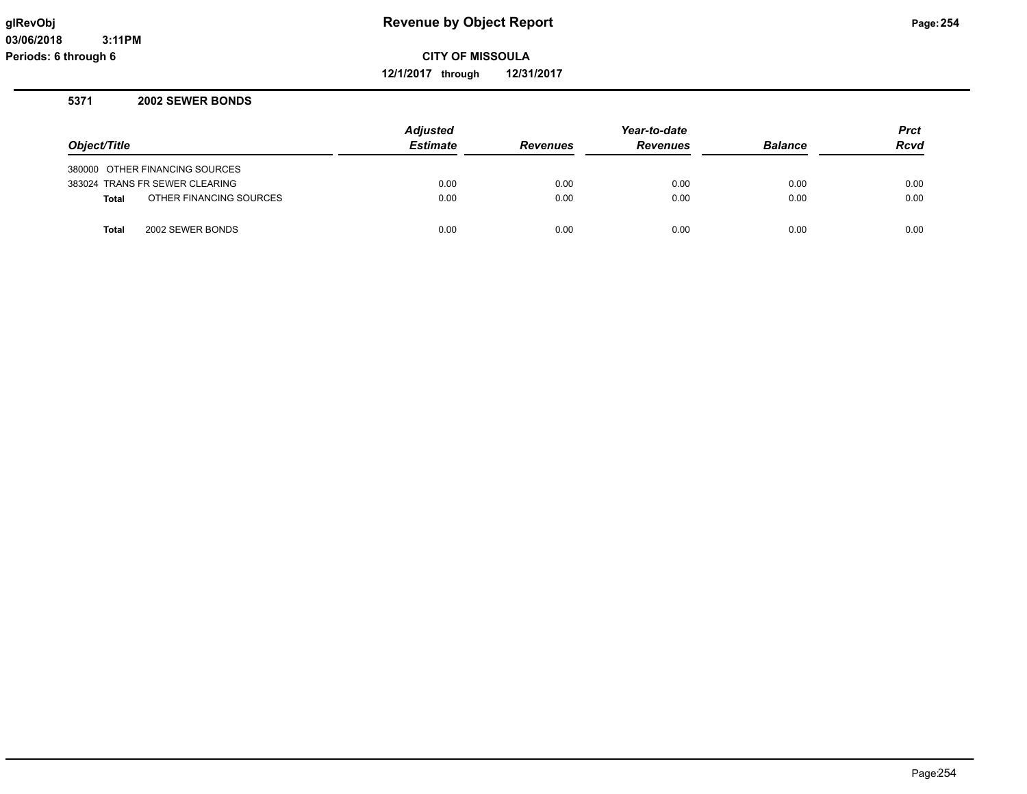**12/1/2017 through 12/31/2017**

### **5371 2002 SEWER BONDS**

|              |                                | <b>Adjusted</b> |                 | Year-to-date    |                | <b>Prct</b> |
|--------------|--------------------------------|-----------------|-----------------|-----------------|----------------|-------------|
| Object/Title |                                | <b>Estimate</b> | <b>Revenues</b> | <b>Revenues</b> | <b>Balance</b> | <b>Rcvd</b> |
|              | 380000 OTHER FINANCING SOURCES |                 |                 |                 |                |             |
|              | 383024 TRANS FR SEWER CLEARING | 0.00            | 0.00            | 0.00            | 0.00           | 0.00        |
| Total        | OTHER FINANCING SOURCES        | 0.00            | 0.00            | 0.00            | 0.00           | 0.00        |
| <b>Total</b> | 2002 SEWER BONDS               | 0.00            | 0.00            | 0.00            | 0.00           | 0.00        |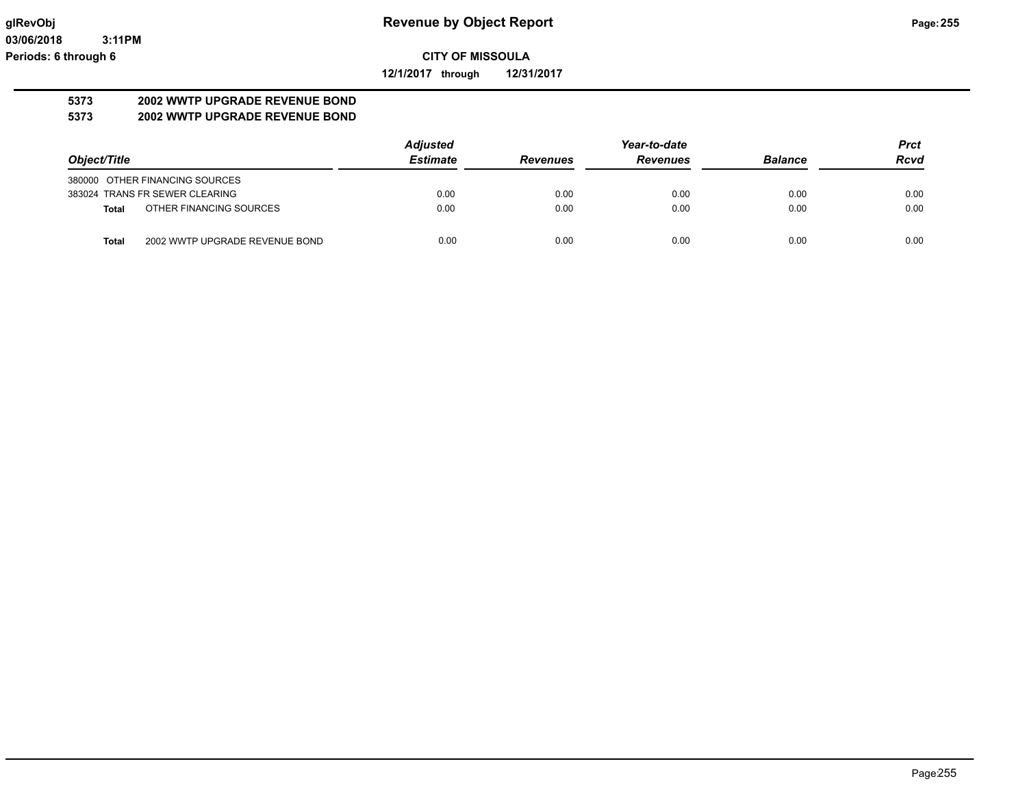**12/1/2017 through 12/31/2017**

# **5373 2002 WWTP UPGRADE REVENUE BOND**

## **5373 2002 WWTP UPGRADE REVENUE BOND**

|                                         | <b>Adjusted</b> | Year-to-date    |                 |                | <b>Prct</b> |
|-----------------------------------------|-----------------|-----------------|-----------------|----------------|-------------|
| Object/Title                            | <b>Estimate</b> | <b>Revenues</b> | <b>Revenues</b> | <b>Balance</b> | <b>Rcvd</b> |
| 380000 OTHER FINANCING SOURCES          |                 |                 |                 |                |             |
| 383024 TRANS FR SEWER CLEARING          | 0.00            | 0.00            | 0.00            | 0.00           | 0.00        |
| OTHER FINANCING SOURCES<br>Total        | 0.00            | 0.00            | 0.00            | 0.00           | 0.00        |
| 2002 WWTP UPGRADE REVENUE BOND<br>Total | 0.00            | 0.00            | 0.00            | 0.00           | 0.00        |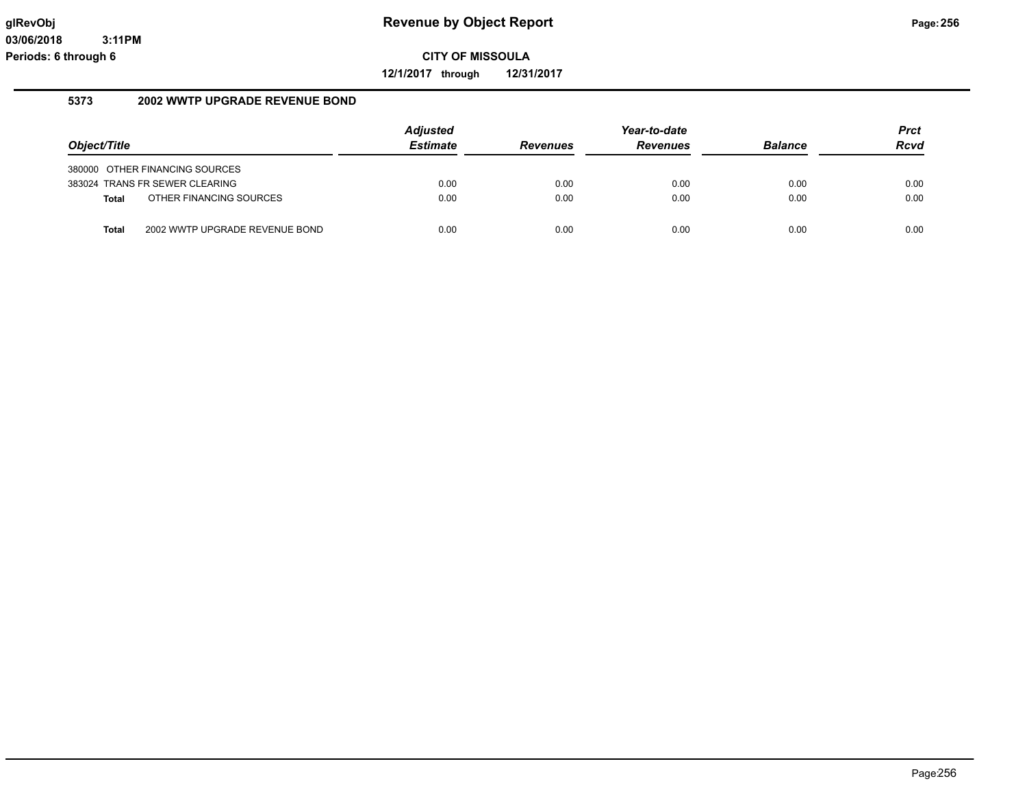**12/1/2017 through 12/31/2017**

## **5373 2002 WWTP UPGRADE REVENUE BOND**

| Object/Title |                                | <b>Adjusted</b><br><b>Estimate</b> | <b>Revenues</b> | Year-to-date<br><b>Revenues</b> | <b>Balance</b> | <b>Prct</b><br><b>Rcvd</b> |
|--------------|--------------------------------|------------------------------------|-----------------|---------------------------------|----------------|----------------------------|
|              | 380000 OTHER FINANCING SOURCES |                                    |                 |                                 |                |                            |
|              | 383024 TRANS FR SEWER CLEARING | 0.00                               | 0.00            | 0.00                            | 0.00           | 0.00                       |
| Total        | OTHER FINANCING SOURCES        | 0.00                               | 0.00            | 0.00                            | 0.00           | 0.00                       |
| <b>Total</b> | 2002 WWTP UPGRADE REVENUE BOND | 0.00                               | 0.00            | 0.00                            | 0.00           | 0.00                       |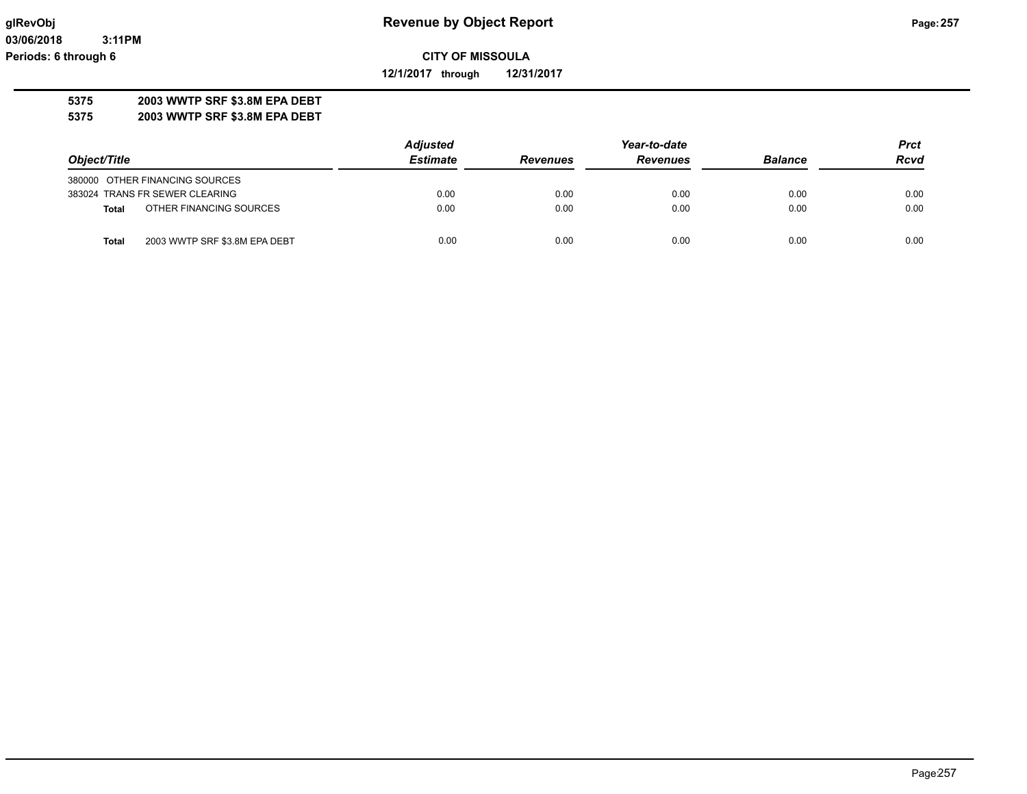**12/1/2017 through 12/31/2017**

## **5375 2003 WWTP SRF \$3.8M EPA DEBT**

**5375 2003 WWTP SRF \$3.8M EPA DEBT**

|                                               | <b>Adjusted</b> |                 | Year-to-date    |                |             |
|-----------------------------------------------|-----------------|-----------------|-----------------|----------------|-------------|
| Object/Title                                  | <b>Estimate</b> | <b>Revenues</b> | <b>Revenues</b> | <b>Balance</b> | <b>Rcvd</b> |
| 380000 OTHER FINANCING SOURCES                |                 |                 |                 |                |             |
| 383024 TRANS FR SEWER CLEARING                | 0.00            | 0.00            | 0.00            | 0.00           | 0.00        |
| OTHER FINANCING SOURCES<br><b>Total</b>       | 0.00            | 0.00            | 0.00            | 0.00           | 0.00        |
| 2003 WWTP SRF \$3.8M EPA DEBT<br><b>Total</b> | 0.00            | 0.00            | 0.00            | 0.00           | 0.00        |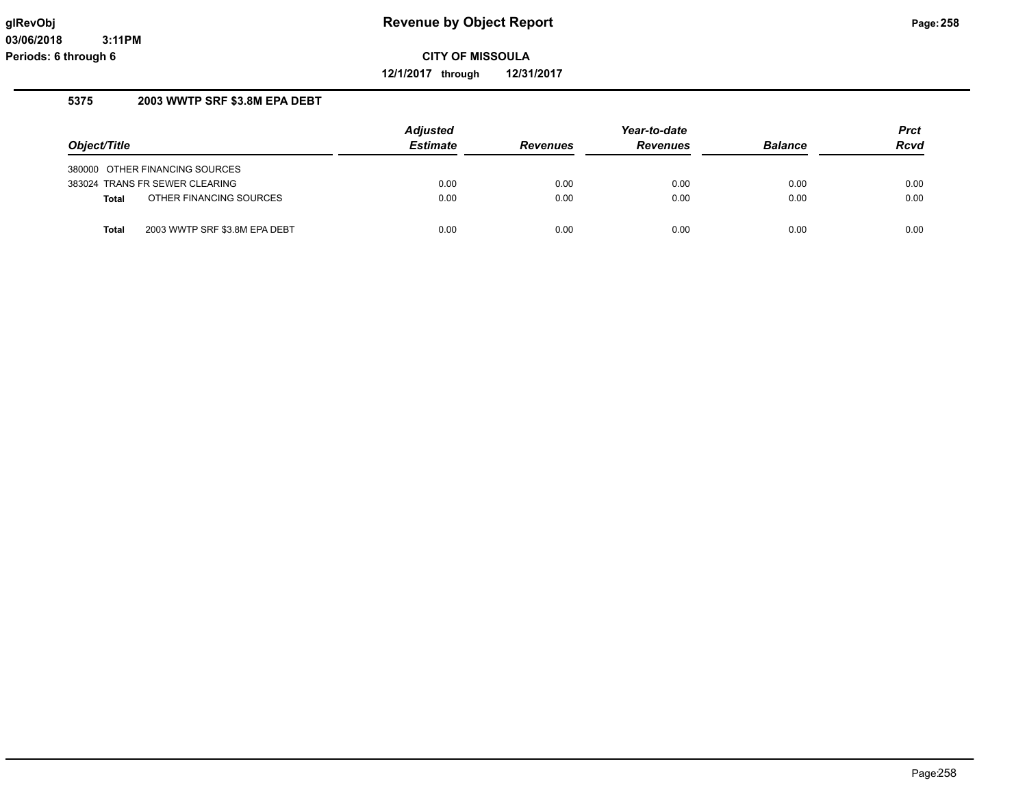**12/1/2017 through 12/31/2017**

## **5375 2003 WWTP SRF \$3.8M EPA DEBT**

|              |                                | <b>Adjusted</b> |                 | Year-to-date    |                | <b>Prct</b> |
|--------------|--------------------------------|-----------------|-----------------|-----------------|----------------|-------------|
| Object/Title |                                | <b>Estimate</b> | <b>Revenues</b> | <b>Revenues</b> | <b>Balance</b> | <b>Rcvd</b> |
|              | 380000 OTHER FINANCING SOURCES |                 |                 |                 |                |             |
|              | 383024 TRANS FR SEWER CLEARING | 0.00            | 0.00            | 0.00            | 0.00           | 0.00        |
| <b>Total</b> | OTHER FINANCING SOURCES        | 0.00            | 0.00            | 0.00            | 0.00           | 0.00        |
| <b>Total</b> | 2003 WWTP SRF \$3.8M EPA DEBT  | 0.00            | 0.00            | 0.00            | 0.00           | 0.00        |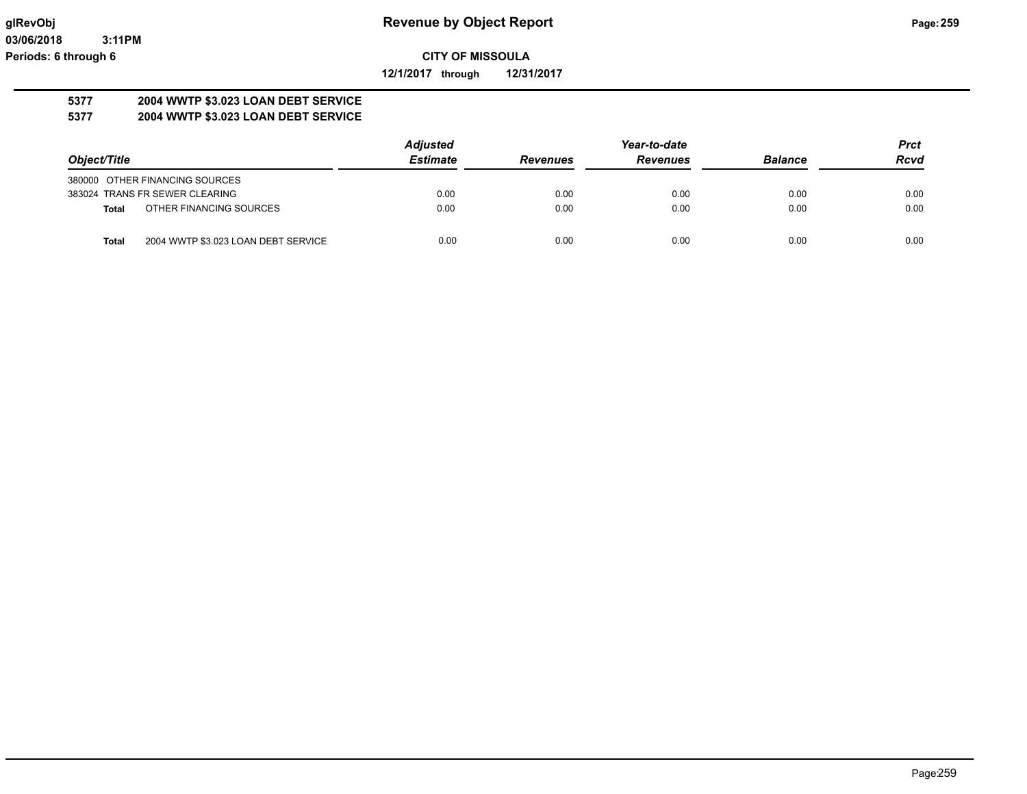**12/1/2017 through 12/31/2017**

#### **5377 2004 WWTP \$3.023 LOAN DEBT SERVICE 5377 2004 WWTP \$3.023 LOAN DEBT SERVICE**

|                                              | <b>Adjusted</b> |                 | Year-to-date    |                | <b>Prct</b> |
|----------------------------------------------|-----------------|-----------------|-----------------|----------------|-------------|
| Object/Title                                 | <b>Estimate</b> | <b>Revenues</b> | <b>Revenues</b> | <b>Balance</b> | <b>Rcvd</b> |
| 380000 OTHER FINANCING SOURCES               |                 |                 |                 |                |             |
| 383024 TRANS FR SEWER CLEARING               | 0.00            | 0.00            | 0.00            | 0.00           | 0.00        |
| OTHER FINANCING SOURCES<br>Total             | 0.00            | 0.00            | 0.00            | 0.00           | 0.00        |
| 2004 WWTP \$3.023 LOAN DEBT SERVICE<br>Total | 0.00            | 0.00            | 0.00            | 0.00           | 0.00        |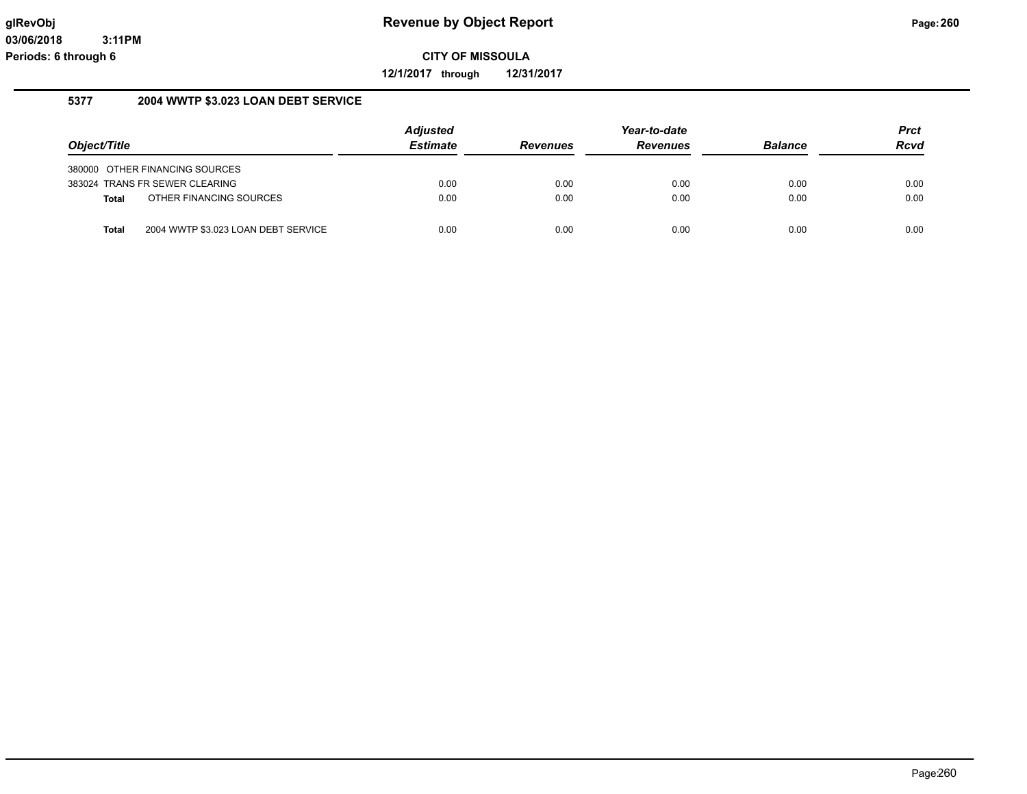**12/1/2017 through 12/31/2017**

## **5377 2004 WWTP \$3.023 LOAN DEBT SERVICE**

|              |                                     | <b>Adjusted</b> |                 | Year-to-date    |                | <b>Prct</b> |
|--------------|-------------------------------------|-----------------|-----------------|-----------------|----------------|-------------|
| Object/Title |                                     | <b>Estimate</b> | <b>Revenues</b> | <b>Revenues</b> | <b>Balance</b> | <b>Rcvd</b> |
|              | 380000 OTHER FINANCING SOURCES      |                 |                 |                 |                |             |
|              | 383024 TRANS FR SEWER CLEARING      | 0.00            | 0.00            | 0.00            | 0.00           | 0.00        |
| Total        | OTHER FINANCING SOURCES             | 0.00            | 0.00            | 0.00            | 0.00           | 0.00        |
| <b>Total</b> | 2004 WWTP \$3.023 LOAN DEBT SERVICE | 0.00            | 0.00            | 0.00            | 0.00           | 0.00        |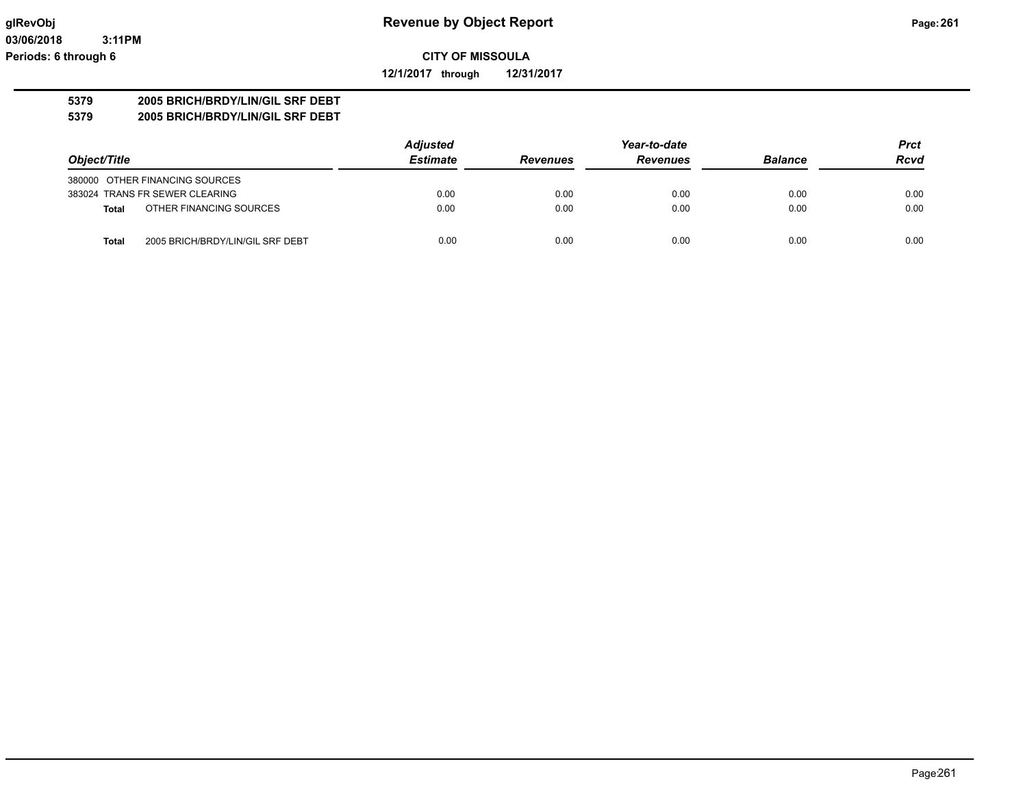**12/1/2017 through 12/31/2017**

## **5379 2005 BRICH/BRDY/LIN/GIL SRF DEBT**

**5379 2005 BRICH/BRDY/LIN/GIL SRF DEBT**

|                                           | <b>Adjusted</b> |                 | Year-to-date    |                | <b>Prct</b> |
|-------------------------------------------|-----------------|-----------------|-----------------|----------------|-------------|
| Object/Title                              | <b>Estimate</b> | <b>Revenues</b> | <b>Revenues</b> | <b>Balance</b> | <b>Rcvd</b> |
| 380000 OTHER FINANCING SOURCES            |                 |                 |                 |                |             |
| 383024 TRANS FR SEWER CLEARING            | 0.00            | 0.00            | 0.00            | 0.00           | 0.00        |
| OTHER FINANCING SOURCES<br>Total          | 0.00            | 0.00            | 0.00            | 0.00           | 0.00        |
| 2005 BRICH/BRDY/LIN/GIL SRF DEBT<br>Total | 0.00            | 0.00            | 0.00            | 0.00           | 0.00        |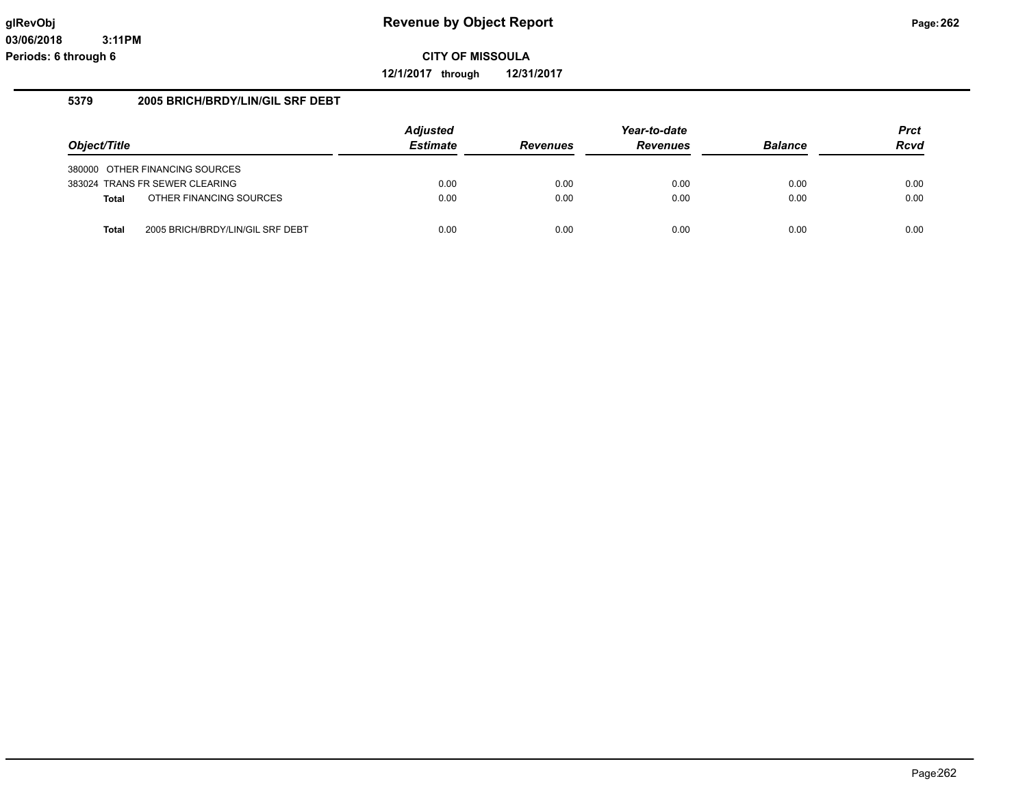**12/1/2017 through 12/31/2017**

## **5379 2005 BRICH/BRDY/LIN/GIL SRF DEBT**

|              |                                  | <b>Adjusted</b> |                 | Year-to-date    |                | <b>Prct</b> |
|--------------|----------------------------------|-----------------|-----------------|-----------------|----------------|-------------|
| Object/Title |                                  | <b>Estimate</b> | <b>Revenues</b> | <b>Revenues</b> | <b>Balance</b> | <b>Rcvd</b> |
|              | 380000 OTHER FINANCING SOURCES   |                 |                 |                 |                |             |
|              | 383024 TRANS FR SEWER CLEARING   | 0.00            | 0.00            | 0.00            | 0.00           | 0.00        |
| <b>Total</b> | OTHER FINANCING SOURCES          | 0.00            | 0.00            | 0.00            | 0.00           | 0.00        |
| <b>Total</b> | 2005 BRICH/BRDY/LIN/GIL SRF DEBT | 0.00            | 0.00            | 0.00            | 0.00           | 0.00        |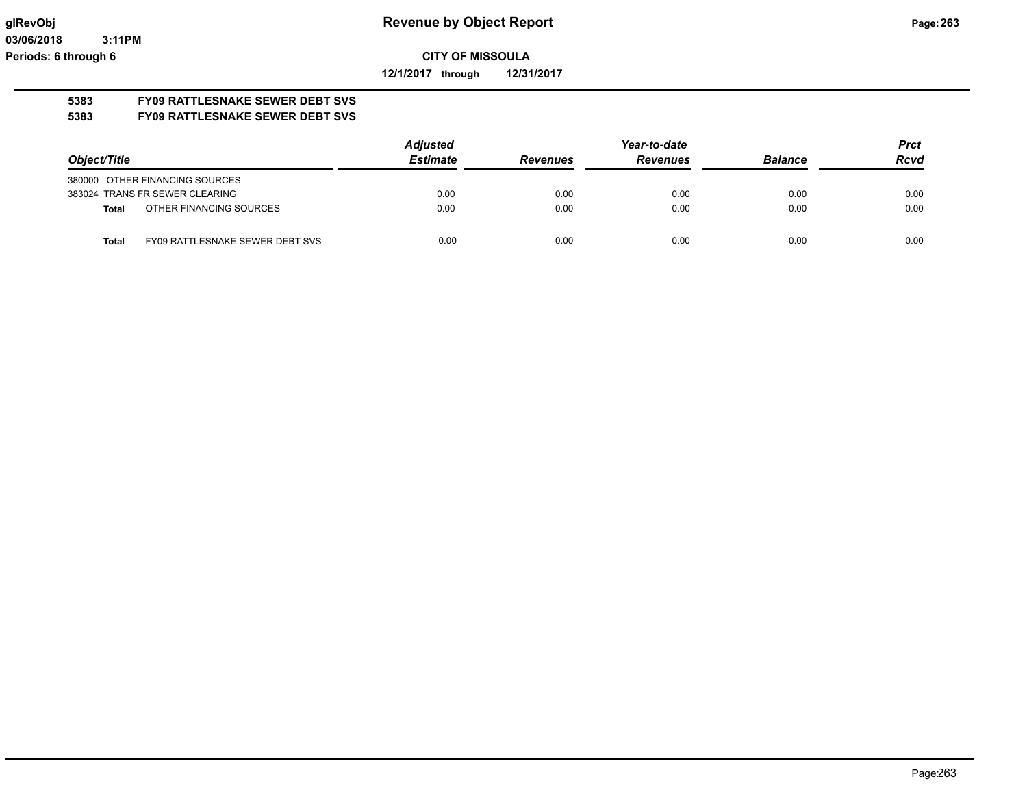**12/1/2017 through 12/31/2017**

# **5383 FY09 RATTLESNAKE SEWER DEBT SVS**

## **5383 FY09 RATTLESNAKE SEWER DEBT SVS**

|                                                 | <b>Adjusted</b> | Year-to-date    |                 |                | <b>Prct</b> |
|-------------------------------------------------|-----------------|-----------------|-----------------|----------------|-------------|
| Object/Title                                    | <b>Estimate</b> | <b>Revenues</b> | <b>Revenues</b> | <b>Balance</b> | Rcvd        |
| 380000 OTHER FINANCING SOURCES                  |                 |                 |                 |                |             |
| 383024 TRANS FR SEWER CLEARING                  | 0.00            | 0.00            | 0.00            | 0.00           | 0.00        |
| OTHER FINANCING SOURCES<br>Total                | 0.00            | 0.00            | 0.00            | 0.00           | 0.00        |
| FY09 RATTLESNAKE SEWER DEBT SVS<br><b>Total</b> | 0.00            | 0.00            | 0.00            | 0.00           | 0.00        |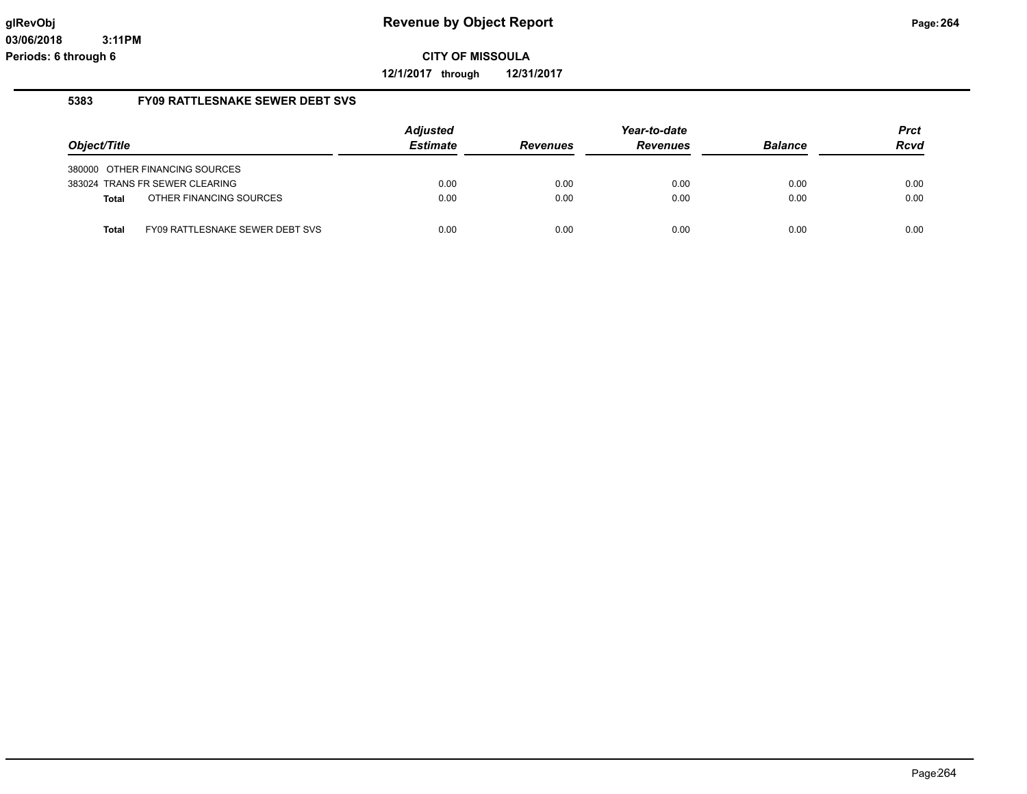**12/1/2017 through 12/31/2017**

#### **5383 FY09 RATTLESNAKE SEWER DEBT SVS**

| Object/Title |                                 | <b>Adjusted</b><br><b>Estimate</b> | <b>Revenues</b> | Year-to-date<br><b>Revenues</b> | <b>Balance</b> | <b>Prct</b><br><b>Rcvd</b> |
|--------------|---------------------------------|------------------------------------|-----------------|---------------------------------|----------------|----------------------------|
|              | 380000 OTHER FINANCING SOURCES  |                                    |                 |                                 |                |                            |
|              | 383024 TRANS FR SEWER CLEARING  | 0.00                               | 0.00            | 0.00                            | 0.00           | 0.00                       |
| <b>Total</b> | OTHER FINANCING SOURCES         | 0.00                               | 0.00            | 0.00                            | 0.00           | 0.00                       |
| <b>Total</b> | FY09 RATTLESNAKE SEWER DEBT SVS | 0.00                               | 0.00            | 0.00                            | 0.00           | 0.00                       |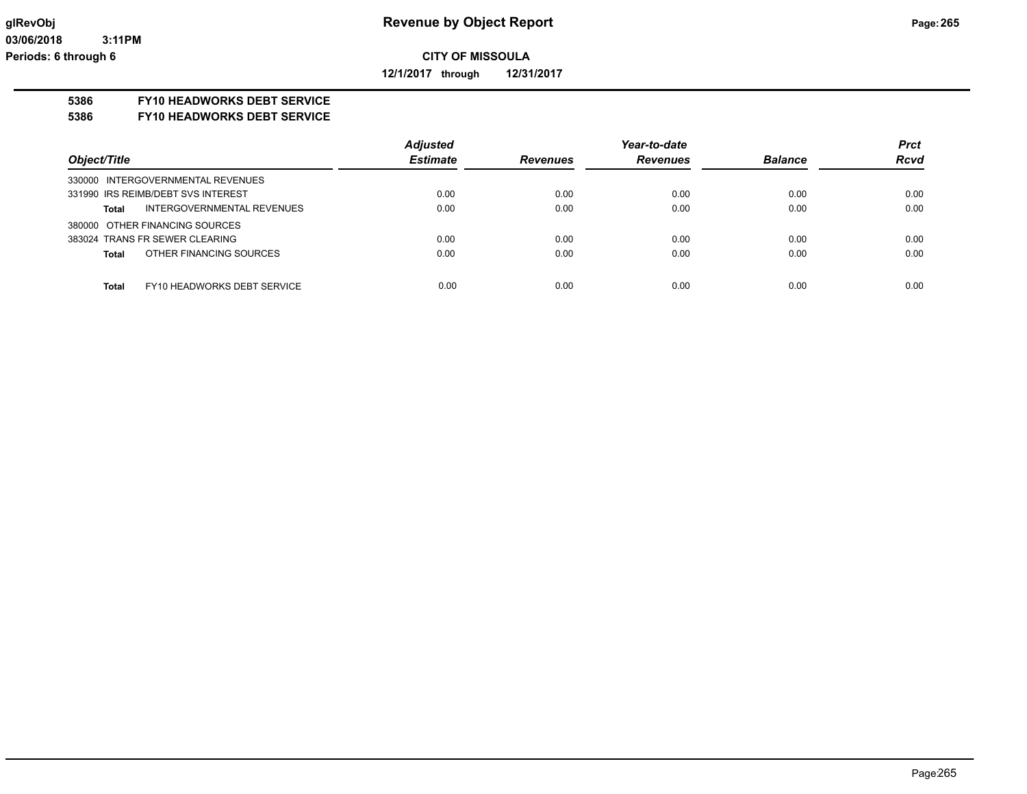**12/1/2017 through 12/31/2017**

## **5386 FY10 HEADWORKS DEBT SERVICE**

#### **5386 FY10 HEADWORKS DEBT SERVICE**

|                                             | <b>Adjusted</b> |                 | Year-to-date    |                | <b>Prct</b> |
|---------------------------------------------|-----------------|-----------------|-----------------|----------------|-------------|
| Object/Title                                | <b>Estimate</b> | <b>Revenues</b> | <b>Revenues</b> | <b>Balance</b> | <b>Rcvd</b> |
| 330000 INTERGOVERNMENTAL REVENUES           |                 |                 |                 |                |             |
| 331990 IRS REIMB/DEBT SVS INTEREST          | 0.00            | 0.00            | 0.00            | 0.00           | 0.00        |
| INTERGOVERNMENTAL REVENUES<br><b>Total</b>  | 0.00            | 0.00            | 0.00            | 0.00           | 0.00        |
| 380000 OTHER FINANCING SOURCES              |                 |                 |                 |                |             |
| 383024 TRANS FR SEWER CLEARING              | 0.00            | 0.00            | 0.00            | 0.00           | 0.00        |
| OTHER FINANCING SOURCES<br><b>Total</b>     | 0.00            | 0.00            | 0.00            | 0.00           | 0.00        |
|                                             |                 |                 |                 |                |             |
| <b>Total</b><br>FY10 HEADWORKS DEBT SERVICE | 0.00            | 0.00            | 0.00            | 0.00           | 0.00        |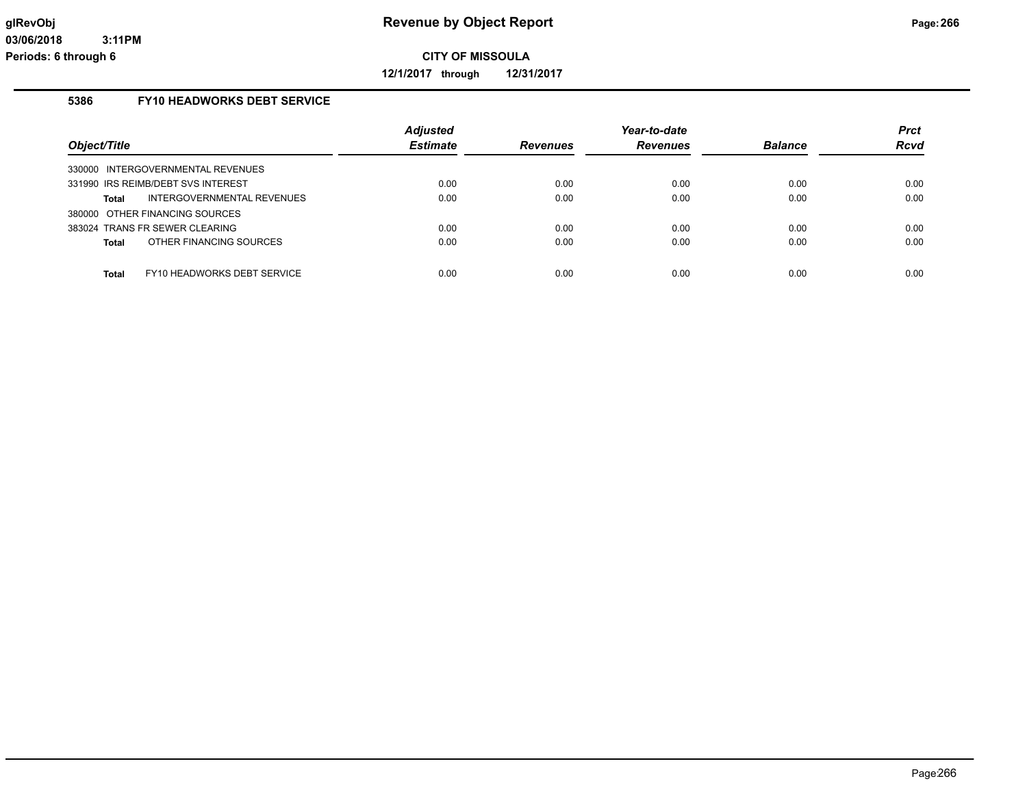**12/1/2017 through 12/31/2017**

## **5386 FY10 HEADWORKS DEBT SERVICE**

| Object/Title                                | <b>Adjusted</b><br><b>Estimate</b> | <b>Revenues</b> | Year-to-date<br><b>Revenues</b> | <b>Balance</b> | <b>Prct</b><br>Rcvd |
|---------------------------------------------|------------------------------------|-----------------|---------------------------------|----------------|---------------------|
| 330000 INTERGOVERNMENTAL REVENUES           |                                    |                 |                                 |                |                     |
| 331990 IRS REIMB/DEBT SVS INTEREST          | 0.00                               | 0.00            | 0.00                            | 0.00           | 0.00                |
| INTERGOVERNMENTAL REVENUES<br>Total         | 0.00                               | 0.00            | 0.00                            | 0.00           | 0.00                |
| 380000 OTHER FINANCING SOURCES              |                                    |                 |                                 |                |                     |
| 383024 TRANS FR SEWER CLEARING              | 0.00                               | 0.00            | 0.00                            | 0.00           | 0.00                |
| OTHER FINANCING SOURCES<br>Total            | 0.00                               | 0.00            | 0.00                            | 0.00           | 0.00                |
|                                             |                                    |                 |                                 |                |                     |
| FY10 HEADWORKS DEBT SERVICE<br><b>Total</b> | 0.00                               | 0.00            | 0.00                            | 0.00           | 0.00                |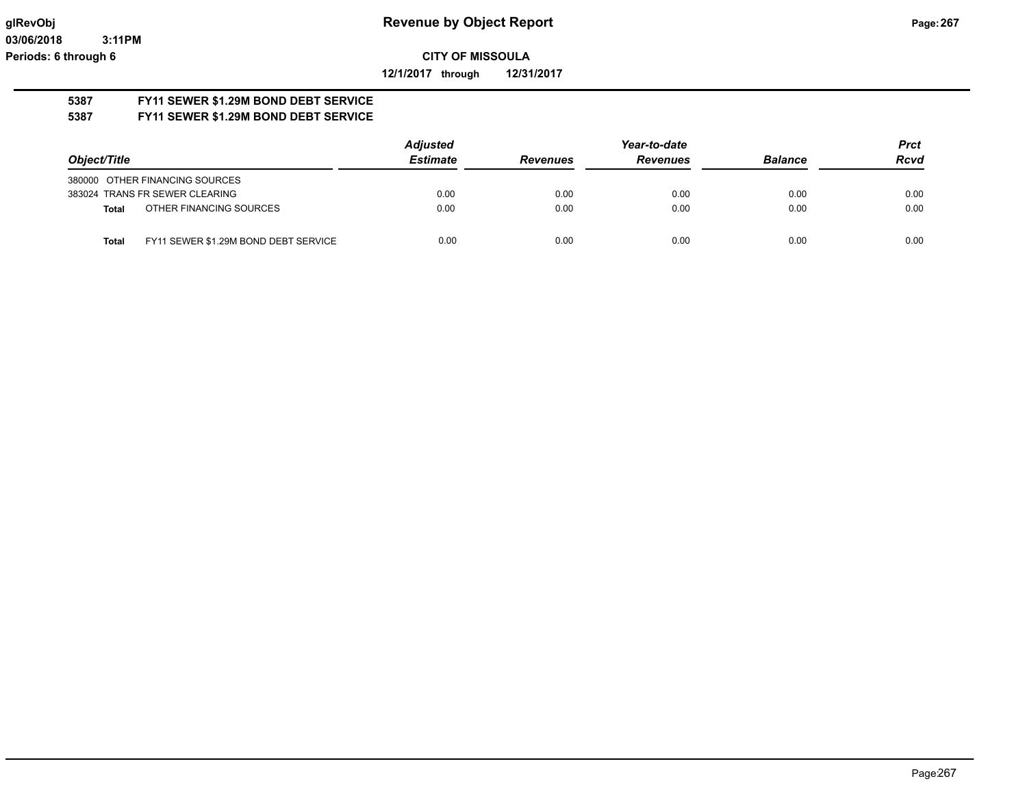**12/1/2017 through 12/31/2017**

#### **5387 FY11 SEWER \$1.29M BOND DEBT SERVICE 5387 FY11 SEWER \$1.29M BOND DEBT SERVICE**

|                                                      | <b>Adjusted</b> |                 | Year-to-date    |                | <b>Prct</b> |
|------------------------------------------------------|-----------------|-----------------|-----------------|----------------|-------------|
| Object/Title                                         | <b>Estimate</b> | <b>Revenues</b> | <b>Revenues</b> | <b>Balance</b> | <b>Rcvd</b> |
| 380000 OTHER FINANCING SOURCES                       |                 |                 |                 |                |             |
| 383024 TRANS FR SEWER CLEARING                       | 0.00            | 0.00            | 0.00            | 0.00           | 0.00        |
| OTHER FINANCING SOURCES<br>Total                     | 0.00            | 0.00            | 0.00            | 0.00           | 0.00        |
| FY11 SEWER \$1.29M BOND DEBT SERVICE<br><b>Total</b> | 0.00            | 0.00            | 0.00            | 0.00           | 0.00        |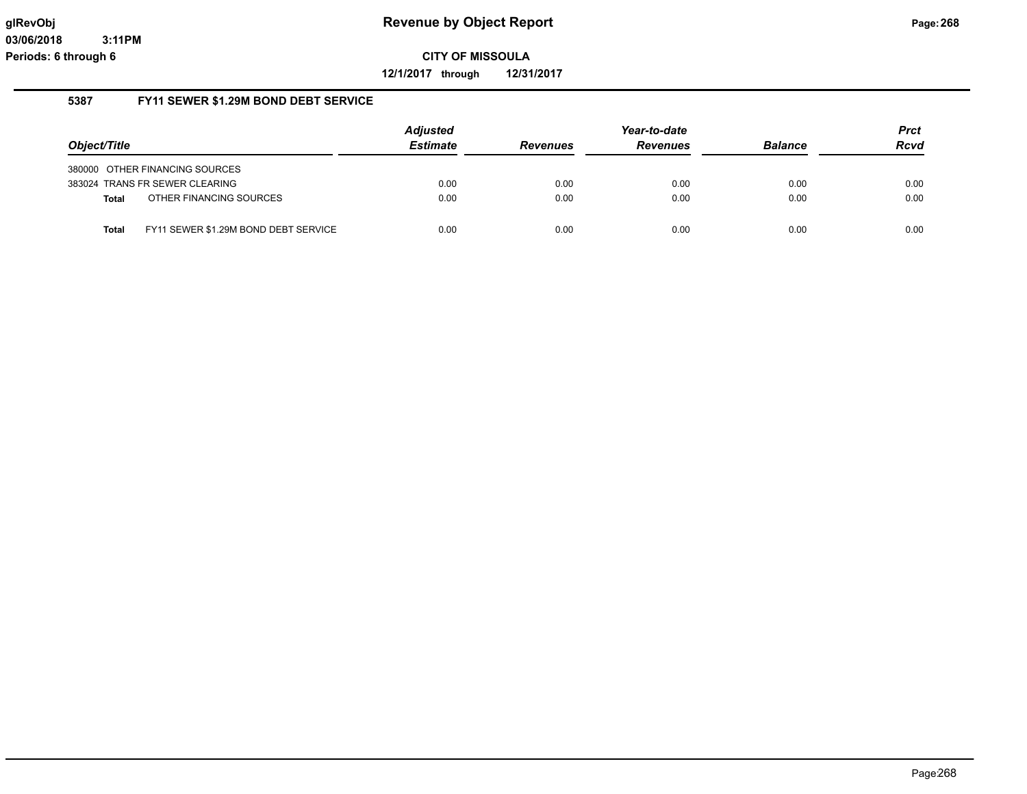**12/1/2017 through 12/31/2017**

## **5387 FY11 SEWER \$1.29M BOND DEBT SERVICE**

|              |                                      | <b>Adjusted</b> |                 | Year-to-date    |                | <b>Prct</b> |
|--------------|--------------------------------------|-----------------|-----------------|-----------------|----------------|-------------|
| Object/Title |                                      | <b>Estimate</b> | <b>Revenues</b> | <b>Revenues</b> | <b>Balance</b> | <b>Rcvd</b> |
|              | 380000 OTHER FINANCING SOURCES       |                 |                 |                 |                |             |
|              | 383024 TRANS FR SEWER CLEARING       | 0.00            | 0.00            | 0.00            | 0.00           | 0.00        |
| <b>Total</b> | OTHER FINANCING SOURCES              | 0.00            | 0.00            | 0.00            | 0.00           | 0.00        |
| <b>Total</b> | FY11 SEWER \$1.29M BOND DEBT SERVICE | 0.00            | 0.00            | 0.00            | 0.00           | 0.00        |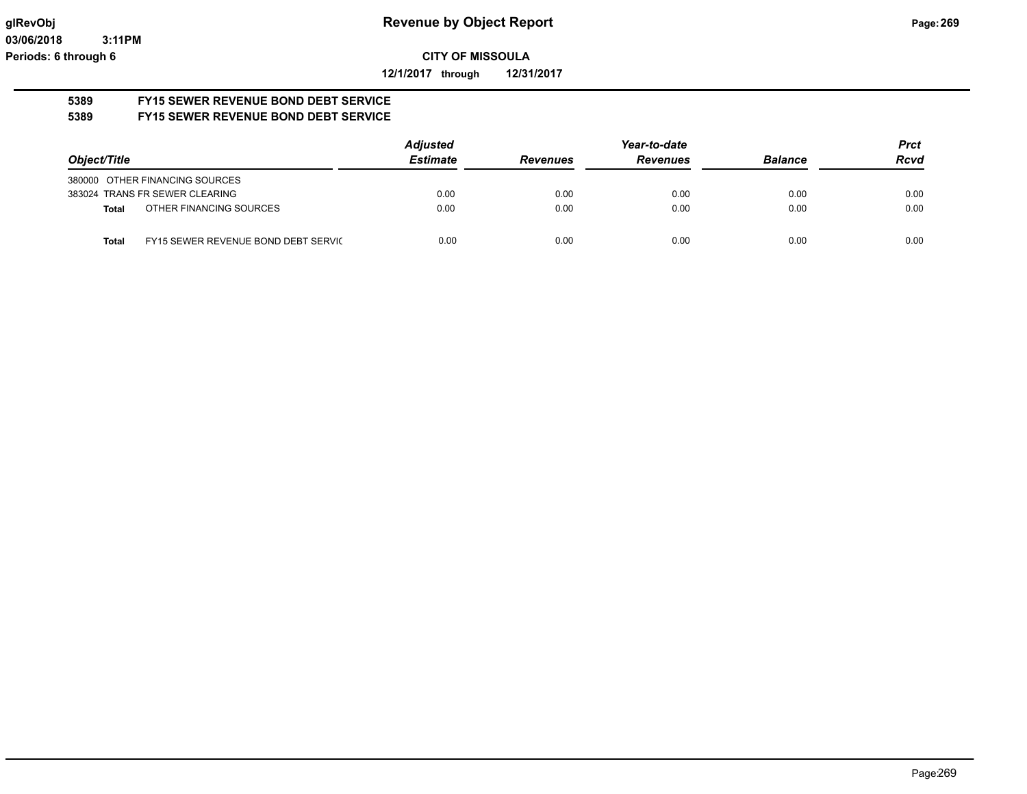**12/1/2017 through 12/31/2017**

#### **5389 FY15 SEWER REVENUE BOND DEBT SERVICE 5389 FY15 SEWER REVENUE BOND DEBT SERVICE**

|                                              | <b>Adjusted</b> |                 | Year-to-date    |                | <b>Prct</b> |
|----------------------------------------------|-----------------|-----------------|-----------------|----------------|-------------|
| Object/Title                                 | <b>Estimate</b> | <b>Revenues</b> | <b>Revenues</b> | <b>Balance</b> | <b>Rcvd</b> |
| 380000 OTHER FINANCING SOURCES               |                 |                 |                 |                |             |
| 383024 TRANS FR SEWER CLEARING               | 0.00            | 0.00            | 0.00            | 0.00           | 0.00        |
| OTHER FINANCING SOURCES<br>Total             | 0.00            | 0.00            | 0.00            | 0.00           | 0.00        |
| FY15 SEWER REVENUE BOND DEBT SERVIC<br>Total | 0.00            | 0.00            | 0.00            | 0.00           | 0.00        |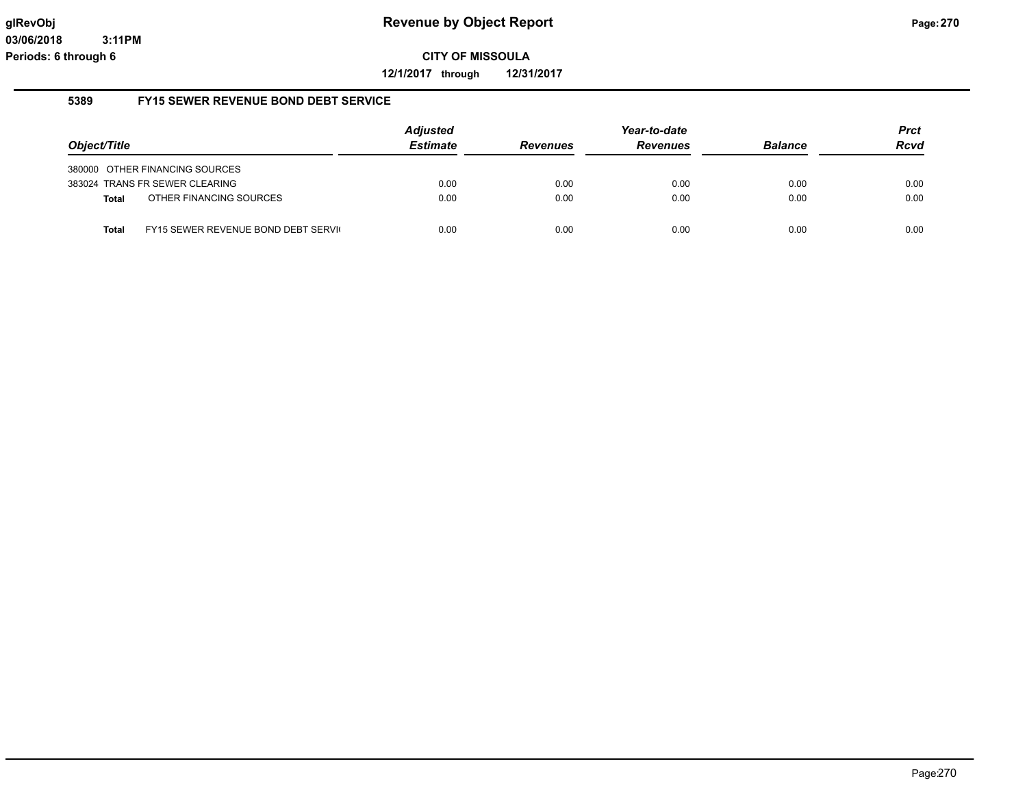**12/1/2017 through 12/31/2017**

### **5389 FY15 SEWER REVENUE BOND DEBT SERVICE**

|              |                                     | <b>Adjusted</b> |                 | Year-to-date    |                | <b>Prct</b> |
|--------------|-------------------------------------|-----------------|-----------------|-----------------|----------------|-------------|
| Object/Title |                                     | <b>Estimate</b> | <b>Revenues</b> | <b>Revenues</b> | <b>Balance</b> | <b>Rcvd</b> |
|              | 380000 OTHER FINANCING SOURCES      |                 |                 |                 |                |             |
|              | 383024 TRANS FR SEWER CLEARING      | 0.00            | 0.00            | 0.00            | 0.00           | 0.00        |
| <b>Total</b> | OTHER FINANCING SOURCES             | 0.00            | 0.00            | 0.00            | 0.00           | 0.00        |
| Total        | FY15 SEWER REVENUE BOND DEBT SERVIC | 0.00            | 0.00            | 0.00            | 0.00           | 0.00        |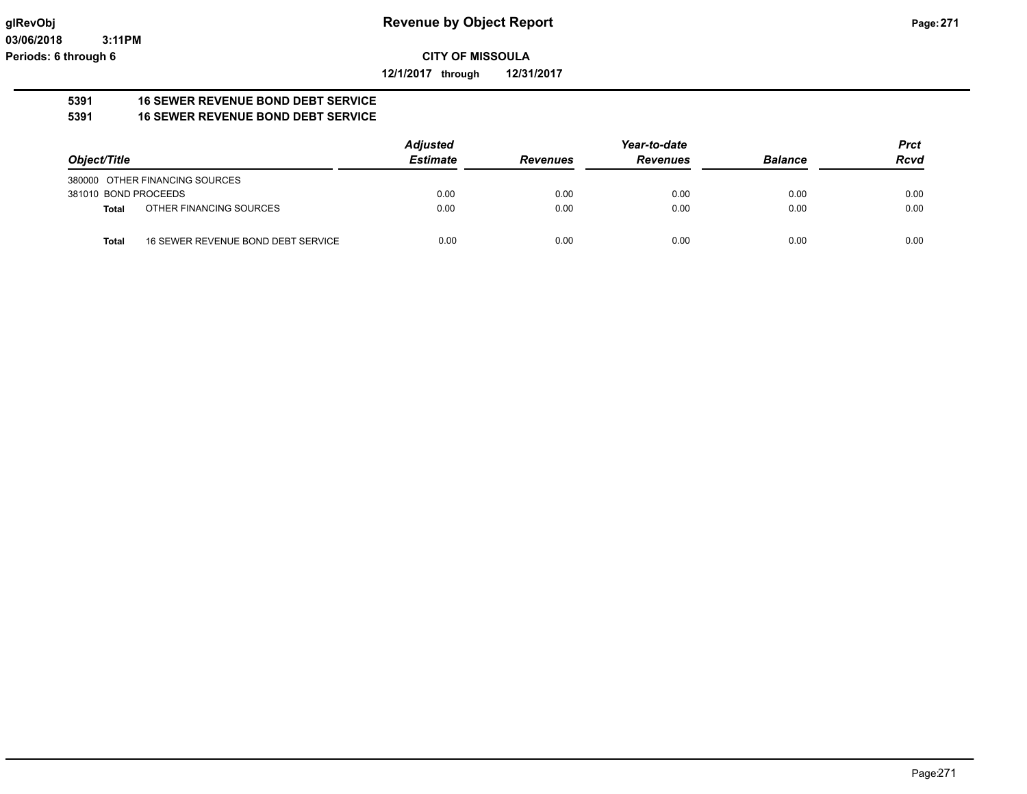**12/1/2017 through 12/31/2017**

#### **5391 16 SEWER REVENUE BOND DEBT SERVICE 5391 16 SEWER REVENUE BOND DEBT SERVICE**

|                      |                                    | <b>Adjusted</b> |                 | Year-to-date    |                | <b>Prct</b> |
|----------------------|------------------------------------|-----------------|-----------------|-----------------|----------------|-------------|
| Object/Title         |                                    | <b>Estimate</b> | <b>Revenues</b> | <b>Revenues</b> | <b>Balance</b> | <b>Rcvd</b> |
|                      | 380000 OTHER FINANCING SOURCES     |                 |                 |                 |                |             |
| 381010 BOND PROCEEDS |                                    | 0.00            | 0.00            | 0.00            | 0.00           | 0.00        |
| <b>Total</b>         | OTHER FINANCING SOURCES            | 0.00            | 0.00            | 0.00            | 0.00           | 0.00        |
| <b>Total</b>         | 16 SEWER REVENUE BOND DEBT SERVICE | 0.00            | 0.00            | 0.00            | 0.00           | 0.00        |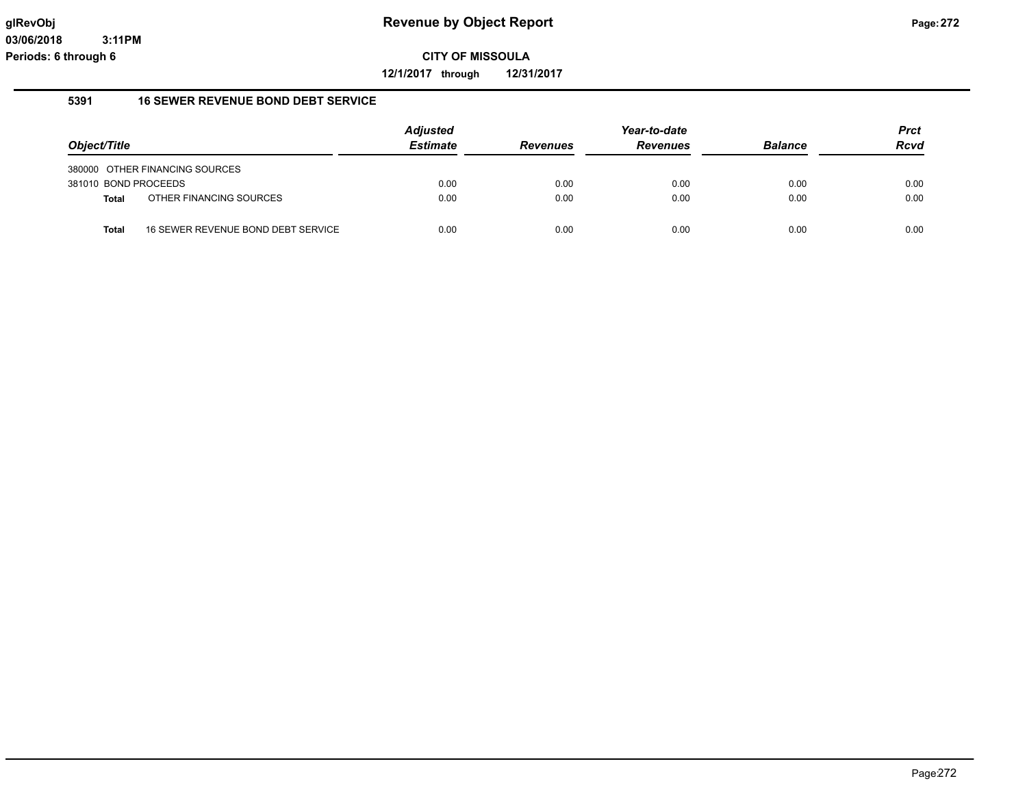**12/1/2017 through 12/31/2017**

#### **5391 16 SEWER REVENUE BOND DEBT SERVICE**

|                      |                                    | <b>Adjusted</b> |                 | Year-to-date    |                | <b>Prct</b> |
|----------------------|------------------------------------|-----------------|-----------------|-----------------|----------------|-------------|
| Object/Title         |                                    | <b>Estimate</b> | <b>Revenues</b> | <b>Revenues</b> | <b>Balance</b> | <b>Rcvd</b> |
|                      | 380000 OTHER FINANCING SOURCES     |                 |                 |                 |                |             |
| 381010 BOND PROCEEDS |                                    | 0.00            | 0.00            | 0.00            | 0.00           | 0.00        |
| <b>Total</b>         | OTHER FINANCING SOURCES            | 0.00            | 0.00            | 0.00            | 0.00           | 0.00        |
| Total                | 16 SEWER REVENUE BOND DEBT SERVICE | 0.00            | 0.00            | 0.00            | 0.00           | 0.00        |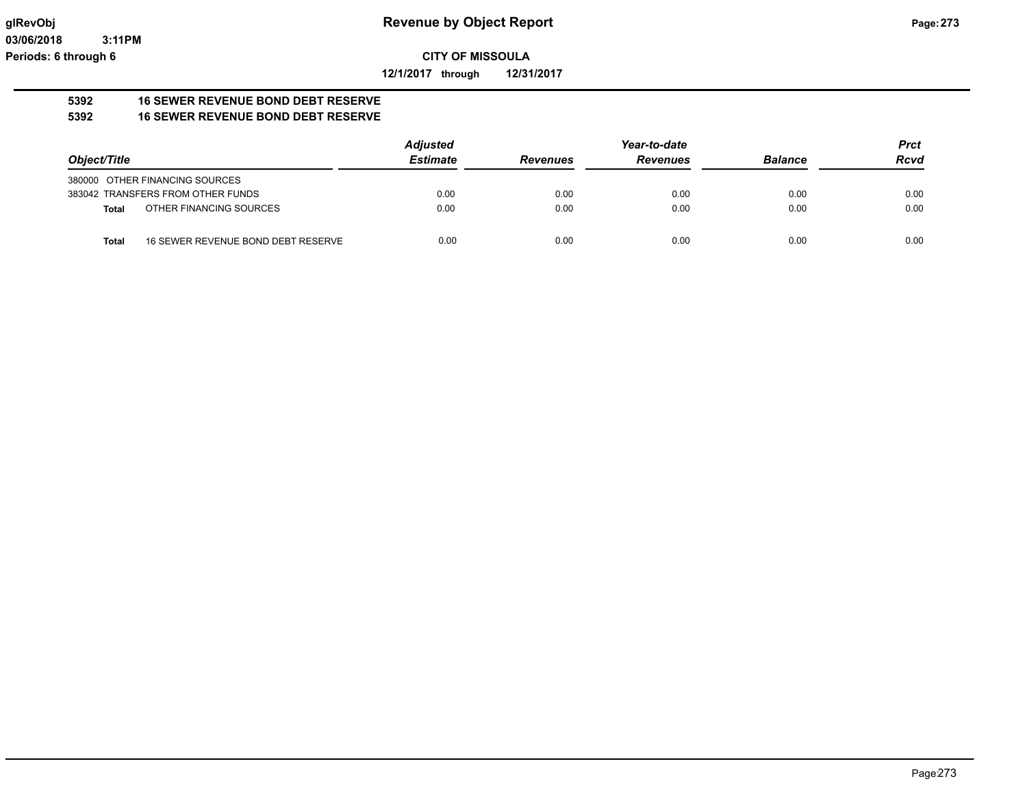**12/1/2017 through 12/31/2017**

#### **5392 16 SEWER REVENUE BOND DEBT RESERVE 5392 16 SEWER REVENUE BOND DEBT RESERVE**

|                                                    | <b>Adjusted</b> |                 | Year-to-date    |                | <b>Prct</b> |
|----------------------------------------------------|-----------------|-----------------|-----------------|----------------|-------------|
| Object/Title                                       | <b>Estimate</b> | <b>Revenues</b> | <b>Revenues</b> | <b>Balance</b> | <b>Rcvd</b> |
| 380000 OTHER FINANCING SOURCES                     |                 |                 |                 |                |             |
| 383042 TRANSFERS FROM OTHER FUNDS                  | 0.00            | 0.00            | 0.00            | 0.00           | 0.00        |
| OTHER FINANCING SOURCES<br>Total                   | 0.00            | 0.00            | 0.00            | 0.00           | 0.00        |
| 16 SEWER REVENUE BOND DEBT RESERVE<br><b>Total</b> | 0.00            | 0.00            | 0.00            | 0.00           | 0.00        |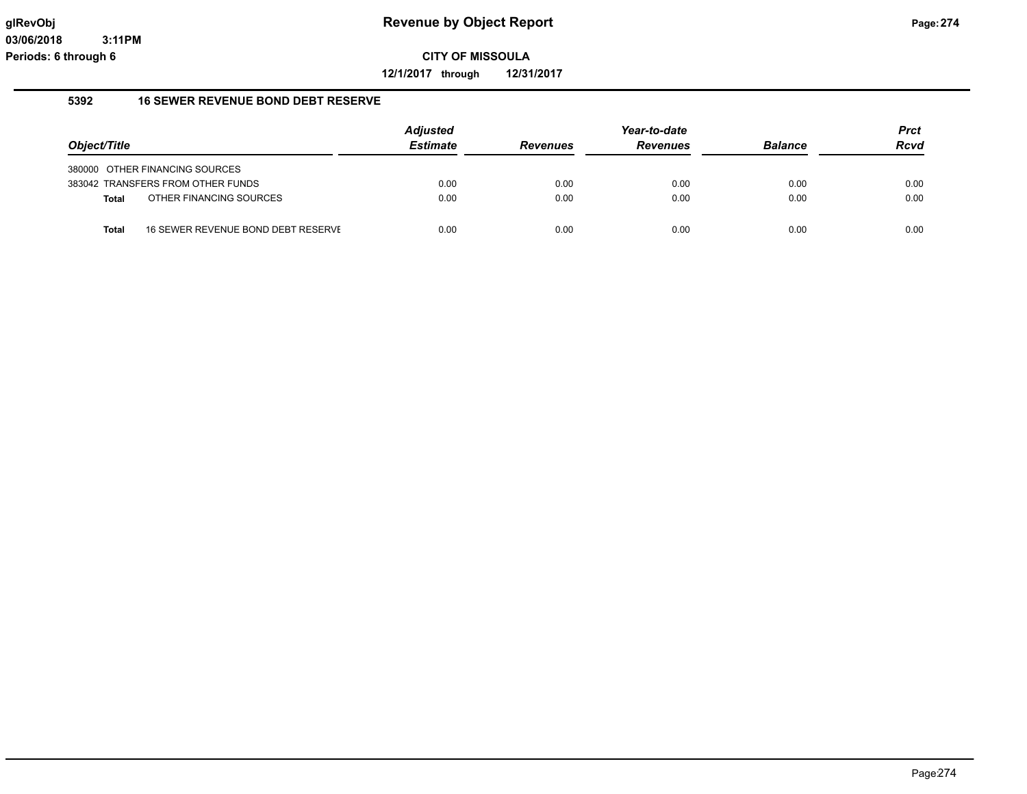**12/1/2017 through 12/31/2017**

### **5392 16 SEWER REVENUE BOND DEBT RESERVE**

|              |                                    | <b>Adjusted</b> |                 | Year-to-date    |                | <b>Prct</b> |
|--------------|------------------------------------|-----------------|-----------------|-----------------|----------------|-------------|
| Object/Title |                                    | <b>Estimate</b> | <b>Revenues</b> | <b>Revenues</b> | <b>Balance</b> | <b>Rcvd</b> |
|              | 380000 OTHER FINANCING SOURCES     |                 |                 |                 |                |             |
|              | 383042 TRANSFERS FROM OTHER FUNDS  | 0.00            | 0.00            | 0.00            | 0.00           | 0.00        |
| Total        | OTHER FINANCING SOURCES            | 0.00            | 0.00            | 0.00            | 0.00           | 0.00        |
| Total        | 16 SEWER REVENUE BOND DEBT RESERVE | 0.00            | 0.00            | 0.00            | 0.00           | 0.00        |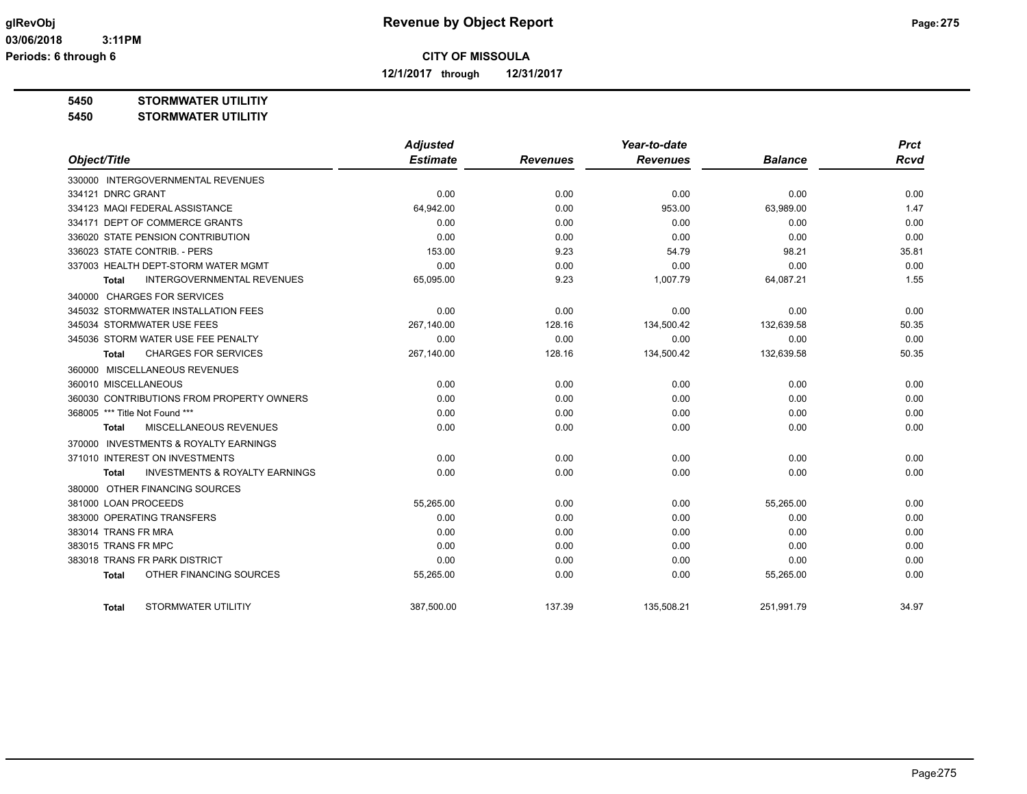**12/1/2017 through 12/31/2017**

**5450 STORMWATER UTILITIY**

**5450 STORMWATER UTILITIY**

|                                                    | <b>Adjusted</b> |                 | Year-to-date    |                | <b>Prct</b> |
|----------------------------------------------------|-----------------|-----------------|-----------------|----------------|-------------|
| Object/Title                                       | <b>Estimate</b> | <b>Revenues</b> | <b>Revenues</b> | <b>Balance</b> | <b>Rcvd</b> |
| 330000 INTERGOVERNMENTAL REVENUES                  |                 |                 |                 |                |             |
| 334121 DNRC GRANT                                  | 0.00            | 0.00            | 0.00            | 0.00           | 0.00        |
| 334123 MAQI FEDERAL ASSISTANCE                     | 64,942.00       | 0.00            | 953.00          | 63.989.00      | 1.47        |
| 334171 DEPT OF COMMERCE GRANTS                     | 0.00            | 0.00            | 0.00            | 0.00           | 0.00        |
| 336020 STATE PENSION CONTRIBUTION                  | 0.00            | 0.00            | 0.00            | 0.00           | 0.00        |
| 336023 STATE CONTRIB. - PERS                       | 153.00          | 9.23            | 54.79           | 98.21          | 35.81       |
| 337003 HEALTH DEPT-STORM WATER MGMT                | 0.00            | 0.00            | 0.00            | 0.00           | 0.00        |
| INTERGOVERNMENTAL REVENUES<br>Total                | 65,095.00       | 9.23            | 1,007.79        | 64,087.21      | 1.55        |
| 340000 CHARGES FOR SERVICES                        |                 |                 |                 |                |             |
| 345032 STORMWATER INSTALLATION FEES                | 0.00            | 0.00            | 0.00            | 0.00           | 0.00        |
| 345034 STORMWATER USE FEES                         | 267,140.00      | 128.16          | 134,500.42      | 132,639.58     | 50.35       |
| 345036 STORM WATER USE FEE PENALTY                 | 0.00            | 0.00            | 0.00            | 0.00           | 0.00        |
| <b>CHARGES FOR SERVICES</b><br>Total               | 267,140.00      | 128.16          | 134,500.42      | 132,639.58     | 50.35       |
| 360000 MISCELLANEOUS REVENUES                      |                 |                 |                 |                |             |
| 360010 MISCELLANEOUS                               | 0.00            | 0.00            | 0.00            | 0.00           | 0.00        |
| 360030 CONTRIBUTIONS FROM PROPERTY OWNERS          | 0.00            | 0.00            | 0.00            | 0.00           | 0.00        |
| 368005 *** Title Not Found ***                     | 0.00            | 0.00            | 0.00            | 0.00           | 0.00        |
| MISCELLANEOUS REVENUES<br><b>Total</b>             | 0.00            | 0.00            | 0.00            | 0.00           | 0.00        |
| 370000 INVESTMENTS & ROYALTY EARNINGS              |                 |                 |                 |                |             |
| 371010 INTEREST ON INVESTMENTS                     | 0.00            | 0.00            | 0.00            | 0.00           | 0.00        |
| <b>INVESTMENTS &amp; ROYALTY EARNINGS</b><br>Total | 0.00            | 0.00            | 0.00            | 0.00           | 0.00        |
| 380000 OTHER FINANCING SOURCES                     |                 |                 |                 |                |             |
| 381000 LOAN PROCEEDS                               | 55,265.00       | 0.00            | 0.00            | 55,265.00      | 0.00        |
| 383000 OPERATING TRANSFERS                         | 0.00            | 0.00            | 0.00            | 0.00           | 0.00        |
| 383014 TRANS FR MRA                                | 0.00            | 0.00            | 0.00            | 0.00           | 0.00        |
| 383015 TRANS FR MPC                                | 0.00            | 0.00            | 0.00            | 0.00           | 0.00        |
| 383018 TRANS FR PARK DISTRICT                      | 0.00            | 0.00            | 0.00            | 0.00           | 0.00        |
| OTHER FINANCING SOURCES<br>Total                   | 55,265.00       | 0.00            | 0.00            | 55,265.00      | 0.00        |
|                                                    |                 |                 |                 |                |             |
| STORMWATER UTILITIY<br>Total                       | 387.500.00      | 137.39          | 135.508.21      | 251.991.79     | 34.97       |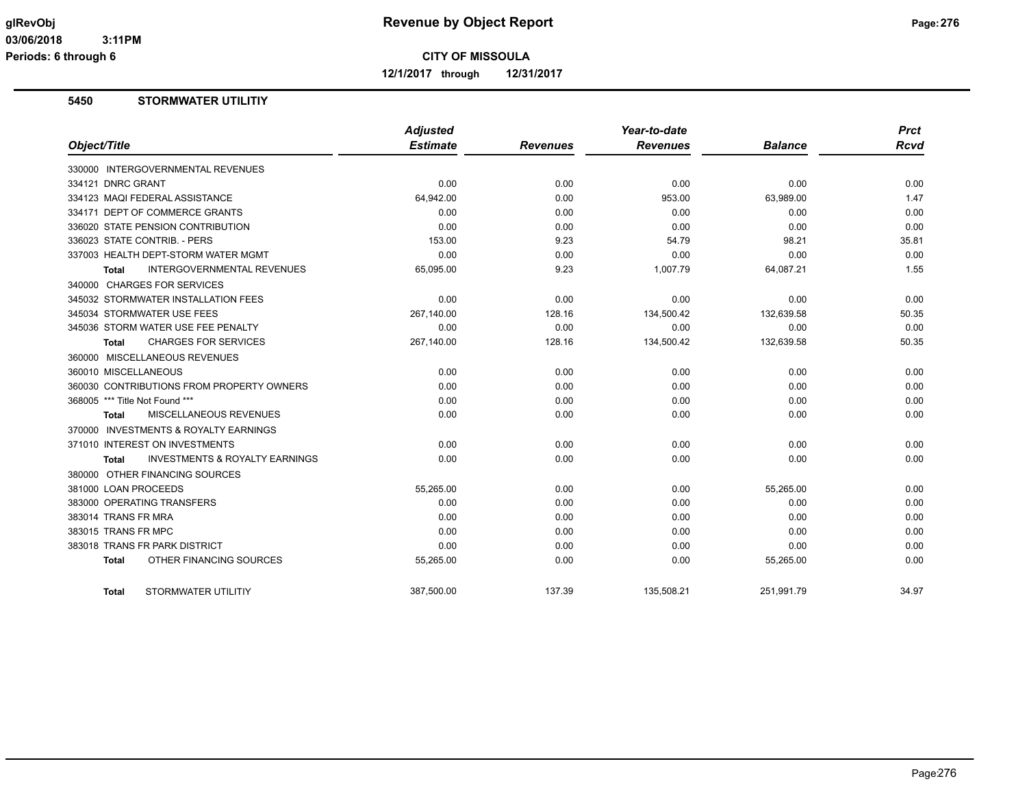**12/1/2017 through 12/31/2017**

## **5450 STORMWATER UTILITIY**

| Object/Title                               | <b>Adjusted</b><br><b>Estimate</b> | <b>Revenues</b> | Year-to-date<br><b>Revenues</b> | <b>Balance</b> | <b>Prct</b><br><b>Rcvd</b> |
|--------------------------------------------|------------------------------------|-----------------|---------------------------------|----------------|----------------------------|
| 330000 INTERGOVERNMENTAL REVENUES          |                                    |                 |                                 |                |                            |
| 334121 DNRC GRANT                          | 0.00                               | 0.00            | 0.00                            | 0.00           | 0.00                       |
| 334123 MAQI FEDERAL ASSISTANCE             | 64,942.00                          | 0.00            | 953.00                          | 63,989.00      | 1.47                       |
| 334171 DEPT OF COMMERCE GRANTS             | 0.00                               | 0.00            | 0.00                            | 0.00           | 0.00                       |
| 336020 STATE PENSION CONTRIBUTION          | 0.00                               | 0.00            | 0.00                            | 0.00           | 0.00                       |
| 336023 STATE CONTRIB. - PERS               | 153.00                             | 9.23            | 54.79                           | 98.21          | 35.81                      |
| 337003 HEALTH DEPT-STORM WATER MGMT        | 0.00                               | 0.00            | 0.00                            | 0.00           | 0.00                       |
| <b>INTERGOVERNMENTAL REVENUES</b><br>Total | 65,095.00                          | 9.23            | 1,007.79                        | 64,087.21      | 1.55                       |
| 340000 CHARGES FOR SERVICES                |                                    |                 |                                 |                |                            |
| 345032 STORMWATER INSTALLATION FEES        | 0.00                               | 0.00            | 0.00                            | 0.00           | 0.00                       |
| 345034 STORMWATER USE FEES                 | 267,140.00                         | 128.16          | 134,500.42                      | 132,639.58     | 50.35                      |
| 345036 STORM WATER USE FEE PENALTY         | 0.00                               | 0.00            | 0.00                            | 0.00           | 0.00                       |
| <b>CHARGES FOR SERVICES</b><br>Total       | 267,140.00                         | 128.16          | 134,500.42                      | 132,639.58     | 50.35                      |
| 360000 MISCELLANEOUS REVENUES              |                                    |                 |                                 |                |                            |
| 360010 MISCELLANEOUS                       | 0.00                               | 0.00            | 0.00                            | 0.00           | 0.00                       |
| 360030 CONTRIBUTIONS FROM PROPERTY OWNERS  | 0.00                               | 0.00            | 0.00                            | 0.00           | 0.00                       |
| 368005 *** Title Not Found ***             | 0.00                               | 0.00            | 0.00                            | 0.00           | 0.00                       |
| MISCELLANEOUS REVENUES<br>Total            | 0.00                               | 0.00            | 0.00                            | 0.00           | 0.00                       |
| 370000 INVESTMENTS & ROYALTY EARNINGS      |                                    |                 |                                 |                |                            |
| 371010 INTEREST ON INVESTMENTS             | 0.00                               |                 |                                 | 0.00           | 0.00                       |
| <b>INVESTMENTS &amp; ROYALTY EARNINGS</b>  | 0.00                               | 0.00<br>0.00    | 0.00<br>0.00                    | 0.00           | 0.00                       |
| Total                                      |                                    |                 |                                 |                |                            |
| 380000 OTHER FINANCING SOURCES             |                                    |                 |                                 |                |                            |
| 381000 LOAN PROCEEDS                       | 55,265.00                          | 0.00            | 0.00                            | 55,265.00      | 0.00                       |
| 383000 OPERATING TRANSFERS                 | 0.00                               | 0.00            | 0.00                            | 0.00           | 0.00                       |
| 383014 TRANS FR MRA                        | 0.00                               | 0.00            | 0.00                            | 0.00           | 0.00                       |
| 383015 TRANS FR MPC                        | 0.00                               | 0.00            | 0.00                            | 0.00           | 0.00                       |
| 383018 TRANS FR PARK DISTRICT              | 0.00                               | 0.00            | 0.00                            | 0.00           | 0.00                       |
| OTHER FINANCING SOURCES<br><b>Total</b>    | 55,265.00                          | 0.00            | 0.00                            | 55,265.00      | 0.00                       |
| STORMWATER UTILITIY<br><b>Total</b>        | 387.500.00                         | 137.39          | 135.508.21                      | 251.991.79     | 34.97                      |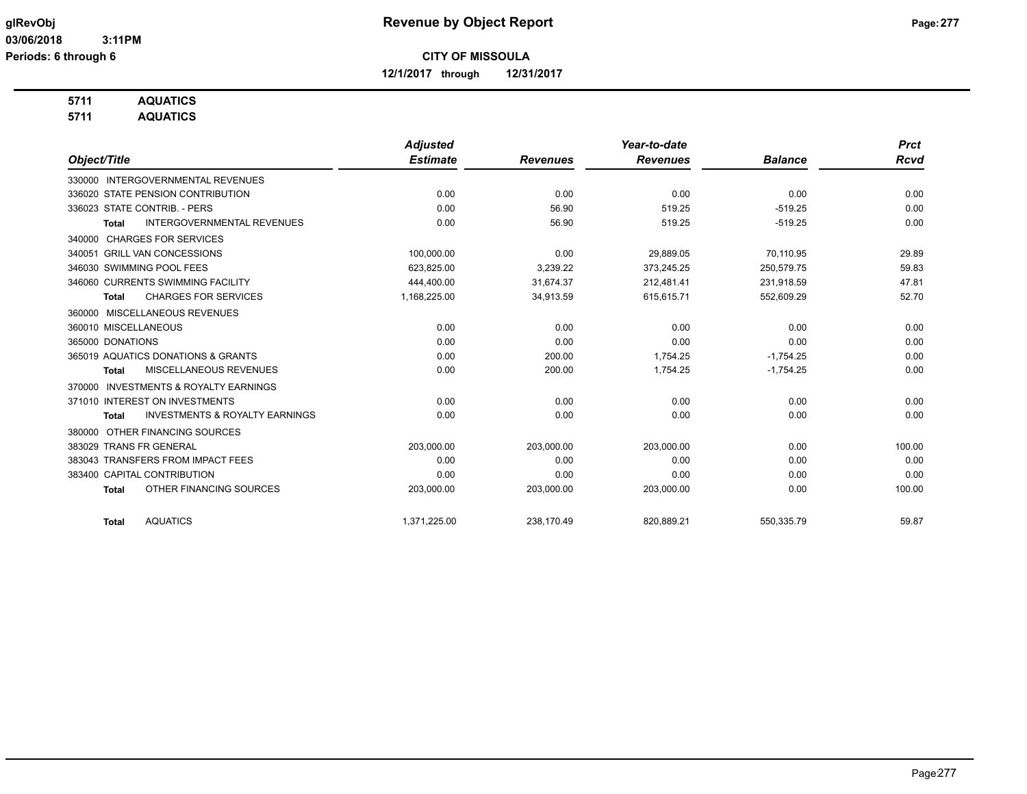**12/1/2017 through 12/31/2017**

## **5711 AQUATICS**

**5711 AQUATICS**

|                                                     | <b>Adjusted</b> |                 | Year-to-date    |                | <b>Prct</b> |
|-----------------------------------------------------|-----------------|-----------------|-----------------|----------------|-------------|
| Object/Title                                        | <b>Estimate</b> | <b>Revenues</b> | <b>Revenues</b> | <b>Balance</b> | <b>Rcvd</b> |
| 330000 INTERGOVERNMENTAL REVENUES                   |                 |                 |                 |                |             |
| 336020 STATE PENSION CONTRIBUTION                   | 0.00            | 0.00            | 0.00            | 0.00           | 0.00        |
| 336023 STATE CONTRIB. - PERS                        | 0.00            | 56.90           | 519.25          | $-519.25$      | 0.00        |
| INTERGOVERNMENTAL REVENUES<br><b>Total</b>          | 0.00            | 56.90           | 519.25          | $-519.25$      | 0.00        |
| <b>CHARGES FOR SERVICES</b><br>340000               |                 |                 |                 |                |             |
| <b>GRILL VAN CONCESSIONS</b><br>340051              | 100.000.00      | 0.00            | 29.889.05       | 70.110.95      | 29.89       |
| 346030 SWIMMING POOL FEES                           | 623,825.00      | 3,239.22        | 373,245.25      | 250,579.75     | 59.83       |
| 346060 CURRENTS SWIMMING FACILITY                   | 444,400.00      | 31,674.37       | 212,481.41      | 231,918.59     | 47.81       |
| <b>CHARGES FOR SERVICES</b><br><b>Total</b>         | 1,168,225.00    | 34,913.59       | 615,615.71      | 552,609.29     | 52.70       |
| MISCELLANEOUS REVENUES<br>360000                    |                 |                 |                 |                |             |
| 360010 MISCELLANEOUS                                | 0.00            | 0.00            | 0.00            | 0.00           | 0.00        |
| 365000 DONATIONS                                    | 0.00            | 0.00            | 0.00            | 0.00           | 0.00        |
| 365019 AQUATICS DONATIONS & GRANTS                  | 0.00            | 200.00          | 1,754.25        | $-1,754.25$    | 0.00        |
| MISCELLANEOUS REVENUES<br><b>Total</b>              | 0.00            | 200.00          | 1,754.25        | $-1,754.25$    | 0.00        |
| <b>INVESTMENTS &amp; ROYALTY EARNINGS</b><br>370000 |                 |                 |                 |                |             |
| 371010 INTEREST ON INVESTMENTS                      | 0.00            | 0.00            | 0.00            | 0.00           | 0.00        |
| <b>INVESTMENTS &amp; ROYALTY EARNINGS</b><br>Total  | 0.00            | 0.00            | 0.00            | 0.00           | 0.00        |
| OTHER FINANCING SOURCES<br>380000                   |                 |                 |                 |                |             |
| 383029 TRANS FR GENERAL                             | 203,000.00      | 203,000.00      | 203,000.00      | 0.00           | 100.00      |
| 383043 TRANSFERS FROM IMPACT FEES                   | 0.00            | 0.00            | 0.00            | 0.00           | 0.00        |
| 383400 CAPITAL CONTRIBUTION                         | 0.00            | 0.00            | 0.00            | 0.00           | 0.00        |
| OTHER FINANCING SOURCES<br><b>Total</b>             | 203,000.00      | 203,000.00      | 203,000.00      | 0.00           | 100.00      |
| <b>AQUATICS</b><br><b>Total</b>                     | 1,371,225.00    | 238,170.49      | 820,889.21      | 550,335.79     | 59.87       |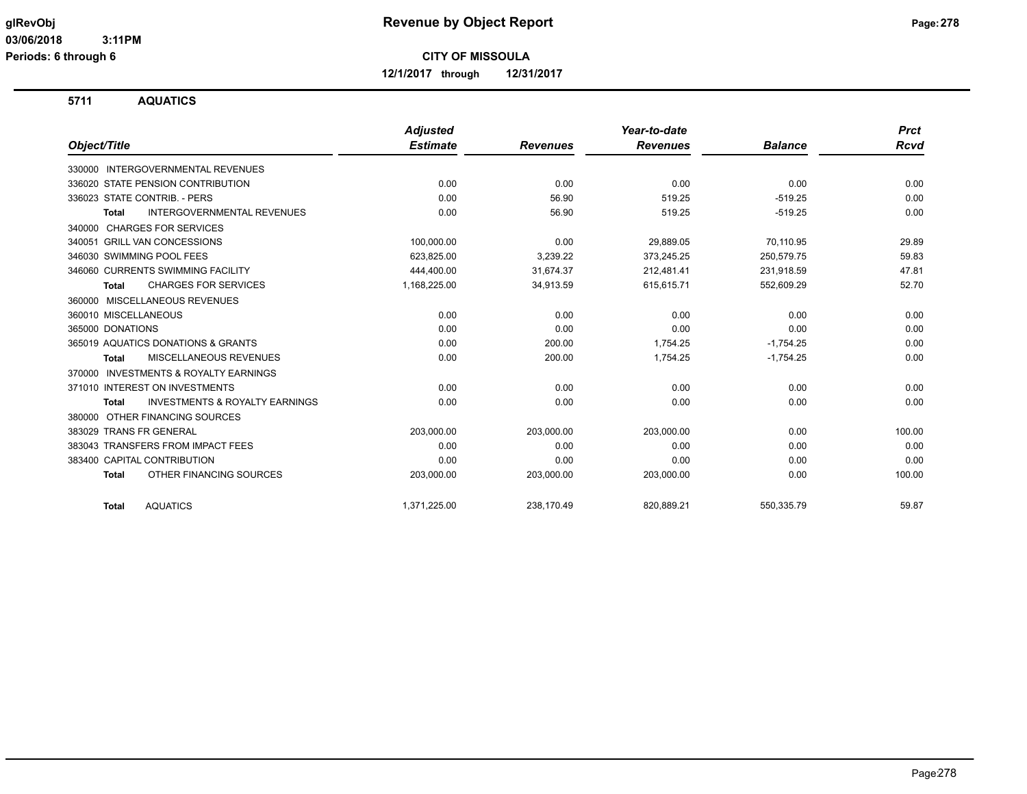**12/1/2017 through 12/31/2017**

**5711 AQUATICS**

|                                                     | <b>Adjusted</b> |                 | Year-to-date    |                | <b>Prct</b> |
|-----------------------------------------------------|-----------------|-----------------|-----------------|----------------|-------------|
| Object/Title                                        | <b>Estimate</b> | <b>Revenues</b> | <b>Revenues</b> | <b>Balance</b> | <b>Rcvd</b> |
| 330000 INTERGOVERNMENTAL REVENUES                   |                 |                 |                 |                |             |
| 336020 STATE PENSION CONTRIBUTION                   | 0.00            | 0.00            | 0.00            | 0.00           | 0.00        |
| 336023 STATE CONTRIB. - PERS                        | 0.00            | 56.90           | 519.25          | $-519.25$      | 0.00        |
| <b>INTERGOVERNMENTAL REVENUES</b><br>Total          | 0.00            | 56.90           | 519.25          | $-519.25$      | 0.00        |
| <b>CHARGES FOR SERVICES</b><br>340000               |                 |                 |                 |                |             |
| 340051 GRILL VAN CONCESSIONS                        | 100,000.00      | 0.00            | 29,889.05       | 70,110.95      | 29.89       |
| 346030 SWIMMING POOL FEES                           | 623,825.00      | 3,239.22        | 373,245.25      | 250,579.75     | 59.83       |
| 346060 CURRENTS SWIMMING FACILITY                   | 444,400.00      | 31,674.37       | 212,481.41      | 231,918.59     | 47.81       |
| <b>CHARGES FOR SERVICES</b><br>Total                | 1,168,225.00    | 34,913.59       | 615,615.71      | 552,609.29     | 52.70       |
| MISCELLANEOUS REVENUES<br>360000                    |                 |                 |                 |                |             |
| 360010 MISCELLANEOUS                                | 0.00            | 0.00            | 0.00            | 0.00           | 0.00        |
| 365000 DONATIONS                                    | 0.00            | 0.00            | 0.00            | 0.00           | 0.00        |
| 365019 AQUATICS DONATIONS & GRANTS                  | 0.00            | 200.00          | 1,754.25        | $-1,754.25$    | 0.00        |
| MISCELLANEOUS REVENUES<br>Total                     | 0.00            | 200.00          | 1,754.25        | $-1,754.25$    | 0.00        |
| <b>INVESTMENTS &amp; ROYALTY EARNINGS</b><br>370000 |                 |                 |                 |                |             |
| 371010 INTEREST ON INVESTMENTS                      | 0.00            | 0.00            | 0.00            | 0.00           | 0.00        |
| <b>INVESTMENTS &amp; ROYALTY EARNINGS</b><br>Total  | 0.00            | 0.00            | 0.00            | 0.00           | 0.00        |
| OTHER FINANCING SOURCES<br>380000                   |                 |                 |                 |                |             |
| 383029 TRANS FR GENERAL                             | 203,000.00      | 203,000.00      | 203,000.00      | 0.00           | 100.00      |
| 383043 TRANSFERS FROM IMPACT FEES                   | 0.00            | 0.00            | 0.00            | 0.00           | 0.00        |
| 383400 CAPITAL CONTRIBUTION                         | 0.00            | 0.00            | 0.00            | 0.00           | 0.00        |
| OTHER FINANCING SOURCES<br><b>Total</b>             | 203,000.00      | 203,000.00      | 203,000.00      | 0.00           | 100.00      |
| <b>AQUATICS</b><br><b>Total</b>                     | 1,371,225.00    | 238.170.49      | 820.889.21      | 550.335.79     | 59.87       |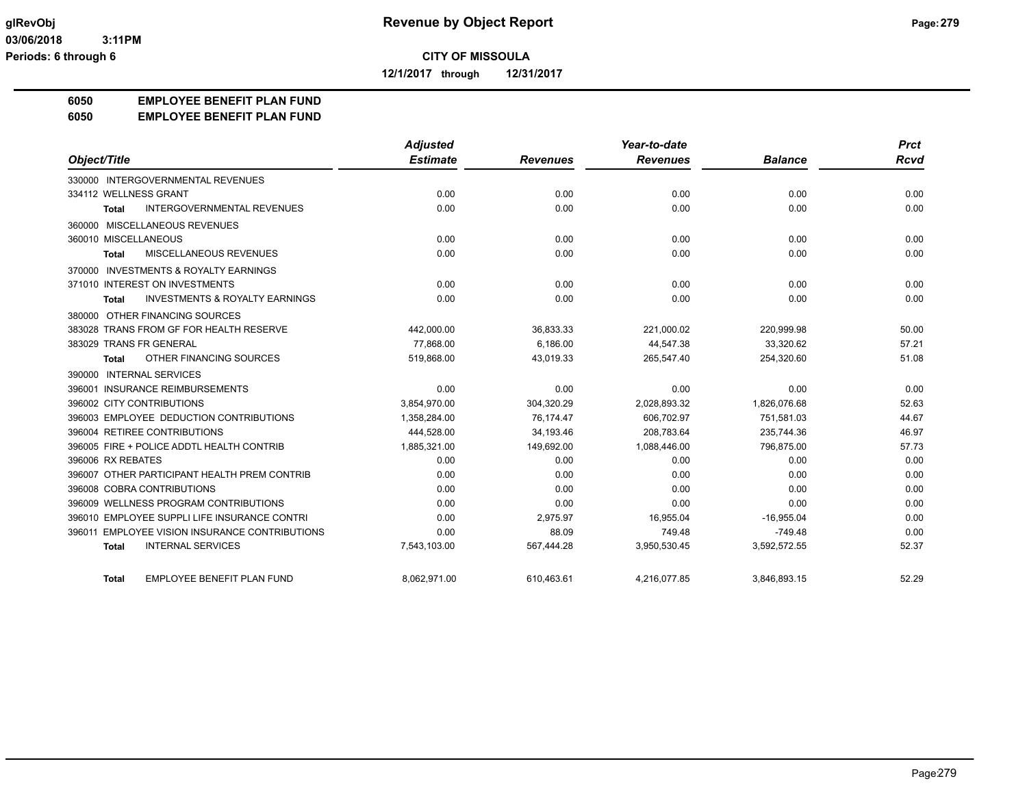**12/1/2017 through 12/31/2017**

#### **6050 EMPLOYEE BENEFIT PLAN FUND**

#### **6050 EMPLOYEE BENEFIT PLAN FUND**

|                                                    | <b>Adjusted</b> |                 | Year-to-date    |                | <b>Prct</b> |
|----------------------------------------------------|-----------------|-----------------|-----------------|----------------|-------------|
| Object/Title                                       | <b>Estimate</b> | <b>Revenues</b> | <b>Revenues</b> | <b>Balance</b> | Rcvd        |
| 330000 INTERGOVERNMENTAL REVENUES                  |                 |                 |                 |                |             |
| 334112 WELLNESS GRANT                              | 0.00            | 0.00            | 0.00            | 0.00           | 0.00        |
| <b>INTERGOVERNMENTAL REVENUES</b><br><b>Total</b>  | 0.00            | 0.00            | 0.00            | 0.00           | 0.00        |
| 360000 MISCELLANEOUS REVENUES                      |                 |                 |                 |                |             |
| 360010 MISCELLANEOUS                               | 0.00            | 0.00            | 0.00            | 0.00           | 0.00        |
| MISCELLANEOUS REVENUES<br>Total                    | 0.00            | 0.00            | 0.00            | 0.00           | 0.00        |
| 370000 INVESTMENTS & ROYALTY EARNINGS              |                 |                 |                 |                |             |
| 371010 INTEREST ON INVESTMENTS                     | 0.00            | 0.00            | 0.00            | 0.00           | 0.00        |
| <b>INVESTMENTS &amp; ROYALTY EARNINGS</b><br>Total | 0.00            | 0.00            | 0.00            | 0.00           | 0.00        |
| 380000 OTHER FINANCING SOURCES                     |                 |                 |                 |                |             |
| 383028 TRANS FROM GF FOR HEALTH RESERVE            | 442,000.00      | 36,833.33       | 221,000.02      | 220,999.98     | 50.00       |
| 383029 TRANS FR GENERAL                            | 77.868.00       | 6.186.00        | 44.547.38       | 33.320.62      | 57.21       |
| OTHER FINANCING SOURCES<br><b>Total</b>            | 519,868.00      | 43,019.33       | 265,547.40      | 254,320.60     | 51.08       |
| 390000 INTERNAL SERVICES                           |                 |                 |                 |                |             |
| 396001 INSURANCE REIMBURSEMENTS                    | 0.00            | 0.00            | 0.00            | 0.00           | 0.00        |
| 396002 CITY CONTRIBUTIONS                          | 3,854,970.00    | 304,320.29      | 2,028,893.32    | 1,826,076.68   | 52.63       |
| 396003 EMPLOYEE DEDUCTION CONTRIBUTIONS            | 1,358,284.00    | 76.174.47       | 606,702.97      | 751.581.03     | 44.67       |
| 396004 RETIREE CONTRIBUTIONS                       | 444,528.00      | 34,193.46       | 208,783.64      | 235,744.36     | 46.97       |
| 396005 FIRE + POLICE ADDTL HEALTH CONTRIB          | 1,885,321.00    | 149,692.00      | 1,088,446.00    | 796,875.00     | 57.73       |
| 396006 RX REBATES                                  | 0.00            | 0.00            | 0.00            | 0.00           | 0.00        |
| 396007 OTHER PARTICIPANT HEALTH PREM CONTRIB       | 0.00            | 0.00            | 0.00            | 0.00           | 0.00        |
| 396008 COBRA CONTRIBUTIONS                         | 0.00            | 0.00            | 0.00            | 0.00           | 0.00        |
| 396009 WELLNESS PROGRAM CONTRIBUTIONS              | 0.00            | 0.00            | 0.00            | 0.00           | 0.00        |
| 396010 EMPLOYEE SUPPLI LIFE INSURANCE CONTRI       | 0.00            | 2,975.97        | 16,955.04       | $-16,955.04$   | 0.00        |
| 396011 EMPLOYEE VISION INSURANCE CONTRIBUTIONS     | 0.00            | 88.09           | 749.48          | $-749.48$      | 0.00        |
| <b>INTERNAL SERVICES</b><br><b>Total</b>           | 7,543,103.00    | 567,444.28      | 3,950,530.45    | 3,592,572.55   | 52.37       |
| <b>EMPLOYEE BENEFIT PLAN FUND</b><br><b>Total</b>  | 8.062.971.00    | 610.463.61      | 4,216,077.85    | 3.846.893.15   | 52.29       |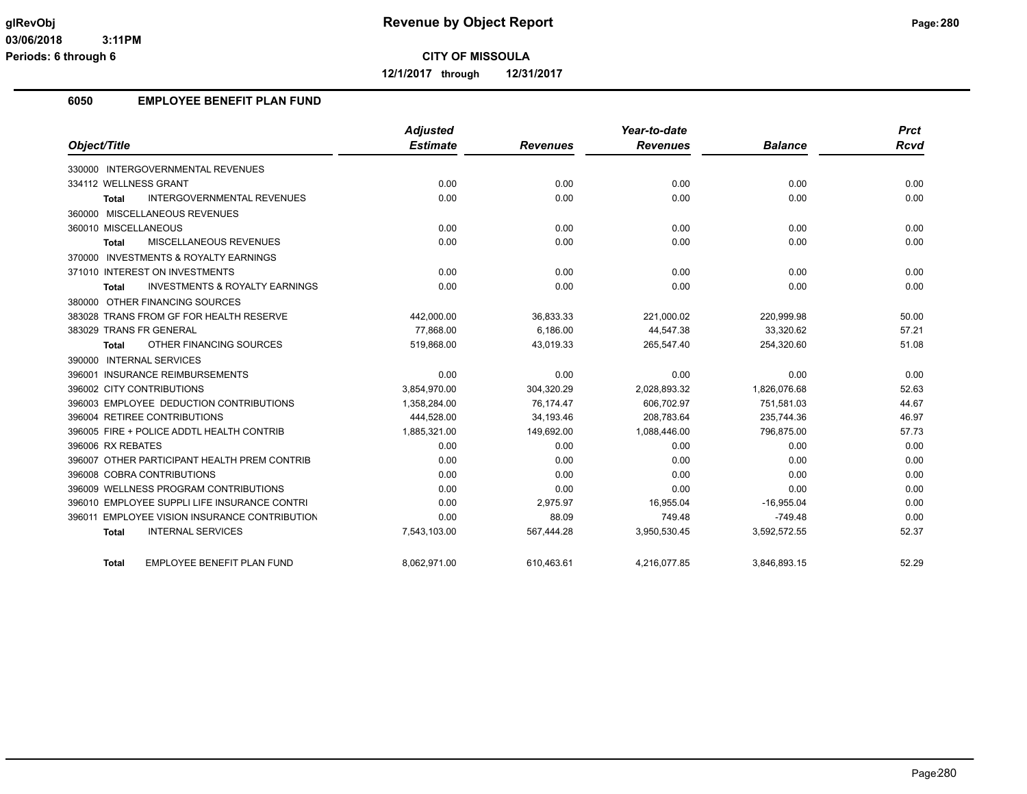**12/1/2017 through 12/31/2017**

## **6050 EMPLOYEE BENEFIT PLAN FUND**

|                                                           | <b>Adjusted</b> |                 | Year-to-date    |                | <b>Prct</b> |
|-----------------------------------------------------------|-----------------|-----------------|-----------------|----------------|-------------|
| Object/Title                                              | <b>Estimate</b> | <b>Revenues</b> | <b>Revenues</b> | <b>Balance</b> | Rcvd        |
| 330000 INTERGOVERNMENTAL REVENUES                         |                 |                 |                 |                |             |
| 334112 WELLNESS GRANT                                     | 0.00            | 0.00            | 0.00            | 0.00           | 0.00        |
| <b>INTERGOVERNMENTAL REVENUES</b><br>Total                | 0.00            | 0.00            | 0.00            | 0.00           | 0.00        |
| 360000 MISCELLANEOUS REVENUES                             |                 |                 |                 |                |             |
| 360010 MISCELLANEOUS                                      | 0.00            | 0.00            | 0.00            | 0.00           | 0.00        |
| MISCELLANEOUS REVENUES<br><b>Total</b>                    | 0.00            | 0.00            | 0.00            | 0.00           | 0.00        |
| 370000 INVESTMENTS & ROYALTY EARNINGS                     |                 |                 |                 |                |             |
| 371010 INTEREST ON INVESTMENTS                            | 0.00            | 0.00            | 0.00            | 0.00           | 0.00        |
| <b>INVESTMENTS &amp; ROYALTY EARNINGS</b><br><b>Total</b> | 0.00            | 0.00            | 0.00            | 0.00           | 0.00        |
| 380000 OTHER FINANCING SOURCES                            |                 |                 |                 |                |             |
| 383028 TRANS FROM GF FOR HEALTH RESERVE                   | 442,000.00      | 36,833.33       | 221,000.02      | 220,999.98     | 50.00       |
| 383029 TRANS FR GENERAL                                   | 77.868.00       | 6,186.00        | 44,547.38       | 33,320.62      | 57.21       |
| OTHER FINANCING SOURCES<br>Total                          | 519,868.00      | 43,019.33       | 265,547.40      | 254,320.60     | 51.08       |
| 390000 INTERNAL SERVICES                                  |                 |                 |                 |                |             |
| 396001 INSURANCE REIMBURSEMENTS                           | 0.00            | 0.00            | 0.00            | 0.00           | 0.00        |
| 396002 CITY CONTRIBUTIONS                                 | 3,854,970.00    | 304,320.29      | 2,028,893.32    | 1,826,076.68   | 52.63       |
| 396003 EMPLOYEE DEDUCTION CONTRIBUTIONS                   | 1,358,284.00    | 76,174.47       | 606,702.97      | 751,581.03     | 44.67       |
| 396004 RETIREE CONTRIBUTIONS                              | 444,528.00      | 34,193.46       | 208,783.64      | 235,744.36     | 46.97       |
| 396005 FIRE + POLICE ADDTL HEALTH CONTRIB                 | 1,885,321.00    | 149,692.00      | 1,088,446.00    | 796,875.00     | 57.73       |
| 396006 RX REBATES                                         | 0.00            | 0.00            | 0.00            | 0.00           | 0.00        |
| 396007 OTHER PARTICIPANT HEALTH PREM CONTRIB              | 0.00            | 0.00            | 0.00            | 0.00           | 0.00        |
| 396008 COBRA CONTRIBUTIONS                                | 0.00            | 0.00            | 0.00            | 0.00           | 0.00        |
| 396009 WELLNESS PROGRAM CONTRIBUTIONS                     | 0.00            | 0.00            | 0.00            | 0.00           | 0.00        |
| 396010 EMPLOYEE SUPPLI LIFE INSURANCE CONTRI              | 0.00            | 2,975.97        | 16,955.04       | $-16,955.04$   | 0.00        |
| 396011 EMPLOYEE VISION INSURANCE CONTRIBUTION             | 0.00            | 88.09           | 749.48          | $-749.48$      | 0.00        |
| <b>INTERNAL SERVICES</b><br><b>Total</b>                  | 7,543,103.00    | 567,444.28      | 3,950,530.45    | 3,592,572.55   | 52.37       |
| EMPLOYEE BENEFIT PLAN FUND<br>Total                       | 8.062.971.00    | 610.463.61      | 4,216,077.85    | 3.846.893.15   | 52.29       |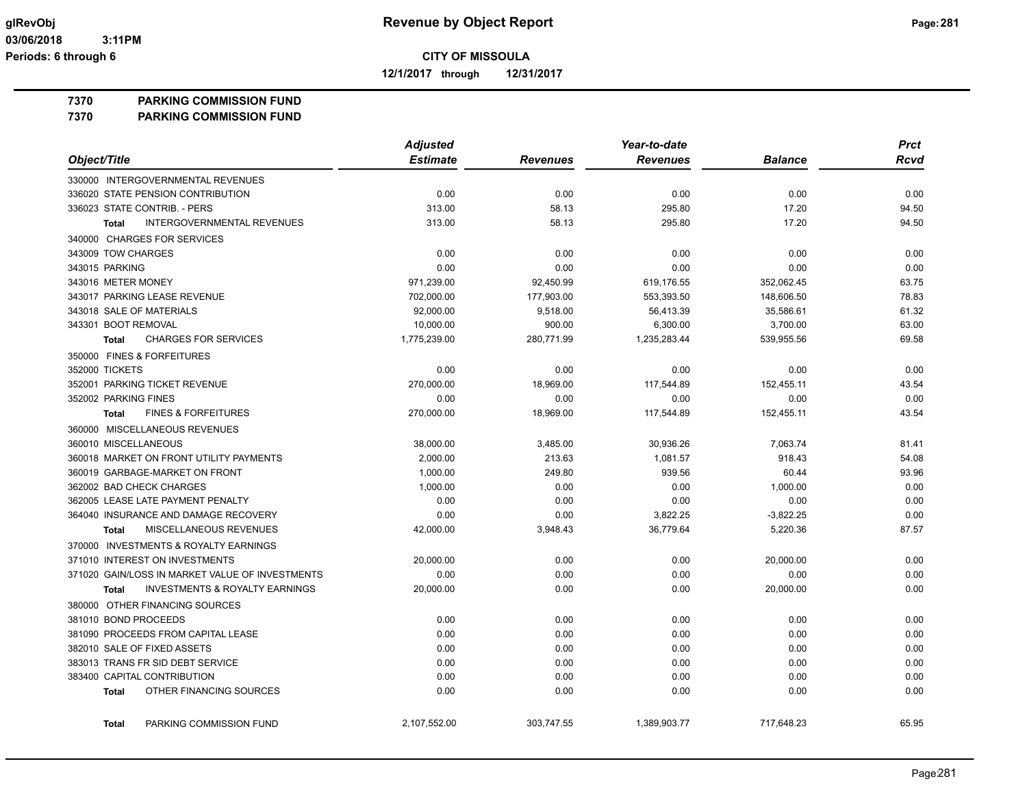**12/1/2017 through 12/31/2017**

**7370 PARKING COMMISSION FUND**

**7370 PARKING COMMISSION FUND**

|                                                           | <b>Adjusted</b> |                 | Year-to-date    |                | <b>Prct</b> |
|-----------------------------------------------------------|-----------------|-----------------|-----------------|----------------|-------------|
| Object/Title                                              | <b>Estimate</b> | <b>Revenues</b> | <b>Revenues</b> | <b>Balance</b> | <b>Rcvd</b> |
| 330000 INTERGOVERNMENTAL REVENUES                         |                 |                 |                 |                |             |
| 336020 STATE PENSION CONTRIBUTION                         | 0.00            | 0.00            | 0.00            | 0.00           | 0.00        |
| 336023 STATE CONTRIB. - PERS                              | 313.00          | 58.13           | 295.80          | 17.20          | 94.50       |
| INTERGOVERNMENTAL REVENUES<br><b>Total</b>                | 313.00          | 58.13           | 295.80          | 17.20          | 94.50       |
| 340000 CHARGES FOR SERVICES                               |                 |                 |                 |                |             |
| 343009 TOW CHARGES                                        | 0.00            | 0.00            | 0.00            | 0.00           | 0.00        |
| 343015 PARKING                                            | 0.00            | 0.00            | 0.00            | 0.00           | 0.00        |
| 343016 METER MONEY                                        | 971,239.00      | 92,450.99       | 619,176.55      | 352,062.45     | 63.75       |
| 343017 PARKING LEASE REVENUE                              | 702,000.00      | 177,903.00      | 553,393.50      | 148,606.50     | 78.83       |
| 343018 SALE OF MATERIALS                                  | 92,000.00       | 9,518.00        | 56,413.39       | 35.586.61      | 61.32       |
| 343301 BOOT REMOVAL                                       | 10,000.00       | 900.00          | 6,300.00        | 3,700.00       | 63.00       |
| <b>CHARGES FOR SERVICES</b><br><b>Total</b>               | 1,775,239.00    | 280,771.99      | 1,235,283.44    | 539,955.56     | 69.58       |
| 350000 FINES & FORFEITURES                                |                 |                 |                 |                |             |
| 352000 TICKETS                                            | 0.00            | 0.00            | 0.00            | 0.00           | 0.00        |
| 352001 PARKING TICKET REVENUE                             | 270,000.00      | 18,969.00       | 117,544.89      | 152,455.11     | 43.54       |
| 352002 PARKING FINES                                      | 0.00            | 0.00            | 0.00            | 0.00           | 0.00        |
| <b>FINES &amp; FORFEITURES</b><br><b>Total</b>            | 270,000.00      | 18,969.00       | 117,544.89      | 152,455.11     | 43.54       |
| 360000 MISCELLANEOUS REVENUES                             |                 |                 |                 |                |             |
| 360010 MISCELLANEOUS                                      | 38,000.00       | 3,485.00        | 30,936.26       | 7,063.74       | 81.41       |
| 360018 MARKET ON FRONT UTILITY PAYMENTS                   | 2,000.00        | 213.63          | 1,081.57        | 918.43         | 54.08       |
| 360019 GARBAGE-MARKET ON FRONT                            | 1,000.00        | 249.80          | 939.56          | 60.44          | 93.96       |
| 362002 BAD CHECK CHARGES                                  | 1,000.00        | 0.00            | 0.00            | 1,000.00       | 0.00        |
| 362005 LEASE LATE PAYMENT PENALTY                         | 0.00            | 0.00            | 0.00            | 0.00           | 0.00        |
| 364040 INSURANCE AND DAMAGE RECOVERY                      | 0.00            | 0.00            | 3,822.25        | $-3,822.25$    | 0.00        |
| MISCELLANEOUS REVENUES<br><b>Total</b>                    | 42,000.00       | 3,948.43        | 36,779.64       | 5,220.36       | 87.57       |
| 370000 INVESTMENTS & ROYALTY EARNINGS                     |                 |                 |                 |                |             |
| 371010 INTEREST ON INVESTMENTS                            | 20,000.00       | 0.00            | 0.00            | 20,000.00      | 0.00        |
| 371020 GAIN/LOSS IN MARKET VALUE OF INVESTMENTS           | 0.00            | 0.00            | 0.00            | 0.00           | 0.00        |
| <b>INVESTMENTS &amp; ROYALTY EARNINGS</b><br><b>Total</b> | 20,000.00       | 0.00            | 0.00            | 20,000.00      | 0.00        |
| 380000 OTHER FINANCING SOURCES                            |                 |                 |                 |                |             |
| 381010 BOND PROCEEDS                                      | 0.00            | 0.00            | 0.00            | 0.00           | 0.00        |
| 381090 PROCEEDS FROM CAPITAL LEASE                        | 0.00            | 0.00            | 0.00            | 0.00           | 0.00        |
| 382010 SALE OF FIXED ASSETS                               | 0.00            | 0.00            | 0.00            | 0.00           | 0.00        |
| 383013 TRANS FR SID DEBT SERVICE                          | 0.00            | 0.00            | 0.00            | 0.00           | 0.00        |
| 383400 CAPITAL CONTRIBUTION                               | 0.00            | 0.00            | 0.00            | 0.00           | 0.00        |
| OTHER FINANCING SOURCES<br><b>Total</b>                   | 0.00            | 0.00            | 0.00            | 0.00           | 0.00        |
| PARKING COMMISSION FUND<br><b>Total</b>                   | 2,107,552.00    | 303,747.55      | 1,389,903.77    | 717,648.23     | 65.95       |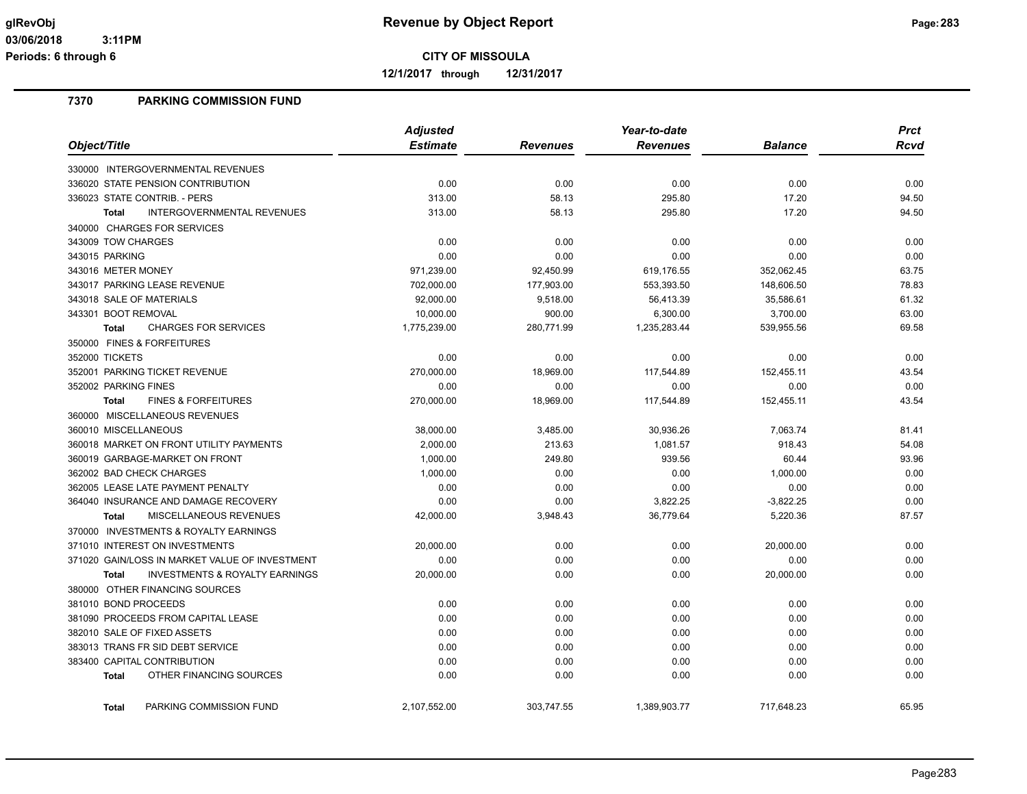**12/1/2017 through 12/31/2017**

## **7370 PARKING COMMISSION FUND**

|                                                           | <b>Adjusted</b> |                 | Year-to-date    | <b>Prct</b>    |       |
|-----------------------------------------------------------|-----------------|-----------------|-----------------|----------------|-------|
| Object/Title                                              | <b>Estimate</b> | <b>Revenues</b> | <b>Revenues</b> | <b>Balance</b> | Rcvd  |
| 330000 INTERGOVERNMENTAL REVENUES                         |                 |                 |                 |                |       |
| 336020 STATE PENSION CONTRIBUTION                         | 0.00            | 0.00            | 0.00            | 0.00           | 0.00  |
| 336023 STATE CONTRIB. - PERS                              | 313.00          | 58.13           | 295.80          | 17.20          | 94.50 |
| <b>INTERGOVERNMENTAL REVENUES</b><br><b>Total</b>         | 313.00          | 58.13           | 295.80          | 17.20          | 94.50 |
| 340000 CHARGES FOR SERVICES                               |                 |                 |                 |                |       |
| 343009 TOW CHARGES                                        | 0.00            | 0.00            | 0.00            | 0.00           | 0.00  |
| 343015 PARKING                                            | 0.00            | 0.00            | 0.00            | 0.00           | 0.00  |
| 343016 METER MONEY                                        | 971,239.00      | 92,450.99       | 619,176.55      | 352,062.45     | 63.75 |
| 343017 PARKING LEASE REVENUE                              | 702,000.00      | 177,903.00      | 553,393.50      | 148,606.50     | 78.83 |
| 343018 SALE OF MATERIALS                                  | 92,000.00       | 9,518.00        | 56,413.39       | 35,586.61      | 61.32 |
| 343301 BOOT REMOVAL                                       | 10,000.00       | 900.00          | 6,300.00        | 3,700.00       | 63.00 |
| <b>CHARGES FOR SERVICES</b><br><b>Total</b>               | 1,775,239.00    | 280,771.99      | 1,235,283.44    | 539,955.56     | 69.58 |
| 350000 FINES & FORFEITURES                                |                 |                 |                 |                |       |
| 352000 TICKETS                                            | 0.00            | 0.00            | 0.00            | 0.00           | 0.00  |
| 352001 PARKING TICKET REVENUE                             | 270,000.00      | 18,969.00       | 117,544.89      | 152,455.11     | 43.54 |
| 352002 PARKING FINES                                      | 0.00            | 0.00            | 0.00            | 0.00           | 0.00  |
| <b>FINES &amp; FORFEITURES</b><br><b>Total</b>            | 270,000.00      | 18,969.00       | 117,544.89      | 152,455.11     | 43.54 |
| 360000 MISCELLANEOUS REVENUES                             |                 |                 |                 |                |       |
| 360010 MISCELLANEOUS                                      | 38,000.00       | 3,485.00        | 30,936.26       | 7,063.74       | 81.41 |
| 360018 MARKET ON FRONT UTILITY PAYMENTS                   | 2,000.00        | 213.63          | 1,081.57        | 918.43         | 54.08 |
| 360019 GARBAGE-MARKET ON FRONT                            | 1,000.00        | 249.80          | 939.56          | 60.44          | 93.96 |
| 362002 BAD CHECK CHARGES                                  | 1,000.00        | 0.00            | 0.00            | 1,000.00       | 0.00  |
| 362005 LEASE LATE PAYMENT PENALTY                         | 0.00            | 0.00            | 0.00            | 0.00           | 0.00  |
| 364040 INSURANCE AND DAMAGE RECOVERY                      | 0.00            | 0.00            | 3,822.25        | $-3,822.25$    | 0.00  |
| MISCELLANEOUS REVENUES<br><b>Total</b>                    | 42,000.00       | 3,948.43        | 36,779.64       | 5,220.36       | 87.57 |
| 370000 INVESTMENTS & ROYALTY EARNINGS                     |                 |                 |                 |                |       |
| 371010 INTEREST ON INVESTMENTS                            | 20,000.00       | 0.00            | 0.00            | 20,000.00      | 0.00  |
| 371020 GAIN/LOSS IN MARKET VALUE OF INVESTMENT            | 0.00            | 0.00            | 0.00            | 0.00           | 0.00  |
| <b>INVESTMENTS &amp; ROYALTY EARNINGS</b><br><b>Total</b> | 20,000.00       | 0.00            | 0.00            | 20,000.00      | 0.00  |
| 380000 OTHER FINANCING SOURCES                            |                 |                 |                 |                |       |
| 381010 BOND PROCEEDS                                      | 0.00            | 0.00            | 0.00            | 0.00           | 0.00  |
| 381090 PROCEEDS FROM CAPITAL LEASE                        | 0.00            | 0.00            | 0.00            | 0.00           | 0.00  |
| 382010 SALE OF FIXED ASSETS                               | 0.00            | 0.00            | 0.00            | 0.00           | 0.00  |
| 383013 TRANS FR SID DEBT SERVICE                          | 0.00            | 0.00            | 0.00            | 0.00           | 0.00  |
| 383400 CAPITAL CONTRIBUTION                               | 0.00            | 0.00            | 0.00            | 0.00           | 0.00  |
| OTHER FINANCING SOURCES<br><b>Total</b>                   | 0.00            | 0.00            | 0.00            | 0.00           | 0.00  |
| PARKING COMMISSION FUND<br><b>Total</b>                   | 2,107,552.00    | 303,747.55      | 1,389,903.77    | 717,648.23     | 65.95 |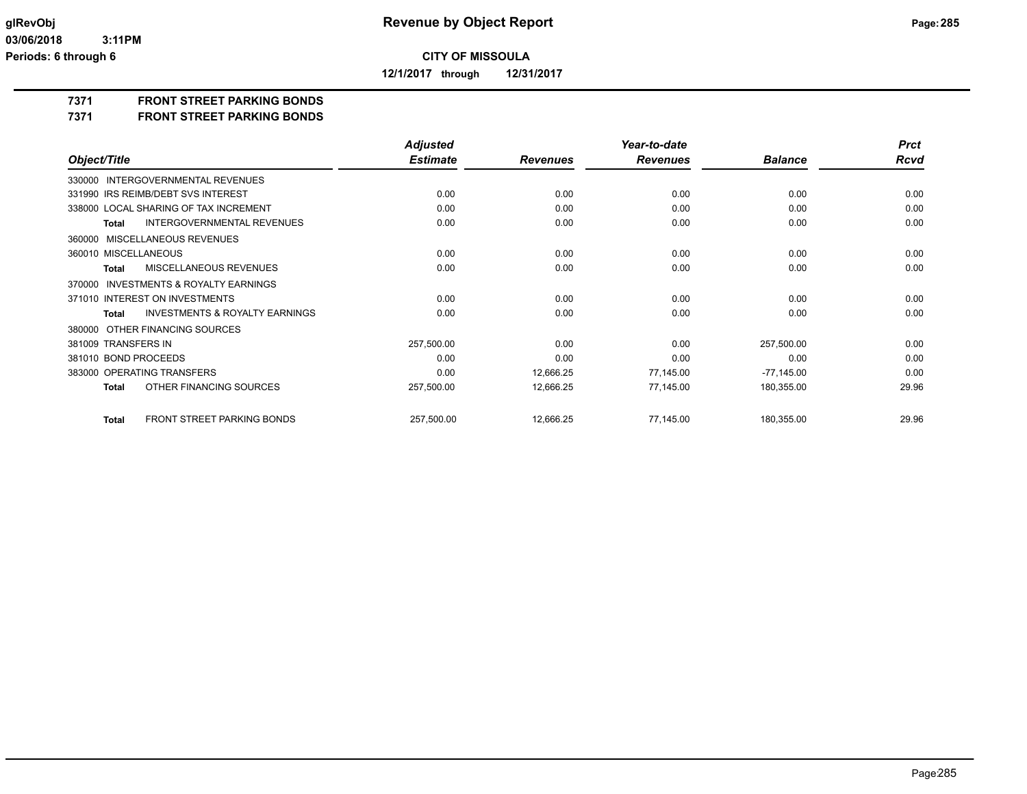**12/1/2017 through 12/31/2017**

**7371 FRONT STREET PARKING BONDS**

**7371 FRONT STREET PARKING BONDS**

|                                                           | <b>Adjusted</b> |                 | Year-to-date    |                | <b>Prct</b> |
|-----------------------------------------------------------|-----------------|-----------------|-----------------|----------------|-------------|
| Object/Title                                              | <b>Estimate</b> | <b>Revenues</b> | <b>Revenues</b> | <b>Balance</b> | Rcvd        |
| INTERGOVERNMENTAL REVENUES<br>330000                      |                 |                 |                 |                |             |
| 331990 IRS REIMB/DEBT SVS INTEREST                        | 0.00            | 0.00            | 0.00            | 0.00           | 0.00        |
| 338000 LOCAL SHARING OF TAX INCREMENT                     | 0.00            | 0.00            | 0.00            | 0.00           | 0.00        |
| <b>INTERGOVERNMENTAL REVENUES</b><br><b>Total</b>         | 0.00            | 0.00            | 0.00            | 0.00           | 0.00        |
| MISCELLANEOUS REVENUES<br>360000                          |                 |                 |                 |                |             |
| 360010 MISCELLANEOUS                                      | 0.00            | 0.00            | 0.00            | 0.00           | 0.00        |
| <b>MISCELLANEOUS REVENUES</b><br><b>Total</b>             | 0.00            | 0.00            | 0.00            | 0.00           | 0.00        |
| <b>INVESTMENTS &amp; ROYALTY EARNINGS</b><br>370000       |                 |                 |                 |                |             |
| 371010 INTEREST ON INVESTMENTS                            | 0.00            | 0.00            | 0.00            | 0.00           | 0.00        |
| <b>INVESTMENTS &amp; ROYALTY EARNINGS</b><br><b>Total</b> | 0.00            | 0.00            | 0.00            | 0.00           | 0.00        |
| OTHER FINANCING SOURCES<br>380000                         |                 |                 |                 |                |             |
| 381009 TRANSFERS IN                                       | 257,500.00      | 0.00            | 0.00            | 257,500.00     | 0.00        |
| 381010 BOND PROCEEDS                                      | 0.00            | 0.00            | 0.00            | 0.00           | 0.00        |
| 383000 OPERATING TRANSFERS                                | 0.00            | 12,666.25       | 77,145.00       | $-77,145.00$   | 0.00        |
| OTHER FINANCING SOURCES<br><b>Total</b>                   | 257,500.00      | 12,666.25       | 77,145.00       | 180,355.00     | 29.96       |
| <b>FRONT STREET PARKING BONDS</b><br><b>Total</b>         | 257,500.00      | 12,666.25       | 77,145.00       | 180,355.00     | 29.96       |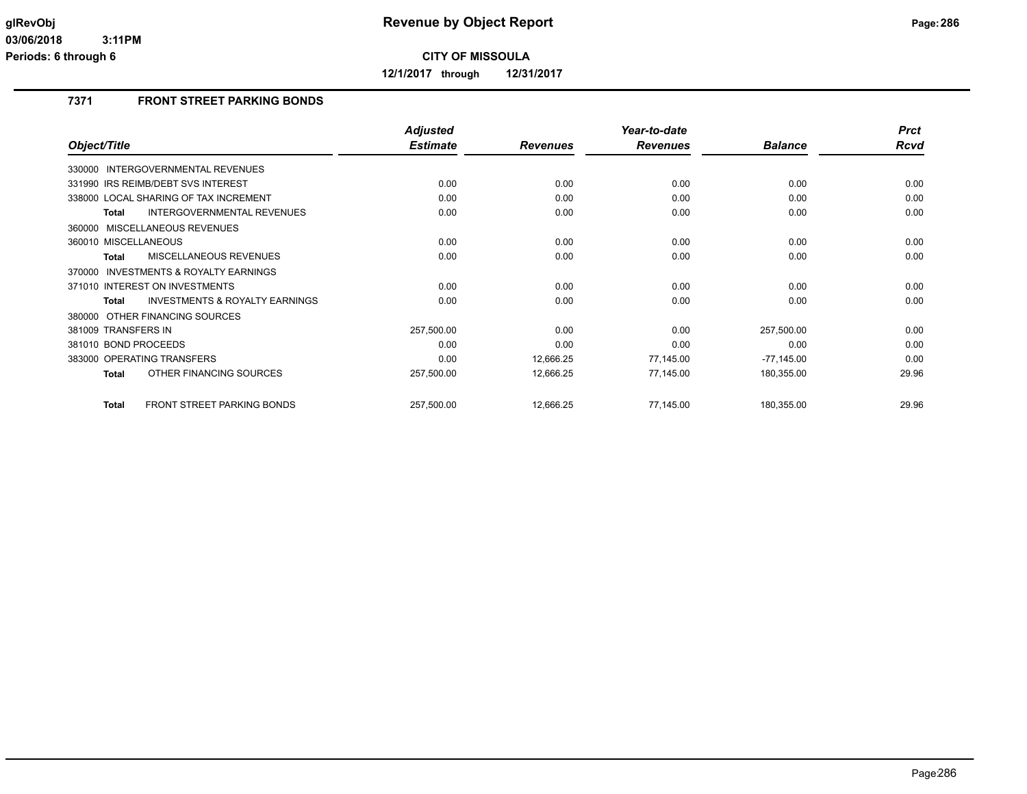**12/1/2017 through 12/31/2017**

## **7371 FRONT STREET PARKING BONDS**

|                                                           | <b>Adjusted</b> |                 | Year-to-date    |                | <b>Prct</b> |
|-----------------------------------------------------------|-----------------|-----------------|-----------------|----------------|-------------|
| Object/Title                                              | <b>Estimate</b> | <b>Revenues</b> | <b>Revenues</b> | <b>Balance</b> | Rcvd        |
| 330000 INTERGOVERNMENTAL REVENUES                         |                 |                 |                 |                |             |
| 331990 IRS REIMB/DEBT SVS INTEREST                        | 0.00            | 0.00            | 0.00            | 0.00           | 0.00        |
| 338000 LOCAL SHARING OF TAX INCREMENT                     | 0.00            | 0.00            | 0.00            | 0.00           | 0.00        |
| <b>INTERGOVERNMENTAL REVENUES</b><br>Total                | 0.00            | 0.00            | 0.00            | 0.00           | 0.00        |
| 360000 MISCELLANEOUS REVENUES                             |                 |                 |                 |                |             |
| 360010 MISCELLANEOUS                                      | 0.00            | 0.00            | 0.00            | 0.00           | 0.00        |
| <b>MISCELLANEOUS REVENUES</b><br><b>Total</b>             | 0.00            | 0.00            | 0.00            | 0.00           | 0.00        |
| INVESTMENTS & ROYALTY EARNINGS<br>370000                  |                 |                 |                 |                |             |
| 371010 INTEREST ON INVESTMENTS                            | 0.00            | 0.00            | 0.00            | 0.00           | 0.00        |
| <b>INVESTMENTS &amp; ROYALTY EARNINGS</b><br><b>Total</b> | 0.00            | 0.00            | 0.00            | 0.00           | 0.00        |
| 380000 OTHER FINANCING SOURCES                            |                 |                 |                 |                |             |
| 381009 TRANSFERS IN                                       | 257,500.00      | 0.00            | 0.00            | 257,500.00     | 0.00        |
| 381010 BOND PROCEEDS                                      | 0.00            | 0.00            | 0.00            | 0.00           | 0.00        |
| 383000 OPERATING TRANSFERS                                | 0.00            | 12,666.25       | 77,145.00       | $-77,145.00$   | 0.00        |
| OTHER FINANCING SOURCES<br>Total                          | 257,500.00      | 12,666.25       | 77,145.00       | 180,355.00     | 29.96       |
| <b>FRONT STREET PARKING BONDS</b><br><b>Total</b>         | 257,500.00      | 12,666.25       | 77,145.00       | 180,355.00     | 29.96       |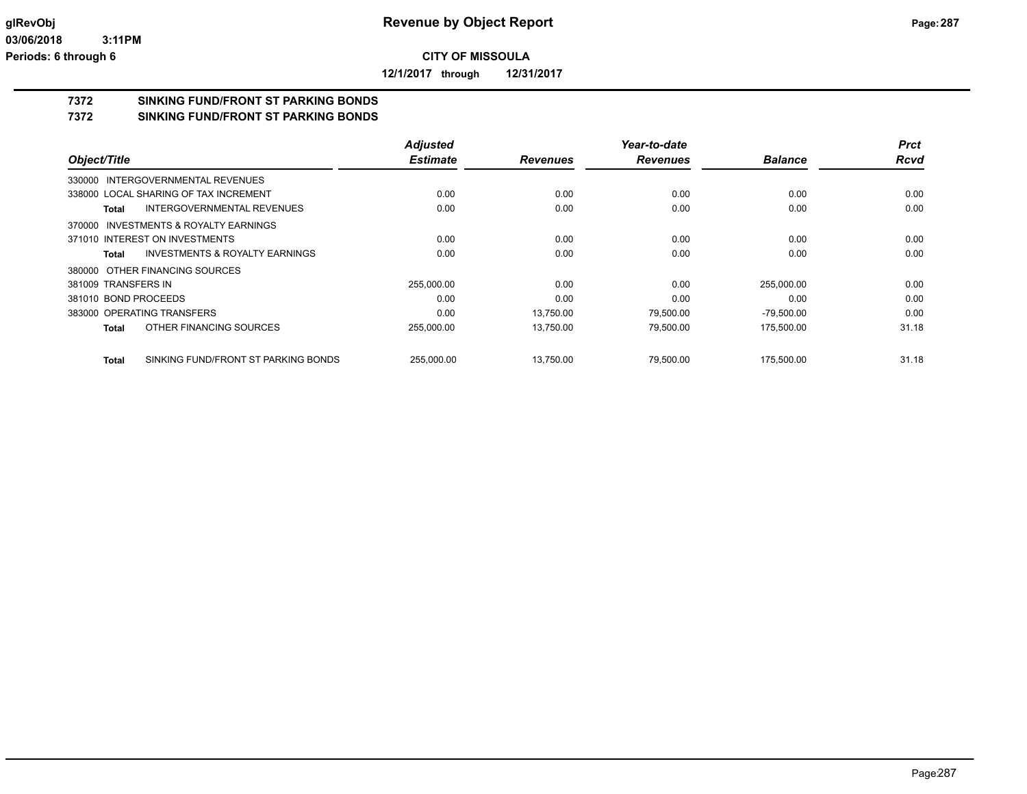**12/1/2017 through 12/31/2017**

# **7372 SINKING FUND/FRONT ST PARKING BONDS**

**7372 SINKING FUND/FRONT ST PARKING BONDS**

|                                                    | <b>Adjusted</b> |                 | Year-to-date    |                | <b>Prct</b> |
|----------------------------------------------------|-----------------|-----------------|-----------------|----------------|-------------|
| Object/Title                                       | <b>Estimate</b> | <b>Revenues</b> | <b>Revenues</b> | <b>Balance</b> | <b>Rcvd</b> |
| 330000 INTERGOVERNMENTAL REVENUES                  |                 |                 |                 |                |             |
| 338000 LOCAL SHARING OF TAX INCREMENT              | 0.00            | 0.00            | 0.00            | 0.00           | 0.00        |
| <b>INTERGOVERNMENTAL REVENUES</b><br>Total         | 0.00            | 0.00            | 0.00            | 0.00           | 0.00        |
| INVESTMENTS & ROYALTY EARNINGS<br>370000           |                 |                 |                 |                |             |
| 371010 INTEREST ON INVESTMENTS                     | 0.00            | 0.00            | 0.00            | 0.00           | 0.00        |
| <b>INVESTMENTS &amp; ROYALTY EARNINGS</b><br>Total | 0.00            | 0.00            | 0.00            | 0.00           | 0.00        |
| 380000 OTHER FINANCING SOURCES                     |                 |                 |                 |                |             |
| 381009 TRANSFERS IN                                | 255,000.00      | 0.00            | 0.00            | 255,000.00     | 0.00        |
| 381010 BOND PROCEEDS                               | 0.00            | 0.00            | 0.00            | 0.00           | 0.00        |
| 383000 OPERATING TRANSFERS                         | 0.00            | 13.750.00       | 79,500.00       | $-79,500.00$   | 0.00        |
| OTHER FINANCING SOURCES<br>Total                   | 255,000.00      | 13,750.00       | 79,500.00       | 175,500.00     | 31.18       |
| SINKING FUND/FRONT ST PARKING BONDS<br>Total       | 255,000.00      | 13,750.00       | 79,500.00       | 175,500.00     | 31.18       |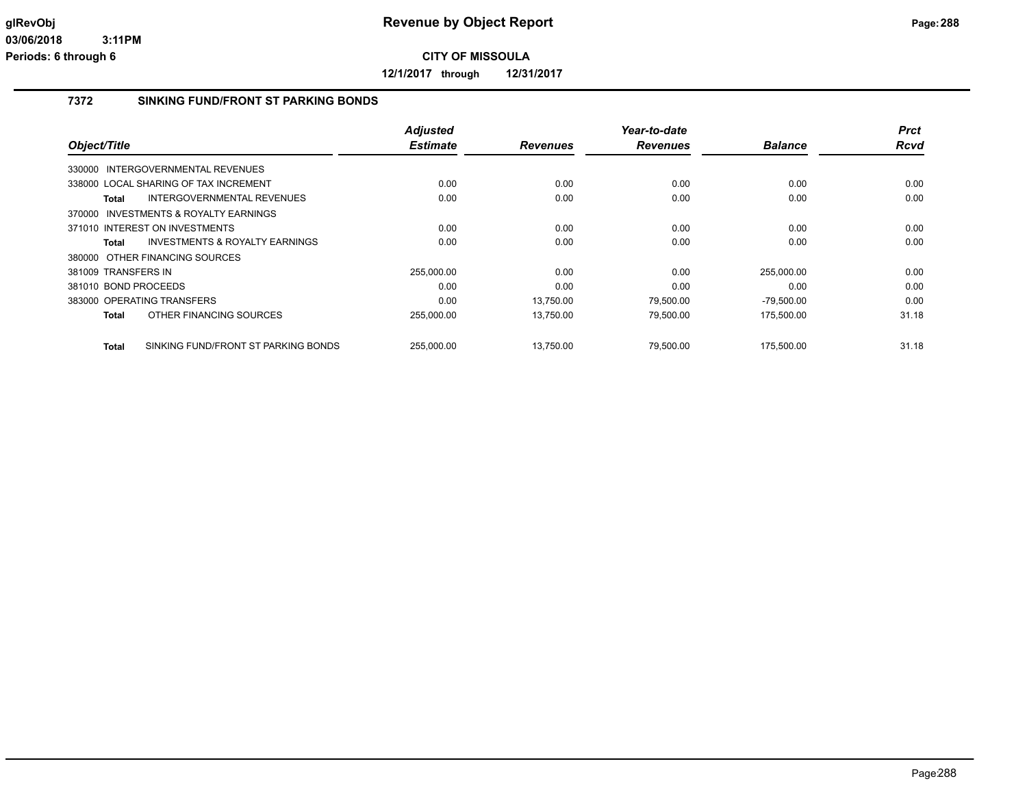**12/1/2017 through 12/31/2017**

## **7372 SINKING FUND/FRONT ST PARKING BONDS**

|                                                     | <b>Adjusted</b> |                 | Year-to-date    |                | <b>Prct</b> |
|-----------------------------------------------------|-----------------|-----------------|-----------------|----------------|-------------|
| Object/Title                                        | <b>Estimate</b> | <b>Revenues</b> | <b>Revenues</b> | <b>Balance</b> | <b>Rcvd</b> |
| 330000 INTERGOVERNMENTAL REVENUES                   |                 |                 |                 |                |             |
| 338000 LOCAL SHARING OF TAX INCREMENT               | 0.00            | 0.00            | 0.00            | 0.00           | 0.00        |
| <b>INTERGOVERNMENTAL REVENUES</b><br>Total          | 0.00            | 0.00            | 0.00            | 0.00           | 0.00        |
| 370000 INVESTMENTS & ROYALTY EARNINGS               |                 |                 |                 |                |             |
| 371010 INTEREST ON INVESTMENTS                      | 0.00            | 0.00            | 0.00            | 0.00           | 0.00        |
| <b>INVESTMENTS &amp; ROYALTY EARNINGS</b><br>Total  | 0.00            | 0.00            | 0.00            | 0.00           | 0.00        |
| 380000 OTHER FINANCING SOURCES                      |                 |                 |                 |                |             |
| 381009 TRANSFERS IN                                 | 255,000.00      | 0.00            | 0.00            | 255,000.00     | 0.00        |
| 381010 BOND PROCEEDS                                | 0.00            | 0.00            | 0.00            | 0.00           | 0.00        |
| 383000 OPERATING TRANSFERS                          | 0.00            | 13,750.00       | 79,500.00       | $-79,500.00$   | 0.00        |
| OTHER FINANCING SOURCES<br><b>Total</b>             | 255,000.00      | 13,750.00       | 79,500.00       | 175,500.00     | 31.18       |
| SINKING FUND/FRONT ST PARKING BONDS<br><b>Total</b> | 255.000.00      | 13.750.00       | 79.500.00       | 175.500.00     | 31.18       |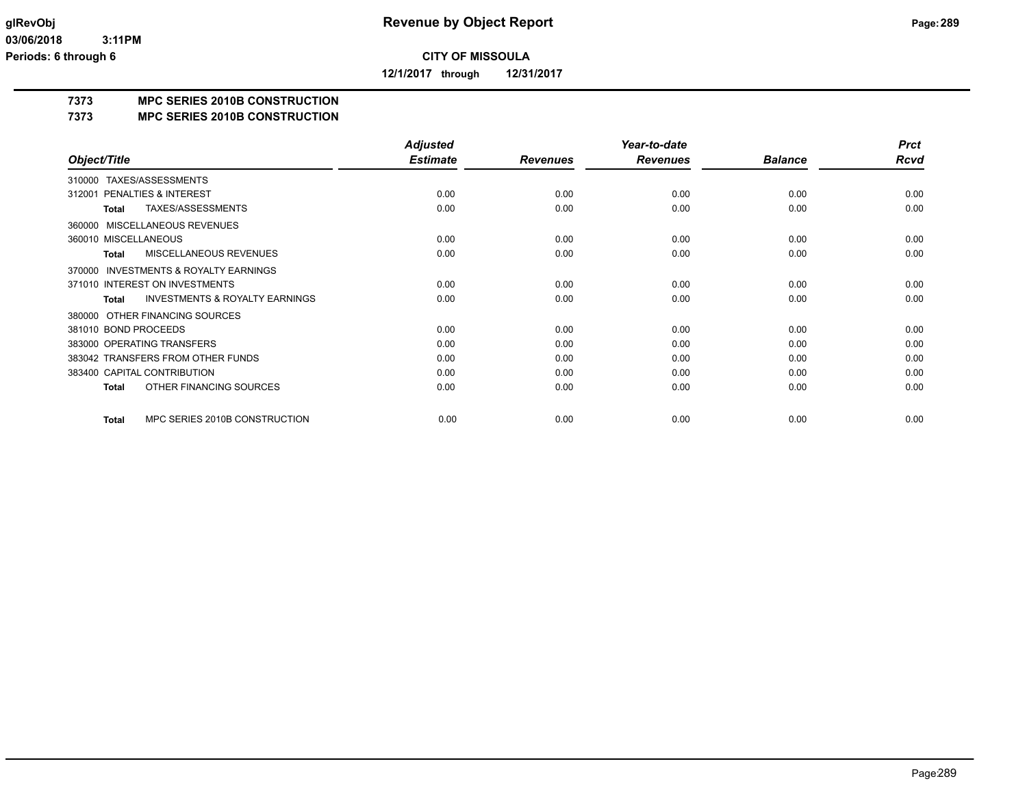**12/1/2017 through 12/31/2017**

## **7373 MPC SERIES 2010B CONSTRUCTION**

### **7373 MPC SERIES 2010B CONSTRUCTION**

|                                                           | <b>Adjusted</b> |                 | Year-to-date    |                | <b>Prct</b> |
|-----------------------------------------------------------|-----------------|-----------------|-----------------|----------------|-------------|
| Object/Title                                              | <b>Estimate</b> | <b>Revenues</b> | <b>Revenues</b> | <b>Balance</b> | <b>Rcvd</b> |
| TAXES/ASSESSMENTS<br>310000                               |                 |                 |                 |                |             |
| PENALTIES & INTEREST<br>312001                            | 0.00            | 0.00            | 0.00            | 0.00           | 0.00        |
| TAXES/ASSESSMENTS<br><b>Total</b>                         | 0.00            | 0.00            | 0.00            | 0.00           | 0.00        |
| MISCELLANEOUS REVENUES<br>360000                          |                 |                 |                 |                |             |
| 360010 MISCELLANEOUS                                      | 0.00            | 0.00            | 0.00            | 0.00           | 0.00        |
| MISCELLANEOUS REVENUES<br><b>Total</b>                    | 0.00            | 0.00            | 0.00            | 0.00           | 0.00        |
| <b>INVESTMENTS &amp; ROYALTY EARNINGS</b><br>370000       |                 |                 |                 |                |             |
| 371010 INTEREST ON INVESTMENTS                            | 0.00            | 0.00            | 0.00            | 0.00           | 0.00        |
| <b>INVESTMENTS &amp; ROYALTY EARNINGS</b><br><b>Total</b> | 0.00            | 0.00            | 0.00            | 0.00           | 0.00        |
| OTHER FINANCING SOURCES<br>380000                         |                 |                 |                 |                |             |
| 381010 BOND PROCEEDS                                      | 0.00            | 0.00            | 0.00            | 0.00           | 0.00        |
| 383000 OPERATING TRANSFERS                                | 0.00            | 0.00            | 0.00            | 0.00           | 0.00        |
| 383042 TRANSFERS FROM OTHER FUNDS                         | 0.00            | 0.00            | 0.00            | 0.00           | 0.00        |
| 383400 CAPITAL CONTRIBUTION                               | 0.00            | 0.00            | 0.00            | 0.00           | 0.00        |
| OTHER FINANCING SOURCES<br><b>Total</b>                   | 0.00            | 0.00            | 0.00            | 0.00           | 0.00        |
| MPC SERIES 2010B CONSTRUCTION<br><b>Total</b>             | 0.00            | 0.00            | 0.00            | 0.00           | 0.00        |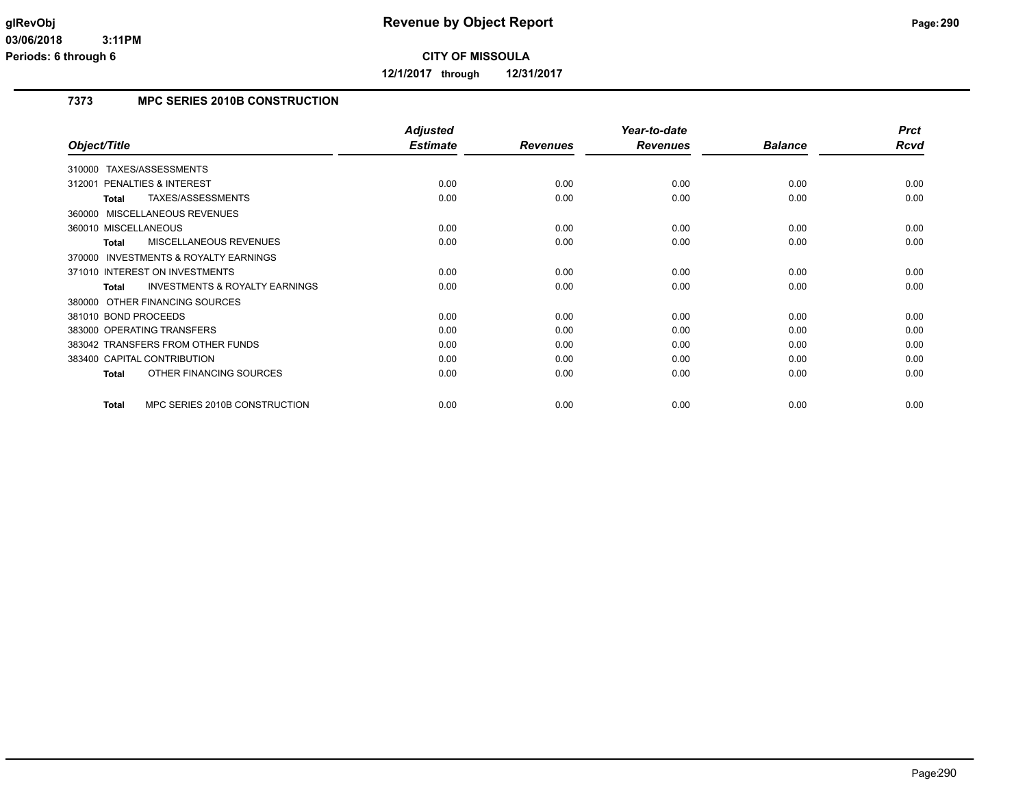**12/1/2017 through 12/31/2017**

## **7373 MPC SERIES 2010B CONSTRUCTION**

|                                                     | <b>Adjusted</b> |                 | Year-to-date    |                | <b>Prct</b> |
|-----------------------------------------------------|-----------------|-----------------|-----------------|----------------|-------------|
| Object/Title                                        | <b>Estimate</b> | <b>Revenues</b> | <b>Revenues</b> | <b>Balance</b> | <b>Rcvd</b> |
| 310000 TAXES/ASSESSMENTS                            |                 |                 |                 |                |             |
| PENALTIES & INTEREST<br>312001                      | 0.00            | 0.00            | 0.00            | 0.00           | 0.00        |
| TAXES/ASSESSMENTS<br><b>Total</b>                   | 0.00            | 0.00            | 0.00            | 0.00           | 0.00        |
| 360000 MISCELLANEOUS REVENUES                       |                 |                 |                 |                |             |
| 360010 MISCELLANEOUS                                | 0.00            | 0.00            | 0.00            | 0.00           | 0.00        |
| <b>MISCELLANEOUS REVENUES</b><br><b>Total</b>       | 0.00            | 0.00            | 0.00            | 0.00           | 0.00        |
| <b>INVESTMENTS &amp; ROYALTY EARNINGS</b><br>370000 |                 |                 |                 |                |             |
| 371010 INTEREST ON INVESTMENTS                      | 0.00            | 0.00            | 0.00            | 0.00           | 0.00        |
| <b>INVESTMENTS &amp; ROYALTY EARNINGS</b><br>Total  | 0.00            | 0.00            | 0.00            | 0.00           | 0.00        |
| 380000 OTHER FINANCING SOURCES                      |                 |                 |                 |                |             |
| 381010 BOND PROCEEDS                                | 0.00            | 0.00            | 0.00            | 0.00           | 0.00        |
| 383000 OPERATING TRANSFERS                          | 0.00            | 0.00            | 0.00            | 0.00           | 0.00        |
| 383042 TRANSFERS FROM OTHER FUNDS                   | 0.00            | 0.00            | 0.00            | 0.00           | 0.00        |
| 383400 CAPITAL CONTRIBUTION                         | 0.00            | 0.00            | 0.00            | 0.00           | 0.00        |
| OTHER FINANCING SOURCES<br><b>Total</b>             | 0.00            | 0.00            | 0.00            | 0.00           | 0.00        |
| MPC SERIES 2010B CONSTRUCTION<br><b>Total</b>       | 0.00            | 0.00            | 0.00            | 0.00           | 0.00        |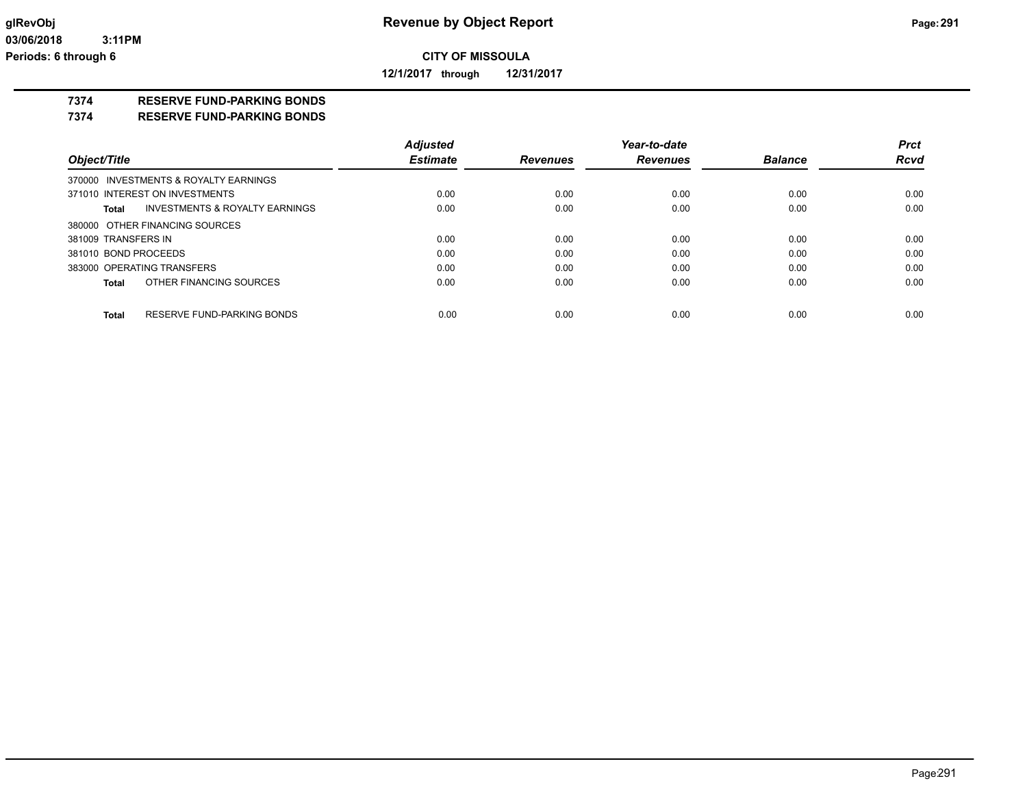**12/1/2017 through 12/31/2017**

### **7374 RESERVE FUND-PARKING BONDS**

### **7374 RESERVE FUND-PARKING BONDS**

|                      |                                           | <b>Adjusted</b> |                 | Year-to-date    |                | <b>Prct</b> |
|----------------------|-------------------------------------------|-----------------|-----------------|-----------------|----------------|-------------|
| Object/Title         |                                           | <b>Estimate</b> | <b>Revenues</b> | <b>Revenues</b> | <b>Balance</b> | <b>Rcvd</b> |
|                      | 370000 INVESTMENTS & ROYALTY EARNINGS     |                 |                 |                 |                |             |
|                      | 371010 INTEREST ON INVESTMENTS            | 0.00            | 0.00            | 0.00            | 0.00           | 0.00        |
| Total                | <b>INVESTMENTS &amp; ROYALTY EARNINGS</b> | 0.00            | 0.00            | 0.00            | 0.00           | 0.00        |
|                      | 380000 OTHER FINANCING SOURCES            |                 |                 |                 |                |             |
| 381009 TRANSFERS IN  |                                           | 0.00            | 0.00            | 0.00            | 0.00           | 0.00        |
| 381010 BOND PROCEEDS |                                           | 0.00            | 0.00            | 0.00            | 0.00           | 0.00        |
|                      | 383000 OPERATING TRANSFERS                | 0.00            | 0.00            | 0.00            | 0.00           | 0.00        |
| Total                | OTHER FINANCING SOURCES                   | 0.00            | 0.00            | 0.00            | 0.00           | 0.00        |
| Total                | RESERVE FUND-PARKING BONDS                | 0.00            | 0.00            | 0.00            | 0.00           | 0.00        |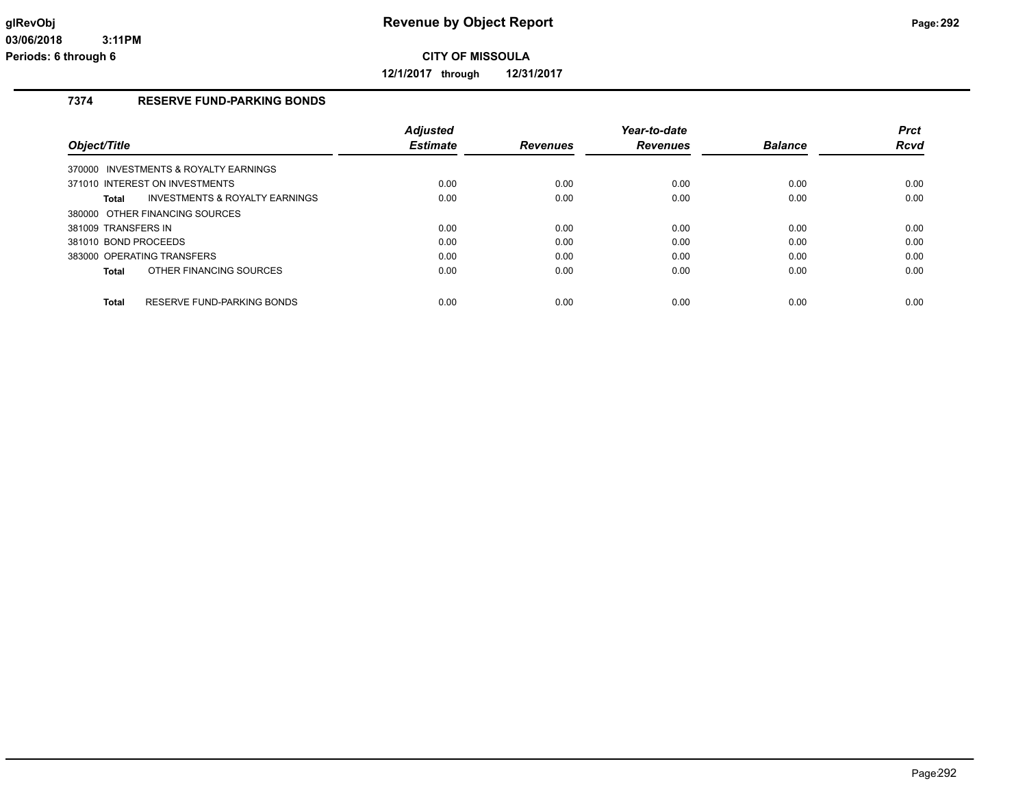**12/1/2017 through 12/31/2017**

## **7374 RESERVE FUND-PARKING BONDS**

|                                                    | <b>Adjusted</b> |                 | Year-to-date    |                | <b>Prct</b> |
|----------------------------------------------------|-----------------|-----------------|-----------------|----------------|-------------|
| Object/Title                                       | <b>Estimate</b> | <b>Revenues</b> | <b>Revenues</b> | <b>Balance</b> | Rcvd        |
| 370000 INVESTMENTS & ROYALTY EARNINGS              |                 |                 |                 |                |             |
| 371010 INTEREST ON INVESTMENTS                     | 0.00            | 0.00            | 0.00            | 0.00           | 0.00        |
| <b>INVESTMENTS &amp; ROYALTY EARNINGS</b><br>Total | 0.00            | 0.00            | 0.00            | 0.00           | 0.00        |
| 380000 OTHER FINANCING SOURCES                     |                 |                 |                 |                |             |
| 381009 TRANSFERS IN                                | 0.00            | 0.00            | 0.00            | 0.00           | 0.00        |
| 381010 BOND PROCEEDS                               | 0.00            | 0.00            | 0.00            | 0.00           | 0.00        |
| 383000 OPERATING TRANSFERS                         | 0.00            | 0.00            | 0.00            | 0.00           | 0.00        |
| OTHER FINANCING SOURCES<br>Total                   | 0.00            | 0.00            | 0.00            | 0.00           | 0.00        |
|                                                    |                 |                 |                 |                |             |
| RESERVE FUND-PARKING BONDS<br>Total                | 0.00            | 0.00            | 0.00            | 0.00           | 0.00        |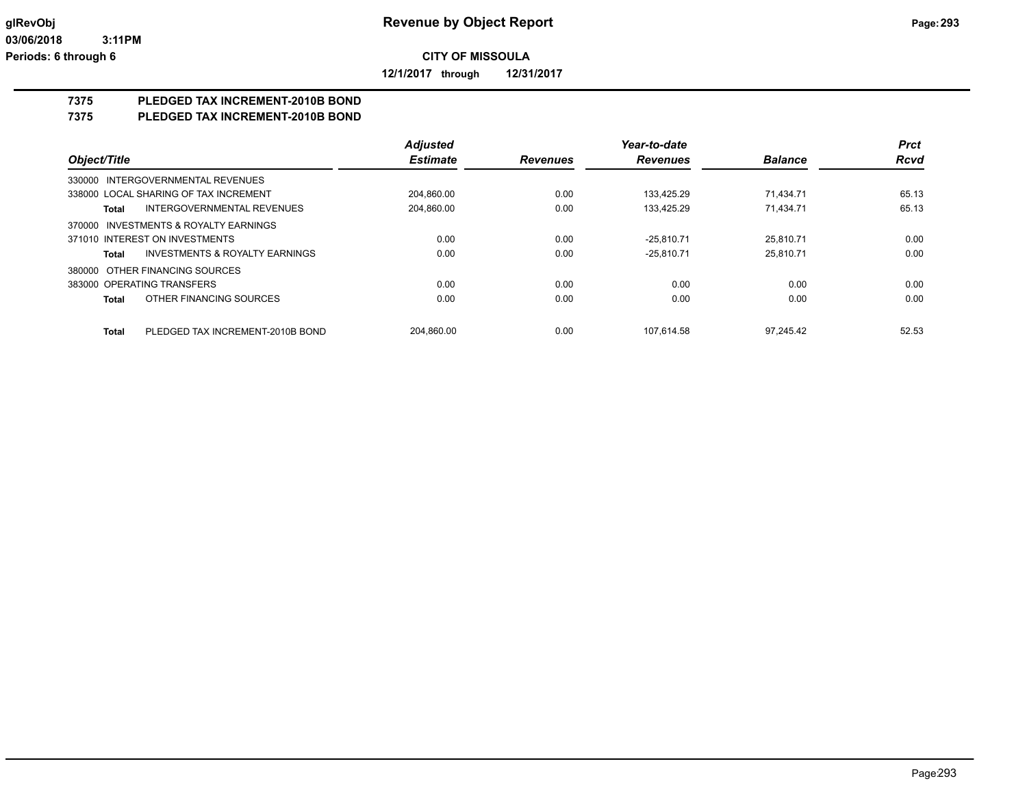**12/1/2017 through 12/31/2017**

## **7375 PLEDGED TAX INCREMENT-2010B BOND**

## **7375 PLEDGED TAX INCREMENT-2010B BOND**

|                                           | <b>Adjusted</b> |                 | Year-to-date    |                | <b>Prct</b> |
|-------------------------------------------|-----------------|-----------------|-----------------|----------------|-------------|
| Object/Title                              | <b>Estimate</b> | <b>Revenues</b> | <b>Revenues</b> | <b>Balance</b> | <b>Rcvd</b> |
| 330000 INTERGOVERNMENTAL REVENUES         |                 |                 |                 |                |             |
| 338000 LOCAL SHARING OF TAX INCREMENT     | 204.860.00      | 0.00            | 133.425.29      | 71.434.71      | 65.13       |
| INTERGOVERNMENTAL REVENUES<br>Total       | 204.860.00      | 0.00            | 133.425.29      | 71.434.71      | 65.13       |
| 370000 INVESTMENTS & ROYALTY EARNINGS     |                 |                 |                 |                |             |
| 371010 INTEREST ON INVESTMENTS            | 0.00            | 0.00            | $-25.810.71$    | 25.810.71      | 0.00        |
| INVESTMENTS & ROYALTY EARNINGS<br>Total   | 0.00            | 0.00            | $-25.810.71$    | 25.810.71      | 0.00        |
| 380000 OTHER FINANCING SOURCES            |                 |                 |                 |                |             |
| 383000 OPERATING TRANSFERS                | 0.00            | 0.00            | 0.00            | 0.00           | 0.00        |
| OTHER FINANCING SOURCES<br>Total          | 0.00            | 0.00            | 0.00            | 0.00           | 0.00        |
| PLEDGED TAX INCREMENT-2010B BOND<br>Total | 204.860.00      | 0.00            | 107.614.58      | 97.245.42      | 52.53       |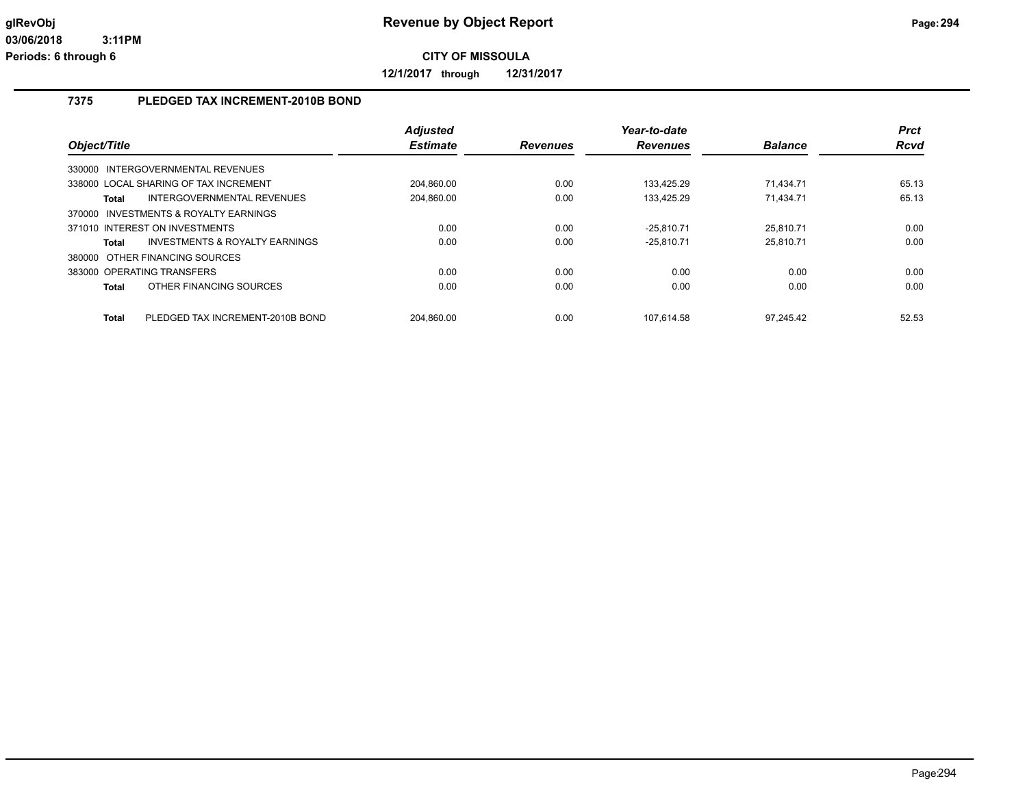**12/1/2017 through 12/31/2017**

## **7375 PLEDGED TAX INCREMENT-2010B BOND**

|              |                                           | Adjusted        |                 | Year-to-date    |                | <b>Prct</b> |
|--------------|-------------------------------------------|-----------------|-----------------|-----------------|----------------|-------------|
| Object/Title |                                           | <b>Estimate</b> | <b>Revenues</b> | <b>Revenues</b> | <b>Balance</b> | <b>Rcvd</b> |
|              | 330000 INTERGOVERNMENTAL REVENUES         |                 |                 |                 |                |             |
|              | 338000 LOCAL SHARING OF TAX INCREMENT     | 204.860.00      | 0.00            | 133.425.29      | 71.434.71      | 65.13       |
| Total        | INTERGOVERNMENTAL REVENUES                | 204,860.00      | 0.00            | 133.425.29      | 71.434.71      | 65.13       |
| 370000       | INVESTMENTS & ROYALTY EARNINGS            |                 |                 |                 |                |             |
|              | 371010 INTEREST ON INVESTMENTS            | 0.00            | 0.00            | $-25.810.71$    | 25.810.71      | 0.00        |
| Total        | <b>INVESTMENTS &amp; ROYALTY EARNINGS</b> | 0.00            | 0.00            | $-25.810.71$    | 25.810.71      | 0.00        |
|              | 380000 OTHER FINANCING SOURCES            |                 |                 |                 |                |             |
|              | 383000 OPERATING TRANSFERS                | 0.00            | 0.00            | 0.00            | 0.00           | 0.00        |
| Total        | OTHER FINANCING SOURCES                   | 0.00            | 0.00            | 0.00            | 0.00           | 0.00        |
| Total        | PLEDGED TAX INCREMENT-2010B BOND          | 204.860.00      | 0.00            | 107.614.58      | 97.245.42      | 52.53       |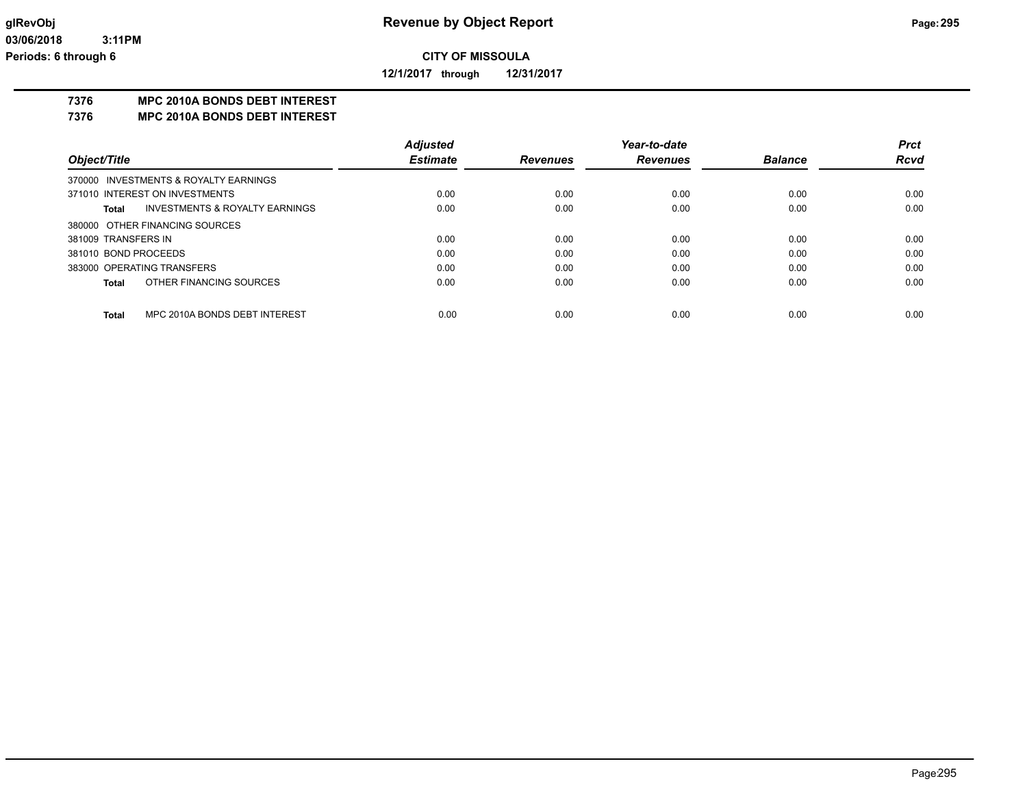**12/1/2017 through 12/31/2017**

### **7376 MPC 2010A BONDS DEBT INTEREST**

**7376 MPC 2010A BONDS DEBT INTEREST**

|                                       |                                | <b>Adjusted</b> |                 | Year-to-date    |                | <b>Prct</b> |
|---------------------------------------|--------------------------------|-----------------|-----------------|-----------------|----------------|-------------|
| Object/Title                          |                                | <b>Estimate</b> | <b>Revenues</b> | <b>Revenues</b> | <b>Balance</b> | <b>Rcvd</b> |
| 370000 INVESTMENTS & ROYALTY EARNINGS |                                |                 |                 |                 |                |             |
| 371010 INTEREST ON INVESTMENTS        |                                | 0.00            | 0.00            | 0.00            | 0.00           | 0.00        |
| Total                                 | INVESTMENTS & ROYALTY EARNINGS | 0.00            | 0.00            | 0.00            | 0.00           | 0.00        |
| 380000 OTHER FINANCING SOURCES        |                                |                 |                 |                 |                |             |
| 381009 TRANSFERS IN                   |                                | 0.00            | 0.00            | 0.00            | 0.00           | 0.00        |
| 381010 BOND PROCEEDS                  |                                | 0.00            | 0.00            | 0.00            | 0.00           | 0.00        |
| 383000 OPERATING TRANSFERS            |                                | 0.00            | 0.00            | 0.00            | 0.00           | 0.00        |
| Total                                 | OTHER FINANCING SOURCES        | 0.00            | 0.00            | 0.00            | 0.00           | 0.00        |
| <b>Total</b>                          | MPC 2010A BONDS DEBT INTEREST  | 0.00            | 0.00            | 0.00            | 0.00           | 0.00        |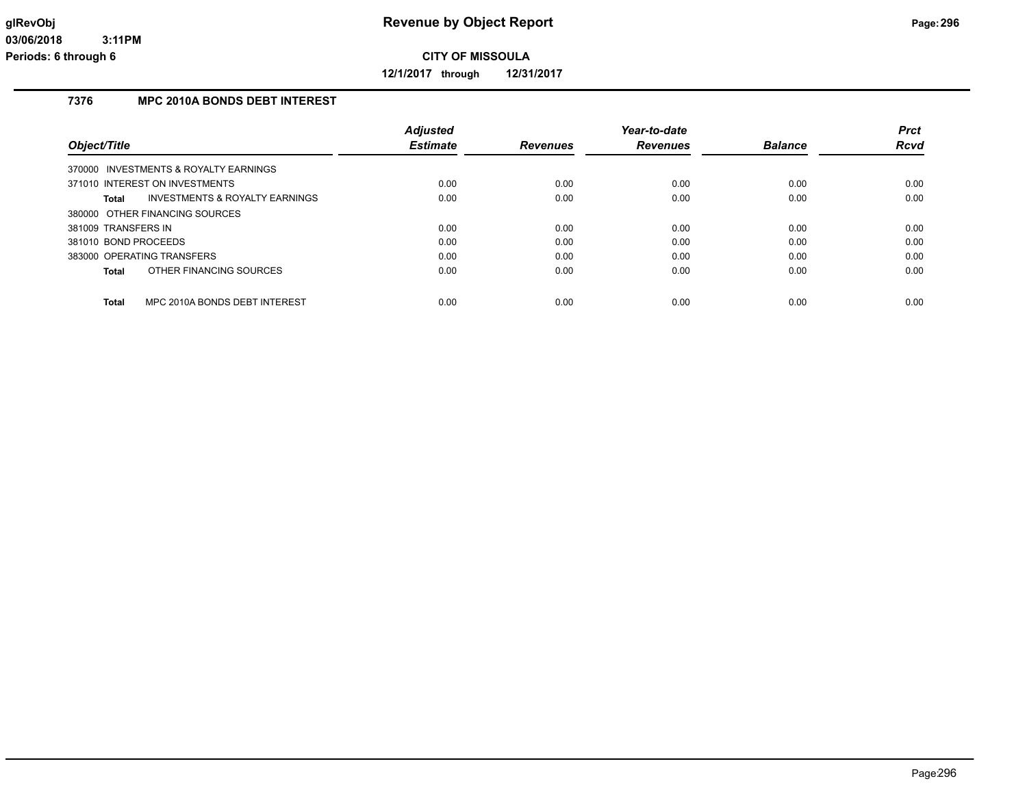**12/1/2017 through 12/31/2017**

## **7376 MPC 2010A BONDS DEBT INTEREST**

|                                               | <b>Adjusted</b> |                 | Year-to-date    |                | <b>Prct</b> |
|-----------------------------------------------|-----------------|-----------------|-----------------|----------------|-------------|
| Object/Title                                  | <b>Estimate</b> | <b>Revenues</b> | <b>Revenues</b> | <b>Balance</b> | Rcvd        |
| 370000 INVESTMENTS & ROYALTY EARNINGS         |                 |                 |                 |                |             |
| 371010 INTEREST ON INVESTMENTS                | 0.00            | 0.00            | 0.00            | 0.00           | 0.00        |
| INVESTMENTS & ROYALTY EARNINGS<br>Total       | 0.00            | 0.00            | 0.00            | 0.00           | 0.00        |
| 380000 OTHER FINANCING SOURCES                |                 |                 |                 |                |             |
| 381009 TRANSFERS IN                           | 0.00            | 0.00            | 0.00            | 0.00           | 0.00        |
| 381010 BOND PROCEEDS                          | 0.00            | 0.00            | 0.00            | 0.00           | 0.00        |
| 383000 OPERATING TRANSFERS                    | 0.00            | 0.00            | 0.00            | 0.00           | 0.00        |
| OTHER FINANCING SOURCES<br>Total              | 0.00            | 0.00            | 0.00            | 0.00           | 0.00        |
|                                               |                 |                 |                 |                |             |
| MPC 2010A BONDS DEBT INTEREST<br><b>Total</b> | 0.00            | 0.00            | 0.00            | 0.00           | 0.00        |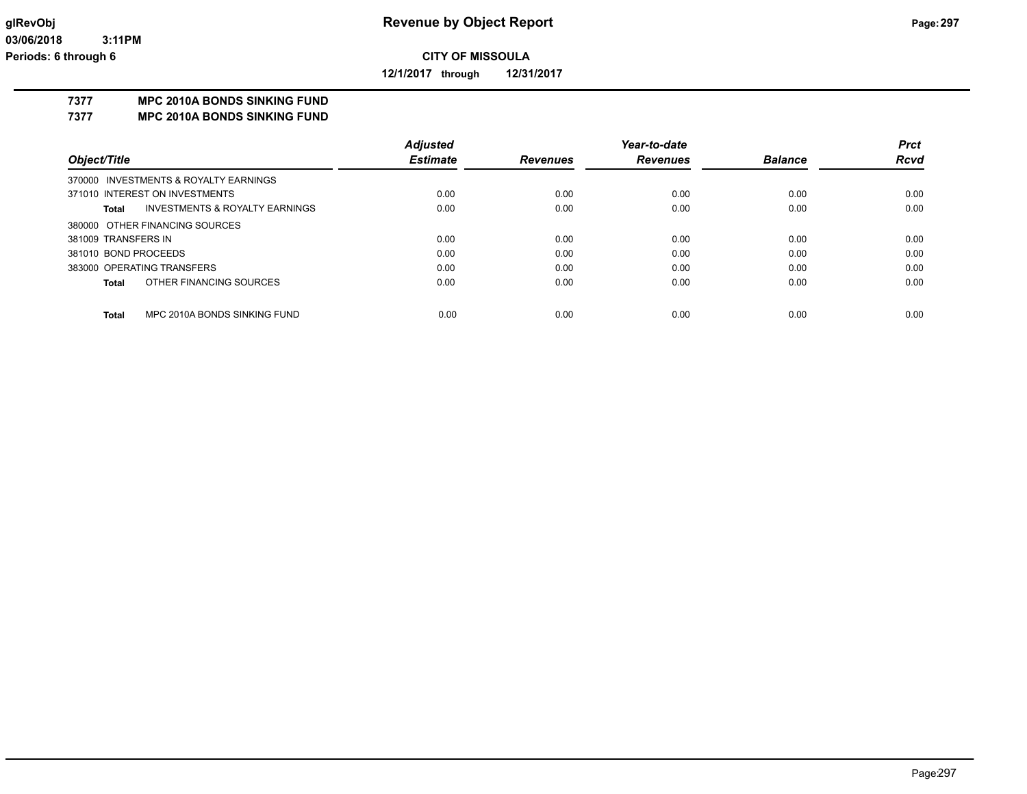**12/1/2017 through 12/31/2017**

## **7377 MPC 2010A BONDS SINKING FUND**

**7377 MPC 2010A BONDS SINKING FUND**

|                      |                                           | <b>Adjusted</b> |                 | Year-to-date    |                | <b>Prct</b> |
|----------------------|-------------------------------------------|-----------------|-----------------|-----------------|----------------|-------------|
| Object/Title         |                                           | <b>Estimate</b> | <b>Revenues</b> | <b>Revenues</b> | <b>Balance</b> | <b>Rcvd</b> |
|                      | 370000 INVESTMENTS & ROYALTY EARNINGS     |                 |                 |                 |                |             |
|                      | 371010 INTEREST ON INVESTMENTS            | 0.00            | 0.00            | 0.00            | 0.00           | 0.00        |
| Total                | <b>INVESTMENTS &amp; ROYALTY EARNINGS</b> | 0.00            | 0.00            | 0.00            | 0.00           | 0.00        |
|                      | 380000 OTHER FINANCING SOURCES            |                 |                 |                 |                |             |
| 381009 TRANSFERS IN  |                                           | 0.00            | 0.00            | 0.00            | 0.00           | 0.00        |
| 381010 BOND PROCEEDS |                                           | 0.00            | 0.00            | 0.00            | 0.00           | 0.00        |
|                      | 383000 OPERATING TRANSFERS                | 0.00            | 0.00            | 0.00            | 0.00           | 0.00        |
| <b>Total</b>         | OTHER FINANCING SOURCES                   | 0.00            | 0.00            | 0.00            | 0.00           | 0.00        |
| <b>Total</b>         | MPC 2010A BONDS SINKING FUND              | 0.00            | 0.00            | 0.00            | 0.00           | 0.00        |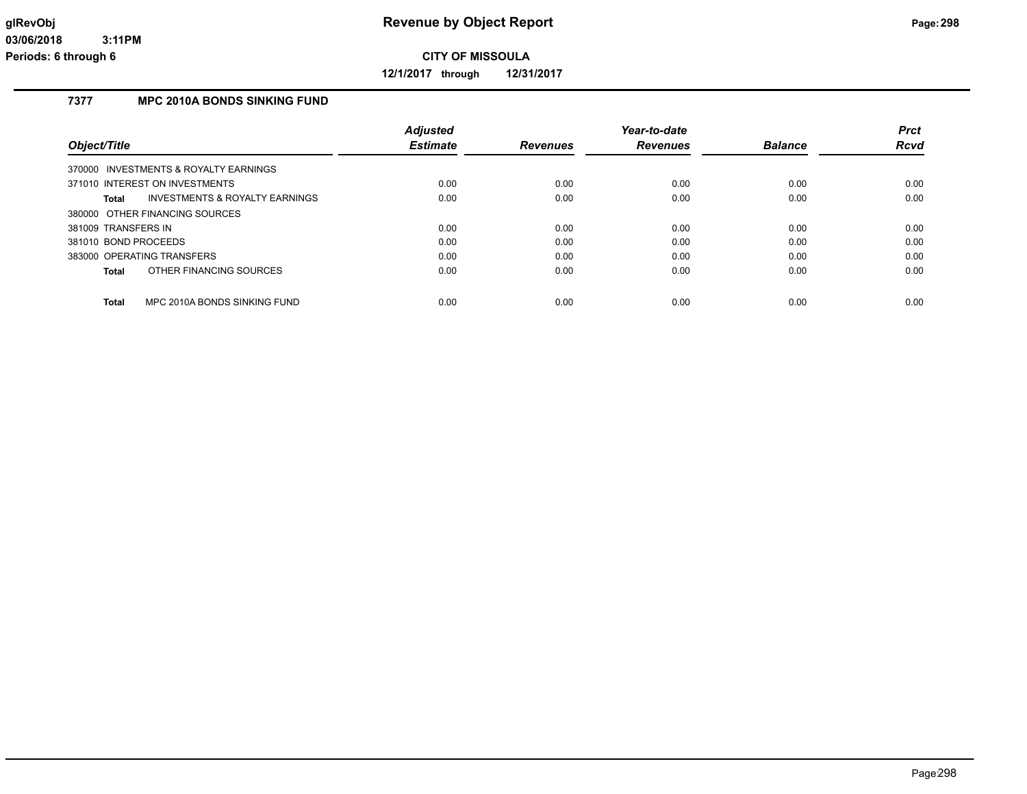**12/1/2017 through 12/31/2017**

## **7377 MPC 2010A BONDS SINKING FUND**

|                                                    | <b>Adjusted</b> |                 | Year-to-date    |                | <b>Prct</b> |
|----------------------------------------------------|-----------------|-----------------|-----------------|----------------|-------------|
| Object/Title                                       | <b>Estimate</b> | <b>Revenues</b> | <b>Revenues</b> | <b>Balance</b> | Rcvd        |
| 370000 INVESTMENTS & ROYALTY EARNINGS              |                 |                 |                 |                |             |
| 371010 INTEREST ON INVESTMENTS                     | 0.00            | 0.00            | 0.00            | 0.00           | 0.00        |
| <b>INVESTMENTS &amp; ROYALTY EARNINGS</b><br>Total | 0.00            | 0.00            | 0.00            | 0.00           | 0.00        |
| 380000 OTHER FINANCING SOURCES                     |                 |                 |                 |                |             |
| 381009 TRANSFERS IN                                | 0.00            | 0.00            | 0.00            | 0.00           | 0.00        |
| 381010 BOND PROCEEDS                               | 0.00            | 0.00            | 0.00            | 0.00           | 0.00        |
| 383000 OPERATING TRANSFERS                         | 0.00            | 0.00            | 0.00            | 0.00           | 0.00        |
| OTHER FINANCING SOURCES<br>Total                   | 0.00            | 0.00            | 0.00            | 0.00           | 0.00        |
|                                                    |                 |                 |                 |                |             |
| MPC 2010A BONDS SINKING FUND<br>Total              | 0.00            | 0.00            | 0.00            | 0.00           | 0.00        |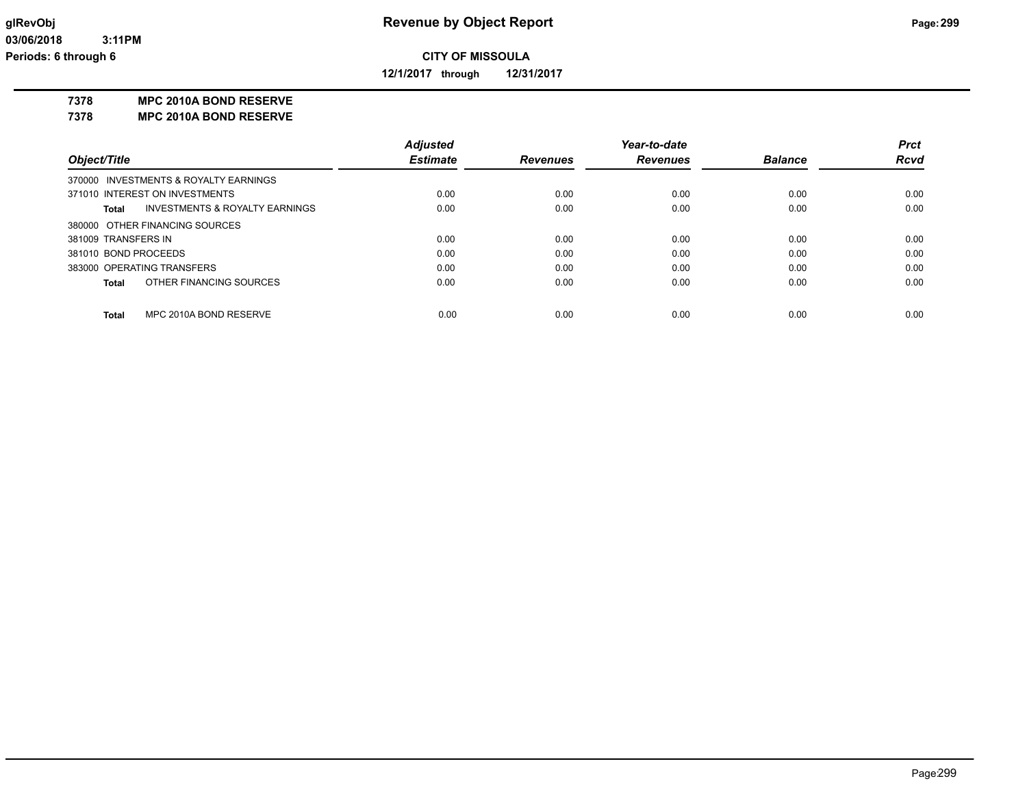**12/1/2017 through 12/31/2017**

### **7378 MPC 2010A BOND RESERVE**

**7378 MPC 2010A BOND RESERVE**

|                      |                                       | <b>Adjusted</b> |                 | Year-to-date    |                | <b>Prct</b> |
|----------------------|---------------------------------------|-----------------|-----------------|-----------------|----------------|-------------|
| Object/Title         |                                       | <b>Estimate</b> | <b>Revenues</b> | <b>Revenues</b> | <b>Balance</b> | <b>Rcvd</b> |
|                      | 370000 INVESTMENTS & ROYALTY EARNINGS |                 |                 |                 |                |             |
|                      | 371010 INTEREST ON INVESTMENTS        | 0.00            | 0.00            | 0.00            | 0.00           | 0.00        |
| Total                | INVESTMENTS & ROYALTY EARNINGS        | 0.00            | 0.00            | 0.00            | 0.00           | 0.00        |
|                      | 380000 OTHER FINANCING SOURCES        |                 |                 |                 |                |             |
| 381009 TRANSFERS IN  |                                       | 0.00            | 0.00            | 0.00            | 0.00           | 0.00        |
| 381010 BOND PROCEEDS |                                       | 0.00            | 0.00            | 0.00            | 0.00           | 0.00        |
|                      | 383000 OPERATING TRANSFERS            | 0.00            | 0.00            | 0.00            | 0.00           | 0.00        |
| Total                | OTHER FINANCING SOURCES               | 0.00            | 0.00            | 0.00            | 0.00           | 0.00        |
|                      |                                       |                 |                 |                 |                |             |
| <b>Total</b>         | MPC 2010A BOND RESERVE                | 0.00            | 0.00            | 0.00            | 0.00           | 0.00        |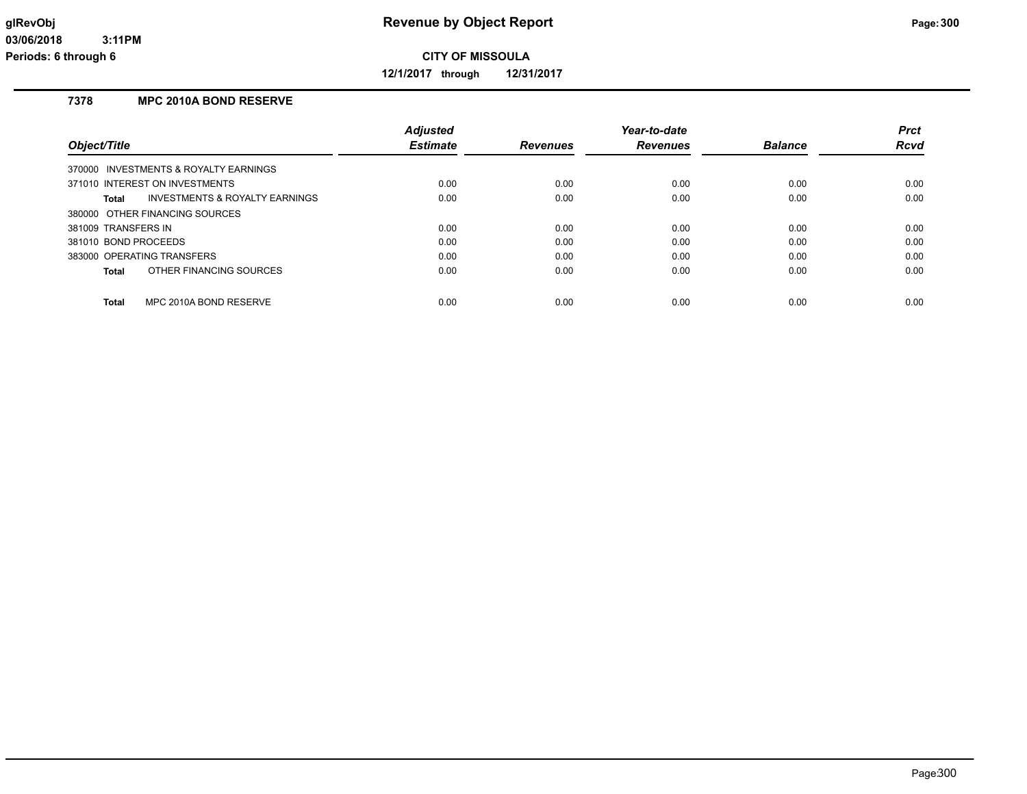**12/1/2017 through 12/31/2017**

## **7378 MPC 2010A BOND RESERVE**

|                                         | <b>Adjusted</b> |                 | Year-to-date    |                | <b>Prct</b> |
|-----------------------------------------|-----------------|-----------------|-----------------|----------------|-------------|
| Object/Title                            | <b>Estimate</b> | <b>Revenues</b> | <b>Revenues</b> | <b>Balance</b> | Rcvd        |
| 370000 INVESTMENTS & ROYALTY EARNINGS   |                 |                 |                 |                |             |
| 371010 INTEREST ON INVESTMENTS          | 0.00            | 0.00            | 0.00            | 0.00           | 0.00        |
| INVESTMENTS & ROYALTY EARNINGS<br>Total | 0.00            | 0.00            | 0.00            | 0.00           | 0.00        |
| 380000 OTHER FINANCING SOURCES          |                 |                 |                 |                |             |
| 381009 TRANSFERS IN                     | 0.00            | 0.00            | 0.00            | 0.00           | 0.00        |
| 381010 BOND PROCEEDS                    | 0.00            | 0.00            | 0.00            | 0.00           | 0.00        |
| 383000 OPERATING TRANSFERS              | 0.00            | 0.00            | 0.00            | 0.00           | 0.00        |
| OTHER FINANCING SOURCES<br>Total        | 0.00            | 0.00            | 0.00            | 0.00           | 0.00        |
|                                         |                 |                 |                 |                |             |
| MPC 2010A BOND RESERVE<br>Total         | 0.00            | 0.00            | 0.00            | 0.00           | 0.00        |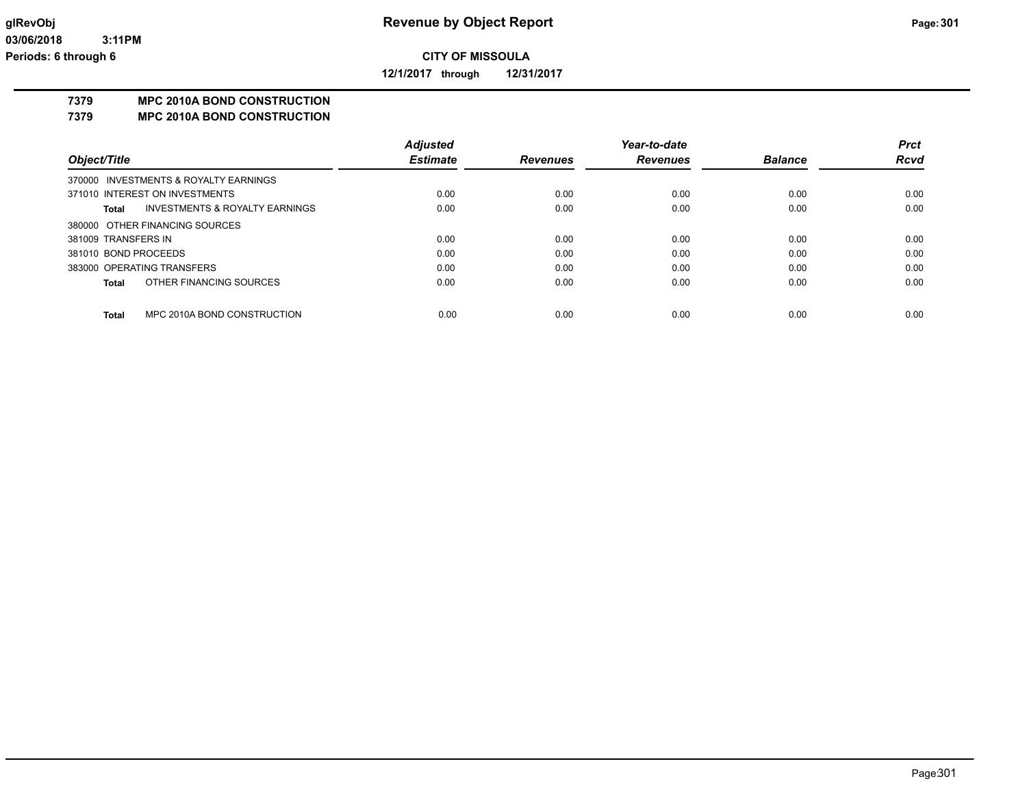**12/1/2017 through 12/31/2017**

## **7379 MPC 2010A BOND CONSTRUCTION**

**7379 MPC 2010A BOND CONSTRUCTION**

|                      |                                           | <b>Adjusted</b> |                 | Year-to-date    |                | <b>Prct</b> |
|----------------------|-------------------------------------------|-----------------|-----------------|-----------------|----------------|-------------|
| Object/Title         |                                           | <b>Estimate</b> | <b>Revenues</b> | <b>Revenues</b> | <b>Balance</b> | <b>Rcvd</b> |
|                      | 370000 INVESTMENTS & ROYALTY EARNINGS     |                 |                 |                 |                |             |
|                      | 371010 INTEREST ON INVESTMENTS            | 0.00            | 0.00            | 0.00            | 0.00           | 0.00        |
| Total                | <b>INVESTMENTS &amp; ROYALTY EARNINGS</b> | 0.00            | 0.00            | 0.00            | 0.00           | 0.00        |
|                      | 380000 OTHER FINANCING SOURCES            |                 |                 |                 |                |             |
| 381009 TRANSFERS IN  |                                           | 0.00            | 0.00            | 0.00            | 0.00           | 0.00        |
| 381010 BOND PROCEEDS |                                           | 0.00            | 0.00            | 0.00            | 0.00           | 0.00        |
|                      | 383000 OPERATING TRANSFERS                | 0.00            | 0.00            | 0.00            | 0.00           | 0.00        |
| Total                | OTHER FINANCING SOURCES                   | 0.00            | 0.00            | 0.00            | 0.00           | 0.00        |
| Total                | MPC 2010A BOND CONSTRUCTION               | 0.00            | 0.00            | 0.00            | 0.00           | 0.00        |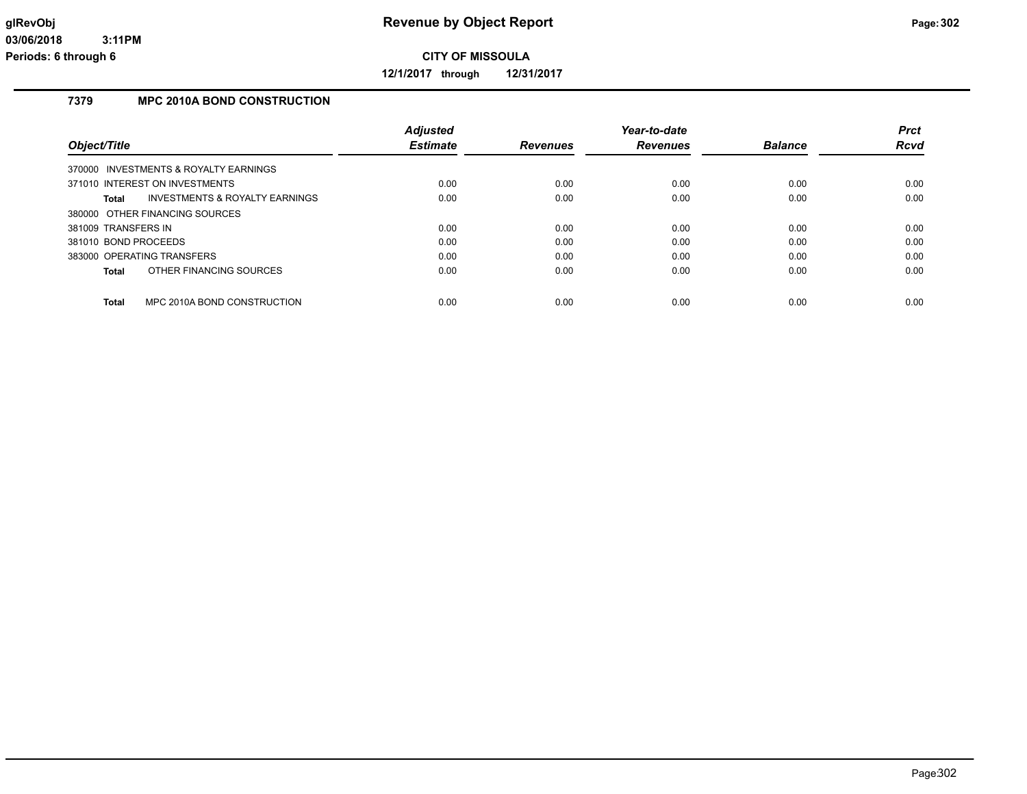**12/1/2017 through 12/31/2017**

## **7379 MPC 2010A BOND CONSTRUCTION**

|                                             | <b>Adjusted</b> |                 | Year-to-date    |                | <b>Prct</b> |
|---------------------------------------------|-----------------|-----------------|-----------------|----------------|-------------|
| Object/Title                                | <b>Estimate</b> | <b>Revenues</b> | <b>Revenues</b> | <b>Balance</b> | Rcvd        |
| 370000 INVESTMENTS & ROYALTY EARNINGS       |                 |                 |                 |                |             |
| 371010 INTEREST ON INVESTMENTS              | 0.00            | 0.00            | 0.00            | 0.00           | 0.00        |
| INVESTMENTS & ROYALTY EARNINGS<br>Total     | 0.00            | 0.00            | 0.00            | 0.00           | 0.00        |
| 380000 OTHER FINANCING SOURCES              |                 |                 |                 |                |             |
| 381009 TRANSFERS IN                         | 0.00            | 0.00            | 0.00            | 0.00           | 0.00        |
| 381010 BOND PROCEEDS                        | 0.00            | 0.00            | 0.00            | 0.00           | 0.00        |
| 383000 OPERATING TRANSFERS                  | 0.00            | 0.00            | 0.00            | 0.00           | 0.00        |
| OTHER FINANCING SOURCES<br>Total            | 0.00            | 0.00            | 0.00            | 0.00           | 0.00        |
|                                             |                 |                 |                 |                |             |
| MPC 2010A BOND CONSTRUCTION<br><b>Total</b> | 0.00            | 0.00            | 0.00            | 0.00           | 0.00        |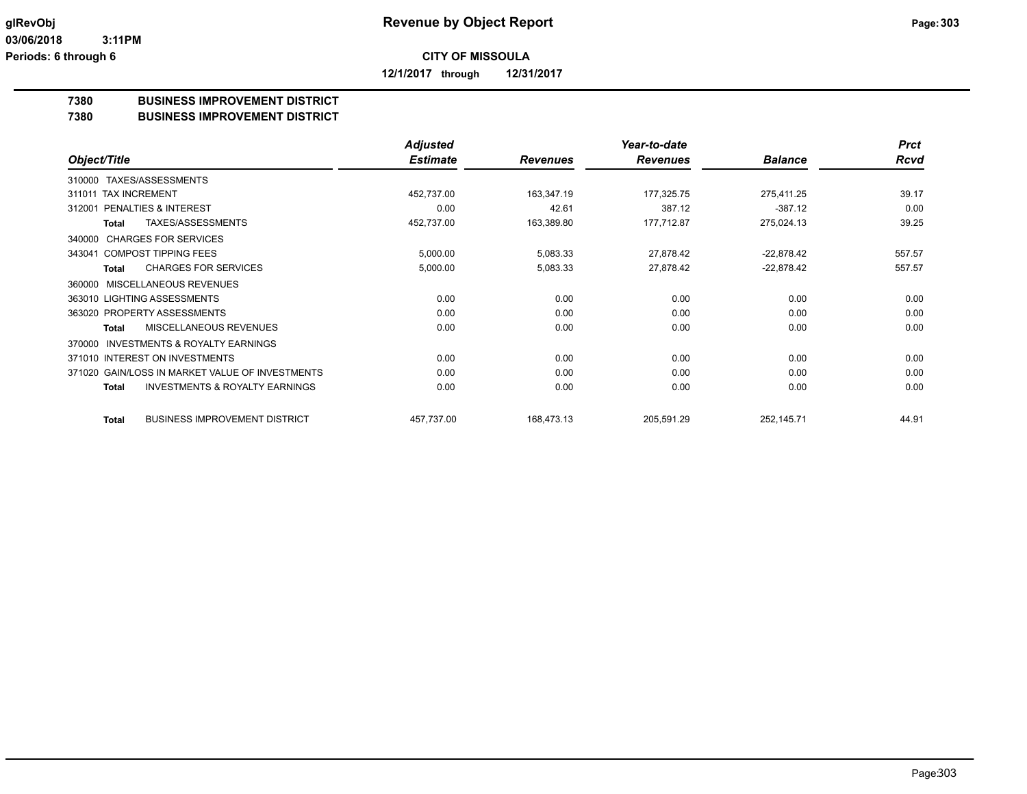**12/1/2017 through 12/31/2017**

## **7380 BUSINESS IMPROVEMENT DISTRICT**

### **7380 BUSINESS IMPROVEMENT DISTRICT**

|                                                      | <b>Adjusted</b> |                 | Year-to-date    |                | <b>Prct</b> |
|------------------------------------------------------|-----------------|-----------------|-----------------|----------------|-------------|
| Object/Title                                         | <b>Estimate</b> | <b>Revenues</b> | <b>Revenues</b> | <b>Balance</b> | <b>Rcvd</b> |
| TAXES/ASSESSMENTS<br>310000                          |                 |                 |                 |                |             |
| <b>TAX INCREMENT</b><br>311011                       | 452,737.00      | 163,347.19      | 177,325.75      | 275,411.25     | 39.17       |
| <b>PENALTIES &amp; INTEREST</b><br>312001            | 0.00            | 42.61           | 387.12          | $-387.12$      | 0.00        |
| TAXES/ASSESSMENTS<br>Total                           | 452,737.00      | 163,389.80      | 177,712.87      | 275,024.13     | 39.25       |
| <b>CHARGES FOR SERVICES</b><br>340000                |                 |                 |                 |                |             |
| <b>COMPOST TIPPING FEES</b><br>343041                | 5,000.00        | 5,083.33        | 27,878.42       | $-22,878.42$   | 557.57      |
| <b>CHARGES FOR SERVICES</b><br><b>Total</b>          | 5,000.00        | 5,083.33        | 27,878.42       | $-22,878.42$   | 557.57      |
| MISCELLANEOUS REVENUES<br>360000                     |                 |                 |                 |                |             |
| 363010 LIGHTING ASSESSMENTS                          | 0.00            | 0.00            | 0.00            | 0.00           | 0.00        |
| 363020 PROPERTY ASSESSMENTS                          | 0.00            | 0.00            | 0.00            | 0.00           | 0.00        |
| MISCELLANEOUS REVENUES<br>Total                      | 0.00            | 0.00            | 0.00            | 0.00           | 0.00        |
| <b>INVESTMENTS &amp; ROYALTY EARNINGS</b><br>370000  |                 |                 |                 |                |             |
| 371010 INTEREST ON INVESTMENTS                       | 0.00            | 0.00            | 0.00            | 0.00           | 0.00        |
| 371020 GAIN/LOSS IN MARKET VALUE OF INVESTMENTS      | 0.00            | 0.00            | 0.00            | 0.00           | 0.00        |
| <b>INVESTMENTS &amp; ROYALTY EARNINGS</b><br>Total   | 0.00            | 0.00            | 0.00            | 0.00           | 0.00        |
| <b>BUSINESS IMPROVEMENT DISTRICT</b><br><b>Total</b> | 457,737.00      | 168,473.13      | 205,591.29      | 252,145.71     | 44.91       |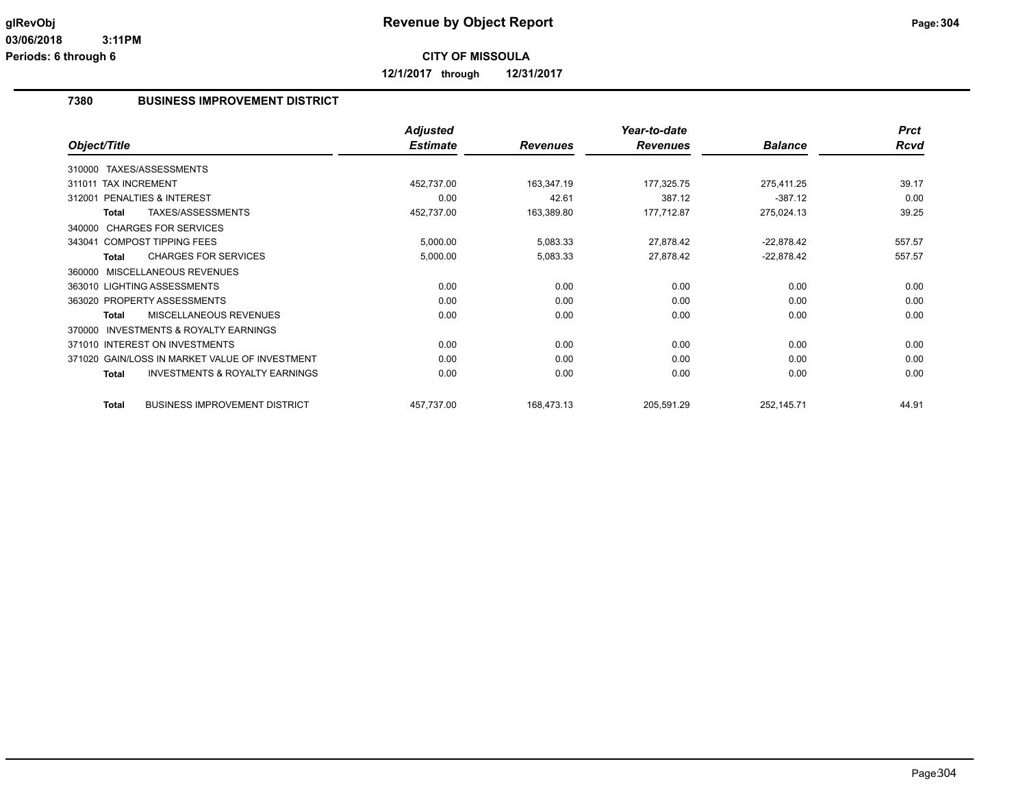**12/1/2017 through 12/31/2017**

### **7380 BUSINESS IMPROVEMENT DISTRICT**

|                                                           | <b>Adjusted</b> |                 | Year-to-date    |                | <b>Prct</b> |
|-----------------------------------------------------------|-----------------|-----------------|-----------------|----------------|-------------|
| Object/Title                                              | <b>Estimate</b> | <b>Revenues</b> | <b>Revenues</b> | <b>Balance</b> | <b>Rcvd</b> |
| 310000 TAXES/ASSESSMENTS                                  |                 |                 |                 |                |             |
| 311011 TAX INCREMENT                                      | 452,737.00      | 163,347.19      | 177,325.75      | 275,411.25     | 39.17       |
| <b>PENALTIES &amp; INTEREST</b><br>312001                 | 0.00            | 42.61           | 387.12          | $-387.12$      | 0.00        |
| TAXES/ASSESSMENTS<br><b>Total</b>                         | 452,737.00      | 163,389.80      | 177,712.87      | 275,024.13     | 39.25       |
| 340000 CHARGES FOR SERVICES                               |                 |                 |                 |                |             |
| 343041 COMPOST TIPPING FEES                               | 5,000.00        | 5,083.33        | 27,878.42       | $-22,878.42$   | 557.57      |
| <b>CHARGES FOR SERVICES</b><br><b>Total</b>               | 5,000.00        | 5,083.33        | 27,878.42       | $-22,878.42$   | 557.57      |
| MISCELLANEOUS REVENUES<br>360000                          |                 |                 |                 |                |             |
| 363010 LIGHTING ASSESSMENTS                               | 0.00            | 0.00            | 0.00            | 0.00           | 0.00        |
| 363020 PROPERTY ASSESSMENTS                               | 0.00            | 0.00            | 0.00            | 0.00           | 0.00        |
| <b>MISCELLANEOUS REVENUES</b><br><b>Total</b>             | 0.00            | 0.00            | 0.00            | 0.00           | 0.00        |
| <b>INVESTMENTS &amp; ROYALTY EARNINGS</b><br>370000       |                 |                 |                 |                |             |
| 371010 INTEREST ON INVESTMENTS                            | 0.00            | 0.00            | 0.00            | 0.00           | 0.00        |
| 371020 GAIN/LOSS IN MARKET VALUE OF INVESTMENT            | 0.00            | 0.00            | 0.00            | 0.00           | 0.00        |
| <b>INVESTMENTS &amp; ROYALTY EARNINGS</b><br><b>Total</b> | 0.00            | 0.00            | 0.00            | 0.00           | 0.00        |
| <b>BUSINESS IMPROVEMENT DISTRICT</b><br><b>Total</b>      | 457,737.00      | 168,473.13      | 205,591.29      | 252,145.71     | 44.91       |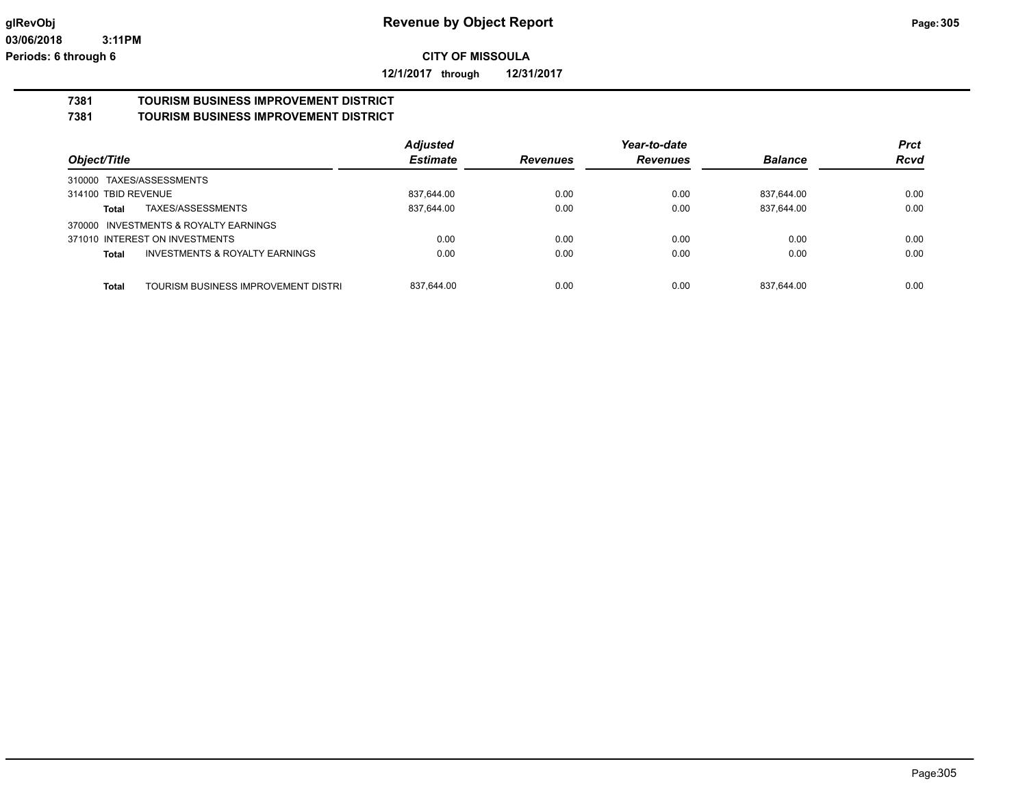**12/1/2017 through 12/31/2017**

# **7381 TOURISM BUSINESS IMPROVEMENT DISTRICT**

## **7381 TOURISM BUSINESS IMPROVEMENT DISTRICT**

|                                                | <b>Adjusted</b> |                 | Year-to-date    |                | <b>Prct</b> |
|------------------------------------------------|-----------------|-----------------|-----------------|----------------|-------------|
| Object/Title                                   | <b>Estimate</b> | <b>Revenues</b> | <b>Revenues</b> | <b>Balance</b> | <b>Rcvd</b> |
| 310000 TAXES/ASSESSMENTS                       |                 |                 |                 |                |             |
| 314100 TBID REVENUE                            | 837,644.00      | 0.00            | 0.00            | 837,644.00     | 0.00        |
| TAXES/ASSESSMENTS<br>Total                     | 837,644.00      | 0.00            | 0.00            | 837,644.00     | 0.00        |
| 370000 INVESTMENTS & ROYALTY EARNINGS          |                 |                 |                 |                |             |
| 371010 INTEREST ON INVESTMENTS                 | 0.00            | 0.00            | 0.00            | 0.00           | 0.00        |
| INVESTMENTS & ROYALTY EARNINGS<br><b>Total</b> | 0.00            | 0.00            | 0.00            | 0.00           | 0.00        |
|                                                |                 |                 |                 |                |             |
| Total<br>TOURISM BUSINESS IMPROVEMENT DISTRI   | 837.644.00      | 0.00            | 0.00            | 837.644.00     | 0.00        |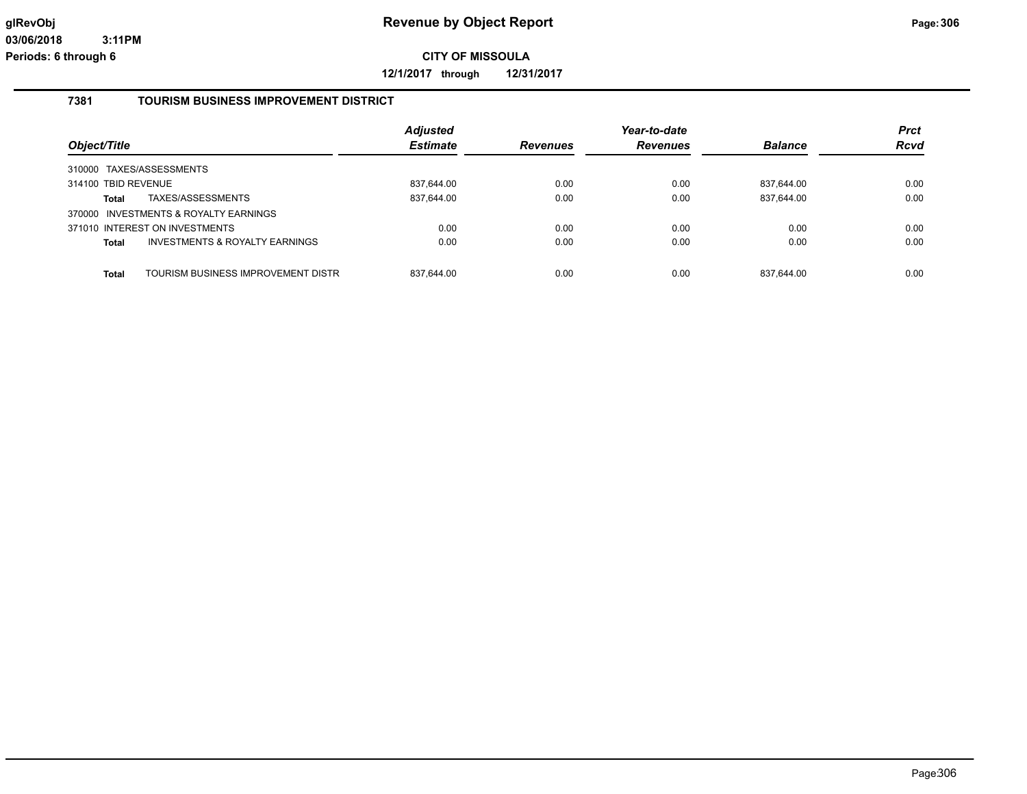**12/1/2017 through 12/31/2017**

### **7381 TOURISM BUSINESS IMPROVEMENT DISTRICT**

| Object/Title        |                                           | <b>Adjusted</b><br><b>Estimate</b> | <b>Revenues</b> | Year-to-date<br><b>Revenues</b> | <b>Balance</b> | <b>Prct</b><br>Rcvd |
|---------------------|-------------------------------------------|------------------------------------|-----------------|---------------------------------|----------------|---------------------|
|                     | 310000 TAXES/ASSESSMENTS                  |                                    |                 |                                 |                |                     |
| 314100 TBID REVENUE |                                           | 837,644.00                         | 0.00            | 0.00                            | 837,644.00     | 0.00                |
| <b>Total</b>        | TAXES/ASSESSMENTS                         | 837,644.00                         | 0.00            | 0.00                            | 837,644.00     | 0.00                |
|                     | 370000 INVESTMENTS & ROYALTY EARNINGS     |                                    |                 |                                 |                |                     |
|                     | 371010 INTEREST ON INVESTMENTS            | 0.00                               | 0.00            | 0.00                            | 0.00           | 0.00                |
| <b>Total</b>        | <b>INVESTMENTS &amp; ROYALTY EARNINGS</b> | 0.00                               | 0.00            | 0.00                            | 0.00           | 0.00                |
|                     |                                           |                                    |                 |                                 |                |                     |
| <b>Total</b>        | TOURISM BUSINESS IMPROVEMENT DISTRI       | 837.644.00                         | 0.00            | 0.00                            | 837.644.00     | 0.00                |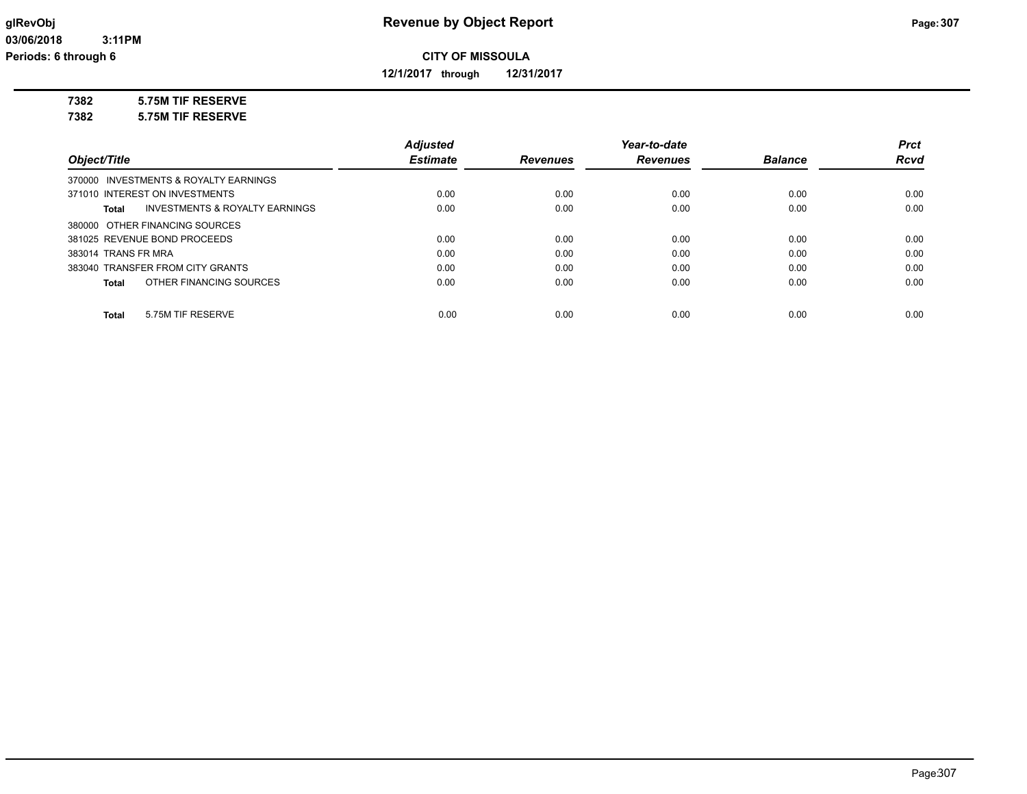**12/1/2017 through 12/31/2017**

### **7382 5.75M TIF RESERVE**

**7382 5.75M TIF RESERVE**

|                                         | <b>Adjusted</b> |                 | Year-to-date    |                | <b>Prct</b> |
|-----------------------------------------|-----------------|-----------------|-----------------|----------------|-------------|
| Object/Title                            | <b>Estimate</b> | <b>Revenues</b> | <b>Revenues</b> | <b>Balance</b> | <b>Rcvd</b> |
| 370000 INVESTMENTS & ROYALTY EARNINGS   |                 |                 |                 |                |             |
| 371010 INTEREST ON INVESTMENTS          | 0.00            | 0.00            | 0.00            | 0.00           | 0.00        |
| INVESTMENTS & ROYALTY EARNINGS<br>Total | 0.00            | 0.00            | 0.00            | 0.00           | 0.00        |
| 380000 OTHER FINANCING SOURCES          |                 |                 |                 |                |             |
| 381025 REVENUE BOND PROCEEDS            | 0.00            | 0.00            | 0.00            | 0.00           | 0.00        |
| 383014 TRANS FR MRA                     | 0.00            | 0.00            | 0.00            | 0.00           | 0.00        |
| 383040 TRANSFER FROM CITY GRANTS        | 0.00            | 0.00            | 0.00            | 0.00           | 0.00        |
| OTHER FINANCING SOURCES<br><b>Total</b> | 0.00            | 0.00            | 0.00            | 0.00           | 0.00        |
|                                         |                 |                 |                 |                |             |
| 5.75M TIF RESERVE<br><b>Total</b>       | 0.00            | 0.00            | 0.00            | 0.00           | 0.00        |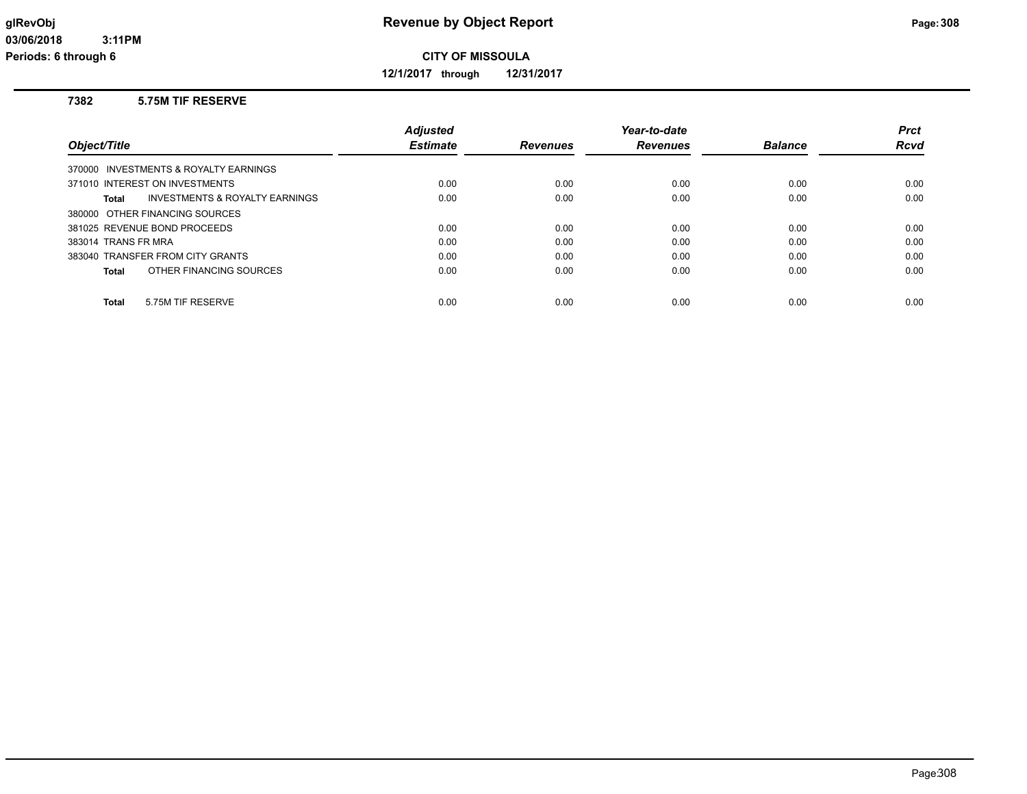**12/1/2017 through 12/31/2017**

### **7382 5.75M TIF RESERVE**

|                                                    | <b>Adiusted</b> |                 | Year-to-date    |                | <b>Prct</b> |
|----------------------------------------------------|-----------------|-----------------|-----------------|----------------|-------------|
| Object/Title                                       | <b>Estimate</b> | <b>Revenues</b> | <b>Revenues</b> | <b>Balance</b> | Rcvd        |
| 370000 INVESTMENTS & ROYALTY EARNINGS              |                 |                 |                 |                |             |
| 371010 INTEREST ON INVESTMENTS                     | 0.00            | 0.00            | 0.00            | 0.00           | 0.00        |
| <b>INVESTMENTS &amp; ROYALTY EARNINGS</b><br>Total | 0.00            | 0.00            | 0.00            | 0.00           | 0.00        |
| 380000 OTHER FINANCING SOURCES                     |                 |                 |                 |                |             |
| 381025 REVENUE BOND PROCEEDS                       | 0.00            | 0.00            | 0.00            | 0.00           | 0.00        |
| 383014 TRANS FR MRA                                | 0.00            | 0.00            | 0.00            | 0.00           | 0.00        |
| 383040 TRANSFER FROM CITY GRANTS                   | 0.00            | 0.00            | 0.00            | 0.00           | 0.00        |
| OTHER FINANCING SOURCES<br>Total                   | 0.00            | 0.00            | 0.00            | 0.00           | 0.00        |
|                                                    |                 |                 |                 |                |             |
| 5.75M TIF RESERVE<br>Total                         | 0.00            | 0.00            | 0.00            | 0.00           | 0.00        |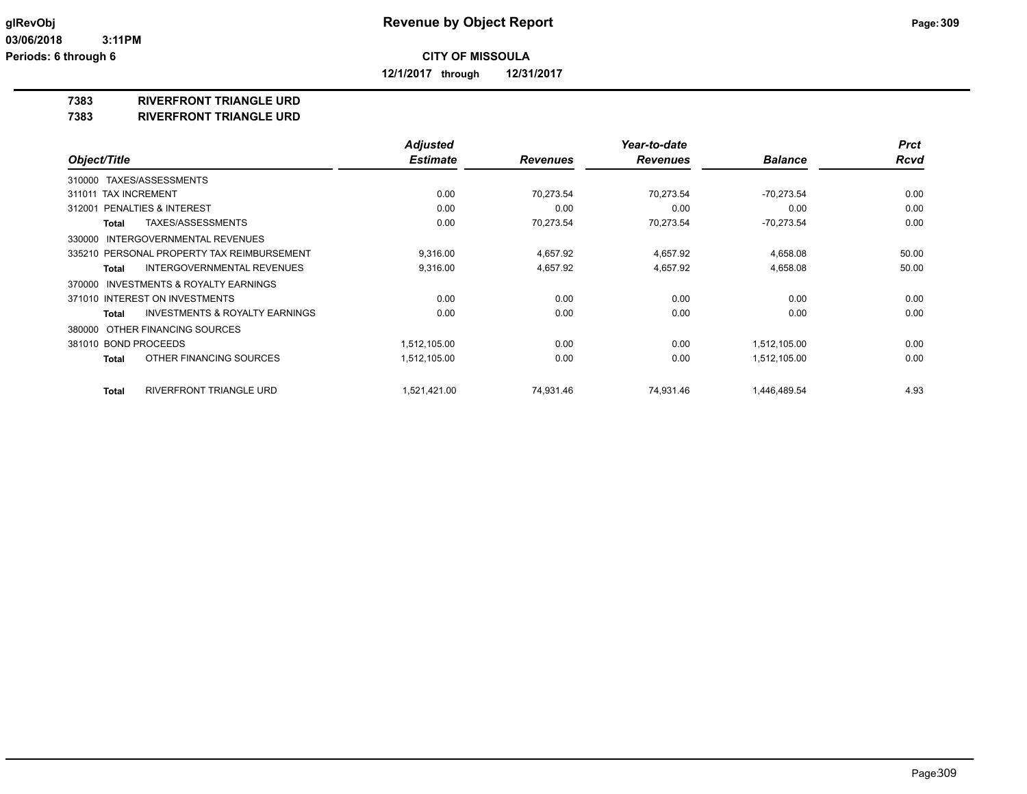**12/1/2017 through 12/31/2017**

### **7383 RIVERFRONT TRIANGLE URD**

### **7383 RIVERFRONT TRIANGLE URD**

|                                                           | <b>Adjusted</b> |                 | Year-to-date    |                | <b>Prct</b> |
|-----------------------------------------------------------|-----------------|-----------------|-----------------|----------------|-------------|
| Object/Title                                              | <b>Estimate</b> | <b>Revenues</b> | <b>Revenues</b> | <b>Balance</b> | <b>Rcvd</b> |
| TAXES/ASSESSMENTS<br>310000                               |                 |                 |                 |                |             |
| 311011 TAX INCREMENT                                      | 0.00            | 70,273.54       | 70,273.54       | $-70,273.54$   | 0.00        |
| PENALTIES & INTEREST<br>312001                            | 0.00            | 0.00            | 0.00            | 0.00           | 0.00        |
| TAXES/ASSESSMENTS<br><b>Total</b>                         | 0.00            | 70,273.54       | 70,273.54       | $-70,273.54$   | 0.00        |
| INTERGOVERNMENTAL REVENUES<br>330000                      |                 |                 |                 |                |             |
| 335210 PERSONAL PROPERTY TAX REIMBURSEMENT                | 9,316.00        | 4,657.92        | 4,657.92        | 4,658.08       | 50.00       |
| <b>INTERGOVERNMENTAL REVENUES</b><br><b>Total</b>         | 9,316.00        | 4,657.92        | 4,657.92        | 4,658.08       | 50.00       |
| INVESTMENTS & ROYALTY EARNINGS<br>370000                  |                 |                 |                 |                |             |
| 371010 INTEREST ON INVESTMENTS                            | 0.00            | 0.00            | 0.00            | 0.00           | 0.00        |
| <b>INVESTMENTS &amp; ROYALTY EARNINGS</b><br><b>Total</b> | 0.00            | 0.00            | 0.00            | 0.00           | 0.00        |
| OTHER FINANCING SOURCES<br>380000                         |                 |                 |                 |                |             |
| 381010 BOND PROCEEDS                                      | 1,512,105.00    | 0.00            | 0.00            | 1,512,105.00   | 0.00        |
| OTHER FINANCING SOURCES<br><b>Total</b>                   | 1,512,105.00    | 0.00            | 0.00            | 1,512,105.00   | 0.00        |
| <b>RIVERFRONT TRIANGLE URD</b><br><b>Total</b>            | 1,521,421.00    | 74,931.46       | 74,931.46       | 1,446,489.54   | 4.93        |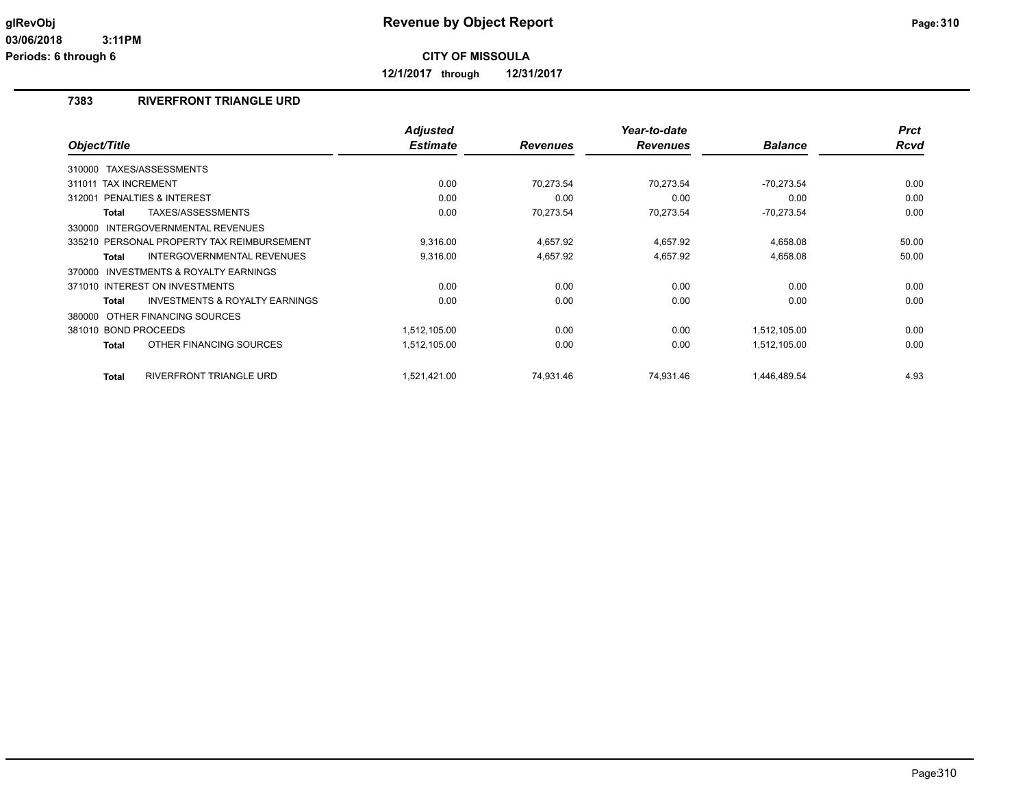**12/1/2017 through 12/31/2017**

## **7383 RIVERFRONT TRIANGLE URD**

|                                                     | <b>Adjusted</b> |                 | Year-to-date    |                | <b>Prct</b> |
|-----------------------------------------------------|-----------------|-----------------|-----------------|----------------|-------------|
| Object/Title                                        | <b>Estimate</b> | <b>Revenues</b> | <b>Revenues</b> | <b>Balance</b> | <b>Rcvd</b> |
| TAXES/ASSESSMENTS<br>310000                         |                 |                 |                 |                |             |
| 311011 TAX INCREMENT                                | 0.00            | 70,273.54       | 70,273.54       | $-70,273.54$   | 0.00        |
| 312001 PENALTIES & INTEREST                         | 0.00            | 0.00            | 0.00            | 0.00           | 0.00        |
| TAXES/ASSESSMENTS<br><b>Total</b>                   | 0.00            | 70,273.54       | 70,273.54       | $-70,273.54$   | 0.00        |
| <b>INTERGOVERNMENTAL REVENUES</b><br>330000         |                 |                 |                 |                |             |
| 335210 PERSONAL PROPERTY TAX REIMBURSEMENT          | 9,316.00        | 4,657.92        | 4,657.92        | 4,658.08       | 50.00       |
| <b>INTERGOVERNMENTAL REVENUES</b><br>Total          | 9,316.00        | 4,657.92        | 4,657.92        | 4,658.08       | 50.00       |
| <b>INVESTMENTS &amp; ROYALTY EARNINGS</b><br>370000 |                 |                 |                 |                |             |
| 371010 INTEREST ON INVESTMENTS                      | 0.00            | 0.00            | 0.00            | 0.00           | 0.00        |
| <b>INVESTMENTS &amp; ROYALTY EARNINGS</b><br>Total  | 0.00            | 0.00            | 0.00            | 0.00           | 0.00        |
| 380000 OTHER FINANCING SOURCES                      |                 |                 |                 |                |             |
| 381010 BOND PROCEEDS                                | 1,512,105.00    | 0.00            | 0.00            | 1,512,105.00   | 0.00        |
| OTHER FINANCING SOURCES<br><b>Total</b>             | 1,512,105.00    | 0.00            | 0.00            | 1,512,105.00   | 0.00        |
| <b>RIVERFRONT TRIANGLE URD</b><br><b>Total</b>      | 1,521,421.00    | 74,931.46       | 74,931.46       | 1,446,489.54   | 4.93        |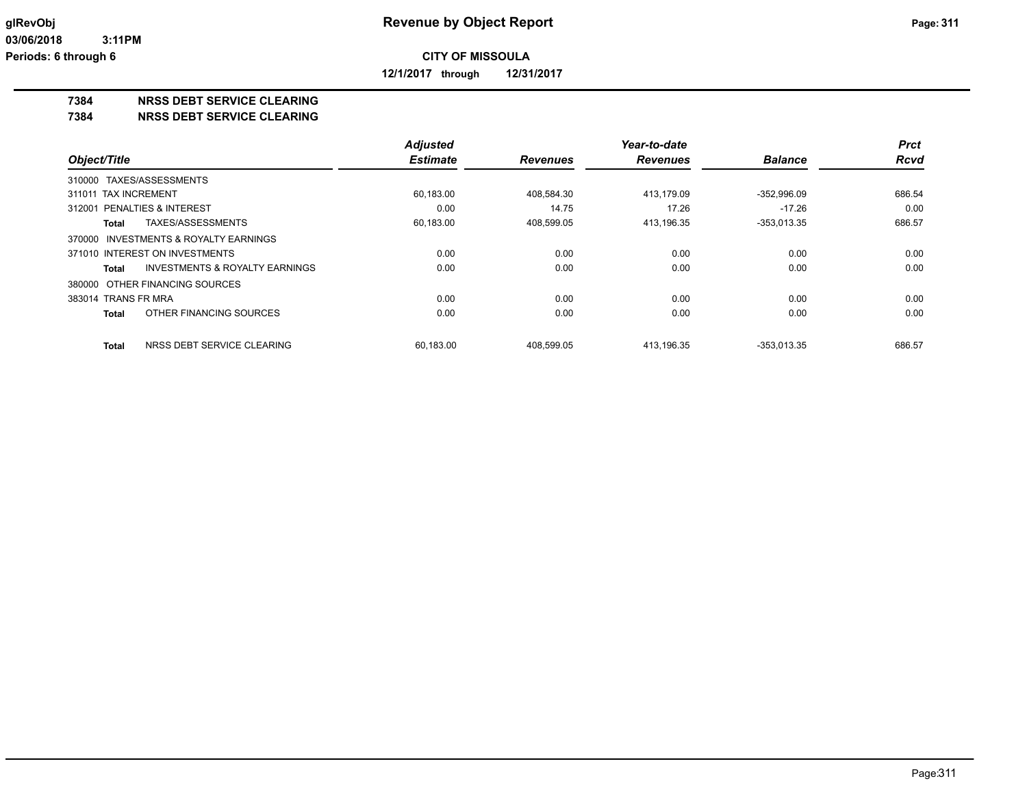**12/1/2017 through 12/31/2017**

### **7384 NRSS DEBT SERVICE CLEARING**

**7384 NRSS DEBT SERVICE CLEARING**

|                                                    | <b>Adjusted</b> |                 | Year-to-date    |                | <b>Prct</b> |
|----------------------------------------------------|-----------------|-----------------|-----------------|----------------|-------------|
| Object/Title                                       | <b>Estimate</b> | <b>Revenues</b> | <b>Revenues</b> | <b>Balance</b> | <b>Rcvd</b> |
| 310000 TAXES/ASSESSMENTS                           |                 |                 |                 |                |             |
| 311011 TAX INCREMENT                               | 60,183.00       | 408.584.30      | 413.179.09      | $-352.996.09$  | 686.54      |
| 312001 PENALTIES & INTEREST                        | 0.00            | 14.75           | 17.26           | $-17.26$       | 0.00        |
| TAXES/ASSESSMENTS<br><b>Total</b>                  | 60,183.00       | 408,599.05      | 413,196.35      | $-353,013.35$  | 686.57      |
| 370000 INVESTMENTS & ROYALTY EARNINGS              |                 |                 |                 |                |             |
| 371010 INTEREST ON INVESTMENTS                     | 0.00            | 0.00            | 0.00            | 0.00           | 0.00        |
| <b>INVESTMENTS &amp; ROYALTY EARNINGS</b><br>Total | 0.00            | 0.00            | 0.00            | 0.00           | 0.00        |
| 380000 OTHER FINANCING SOURCES                     |                 |                 |                 |                |             |
| 383014 TRANS FR MRA                                | 0.00            | 0.00            | 0.00            | 0.00           | 0.00        |
| OTHER FINANCING SOURCES<br><b>Total</b>            | 0.00            | 0.00            | 0.00            | 0.00           | 0.00        |
| NRSS DEBT SERVICE CLEARING<br><b>Total</b>         | 60.183.00       | 408.599.05      | 413.196.35      | $-353.013.35$  | 686.57      |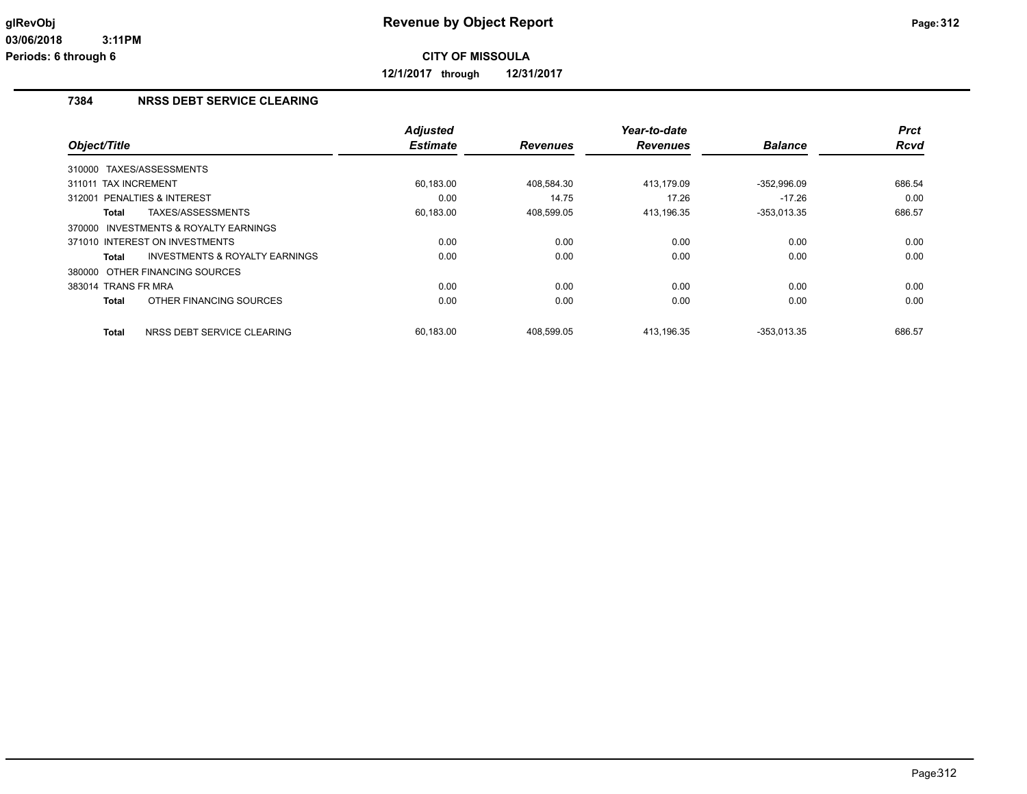**12/1/2017 through 12/31/2017**

## **7384 NRSS DEBT SERVICE CLEARING**

|                                                    | <b>Adjusted</b> |                 | Year-to-date    |                | <b>Prct</b> |
|----------------------------------------------------|-----------------|-----------------|-----------------|----------------|-------------|
| Object/Title                                       | <b>Estimate</b> | <b>Revenues</b> | <b>Revenues</b> | <b>Balance</b> | Rcvd        |
| 310000 TAXES/ASSESSMENTS                           |                 |                 |                 |                |             |
| <b>TAX INCREMENT</b><br>311011                     | 60,183.00       | 408,584.30      | 413,179.09      | $-352,996.09$  | 686.54      |
| PENALTIES & INTEREST<br>312001                     | 0.00            | 14.75           | 17.26           | $-17.26$       | 0.00        |
| TAXES/ASSESSMENTS<br>Total                         | 60,183.00       | 408,599.05      | 413,196.35      | $-353,013.35$  | 686.57      |
| 370000 INVESTMENTS & ROYALTY EARNINGS              |                 |                 |                 |                |             |
| 371010 INTEREST ON INVESTMENTS                     | 0.00            | 0.00            | 0.00            | 0.00           | 0.00        |
| <b>INVESTMENTS &amp; ROYALTY EARNINGS</b><br>Total | 0.00            | 0.00            | 0.00            | 0.00           | 0.00        |
| 380000 OTHER FINANCING SOURCES                     |                 |                 |                 |                |             |
| 383014 TRANS FR MRA                                | 0.00            | 0.00            | 0.00            | 0.00           | 0.00        |
| OTHER FINANCING SOURCES<br><b>Total</b>            | 0.00            | 0.00            | 0.00            | 0.00           | 0.00        |
| NRSS DEBT SERVICE CLEARING<br><b>Total</b>         | 60.183.00       | 408.599.05      | 413.196.35      | $-353.013.35$  | 686.57      |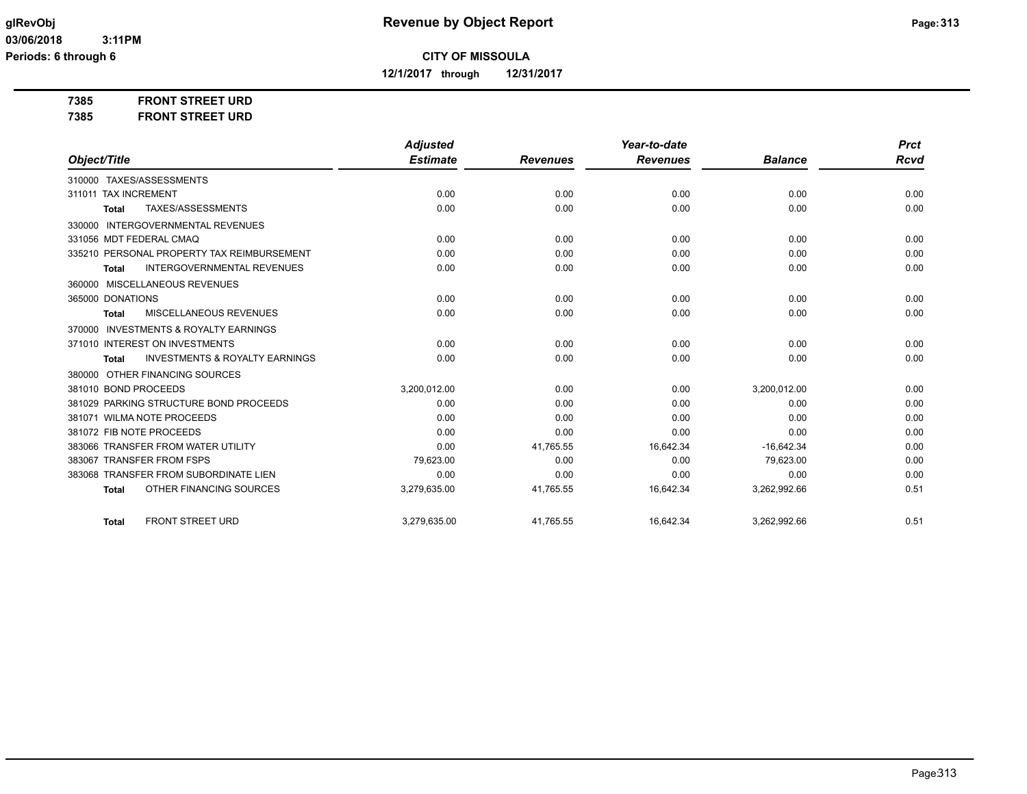**12/1/2017 through 12/31/2017**

**7385 FRONT STREET URD**

**7385 FRONT STREET URD**

|                                                           | <b>Adjusted</b> |                 | Year-to-date    |                | <b>Prct</b> |
|-----------------------------------------------------------|-----------------|-----------------|-----------------|----------------|-------------|
| Object/Title                                              | <b>Estimate</b> | <b>Revenues</b> | <b>Revenues</b> | <b>Balance</b> | <b>Rcvd</b> |
| 310000 TAXES/ASSESSMENTS                                  |                 |                 |                 |                |             |
| 311011 TAX INCREMENT                                      | 0.00            | 0.00            | 0.00            | 0.00           | 0.00        |
| TAXES/ASSESSMENTS<br>Total                                | 0.00            | 0.00            | 0.00            | 0.00           | 0.00        |
| <b>INTERGOVERNMENTAL REVENUES</b><br>330000               |                 |                 |                 |                |             |
| 331056 MDT FEDERAL CMAQ                                   | 0.00            | 0.00            | 0.00            | 0.00           | 0.00        |
| 335210 PERSONAL PROPERTY TAX REIMBURSEMENT                | 0.00            | 0.00            | 0.00            | 0.00           | 0.00        |
| <b>INTERGOVERNMENTAL REVENUES</b><br><b>Total</b>         | 0.00            | 0.00            | 0.00            | 0.00           | 0.00        |
| MISCELLANEOUS REVENUES<br>360000                          |                 |                 |                 |                |             |
| 365000 DONATIONS                                          | 0.00            | 0.00            | 0.00            | 0.00           | 0.00        |
| <b>MISCELLANEOUS REVENUES</b><br><b>Total</b>             | 0.00            | 0.00            | 0.00            | 0.00           | 0.00        |
| <b>INVESTMENTS &amp; ROYALTY EARNINGS</b><br>370000       |                 |                 |                 |                |             |
| 371010 INTEREST ON INVESTMENTS                            | 0.00            | 0.00            | 0.00            | 0.00           | 0.00        |
| <b>INVESTMENTS &amp; ROYALTY EARNINGS</b><br><b>Total</b> | 0.00            | 0.00            | 0.00            | 0.00           | 0.00        |
| 380000 OTHER FINANCING SOURCES                            |                 |                 |                 |                |             |
| 381010 BOND PROCEEDS                                      | 3,200,012.00    | 0.00            | 0.00            | 3,200,012.00   | 0.00        |
| 381029 PARKING STRUCTURE BOND PROCEEDS                    | 0.00            | 0.00            | 0.00            | 0.00           | 0.00        |
| 381071 WILMA NOTE PROCEEDS                                | 0.00            | 0.00            | 0.00            | 0.00           | 0.00        |
| 381072 FIB NOTE PROCEEDS                                  | 0.00            | 0.00            | 0.00            | 0.00           | 0.00        |
| 383066 TRANSFER FROM WATER UTILITY                        | 0.00            | 41,765.55       | 16,642.34       | $-16,642.34$   | 0.00        |
| 383067 TRANSFER FROM FSPS                                 | 79,623.00       | 0.00            | 0.00            | 79,623.00      | 0.00        |
| 383068 TRANSFER FROM SUBORDINATE LIEN                     | 0.00            | 0.00            | 0.00            | 0.00           | 0.00        |
| OTHER FINANCING SOURCES<br><b>Total</b>                   | 3,279,635.00    | 41,765.55       | 16,642.34       | 3,262,992.66   | 0.51        |
| <b>FRONT STREET URD</b><br><b>Total</b>                   | 3,279,635.00    | 41,765.55       | 16,642.34       | 3,262,992.66   | 0.51        |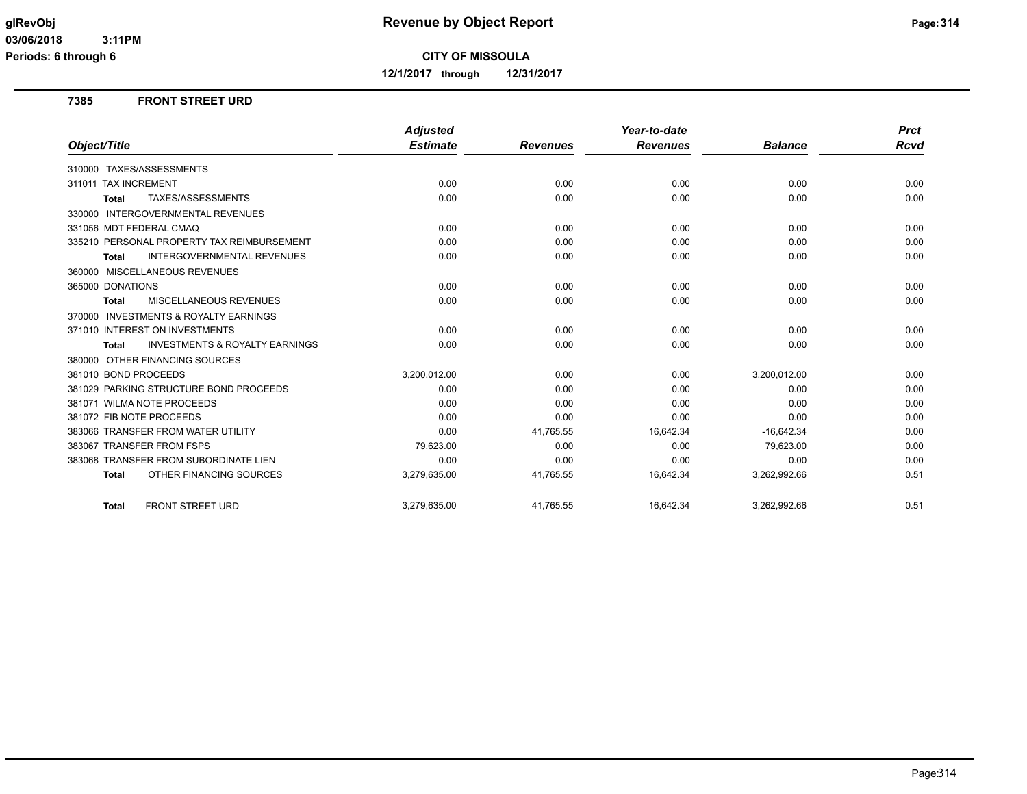**12/1/2017 through 12/31/2017**

### **7385 FRONT STREET URD**

|                                                           | <b>Adjusted</b> |                 | Year-to-date    |                | Prct |
|-----------------------------------------------------------|-----------------|-----------------|-----------------|----------------|------|
| Object/Title                                              | <b>Estimate</b> | <b>Revenues</b> | <b>Revenues</b> | <b>Balance</b> | Rcvd |
| 310000 TAXES/ASSESSMENTS                                  |                 |                 |                 |                |      |
| 311011 TAX INCREMENT                                      | 0.00            | 0.00            | 0.00            | 0.00           | 0.00 |
| TAXES/ASSESSMENTS<br><b>Total</b>                         | 0.00            | 0.00            | 0.00            | 0.00           | 0.00 |
| <b>INTERGOVERNMENTAL REVENUES</b><br>330000               |                 |                 |                 |                |      |
| 331056 MDT FEDERAL CMAQ                                   | 0.00            | 0.00            | 0.00            | 0.00           | 0.00 |
| 335210 PERSONAL PROPERTY TAX REIMBURSEMENT                | 0.00            | 0.00            | 0.00            | 0.00           | 0.00 |
| <b>INTERGOVERNMENTAL REVENUES</b><br><b>Total</b>         | 0.00            | 0.00            | 0.00            | 0.00           | 0.00 |
| 360000 MISCELLANEOUS REVENUES                             |                 |                 |                 |                |      |
| 365000 DONATIONS                                          | 0.00            | 0.00            | 0.00            | 0.00           | 0.00 |
| <b>MISCELLANEOUS REVENUES</b><br><b>Total</b>             | 0.00            | 0.00            | 0.00            | 0.00           | 0.00 |
| 370000 INVESTMENTS & ROYALTY EARNINGS                     |                 |                 |                 |                |      |
| 371010 INTEREST ON INVESTMENTS                            | 0.00            | 0.00            | 0.00            | 0.00           | 0.00 |
| <b>INVESTMENTS &amp; ROYALTY EARNINGS</b><br><b>Total</b> | 0.00            | 0.00            | 0.00            | 0.00           | 0.00 |
| OTHER FINANCING SOURCES<br>380000                         |                 |                 |                 |                |      |
| 381010 BOND PROCEEDS                                      | 3,200,012.00    | 0.00            | 0.00            | 3,200,012.00   | 0.00 |
| 381029 PARKING STRUCTURE BOND PROCEEDS                    | 0.00            | 0.00            | 0.00            | 0.00           | 0.00 |
| 381071 WILMA NOTE PROCEEDS                                | 0.00            | 0.00            | 0.00            | 0.00           | 0.00 |
| 381072 FIB NOTE PROCEEDS                                  | 0.00            | 0.00            | 0.00            | 0.00           | 0.00 |
| 383066 TRANSFER FROM WATER UTILITY                        | 0.00            | 41,765.55       | 16,642.34       | $-16,642.34$   | 0.00 |
| 383067 TRANSFER FROM FSPS                                 | 79,623.00       | 0.00            | 0.00            | 79,623.00      | 0.00 |
| 383068 TRANSFER FROM SUBORDINATE LIEN                     | 0.00            | 0.00            | 0.00            | 0.00           | 0.00 |
| OTHER FINANCING SOURCES<br><b>Total</b>                   | 3,279,635.00    | 41,765.55       | 16,642.34       | 3,262,992.66   | 0.51 |
| <b>FRONT STREET URD</b><br><b>Total</b>                   | 3,279,635.00    | 41,765.55       | 16,642.34       | 3,262,992.66   | 0.51 |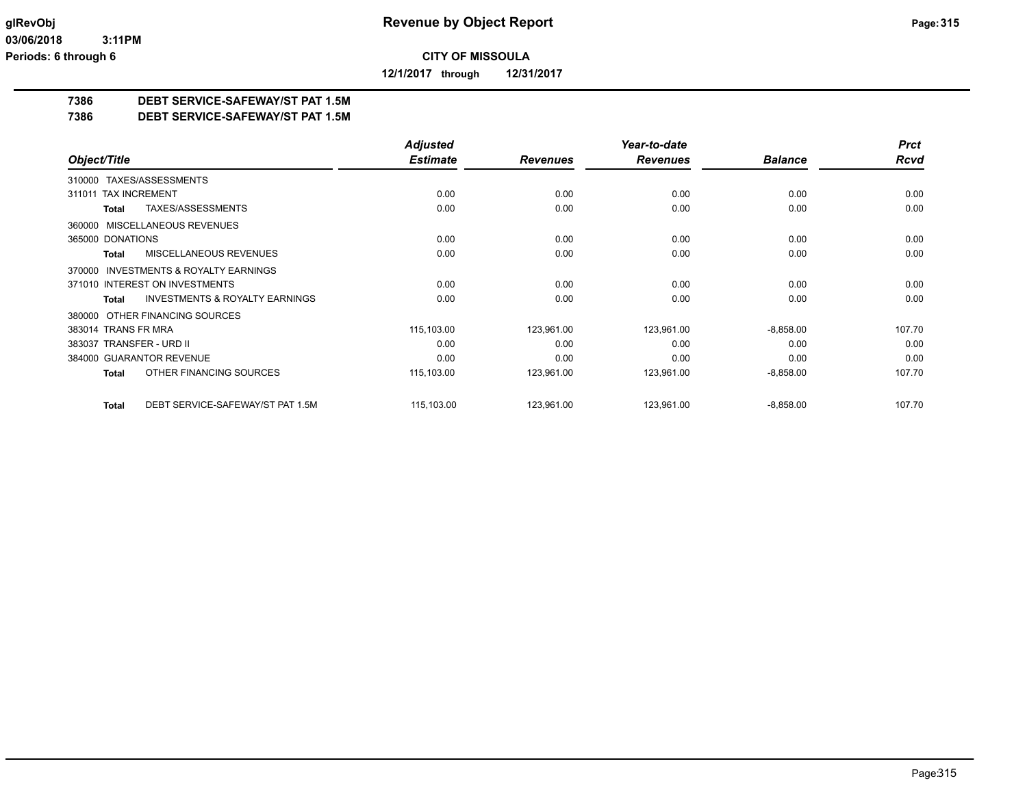**12/1/2017 through 12/31/2017**

## **7386 DEBT SERVICE-SAFEWAY/ST PAT 1.5M**

**7386 DEBT SERVICE-SAFEWAY/ST PAT 1.5M**

|                                                           | <b>Adjusted</b> |                 | Year-to-date    |                | <b>Prct</b> |
|-----------------------------------------------------------|-----------------|-----------------|-----------------|----------------|-------------|
| Object/Title                                              | <b>Estimate</b> | <b>Revenues</b> | <b>Revenues</b> | <b>Balance</b> | <b>Rcvd</b> |
| TAXES/ASSESSMENTS<br>310000                               |                 |                 |                 |                |             |
| 311011 TAX INCREMENT                                      | 0.00            | 0.00            | 0.00            | 0.00           | 0.00        |
| TAXES/ASSESSMENTS<br><b>Total</b>                         | 0.00            | 0.00            | 0.00            | 0.00           | 0.00        |
| MISCELLANEOUS REVENUES<br>360000                          |                 |                 |                 |                |             |
| 365000 DONATIONS                                          | 0.00            | 0.00            | 0.00            | 0.00           | 0.00        |
| <b>MISCELLANEOUS REVENUES</b><br><b>Total</b>             | 0.00            | 0.00            | 0.00            | 0.00           | 0.00        |
| <b>INVESTMENTS &amp; ROYALTY EARNINGS</b><br>370000       |                 |                 |                 |                |             |
| 371010 INTEREST ON INVESTMENTS                            | 0.00            | 0.00            | 0.00            | 0.00           | 0.00        |
| <b>INVESTMENTS &amp; ROYALTY EARNINGS</b><br><b>Total</b> | 0.00            | 0.00            | 0.00            | 0.00           | 0.00        |
| OTHER FINANCING SOURCES<br>380000                         |                 |                 |                 |                |             |
| 383014 TRANS FR MRA                                       | 115,103.00      | 123,961.00      | 123,961.00      | $-8,858.00$    | 107.70      |
| 383037 TRANSFER - URD II                                  | 0.00            | 0.00            | 0.00            | 0.00           | 0.00        |
| 384000 GUARANTOR REVENUE                                  | 0.00            | 0.00            | 0.00            | 0.00           | 0.00        |
| OTHER FINANCING SOURCES<br><b>Total</b>                   | 115,103.00      | 123,961.00      | 123,961.00      | $-8,858.00$    | 107.70      |
| DEBT SERVICE-SAFEWAY/ST PAT 1.5M<br><b>Total</b>          | 115,103.00      | 123,961.00      | 123,961.00      | $-8,858.00$    | 107.70      |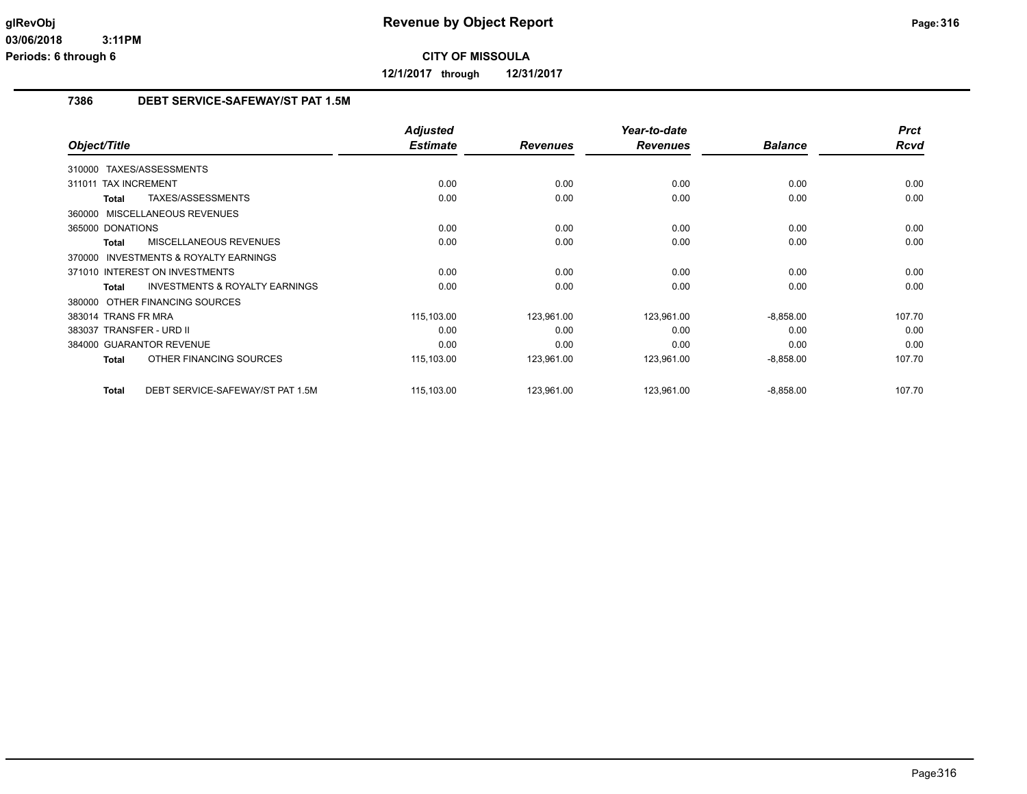**12/1/2017 through 12/31/2017**

### **7386 DEBT SERVICE-SAFEWAY/ST PAT 1.5M**

|                                                    | <b>Adjusted</b> |                 | Year-to-date    |                | <b>Prct</b> |
|----------------------------------------------------|-----------------|-----------------|-----------------|----------------|-------------|
| Object/Title                                       | <b>Estimate</b> | <b>Revenues</b> | <b>Revenues</b> | <b>Balance</b> | <b>Rcvd</b> |
| 310000 TAXES/ASSESSMENTS                           |                 |                 |                 |                |             |
| <b>TAX INCREMENT</b><br>311011                     | 0.00            | 0.00            | 0.00            | 0.00           | 0.00        |
| TAXES/ASSESSMENTS<br>Total                         | 0.00            | 0.00            | 0.00            | 0.00           | 0.00        |
| 360000 MISCELLANEOUS REVENUES                      |                 |                 |                 |                |             |
| 365000 DONATIONS                                   | 0.00            | 0.00            | 0.00            | 0.00           | 0.00        |
| MISCELLANEOUS REVENUES<br><b>Total</b>             | 0.00            | 0.00            | 0.00            | 0.00           | 0.00        |
| 370000 INVESTMENTS & ROYALTY EARNINGS              |                 |                 |                 |                |             |
| 371010 INTEREST ON INVESTMENTS                     | 0.00            | 0.00            | 0.00            | 0.00           | 0.00        |
| <b>INVESTMENTS &amp; ROYALTY EARNINGS</b><br>Total | 0.00            | 0.00            | 0.00            | 0.00           | 0.00        |
| 380000 OTHER FINANCING SOURCES                     |                 |                 |                 |                |             |
| 383014 TRANS FR MRA                                | 115,103.00      | 123,961.00      | 123,961.00      | $-8,858.00$    | 107.70      |
| 383037 TRANSFER - URD II                           | 0.00            | 0.00            | 0.00            | 0.00           | 0.00        |
| 384000 GUARANTOR REVENUE                           | 0.00            | 0.00            | 0.00            | 0.00           | 0.00        |
| OTHER FINANCING SOURCES<br><b>Total</b>            | 115,103.00      | 123,961.00      | 123,961.00      | $-8,858.00$    | 107.70      |
| DEBT SERVICE-SAFEWAY/ST PAT 1.5M<br><b>Total</b>   | 115,103.00      | 123,961.00      | 123,961.00      | $-8,858.00$    | 107.70      |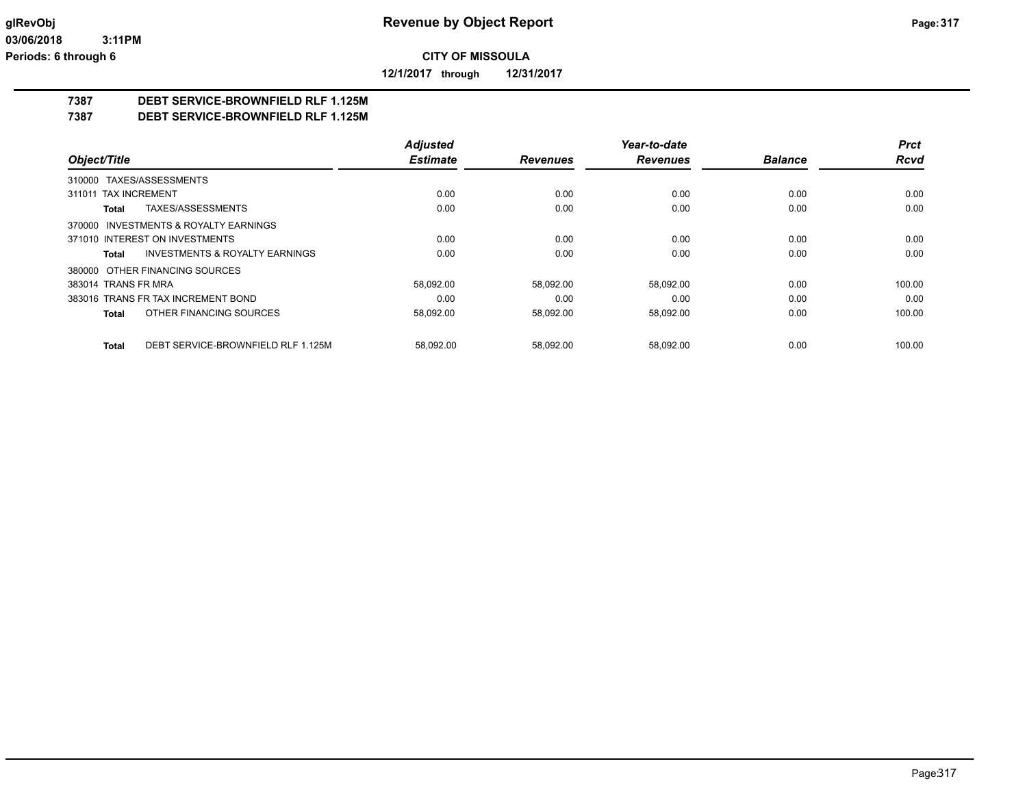**12/1/2017 through 12/31/2017**

## **7387 DEBT SERVICE-BROWNFIELD RLF 1.125M**

**7387 DEBT SERVICE-BROWNFIELD RLF 1.125M**

|                                                    | <b>Adjusted</b> |                 | Year-to-date    |                | <b>Prct</b> |
|----------------------------------------------------|-----------------|-----------------|-----------------|----------------|-------------|
| Object/Title                                       | <b>Estimate</b> | <b>Revenues</b> | <b>Revenues</b> | <b>Balance</b> | <b>Rcvd</b> |
| 310000 TAXES/ASSESSMENTS                           |                 |                 |                 |                |             |
| 311011 TAX INCREMENT                               | 0.00            | 0.00            | 0.00            | 0.00           | 0.00        |
| TAXES/ASSESSMENTS<br>Total                         | 0.00            | 0.00            | 0.00            | 0.00           | 0.00        |
| 370000 INVESTMENTS & ROYALTY EARNINGS              |                 |                 |                 |                |             |
| 371010 INTEREST ON INVESTMENTS                     | 0.00            | 0.00            | 0.00            | 0.00           | 0.00        |
| <b>INVESTMENTS &amp; ROYALTY EARNINGS</b><br>Total | 0.00            | 0.00            | 0.00            | 0.00           | 0.00        |
| 380000 OTHER FINANCING SOURCES                     |                 |                 |                 |                |             |
| 383014 TRANS FR MRA                                | 58,092.00       | 58.092.00       | 58.092.00       | 0.00           | 100.00      |
| 383016 TRANS FR TAX INCREMENT BOND                 | 0.00            | 0.00            | 0.00            | 0.00           | 0.00        |
| OTHER FINANCING SOURCES<br>Total                   | 58,092.00       | 58,092.00       | 58,092.00       | 0.00           | 100.00      |
| DEBT SERVICE-BROWNFIELD RLF 1.125M<br>Total        | 58.092.00       | 58.092.00       | 58.092.00       | 0.00           | 100.00      |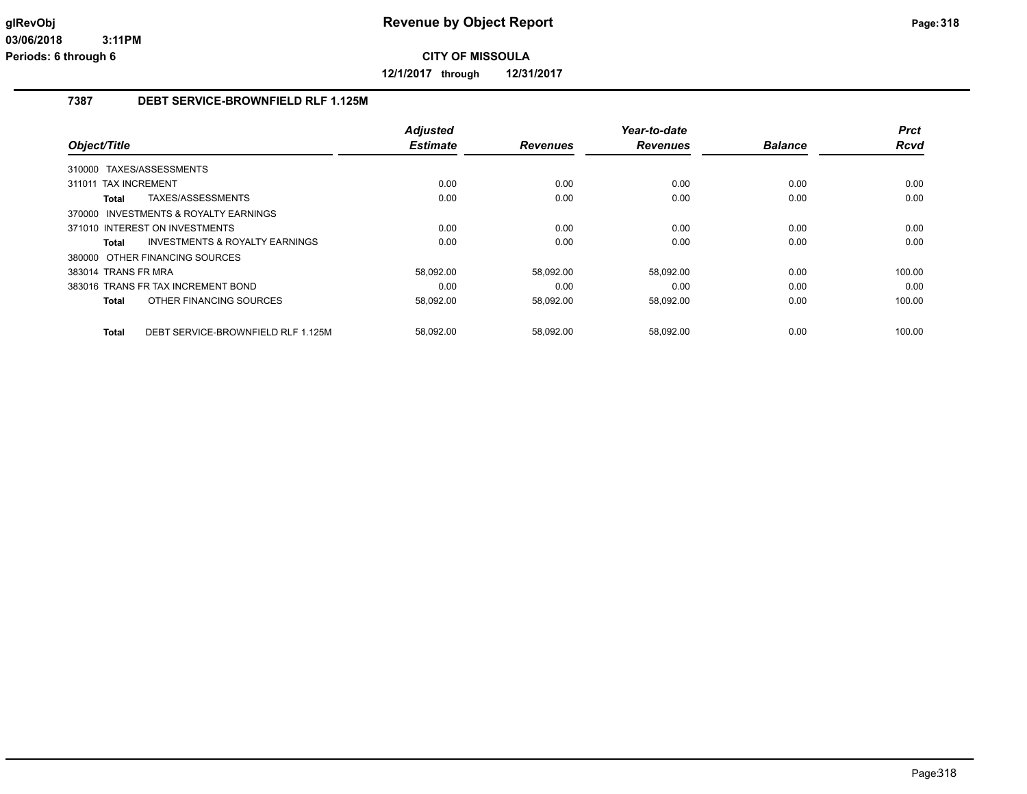**12/1/2017 through 12/31/2017**

## **7387 DEBT SERVICE-BROWNFIELD RLF 1.125M**

|                                                    | <b>Adjusted</b> |                 | Year-to-date    |                | <b>Prct</b> |
|----------------------------------------------------|-----------------|-----------------|-----------------|----------------|-------------|
| Object/Title                                       | <b>Estimate</b> | <b>Revenues</b> | <b>Revenues</b> | <b>Balance</b> | Rcvd        |
| 310000 TAXES/ASSESSMENTS                           |                 |                 |                 |                |             |
| <b>TAX INCREMENT</b><br>311011                     | 0.00            | 0.00            | 0.00            | 0.00           | 0.00        |
| TAXES/ASSESSMENTS<br>Total                         | 0.00            | 0.00            | 0.00            | 0.00           | 0.00        |
| 370000 INVESTMENTS & ROYALTY EARNINGS              |                 |                 |                 |                |             |
| 371010 INTEREST ON INVESTMENTS                     | 0.00            | 0.00            | 0.00            | 0.00           | 0.00        |
| <b>INVESTMENTS &amp; ROYALTY EARNINGS</b><br>Total | 0.00            | 0.00            | 0.00            | 0.00           | 0.00        |
| 380000 OTHER FINANCING SOURCES                     |                 |                 |                 |                |             |
| 383014 TRANS FR MRA                                | 58.092.00       | 58.092.00       | 58.092.00       | 0.00           | 100.00      |
| 383016 TRANS FR TAX INCREMENT BOND                 | 0.00            | 0.00            | 0.00            | 0.00           | 0.00        |
| OTHER FINANCING SOURCES<br>Total                   | 58,092.00       | 58,092.00       | 58,092.00       | 0.00           | 100.00      |
|                                                    |                 |                 |                 |                |             |
| DEBT SERVICE-BROWNFIELD RLF 1.125M<br><b>Total</b> | 58,092.00       | 58.092.00       | 58.092.00       | 0.00           | 100.00      |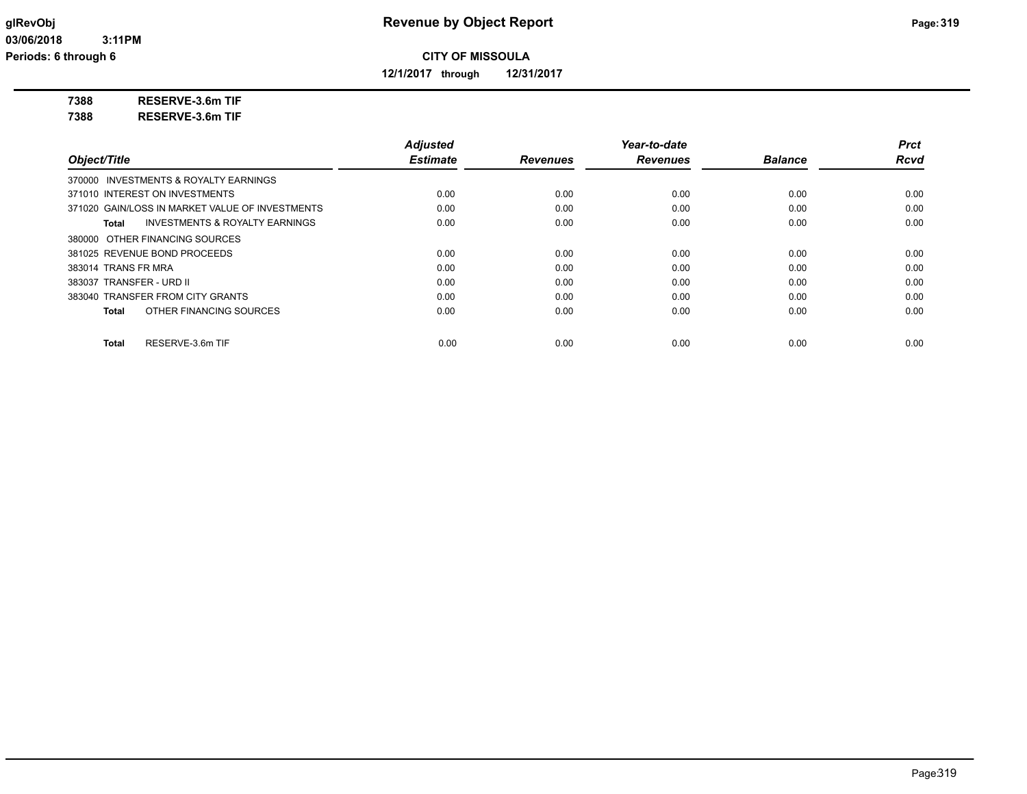**12/1/2017 through 12/31/2017**

**7388 RESERVE-3.6m TIF**

**7388 RESERVE-3.6m TIF**

|                                                    | <b>Adjusted</b> |                 | Year-to-date    |                | <b>Prct</b> |
|----------------------------------------------------|-----------------|-----------------|-----------------|----------------|-------------|
| Object/Title                                       | <b>Estimate</b> | <b>Revenues</b> | <b>Revenues</b> | <b>Balance</b> | <b>Rcvd</b> |
| 370000 INVESTMENTS & ROYALTY EARNINGS              |                 |                 |                 |                |             |
| 371010 INTEREST ON INVESTMENTS                     | 0.00            | 0.00            | 0.00            | 0.00           | 0.00        |
| 371020 GAIN/LOSS IN MARKET VALUE OF INVESTMENTS    | 0.00            | 0.00            | 0.00            | 0.00           | 0.00        |
| <b>INVESTMENTS &amp; ROYALTY EARNINGS</b><br>Total | 0.00            | 0.00            | 0.00            | 0.00           | 0.00        |
| 380000 OTHER FINANCING SOURCES                     |                 |                 |                 |                |             |
| 381025 REVENUE BOND PROCEEDS                       | 0.00            | 0.00            | 0.00            | 0.00           | 0.00        |
| 383014 TRANS FR MRA                                | 0.00            | 0.00            | 0.00            | 0.00           | 0.00        |
| 383037 TRANSFER - URD II                           | 0.00            | 0.00            | 0.00            | 0.00           | 0.00        |
| 383040 TRANSFER FROM CITY GRANTS                   | 0.00            | 0.00            | 0.00            | 0.00           | 0.00        |
| OTHER FINANCING SOURCES<br>Total                   | 0.00            | 0.00            | 0.00            | 0.00           | 0.00        |
| RESERVE-3.6m TIF<br>Total                          | 0.00            | 0.00            | 0.00            | 0.00           | 0.00        |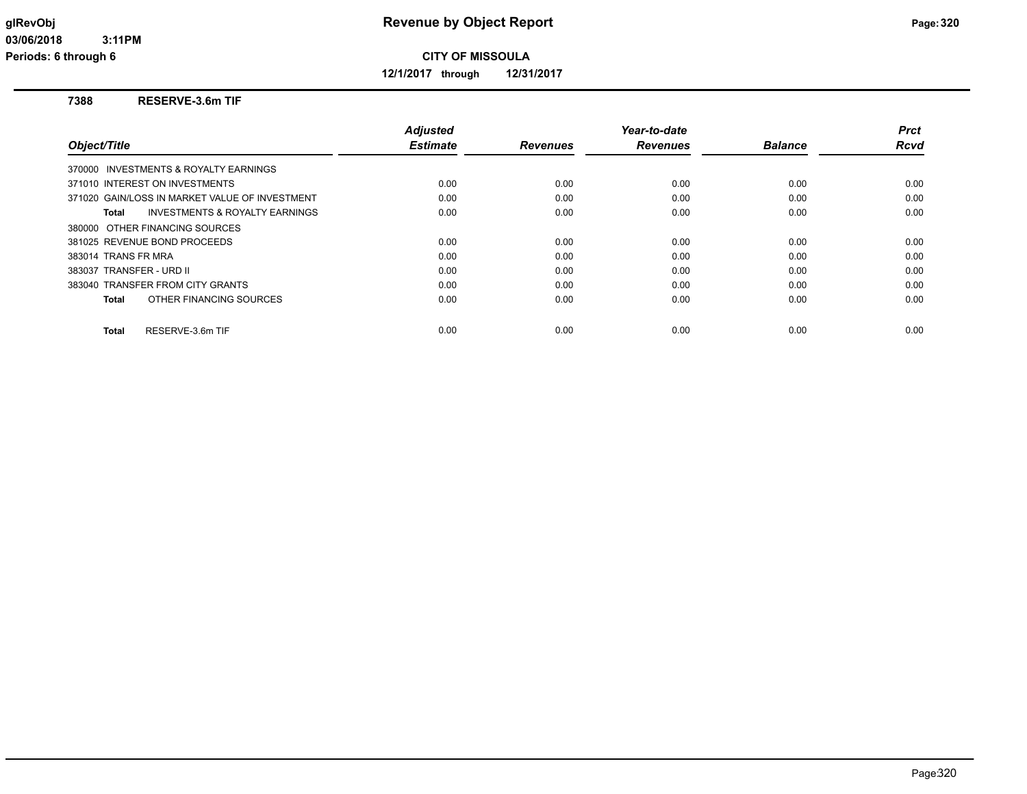**12/1/2017 through 12/31/2017**

### **7388 RESERVE-3.6m TIF**

| Object/Title                                       | <b>Adjusted</b><br><b>Estimate</b> | <b>Revenues</b> | Year-to-date<br><b>Revenues</b> | <b>Balance</b> | Prct<br><b>Rcvd</b> |
|----------------------------------------------------|------------------------------------|-----------------|---------------------------------|----------------|---------------------|
|                                                    |                                    |                 |                                 |                |                     |
| 370000 INVESTMENTS & ROYALTY EARNINGS              |                                    |                 |                                 |                |                     |
| 371010 INTEREST ON INVESTMENTS                     | 0.00                               | 0.00            | 0.00                            | 0.00           | 0.00                |
| 371020 GAIN/LOSS IN MARKET VALUE OF INVESTMENT     | 0.00                               | 0.00            | 0.00                            | 0.00           | 0.00                |
| <b>INVESTMENTS &amp; ROYALTY EARNINGS</b><br>Total | 0.00                               | 0.00            | 0.00                            | 0.00           | 0.00                |
| 380000 OTHER FINANCING SOURCES                     |                                    |                 |                                 |                |                     |
| 381025 REVENUE BOND PROCEEDS                       | 0.00                               | 0.00            | 0.00                            | 0.00           | 0.00                |
| 383014 TRANS FR MRA                                | 0.00                               | 0.00            | 0.00                            | 0.00           | 0.00                |
| 383037 TRANSFER - URD II                           | 0.00                               | 0.00            | 0.00                            | 0.00           | 0.00                |
| 383040 TRANSFER FROM CITY GRANTS                   | 0.00                               | 0.00            | 0.00                            | 0.00           | 0.00                |
| OTHER FINANCING SOURCES<br>Total                   | 0.00                               | 0.00            | 0.00                            | 0.00           | 0.00                |
| RESERVE-3.6m TIF<br><b>Total</b>                   | 0.00                               | 0.00            | 0.00                            | 0.00           | 0.00                |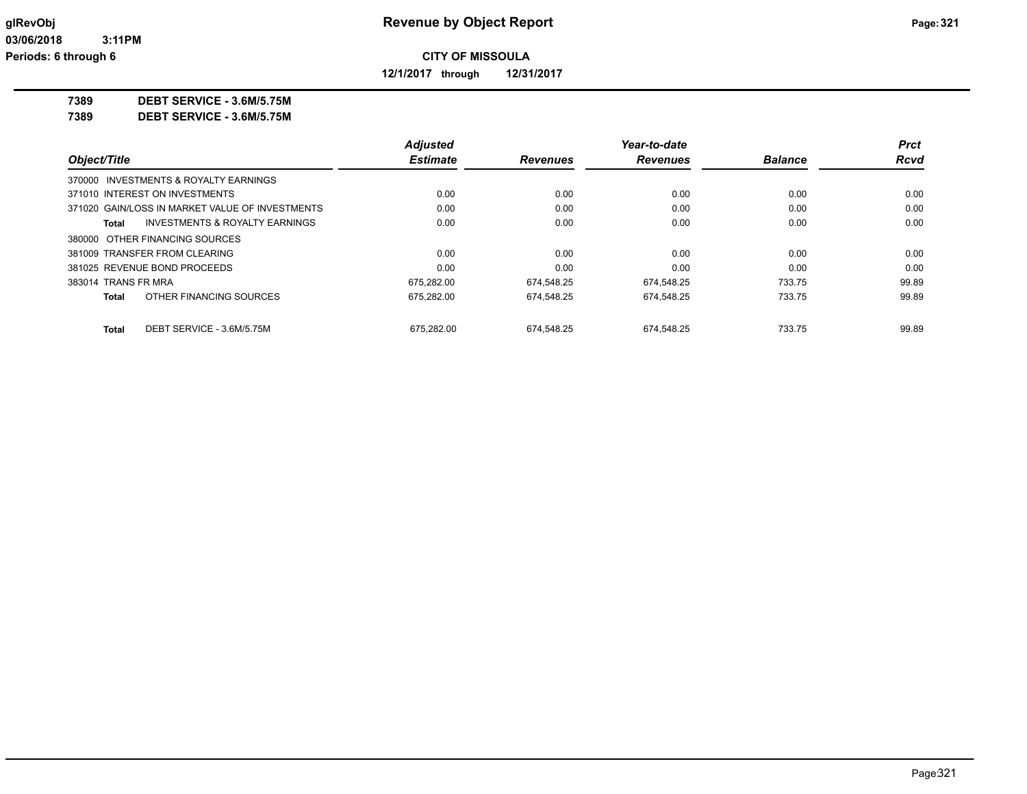**12/1/2017 through 12/31/2017**

**7389 DEBT SERVICE - 3.6M/5.75M**

**7389 DEBT SERVICE - 3.6M/5.75M**

|                                                    | <b>Adjusted</b> |                 | Year-to-date    |                | <b>Prct</b> |
|----------------------------------------------------|-----------------|-----------------|-----------------|----------------|-------------|
| Object/Title                                       | <b>Estimate</b> | <b>Revenues</b> | <b>Revenues</b> | <b>Balance</b> | <b>Rcvd</b> |
| 370000 INVESTMENTS & ROYALTY EARNINGS              |                 |                 |                 |                |             |
| 371010 INTEREST ON INVESTMENTS                     | 0.00            | 0.00            | 0.00            | 0.00           | 0.00        |
| 371020 GAIN/LOSS IN MARKET VALUE OF INVESTMENTS    | 0.00            | 0.00            | 0.00            | 0.00           | 0.00        |
| <b>INVESTMENTS &amp; ROYALTY EARNINGS</b><br>Total | 0.00            | 0.00            | 0.00            | 0.00           | 0.00        |
| 380000 OTHER FINANCING SOURCES                     |                 |                 |                 |                |             |
| 381009 TRANSFER FROM CLEARING                      | 0.00            | 0.00            | 0.00            | 0.00           | 0.00        |
| 381025 REVENUE BOND PROCEEDS                       | 0.00            | 0.00            | 0.00            | 0.00           | 0.00        |
| 383014 TRANS FR MRA                                | 675.282.00      | 674.548.25      | 674.548.25      | 733.75         | 99.89       |
| OTHER FINANCING SOURCES<br>Total                   | 675.282.00      | 674.548.25      | 674,548.25      | 733.75         | 99.89       |
| DEBT SERVICE - 3.6M/5.75M<br>Total                 | 675.282.00      | 674.548.25      | 674.548.25      | 733.75         | 99.89       |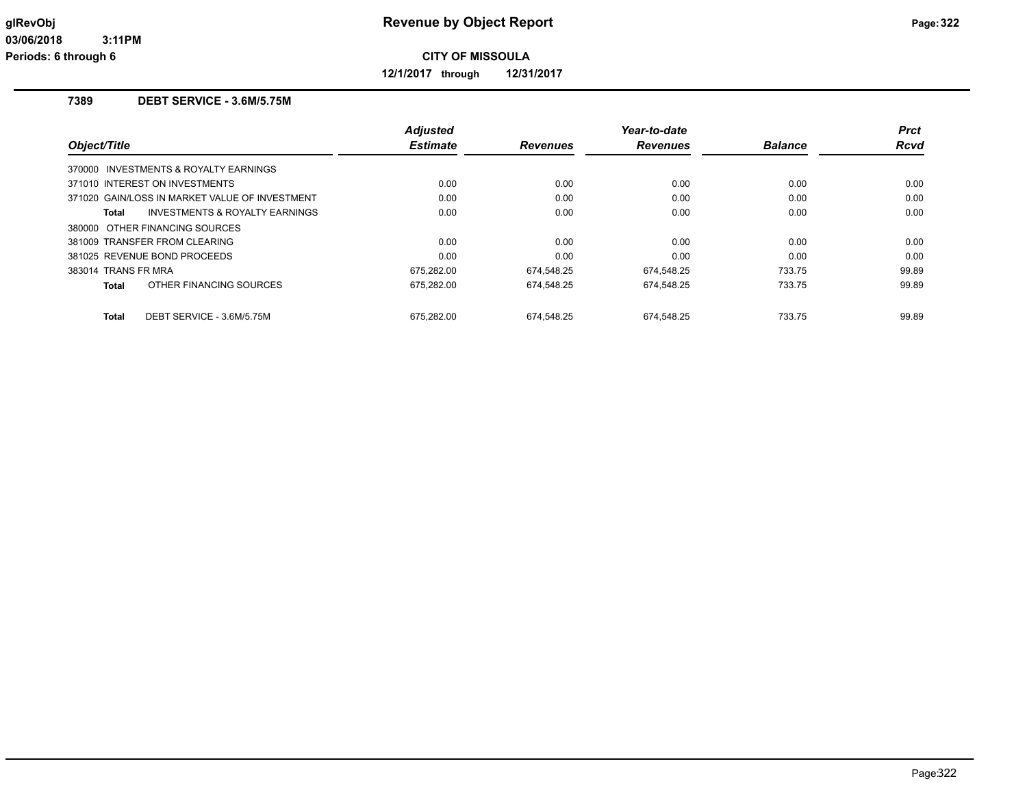**12/1/2017 through 12/31/2017**

### **7389 DEBT SERVICE - 3.6M/5.75M**

| Object/Title                                       | <b>Adjusted</b><br><b>Estimate</b> | <b>Revenues</b> | Year-to-date<br><b>Revenues</b> | <b>Balance</b> | <b>Prct</b><br>Rcvd |
|----------------------------------------------------|------------------------------------|-----------------|---------------------------------|----------------|---------------------|
| 370000 INVESTMENTS & ROYALTY EARNINGS              |                                    |                 |                                 |                |                     |
| 371010 INTEREST ON INVESTMENTS                     | 0.00                               | 0.00            | 0.00                            | 0.00           | 0.00                |
| 371020 GAIN/LOSS IN MARKET VALUE OF INVESTMENT     | 0.00                               | 0.00            | 0.00                            | 0.00           | 0.00                |
| <b>INVESTMENTS &amp; ROYALTY EARNINGS</b><br>Total | 0.00                               | 0.00            | 0.00                            | 0.00           | 0.00                |
| 380000 OTHER FINANCING SOURCES                     |                                    |                 |                                 |                |                     |
| 381009 TRANSFER FROM CLEARING                      | 0.00                               | 0.00            | 0.00                            | 0.00           | 0.00                |
| 381025 REVENUE BOND PROCEEDS                       | 0.00                               | 0.00            | 0.00                            | 0.00           | 0.00                |
| 383014 TRANS FR MRA                                | 675.282.00                         | 674.548.25      | 674.548.25                      | 733.75         | 99.89               |
| OTHER FINANCING SOURCES<br>Total                   | 675,282.00                         | 674,548.25      | 674,548.25                      | 733.75         | 99.89               |
| DEBT SERVICE - 3.6M/5.75M<br>Total                 | 675.282.00                         | 674.548.25      | 674.548.25                      | 733.75         | 99.89               |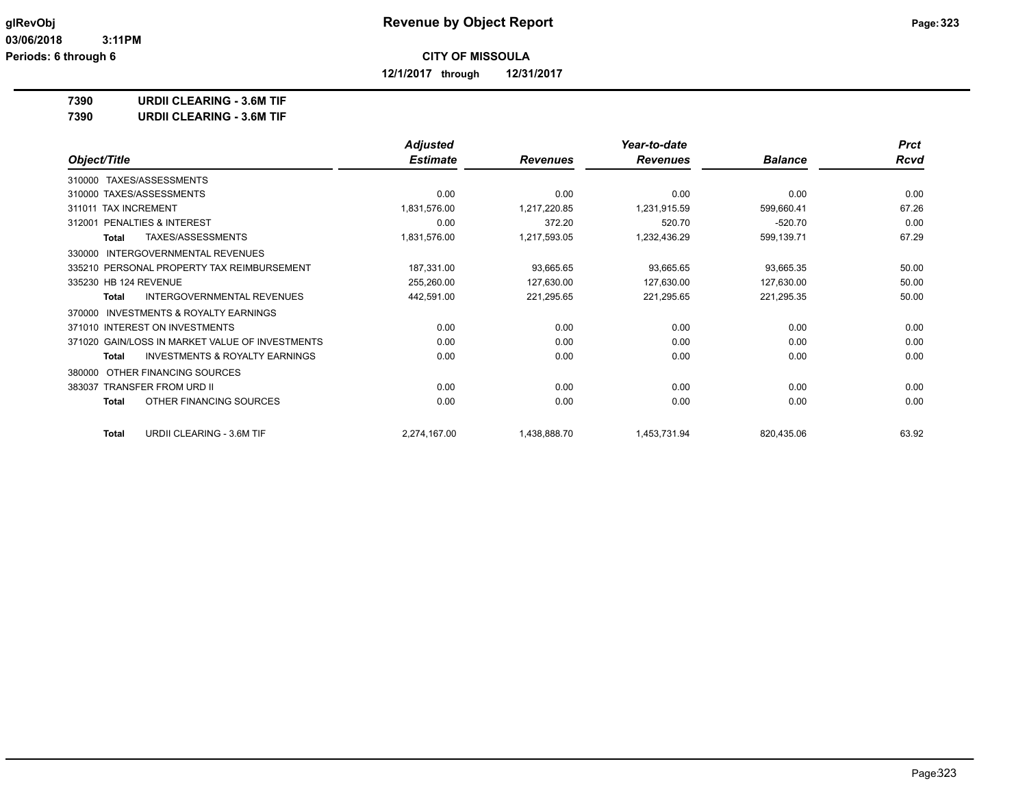**12/1/2017 through 12/31/2017**

**7390 URDII CLEARING - 3.6M TIF**

**7390 URDII CLEARING - 3.6M TIF**

|                                                           | <b>Adjusted</b> |                 | Year-to-date    |                | <b>Prct</b> |
|-----------------------------------------------------------|-----------------|-----------------|-----------------|----------------|-------------|
| Object/Title                                              | <b>Estimate</b> | <b>Revenues</b> | <b>Revenues</b> | <b>Balance</b> | Rcvd        |
| TAXES/ASSESSMENTS<br>310000                               |                 |                 |                 |                |             |
| TAXES/ASSESSMENTS<br>310000                               | 0.00            | 0.00            | 0.00            | 0.00           | 0.00        |
| 311011 TAX INCREMENT                                      | 1,831,576.00    | 1,217,220.85    | 1,231,915.59    | 599,660.41     | 67.26       |
| PENALTIES & INTEREST<br>312001                            | 0.00            | 372.20          | 520.70          | $-520.70$      | 0.00        |
| TAXES/ASSESSMENTS<br>Total                                | 1,831,576.00    | 1,217,593.05    | 1,232,436.29    | 599,139.71     | 67.29       |
| <b>INTERGOVERNMENTAL REVENUES</b><br>330000               |                 |                 |                 |                |             |
| 335210 PERSONAL PROPERTY TAX REIMBURSEMENT                | 187,331.00      | 93,665.65       | 93,665.65       | 93,665.35      | 50.00       |
| 335230 HB 124 REVENUE                                     | 255,260.00      | 127,630.00      | 127,630.00      | 127,630.00     | 50.00       |
| INTERGOVERNMENTAL REVENUES<br>Total                       | 442,591.00      | 221,295.65      | 221,295.65      | 221,295.35     | 50.00       |
| <b>INVESTMENTS &amp; ROYALTY EARNINGS</b><br>370000       |                 |                 |                 |                |             |
| 371010 INTEREST ON INVESTMENTS                            | 0.00            | 0.00            | 0.00            | 0.00           | 0.00        |
| 371020 GAIN/LOSS IN MARKET VALUE OF INVESTMENTS           | 0.00            | 0.00            | 0.00            | 0.00           | 0.00        |
| <b>INVESTMENTS &amp; ROYALTY EARNINGS</b><br><b>Total</b> | 0.00            | 0.00            | 0.00            | 0.00           | 0.00        |
| OTHER FINANCING SOURCES<br>380000                         |                 |                 |                 |                |             |
| 383037 TRANSFER FROM URD II                               | 0.00            | 0.00            | 0.00            | 0.00           | 0.00        |
| OTHER FINANCING SOURCES<br><b>Total</b>                   | 0.00            | 0.00            | 0.00            | 0.00           | 0.00        |
| URDII CLEARING - 3.6M TIF<br>Total                        | 2,274,167.00    | 1,438,888.70    | 1,453,731.94    | 820,435.06     | 63.92       |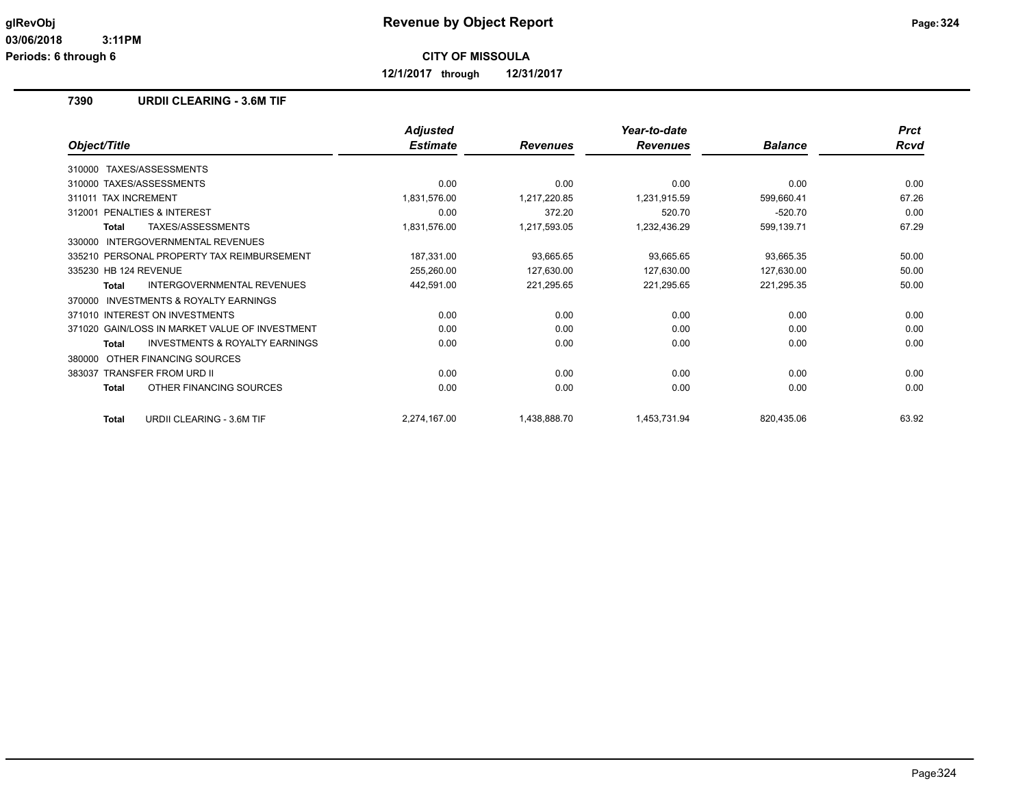**12/1/2017 through 12/31/2017**

### **7390 URDII CLEARING - 3.6M TIF**

|                                                    | <b>Adjusted</b> |                 | Year-to-date    |                | <b>Prct</b> |
|----------------------------------------------------|-----------------|-----------------|-----------------|----------------|-------------|
| Object/Title                                       | <b>Estimate</b> | <b>Revenues</b> | <b>Revenues</b> | <b>Balance</b> | Rcvd        |
| TAXES/ASSESSMENTS<br>310000                        |                 |                 |                 |                |             |
| 310000 TAXES/ASSESSMENTS                           | 0.00            | 0.00            | 0.00            | 0.00           | 0.00        |
| <b>TAX INCREMENT</b><br>311011                     | 1,831,576.00    | 1,217,220.85    | 1,231,915.59    | 599,660.41     | 67.26       |
| PENALTIES & INTEREST<br>312001                     | 0.00            | 372.20          | 520.70          | $-520.70$      | 0.00        |
| TAXES/ASSESSMENTS<br><b>Total</b>                  | 1,831,576.00    | 1,217,593.05    | 1,232,436.29    | 599,139.71     | 67.29       |
| <b>INTERGOVERNMENTAL REVENUES</b><br>330000        |                 |                 |                 |                |             |
| 335210 PERSONAL PROPERTY TAX REIMBURSEMENT         | 187,331.00      | 93,665.65       | 93,665.65       | 93,665.35      | 50.00       |
| 335230 HB 124 REVENUE                              | 255,260.00      | 127,630.00      | 127,630.00      | 127,630.00     | 50.00       |
| INTERGOVERNMENTAL REVENUES<br><b>Total</b>         | 442,591.00      | 221,295.65      | 221,295.65      | 221,295.35     | 50.00       |
| INVESTMENTS & ROYALTY EARNINGS<br>370000           |                 |                 |                 |                |             |
| 371010 INTEREST ON INVESTMENTS                     | 0.00            | 0.00            | 0.00            | 0.00           | 0.00        |
| 371020 GAIN/LOSS IN MARKET VALUE OF INVESTMENT     | 0.00            | 0.00            | 0.00            | 0.00           | 0.00        |
| <b>INVESTMENTS &amp; ROYALTY EARNINGS</b><br>Total | 0.00            | 0.00            | 0.00            | 0.00           | 0.00        |
| OTHER FINANCING SOURCES<br>380000                  |                 |                 |                 |                |             |
| <b>TRANSFER FROM URD II</b><br>383037              | 0.00            | 0.00            | 0.00            | 0.00           | 0.00        |
| OTHER FINANCING SOURCES<br><b>Total</b>            | 0.00            | 0.00            | 0.00            | 0.00           | 0.00        |
| URDII CLEARING - 3.6M TIF<br><b>Total</b>          | 2,274,167.00    | 1,438,888.70    | 1,453,731.94    | 820,435.06     | 63.92       |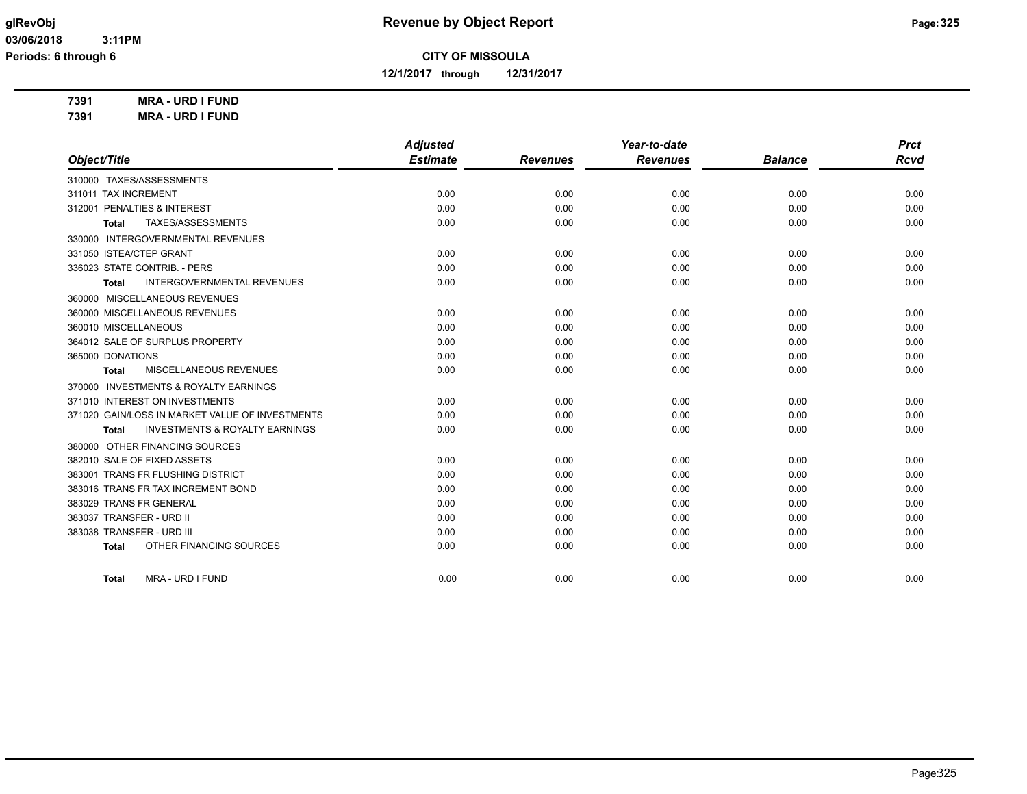**12/1/2017 through 12/31/2017**

**7391 MRA - URD I FUND**

**7391 MRA - URD I FUND**

|                                                    | <b>Adjusted</b> |                 | Year-to-date    |                | <b>Prct</b> |
|----------------------------------------------------|-----------------|-----------------|-----------------|----------------|-------------|
| Object/Title                                       | <b>Estimate</b> | <b>Revenues</b> | <b>Revenues</b> | <b>Balance</b> | <b>Rcvd</b> |
| 310000 TAXES/ASSESSMENTS                           |                 |                 |                 |                |             |
| 311011 TAX INCREMENT                               | 0.00            | 0.00            | 0.00            | 0.00           | 0.00        |
| 312001 PENALTIES & INTEREST                        | 0.00            | 0.00            | 0.00            | 0.00           | 0.00        |
| TAXES/ASSESSMENTS<br><b>Total</b>                  | 0.00            | 0.00            | 0.00            | 0.00           | 0.00        |
| 330000 INTERGOVERNMENTAL REVENUES                  |                 |                 |                 |                |             |
| 331050 ISTEA/CTEP GRANT                            | 0.00            | 0.00            | 0.00            | 0.00           | 0.00        |
| 336023 STATE CONTRIB. - PERS                       | 0.00            | 0.00            | 0.00            | 0.00           | 0.00        |
| INTERGOVERNMENTAL REVENUES<br>Total                | 0.00            | 0.00            | 0.00            | 0.00           | 0.00        |
| 360000 MISCELLANEOUS REVENUES                      |                 |                 |                 |                |             |
| 360000 MISCELLANEOUS REVENUES                      | 0.00            | 0.00            | 0.00            | 0.00           | 0.00        |
| 360010 MISCELLANEOUS                               | 0.00            | 0.00            | 0.00            | 0.00           | 0.00        |
| 364012 SALE OF SURPLUS PROPERTY                    | 0.00            | 0.00            | 0.00            | 0.00           | 0.00        |
| 365000 DONATIONS                                   | 0.00            | 0.00            | 0.00            | 0.00           | 0.00        |
| MISCELLANEOUS REVENUES<br><b>Total</b>             | 0.00            | 0.00            | 0.00            | 0.00           | 0.00        |
| 370000 INVESTMENTS & ROYALTY EARNINGS              |                 |                 |                 |                |             |
| 371010 INTEREST ON INVESTMENTS                     | 0.00            | 0.00            | 0.00            | 0.00           | 0.00        |
| 371020 GAIN/LOSS IN MARKET VALUE OF INVESTMENTS    | 0.00            | 0.00            | 0.00            | 0.00           | 0.00        |
| <b>INVESTMENTS &amp; ROYALTY EARNINGS</b><br>Total | 0.00            | 0.00            | 0.00            | 0.00           | 0.00        |
| 380000 OTHER FINANCING SOURCES                     |                 |                 |                 |                |             |
| 382010 SALE OF FIXED ASSETS                        | 0.00            | 0.00            | 0.00            | 0.00           | 0.00        |
| 383001 TRANS FR FLUSHING DISTRICT                  | 0.00            | 0.00            | 0.00            | 0.00           | 0.00        |
| 383016 TRANS FR TAX INCREMENT BOND                 | 0.00            | 0.00            | 0.00            | 0.00           | 0.00        |
| 383029 TRANS FR GENERAL                            | 0.00            | 0.00            | 0.00            | 0.00           | 0.00        |
| 383037 TRANSFER - URD II                           | 0.00            | 0.00            | 0.00            | 0.00           | 0.00        |
| 383038 TRANSFER - URD III                          | 0.00            | 0.00            | 0.00            | 0.00           | 0.00        |
| OTHER FINANCING SOURCES<br><b>Total</b>            | 0.00            | 0.00            | 0.00            | 0.00           | 0.00        |
| MRA - URD I FUND<br><b>Total</b>                   | 0.00            | 0.00            | 0.00            | 0.00           | 0.00        |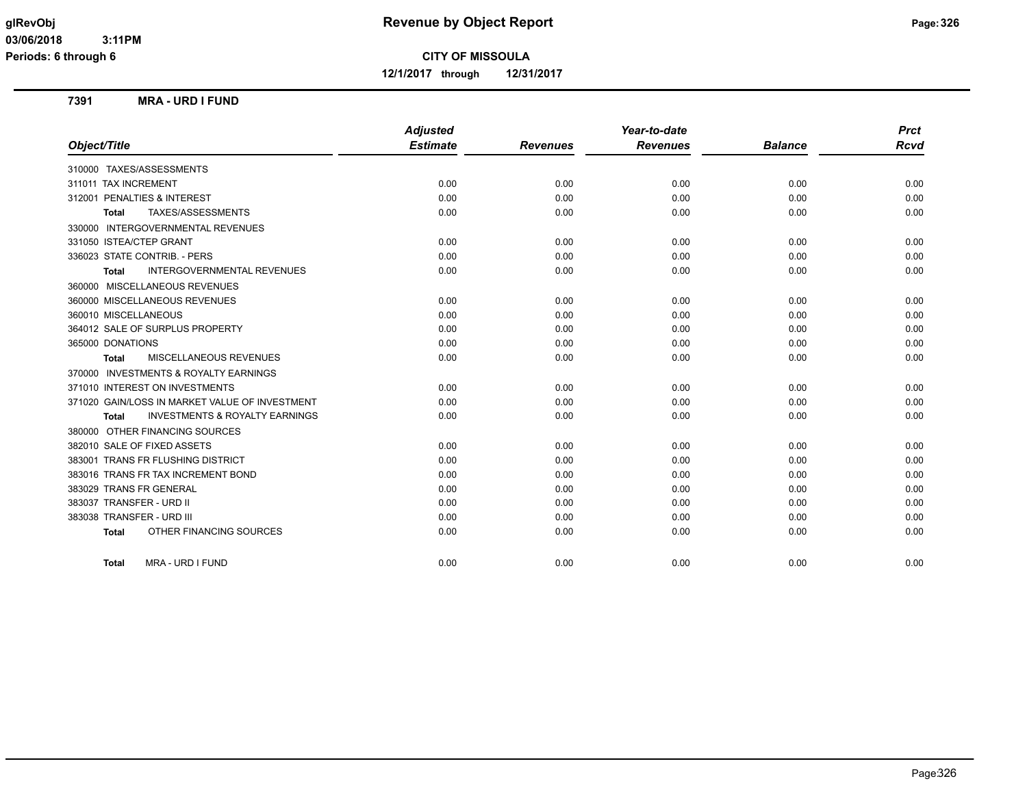**12/1/2017 through 12/31/2017**

#### **7391 MRA - URD I FUND**

|                                                           | <b>Adjusted</b> |                 | Year-to-date    |                | <b>Prct</b> |
|-----------------------------------------------------------|-----------------|-----------------|-----------------|----------------|-------------|
| Object/Title                                              | <b>Estimate</b> | <b>Revenues</b> | <b>Revenues</b> | <b>Balance</b> | <b>Rcvd</b> |
| 310000 TAXES/ASSESSMENTS                                  |                 |                 |                 |                |             |
| 311011 TAX INCREMENT                                      | 0.00            | 0.00            | 0.00            | 0.00           | 0.00        |
| 312001 PENALTIES & INTEREST                               | 0.00            | 0.00            | 0.00            | 0.00           | 0.00        |
| TAXES/ASSESSMENTS<br><b>Total</b>                         | 0.00            | 0.00            | 0.00            | 0.00           | 0.00        |
| 330000 INTERGOVERNMENTAL REVENUES                         |                 |                 |                 |                |             |
| 331050 ISTEA/CTEP GRANT                                   | 0.00            | 0.00            | 0.00            | 0.00           | 0.00        |
| 336023 STATE CONTRIB. - PERS                              | 0.00            | 0.00            | 0.00            | 0.00           | 0.00        |
| <b>INTERGOVERNMENTAL REVENUES</b><br><b>Total</b>         | 0.00            | 0.00            | 0.00            | 0.00           | 0.00        |
| 360000 MISCELLANEOUS REVENUES                             |                 |                 |                 |                |             |
| 360000 MISCELLANEOUS REVENUES                             | 0.00            | 0.00            | 0.00            | 0.00           | 0.00        |
| 360010 MISCELLANEOUS                                      | 0.00            | 0.00            | 0.00            | 0.00           | 0.00        |
| 364012 SALE OF SURPLUS PROPERTY                           | 0.00            | 0.00            | 0.00            | 0.00           | 0.00        |
| 365000 DONATIONS                                          | 0.00            | 0.00            | 0.00            | 0.00           | 0.00        |
| <b>MISCELLANEOUS REVENUES</b><br><b>Total</b>             | 0.00            | 0.00            | 0.00            | 0.00           | 0.00        |
| 370000 INVESTMENTS & ROYALTY EARNINGS                     |                 |                 |                 |                |             |
| 371010 INTEREST ON INVESTMENTS                            | 0.00            | 0.00            | 0.00            | 0.00           | 0.00        |
| 371020 GAIN/LOSS IN MARKET VALUE OF INVESTMENT            | 0.00            | 0.00            | 0.00            | 0.00           | 0.00        |
| <b>INVESTMENTS &amp; ROYALTY EARNINGS</b><br><b>Total</b> | 0.00            | 0.00            | 0.00            | 0.00           | 0.00        |
| 380000 OTHER FINANCING SOURCES                            |                 |                 |                 |                |             |
| 382010 SALE OF FIXED ASSETS                               | 0.00            | 0.00            | 0.00            | 0.00           | 0.00        |
| 383001 TRANS FR FLUSHING DISTRICT                         | 0.00            | 0.00            | 0.00            | 0.00           | 0.00        |
| 383016 TRANS FR TAX INCREMENT BOND                        | 0.00            | 0.00            | 0.00            | 0.00           | 0.00        |
| 383029 TRANS FR GENERAL                                   | 0.00            | 0.00            | 0.00            | 0.00           | 0.00        |
| 383037 TRANSFER - URD II                                  | 0.00            | 0.00            | 0.00            | 0.00           | 0.00        |
| 383038 TRANSFER - URD III                                 | 0.00            | 0.00            | 0.00            | 0.00           | 0.00        |
| OTHER FINANCING SOURCES<br><b>Total</b>                   | 0.00            | 0.00            | 0.00            | 0.00           | 0.00        |
| MRA - URD I FUND<br><b>Total</b>                          | 0.00            | 0.00            | 0.00            | 0.00           | 0.00        |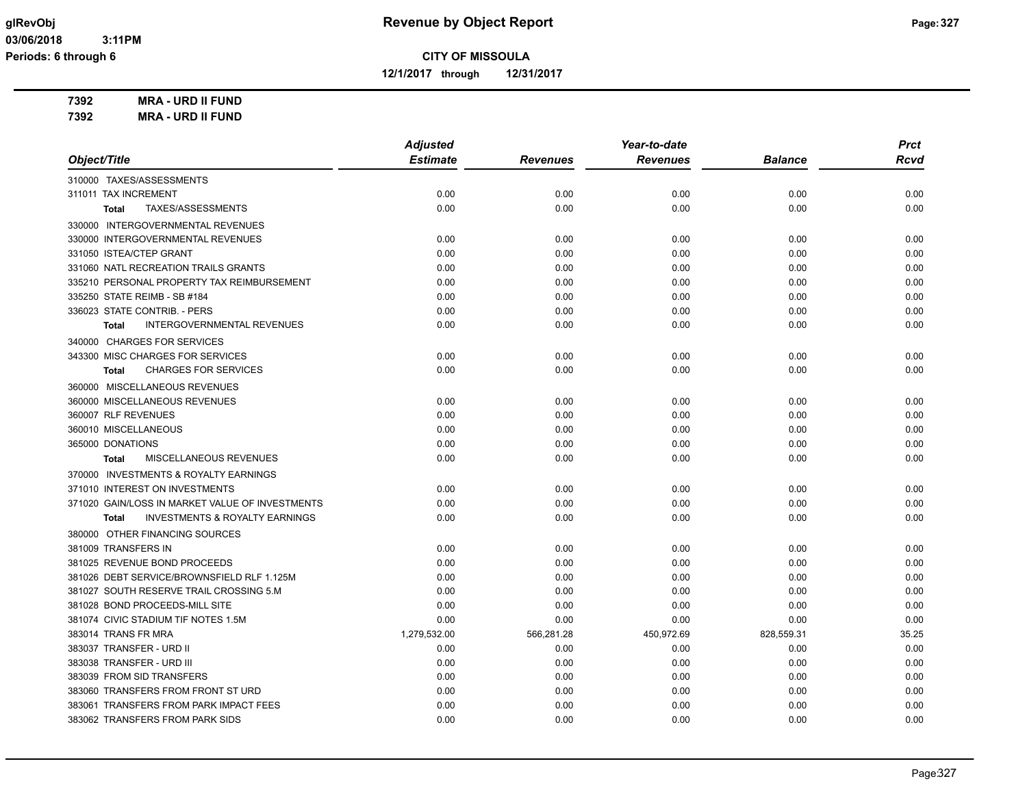**12/1/2017 through 12/31/2017**

**7392 MRA - URD II FUND 7392 MRA - URD II FUND**

|                                                           | <b>Adjusted</b> |                 | Year-to-date    |                | <b>Prct</b> |
|-----------------------------------------------------------|-----------------|-----------------|-----------------|----------------|-------------|
| Object/Title                                              | <b>Estimate</b> | <b>Revenues</b> | <b>Revenues</b> | <b>Balance</b> | Rcvd        |
| 310000 TAXES/ASSESSMENTS                                  |                 |                 |                 |                |             |
| 311011 TAX INCREMENT                                      | 0.00            | 0.00            | 0.00            | 0.00           | 0.00        |
| TAXES/ASSESSMENTS<br><b>Total</b>                         | 0.00            | 0.00            | 0.00            | 0.00           | 0.00        |
| 330000 INTERGOVERNMENTAL REVENUES                         |                 |                 |                 |                |             |
| 330000 INTERGOVERNMENTAL REVENUES                         | 0.00            | 0.00            | 0.00            | 0.00           | 0.00        |
| 331050 ISTEA/CTEP GRANT                                   | 0.00            | 0.00            | 0.00            | 0.00           | 0.00        |
| 331060 NATL RECREATION TRAILS GRANTS                      | 0.00            | 0.00            | 0.00            | 0.00           | 0.00        |
| 335210 PERSONAL PROPERTY TAX REIMBURSEMENT                | 0.00            | 0.00            | 0.00            | 0.00           | 0.00        |
| 335250 STATE REIMB - SB #184                              | 0.00            | 0.00            | 0.00            | 0.00           | 0.00        |
| 336023 STATE CONTRIB. - PERS                              | 0.00            | 0.00            | 0.00            | 0.00           | 0.00        |
| <b>INTERGOVERNMENTAL REVENUES</b><br><b>Total</b>         | 0.00            | 0.00            | 0.00            | 0.00           | 0.00        |
| 340000 CHARGES FOR SERVICES                               |                 |                 |                 |                |             |
| 343300 MISC CHARGES FOR SERVICES                          | 0.00            | 0.00            | 0.00            | 0.00           | 0.00        |
| <b>CHARGES FOR SERVICES</b><br><b>Total</b>               | 0.00            | 0.00            | 0.00            | 0.00           | 0.00        |
| 360000 MISCELLANEOUS REVENUES                             |                 |                 |                 |                |             |
| 360000 MISCELLANEOUS REVENUES                             | 0.00            | 0.00            | 0.00            | 0.00           | 0.00        |
| 360007 RLF REVENUES                                       | 0.00            | 0.00            | 0.00            | 0.00           | 0.00        |
| 360010 MISCELLANEOUS                                      | 0.00            | 0.00            | 0.00            | 0.00           | 0.00        |
| 365000 DONATIONS                                          | 0.00            | 0.00            | 0.00            | 0.00           | 0.00        |
| MISCELLANEOUS REVENUES<br><b>Total</b>                    | 0.00            | 0.00            | 0.00            | 0.00           | 0.00        |
| 370000 INVESTMENTS & ROYALTY EARNINGS                     |                 |                 |                 |                |             |
| 371010 INTEREST ON INVESTMENTS                            | 0.00            | 0.00            | 0.00            | 0.00           | 0.00        |
| 371020 GAIN/LOSS IN MARKET VALUE OF INVESTMENTS           | 0.00            | 0.00            | 0.00            | 0.00           | 0.00        |
| <b>INVESTMENTS &amp; ROYALTY EARNINGS</b><br><b>Total</b> | 0.00            | 0.00            | 0.00            | 0.00           | 0.00        |
| 380000 OTHER FINANCING SOURCES                            |                 |                 |                 |                |             |
| 381009 TRANSFERS IN                                       | 0.00            | 0.00            | 0.00            | 0.00           | 0.00        |
| 381025 REVENUE BOND PROCEEDS                              | 0.00            | 0.00            | 0.00            | 0.00           | 0.00        |
| 381026 DEBT SERVICE/BROWNSFIELD RLF 1.125M                | 0.00            | 0.00            | 0.00            | 0.00           | 0.00        |
| 381027 SOUTH RESERVE TRAIL CROSSING 5.M                   | 0.00            | 0.00            | 0.00            | 0.00           | 0.00        |
| 381028 BOND PROCEEDS-MILL SITE                            | 0.00            | 0.00            | 0.00            | 0.00           | 0.00        |
| 381074 CIVIC STADIUM TIF NOTES 1.5M                       | 0.00            | 0.00            | 0.00            | 0.00           | 0.00        |
| 383014 TRANS FR MRA                                       | 1,279,532.00    | 566,281.28      | 450,972.69      | 828,559.31     | 35.25       |
| 383037 TRANSFER - URD II                                  | 0.00            | 0.00            | 0.00            | 0.00           | 0.00        |
| 383038 TRANSFER - URD III                                 | 0.00            | 0.00            | 0.00            | 0.00           | 0.00        |
| 383039 FROM SID TRANSFERS                                 | 0.00            | 0.00            | 0.00            | 0.00           | 0.00        |
| 383060 TRANSFERS FROM FRONT ST URD                        | 0.00            | 0.00            | 0.00            | 0.00           | 0.00        |
| 383061 TRANSFERS FROM PARK IMPACT FEES                    | 0.00            | 0.00            | 0.00            | 0.00           | 0.00        |
| 383062 TRANSFERS FROM PARK SIDS                           | 0.00            | 0.00            | 0.00            | 0.00           | 0.00        |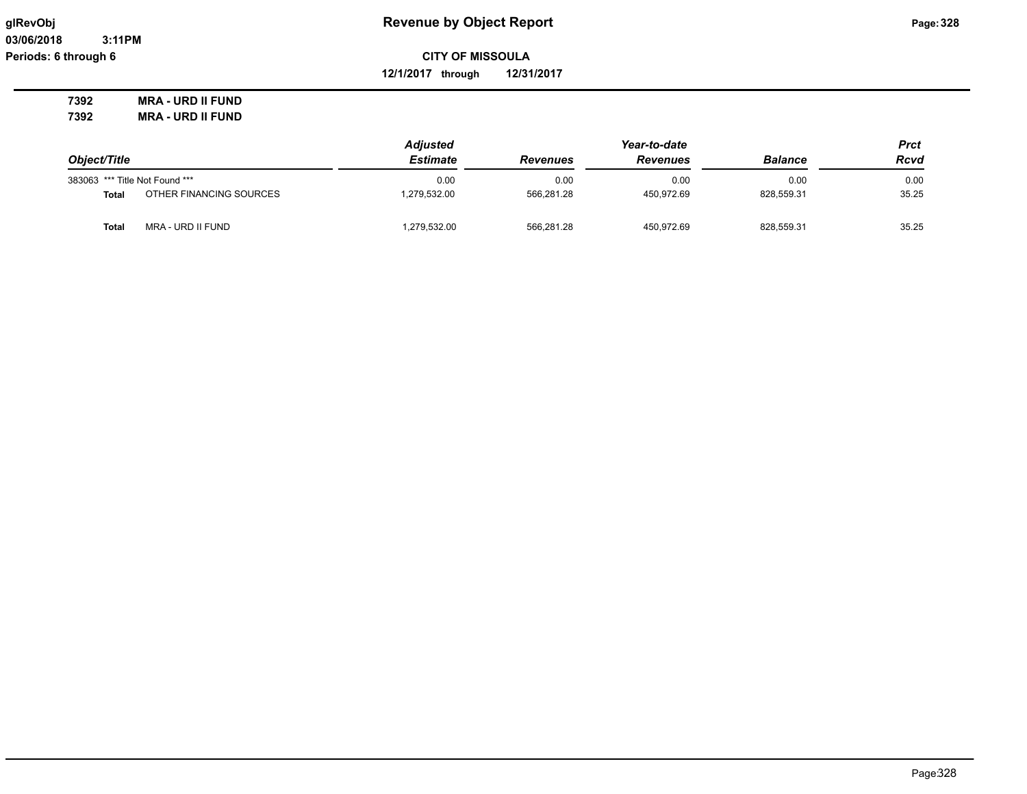**03/06/2018 3:11PM Periods: 6 through 6**

## **glRevObj Revenue by Object Report Page:328**

**CITY OF MISSOULA**

**12/1/2017 through 12/31/2017**

**7392 MRA - URD II FUND 7392 MRA - URD II FUND**

|                                   | <b>Adjusted</b> |                 | <b>Prct</b>     |                |       |
|-----------------------------------|-----------------|-----------------|-----------------|----------------|-------|
| Object/Title                      | <b>Estimate</b> | <b>Revenues</b> | <b>Revenues</b> | <b>Balance</b> | Rcvd  |
| 383063 *** Title Not Found ***    | 0.00            | 0.00            | 0.00            | 0.00           | 0.00  |
| OTHER FINANCING SOURCES<br>Total  | 1.279.532.00    | 566.281.28      | 450.972.69      | 828,559.31     | 35.25 |
| MRA - URD II FUND<br><b>Total</b> | 1,279,532.00    | 566,281.28      | 450.972.69      | 828,559.31     | 35.25 |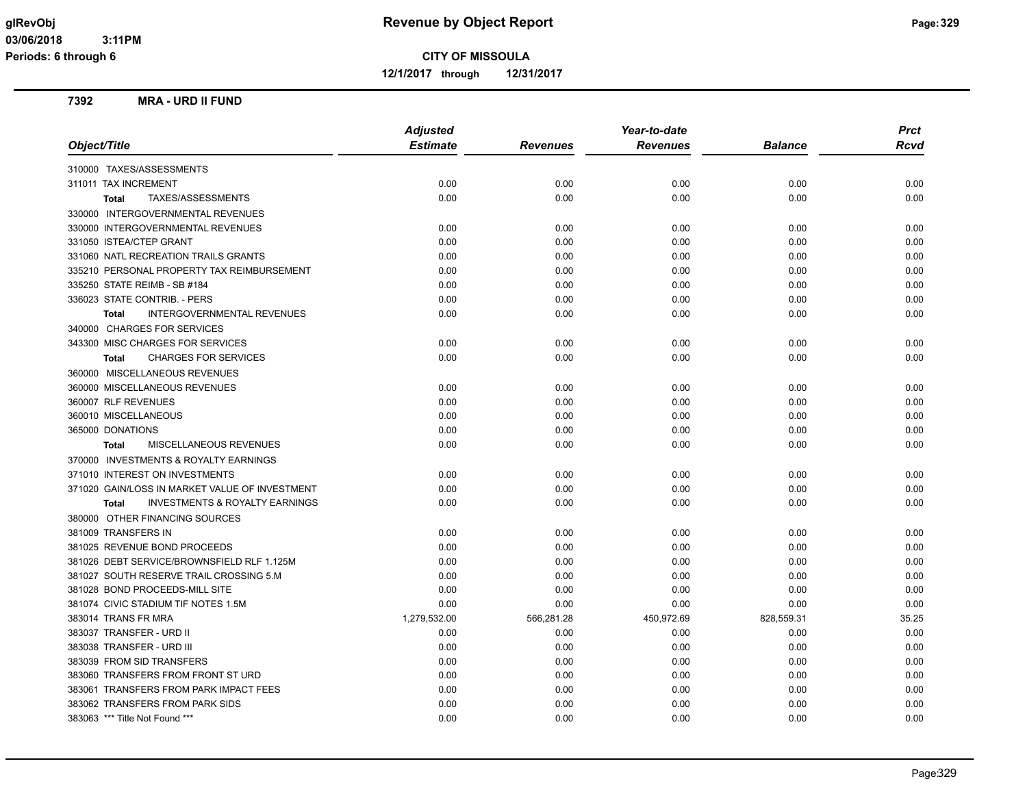**12/1/2017 through 12/31/2017**

#### **7392 MRA - URD II FUND**

|                                                           | <b>Adjusted</b> |                 | Year-to-date    |                | <b>Prct</b> |
|-----------------------------------------------------------|-----------------|-----------------|-----------------|----------------|-------------|
| Object/Title                                              | <b>Estimate</b> | <b>Revenues</b> | <b>Revenues</b> | <b>Balance</b> | <b>Rcvd</b> |
| 310000 TAXES/ASSESSMENTS                                  |                 |                 |                 |                |             |
| 311011 TAX INCREMENT                                      | 0.00            | 0.00            | 0.00            | 0.00           | 0.00        |
| TAXES/ASSESSMENTS<br><b>Total</b>                         | 0.00            | 0.00            | 0.00            | 0.00           | 0.00        |
| 330000 INTERGOVERNMENTAL REVENUES                         |                 |                 |                 |                |             |
| 330000 INTERGOVERNMENTAL REVENUES                         | 0.00            | 0.00            | 0.00            | 0.00           | 0.00        |
| 331050 ISTEA/CTEP GRANT                                   | 0.00            | 0.00            | 0.00            | 0.00           | 0.00        |
| 331060 NATL RECREATION TRAILS GRANTS                      | 0.00            | 0.00            | 0.00            | 0.00           | 0.00        |
| 335210 PERSONAL PROPERTY TAX REIMBURSEMENT                | 0.00            | 0.00            | 0.00            | 0.00           | 0.00        |
| 335250 STATE REIMB - SB #184                              | 0.00            | 0.00            | 0.00            | 0.00           | 0.00        |
| 336023 STATE CONTRIB. - PERS                              | 0.00            | 0.00            | 0.00            | 0.00           | 0.00        |
| INTERGOVERNMENTAL REVENUES<br><b>Total</b>                | 0.00            | 0.00            | 0.00            | 0.00           | 0.00        |
| 340000 CHARGES FOR SERVICES                               |                 |                 |                 |                |             |
| 343300 MISC CHARGES FOR SERVICES                          | 0.00            | 0.00            | 0.00            | 0.00           | 0.00        |
| <b>CHARGES FOR SERVICES</b><br><b>Total</b>               | 0.00            | 0.00            | 0.00            | 0.00           | 0.00        |
| 360000 MISCELLANEOUS REVENUES                             |                 |                 |                 |                |             |
| 360000 MISCELLANEOUS REVENUES                             | 0.00            | 0.00            | 0.00            | 0.00           | 0.00        |
| 360007 RLF REVENUES                                       | 0.00            | 0.00            | 0.00            | 0.00           | 0.00        |
| 360010 MISCELLANEOUS                                      | 0.00            | 0.00            | 0.00            | 0.00           | 0.00        |
| 365000 DONATIONS                                          | 0.00            | 0.00            | 0.00            | 0.00           | 0.00        |
| MISCELLANEOUS REVENUES<br><b>Total</b>                    | 0.00            | 0.00            | 0.00            | 0.00           | 0.00        |
| 370000 INVESTMENTS & ROYALTY EARNINGS                     |                 |                 |                 |                |             |
| 371010 INTEREST ON INVESTMENTS                            | 0.00            | 0.00            | 0.00            | 0.00           | 0.00        |
| 371020 GAIN/LOSS IN MARKET VALUE OF INVESTMENT            | 0.00            | 0.00            | 0.00            | 0.00           | 0.00        |
| <b>INVESTMENTS &amp; ROYALTY EARNINGS</b><br><b>Total</b> | 0.00            | 0.00            | 0.00            | 0.00           | 0.00        |
| 380000 OTHER FINANCING SOURCES                            |                 |                 |                 |                |             |
| 381009 TRANSFERS IN                                       | 0.00            | 0.00            | 0.00            | 0.00           | 0.00        |
| 381025 REVENUE BOND PROCEEDS                              | 0.00            | 0.00            | 0.00            | 0.00           | 0.00        |
| 381026 DEBT SERVICE/BROWNSFIELD RLF 1.125M                | 0.00            | 0.00            | 0.00            | 0.00           | 0.00        |
| 381027 SOUTH RESERVE TRAIL CROSSING 5.M                   | 0.00            | 0.00            | 0.00            | 0.00           | 0.00        |
| 381028 BOND PROCEEDS-MILL SITE                            | 0.00            | 0.00            | 0.00            | 0.00           | 0.00        |
| 381074 CIVIC STADIUM TIF NOTES 1.5M                       | 0.00            | 0.00            | 0.00            | 0.00           | 0.00        |
| 383014 TRANS FR MRA                                       | 1,279,532.00    | 566,281.28      | 450,972.69      | 828,559.31     | 35.25       |
| 383037 TRANSFER - URD II                                  | 0.00            | 0.00            | 0.00            | 0.00           | 0.00        |
| 383038 TRANSFER - URD III                                 | 0.00            | 0.00            | 0.00            | 0.00           | 0.00        |
| 383039 FROM SID TRANSFERS                                 | 0.00            | 0.00            | 0.00            | 0.00           | 0.00        |
| 383060 TRANSFERS FROM FRONT ST URD                        | 0.00            | 0.00            | 0.00            | 0.00           | 0.00        |
| 383061 TRANSFERS FROM PARK IMPACT FEES                    | 0.00            | 0.00            | 0.00            | 0.00           | 0.00        |
| 383062 TRANSFERS FROM PARK SIDS                           | 0.00            | 0.00            | 0.00            | 0.00           | 0.00        |
| 383063 *** Title Not Found ***                            | 0.00            | 0.00            | 0.00            | 0.00           | 0.00        |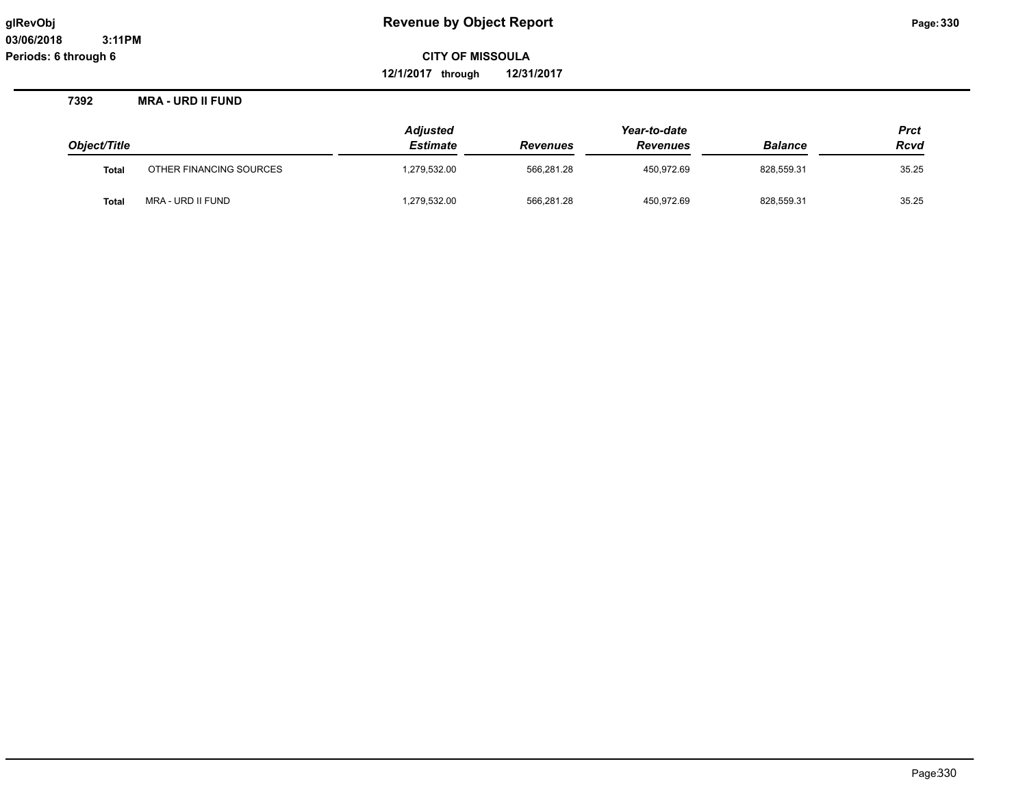**12/1/2017 through 12/31/2017**

**7392 MRA - URD II FUND**

|              |                         | <b>Adjusted</b> |                 | Year-to-date    |                |             |
|--------------|-------------------------|-----------------|-----------------|-----------------|----------------|-------------|
| Object/Title |                         | Estimate        | <b>Revenues</b> | <b>Revenues</b> | <b>Balance</b> | <b>Rcvd</b> |
| <b>Total</b> | OTHER FINANCING SOURCES | 1,279,532.00    | 566.281.28      | 450.972.69      | 828.559.31     | 35.25       |
| Tota         | MRA - URD II FUND       | 1,279,532.00    | 566,281.28      | 450,972.69      | 828,559.31     | 35.25       |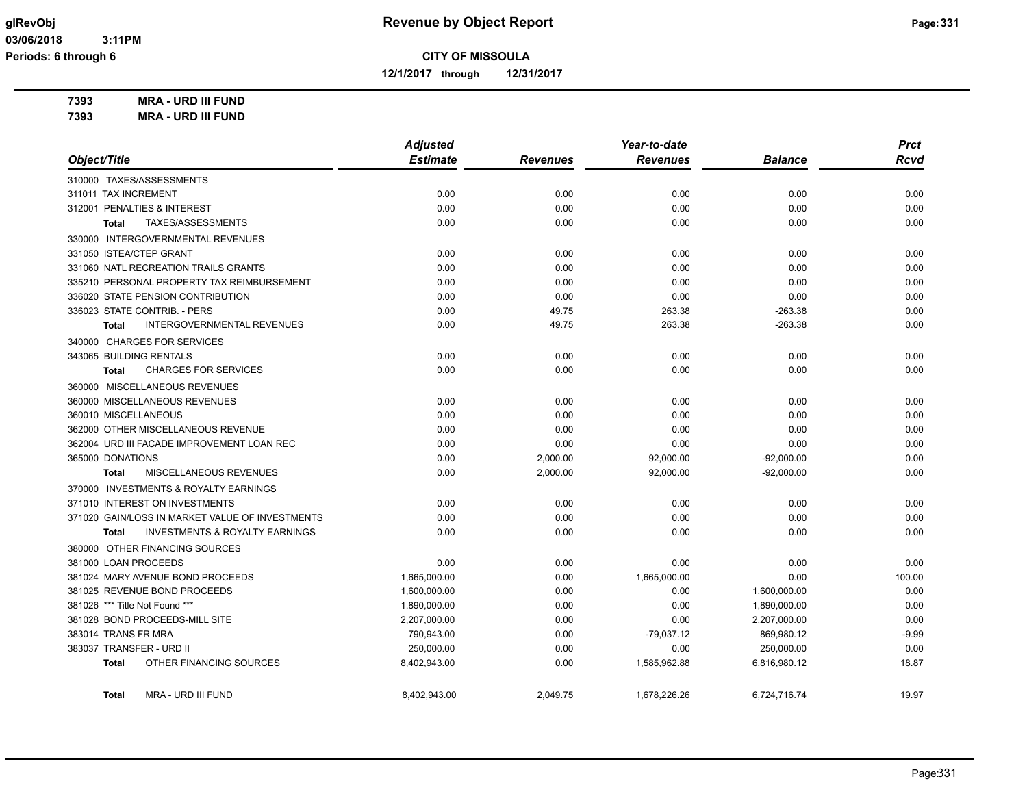**12/1/2017 through 12/31/2017**

**7393 MRA - URD III FUND 7393 MRA - URD III FUND**

|                                                    | <b>Adjusted</b> |                 | Year-to-date    |                | <b>Prct</b> |
|----------------------------------------------------|-----------------|-----------------|-----------------|----------------|-------------|
| Object/Title                                       | <b>Estimate</b> | <b>Revenues</b> | <b>Revenues</b> | <b>Balance</b> | <b>Rcvd</b> |
| 310000 TAXES/ASSESSMENTS                           |                 |                 |                 |                |             |
| 311011 TAX INCREMENT                               | 0.00            | 0.00            | 0.00            | 0.00           | 0.00        |
| 312001 PENALTIES & INTEREST                        | 0.00            | 0.00            | 0.00            | 0.00           | 0.00        |
| TAXES/ASSESSMENTS<br>Total                         | 0.00            | 0.00            | 0.00            | 0.00           | 0.00        |
| 330000 INTERGOVERNMENTAL REVENUES                  |                 |                 |                 |                |             |
| 331050 ISTEA/CTEP GRANT                            | 0.00            | 0.00            | 0.00            | 0.00           | 0.00        |
| 331060 NATL RECREATION TRAILS GRANTS               | 0.00            | 0.00            | 0.00            | 0.00           | 0.00        |
| 335210 PERSONAL PROPERTY TAX REIMBURSEMENT         | 0.00            | 0.00            | 0.00            | 0.00           | 0.00        |
| 336020 STATE PENSION CONTRIBUTION                  | 0.00            | 0.00            | 0.00            | 0.00           | 0.00        |
| 336023 STATE CONTRIB. - PERS                       | 0.00            | 49.75           | 263.38          | $-263.38$      | 0.00        |
| INTERGOVERNMENTAL REVENUES<br><b>Total</b>         | 0.00            | 49.75           | 263.38          | $-263.38$      | 0.00        |
| 340000 CHARGES FOR SERVICES                        |                 |                 |                 |                |             |
| 343065 BUILDING RENTALS                            | 0.00            | 0.00            | 0.00            | 0.00           | 0.00        |
| <b>CHARGES FOR SERVICES</b><br>Total               | 0.00            | 0.00            | 0.00            | 0.00           | 0.00        |
| 360000 MISCELLANEOUS REVENUES                      |                 |                 |                 |                |             |
| 360000 MISCELLANEOUS REVENUES                      | 0.00            | 0.00            | 0.00            | 0.00           | 0.00        |
| 360010 MISCELLANEOUS                               | 0.00            | 0.00            | 0.00            | 0.00           | 0.00        |
| 362000 OTHER MISCELLANEOUS REVENUE                 | 0.00            | 0.00            | 0.00            | 0.00           | 0.00        |
| 362004 URD III FACADE IMPROVEMENT LOAN REC         | 0.00            | 0.00            | 0.00            | 0.00           | 0.00        |
| 365000 DONATIONS                                   | 0.00            | 2,000.00        | 92,000.00       | $-92,000.00$   | 0.00        |
| MISCELLANEOUS REVENUES<br><b>Total</b>             | 0.00            | 2,000.00        | 92,000.00       | $-92,000.00$   | 0.00        |
| 370000 INVESTMENTS & ROYALTY EARNINGS              |                 |                 |                 |                |             |
| 371010 INTEREST ON INVESTMENTS                     | 0.00            | 0.00            | 0.00            | 0.00           | 0.00        |
| 371020 GAIN/LOSS IN MARKET VALUE OF INVESTMENTS    | 0.00            | 0.00            | 0.00            | 0.00           | 0.00        |
| <b>INVESTMENTS &amp; ROYALTY EARNINGS</b><br>Total | 0.00            | 0.00            | 0.00            | 0.00           | 0.00        |
| 380000 OTHER FINANCING SOURCES                     |                 |                 |                 |                |             |
| 381000 LOAN PROCEEDS                               | 0.00            | 0.00            | 0.00            | 0.00           | 0.00        |
| 381024 MARY AVENUE BOND PROCEEDS                   | 1,665,000.00    | 0.00            | 1,665,000.00    | 0.00           | 100.00      |
| 381025 REVENUE BOND PROCEEDS                       | 1,600,000.00    | 0.00            | 0.00            | 1,600,000.00   | 0.00        |
| 381026 *** Title Not Found ***                     | 1,890,000.00    | 0.00            | 0.00            | 1,890,000.00   | 0.00        |
| 381028 BOND PROCEEDS-MILL SITE                     | 2,207,000.00    | 0.00            | 0.00            | 2,207,000.00   | 0.00        |
| 383014 TRANS FR MRA                                | 790,943.00      | 0.00            | $-79,037.12$    | 869,980.12     | $-9.99$     |
| 383037 TRANSFER - URD II                           | 250,000.00      | 0.00            | 0.00            | 250,000.00     | 0.00        |
| OTHER FINANCING SOURCES<br>Total                   | 8,402,943.00    | 0.00            | 1,585,962.88    | 6,816,980.12   | 18.87       |
|                                                    |                 |                 |                 |                |             |

**Total** MRA - URD III FUND 8,402,943.00 2,049.75 1,678,226.26 6,724,716.74 19.97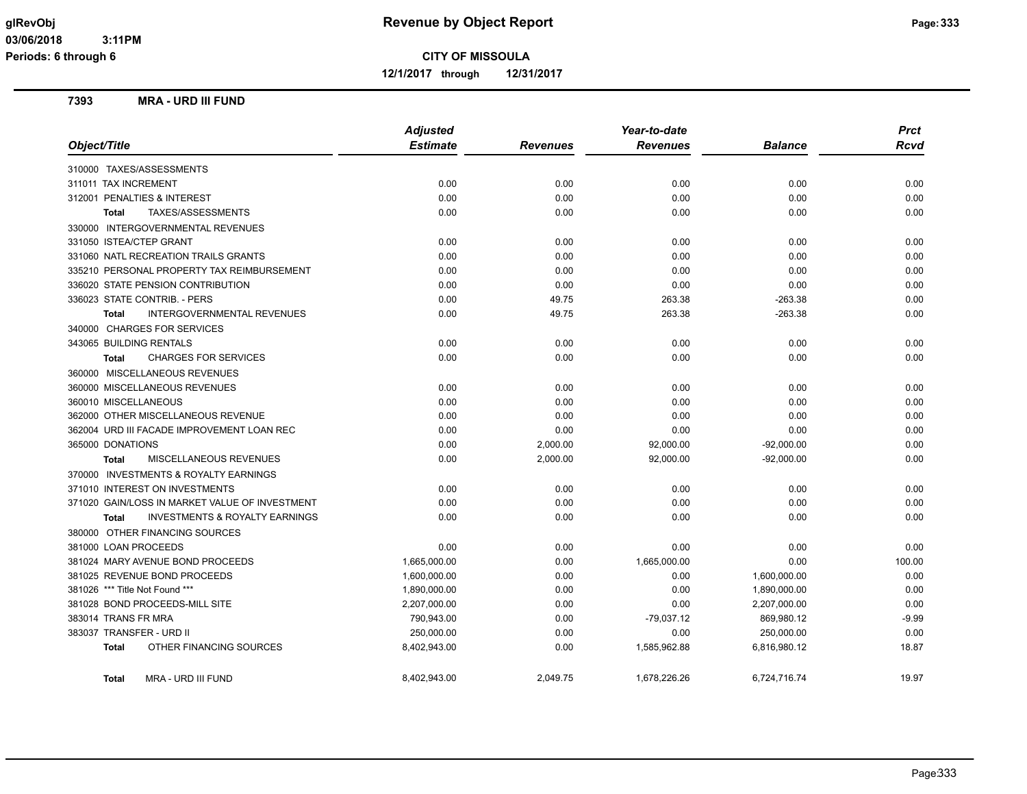**12/1/2017 through 12/31/2017**

#### **7393 MRA - URD III FUND**

|                                                           | <b>Adjusted</b> |                 | Year-to-date    |                | <b>Prct</b> |
|-----------------------------------------------------------|-----------------|-----------------|-----------------|----------------|-------------|
| Object/Title                                              | <b>Estimate</b> | <b>Revenues</b> | <b>Revenues</b> | <b>Balance</b> | <b>Rcvd</b> |
| 310000 TAXES/ASSESSMENTS                                  |                 |                 |                 |                |             |
| 311011 TAX INCREMENT                                      | 0.00            | 0.00            | 0.00            | 0.00           | 0.00        |
| 312001 PENALTIES & INTEREST                               | 0.00            | 0.00            | 0.00            | 0.00           | 0.00        |
| TAXES/ASSESSMENTS<br><b>Total</b>                         | 0.00            | 0.00            | 0.00            | 0.00           | 0.00        |
| 330000 INTERGOVERNMENTAL REVENUES                         |                 |                 |                 |                |             |
| 331050 ISTEA/CTEP GRANT                                   | 0.00            | 0.00            | 0.00            | 0.00           | 0.00        |
| 331060 NATL RECREATION TRAILS GRANTS                      | 0.00            | 0.00            | 0.00            | 0.00           | 0.00        |
| 335210 PERSONAL PROPERTY TAX REIMBURSEMENT                | 0.00            | 0.00            | 0.00            | 0.00           | 0.00        |
| 336020 STATE PENSION CONTRIBUTION                         | 0.00            | 0.00            | 0.00            | 0.00           | 0.00        |
| 336023 STATE CONTRIB. - PERS                              | 0.00            | 49.75           | 263.38          | $-263.38$      | 0.00        |
| <b>INTERGOVERNMENTAL REVENUES</b><br><b>Total</b>         | 0.00            | 49.75           | 263.38          | $-263.38$      | 0.00        |
| 340000 CHARGES FOR SERVICES                               |                 |                 |                 |                |             |
| 343065 BUILDING RENTALS                                   | 0.00            | 0.00            | 0.00            | 0.00           | 0.00        |
| <b>CHARGES FOR SERVICES</b><br><b>Total</b>               | 0.00            | 0.00            | 0.00            | 0.00           | 0.00        |
| 360000 MISCELLANEOUS REVENUES                             |                 |                 |                 |                |             |
| 360000 MISCELLANEOUS REVENUES                             | 0.00            | 0.00            | 0.00            | 0.00           | 0.00        |
| 360010 MISCELLANEOUS                                      | 0.00            | 0.00            | 0.00            | 0.00           | 0.00        |
| 362000 OTHER MISCELLANEOUS REVENUE                        | 0.00            | 0.00            | 0.00            | 0.00           | 0.00        |
| 362004 URD III FACADE IMPROVEMENT LOAN REC                | 0.00            | 0.00            | 0.00            | 0.00           | 0.00        |
| 365000 DONATIONS                                          | 0.00            | 2,000.00        | 92,000.00       | $-92,000.00$   | 0.00        |
| MISCELLANEOUS REVENUES<br><b>Total</b>                    | 0.00            | 2,000.00        | 92,000.00       | $-92,000.00$   | 0.00        |
| 370000 INVESTMENTS & ROYALTY EARNINGS                     |                 |                 |                 |                |             |
| 371010 INTEREST ON INVESTMENTS                            | 0.00            | 0.00            | 0.00            | 0.00           | 0.00        |
| 371020 GAIN/LOSS IN MARKET VALUE OF INVESTMENT            | 0.00            | 0.00            | 0.00            | 0.00           | 0.00        |
| <b>INVESTMENTS &amp; ROYALTY EARNINGS</b><br><b>Total</b> | 0.00            | 0.00            | 0.00            | 0.00           | 0.00        |
| 380000 OTHER FINANCING SOURCES                            |                 |                 |                 |                |             |
| 381000 LOAN PROCEEDS                                      | 0.00            | 0.00            | 0.00            | 0.00           | 0.00        |
| 381024 MARY AVENUE BOND PROCEEDS                          | 1,665,000.00    | 0.00            | 1,665,000.00    | 0.00           | 100.00      |
| 381025 REVENUE BOND PROCEEDS                              | 1,600,000.00    | 0.00            | 0.00            | 1,600,000.00   | 0.00        |
| 381026 *** Title Not Found ***                            | 1,890,000.00    | 0.00            | 0.00            | 1,890,000.00   | 0.00        |
| 381028 BOND PROCEEDS-MILL SITE                            | 2,207,000.00    | 0.00            | 0.00            | 2,207,000.00   | 0.00        |
| 383014 TRANS FR MRA                                       | 790,943.00      | 0.00            | $-79,037.12$    | 869,980.12     | $-9.99$     |
| 383037 TRANSFER - URD II                                  | 250,000.00      | 0.00            | 0.00            | 250,000.00     | 0.00        |
| OTHER FINANCING SOURCES<br><b>Total</b>                   | 8,402,943.00    | 0.00            | 1,585,962.88    | 6,816,980.12   | 18.87       |
| MRA - URD III FUND<br><b>Total</b>                        | 8,402,943.00    | 2,049.75        | 1,678,226.26    | 6,724,716.74   | 19.97       |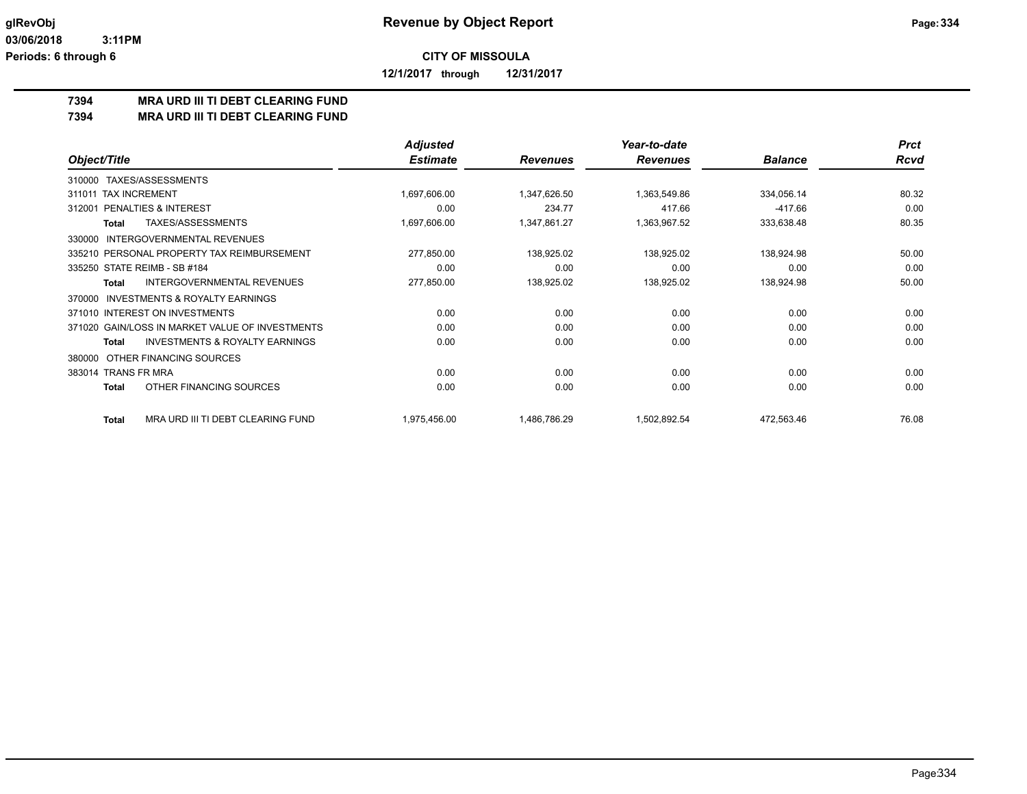**12/1/2017 through 12/31/2017**

## **7394 MRA URD III TI DEBT CLEARING FUND**

**7394 MRA URD III TI DEBT CLEARING FUND**

|                                                     | <b>Adjusted</b> |                 | Year-to-date    |                | <b>Prct</b> |
|-----------------------------------------------------|-----------------|-----------------|-----------------|----------------|-------------|
| Object/Title                                        | <b>Estimate</b> | <b>Revenues</b> | <b>Revenues</b> | <b>Balance</b> | Rcvd        |
| TAXES/ASSESSMENTS<br>310000                         |                 |                 |                 |                |             |
| <b>TAX INCREMENT</b><br>311011                      | 1,697,606.00    | 1,347,626.50    | 1,363,549.86    | 334,056.14     | 80.32       |
| <b>PENALTIES &amp; INTEREST</b><br>312001           | 0.00            | 234.77          | 417.66          | $-417.66$      | 0.00        |
| <b>TAXES/ASSESSMENTS</b><br>Total                   | 1,697,606.00    | 1,347,861.27    | 1,363,967.52    | 333,638.48     | 80.35       |
| <b>INTERGOVERNMENTAL REVENUES</b><br>330000         |                 |                 |                 |                |             |
| 335210 PERSONAL PROPERTY TAX REIMBURSEMENT          | 277,850.00      | 138,925.02      | 138,925.02      | 138,924.98     | 50.00       |
| 335250 STATE REIMB - SB #184                        | 0.00            | 0.00            | 0.00            | 0.00           | 0.00        |
| INTERGOVERNMENTAL REVENUES<br>Total                 | 277,850.00      | 138,925.02      | 138,925.02      | 138,924.98     | 50.00       |
| <b>INVESTMENTS &amp; ROYALTY EARNINGS</b><br>370000 |                 |                 |                 |                |             |
| 371010 INTEREST ON INVESTMENTS                      | 0.00            | 0.00            | 0.00            | 0.00           | 0.00        |
| 371020 GAIN/LOSS IN MARKET VALUE OF INVESTMENTS     | 0.00            | 0.00            | 0.00            | 0.00           | 0.00        |
| <b>INVESTMENTS &amp; ROYALTY EARNINGS</b><br>Total  | 0.00            | 0.00            | 0.00            | 0.00           | 0.00        |
| OTHER FINANCING SOURCES<br>380000                   |                 |                 |                 |                |             |
| 383014 TRANS FR MRA                                 | 0.00            | 0.00            | 0.00            | 0.00           | 0.00        |
| OTHER FINANCING SOURCES<br><b>Total</b>             | 0.00            | 0.00            | 0.00            | 0.00           | 0.00        |
| MRA URD III TI DEBT CLEARING FUND<br>Total          | 1,975,456.00    | 1,486,786.29    | 1,502,892.54    | 472,563.46     | 76.08       |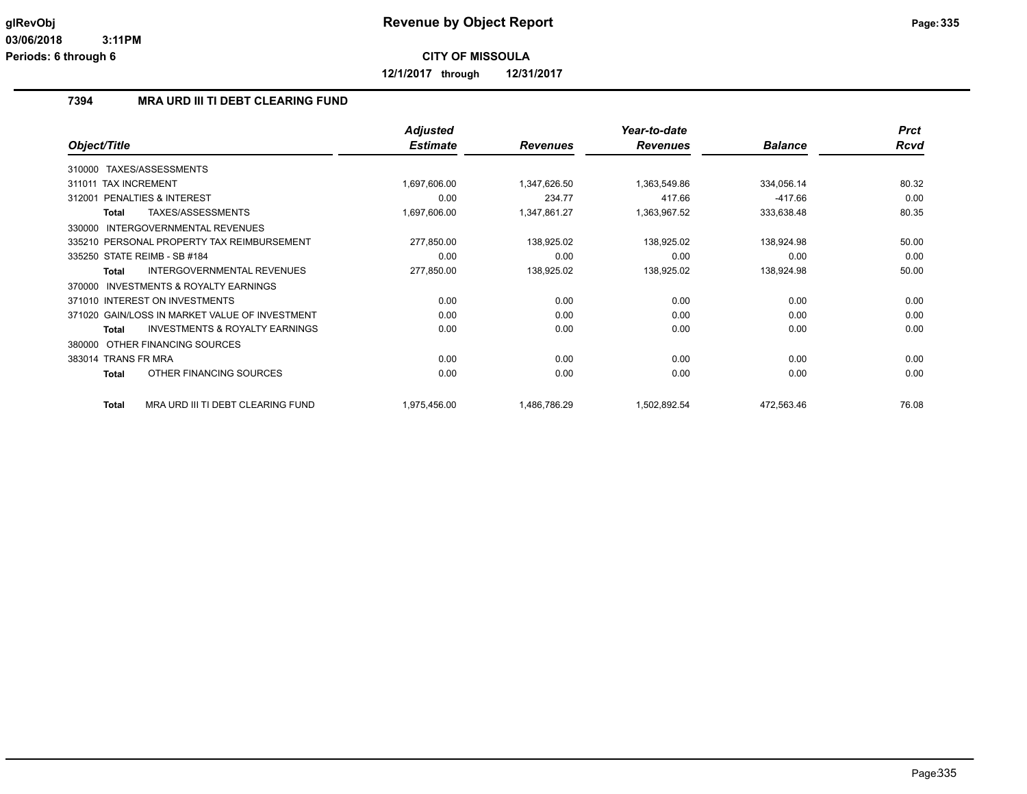**12/1/2017 through 12/31/2017**

#### **7394 MRA URD III TI DEBT CLEARING FUND**

|                                                           | <b>Adjusted</b> |                 | Year-to-date    |                | <b>Prct</b> |
|-----------------------------------------------------------|-----------------|-----------------|-----------------|----------------|-------------|
| Object/Title                                              | <b>Estimate</b> | <b>Revenues</b> | <b>Revenues</b> | <b>Balance</b> | <b>Rcvd</b> |
| TAXES/ASSESSMENTS<br>310000                               |                 |                 |                 |                |             |
| <b>TAX INCREMENT</b><br>311011                            | 1,697,606.00    | 1,347,626.50    | 1,363,549.86    | 334,056.14     | 80.32       |
| <b>PENALTIES &amp; INTEREST</b><br>312001                 | 0.00            | 234.77          | 417.66          | $-417.66$      | 0.00        |
| TAXES/ASSESSMENTS<br>Total                                | 1,697,606.00    | 1,347,861.27    | 1,363,967.52    | 333,638.48     | 80.35       |
| INTERGOVERNMENTAL REVENUES<br>330000                      |                 |                 |                 |                |             |
| 335210 PERSONAL PROPERTY TAX REIMBURSEMENT                | 277,850.00      | 138,925.02      | 138,925.02      | 138,924.98     | 50.00       |
| 335250 STATE REIMB - SB #184                              | 0.00            | 0.00            | 0.00            | 0.00           | 0.00        |
| INTERGOVERNMENTAL REVENUES<br><b>Total</b>                | 277,850.00      | 138,925.02      | 138,925.02      | 138,924.98     | 50.00       |
| INVESTMENTS & ROYALTY EARNINGS<br>370000                  |                 |                 |                 |                |             |
| 371010 INTEREST ON INVESTMENTS                            | 0.00            | 0.00            | 0.00            | 0.00           | 0.00        |
| 371020 GAIN/LOSS IN MARKET VALUE OF INVESTMENT            | 0.00            | 0.00            | 0.00            | 0.00           | 0.00        |
| <b>INVESTMENTS &amp; ROYALTY EARNINGS</b><br><b>Total</b> | 0.00            | 0.00            | 0.00            | 0.00           | 0.00        |
| OTHER FINANCING SOURCES<br>380000                         |                 |                 |                 |                |             |
| 383014 TRANS FR MRA                                       | 0.00            | 0.00            | 0.00            | 0.00           | 0.00        |
| OTHER FINANCING SOURCES<br><b>Total</b>                   | 0.00            | 0.00            | 0.00            | 0.00           | 0.00        |
| MRA URD III TI DEBT CLEARING FUND<br><b>Total</b>         | 1,975,456.00    | 1,486,786.29    | 1,502,892.54    | 472,563.46     | 76.08       |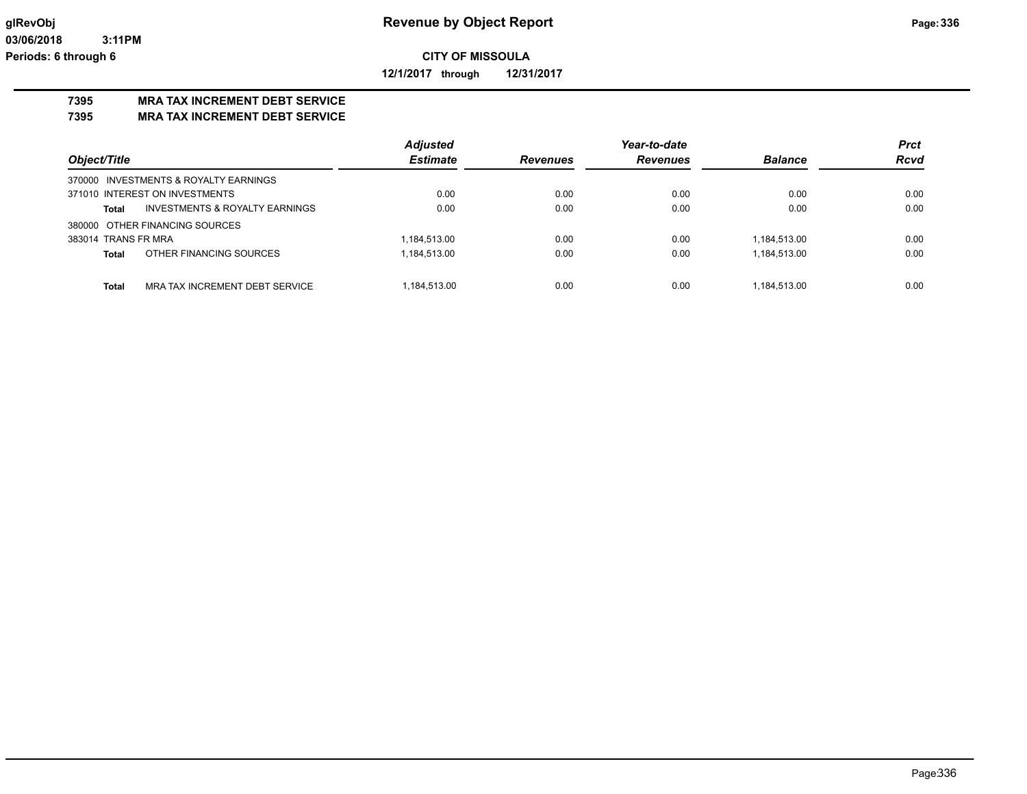**12/1/2017 through 12/31/2017**

# **7395 MRA TAX INCREMENT DEBT SERVICE**

**7395 MRA TAX INCREMENT DEBT SERVICE**

|                                                    | <b>Adjusted</b> |                 | Year-to-date    |                | <b>Prct</b> |
|----------------------------------------------------|-----------------|-----------------|-----------------|----------------|-------------|
| Object/Title                                       | <b>Estimate</b> | <b>Revenues</b> | <b>Revenues</b> | <b>Balance</b> | <b>Rcvd</b> |
| 370000 INVESTMENTS & ROYALTY EARNINGS              |                 |                 |                 |                |             |
| 371010 INTEREST ON INVESTMENTS                     | 0.00            | 0.00            | 0.00            | 0.00           | 0.00        |
| <b>INVESTMENTS &amp; ROYALTY EARNINGS</b><br>Total | 0.00            | 0.00            | 0.00            | 0.00           | 0.00        |
| 380000 OTHER FINANCING SOURCES                     |                 |                 |                 |                |             |
| 383014 TRANS FR MRA                                | 1,184,513.00    | 0.00            | 0.00            | 1,184,513.00   | 0.00        |
| OTHER FINANCING SOURCES<br>Total                   | 1,184,513.00    | 0.00            | 0.00            | 1,184,513.00   | 0.00        |
|                                                    |                 |                 |                 |                |             |
| <b>Total</b><br>MRA TAX INCREMENT DEBT SERVICE     | 1,184,513.00    | 0.00            | 0.00            | 1.184.513.00   | 0.00        |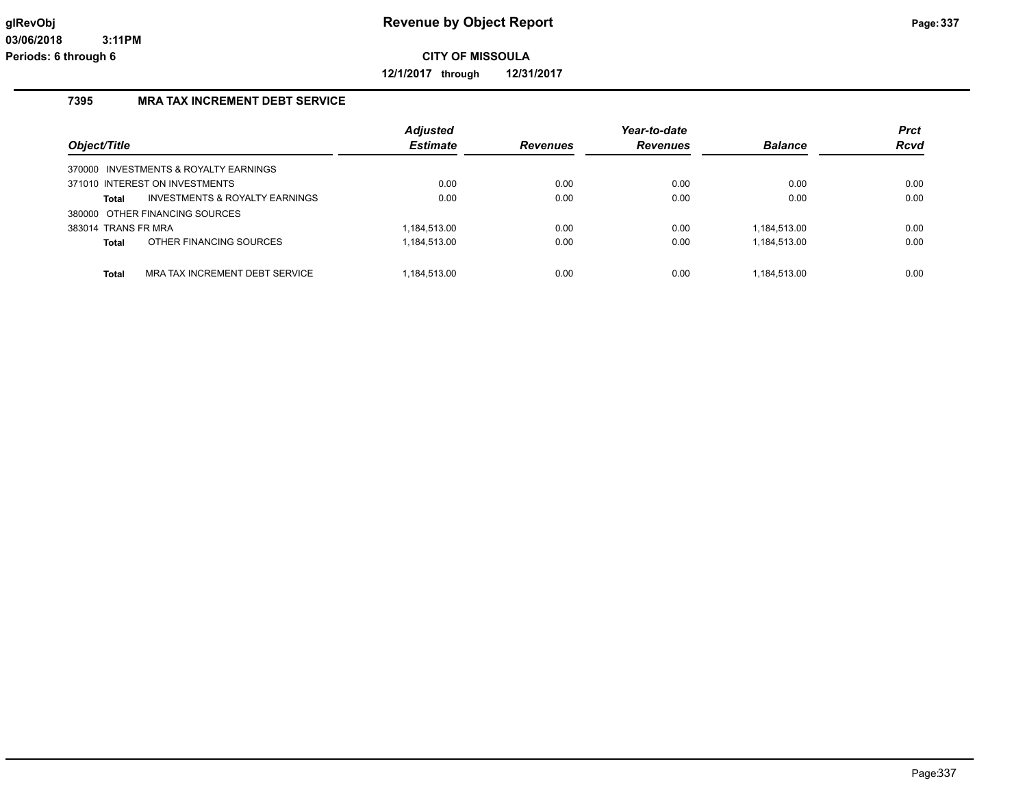**12/1/2017 through 12/31/2017**

## **7395 MRA TAX INCREMENT DEBT SERVICE**

|                     |                                           | <b>Adjusted</b> |                 | Year-to-date    |                | <b>Prct</b> |
|---------------------|-------------------------------------------|-----------------|-----------------|-----------------|----------------|-------------|
| Object/Title        |                                           | <b>Estimate</b> | <b>Revenues</b> | <b>Revenues</b> | <b>Balance</b> | Rcvd        |
|                     | 370000 INVESTMENTS & ROYALTY EARNINGS     |                 |                 |                 |                |             |
|                     | 371010 INTEREST ON INVESTMENTS            | 0.00            | 0.00            | 0.00            | 0.00           | 0.00        |
| Total               | <b>INVESTMENTS &amp; ROYALTY EARNINGS</b> | 0.00            | 0.00            | 0.00            | 0.00           | 0.00        |
|                     | 380000 OTHER FINANCING SOURCES            |                 |                 |                 |                |             |
| 383014 TRANS FR MRA |                                           | .184.513.00     | 0.00            | 0.00            | 1,184,513.00   | 0.00        |
| Total               | OTHER FINANCING SOURCES                   | 184,513.00      | 0.00            | 0.00            | 1,184,513.00   | 0.00        |
| Total               | MRA TAX INCREMENT DEBT SERVICE            | .184.513.00     | 0.00            | 0.00            | 1.184.513.00   | 0.00        |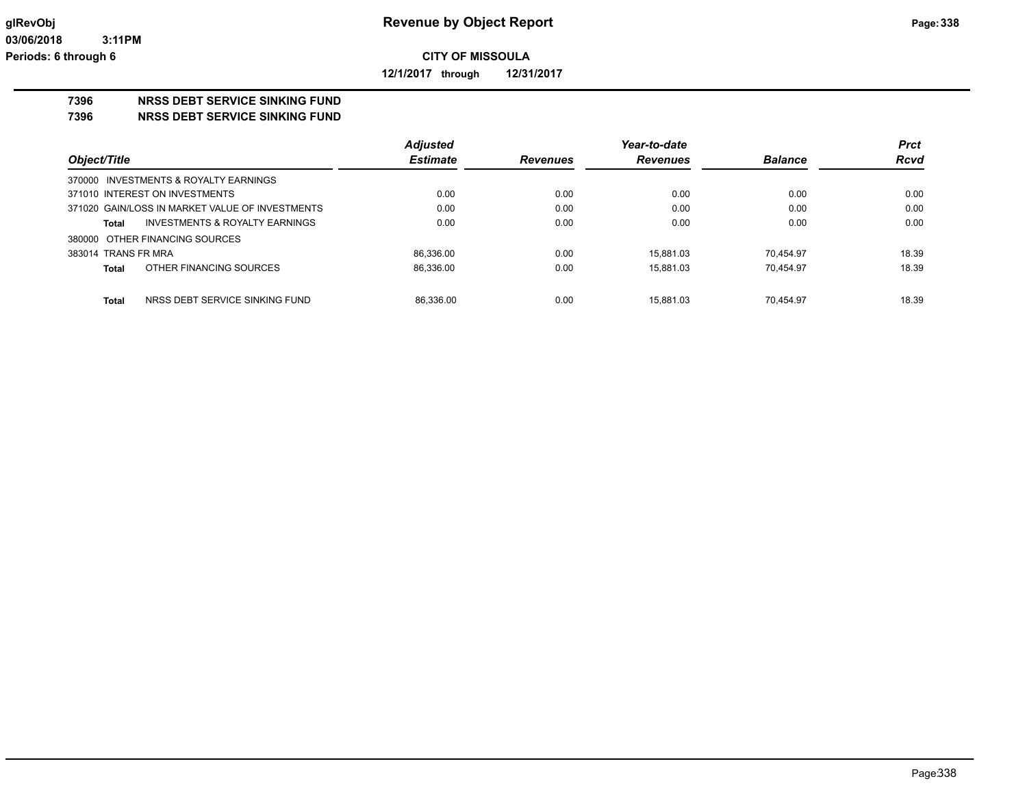**12/1/2017 through 12/31/2017**

## **7396 NRSS DEBT SERVICE SINKING FUND**

**7396 NRSS DEBT SERVICE SINKING FUND**

|                                                    | <b>Adjusted</b> |                 | Year-to-date    |                | <b>Prct</b> |
|----------------------------------------------------|-----------------|-----------------|-----------------|----------------|-------------|
| Object/Title                                       | <b>Estimate</b> | <b>Revenues</b> | <b>Revenues</b> | <b>Balance</b> | <b>Rcvd</b> |
| 370000 INVESTMENTS & ROYALTY EARNINGS              |                 |                 |                 |                |             |
| 371010 INTEREST ON INVESTMENTS                     | 0.00            | 0.00            | 0.00            | 0.00           | 0.00        |
| 371020 GAIN/LOSS IN MARKET VALUE OF INVESTMENTS    | 0.00            | 0.00            | 0.00            | 0.00           | 0.00        |
| <b>INVESTMENTS &amp; ROYALTY EARNINGS</b><br>Total | 0.00            | 0.00            | 0.00            | 0.00           | 0.00        |
| 380000 OTHER FINANCING SOURCES                     |                 |                 |                 |                |             |
| 383014 TRANS FR MRA                                | 86.336.00       | 0.00            | 15.881.03       | 70.454.97      | 18.39       |
| OTHER FINANCING SOURCES<br>Total                   | 86,336.00       | 0.00            | 15.881.03       | 70.454.97      | 18.39       |
|                                                    |                 |                 |                 |                |             |
| NRSS DEBT SERVICE SINKING FUND<br><b>Total</b>     | 86.336.00       | 0.00            | 15.881.03       | 70.454.97      | 18.39       |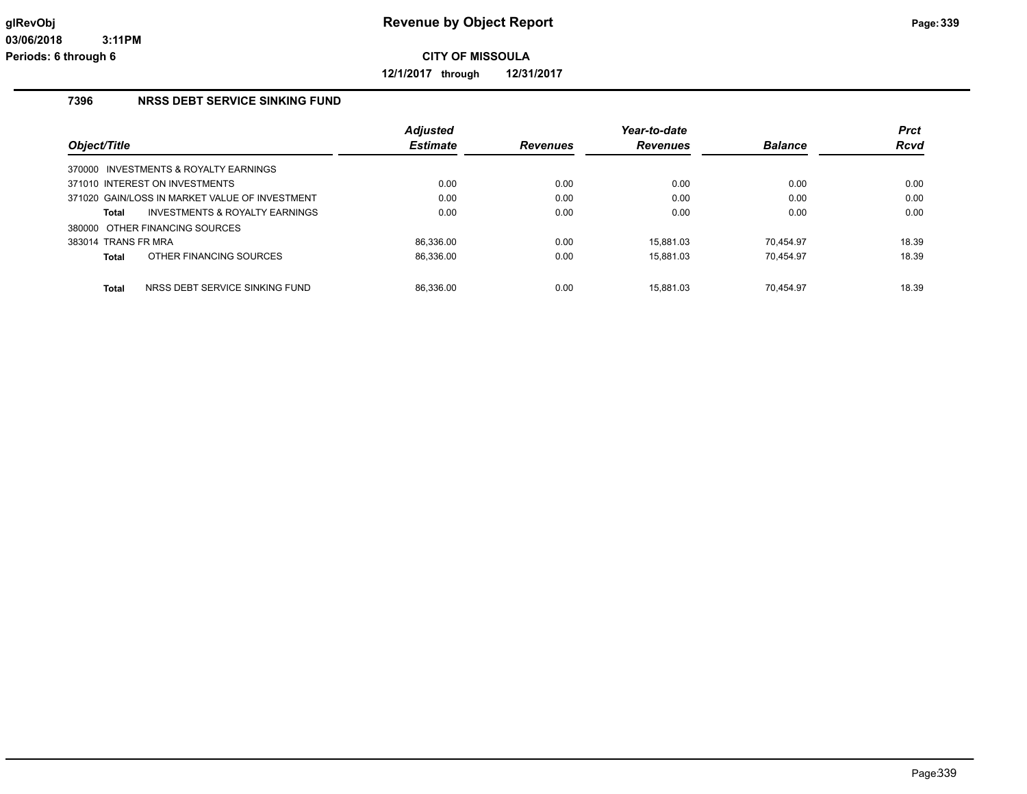**12/1/2017 through 12/31/2017**

#### **7396 NRSS DEBT SERVICE SINKING FUND**

|                     |                                                | <b>Adjusted</b> |          | Year-to-date    |                | <b>Prct</b> |
|---------------------|------------------------------------------------|-----------------|----------|-----------------|----------------|-------------|
| Object/Title        |                                                | <b>Estimate</b> | Revenues | <b>Revenues</b> | <b>Balance</b> | <b>Rcvd</b> |
|                     | 370000 INVESTMENTS & ROYALTY EARNINGS          |                 |          |                 |                |             |
|                     | 371010 INTEREST ON INVESTMENTS                 | 0.00            | 0.00     | 0.00            | 0.00           | 0.00        |
|                     | 371020 GAIN/LOSS IN MARKET VALUE OF INVESTMENT | 0.00            | 0.00     | 0.00            | 0.00           | 0.00        |
| Total               | INVESTMENTS & ROYALTY EARNINGS                 | 0.00            | 0.00     | 0.00            | 0.00           | 0.00        |
|                     | 380000 OTHER FINANCING SOURCES                 |                 |          |                 |                |             |
| 383014 TRANS FR MRA |                                                | 86.336.00       | 0.00     | 15.881.03       | 70.454.97      | 18.39       |
| Total               | OTHER FINANCING SOURCES                        | 86.336.00       | 0.00     | 15.881.03       | 70.454.97      | 18.39       |
|                     |                                                |                 |          |                 |                |             |
| Total               | NRSS DEBT SERVICE SINKING FUND                 | 86.336.00       | 0.00     | 15.881.03       | 70.454.97      | 18.39       |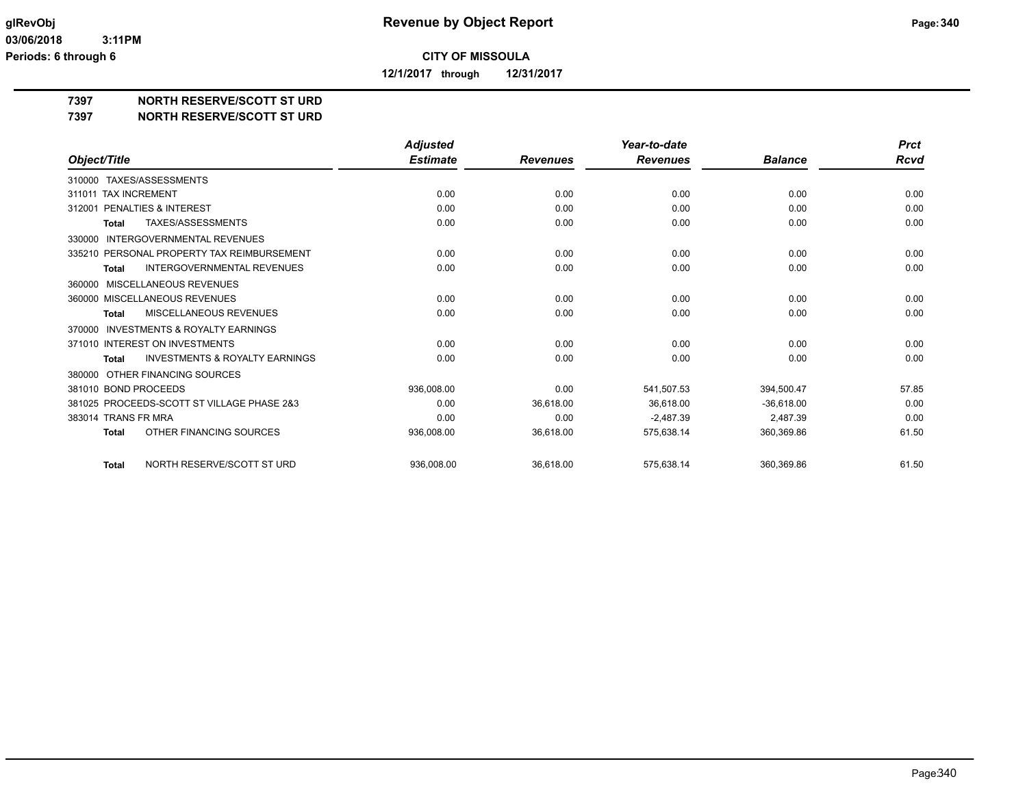**12/1/2017 through 12/31/2017**

#### **7397 NORTH RESERVE/SCOTT ST URD**

#### **7397 NORTH RESERVE/SCOTT ST URD**

|                                                           | <b>Adjusted</b> |                 | Year-to-date    |                | <b>Prct</b> |
|-----------------------------------------------------------|-----------------|-----------------|-----------------|----------------|-------------|
| Object/Title                                              | <b>Estimate</b> | <b>Revenues</b> | <b>Revenues</b> | <b>Balance</b> | Rcvd        |
| 310000 TAXES/ASSESSMENTS                                  |                 |                 |                 |                |             |
| <b>TAX INCREMENT</b><br>311011                            | 0.00            | 0.00            | 0.00            | 0.00           | 0.00        |
| PENALTIES & INTEREST<br>312001                            | 0.00            | 0.00            | 0.00            | 0.00           | 0.00        |
| TAXES/ASSESSMENTS<br><b>Total</b>                         | 0.00            | 0.00            | 0.00            | 0.00           | 0.00        |
| <b>INTERGOVERNMENTAL REVENUES</b><br>330000               |                 |                 |                 |                |             |
| 335210 PERSONAL PROPERTY TAX REIMBURSEMENT                | 0.00            | 0.00            | 0.00            | 0.00           | 0.00        |
| <b>INTERGOVERNMENTAL REVENUES</b><br><b>Total</b>         | 0.00            | 0.00            | 0.00            | 0.00           | 0.00        |
| MISCELLANEOUS REVENUES<br>360000                          |                 |                 |                 |                |             |
| 360000 MISCELLANEOUS REVENUES                             | 0.00            | 0.00            | 0.00            | 0.00           | 0.00        |
| <b>MISCELLANEOUS REVENUES</b><br><b>Total</b>             | 0.00            | 0.00            | 0.00            | 0.00           | 0.00        |
| <b>INVESTMENTS &amp; ROYALTY EARNINGS</b><br>370000       |                 |                 |                 |                |             |
| 371010 INTEREST ON INVESTMENTS                            | 0.00            | 0.00            | 0.00            | 0.00           | 0.00        |
| <b>INVESTMENTS &amp; ROYALTY EARNINGS</b><br><b>Total</b> | 0.00            | 0.00            | 0.00            | 0.00           | 0.00        |
| OTHER FINANCING SOURCES<br>380000                         |                 |                 |                 |                |             |
| 381010 BOND PROCEEDS                                      | 936.008.00      | 0.00            | 541,507.53      | 394,500.47     | 57.85       |
| 381025 PROCEEDS-SCOTT ST VILLAGE PHASE 2&3                | 0.00            | 36,618.00       | 36.618.00       | $-36,618.00$   | 0.00        |
| 383014 TRANS FR MRA                                       | 0.00            | 0.00            | $-2,487.39$     | 2,487.39       | 0.00        |
| OTHER FINANCING SOURCES<br><b>Total</b>                   | 936,008.00      | 36,618.00       | 575,638.14      | 360,369.86     | 61.50       |
|                                                           |                 |                 |                 |                |             |
| NORTH RESERVE/SCOTT ST URD<br><b>Total</b>                | 936.008.00      | 36.618.00       | 575.638.14      | 360.369.86     | 61.50       |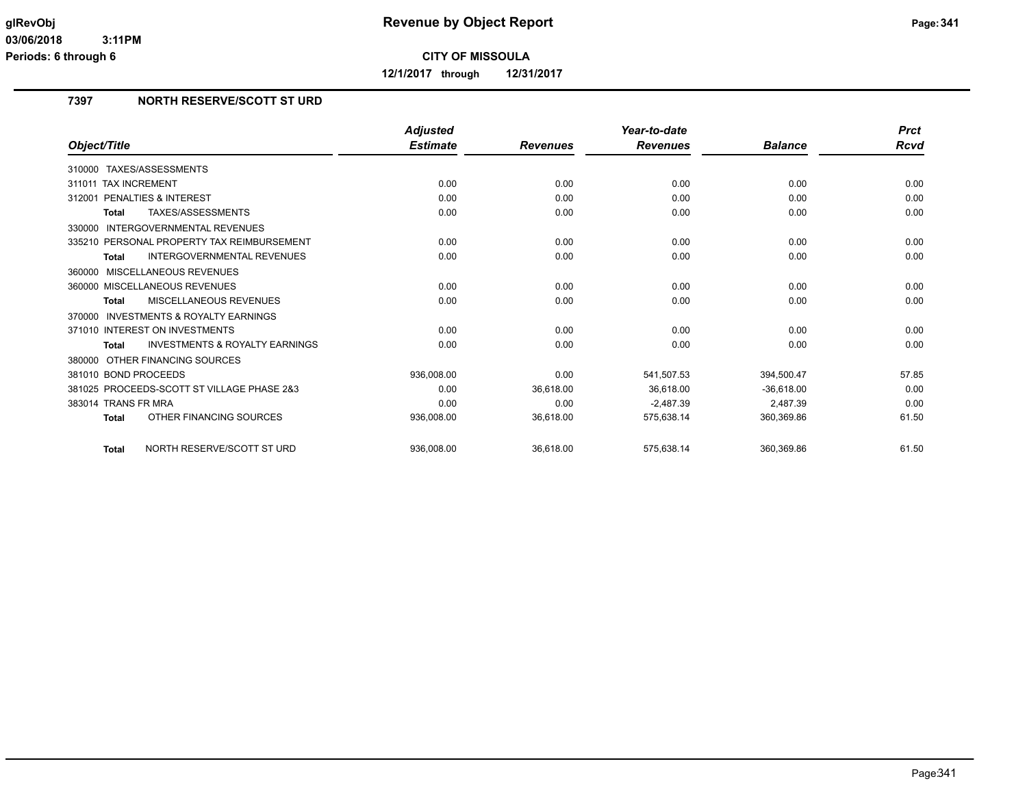**12/1/2017 through 12/31/2017**

## **7397 NORTH RESERVE/SCOTT ST URD**

|                                                     | <b>Adjusted</b> |                 | Year-to-date    |                | <b>Prct</b> |
|-----------------------------------------------------|-----------------|-----------------|-----------------|----------------|-------------|
| Object/Title                                        | <b>Estimate</b> | <b>Revenues</b> | <b>Revenues</b> | <b>Balance</b> | Rcvd        |
| TAXES/ASSESSMENTS<br>310000                         |                 |                 |                 |                |             |
| 311011 TAX INCREMENT                                | 0.00            | 0.00            | 0.00            | 0.00           | 0.00        |
| 312001 PENALTIES & INTEREST                         | 0.00            | 0.00            | 0.00            | 0.00           | 0.00        |
| TAXES/ASSESSMENTS<br>Total                          | 0.00            | 0.00            | 0.00            | 0.00           | 0.00        |
| <b>INTERGOVERNMENTAL REVENUES</b><br>330000         |                 |                 |                 |                |             |
| 335210 PERSONAL PROPERTY TAX REIMBURSEMENT          | 0.00            | 0.00            | 0.00            | 0.00           | 0.00        |
| <b>INTERGOVERNMENTAL REVENUES</b><br><b>Total</b>   | 0.00            | 0.00            | 0.00            | 0.00           | 0.00        |
| MISCELLANEOUS REVENUES<br>360000                    |                 |                 |                 |                |             |
| 360000 MISCELLANEOUS REVENUES                       | 0.00            | 0.00            | 0.00            | 0.00           | 0.00        |
| MISCELLANEOUS REVENUES<br><b>Total</b>              | 0.00            | 0.00            | 0.00            | 0.00           | 0.00        |
| <b>INVESTMENTS &amp; ROYALTY EARNINGS</b><br>370000 |                 |                 |                 |                |             |
| 371010 INTEREST ON INVESTMENTS                      | 0.00            | 0.00            | 0.00            | 0.00           | 0.00        |
| <b>INVESTMENTS &amp; ROYALTY EARNINGS</b><br>Total  | 0.00            | 0.00            | 0.00            | 0.00           | 0.00        |
| 380000 OTHER FINANCING SOURCES                      |                 |                 |                 |                |             |
| 381010 BOND PROCEEDS                                | 936,008.00      | 0.00            | 541,507.53      | 394.500.47     | 57.85       |
| 381025 PROCEEDS-SCOTT ST VILLAGE PHASE 2&3          | 0.00            | 36,618.00       | 36.618.00       | $-36.618.00$   | 0.00        |
| 383014 TRANS FR MRA                                 | 0.00            | 0.00            | $-2,487.39$     | 2,487.39       | 0.00        |
| OTHER FINANCING SOURCES<br><b>Total</b>             | 936,008.00      | 36,618.00       | 575,638.14      | 360,369.86     | 61.50       |
| NORTH RESERVE/SCOTT ST URD<br><b>Total</b>          | 936.008.00      | 36.618.00       | 575.638.14      | 360.369.86     | 61.50       |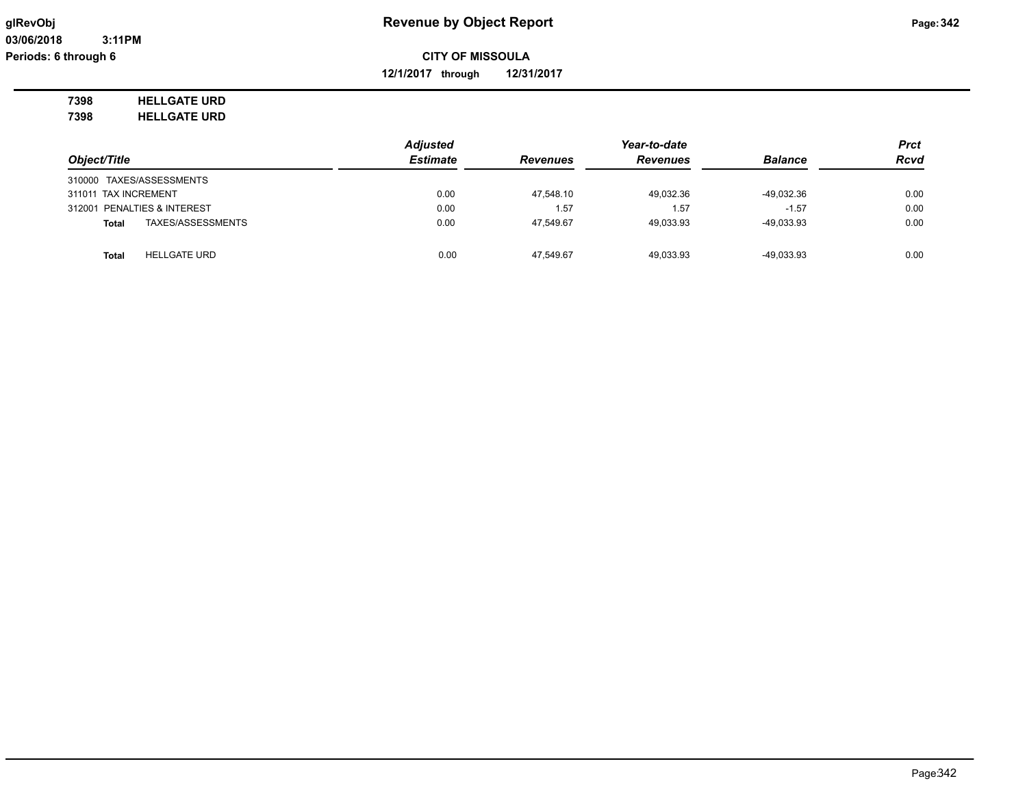**12/1/2017 through 12/31/2017**

# **7398 HELLGATE URD**

**7398 HELLGATE URD**

|                                     | <b>Adjusted</b> |                 | Year-to-date    |                |             |
|-------------------------------------|-----------------|-----------------|-----------------|----------------|-------------|
| Object/Title                        | <b>Estimate</b> | <b>Revenues</b> | <b>Revenues</b> | <b>Balance</b> | <b>Rcvd</b> |
| 310000 TAXES/ASSESSMENTS            |                 |                 |                 |                |             |
| 311011 TAX INCREMENT                | 0.00            | 47.548.10       | 49.032.36       | $-49,032.36$   | 0.00        |
| 312001 PENALTIES & INTEREST         | 0.00            | 1.57            | 1.57            | $-1.57$        | 0.00        |
| TAXES/ASSESSMENTS<br><b>Total</b>   | 0.00            | 47.549.67       | 49.033.93       | -49.033.93     | 0.00        |
|                                     |                 |                 |                 |                |             |
| <b>HELLGATE URD</b><br><b>Total</b> | 0.00            | 47.549.67       | 49.033.93       | -49.033.93     | 0.00        |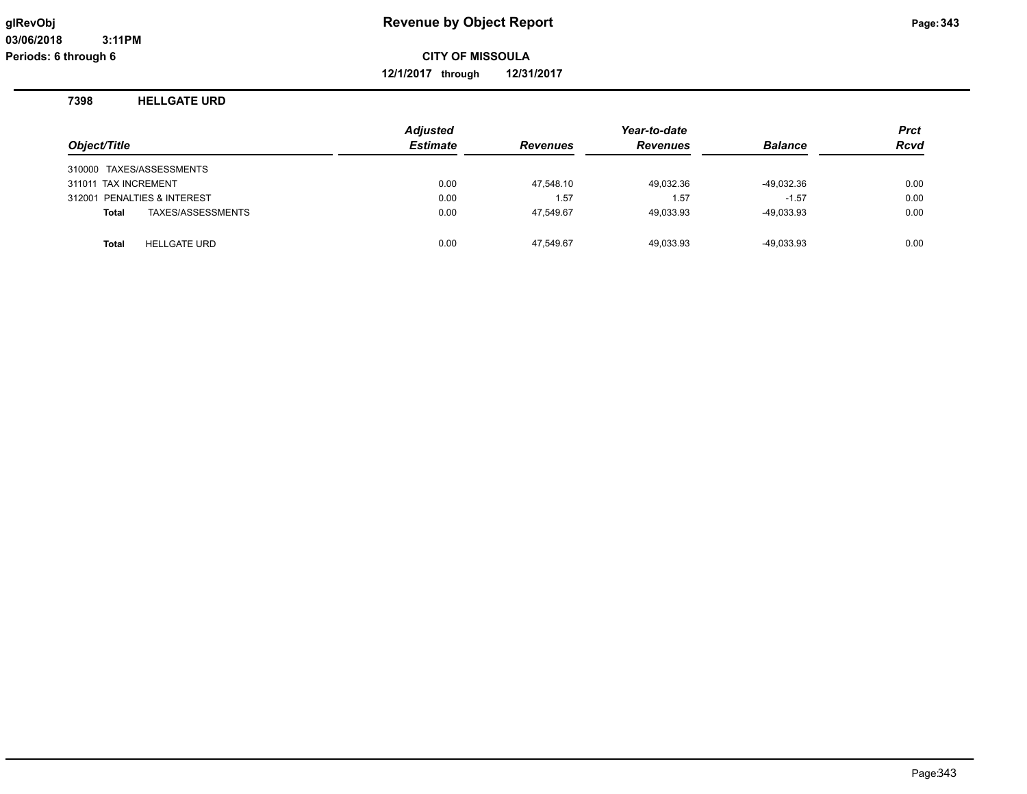**12/1/2017 through 12/31/2017**

#### **7398 HELLGATE URD**

| Object/Title                        | <b>Adjusted</b><br><b>Estimate</b> | <b>Revenues</b> | Year-to-date<br><b>Revenues</b> | <b>Balance</b> | Prct<br><b>Rcvd</b> |
|-------------------------------------|------------------------------------|-----------------|---------------------------------|----------------|---------------------|
| 310000 TAXES/ASSESSMENTS            |                                    |                 |                                 |                |                     |
| 311011 TAX INCREMENT                | 0.00                               | 47.548.10       | 49,032.36                       | $-49,032.36$   | 0.00                |
| 312001 PENALTIES & INTEREST         | 0.00                               | 1.57            | 1.57                            | $-1.57$        | 0.00                |
| TAXES/ASSESSMENTS<br><b>Total</b>   | 0.00                               | 47.549.67       | 49,033.93                       | $-49,033.93$   | 0.00                |
| <b>HELLGATE URD</b><br><b>Total</b> | 0.00                               | 47.549.67       | 49,033.93                       | $-49,033.93$   | 0.00                |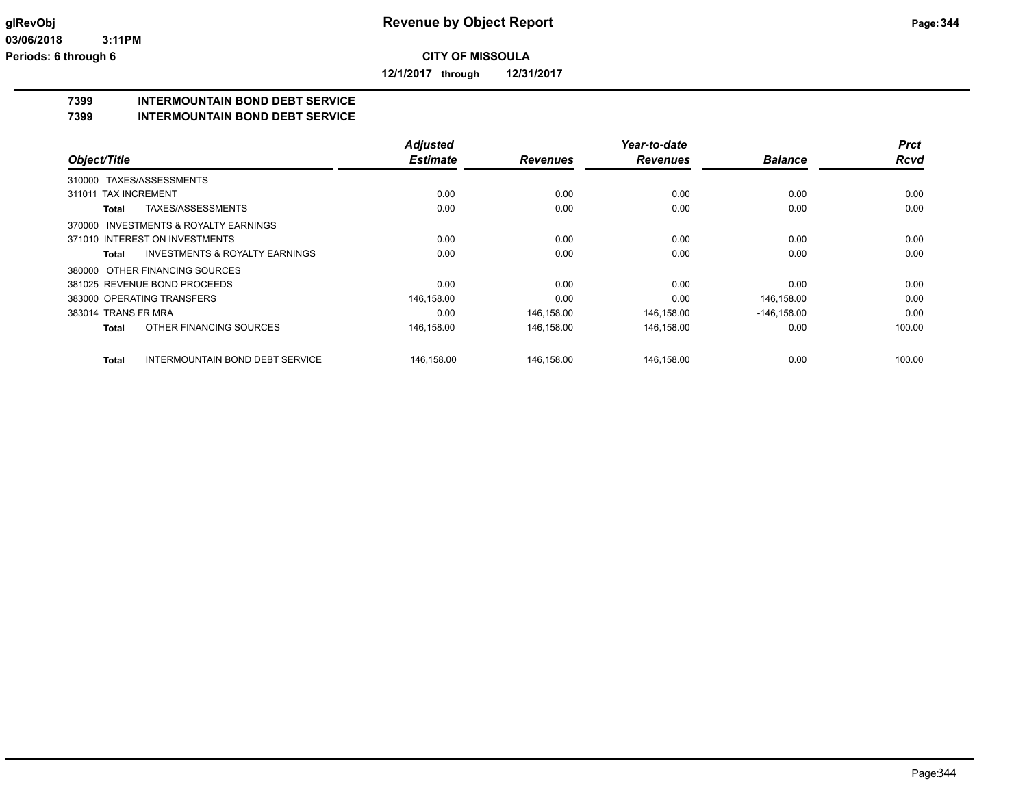**12/1/2017 through 12/31/2017**

## **7399 INTERMOUNTAIN BOND DEBT SERVICE**

#### **7399 INTERMOUNTAIN BOND DEBT SERVICE**

|                                                           | <b>Adjusted</b> |                 | Year-to-date    |                | <b>Prct</b> |
|-----------------------------------------------------------|-----------------|-----------------|-----------------|----------------|-------------|
| Object/Title                                              | <b>Estimate</b> | <b>Revenues</b> | <b>Revenues</b> | <b>Balance</b> | <b>Rcvd</b> |
| TAXES/ASSESSMENTS<br>310000                               |                 |                 |                 |                |             |
| 311011 TAX INCREMENT                                      | 0.00            | 0.00            | 0.00            | 0.00           | 0.00        |
| TAXES/ASSESSMENTS<br>Total                                | 0.00            | 0.00            | 0.00            | 0.00           | 0.00        |
| INVESTMENTS & ROYALTY EARNINGS<br>370000                  |                 |                 |                 |                |             |
| 371010 INTEREST ON INVESTMENTS                            | 0.00            | 0.00            | 0.00            | 0.00           | 0.00        |
| <b>INVESTMENTS &amp; ROYALTY EARNINGS</b><br><b>Total</b> | 0.00            | 0.00            | 0.00            | 0.00           | 0.00        |
| 380000 OTHER FINANCING SOURCES                            |                 |                 |                 |                |             |
| 381025 REVENUE BOND PROCEEDS                              | 0.00            | 0.00            | 0.00            | 0.00           | 0.00        |
| 383000 OPERATING TRANSFERS                                | 146,158.00      | 0.00            | 0.00            | 146,158.00     | 0.00        |
| 383014 TRANS FR MRA                                       | 0.00            | 146,158.00      | 146,158.00      | $-146, 158.00$ | 0.00        |
| OTHER FINANCING SOURCES<br><b>Total</b>                   | 146,158.00      | 146,158.00      | 146,158.00      | 0.00           | 100.00      |
| <b>INTERMOUNTAIN BOND DEBT SERVICE</b><br>Total           | 146,158.00      | 146,158.00      | 146,158.00      | 0.00           | 100.00      |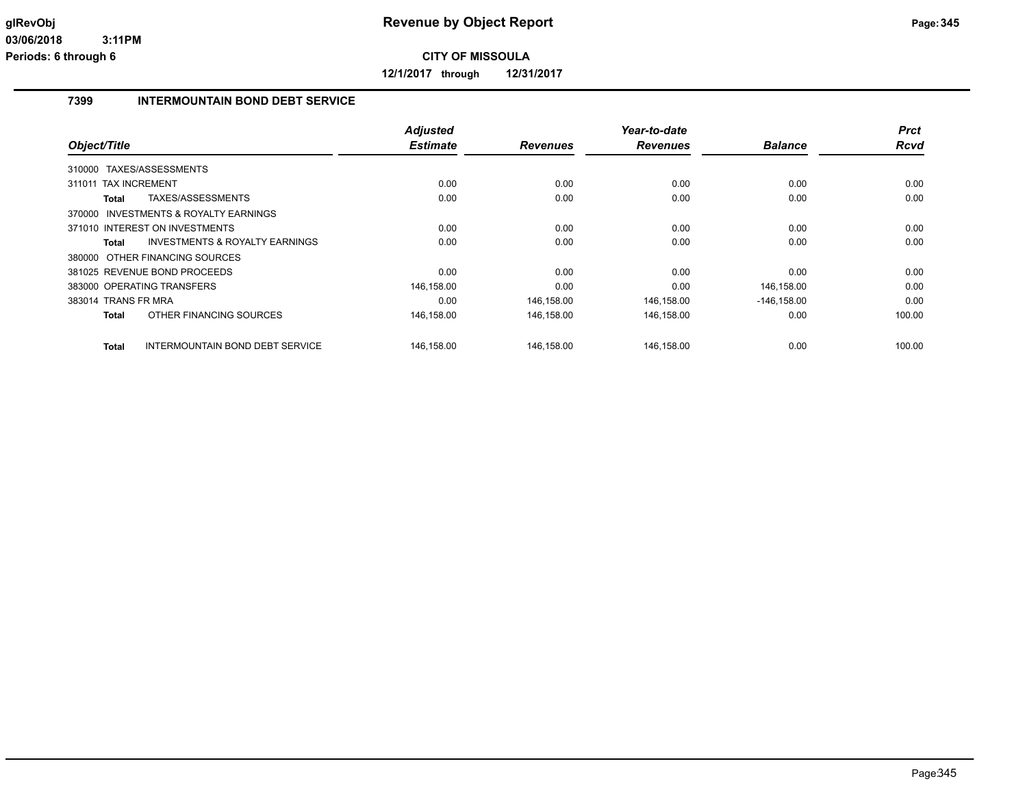**12/1/2017 through 12/31/2017**

## **7399 INTERMOUNTAIN BOND DEBT SERVICE**

|                                |                                           | <b>Adjusted</b> |                 | Year-to-date    |                | <b>Prct</b> |
|--------------------------------|-------------------------------------------|-----------------|-----------------|-----------------|----------------|-------------|
| Object/Title                   |                                           | <b>Estimate</b> | <b>Revenues</b> | <b>Revenues</b> | <b>Balance</b> | Rcvd        |
| TAXES/ASSESSMENTS<br>310000    |                                           |                 |                 |                 |                |             |
| 311011 TAX INCREMENT           |                                           | 0.00            | 0.00            | 0.00            | 0.00           | 0.00        |
| Total                          | TAXES/ASSESSMENTS                         | 0.00            | 0.00            | 0.00            | 0.00           | 0.00        |
|                                | 370000 INVESTMENTS & ROYALTY EARNINGS     |                 |                 |                 |                |             |
| 371010 INTEREST ON INVESTMENTS |                                           | 0.00            | 0.00            | 0.00            | 0.00           | 0.00        |
| Total                          | <b>INVESTMENTS &amp; ROYALTY EARNINGS</b> | 0.00            | 0.00            | 0.00            | 0.00           | 0.00        |
| 380000 OTHER FINANCING SOURCES |                                           |                 |                 |                 |                |             |
| 381025 REVENUE BOND PROCEEDS   |                                           | 0.00            | 0.00            | 0.00            | 0.00           | 0.00        |
| 383000 OPERATING TRANSFERS     |                                           | 146,158.00      | 0.00            | 0.00            | 146,158.00     | 0.00        |
| 383014 TRANS FR MRA            |                                           | 0.00            | 146,158.00      | 146,158.00      | $-146, 158.00$ | 0.00        |
| Total                          | OTHER FINANCING SOURCES                   | 146,158.00      | 146.158.00      | 146,158.00      | 0.00           | 100.00      |
| <b>Total</b>                   | <b>INTERMOUNTAIN BOND DEBT SERVICE</b>    | 146,158.00      | 146,158.00      | 146,158.00      | 0.00           | 100.00      |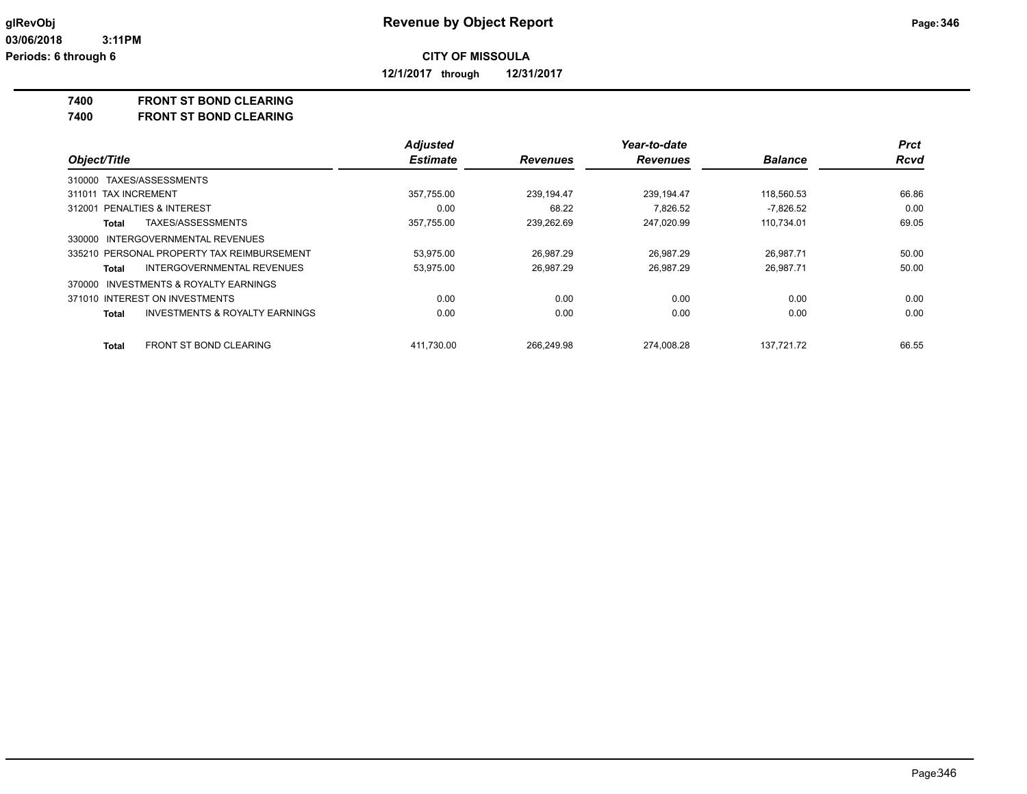**12/1/2017 through 12/31/2017**

**7400 FRONT ST BOND CLEARING**

**FRONT ST BOND CLEARING** 

|                                                           | <b>Adjusted</b> |                 | Year-to-date    |                | <b>Prct</b> |
|-----------------------------------------------------------|-----------------|-----------------|-----------------|----------------|-------------|
| Object/Title                                              | <b>Estimate</b> | <b>Revenues</b> | <b>Revenues</b> | <b>Balance</b> | Rcvd        |
| 310000 TAXES/ASSESSMENTS                                  |                 |                 |                 |                |             |
| 311011 TAX INCREMENT                                      | 357.755.00      | 239.194.47      | 239.194.47      | 118.560.53     | 66.86       |
| <b>PENALTIES &amp; INTEREST</b><br>312001                 | 0.00            | 68.22           | 7.826.52        | $-7.826.52$    | 0.00        |
| TAXES/ASSESSMENTS<br>Total                                | 357.755.00      | 239.262.69      | 247.020.99      | 110.734.01     | 69.05       |
| 330000 INTERGOVERNMENTAL REVENUES                         |                 |                 |                 |                |             |
| 335210 PERSONAL PROPERTY TAX REIMBURSEMENT                | 53.975.00       | 26.987.29       | 26.987.29       | 26.987.71      | 50.00       |
| INTERGOVERNMENTAL REVENUES<br>Total                       | 53.975.00       | 26.987.29       | 26.987.29       | 26.987.71      | 50.00       |
| 370000 INVESTMENTS & ROYALTY EARNINGS                     |                 |                 |                 |                |             |
| 371010 INTEREST ON INVESTMENTS                            | 0.00            | 0.00            | 0.00            | 0.00           | 0.00        |
| <b>INVESTMENTS &amp; ROYALTY EARNINGS</b><br><b>Total</b> | 0.00            | 0.00            | 0.00            | 0.00           | 0.00        |
| FRONT ST BOND CLEARING<br><b>Total</b>                    | 411.730.00      | 266.249.98      | 274.008.28      | 137.721.72     | 66.55       |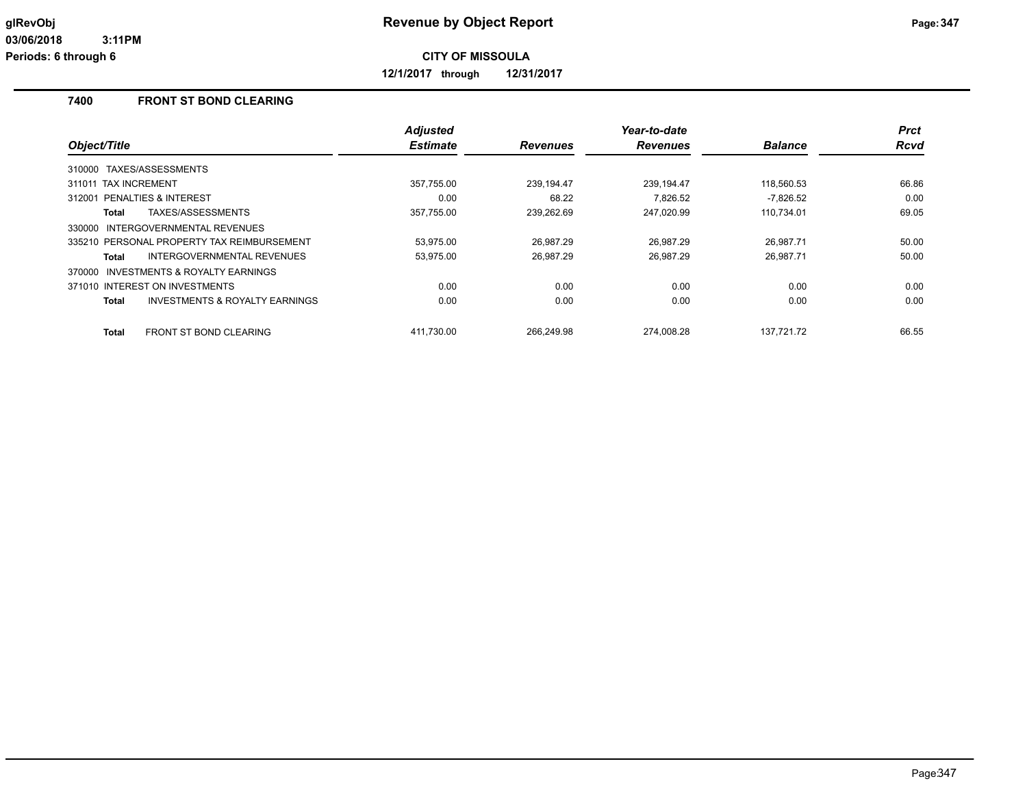**12/1/2017 through 12/31/2017**

## **7400 FRONT ST BOND CLEARING**

|                                                    | <b>Adjusted</b> |                 | Year-to-date    |                | <b>Prct</b> |
|----------------------------------------------------|-----------------|-----------------|-----------------|----------------|-------------|
| Object/Title                                       | <b>Estimate</b> | <b>Revenues</b> | <b>Revenues</b> | <b>Balance</b> | <b>Rcvd</b> |
| TAXES/ASSESSMENTS<br>310000                        |                 |                 |                 |                |             |
| 311011 TAX INCREMENT                               | 357,755.00      | 239,194.47      | 239,194.47      | 118,560.53     | 66.86       |
| PENALTIES & INTEREST<br>312001                     | 0.00            | 68.22           | 7.826.52        | $-7.826.52$    | 0.00        |
| TAXES/ASSESSMENTS<br>Total                         | 357,755.00      | 239,262.69      | 247,020.99      | 110,734.01     | 69.05       |
| <b>INTERGOVERNMENTAL REVENUES</b><br>330000        |                 |                 |                 |                |             |
| 335210 PERSONAL PROPERTY TAX REIMBURSEMENT         | 53,975.00       | 26,987.29       | 26,987.29       | 26,987.71      | 50.00       |
| INTERGOVERNMENTAL REVENUES<br>Total                | 53,975.00       | 26,987.29       | 26,987.29       | 26,987.71      | 50.00       |
| INVESTMENTS & ROYALTY EARNINGS<br>370000           |                 |                 |                 |                |             |
| 371010 INTEREST ON INVESTMENTS                     | 0.00            | 0.00            | 0.00            | 0.00           | 0.00        |
| <b>INVESTMENTS &amp; ROYALTY EARNINGS</b><br>Total | 0.00            | 0.00            | 0.00            | 0.00           | 0.00        |
| <b>FRONT ST BOND CLEARING</b><br><b>Total</b>      | 411.730.00      | 266.249.98      | 274.008.28      | 137.721.72     | 66.55       |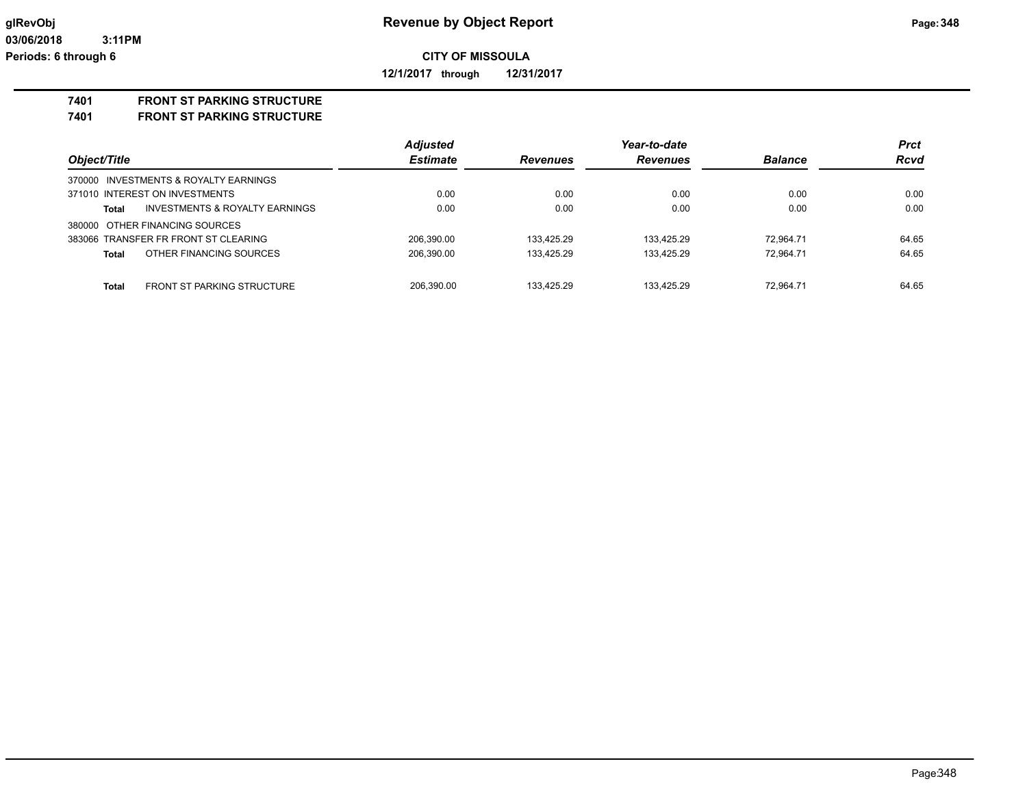**12/1/2017 through 12/31/2017**

#### **7401 FRONT ST PARKING STRUCTURE**

**7401 FRONT ST PARKING STRUCTURE**

|                                                   | <b>Adjusted</b> |                 | Year-to-date    |                | <b>Prct</b> |
|---------------------------------------------------|-----------------|-----------------|-----------------|----------------|-------------|
| Object/Title                                      | <b>Estimate</b> | <b>Revenues</b> | <b>Revenues</b> | <b>Balance</b> | <b>Rcvd</b> |
| 370000 INVESTMENTS & ROYALTY EARNINGS             |                 |                 |                 |                |             |
| 371010 INTEREST ON INVESTMENTS                    | 0.00            | 0.00            | 0.00            | 0.00           | 0.00        |
| INVESTMENTS & ROYALTY EARNINGS<br><b>Total</b>    | 0.00            | 0.00            | 0.00            | 0.00           | 0.00        |
| 380000 OTHER FINANCING SOURCES                    |                 |                 |                 |                |             |
| 383066 TRANSFER FR FRONT ST CLEARING              | 206.390.00      | 133.425.29      | 133.425.29      | 72.964.71      | 64.65       |
| OTHER FINANCING SOURCES<br><b>Total</b>           | 206,390.00      | 133.425.29      | 133.425.29      | 72.964.71      | 64.65       |
| <b>Total</b><br><b>FRONT ST PARKING STRUCTURE</b> | 206,390.00      | 133.425.29      | 133.425.29      | 72.964.71      | 64.65       |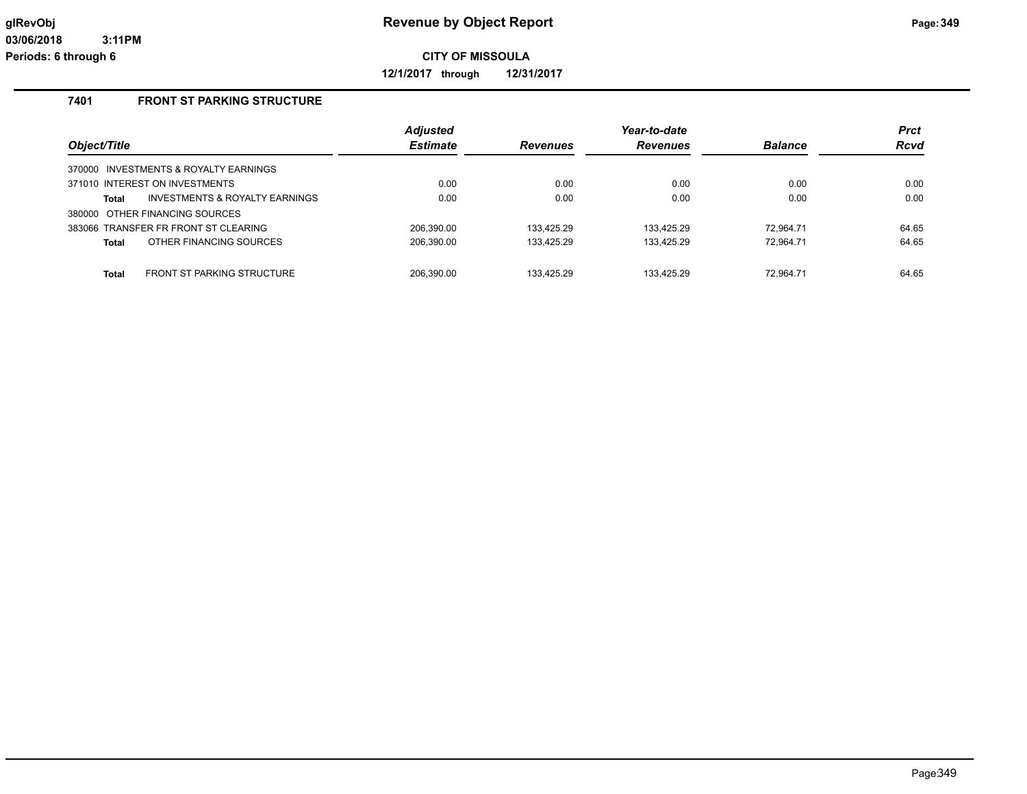**12/1/2017 through 12/31/2017**

## **7401 FRONT ST PARKING STRUCTURE**

| Object/Title |                                       | <b>Adjusted</b><br><b>Estimate</b> | <b>Revenues</b> | Year-to-date<br><b>Revenues</b> | <b>Balance</b> | <b>Prct</b><br>Rcvd |
|--------------|---------------------------------------|------------------------------------|-----------------|---------------------------------|----------------|---------------------|
|              | 370000 INVESTMENTS & ROYALTY EARNINGS |                                    |                 |                                 |                |                     |
|              | 371010 INTEREST ON INVESTMENTS        | 0.00                               | 0.00            | 0.00                            | 0.00           | 0.00                |
| Total        | INVESTMENTS & ROYALTY EARNINGS        | 0.00                               | 0.00            | 0.00                            | 0.00           | 0.00                |
|              | 380000 OTHER FINANCING SOURCES        |                                    |                 |                                 |                |                     |
|              | 383066 TRANSFER FR FRONT ST CLEARING  | 206.390.00                         | 133.425.29      | 133.425.29                      | 72.964.71      | 64.65               |
| Total        | OTHER FINANCING SOURCES               | 206,390.00                         | 133.425.29      | 133.425.29                      | 72.964.71      | 64.65               |
|              |                                       |                                    |                 |                                 |                |                     |
| <b>Total</b> | FRONT ST PARKING STRUCTURE            | 206.390.00                         | 133.425.29      | 133.425.29                      | 72.964.71      | 64.65               |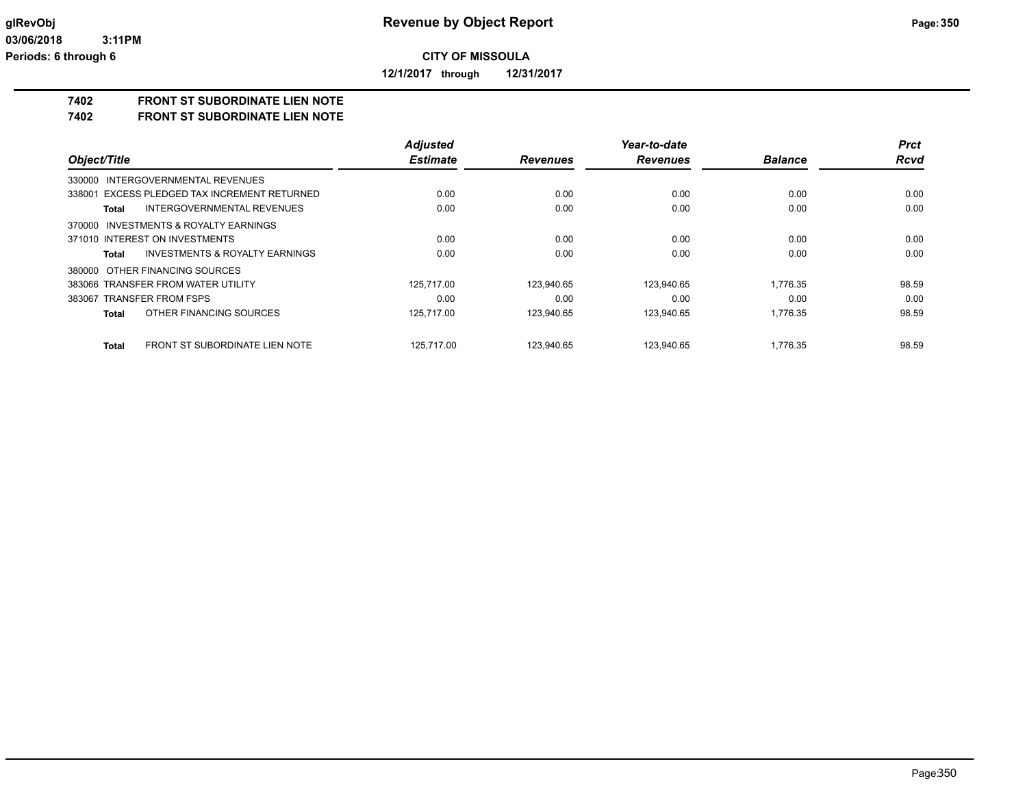**12/1/2017 through 12/31/2017**

## **7402 FRONT ST SUBORDINATE LIEN NOTE**

**7402 FRONT ST SUBORDINATE LIEN NOTE**

|                                                       | <b>Adjusted</b> |                 | Year-to-date    |                | <b>Prct</b> |
|-------------------------------------------------------|-----------------|-----------------|-----------------|----------------|-------------|
| Object/Title                                          | <b>Estimate</b> | <b>Revenues</b> | <b>Revenues</b> | <b>Balance</b> | <b>Rcvd</b> |
| 330000 INTERGOVERNMENTAL REVENUES                     |                 |                 |                 |                |             |
| 338001 EXCESS PLEDGED TAX INCREMENT RETURNED          | 0.00            | 0.00            | 0.00            | 0.00           | 0.00        |
| INTERGOVERNMENTAL REVENUES<br>Total                   | 0.00            | 0.00            | 0.00            | 0.00           | 0.00        |
| 370000 INVESTMENTS & ROYALTY EARNINGS                 |                 |                 |                 |                |             |
| 371010 INTEREST ON INVESTMENTS                        | 0.00            | 0.00            | 0.00            | 0.00           | 0.00        |
| INVESTMENTS & ROYALTY EARNINGS<br>Total               | 0.00            | 0.00            | 0.00            | 0.00           | 0.00        |
| 380000 OTHER FINANCING SOURCES                        |                 |                 |                 |                |             |
| 383066 TRANSFER FROM WATER UTILITY                    | 125.717.00      | 123.940.65      | 123.940.65      | 1.776.35       | 98.59       |
| 383067 TRANSFER FROM FSPS                             | 0.00            | 0.00            | 0.00            | 0.00           | 0.00        |
| OTHER FINANCING SOURCES<br><b>Total</b>               | 125,717.00      | 123,940.65      | 123,940.65      | 1.776.35       | 98.59       |
| <b>FRONT ST SUBORDINATE LIEN NOTE</b><br><b>Total</b> | 125.717.00      | 123.940.65      | 123.940.65      | 1.776.35       | 98.59       |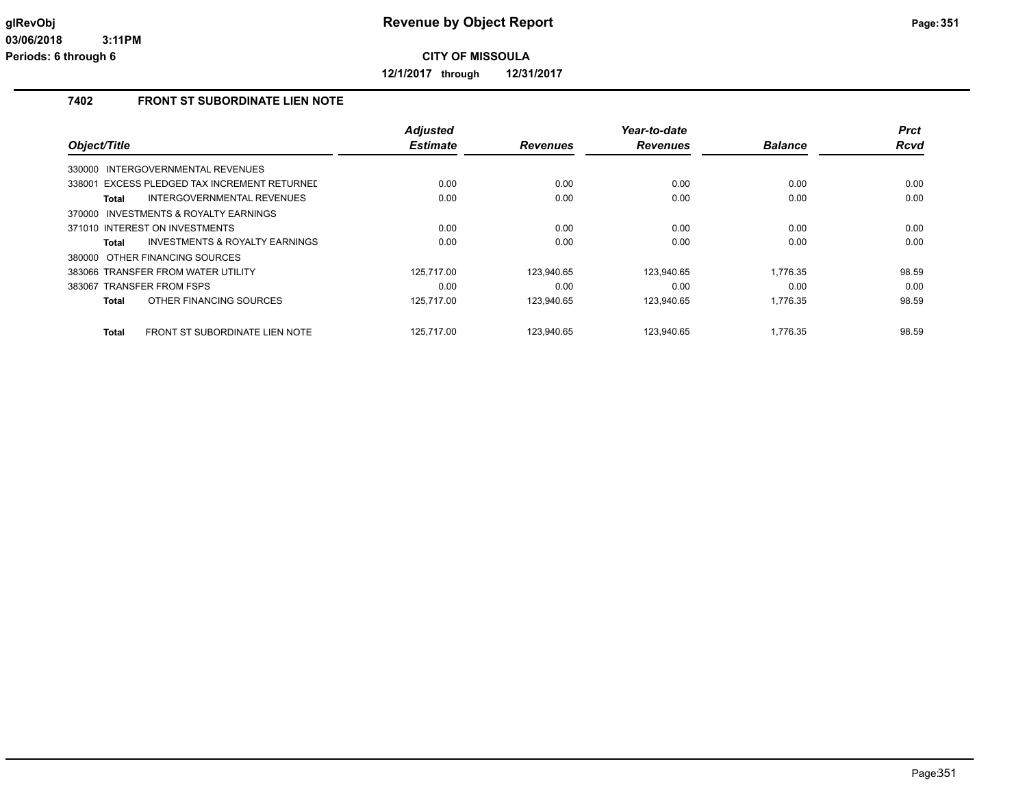**12/1/2017 through 12/31/2017**

## **7402 FRONT ST SUBORDINATE LIEN NOTE**

|                                                       | <b>Adjusted</b> |                 | Year-to-date    |                | <b>Prct</b> |
|-------------------------------------------------------|-----------------|-----------------|-----------------|----------------|-------------|
| Object/Title                                          | <b>Estimate</b> | <b>Revenues</b> | <b>Revenues</b> | <b>Balance</b> | Rcvd        |
| INTERGOVERNMENTAL REVENUES<br>330000                  |                 |                 |                 |                |             |
| 338001 EXCESS PLEDGED TAX INCREMENT RETURNED          | 0.00            | 0.00            | 0.00            | 0.00           | 0.00        |
| INTERGOVERNMENTAL REVENUES<br><b>Total</b>            | 0.00            | 0.00            | 0.00            | 0.00           | 0.00        |
| 370000 INVESTMENTS & ROYALTY EARNINGS                 |                 |                 |                 |                |             |
| 371010 INTEREST ON INVESTMENTS                        | 0.00            | 0.00            | 0.00            | 0.00           | 0.00        |
| <b>INVESTMENTS &amp; ROYALTY EARNINGS</b><br>Total    | 0.00            | 0.00            | 0.00            | 0.00           | 0.00        |
| 380000 OTHER FINANCING SOURCES                        |                 |                 |                 |                |             |
| 383066 TRANSFER FROM WATER UTILITY                    | 125.717.00      | 123.940.65      | 123.940.65      | 1.776.35       | 98.59       |
| 383067 TRANSFER FROM FSPS                             | 0.00            | 0.00            | 0.00            | 0.00           | 0.00        |
| OTHER FINANCING SOURCES<br><b>Total</b>               | 125.717.00      | 123,940.65      | 123,940.65      | 1.776.35       | 98.59       |
| <b>FRONT ST SUBORDINATE LIEN NOTE</b><br><b>Total</b> | 125.717.00      | 123.940.65      | 123.940.65      | 1.776.35       | 98.59       |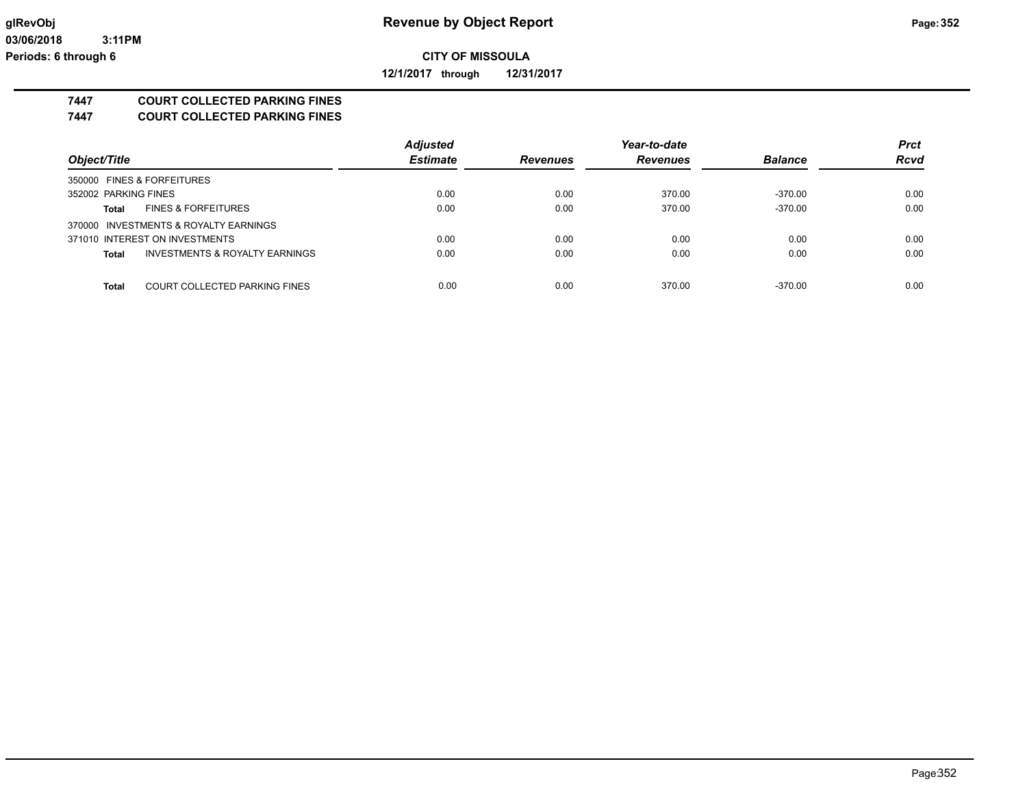**12/1/2017 through 12/31/2017**

## **7447 COURT COLLECTED PARKING FINES**

**7447 COURT COLLECTED PARKING FINES**

|                                               | <b>Adjusted</b> |                 | Year-to-date    |                | <b>Prct</b> |
|-----------------------------------------------|-----------------|-----------------|-----------------|----------------|-------------|
| Object/Title                                  | <b>Estimate</b> | <b>Revenues</b> | <b>Revenues</b> | <b>Balance</b> | <b>Rcvd</b> |
| 350000 FINES & FORFEITURES                    |                 |                 |                 |                |             |
| 352002 PARKING FINES                          | 0.00            | 0.00            | 370.00          | -370.00        | 0.00        |
| <b>FINES &amp; FORFEITURES</b><br>Total       | 0.00            | 0.00            | 370.00          | $-370.00$      | 0.00        |
| 370000 INVESTMENTS & ROYALTY EARNINGS         |                 |                 |                 |                |             |
| 371010 INTEREST ON INVESTMENTS                | 0.00            | 0.00            | 0.00            | 0.00           | 0.00        |
| INVESTMENTS & ROYALTY EARNINGS<br>Total       | 0.00            | 0.00            | 0.00            | 0.00           | 0.00        |
|                                               |                 |                 |                 |                |             |
| COURT COLLECTED PARKING FINES<br><b>Total</b> | 0.00            | 0.00            | 370.00          | $-370.00$      | 0.00        |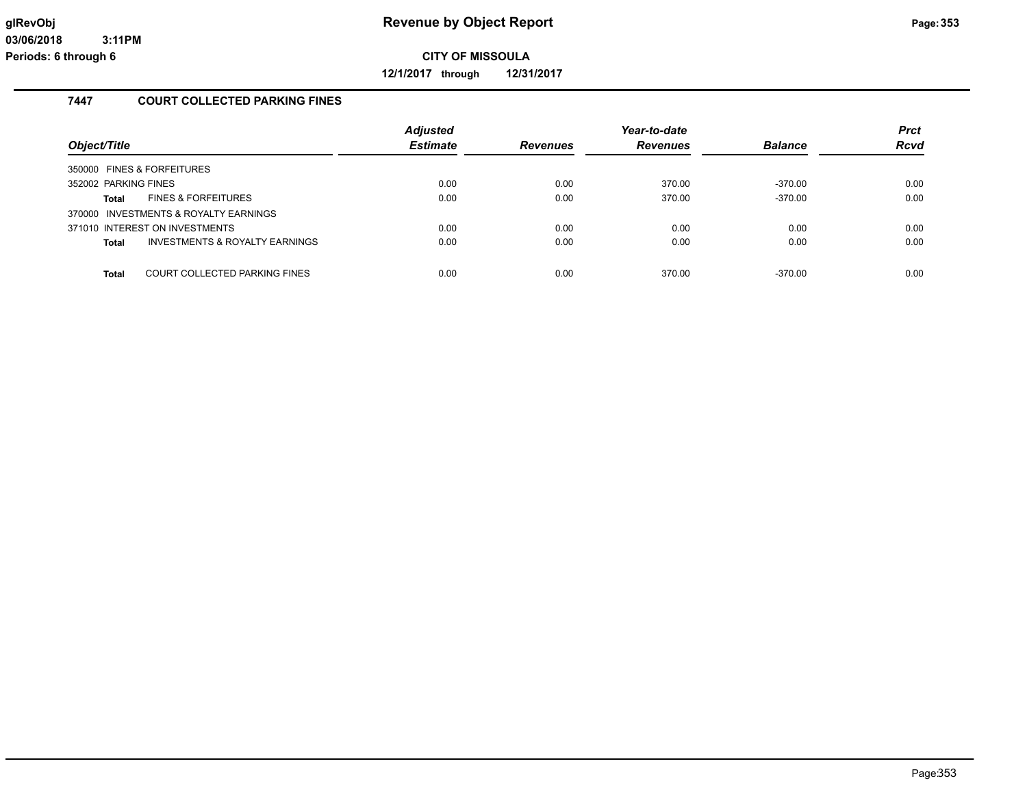**12/1/2017 through 12/31/2017**

## **7447 COURT COLLECTED PARKING FINES**

| Object/Title                   |                                           | <b>Adjusted</b><br><b>Estimate</b> | <b>Revenues</b> | Year-to-date<br><b>Revenues</b> | <b>Balance</b> | <b>Prct</b><br>Rcvd |
|--------------------------------|-------------------------------------------|------------------------------------|-----------------|---------------------------------|----------------|---------------------|
| 350000 FINES & FORFEITURES     |                                           |                                    |                 |                                 |                |                     |
| 352002 PARKING FINES           |                                           | 0.00                               | 0.00            | 370.00                          | $-370.00$      | 0.00                |
| Total                          | <b>FINES &amp; FORFEITURES</b>            | 0.00                               | 0.00            | 370.00                          | $-370.00$      | 0.00                |
|                                | 370000 INVESTMENTS & ROYALTY EARNINGS     |                                    |                 |                                 |                |                     |
| 371010 INTEREST ON INVESTMENTS |                                           | 0.00                               | 0.00            | 0.00                            | 0.00           | 0.00                |
| <b>Total</b>                   | <b>INVESTMENTS &amp; ROYALTY EARNINGS</b> | 0.00                               | 0.00            | 0.00                            | 0.00           | 0.00                |
|                                |                                           |                                    |                 |                                 |                |                     |
| <b>Total</b>                   | COURT COLLECTED PARKING FINES             | 0.00                               | 0.00            | 370.00                          | $-370.00$      | 0.00                |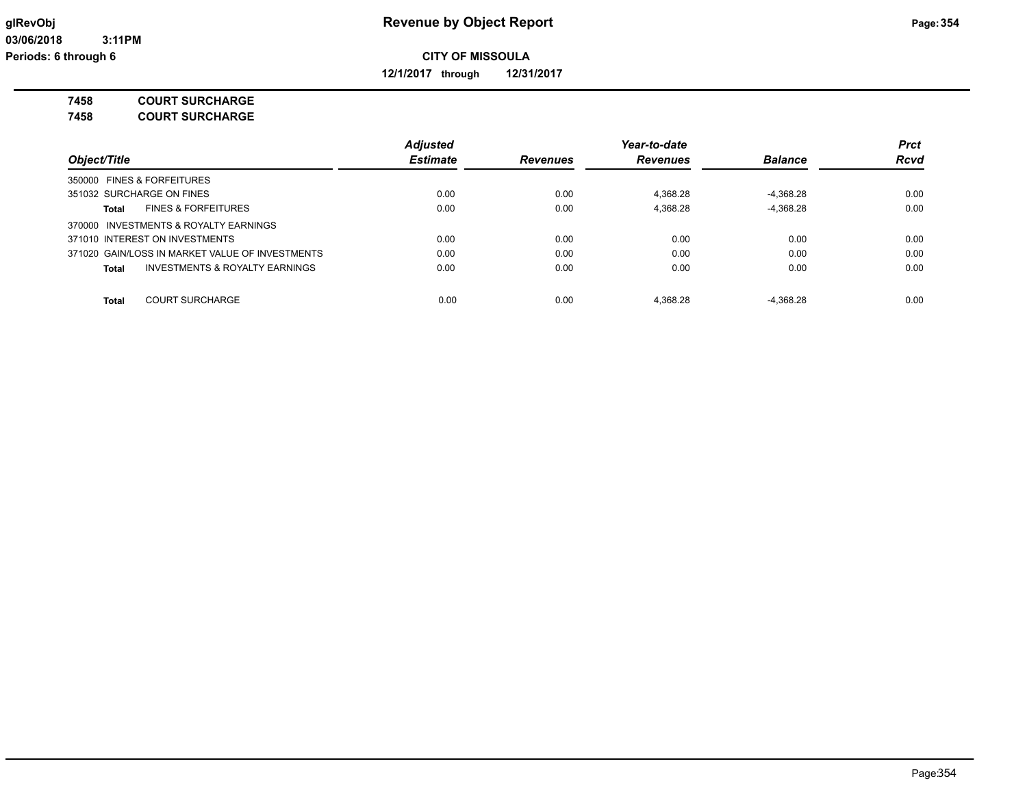**12/1/2017 through 12/31/2017**

**7458 COURT SURCHARGE**

**7458 COURT SURCHARGE**

|                                                 | <b>Adjusted</b> |                 | Year-to-date    |                | <b>Prct</b> |
|-------------------------------------------------|-----------------|-----------------|-----------------|----------------|-------------|
| Object/Title                                    | <b>Estimate</b> | <b>Revenues</b> | <b>Revenues</b> | <b>Balance</b> | <b>Rcvd</b> |
| 350000 FINES & FORFEITURES                      |                 |                 |                 |                |             |
| 351032 SURCHARGE ON FINES                       | 0.00            | 0.00            | 4.368.28        | $-4.368.28$    | 0.00        |
| <b>FINES &amp; FORFEITURES</b><br>Total         | 0.00            | 0.00            | 4.368.28        | $-4.368.28$    | 0.00        |
| 370000 INVESTMENTS & ROYALTY EARNINGS           |                 |                 |                 |                |             |
| 371010 INTEREST ON INVESTMENTS                  | 0.00            | 0.00            | 0.00            | 0.00           | 0.00        |
| 371020 GAIN/LOSS IN MARKET VALUE OF INVESTMENTS | 0.00            | 0.00            | 0.00            | 0.00           | 0.00        |
| INVESTMENTS & ROYALTY EARNINGS<br>Total         | 0.00            | 0.00            | 0.00            | 0.00           | 0.00        |
|                                                 |                 |                 |                 |                |             |
| <b>COURT SURCHARGE</b><br><b>Total</b>          | 0.00            | 0.00            | 4.368.28        | $-4.368.28$    | 0.00        |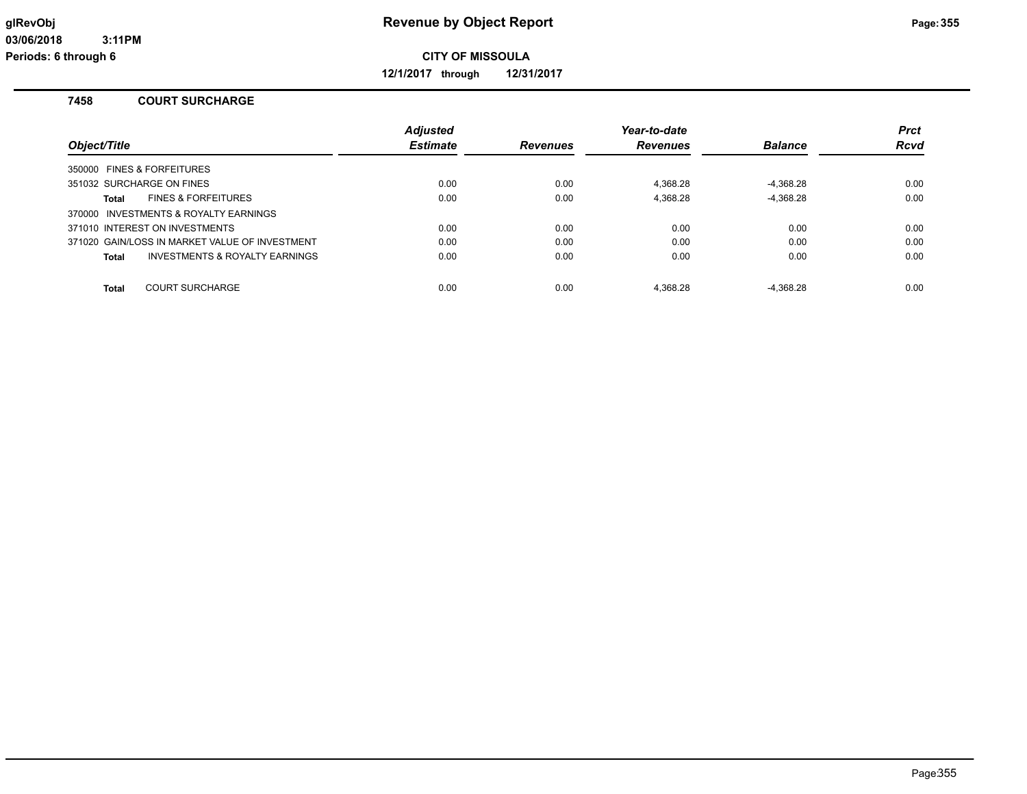**12/1/2017 through 12/31/2017**

#### **7458 COURT SURCHARGE**

|                                                | <b>Adjusted</b> |                 | Year-to-date    |                | <b>Prct</b> |
|------------------------------------------------|-----------------|-----------------|-----------------|----------------|-------------|
| Object/Title                                   | <b>Estimate</b> | <b>Revenues</b> | <b>Revenues</b> | <b>Balance</b> | <b>Rcvd</b> |
| 350000 FINES & FORFEITURES                     |                 |                 |                 |                |             |
| 351032 SURCHARGE ON FINES                      | 0.00            | 0.00            | 4.368.28        | -4,368.28      | 0.00        |
| <b>FINES &amp; FORFEITURES</b><br>Total        | 0.00            | 0.00            | 4.368.28        | $-4,368.28$    | 0.00        |
| 370000 INVESTMENTS & ROYALTY EARNINGS          |                 |                 |                 |                |             |
| 371010 INTEREST ON INVESTMENTS                 | 0.00            | 0.00            | 0.00            | 0.00           | 0.00        |
| 371020 GAIN/LOSS IN MARKET VALUE OF INVESTMENT | 0.00            | 0.00            | 0.00            | 0.00           | 0.00        |
| INVESTMENTS & ROYALTY EARNINGS<br>Total        | 0.00            | 0.00            | 0.00            | 0.00           | 0.00        |
| <b>COURT SURCHARGE</b><br>Total                | 0.00            | 0.00            | 4.368.28        | $-4.368.28$    | 0.00        |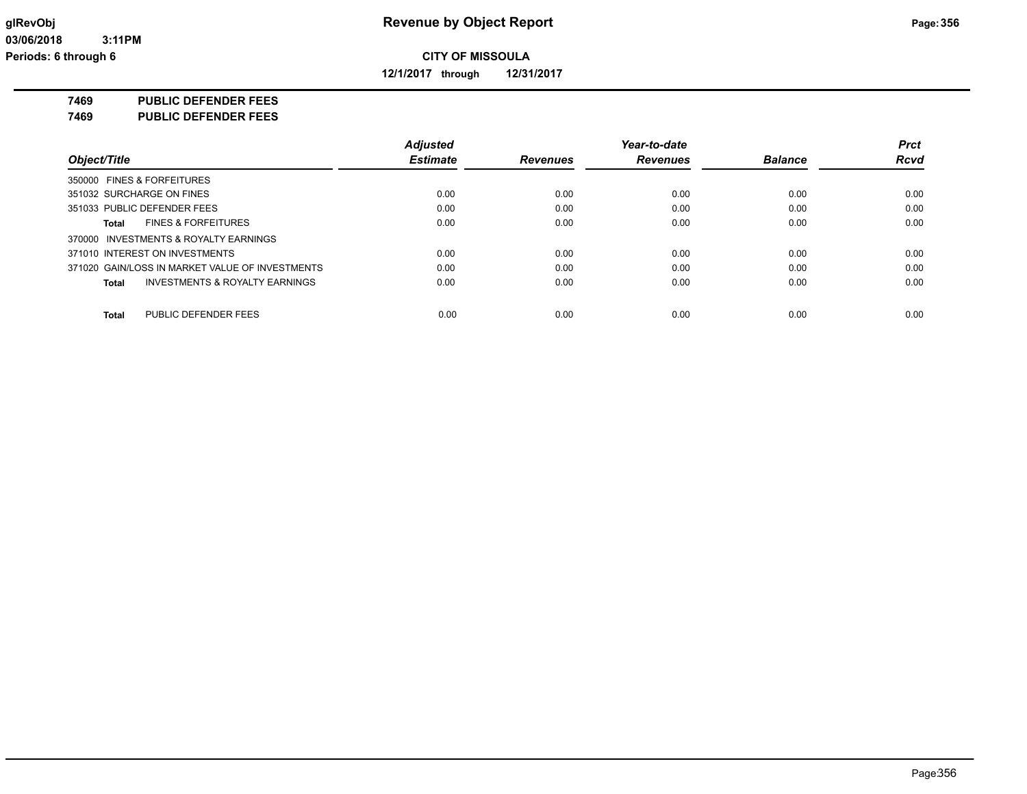**12/1/2017 through 12/31/2017**

**7469 PUBLIC DEFENDER FEES**

**7469 PUBLIC DEFENDER FEES**

|                                                 | <b>Adjusted</b> |                 | Year-to-date    |                | <b>Prct</b> |
|-------------------------------------------------|-----------------|-----------------|-----------------|----------------|-------------|
| Object/Title                                    | <b>Estimate</b> | <b>Revenues</b> | <b>Revenues</b> | <b>Balance</b> | <b>Rcvd</b> |
| 350000 FINES & FORFEITURES                      |                 |                 |                 |                |             |
| 351032 SURCHARGE ON FINES                       | 0.00            | 0.00            | 0.00            | 0.00           | 0.00        |
| 351033 PUBLIC DEFENDER FEES                     | 0.00            | 0.00            | 0.00            | 0.00           | 0.00        |
| <b>FINES &amp; FORFEITURES</b><br>Total         | 0.00            | 0.00            | 0.00            | 0.00           | 0.00        |
| 370000 INVESTMENTS & ROYALTY EARNINGS           |                 |                 |                 |                |             |
| 371010 INTEREST ON INVESTMENTS                  | 0.00            | 0.00            | 0.00            | 0.00           | 0.00        |
| 371020 GAIN/LOSS IN MARKET VALUE OF INVESTMENTS | 0.00            | 0.00            | 0.00            | 0.00           | 0.00        |
| INVESTMENTS & ROYALTY EARNINGS<br>Total         | 0.00            | 0.00            | 0.00            | 0.00           | 0.00        |
| PUBLIC DEFENDER FEES<br><b>Total</b>            | 0.00            | 0.00            | 0.00            | 0.00           | 0.00        |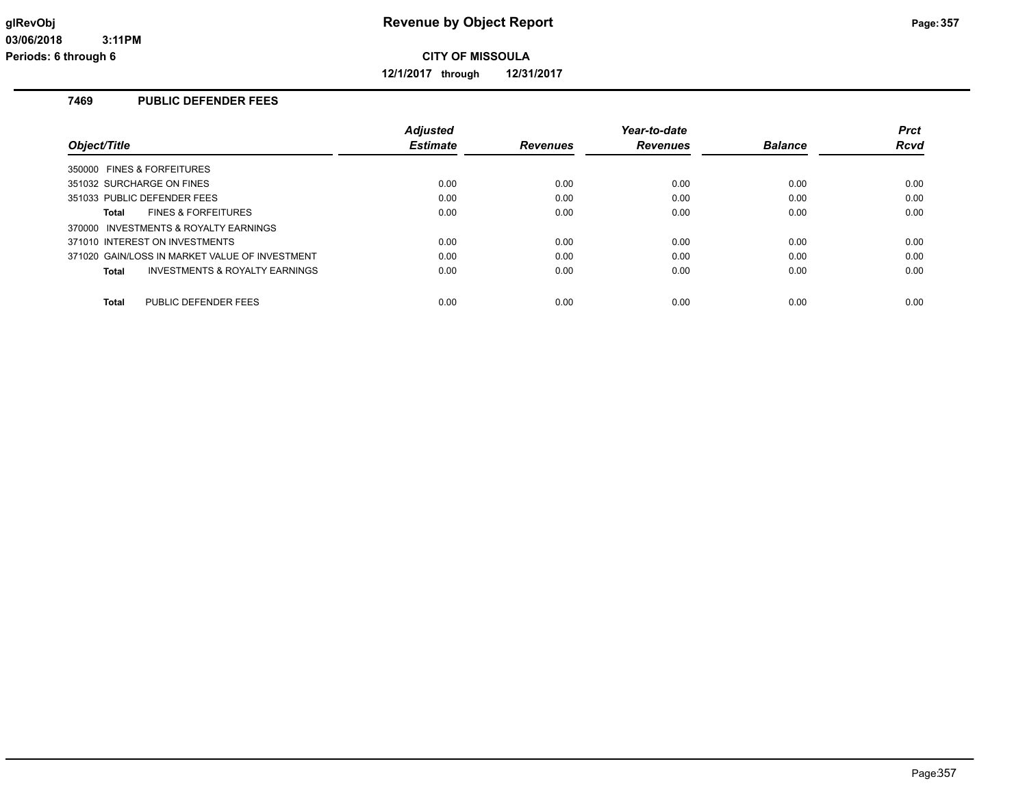**12/1/2017 through 12/31/2017**

## **7469 PUBLIC DEFENDER FEES**

|                                                    | <b>Adjusted</b> |                 | Year-to-date    |                | <b>Prct</b> |
|----------------------------------------------------|-----------------|-----------------|-----------------|----------------|-------------|
| Object/Title                                       | <b>Estimate</b> | <b>Revenues</b> | <b>Revenues</b> | <b>Balance</b> | Rcvd        |
| 350000 FINES & FORFEITURES                         |                 |                 |                 |                |             |
| 351032 SURCHARGE ON FINES                          | 0.00            | 0.00            | 0.00            | 0.00           | 0.00        |
| 351033 PUBLIC DEFENDER FEES                        | 0.00            | 0.00            | 0.00            | 0.00           | 0.00        |
| <b>FINES &amp; FORFEITURES</b><br>Total            | 0.00            | 0.00            | 0.00            | 0.00           | 0.00        |
| 370000 INVESTMENTS & ROYALTY EARNINGS              |                 |                 |                 |                |             |
| 371010 INTEREST ON INVESTMENTS                     | 0.00            | 0.00            | 0.00            | 0.00           | 0.00        |
| 371020 GAIN/LOSS IN MARKET VALUE OF INVESTMENT     | 0.00            | 0.00            | 0.00            | 0.00           | 0.00        |
| <b>INVESTMENTS &amp; ROYALTY EARNINGS</b><br>Total | 0.00            | 0.00            | 0.00            | 0.00           | 0.00        |
|                                                    |                 |                 |                 |                |             |
| PUBLIC DEFENDER FEES<br><b>Total</b>               | 0.00            | 0.00            | 0.00            | 0.00           | 0.00        |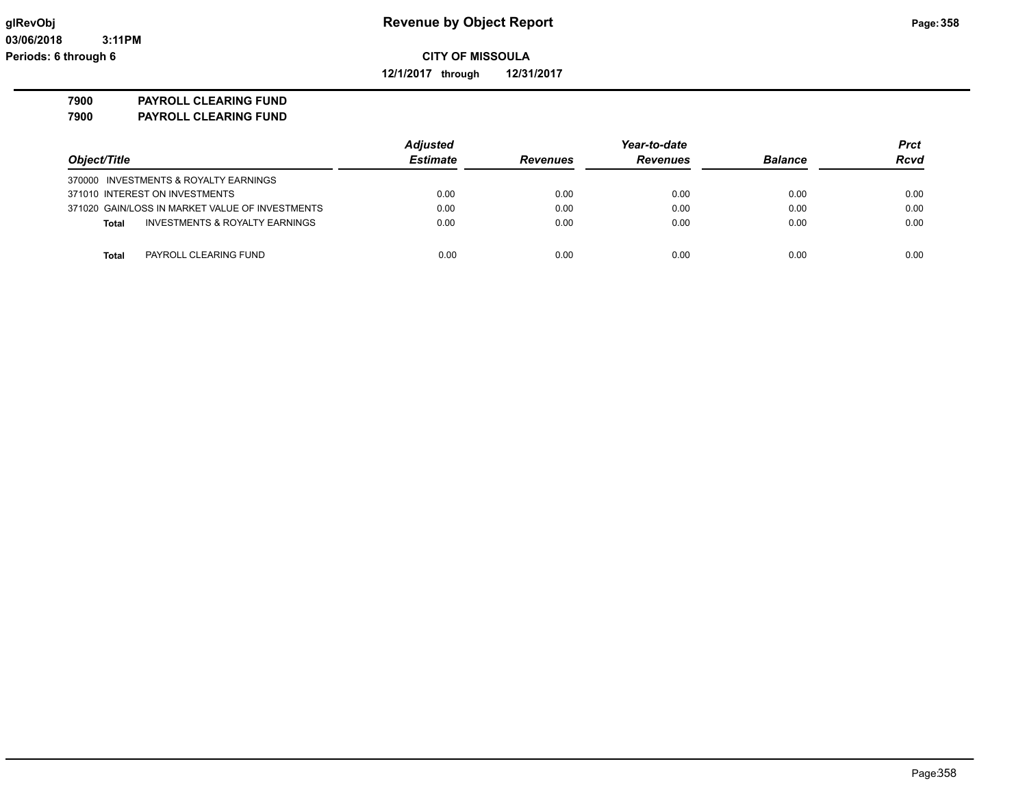**12/1/2017 through 12/31/2017**

**7900 PAYROLL CLEARING FUND**

**7900 PAYROLL CLEARING FUND**

|                                                 | <b>Adjusted</b> |                 | Year-to-date    |                | <b>Prct</b> |  |
|-------------------------------------------------|-----------------|-----------------|-----------------|----------------|-------------|--|
| Object/Title                                    | <b>Estimate</b> | <b>Revenues</b> | <b>Revenues</b> | <b>Balance</b> | <b>Rcvd</b> |  |
| 370000 INVESTMENTS & ROYALTY EARNINGS           |                 |                 |                 |                |             |  |
| 371010 INTEREST ON INVESTMENTS                  | 0.00            | 0.00            | 0.00            | 0.00           | 0.00        |  |
| 371020 GAIN/LOSS IN MARKET VALUE OF INVESTMENTS | 0.00            | 0.00            | 0.00            | 0.00           | 0.00        |  |
| INVESTMENTS & ROYALTY EARNINGS<br>Total         | 0.00            | 0.00            | 0.00            | 0.00           | 0.00        |  |
|                                                 |                 |                 |                 |                |             |  |
| PAYROLL CLEARING FUND<br><b>Total</b>           | 0.00            | 0.00            | 0.00            | 0.00           | 0.00        |  |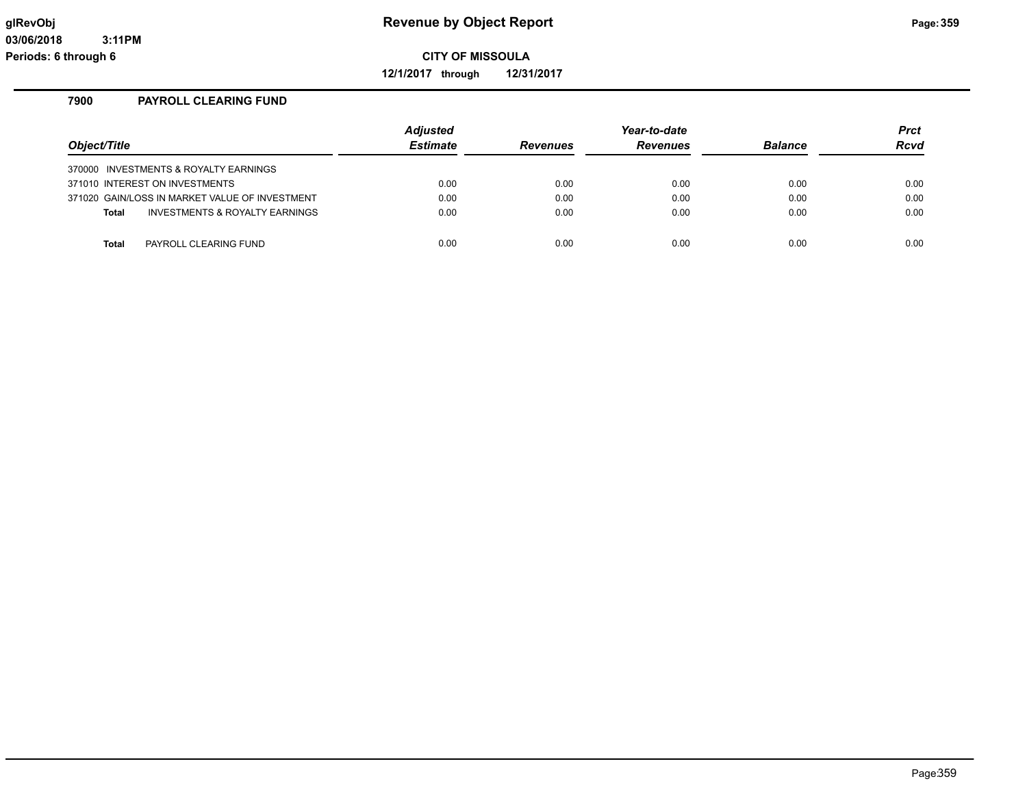**12/1/2017 through 12/31/2017**

#### **7900 PAYROLL CLEARING FUND**

| Object/Title                                                            | <b>Adjusted</b><br><b>Estimate</b> | <b>Revenues</b> | Year-to-date<br><b>Revenues</b> | <b>Balance</b> | <b>Prct</b><br>Rcvd |
|-------------------------------------------------------------------------|------------------------------------|-----------------|---------------------------------|----------------|---------------------|
|                                                                         |                                    |                 |                                 |                |                     |
| 370000 INVESTMENTS & ROYALTY EARNINGS<br>371010 INTEREST ON INVESTMENTS | 0.00                               | 0.00            | 0.00                            | 0.00           | 0.00                |
| 371020 GAIN/LOSS IN MARKET VALUE OF INVESTMENT                          | 0.00                               | 0.00            | 0.00                            | 0.00           | 0.00                |
| INVESTMENTS & ROYALTY EARNINGS<br><b>Total</b>                          | 0.00                               | 0.00            | 0.00                            | 0.00           | 0.00                |
|                                                                         |                                    |                 |                                 |                |                     |
| PAYROLL CLEARING FUND<br><b>Total</b>                                   | 0.00                               | 0.00            | 0.00                            | 0.00           | 0.00                |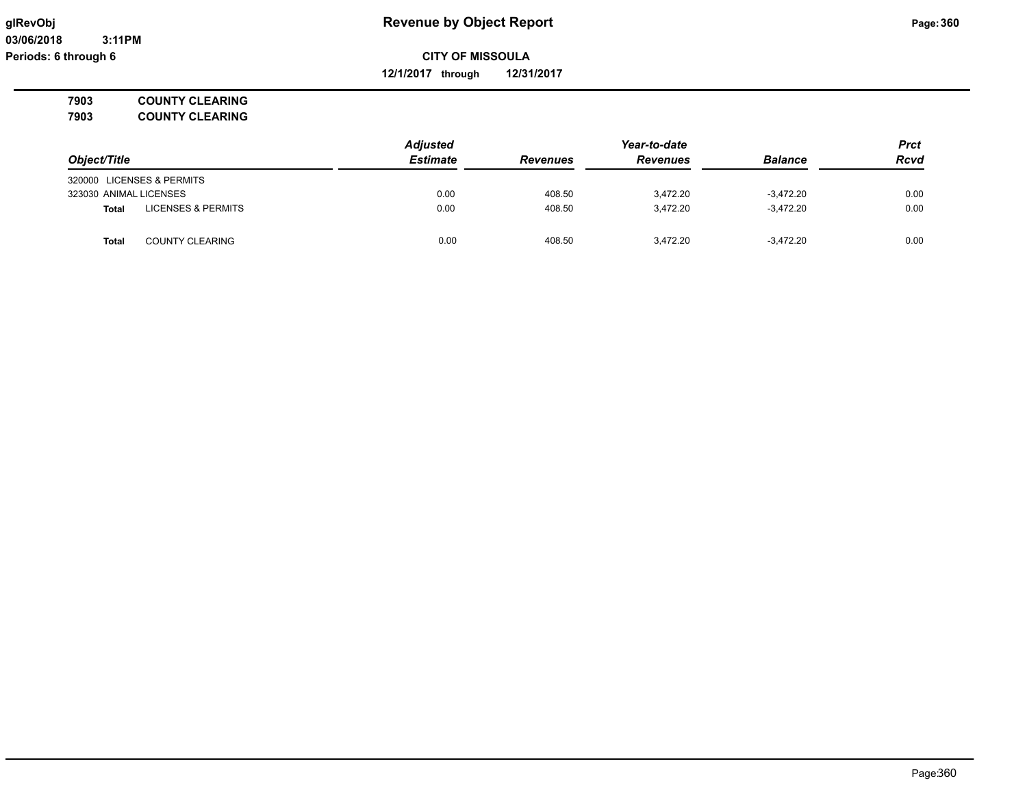**12/1/2017 through 12/31/2017**

**7903 COUNTY CLEARING 7903 COUNTY CLEARING**

*Object/Title Adjusted Estimate Revenues Year-to-date Revenues Balance Prct Rcvd* 320000 LICENSES & PERMITS 323030 ANIMAL LICENSES 0.00 408.50 3,472.20 -3,472.20 0.00 **Total** LICENSES & PERMITS 0.00 0.00 408.50 3,472.20 3,472.20 3,472.20 3,472.20 0.00 **Total** COUNTY CLEARING 0.00 408.50 3,472.20 -3,472.20 0.00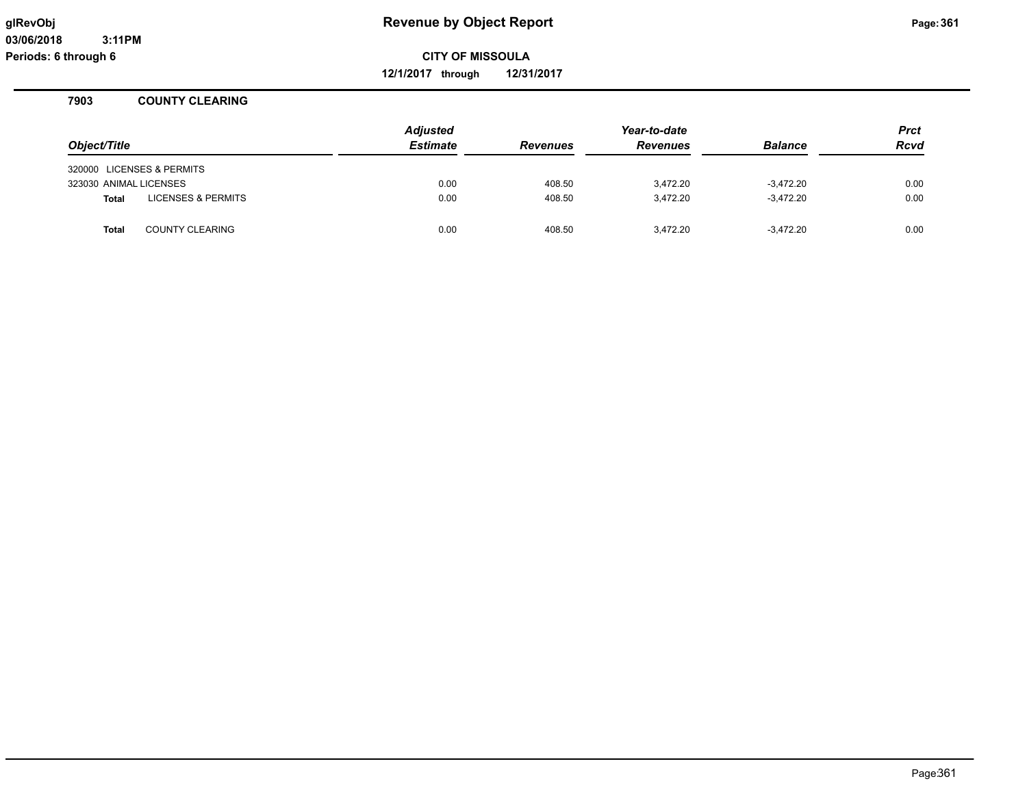**12/1/2017 through 12/31/2017**

### **7903 COUNTY CLEARING**

| Object/Title           |                               | <b>Adjusted</b><br><b>Estimate</b> | <b>Revenues</b> | Year-to-date<br><b>Revenues</b> | <b>Balance</b> | <b>Prct</b><br><b>Rcvd</b> |
|------------------------|-------------------------------|------------------------------------|-----------------|---------------------------------|----------------|----------------------------|
|                        | 320000 LICENSES & PERMITS     |                                    |                 |                                 |                |                            |
| 323030 ANIMAL LICENSES |                               | 0.00                               | 408.50          | 3.472.20                        | $-3.472.20$    | 0.00                       |
| Total                  | <b>LICENSES &amp; PERMITS</b> | 0.00                               | 408.50          | 3.472.20                        | $-3.472.20$    | 0.00                       |
| <b>Total</b>           | <b>COUNTY CLEARING</b>        | 0.00                               | 408.50          | 3,472.20                        | $-3.472.20$    | 0.00                       |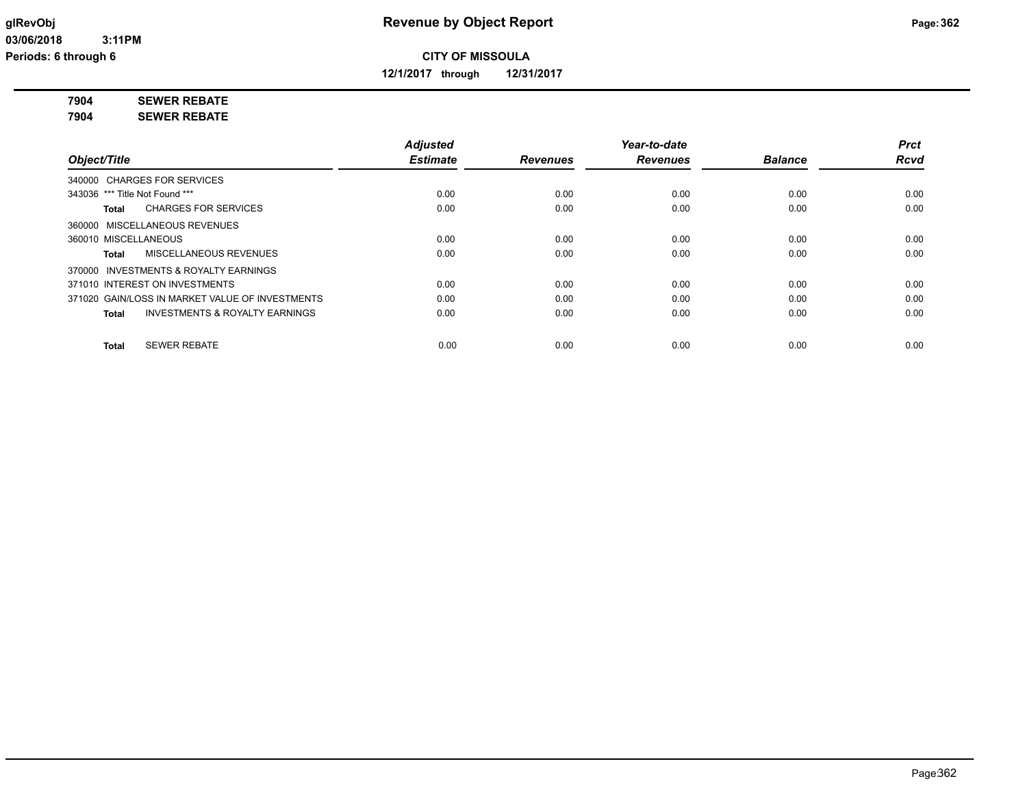**12/1/2017 through 12/31/2017**

# **7904 SEWER REBATE**

**7904 SEWER REBATE**

|                                                           | <b>Adjusted</b> |                 | Year-to-date    |                | <b>Prct</b> |
|-----------------------------------------------------------|-----------------|-----------------|-----------------|----------------|-------------|
| Object/Title                                              | <b>Estimate</b> | <b>Revenues</b> | <b>Revenues</b> | <b>Balance</b> | <b>Rcvd</b> |
| 340000 CHARGES FOR SERVICES                               |                 |                 |                 |                |             |
| 343036 *** Title Not Found ***                            | 0.00            | 0.00            | 0.00            | 0.00           | 0.00        |
| <b>CHARGES FOR SERVICES</b><br>Total                      | 0.00            | 0.00            | 0.00            | 0.00           | 0.00        |
| 360000 MISCELLANEOUS REVENUES                             |                 |                 |                 |                |             |
| 360010 MISCELLANEOUS                                      | 0.00            | 0.00            | 0.00            | 0.00           | 0.00        |
| MISCELLANEOUS REVENUES<br>Total                           | 0.00            | 0.00            | 0.00            | 0.00           | 0.00        |
| 370000 INVESTMENTS & ROYALTY EARNINGS                     |                 |                 |                 |                |             |
| 371010 INTEREST ON INVESTMENTS                            | 0.00            | 0.00            | 0.00            | 0.00           | 0.00        |
| 371020 GAIN/LOSS IN MARKET VALUE OF INVESTMENTS           | 0.00            | 0.00            | 0.00            | 0.00           | 0.00        |
| <b>INVESTMENTS &amp; ROYALTY EARNINGS</b><br><b>Total</b> | 0.00            | 0.00            | 0.00            | 0.00           | 0.00        |
| <b>SEWER REBATE</b><br><b>Total</b>                       | 0.00            | 0.00            | 0.00            | 0.00           | 0.00        |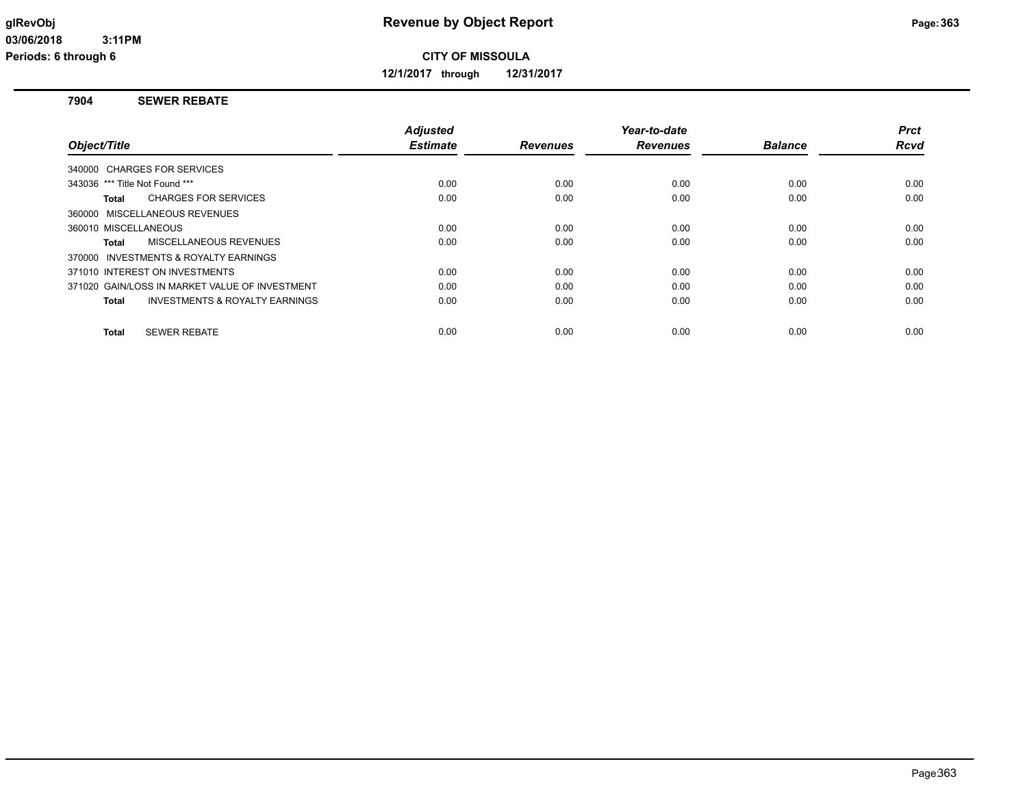**12/1/2017 through 12/31/2017**

### **7904 SEWER REBATE**

|                                                    | <b>Adjusted</b> |                 | Year-to-date    |                | <b>Prct</b> |
|----------------------------------------------------|-----------------|-----------------|-----------------|----------------|-------------|
| Object/Title                                       | <b>Estimate</b> | <b>Revenues</b> | <b>Revenues</b> | <b>Balance</b> | Rcvd        |
| 340000 CHARGES FOR SERVICES                        |                 |                 |                 |                |             |
| 343036 *** Title Not Found ***                     | 0.00            | 0.00            | 0.00            | 0.00           | 0.00        |
| <b>CHARGES FOR SERVICES</b><br>Total               | 0.00            | 0.00            | 0.00            | 0.00           | 0.00        |
| 360000 MISCELLANEOUS REVENUES                      |                 |                 |                 |                |             |
| 360010 MISCELLANEOUS                               | 0.00            | 0.00            | 0.00            | 0.00           | 0.00        |
| MISCELLANEOUS REVENUES<br>Total                    | 0.00            | 0.00            | 0.00            | 0.00           | 0.00        |
| 370000 INVESTMENTS & ROYALTY EARNINGS              |                 |                 |                 |                |             |
| 371010 INTEREST ON INVESTMENTS                     | 0.00            | 0.00            | 0.00            | 0.00           | 0.00        |
| 371020 GAIN/LOSS IN MARKET VALUE OF INVESTMENT     | 0.00            | 0.00            | 0.00            | 0.00           | 0.00        |
| <b>INVESTMENTS &amp; ROYALTY EARNINGS</b><br>Total | 0.00            | 0.00            | 0.00            | 0.00           | 0.00        |
|                                                    |                 |                 |                 |                |             |
| <b>SEWER REBATE</b><br>Total                       | 0.00            | 0.00            | 0.00            | 0.00           | 0.00        |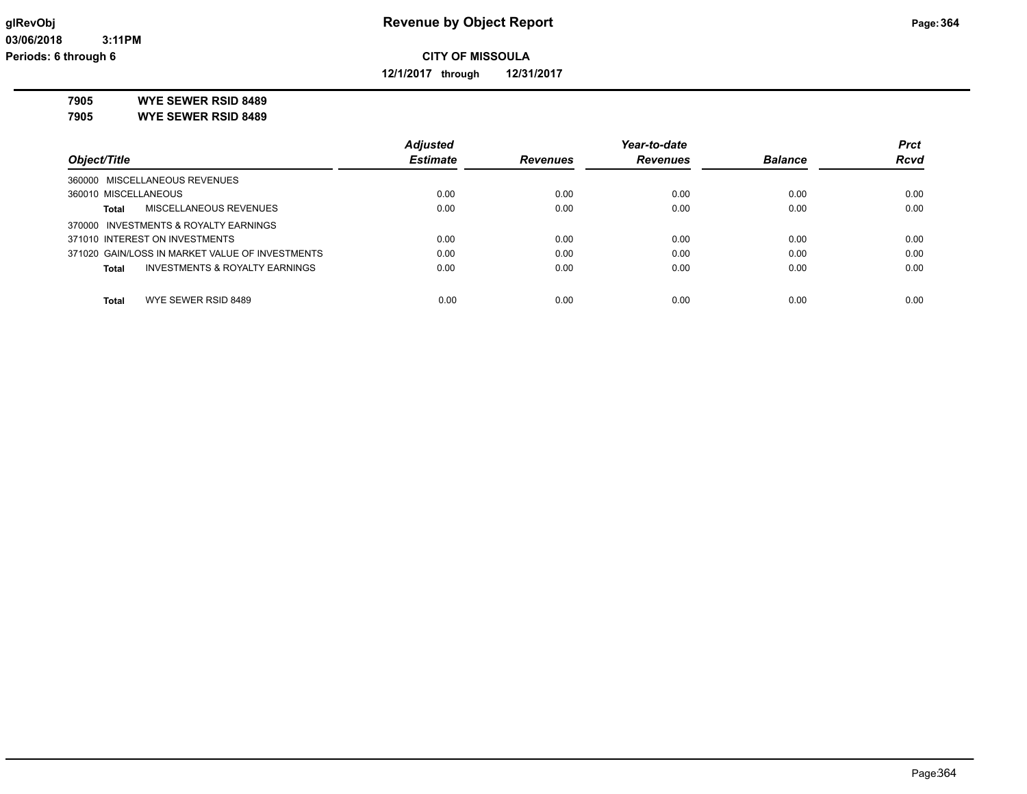**12/1/2017 through 12/31/2017**

**7905 WYE SEWER RSID 8489**

**7905 WYE SEWER RSID 8489**

|                                                 | <b>Adjusted</b> |                 | Year-to-date    |                | <b>Prct</b> |
|-------------------------------------------------|-----------------|-----------------|-----------------|----------------|-------------|
| Object/Title                                    | <b>Estimate</b> | <b>Revenues</b> | <b>Revenues</b> | <b>Balance</b> | <b>Rcvd</b> |
| 360000 MISCELLANEOUS REVENUES                   |                 |                 |                 |                |             |
| 360010 MISCELLANEOUS                            | 0.00            | 0.00            | 0.00            | 0.00           | 0.00        |
| MISCELLANEOUS REVENUES<br>Total                 | 0.00            | 0.00            | 0.00            | 0.00           | 0.00        |
| 370000 INVESTMENTS & ROYALTY EARNINGS           |                 |                 |                 |                |             |
| 371010 INTEREST ON INVESTMENTS                  | 0.00            | 0.00            | 0.00            | 0.00           | 0.00        |
| 371020 GAIN/LOSS IN MARKET VALUE OF INVESTMENTS | 0.00            | 0.00            | 0.00            | 0.00           | 0.00        |
| INVESTMENTS & ROYALTY EARNINGS<br>Total         | 0.00            | 0.00            | 0.00            | 0.00           | 0.00        |
|                                                 |                 |                 |                 |                |             |
| WYE SEWER RSID 8489<br><b>Total</b>             | 0.00            | 0.00            | 0.00            | 0.00           | 0.00        |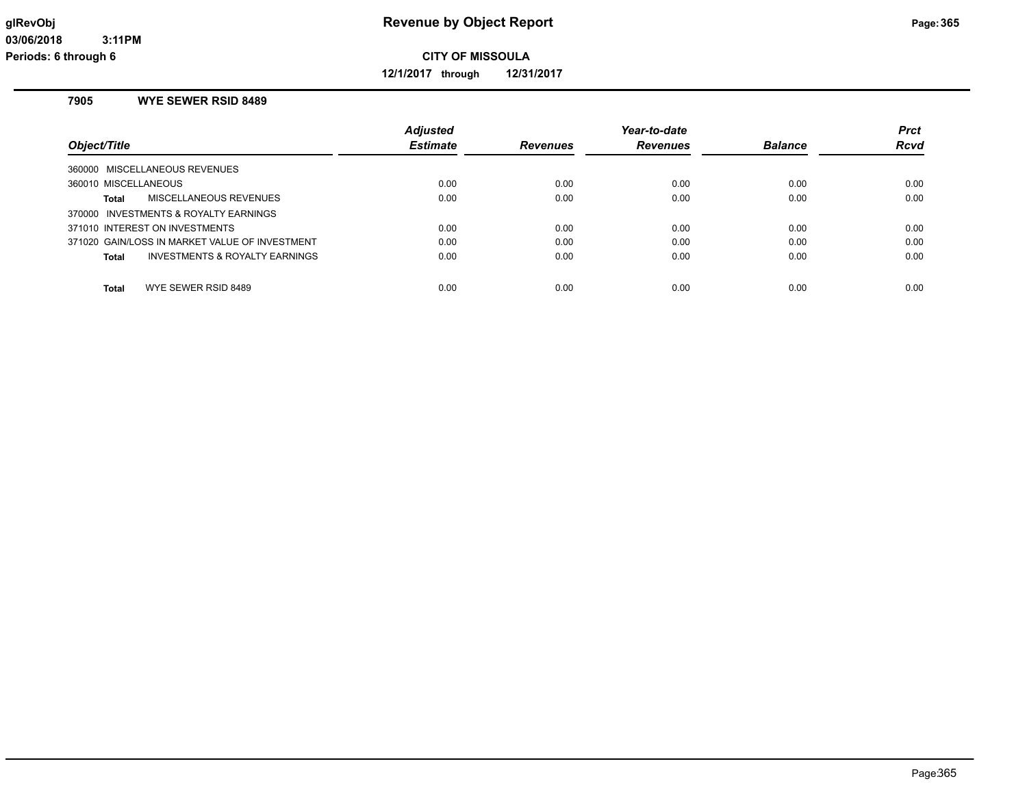**12/1/2017 through 12/31/2017**

# **7905 WYE SEWER RSID 8489**

| Object/Title                                   | <b>Adjusted</b><br><b>Estimate</b> | <b>Revenues</b> | Year-to-date<br><b>Revenues</b> | <b>Balance</b> | <b>Prct</b><br>Rcvd |
|------------------------------------------------|------------------------------------|-----------------|---------------------------------|----------------|---------------------|
| 360000 MISCELLANEOUS REVENUES                  |                                    |                 |                                 |                |                     |
| 360010 MISCELLANEOUS                           | 0.00                               | 0.00            | 0.00                            | 0.00           | 0.00                |
| MISCELLANEOUS REVENUES<br><b>Total</b>         | 0.00                               | 0.00            | 0.00                            | 0.00           | 0.00                |
| 370000 INVESTMENTS & ROYALTY EARNINGS          |                                    |                 |                                 |                |                     |
| 371010 INTEREST ON INVESTMENTS                 | 0.00                               | 0.00            | 0.00                            | 0.00           | 0.00                |
| 371020 GAIN/LOSS IN MARKET VALUE OF INVESTMENT | 0.00                               | 0.00            | 0.00                            | 0.00           | 0.00                |
| INVESTMENTS & ROYALTY EARNINGS<br><b>Total</b> | 0.00                               | 0.00            | 0.00                            | 0.00           | 0.00                |
| WYE SEWER RSID 8489<br>Total                   | 0.00                               | 0.00            | 0.00                            | 0.00           | 0.00                |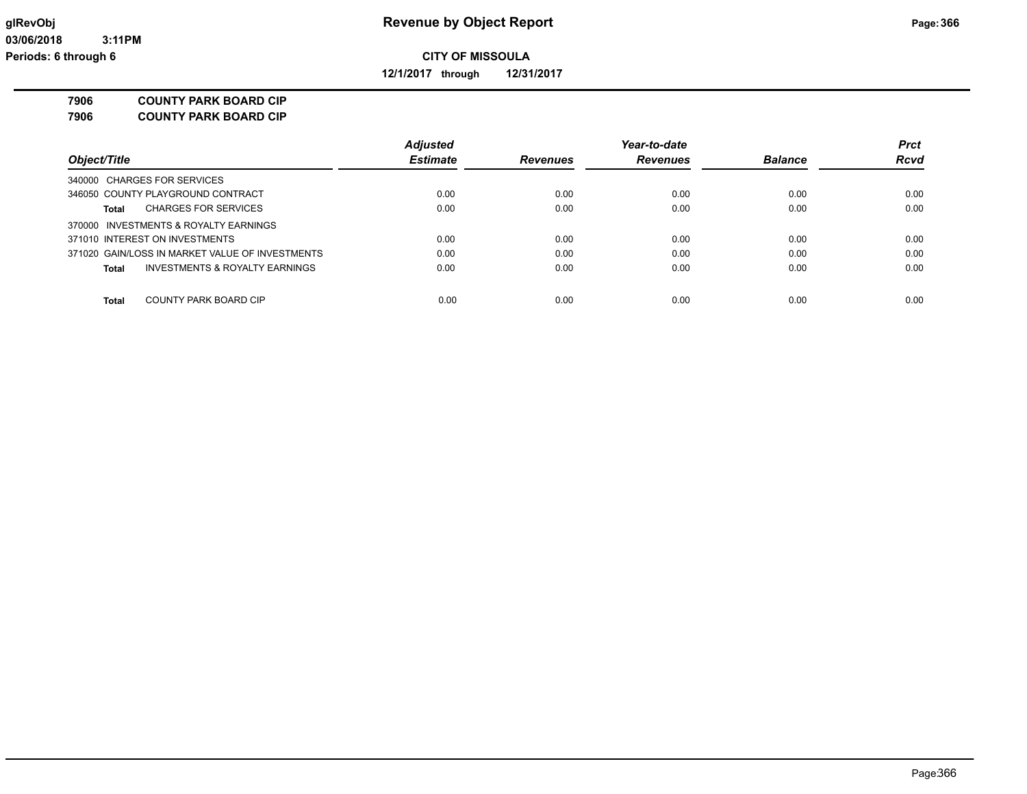**12/1/2017 through 12/31/2017**

**7906 COUNTY PARK BOARD CIP**

| <b>COUNTY PARK BOARD CIP</b><br>7906 |
|--------------------------------------|
|--------------------------------------|

|                                                 | <b>Adjusted</b> |                 | Year-to-date    |                | <b>Prct</b> |
|-------------------------------------------------|-----------------|-----------------|-----------------|----------------|-------------|
| Object/Title                                    | <b>Estimate</b> | <b>Revenues</b> | <b>Revenues</b> | <b>Balance</b> | Rcvd        |
| 340000 CHARGES FOR SERVICES                     |                 |                 |                 |                |             |
| 346050 COUNTY PLAYGROUND CONTRACT               | 0.00            | 0.00            | 0.00            | 0.00           | 0.00        |
| <b>CHARGES FOR SERVICES</b><br>Total            | 0.00            | 0.00            | 0.00            | 0.00           | 0.00        |
| 370000 INVESTMENTS & ROYALTY EARNINGS           |                 |                 |                 |                |             |
| 371010 INTEREST ON INVESTMENTS                  | 0.00            | 0.00            | 0.00            | 0.00           | 0.00        |
| 371020 GAIN/LOSS IN MARKET VALUE OF INVESTMENTS | 0.00            | 0.00            | 0.00            | 0.00           | 0.00        |
| INVESTMENTS & ROYALTY EARNINGS<br><b>Total</b>  | 0.00            | 0.00            | 0.00            | 0.00           | 0.00        |
|                                                 |                 |                 |                 |                |             |
| COUNTY PARK BOARD CIP<br>Total                  | 0.00            | 0.00            | 0.00            | 0.00           | 0.00        |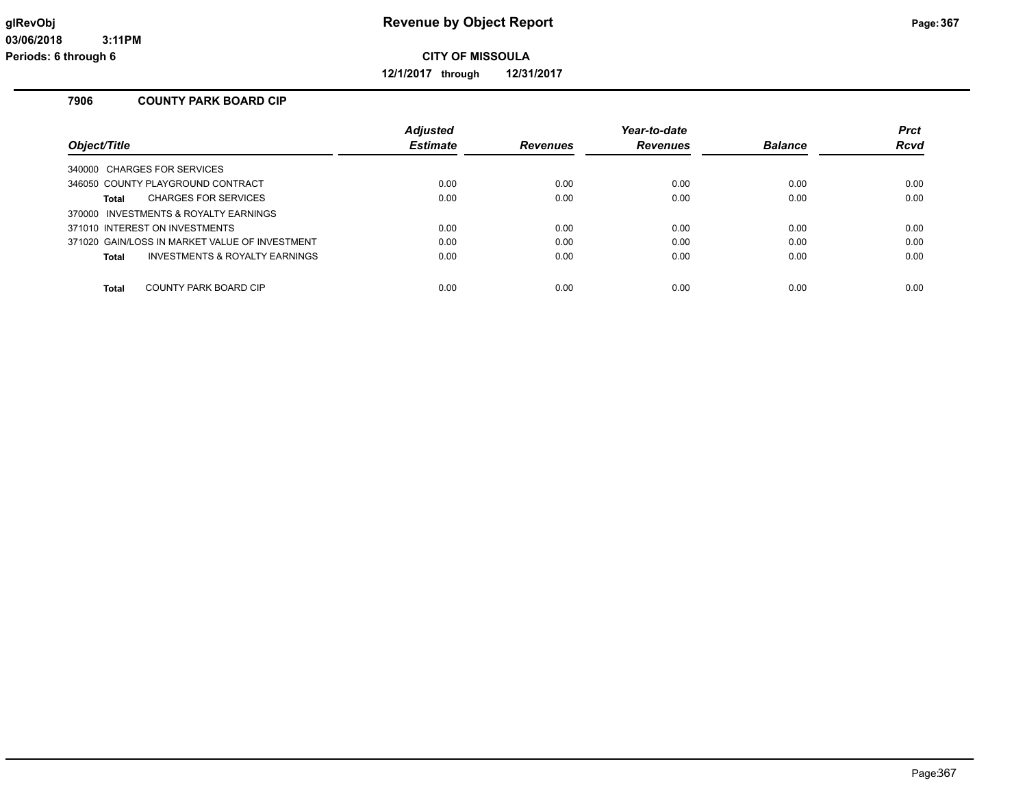**12/1/2017 through 12/31/2017**

# **7906 COUNTY PARK BOARD CIP**

|                                                | <b>Adjusted</b> |          | Year-to-date |                | <b>Prct</b> |
|------------------------------------------------|-----------------|----------|--------------|----------------|-------------|
| Object/Title                                   | <b>Estimate</b> | Revenues | Revenues     | <b>Balance</b> | Rcvd        |
| 340000 CHARGES FOR SERVICES                    |                 |          |              |                |             |
| 346050 COUNTY PLAYGROUND CONTRACT              | 0.00            | 0.00     | 0.00         | 0.00           | 0.00        |
| <b>CHARGES FOR SERVICES</b><br>Total           | 0.00            | 0.00     | 0.00         | 0.00           | 0.00        |
| 370000 INVESTMENTS & ROYALTY EARNINGS          |                 |          |              |                |             |
| 371010 INTEREST ON INVESTMENTS                 | 0.00            | 0.00     | 0.00         | 0.00           | 0.00        |
| 371020 GAIN/LOSS IN MARKET VALUE OF INVESTMENT | 0.00            | 0.00     | 0.00         | 0.00           | 0.00        |
| INVESTMENTS & ROYALTY EARNINGS<br>Total        | 0.00            | 0.00     | 0.00         | 0.00           | 0.00        |
| COUNTY PARK BOARD CIP<br><b>Total</b>          | 0.00            | 0.00     | 0.00         | 0.00           | 0.00        |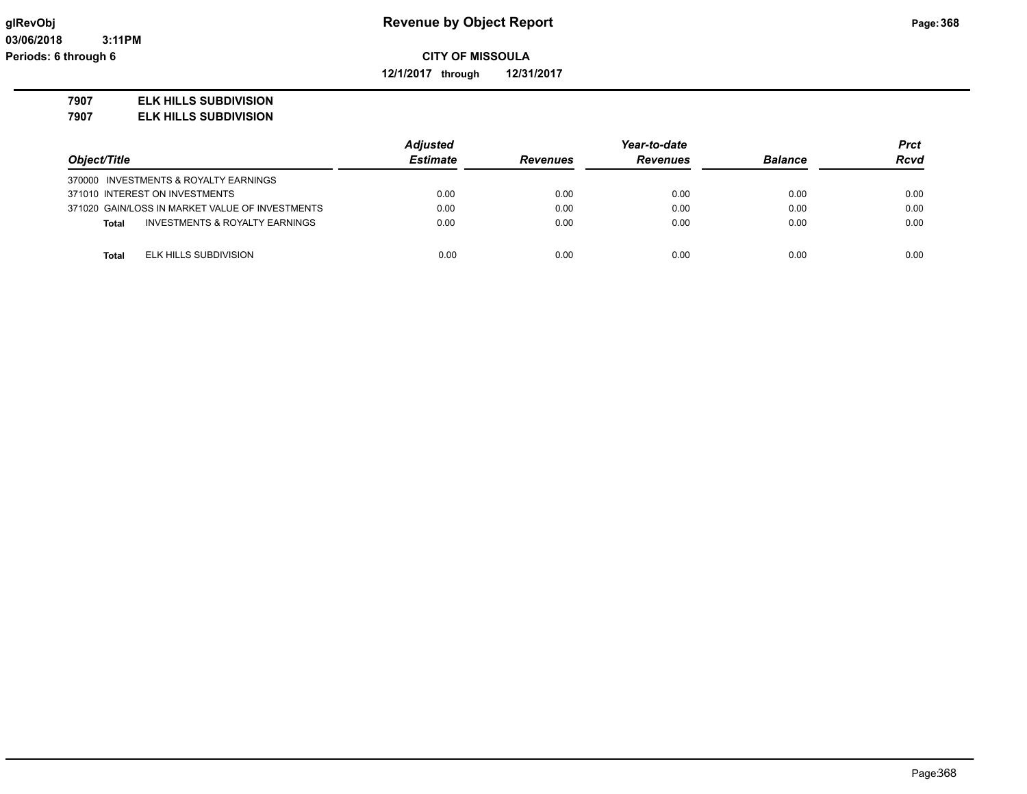**12/1/2017 through 12/31/2017**

#### **7907 ELK HILLS SUBDIVISION**

**7907 ELK HILLS SUBDIVISION**

|                                                 | Adjusted        |                 | Year-to-date    |                | <b>Prct</b> |
|-------------------------------------------------|-----------------|-----------------|-----------------|----------------|-------------|
| Object/Title                                    | <b>Estimate</b> | <b>Revenues</b> | <b>Revenues</b> | <b>Balance</b> | <b>Rcvd</b> |
| 370000 INVESTMENTS & ROYALTY EARNINGS           |                 |                 |                 |                |             |
| 371010 INTEREST ON INVESTMENTS                  | 0.00            | 0.00            | 0.00            | 0.00           | 0.00        |
| 371020 GAIN/LOSS IN MARKET VALUE OF INVESTMENTS | 0.00            | 0.00            | 0.00            | 0.00           | 0.00        |
| INVESTMENTS & ROYALTY EARNINGS<br>Total         | 0.00            | 0.00            | 0.00            | 0.00           | 0.00        |
|                                                 |                 |                 |                 |                |             |
| ELK HILLS SUBDIVISION<br>Total                  | 0.00            | 0.00            | 0.00            | 0.00           | 0.00        |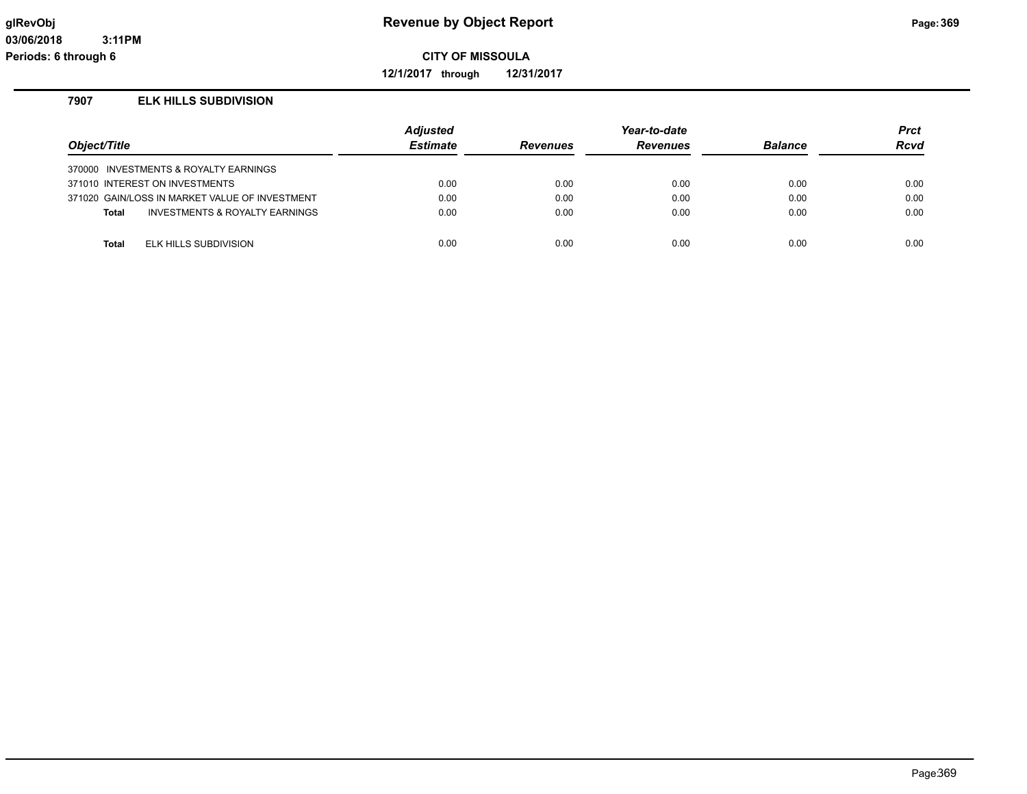**12/1/2017 through 12/31/2017**

# **7907 ELK HILLS SUBDIVISION**

| Object/Title |                                                | Adjusted<br><b>Estimate</b> | <b>Revenues</b> | Year-to-date<br><b>Revenues</b> | <b>Balance</b> | <b>Prct</b><br>Rcvd |
|--------------|------------------------------------------------|-----------------------------|-----------------|---------------------------------|----------------|---------------------|
|              | 370000 INVESTMENTS & ROYALTY EARNINGS          |                             |                 |                                 |                |                     |
|              | 371010 INTEREST ON INVESTMENTS                 | 0.00                        | 0.00            | 0.00                            | 0.00           | 0.00                |
|              | 371020 GAIN/LOSS IN MARKET VALUE OF INVESTMENT | 0.00                        | 0.00            | 0.00                            | 0.00           | 0.00                |
| <b>Total</b> | INVESTMENTS & ROYALTY EARNINGS                 | 0.00                        | 0.00            | 0.00                            | 0.00           | 0.00                |
|              |                                                |                             |                 |                                 |                |                     |
| <b>Total</b> | ELK HILLS SUBDIVISION                          | 0.00                        | 0.00            | 0.00                            | 0.00           | 0.00                |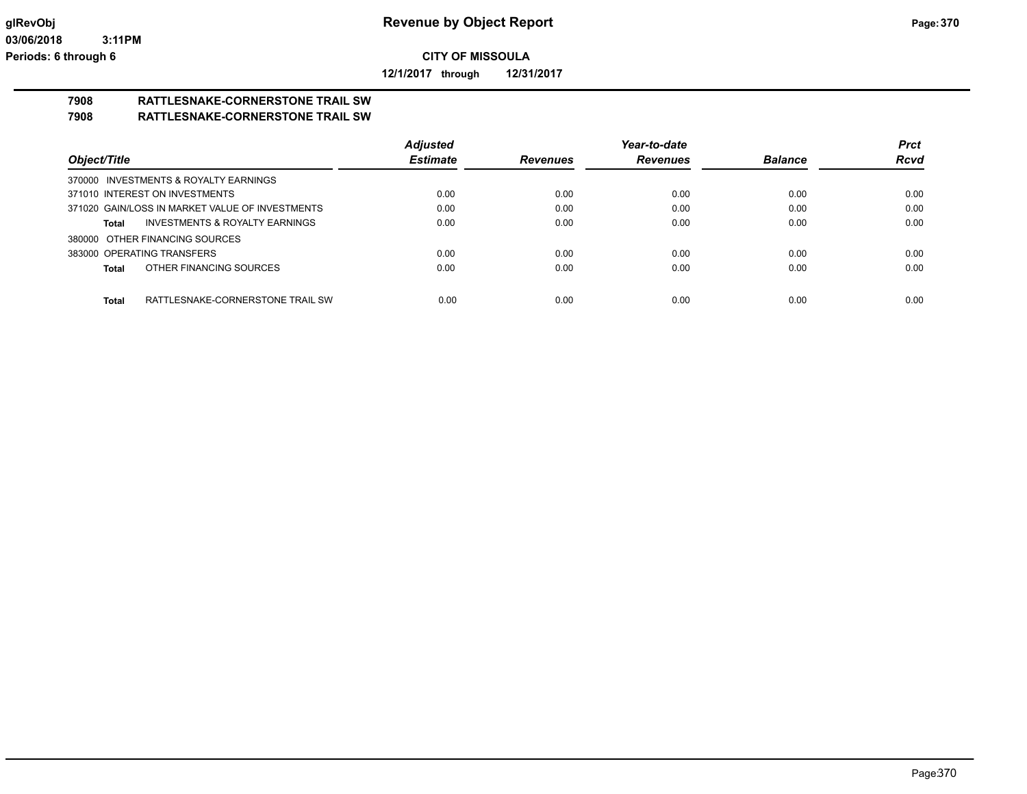**12/1/2017 through 12/31/2017**

#### **7908 RATTLESNAKE-CORNERSTONE TRAIL SW 7908 RATTLESNAKE-CORNERSTONE TRAIL SW**

|                                                  | <b>Adjusted</b> |          | Year-to-date    |                | <b>Prct</b> |
|--------------------------------------------------|-----------------|----------|-----------------|----------------|-------------|
| Object/Title                                     | <b>Estimate</b> | Revenues | <b>Revenues</b> | <b>Balance</b> | <b>Rcvd</b> |
| 370000 INVESTMENTS & ROYALTY EARNINGS            |                 |          |                 |                |             |
| 371010 INTEREST ON INVESTMENTS                   | 0.00            | 0.00     | 0.00            | 0.00           | 0.00        |
| 371020 GAIN/LOSS IN MARKET VALUE OF INVESTMENTS  | 0.00            | 0.00     | 0.00            | 0.00           | 0.00        |
| INVESTMENTS & ROYALTY EARNINGS<br>Total          | 0.00            | 0.00     | 0.00            | 0.00           | 0.00        |
| 380000 OTHER FINANCING SOURCES                   |                 |          |                 |                |             |
| 383000 OPERATING TRANSFERS                       | 0.00            | 0.00     | 0.00            | 0.00           | 0.00        |
| OTHER FINANCING SOURCES<br>Total                 | 0.00            | 0.00     | 0.00            | 0.00           | 0.00        |
|                                                  |                 |          |                 |                |             |
| RATTLESNAKE-CORNERSTONE TRAIL SW<br><b>Total</b> | 0.00            | 0.00     | 0.00            | 0.00           | 0.00        |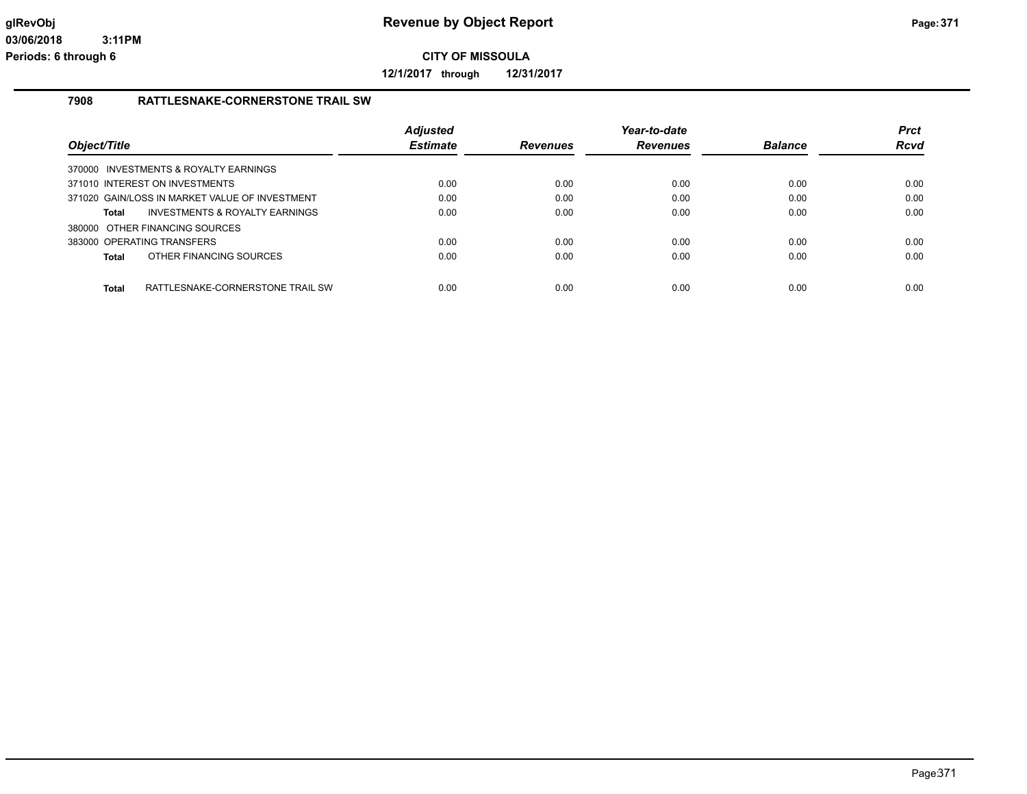**12/1/2017 through 12/31/2017**

#### **7908 RATTLESNAKE-CORNERSTONE TRAIL SW**

| Object/Title |                                                | <b>Adjusted</b><br><b>Estimate</b> | <b>Revenues</b> | Year-to-date<br><b>Revenues</b> | <b>Balance</b> | <b>Prct</b><br>Rcvd |
|--------------|------------------------------------------------|------------------------------------|-----------------|---------------------------------|----------------|---------------------|
|              | 370000 INVESTMENTS & ROYALTY EARNINGS          |                                    |                 |                                 |                |                     |
|              | 371010 INTEREST ON INVESTMENTS                 | 0.00                               | 0.00            | 0.00                            | 0.00           | 0.00                |
|              | 371020 GAIN/LOSS IN MARKET VALUE OF INVESTMENT | 0.00                               | 0.00            | 0.00                            | 0.00           | 0.00                |
| <b>Total</b> | INVESTMENTS & ROYALTY EARNINGS                 | 0.00                               | 0.00            | 0.00                            | 0.00           | 0.00                |
|              | 380000 OTHER FINANCING SOURCES                 |                                    |                 |                                 |                |                     |
|              | 383000 OPERATING TRANSFERS                     | 0.00                               | 0.00            | 0.00                            | 0.00           | 0.00                |
| <b>Total</b> | OTHER FINANCING SOURCES                        | 0.00                               | 0.00            | 0.00                            | 0.00           | 0.00                |
| <b>Total</b> | RATTLESNAKE-CORNERSTONE TRAIL SW               | 0.00                               | 0.00            | 0.00                            | 0.00           | 0.00                |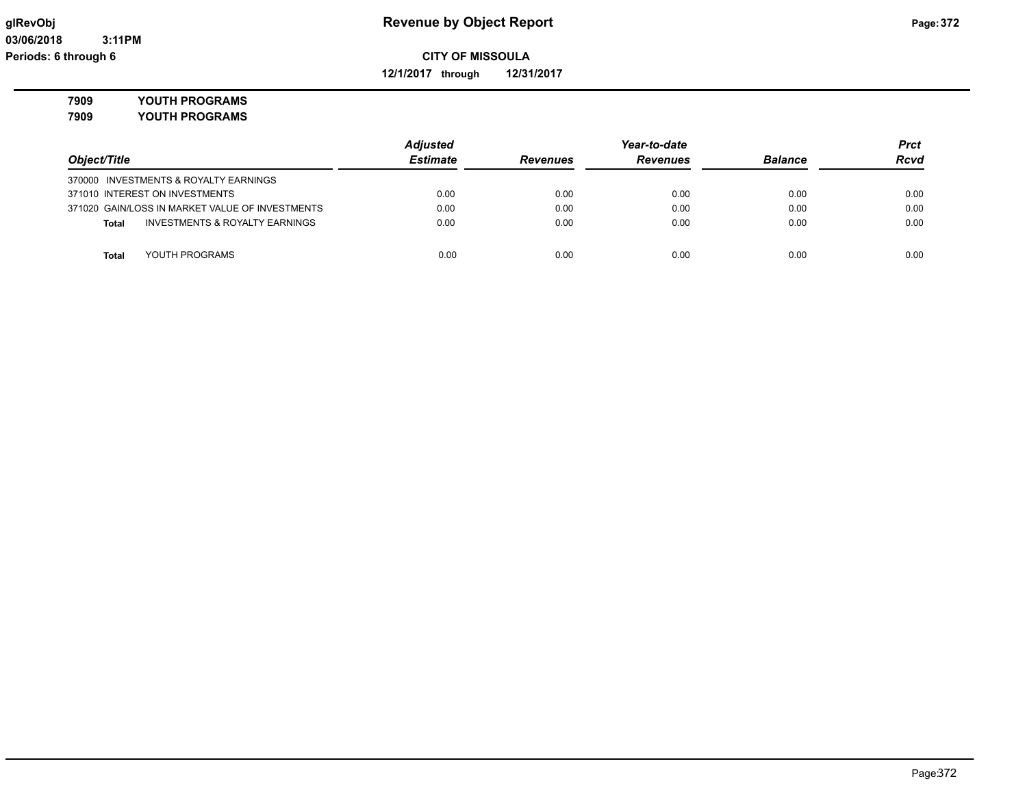**12/1/2017 through 12/31/2017**

**7909 YOUTH PROGRAMS**

**7909 YOUTH PROGRAMS**

|                                                    | <b>Adjusted</b> |                 | Year-to-date    |                |             |
|----------------------------------------------------|-----------------|-----------------|-----------------|----------------|-------------|
| Object/Title                                       | <b>Estimate</b> | <b>Revenues</b> | <b>Revenues</b> | <b>Balance</b> | <b>Rcvd</b> |
| 370000 INVESTMENTS & ROYALTY EARNINGS              |                 |                 |                 |                |             |
| 371010 INTEREST ON INVESTMENTS                     | 0.00            | 0.00            | 0.00            | 0.00           | 0.00        |
| 371020 GAIN/LOSS IN MARKET VALUE OF INVESTMENTS    | 0.00            | 0.00            | 0.00            | 0.00           | 0.00        |
| <b>INVESTMENTS &amp; ROYALTY EARNINGS</b><br>Total | 0.00            | 0.00            | 0.00            | 0.00           | 0.00        |
|                                                    |                 |                 |                 |                |             |
| YOUTH PROGRAMS<br><b>Total</b>                     | 0.00            | 0.00            | 0.00            | 0.00           | 0.00        |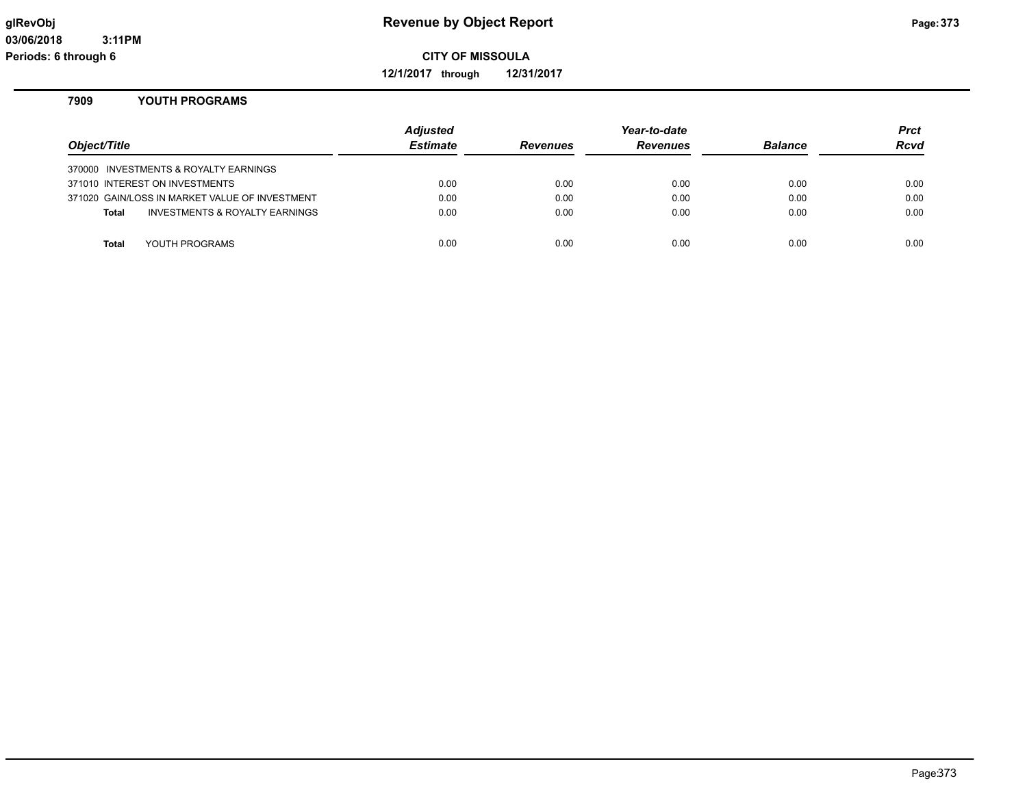**12/1/2017 through 12/31/2017**

### **7909 YOUTH PROGRAMS**

| Object/Title |                                                | <b>Adjusted</b><br><b>Estimate</b> | <b>Revenues</b> | Year-to-date<br><b>Revenues</b> | <b>Balance</b> | Prct<br><b>Rcvd</b> |
|--------------|------------------------------------------------|------------------------------------|-----------------|---------------------------------|----------------|---------------------|
|              | 370000 INVESTMENTS & ROYALTY EARNINGS          |                                    |                 |                                 |                |                     |
|              | 371010 INTEREST ON INVESTMENTS                 | 0.00                               | 0.00            | 0.00                            | 0.00           | 0.00                |
|              | 371020 GAIN/LOSS IN MARKET VALUE OF INVESTMENT | 0.00                               | 0.00            | 0.00                            | 0.00           | 0.00                |
| Total        | <b>INVESTMENTS &amp; ROYALTY EARNINGS</b>      | 0.00                               | 0.00            | 0.00                            | 0.00           | 0.00                |
|              |                                                |                                    |                 |                                 |                |                     |
| Total        | YOUTH PROGRAMS                                 | 0.00                               | 0.00            | 0.00                            | 0.00           | 0.00                |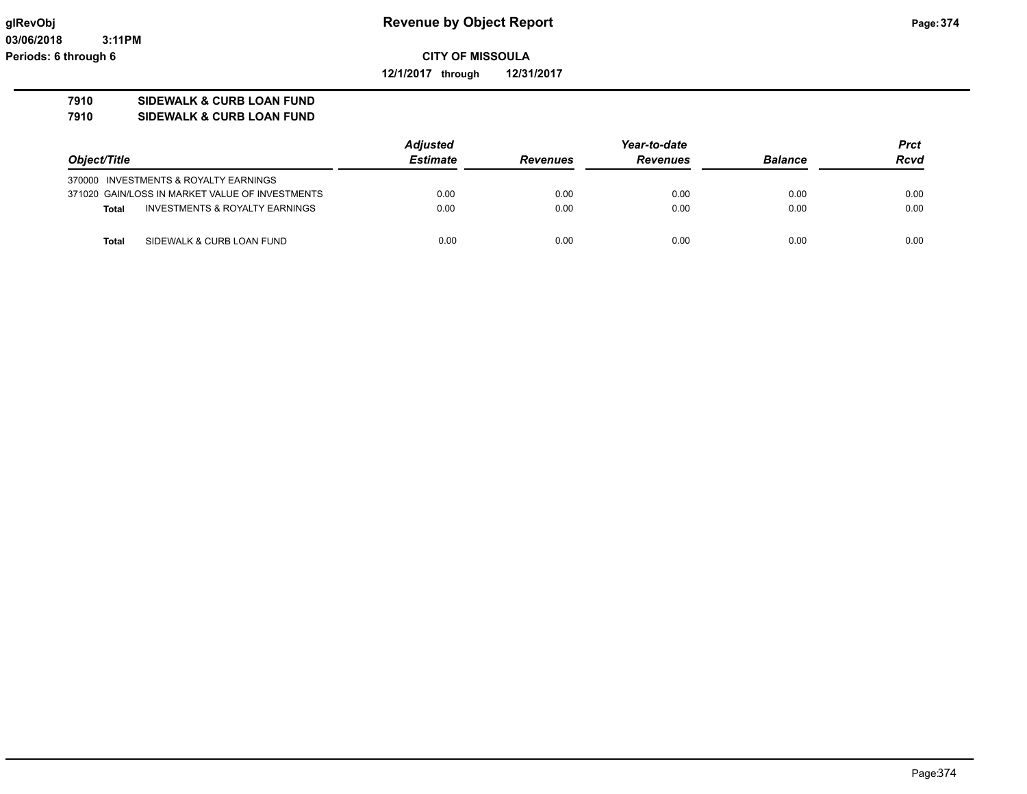**12/1/2017 through 12/31/2017**

# **7910 SIDEWALK & CURB LOAN FUND**

**7910 SIDEWALK & CURB LOAN FUND**

|                                                           | <b>Adjusted</b> | Year-to-date    |                 |                | Prct        |
|-----------------------------------------------------------|-----------------|-----------------|-----------------|----------------|-------------|
| Object/Title                                              | <b>Estimate</b> | <b>Revenues</b> | <b>Revenues</b> | <b>Balance</b> | <b>Rcvd</b> |
| 370000 INVESTMENTS & ROYALTY EARNINGS                     |                 |                 |                 |                |             |
| 371020 GAIN/LOSS IN MARKET VALUE OF INVESTMENTS           | 0.00            | 0.00            | 0.00            | 0.00           | 0.00        |
| <b>INVESTMENTS &amp; ROYALTY EARNINGS</b><br><b>Total</b> | 0.00            | 0.00            | 0.00            | 0.00           | 0.00        |
| SIDEWALK & CURB LOAN FUND<br>Total                        | 0.00            | 0.00            | 0.00            | 0.00           | 0.00        |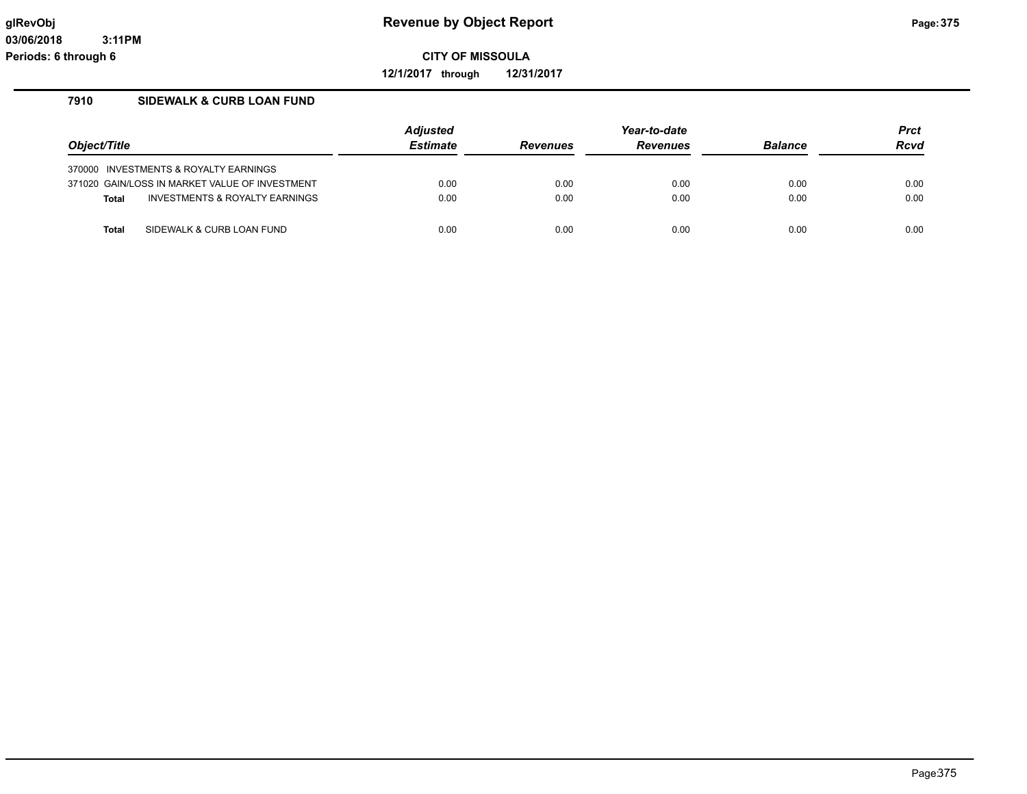**12/1/2017 through 12/31/2017**

# **7910 SIDEWALK & CURB LOAN FUND**

|              |                                                | Adjusted        |                 | Year-to-date    |                | <b>Prct</b> |
|--------------|------------------------------------------------|-----------------|-----------------|-----------------|----------------|-------------|
| Object/Title |                                                | <b>Estimate</b> | <b>Revenues</b> | <b>Revenues</b> | <b>Balance</b> | <b>Rcvd</b> |
|              | 370000 INVESTMENTS & ROYALTY EARNINGS          |                 |                 |                 |                |             |
|              | 371020 GAIN/LOSS IN MARKET VALUE OF INVESTMENT | 0.00            | 0.00            | 0.00            | 0.00           | 0.00        |
| <b>Total</b> | INVESTMENTS & ROYALTY EARNINGS                 | 0.00            | 0.00            | 0.00            | 0.00           | 0.00        |
| <b>Total</b> | SIDEWALK & CURB LOAN FUND                      | 0.00            | 0.00            | 0.00            | 0.00           | 0.00        |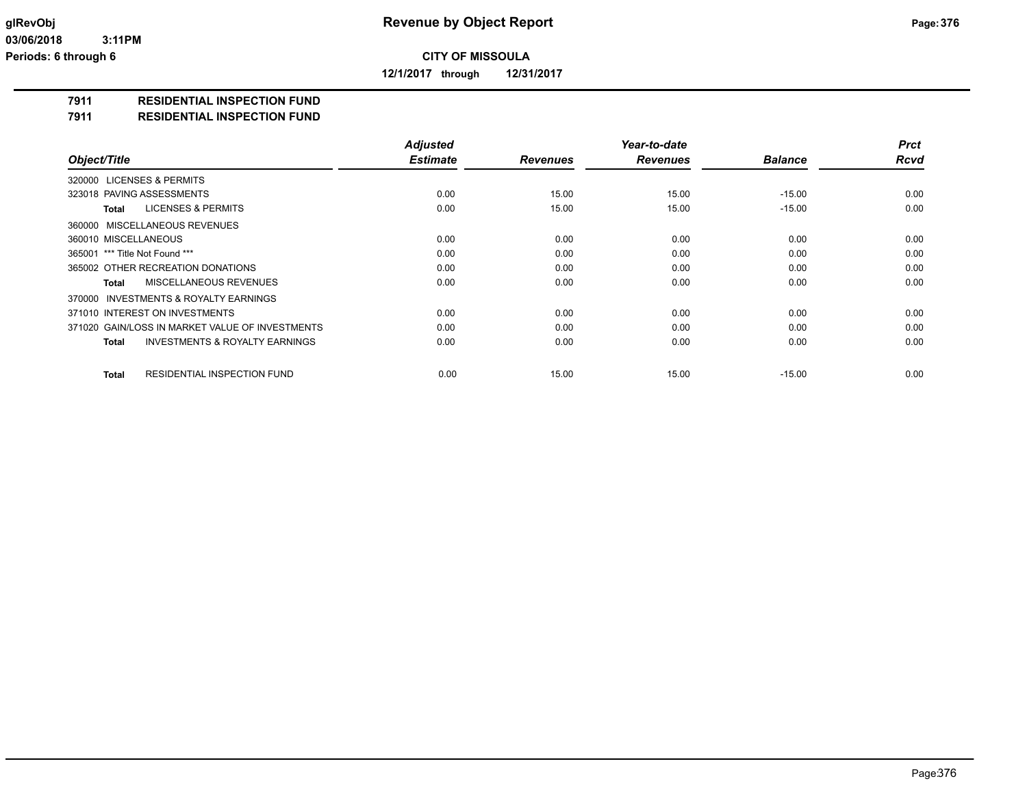**12/1/2017 through 12/31/2017**

#### **7911 RESIDENTIAL INSPECTION FUND**

#### **7911 RESIDENTIAL INSPECTION FUND**

|                                                           | <b>Adjusted</b> |                 | Year-to-date    |                | <b>Prct</b> |
|-----------------------------------------------------------|-----------------|-----------------|-----------------|----------------|-------------|
| Object/Title                                              | <b>Estimate</b> | <b>Revenues</b> | <b>Revenues</b> | <b>Balance</b> | <b>Rcvd</b> |
| 320000 LICENSES & PERMITS                                 |                 |                 |                 |                |             |
| 323018 PAVING ASSESSMENTS                                 | 0.00            | 15.00           | 15.00           | $-15.00$       | 0.00        |
| <b>LICENSES &amp; PERMITS</b><br>Total                    | 0.00            | 15.00           | 15.00           | $-15.00$       | 0.00        |
| 360000 MISCELLANEOUS REVENUES                             |                 |                 |                 |                |             |
| 360010 MISCELLANEOUS                                      | 0.00            | 0.00            | 0.00            | 0.00           | 0.00        |
| 365001 *** Title Not Found ***                            | 0.00            | 0.00            | 0.00            | 0.00           | 0.00        |
| 365002 OTHER RECREATION DONATIONS                         | 0.00            | 0.00            | 0.00            | 0.00           | 0.00        |
| MISCELLANEOUS REVENUES<br><b>Total</b>                    | 0.00            | 0.00            | 0.00            | 0.00           | 0.00        |
| 370000 INVESTMENTS & ROYALTY EARNINGS                     |                 |                 |                 |                |             |
| 371010 INTEREST ON INVESTMENTS                            | 0.00            | 0.00            | 0.00            | 0.00           | 0.00        |
| 371020 GAIN/LOSS IN MARKET VALUE OF INVESTMENTS           | 0.00            | 0.00            | 0.00            | 0.00           | 0.00        |
| <b>INVESTMENTS &amp; ROYALTY EARNINGS</b><br><b>Total</b> | 0.00            | 0.00            | 0.00            | 0.00           | 0.00        |
| <b>RESIDENTIAL INSPECTION FUND</b><br><b>Total</b>        | 0.00            | 15.00           | 15.00           | $-15.00$       | 0.00        |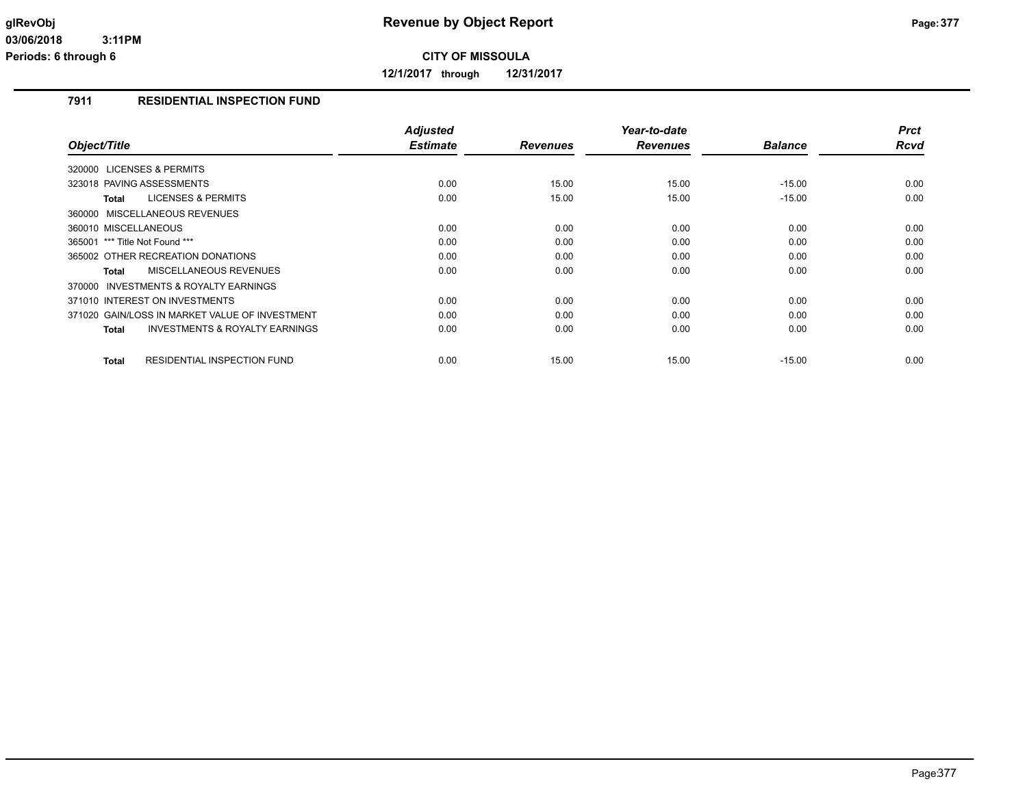**12/1/2017 through 12/31/2017**

# **7911 RESIDENTIAL INSPECTION FUND**

|                                                     | <b>Adjusted</b> |                 | Year-to-date    |                | <b>Prct</b> |
|-----------------------------------------------------|-----------------|-----------------|-----------------|----------------|-------------|
| Object/Title                                        | <b>Estimate</b> | <b>Revenues</b> | <b>Revenues</b> | <b>Balance</b> | Rcvd        |
| 320000 LICENSES & PERMITS                           |                 |                 |                 |                |             |
| 323018 PAVING ASSESSMENTS                           | 0.00            | 15.00           | 15.00           | $-15.00$       | 0.00        |
| <b>LICENSES &amp; PERMITS</b><br>Total              | 0.00            | 15.00           | 15.00           | $-15.00$       | 0.00        |
| 360000 MISCELLANEOUS REVENUES                       |                 |                 |                 |                |             |
| 360010 MISCELLANEOUS                                | 0.00            | 0.00            | 0.00            | 0.00           | 0.00        |
| *** Title Not Found ***<br>365001                   | 0.00            | 0.00            | 0.00            | 0.00           | 0.00        |
| 365002 OTHER RECREATION DONATIONS                   | 0.00            | 0.00            | 0.00            | 0.00           | 0.00        |
| <b>MISCELLANEOUS REVENUES</b><br>Total              | 0.00            | 0.00            | 0.00            | 0.00           | 0.00        |
| <b>INVESTMENTS &amp; ROYALTY EARNINGS</b><br>370000 |                 |                 |                 |                |             |
| 371010 INTEREST ON INVESTMENTS                      | 0.00            | 0.00            | 0.00            | 0.00           | 0.00        |
| 371020 GAIN/LOSS IN MARKET VALUE OF INVESTMENT      | 0.00            | 0.00            | 0.00            | 0.00           | 0.00        |
| <b>INVESTMENTS &amp; ROYALTY EARNINGS</b><br>Total  | 0.00            | 0.00            | 0.00            | 0.00           | 0.00        |
|                                                     |                 |                 |                 |                |             |
| <b>Total</b><br><b>RESIDENTIAL INSPECTION FUND</b>  | 0.00            | 15.00           | 15.00           | $-15.00$       | 0.00        |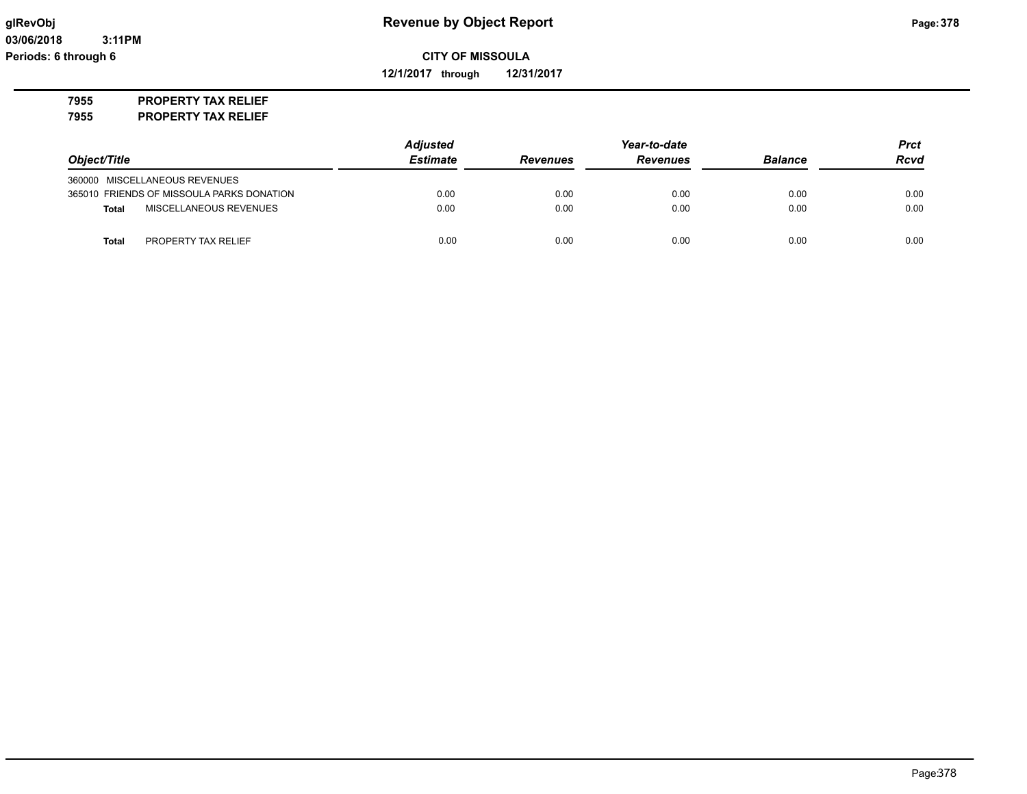**12/1/2017 through 12/31/2017**

**7955 PROPERTY TAX RELIEF**

**7955 PROPERTY TAX RELIEF**

|                                           | <b>Adjusted</b> | Year-to-date    |                 |                | <b>Prct</b> |
|-------------------------------------------|-----------------|-----------------|-----------------|----------------|-------------|
| Object/Title                              | <b>Estimate</b> | <b>Revenues</b> | <b>Revenues</b> | <b>Balance</b> | <b>Rcvd</b> |
| 360000 MISCELLANEOUS REVENUES             |                 |                 |                 |                |             |
| 365010 FRIENDS OF MISSOULA PARKS DONATION | 0.00            | 0.00            | 0.00            | 0.00           | 0.00        |
| MISCELLANEOUS REVENUES<br><b>Total</b>    | 0.00            | 0.00            | 0.00            | 0.00           | 0.00        |
| PROPERTY TAX RELIEF<br>Total              | 0.00            | 0.00            | 0.00            | 0.00           | 0.00        |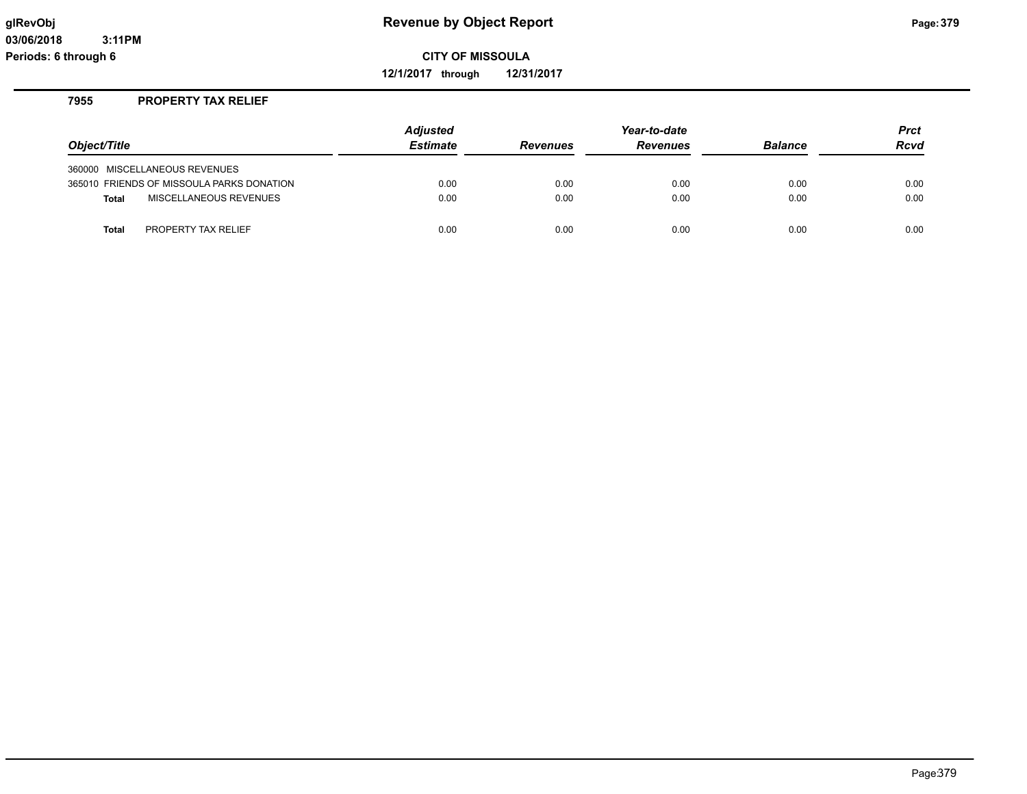**12/1/2017 through 12/31/2017**

# **7955 PROPERTY TAX RELIEF**

|                                           | <b>Adjusted</b> |                 | Year-to-date    |                | Prct        |
|-------------------------------------------|-----------------|-----------------|-----------------|----------------|-------------|
| Object/Title                              | <b>Estimate</b> | <b>Revenues</b> | <b>Revenues</b> | <b>Balance</b> | <b>Rcvd</b> |
| 360000 MISCELLANEOUS REVENUES             |                 |                 |                 |                |             |
| 365010 FRIENDS OF MISSOULA PARKS DONATION | 0.00            | 0.00            | 0.00            | 0.00           | 0.00        |
| MISCELLANEOUS REVENUES<br><b>Total</b>    | 0.00            | 0.00            | 0.00            | 0.00           | 0.00        |
| PROPERTY TAX RELIEF<br><b>Total</b>       | 0.00            | 0.00            | 0.00            | 0.00           | 0.00        |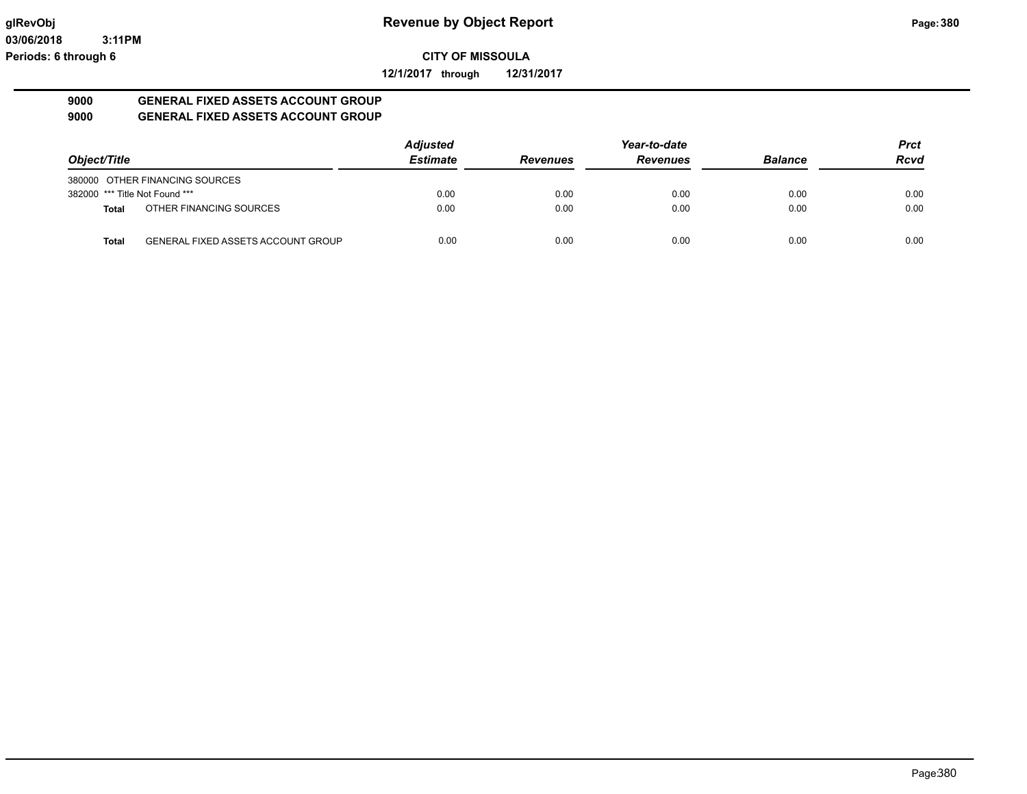**12/1/2017 through 12/31/2017**

#### **9000 GENERAL FIXED ASSETS ACCOUNT GROUP 9000 GENERAL FIXED ASSETS ACCOUNT GROUP**

|                                |                                           | <b>Adjusted</b> |                 | Year-to-date    |                | <b>Prct</b> |
|--------------------------------|-------------------------------------------|-----------------|-----------------|-----------------|----------------|-------------|
| Object/Title                   |                                           | <b>Estimate</b> | <b>Revenues</b> | <b>Revenues</b> | <b>Balance</b> | <b>Rcvd</b> |
|                                | 380000 OTHER FINANCING SOURCES            |                 |                 |                 |                |             |
| 382000 *** Title Not Found *** |                                           | 0.00            | 0.00            | 0.00            | 0.00           | 0.00        |
| <b>Total</b>                   | OTHER FINANCING SOURCES                   | 0.00            | 0.00            | 0.00            | 0.00           | 0.00        |
| <b>Total</b>                   | <b>GENERAL FIXED ASSETS ACCOUNT GROUP</b> | 0.00            | 0.00            | 0.00            | 0.00           | 0.00        |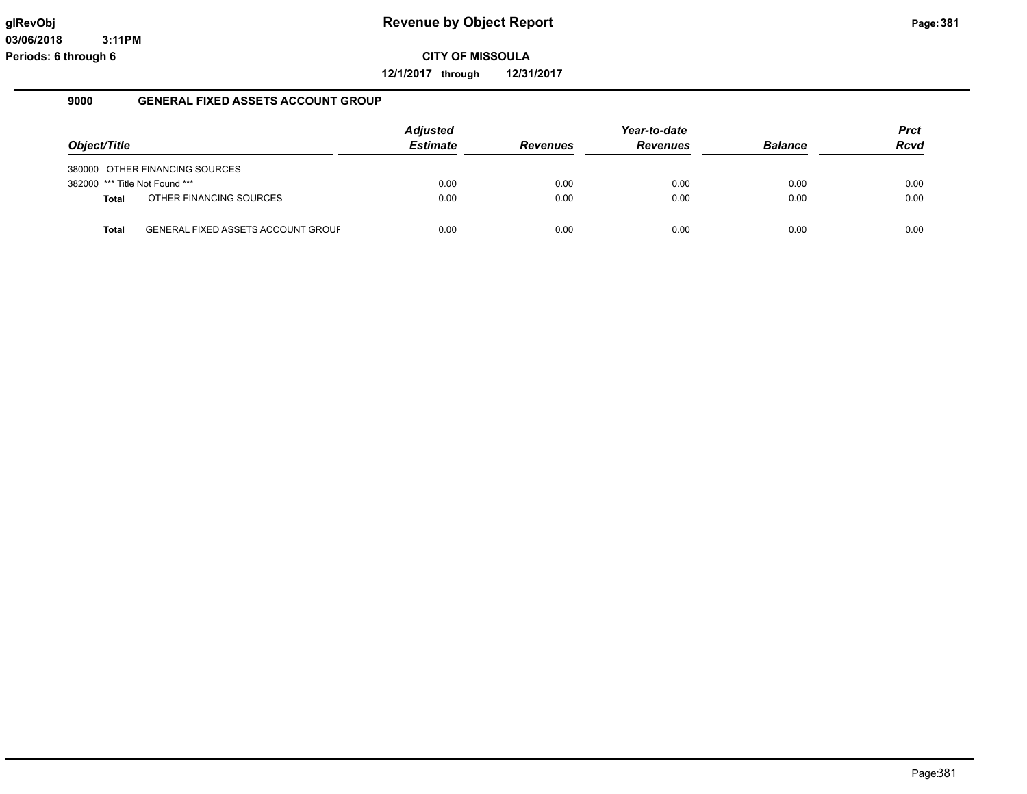**12/1/2017 through 12/31/2017**

#### **9000 GENERAL FIXED ASSETS ACCOUNT GROUP**

|                                |                                           | <b>Adjusted</b> |                 | Year-to-date    |                | Prct        |
|--------------------------------|-------------------------------------------|-----------------|-----------------|-----------------|----------------|-------------|
| Object/Title                   |                                           | <b>Estimate</b> | <b>Revenues</b> | <b>Revenues</b> | <b>Balance</b> | <b>Rcvd</b> |
|                                | 380000 OTHER FINANCING SOURCES            |                 |                 |                 |                |             |
| 382000 *** Title Not Found *** |                                           | 0.00            | 0.00            | 0.00            | 0.00           | 0.00        |
| Total                          | OTHER FINANCING SOURCES                   | 0.00            | 0.00            | 0.00            | 0.00           | 0.00        |
|                                |                                           |                 |                 |                 |                |             |
| <b>Total</b>                   | <b>GENERAL FIXED ASSETS ACCOUNT GROUF</b> | 0.00            | 0.00            | 0.00            | 0.00           | 0.00        |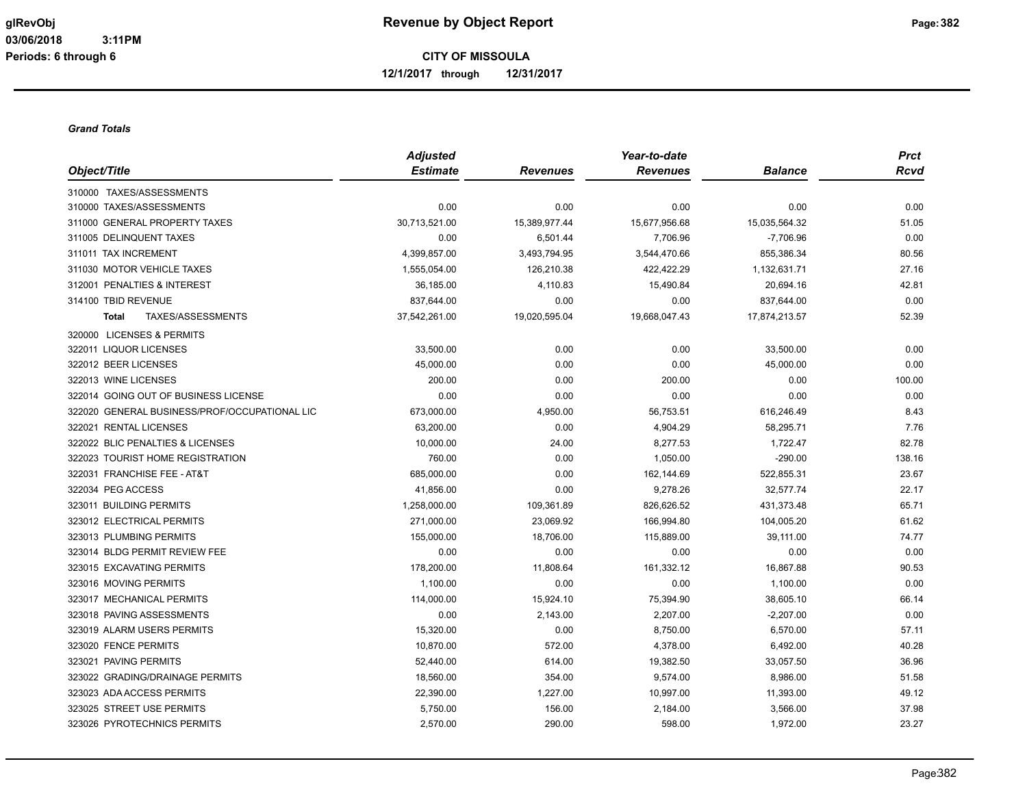**12/1/2017 through 12/31/2017**

#### *Grand Totals*

|                                               | <b>Adjusted</b> |                 | Year-to-date    |                | <b>Prct</b> |
|-----------------------------------------------|-----------------|-----------------|-----------------|----------------|-------------|
| Object/Title                                  | <b>Estimate</b> | <b>Revenues</b> | <b>Revenues</b> | <b>Balance</b> | <b>Rcvd</b> |
| 310000 TAXES/ASSESSMENTS                      |                 |                 |                 |                |             |
| 310000 TAXES/ASSESSMENTS                      | 0.00            | 0.00            | 0.00            | 0.00           | 0.00        |
| 311000 GENERAL PROPERTY TAXES                 | 30,713,521.00   | 15,389,977.44   | 15,677,956.68   | 15,035,564.32  | 51.05       |
| 311005 DELINQUENT TAXES                       | 0.00            | 6,501.44        | 7,706.96        | $-7,706.96$    | 0.00        |
| 311011 TAX INCREMENT                          | 4,399,857.00    | 3,493,794.95    | 3,544,470.66    | 855,386.34     | 80.56       |
| 311030 MOTOR VEHICLE TAXES                    | 1,555,054.00    | 126,210.38      | 422,422.29      | 1,132,631.71   | 27.16       |
| 312001 PENALTIES & INTEREST                   | 36,185.00       | 4,110.83        | 15,490.84       | 20,694.16      | 42.81       |
| 314100 TBID REVENUE                           | 837,644.00      | 0.00            | 0.00            | 837,644.00     | 0.00        |
| TAXES/ASSESSMENTS<br><b>Total</b>             | 37,542,261.00   | 19,020,595.04   | 19,668,047.43   | 17,874,213.57  | 52.39       |
| 320000 LICENSES & PERMITS                     |                 |                 |                 |                |             |
| 322011 LIQUOR LICENSES                        | 33,500.00       | 0.00            | 0.00            | 33,500.00      | 0.00        |
| 322012 BEER LICENSES                          | 45.000.00       | 0.00            | 0.00            | 45,000.00      | 0.00        |
| 322013 WINE LICENSES                          | 200.00          | 0.00            | 200.00          | 0.00           | 100.00      |
| 322014 GOING OUT OF BUSINESS LICENSE          | 0.00            | 0.00            | 0.00            | 0.00           | 0.00        |
| 322020 GENERAL BUSINESS/PROF/OCCUPATIONAL LIC | 673,000.00      | 4,950.00        | 56,753.51       | 616,246.49     | 8.43        |
| 322021 RENTAL LICENSES                        | 63,200.00       | 0.00            | 4,904.29        | 58,295.71      | 7.76        |
| 322022 BLIC PENALTIES & LICENSES              | 10,000.00       | 24.00           | 8,277.53        | 1,722.47       | 82.78       |
| 322023 TOURIST HOME REGISTRATION              | 760.00          | 0.00            | 1,050.00        | $-290.00$      | 138.16      |
| 322031 FRANCHISE FEE - AT&T                   | 685,000.00      | 0.00            | 162,144.69      | 522,855.31     | 23.67       |
| 322034 PEG ACCESS                             | 41,856.00       | 0.00            | 9,278.26        | 32,577.74      | 22.17       |
| 323011 BUILDING PERMITS                       | 1,258,000.00    | 109,361.89      | 826,626.52      | 431,373.48     | 65.71       |
| 323012 ELECTRICAL PERMITS                     | 271,000.00      | 23,069.92       | 166,994.80      | 104,005.20     | 61.62       |
| 323013 PLUMBING PERMITS                       | 155,000.00      | 18,706.00       | 115,889.00      | 39,111.00      | 74.77       |
| 323014 BLDG PERMIT REVIEW FEE                 | 0.00            | 0.00            | 0.00            | 0.00           | 0.00        |
| 323015 EXCAVATING PERMITS                     | 178,200.00      | 11,808.64       | 161,332.12      | 16,867.88      | 90.53       |
| 323016 MOVING PERMITS                         | 1,100.00        | 0.00            | 0.00            | 1,100.00       | 0.00        |
| 323017 MECHANICAL PERMITS                     | 114,000.00      | 15,924.10       | 75,394.90       | 38,605.10      | 66.14       |
| 323018 PAVING ASSESSMENTS                     | 0.00            | 2,143.00        | 2,207.00        | $-2,207.00$    | 0.00        |
| 323019 ALARM USERS PERMITS                    | 15,320.00       | 0.00            | 8,750.00        | 6,570.00       | 57.11       |
| 323020 FENCE PERMITS                          | 10,870.00       | 572.00          | 4,378.00        | 6,492.00       | 40.28       |
| 323021 PAVING PERMITS                         | 52,440.00       | 614.00          | 19,382.50       | 33,057.50      | 36.96       |
| 323022 GRADING/DRAINAGE PERMITS               | 18,560.00       | 354.00          | 9,574.00        | 8,986.00       | 51.58       |
| 323023 ADA ACCESS PERMITS                     | 22,390.00       | 1,227.00        | 10,997.00       | 11,393.00      | 49.12       |
| 323025 STREET USE PERMITS                     | 5,750.00        | 156.00          | 2,184.00        | 3,566.00       | 37.98       |
| 323026 PYROTECHNICS PERMITS                   | 2,570.00        | 290.00          | 598.00          | 1,972.00       | 23.27       |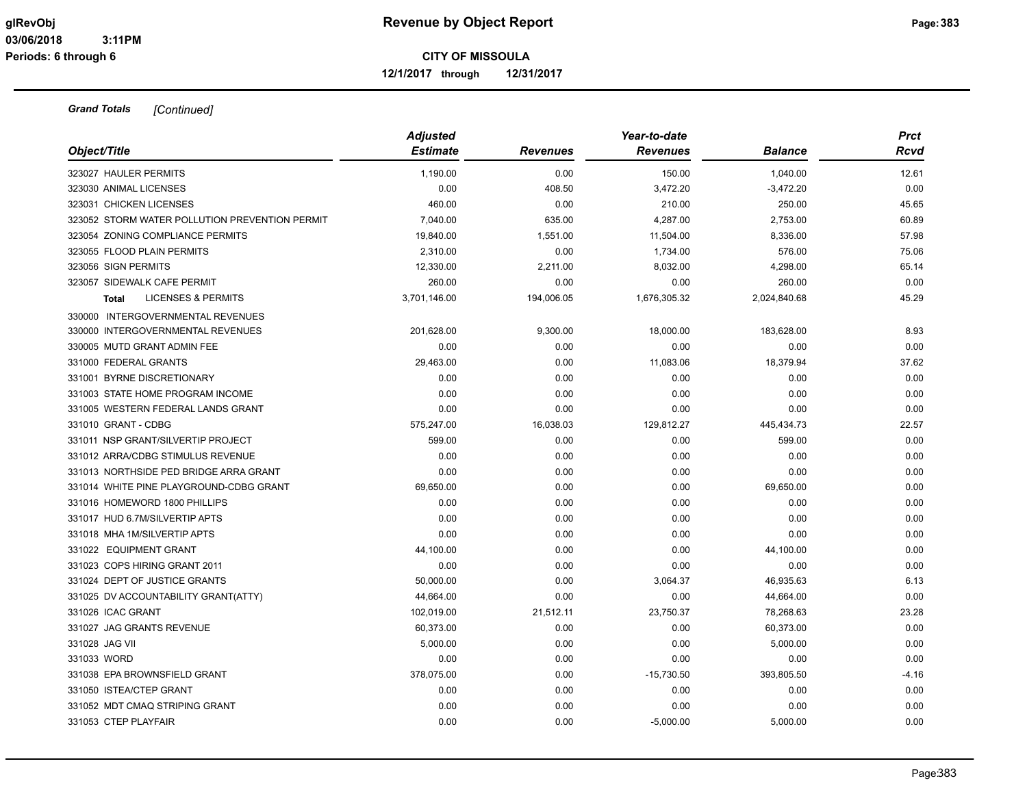**12/1/2017 through 12/31/2017**

|                                                | <b>Adjusted</b><br><b>Estimate</b> |                 | Year-to-date    |                | <b>Prct</b> |
|------------------------------------------------|------------------------------------|-----------------|-----------------|----------------|-------------|
| Object/Title                                   |                                    | <b>Revenues</b> | <b>Revenues</b> | <b>Balance</b> | Rcvd        |
| 323027 HAULER PERMITS                          | 1,190.00                           | 0.00            | 150.00          | 1,040.00       | 12.61       |
| 323030 ANIMAL LICENSES                         | 0.00                               | 408.50          | 3,472.20        | $-3,472.20$    | 0.00        |
| 323031 CHICKEN LICENSES                        | 460.00                             | 0.00            | 210.00          | 250.00         | 45.65       |
| 323052 STORM WATER POLLUTION PREVENTION PERMIT | 7,040.00                           | 635.00          | 4,287.00        | 2,753.00       | 60.89       |
| 323054 ZONING COMPLIANCE PERMITS               | 19,840.00                          | 1,551.00        | 11,504.00       | 8,336.00       | 57.98       |
| 323055 FLOOD PLAIN PERMITS                     | 2,310.00                           | 0.00            | 1,734.00        | 576.00         | 75.06       |
| 323056 SIGN PERMITS                            | 12,330.00                          | 2,211.00        | 8,032.00        | 4,298.00       | 65.14       |
| 323057 SIDEWALK CAFE PERMIT                    | 260.00                             | 0.00            | 0.00            | 260.00         | 0.00        |
| <b>LICENSES &amp; PERMITS</b><br><b>Total</b>  | 3,701,146.00                       | 194,006.05      | 1,676,305.32    | 2,024,840.68   | 45.29       |
| 330000 INTERGOVERNMENTAL REVENUES              |                                    |                 |                 |                |             |
| 330000 INTERGOVERNMENTAL REVENUES              | 201,628.00                         | 9,300.00        | 18,000.00       | 183,628.00     | 8.93        |
| 330005 MUTD GRANT ADMIN FEE                    | 0.00                               | 0.00            | 0.00            | 0.00           | 0.00        |
| 331000 FEDERAL GRANTS                          | 29,463.00                          | 0.00            | 11,083.06       | 18,379.94      | 37.62       |
| 331001 BYRNE DISCRETIONARY                     | 0.00                               | 0.00            | 0.00            | 0.00           | 0.00        |
| 331003 STATE HOME PROGRAM INCOME               | 0.00                               | 0.00            | 0.00            | 0.00           | 0.00        |
| 331005 WESTERN FEDERAL LANDS GRANT             | 0.00                               | 0.00            | 0.00            | 0.00           | 0.00        |
| 331010 GRANT - CDBG                            | 575,247.00                         | 16,038.03       | 129,812.27      | 445,434.73     | 22.57       |
| 331011 NSP GRANT/SILVERTIP PROJECT             | 599.00                             | 0.00            | 0.00            | 599.00         | 0.00        |
| 331012 ARRA/CDBG STIMULUS REVENUE              | 0.00                               | 0.00            | 0.00            | 0.00           | 0.00        |
| 331013 NORTHSIDE PED BRIDGE ARRA GRANT         | 0.00                               | 0.00            | 0.00            | 0.00           | 0.00        |
| 331014 WHITE PINE PLAYGROUND-CDBG GRANT        | 69,650.00                          | 0.00            | 0.00            | 69,650.00      | 0.00        |
| 331016 HOMEWORD 1800 PHILLIPS                  | 0.00                               | 0.00            | 0.00            | 0.00           | 0.00        |
| 331017 HUD 6.7M/SILVERTIP APTS                 | 0.00                               | 0.00            | 0.00            | 0.00           | 0.00        |
| 331018 MHA 1M/SILVERTIP APTS                   | 0.00                               | 0.00            | 0.00            | 0.00           | 0.00        |
| 331022 EQUIPMENT GRANT                         | 44,100.00                          | 0.00            | 0.00            | 44,100.00      | 0.00        |
| 331023 COPS HIRING GRANT 2011                  | 0.00                               | 0.00            | 0.00            | 0.00           | 0.00        |
| 331024 DEPT OF JUSTICE GRANTS                  | 50,000.00                          | 0.00            | 3,064.37        | 46,935.63      | 6.13        |
| 331025 DV ACCOUNTABILITY GRANT(ATTY)           | 44,664.00                          | 0.00            | 0.00            | 44,664.00      | 0.00        |
| 331026 ICAC GRANT                              | 102,019.00                         | 21,512.11       | 23,750.37       | 78,268.63      | 23.28       |
| 331027 JAG GRANTS REVENUE                      | 60,373.00                          | 0.00            | 0.00            | 60,373.00      | 0.00        |
| 331028 JAG VII                                 | 5,000.00                           | 0.00            | 0.00            | 5,000.00       | 0.00        |
| 331033 WORD                                    | 0.00                               | 0.00            | 0.00            | 0.00           | 0.00        |
| 331038 EPA BROWNSFIELD GRANT                   | 378,075.00                         | 0.00            | $-15,730.50$    | 393,805.50     | $-4.16$     |
| 331050 ISTEA/CTEP GRANT                        | 0.00                               | 0.00            | 0.00            | 0.00           | 0.00        |
| 331052 MDT CMAQ STRIPING GRANT                 | 0.00                               | 0.00            | 0.00            | 0.00           | 0.00        |
| 331053 CTEP PLAYFAIR                           | 0.00                               | 0.00            | $-5,000.00$     | 5,000.00       | 0.00        |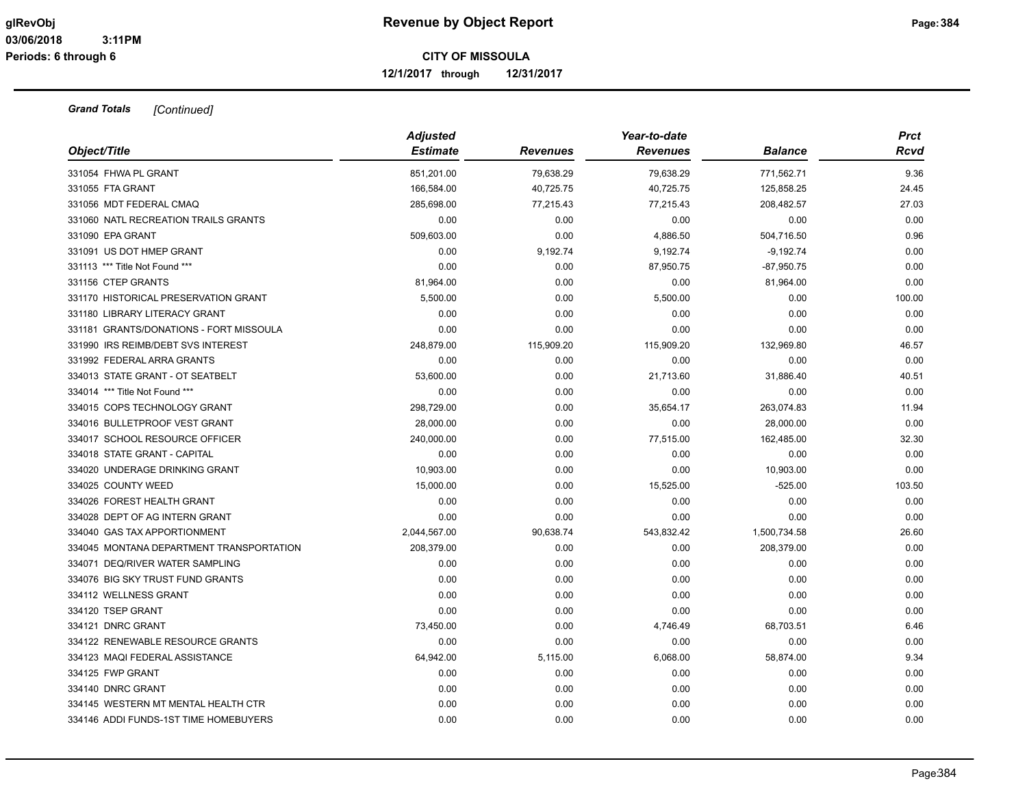**12/1/2017 through 12/31/2017**

| Object/Title                             | <b>Adjusted</b><br><b>Estimate</b> | <b>Revenues</b> | Year-to-date<br><b>Revenues</b> | <b>Balance</b> | <b>Prct</b><br>Rcvd |
|------------------------------------------|------------------------------------|-----------------|---------------------------------|----------------|---------------------|
| 331054 FHWA PL GRANT                     | 851,201.00                         | 79,638.29       | 79,638.29                       | 771,562.71     | 9.36                |
| 331055 FTA GRANT                         | 166,584.00                         | 40,725.75       | 40,725.75                       | 125,858.25     | 24.45               |
| 331056 MDT FEDERAL CMAQ                  | 285,698.00                         | 77,215.43       | 77,215.43                       | 208,482.57     | 27.03               |
| 331060 NATL RECREATION TRAILS GRANTS     | 0.00                               | 0.00            | 0.00                            | 0.00           | 0.00                |
| 331090 EPA GRANT                         | 509,603.00                         | 0.00            | 4,886.50                        | 504,716.50     | 0.96                |
| 331091 US DOT HMEP GRANT                 | 0.00                               | 9,192.74        | 9,192.74                        | $-9,192.74$    | 0.00                |
| 331113 *** Title Not Found ***           | 0.00                               | 0.00            | 87,950.75                       | $-87,950.75$   | 0.00                |
| 331156 CTEP GRANTS                       | 81,964.00                          | 0.00            | 0.00                            | 81,964.00      | 0.00                |
| 331170 HISTORICAL PRESERVATION GRANT     | 5,500.00                           | 0.00            | 5,500.00                        | 0.00           | 100.00              |
| 331180 LIBRARY LITERACY GRANT            | 0.00                               | 0.00            | 0.00                            | 0.00           | 0.00                |
| 331181 GRANTS/DONATIONS - FORT MISSOULA  | 0.00                               | 0.00            | 0.00                            | 0.00           | 0.00                |
| 331990 IRS REIMB/DEBT SVS INTEREST       | 248,879.00                         | 115,909.20      | 115,909.20                      | 132,969.80     | 46.57               |
| 331992 FEDERAL ARRA GRANTS               | 0.00                               | 0.00            | 0.00                            | 0.00           | 0.00                |
| 334013 STATE GRANT - OT SEATBELT         | 53,600.00                          | 0.00            | 21,713.60                       | 31,886.40      | 40.51               |
| 334014 *** Title Not Found ***           | 0.00                               | 0.00            | 0.00                            | 0.00           | 0.00                |
| 334015 COPS TECHNOLOGY GRANT             | 298,729.00                         | 0.00            | 35,654.17                       | 263,074.83     | 11.94               |
| 334016 BULLETPROOF VEST GRANT            | 28,000.00                          | 0.00            | 0.00                            | 28,000.00      | 0.00                |
| 334017 SCHOOL RESOURCE OFFICER           | 240,000.00                         | 0.00            | 77,515.00                       | 162,485.00     | 32.30               |
| 334018 STATE GRANT - CAPITAL             | 0.00                               | 0.00            | 0.00                            | 0.00           | 0.00                |
| 334020 UNDERAGE DRINKING GRANT           | 10,903.00                          | 0.00            | 0.00                            | 10,903.00      | 0.00                |
| 334025 COUNTY WEED                       | 15,000.00                          | 0.00            | 15,525.00                       | $-525.00$      | 103.50              |
| 334026 FOREST HEALTH GRANT               | 0.00                               | 0.00            | 0.00                            | 0.00           | 0.00                |
| 334028 DEPT OF AG INTERN GRANT           | 0.00                               | 0.00            | 0.00                            | 0.00           | 0.00                |
| 334040 GAS TAX APPORTIONMENT             | 2,044,567.00                       | 90,638.74       | 543,832.42                      | 1,500,734.58   | 26.60               |
| 334045 MONTANA DEPARTMENT TRANSPORTATION | 208,379.00                         | 0.00            | 0.00                            | 208,379.00     | 0.00                |
| 334071 DEQ/RIVER WATER SAMPLING          | 0.00                               | 0.00            | 0.00                            | 0.00           | 0.00                |
| 334076 BIG SKY TRUST FUND GRANTS         | 0.00                               | 0.00            | 0.00                            | 0.00           | 0.00                |
| 334112 WELLNESS GRANT                    | 0.00                               | 0.00            | 0.00                            | 0.00           | 0.00                |
| 334120 TSEP GRANT                        | 0.00                               | 0.00            | 0.00                            | 0.00           | 0.00                |
| 334121 DNRC GRANT                        | 73,450.00                          | 0.00            | 4,746.49                        | 68,703.51      | 6.46                |
| 334122 RENEWABLE RESOURCE GRANTS         | 0.00                               | 0.00            | 0.00                            | 0.00           | 0.00                |
| 334123 MAQI FEDERAL ASSISTANCE           | 64,942.00                          | 5,115.00        | 6,068.00                        | 58,874.00      | 9.34                |
| 334125 FWP GRANT                         | 0.00                               | 0.00            | 0.00                            | 0.00           | 0.00                |
| 334140 DNRC GRANT                        | 0.00                               | 0.00            | 0.00                            | 0.00           | 0.00                |
| 334145 WESTERN MT MENTAL HEALTH CTR      | 0.00                               | 0.00            | 0.00                            | 0.00           | 0.00                |
| 334146 ADDI FUNDS-1ST TIME HOMEBUYERS    | 0.00                               | 0.00            | 0.00                            | 0.00           | 0.00                |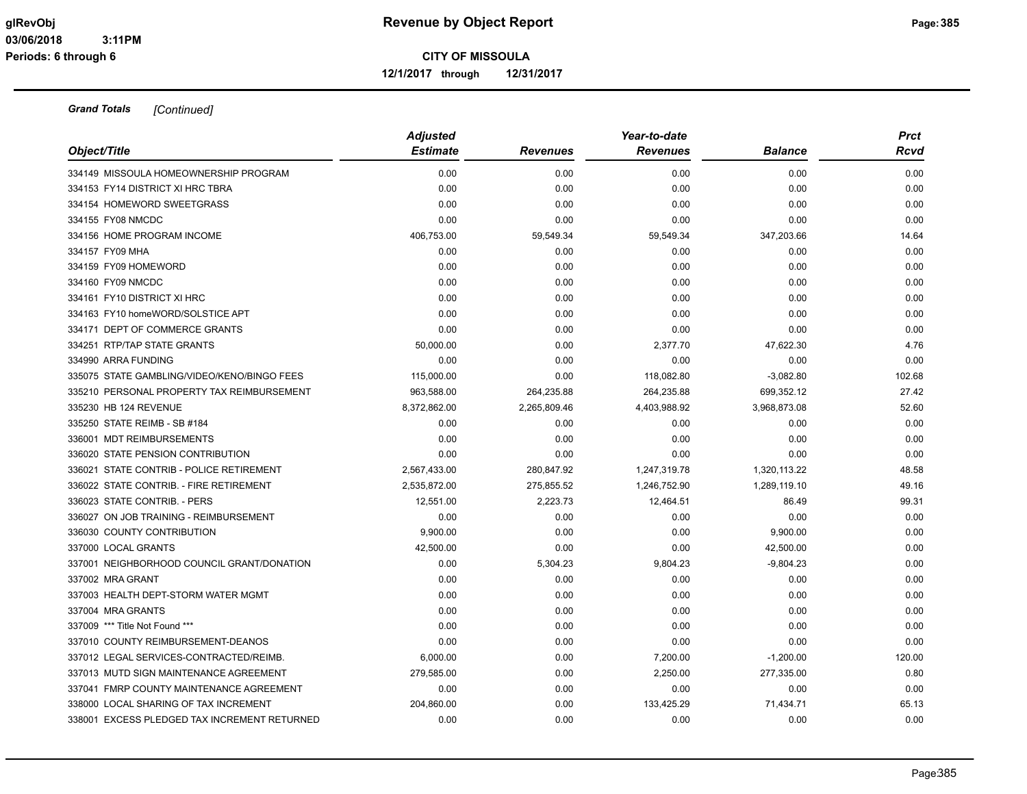**12/1/2017 through 12/31/2017**

| Object/Title                                 | <b>Adjusted</b><br><b>Estimate</b> | <b>Revenues</b> | Year-to-date<br><b>Revenues</b> | <b>Balance</b> | <b>Prct</b><br>Rcvd |
|----------------------------------------------|------------------------------------|-----------------|---------------------------------|----------------|---------------------|
| 334149 MISSOULA HOMEOWNERSHIP PROGRAM        | 0.00                               | 0.00            | 0.00                            | 0.00           | 0.00                |
| 334153 FY14 DISTRICT XI HRC TBRA             | 0.00                               | 0.00            | 0.00                            | 0.00           | 0.00                |
| 334154 HOMEWORD SWEETGRASS                   | 0.00                               | 0.00            | 0.00                            | 0.00           | 0.00                |
| 334155 FY08 NMCDC                            | 0.00                               | 0.00            | 0.00                            | 0.00           | 0.00                |
| 334156 HOME PROGRAM INCOME                   | 406,753.00                         | 59,549.34       | 59,549.34                       | 347,203.66     | 14.64               |
| 334157 FY09 MHA                              | 0.00                               | 0.00            | 0.00                            | 0.00           | 0.00                |
| 334159 FY09 HOMEWORD                         | 0.00                               | 0.00            | 0.00                            | 0.00           | 0.00                |
| 334160 FY09 NMCDC                            | 0.00                               | 0.00            | 0.00                            | 0.00           | 0.00                |
| 334161 FY10 DISTRICT XI HRC                  | 0.00                               | 0.00            | 0.00                            | 0.00           | 0.00                |
| 334163 FY10 homeWORD/SOLSTICE APT            | 0.00                               | 0.00            | 0.00                            | 0.00           | 0.00                |
| 334171 DEPT OF COMMERCE GRANTS               | 0.00                               | 0.00            | 0.00                            | 0.00           | 0.00                |
| 334251 RTP/TAP STATE GRANTS                  | 50,000.00                          | 0.00            | 2,377.70                        | 47,622.30      | 4.76                |
| 334990 ARRA FUNDING                          | 0.00                               | 0.00            | 0.00                            | 0.00           | 0.00                |
| 335075 STATE GAMBLING/VIDEO/KENO/BINGO FEES  | 115,000.00                         | 0.00            | 118,082.80                      | $-3,082.80$    | 102.68              |
| 335210 PERSONAL PROPERTY TAX REIMBURSEMENT   | 963,588.00                         | 264,235.88      | 264,235.88                      | 699,352.12     | 27.42               |
| 335230 HB 124 REVENUE                        | 8,372,862.00                       | 2,265,809.46    | 4,403,988.92                    | 3,968,873.08   | 52.60               |
| 335250 STATE REIMB - SB #184                 | 0.00                               | 0.00            | 0.00                            | 0.00           | 0.00                |
| 336001 MDT REIMBURSEMENTS                    | 0.00                               | 0.00            | 0.00                            | 0.00           | 0.00                |
| 336020 STATE PENSION CONTRIBUTION            | 0.00                               | 0.00            | 0.00                            | 0.00           | 0.00                |
| 336021 STATE CONTRIB - POLICE RETIREMENT     | 2,567,433.00                       | 280,847.92      | 1,247,319.78                    | 1,320,113.22   | 48.58               |
| 336022 STATE CONTRIB. - FIRE RETIREMENT      | 2,535,872.00                       | 275,855.52      | 1,246,752.90                    | 1,289,119.10   | 49.16               |
| 336023 STATE CONTRIB. - PERS                 | 12,551.00                          | 2,223.73        | 12,464.51                       | 86.49          | 99.31               |
| 336027 ON JOB TRAINING - REIMBURSEMENT       | 0.00                               | 0.00            | 0.00                            | 0.00           | 0.00                |
| 336030 COUNTY CONTRIBUTION                   | 9,900.00                           | 0.00            | 0.00                            | 9,900.00       | 0.00                |
| 337000 LOCAL GRANTS                          | 42,500.00                          | 0.00            | 0.00                            | 42,500.00      | 0.00                |
| 337001 NEIGHBORHOOD COUNCIL GRANT/DONATION   | 0.00                               | 5,304.23        | 9,804.23                        | $-9,804.23$    | 0.00                |
| 337002 MRA GRANT                             | 0.00                               | 0.00            | 0.00                            | 0.00           | 0.00                |
| 337003 HEALTH DEPT-STORM WATER MGMT          | 0.00                               | 0.00            | 0.00                            | 0.00           | 0.00                |
| 337004 MRA GRANTS                            | 0.00                               | 0.00            | 0.00                            | 0.00           | 0.00                |
| 337009 *** Title Not Found ***               | 0.00                               | 0.00            | 0.00                            | 0.00           | 0.00                |
| 337010 COUNTY REIMBURSEMENT-DEANOS           | 0.00                               | 0.00            | 0.00                            | 0.00           | 0.00                |
| 337012 LEGAL SERVICES-CONTRACTED/REIMB.      | 6,000.00                           | 0.00            | 7,200.00                        | $-1,200.00$    | 120.00              |
| 337013 MUTD SIGN MAINTENANCE AGREEMENT       | 279,585.00                         | 0.00            | 2,250.00                        | 277,335.00     | 0.80                |
| 337041 FMRP COUNTY MAINTENANCE AGREEMENT     | 0.00                               | 0.00            | 0.00                            | 0.00           | 0.00                |
| 338000 LOCAL SHARING OF TAX INCREMENT        | 204,860.00                         | 0.00            | 133,425.29                      | 71,434.71      | 65.13               |
| 338001 EXCESS PLEDGED TAX INCREMENT RETURNED | 0.00                               | 0.00            | 0.00                            | 0.00           | 0.00                |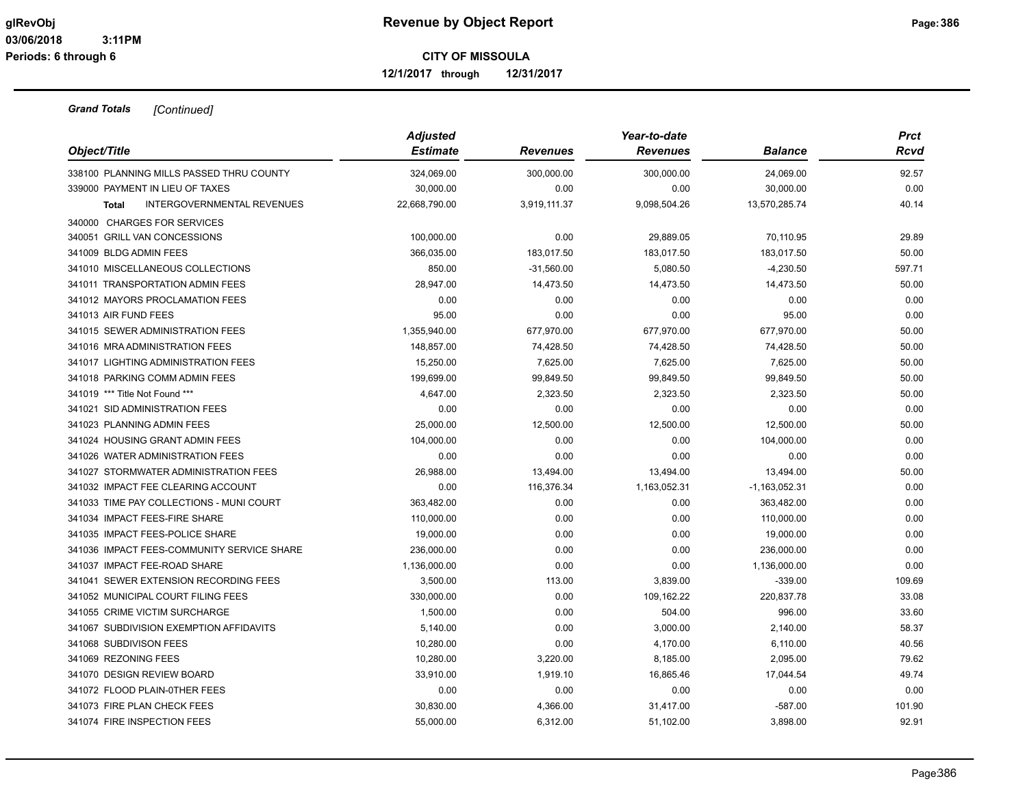**12/1/2017 through 12/31/2017**

| Object/Title                                      | <b>Adjusted</b><br><b>Estimate</b> | <b>Revenues</b> | Year-to-date<br><b>Revenues</b> | <b>Balance</b>  | <b>Prct</b><br>Rcvd |
|---------------------------------------------------|------------------------------------|-----------------|---------------------------------|-----------------|---------------------|
|                                                   |                                    |                 |                                 |                 |                     |
| 338100 PLANNING MILLS PASSED THRU COUNTY          | 324,069.00                         | 300,000.00      | 300,000.00                      | 24,069.00       | 92.57               |
| 339000 PAYMENT IN LIEU OF TAXES                   | 30,000.00                          | 0.00            | 0.00                            | 30,000.00       | 0.00                |
| <b>INTERGOVERNMENTAL REVENUES</b><br><b>Total</b> | 22,668,790.00                      | 3,919,111.37    | 9,098,504.26                    | 13,570,285.74   | 40.14               |
| 340000 CHARGES FOR SERVICES                       |                                    |                 |                                 |                 |                     |
| 340051 GRILL VAN CONCESSIONS                      | 100,000.00                         | 0.00            | 29,889.05                       | 70,110.95       | 29.89               |
| 341009 BLDG ADMIN FEES                            | 366,035.00                         | 183,017.50      | 183,017.50                      | 183,017.50      | 50.00               |
| 341010 MISCELLANEOUS COLLECTIONS                  | 850.00                             | $-31,560.00$    | 5,080.50                        | $-4,230.50$     | 597.71              |
| 341011 TRANSPORTATION ADMIN FEES                  | 28,947.00                          | 14,473.50       | 14,473.50                       | 14,473.50       | 50.00               |
| 341012 MAYORS PROCLAMATION FEES                   | 0.00                               | 0.00            | 0.00                            | 0.00            | 0.00                |
| 341013 AIR FUND FEES                              | 95.00                              | 0.00            | 0.00                            | 95.00           | 0.00                |
| 341015 SEWER ADMINISTRATION FEES                  | 1,355,940.00                       | 677,970.00      | 677,970.00                      | 677,970.00      | 50.00               |
| 341016 MRA ADMINISTRATION FEES                    | 148,857.00                         | 74,428.50       | 74,428.50                       | 74,428.50       | 50.00               |
| 341017 LIGHTING ADMINISTRATION FEES               | 15,250.00                          | 7,625.00        | 7,625.00                        | 7,625.00        | 50.00               |
| 341018 PARKING COMM ADMIN FEES                    | 199,699.00                         | 99,849.50       | 99,849.50                       | 99,849.50       | 50.00               |
| 341019 *** Title Not Found ***                    | 4,647.00                           | 2,323.50        | 2,323.50                        | 2,323.50        | 50.00               |
| 341021 SID ADMINISTRATION FEES                    | 0.00                               | 0.00            | 0.00                            | 0.00            | 0.00                |
| 341023 PLANNING ADMIN FEES                        | 25,000.00                          | 12,500.00       | 12,500.00                       | 12,500.00       | 50.00               |
| 341024 HOUSING GRANT ADMIN FEES                   | 104,000.00                         | 0.00            | 0.00                            | 104,000.00      | 0.00                |
| 341026 WATER ADMINISTRATION FEES                  | 0.00                               | 0.00            | 0.00                            | 0.00            | 0.00                |
| 341027 STORMWATER ADMINISTRATION FEES             | 26,988.00                          | 13,494.00       | 13,494.00                       | 13,494.00       | 50.00               |
| 341032 IMPACT FEE CLEARING ACCOUNT                | 0.00                               | 116,376.34      | 1,163,052.31                    | $-1,163,052.31$ | 0.00                |
| 341033 TIME PAY COLLECTIONS - MUNI COURT          | 363,482.00                         | 0.00            | 0.00                            | 363,482.00      | 0.00                |
| 341034 IMPACT FEES-FIRE SHARE                     | 110,000.00                         | 0.00            | 0.00                            | 110,000.00      | 0.00                |
| 341035 IMPACT FEES-POLICE SHARE                   | 19,000.00                          | 0.00            | 0.00                            | 19,000.00       | 0.00                |
| 341036 IMPACT FEES-COMMUNITY SERVICE SHARE        | 236,000.00                         | 0.00            | 0.00                            | 236,000.00      | 0.00                |
| 341037 IMPACT FEE-ROAD SHARE                      | 1,136,000.00                       | 0.00            | 0.00                            | 1,136,000.00    | 0.00                |
| 341041 SEWER EXTENSION RECORDING FEES             | 3,500.00                           | 113.00          | 3,839.00                        | $-339.00$       | 109.69              |
| 341052 MUNICIPAL COURT FILING FEES                | 330,000.00                         | 0.00            | 109,162.22                      | 220,837.78      | 33.08               |
| 341055 CRIME VICTIM SURCHARGE                     | 1,500.00                           | 0.00            | 504.00                          | 996.00          | 33.60               |
| 341067 SUBDIVISION EXEMPTION AFFIDAVITS           | 5,140.00                           | 0.00            | 3,000.00                        | 2,140.00        | 58.37               |
| 341068 SUBDIVISON FEES                            | 10,280.00                          | 0.00            | 4,170.00                        | 6,110.00        | 40.56               |
| 341069 REZONING FEES                              | 10,280.00                          | 3,220.00        | 8,185.00                        | 2,095.00        | 79.62               |
| 341070 DESIGN REVIEW BOARD                        | 33,910.00                          | 1,919.10        | 16,865.46                       | 17,044.54       | 49.74               |
| 341072 FLOOD PLAIN-0THER FEES                     | 0.00                               | 0.00            | 0.00                            | 0.00            | 0.00                |
| 341073 FIRE PLAN CHECK FEES                       | 30,830.00                          | 4,366.00        | 31,417.00                       | $-587.00$       | 101.90              |
| 341074 FIRE INSPECTION FEES                       | 55,000.00                          | 6,312.00        | 51,102.00                       | 3,898.00        | 92.91               |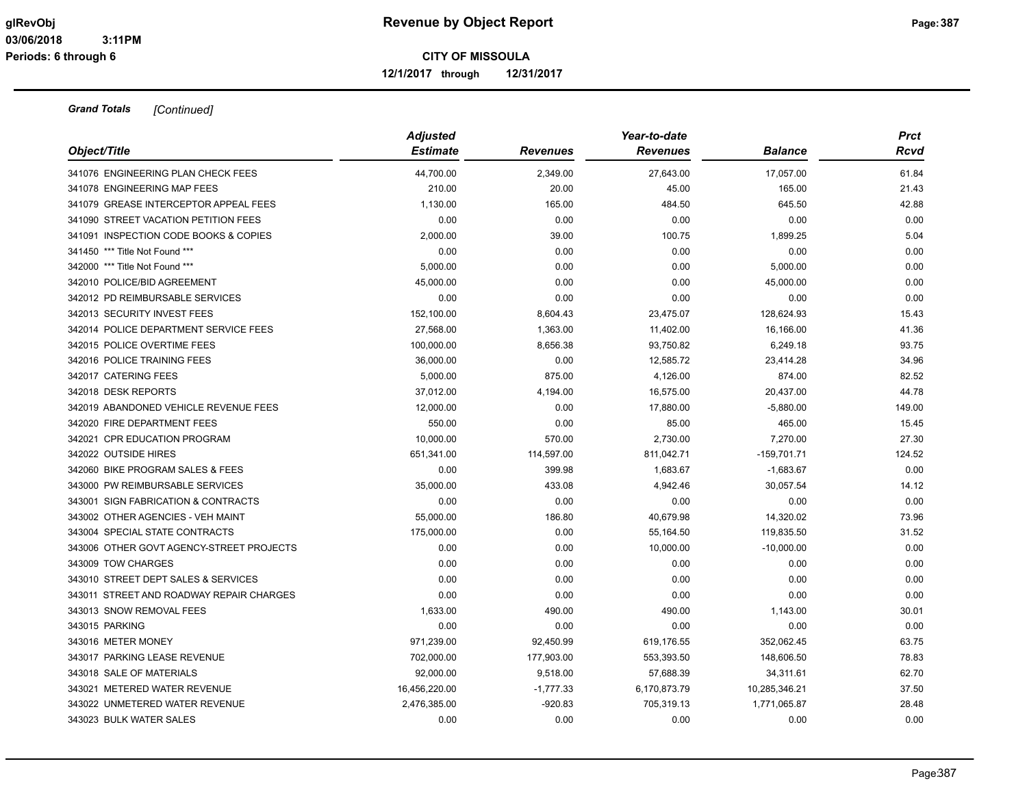**12/1/2017 through 12/31/2017**

| Object/Title                             | <b>Adjusted</b> |                 | Year-to-date    |                | <b>Prct</b> |  |
|------------------------------------------|-----------------|-----------------|-----------------|----------------|-------------|--|
|                                          | <b>Estimate</b> | <b>Revenues</b> | <b>Revenues</b> | <b>Balance</b> | Rcvd        |  |
| 341076 ENGINEERING PLAN CHECK FEES       | 44,700.00       | 2,349.00        | 27,643.00       | 17,057.00      | 61.84       |  |
| 341078 ENGINEERING MAP FEES              | 210.00          | 20.00           | 45.00           | 165.00         | 21.43       |  |
| 341079 GREASE INTERCEPTOR APPEAL FEES    | 1,130.00        | 165.00          | 484.50          | 645.50         | 42.88       |  |
| 341090 STREET VACATION PETITION FEES     | 0.00            | 0.00            | 0.00            | 0.00           | 0.00        |  |
| 341091 INSPECTION CODE BOOKS & COPIES    | 2,000.00        | 39.00           | 100.75          | 1,899.25       | 5.04        |  |
| 341450 *** Title Not Found ***           | 0.00            | 0.00            | 0.00            | 0.00           | 0.00        |  |
| 342000 *** Title Not Found ***           | 5,000.00        | 0.00            | 0.00            | 5,000.00       | 0.00        |  |
| 342010 POLICE/BID AGREEMENT              | 45,000.00       | 0.00            | 0.00            | 45,000.00      | 0.00        |  |
| 342012 PD REIMBURSABLE SERVICES          | 0.00            | 0.00            | 0.00            | 0.00           | 0.00        |  |
| 342013 SECURITY INVEST FEES              | 152,100.00      | 8,604.43        | 23,475.07       | 128,624.93     | 15.43       |  |
| 342014 POLICE DEPARTMENT SERVICE FEES    | 27,568.00       | 1,363.00        | 11,402.00       | 16,166.00      | 41.36       |  |
| 342015 POLICE OVERTIME FEES              | 100,000.00      | 8,656.38        | 93,750.82       | 6,249.18       | 93.75       |  |
| 342016 POLICE TRAINING FEES              | 36,000.00       | 0.00            | 12,585.72       | 23,414.28      | 34.96       |  |
| 342017 CATERING FEES                     | 5,000.00        | 875.00          | 4,126.00        | 874.00         | 82.52       |  |
| 342018 DESK REPORTS                      | 37,012.00       | 4,194.00        | 16,575.00       | 20,437.00      | 44.78       |  |
| 342019 ABANDONED VEHICLE REVENUE FEES    | 12,000.00       | 0.00            | 17,880.00       | $-5,880.00$    | 149.00      |  |
| 342020 FIRE DEPARTMENT FEES              | 550.00          | 0.00            | 85.00           | 465.00         | 15.45       |  |
| 342021 CPR EDUCATION PROGRAM             | 10,000.00       | 570.00          | 2,730.00        | 7,270.00       | 27.30       |  |
| 342022 OUTSIDE HIRES                     | 651,341.00      | 114,597.00      | 811,042.71      | $-159,701.71$  | 124.52      |  |
| 342060 BIKE PROGRAM SALES & FEES         | 0.00            | 399.98          | 1,683.67        | $-1,683.67$    | 0.00        |  |
| 343000 PW REIMBURSABLE SERVICES          | 35,000.00       | 433.08          | 4,942.46        | 30,057.54      | 14.12       |  |
| 343001 SIGN FABRICATION & CONTRACTS      | 0.00            | 0.00            | 0.00            | 0.00           | 0.00        |  |
| 343002 OTHER AGENCIES - VEH MAINT        | 55,000.00       | 186.80          | 40,679.98       | 14,320.02      | 73.96       |  |
| 343004 SPECIAL STATE CONTRACTS           | 175,000.00      | 0.00            | 55,164.50       | 119,835.50     | 31.52       |  |
| 343006 OTHER GOVT AGENCY-STREET PROJECTS | 0.00            | 0.00            | 10,000.00       | $-10,000.00$   | 0.00        |  |
| 343009 TOW CHARGES                       | 0.00            | 0.00            | 0.00            | 0.00           | 0.00        |  |
| 343010 STREET DEPT SALES & SERVICES      | 0.00            | 0.00            | 0.00            | 0.00           | 0.00        |  |
| 343011 STREET AND ROADWAY REPAIR CHARGES | 0.00            | 0.00            | 0.00            | 0.00           | 0.00        |  |
| 343013 SNOW REMOVAL FEES                 | 1,633.00        | 490.00          | 490.00          | 1,143.00       | 30.01       |  |
| 343015 PARKING                           | 0.00            | 0.00            | 0.00            | 0.00           | 0.00        |  |
| 343016 METER MONEY                       | 971,239.00      | 92,450.99       | 619,176.55      | 352,062.45     | 63.75       |  |
| 343017 PARKING LEASE REVENUE             | 702,000.00      | 177,903.00      | 553,393.50      | 148,606.50     | 78.83       |  |
| 343018 SALE OF MATERIALS                 | 92,000.00       | 9,518.00        | 57,688.39       | 34,311.61      | 62.70       |  |
| 343021 METERED WATER REVENUE             | 16,456,220.00   | $-1,777.33$     | 6,170,873.79    | 10,285,346.21  | 37.50       |  |
| 343022 UNMETERED WATER REVENUE           | 2,476,385.00    | $-920.83$       | 705,319.13      | 1,771,065.87   | 28.48       |  |
| 343023 BULK WATER SALES                  | 0.00            | 0.00            | 0.00            | 0.00           | 0.00        |  |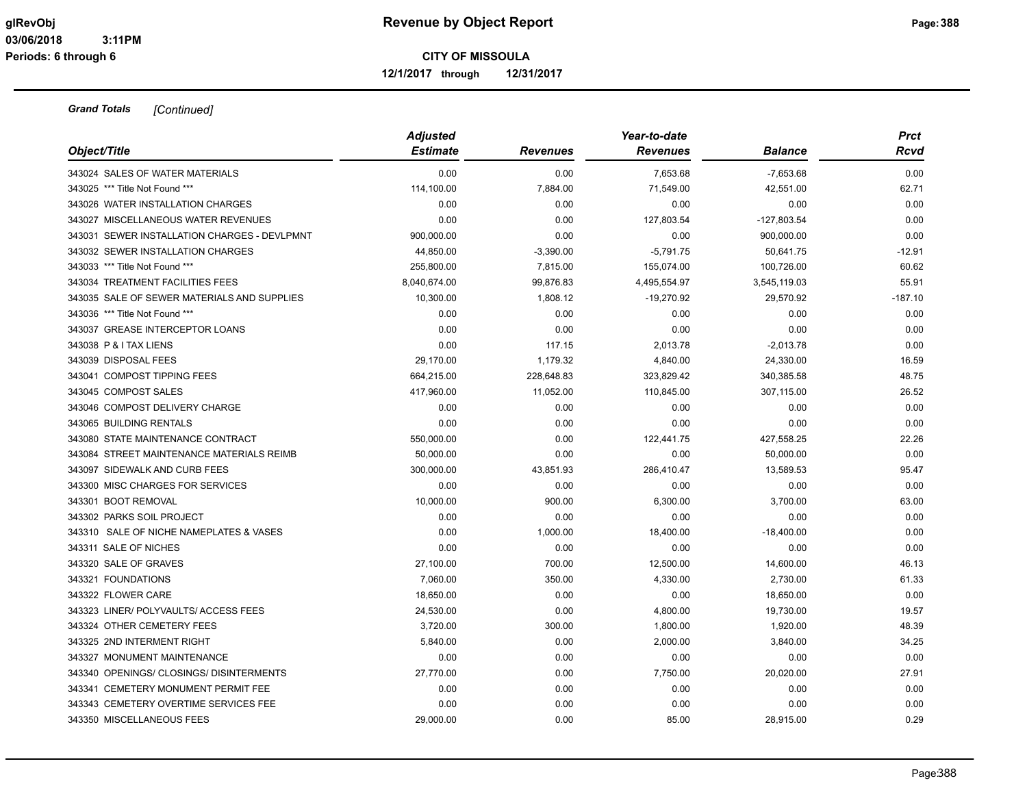**12/1/2017 through 12/31/2017**

| Object/Title                                 | <b>Adjusted</b><br><b>Estimate</b> | <b>Revenues</b> | Year-to-date<br><b>Revenues</b> | <b>Balance</b> | <b>Prct</b><br>Rcvd |
|----------------------------------------------|------------------------------------|-----------------|---------------------------------|----------------|---------------------|
|                                              |                                    |                 |                                 |                |                     |
| 343024 SALES OF WATER MATERIALS              | 0.00                               | 0.00            | 7,653.68                        | $-7,653.68$    | 0.00                |
| 343025 *** Title Not Found ***               | 114,100.00                         | 7,884.00        | 71,549.00                       | 42,551.00      | 62.71               |
| 343026 WATER INSTALLATION CHARGES            | 0.00                               | 0.00            | 0.00                            | 0.00           | 0.00                |
| 343027 MISCELLANEOUS WATER REVENUES          | 0.00                               | 0.00            | 127,803.54                      | $-127,803.54$  | 0.00                |
| 343031 SEWER INSTALLATION CHARGES - DEVLPMNT | 900,000.00                         | 0.00            | 0.00                            | 900,000.00     | 0.00                |
| 343032 SEWER INSTALLATION CHARGES            | 44,850.00                          | $-3,390.00$     | $-5,791.75$                     | 50,641.75      | $-12.91$            |
| 343033 *** Title Not Found ***               | 255,800.00                         | 7,815.00        | 155,074.00                      | 100,726.00     | 60.62               |
| 343034 TREATMENT FACILITIES FEES             | 8,040,674.00                       | 99,876.83       | 4,495,554.97                    | 3,545,119.03   | 55.91               |
| 343035 SALE OF SEWER MATERIALS AND SUPPLIES  | 10,300.00                          | 1,808.12        | $-19,270.92$                    | 29.570.92      | $-187.10$           |
| 343036 *** Title Not Found ***               | 0.00                               | 0.00            | 0.00                            | 0.00           | 0.00                |
| 343037 GREASE INTERCEPTOR LOANS              | 0.00                               | 0.00            | 0.00                            | 0.00           | 0.00                |
| 343038 P & I TAX LIENS                       | 0.00                               | 117.15          | 2,013.78                        | $-2,013.78$    | 0.00                |
| 343039 DISPOSAL FEES                         | 29,170.00                          | 1,179.32        | 4,840.00                        | 24,330.00      | 16.59               |
| 343041 COMPOST TIPPING FEES                  | 664,215.00                         | 228,648.83      | 323,829.42                      | 340,385.58     | 48.75               |
| 343045 COMPOST SALES                         | 417,960.00                         | 11,052.00       | 110,845.00                      | 307,115.00     | 26.52               |
| 343046 COMPOST DELIVERY CHARGE               | 0.00                               | 0.00            | 0.00                            | 0.00           | 0.00                |
| 343065 BUILDING RENTALS                      | 0.00                               | 0.00            | 0.00                            | 0.00           | 0.00                |
| 343080 STATE MAINTENANCE CONTRACT            | 550,000.00                         | 0.00            | 122,441.75                      | 427,558.25     | 22.26               |
| 343084 STREET MAINTENANCE MATERIALS REIMB    | 50,000.00                          | 0.00            | 0.00                            | 50,000.00      | 0.00                |
| 343097 SIDEWALK AND CURB FEES                | 300,000.00                         | 43,851.93       | 286,410.47                      | 13,589.53      | 95.47               |
| 343300 MISC CHARGES FOR SERVICES             | 0.00                               | 0.00            | 0.00                            | 0.00           | 0.00                |
| 343301 BOOT REMOVAL                          | 10,000.00                          | 900.00          | 6,300.00                        | 3,700.00       | 63.00               |
| 343302 PARKS SOIL PROJECT                    | 0.00                               | 0.00            | 0.00                            | 0.00           | 0.00                |
| 343310 SALE OF NICHE NAMEPLATES & VASES      | 0.00                               | 1,000.00        | 18,400.00                       | $-18,400.00$   | 0.00                |
| 343311 SALE OF NICHES                        | 0.00                               | 0.00            | 0.00                            | 0.00           | 0.00                |
| 343320 SALE OF GRAVES                        | 27,100.00                          | 700.00          | 12,500.00                       | 14,600.00      | 46.13               |
| 343321 FOUNDATIONS                           | 7,060.00                           | 350.00          | 4,330.00                        | 2,730.00       | 61.33               |
| 343322 FLOWER CARE                           | 18,650.00                          | 0.00            | 0.00                            | 18,650.00      | 0.00                |
| 343323 LINER/ POLYVAULTS/ ACCESS FEES        | 24,530.00                          | 0.00            | 4,800.00                        | 19,730.00      | 19.57               |
| 343324 OTHER CEMETERY FEES                   | 3,720.00                           | 300.00          | 1,800.00                        | 1,920.00       | 48.39               |
| 343325 2ND INTERMENT RIGHT                   | 5,840.00                           | 0.00            | 2,000.00                        | 3,840.00       | 34.25               |
| 343327 MONUMENT MAINTENANCE                  | 0.00                               | 0.00            | 0.00                            | 0.00           | 0.00                |
| 343340 OPENINGS/ CLOSINGS/ DISINTERMENTS     | 27,770.00                          | 0.00            | 7,750.00                        | 20,020.00      | 27.91               |
| 343341 CEMETERY MONUMENT PERMIT FEE          | 0.00                               | 0.00            | 0.00                            | 0.00           | 0.00                |
| 343343 CEMETERY OVERTIME SERVICES FEE        | 0.00                               | 0.00            | 0.00                            | 0.00           | 0.00                |
| 343350 MISCELLANEOUS FEES                    | 29,000.00                          | 0.00            | 85.00                           | 28.915.00      | 0.29                |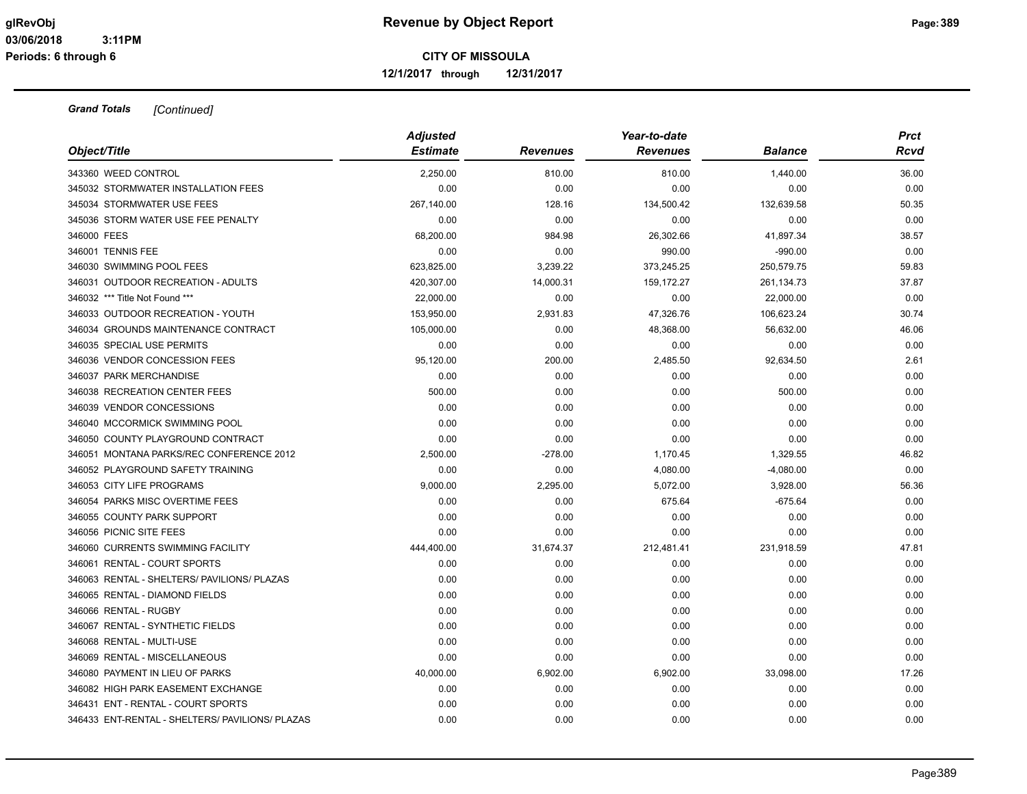**12/1/2017 through 12/31/2017**

| Object/Title                                               | <b>Adjusted</b><br><b>Estimate</b> | <b>Revenues</b> | Year-to-date<br><b>Revenues</b> | <b>Balance</b> | <b>Prct</b><br>Rcvd |
|------------------------------------------------------------|------------------------------------|-----------------|---------------------------------|----------------|---------------------|
|                                                            |                                    |                 |                                 |                |                     |
| 343360 WEED CONTROL<br>345032 STORMWATER INSTALLATION FEES | 2,250.00<br>0.00                   | 810.00          | 810.00<br>0.00                  | 1,440.00       | 36.00<br>0.00       |
|                                                            |                                    | 0.00            |                                 | 0.00           |                     |
| 345034 STORMWATER USE FEES                                 | 267,140.00                         | 128.16          | 134,500.42                      | 132,639.58     | 50.35               |
| 345036 STORM WATER USE FEE PENALTY                         | 0.00                               | 0.00            | 0.00                            | 0.00           | 0.00                |
| 346000 FEES                                                | 68,200.00                          | 984.98          | 26,302.66                       | 41,897.34      | 38.57               |
| 346001 TENNIS FEE                                          | 0.00                               | 0.00            | 990.00                          | $-990.00$      | 0.00                |
| 346030 SWIMMING POOL FEES                                  | 623,825.00                         | 3,239.22        | 373,245.25                      | 250,579.75     | 59.83               |
| 346031 OUTDOOR RECREATION - ADULTS                         | 420,307.00                         | 14,000.31       | 159,172.27                      | 261,134.73     | 37.87               |
| 346032 *** Title Not Found ***                             | 22,000.00                          | 0.00            | 0.00                            | 22,000.00      | 0.00                |
| 346033 OUTDOOR RECREATION - YOUTH                          | 153,950.00                         | 2,931.83        | 47,326.76                       | 106,623.24     | 30.74               |
| 346034 GROUNDS MAINTENANCE CONTRACT                        | 105,000.00                         | 0.00            | 48,368.00                       | 56,632.00      | 46.06               |
| 346035 SPECIAL USE PERMITS                                 | 0.00                               | 0.00            | 0.00                            | 0.00           | 0.00                |
| 346036 VENDOR CONCESSION FEES                              | 95,120.00                          | 200.00          | 2,485.50                        | 92,634.50      | 2.61                |
| 346037 PARK MERCHANDISE                                    | 0.00                               | 0.00            | 0.00                            | 0.00           | 0.00                |
| 346038 RECREATION CENTER FEES                              | 500.00                             | 0.00            | 0.00                            | 500.00         | 0.00                |
| 346039 VENDOR CONCESSIONS                                  | 0.00                               | 0.00            | 0.00                            | 0.00           | 0.00                |
| 346040 MCCORMICK SWIMMING POOL                             | 0.00                               | 0.00            | 0.00                            | 0.00           | 0.00                |
| 346050 COUNTY PLAYGROUND CONTRACT                          | 0.00                               | 0.00            | 0.00                            | 0.00           | 0.00                |
| 346051 MONTANA PARKS/REC CONFERENCE 2012                   | 2,500.00                           | $-278.00$       | 1,170.45                        | 1,329.55       | 46.82               |
| 346052 PLAYGROUND SAFETY TRAINING                          | 0.00                               | 0.00            | 4,080.00                        | $-4,080.00$    | 0.00                |
| 346053 CITY LIFE PROGRAMS                                  | 9,000.00                           | 2,295.00        | 5,072.00                        | 3,928.00       | 56.36               |
| 346054 PARKS MISC OVERTIME FEES                            | 0.00                               | 0.00            | 675.64                          | $-675.64$      | 0.00                |
| 346055 COUNTY PARK SUPPORT                                 | 0.00                               | 0.00            | 0.00                            | 0.00           | 0.00                |
| 346056 PICNIC SITE FEES                                    | 0.00                               | 0.00            | 0.00                            | 0.00           | 0.00                |
| 346060 CURRENTS SWIMMING FACILITY                          | 444,400.00                         | 31,674.37       | 212,481.41                      | 231,918.59     | 47.81               |
| 346061 RENTAL - COURT SPORTS                               | 0.00                               | 0.00            | 0.00                            | 0.00           | 0.00                |
| 346063 RENTAL - SHELTERS/ PAVILIONS/ PLAZAS                | 0.00                               | 0.00            | 0.00                            | 0.00           | 0.00                |
| 346065 RENTAL - DIAMOND FIELDS                             | 0.00                               | 0.00            | 0.00                            | 0.00           | 0.00                |
| 346066 RENTAL - RUGBY                                      | 0.00                               | 0.00            | 0.00                            | 0.00           | 0.00                |
| 346067 RENTAL - SYNTHETIC FIELDS                           | 0.00                               | 0.00            | 0.00                            | 0.00           | 0.00                |
| 346068 RENTAL - MULTI-USE                                  | 0.00                               | 0.00            | 0.00                            | 0.00           | 0.00                |
| 346069 RENTAL - MISCELLANEOUS                              | 0.00                               | 0.00            | 0.00                            | 0.00           | 0.00                |
| 346080 PAYMENT IN LIEU OF PARKS                            | 40,000.00                          | 6,902.00        | 6,902.00                        | 33,098.00      | 17.26               |
| 346082 HIGH PARK EASEMENT EXCHANGE                         | 0.00                               | 0.00            | 0.00                            | 0.00           | 0.00                |
| 346431 ENT - RENTAL - COURT SPORTS                         | 0.00                               | 0.00            | 0.00                            | 0.00           | 0.00                |
| 346433 ENT-RENTAL - SHELTERS/ PAVILIONS/ PLAZAS            | 0.00                               | 0.00            | 0.00                            | 0.00           | 0.00                |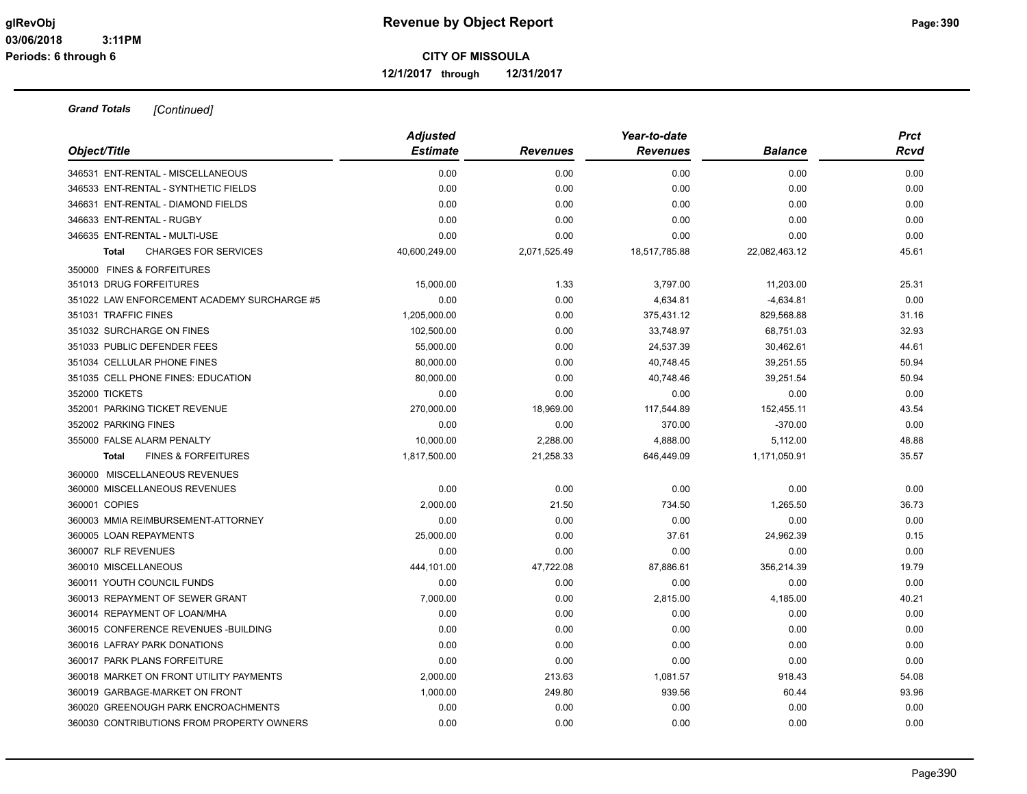**12/1/2017 through 12/31/2017**

|                                                | <b>Adjusted</b> |                 | Year-to-date    |                | <b>Prct</b> |
|------------------------------------------------|-----------------|-----------------|-----------------|----------------|-------------|
| Object/Title                                   | <b>Estimate</b> | <b>Revenues</b> | <b>Revenues</b> | <b>Balance</b> | Rcvd        |
| 346531 ENT-RENTAL - MISCELLANEOUS              | 0.00            | 0.00            | 0.00            | 0.00           | 0.00        |
| 346533 ENT-RENTAL - SYNTHETIC FIELDS           | 0.00            | 0.00            | 0.00            | 0.00           | 0.00        |
| 346631 ENT-RENTAL - DIAMOND FIELDS             | 0.00            | 0.00            | 0.00            | 0.00           | 0.00        |
| 346633 ENT-RENTAL - RUGBY                      | 0.00            | 0.00            | 0.00            | 0.00           | 0.00        |
| 346635 ENT-RENTAL - MULTI-USE                  | 0.00            | 0.00            | 0.00            | 0.00           | 0.00        |
| <b>CHARGES FOR SERVICES</b><br><b>Total</b>    | 40,600,249.00   | 2,071,525.49    | 18,517,785.88   | 22,082,463.12  | 45.61       |
| 350000 FINES & FORFEITURES                     |                 |                 |                 |                |             |
| 351013 DRUG FORFEITURES                        | 15,000.00       | 1.33            | 3,797.00        | 11,203.00      | 25.31       |
| 351022 LAW ENFORCEMENT ACADEMY SURCHARGE #5    | 0.00            | 0.00            | 4,634.81        | $-4,634.81$    | 0.00        |
| 351031 TRAFFIC FINES                           | 1,205,000.00    | 0.00            | 375,431.12      | 829,568.88     | 31.16       |
| 351032 SURCHARGE ON FINES                      | 102,500.00      | 0.00            | 33,748.97       | 68,751.03      | 32.93       |
| 351033 PUBLIC DEFENDER FEES                    | 55,000.00       | 0.00            | 24,537.39       | 30,462.61      | 44.61       |
| 351034 CELLULAR PHONE FINES                    | 80,000.00       | 0.00            | 40,748.45       | 39,251.55      | 50.94       |
| 351035 CELL PHONE FINES: EDUCATION             | 80,000.00       | 0.00            | 40,748.46       | 39,251.54      | 50.94       |
| 352000 TICKETS                                 | 0.00            | 0.00            | 0.00            | 0.00           | 0.00        |
| 352001 PARKING TICKET REVENUE                  | 270,000.00      | 18,969.00       | 117,544.89      | 152,455.11     | 43.54       |
| 352002 PARKING FINES                           | 0.00            | 0.00            | 370.00          | $-370.00$      | 0.00        |
| 355000 FALSE ALARM PENALTY                     | 10.000.00       | 2,288.00        | 4,888.00        | 5,112.00       | 48.88       |
| <b>FINES &amp; FORFEITURES</b><br><b>Total</b> | 1,817,500.00    | 21,258.33       | 646,449.09      | 1,171,050.91   | 35.57       |
| 360000 MISCELLANEOUS REVENUES                  |                 |                 |                 |                |             |
| 360000 MISCELLANEOUS REVENUES                  | 0.00            | 0.00            | 0.00            | 0.00           | 0.00        |
| 360001 COPIES                                  | 2,000.00        | 21.50           | 734.50          | 1,265.50       | 36.73       |
| 360003 MMIA REIMBURSEMENT-ATTORNEY             | 0.00            | 0.00            | 0.00            | 0.00           | 0.00        |
| 360005 LOAN REPAYMENTS                         | 25,000.00       | 0.00            | 37.61           | 24,962.39      | 0.15        |
| 360007 RLF REVENUES                            | 0.00            | 0.00            | 0.00            | 0.00           | 0.00        |
| 360010 MISCELLANEOUS                           | 444,101.00      | 47,722.08       | 87,886.61       | 356,214.39     | 19.79       |
| 360011 YOUTH COUNCIL FUNDS                     | 0.00            | 0.00            | 0.00            | 0.00           | 0.00        |
| 360013 REPAYMENT OF SEWER GRANT                | 7,000.00        | 0.00            | 2,815.00        | 4,185.00       | 40.21       |
| 360014 REPAYMENT OF LOAN/MHA                   | 0.00            | 0.00            | 0.00            | 0.00           | 0.00        |
| 360015 CONFERENCE REVENUES - BUILDING          | 0.00            | 0.00            | 0.00            | 0.00           | 0.00        |
| 360016 LAFRAY PARK DONATIONS                   | 0.00            | 0.00            | 0.00            | 0.00           | 0.00        |
| 360017 PARK PLANS FORFEITURE                   | 0.00            | 0.00            | 0.00            | 0.00           | 0.00        |
| 360018 MARKET ON FRONT UTILITY PAYMENTS        | 2,000.00        | 213.63          | 1,081.57        | 918.43         | 54.08       |
| 360019 GARBAGE-MARKET ON FRONT                 | 1,000.00        | 249.80          | 939.56          | 60.44          | 93.96       |
| 360020 GREENOUGH PARK ENCROACHMENTS            | 0.00            | 0.00            | 0.00            | 0.00           | 0.00        |
| 360030 CONTRIBUTIONS FROM PROPERTY OWNERS      | 0.00            | 0.00            | 0.00            | 0.00           | 0.00        |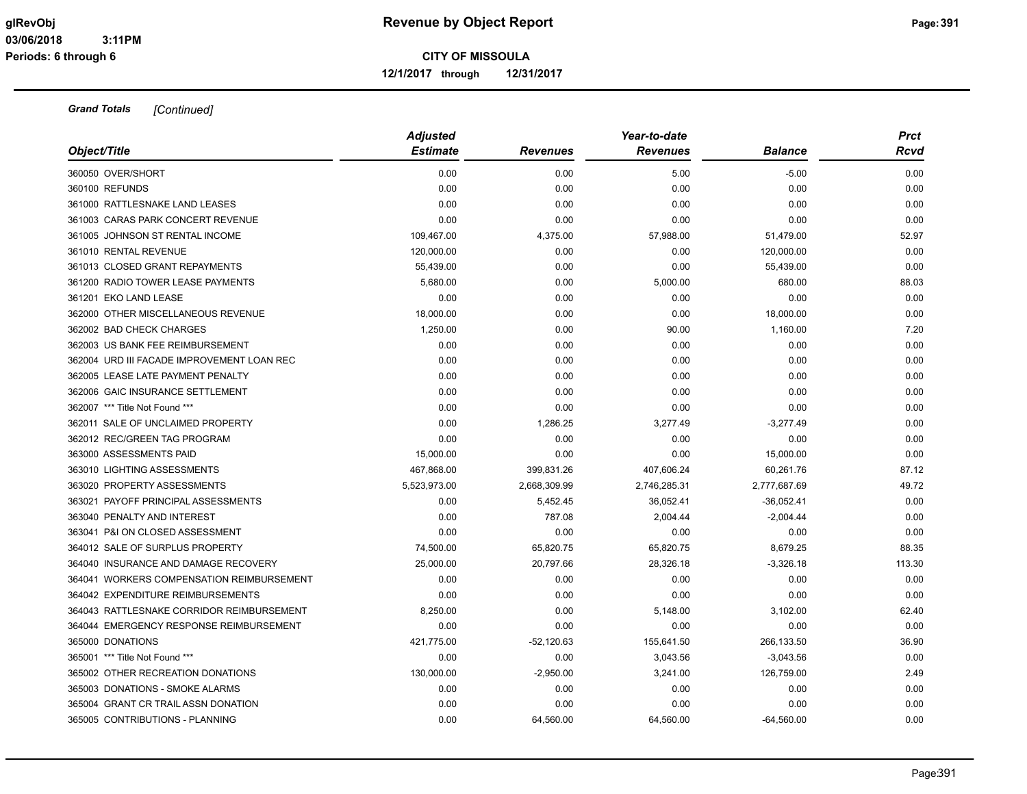**12/1/2017 through 12/31/2017**

|                                            | <b>Adjusted</b> |                 | Year-to-date    |                | <b>Prct</b> |
|--------------------------------------------|-----------------|-----------------|-----------------|----------------|-------------|
| Object/Title                               | <b>Estimate</b> | <b>Revenues</b> | <b>Revenues</b> | <b>Balance</b> | Rcvd        |
| 360050 OVER/SHORT                          | 0.00            | 0.00            | 5.00            | $-5.00$        | 0.00        |
| 360100 REFUNDS                             | 0.00            | 0.00            | 0.00            | 0.00           | 0.00        |
| 361000 RATTLESNAKE LAND LEASES             | 0.00            | 0.00            | 0.00            | 0.00           | 0.00        |
| 361003 CARAS PARK CONCERT REVENUE          | 0.00            | 0.00            | 0.00            | 0.00           | 0.00        |
| 361005 JOHNSON ST RENTAL INCOME            | 109,467.00      | 4,375.00        | 57,988.00       | 51,479.00      | 52.97       |
| 361010 RENTAL REVENUE                      | 120,000.00      | 0.00            | 0.00            | 120,000.00     | 0.00        |
| 361013 CLOSED GRANT REPAYMENTS             | 55,439.00       | 0.00            | 0.00            | 55,439.00      | 0.00        |
| 361200 RADIO TOWER LEASE PAYMENTS          | 5,680.00        | 0.00            | 5,000.00        | 680.00         | 88.03       |
| 361201 EKO LAND LEASE                      | 0.00            | 0.00            | 0.00            | 0.00           | 0.00        |
| 362000 OTHER MISCELLANEOUS REVENUE         | 18,000.00       | 0.00            | 0.00            | 18,000.00      | 0.00        |
| 362002 BAD CHECK CHARGES                   | 1,250.00        | 0.00            | 90.00           | 1,160.00       | 7.20        |
| 362003 US BANK FEE REIMBURSEMENT           | 0.00            | 0.00            | 0.00            | 0.00           | 0.00        |
| 362004 URD III FACADE IMPROVEMENT LOAN REC | 0.00            | 0.00            | 0.00            | 0.00           | 0.00        |
| 362005 LEASE LATE PAYMENT PENALTY          | 0.00            | 0.00            | 0.00            | 0.00           | 0.00        |
| 362006 GAIC INSURANCE SETTLEMENT           | 0.00            | 0.00            | 0.00            | 0.00           | 0.00        |
| 362007 *** Title Not Found ***             | 0.00            | 0.00            | 0.00            | 0.00           | 0.00        |
| 362011 SALE OF UNCLAIMED PROPERTY          | 0.00            | 1,286.25        | 3,277.49        | $-3,277.49$    | 0.00        |
| 362012 REC/GREEN TAG PROGRAM               | 0.00            | 0.00            | 0.00            | 0.00           | 0.00        |
| 363000 ASSESSMENTS PAID                    | 15,000.00       | 0.00            | 0.00            | 15,000.00      | 0.00        |
| 363010 LIGHTING ASSESSMENTS                | 467,868.00      | 399,831.26      | 407,606.24      | 60,261.76      | 87.12       |
| 363020 PROPERTY ASSESSMENTS                | 5,523,973.00    | 2,668,309.99    | 2,746,285.31    | 2,777,687.69   | 49.72       |
| 363021 PAYOFF PRINCIPAL ASSESSMENTS        | 0.00            | 5,452.45        | 36.052.41       | $-36.052.41$   | 0.00        |
| 363040 PENALTY AND INTEREST                | 0.00            | 787.08          | 2,004.44        | $-2,004.44$    | 0.00        |
| 363041 P&I ON CLOSED ASSESSMENT            | 0.00            | 0.00            | 0.00            | 0.00           | 0.00        |
| 364012 SALE OF SURPLUS PROPERTY            | 74,500.00       | 65,820.75       | 65,820.75       | 8,679.25       | 88.35       |
| 364040 INSURANCE AND DAMAGE RECOVERY       | 25,000.00       | 20,797.66       | 28,326.18       | $-3,326.18$    | 113.30      |
| 364041 WORKERS COMPENSATION REIMBURSEMENT  | 0.00            | 0.00            | 0.00            | 0.00           | 0.00        |
| 364042 EXPENDITURE REIMBURSEMENTS          | 0.00            | 0.00            | 0.00            | 0.00           | 0.00        |
| 364043 RATTLESNAKE CORRIDOR REIMBURSEMENT  | 8,250.00        | 0.00            | 5,148.00        | 3,102.00       | 62.40       |
| 364044 EMERGENCY RESPONSE REIMBURSEMENT    | 0.00            | 0.00            | 0.00            | 0.00           | 0.00        |
| 365000 DONATIONS                           | 421,775.00      | $-52,120.63$    | 155,641.50      | 266,133.50     | 36.90       |
| 365001 *** Title Not Found ***             | 0.00            | 0.00            | 3,043.56        | $-3,043.56$    | 0.00        |
| 365002 OTHER RECREATION DONATIONS          | 130,000.00      | $-2,950.00$     | 3,241.00        | 126,759.00     | 2.49        |
| 365003 DONATIONS - SMOKE ALARMS            | 0.00            | 0.00            | 0.00            | 0.00           | 0.00        |
| 365004 GRANT CR TRAIL ASSN DONATION        | 0.00            | 0.00            | 0.00            | 0.00           | 0.00        |
| 365005 CONTRIBUTIONS - PLANNING            | 0.00            | 64.560.00       | 64.560.00       | $-64.560.00$   | 0.00        |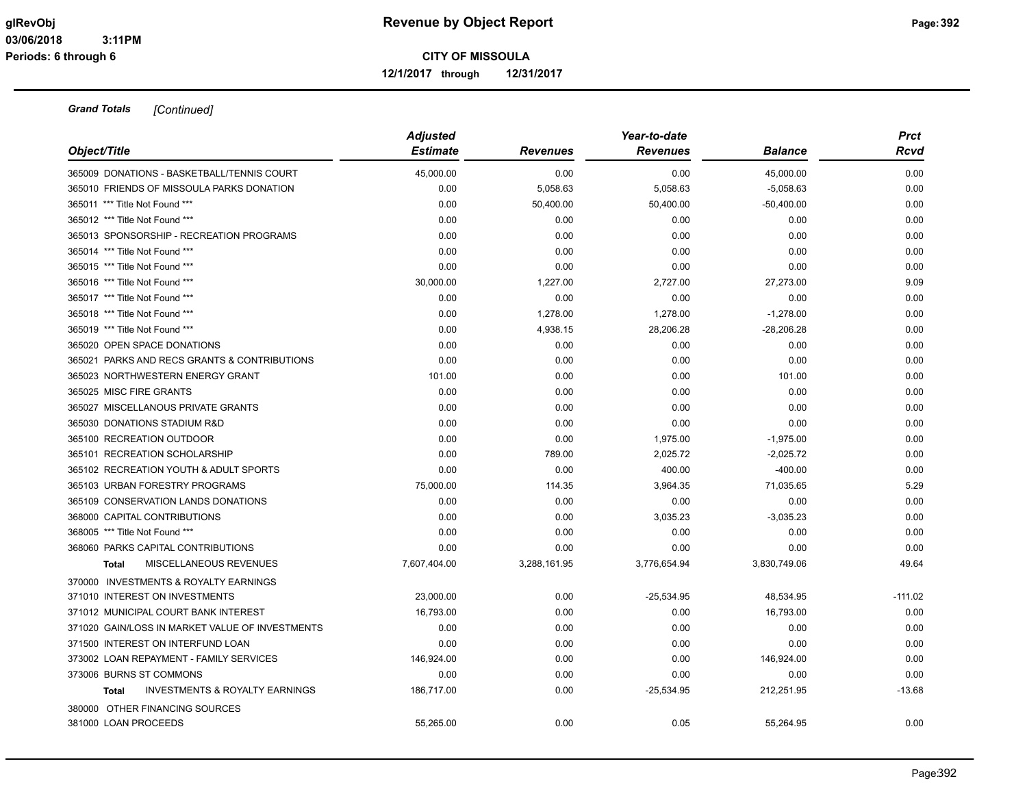**12/1/2017 through 12/31/2017**

| Object/Title                                              | <b>Adjusted</b><br><b>Estimate</b> | <b>Revenues</b> | Year-to-date<br><b>Revenues</b> | <b>Balance</b> | <b>Prct</b><br>Rcvd |
|-----------------------------------------------------------|------------------------------------|-----------------|---------------------------------|----------------|---------------------|
| 365009 DONATIONS - BASKETBALL/TENNIS COURT                | 45,000.00                          | 0.00            | 0.00                            | 45,000.00      | 0.00                |
| 365010 FRIENDS OF MISSOULA PARKS DONATION                 | 0.00                               | 5,058.63        | 5,058.63                        | $-5,058.63$    | 0.00                |
| 365011 *** Title Not Found ***                            | 0.00                               | 50,400.00       | 50,400.00                       | $-50,400.00$   | 0.00                |
| 365012 *** Title Not Found ***                            | 0.00                               | 0.00            | 0.00                            | 0.00           | 0.00                |
| 365013 SPONSORSHIP - RECREATION PROGRAMS                  | 0.00                               | 0.00            | 0.00                            | 0.00           | 0.00                |
| 365014 *** Title Not Found ***                            | 0.00                               | 0.00            | 0.00                            | 0.00           | 0.00                |
| 365015 *** Title Not Found ***                            | 0.00                               | 0.00            | 0.00                            | 0.00           | 0.00                |
| 365016 *** Title Not Found ***                            | 30,000.00                          | 1,227.00        | 2,727.00                        | 27,273.00      | 9.09                |
| 365017 *** Title Not Found ***                            | 0.00                               | 0.00            | 0.00                            | 0.00           | 0.00                |
| 365018 *** Title Not Found ***                            | 0.00                               | 1,278.00        | 1,278.00                        | $-1,278.00$    | 0.00                |
| 365019 *** Title Not Found ***                            | 0.00                               | 4,938.15        | 28,206.28                       | $-28,206.28$   | 0.00                |
| 365020 OPEN SPACE DONATIONS                               | 0.00                               | 0.00            | 0.00                            | 0.00           | 0.00                |
| 365021 PARKS AND RECS GRANTS & CONTRIBUTIONS              | 0.00                               | 0.00            | 0.00                            | 0.00           | 0.00                |
| 365023 NORTHWESTERN ENERGY GRANT                          | 101.00                             | 0.00            | 0.00                            | 101.00         | 0.00                |
| 365025 MISC FIRE GRANTS                                   | 0.00                               | 0.00            | 0.00                            | 0.00           | 0.00                |
| 365027 MISCELLANOUS PRIVATE GRANTS                        | 0.00                               | 0.00            | 0.00                            | 0.00           | 0.00                |
| 365030 DONATIONS STADIUM R&D                              | 0.00                               | 0.00            | 0.00                            | 0.00           | 0.00                |
| 365100 RECREATION OUTDOOR                                 | 0.00                               | 0.00            | 1,975.00                        | $-1,975.00$    | 0.00                |
| 365101 RECREATION SCHOLARSHIP                             | 0.00                               | 789.00          | 2,025.72                        | $-2,025.72$    | 0.00                |
| 365102 RECREATION YOUTH & ADULT SPORTS                    | 0.00                               | 0.00            | 400.00                          | $-400.00$      | 0.00                |
| 365103 URBAN FORESTRY PROGRAMS                            | 75,000.00                          | 114.35          | 3,964.35                        | 71,035.65      | 5.29                |
| 365109 CONSERVATION LANDS DONATIONS                       | 0.00                               | 0.00            | 0.00                            | 0.00           | 0.00                |
| 368000 CAPITAL CONTRIBUTIONS                              | 0.00                               | 0.00            | 3,035.23                        | $-3,035.23$    | 0.00                |
| 368005 *** Title Not Found ***                            | 0.00                               | 0.00            | 0.00                            | 0.00           | 0.00                |
| 368060 PARKS CAPITAL CONTRIBUTIONS                        | 0.00                               | 0.00            | 0.00                            | 0.00           | 0.00                |
| MISCELLANEOUS REVENUES<br><b>Total</b>                    | 7,607,404.00                       | 3,288,161.95    | 3,776,654.94                    | 3,830,749.06   | 49.64               |
| 370000 INVESTMENTS & ROYALTY EARNINGS                     |                                    |                 |                                 |                |                     |
| 371010 INTEREST ON INVESTMENTS                            | 23,000.00                          | 0.00            | $-25,534.95$                    | 48,534.95      | -111.02             |
| 371012 MUNICIPAL COURT BANK INTEREST                      | 16,793.00                          | 0.00            | 0.00                            | 16,793.00      | 0.00                |
| 371020 GAIN/LOSS IN MARKET VALUE OF INVESTMENTS           | 0.00                               | 0.00            | 0.00                            | 0.00           | 0.00                |
| 371500 INTEREST ON INTERFUND LOAN                         | 0.00                               | 0.00            | 0.00                            | 0.00           | 0.00                |
| 373002 LOAN REPAYMENT - FAMILY SERVICES                   | 146,924.00                         | 0.00            | 0.00                            | 146,924.00     | 0.00                |
| 373006 BURNS ST COMMONS                                   | 0.00                               | 0.00            | 0.00                            | 0.00           | 0.00                |
| <b>INVESTMENTS &amp; ROYALTY EARNINGS</b><br><b>Total</b> | 186,717.00                         | 0.00            | $-25,534.95$                    | 212,251.95     | $-13.68$            |
| 380000 OTHER FINANCING SOURCES                            |                                    |                 |                                 |                |                     |
| 381000 LOAN PROCEEDS                                      | 55,265.00                          | 0.00            | 0.05                            | 55,264.95      | 0.00                |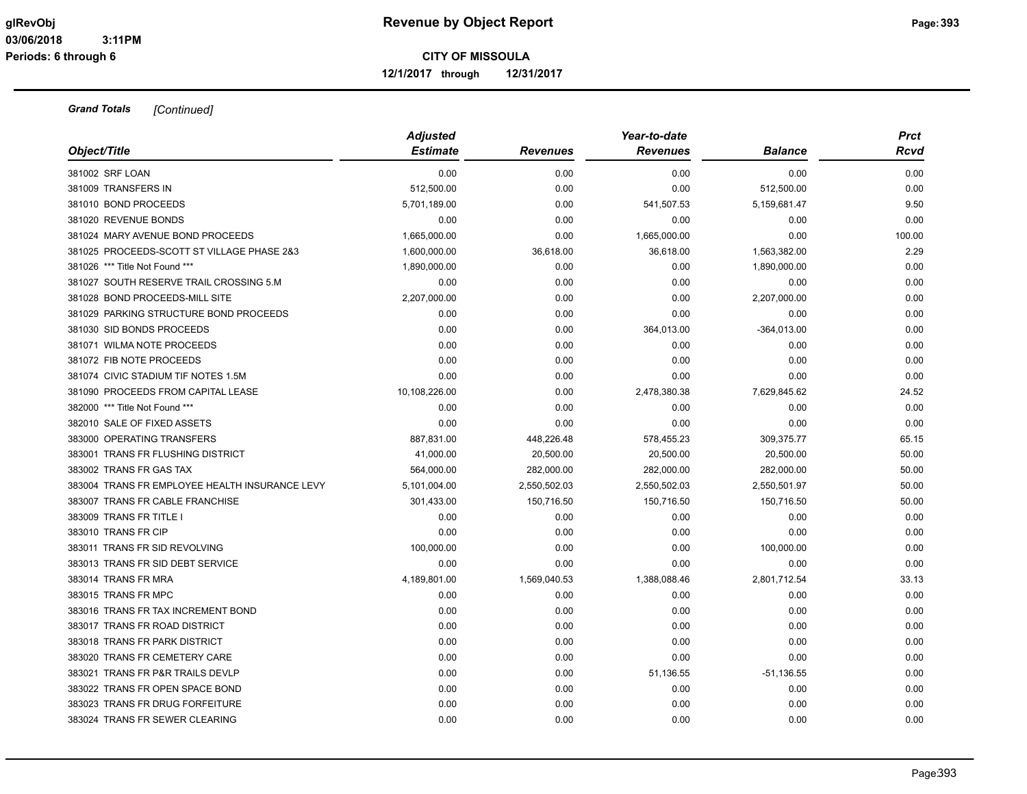**12/1/2017 through 12/31/2017**

| Object/Title                                   | <b>Adjusted</b><br><b>Estimate</b> | <b>Revenues</b> | Year-to-date<br><b>Revenues</b> | <b>Balance</b> | <b>Prct</b><br>Rcvd |
|------------------------------------------------|------------------------------------|-----------------|---------------------------------|----------------|---------------------|
| 381002 SRF LOAN                                | 0.00                               | 0.00            | 0.00                            | 0.00           | 0.00                |
| 381009 TRANSFERS IN                            | 512,500.00                         | 0.00            | 0.00                            | 512,500.00     | 0.00                |
| 381010 BOND PROCEEDS                           | 5,701,189.00                       | 0.00            | 541,507.53                      | 5,159,681.47   | 9.50                |
| 381020 REVENUE BONDS                           | 0.00                               | 0.00            | 0.00                            | 0.00           | 0.00                |
| 381024 MARY AVENUE BOND PROCEEDS               | 1,665,000.00                       | 0.00            | 1,665,000.00                    | 0.00           | 100.00              |
| 381025 PROCEEDS-SCOTT ST VILLAGE PHASE 2&3     | 1,600,000.00                       | 36,618.00       | 36,618.00                       | 1,563,382.00   | 2.29                |
| 381026 *** Title Not Found ***                 | 1,890,000.00                       | 0.00            | 0.00                            | 1,890,000.00   | 0.00                |
| 381027 SOUTH RESERVE TRAIL CROSSING 5.M        | 0.00                               | 0.00            | 0.00                            | 0.00           | 0.00                |
| 381028 BOND PROCEEDS-MILL SITE                 | 2,207,000.00                       | 0.00            | 0.00                            | 2,207,000.00   | 0.00                |
| 381029 PARKING STRUCTURE BOND PROCEEDS         | 0.00                               | 0.00            | 0.00                            | 0.00           | 0.00                |
| 381030 SID BONDS PROCEEDS                      | 0.00                               | 0.00            | 364,013.00                      | $-364,013.00$  | 0.00                |
| 381071 WILMA NOTE PROCEEDS                     | 0.00                               | 0.00            | 0.00                            | 0.00           | 0.00                |
| 381072 FIB NOTE PROCEEDS                       | 0.00                               | 0.00            | 0.00                            | 0.00           | 0.00                |
| 381074 CIVIC STADIUM TIF NOTES 1.5M            | 0.00                               | 0.00            | 0.00                            | 0.00           | 0.00                |
| 381090 PROCEEDS FROM CAPITAL LEASE             | 10,108,226.00                      | 0.00            | 2,478,380.38                    | 7,629,845.62   | 24.52               |
| 382000 *** Title Not Found ***                 | 0.00                               | 0.00            | 0.00                            | 0.00           | 0.00                |
| 382010 SALE OF FIXED ASSETS                    | 0.00                               | 0.00            | 0.00                            | 0.00           | 0.00                |
| 383000 OPERATING TRANSFERS                     | 887,831.00                         | 448,226.48      | 578,455.23                      | 309,375.77     | 65.15               |
| 383001 TRANS FR FLUSHING DISTRICT              | 41,000.00                          | 20,500.00       | 20,500.00                       | 20,500.00      | 50.00               |
| 383002 TRANS FR GAS TAX                        | 564,000.00                         | 282,000.00      | 282,000.00                      | 282,000.00     | 50.00               |
| 383004 TRANS FR EMPLOYEE HEALTH INSURANCE LEVY | 5,101,004.00                       | 2,550,502.03    | 2,550,502.03                    | 2,550,501.97   | 50.00               |
| 383007 TRANS FR CABLE FRANCHISE                | 301,433.00                         | 150,716.50      | 150,716.50                      | 150,716.50     | 50.00               |
| 383009 TRANS FR TITLE I                        | 0.00                               | 0.00            | 0.00                            | 0.00           | 0.00                |
| 383010 TRANS FR CIP                            | 0.00                               | 0.00            | 0.00                            | 0.00           | 0.00                |
| 383011 TRANS FR SID REVOLVING                  | 100,000.00                         | 0.00            | 0.00                            | 100,000.00     | 0.00                |
| 383013 TRANS FR SID DEBT SERVICE               | 0.00                               | 0.00            | 0.00                            | 0.00           | 0.00                |
| 383014 TRANS FR MRA                            | 4,189,801.00                       | 1,569,040.53    | 1,388,088.46                    | 2,801,712.54   | 33.13               |
| 383015 TRANS FR MPC                            | 0.00                               | 0.00            | 0.00                            | 0.00           | 0.00                |
| 383016 TRANS FR TAX INCREMENT BOND             | 0.00                               | 0.00            | 0.00                            | 0.00           | 0.00                |
| 383017 TRANS FR ROAD DISTRICT                  | 0.00                               | 0.00            | 0.00                            | 0.00           | 0.00                |
| 383018 TRANS FR PARK DISTRICT                  | 0.00                               | 0.00            | 0.00                            | 0.00           | 0.00                |
| 383020 TRANS FR CEMETERY CARE                  | 0.00                               | 0.00            | 0.00                            | 0.00           | 0.00                |
| 383021 TRANS FR P&R TRAILS DEVLP               | 0.00                               | 0.00            | 51,136.55                       | $-51,136.55$   | 0.00                |
| 383022 TRANS FR OPEN SPACE BOND                | 0.00                               | 0.00            | 0.00                            | 0.00           | 0.00                |
| 383023 TRANS FR DRUG FORFEITURE                | 0.00                               | 0.00            | 0.00                            | 0.00           | 0.00                |
| 383024 TRANS FR SEWER CLEARING                 | 0.00                               | 0.00            | 0.00                            | 0.00           | 0.00                |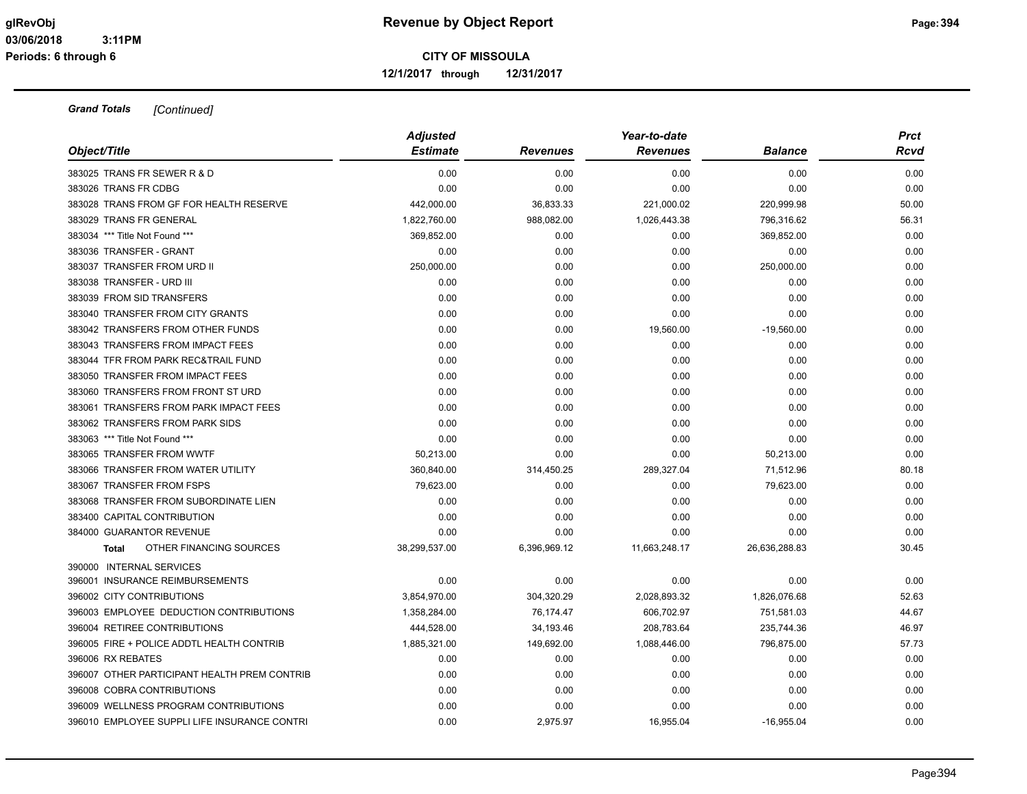**12/1/2017 through 12/31/2017**

|                                              | <b>Adjusted</b> |                 | Year-to-date    |                | <b>Prct</b> |
|----------------------------------------------|-----------------|-----------------|-----------------|----------------|-------------|
| Object/Title                                 | <b>Estimate</b> | <b>Revenues</b> | <b>Revenues</b> | <b>Balance</b> | Rcvd        |
| 383025 TRANS FR SEWER R & D                  | 0.00            | 0.00            | 0.00            | 0.00           | 0.00        |
| 383026 TRANS FR CDBG                         | 0.00            | 0.00            | 0.00            | 0.00           | 0.00        |
| 383028 TRANS FROM GF FOR HEALTH RESERVE      | 442,000.00      | 36,833.33       | 221,000.02      | 220,999.98     | 50.00       |
| 383029 TRANS FR GENERAL                      | 1,822,760.00    | 988,082.00      | 1,026,443.38    | 796,316.62     | 56.31       |
| 383034 *** Title Not Found ***               | 369,852.00      | 0.00            | 0.00            | 369,852.00     | 0.00        |
| 383036 TRANSFER - GRANT                      | 0.00            | 0.00            | 0.00            | 0.00           | 0.00        |
| 383037 TRANSFER FROM URD II                  | 250,000.00      | 0.00            | 0.00            | 250,000.00     | 0.00        |
| 383038 TRANSFER - URD III                    | 0.00            | 0.00            | 0.00            | 0.00           | 0.00        |
| 383039 FROM SID TRANSFERS                    | 0.00            | 0.00            | 0.00            | 0.00           | 0.00        |
| 383040 TRANSFER FROM CITY GRANTS             | 0.00            | 0.00            | 0.00            | 0.00           | 0.00        |
| 383042 TRANSFERS FROM OTHER FUNDS            | 0.00            | 0.00            | 19,560.00       | $-19,560.00$   | 0.00        |
| 383043 TRANSFERS FROM IMPACT FEES            | 0.00            | 0.00            | 0.00            | 0.00           | 0.00        |
| 383044 TFR FROM PARK REC&TRAIL FUND          | 0.00            | 0.00            | 0.00            | 0.00           | 0.00        |
| 383050 TRANSFER FROM IMPACT FEES             | 0.00            | 0.00            | 0.00            | 0.00           | 0.00        |
| 383060 TRANSFERS FROM FRONT ST URD           | 0.00            | 0.00            | 0.00            | 0.00           | 0.00        |
| 383061 TRANSFERS FROM PARK IMPACT FEES       | 0.00            | 0.00            | 0.00            | 0.00           | 0.00        |
| 383062 TRANSFERS FROM PARK SIDS              | 0.00            | 0.00            | 0.00            | 0.00           | 0.00        |
| 383063 *** Title Not Found ***               | 0.00            | 0.00            | 0.00            | 0.00           | 0.00        |
| 383065 TRANSFER FROM WWTF                    | 50,213.00       | 0.00            | 0.00            | 50,213.00      | 0.00        |
| 383066 TRANSFER FROM WATER UTILITY           | 360,840.00      | 314,450.25      | 289,327.04      | 71,512.96      | 80.18       |
| 383067 TRANSFER FROM FSPS                    | 79,623.00       | 0.00            | 0.00            | 79,623.00      | 0.00        |
| 383068 TRANSFER FROM SUBORDINATE LIEN        | 0.00            | 0.00            | 0.00            | 0.00           | 0.00        |
| 383400 CAPITAL CONTRIBUTION                  | 0.00            | 0.00            | 0.00            | 0.00           | 0.00        |
| 384000 GUARANTOR REVENUE                     | 0.00            | 0.00            | 0.00            | 0.00           | 0.00        |
| OTHER FINANCING SOURCES<br><b>Total</b>      | 38,299,537.00   | 6,396,969.12    | 11,663,248.17   | 26,636,288.83  | 30.45       |
| 390000 INTERNAL SERVICES                     |                 |                 |                 |                |             |
| 396001 INSURANCE REIMBURSEMENTS              | 0.00            | 0.00            | 0.00            | 0.00           | 0.00        |
| 396002 CITY CONTRIBUTIONS                    | 3,854,970.00    | 304,320.29      | 2,028,893.32    | 1,826,076.68   | 52.63       |
| 396003 EMPLOYEE DEDUCTION CONTRIBUTIONS      | 1,358,284.00    | 76,174.47       | 606,702.97      | 751,581.03     | 44.67       |
| 396004 RETIREE CONTRIBUTIONS                 | 444,528.00      | 34,193.46       | 208,783.64      | 235,744.36     | 46.97       |
| 396005 FIRE + POLICE ADDTL HEALTH CONTRIB    | 1,885,321.00    | 149,692.00      | 1,088,446.00    | 796,875.00     | 57.73       |
| 396006 RX REBATES                            | 0.00            | 0.00            | 0.00            | 0.00           | 0.00        |
| 396007 OTHER PARTICIPANT HEALTH PREM CONTRIB | 0.00            | 0.00            | 0.00            | 0.00           | 0.00        |
| 396008 COBRA CONTRIBUTIONS                   | 0.00            | 0.00            | 0.00            | 0.00           | 0.00        |
| 396009 WELLNESS PROGRAM CONTRIBUTIONS        | 0.00            | 0.00            | 0.00            | 0.00           | 0.00        |
| 396010 EMPLOYEE SUPPLI LIFE INSURANCE CONTRI | 0.00            | 2,975.97        | 16,955.04       | $-16,955.04$   | 0.00        |